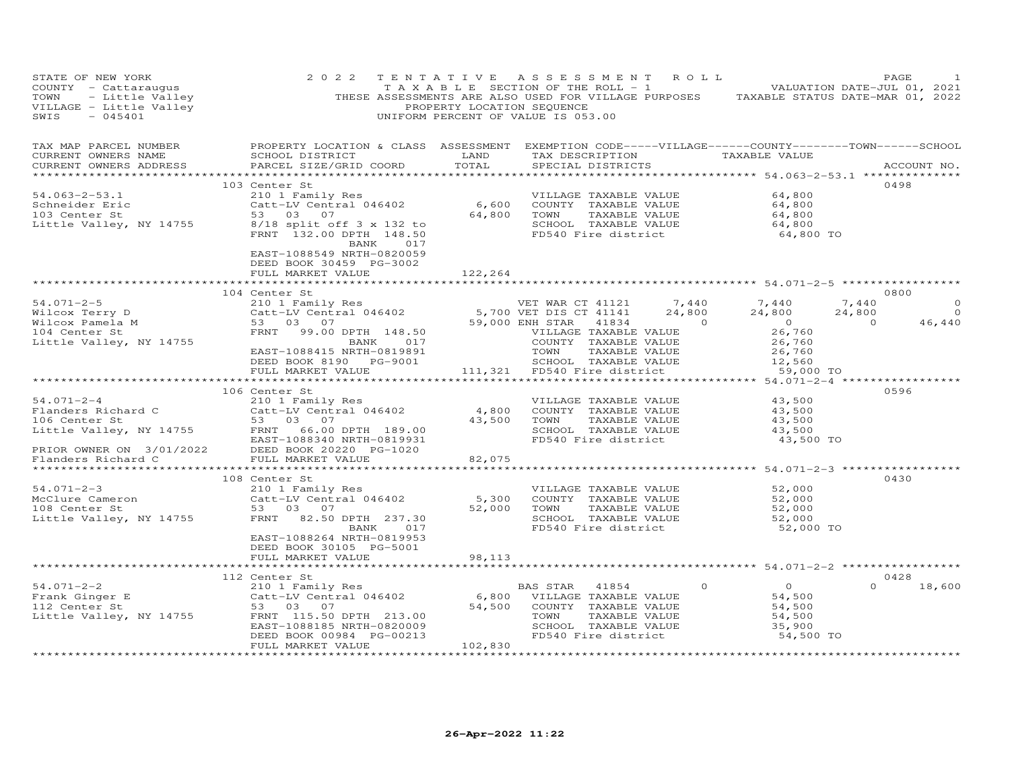| STATE OF NEW YORK<br>COUNTY - Cattaraugus<br>- Little Valley<br>TOWN<br>VILLAGE - Little Valley<br>SWIS<br>$-045401$                 | 2 0 2 2                                                                                                                                                                              | TENTATIVE<br>PROPERTY LOCATION SEQUENCE       | ASSESSMENT ROLL<br>T A X A B L E SECTION OF THE ROLL - 1<br>THESE ASSESSMENTS ARE ALSO USED FOR VILLAGE PURPOSES TAXABLE STATUS DATE-MAR 01, 2022<br>UNIFORM PERCENT OF VALUE IS 053.00 | VALUATION DATE-JUL 01, 2021                                         | PAGE                                             |
|--------------------------------------------------------------------------------------------------------------------------------------|--------------------------------------------------------------------------------------------------------------------------------------------------------------------------------------|-----------------------------------------------|-----------------------------------------------------------------------------------------------------------------------------------------------------------------------------------------|---------------------------------------------------------------------|--------------------------------------------------|
| TAX MAP PARCEL NUMBER<br>CURRENT OWNERS NAME<br>CURRENT OWNERS ADDRESS                                                               | SCHOOL DISTRICT<br>PARCEL SIZE/GRID COORD                                                                                                                                            | LAND<br>TOTAL                                 | PROPERTY LOCATION & CLASS ASSESSMENT EXEMPTION CODE-----VILLAGE------COUNTY-------TOWN------SCHOOL<br>TAX DESCRIPTION<br>SPECIAL DISTRICTS                                              | TAXABLE VALUE                                                       | ACCOUNT NO.                                      |
| $54.063 - 2 - 53.1$<br>Schneider Eric<br>103 Center St<br>Little Valley, NY 14755                                                    | 103 Center St<br>210 1 Family Res<br>Catt-LV Central 046402<br>53 03 07<br>$8/18$ split off $3 \times 132$ to<br>FRNT 132.00 DPTH 148.50<br>BANK<br>017<br>EAST-1088549 NRTH-0820059 | 6,600<br>64,800                               | VILLAGE TAXABLE VALUE<br>COUNTY TAXABLE VALUE<br>TOWN<br>TAXABLE VALUE<br>SCHOOL TAXABLE VALUE<br>FD540 Fire district                                                                   | 64,800<br>64,800<br>64,800<br>64,800<br>64,800 TO                   | 0498                                             |
|                                                                                                                                      | DEED BOOK 30459 PG-3002<br>FULL MARKET VALUE<br>***************************                                                                                                          | 122,264<br>*************                      | ********************************* 54.071-2-5 ******************                                                                                                                         |                                                                     |                                                  |
| $54.071 - 2 - 5$<br>Wilcox Terry D<br>Wilcox Pamela M                                                                                | 104 Center St<br>210 1 Family Res<br>Catt-LV Central 046402<br>53 03 07                                                                                                              |                                               | 7,440<br>VET WAR CT 41121<br>VEL WAR CT 41121<br>5,700 VET DIS CT 41141<br>59,000 ENU CTAR<br>24,800<br>$\overline{a}$ and $\overline{a}$<br>41834                                      | 7,440<br>7,440<br>24,800<br>24,800<br>$\overline{0}$                | 0800<br>$\circ$<br>$\circ$<br>$\Omega$<br>46,440 |
| 104 Center St<br>Little Valley, NY 14755                                                                                             | FRNT<br>99.00 DPTH 148.50<br>BANK 017<br>EAST-1088415 NRTH-0819891<br>DEED BOOK 8190 PG-9001<br>FULL MARKET VALUE                                                                    | 111,321                                       | VILLAGE TAXABLE VALUE<br>COUNTY TAXABLE VALUE<br>TOWN<br>TAXABLE VALUE<br>SCHOOL TAXABLE VALUE<br>FD540 Fire district                                                                   | 26,760<br>26,760<br>26,760<br>12,560<br>59,000 TO                   |                                                  |
|                                                                                                                                      | ***********************<br>106 Center St                                                                                                                                             |                                               |                                                                                                                                                                                         |                                                                     | 0596                                             |
| $54.071 - 2 - 4$<br>Flanders Richard C<br>106 Center St<br>Little Valley, NY 14755<br>PRIOR OWNER ON 3/01/2022<br>Flanders Richard C | 210 1 Family Res<br>Catt-LV Central 046402<br>53 03 07<br>FRNT<br>66.00 DPTH 189.00<br>EAST-1088340 NRTH-0819931<br>DEED BOOK 20220 PG-1020                                          | 4,800<br>43,500                               | VILLAGE TAXABLE VALUE<br>COUNTY TAXABLE VALUE<br>TOWN<br>TAXABLE VALUE<br>SCHOOL TAXABLE VALUE<br>FD540 Fire district                                                                   | 43,500<br>43,500<br>43,500<br>43,500<br>43,500 TO                   |                                                  |
|                                                                                                                                      | FULL MARKET VALUE                                                                                                                                                                    | 82,075                                        |                                                                                                                                                                                         |                                                                     |                                                  |
| $54.071 - 2 - 3$<br>McClure Cameron<br>108 Center St<br>Little Valley, NY 14755                                                      | 108 Center St<br>210 1 Family Res<br>Catt-LV Central 046402<br>53 03<br>07<br>FRNT<br>82.50 DPTH 237.30<br>BANK<br>017<br>EAST-1088264 NRTH-0819953<br>DEED BOOK 30105 PG-5001       | 5,300<br>52,000                               | VILLAGE TAXABLE VALUE<br>COUNTY TAXABLE VALUE<br>TOWN<br>TAXABLE VALUE<br>SCHOOL TAXABLE VALUE<br>FD540 Fire district                                                                   | 52,000<br>52,000<br>52,000<br>52,000<br>52,000 TO                   | 0430                                             |
|                                                                                                                                      | FULL MARKET VALUE                                                                                                                                                                    | 98,113                                        |                                                                                                                                                                                         |                                                                     |                                                  |
| $54.071 - 2 - 2$<br>Frank Ginger E<br>112 Center St<br>Little Valley, NY 14755<br>**************************                         | 112 Center St<br>210 1 Family Res<br>Catt-LV Central 046402<br>53 03 07<br>FRNT 115.50 DPTH 213.00<br>EAST-1088185 NRTH-0820009<br>DEED BOOK 00984 PG-00213<br>FULL MARKET VALUE     | 6,800<br>54,500<br>102,830<br>*************** | $\circ$<br>BAS STAR<br>41854<br>VILLAGE TAXABLE VALUE<br>COUNTY TAXABLE VALUE<br>TAXABLE VALUE<br>TOWN<br>SCHOOL TAXABLE VALUE<br>FD540 Fire district                                   | $\overline{O}$<br>54,500<br>54,500<br>54,500<br>35,900<br>54,500 TO | 0428<br>$\Omega$<br>18,600                       |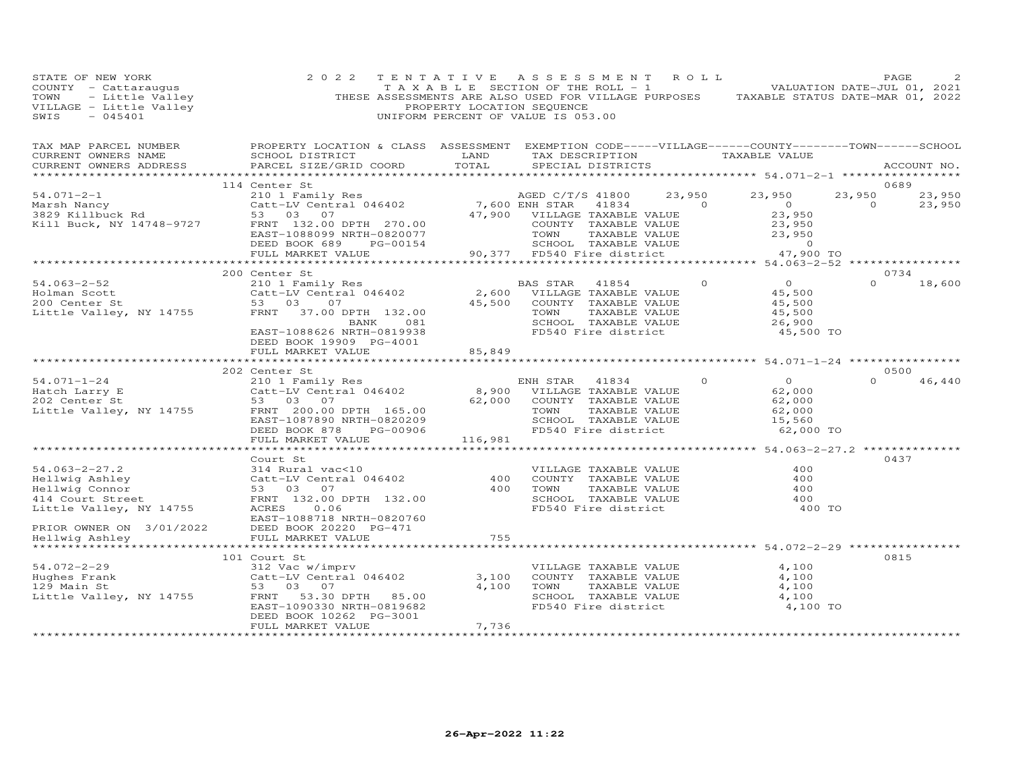| STATE OF NEW YORK<br>COUNTY - Cattaraugus<br>TOWN - Little Valley<br>VILLAGE - Little Valley<br>SWIS - 045401                                                                                                                  | 2 0 2 2                                                                                                                                                                                                                                             | PROPERTY LOCATION SEQUENCE | TENTATIVE ASSESSMENT ROLL<br>TAXABLE SECTION OF THE ROLL - 1 VALUATION DATE-JUL 01, 2021<br>THESE ASSESSMENTS ARE ALSO USED FOR VILLAGE PURPOSES TAXABLE STATUS DATE-MAR 01, 2022<br>UNIFORM PERCENT OF VALUE IS 053.00 |                   |                                                                                 | PAGE              |                  |
|--------------------------------------------------------------------------------------------------------------------------------------------------------------------------------------------------------------------------------|-----------------------------------------------------------------------------------------------------------------------------------------------------------------------------------------------------------------------------------------------------|----------------------------|-------------------------------------------------------------------------------------------------------------------------------------------------------------------------------------------------------------------------|-------------------|---------------------------------------------------------------------------------|-------------------|------------------|
| CURRENT OWNERS ADDRESS                                                                                                                                                                                                         | SCHOOL DISTRICT                      LAND        TAX DESCRIPTION                  TAXABLE VALUE<br>PARCEL SIZE/GRID COORD TOTAL                                                                                                                     |                            | SPECIAL DISTRICTS                                                                                                                                                                                                       |                   |                                                                                 |                   | ACCOUNT NO.      |
|                                                                                                                                                                                                                                | 114 Center St                                                                                                                                                                                                                                       |                            |                                                                                                                                                                                                                         |                   |                                                                                 |                   | 0689             |
| $54.071 - 2 - 1$<br>Marsh Nancy<br>3829 Killbuck Rd<br>Kill Buck, NY 14748-9727                                                                                                                                                | Center Straining Response to the Magnetic Carter of Case of the Case of Case of Case of Case Case Case Case of Case of Case of Case of Case of Case of Case of Case of Case of Case of Case of Case of Case of Case of Case of<br>FULL MARKET VALUE |                            | 47,900 VILLAGE TAXABLE VALUE $23,950$<br>COUNTY TAXABLE VALUE $23,950$<br>TOWN TAXABLE VALUE $23,950$<br>SCHOOL TAXABLE VALUE $23,950$<br>SCHOOL TAXABLE VALUE $47,900$ TO                                              | 23,950<br>41834 0 | 23,950<br>$\overline{0}$<br>23,950                                              | 23,950<br>$\circ$ | 23,950<br>23,950 |
|                                                                                                                                                                                                                                |                                                                                                                                                                                                                                                     |                            |                                                                                                                                                                                                                         |                   |                                                                                 |                   |                  |
|                                                                                                                                                                                                                                | 200 Center St<br>BANK 081<br>EAST-1088626 NRTH-0819938<br>DEED BOOK 19909 PG-4001                                                                                                                                                                   |                            | TOWN      TAXABLE VALUE<br>SCHOOL   TAXABLE VALUE<br>FD540 Fire district                                                                                                                                                |                   | $\overline{0}$<br>45,500<br>45,500<br>45,500<br>26,900<br>45,500 TO             | $\Omega$          | 0734<br>18,600   |
|                                                                                                                                                                                                                                | FULL MARKET VALUE                                                                                                                                                                                                                                   | 85,849                     |                                                                                                                                                                                                                         |                   |                                                                                 |                   |                  |
|                                                                                                                                                                                                                                |                                                                                                                                                                                                                                                     |                            |                                                                                                                                                                                                                         |                   |                                                                                 |                   |                  |
| $54.071 - 1 - 24$<br>54.071-1-24<br>Hatch Larry E<br>202 Center St<br>Little Valley, NY 14755                                                                                                                                  | 202 Center St<br>ENH STAR 41834<br>210 1 Family Res (210 1 Family Res (210 1 Family Res (210 1 2011)<br>22 1000 2011 2012 (2100 2011)<br>53 03 07<br>FRNT 200.00 DPTH 165.00<br>EAST-1087890 NRTH-0820209<br>DEED BOOK 878<br>PG-00906              |                            | 62,000 COUNTY TAXABLE VALUE<br>TOWN<br>TAXABLE VALUE<br>SCHOOL TAXABLE VALUE<br>FD540 Fire district                                                                                                                     | $\Omega$          | $\overline{O}$<br>62,000<br>62,000<br>62,000<br>15,560<br>62,000 TO             | $\Omega$          | 0.500<br>46,440  |
|                                                                                                                                                                                                                                | FULL MARKET VALUE                                                                                                                                                                                                                                   | 116,981                    |                                                                                                                                                                                                                         |                   |                                                                                 |                   |                  |
| Ellwig Ashley<br>Hellwig Ashley<br>Hellwig Connor<br>Hellwig Connor<br>114 Court Street<br>Little Valley, NY 14755<br>PRIOR OWNER ON CONNER CONNER CONNER ON CONNER ON CONNER ON CONNER ON CONNER ON CONNER ON CONNER ON CONNE | DEED BOOK 20220 PG-471                                                                                                                                                                                                                              | $\frac{400}{400}$          | VILLAGE TAXABLE VALUE<br>COUNTY TAXABLE VALUE<br>TOWN      TAXABLE VALUE<br>SCHOOL TAXABLE VALUE<br>FD540 Fire district                                                                                                 |                   | **************** 54.063-2-27.2 **********<br>400<br>400<br>400<br>400<br>400 TO | 0437              |                  |
| PRIOR OWNER ON 3/01/2022<br>Hellwig Ashley                                                                                                                                                                                     | FULL MARKET VALUE                                                                                                                                                                                                                                   | 755                        |                                                                                                                                                                                                                         |                   |                                                                                 |                   |                  |
| 54.072-2-29 312 Vac w/imm<br>Hughes Frank Catt-LV Centr<br>129 Main St 53 03 07<br>Little Valley, NY 14755 FRNT 53.30                                                                                                          | 101 Court St<br>312 Vac w/imprv<br>Catt-LV Central 046402<br>53 03 07<br>FRNT 53.30 DPTH 85.00<br>EAST-1090330 NRTH-0819682<br>DEED BOOK 10262 PG-3001<br>FULL MARKET VALUE                                                                         | 3,100<br>4,100<br>7,736    | VILLAGE TAXABLE VALUE<br>COUNTY TAXABLE VALUE<br>TAXABLE VALUE<br>TOWN<br>SCHOOL TAXABLE VALUE<br>FD540 Fire district                                                                                                   |                   | 4,100<br>4,100<br>4,100<br>4,100<br>4,100 TO                                    | 0815              |                  |
|                                                                                                                                                                                                                                |                                                                                                                                                                                                                                                     |                            |                                                                                                                                                                                                                         |                   |                                                                                 |                   |                  |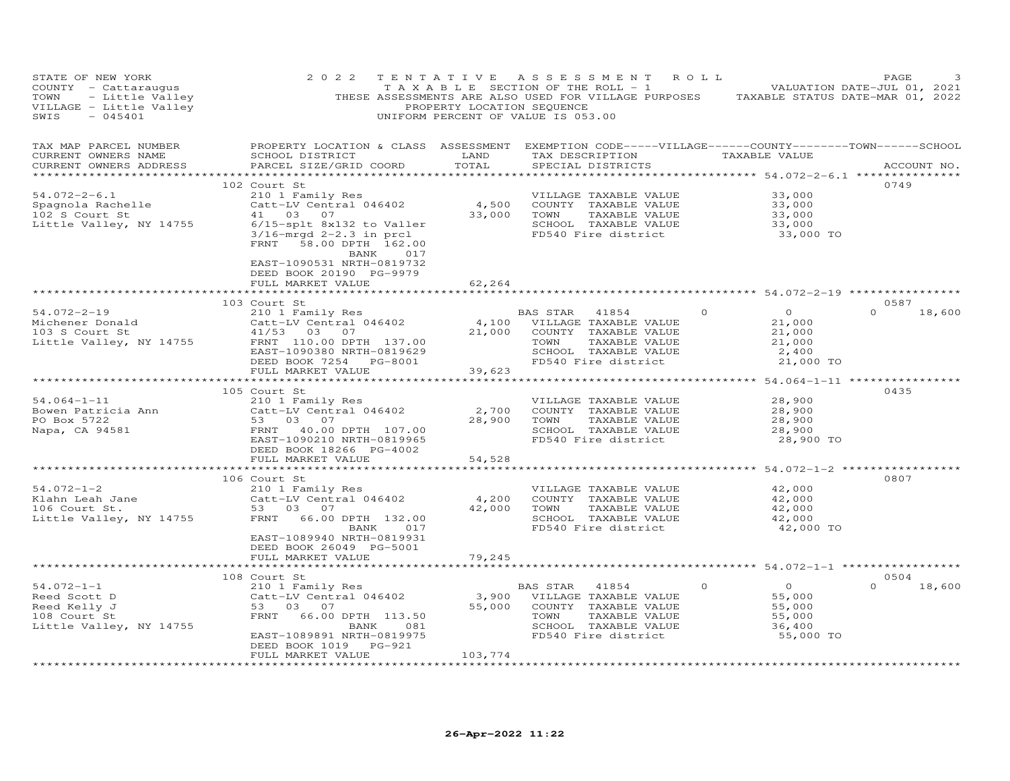| STATE OF NEW YORK                                                                                                                                                                                                                                                    | 2 0 2 2                                                                                                                                                                                                                                                                                                  |         | TENTATIVE ASSESSMENT ROLL<br>TAXABLE SECTION OF THE ROLL - 1 VALUATION DATE-JUL 01, 2021                                                                              |                                                                                                   |                                                                                      | PAGE               |
|----------------------------------------------------------------------------------------------------------------------------------------------------------------------------------------------------------------------------------------------------------------------|----------------------------------------------------------------------------------------------------------------------------------------------------------------------------------------------------------------------------------------------------------------------------------------------------------|---------|-----------------------------------------------------------------------------------------------------------------------------------------------------------------------|---------------------------------------------------------------------------------------------------|--------------------------------------------------------------------------------------|--------------------|
| TAX MAP PARCEL NUMBER<br>CURRENT OWNERS NAME<br>CURRENT OWNERS ADDRESS                                                                                                                                                                                               | PROPERTY LOCATION & CLASS ASSESSMENT EXEMPTION CODE-----VILLAGE------COUNTY-------TOWN------SCHOOL<br>SCHOOL DISTRICT                        LAND         TAX DESCRIPTION                  TAXABLE VALUE<br>PARCEL SIZE/GRID COORD TOTAL                                                                 |         | SPECIAL DISTRICTS                                                                                                                                                     |                                                                                                   |                                                                                      | ACCOUNT NO.        |
|                                                                                                                                                                                                                                                                      | FRNT 58.00 DPTH 162.00<br>BANK 017<br>EAST-1090531 NRTH-0819732                                                                                                                                                                                                                                          |         | FD540 Fire district                                                                                                                                                   |                                                                                                   | 33,000<br>33,000<br>33,000<br>33,000<br>33,000<br>33,000 TO                          | 0749               |
|                                                                                                                                                                                                                                                                      | DEED BOOK 20190 PG-9979<br>FULL MARKET VALUE                                                                                                                                                                                                                                                             | 62,264  |                                                                                                                                                                       |                                                                                                   |                                                                                      |                    |
|                                                                                                                                                                                                                                                                      | 103 Court St                                                                                                                                                                                                                                                                                             |         |                                                                                                                                                                       |                                                                                                   |                                                                                      | 0587               |
| 103 Court St<br>210 103 Court St<br>21,000 VILLAGE TAXABLE VALUE<br>21,000 COUNTY TAXABLE VALUE<br>21,000 COUNTY TAXABLE VALUE<br>21,000 COUNTY TAXABLE VALUE<br>21,000 COUNTY TAXABLE VALUE<br>21,000 COUNTY TAXABLE VALUE<br>21,000 COUNTY T                       | FULL MARKET VALUE                                                                                                                                                                                                                                                                                        | 39,623  |                                                                                                                                                                       | $\begin{array}{ccc} 0 & 0 & 0 \ 21,000 & 0 \ 21,000 & 0 \ 0 & 21,000 & 0 \ 0 & 0 & 0 \end{array}$ | 2,400<br>21,000 TO                                                                   | $\Omega$<br>18,600 |
|                                                                                                                                                                                                                                                                      |                                                                                                                                                                                                                                                                                                          |         |                                                                                                                                                                       |                                                                                                   |                                                                                      |                    |
| 105 Court St<br>2010 For Bowen Patricia Ann ann ann ann an Catt-LV Central 046402<br>2,700<br>28,900<br>28,900<br>28,900<br>28,900<br>28,900<br>28,900<br>28,900<br>28,900<br>28,900<br>28,900<br>28,900<br>28,900<br>28,900<br>28,900<br>28,900<br>28,900<br>28,900 | 105 Court St<br>DEED BOOK 18266 PG-4002<br>FULL MARKET VALUE                                                                                                                                                                                                                                             | 54,528  | VILLAGE TAXABLE VALUE 28,900<br>COUNTY TAXABLE VALUE 28,900<br>2,700 COUNTY TAXABLE VALUE<br>28,900 TOWN TAXABLE VALUE<br>SCHOOL TAXABLE VALUE<br>FD540 Fire district |                                                                                                   | 28,900<br>28,900<br>28,900 TO                                                        | 0435               |
|                                                                                                                                                                                                                                                                      |                                                                                                                                                                                                                                                                                                          |         |                                                                                                                                                                       |                                                                                                   |                                                                                      |                    |
| 94.072-1-2<br>210 1 Family Res<br>210 1 Family Res<br>210 1 Family Res<br>210 1 Family Res<br>210 1 Family Res<br>210 1 Family Res<br>210 1 Family Res<br>210 4,200 COUNT<br>42,000 TOWN<br>42,000 TOWN<br>42,000 TOWN<br>2017 FD540<br>2016 CHOO<br>2017            | EAST-1089940 NRTH-0819931<br>DEED BOOK 26049 PG-5001                                                                                                                                                                                                                                                     |         | VILLAGE TAXABLE VALUE<br>4,200 COUNTY TAXABLE VALUE<br>TAXABLE VALUE<br>SCHOOL TAXABLE VALUE 12,000<br>FD540 Fire district 12,000 42,000                              |                                                                                                   | 42,000<br>42,000<br>42,000<br>42,000 TO                                              | 0807               |
|                                                                                                                                                                                                                                                                      | FULL MARKET VALUE                                                                                                                                                                                                                                                                                        | 79,245  |                                                                                                                                                                       |                                                                                                   |                                                                                      |                    |
|                                                                                                                                                                                                                                                                      | **************************                                                                                                                                                                                                                                                                               |         |                                                                                                                                                                       |                                                                                                   |                                                                                      | 0504               |
| $54.072 - 1 - 1$<br>Reed Scott D<br>Reed Kelly J<br>108 Court St<br>Little Valley, NY 14755                                                                                                                                                                          | 108 Court St<br>Court St<br>210 1 Family Res<br>Catt-LV Central 046402 3,900 VILLAGE TAXABLE VALUE<br>53 03 07 55,000 COUNTY TAXABLE VALUE<br>FRNT 66.00 DPTH 113.50 TOWN TAXABLE VALUE<br>BANK 081 SCHOOL TAXABLE VALUE<br>FRNT 66.00 DPTH 113.50 TOWN TA<br>DEED BOOK 1019 PG-921<br>FULL MARKET VALUE | 103,774 |                                                                                                                                                                       | $0 \qquad \qquad$                                                                                 | $\overline{0}$<br>$0$<br>55,000<br>55,000<br>55,000<br>55,000<br>36,400<br>55,000 TO | $0 \t 18,600$      |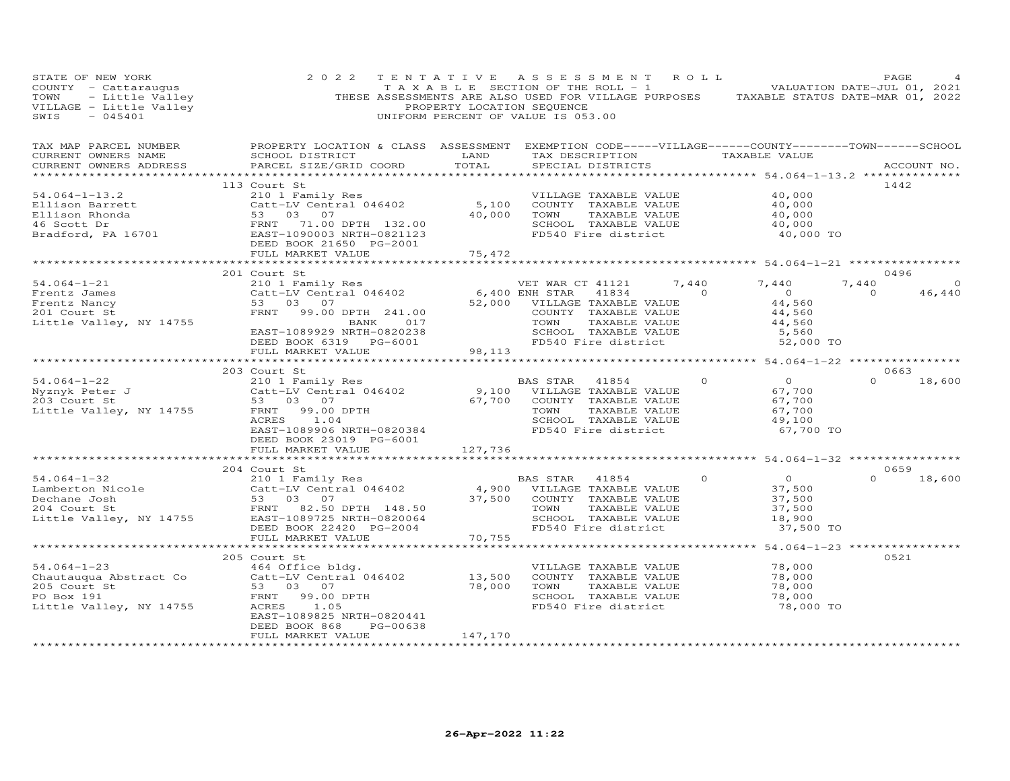| STATE OF NEW YORK<br>COUNTY - Cattaraugus<br>TOWN<br>- Little Valley<br>VILLAGE - Little Valley<br>SWIS<br>$-045401$ | 2 0 2 2                                                                                                                                                                                                                                                                            | PROPERTY LOCATION SEQUENCE | TENTATIVE ASSESSMENT<br>TAXABLE SECTION OF THE ROLL - 1 VALUATION DATE-JUL 01, 2021<br>THESE ASSESSMENTS ARE ALSO USED FOR VILLAGE PURPOSES TAXABLE STATUS DATE-MAR 01, 2022<br>UNIFORM PERCENT OF VALUE IS 053.00 | R O L L                                        | PAGE               |
|----------------------------------------------------------------------------------------------------------------------|------------------------------------------------------------------------------------------------------------------------------------------------------------------------------------------------------------------------------------------------------------------------------------|----------------------------|--------------------------------------------------------------------------------------------------------------------------------------------------------------------------------------------------------------------|------------------------------------------------|--------------------|
| TAX MAP PARCEL NUMBER<br>CURRENT OWNERS NAME<br>CURRENT OWNERS ADDRESS                                               | PROPERTY LOCATION & CLASS ASSESSMENT EXEMPTION CODE-----VILLAGE------COUNTY-------TOWN------SCHOOL<br>SCHOOL DISTRICT<br>PARCEL SIZE/GRID COORD                                                                                                                                    | LAND<br>TOTAL              | TAX DESCRIPTION TAXABLE VALUE<br>SPECIAL DISTRICTS                                                                                                                                                                 |                                                | ACCOUNT NO.        |
|                                                                                                                      | 113 Court St                                                                                                                                                                                                                                                                       |                            |                                                                                                                                                                                                                    |                                                | 1442               |
| $54.064 - 1 - 13.2$                                                                                                  | 210 1 Family Res                                                                                                                                                                                                                                                                   |                            | VILLAGE TAXABLE VALUE                                                                                                                                                                                              | 40,000                                         |                    |
|                                                                                                                      | Catt-LV Central 046402<br>Filison Barrett<br>Ellison Rhonda<br>Ellison Rhonda<br>46 Scott Dr<br>Bradford, PA 16701<br>Bradford, PA 16701<br>BEED BOOK 21650<br>CREAD BOOK 21650<br>PEED BOOK 21650<br>PEED BOOK 21650<br>PEED BOOK 21650<br>PEED BOOK 21650<br>PEED BOOK 21650<br> | 5,100                      | COUNTY TAXABLE VALUE                                                                                                                                                                                               | 40,000                                         |                    |
|                                                                                                                      |                                                                                                                                                                                                                                                                                    | 40,000                     | TOWN<br>TAXABLE VALUE                                                                                                                                                                                              | 40,000                                         |                    |
|                                                                                                                      |                                                                                                                                                                                                                                                                                    |                            | SCHOOL TAXABLE VALUE                                                                                                                                                                                               | 40,000                                         |                    |
|                                                                                                                      |                                                                                                                                                                                                                                                                                    |                            | FD540 Fire district                                                                                                                                                                                                | 40,000 TO                                      |                    |
|                                                                                                                      |                                                                                                                                                                                                                                                                                    |                            |                                                                                                                                                                                                                    |                                                |                    |
|                                                                                                                      | FULL MARKET VALUE                                                                                                                                                                                                                                                                  | 75,472                     |                                                                                                                                                                                                                    |                                                |                    |
|                                                                                                                      |                                                                                                                                                                                                                                                                                    | * * * * * * * * * * *      |                                                                                                                                                                                                                    | ************ 54.064-1-21 *****************     |                    |
|                                                                                                                      | 201 Court St                                                                                                                                                                                                                                                                       |                            |                                                                                                                                                                                                                    |                                                | 0496               |
| $54.064 - 1 - 21$                                                                                                    | 210 1 Family Res                                                                                                                                                                                                                                                                   |                            | VET WAR CT 41121<br>7,440                                                                                                                                                                                          | 7,440                                          | 7,440<br>$\circ$   |
| Frentz James                                                                                                         | Catt-LV Central 046402                                                                                                                                                                                                                                                             |                            | 6,400 ENH STAR<br>$\overline{a}$<br>41834                                                                                                                                                                          | $\overline{0}$                                 | $\Omega$<br>46,440 |
| Frentz Nancy                                                                                                         | 53 03 07                                                                                                                                                                                                                                                                           |                            | 52,000 VILLAGE TAXABLE VALUE                                                                                                                                                                                       | 44,560                                         |                    |
| 201 Court St                                                                                                         | FRNT 99.00 DPTH 241.00                                                                                                                                                                                                                                                             |                            | COUNTY TAXABLE VALUE                                                                                                                                                                                               | 44,560                                         |                    |
| Little Valley, NY 14755                                                                                              | BANK 017                                                                                                                                                                                                                                                                           |                            | TOWN<br>TAXABLE VALUE                                                                                                                                                                                              | 44,560                                         |                    |
|                                                                                                                      | EAST-1089929 NRTH-0820238                                                                                                                                                                                                                                                          |                            | SCHOOL TAXABLE VALUE<br>FD540 Fire district                                                                                                                                                                        | 5,560                                          |                    |
|                                                                                                                      | DEED BOOK 6319 PG-6001                                                                                                                                                                                                                                                             |                            |                                                                                                                                                                                                                    | 52,000 TO                                      |                    |
|                                                                                                                      | FULL MARKET VALUE                                                                                                                                                                                                                                                                  | 98,113                     |                                                                                                                                                                                                                    |                                                |                    |
|                                                                                                                      | *****************************                                                                                                                                                                                                                                                      |                            |                                                                                                                                                                                                                    |                                                |                    |
|                                                                                                                      | 203 Court St                                                                                                                                                                                                                                                                       |                            |                                                                                                                                                                                                                    |                                                | 0663               |
| $54.064 - 1 - 22$                                                                                                    | 210 1 Family Res                                                                                                                                                                                                                                                                   |                            | BAS STAR 41854<br>9,100 VILLAGE TAXABLE VALUE                                                                                                                                                                      | $\overline{0}$<br>$\Omega$                     | $\Omega$<br>18,600 |
| Nyznyk Peter J<br>203 Court St                                                                                       | Catt-LV Central 046402<br>53 03 07                                                                                                                                                                                                                                                 |                            |                                                                                                                                                                                                                    | 67,700                                         |                    |
| 203 Court St                                                                                                         |                                                                                                                                                                                                                                                                                    | 67,700                     | COUNTY TAXABLE VALUE                                                                                                                                                                                               | 67,700                                         |                    |
| Little Valley, NY 14755                                                                                              | FRNT<br>99.00 DPTH                                                                                                                                                                                                                                                                 |                            | TOWN<br>TAXABLE VALUE                                                                                                                                                                                              | 67,700                                         |                    |
|                                                                                                                      | 1.04<br>ACRES                                                                                                                                                                                                                                                                      |                            | SCHOOL TAXABLE VALUE<br>FD540 Fire district                                                                                                                                                                        | 49,100                                         |                    |
|                                                                                                                      | EAST-1089906 NRTH-0820384<br>DEED BOOK 23019 PG-6001                                                                                                                                                                                                                               |                            |                                                                                                                                                                                                                    | 67,700 TO                                      |                    |
|                                                                                                                      | FULL MARKET VALUE                                                                                                                                                                                                                                                                  | 127,736                    |                                                                                                                                                                                                                    |                                                |                    |
|                                                                                                                      |                                                                                                                                                                                                                                                                                    |                            |                                                                                                                                                                                                                    |                                                |                    |
|                                                                                                                      | 204 Court St                                                                                                                                                                                                                                                                       |                            |                                                                                                                                                                                                                    |                                                | 0659               |
| $54.064 - 1 - 32$                                                                                                    | 210 1 Family Res                                                                                                                                                                                                                                                                   |                            | BAS STAR<br>41854                                                                                                                                                                                                  | $\overline{O}$<br>$\Omega$                     | $0 \t 18,600$      |
| Lamberton Nicole                                                                                                     | Catt-LV Central 046402                                                                                                                                                                                                                                                             |                            | 4,900 VILLAGE TAXABLE VALUE                                                                                                                                                                                        | 37,500                                         |                    |
| Dechane Josh                                                                                                         |                                                                                                                                                                                                                                                                                    | 37,500                     | COUNTY TAXABLE VALUE                                                                                                                                                                                               | 37,500                                         |                    |
| 204 Court St                                                                                                         | 53      03      07<br>FRNT       82.50  DPTH    148.50                                                                                                                                                                                                                             |                            | TOWN<br>TAXABLE VALUE                                                                                                                                                                                              | 37,500                                         |                    |
|                                                                                                                      | Little Valley, NY 14755 EAST-1089725 NRTH-0820064                                                                                                                                                                                                                                  |                            | SCHOOL TAXABLE VALUE                                                                                                                                                                                               | 18,900                                         |                    |
|                                                                                                                      | DEED BOOK 22420 PG-2004                                                                                                                                                                                                                                                            |                            | FD540 Fire district                                                                                                                                                                                                | 37,500 TO                                      |                    |
|                                                                                                                      | FULL MARKET VALUE                                                                                                                                                                                                                                                                  | 70,755                     |                                                                                                                                                                                                                    |                                                |                    |
|                                                                                                                      | *************************                                                                                                                                                                                                                                                          |                            |                                                                                                                                                                                                                    | ***************** 54.064-1-23 **************** |                    |
|                                                                                                                      | 205 Court St                                                                                                                                                                                                                                                                       |                            |                                                                                                                                                                                                                    |                                                | 0521               |
| $54.064 - 1 - 23$                                                                                                    | 464 Office bldg.                                                                                                                                                                                                                                                                   |                            | VILLAGE TAXABLE VALUE                                                                                                                                                                                              | 78,000                                         |                    |
| Chautauqua Abstract Co                                                                                               | Catt-LV Central 046402                                                                                                                                                                                                                                                             | 13,500                     | COUNTY TAXABLE VALUE                                                                                                                                                                                               | 78,000                                         |                    |
| 205 Court St                                                                                                         | 53 03 07                                                                                                                                                                                                                                                                           | 78,000                     | TOWN<br>TAXABLE VALUE                                                                                                                                                                                              | 78,000                                         |                    |
| PO Box 191                                                                                                           | 99.00 DPTH<br>FRNT                                                                                                                                                                                                                                                                 |                            | SCHOOL TAXABLE VALUE                                                                                                                                                                                               | 78,000                                         |                    |
| Little Valley, NY 14755                                                                                              | ACRES<br>1.05                                                                                                                                                                                                                                                                      |                            | FD540 Fire district                                                                                                                                                                                                | 78,000 TO                                      |                    |
|                                                                                                                      | EAST-1089825 NRTH-0820441                                                                                                                                                                                                                                                          |                            |                                                                                                                                                                                                                    |                                                |                    |
|                                                                                                                      | DEED BOOK 868<br>PG-00638                                                                                                                                                                                                                                                          |                            |                                                                                                                                                                                                                    |                                                |                    |
|                                                                                                                      | FULL MARKET VALUE                                                                                                                                                                                                                                                                  | 147,170                    |                                                                                                                                                                                                                    |                                                |                    |
|                                                                                                                      | ***********************                                                                                                                                                                                                                                                            | **************             |                                                                                                                                                                                                                    |                                                |                    |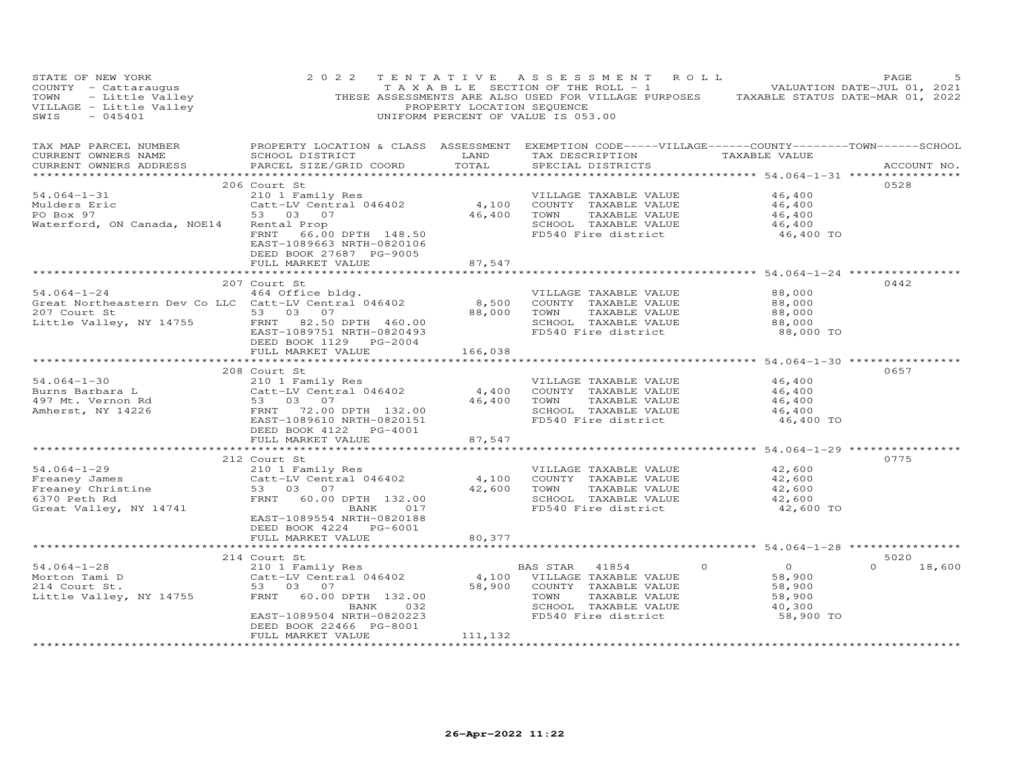| STATE OF NEW YORK<br>COUNTY - Cattaraugus<br>TOWN - Little Valley<br>VILLAGE - Little Valley<br>SWIS - 045401                                         | 2 0 2 2                                                                                                                                                                                                     | PROPERTY LOCATION SEQUENCE                 | TENTATIVE ASSESSMENT ROLL<br>TAXABLE SECTION OF THE ROLL - 1 $\cdots$ - - VALUATION DATE-JUL 01, 2021<br>THESE ASSESSMENTS ARE ALSO USED FOR VILLAGE PURPOSES TAXABLE STATUS DATE-MAR 01, 2022<br>UNIFORM PERCENT OF VALUE IS 053.00 |                                                                     | PAGE<br>5.                 |
|-------------------------------------------------------------------------------------------------------------------------------------------------------|-------------------------------------------------------------------------------------------------------------------------------------------------------------------------------------------------------------|--------------------------------------------|--------------------------------------------------------------------------------------------------------------------------------------------------------------------------------------------------------------------------------------|---------------------------------------------------------------------|----------------------------|
| TAX MAP PARCEL NUMBER<br>CURRENT OWNERS NAME<br>CURRENT OWNERS ADDRESS                                                                                | SCHOOL DISTRICT<br>PARCEL SIZE/GRID COORD                                                                                                                                                                   | LAND<br>TOTAL                              | PROPERTY LOCATION & CLASS ASSESSMENT EXEMPTION CODE-----VILLAGE------COUNTY--------TOWN------SCHOOL<br>TAX DESCRIPTION TAXABLE VALUE<br>SPECIAL DISTRICTS                                                                            |                                                                     | ACCOUNT NO.                |
| $54.064 - 1 - 31$<br>Mulders Eric<br>PO Box 97<br>Waterford, ON Canada, NOE14                                                                         | 206 Court St<br>FRNT 66.00 DPTH 148.50<br>EAST-1089663 NRTH-0820106<br>DEED BOOK 27687 PG-9005<br>FULL MARKET VALUE                                                                                         | 87,547                                     | VILLAGE TAXABLE VALUE<br>SCHOOL TAXABLE VALUE<br>FD540 Fire district                                                                                                                                                                 | 46,400<br>46,400<br>46,400<br>46,400<br>46,400 TO                   | 0528                       |
|                                                                                                                                                       |                                                                                                                                                                                                             |                                            |                                                                                                                                                                                                                                      |                                                                     |                            |
| $54.064 - 1 - 24$<br>Great Northeastern Dev Co LLC Catt-LV Central 046402<br>207 Court St<br>Little Valley, NY 14755                                  | 207 Court St<br>464 Office bldg.<br>53 03 07<br>FRNT 82.50 DPTH 460.00<br>EAST-1089751 NRTH-0820493<br>DEED BOOK 1129 PG-2004                                                                               | 8,500<br>88,000                            | VILLAGE TAXABLE VALUE<br>COUNTY TAXABLE VALUE<br>TOWN<br>TAXABLE VALUE<br>SCHOOL TAXABLE VALUE<br>FD540 Fire district                                                                                                                | 88,000<br>88,000<br>88,000<br>88,000<br>88,000 TO                   | 0442                       |
|                                                                                                                                                       | FULL MARKET VALUE                                                                                                                                                                                           | 166,038                                    |                                                                                                                                                                                                                                      |                                                                     |                            |
|                                                                                                                                                       |                                                                                                                                                                                                             |                                            |                                                                                                                                                                                                                                      |                                                                     |                            |
| $54.064 - 1 - 30$<br>Burns Barbara L<br>Burns Barbara L<br>497 Mt. Vernon Rd<br>Amherst, NY 14226<br>Amherst, NY 14226                                | 208 Court St<br>210 1 Family Res<br>Catt-LV Central 046402<br>53 03 07<br>53 03 07<br>FRNT 72.00 DPTH 132.00<br>EAST-1089610 NRTH-0820151<br>DEED BOOK 4122    PG-4001                                      | 4,400<br>46,400                            | VILLAGE TAXABLE VALUE<br>COUNTY TAXABLE VALUE<br>TAXABLE VALUE<br>TOWN<br>SCHOOL TAXABLE VALUE<br>FD540 Fire district                                                                                                                | 46,400<br>46,400<br>46,400<br>46,400<br>46,400 TO                   | 0657                       |
|                                                                                                                                                       | FULL MARKET VALUE                                                                                                                                                                                           | 87,547<br>************                     |                                                                                                                                                                                                                                      |                                                                     |                            |
| $54.064 - 1 - 29$<br>Freaney Christine (Catt-LV Centily Cattle of the Magnus)<br>6370 Peth Rd (2007)<br>6370 Peth Rd (2008)<br>Great Valley, NY 14741 | 212 Court St<br>210 1 Family Res<br>Catt-LV Central 046402<br>FRNT 60.00 DPTH 132.00<br>BANK 017<br>EAST-1089554 NRTH-0820188<br>DEED BOOK 4224 PG-6001<br>FULL MARKET VALUE                                | 4,100<br>42,600<br>80,377                  | VILLAGE TAXABLE VALUE<br>COUNTY TAXABLE VALUE<br>TOWN<br>TAXABLE VALUE<br>SCHOOL TAXABLE VALUE<br>FD540 Fire district                                                                                                                | 42,600<br>42,600<br>42,600<br>42,600<br>42,600 TO                   | 0775                       |
|                                                                                                                                                       |                                                                                                                                                                                                             |                                            |                                                                                                                                                                                                                                      |                                                                     |                            |
| $54.064 - 1 - 28$<br>Morton Tami D<br>214 Court St.<br>Little Valley, NY 14755                                                                        | 214 Court St<br>Court st<br>210 1 Family Res<br>Catt-LV Central 046402<br>53 03 07<br>FRNT<br>60.00 DPTH 132.00<br>BANK<br>032<br>EAST-1089504 NRTH-0820223<br>DEED BOOK 22466 PG-8001<br>FULL MARKET VALUE | $4,100$ <sup>BZ</sup><br>58,900<br>111,132 | $\Omega$<br>BAS STAR<br>41854<br>VILLAGE TAXABLE VALUE<br>COUNTY TAXABLE VALUE<br>TOWN<br>TAXABLE VALUE<br>SCHOOL TAXABLE VALUE<br>FD540 Fire district                                                                               | $\overline{O}$<br>58,900<br>58,900<br>58,900<br>40,300<br>58,900 TO | 5020<br>$\Omega$<br>18,600 |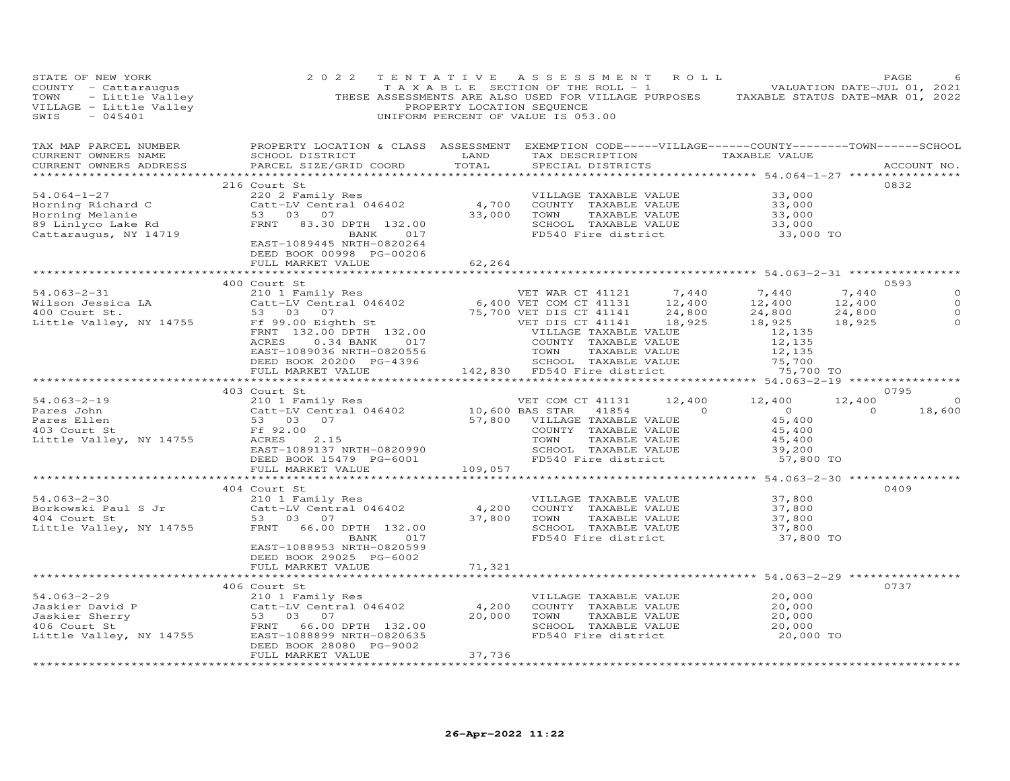| STATE OF NEW YORK                                                                                                                    | 2 0 2 2<br>PAGE 6<br>TOWN - Little Valley THESE ASSESSMENTY LOCATION OF THE ROLL - 1<br>TOWN - Little Valley THESE ASSESSMENTY ARE ALSO USED FOR VILLAGE PURPOSES TAXABLE STATUS DATE-JUL 01, 2021<br>THESE ASSESSMENTY LOCATION SEQUENCE<br>UNIF                                           |                    | TENTATIVE ASSESSMENT ROLL                                                                                             |                                                                                                     |                                     | PAGE                                                       |
|--------------------------------------------------------------------------------------------------------------------------------------|---------------------------------------------------------------------------------------------------------------------------------------------------------------------------------------------------------------------------------------------------------------------------------------------|--------------------|-----------------------------------------------------------------------------------------------------------------------|-----------------------------------------------------------------------------------------------------|-------------------------------------|------------------------------------------------------------|
| TAX MAP PARCEL NUMBER<br>CURRENT OWNERS NAME<br>CURRENT OWNERS ADDRESS                                                               | PROPERTY LOCATION & CLASS ASSESSMENT EXEMPTION CODE-----VILLAGE------COUNTY-------TOWN------SCHOOL<br>SCHOOL DISTRICT LAND<br>PARCEL SIZE/GRID COORD TOTAL                                                                                                                                  |                    | TAX DESCRIPTION TAXABLE VALUE<br>SPECIAL DISTRICTS                                                                    |                                                                                                     |                                     | ACCOUNT NO.                                                |
| 54.064-1-27<br>Horning Richard C Catt-LV Centr<br>Horning Melanie 53 03 07<br>89 Linlyco Lake Rd FRNT 83.30<br>Cattaraugus, NY 14719 | 216 Court St<br>Catt-LV Central 046402<br>Catt-LV Central 046402<br>53 03 07<br>FRNT 83.30 DPTH 132.00<br>BANK 017<br>EAST-1089445 NRTH-0820264<br>EAST-1089445 NRTH-0820264<br>DEED BOOK 00998 PG-00206                                                                                    | 62,264             |                                                                                                                       | 33,000<br>33,000<br>$33,000$<br>$33,000$<br>$33,000$<br>33,000 TO                                   |                                     | 0832                                                       |
|                                                                                                                                      | FULL MARKET VALUE                                                                                                                                                                                                                                                                           |                    |                                                                                                                       |                                                                                                     |                                     |                                                            |
|                                                                                                                                      | 400 Court St<br>403 Court St                                                                                                                                                                                                                                                                |                    |                                                                                                                       | 7,440<br>12,400<br>24,800<br>18,925<br>12,135<br>12,135<br>12,135<br>75,700<br>75,700 TO            | 7,440<br>12,400<br>24,800<br>18,925 | 0593<br>$\circ$<br>$\circ$<br>$\Omega$<br>$\Omega$<br>0795 |
|                                                                                                                                      | 54.063-2-19<br>Pares John 210 1 Family Res<br>Pares John Catt-LV Central 046402<br>Fares Ellen 53 03 07<br>403 Court St<br>Free 2.00<br>Little Valley, NY 14755<br>EAST-1089137 NRTH-0820990<br>DEED BOOK 138 10,600 BAS STAR 41854 0<br>Free S<br>FULL MARKET VALUE 109,057                |                    | VET COM CT 41131 12,400 12,400                                                                                        | $\overline{0}$<br>45,400<br>$45,400$<br>$45,400$<br>$39,200$<br>57,800 TO                           | 12,400<br>$\overline{0}$            | $\overline{O}$<br>18,600                                   |
|                                                                                                                                      | 404 Court St                                                                                                                                                                                                                                                                                |                    |                                                                                                                       |                                                                                                     |                                     | 0409                                                       |
| $54.063 - 2 - 30$<br>Borkowski Paul S Jr and Catt-LV Centr.<br>404 Court St 53 03 07<br>Little Valley, NY 14755 FRNT 66.00           | Court st<br>210 1 Family Res<br>Catt-LV Central 046402 4,200 COUNTY TAXABLE VALUE<br>53 03 07 37,800 TOWN TAXABLE VALUE<br>FRAME CALUE SCHOOL TAXABLE VALUE<br>FRAME SCHOOL TAXABLE VALUE<br>BANK 017<br>EAST-1088953 NRTH-0820599<br>DEED BOOK 29025 PG-6002                               |                    | VILLAGE TAXABLE VALUE<br>FD540 Fire district                                                                          | 37,800<br>37,800<br>37,800<br>37,800<br>37,800 TO                                                   |                                     |                                                            |
|                                                                                                                                      | FULL MARKET VALUE                                                                                                                                                                                                                                                                           | 71,321             |                                                                                                                       |                                                                                                     |                                     |                                                            |
| 54.063-2-29                                                                                                                          | 406 Court St<br>210 1 Family Res<br>Catt-LV Central 046402 4,200<br>20.000<br>Jaskier David P Catt-LV Central 046402<br>Jaskier Sherry 53 03 07<br>406 Court St FRNT 66.00 DPTH 132.00<br>Little Valley, NY 14755 EAST-1088899 NRTH-0820635<br>DEED BOOK 28080 PG-9002<br>FULL MARKET VALUE | 20,000<br>37,736   | VILLAGE TAXABLE VALUE<br>COUNTY TAXABLE VALUE<br>TOWN<br>TAXABLE VALUE<br>SCHOOL TAXABLE VALUE<br>FD540 Fire district | ******************** 54.063-2-29 *************<br>20,000<br>20,000<br>20,000<br>20,000<br>20,000 TO |                                     | 0737                                                       |
|                                                                                                                                      |                                                                                                                                                                                                                                                                                             | ****************** |                                                                                                                       |                                                                                                     |                                     |                                                            |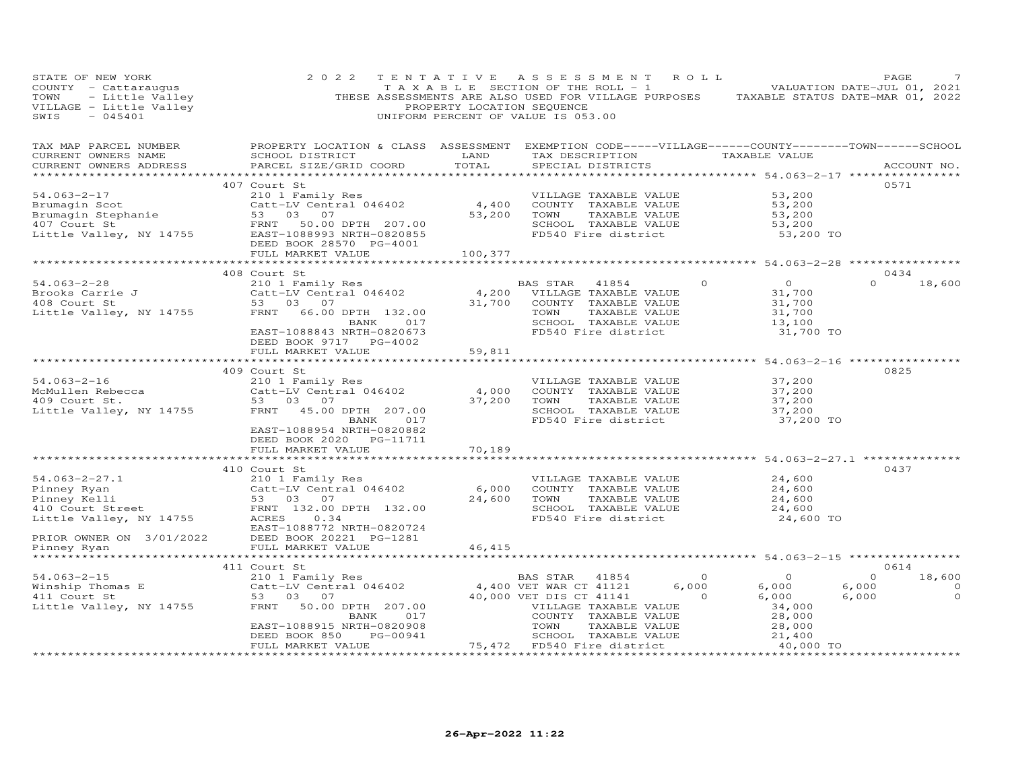| STATE OF NEW YORK<br>COUNTY - Cattaraugus<br>- Little Valley<br>- Little Valley<br>- 045401<br>TOWN<br>VILLAGE - Little Valley<br>SWIS<br>$-045401$                                                                            | 2 0 2 2                                                                                                                                                                                           | TENTATIVE<br>PROPERTY LOCATION SEQUENCE | A S S E S S M E N T<br>R O L L<br>TAXABLE SECTION OF THE ROLL - 1 VALUATION DATE-JUL 01, 2021<br>THESE ASSESSMENTS ARE ALSO USED FOR VILLAGE PURPOSES TAXABLE STATUS DATE-MAR 01, 2022<br>UNIFORM PERCENT OF VALUE IS 053.00 |                                                                                        | PAGE                                                                     |
|--------------------------------------------------------------------------------------------------------------------------------------------------------------------------------------------------------------------------------|---------------------------------------------------------------------------------------------------------------------------------------------------------------------------------------------------|-----------------------------------------|------------------------------------------------------------------------------------------------------------------------------------------------------------------------------------------------------------------------------|----------------------------------------------------------------------------------------|--------------------------------------------------------------------------|
| TAX MAP PARCEL NUMBER<br>CURRENT OWNERS NAME<br>CURRENT OWNERS ADDRESS                                                                                                                                                         | PROPERTY LOCATION & CLASS ASSESSMENT EXEMPTION CODE-----VILLAGE------COUNTY--------TOWN------SCHOOL<br>SCHOOL DISTRICT<br>PARCEL SIZE/GRID COORD                                                  | LAND<br>TOTAL                           | TAX DESCRIPTION TAXABLE VALUE<br>SPECIAL DISTRICTS                                                                                                                                                                           |                                                                                        | ACCOUNT NO.                                                              |
| $54.063 - 2 - 17$<br>Brumagin Scot Catt-LV Central 046402<br>Brumagin Stephanie 53 03 07<br>407 Court St FRNT 50.00 DPTH 207.00<br>Little Valley, NY 14755 EAST-108893 NRTH-0820855<br>ERST PG-4001                            | 407 Court St<br>210 1 Family Res<br>Catt-LV Central 046402<br>53 03 07<br>DEED BOOK 28570 PG-4001<br>FULL MARKET VALUE                                                                            | 4,400<br>53,200<br>100,377              | VILLAGE TAXABLE VALUE<br>COUNTY TAXABLE VALUE<br>TOWN<br>TAXABLE VALUE<br>SCHOOL TAXABLE VALUE<br>FD540 Fire district                                                                                                        | 53,200<br>53,200<br>53,200<br>53,200<br>53,200 TO                                      | 0571                                                                     |
|                                                                                                                                                                                                                                |                                                                                                                                                                                                   |                                         |                                                                                                                                                                                                                              |                                                                                        |                                                                          |
| $54.063 - 2 - 28$<br>Brooks Carrie J<br>408 Court St<br>Little Valley, NY 14755                                                                                                                                                | 408 Court St<br>210 1 Family Res<br>Catt-LV Central 046402<br>53 03 07<br>FRNT<br>66.00 DPTH 132.00<br>BANK 017<br>EAST-1088843 NRTH-0820673<br>DEED BOOK 9717 PG-4002                            | 4,200<br>31,700                         | BAS STAR<br>41854<br>VILLAGE TAXABLE VALUE<br>COUNTY TAXABLE VALUE<br>TAXABLE VALUE<br>TOWN<br>SCHOOL TAXABLE VALUE<br>FD540 Fire district                                                                                   | $\overline{O}$<br>$\circ$<br>31,700<br>31,700<br>31,700<br>13,100<br>31,700 TO         | 0434<br>$\Omega$<br>18,600                                               |
|                                                                                                                                                                                                                                | FULL MARKET VALUE                                                                                                                                                                                 | 59,811                                  | ***********************                                                                                                                                                                                                      | ******************** 54.063-2-16 *****************                                     |                                                                          |
| $54.063 - 2 - 16$<br>McMullen Rebecca Catt-LV Central 046402<br>409 Court St. 53 03 07<br>Little Valley, NY 14755 FRNT 45.00 DPTH 207.00                                                                                       | 409 Court St<br>210 1 Family Res<br>BANK 017<br>EAST-1088954 NRTH-0820882<br>DEED BOOK 2020 PG-11711                                                                                              | 4,000<br>37,200                         | VILLAGE TAXABLE VALUE<br>COUNTY TAXABLE VALUE<br>TAXABLE VALUE<br>TOWN<br>SCHOOL TAXABLE VALUE<br>FD540 Fire district                                                                                                        | 37,200<br>37,200<br>37,200<br>37,200<br>37,200 TO                                      | 0825                                                                     |
|                                                                                                                                                                                                                                | FULL MARKET VALUE                                                                                                                                                                                 | 70,189                                  |                                                                                                                                                                                                                              |                                                                                        |                                                                          |
| $54.063 - 2 - 27.1$<br>Pinney Ryan<br>Pinney Kelli<br>Finney Kelli<br>53 03 07<br>410 Court Street<br>Little Valley, NY 14755<br>REES 0.34<br>REES 0.34<br>REES 0.34<br>PRIOR OWNER ON 3/01/2022<br>Pinney Ryan<br>Pinney Ryan | 410 Court St<br>210 1 Family Res<br>Catt-LV Central 046402 6,000<br>EAST-1088772 NRTH-0820724<br>DEED BOOK 20221 PG-1281<br>FULL MARKET VALUE                                                     | 24,600<br>46,415                        | ******************************** 54.063-2-27.1 ***************<br>VILLAGE TAXABLE VALUE<br>COUNTY TAXABLE VALUE<br>TOWN<br>TAXABLE VALUE<br>SCHOOL TAXABLE VALUE<br>FD540 Fire district                                      | 24,600<br>24,600<br>24,600<br>24,600<br>24,600 TO                                      | 0437                                                                     |
|                                                                                                                                                                                                                                |                                                                                                                                                                                                   |                                         |                                                                                                                                                                                                                              |                                                                                        |                                                                          |
| $54.063 - 2 - 15$<br>Winship Thomas E<br>411 Court St<br>411 Court St<br>Little Valley, NY 14755                                                                                                                               | 411 Court St<br>210 1 Family Res<br>Catt-LV Central 046402<br>53 03 07<br>FRNT<br>50.00 DPTH 207.00<br>BANK<br>017<br>EAST-1088915 NRTH-0820908<br>PG-00941<br>DEED BOOK 850<br>FULL MARKET VALUE |                                         | $\overline{0}$<br>BAS STAR 41854<br>4,400 VET WAR CT 41121<br>6,000<br>40,000 VET DIS CT 41141<br>VILLAGE TAXABLE VALUE<br>COUNTY TAXABLE VALUE<br>TOWN<br>TAXABLE VALUE                                                     | $\overline{0}$<br>6,000<br>$\circ$<br>6,000<br>34,000<br>28,000<br>28,000<br>40,000 TO | 0614<br>$\circ$<br>18,600<br>6,000<br>$\overline{0}$<br>6,000<br>$\circ$ |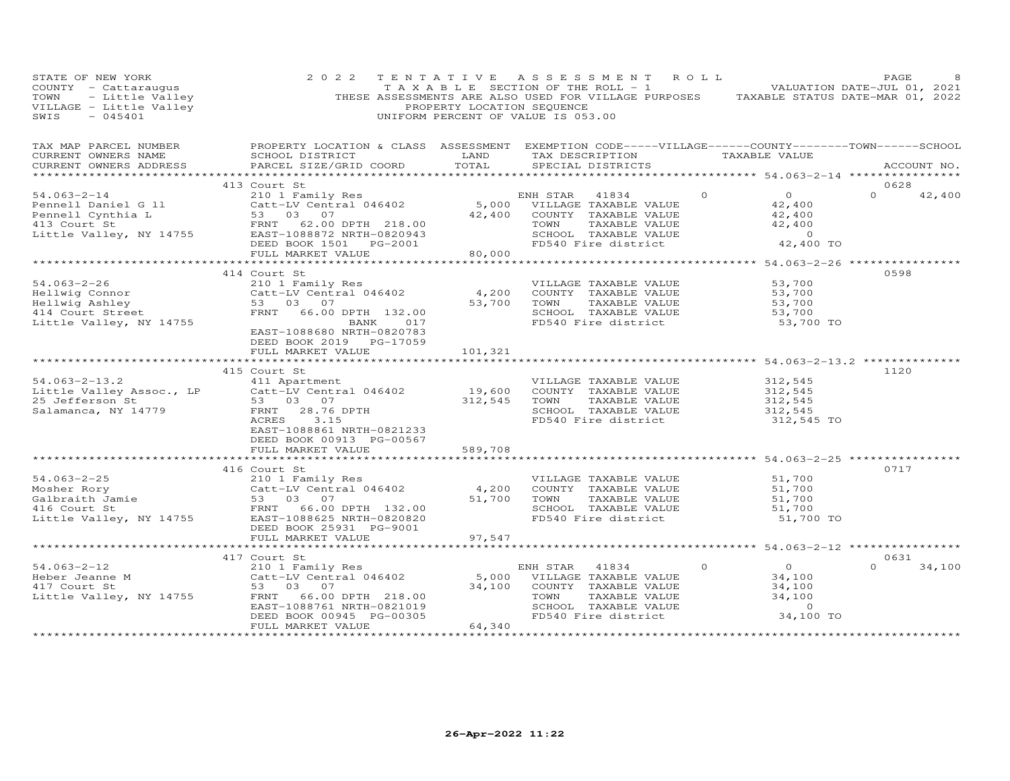| STATE OF NEW YORK<br>COUNTY - Cattaraugus<br>TOWN - Little Valley<br>VILLAGE - Little Valley<br>SWIS - 045401<br>SWIS<br>$-045401$ | 2 0 2 2                                                                                                                                                                           | PROPERTY LOCATION SEQUENCE  | TENTATIVE ASSESSMENT ROLL<br>TAXABLE SECTION OF THE ROLL - 1 VALUATION DATE-JUL 01, 2021<br>THESE ASSESSMENTS ARE ALSO USED FOR VILLAGE PURPOSES TAXABLE STATUS DATE-MAR 01, 2022<br>UNIFORM PERCENT OF VALUE IS 053.00 |                                                                                        | PAGE                       |
|------------------------------------------------------------------------------------------------------------------------------------|-----------------------------------------------------------------------------------------------------------------------------------------------------------------------------------|-----------------------------|-------------------------------------------------------------------------------------------------------------------------------------------------------------------------------------------------------------------------|----------------------------------------------------------------------------------------|----------------------------|
| TAX MAP PARCEL NUMBER<br>CURRENT OWNERS NAME<br>CURRENT OWNERS ADDRESS                                                             | PROPERTY LOCATION & CLASS ASSESSMENT EXEMPTION CODE-----VILLAGE------COUNTY--------TOWN------SCHOOL<br>SCHOOL DISTRICT<br>PARCEL SIZE/GRID COORD                                  | LAND<br>TOTAL               | TAX DESCRIPTION TAXABLE VALUE<br>SPECIAL DISTRICTS                                                                                                                                                                      |                                                                                        | ACCOUNT NO.                |
|                                                                                                                                    |                                                                                                                                                                                   |                             |                                                                                                                                                                                                                         |                                                                                        |                            |
| $54.063 - 2 - 14$                                                                                                                  | 413 Court St<br>210 1 Family Res                                                                                                                                                  |                             | ENH STAR 41834                                                                                                                                                                                                          | $\overline{O}$<br>$\Omega$                                                             | 0628<br>$\Omega$<br>42,400 |
| Pennell Daniel G 11<br>Pennell Cynthia L<br>413 Court St<br>Little Valley, NY 14755                                                | Catt-LV Central 046402<br>53 03 07<br>FRNT 62.00 DPTH 218.00<br>EAST-1088872 NRTH-0820943<br>DEED BOOK 1501    PG-2001                                                            | 42,400                      | 5,000 VILLAGE TAXABLE VALUE<br>COUNTY TAXABLE VALUE<br>TOWN<br>TAXABLE VALUE<br>SCHOOL TAXABLE VALUE<br>FD540 Fire district                                                                                             | 42,400<br>42,400<br>42,400<br>$\overline{0}$<br>42,400 TO                              |                            |
|                                                                                                                                    | FULL MARKET VALUE                                                                                                                                                                 | 80,000                      |                                                                                                                                                                                                                         |                                                                                        |                            |
|                                                                                                                                    |                                                                                                                                                                                   |                             | ******************************* 54.063-2-26 *****************                                                                                                                                                           |                                                                                        |                            |
| $54.063 - 2 - 26$<br>Hellwig Connor<br>Hellwig Ashley<br>414 Court Street<br>Little Valley, NY 14755                               | 414 Court St<br>210 1 Family Res<br>Catt-LV Central 046402<br>53 03 07<br>FRNT<br>66.00 DPTH 132.00<br>BANK<br>017<br>EAST-1088680 NRTH-0820783<br>DEED BOOK 2019 PG-17059        | 4,200<br>53,700             | VILLAGE TAXABLE VALUE<br>COUNTY TAXABLE VALUE<br>TOWN<br>TAXABLE VALUE<br>SCHOOL TAXABLE VALUE<br>FD540 Fire district                                                                                                   | 53,700<br>53,700<br>53,700<br>53,700<br>53,700 TO                                      | 0598                       |
|                                                                                                                                    | FULL MARKET VALUE                                                                                                                                                                 | 101,321                     |                                                                                                                                                                                                                         |                                                                                        |                            |
|                                                                                                                                    |                                                                                                                                                                                   |                             |                                                                                                                                                                                                                         |                                                                                        |                            |
| $54.063 - 2 - 13.2$<br>Little Valley Assoc., LP<br>25 Jefferson St<br>Salamanca, NY 14779                                          | 415 Court St<br>411 Apartment<br>Catt-LV Central 046402<br>53 03 07<br>28.76 DPTH<br>FRNT<br>ACRES<br>3.15<br>EAST-1088861 NRTH-0821233<br>DEED BOOK 00913 PG-00567               | 19,600<br>312,545           | VILLAGE TAXABLE VALUE<br>COUNTY TAXABLE VALUE<br>TOWN<br>TAXABLE VALUE<br>SCHOOL TAXABLE VALUE<br>FD540 Fire district                                                                                                   | 312,545<br>312,545<br>312,545<br>312,545<br>312,545 TO                                 | 1120                       |
|                                                                                                                                    | FULL MARKET VALUE                                                                                                                                                                 | 589,708                     |                                                                                                                                                                                                                         |                                                                                        |                            |
|                                                                                                                                    |                                                                                                                                                                                   | * * * * * * * * * * * * * * | ******************************** 54.063-2-25 ***************                                                                                                                                                            |                                                                                        | 0717                       |
| $54.063 - 2 - 25$<br>Mosher Rory<br>Galbraith Jamie<br>Calbraith Jamie<br>Little Valley, NY 14755                                  | 416 Court St<br>210 1 Family Res<br>Catt-LV Central 046402<br>53       03       07<br>FRNT         66.00  DPTH     132.00<br>EAST-1088625 NRTH-0820820<br>DEED BOOK 25931 PG-9001 | 4,200<br>51,700             | VILLAGE TAXABLE VALUE<br>COUNTY TAXABLE VALUE<br>TOWN<br>TAXABLE VALUE<br>SCHOOL TAXABLE VALUE<br>FD540 Fire district                                                                                                   | 51,700<br>51,700<br>51,700<br>51,700<br>51,700 TO                                      |                            |
|                                                                                                                                    | FULL MARKET VALUE                                                                                                                                                                 | 97,547                      |                                                                                                                                                                                                                         |                                                                                        |                            |
|                                                                                                                                    |                                                                                                                                                                                   |                             |                                                                                                                                                                                                                         |                                                                                        |                            |
| $54.063 - 2 - 12$<br>Heber Jeanne M<br>417 Court St<br>Little Valley, NY 14755                                                     | 417 Court St<br>210 1 Family Res<br>Catt-LV Central 046402<br>53 03 07<br>FRNT<br>66.00 DPTH 218.00<br>EAST-1088761 NRTH-0821019<br>DEED BOOK 00945 PG-00305                      | 5,000<br>34,100             | ENH STAR<br>41834<br>VILLAGE TAXABLE VALUE<br>COUNTY TAXABLE VALUE<br>TOWN<br>TAXABLE VALUE<br>SCHOOL TAXABLE VALUE<br>FD540 Fire district                                                                              | $\overline{O}$<br>$\circ$<br>34,100<br>34,100<br>34,100<br>$\overline{0}$<br>34,100 TO | 0631<br>$\Omega$<br>34,100 |
|                                                                                                                                    | FULL MARKET VALUE<br>***********************                                                                                                                                      | 64,340<br>**************    |                                                                                                                                                                                                                         |                                                                                        |                            |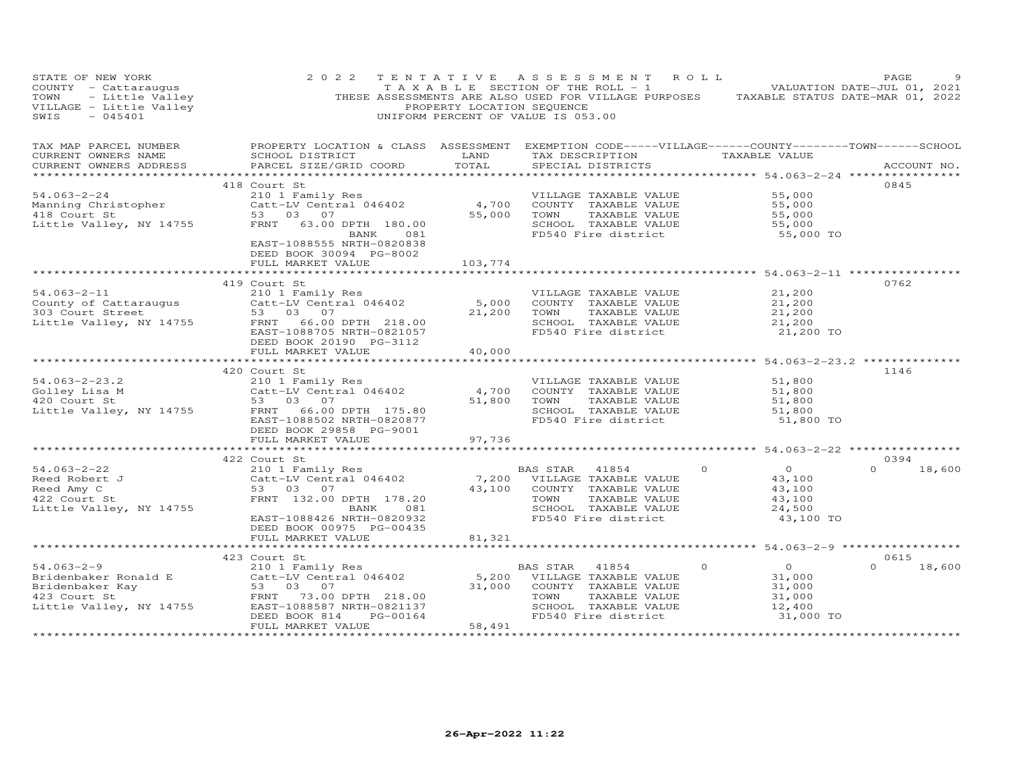| STATE OF NEW YORK<br>COUNTY - Cattaraugus<br>TOWN - Little Valley<br>VILLAGE - Little Valley<br>SWIS - 045401                                                             | 2 0 2 2                                                                                                                                                                                            | PROPERTY LOCATION SEQUENCE                                    | TENTATIVE ASSESSMENT ROLL<br>TAXABLE SECTION OF THE ROLL - 1 VALUATION DATE-JUL 01, 2021<br>THESE ASSESSMENTS ARE ALSO USED FOR VILLAGE PURPOSES TAXABLE STATUS DATE-MAR 01, 2022<br>UNIFORM PERCENT OF VALUE IS 053.00 |                                                                                                                               | PAGE                       |
|---------------------------------------------------------------------------------------------------------------------------------------------------------------------------|----------------------------------------------------------------------------------------------------------------------------------------------------------------------------------------------------|---------------------------------------------------------------|-------------------------------------------------------------------------------------------------------------------------------------------------------------------------------------------------------------------------|-------------------------------------------------------------------------------------------------------------------------------|----------------------------|
| TAX MAP PARCEL NUMBER<br>CURRENT OWNERS NAME<br>CURRENT OWNERS ADDRESS<br>***********************                                                                         | SCHOOL DISTRICT<br>PARCEL SIZE/GRID COORD                                                                                                                                                          | LAND<br>TOTAL                                                 | PROPERTY LOCATION & CLASS ASSESSMENT EXEMPTION CODE-----VILLAGE------COUNTY--------TOWN------SCHOOL<br>TAX DESCRIPTION TAXABLE VALUE<br>SPECIAL DISTRICTS                                                               |                                                                                                                               | ACCOUNT NO.                |
| 54.063-2-24<br>Manning Christopher<br>418 Court St<br>Little Valley, NY 14755                                                                                             | 418 Court St<br>210 1 Family Res<br>Catt-LV Central 046402<br>53 03 07<br>FRNT 63.00 DPTH 180.00<br>BANK 081<br>EAST-1088555 NRTH-0820838<br>DEED BOOK 30094 PG-8002                               | 4,700<br>55,000                                               | VILLAGE TAXABLE VALUE<br>COUNTY TAXABLE VALUE<br>TAXABLE VALUE<br>TOWN<br>SCHOOL TAXABLE VALUE<br>FD540 Fire district                                                                                                   | 55,000<br>55,000<br>55,000<br>55,000<br>55,000 TO                                                                             | 0845                       |
| $54.063 - 2 - 11$<br>County of Cattaraugus<br>303 Court Street<br>Little Valley, NY 14755                                                                                 | FULL MARKET VALUE<br>419 Court St<br>210 1 Family Res<br>Catt-LV Central 046402<br>53 03 07<br>FRNT 66.00 DPTH 218.00<br>EAST-1088705 NRTH-0821057<br>DEED BOOK 20190 PG-3112<br>FULL MARKET VALUE | 103,774<br>5,000<br>21,200<br>40,000                          | VILLAGE TAXABLE VALUE<br>COUNTY TAXABLE VALUE<br>TAXABLE VALUE<br>TOWN<br>SCHOOL TAXABLE VALUE<br>FD540 Fire district                                                                                                   | 21,200<br>21,200<br>21,200<br>21,200<br>21,200 TO                                                                             | 0762                       |
| $54.063 - 2 - 23.2$<br>54.063-2-23.2<br>Golley Lisa M<br>420 Court St Cattle Valley, NY 14755 FRNT 66.00 DPTH 175.80                                                      | 420 Court St<br>210 1 Family Res<br>EAST-1088502 NRTH-0820877<br>DEED BOOK 29858 PG-9001<br>FULL MARKET VALUE<br>****************************                                                      | *******************<br>4,700<br>51,800<br>97,736              | ********************************* 54.063–2–23.2 **************<br>VILLAGE TAXABLE VALUE<br>COUNTY TAXABLE VALUE<br>TAXABLE VALUE<br>TOWN<br>SCHOOL TAXABLE VALUE<br>FD540 Fire district                                 | 51,800<br>51,800<br>51,800<br>51,800<br>51,800 TO                                                                             | 1146                       |
| $54.063 - 2 - 22$<br>Reed Robert J<br>Reed Amy C<br>422 Court St<br>Little Valley, NY 14755                                                                               | 422 Court St<br>210 1 Family Res<br>Catt-LV Central 046402<br>53 03 07<br>FRNT 132.00 DPTH 178.20<br>081<br>BANK<br>EAST-1088426 NRTH-0820932<br>DEED BOOK 00975 PG-00435                          | 43,100                                                        | BAS STAR 41854<br>$\Omega$<br>7,200 VILLAGE TAXABLE VALUE<br>COUNTY TAXABLE VALUE<br>TAXABLE VALUE<br>TOWN<br>SCHOOL TAXABLE VALUE<br>FD540 Fire district                                                               | $\Omega$<br>43,100<br>43,100<br>43,100<br>24,500<br>43,100 TO                                                                 | 0394<br>$\Omega$<br>18,600 |
| $54.063 - 2 - 9$<br>Bridenbaker Ronald E<br>Bridenbaker Kay<br>FRNT 73.00 DPTH 218.00<br>Little Valley, NY 14755<br>EAST-1088587 NRTH-0821137<br>************************ | FULL MARKET VALUE<br>423 Court St<br>210 1 Family Res<br>PG-00164<br>DEED BOOK 814<br>FULL MARKET VALUE<br>*************************                                                               | 81,321<br>5,200<br>31,000<br>58,491<br>********************** | ********************<br>41854<br>$\circ$<br>BAS STAR<br>VILLAGE TAXABLE VALUE<br>COUNTY TAXABLE VALUE<br>TOWN<br>TAXABLE VALUE<br>SCHOOL TAXABLE VALUE<br>FD540 Fire district                                           | ************************ 54.063-2-9 ******************<br>$\overline{0}$<br>31,000<br>31,000<br>31,000<br>12,400<br>31,000 TO | 0615<br>$\Omega$<br>18,600 |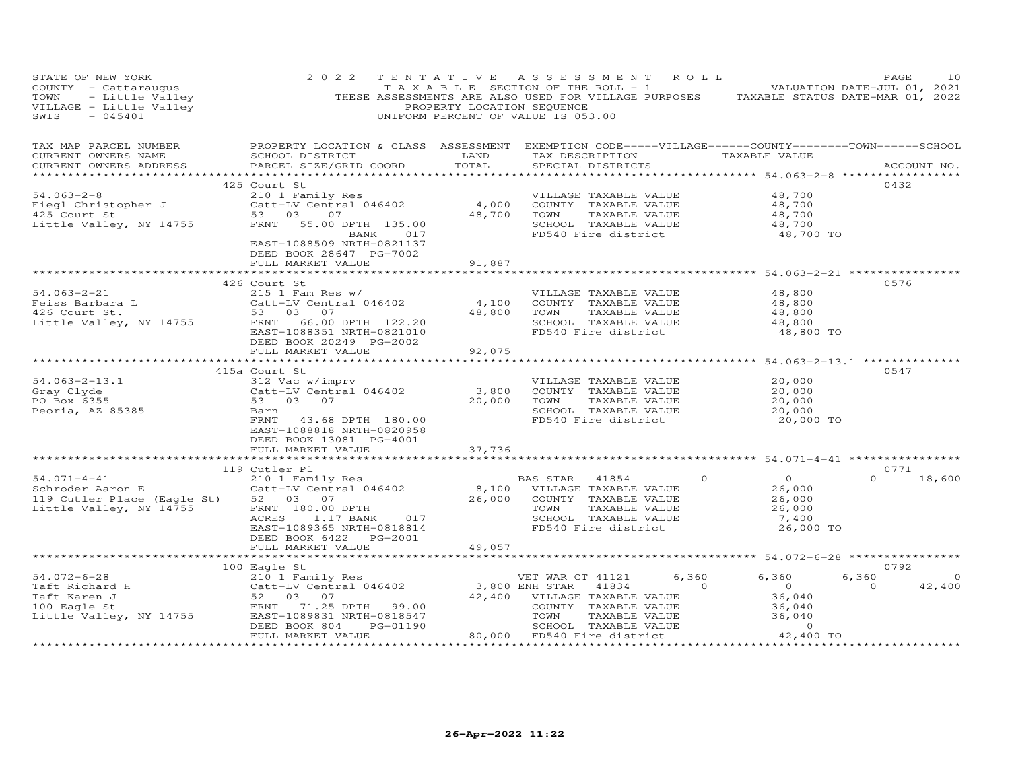| STATE OF NEW YORK<br>COUNTY - Cattaraugus<br>TOWN - Little Valley<br>VILLAGE - Little Valley<br>SWIS - 045401 | 2 0 2 2                                                                                                                                                                                                                                 | TENTATIVE ASSESSMENT ROLL<br>PROPERTY LOCATION SEQUENCE<br>UNIFORM PERCENT OF VALUE IS 053.00 |                                                                                                                              |                                                                                                               |                     | TAXABLE SECTION OF THE ROLL - 1 VIII VALUATION DATE-JUL 01, 2021<br>THESE ASSESSMENTS ARE ALSO USED FOR VILLAGE PURPOSES TAXABLE STATUS DATE-MAR 01, 2022 | PAGE             | 10                       |
|---------------------------------------------------------------------------------------------------------------|-----------------------------------------------------------------------------------------------------------------------------------------------------------------------------------------------------------------------------------------|-----------------------------------------------------------------------------------------------|------------------------------------------------------------------------------------------------------------------------------|---------------------------------------------------------------------------------------------------------------|---------------------|-----------------------------------------------------------------------------------------------------------------------------------------------------------|------------------|--------------------------|
| TAX MAP PARCEL NUMBER<br>CURRENT OWNERS NAME<br>CURRENT OWNERS ADDRESS                                        | PROPERTY LOCATION & CLASS ASSESSMENT EXEMPTION CODE-----VILLAGE------COUNTY--------TOWN------SCHOOL<br>SCHOOL DISTRICT<br>PARCEL SIZE/GRID COORD                                                                                        | LAND<br>TOTAL                                                                                 |                                                                                                                              | SPECIAL DISTRICTS                                                                                             |                     | TAX DESCRIPTION TAXABLE VALUE                                                                                                                             |                  | ACCOUNT NO.              |
| $54.063 - 2 - 8$<br>Fiegl Christopher J<br>425 Court St<br>Little Valley, NY 14755                            | 425 Court St<br>210 1 Family Res<br>Catt-LV Central 046402 (4,000 COUNTY TAXABLE VALUE<br>53 03 07 (48,700 TOWN TAXABLE VALUE<br>53 03<br>FRNT<br>55.00 DPTH 135.00<br>BANK 017<br>EAST-1088509 NRTH-0821137<br>DEED BOOK 28647 PG-7002 |                                                                                               | 48,700 TOWN                                                                                                                  | TAXABLE VALUE<br>SCHOOL TAXABLE VALUE<br>FD540 Fire district                                                  |                     | 48,700<br>48,700<br>48,700<br>48,700<br>48,700 TO                                                                                                         | 0432             |                          |
|                                                                                                               | FULL MARKET VALUE                                                                                                                                                                                                                       | 91,887                                                                                        |                                                                                                                              |                                                                                                               |                     |                                                                                                                                                           |                  |                          |
| $54.063 - 2 - 21$<br>Feiss Barbara L<br>426 Court St.<br>426 Court St.<br>Little Valley, NY 14755             | 426 Court St<br>$215$ 1 Fam Res w/<br>Catt-LV Central 046402<br>53 03 07<br>FRNT 66.00 DPTH 122.20<br>EAST-1088351 NRTH-0821010<br>DEED BOOK 20249 PG-2002                                                                              | 4,100<br>48,800                                                                               | TOWN                                                                                                                         | VILLAGE TAXABLE VALUE<br>COUNTY TAXABLE VALUE<br>TAXABLE VALUE<br>SCHOOL TAXABLE VALUE                        | FD540 Fire district | 48,800<br>48,800<br>48,800<br>48,800<br>48,800 TO                                                                                                         | 0576             |                          |
|                                                                                                               | FULL MARKET VALUE                                                                                                                                                                                                                       | 92,075                                                                                        |                                                                                                                              |                                                                                                               |                     |                                                                                                                                                           |                  |                          |
|                                                                                                               |                                                                                                                                                                                                                                         |                                                                                               |                                                                                                                              |                                                                                                               |                     | ******************************** 54.063-2-13.1 **************                                                                                             |                  |                          |
| $54.063 - 2 - 13.1$<br>Gray Clyde<br>PO Box 6355<br>Peoria, AZ 85385                                          | 415a Court St<br>312 Vac w/imprv<br>Catt-LV Central 046402<br>53 03 07<br>Barn<br>FRNT<br>43.68 DPTH 180.00<br>EAST-1088818 NRTH-0820958<br>DEED BOOK 13081 PG-4001                                                                     | 3,800<br>20,000                                                                               | TOWN                                                                                                                         | VILLAGE TAXABLE VALUE<br>COUNTY TAXABLE VALUE<br>TAXABLE VALUE<br>SCHOOL TAXABLE VALUE<br>FD540 Fire district |                     | 20,000<br>20,000<br>20,000<br>20,000<br>20,000 TO                                                                                                         | 0547             |                          |
|                                                                                                               | FULL MARKET VALUE                                                                                                                                                                                                                       | 37,736                                                                                        |                                                                                                                              |                                                                                                               |                     |                                                                                                                                                           |                  |                          |
|                                                                                                               | ***********************<br>119 Cutler Pl                                                                                                                                                                                                |                                                                                               |                                                                                                                              |                                                                                                               |                     | ***************************** 54.071-4-41 ************                                                                                                    | 0771             |                          |
| $54.071 - 4 - 41$<br>Schroder Aaron E<br>119 Cutler Place (Eagle St)<br>Little Valley, NY 14755               | 210 1 Family Res<br>Catt-LV Central 046402<br>52 03 07<br>FRNT 180.00 DPTH<br>1.17 BANK<br><b>ACRES</b><br>017<br>EAST-1089365 NRTH-0818814                                                                                             |                                                                                               | BAS STAR<br>8,100 VILLAGE TAXABLE VALUE<br>26,000 COUNTY TAXABLE VALUE<br>TOWN<br>FD540 Fire district                        | 41854<br>TAXABLE VALUE<br>SCHOOL TAXABLE VALUE                                                                | $\circ$             | $\overline{O}$<br>26,000<br>26,000<br>26,000<br>7,400<br>26,000 TO                                                                                        | $\Omega$         | 18,600                   |
|                                                                                                               | DEED BOOK 6422 PG-2001                                                                                                                                                                                                                  |                                                                                               |                                                                                                                              |                                                                                                               |                     |                                                                                                                                                           |                  |                          |
|                                                                                                               | FULL MARKET VALUE<br>**************                                                                                                                                                                                                     | 49,057<br>********************                                                                |                                                                                                                              |                                                                                                               |                     | ********************* 54.072-6-28 **************                                                                                                          |                  |                          |
|                                                                                                               | 100 Eagle St                                                                                                                                                                                                                            |                                                                                               |                                                                                                                              |                                                                                                               |                     |                                                                                                                                                           | 0792             |                          |
| $54.072 - 6 - 28$<br>Taft Richard H<br>Taft Karen J<br>100 Eagle St<br>Little Valley, NY 14755                | Eagle St<br>210 1 Family Res<br>Catt-LV Central 046402<br>52 03 07<br>FRNT 71.25 DPTH 99.00<br>EAST-1089831 NRTH-0818547<br>PG-01190<br>DEED BOOK 804<br>FULL MARKET VALUE                                                              | 3,800 ENH STAR                                                                                | VET WAR CT 41121<br>42,400 VILLAGE TAXABLE VALUE<br>TOWN TAXABLE VALUE<br>SCHOOL TAXABLE VALUE<br>80,000 FD540 Fire district | 41834<br>COUNTY TAXABLE VALUE                                                                                 | 6,360<br>$\circ$    | 6,360<br>$\overline{O}$<br>36,040<br>36,040<br>36,040<br>$\overline{0}$<br>42,400 TO                                                                      | 6,360<br>$\circ$ | $\overline{O}$<br>42,400 |
|                                                                                                               | **********************                                                                                                                                                                                                                  |                                                                                               |                                                                                                                              |                                                                                                               |                     |                                                                                                                                                           | .                |                          |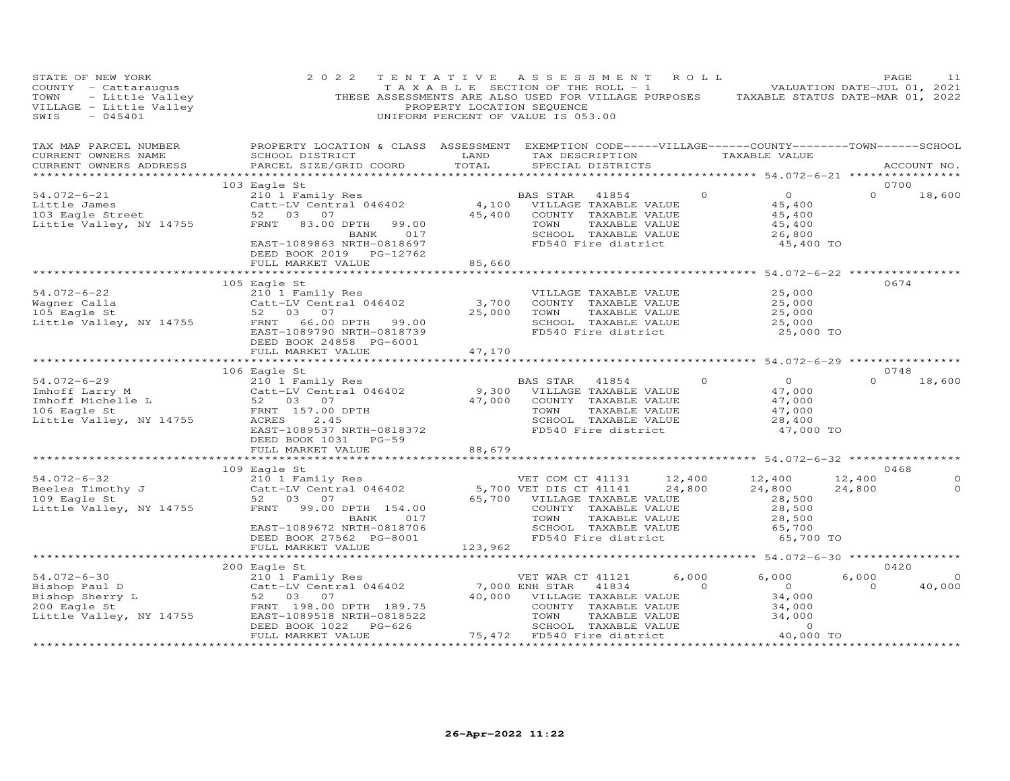| STATE OF NEW YORK<br>STATE OF NEW IONA<br>COUNTY - Little Valley<br>TOWN - Little Valley<br>VILLAGE - Little Valley<br>TILLAGE - MARANI                                                                                                                       | 2 0 2 2<br>TAXABLE SECTION OF THE ROLL - 1 A V 1 1 VALUATION DATE-JUL 01, 2021<br>THESE ASSESSMENTS ARE ALSO USED FOR VILLAGE PURPOSES TAXABLE STATUS DATE-MAR 01, 2022                                                                                                             | PROPERTY LOCATION SEQUENCE | TENTATIVE ASSESSMENT ROLL<br>UNIFORM PERCENT OF VALUE IS 053.00 |                                                                                        |                                                                          | PAGE                     | 11                       |
|---------------------------------------------------------------------------------------------------------------------------------------------------------------------------------------------------------------------------------------------------------------|-------------------------------------------------------------------------------------------------------------------------------------------------------------------------------------------------------------------------------------------------------------------------------------|----------------------------|-----------------------------------------------------------------|----------------------------------------------------------------------------------------|--------------------------------------------------------------------------|--------------------------|--------------------------|
| TAX MAP PARCEL NUMBER<br>CURRENT OWNERS NAME<br>CURRENT OWNERS ADDRESS                                                                                                                                                                                        | PROPERTY LOCATION & CLASS ASSESSMENT EXEMPTION CODE-----VILLAGE------COUNTY-------TOWN------SCHOOL<br>SCHOOL DISTRICT<br>PARCEL SIZE/GRID COORD                                                                                                                                     |                            |                                                                 |                                                                                        |                                                                          |                          | ACCOUNT NO.              |
| $54.072 - 6 - 21$                                                                                                                                                                                                                                             | 103 Eagle St                                                                                                                                                                                                                                                                        |                            |                                                                 |                                                                                        |                                                                          | 0700<br>$\Omega$         | 18,600                   |
| Little James<br>103 Eagle Street<br>Little Valley, NY 14755                                                                                                                                                                                                   | EAGLE SUIT Family Res<br>210 1 Family Res<br>210 1 Family Res<br>210 1 Family Res<br>22 03 07<br>23.00 DPTH 99.00<br>23.00 DPTH 99.00<br>23.00 DPTH 99.00<br>23.00 DPTH 99.00<br>23.00 DPTH 99.00<br>23.00 DPTH 99.00<br>23.00 DPTH 99.00<br>25.400 CO<br>EAST-1089863 NRTH-0818697 |                            | FD540 Fire district                                             | TOWN TAXABLE VALUE<br>SCHOOL TAXABLE VALUE                                             | 0 0 0<br>$45,400$<br>$45,400$<br>45,400<br>45,400<br>26,800<br>45,400 TO |                          |                          |
|                                                                                                                                                                                                                                                               | DEED BOOK 2019 PG-12762<br>FULL MARKET VALUE                                                                                                                                                                                                                                        | 85,660                     |                                                                 |                                                                                        |                                                                          |                          |                          |
|                                                                                                                                                                                                                                                               |                                                                                                                                                                                                                                                                                     |                            |                                                                 |                                                                                        |                                                                          | 0674                     |                          |
| 105 Eagle St<br>54.072-6-22 210 1 Family Res<br>Wagner Calla Catt-LV Central 046402 3,700<br>105 Eagle St<br>105 Eagle St<br>52 03 07<br>125,000<br>EAST-1089790 NRTH-0818739<br>25,000<br>EAST-1089790 NRTH-0818739                                          |                                                                                                                                                                                                                                                                                     |                            | 25,000 TOWN<br>PD540 Fire district                              | VILLAGE TAXABLE VALUE<br>COUNTY TAXABLE VALUE<br>TAXABLE VALUE<br>SCHOOL TAXABLE VALUE | 25,000<br>25,000<br>25,000<br>25,000<br>25,000 TO                        |                          |                          |
|                                                                                                                                                                                                                                                               | DEED BOOK 24858 PG-6001<br>FULL MARKET VALUE                                                                                                                                                                                                                                        | 47,170                     |                                                                 |                                                                                        |                                                                          |                          |                          |
|                                                                                                                                                                                                                                                               |                                                                                                                                                                                                                                                                                     |                            |                                                                 |                                                                                        |                                                                          |                          |                          |
|                                                                                                                                                                                                                                                               |                                                                                                                                                                                                                                                                                     |                            |                                                                 |                                                                                        |                                                                          | 0748                     |                          |
| 100 Eagle St and Hunder to the BAS STAR 41854<br>210 1 Family Res BAS STAR 41854<br>210 1 Family Res BAS STAR 41854<br>210 1 Family Res 2 47,000 VILLAGE TAXABLE VALUE<br>52 03 07<br>200 2000 Eagle St FRNT 157.00 DPTH<br>200 2000 EASTA                    | EAST-1089537 NRTH-0818372<br>DEED BOOK 1031 PG-59                                                                                                                                                                                                                                   |                            | BAS STAR 41854 0                                                | FD540 Fire district                                                                    | $\overline{0}$<br>47,000<br>47,000<br>47,000<br>28,400<br>47,000 TO      | $\Omega$                 | 18,600                   |
|                                                                                                                                                                                                                                                               | FULL MARKET VALUE                                                                                                                                                                                                                                                                   | 88,679                     |                                                                 |                                                                                        |                                                                          |                          |                          |
|                                                                                                                                                                                                                                                               |                                                                                                                                                                                                                                                                                     |                            |                                                                 |                                                                                        |                                                                          |                          |                          |
| 101 Family Res<br>Beeles Timothy J<br>2101 Family Res<br>2101 Family Res<br>2101 Family Res<br>2101 Family Res<br>2101 Family Res<br>2101 Family Res<br>2101 Family Res<br>2101 Family Res<br>2101 Family Res<br>22 03 07<br>22 03 07<br>28,500<br>28,500<br> | 109 Eagle St<br>017<br>BANK<br>EAST-1089672 NRTH-0818706                                                                                                                                                                                                                            |                            |                                                                 |                                                                                        | 24,800<br>28,500<br>28,500<br>28,500<br>65,700                           | 0468<br>12,400<br>24,800 | $\Omega$<br>$\circ$      |
|                                                                                                                                                                                                                                                               | DEED BOOK 27562 PG-8001<br>FULL MARKET VALUE                                                                                                                                                                                                                                        | 123,962                    |                                                                 |                                                                                        | 65,700 TO                                                                |                          |                          |
|                                                                                                                                                                                                                                                               |                                                                                                                                                                                                                                                                                     |                            |                                                                 |                                                                                        |                                                                          |                          |                          |
|                                                                                                                                                                                                                                                               |                                                                                                                                                                                                                                                                                     |                            |                                                                 |                                                                                        |                                                                          | 0420                     |                          |
|                                                                                                                                                                                                                                                               |                                                                                                                                                                                                                                                                                     |                            |                                                                 |                                                                                        |                                                                          | 6,000<br>$\overline{0}$  | $\overline{0}$<br>40,000 |
|                                                                                                                                                                                                                                                               |                                                                                                                                                                                                                                                                                     |                            |                                                                 |                                                                                        |                                                                          |                          |                          |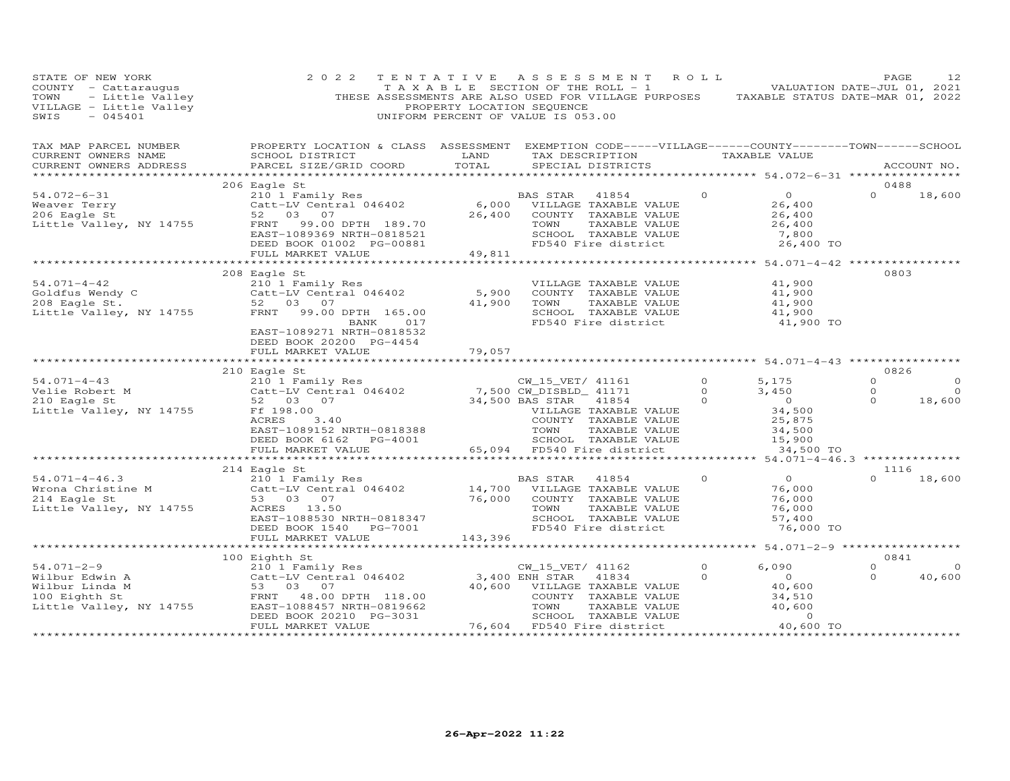| STATE OF NEW YORK<br>COUNTY - Cattaraugus<br>TOWN - Little Valley<br>VILLAGE - Little Valley<br>SWIS - 045401<br>SWIS<br>$-045401$ | 2 0 2 2                                                                                                                                                                    | TENTATIVE<br>PROPERTY LOCATION SEQUENCE | ASSESSMENT ROLL<br>TAXABLE SECTION OF THE ROLL - 1 VALUATION DATE-JUL 01, 2021<br>THESE ASSESSMENTS ARE ALSO USED FOR VILLAGE PURPOSES TAXABLE STATUS DATE-MAR 01, 2022<br>UNIFORM PERCENT OF VALUE IS 053.00     |                                |                                                                                       | PAGE                            | 12                             |
|------------------------------------------------------------------------------------------------------------------------------------|----------------------------------------------------------------------------------------------------------------------------------------------------------------------------|-----------------------------------------|-------------------------------------------------------------------------------------------------------------------------------------------------------------------------------------------------------------------|--------------------------------|---------------------------------------------------------------------------------------|---------------------------------|--------------------------------|
| TAX MAP PARCEL NUMBER<br>CURRENT OWNERS NAME<br>CURRENT OWNERS ADDRESS                                                             | PROPERTY LOCATION & CLASS ASSESSMENT EXEMPTION CODE-----VILLAGE------COUNTY--------TOWN------SCHOOL<br>SCHOOL DISTRICT<br>PARCEL SIZE/GRID COORD                           | LAND<br>TOTAL                           | TAX DESCRIPTION TAXABLE VALUE<br>SPECIAL DISTRICTS                                                                                                                                                                |                                |                                                                                       | ACCOUNT NO.                     |                                |
|                                                                                                                                    |                                                                                                                                                                            |                                         |                                                                                                                                                                                                                   |                                |                                                                                       |                                 |                                |
| $54.072 - 6 - 31$                                                                                                                  | 206 Eagle St<br>210 1 Family Res                                                                                                                                           |                                         | BAS STAR<br>41854                                                                                                                                                                                                 | $\Omega$                       | $\overline{O}$                                                                        | 0488<br>$\Omega$                | 18,600                         |
| Weaver Terry<br>206 Eagle St<br>Little Valley, NY 14755                                                                            | Catt-LV Central 046402<br>52 03 07<br>FRNT<br>99.00 DPTH 189.70<br>EAST-1089369 NRTH-0818521<br>DEED BOOK 01002 PG-00881                                                   | 6,000<br>26,400                         | VILLAGE TAXABLE VALUE<br>COUNTY TAXABLE VALUE<br>TOWN<br>TAXABLE VALUE<br>SCHOOL TAXABLE VALUE<br>FD540 Fire district                                                                                             |                                | 26,400<br>26,400<br>26,400<br>7,800<br>26,400 TO                                      |                                 |                                |
|                                                                                                                                    | FULL MARKET VALUE                                                                                                                                                          | 49,811                                  |                                                                                                                                                                                                                   |                                |                                                                                       |                                 |                                |
| $54.071 - 4 - 42$<br>Goldfus Wendy C<br>208 Eagle St.<br>Little Valley, NY 14755                                                   | 208 Eagle St<br>210 1 Family Res<br>Catt-LV Central 046402<br>52 03 07<br>FRNT<br>99.00 DPTH 165.00<br>BANK<br>017<br>EAST-1089271 NRTH-0818532<br>DEED BOOK 20200 PG-4454 | 5,900<br>41,900                         | VILLAGE TAXABLE VALUE<br>COUNTY TAXABLE VALUE<br>TAXABLE VALUE<br>TOWN<br>SCHOOL TAXABLE VALUE<br>FD540 Fire district                                                                                             |                                | 41,900<br>41,900<br>41,900<br>41,900<br>41,900 TO                                     | 0803                            |                                |
|                                                                                                                                    | FULL MARKET VALUE                                                                                                                                                          | 79,057                                  |                                                                                                                                                                                                                   |                                |                                                                                       |                                 |                                |
|                                                                                                                                    | 210 Eagle St                                                                                                                                                               |                                         |                                                                                                                                                                                                                   |                                |                                                                                       | 0826                            |                                |
| $54.071 - 4 - 43$<br>Velie Robert M<br>210 Eagle St<br>Little Valley, NY 14755                                                     | 210 1 Family Res<br>Catt-LV Central 046402<br>52 03 07<br>Ff 198.00<br>ACRES<br>3.40<br>EAST-1089152 NRTH-0818388<br>DEED BOOK 6162 PG-4001<br>FULL MARKET VALUE           |                                         | CW_15_VET/ 41161<br>7,500 CW_DISBLD_ 41171<br>34,500 BAS STAR<br>VILLAGE<br>41854<br>VILLAGE TAXABLE VALUE<br>COUNTY TAXABLE VALUE<br>TOWN<br>TAXABLE VALUE<br>SCHOOL TAXABLE VALUE<br>65,094 FD540 Fire district | $\circ$<br>$\Omega$<br>$\circ$ | 5,175<br>3,450<br>$\overline{0}$<br>34,500<br>25,875<br>34,500<br>15,900<br>34,500 TO | $\Omega$<br>$\Omega$<br>$\circ$ | $\Omega$<br>$\Omega$<br>18,600 |
|                                                                                                                                    | **************************                                                                                                                                                 |                                         |                                                                                                                                                                                                                   |                                |                                                                                       |                                 |                                |
| $54.071 - 4 - 46.3$<br>Wrona Christine M<br>214 Eagle St<br>Little Valley, NY 14755                                                | 214 Eagle St<br>210 1 Family Res<br>Catt-LV Central 046402<br>53 03 07<br>ACRES 13.50<br>EAST-1088530 NRTH-0818347<br>DEED BOOK 1540 PG-7001                               | 76,000                                  | BAS STAR<br>41854<br>14,700 VILLAGE TAXABLE VALUE<br>COUNTY TAXABLE VALUE<br>TOWN<br>TAXABLE VALUE<br>SCHOOL TAXABLE VALUE<br>FD540 Fire district                                                                 | $\Omega$                       | $\Omega$<br>76,000<br>76,000<br>76,000<br>57,400<br>76,000 TO                         | 1116<br>$\Omega$                | 18,600                         |
|                                                                                                                                    | FULL MARKET VALUE                                                                                                                                                          | 143,396                                 |                                                                                                                                                                                                                   |                                |                                                                                       |                                 |                                |
|                                                                                                                                    | ************************                                                                                                                                                   | ************                            |                                                                                                                                                                                                                   |                                | *********** 54.071-2-9 *****************                                              |                                 |                                |
| $54.071 - 2 - 9$<br>Wilbur Edwin A<br>Wilbur Linda M<br>100 Eighth St<br>Little Valley, NY 14755                                   | 100 Eighth St<br>210 1 Family Res<br>Catt-LV Central 046402<br>53 03 07<br>FRNT<br>48.00 DPTH 118.00<br>EAST-1088457 NRTH-0819662<br>DEED BOOK 20210 PG-3031               | 40,600                                  | CW_15_VET/ 41162<br>3,400 ENH STAR<br>41834<br>VILLAGE TAXABLE VALUE<br>COUNTY TAXABLE VALUE<br>TOWN<br>TAXABLE VALUE<br>SCHOOL TAXABLE VALUE                                                                     | $\circ$<br>0                   | 6,090<br>$\overline{O}$<br>40,600<br>34,510<br>40,600<br>$\Omega$                     | 0841<br>$\Omega$<br>$\Omega$    | $\overline{0}$<br>40,600       |
|                                                                                                                                    | FULL MARKET VALUE<br>******************                                                                                                                                    |                                         | 76,604 FD540 Fire district                                                                                                                                                                                        |                                | 40,600 TO                                                                             |                                 |                                |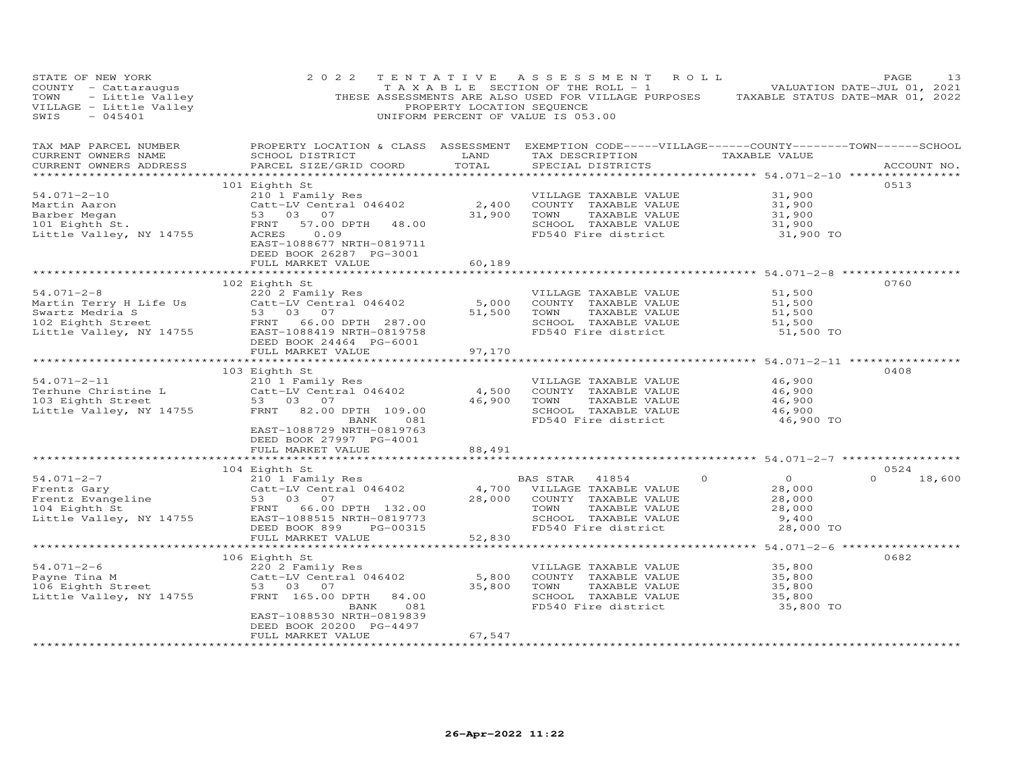| STATE OF NEW YORK<br>COUNTY - Cattaraugus<br>TOWN - Little Valley<br>VILLAGE - Little Valley<br>SWIS - 045401                                                                 | 2 0 2 2<br>TENTATIVE                                                                                                                            |                | ASSESSMENT ROLL<br>TAXABLE SECTION OF THE ROLL - 1 VALUATION DATE-JUL 01, 2021<br>THESE ASSESSMENTS ARE ALSO USED FOR VILLAGE PURPOSES TAXABLE STATUS DATE-MAR 01, 2022<br>PROPERTY LOCATION SEQUENCE<br>UNIFORM PERCENT OF VALUE IS 053.00 |          |                 | PAGE               | 13 |
|-------------------------------------------------------------------------------------------------------------------------------------------------------------------------------|-------------------------------------------------------------------------------------------------------------------------------------------------|----------------|---------------------------------------------------------------------------------------------------------------------------------------------------------------------------------------------------------------------------------------------|----------|-----------------|--------------------|----|
| TAX MAP PARCEL NUMBER<br>CURRENT OWNERS NAME<br>CURRENT OWNERS ADDRESS                                                                                                        | PROPERTY LOCATION & CLASS ASSESSMENT EXEMPTION CODE-----VILLAGE------COUNTY-------TOWN------SCHOOL<br>SCHOOL DISTRICT<br>PARCEL SIZE/GRID COORD | LAND<br>TOTAL  | TAX DESCRIPTION<br>SPECIAL DISTRICTS                                                                                                                                                                                                        |          | TAXABLE VALUE   | ACCOUNT NO.        |    |
|                                                                                                                                                                               |                                                                                                                                                 |                |                                                                                                                                                                                                                                             |          |                 | 0513               |    |
| $54.071 - 2 - 10$                                                                                                                                                             | 101 Eighth St<br>210 1 Family Res                                                                                                               |                | VILLAGE TAXABLE VALUE                                                                                                                                                                                                                       |          | 31,900          |                    |    |
| Martin Aaron                                                                                                                                                                  | Catt-LV Central 046402                                                                                                                          | 2,400          | COUNTY TAXABLE VALUE                                                                                                                                                                                                                        |          | 31,900          |                    |    |
| Barber Megan                                                                                                                                                                  | 53 03 07                                                                                                                                        | 31,900         | TAXABLE VALUE<br>TOWN                                                                                                                                                                                                                       |          | 31,900          |                    |    |
| Barber Megan<br>101 Eighth St.<br><u>Iittle Valley</u> . NY 14755                                                                                                             | FRNT<br>57.00 DPTH 48.00                                                                                                                        |                | SCHOOL TAXABLE VALUE                                                                                                                                                                                                                        |          | 31,900          |                    |    |
|                                                                                                                                                                               | ACRES<br>0.09<br>EAST-1088677 NRTH-0819711<br>DEED BOOK 26287 PG-3001                                                                           |                | FD540 Fire district                                                                                                                                                                                                                         |          | 31,900 TO       |                    |    |
|                                                                                                                                                                               | FULL MARKET VALUE                                                                                                                               | 60,189         |                                                                                                                                                                                                                                             |          |                 |                    |    |
|                                                                                                                                                                               | 102 Eighth St                                                                                                                                   |                |                                                                                                                                                                                                                                             |          |                 | 0760               |    |
| $54.071 - 2 - 8$                                                                                                                                                              | 220 2 Family Res                                                                                                                                |                | VILLAGE TAXABLE VALUE                                                                                                                                                                                                                       |          | 51,500          |                    |    |
| Martin Terry H Life Us<br>Catt-LV Central 046402<br>Swartz Medria S<br>102 Eighth Street<br>Little Valley, NY 14755<br>EAST-1088419 NRTH-0819758<br>EAST-1088419 NRTH-0819758 |                                                                                                                                                 | 5,000          | COUNTY TAXABLE VALUE                                                                                                                                                                                                                        |          | 51,500          |                    |    |
|                                                                                                                                                                               |                                                                                                                                                 | 51,500         | TOWN<br>TAXABLE VALUE                                                                                                                                                                                                                       |          | 51,500          |                    |    |
|                                                                                                                                                                               |                                                                                                                                                 |                | SCHOOL TAXABLE VALUE                                                                                                                                                                                                                        |          | 51,500          |                    |    |
|                                                                                                                                                                               |                                                                                                                                                 |                | FD540 Fire district                                                                                                                                                                                                                         |          | 51,500 TO       |                    |    |
|                                                                                                                                                                               | DEED BOOK 24464 PG-6001                                                                                                                         |                |                                                                                                                                                                                                                                             |          |                 |                    |    |
|                                                                                                                                                                               | FULL MARKET VALUE                                                                                                                               | 97,170         | ******************************** 54.071-2-11 ****************                                                                                                                                                                               |          |                 |                    |    |
|                                                                                                                                                                               | 103 Eighth St                                                                                                                                   |                |                                                                                                                                                                                                                                             |          |                 | 0408               |    |
| $54.071 - 2 - 11$                                                                                                                                                             | 210 1 Family Res                                                                                                                                |                | VILLAGE TAXABLE VALUE                                                                                                                                                                                                                       |          | 46,900          |                    |    |
|                                                                                                                                                                               | Catt-LV Central 046402                                                                                                                          | 4,500          | COUNTY TAXABLE VALUE                                                                                                                                                                                                                        |          | 46,900          |                    |    |
| Terhune Christine L<br>103 Eighth Street                                                                                                                                      | 53 03 07                                                                                                                                        | 46,900         | TOWN<br>TAXABLE VALUE                                                                                                                                                                                                                       |          | 46,900          |                    |    |
| Little Valley, NY 14755                                                                                                                                                       | FRNT 82.00 DPTH 109.00                                                                                                                          |                | SCHOOL TAXABLE VALUE                                                                                                                                                                                                                        |          | 46,900          |                    |    |
|                                                                                                                                                                               | 081<br>BANK<br>EAST-1088729 NRTH-0819763<br>DEED BOOK 27997 PG-4001                                                                             |                | FD540 Fire district                                                                                                                                                                                                                         |          | 46,900 TO       |                    |    |
|                                                                                                                                                                               | FULL MARKET VALUE                                                                                                                               | 88,491         |                                                                                                                                                                                                                                             |          |                 |                    |    |
|                                                                                                                                                                               |                                                                                                                                                 |                |                                                                                                                                                                                                                                             |          |                 |                    |    |
|                                                                                                                                                                               | 104 Eighth St                                                                                                                                   |                |                                                                                                                                                                                                                                             |          |                 | 0524               |    |
| $54.071 - 2 - 7$                                                                                                                                                              | 210 1 Family Res                                                                                                                                |                | BAS STAR<br>41854                                                                                                                                                                                                                           | $\Omega$ | $\Omega$        | $\Omega$<br>18,600 |    |
|                                                                                                                                                                               | Catt-LV Central 046402                                                                                                                          |                | 4,700 VILLAGE TAXABLE VALUE                                                                                                                                                                                                                 |          | 28,000          |                    |    |
| Frencz Gary (Catt-LV Centr<br>Frentz Evangeline (53 03 07<br>104 Eighth St (FRNT 66.00)                                                                                       |                                                                                                                                                 | 28,000         | COUNTY TAXABLE VALUE                                                                                                                                                                                                                        |          | 28,000          |                    |    |
| Little Valley, NY 14755                                                                                                                                                       | FRNT 66.00 DPTH 132.00<br>EAST-1088515 NRTH-0819773                                                                                             |                | TOWN<br>TAXABLE VALUE<br>SCHOOL TAXABLE VALUE                                                                                                                                                                                               |          | 28,000<br>9,400 |                    |    |
|                                                                                                                                                                               | DEED BOOK 899<br>PG-00315                                                                                                                       |                | FD540 Fire district                                                                                                                                                                                                                         |          | 28,000 TO       |                    |    |
|                                                                                                                                                                               | FULL MARKET VALUE                                                                                                                               | 52,830         |                                                                                                                                                                                                                                             |          |                 |                    |    |
|                                                                                                                                                                               | ***************************                                                                                                                     |                | ********************************* 54.071-2-6 ******************                                                                                                                                                                             |          |                 |                    |    |
|                                                                                                                                                                               | 106 Eighth St                                                                                                                                   |                |                                                                                                                                                                                                                                             |          |                 | 0682               |    |
| $54.071 - 2 - 6$                                                                                                                                                              | 220 2 Family Res                                                                                                                                |                | VILLAGE TAXABLE VALUE                                                                                                                                                                                                                       |          | 35,800          |                    |    |
| Payne Tina M<br>Payne Tina M<br>106 Eighth Street                                                                                                                             | Catt-LV Central 046402                                                                                                                          | 5,800          | COUNTY TAXABLE VALUE                                                                                                                                                                                                                        |          | 35,800          |                    |    |
|                                                                                                                                                                               | 53 03 07                                                                                                                                        | 35,800         | TAXABLE VALUE<br>TOWN                                                                                                                                                                                                                       |          | 35,800          |                    |    |
| Little Valley, NY 14755                                                                                                                                                       | FRNT 165.00 DPTH 84.00                                                                                                                          |                | SCHOOL TAXABLE VALUE                                                                                                                                                                                                                        |          | 35,800          |                    |    |
|                                                                                                                                                                               | BANK<br>081<br>EAST-1088530 NRTH-0819839                                                                                                        |                | FD540 Fire district                                                                                                                                                                                                                         |          | 35,800 TO       |                    |    |
|                                                                                                                                                                               | DEED BOOK 20200 PG-4497                                                                                                                         |                |                                                                                                                                                                                                                                             |          |                 |                    |    |
|                                                                                                                                                                               | FULL MARKET VALUE                                                                                                                               | 67,547         |                                                                                                                                                                                                                                             |          |                 |                    |    |
| ************************                                                                                                                                                      | **********************                                                                                                                          | ************** |                                                                                                                                                                                                                                             |          |                 |                    |    |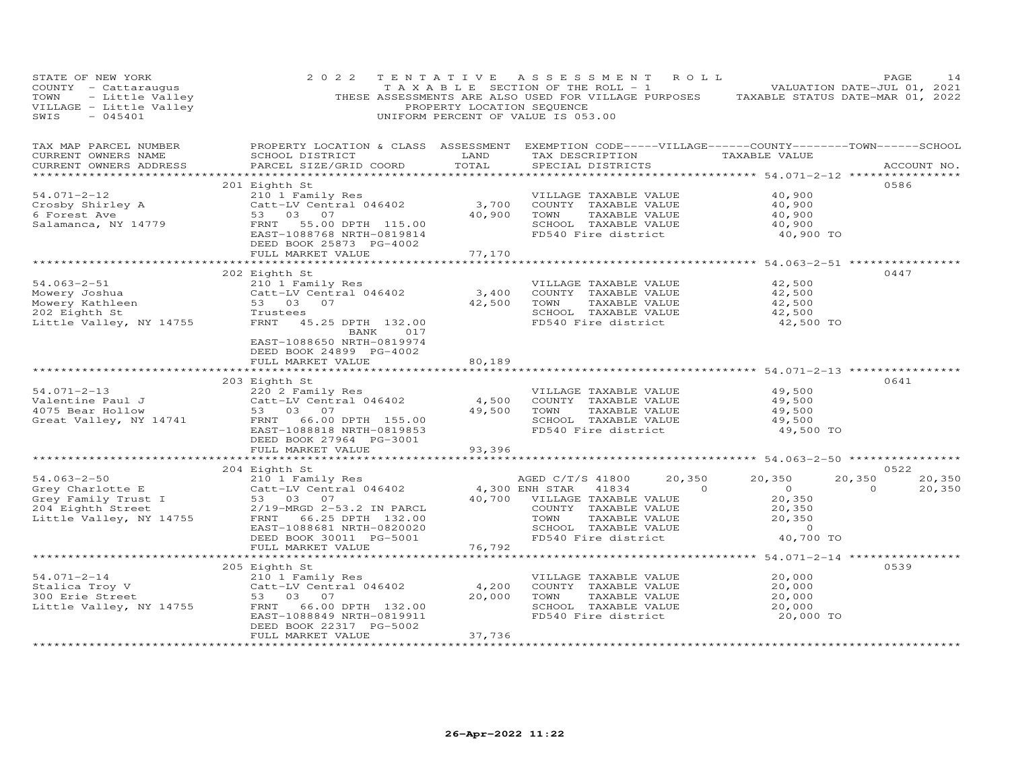| STATE OF NEW YORK<br>COUNTY - Cattaraugus<br>TOWN - Little Valley<br>VILLAGE - Little Valley<br>SWIS - 045401                                        | 2 0 2 2                                                                                                                                                      | PROPERTY LOCATION SEQUENCE            | TENTATIVE ASSESSMENT ROLL<br>T A X A B L E SECTION OF THE ROLL - 1<br>UNIFORM PERCENT OF VALUE IS 053.00                                            |                                    | THESE ASSESSMENTS ARE ALSO USED FOR VILLAGE PURPOSES TAXABLE STATUS DATE-MAR 01, 2022 | PAGE<br>VALUATION DATE-JUL 01, 2021 | 14               |
|------------------------------------------------------------------------------------------------------------------------------------------------------|--------------------------------------------------------------------------------------------------------------------------------------------------------------|---------------------------------------|-----------------------------------------------------------------------------------------------------------------------------------------------------|------------------------------------|---------------------------------------------------------------------------------------|-------------------------------------|------------------|
| TAX MAP PARCEL NUMBER<br>CURRENT OWNERS NAME<br>CURRENT OWNERS ADDRESS                                                                               | PROPERTY LOCATION & CLASS ASSESSMENT EXEMPTION CODE-----VILLAGE------COUNTY-------TOWN------SCHOOL<br>SCHOOL DISTRICT<br>PARCEL SIZE/GRID COORD              | LAND<br>TOTAL                         | TAX DESCRIPTION<br>SPECIAL DISTRICTS                                                                                                                |                                    | TAXABLE VALUE                                                                         |                                     | ACCOUNT NO.      |
|                                                                                                                                                      |                                                                                                                                                              |                                       |                                                                                                                                                     |                                    |                                                                                       |                                     |                  |
| $54.071 - 2 - 12$<br>S4.071 -<br>Crosby Shirley A<br>Salamanca, NY 14779                                                                             | 201 Eighth St<br>210 1 Family Res<br>Catt-LV Central 046402<br>53 03 07<br>53 03 07<br>55.00 DPTH 115.00<br>FRNT<br>EAST-1088768 NRTH-0819814                | 3,700<br>40,900                       | VILLAGE TAXABLE VALUE<br>COUNTY TAXABLE VALUE<br>TOWN<br>SCHOOL TAXABLE VALUE<br>FD540 Fire district                                                | TAXABLE VALUE                      | 40,900<br>40,900<br>40,900<br>40,900<br>40,900 TO                                     | 0586                                |                  |
|                                                                                                                                                      | DEED BOOK 25873 PG-4002<br>FULL MARKET VALUE                                                                                                                 | 77,170                                |                                                                                                                                                     |                                    |                                                                                       |                                     |                  |
|                                                                                                                                                      |                                                                                                                                                              | *********                             |                                                                                                                                                     |                                    | *********** 54.063-2-51 ***********                                                   |                                     |                  |
| $54.063 - 2 - 51$<br>Mowery Joshua<br>Mowery Kathleen<br>202 Eighth St<br>Little Valley, NY 14755                                                    | 202 Eighth St<br>210 1 Family Res<br>Catt-LV Central 046402<br>53 03 07<br>Trustees<br>FRNT 45.25 DPTH 132.00<br>017<br>BANK                                 | 3,400<br>42,500                       | VILLAGE TAXABLE VALUE<br>COUNTY TAXABLE VALUE<br>TOWN<br>SCHOOL TAXABLE VALUE<br>FD540 Fire district                                                | TAXABLE VALUE                      | 42,500<br>42,500<br>42,500<br>42,500<br>42,500 TO                                     | 0447                                |                  |
|                                                                                                                                                      | EAST-1088650 NRTH-0819974<br>DEED BOOK 24899 PG-4002<br>FULL MARKET VALUE                                                                                    | 80,189<br>* * * * * * * * * * * * * * |                                                                                                                                                     |                                    | ******************************** 54.071-2-13 ***********                              |                                     |                  |
|                                                                                                                                                      | 203 Eighth St                                                                                                                                                |                                       |                                                                                                                                                     |                                    |                                                                                       | 0641                                |                  |
| $54.071 - 2 - 13$<br>Valentine Paul J<br>4075 Bear Hollow<br>Great Valley, NY 14741                                                                  | 220 2 Family Res<br>Catt-LV Central 046402<br>53 03 07<br>FRNT 66.00 DPTH 155.00<br>EAST-1088818 NRTH-0819853<br>DEED BOOK 27964 PG-3001                     | 4,500<br>49,500                       | VILLAGE TAXABLE VALUE<br>COUNTY TAXABLE VALUE<br>TOWN<br>SCHOOL TAXABLE VALUE<br>FD540 Fire district                                                | TAXABLE VALUE                      | 49,500<br>49,500<br>49,500<br>49,500<br>49,500 TO                                     |                                     |                  |
|                                                                                                                                                      | FULL MARKET VALUE                                                                                                                                            | 93,396                                |                                                                                                                                                     |                                    |                                                                                       |                                     |                  |
|                                                                                                                                                      |                                                                                                                                                              |                                       |                                                                                                                                                     |                                    |                                                                                       |                                     |                  |
| 54.063-2-50<br>Grey Charlotte E (21. LV Centr-<br>Tamily Trust I 53 03 07<br>2/19-MRGD 2-5<br>2/19-MRGD 2-5<br>2011 66.25<br>Little Valley, NY 14755 | 210 1 Family Res<br>Catt-LV Central 046402<br>2/19-MRGD 2-53.2 IN PARCL<br>66.25 DPTH 132.00<br>EAST-1088681 NRTH-0820020                                    | 40,700                                | AGED C/T/S 41800<br>4,300 ENH STAR<br>41834<br>VILLAGE TAXABLE VALUE<br>COUNTY TAXABLE VALUE<br>TOWN<br>SCHOOL TAXABLE VALUE<br>FD540 Fire district | 20,350<br>$\circ$<br>TAXABLE VALUE | 20,350<br>$\sim$ 0<br>20,350<br>20,350<br>20,350<br>$\sim$ 0<br>40,700 TO             | 0522<br>20,350<br>$\circ$           | 20,350<br>20,350 |
|                                                                                                                                                      | DEED BOOK 30011 PG-5001<br>FULL MARKET VALUE                                                                                                                 | 76,792                                |                                                                                                                                                     |                                    |                                                                                       |                                     |                  |
|                                                                                                                                                      |                                                                                                                                                              | ***********                           |                                                                                                                                                     |                                    | ************ 54.071-2-14 ************                                                 |                                     |                  |
| $54.071 - 2 - 14$<br>Stalica Troy V<br>300 Erie Street<br>Little Valley, NY 14755                                                                    | 205 Eighth St<br>210 1 Family Res<br>Catt-LV Central 046402<br>53 03 07<br>66.00 DPTH 132.00<br>FRNT<br>EAST-1088849 NRTH-0819911<br>DEED BOOK 22317 PG-5002 | 4,200<br>20,000                       | VILLAGE TAXABLE VALUE<br>COUNTY TAXABLE VALUE<br>TOWN<br>SCHOOL TAXABLE VALUE<br>FD540 Fire district                                                | TAXABLE VALUE                      | 20,000<br>20,000<br>20,000<br>20,000<br>20,000 TO                                     | 0539                                |                  |
|                                                                                                                                                      | FULL MARKET VALUE                                                                                                                                            | 37,736                                |                                                                                                                                                     |                                    |                                                                                       |                                     |                  |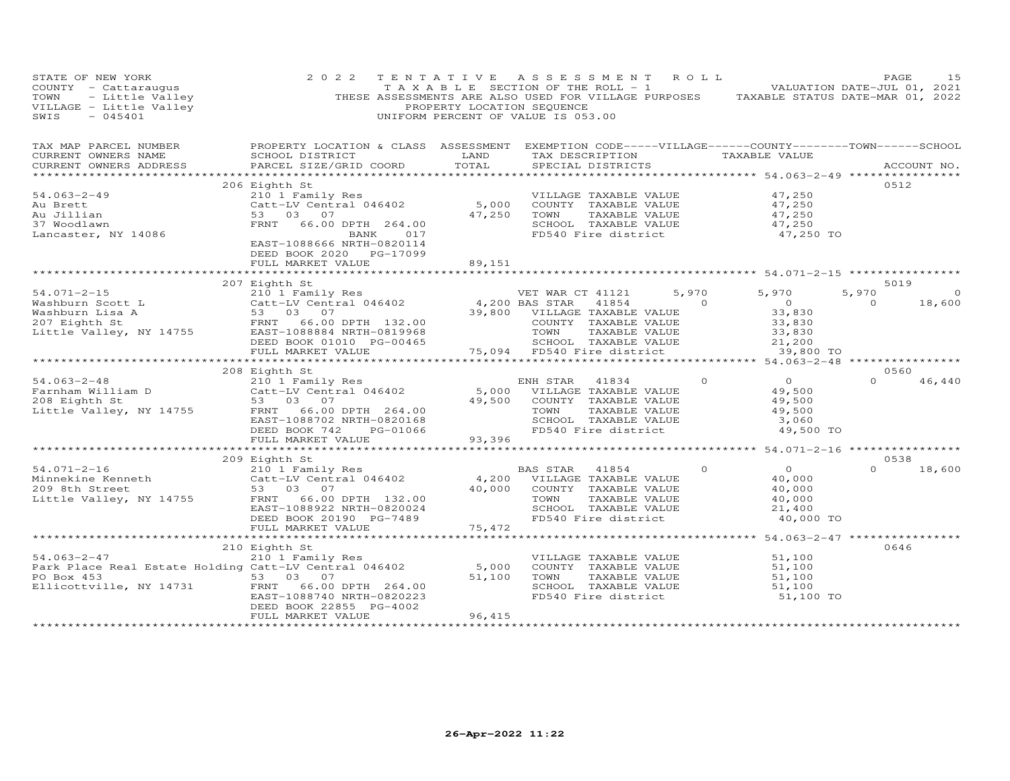| STATE OF NEW YORK<br>COUNTY - Cattaraugus<br>TOWN - Little Valley<br>TOWN - Little Valley<br>VILLAGE - Little Valley<br>SWIS - 045401<br>$-045401$<br>SWIS                            | 2 0 2 2                                                                                                                                                                                    | PROPERTY LOCATION SEQUENCE | TENTATIVE ASSESSMENT<br>T A X A B L E SECTION OF THE ROLL - 1<br>THESE ASSESSMENTS ARE ALSO USED FOR VILLAGE PURPOSES TAXABLE STATUS DATE-MAR 01, 2022<br>UNIFORM PERCENT OF VALUE IS 053.00 | ROLL              |                                                                           | PAGE<br>VALUATION DATE-JUL 01, 2021 | 15                 |
|---------------------------------------------------------------------------------------------------------------------------------------------------------------------------------------|--------------------------------------------------------------------------------------------------------------------------------------------------------------------------------------------|----------------------------|----------------------------------------------------------------------------------------------------------------------------------------------------------------------------------------------|-------------------|---------------------------------------------------------------------------|-------------------------------------|--------------------|
| TAX MAP PARCEL NUMBER<br>CURRENT OWNERS NAME<br>CURRENT OWNERS ADDRESS                                                                                                                | PROPERTY LOCATION & CLASS ASSESSMENT EXEMPTION CODE-----VILLAGE------COUNTY-------TOWN------SCHOOL<br>SCHOOL DISTRICT<br>PARCEL SIZE/GRID COORD<br>*********************************       | LAND<br>TOTAL              | TAX DESCRIPTION TAXABLE VALUE<br>SPECIAL DISTRICTS                                                                                                                                           |                   | *********** 54.063-2-49 *************                                     |                                     | ACCOUNT NO.        |
| $54.063 - 2 - 49$<br>Au Brett<br>Au Jillian<br>37 Woodlawn<br>Lancaster, NY 14086                                                                                                     | 206 Eighth St<br>210 1 Family Res<br>Catt-LV Central 046402<br>53 03 07<br>FRNT 66.00 DPTH 264.00<br>BANK 017<br>EAST-1088666 NRTH-0820114<br>DEED BOOK 2020 PG-17099<br>FULL MARKET VALUE | 5,000<br>47,250<br>89,151  | VILLAGE TAXABLE VALUE<br>COUNTY TAXABLE VALUE<br>TOWN<br>TAXABLE VALUE<br>SCHOOL TAXABLE VALUE<br>FD540 Fire district                                                                        |                   | 47,250<br>47,250<br>47,250<br>47,250<br>47,250 TO                         | 0512                                |                    |
|                                                                                                                                                                                       |                                                                                                                                                                                            |                            |                                                                                                                                                                                              |                   |                                                                           |                                     |                    |
|                                                                                                                                                                                       | 207 Eighth St                                                                                                                                                                              |                            |                                                                                                                                                                                              |                   |                                                                           | 5019                                |                    |
| $54.071 - 2 - 15$<br>Washburn Scott L Catt-LV Central 046402<br>Washburn Lisa A 53 03 07<br>207 Eighth St FRNT 66.00 DPTH 132.00<br>Little Valley, NY 14755 EAST-1088884 NRTH-0819968 | 210 1 Family Res<br>Catt-LV Central 046402<br>53 03 07<br>DEED BOOK 01010 PG-00465                                                                                                         | $4,200$ BAS STAR           | VET WAR CT 41121<br>41854<br>39,800 VILLAGE TAXABLE VALUE<br>COUNTY TAXABLE VALUE<br>TOWN<br>TAXABLE VALUE<br>SCHOOL TAXABLE VALUE                                                           | 5,970<br>$\sim$ 0 | 5,970<br>$\overline{0}$<br>33,830<br>33,830<br>33,830<br>21,200<br>21,200 | 5,970<br>$\circ$                    | $\Omega$<br>18,600 |
|                                                                                                                                                                                       | FULL MARKET VALUE                                                                                                                                                                          | 75,094                     | FD540 Fire district                                                                                                                                                                          |                   | 39,800 TO                                                                 |                                     |                    |
| $54.063 - 2 - 48$<br>Farnham William D<br>a sa mga bayang pangalang<br>208 Eighth St<br>Little Valley, NY 14755                                                                       | 208 Eighth St<br>210 1 Family Res<br>Catt-LV Central 046402<br>53 03 07<br>FRNT<br>66.00 DPTH 264.00<br>EAST-1088702 NRTH-0820168<br>DEED BOOK 742<br>PG-01066                             |                            | ENH STAR<br>41834<br>5,000 VILLAGE TAXABLE VALUE<br>49,500 COUNTY TAXABLE VALUE<br>TOWN<br>TAXABLE VALUE<br>SCHOOL TAXABLE VALUE<br>FD540 Fire district                                      | $\Omega$          | $\overline{0}$<br>49,500<br>49,500<br>49,500<br>3,060<br>49,500 TO        | 0560                                | 46,440             |
|                                                                                                                                                                                       | FULL MARKET VALUE                                                                                                                                                                          | 93,396                     |                                                                                                                                                                                              |                   |                                                                           |                                     |                    |
|                                                                                                                                                                                       |                                                                                                                                                                                            | *********************      |                                                                                                                                                                                              |                   | **************** 54.071-2-16 *****************                            |                                     |                    |
| 54.071-2-16 210 1 Family<br>Minnekine Kenneth Catt-LV Centr<br>209 8th Street 53 03 07<br>Little Valley, NY 14755 FRNT 66.00                                                          | 209 Eighth St<br>210 1 Family Res<br>Catt-LV Central 046402<br>66.00 DPTH 132.00<br>EAST-1088922 NRTH-0820024<br>DEED BOOK 20190 PG-7489<br>FULL MARKET VALUE                              | 75,472                     | BAS STAR 41854<br>4,200 VILLAGE TAXABLE VALUE<br>40,000 COUNTY TAXABLE VALUE<br>TAXABLE VALUE<br>TOWN<br>SCHOOL TAXABLE VALUE<br>FD540 Fire district                                         | $\Omega$          | $\overline{0}$<br>40,000<br>40,000<br>40,000<br>21,400<br>40,000 TO       | 0538<br>$\Omega$                    | 18,600             |
|                                                                                                                                                                                       |                                                                                                                                                                                            | *************              |                                                                                                                                                                                              |                   | ************ 54.063-2-47 *************                                    |                                     |                    |
| $54.063 - 2 - 47$<br>Park Place Real Estate Holding Catt-LV Central 046402<br>5303<br>PO Box 453<br>Ellicottville, NY 14731                                                           | 210 Eighth St<br>210 1 Family Res<br>07<br>FRNT<br>66.00 DPTH 264.00<br>EAST-1088740 NRTH-0820223<br>DEED BOOK 22855 PG-4002                                                               | 5,000<br>51,100            | VILLAGE TAXABLE VALUE<br>COUNTY TAXABLE VALUE<br>TOWN<br>TAXABLE VALUE<br>SCHOOL TAXABLE VALUE<br>FD540 Fire district                                                                        |                   | 51,100<br>51,100<br>51,100<br>51,100<br>51,100 TO                         | 0646                                |                    |
|                                                                                                                                                                                       | FULL MARKET VALUE                                                                                                                                                                          | 96,415                     |                                                                                                                                                                                              |                   |                                                                           |                                     |                    |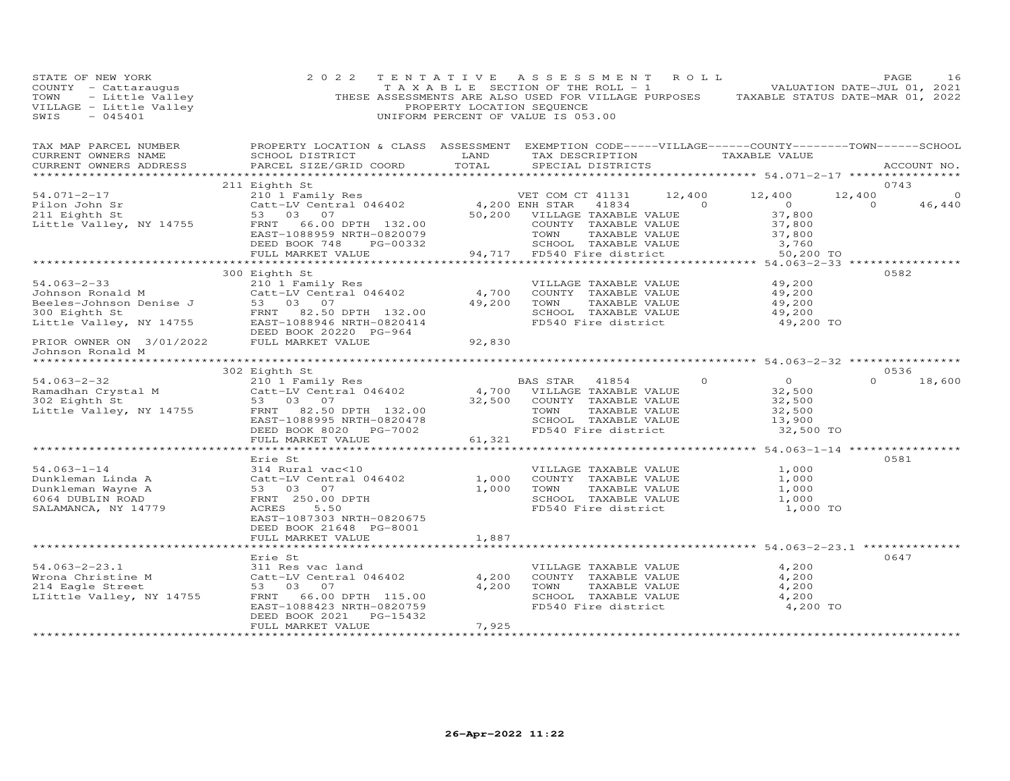| STATE OF NEW YORK<br>COUNTY - Cattaraugus<br>TOWN - Little Valley<br>VILLAGE - Little Valley<br>SWIS - 045401                                                                                                                                                                                                                         | 2 0 2 2                                                                                                                                                                                                                           | PROPERTY LOCATION SEQUENCE  | TENTATIVE ASSESSMENT ROLL<br>TAXABLE SECTION OF THE ROLL - 1 VALUATION DATE-JUL 01, 2021<br>THESE ASSESSMENTS ARE ALSO USED FOR VILLAGE PURPOSES TAXABLE STATUS DATE-MAR 01, 2022<br>UNIFORM PERCENT OF VALUE IS 053.00 |                                                     | PAGE<br>16               |
|---------------------------------------------------------------------------------------------------------------------------------------------------------------------------------------------------------------------------------------------------------------------------------------------------------------------------------------|-----------------------------------------------------------------------------------------------------------------------------------------------------------------------------------------------------------------------------------|-----------------------------|-------------------------------------------------------------------------------------------------------------------------------------------------------------------------------------------------------------------------|-----------------------------------------------------|--------------------------|
| TAX MAP PARCEL NUMBER<br>CURRENT OWNERS NAME<br>CURRENT OWNERS ADDRESS<br>***********************                                                                                                                                                                                                                                     | PROPERTY LOCATION & CLASS ASSESSMENT EXEMPTION CODE-----VILLAGE------COUNTY-------TOWN------SCHOOL<br>SCHOOL DISTRICT                       LAND         TAX DESCRIPTION                  TAXABLE VALUE<br>PARCEL SIZE/GRID COORD | TOTAL                       | SPECIAL DISTRICTS                                                                                                                                                                                                       |                                                     | ACCOUNT NO.              |
|                                                                                                                                                                                                                                                                                                                                       | 211 Eighth St                                                                                                                                                                                                                     |                             |                                                                                                                                                                                                                         |                                                     | 0743                     |
| 54.071-2-17                                                                                                                                                                                                                                                                                                                           |                                                                                                                                                                                                                                   |                             | VET COM CT 41131 12,400 12,400                                                                                                                                                                                          |                                                     | 12,400<br>$\circ$        |
| Pilon John Sr<br>211 Eighth St<br>Little Valley, NY 14755                                                                                                                                                                                                                                                                             |                                                                                                                                                                                                                                   |                             | 41834 0                                                                                                                                                                                                                 | $\overline{O}$                                      | $\overline{0}$<br>46,440 |
|                                                                                                                                                                                                                                                                                                                                       |                                                                                                                                                                                                                                   |                             | 50,200 VILLAGE TAXABLE VALUE                                                                                                                                                                                            | 37,800<br>37,800<br>37,800                          |                          |
|                                                                                                                                                                                                                                                                                                                                       |                                                                                                                                                                                                                                   |                             | COUNTY TAXABLE VALUE                                                                                                                                                                                                    | 37,800                                              |                          |
|                                                                                                                                                                                                                                                                                                                                       |                                                                                                                                                                                                                                   |                             |                                                                                                                                                                                                                         |                                                     |                          |
|                                                                                                                                                                                                                                                                                                                                       |                                                                                                                                                                                                                                   |                             |                                                                                                                                                                                                                         |                                                     |                          |
|                                                                                                                                                                                                                                                                                                                                       |                                                                                                                                                                                                                                   |                             |                                                                                                                                                                                                                         |                                                     |                          |
|                                                                                                                                                                                                                                                                                                                                       | 300 Eighth St                                                                                                                                                                                                                     |                             |                                                                                                                                                                                                                         |                                                     | 0582                     |
|                                                                                                                                                                                                                                                                                                                                       |                                                                                                                                                                                                                                   |                             | VILLAGE TAXABLE VALUE                                                                                                                                                                                                   | 49,200                                              |                          |
|                                                                                                                                                                                                                                                                                                                                       |                                                                                                                                                                                                                                   | 49,200                      | 4,700 COUNTY TAXABLE VALUE<br>TOWN<br>TAXABLE VALUE                                                                                                                                                                     | 49,200<br>49,200                                    |                          |
|                                                                                                                                                                                                                                                                                                                                       |                                                                                                                                                                                                                                   |                             |                                                                                                                                                                                                                         |                                                     |                          |
|                                                                                                                                                                                                                                                                                                                                       |                                                                                                                                                                                                                                   |                             | SCHOOL TAXABLE VALUE<br>FD540 Fire district                                                                                                                                                                             | 49,200<br>49,200 TO                                 |                          |
|                                                                                                                                                                                                                                                                                                                                       |                                                                                                                                                                                                                                   |                             |                                                                                                                                                                                                                         |                                                     |                          |
| 54.063-2-33<br>Johnson Ronald M<br>Beeles-Johnson Denise J<br>300 Eighth St<br>Little Valley, NY 14755<br>FRNT 82.50 DPTH 132.00<br>EAST-1088946 NRTH-0820414<br>DEED BOOK 20220 PG-964<br>FRNT 82.50 DPTH 132.00<br>EAST-1088946 NRTH-0820414<br>                                                                                    |                                                                                                                                                                                                                                   | 92,830                      |                                                                                                                                                                                                                         |                                                     |                          |
| Johnson Ronald M                                                                                                                                                                                                                                                                                                                      | * * * * * * * * * * * * *                                                                                                                                                                                                         |                             |                                                                                                                                                                                                                         |                                                     |                          |
|                                                                                                                                                                                                                                                                                                                                       | 302 Eighth St                                                                                                                                                                                                                     |                             |                                                                                                                                                                                                                         |                                                     | 0536                     |
| 54.063-2-32<br>Ramadhan Crystal M<br>302 Eighth St<br>Little Valley, NY 14755<br>$\begin{array}{ccc}\n & 14755 \\ \text{Farni} & 82.50 \\ \text{Benni} & 2101 \\ \text{Farni} & 82.50 \\ \text{Farni} & 82.50 \\ \text{Farni} & 82.50 \\ \text{Farni} & 82.50 \\ \text{Farni} & 82.50 \\ \text{Farni} & 82.50 \\ \text{Farni} & 82.5$ |                                                                                                                                                                                                                                   |                             | BAS STAR<br>41854                                                                                                                                                                                                       | $\circ$<br>$\overline{O}$                           | $\Omega$<br>18,600       |
|                                                                                                                                                                                                                                                                                                                                       |                                                                                                                                                                                                                                   |                             | 4,700 VILLAGE TAXABLE VALUE                                                                                                                                                                                             | 32,500                                              |                          |
|                                                                                                                                                                                                                                                                                                                                       |                                                                                                                                                                                                                                   |                             | 32,500 COUNTY TAXABLE VALUE                                                                                                                                                                                             | 32,500                                              |                          |
|                                                                                                                                                                                                                                                                                                                                       |                                                                                                                                                                                                                                   |                             | TOWN<br>TAXABLE VALUE                                                                                                                                                                                                   | 32,500<br>13,900                                    |                          |
|                                                                                                                                                                                                                                                                                                                                       | EAST-1088995 NRTH-0820478                                                                                                                                                                                                         |                             | SCHOOL TAXABLE VALUE                                                                                                                                                                                                    |                                                     |                          |
|                                                                                                                                                                                                                                                                                                                                       | DEED BOOK 8020 PG-7002<br>FULL MARKET VALUE                                                                                                                                                                                       | 61,321                      | FD540 Fire district                                                                                                                                                                                                     | 32,500 TO                                           |                          |
|                                                                                                                                                                                                                                                                                                                                       | *************************                                                                                                                                                                                                         |                             |                                                                                                                                                                                                                         | *************** 54.063-1-14 ****************        |                          |
|                                                                                                                                                                                                                                                                                                                                       | Erie St                                                                                                                                                                                                                           |                             |                                                                                                                                                                                                                         |                                                     | 0581                     |
| Notice that the series of the series of the series of the series of the series of the series of the series of the series of the series of the series of the series of the series of the series of the series of the series of                                                                                                         |                                                                                                                                                                                                                                   |                             | VILLAGE TAXABLE VALUE                                                                                                                                                                                                   | 1,000                                               |                          |
|                                                                                                                                                                                                                                                                                                                                       |                                                                                                                                                                                                                                   | 1,000                       | COUNTY TAXABLE VALUE<br>TOWN      TAXABLE VALUE                                                                                                                                                                         | 1,000                                               |                          |
|                                                                                                                                                                                                                                                                                                                                       |                                                                                                                                                                                                                                   | 1,000                       |                                                                                                                                                                                                                         | 1,000                                               |                          |
|                                                                                                                                                                                                                                                                                                                                       |                                                                                                                                                                                                                                   |                             | SCHOOL TAXABLE VALUE<br>FD540 Fire district                                                                                                                                                                             | 1,000<br>1,000 TO                                   |                          |
|                                                                                                                                                                                                                                                                                                                                       |                                                                                                                                                                                                                                   |                             |                                                                                                                                                                                                                         |                                                     |                          |
|                                                                                                                                                                                                                                                                                                                                       | DEED BOOK 21648 PG-8001                                                                                                                                                                                                           |                             |                                                                                                                                                                                                                         |                                                     |                          |
|                                                                                                                                                                                                                                                                                                                                       | FULL MARKET VALUE                                                                                                                                                                                                                 | 1,887                       |                                                                                                                                                                                                                         |                                                     |                          |
|                                                                                                                                                                                                                                                                                                                                       | ***********************                                                                                                                                                                                                           |                             |                                                                                                                                                                                                                         | ********************** 54.063-2-23.1 ************** |                          |
|                                                                                                                                                                                                                                                                                                                                       | Erie St                                                                                                                                                                                                                           |                             |                                                                                                                                                                                                                         |                                                     | 0647                     |
| $54.063 - 2 - 23.1$                                                                                                                                                                                                                                                                                                                   | 311 Res vac land                                                                                                                                                                                                                  |                             | VILLAGE TAXABLE VALUE                                                                                                                                                                                                   | 4,200                                               |                          |
| Wrona Christine M<br>214 Eagle Street                                                                                                                                                                                                                                                                                                 | Catt-LV Central 046402<br>53 03 07                                                                                                                                                                                                | 4,200<br>4,200              | COUNTY TAXABLE VALUE<br>TOWN<br>TAXABLE VALUE                                                                                                                                                                           | 4,200<br>4,200                                      |                          |
| LIittle Valley, NY 14755                                                                                                                                                                                                                                                                                                              | FRNT 66.00 DPTH 115.00                                                                                                                                                                                                            |                             | SCHOOL TAXABLE VALUE                                                                                                                                                                                                    | 4,200                                               |                          |
|                                                                                                                                                                                                                                                                                                                                       | EAST-1088423 NRTH-0820759                                                                                                                                                                                                         |                             | FD540 Fire district                                                                                                                                                                                                     | 4,200 TO                                            |                          |
|                                                                                                                                                                                                                                                                                                                                       | DEED BOOK 2021 PG-15432                                                                                                                                                                                                           |                             |                                                                                                                                                                                                                         |                                                     |                          |
| ***********************                                                                                                                                                                                                                                                                                                               | FULL MARKET VALUE<br>**********************                                                                                                                                                                                       | 7,925<br>****************** |                                                                                                                                                                                                                         |                                                     |                          |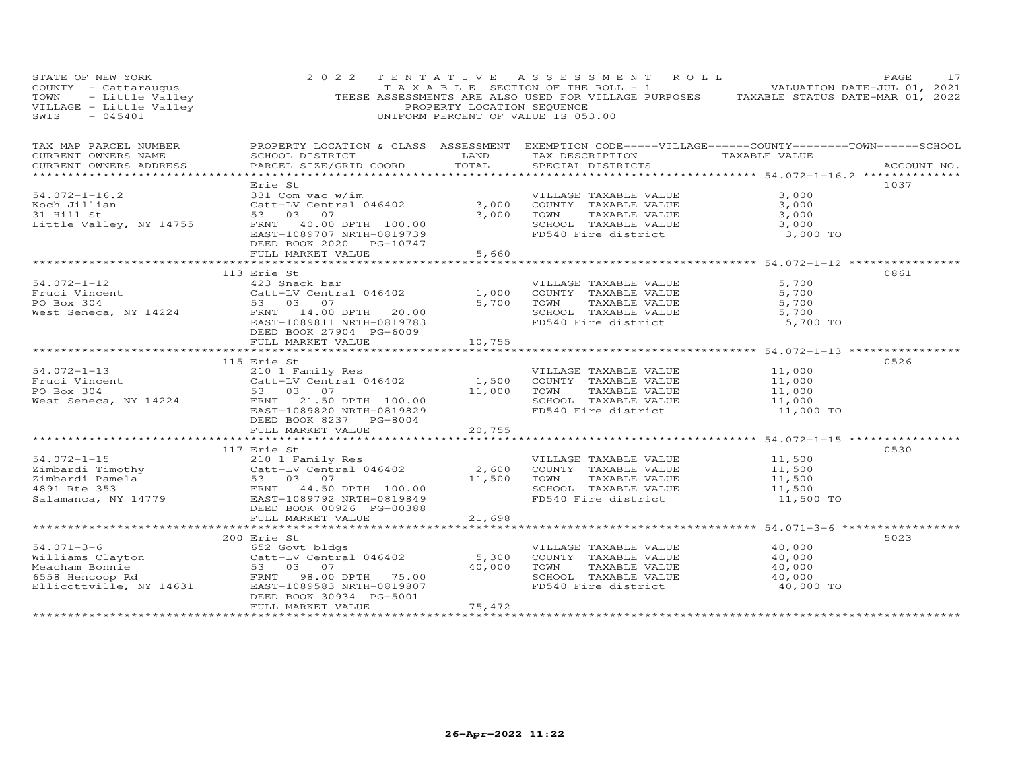| STATE OF NEW YORK<br>$-045401$<br>SWIS                                                                                                                                                                                                               |                                        |        | 2022 TENTATIVE ASSESSMENT ROLL<br>UNIFORM PERCENT OF VALUE IS 053.00                                                                                                                                             |           | PAGE<br>17  |
|------------------------------------------------------------------------------------------------------------------------------------------------------------------------------------------------------------------------------------------------------|----------------------------------------|--------|------------------------------------------------------------------------------------------------------------------------------------------------------------------------------------------------------------------|-----------|-------------|
| TAX MAP PARCEL NUMBER THE PROPERTY LOCATION & CLASS ASSESSMENT EXEMPTION CODE-----VILLAGE------COUNTY-------TOWN------SCHOOL<br>CURRENT OWNERS NAME<br>CURRENT OWNERS ADDRESS                                                                        | PARCEL SIZE/GRID COORD TOTAL           |        | SCHOOL DISTRICT                      LAND        TAX DESCRIPTION                 TAXABLE VALUE<br>SPECIAL DISTRICTS                                                                                              |           | ACCOUNT NO. |
|                                                                                                                                                                                                                                                      |                                        |        |                                                                                                                                                                                                                  |           |             |
| 54.072-1-16.2<br>Koch Jillian (2008) 231 Com vac w/im (2015) 231 Com vac w/im (2015) 231 Com vac w/im (2015) 231 Com vac w/im (2015)<br>33 03 07 (3,000 COUNTY TAXABLE VALUE 3,000 3,000 700 700 700 700 700 700 74XABLE VALUE 3,0                   | Erie St<br>DEED BOOK 2020 PG-10747     |        |                                                                                                                                                                                                                  |           | 1037        |
|                                                                                                                                                                                                                                                      | FULL MARKET VALUE 5,660                |        |                                                                                                                                                                                                                  |           |             |
| 54.072-1-12<br>Fruci Vincent<br>Fruci Vincent<br>Fruci Vincent<br>Catt-LV Central 046402<br>FO Box 304<br>West Seneca, NY 14224<br>FRNT 14.00 DPTH 20.00<br>EAST-108811 NRTH-0819783<br>FRNT 14.00 DPTH 20.00<br>FRNT 14.00 DPTH 20.00<br>FO SCHOOL  | 113 Erie St<br>DEED BOOK 27904 PG-6009 |        |                                                                                                                                                                                                                  |           | 0861        |
|                                                                                                                                                                                                                                                      | FULL MARKET VALUE                      | 10,755 |                                                                                                                                                                                                                  |           |             |
| 54.072-1-13<br>Fruci Vincent<br>Prophet Seneca, NY 14224<br>West Seneca, NY 14224<br>Po Box 304<br>FRNT 21.50 DPTH 100.00<br>EAST-1089820 Next Seneca, NY 14224<br>PO EAST-10898237<br>PO EAST-108929<br>PO EAST-108920<br>PO EAST-108920<br>PO EAST | 115 Erie St<br>DEED BOOK 8237 PG-8004  |        |                                                                                                                                                                                                                  |           | 0526        |
|                                                                                                                                                                                                                                                      | FULL MARKET VALUE 20,755               |        |                                                                                                                                                                                                                  |           |             |
|                                                                                                                                                                                                                                                      | 117 Erie St                            |        |                                                                                                                                                                                                                  |           | 0530        |
|                                                                                                                                                                                                                                                      |                                        |        |                                                                                                                                                                                                                  |           |             |
|                                                                                                                                                                                                                                                      |                                        |        |                                                                                                                                                                                                                  |           |             |
| 54.071-3-6<br>Williams Clayton 652 Govt bldgs<br>Catt-LV Central 046402 5,300 COUNTY TAXABLE VALUE<br>Meacham Bonnie 53 03 07<br>6558 Hencoop Rd FRNT 98.00 DPTH 75.00 5000 TOWN TAXABLE VALUE<br>Elicottville, NY 14631 EAST-1089583 NR             | 200 Erie St<br>DEED BOOK 30934 PG-5001 |        | VILLAGE TAXABLE VALUE 40,000<br>COUNTY TAXABLE VALUE 40,000<br>TOWN       TAXABLE  VALUE                          40,000<br>SCHOOL    TAXABLE  VALUE                               40,000<br>FD540 Fire district | 40,000 TO | 5023        |
|                                                                                                                                                                                                                                                      | FULL MARKET VALUE                      | 75,472 |                                                                                                                                                                                                                  |           |             |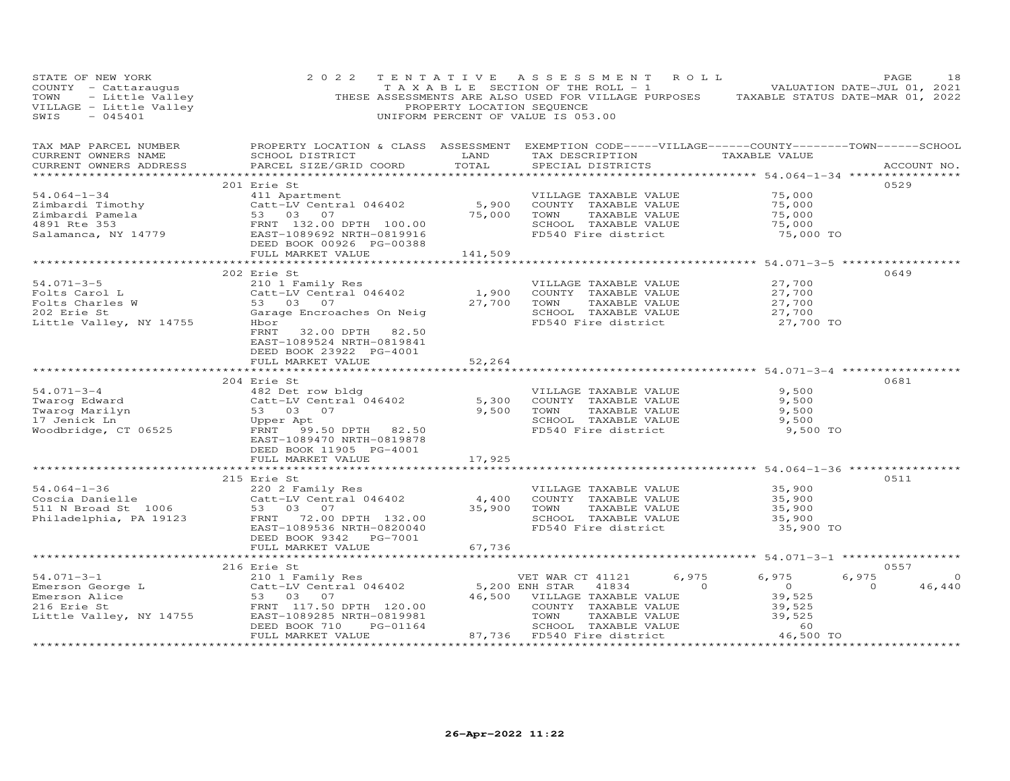| PAGE 18<br>TAXABLE SECTION OF THE ROLL - 1 WALUATION DATE-JUL 01, 2021<br>TOWN - Little Valley THESE ASSESSMENTS ARE ALSO USED FOR VILLAGE PURPOSES TAXABLE STATUS DATE-MAR 01, 2022<br>VILLAGE - Little Valley PROPERTY LOCATION SEQUE |                                                                                                          |                |                                                                                                                                                           |                                                    |                    |
|-----------------------------------------------------------------------------------------------------------------------------------------------------------------------------------------------------------------------------------------|----------------------------------------------------------------------------------------------------------|----------------|-----------------------------------------------------------------------------------------------------------------------------------------------------------|----------------------------------------------------|--------------------|
| TAX MAP PARCEL NUMBER<br>CURRENT OWNERS NAME<br>CURRENT OWNERS ADDRESS                                                                                                                                                                  | SCHOOL DISTRICT<br>PARCEL SIZE/GRID COORD                                                                | LAND<br>TOTAL  | PROPERTY LOCATION & CLASS ASSESSMENT EXEMPTION CODE-----VILLAGE------COUNTY--------TOWN------SCHOOL<br>TAX DESCRIPTION TAXABLE VALUE<br>SPECIAL DISTRICTS |                                                    | ACCOUNT NO.        |
|                                                                                                                                                                                                                                         |                                                                                                          |                |                                                                                                                                                           |                                                    |                    |
|                                                                                                                                                                                                                                         | 201 Erie St                                                                                              |                |                                                                                                                                                           |                                                    | 0529               |
| $54.064 - 1 - 34$                                                                                                                                                                                                                       | 411 Apartment<br>Catt-LV Central 046402 5,900<br>53 03 07 75,000                                         |                | VILLAGE TAXABLE VALUE<br>COUNTY TAXABLE VALUE                                                                                                             | 75,000<br>75,000                                   |                    |
| Eimbardi Timothy<br>Zimbardi Pamela 53 03 07<br>4891 Rte 353 FRNT 132.00 DPTH 100.00<br>Salamanca, NY 14779 EAST-1089692 NRTH-0819916<br>DEED BOOK 00926 PG-00388                                                                       |                                                                                                          | 75,000         | TAXABLE VALUE<br>TOWN                                                                                                                                     | 75,000                                             |                    |
|                                                                                                                                                                                                                                         |                                                                                                          |                | SCHOOL TAXABLE VALUE                                                                                                                                      | 75,000                                             |                    |
|                                                                                                                                                                                                                                         |                                                                                                          |                | FD540 Fire district                                                                                                                                       | 75,000 TO                                          |                    |
|                                                                                                                                                                                                                                         |                                                                                                          |                |                                                                                                                                                           |                                                    |                    |
|                                                                                                                                                                                                                                         | FULL MARKET VALUE                                                                                        | 141,509        |                                                                                                                                                           |                                                    |                    |
|                                                                                                                                                                                                                                         |                                                                                                          | *************  |                                                                                                                                                           | ******************* 54.071-3-5 *****************   |                    |
|                                                                                                                                                                                                                                         | 202 Erie St                                                                                              |                |                                                                                                                                                           |                                                    | 0649               |
| 54.071-3-5                                                                                                                                                                                                                              | 210 1 Family Res                                                                                         |                | VILLAGE TAXABLE VALUE                                                                                                                                     | 27,700                                             |                    |
| Folts Carol L                                                                                                                                                                                                                           | Catt-LV Central 046402<br>53 03 07                                                                       | 1,900          | COUNTY TAXABLE VALUE                                                                                                                                      |                                                    |                    |
| Folts Charles W                                                                                                                                                                                                                         |                                                                                                          | 27,700         |                                                                                                                                                           |                                                    |                    |
| 202 Erie St                                                                                                                                                                                                                             | Garage Encroaches On Neig                                                                                |                | COUNTY TAXABLE VALUE $27,700$<br>TOWN TAXABLE VALUE $27,700$<br>SCHOOL TAXABLE VALUE $27,700$<br>FD540 Fire district $27,700$ TO                          |                                                    |                    |
| Little Valley, NY 14755                                                                                                                                                                                                                 | Hbor                                                                                                     |                |                                                                                                                                                           |                                                    |                    |
|                                                                                                                                                                                                                                         | FRNT<br>32.00 DPTH 82.50                                                                                 |                |                                                                                                                                                           |                                                    |                    |
|                                                                                                                                                                                                                                         | EAST-1089524 NRTH-0819841                                                                                |                |                                                                                                                                                           |                                                    |                    |
|                                                                                                                                                                                                                                         | DEED BOOK 23922 PG-4001<br>FULL MARKET VALUE                                                             | 52,264         |                                                                                                                                                           |                                                    |                    |
|                                                                                                                                                                                                                                         | ***************                                                                                          | *************  | ******************************** 54.071-3-4 ****************                                                                                              |                                                    |                    |
|                                                                                                                                                                                                                                         | 204 Erie St                                                                                              |                |                                                                                                                                                           |                                                    | 0681               |
| $54.071 - 3 - 4$                                                                                                                                                                                                                        | 482 Det row bldg                                                                                         |                | VILLAGE TAXABLE VALUE                                                                                                                                     | 9,500                                              |                    |
|                                                                                                                                                                                                                                         |                                                                                                          |                | COUNTY TAXABLE VALUE                                                                                                                                      | 9,500                                              |                    |
|                                                                                                                                                                                                                                         | Catt-LV Centra<br>53 03 07                                                                               |                | TOWN<br>TAXABLE VALUE                                                                                                                                     | 9,500                                              |                    |
|                                                                                                                                                                                                                                         |                                                                                                          |                | SCHOOL TAXABLE VALUE                                                                                                                                      | 9,500                                              |                    |
| Jarovi J<br>Twarog Edward<br>Twarog Marilyn<br>17 Jenick Ln<br>Woodbridge, CT 06525                                                                                                                                                     | 462 Det Tow Didg<br>Catt-LV Central 046402 5,300<br>53 03 07 9,500<br>Upper Apt<br>FRNT 99.50 DPTH 82.50 |                | FD540 Fire district                                                                                                                                       | 9,500 TO                                           |                    |
|                                                                                                                                                                                                                                         | EAST-1089470 NRTH-0819878                                                                                |                |                                                                                                                                                           |                                                    |                    |
|                                                                                                                                                                                                                                         | DEED BOOK 11905 PG-4001                                                                                  |                |                                                                                                                                                           |                                                    |                    |
|                                                                                                                                                                                                                                         | FULL MARKET VALUE                                                                                        | 17,925         |                                                                                                                                                           |                                                    |                    |
|                                                                                                                                                                                                                                         |                                                                                                          |                |                                                                                                                                                           |                                                    |                    |
|                                                                                                                                                                                                                                         | 215 Erie St                                                                                              |                |                                                                                                                                                           |                                                    | 0511               |
| $54.064 - 1 - 36$                                                                                                                                                                                                                       | Effe Su<br>220 2 Family Res<br>Catt-LV Central 046402                                                    |                | VILLAGE TAXABLE VALUE                                                                                                                                     | 35,900                                             |                    |
|                                                                                                                                                                                                                                         |                                                                                                          | 4,400          | COUNTY TAXABLE VALUE                                                                                                                                      | 35,900                                             |                    |
| Coscia Danielle<br>511 N Broad St  1006<br>Philadelphia, PA 19123                                                                                                                                                                       | 53 03 07                                                                                                 | 35,900         | TAXABLE VALUE<br>TOWN                                                                                                                                     | 35,900                                             |                    |
|                                                                                                                                                                                                                                         | FRNT<br>72.00 DPTH 132.00                                                                                |                | SCHOOL TAXABLE VALUE<br>FD540 Fire district                                                                                                               | 35,900<br>35,900 TO                                |                    |
|                                                                                                                                                                                                                                         | EAST-1089536 NRTH-0820040<br>DEED BOOK 9342 PG-7001                                                      |                |                                                                                                                                                           |                                                    |                    |
|                                                                                                                                                                                                                                         | FULL MARKET VALUE                                                                                        | 67,736         |                                                                                                                                                           |                                                    |                    |
|                                                                                                                                                                                                                                         |                                                                                                          | ************** |                                                                                                                                                           | ********************** 54.071-3-1 **************** |                    |
|                                                                                                                                                                                                                                         |                                                                                                          |                |                                                                                                                                                           |                                                    | 0557               |
|                                                                                                                                                                                                                                         |                                                                                                          |                | 6,975<br>VET WAR CT 41121                                                                                                                                 | 6,975                                              | 6,975<br>$\circ$   |
| CONTROLLER CHERATION CONTROLLER<br>Extends the Cattle Contract of Cattle Contract of Cattle Contract of Cattle Contract of Cattle Contract Contract Contract Contract Contract Contract Contract Contract Contract Contract Cont        |                                                                                                          | 5,200 ENH STAR | $\Omega$<br>41834                                                                                                                                         | $\overline{0}$                                     | 46,440<br>$\Omega$ |
|                                                                                                                                                                                                                                         |                                                                                                          |                | 46,500 VILLAGE TAXABLE VALUE                                                                                                                              | 39,525                                             |                    |
|                                                                                                                                                                                                                                         |                                                                                                          |                | COUNTY TAXABLE VALUE                                                                                                                                      | 39,525                                             |                    |
|                                                                                                                                                                                                                                         |                                                                                                          |                | TOWN<br>TAXABLE VALUE                                                                                                                                     | 39,525                                             |                    |
|                                                                                                                                                                                                                                         |                                                                                                          |                | SCHOOL TAXABLE VALUE                                                                                                                                      | 60                                                 |                    |
|                                                                                                                                                                                                                                         | FULL MARKET VALUE                                                                                        |                | 87,736 FD540 Fire district                                                                                                                                | 46,500 TO                                          |                    |
|                                                                                                                                                                                                                                         |                                                                                                          |                |                                                                                                                                                           |                                                    | <b>.</b>           |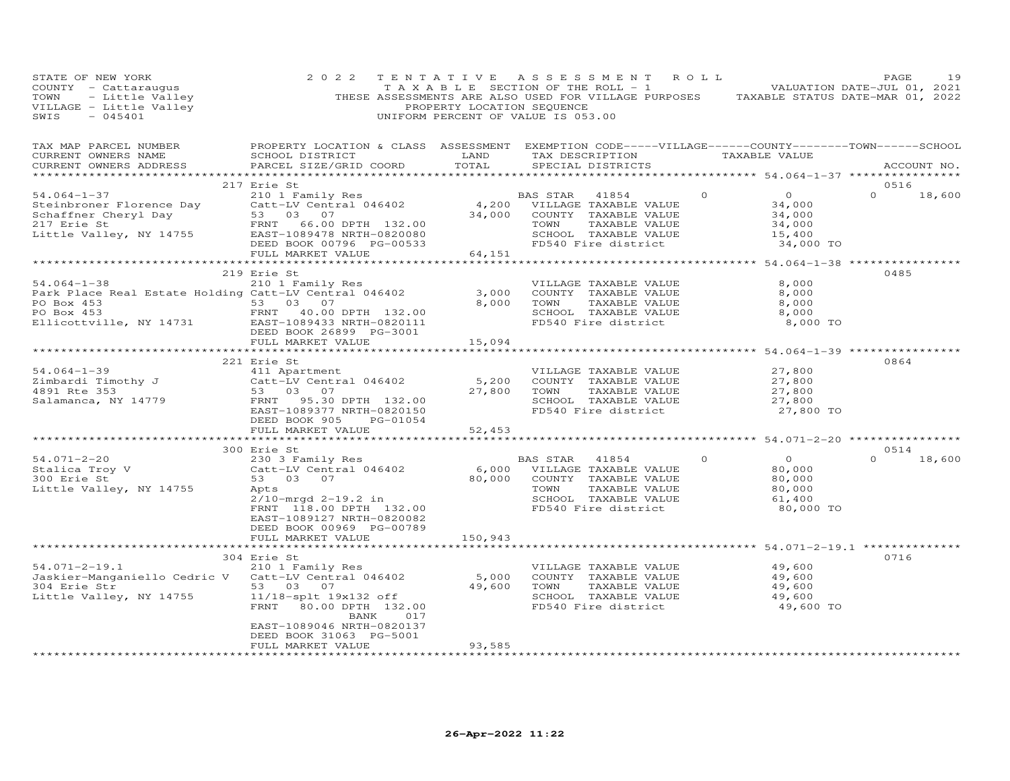| STATE OF NEW YORK<br>COUNTY - Cattaraugus<br>COUNTY - Cattaraugus<br>TAXABLE SECTION OF THE ROLL - 1<br>TOWN - Little Valley<br>THESE ASSESSMENTS ARE ALSO USED FOR VILLAGE PURPOSES TAXABLE STATUS DATE-MAR 01, 2021<br>THESE ASSESSMENTS ARE CALLO THE ROLL                                                                                                                                                                                                           | 2 0 2 2                                                                                                                                                                                                                                                                                                              |                                        | TENTATIVE ASSESSMENT ROLL                                                                                                   |         |                                                                                                 | PAGE                       | 19 |
|-------------------------------------------------------------------------------------------------------------------------------------------------------------------------------------------------------------------------------------------------------------------------------------------------------------------------------------------------------------------------------------------------------------------------------------------------------------------------|----------------------------------------------------------------------------------------------------------------------------------------------------------------------------------------------------------------------------------------------------------------------------------------------------------------------|----------------------------------------|-----------------------------------------------------------------------------------------------------------------------------|---------|-------------------------------------------------------------------------------------------------|----------------------------|----|
| TAX MAP PARCEL NUMBER<br>CURRENT OWNERS NAME<br>CURRENT OWNERS ADDRESS                                                                                                                                                                                                                                                                                                                                                                                                  | PROPERTY LOCATION & CLASS ASSESSMENT EXEMPTION CODE-----VILLAGE------COUNTY--------TOWN------SCHOOL<br>PARCEL SIZE/GRID COORD                                                                                                                                                                                        |                                        |                                                                                                                             |         |                                                                                                 | ACCOUNT NO.                |    |
|                                                                                                                                                                                                                                                                                                                                                                                                                                                                         | 217 Erie St                                                                                                                                                                                                                                                                                                          |                                        |                                                                                                                             |         |                                                                                                 | 0516                       |    |
| $54.064 - 1 - 37$<br>$\begin{tabular}{lllllllllllllllllllll} \text{54.064--1-37} & & & & & \text{BAS STAR} & 41854 \\ \text{Steinbroner Cheryl Day & & & & \text{Catt-LV Central} & 046402 & & & \text{4,200} & \text{VILLAGE TAXABLE VALUE} \\ \text{Schoffner Cheryl Day & & & \text{53} & 03 & 07 & & \text{34,000} & \text{COUNTY TAXABLE VALUE} \\ 217 Erie St & & & \text{FNNT} & 66.00 DPTH & 132.00 & & \text{TOWN TAXABLE VALUE} \\ \text{Little Valley, NY 1$ | 210 1 Family Res                                                                                                                                                                                                                                                                                                     | $132.00$<br>820080<br>-00533<br>64,151 | BAS STAR<br>41854<br>TAXABLE VALUE<br>SCHOOL TAXABLE VALUE<br>FD540 Fire district                                           |         | 0<br>$\begin{array}{r} 34,000 \\ 34,000 \\ 34,000 \\ 15,400 \\ 54,00 \end{array}$<br>34,000 TO  | $0 \t 18,600$              |    |
|                                                                                                                                                                                                                                                                                                                                                                                                                                                                         | FULL MARKET VALUE                                                                                                                                                                                                                                                                                                    |                                        |                                                                                                                             |         |                                                                                                 |                            |    |
| $54.064 - 1 - 38$<br>Park Place Real Estate Holding Catt-LV Central 046402<br>PO Box 453 53 03 07<br>PO Box 453<br>PO Box 453<br>PO Box 453<br>ERNT 40.00 DPTH 132.00<br>Ellicottville, NY 14731<br>EAST-1089433 NRTH-0820111                                                                                                                                                                                                                                           | 219 Erie St<br>210 1 Family Res<br>DEED BOOK 26899 PG-3001<br>FULL MARKET VALUE                                                                                                                                                                                                                                      | 3,000<br>15,094                        | VILLAGE TAXABLE VALUE<br>COUNTY TAXABLE VALUE<br>8,000 TOWN<br>TAXABLE VALUE<br>SCHOOL TAXABLE VALUE<br>FD540 Fire district |         | ***************** 54.064-1-38 *****************<br>8,000<br>8,000<br>8,000<br>8,000<br>8,000 TO | 0485                       |    |
|                                                                                                                                                                                                                                                                                                                                                                                                                                                                         |                                                                                                                                                                                                                                                                                                                      |                                        |                                                                                                                             |         |                                                                                                 |                            |    |
| $54.064 - 1 - 39$<br>Eimbardi Timothy J<br>2.1 Timothy J<br>2.1 Timothy J<br>2.1 Central 046402<br>2.3 03 07<br>2.2.00<br>2.30 DPTH<br>2.2.00<br>2.30 DPTH<br>2.30<br>2.30 DPTH<br>2.32.00                                                                                                                                                                                                                                                                              | 221 Erie St<br>EAST-1089377 NRTH-0820150<br>DEED BOOK 905 PG-01054<br>FULL MARKET VALUE                                                                                                                                                                                                                              | 27,800 TOWN<br>52,453                  | VILLAGE TAXABLE VALUE<br>TAXABLE VALUE<br>SCHOOL TAXABLE VALUE<br>FD540 Fire district                                       |         | 27,800<br>27,800<br>27,800<br>27,800<br>27,800 TO                                               | 0864                       |    |
|                                                                                                                                                                                                                                                                                                                                                                                                                                                                         |                                                                                                                                                                                                                                                                                                                      | * * * * * * * * * * * * *              |                                                                                                                             |         | ************ 54.071-2-20 **************                                                         |                            |    |
|                                                                                                                                                                                                                                                                                                                                                                                                                                                                         | 53 03 07<br>Apts<br>2/10-mrgd 2-19.2 in<br>-- 110 00 DPTH 132.00<br>TOMN TAXABLE VALUE<br>SCHOOL TAXABLE VALUE<br>FD540 Fire district<br>EAST-1089127 NRTH-0820082<br>DEED BOOK 00969 PG-00789                                                                                                                       |                                        |                                                                                                                             | $\circ$ | $\overline{O}$<br>80,000<br>80,000<br>80,000<br>61,400<br>80,000 TO                             | 0514<br>$\Omega$<br>18,600 |    |
|                                                                                                                                                                                                                                                                                                                                                                                                                                                                         | FULL MARKET VALUE                                                                                                                                                                                                                                                                                                    | 150,943                                |                                                                                                                             |         |                                                                                                 |                            |    |
|                                                                                                                                                                                                                                                                                                                                                                                                                                                                         | 304 Erie St                                                                                                                                                                                                                                                                                                          |                                        |                                                                                                                             |         |                                                                                                 | 0716                       |    |
| $54.071 - 2 - 19.1$<br>Jaskier-Manganiello Cedric V<br>304 Erie Str<br>Little Valley, NY 14755                                                                                                                                                                                                                                                                                                                                                                          | Erie St<br>210 1 Family Res<br>Catt-LV Central 046402 5,000 COUNTY TAXABLE VALUE 49,600<br>53 03 07 49,600 TOWN TAXABLE VALUE 49,600<br>11/18-splt 19x132 off sCHOOL TAXABLE VALUE 49,600<br>TENT 30.00 DPTH 132.00 FD540 Fire district<br>EAST-1089046 NRTH-0820137<br>DEED BOOK 31063 PG-5001<br>FULL MARKET VALUE |                                        |                                                                                                                             |         | 49,600 TO                                                                                       |                            |    |
|                                                                                                                                                                                                                                                                                                                                                                                                                                                                         |                                                                                                                                                                                                                                                                                                                      | 93,585<br>*******************          |                                                                                                                             |         |                                                                                                 |                            |    |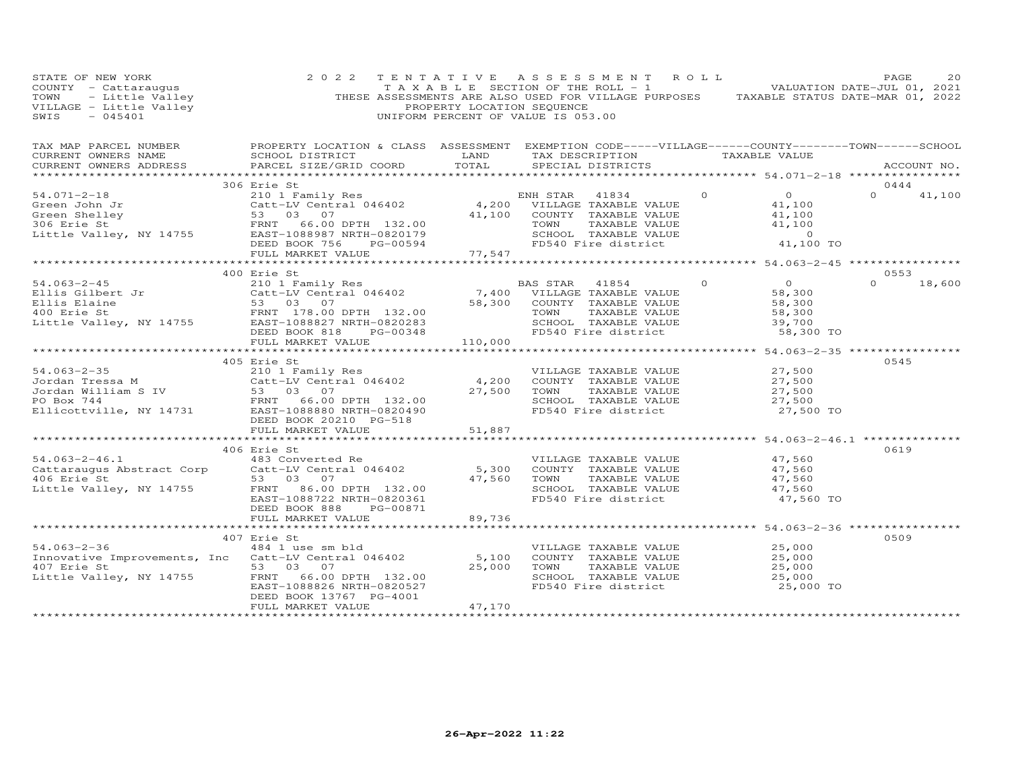| STATE OF NEW YORK<br>COUNTY - Cattaraugus<br>TOWN - Little Valley<br>VILLAGE - Little Valley<br>~~~~ - 045401                                                                                                                                              |                                                                                                                                                | PROPERTY LOCATION SEQUENCE | 2022 TENTATIVE ASSESSMENT ROLL<br>TAXABLE SECTION OF THE ROLL - 1 VALUATION DATE-JUL 01, 2021<br>THESE ASSESSMENTS ARE ALSO USED FOR VILLAGE PURPOSES TAXABLE STATUS DATE-MAR 01, 2022<br>UNIFORM PERCENT OF VALUE IS 053.00 |                 | PAGE          | 20          |
|------------------------------------------------------------------------------------------------------------------------------------------------------------------------------------------------------------------------------------------------------------|------------------------------------------------------------------------------------------------------------------------------------------------|----------------------------|------------------------------------------------------------------------------------------------------------------------------------------------------------------------------------------------------------------------------|-----------------|---------------|-------------|
| TAX MAP PARCEL NUMBER FROPERTY LOCATION & CLASS ASSESSMENT EXEMPTION CODE-----VILLAGE------COUNTY--------TOWN------SCHOOL<br>CURRENT OWNERS NAME<br>CURRENT OWNERS ADDRESS                                                                                 | SCHOOL DISTRICT                     LAND        TAX DESCRIPTION                TAXABLE VALUE<br>PARCEL SIZE/GRID COORD TOTAL SPECIAL DISTRICTS |                            |                                                                                                                                                                                                                              |                 |               | ACCOUNT NO. |
|                                                                                                                                                                                                                                                            |                                                                                                                                                |                            |                                                                                                                                                                                                                              |                 |               |             |
|                                                                                                                                                                                                                                                            | 306 Erie St                                                                                                                                    |                            |                                                                                                                                                                                                                              |                 | 0444          |             |
|                                                                                                                                                                                                                                                            |                                                                                                                                                |                            |                                                                                                                                                                                                                              |                 | $0 \t 41,100$ |             |
|                                                                                                                                                                                                                                                            |                                                                                                                                                |                            |                                                                                                                                                                                                                              |                 |               |             |
|                                                                                                                                                                                                                                                            | 400 Erie St                                                                                                                                    |                            |                                                                                                                                                                                                                              |                 | 0553          |             |
|                                                                                                                                                                                                                                                            |                                                                                                                                                |                            | TAXABLE VALUE<br>TAXABLE VALUE 58,300<br>TAXABLE VALUE 58,300<br>TAXABLE VALUE 58,700                                                                                                                                        | $0$ 0<br>58,300 | $0 \t 18,600$ |             |
|                                                                                                                                                                                                                                                            | FULL MARKET VALUE 110,000                                                                                                                      |                            |                                                                                                                                                                                                                              | 58,300 TO       |               |             |
|                                                                                                                                                                                                                                                            |                                                                                                                                                |                            |                                                                                                                                                                                                                              |                 |               |             |
|                                                                                                                                                                                                                                                            | 405 Erie St                                                                                                                                    |                            |                                                                                                                                                                                                                              |                 | 0545          |             |
| 34.063-2-35<br>Jordan Tressa M<br>Jordan William S IV and the Same Catt-LV Central 046402<br>FRNT 66.00 DPTH 132.00<br>FO Box 744<br>Elicottville, NY 14731<br>EAST-1088880 NRTH-0820490<br>Elicottville, NY 14731<br>FRNT 66.00 DPTH 132.00<br>           |                                                                                                                                                |                            |                                                                                                                                                                                                                              |                 |               |             |
|                                                                                                                                                                                                                                                            | DEED BOOK 20210 PG-518                                                                                                                         |                            |                                                                                                                                                                                                                              |                 |               |             |
|                                                                                                                                                                                                                                                            | FULL MARKET VALUE                                                                                                                              | 51,887                     |                                                                                                                                                                                                                              |                 |               |             |
|                                                                                                                                                                                                                                                            |                                                                                                                                                |                            |                                                                                                                                                                                                                              |                 | 0619          |             |
| 406 Erie St<br>54.063-2-46.1 483 Converted Re<br>Cattaraugus Abstract Corp Catt-LV Central 046402 5,300 COUNTY TAXABLE VALUE 47,560<br>47,560 ES 30 COUNTY TAXABLE VALUE 47,560<br>47,560 ERST-1088722 NRTH-0820361 FD540 Fire distric                     |                                                                                                                                                |                            |                                                                                                                                                                                                                              |                 |               |             |
|                                                                                                                                                                                                                                                            | FULL MARKET VALUE 89,736                                                                                                                       |                            |                                                                                                                                                                                                                              |                 |               |             |
|                                                                                                                                                                                                                                                            |                                                                                                                                                |                            |                                                                                                                                                                                                                              |                 |               |             |
| 407 Erie St<br>407 Erie St<br>407 Erie St<br>407 Erie St<br>407 Erie St<br>407 Erie St<br>53 03 07<br>132.00<br>25,000 FORTH-0820527<br>25,000 FORTH-0820527<br>25,000 FD540 Fire district<br>407 Erie St<br>25,000<br>25,000 SCHOOL TAXABLE VALUE<br>25,0 | 407 Erie St                                                                                                                                    |                            |                                                                                                                                                                                                                              |                 | 0509          |             |
|                                                                                                                                                                                                                                                            | DEED BOOK 13767 PG-4001<br>FULL MARKET VALUE                                                                                                   | 47,170                     |                                                                                                                                                                                                                              |                 |               |             |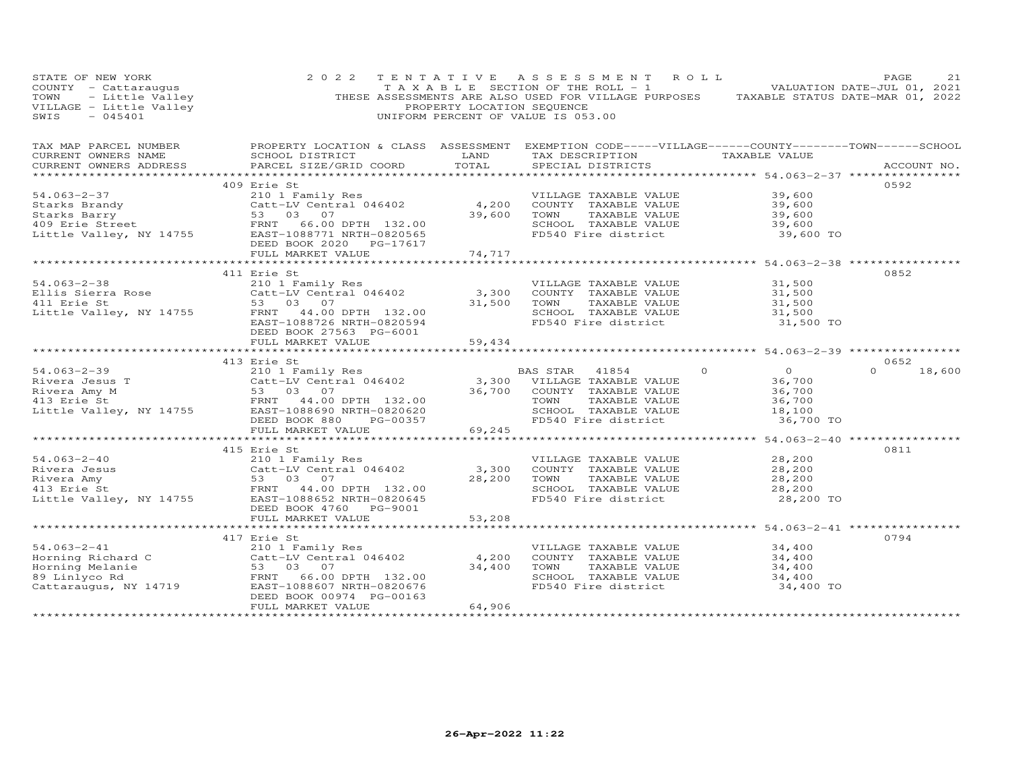| STATE OF NEW YORK<br>COUNTY - Cattaraugus<br>TOWN - Little Valley<br>VILLAGE - Little Valley<br>Alley<br>$-045401$<br>SWIS | 2 0 2 2                                                                                                                                                                                                                                                                                                                                  | PROPERTY LOCATION SEQUENCE | TENTATIVE ASSESSMENT ROLL<br>TAXABLE SECTION OF THE ROLL - 1 VALUATION DATE-JUL 01, 2021<br>THESE ASSESSMENTS ARE ALSO USED FOR VILLAGE PURPOSES TAXABLE STATUS DATE-MAR 01, 2022<br>UNIFORM PERCENT OF VALUE IS 053.00 |                                                                     | PAGE<br>21         |
|----------------------------------------------------------------------------------------------------------------------------|------------------------------------------------------------------------------------------------------------------------------------------------------------------------------------------------------------------------------------------------------------------------------------------------------------------------------------------|----------------------------|-------------------------------------------------------------------------------------------------------------------------------------------------------------------------------------------------------------------------|---------------------------------------------------------------------|--------------------|
| CURRENT OWNERS NAME<br>CURRENT OWNERS ADDRESS                                                                              | TAX MAP PARCEL NUMBER FROPERTY LOCATION & CLASS ASSESSMENT EXEMPTION CODE-----VILLAGE------COUNTY-------TOWN------SCHOOL<br>SCHOOL DISTRICT<br>PARCEL SIZE/GRID COORD                                                                                                                                                                    | <b>LAND</b><br>TOTAL       | TAX DESCRIPTION TAXABLE VALUE<br>SPECIAL DISTRICTS                                                                                                                                                                      |                                                                     | ACCOUNT NO.        |
|                                                                                                                            |                                                                                                                                                                                                                                                                                                                                          |                            |                                                                                                                                                                                                                         |                                                                     |                    |
|                                                                                                                            | 409 Erie St                                                                                                                                                                                                                                                                                                                              |                            |                                                                                                                                                                                                                         |                                                                     | 0592               |
| 54.063-2-37                                                                                                                | 210 1 Family Res<br>Catt-LV Central 046402 (4,200 COUNTY TAXABLE VALUE<br>53 03 07 (39,600 TOWN TAXABLE VALUE<br>54.063-2-37 210 1 Family Res<br>Starks Brandy Catt-LV Central 046402<br>Starks Barry 53 03 07<br>409 Erie Street FRNT 66.00 DPTH 132.00<br>Little Valley, NY 14755 EAST-1088771 NRTH-0820565<br>DEED BOOK 2020 PG-17617 | $39,600$ TOWN              |                                                                                                                                                                                                                         | 39,600<br>39,600<br>39,600                                          |                    |
|                                                                                                                            | FULL MARKET VALUE                                                                                                                                                                                                                                                                                                                        | 74,717                     |                                                                                                                                                                                                                         |                                                                     |                    |
|                                                                                                                            |                                                                                                                                                                                                                                                                                                                                          |                            |                                                                                                                                                                                                                         |                                                                     | 0852               |
|                                                                                                                            | 411 Erie St<br>EAST-1088726 NRTH-0820594                                                                                                                                                                                                                                                                                                 |                            | VILLAGE TAXABLE VALUE<br>$3,300$ COUNTY TAXABLE VALUE<br>31,500 TOWN TAXABLE VALUE<br>SCHOOL TAXABLE VALUE 31,500<br>FD540 Fire district                                                                                | 31,500<br>31,500<br>31,500<br>31,500 TO                             |                    |
|                                                                                                                            | DEED BOOK 27563 PG-6001<br>FULL MARKET VALUE                                                                                                                                                                                                                                                                                             | 59,434                     |                                                                                                                                                                                                                         |                                                                     |                    |
|                                                                                                                            |                                                                                                                                                                                                                                                                                                                                          |                            |                                                                                                                                                                                                                         |                                                                     |                    |
|                                                                                                                            |                                                                                                                                                                                                                                                                                                                                          |                            |                                                                                                                                                                                                                         |                                                                     | 0652               |
|                                                                                                                            |                                                                                                                                                                                                                                                                                                                                          |                            | BAS STAR 41854<br>$\Omega$<br>TAXABLE VALUE<br>SCHOOL TAXABLE VALUE<br>FD540 Fire district                                                                                                                              | $\overline{0}$<br>36,700<br>36,700<br>36,700<br>18,100<br>36,700 TO | $\Omega$<br>18,600 |
|                                                                                                                            |                                                                                                                                                                                                                                                                                                                                          |                            |                                                                                                                                                                                                                         |                                                                     |                    |
|                                                                                                                            | 415 Erie St                                                                                                                                                                                                                                                                                                                              |                            |                                                                                                                                                                                                                         |                                                                     | 0811               |
|                                                                                                                            | 54.063-2-40<br>Rivera Jesus<br>Rivera Amy<br>13 Erie St<br>Little Valley, NY 14755<br>210 1 Family Res<br>210 1 Family Res<br>210 1 Family Res<br>210 1 Family Res<br>210 1 Family Res<br>210 1 Family Res<br>210 20645<br>25 20645<br>22.00<br>22.00<br>22.<br>DEED BOOK 4760 PG-9001                                                   |                            | VILLAGE TAXABLE VALUE<br>3,300 COUNTY TAXABLE VALUE<br>28,200 TOWN TAXABLE VALUE<br>SCHOOL TAXABLE VALUE<br>FD540 Fire district                                                                                         | 28,200<br>28,200<br>28,200<br>28,200<br>28,200 TO                   |                    |
|                                                                                                                            | FULL MARKET VALUE                                                                                                                                                                                                                                                                                                                        | 53,208                     |                                                                                                                                                                                                                         |                                                                     |                    |
|                                                                                                                            |                                                                                                                                                                                                                                                                                                                                          |                            |                                                                                                                                                                                                                         |                                                                     |                    |
|                                                                                                                            | 417 Erie St<br>54.063-2-41<br>Horning Richard C<br>Horning Melanie<br>89 Linlyco Rd<br>Cattaraugus, NY 14719<br>ERNT 66.00 DPTH 132.00<br>Cattaraugus, NY 14719<br>EAST-1088607 NRTH-0820676                                                                                                                                             |                            | VILLAGE TAXABLE VALUE<br>4,200 COUNTY TAXABLE VALUE<br>34,400 TOWN TAXABLE VALUE<br>SCHOOL TAXABLE VALUE<br>FD540 Fire district                                                                                         | 34,400<br>34,400<br>34,400<br>34,400<br>34,400 TO                   | 0794               |
|                                                                                                                            | DEED BOOK 00974 PG-00163<br>FULL MARKET VALUE                                                                                                                                                                                                                                                                                            | 64,906                     |                                                                                                                                                                                                                         | *******************************                                     |                    |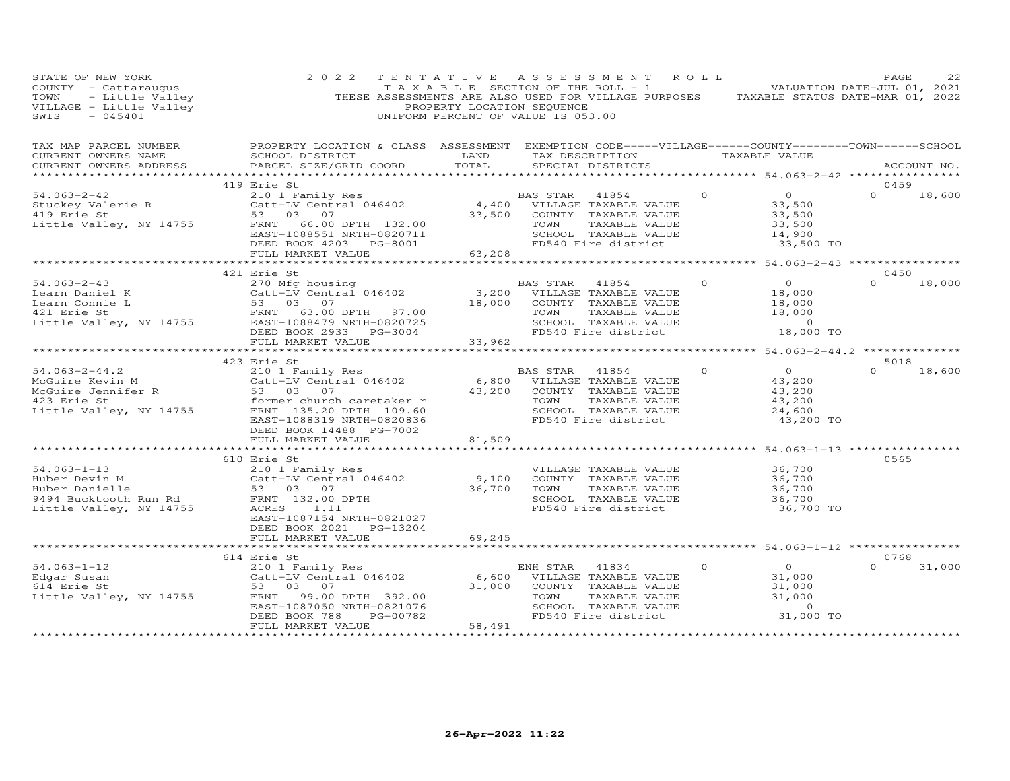| STATE OF NEW YORK<br>COUNTY - Cattaraugus<br>TOWN - Little Valley<br>VILLAGE - Little Valley<br>2015401                                                                                                                                            | 2 0 2 2                                                                                                                                                                                                                                                    | PROPERTY LOCATION SEQUENCE | TENTATIVE ASSESSMENT ROLL<br>TAXABLE SECTION OF THE ROLL - 1 VALUATION DATE-JUL 01, 2021<br>THESE ASSESSMENTS ARE ALSO USED FOR VILLAGE PURPOSES TAXABLE STATUS DATE-MAR 01, 2022<br>UNIFORM PERCENT OF VALUE IS 053.00 |          |                                                                     | PAGE             | 22          |
|----------------------------------------------------------------------------------------------------------------------------------------------------------------------------------------------------------------------------------------------------|------------------------------------------------------------------------------------------------------------------------------------------------------------------------------------------------------------------------------------------------------------|----------------------------|-------------------------------------------------------------------------------------------------------------------------------------------------------------------------------------------------------------------------|----------|---------------------------------------------------------------------|------------------|-------------|
| TAX MAP PARCEL NUMBER<br>CURRENT OWNERS NAME<br>CURRENT OWNERS ADDRESS                                                                                                                                                                             | PROPERTY LOCATION & CLASS ASSESSMENT EXEMPTION CODE-----VILLAGE------COUNTY--------TOWN------SCHOOL<br>SCHOOL DISTRICT<br>PARCEL SIZE/GRID COORD                                                                                                           | LAND<br>TOTAL              | TAX DESCRIPTION TAXABLE VALUE<br>SPECIAL DISTRICTS                                                                                                                                                                      |          |                                                                     |                  | ACCOUNT NO. |
|                                                                                                                                                                                                                                                    | 419 Erie St                                                                                                                                                                                                                                                |                            |                                                                                                                                                                                                                         |          |                                                                     | 0459             |             |
| $54.063 - 2 - 42$<br>Stuckey Valerie R<br>419 Erie St<br>Little Valley, NY 14755                                                                                                                                                                   | EILE JU I Family Res<br>Catt-LV Central 046402 (4,400 VILLAGE TAXABLE VALUE<br>53 03 07 (1990) 33,500 COUNTY TAXABLE VALUE<br>53 03 07 (1990) 33,500 COUNTY TAXABLE VALUE<br>FRNT 66.00 DPTH 132.00<br>EAST-1088551 NRTH-0820711<br>DEED BOOK 4203 PG-8001 |                            | TAXABLE VALUE<br>TOWN<br>SCHOOL TAXABLE VALUE<br>FD540 Fire district                                                                                                                                                    | $\Omega$ | $\overline{O}$<br>33,500<br>33,500<br>33,500<br>14,900<br>33,500 TO | $\Omega$         | 18,600      |
|                                                                                                                                                                                                                                                    | FULL MARKET VALUE                                                                                                                                                                                                                                          | 63,208                     |                                                                                                                                                                                                                         |          |                                                                     |                  |             |
| $54.063 - 2 - 43$                                                                                                                                                                                                                                  | 421 Erie St<br>2111 --<br>270 Mfg housing<br>Catt-LV Central 046402                                                                                                                                                                                        | 3,200                      | BAS STAR<br>41854<br>VILLAGE TAXABLE VALUE                                                                                                                                                                              | $\circ$  | $\overline{0}$<br>18,000                                            | 0450<br>$\Omega$ | 18,000      |
| Learn Daniel K Catt-LV Central 046402<br>Learn Connie L 53 03 07<br>421 Erie St FRNT 63.00 DPTH 97.00<br>Little Valley, NY 14755 EAST-1088479 NRTH-0820725                                                                                         | DEED BOOK 2933 PG-3004<br>FULL MARKET VALUE                                                                                                                                                                                                                | 18,000<br>33,962           | COUNTY TAXABLE VALUE<br>TOWN<br>TAXABLE VALUE<br>SCHOOL TAXABLE VALUE<br>FD540 Fire district                                                                                                                            |          | 18,000<br>18,000<br>$\sim$ 0<br>18,000 TO                           |                  |             |
|                                                                                                                                                                                                                                                    |                                                                                                                                                                                                                                                            | ************               |                                                                                                                                                                                                                         |          | ***************** 54.063-2-44.2 ***************                     |                  |             |
|                                                                                                                                                                                                                                                    | 423 Erie St                                                                                                                                                                                                                                                |                            |                                                                                                                                                                                                                         |          |                                                                     | 5018             |             |
| $54.063 - 2 - 44.2$<br>NeGuire Kevin M<br>McGuire Jennifer R<br>McGuire Jennifer R<br>123 Erie St<br>Little Valley, NY 14755<br>TRNT 135.20                                                                                                        | 210 1 Family Res<br>Catt-LV Central 046402<br>former church caretaker r<br>FRNT 135.20 DPTH 109.60<br>EAST-1088319 NRTH-0820836<br>DEED BOOK 14488 PG-7002                                                                                                 | 43,200                     | BAS STAR<br>41854<br>6,800 VILLAGE TAXABLE VALUE<br>COUNTY TAXABLE VALUE<br>TAXABLE VALUE<br>TOWN<br>SCHOOL TAXABLE VALUE<br>FD540 Fire district                                                                        | $\Omega$ | $\overline{O}$<br>43,200<br>43,200<br>43,200<br>24,600<br>43,200 TO | $\Omega$         | 18,600      |
|                                                                                                                                                                                                                                                    | FULL MARKET VALUE                                                                                                                                                                                                                                          | 81,509                     |                                                                                                                                                                                                                         |          |                                                                     |                  |             |
|                                                                                                                                                                                                                                                    | *************************                                                                                                                                                                                                                                  |                            |                                                                                                                                                                                                                         |          | ****************** 54.063-1-13 ****                                 |                  |             |
| $54.063 - 1 - 13$<br>Particle of the Milliam Cattle of the Milliam Cattle of the Milliam Cattle of the Milliam Cattle of the Milliam Cattle of the Milliam Cattle of the Milliam Cattle of the Milliam Cattle of the Milliam Cattle of the Milliam | 610 Erie St<br>210 1 Family Res<br>Catt-LV Central 046402<br>EAST-1087154 NRTH-0821027                                                                                                                                                                     | 9,100<br>36,700            | VILLAGE TAXABLE VALUE<br>COUNTY TAXABLE VALUE<br>TOWN<br>TAXABLE VALUE<br>SCHOOL TAXABLE VALUE<br>FD540 Fire district                                                                                                   |          | 36,700<br>36,700<br>36,700<br>36,700<br>36,700 TO                   | 0565             |             |
|                                                                                                                                                                                                                                                    | DEED BOOK 2021 PG-13204<br>FULL MARKET VALUE                                                                                                                                                                                                               | 69,245                     |                                                                                                                                                                                                                         |          |                                                                     |                  |             |
|                                                                                                                                                                                                                                                    |                                                                                                                                                                                                                                                            | **************             | ******************************** 54.063-1-12 ****************                                                                                                                                                           |          |                                                                     |                  |             |
|                                                                                                                                                                                                                                                    | 614 Erie St                                                                                                                                                                                                                                                |                            |                                                                                                                                                                                                                         |          |                                                                     | 0768             |             |
| $54.063 - 1 - 12$<br>Edgar Susan<br>614 Erie St<br>Little Valley, NY 14755                                                                                                                                                                         | 210 1 Family Res<br>Catt-LV Central 046402<br>99.00 DPTH 392.00<br>EAST-1087050 NRTH-0821076                                                                                                                                                               | 6,600<br>31,000            | ENH STAR<br>41834<br>VILLAGE TAXABLE VALUE<br>COUNTY TAXABLE VALUE<br>TOWN<br>TAXABLE VALUE<br>SCHOOL TAXABLE VALUE                                                                                                     | $\Omega$ | $\overline{O}$<br>31,000<br>31,000<br>31,000<br>$\sim$ 0            | $\Omega$         | 31,000      |
|                                                                                                                                                                                                                                                    | DEED BOOK 788<br>PG-00782<br>FULL MARKET VALUE<br>***********************                                                                                                                                                                                  | 58,491<br>**************   | FD540 Fire district                                                                                                                                                                                                     |          | 31,000 TO                                                           |                  |             |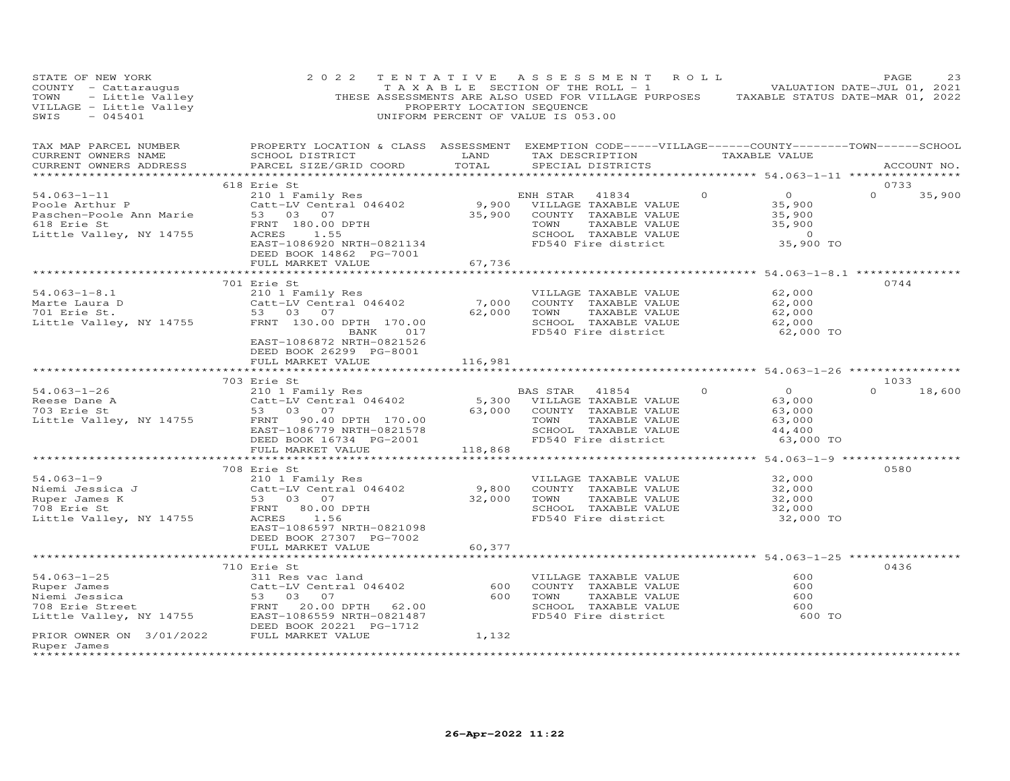| COUNTY - Cattaraugus 2022 TENTATIVE ASSESSMENT ROLL PAGE 23<br>COUNTY - Cattaraugus TAXABLE SECTION OF THE ROLL - 1<br>TAXABLE SECTION OF THE ROLL - 1<br>VALUATION DATE-JUL 01, 2021<br>THESE ASSESSMENTY LOCATION SEQUENCE<br>PROPERTY          |                                                                                                  |  |           |      |               |
|---------------------------------------------------------------------------------------------------------------------------------------------------------------------------------------------------------------------------------------------------|--------------------------------------------------------------------------------------------------|--|-----------|------|---------------|
|                                                                                                                                                                                                                                                   |                                                                                                  |  |           |      |               |
|                                                                                                                                                                                                                                                   | 618 Erie St                                                                                      |  |           | 0733 |               |
| 54.063-1-11 61.063-1-11 61.063-1-11 61.063-1-11 61.063-1-11 5210 1 Family Res<br>Poole Arthur P Catt-LV Central 046402 9,900 VILLAGE TAXABLE VALUE 35,900<br>Paschen-Poole Ann Marie 53 03 07 35,900 COUNTY TAXABLE VALUE 35,900<br>              |                                                                                                  |  |           |      | $0 \t35,900$  |
|                                                                                                                                                                                                                                                   |                                                                                                  |  |           |      |               |
|                                                                                                                                                                                                                                                   | 701 Erie St<br>EAST-1086872 NRTH-0821526<br>DEED BOOK 26299 PG-8001<br>FULL MARKET VALUE 116,981 |  | 62,000 TO | 0744 |               |
|                                                                                                                                                                                                                                                   |                                                                                                  |  |           |      |               |
|                                                                                                                                                                                                                                                   |                                                                                                  |  |           | 1033 | $0 \t 18,600$ |
|                                                                                                                                                                                                                                                   |                                                                                                  |  |           |      |               |
| 708 Erie St<br>Miemi Jessica J<br>Miemi Jessica J<br>Ruper James K<br>708 Erie St<br>210 1 Family Res<br>Catt-LV Central 046402<br>2100 COUNTY TAXABLE VALUE<br>9,800 COUNTY TAXABLE VALUE<br>9,800 COUNTY TAXABLE VALUE<br>22,000 COUNTY TAXABLE | EAST-1086597 NRTH-0821098<br>DEED BOOK 27307 PG-7002<br>FULL MARKET VALUE 60,377                 |  |           | 0580 |               |
|                                                                                                                                                                                                                                                   |                                                                                                  |  |           |      |               |
| Ruper James                                                                                                                                                                                                                                       | 710 Erie St                                                                                      |  | 600 TO    | 0436 |               |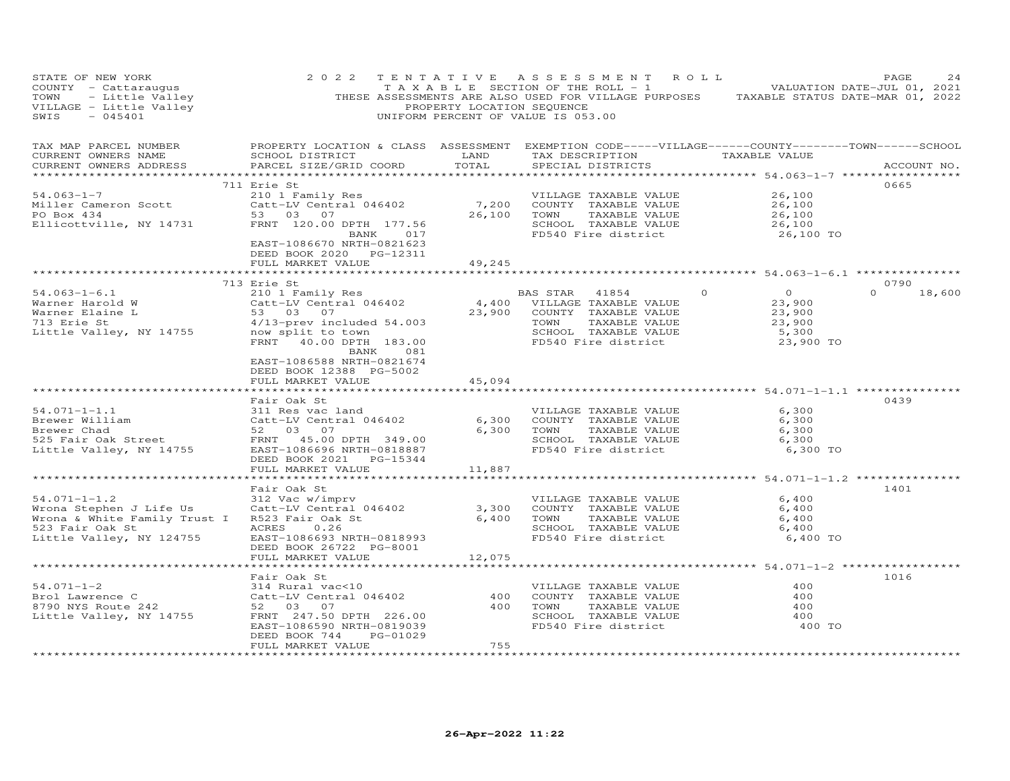| STATE OF NEW YORK<br>COUNTY - Cattaraugus<br>TAXABLE SECTION OF THE ROLL - 1 VALUATION DATE-JUL 01, 2021<br>THESE ASSESSMENTS ARE ALSO USED FOR VILLAGE PURPOSES TAXABLE STATUS DATE-MAR 01, 2022<br>PROPERTY LOCATION OF VALUAGE IS 053.00<br>PROPERCENT O<br>$-045401$<br>SWIS | 2 0 2 2                                                                                                                                                                                                                                                                                                                                                    |             | TENTATIVE ASSESSMENT ROLL<br>TAXABLE SECTION OF THE ROLL - 1 VALUATION DATE-JUL 01, 2021<br>UNIFORM PERCENT OF VALUE IS 053.00                |                                                                                | PAGE<br>24                 |
|----------------------------------------------------------------------------------------------------------------------------------------------------------------------------------------------------------------------------------------------------------------------------------|------------------------------------------------------------------------------------------------------------------------------------------------------------------------------------------------------------------------------------------------------------------------------------------------------------------------------------------------------------|-------------|-----------------------------------------------------------------------------------------------------------------------------------------------|--------------------------------------------------------------------------------|----------------------------|
| TAX MAP PARCEL NUMBER<br>CURRENT OWNERS NAME<br>CURRENT OWNERS ADDRESS                                                                                                                                                                                                           | PROPERTY LOCATION & CLASS ASSESSMENT EXEMPTION CODE-----VILLAGE------COUNTY-------TOWN------SCHOOL<br>SCHOOL DISTRICT LAND<br>PARCEL SIZE/GRID COORD TOTAL                                                                                                                                                                                                 |             | TAX DESCRIPTION TAXABLE VALUE<br>SPECIAL DISTRICTS                                                                                            |                                                                                | ACCOUNT NO.                |
| 91.063-1-7<br>Miller Cameron Scott<br>PO Box 434<br>Ellicottville, NY 14731<br>FRNT 120.00 DPTH 177.56<br>FRNT 120.00 DPTH 177.56<br>FRNT 120.00 DPTH 177.56<br>FRNT 120.00 DPTH 177.56<br>FRNT 120.00 DPTH 177.56<br>FRNT 120.00 DPTH 177.56<br>F                               | 711 Erie St<br>EAST-1086670 NRTH-0821623<br>DEED BOOK 2020 PG-12311<br>FULL MARKET VALUE                                                                                                                                                                                                                                                                   | 49,245      | IOWN TAAABLE VALUE<br>SCHOOL TAXABLE VALUE<br>FD540 Fire district                                                                             | 26,100<br>26,100<br>26,100<br>26,100<br>26,100 TO                              | 0665                       |
|                                                                                                                                                                                                                                                                                  |                                                                                                                                                                                                                                                                                                                                                            |             |                                                                                                                                               | ******************** 54.063-1-6.1 ************                                 |                            |
| $54.063 - 1 - 6.1$<br>Warner Harold W<br>Warner Elaine L<br>713 Erie St<br>Little Valley, NY 14755                                                                                                                                                                               | 713 Erie St<br>Erie St<br>210 1 Family Res<br>Catt-LV Central 046402 4,400 VILLAGE TAXABLE VALUE<br>53 03 07 23,900 COUNTY TAXABLE VALUE<br>4/13-prev included 54.003 53 03 07 23,900 COUNTY TAXABLE VALUE<br>SCHOOL TAXABLE VALUE<br>SCHOOL TAXABLE VALU<br>FRNT 40.00 DPTH 183.00<br>BANK<br>081<br>EAST-1086588 NRTH-0821674<br>DEED BOOK 12388 PG-5002 |             | SCHOOL TAXABLE VALUE<br>FD540 Fire district                                                                                                   | $\overline{0}$<br>$\Omega$<br>23,900<br>23,900<br>23,900<br>5,300<br>23,900 TO | 0790<br>$\Omega$<br>18,600 |
|                                                                                                                                                                                                                                                                                  | FULL MARKET VALUE                                                                                                                                                                                                                                                                                                                                          | 45,094      |                                                                                                                                               |                                                                                |                            |
|                                                                                                                                                                                                                                                                                  |                                                                                                                                                                                                                                                                                                                                                            | *********** |                                                                                                                                               | ******************************* 54.071-1-1.1 ************                      |                            |
| 54.071-1-1.1 311 Res vac land<br>Brewer William Catt-LV Central 046402 6,30<br>Brewer Chad 52 03 07 6,30<br>525 Fair Oak Street FRNT 45.00 DPTH 349.00<br>Little Valley, NY 14755 EAST-1086696 NRTH-0818887                                                                      | Fair Oak St<br>DEED BOOK 2021 PG-15344                                                                                                                                                                                                                                                                                                                     |             | VILLAGE TAXABLE VALUE<br>6,300 COUNTY TAXABLE VALUE<br>6,300 TOWN<br>TOWN      TAXABLE VALUE<br>SCHOOL   TAXABLE VALUE<br>FD540 Fire district | 6,300<br>6,300<br>6,300<br>6,300<br>6,300 TO                                   | 0439                       |
|                                                                                                                                                                                                                                                                                  | FULL MARKET VALUE<br>*******************                                                                                                                                                                                                                                                                                                                   | 11,887      |                                                                                                                                               |                                                                                |                            |
| $54.071 - 1 - 1.2$<br>Wrona Stephen J Life Us<br>Wrona & White Family Trust I<br>523 Fair Oak St<br>Little Valley, NY 124755                                                                                                                                                     | Fair Oak St<br>312 Vac w/imprv<br>Catt-LV Central 046402 3,300<br>R523 Fair Oak St 6,400<br>ACRES 0.26<br>ACRES 0.26<br>EAST-1086693 NRTH-0818993<br>DEED BOOK 26722 PG-8001                                                                                                                                                                               |             | VILLAGE TAXABLE VALUE<br>COUNTY TAXABLE VALUE<br>TAXABLE VALUE<br>TAXABLE VALUE<br>TOWN<br>SCHOOL TAXABLE VALUE<br>FD540 Fire district        | 6,400<br>6,400<br>6,400<br>6,400<br>6,400 TO                                   | 1401                       |
|                                                                                                                                                                                                                                                                                  | FULL MARKET VALUE                                                                                                                                                                                                                                                                                                                                          | 12,075      |                                                                                                                                               |                                                                                |                            |
| $54.071 - 1 - 2$<br>Little Valley, NY 14755                                                                                                                                                                                                                                      | Fair Oak St<br>314 Rural vac<10<br>Catt-LV Central 046402 400<br>FRNT 247.50 DPTH 226.00<br>EAST-1086590 NRTH-0819039<br>PG-01029<br>DEED BOOK 744<br>FULL MARKET VALUE                                                                                                                                                                                    | 755         | VILLAGE TAXABLE VALUE<br>COUNTY TAXABLE VALUE<br>400 TOWN<br>TAXABLE VALUE<br>SCHOOL TAXABLE VALUE<br>FD540 Fire district                     | 400<br>400<br>400<br>400<br>400 TO                                             | 1016                       |
|                                                                                                                                                                                                                                                                                  |                                                                                                                                                                                                                                                                                                                                                            |             |                                                                                                                                               |                                                                                |                            |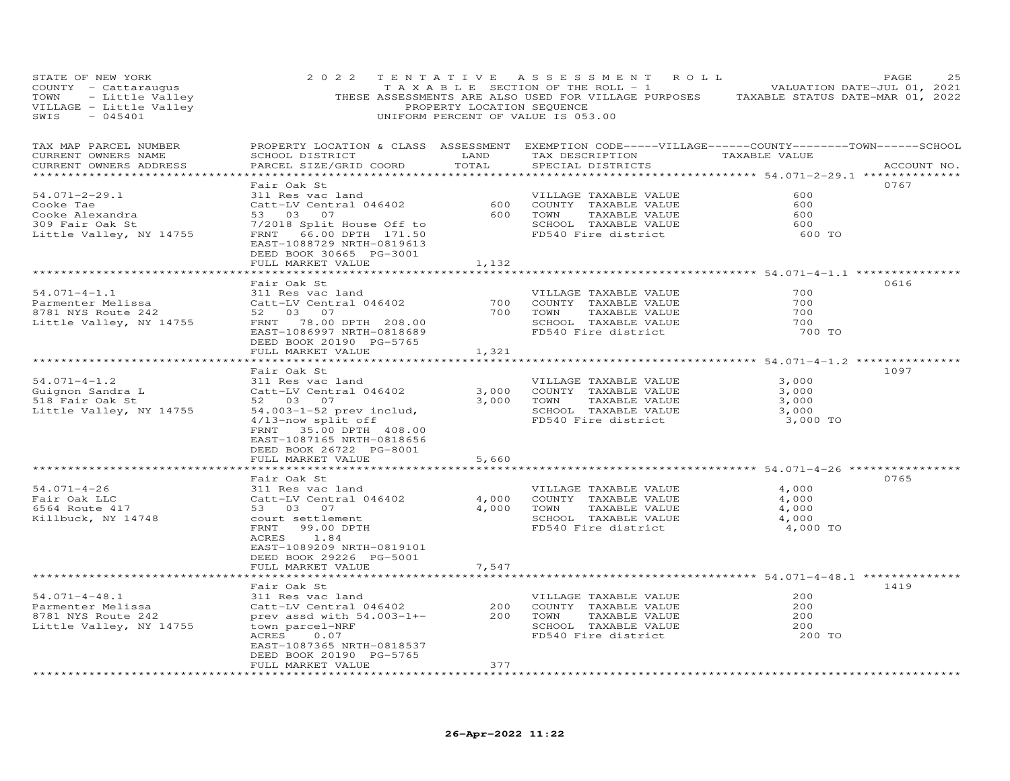| STATE OF NEW YORK<br>COUNTY - Cattaraugus and the country - Cattaraugus and the country - Cattaraugus and the TAXABLE SECTION OF THE ROLL - 1 WALUATION DATE-JUL 01, 2021<br>TOWN - Little Valley PRESE ASSESSMENTS ARE ALSO USED FOR VILLAGE PURPOSE<br>$SWIS - 045401$ | 2 0 2 2                                                                                                                                                                                                                                                                                                               |       | TENTATIVE ASSESSMENT ROLL<br>UNIFORM PERCENT OF VALUE IS 053.00                                                                                          |                                                              | 25<br>PAGE  |
|--------------------------------------------------------------------------------------------------------------------------------------------------------------------------------------------------------------------------------------------------------------------------|-----------------------------------------------------------------------------------------------------------------------------------------------------------------------------------------------------------------------------------------------------------------------------------------------------------------------|-------|----------------------------------------------------------------------------------------------------------------------------------------------------------|--------------------------------------------------------------|-------------|
| TAX MAP PARCEL NUMBER<br>CURRENT OWNERS NAME<br>CURRENT OWNERS ADDRESS                                                                                                                                                                                                   | SCHOOL DISTRICT LAND<br>PARCEL SIZE/GRID COORD                                                                                                                                                                                                                                                                        | TOTAL | PROPERTY LOCATION & CLASS ASSESSMENT EXEMPTION CODE-----VILLAGE------COUNTY-------TOWN------SCHOOL<br>TAX DESCRIPTION TAXABLE VALUE<br>SPECIAL DISTRICTS |                                                              | ACCOUNT NO. |
| $54.071 - 2 - 29.1$<br>Cooke Tae<br>Cooke Alexandra<br>309 Fair Oak St<br>Little Valley, NY 14755                                                                                                                                                                        | Fair Oak St<br>311 Res vac land<br>Catt-LV Central 046402<br>53 03 07<br>7/2018 Split House Off to<br>FRNT 66.00 DPTH 171.50<br>EAST-1088729 NRTH-0819613<br>DEED BOOK 30665 PG-3001<br>FULL MARKET VALUE                                                                                                             | 1,132 | VILLAGE TAXABLE VALUE<br>VILLAGE IAAABLE VALUE<br>600 COUNTY TAXABLE VALUE<br>600 TOWN TAXABLE VALUE<br>SCHOOL TAXABLE VALUE<br>FD540 Fire district      | 600<br>600<br>600<br>600<br>600 TO                           | 0767        |
|                                                                                                                                                                                                                                                                          |                                                                                                                                                                                                                                                                                                                       |       |                                                                                                                                                          |                                                              |             |
| $54.071 - 4 - 1.1$<br>Parmenter Melissa<br>8781 NYS Route 242<br>Little Valley, NY 14755                                                                                                                                                                                 | Fair Oak St<br>311 Res vac land<br>FRNT 78.00 DPTH 208.00<br>EAST-1086997 NRTH-0818689<br>DEED BOOK 20190 PG-5765<br>FULL MARKET VALUE                                                                                                                                                                                | 1,321 | VILLAGE TAXABLE VALUE<br>700 COUNTY TAXABLE VALUE<br>700 TOWN TAXABLE VALUE<br>SCHOOL TAXABLE VALUE<br>FD540 Fire district<br>FD540 Fire district        | 700<br>700<br>700<br>700<br>700 TO                           | 0616        |
|                                                                                                                                                                                                                                                                          | ***************************                                                                                                                                                                                                                                                                                           |       |                                                                                                                                                          | **********************************54.071-4-1.2 ************* |             |
| $54.071 - 4 - 1.2$<br>Guignon Sandra L<br>518 Fair Oak St<br>Little Valley, NY 14755                                                                                                                                                                                     | Fair Oak St<br>311 Res vac land<br>Catt-LV Central 046402<br>52 03 07<br>54.003-1-52 prev includ,<br>4/13-now split off<br>FRNT 35.00 DPTH 408.00<br>EAST-1087165 NRTH-0818656<br>DEED BOOK 26722 PG-8001<br>FULL MARKET VALUE                                                                                        | 5,660 | VILLAGE TAXABLE VALUE<br>3,000 COUNTY TAXABLE VALUE<br>3,000 TOWN TAXABLE VALUE<br>SCHOOL TAXABLE VALUE<br>FD540 Fire district                           | 3,000<br>3,000<br>3,000<br>3,000<br>3,000 TO                 | 1097        |
|                                                                                                                                                                                                                                                                          |                                                                                                                                                                                                                                                                                                                       |       |                                                                                                                                                          |                                                              |             |
| $54.071 - 4 - 26$<br>Fair Oak LLC<br>$6564$ Route $417$<br>Killbuck, NY 14748                                                                                                                                                                                            | Fair Oak St<br>311 Res vac land<br>Catt-LV Central 046402<br>53 03 07<br>court settlement<br>FRNT 99.00 DPTH<br>ACRES 1.84<br>EAST-1089209 NRTH-0819101<br>DEED BOOK 29226 PG-5001                                                                                                                                    |       | VILLAGE TAXABLE VALUE<br>4,000 COUNTY TAXABLE VALUE<br>4,000 TOWN TAXABLE VALUE<br>SCHOOL TAXABLE VALUE<br>FD540 Fire district                           | 4,000<br>4,000<br>4,000<br>4,000<br>4,000 TO                 | 0765        |
|                                                                                                                                                                                                                                                                          |                                                                                                                                                                                                                                                                                                                       |       |                                                                                                                                                          |                                                              |             |
| $54.071 - 4 - 48.1$<br>Parmenter Melissa<br>UPOL NIS ROUTE 242<br>Little Valley, NY 14755                                                                                                                                                                                | Fair Oak St<br>Fail Can Communicated Minimizer 200 VILLAGE TAXABLE VALUE<br>311 Res vac land<br>Catt-LV Central 046402 200 COUNTY TAXABLE VALUE<br>prev associated 1003-1+- 200 TOWN TAXABLE VALUE<br>SCHOOL TAXABLE VALUE<br>ACRES 0.07<br>EAST-1087365 NRTH-0818537<br>DEED BOOK 20190 PG-5765<br>FULL MARKET VALUE | 377   | TAXABLE VALUE<br>SCHOOL TAXABLE VALUE<br>FD540 Fire district                                                                                             | 200<br>200<br>200<br>200<br>200 TO                           | 1419        |
| ***********************                                                                                                                                                                                                                                                  | FULL MARKET VALUE<br>*******************<br>***********************                                                                                                                                                                                                                                                   | 7,547 |                                                                                                                                                          |                                                              |             |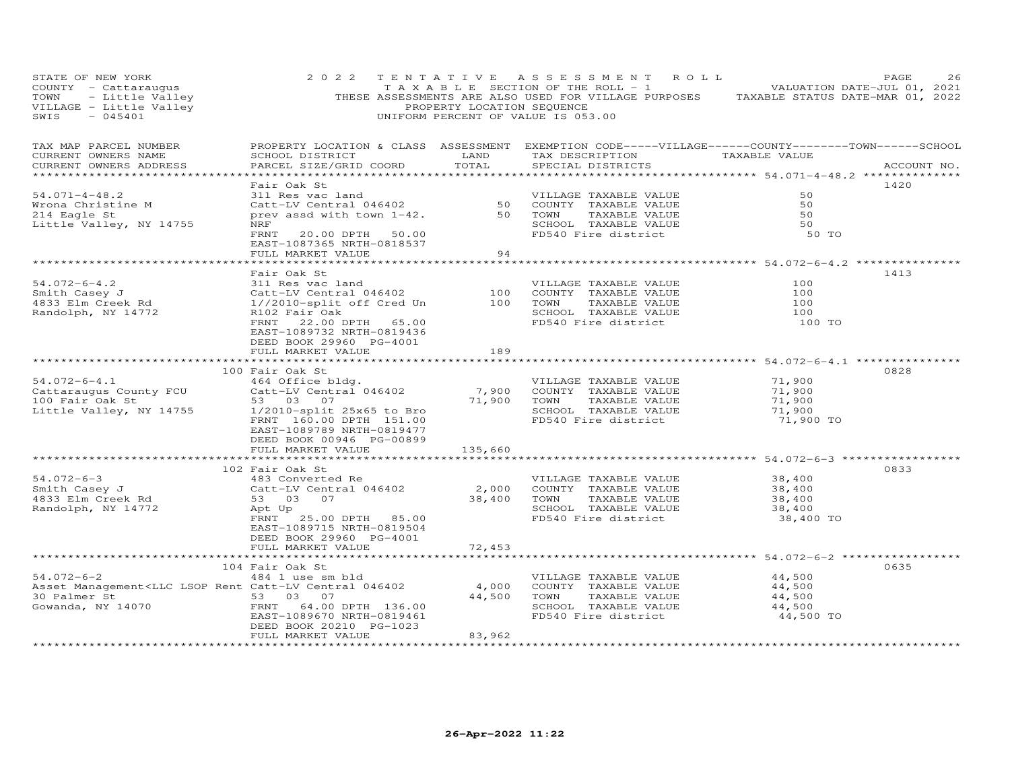| STATE OF NEW YORK                                                                                    | 2 0 2 2                                                                                                                                                                                                                                                                     |                    | TENTATIVE ASSESSMENT ROLL                           | PAGE<br>26<br>PAGE 26<br>TAXABLE SECTION OF THE ROLL - 1<br>TOWN - Little Valley THESE ASSESSMENTS ARE ALSO USED FOR VILLAGE PURPOSES TAXABLE STATUS DATE-JUL 01, 2021<br>THESE ASSESSMENTS ARE ALSO USED FOR VILLAGE PURPOSES TAXABLE STATUS DATE |
|------------------------------------------------------------------------------------------------------|-----------------------------------------------------------------------------------------------------------------------------------------------------------------------------------------------------------------------------------------------------------------------------|--------------------|-----------------------------------------------------|----------------------------------------------------------------------------------------------------------------------------------------------------------------------------------------------------------------------------------------------------|
| TAX MAP PARCEL NUMBER<br>CURRENT OWNERS NAME<br>CURRENT OWNERS ADDRESS                               | SCHOOL DISTRICT<br>PARCEL SIZE/GRID COORD                                                                                                                                                                                                                                   | LAND<br>TOTAL      | TAX DESCRIPTION TAXABLE VALUE<br>SPECIAL DISTRICTS  | PROPERTY LOCATION & CLASS ASSESSMENT EXEMPTION CODE-----VILLAGE------COUNTY-------TOWN------SCHOOL<br>ACCOUNT NO.                                                                                                                                  |
|                                                                                                      | Fair Oak St                                                                                                                                                                                                                                                                 |                    |                                                     | 1420                                                                                                                                                                                                                                               |
| $54.071 - 4 - 48.2$                                                                                  | 311 Res vac land Gatt-LV Central 046402 (COUNTY TAXABLE VALUE                                                                                                                                                                                                               |                    |                                                     | 50                                                                                                                                                                                                                                                 |
| Wrona Christine M<br>214 Eagle St                                                                    | prev assd with town 1-42.                                                                                                                                                                                                                                                   |                    | 50 TOWN<br>TAXABLE VALUE                            | 50<br>50                                                                                                                                                                                                                                           |
| Little Valley, NY 14755                                                                              | NRF                                                                                                                                                                                                                                                                         |                    |                                                     | 50                                                                                                                                                                                                                                                 |
|                                                                                                      | FRNT<br>20.00 DPTH 50.00                                                                                                                                                                                                                                                    |                    | SCHOOL TAXABLE VALUE<br>FD540 Fire district         | 50 TO                                                                                                                                                                                                                                              |
|                                                                                                      | EAST-1087365 NRTH-0818537                                                                                                                                                                                                                                                   |                    |                                                     |                                                                                                                                                                                                                                                    |
|                                                                                                      | FULL MARKET VALUE                                                                                                                                                                                                                                                           | 94                 |                                                     |                                                                                                                                                                                                                                                    |
|                                                                                                      | Fair Oak St                                                                                                                                                                                                                                                                 | ****************** |                                                     | ******************** 54.072-6-4.2 **************<br>1413                                                                                                                                                                                           |
| $54.072 - 6 - 4.2$                                                                                   | 311 Res vac land                                                                                                                                                                                                                                                            |                    | VILLAGE TAXABLE VALUE                               | 100                                                                                                                                                                                                                                                |
| Smith Casey J                                                                                        | Catt-LV Central 046402                                                                                                                                                                                                                                                      |                    | 100 COUNTY TAXABLE VALUE                            | 100                                                                                                                                                                                                                                                |
| 4833 Elm Creek Rd                                                                                    | 1//2010-split off Cred Un 100 TOWN                                                                                                                                                                                                                                          |                    | TAXABLE VALUE                                       | 100                                                                                                                                                                                                                                                |
| Randolph, NY 14772                                                                                   | R102 Fair Oak                                                                                                                                                                                                                                                               |                    | SCHOOL TAXABLE VALUE                                | 100                                                                                                                                                                                                                                                |
|                                                                                                      | FRNT 22.00 DPTH 65.00                                                                                                                                                                                                                                                       |                    | FD540 Fire district                                 | 100 TO                                                                                                                                                                                                                                             |
|                                                                                                      | EAST-1089732 NRTH-0819436                                                                                                                                                                                                                                                   |                    |                                                     |                                                                                                                                                                                                                                                    |
|                                                                                                      | DEED BOOK 29960 PG-4001<br>FULL MARKET VALUE                                                                                                                                                                                                                                | 189                |                                                     |                                                                                                                                                                                                                                                    |
|                                                                                                      |                                                                                                                                                                                                                                                                             |                    |                                                     |                                                                                                                                                                                                                                                    |
|                                                                                                      | 100 Fair Oak St                                                                                                                                                                                                                                                             |                    |                                                     | 0828                                                                                                                                                                                                                                               |
| $54.072 - 6 - 4.1$                                                                                   |                                                                                                                                                                                                                                                                             |                    | VILLAGE TAXABLE VALUE                               | 71,900                                                                                                                                                                                                                                             |
| Cattaraugus County FCU                                                                               |                                                                                                                                                                                                                                                                             |                    |                                                     | 71,900                                                                                                                                                                                                                                             |
| 100 Fair Oak St                                                                                      |                                                                                                                                                                                                                                                                             |                    |                                                     | 71,900                                                                                                                                                                                                                                             |
| Little Valley, NY 14755                                                                              |                                                                                                                                                                                                                                                                             |                    | SCHOOL TAXABLE VALUE                                | 71,900                                                                                                                                                                                                                                             |
|                                                                                                      | Fair Oak St<br>464 Office bldg.<br>Catt-LV Central 046402 7,900 COUNTY TAXABLE VALUE<br>53 03 07 71,900 TOWN TAXABLE VALUE<br>1/2010-split 25x65 to Bro SCHOOL TAXABLE VALUE<br>TAYABLE VALUE<br>TAYABLE VALUE<br>TAYABLE VALUE<br>TAYABLE VAL<br>EAST-1089789 NRTH-0819477 |                    | FD540 Fire district                                 | 71,900 TO                                                                                                                                                                                                                                          |
|                                                                                                      | DEED BOOK 00946 PG-00899                                                                                                                                                                                                                                                    |                    |                                                     |                                                                                                                                                                                                                                                    |
|                                                                                                      | FULL MARKET VALUE                                                                                                                                                                                                                                                           | 135,660            |                                                     |                                                                                                                                                                                                                                                    |
|                                                                                                      |                                                                                                                                                                                                                                                                             |                    |                                                     |                                                                                                                                                                                                                                                    |
|                                                                                                      | 102 Fair Oak St                                                                                                                                                                                                                                                             |                    |                                                     | 0833                                                                                                                                                                                                                                               |
| $54.072 - 6 - 3$                                                                                     | 483 Converted Re                                                                                                                                                                                                                                                            |                    | VILLAGE TAXABLE VALUE                               | 38,400                                                                                                                                                                                                                                             |
| Smith Casey J<br>4833 Elm Creek Rd                                                                   | Catt-LV Central 046402                                                                                                                                                                                                                                                      |                    | 2,000 COUNTY TAXABLE VALUE                          | 38,400                                                                                                                                                                                                                                             |
| Randolph, NY 14772                                                                                   | 53 03 07<br>Apt Up                                                                                                                                                                                                                                                          |                    | 38,400 TOWN TAXABLE VALUE<br>SCHOOL TAXABLE VALUE   | 38,400<br>38,400                                                                                                                                                                                                                                   |
|                                                                                                      | FRNT 25.00 DPTH 85.00                                                                                                                                                                                                                                                       |                    | FD540 Fire district                                 | 38,400 TO                                                                                                                                                                                                                                          |
|                                                                                                      | EAST-1089715 NRTH-0819504                                                                                                                                                                                                                                                   |                    |                                                     |                                                                                                                                                                                                                                                    |
|                                                                                                      | DEED BOOK 29960 PG-4001                                                                                                                                                                                                                                                     |                    |                                                     |                                                                                                                                                                                                                                                    |
|                                                                                                      | FULL MARKET VALUE                                                                                                                                                                                                                                                           | 72,453             |                                                     |                                                                                                                                                                                                                                                    |
|                                                                                                      |                                                                                                                                                                                                                                                                             | ***********        |                                                     | ********************* 54.072-6-2 ************                                                                                                                                                                                                      |
|                                                                                                      | 104 Fair Oak St                                                                                                                                                                                                                                                             |                    |                                                     | 0635                                                                                                                                                                                                                                               |
| $54.072 - 6 - 2$                                                                                     | 484 1 use sm bld                                                                                                                                                                                                                                                            |                    | VILLAGE TAXABLE VALUE<br>4,000 COUNTY TAXABLE VALUE | 44,500<br>44,500                                                                                                                                                                                                                                   |
| Asset Management <llc 046402<br="" catt-lv="" central="" lsop="" rent="">30 Palmer St 53 03 07</llc> |                                                                                                                                                                                                                                                                             |                    | 44,500 TOWN<br>TAXABLE VALUE                        | 44,500                                                                                                                                                                                                                                             |
| 30 Palmer St 53 03 07<br>Gowanda, NY 14070 600 FRNT 64.00 I                                          | FRNT 64.00 DPTH 136.00                                                                                                                                                                                                                                                      |                    | SCHOOL TAXABLE VALUE                                | 44,500                                                                                                                                                                                                                                             |
|                                                                                                      | EAST-1089670 NRTH-0819461                                                                                                                                                                                                                                                   |                    | FD540 Fire district                                 | 44,500 TO                                                                                                                                                                                                                                          |
|                                                                                                      | DEED BOOK 20210 PG-1023                                                                                                                                                                                                                                                     |                    |                                                     |                                                                                                                                                                                                                                                    |
|                                                                                                      | FULL MARKET VALUE                                                                                                                                                                                                                                                           | 83,962             |                                                     |                                                                                                                                                                                                                                                    |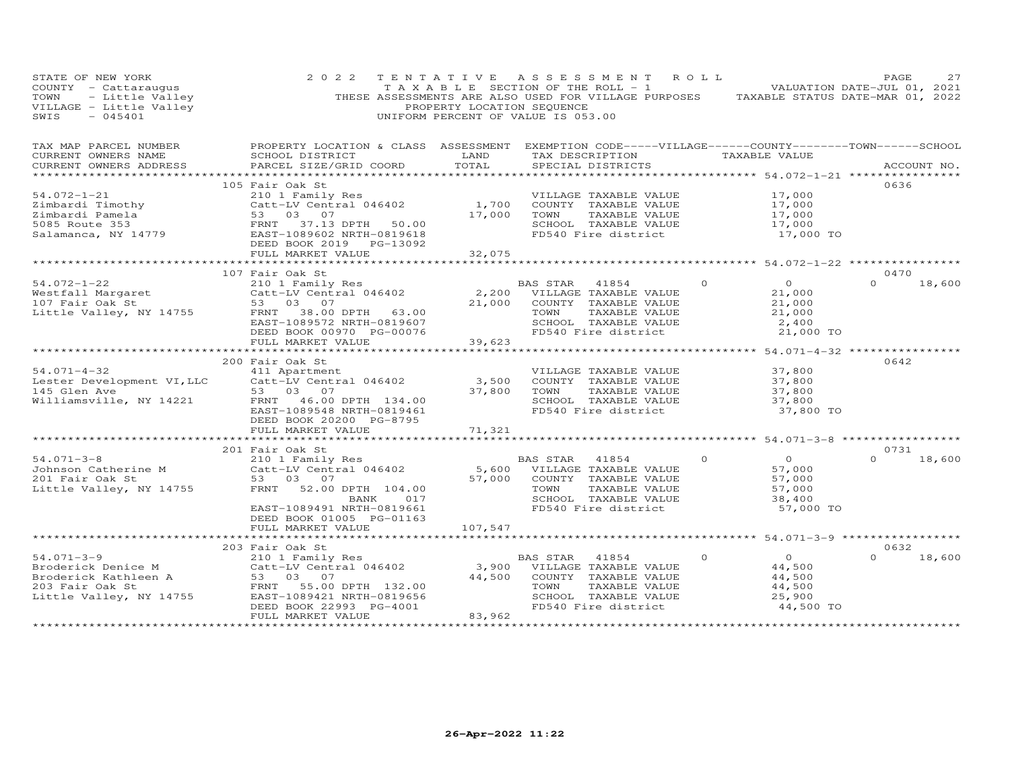| STATE OF NEW YORK<br>COUNTY - Cattaraugus<br>TOWN - Little Valley<br>VILLAGE - Little Valley<br>$-045401$<br>SWIS                                                                                     | 2 0 2 2                                                                                                                                                                                                                                                                             | PROPERTY LOCATION SEQUENCE | TENTATIVE ASSESSMENT ROLL<br>TAXABLE SECTION OF THE ROLL - 1 VALUATION DATE-JUL 01, 2021<br>THESE ASSESSMENTS ARE ALSO USED FOR VILLAGE PURPOSES TAXABLE STATUS DATE-MAR 01, 2022<br>UNIFORM PERCENT OF VALUE IS 053.00 |                                                    |                                                                     | PAGE             | 27     |
|-------------------------------------------------------------------------------------------------------------------------------------------------------------------------------------------------------|-------------------------------------------------------------------------------------------------------------------------------------------------------------------------------------------------------------------------------------------------------------------------------------|----------------------------|-------------------------------------------------------------------------------------------------------------------------------------------------------------------------------------------------------------------------|----------------------------------------------------|---------------------------------------------------------------------|------------------|--------|
| TAX MAP PARCEL NUMBER<br>CURRENT OWNERS NAME<br>CURRENT OWNERS ADDRESS                                                                                                                                | PROPERTY LOCATION & CLASS ASSESSMENT<br>SCHOOL DISTRICT<br>PARCEL SIZE/GRID COORD<br>***************                                                                                                                                                                                | LAND<br>TOTAL              | EXEMPTION CODE-----VILLAGE------COUNTY--------TOWN------SCHOOL<br>TAX DESCRIPTION TAXABLE VALUE<br>SPECIAL DISTRICTS                                                                                                    | ******************** 54.072-1-21 ***************** |                                                                     | ACCOUNT NO.      |        |
| $54.072 - 1 - 21$                                                                                                                                                                                     | 105 Fair Oak St<br>210 1 Family Res<br>Eimbardi Timothy<br>Simbardi Pamela<br>53 03 07<br>5085 Route 353<br>Salamanca, NY 14779<br>81amanca, NY 14779<br>82.57-1089602 NRTH-0819618<br>82.57-1089602 NRTH-0819618<br>82.57-10892<br>DEED BOOK 2019    PG-13092<br>FULL MARKET VALUE | 1,700<br>17,000<br>32,075  | VILLAGE TAXABLE VALUE<br>COUNTY TAXABLE VALUE<br>TAXABLE VALUE<br>TOWN<br>SCHOOL TAXABLE VALUE<br>FD540 Fire district                                                                                                   |                                                    | 17,000<br>17,000<br>17,000<br>17,000<br>17,000 TO                   | 0636             |        |
|                                                                                                                                                                                                       |                                                                                                                                                                                                                                                                                     |                            |                                                                                                                                                                                                                         |                                                    |                                                                     |                  |        |
| $54.072 - 1 - 22$<br>Westfall Margaret<br>107 Fair Oak St<br>Little Valley, NY 14755                                                                                                                  | 107 Fair Oak St<br>Fair Oak St<br>210 1 Family Res<br>Catt-LV Central 046402<br>53 - 03 - 07<br>FRNT 38.00 DPTH 63.00<br>EAST-1089572 NRTH-0819607<br>DEED BOOK 00970 PG-00076                                                                                                      | 21,000                     | BAS STAR 41854<br>2,200 VILLAGE TAXABLE VALUE<br>COUNTY TAXABLE VALUE<br>TOWN<br>TAXABLE VALUE<br>SCHOOL TAXABLE VALUE<br>FD540 Fire district                                                                           | $\Omega$                                           | $\overline{0}$<br>21,000<br>21,000<br>21,000<br>2,400<br>21,000 TO  | 0470<br>$\Omega$ | 18,600 |
|                                                                                                                                                                                                       | FULL MARKET VALUE                                                                                                                                                                                                                                                                   | 39,623                     |                                                                                                                                                                                                                         |                                                    |                                                                     |                  |        |
| $54.071 - 4 - 32$<br>Lester Development VI, LLC<br>145 Glen Ave<br>Williamsville, NY 14221                                                                                                            | 200 Fair Oak St<br>411 Apartment<br>Catt-LV Central 046402<br>53 03 07<br>FRNT 46.00 DPTH 134.00<br>EAST-1089548 NRTH-0819461<br>DEED BOOK 20200 PG-8795                                                                                                                            | 3,500<br>37,800            | VILLAGE TAXABLE VALUE<br>COUNTY TAXABLE VALUE<br>TOWN<br>TAXABLE VALUE<br>SCHOOL TAXABLE VALUE<br>FD540 Fire district                                                                                                   |                                                    | 37,800<br>37,800<br>37,800<br>37,800<br>37,800 TO                   | 0642             |        |
|                                                                                                                                                                                                       | FULL MARKET VALUE                                                                                                                                                                                                                                                                   | 71,321                     |                                                                                                                                                                                                                         |                                                    |                                                                     |                  |        |
|                                                                                                                                                                                                       |                                                                                                                                                                                                                                                                                     |                            |                                                                                                                                                                                                                         | ******************** 54.071-3-8 ****************** |                                                                     |                  |        |
| $54.071 - 3 - 8$<br>Johnson Catherine M<br>Johnson Catherine M<br>201 Fair Oak St<br>Little Valley, NY 14755                                                                                          | 201 Fair Oak St<br>210 1 Family Res<br>Catt-LV Central 046402 5,600<br>53 03 07 57,000<br>53 03 07<br>52.00 DPTH 104.00<br>FRNT<br>017<br>BANK<br>EAST-1089491 NRTH-0819661<br>DEED BOOK 01005 PG-01163                                                                             | 57,000                     | BAS STAR<br>41854<br>VILLAGE TAXABLE VALUE<br>COUNTY TAXABLE VALUE<br>TOWN<br>TAXABLE VALUE<br>SCHOOL TAXABLE VALUE<br>FD540 Fire district                                                                              | $\circ$                                            | $\overline{0}$<br>57,000<br>57,000<br>57,000<br>38,400<br>57,000 TO | 0731<br>$\Omega$ | 18,600 |
|                                                                                                                                                                                                       | FULL MARKET VALUE                                                                                                                                                                                                                                                                   | 107,547                    |                                                                                                                                                                                                                         |                                                    |                                                                     |                  |        |
|                                                                                                                                                                                                       |                                                                                                                                                                                                                                                                                     |                            |                                                                                                                                                                                                                         |                                                    |                                                                     |                  |        |
| $54.071 - 3 - 9$<br>Example of the Mathematical Cattle Centricus Cattle Centricus (State Centricus)<br>203 Fair Oak St (STAR) FRNT SE ON STRIT SE ON THE VALUE VALUE VALUE<br>Little Valley, NY 14755 | 203 Fair Oak St<br>210 1 Family Res<br>Catt-LV Central 046402<br>53 03 07<br>FRNT 55.00 DPTH 132.00<br>EAST-1089421 NRTH-0819656<br>DEED BOOK 22993 PG-4001<br>FULL MARKET VALUE                                                                                                    | 44,500<br>83,962           | BAS STAR<br>41854<br>3,900 VILLAGE TAXABLE VALUE<br>COUNTY TAXABLE VALUE<br>TAXABLE VALUE<br>TOWN<br>SCHOOL TAXABLE VALUE<br>FD540 Fire district                                                                        | $\Omega$                                           | $\overline{O}$<br>44,500<br>44,500<br>44,500<br>25,900<br>44,500 TO | 0632<br>$\Omega$ | 18,600 |
| ***********************                                                                                                                                                                               | *************************                                                                                                                                                                                                                                                           | *******************        |                                                                                                                                                                                                                         |                                                    |                                                                     |                  |        |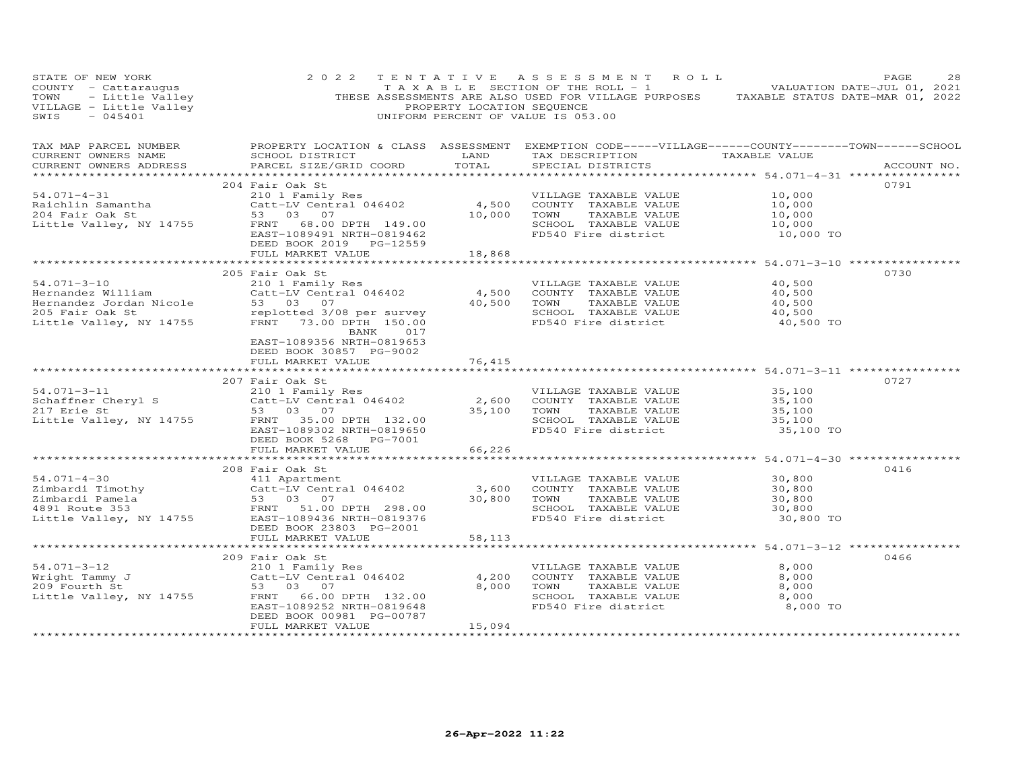| PAGE 28<br>TAXABLE SECTION OF THE ROLL - 1 WALUATION DATE-JUL 01, 2021<br>VILLAGE - Little Valley (PAGE) THESE ASSESSMENTS ARE ALSO USED FOR VILLAGE PURPOSES TAXABLE STATUS DATE-MAR<br>SWIS - 045401 (PROPERTY LOCATION SEQUENCE)                                    |                                                                                |                |                                                                                                                                                               |                                                      |             |
|------------------------------------------------------------------------------------------------------------------------------------------------------------------------------------------------------------------------------------------------------------------------|--------------------------------------------------------------------------------|----------------|---------------------------------------------------------------------------------------------------------------------------------------------------------------|------------------------------------------------------|-------------|
| TAX MAP PARCEL NUMBER<br>CURRENT OWNERS NAME<br>CURRENT OWNERS ADDRESS                                                                                                                                                                                                 | SCHOOL DISTRICT<br>PARCEL SIZE/GRID COORD                                      | TOTAL          | PROPERTY LOCATION & CLASS ASSESSMENT EXEMPTION CODE-----VILLAGE------COUNTY-------TOWN------SCHOOL<br>LAND TAX DESCRIPTION TAXABLE VALUE<br>SPECIAL DISTRICTS |                                                      | ACCOUNT NO. |
|                                                                                                                                                                                                                                                                        | 204 Fair Oak St                                                                |                |                                                                                                                                                               |                                                      | 0791        |
| $54.071 - 4 - 31$                                                                                                                                                                                                                                                      | 210 1 Family Res<br>Catt-LV Central 046402 4,500<br>53 03 07 10,000            |                | VILLAGE TAXABLE VALUE                                                                                                                                         | 10,000                                               |             |
| Raichlin Samantha<br>204 Fair Oak St                                                                                                                                                                                                                                   |                                                                                |                | COUNTY TAXABLE VALUE                                                                                                                                          | 10,000                                               |             |
|                                                                                                                                                                                                                                                                        |                                                                                |                | TOWN<br>TAXABLE VALUE                                                                                                                                         | 10,000                                               |             |
| Little Valley, NY 14755                                                                                                                                                                                                                                                | FRNT 68.00 DPTH 149.00<br>EAST-1089491 NRTH-0819462<br>DEED BOOK 2019 PG-12559 |                | SCHOOL TAXABLE VALUE<br>FD540 Fire district                                                                                                                   | 10,000<br>10,000 TO                                  |             |
|                                                                                                                                                                                                                                                                        | FULL MARKET VALUE                                                              | 18,868         |                                                                                                                                                               |                                                      |             |
|                                                                                                                                                                                                                                                                        | 205 Fair Oak St                                                                |                |                                                                                                                                                               | *********************** 54.071-3-10 **************** | 0730        |
| 54.071-3-10                                                                                                                                                                                                                                                            | 210 1 Family Res                                                               |                | VILLAGE TAXABLE VALUE                                                                                                                                         | 40,500                                               |             |
| Hernandez William                                                                                                                                                                                                                                                      | $210$ T $F$ and $F$ $\sim$ $4$ , 500                                           |                | COUNTY TAXABLE VALUE                                                                                                                                          | 40,500                                               |             |
|                                                                                                                                                                                                                                                                        |                                                                                | 40,500         | TOWN<br>TAXABLE VALUE                                                                                                                                         | 40,500                                               |             |
| Hernandez Jordan Nicole 53 03 07 40,500<br>205 Fair Oak St replotted 3/08 per survey<br>Little Valley, NY 14755 FRNT 73.00 DPTH 150.00                                                                                                                                 |                                                                                |                | SCHOOL TAXABLE VALUE<br>FD540 Fire district                                                                                                                   | 40,500                                               |             |
|                                                                                                                                                                                                                                                                        | BANK 017                                                                       |                |                                                                                                                                                               | 40,500 TO                                            |             |
|                                                                                                                                                                                                                                                                        | EAST-1089356 NRTH-0819653<br>DEED BOOK 30857 PG-9002                           |                |                                                                                                                                                               |                                                      |             |
|                                                                                                                                                                                                                                                                        | FULL MARKET VALUE                                                              | 76,415         |                                                                                                                                                               |                                                      |             |
|                                                                                                                                                                                                                                                                        |                                                                                |                |                                                                                                                                                               |                                                      |             |
|                                                                                                                                                                                                                                                                        | 207 Fair Oak St                                                                |                |                                                                                                                                                               |                                                      | 0727        |
| 54.071-3-11<br>54.071-3-11 210 1 Family Res<br>Schaffner Cheryl S<br>217 Erie St 53 03 07<br>Little Valley, NY 14755 FRNT 35.000 NPTH 132.00                                                                                                                           | 210 1 Family Res<br>Catt-LV Central 046402<br>53 03 07                         |                | VILLAGE TAXABLE VALUE                                                                                                                                         | 35,100                                               |             |
|                                                                                                                                                                                                                                                                        |                                                                                | 35,100         | 2,600 COUNTY TAXABLE VALUE<br>TOWN<br>TAXABLE VALUE                                                                                                           | 35,100<br>35,100                                     |             |
|                                                                                                                                                                                                                                                                        |                                                                                |                | SCHOOL TAXABLE VALUE                                                                                                                                          | 35,100                                               |             |
|                                                                                                                                                                                                                                                                        | EAST-1089302 NRTH-0819650                                                      |                | FD540 Fire district                                                                                                                                           | 35,100 TO                                            |             |
|                                                                                                                                                                                                                                                                        | DEED BOOK 5268 PG-7001                                                         |                |                                                                                                                                                               |                                                      |             |
|                                                                                                                                                                                                                                                                        | FULL MARKET VALUE                                                              | 66,226         |                                                                                                                                                               |                                                      |             |
|                                                                                                                                                                                                                                                                        |                                                                                | ************** |                                                                                                                                                               | ****************** 54.071-4-30 ***************       |             |
| $54.071 - 4 - 30$                                                                                                                                                                                                                                                      | 208 Fair Oak St<br>411 Apartment                                               |                | VILLAGE TAXABLE VALUE                                                                                                                                         | 30,800                                               | 0416        |
|                                                                                                                                                                                                                                                                        |                                                                                | 3,600          | COUNTY TAXABLE VALUE                                                                                                                                          |                                                      |             |
|                                                                                                                                                                                                                                                                        |                                                                                | 30,800         | TOWN<br>TAXABLE VALUE                                                                                                                                         | 30,800<br>30,800<br>30,800                           |             |
|                                                                                                                                                                                                                                                                        |                                                                                |                | SCHOOL TAXABLE VALUE<br>FD540 Fire district                                                                                                                   |                                                      |             |
| Eimbardi Timothy<br>Eimbardi Timothy<br>21 Simbardi Pamela<br>23 03 07<br>4891 Route 353<br>Little Valley, NY 14755<br>298.00<br>298.00<br>298.00<br>298.00<br>298.00<br>298.00<br>298.00<br>298.00<br>298.00<br>298.00<br>298.00<br>298.00<br>298.00<br>298.00<br>298 |                                                                                |                |                                                                                                                                                               | 30,800 TO                                            |             |
|                                                                                                                                                                                                                                                                        | DEED BOOK 23803 PG-2001                                                        |                |                                                                                                                                                               |                                                      |             |
|                                                                                                                                                                                                                                                                        | FULL MARKET VALUE                                                              | 58,113         |                                                                                                                                                               |                                                      |             |
|                                                                                                                                                                                                                                                                        | 209 Fair Oak St                                                                |                |                                                                                                                                                               |                                                      | 0466        |
| $54.071 - 3 - 12$                                                                                                                                                                                                                                                      |                                                                                |                | VILLAGE TAXABLE VALUE                                                                                                                                         | 8,000                                                |             |
| 54.071-3-12 210 1 Family Res<br>Wright Tammy J 210 1 Family Res<br>209 Fourth St 53 03 07<br>Little Valley, NY 14755 FRNT 66.00 DPTH 132.00                                                                                                                            |                                                                                | 4,200          | COUNTY TAXABLE VALUE                                                                                                                                          | 8,000                                                |             |
|                                                                                                                                                                                                                                                                        |                                                                                | 8,000          | TOWN<br>TAXABLE VALUE                                                                                                                                         | 8,000                                                |             |
|                                                                                                                                                                                                                                                                        | EAST-1089252 NRTH-0819648                                                      |                | SCHOOL TAXABLE VALUE<br>FD540 Fire district                                                                                                                   | 8,000<br>8,000 TO                                    |             |
|                                                                                                                                                                                                                                                                        | DEED BOOK 00981 PG-00787                                                       |                |                                                                                                                                                               |                                                      |             |
|                                                                                                                                                                                                                                                                        | FULL MARKET VALUE                                                              | 15,094         |                                                                                                                                                               |                                                      |             |
|                                                                                                                                                                                                                                                                        |                                                                                |                |                                                                                                                                                               |                                                      |             |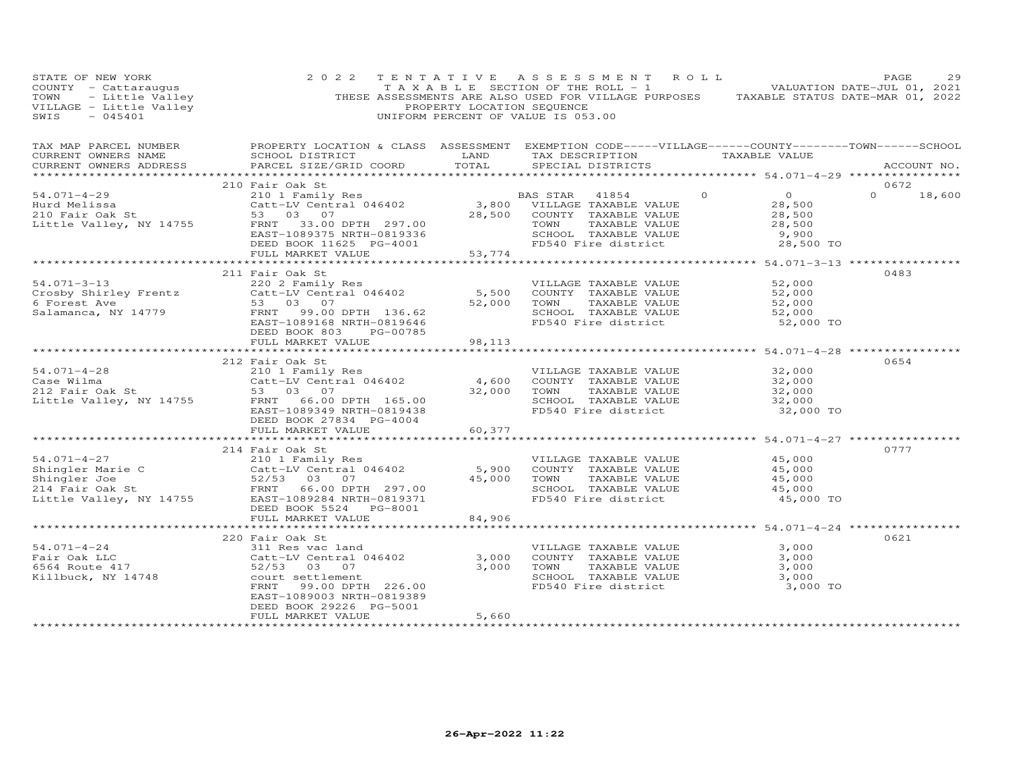| STATE OF NEW YORK                                                      | 2 0 2 2<br>TENTATIVE<br>COUNTY - Catteraugus<br>TOWN - Catteraugus<br>TOWN - Little Valley<br>THESE ASSESSMENTS ARE ALSO USED FOR VILLAGE PURPOSES TAXABLE STATUS DATE-JUL 01, 2021<br>THESE ASSESSMENTS ARE ALSO USED FOR VILLAGE PURPOSES TAXABLE STATUS DAT |                | ASSESSMENT ROLL                                                   | PAGE                                                                                               | 29            |
|------------------------------------------------------------------------|----------------------------------------------------------------------------------------------------------------------------------------------------------------------------------------------------------------------------------------------------------------|----------------|-------------------------------------------------------------------|----------------------------------------------------------------------------------------------------|---------------|
| TAX MAP PARCEL NUMBER<br>CURRENT OWNERS NAME<br>CURRENT OWNERS ADDRESS | SCHOOL DISTRICT<br>PARCEL SIZE/GRID COORD                                                                                                                                                                                                                      |                | LAND TAX DESCRIPTION TAXABLE VALUE<br>TOTAL SPECIAL DISTRICTS     | PROPERTY LOCATION & CLASS ASSESSMENT EXEMPTION CODE-----VILLAGE------COUNTY-------TOWN------SCHOOL | ACCOUNT NO.   |
|                                                                        |                                                                                                                                                                                                                                                                |                |                                                                   |                                                                                                    |               |
|                                                                        | 210 Fair Oak St                                                                                                                                                                                                                                                |                | $\Omega$                                                          | 0672                                                                                               |               |
| $54.071 - 4 - 29$                                                      | Pair Can Strain and Base of the BAS STAR 41854<br>Catt-LV Central 046402 3,800 VILLAGE TAXABLE VALUE<br>53 03 07 - 28,500 COUNTY TAXABLE VALUE                                                                                                                 |                |                                                                   | $\overline{O}$<br>28,500                                                                           | $0 \t 18,600$ |
|                                                                        |                                                                                                                                                                                                                                                                |                |                                                                   | 28,500                                                                                             |               |
| Jarovich<br>210 Fair Oak St<br>Little Valley, NY 14755                 | FRNT 33.00 DPTH 297.00<br>EAST-1089375 NRTH-0819336<br>DEED BOOK 11625 PG-4001<br>FULL MARKET VALUE 53,774                                                                                                                                                     |                | TOWN<br>TAXABLE VALUE                                             | 28,500                                                                                             |               |
|                                                                        |                                                                                                                                                                                                                                                                |                | SCHOOL TAXABLE VALUE 5,900<br>FD540 Fire district 5,900 TO        |                                                                                                    |               |
|                                                                        |                                                                                                                                                                                                                                                                |                |                                                                   |                                                                                                    |               |
|                                                                        |                                                                                                                                                                                                                                                                |                |                                                                   |                                                                                                    |               |
|                                                                        | 211 Fair Oak St                                                                                                                                                                                                                                                |                |                                                                   | 0483                                                                                               |               |
| $54.071 - 3 - 13$                                                      | 1211 USA UC<br>220 2 Family Res<br>Catt-LV Central 046402 5,500<br>53 03 07 52,000                                                                                                                                                                             |                | VILLAGE TAXABLE VALUE                                             | 52,000                                                                                             |               |
|                                                                        |                                                                                                                                                                                                                                                                |                | COUNTY TAXABLE VALUE                                              | 52,000                                                                                             |               |
| Crosby Shirley Frentz<br>6 Forest Ave                                  | 53 03 07                                                                                                                                                                                                                                                       | 52,000         | TOWN<br>TAXABLE VALUE                                             | 52,000<br>52,000                                                                                   |               |
| Salamanca, NY 14779                                                    | FRNT<br>99.00 DPTH 136.62                                                                                                                                                                                                                                      |                | SCHOOL TAXABLE VALUE                                              | 52,000                                                                                             |               |
|                                                                        | EAST-1089168 NRTH-0819646                                                                                                                                                                                                                                      |                | FD540 Fire district                                               | 52,000 TO                                                                                          |               |
|                                                                        | DEED BOOK 803<br>PG-00785<br>FULL MARKET VALUE                                                                                                                                                                                                                 | 98,113         |                                                                   |                                                                                                    |               |
|                                                                        |                                                                                                                                                                                                                                                                |                |                                                                   | ****************** 54.071-4-28 **********                                                          |               |
|                                                                        | 212 Fair Oak St                                                                                                                                                                                                                                                |                |                                                                   | 0654                                                                                               |               |
|                                                                        | 210 1 Family Res<br>Catt-LV Central 046402 (4,600 COUNTY TAXABLE VALUE<br>53 03 07 (32,000 TOWN TAXABLE VALUE                                                                                                                                                  |                | VILLAGE TAXABLE VALUE 32,000                                      |                                                                                                    |               |
|                                                                        |                                                                                                                                                                                                                                                                |                |                                                                   | 32,000                                                                                             |               |
|                                                                        |                                                                                                                                                                                                                                                                | 32,000         | TAXABLE VALUE<br>TOWN                                             | 32,000                                                                                             |               |
|                                                                        | 54.071-4-28 210 1 Family Res<br>Case Wilma Catt-LV Central 046402<br>212 Fair Oak St 53 03 07<br>Little Valley, NY 14755 FRNT 66.00 DPTH 165.00                                                                                                                |                | SCHOOL TAXABLE VALUE                                              | 32,000                                                                                             |               |
|                                                                        | EAST-1089349 NRTH-0819438<br>DEED BOOK 27834 PG-4004                                                                                                                                                                                                           |                | FD540 Fire district                                               | 32,000 TO                                                                                          |               |
|                                                                        | FULL MARKET VALUE                                                                                                                                                                                                                                              | 60,377         |                                                                   |                                                                                                    |               |
|                                                                        | *************************                                                                                                                                                                                                                                      |                |                                                                   | ********************* 54.071-4-27 ************                                                     |               |
|                                                                        | 214 Fair Oak St                                                                                                                                                                                                                                                |                |                                                                   | 0777                                                                                               |               |
| $54.071 - 4 - 27$                                                      | 210 1 Family Res                                                                                                                                                                                                                                               |                | VILLAGE TAXABLE VALUE                                             | 45,000                                                                                             |               |
|                                                                        | Catt-LV Central 046402                                                                                                                                                                                                                                         | 5,900          | COUNTY TAXABLE VALUE                                              | 45,000                                                                                             |               |
|                                                                        |                                                                                                                                                                                                                                                                | 45,000         |                                                                   | 45,000                                                                                             |               |
|                                                                        | 54.071-4-27<br>Shingler Marie C<br>Shingler Joe Catt-LV Central 046402<br>214 Fair Oak St<br>Little Valley, NY 14755 EAST-1089284 NRTH-0819371<br>ETERNIT 66.00 DPTH 297.00<br>EAST-1089284 NRTH-0819371<br>NEER DOW 5524 NRTH-0819371                         |                | TOWN TAXABLE VALUE<br>SCHOOL TAXABLE VALUE<br>FD540 Fire district | 45,000<br>45,000 TO                                                                                |               |
|                                                                        | DEED BOOK 5524 PG-8001                                                                                                                                                                                                                                         |                |                                                                   |                                                                                                    |               |
|                                                                        | FULL MARKET VALUE                                                                                                                                                                                                                                              | 84,906         |                                                                   |                                                                                                    |               |
|                                                                        |                                                                                                                                                                                                                                                                |                |                                                                   | ************ 54.071-4-24 ****                                                                      |               |
|                                                                        | 220 Fair Oak St                                                                                                                                                                                                                                                |                |                                                                   | 0621                                                                                               |               |
| $54.071 - 4 - 24$                                                      | 311 Res vac land                                                                                                                                                                                                                                               |                | VILLAGE TAXABLE VALUE                                             | 3,000                                                                                              |               |
| Fair Oak LLC<br>6564 Route 417                                         |                                                                                                                                                                                                                                                                | 3,000<br>3,000 | COUNTY TAXABLE VALUE<br>TAXABLE VALUE<br>TOWN                     | 3,000<br>3,000                                                                                     |               |
| Killbuck, NY 14748                                                     | Catt-LV Central 046402<br>52/53 03 07<br>court settlement<br>court settlement                                                                                                                                                                                  |                |                                                                   |                                                                                                    |               |
|                                                                        | FRNT<br>99.00 DPTH 226.00                                                                                                                                                                                                                                      |                | SCHOOL TAXABLE VALUE 3,000<br>FD540 Fire district 3,000 TO        |                                                                                                    |               |
|                                                                        | EAST-1089003 NRTH-0819389                                                                                                                                                                                                                                      |                |                                                                   |                                                                                                    |               |
|                                                                        | DEED BOOK 29226 PG-5001                                                                                                                                                                                                                                        |                |                                                                   |                                                                                                    |               |
|                                                                        | FULL MARKET VALUE                                                                                                                                                                                                                                              | 5,660          |                                                                   |                                                                                                    |               |
|                                                                        |                                                                                                                                                                                                                                                                |                |                                                                   |                                                                                                    |               |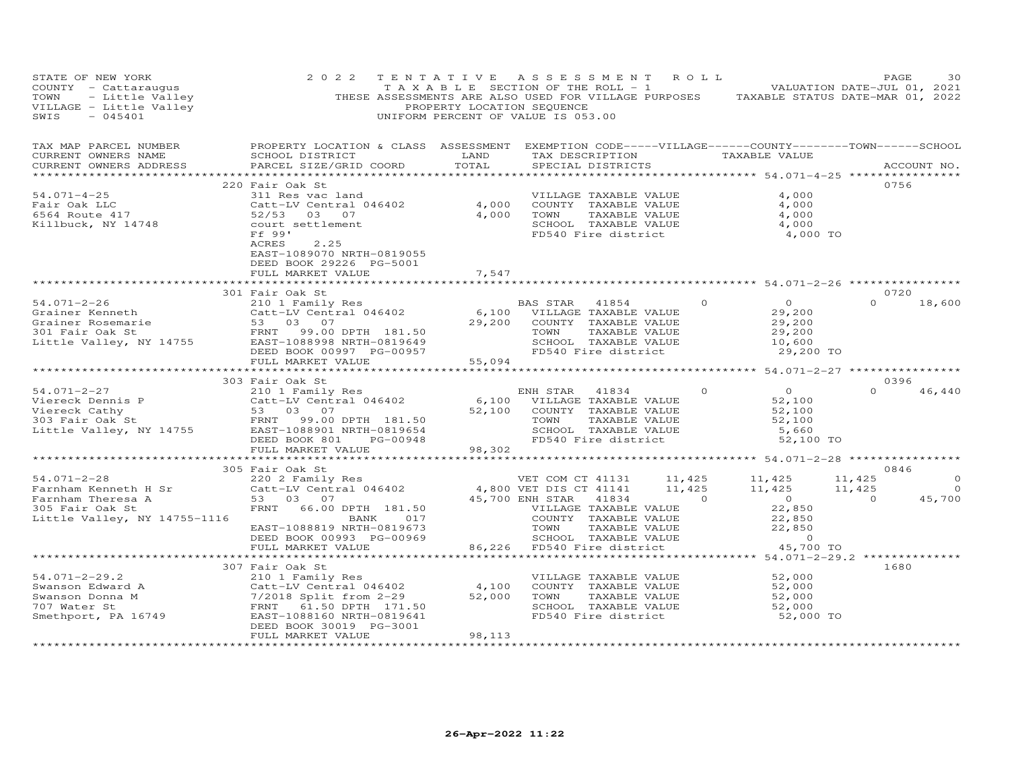| STATE OF NEW YORK<br>SOUNTY - Cattaraugus<br>TOWN - Little Valley<br>VILLAGE - Little Valley<br>SWIS - 045401                                                                                                                                                             | 2 0 2 2                                                                                                                                                                                                                                        | PROPERTY LOCATION SEQUENCE    | TENTATIVE ASSESSMENT ROLL<br>TAXABLE SECTION OF THE ROLL - 1 VALUATION DATE-JUL 01, 2021<br>THESE ASSESSMENTS ARE ALSO USED FOR VILLAGE PURPOSES TAXABLE STATUS DATE-MAR 01, 2022<br>UNIFORM PERCENT OF VALUE IS 053.00                           |                |                                                                        | PAGE             | 30                                   |
|---------------------------------------------------------------------------------------------------------------------------------------------------------------------------------------------------------------------------------------------------------------------------|------------------------------------------------------------------------------------------------------------------------------------------------------------------------------------------------------------------------------------------------|-------------------------------|---------------------------------------------------------------------------------------------------------------------------------------------------------------------------------------------------------------------------------------------------|----------------|------------------------------------------------------------------------|------------------|--------------------------------------|
| TAX MAP PARCEL NUMBER<br>CURRENT OWNERS NAME<br>CURRENT OWNERS ADDRESS                                                                                                                                                                                                    | PROPERTY LOCATION & CLASS ASSESSMENT EXEMPTION CODE-----VILLAGE------COUNTY-------TOWN------SCHOOL<br>SCHOOL DISTRICT<br>PARCEL SIZE/GRID COORD                                                                                                | LAND<br>TOTAL                 | TAX DESCRIPTION TAXABLE VALUE<br>SPECIAL DISTRICTS                                                                                                                                                                                                |                |                                                                        | ACCOUNT NO.      |                                      |
|                                                                                                                                                                                                                                                                           | 220 Fair Oak St                                                                                                                                                                                                                                |                               |                                                                                                                                                                                                                                                   |                |                                                                        | 0756             |                                      |
| $54.071 - 4 - 25$<br>Fair Oak LLC<br>6564 Route 417<br>Killbuck, NY 14748                                                                                                                                                                                                 | CALL NES VAC LAND CALL TRANSPORT TO THE VALUE CALL TRANSPORT ON THE VALUE OF THE VALUE OF A COUNTY TRANSPORT OUT A COUNTY TRANSPORT OUT A COUNTY OF A CHOOL OF A CHOOL OF A CHOOL OF A CHOOL OF A CHOOL OF A CHOOL OF A CHOOL<br>2.25<br>ACRES |                               | SCHOOL TAXABLE VALUE<br>FD540 Fire district                                                                                                                                                                                                       |                | 4,000<br>4,000<br>4,000<br>4,000<br>4,000 TO                           |                  |                                      |
|                                                                                                                                                                                                                                                                           | EAST-1089070 NRTH-0819055<br>DEED BOOK 29226 PG-5001<br>FULL MARKET VALUE                                                                                                                                                                      | 7,547                         | ********************************* 54.071-2-26 *************                                                                                                                                                                                       |                |                                                                        |                  |                                      |
|                                                                                                                                                                                                                                                                           |                                                                                                                                                                                                                                                |                               |                                                                                                                                                                                                                                                   |                |                                                                        | 0720             |                                      |
| $54.071 - 2 - 26$<br>91.01 Level 2016<br>Grainer Rosemarie<br>301 Fair Oak St<br>101 Fair Oak St<br>102.00 DPTH 181.50<br>102.00 DPTH 181.50<br>102.00957<br>2020 004.00957<br>2020 004.00957<br>2020 004.00957                                                           | 301 Fair Oak St<br>210 1 Family Res<br>Catt-LV Central 046402 6,100 VILLAGE TAXABLE VALUE<br>53 03 07 29,200 COUNTY TAXABLE VALUE<br>DEED BOOK 00997 PG-00957                                                                                  |                               | COUNTY TAXABLE VALUE<br>TOWN<br>TAXABLE VALUE<br>SCHOOL TAXABLE VALUE<br>FD540 Fire district                                                                                                                                                      | $\overline{0}$ | $29, 20$<br>$29, 200$<br>$29, 200$<br>$29, 200$<br>10,600<br>29,200 TO | $\Omega$         | 18,600                               |
|                                                                                                                                                                                                                                                                           | FULL MARKET VALUE                                                                                                                                                                                                                              | 55,094<br>*************       |                                                                                                                                                                                                                                                   |                | *********** 54.071-2-27 **************                                 |                  |                                      |
|                                                                                                                                                                                                                                                                           | 303 Fair Oak St                                                                                                                                                                                                                                |                               |                                                                                                                                                                                                                                                   |                |                                                                        | 0396             |                                      |
| Viereck Dennis P<br>Viereck Cathy<br>Viereck Cathy<br>303 Fair Oak St<br>Little Valley, NY 14755<br>Cattle Valley, NY 14755<br>CAST-1088901 NRTH-0819654<br>CAST-1088901 NRTH-0819654                                                                                     | Catt-LV Central 046402<br>53 03 07                                                                                                                                                                                                             |                               | ENH STAR 41834<br>6,100 VILLAGE TAXABLE VALUE<br>52,100 COUNTY TAXABLE VALUE<br>TAXABLE VALUE<br>TOWN<br>SCHOOL TAXABLE VALUE<br>FD540 Fire district                                                                                              | $\circ$        | $\overline{O}$<br>52,100<br>52,100<br>52,100<br>5,660<br>52,100 TO     | $\Omega$         | 46,440                               |
|                                                                                                                                                                                                                                                                           | $\mathcal{L}(\mathcal{L}(\mathcal{L},\mathcal{L}))$<br>FULL MARKET VALUE                                                                                                                                                                       | 98,302                        |                                                                                                                                                                                                                                                   |                |                                                                        |                  |                                      |
|                                                                                                                                                                                                                                                                           |                                                                                                                                                                                                                                                |                               |                                                                                                                                                                                                                                                   |                |                                                                        |                  |                                      |
| $54.071 - 2 - 28$<br>Farnham Kenneth H Sr<br>Farnham Theresa A<br>305 Fair Oak St<br>Little Valley, NY 14755-1116                                                                                                                                                         | 305 Fair Oak St<br>220 2 Family Res<br>Catt-LV Central 046402 4,800 VET DIS CT 41141 11,425 11,425 11,425 11,425<br>$53$ 03 07<br>FRNT 66.00 DPTH 181.50<br>017<br>BANK<br>EAST-1088819 NRTH-0819673                                           |                               | 45,700 ENH STAR 41834 (1934)<br>WILLAGE TAXABLE VALUE<br>COUNTY TAXABLE VALUE<br>TOWN TAXABLE VALUE<br>SCHOOL TAXABLE VALUE<br>VILLAGE TAXABLE VALUE<br>COUNTY TAXABLE VALUE<br>TOWN TAXABLE VALUE<br>SCHOOL TAXABLE VALUE<br>FD540 Fire district |                | $22,850$<br>22,850<br>22,850<br>22,850                                 | 0846<br>$\sim$ 0 | $\Omega$<br>$\overline{0}$<br>45,700 |
|                                                                                                                                                                                                                                                                           | DEED BOOK 00993 PG-00969                                                                                                                                                                                                                       |                               |                                                                                                                                                                                                                                                   |                | $\overline{0}$                                                         |                  |                                      |
|                                                                                                                                                                                                                                                                           | FULL MARKET VALUE                                                                                                                                                                                                                              |                               | 86,226 FD540 Fire district                                                                                                                                                                                                                        |                | 45,700 TO                                                              |                  |                                      |
|                                                                                                                                                                                                                                                                           |                                                                                                                                                                                                                                                |                               |                                                                                                                                                                                                                                                   |                |                                                                        |                  |                                      |
| $54.071 - 2 - 29.2$<br>54.071-2-29.2<br>Swanson Edward A<br>Swanson Donna M<br>7/2018 Split from 2-29<br>707 Water St<br>Smethport, PA 16749<br>EAST-108106 NRTH-0819641<br>DEED BOOK 30019 PG-3001<br>TRNT 61.50 DPTH 171.50<br>EAST-108106 NRTH-0819641<br>DEED BOOK 30 | 307 Fair Oak St<br>210 1 Family Res                                                                                                                                                                                                            | 4,100<br>52,000               | VILLAGE TAXABLE VALUE<br>COUNTY TAXABLE VALUE<br>TOWN<br>TAXABLE VALUE<br>SCHOOL TAXABLE VALUE<br>FD540 Fire district 52,000 TO                                                                                                                   |                | 52,000<br>52,000<br>52,000<br>52,000                                   | 1680             |                                      |
|                                                                                                                                                                                                                                                                           | FULL MARKET VALUE                                                                                                                                                                                                                              | 98,113<br>******************* |                                                                                                                                                                                                                                                   |                |                                                                        |                  |                                      |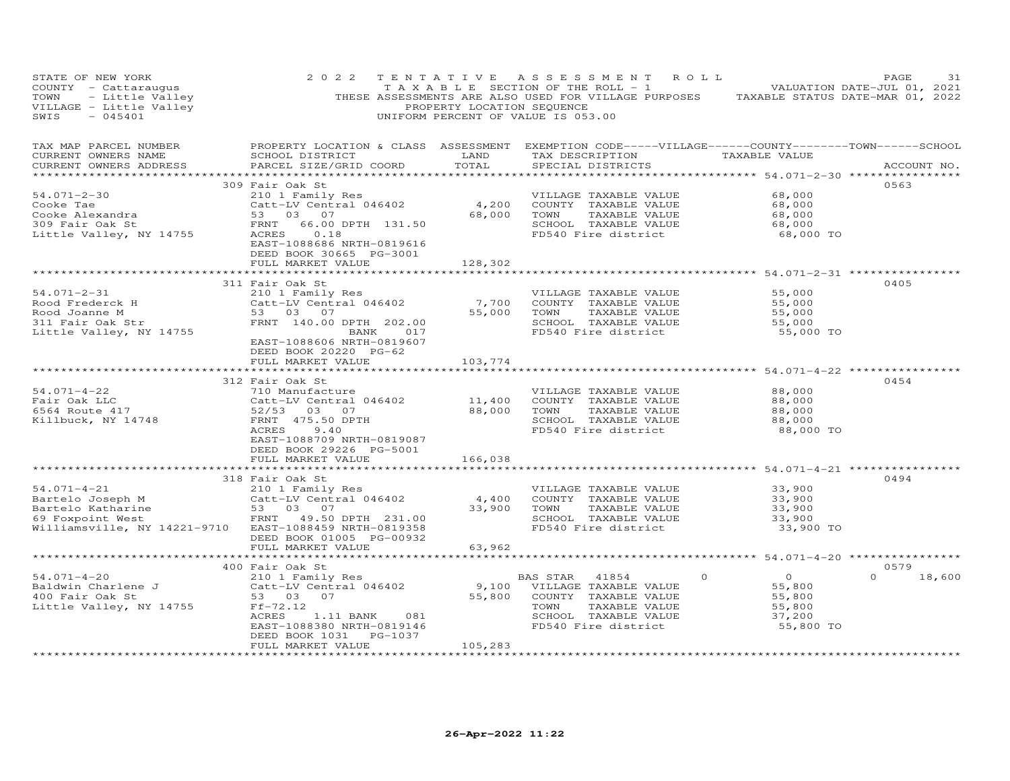|                                                                                                                                                                  |                                        | TAXABLE SECTION OF THE ROLL - 1 NOTIFICAL MALUATION DATE-JUL 01, 2021 |                                                        |                                                                                                                                                                                                                                                                                                                                                                                                                                                                                                                                                                                                                                                                                                                                                                                                                                                                                                                                                                                                                                                                                                                                                                                                                                                                                                                                                                                                                                                                      |
|------------------------------------------------------------------------------------------------------------------------------------------------------------------|----------------------------------------|-----------------------------------------------------------------------|--------------------------------------------------------|----------------------------------------------------------------------------------------------------------------------------------------------------------------------------------------------------------------------------------------------------------------------------------------------------------------------------------------------------------------------------------------------------------------------------------------------------------------------------------------------------------------------------------------------------------------------------------------------------------------------------------------------------------------------------------------------------------------------------------------------------------------------------------------------------------------------------------------------------------------------------------------------------------------------------------------------------------------------------------------------------------------------------------------------------------------------------------------------------------------------------------------------------------------------------------------------------------------------------------------------------------------------------------------------------------------------------------------------------------------------------------------------------------------------------------------------------------------------|
|                                                                                                                                                                  |                                        | SPECIAL DISTRICTS                                                     |                                                        | ACCOUNT NO.                                                                                                                                                                                                                                                                                                                                                                                                                                                                                                                                                                                                                                                                                                                                                                                                                                                                                                                                                                                                                                                                                                                                                                                                                                                                                                                                                                                                                                                          |
| DEED BOOK 30665 PG-3001<br>FULL MARKET VALUE                                                                                                                     | 128,302                                |                                                                       | 68,000                                                 | 0563                                                                                                                                                                                                                                                                                                                                                                                                                                                                                                                                                                                                                                                                                                                                                                                                                                                                                                                                                                                                                                                                                                                                                                                                                                                                                                                                                                                                                                                                 |
|                                                                                                                                                                  |                                        |                                                                       |                                                        |                                                                                                                                                                                                                                                                                                                                                                                                                                                                                                                                                                                                                                                                                                                                                                                                                                                                                                                                                                                                                                                                                                                                                                                                                                                                                                                                                                                                                                                                      |
| 311 Fair Oak St<br>Rood Frederck H Catt-LV Centr<br>Rood Joanne M 53 03 07<br>311 Fair Oak Str FRNT 140.00<br>EAST-1088606 NRTH-0819607<br>DEED BOOK 20220 PG-62 |                                        |                                                                       | 55,000<br>55,000<br>$55,000$<br>$55,000$<br>$55,000$   | 0405                                                                                                                                                                                                                                                                                                                                                                                                                                                                                                                                                                                                                                                                                                                                                                                                                                                                                                                                                                                                                                                                                                                                                                                                                                                                                                                                                                                                                                                                 |
| FULL MARKET VALUE                                                                                                                                                | 103,774                                |                                                                       |                                                        |                                                                                                                                                                                                                                                                                                                                                                                                                                                                                                                                                                                                                                                                                                                                                                                                                                                                                                                                                                                                                                                                                                                                                                                                                                                                                                                                                                                                                                                                      |
| 312 Fair Oak St<br>710 Manufacture<br>ACRES<br>9.40<br>EAST-1088709 NRTH-0819087<br>DEED BOOK 29226 PG-5001                                                      |                                        | VILLAGE TAXABLE VALUE                                                 | 88,000<br>88,000<br>88,000<br>88,000<br>88,000 TO      | 0454                                                                                                                                                                                                                                                                                                                                                                                                                                                                                                                                                                                                                                                                                                                                                                                                                                                                                                                                                                                                                                                                                                                                                                                                                                                                                                                                                                                                                                                                 |
|                                                                                                                                                                  |                                        |                                                                       |                                                        |                                                                                                                                                                                                                                                                                                                                                                                                                                                                                                                                                                                                                                                                                                                                                                                                                                                                                                                                                                                                                                                                                                                                                                                                                                                                                                                                                                                                                                                                      |
| 318 Fair Oak St<br>DEED BOOK 01005 PG-00932                                                                                                                      |                                        |                                                                       | 33,900<br>33,900<br>33,900 TO                          | 0494                                                                                                                                                                                                                                                                                                                                                                                                                                                                                                                                                                                                                                                                                                                                                                                                                                                                                                                                                                                                                                                                                                                                                                                                                                                                                                                                                                                                                                                                 |
|                                                                                                                                                                  |                                        |                                                                       |                                                        |                                                                                                                                                                                                                                                                                                                                                                                                                                                                                                                                                                                                                                                                                                                                                                                                                                                                                                                                                                                                                                                                                                                                                                                                                                                                                                                                                                                                                                                                      |
|                                                                                                                                                                  |                                        |                                                                       |                                                        | 0579                                                                                                                                                                                                                                                                                                                                                                                                                                                                                                                                                                                                                                                                                                                                                                                                                                                                                                                                                                                                                                                                                                                                                                                                                                                                                                                                                                                                                                                                 |
| EAST-1088380 NRTH-0819146<br>DEED BOOK 1031    PG-1037<br>FULL MARKET VALUE                                                                                      |                                        | TAXABLE VALUE<br>SCHOOL TAXABLE VALUE                                 | $\overline{O}$<br>55,800<br>55,800<br>55,800<br>37,200 | $\Omega$<br>18,600                                                                                                                                                                                                                                                                                                                                                                                                                                                                                                                                                                                                                                                                                                                                                                                                                                                                                                                                                                                                                                                                                                                                                                                                                                                                                                                                                                                                                                                   |
|                                                                                                                                                                  | FULL MARKET VALUE<br>FULL MARKET VALUE | 166,038<br>63,962<br>ACRES 1.11 BANK 081<br>105, 283                  | UNIFORM PERCENT OF VALUE IS 053.00                     | COUNTY - Cattaraugus TAXABLE SECTION OF THE ROLL - 1 VALUATION DATE-JUL 01, 2021<br>TOWN - Little Valley THESE ASSESSMENTS ARE ALSO USED FOR VILLAGE PURPOSES TAXABLE STATUS DATE-MAR 01, 2022<br>VILLAGE - Little Valley PROPERTY<br>PROPERTY LOCATION & CLASS ASSESSMENT EXEMPTION CODE-----VILLAGE------COUNTY--------TOWN------SCHOOL<br>TAX DESCRIPTION TAXABLE VALUE<br>VILLABLE VALUE<br>COUNTY TAXABLE VALUE 68,000<br>TOWN TAXABLE VALUE 68,000<br>SCHOOL TAXABLE VALUE 68,000<br>FD540 Fire district 68,000 TO<br>*********************************** 54.071–2–31 *****************<br>Fair Oak St<br>210 1 Family Res<br>Catt-LV Central 046402 7,700 COUNTY TAXABLE VALUE<br>53 03 07 55,000 TOWN TAXABLE VALUE<br>FRNT 140.00 DPTH 202.00 55,000 SCHOOL TAXABLE VALUE<br>FRNT 140.00 DPTH 202.00 FORMOL FD540 Fire district<br>55,000 TO<br>$54.071-4-22$<br>$54.071-4-22$<br>$5564$ Route 417<br>$52/53$<br>$52/53$<br>$52/53$<br>$52/53$<br>$52/53$<br>$52/53$<br>$52/53$<br>$52/53$<br>$52/53$<br>$52/53$<br>$52/53$<br>$52/53$<br>$52/53$<br>$52/53$<br>$52/53$<br>$52/53$<br>$52/53$<br>$52/53$<br>$52/53$<br>$5$<br>FD540 Fire district<br>318 Fair Oak St<br>210 1-4-21<br>210 1 2010 1 2011 Family Res<br>210 1 Family Res<br>210 2011 Family Res<br>231.00 2000 2000 2000 2000 2000 2000 2011<br>231.00 33,900 7000 7AXABLE VALUE<br>231.00 33,900 7000 7AXABLE VALUE<br>231.00 2010 2<br>33,900<br>33,900<br>SCHOOL TAXABLE VALUE<br>$\Omega$ |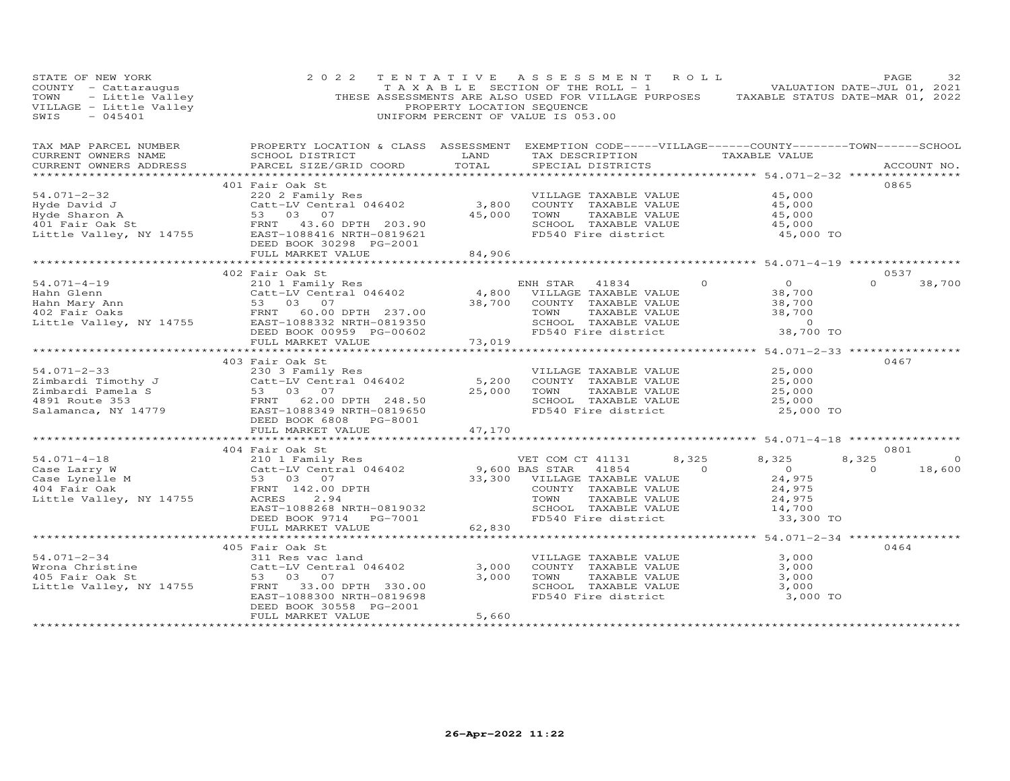| STATE OF NEW YORK<br>SIALE OF NEW YORK<br>COUNTY - Cattaraugus<br>TOWN - Little Valley<br>VILLAGE - Little Valley<br>SWIS - 045401 | 2 0 2 2                                                                                                                                                                                                                                                                                                                                                                                                                                                        | PROPERTY LOCATION SEQUENCE   | TENTATIVE ASSESSMENT ROLL<br>T A X A B L E SECTION OF THE ROLL - 1 A V A B VALUATION DATE-JUL 01, 2021<br>THESE ASSESSMENTS ARE ALSO USED FOR VILLAGE PURPOSES TAXABLE STATUS DATE-MAR 01, 2022<br>UNIFORM PERCENT OF VALUE IS 053.00 |                                                                                       | PAGE<br>32                                   |
|------------------------------------------------------------------------------------------------------------------------------------|----------------------------------------------------------------------------------------------------------------------------------------------------------------------------------------------------------------------------------------------------------------------------------------------------------------------------------------------------------------------------------------------------------------------------------------------------------------|------------------------------|---------------------------------------------------------------------------------------------------------------------------------------------------------------------------------------------------------------------------------------|---------------------------------------------------------------------------------------|----------------------------------------------|
| CURRENT OWNERS ADDRESS<br>***********************                                                                                  | SCHOOL DISTRICT LAND<br>PARCEL SIZE/GRID COORD                                                                                                                                                                                                                                                                                                                                                                                                                 | TOTAL                        | TAX DESCRIPTION TAXABLE VALUE<br>SPECIAL DISTRICTS                                                                                                                                                                                    |                                                                                       | ACCOUNT NO.                                  |
|                                                                                                                                    | 401 Fair Oak St<br>54.071-2-32<br>Hyde David J<br>Hyde Sharon A<br>Examply Res<br>Hyde Sharon A<br>S3 03 07<br>EXAST-1088416 NRTH-0819621<br>Little Valley, NY 14755<br>EXAST-1088416 NRTH-0819621<br>DEED BOOK 30298 PG-2001<br>FULL MARKET VALUE                                                                                                                                                                                                             | 84,906                       | VILLAGE TAXABLE VALUE<br>COUNTY TAXABLE VALUE<br>TAXABLE VALUE<br>TAXABLE VALUE<br>TOWN<br>SCHOOL TAXABLE VALUE<br>FD540 Fire district                                                                                                | 45,000<br>45,000<br>45,000<br>45,000<br>45,000 TO                                     | 0865                                         |
|                                                                                                                                    |                                                                                                                                                                                                                                                                                                                                                                                                                                                                |                              |                                                                                                                                                                                                                                       |                                                                                       |                                              |
|                                                                                                                                    |                                                                                                                                                                                                                                                                                                                                                                                                                                                                |                              | TOWN TAXABLE VALUE 38,700<br>SCHOOL TAXABLE VALUE 38,700<br>FD540 Fire district 38,700 TO                                                                                                                                             | $\begin{array}{c} 0 \\ 38,700 \\ 38,700 \\ 38,700 \end{array}$                        | 0537<br>$\Omega$<br>38,700                   |
|                                                                                                                                    | FULL MARKET VALUE                                                                                                                                                                                                                                                                                                                                                                                                                                              | 73,019                       |                                                                                                                                                                                                                                       |                                                                                       |                                              |
| $54.071 - 2 - 33$                                                                                                                  | 403 Fair Oak St<br>3 Fair Oak St<br>230 3 Family Res<br>Catt-LV Central 046402 5,200 COUNTY TAXABLE VALUE<br>53 03 07 25,000 TOWN TAXABLE VALUE<br>FRNT 62.00 DPTH 248.50 25,000 TOWN TAXABLE VALUE<br>EAST-1088349 NRTH-0819650 FD540 Fire district<br>NRTH-<br>Eimbardi Timothy J<br>Eimbardi Timothy J<br>Eimbardi Pamela S<br>Salamanca, NY 14779<br>Salamanca, NY 14779<br>ERNT 62.00 DRTH 0819650<br>DEED BOOK 6808<br>PG-8001<br>DEED BOOK 6808 PG-8001 |                              | SCHOOL TAXABLE VALUE<br>FD540 Fire district                                                                                                                                                                                           | 25,000<br>25,000<br>25,000<br>25,000<br>25,000 TO                                     | 0467                                         |
|                                                                                                                                    | FULL MARKET VALUE                                                                                                                                                                                                                                                                                                                                                                                                                                              | 47,170                       |                                                                                                                                                                                                                                       |                                                                                       |                                              |
|                                                                                                                                    | 404 Fair Oak St                                                                                                                                                                                                                                                                                                                                                                                                                                                |                              |                                                                                                                                                                                                                                       |                                                                                       | 0801                                         |
|                                                                                                                                    | $\begin{tabular}{lllllllllllllllllllll} \text{54.071--4--18} & & & & & & & 404 \text{ Fair Oak St} & & & & & \text{VET COM CT 41131} & 8, \\ \text{Case Larry W} & & & & & & & \text{Cate Lypelle M} & & & \text{S3--03} & 07 & 9,600 \text{ BAS STAR 41854} & & \\ \text{Case Lynelle M} & & & & & & \text{S3--03} & 07 & 33,300 & \text{VILLAGE TAXABLE VALUE} & & \\ \text{Little Valley, NY 14755} & & & & & & \text{EART -10882$                          |                              | $\overline{a}$<br>COUNTY TAXABLE VALUE<br>TOWN     TAXABLE VALUE<br>FD540 Fire district                                                                                                                                               | 8,325<br>8,325<br>$\overline{0}$<br>24,975<br>24,975<br>24,975<br>14,700<br>33,300 TO | 8,325<br>$\circ$<br>$\overline{0}$<br>18,600 |
|                                                                                                                                    | **************************                                                                                                                                                                                                                                                                                                                                                                                                                                     | **************************** |                                                                                                                                                                                                                                       | **************** 54.071-2-34 ****************                                         |                                              |
| 54.071-2-34<br>54.071-2-34 311 F<br>Wrona Christine 61 2att-<br>405 Fair Oak St 53<br>Little Valley, NY 14755 FRNT                 | 405 Fair Oak St<br>Catt-LV Central 046402 3,000<br>53.000<br>53.07 3.000<br>33.00 DPTH 330.00<br>EAST-1088300 NRTH-0819698<br>DEED BOOK 30558 PG-2001                                                                                                                                                                                                                                                                                                          |                              | VILLAGE TAXABLE VALUE<br>COUNTY TAXABLE VALUE<br>TOWN<br>TAXABLE VALUE<br>SCHOOL TAXABLE VALUE<br>FD540 Fire district                                                                                                                 | $3,000$<br>$3,000$<br>3,000<br>3,000<br>3,000 TO                                      | 0464                                         |
|                                                                                                                                    | FULL MARKET VALUE                                                                                                                                                                                                                                                                                                                                                                                                                                              | 5,660                        |                                                                                                                                                                                                                                       |                                                                                       |                                              |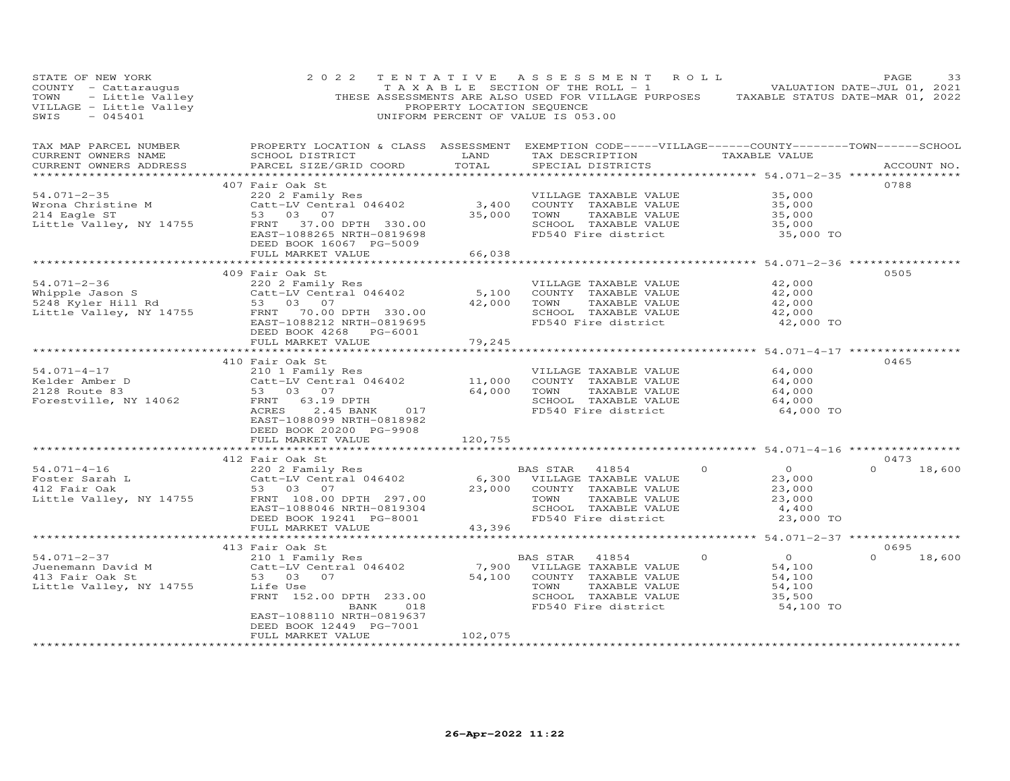| STATE OF NEW YORK<br>COUNTY - Cattaraugus<br>TOWN<br>VILLAGE - Little Valley<br>SWIS<br>$-045401$                                            | 2 0 2 2<br>- Cattaraugus – Cattaraugus – Cattaraugus – Cattaraugus – Cattaraugus – Cattaraugus – Cattaraugus – Cattaraugus<br>- Little Valley – Cattaraugus – Cattaraugus – Cattaraugus – Cattaraugus – Cattaraugus – Cattaraugus – Cattara<br> |                                  | TENTATIVE ASSESSMENT ROLL<br>$T A X A B L E$ SECTION OF THE ROLL - 1 VALUATION DATE-JUL 01, 2021<br>UNIFORM PERCENT OF VALUE IS 053.00                  |                                                                                                         | PAGE<br>33                 |
|----------------------------------------------------------------------------------------------------------------------------------------------|-------------------------------------------------------------------------------------------------------------------------------------------------------------------------------------------------------------------------------------------------|----------------------------------|---------------------------------------------------------------------------------------------------------------------------------------------------------|---------------------------------------------------------------------------------------------------------|----------------------------|
| TAX MAP PARCEL NUMBER<br>CURRENT OWNERS NAME<br>CURRENT OWNERS ADDRESS                                                                       | PROPERTY LOCATION & CLASS ASSESSMENT EXEMPTION CODE-----VILLAGE------COUNTY-------TOWN------SCHOOL<br>SCHOOL DISTRICT<br>PARCEL SIZE/GRID COORD                                                                                                 | LAND<br>TOTAL                    | TAX DESCRIPTION<br>SPECIAL DISTRICTS                                                                                                                    | TAXABLE VALUE                                                                                           | ACCOUNT NO.                |
| $54.071 - 2 - 35$<br>Wrona Christine M<br>214 Eagle ST<br>Little Valley, NY 14755                                                            | 407 Fair Oak St<br>220 2 Family Res<br>$220$ $2$ $2$ $2$ $2$ $2$ $2$ $2$ $3$ , $400$<br>Catt-LV Central 046402 3, 400<br>53 03 07<br>FRNT 37.00 DPTH 330.00<br>EAST-1088265 NRTH-0819698<br>DEED BOOK 16067 PG-5009<br>FULL MARKET VALUE        | 35,000<br>66,038                 | VILLAGE TAXABLE VALUE<br>COUNTY TAXABLE VALUE<br>TOWN<br>TAXABLE VALUE<br>SCHOOL TAXABLE VALUE<br>FD540 Fire district                                   | 35,000<br>35,000<br>35,000<br>35,000<br>35,000 TO                                                       | 0788                       |
| $54.071 - 2 - 36$<br>Whipple Jason S<br>5248 Kyler Hill Rd<br>53 03 07<br>Little Valley, NY 14755 FRNT 70.00 DPTH 330.00                     | 409 Fair Oak St<br>220 2 Family Res<br>EAST-1088212 NRTH-0819695<br>DEED BOOK 4268 PG-6001<br>FULL MARKET VALUE                                                                                                                                 | **********************<br>79,245 | VILLAGE TAXABLE VALUE<br>5,100 COUNTY TAXABLE VALUE<br>42,000 TOWN<br>TAXABLE VALUE<br>SCHOOL TAXABLE VALUE<br>FD540 Fire district                      | ******************** 54.071-2-36 *****************<br>42,000<br>42,000<br>42,000<br>42,000<br>42,000 TO | 0505                       |
| $54.071 - 4 - 17$<br>Kelder Amber D<br>2128 Route 83<br>Forestville, NY 14062                                                                | 410 Fair Oak St<br>210 1 Family Res<br>Catt-LV Central 046402 11,000<br>53 03 07<br>FRNT 63.19 DPTH<br>ACRES<br>2.45 BANK<br>017<br>EAST-1088099 NRTH-0818982<br>DEED BOOK 20200 PG-9908<br>FULL MARKET VALUE                                   | 64,000<br>120,755                | VILLAGE TAXABLE VALUE<br>COUNTY TAXABLE VALUE<br>TOWN<br>TAXABLE VALUE<br>SCHOOL TAXABLE VALUE<br>FD540 Fire district                                   | 64,000<br>64,000<br>64,000<br>64,000<br>64,000 TO                                                       | 0465                       |
|                                                                                                                                              |                                                                                                                                                                                                                                                 | ***********                      |                                                                                                                                                         | ******************** 54.071-4-16 *************                                                          |                            |
| $54.071 - 4 - 16$<br>Foster Sarah L<br>412 Fair Oak<br>$\frac{12}{12}$ rail van<br>Little Valley, NY 14755 FRNT 108.00 DPTH 297.00           | 412 Fair Oak St<br>220 2 Family Res<br>Catt-LV Central 046402<br>53 03 07<br>EAST-1088046 NRTH-0819304<br>DEED BOOK 19241 PG-8001<br>FULL MARKET VALUE                                                                                          | 43,396                           | BAS STAR<br>41854<br>6,300 VILLAGE TAXABLE VALUE<br>23,000 COUNTY TAXABLE VALUE<br>TOWN<br>TAXABLE VALUE<br>SCHOOL TAXABLE VALUE<br>FD540 Fire district | $\overline{0}$<br>$\circ$<br>23,000<br>23,000<br>23,000<br>4,400<br>23,000 TO                           | 0473<br>$\Omega$<br>18,600 |
|                                                                                                                                              |                                                                                                                                                                                                                                                 |                                  |                                                                                                                                                         |                                                                                                         | 0695                       |
| 54.071-2-37<br>University of the Captus Captain David M<br>The Catt-LV Central 046402<br>113 Fair Oak St 53 03 07<br>Little Valley, NY 14755 | 413 Fair Oak St<br>210 1 Family Res<br>Life Use<br>FRNT 152.00 DPTH 233.00<br>BANK<br>018<br>EAST-1088110 NRTH-0819637<br>DEED BOOK 12449 PG-7001<br>FULL MARKET VALUE                                                                          | 102,075                          | BAS STAR<br>41854<br>7,900 VILLAGE TAXABLE VALUE<br>54,100 COUNTY TAXABLE VALUE<br>TOWN<br>TAXABLE VALUE<br>SCHOOL TAXABLE VALUE<br>FD540 Fire district | $\circ$<br>$\overline{O}$<br>54,100<br>54,100<br>54,100<br>35,500<br>54,100 TO                          | $\Omega$<br>18,600         |
|                                                                                                                                              |                                                                                                                                                                                                                                                 |                                  |                                                                                                                                                         |                                                                                                         |                            |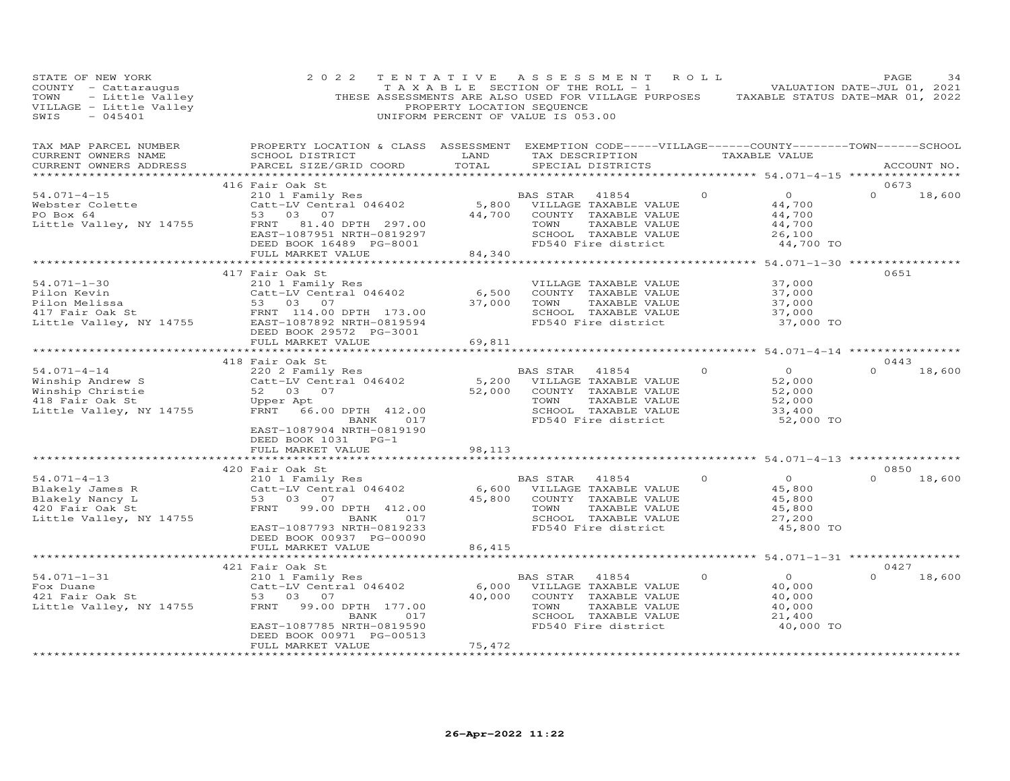| STATE OF NEW YORK<br>COUNTY - Cattaraugus<br>TOWN<br>- Little Valley<br>VILLAGE - Little Valley<br>$-045401$<br>SWIS | 2 0 2 2                                                                                                                                                                                             | TENTATIVE<br>PROPERTY LOCATION SEQUENCE | A S S E S S M E N T<br>TAXABLE SECTION OF THE ROLL - 1<br>THESE ASSESSMENTS ARE ALSO USED FOR VILLAGE PURPOSES<br>UNIFORM PERCENT OF VALUE IS 053.00 | R O L L  | TAXABLE STATUS DATE-MAR 01, 2022                                    | PAGE<br>VALUATION DATE-JUL 01, 2021 | 34     |
|----------------------------------------------------------------------------------------------------------------------|-----------------------------------------------------------------------------------------------------------------------------------------------------------------------------------------------------|-----------------------------------------|------------------------------------------------------------------------------------------------------------------------------------------------------|----------|---------------------------------------------------------------------|-------------------------------------|--------|
| TAX MAP PARCEL NUMBER<br>CURRENT OWNERS NAME<br>CURRENT OWNERS ADDRESS                                               | PROPERTY LOCATION & CLASS ASSESSMENT EXEMPTION CODE-----VILLAGE------COUNTY--------TOWN------SCHOOL<br>SCHOOL DISTRICT<br>PARCEL SIZE/GRID COORD                                                    | LAND<br>TOTAL                           | TAX DESCRIPTION<br>SPECIAL DISTRICTS                                                                                                                 |          | TAXABLE VALUE                                                       | ACCOUNT NO.                         |        |
| $54.071 - 4 - 15$<br>Webster Colette<br>PO Box 64<br>Little Valley, NY 14755                                         | 416 Fair Oak St<br>210 1 Family Res<br>Catt-LV Central 046402<br>53<br>03 07<br>FRNT<br>81.40 DPTH 297.00<br>EAST-1087951 NRTH-0819297<br>DEED BOOK 16489 PG-8001<br>FULL MARKET VALUE              | 5,800<br>44,700<br>84,340               | BAS STAR<br>41854<br>VILLAGE TAXABLE VALUE<br>COUNTY TAXABLE VALUE<br>TAXABLE VALUE<br>TOWN<br>SCHOOL TAXABLE VALUE<br>FD540 Fire district           | $\Omega$ | $\circ$<br>44,700<br>44,700<br>44,700<br>26,100<br>44,700 TO        | 0673<br>$\Omega$                    | 18,600 |
|                                                                                                                      |                                                                                                                                                                                                     |                                         |                                                                                                                                                      |          | ********* 54.071-1-30 *****************                             |                                     |        |
| $54.071 - 1 - 30$<br>Pilon Kevin<br>Pilon Melissa<br>417 Fair Oak St<br>Little Valley, NY 14755                      | 417 Fair Oak St<br>210 1 Family Res<br>Catt-LV Central 046402<br>53 03 07<br>FRNT 114.00 DPTH 173.00<br>EAST-1087892 NRTH-0819594<br>DEED BOOK 29572 PG-3001<br>FULL MARKET VALUE                   | 6,500<br>37,000<br>69,811               | VILLAGE TAXABLE VALUE<br>COUNTY TAXABLE VALUE<br>TOWN<br>TAXABLE VALUE<br>SCHOOL TAXABLE VALUE<br>FD540 Fire district                                |          | 37,000<br>37,000<br>37,000<br>37,000<br>37,000 TO                   | 0651                                |        |
|                                                                                                                      |                                                                                                                                                                                                     |                                         |                                                                                                                                                      |          |                                                                     |                                     |        |
|                                                                                                                      | 418 Fair Oak St                                                                                                                                                                                     |                                         |                                                                                                                                                      |          |                                                                     | 0443                                |        |
| $54.071 - 4 - 14$<br>Winship Andrew S<br>Winship Christie<br>418 Fair Oak St<br>Little Valley, NY 14755              | 220 2 Family Res<br>Catt-LV Central 046402<br>52 03 07<br>Upper Apt<br>FRNT<br>66.00 DPTH 412.00<br>BANK<br>017<br>EAST-1087904 NRTH-0819190<br>DEED BOOK 1031 PG-1                                 | 5,200<br>52,000                         | BAS STAR<br>41854<br>VILLAGE TAXABLE VALUE<br>COUNTY TAXABLE VALUE<br>TOWN<br>TAXABLE VALUE<br>SCHOOL TAXABLE VALUE<br>FD540 Fire district           | $\Omega$ | $\overline{O}$<br>52,000<br>52,000<br>52,000<br>33,400<br>52,000 TO | $\Omega$                            | 18,600 |
|                                                                                                                      | FULL MARKET VALUE                                                                                                                                                                                   | 98,113                                  |                                                                                                                                                      |          |                                                                     |                                     |        |
|                                                                                                                      | *******************                                                                                                                                                                                 |                                         |                                                                                                                                                      |          | ********* 54.071-4-13 **************                                |                                     |        |
| $54.071 - 4 - 13$<br>Blakely James R<br>Blakely Nancy L<br>420 Fair Oak St<br>Little Valley, NY 14755                | 420 Fair Oak St<br>210 1 Family Res<br>Catt-LV Central 046402<br>53 03 07<br>99.00 DPTH 412.00<br>FRNT<br>017<br>BANK<br>EAST-1087793 NRTH-0819233<br>DEED BOOK 00937 PG-00090<br>FULL MARKET VALUE | 6,600<br>45,800<br>86,415               | BAS STAR<br>41854<br>VILLAGE TAXABLE VALUE<br>COUNTY TAXABLE VALUE<br>TOWN<br>TAXABLE VALUE<br>SCHOOL TAXABLE VALUE<br>FD540 Fire district           | $\circ$  | $\circ$<br>45,800<br>45,800<br>45,800<br>27,200<br>45,800 TO        | 0850<br>$\Omega$                    | 18,600 |
|                                                                                                                      |                                                                                                                                                                                                     |                                         | ********************************* 54.071-1-31 ****************                                                                                       |          |                                                                     |                                     |        |
|                                                                                                                      | 421 Fair Oak St                                                                                                                                                                                     |                                         |                                                                                                                                                      |          |                                                                     | 0427                                |        |
| $54.071 - 1 - 31$<br>Fox Duane<br>421 Fair Oak St<br>Little Valley, NY 14755                                         | 210 1 Family Res<br>Catt-LV Central 046402<br>53 03 07<br>FRNT<br>99.00 DPTH 177.00<br>BANK<br>017<br>EAST-1087785 NRTH-0819590<br>DEED BOOK 00971 PG-00513                                         | 6,000<br>40,000                         | BAS STAR<br>41854<br>VILLAGE TAXABLE VALUE<br>COUNTY TAXABLE VALUE<br>TOWN<br>TAXABLE VALUE<br>SCHOOL TAXABLE VALUE<br>FD540 Fire district           | $\Omega$ | $\overline{O}$<br>40,000<br>40,000<br>40,000<br>21,400<br>40,000 TO | $\Omega$                            | 18,600 |
|                                                                                                                      | FULL MARKET VALUE                                                                                                                                                                                   | 75,472<br>.                             |                                                                                                                                                      |          |                                                                     |                                     |        |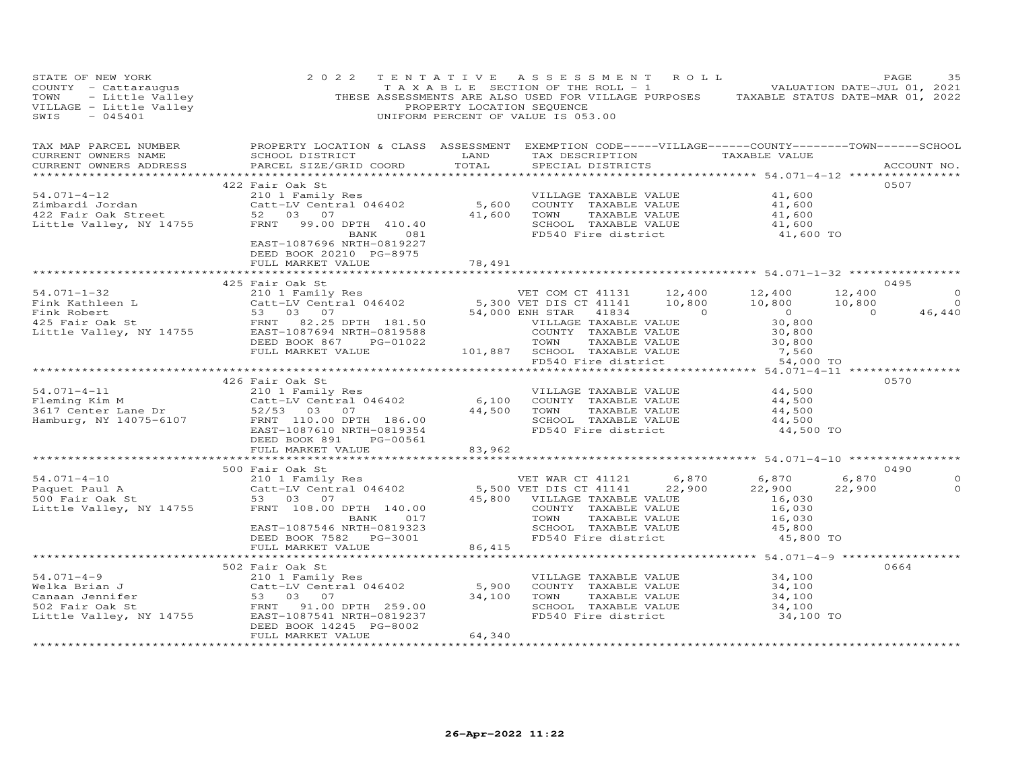| TAXABLE SECTION OF THE ROLL - 1 VALUATION DATE-JUL 01, 2021<br>THESE ASSESSMENTS ARE ALSO USED FOR VILLAGE PURPOSES TAXABLE STATUS DATE-MAR 01, 2022<br>PROPERTY LOCATION SEQUENCE<br>UNIFORM PERCENT OF VALUE IS 053.00<br>SWIS<br>$-045401$                                                                                                                                                                                                                                                                         |                                      |
|-----------------------------------------------------------------------------------------------------------------------------------------------------------------------------------------------------------------------------------------------------------------------------------------------------------------------------------------------------------------------------------------------------------------------------------------------------------------------------------------------------------------------|--------------------------------------|
| PROPERTY LOCATION & CLASS ASSESSMENT EXEMPTION CODE-----VILLAGE------COUNTY-------TOWN------SCHOOL<br>TAX MAP PARCEL NUMBER<br>TAX DESCRIPTION TAXABLE VALUE<br>CURRENT OWNERS NAME<br>SCHOOL DISTRICT<br>LAND<br>COORD TOTAL<br>PARCEL SIZE/GRID COORD<br>SPECIAL DISTRICTS<br>CURRENT OWNERS ADDRESS<br>ACCOUNT NO.                                                                                                                                                                                                 |                                      |
| 0507<br>422 Fair Oak St<br>Tari Uses<br>Catt-LV Central 046402<br>S, 600 COUNTY TAXABLE VALUE<br>S2 03 07<br>FRNT 99.00 DPTH 410.40<br>BANK 081 FD540 Fire district<br>$54.071 - 4 - 12$<br>41,600<br>VILLAGE TAXABLE VALUE<br>Zimbardi Jordan<br>41,600<br>Zimbardi Jordan<br>422 Fair Oak Street<br>Little Valley, NY 14755<br>TAXABLE VALUE<br>41,600<br>41,600<br>41,600 TO<br>SCHOOL TAXABLE VALUE<br>FD540 Fire district<br>EAST-1087696 NRTH-0819227<br>DEED BOOK 20210 PG-8975<br>78,491<br>FULL MARKET VALUE |                                      |
|                                                                                                                                                                                                                                                                                                                                                                                                                                                                                                                       |                                      |
| 0495<br>425 Fair Oak St<br>34.071-1-32<br>Fink Kathleen L<br>Fink Kathleen L<br>Catt-LV Central 046402<br>S.300 VET DIS CT 41131<br>S.300 VET DIS CT 41141<br>5,300 VET DIS CT 41141<br>10,800<br>10,800<br>10,800<br>10,800<br>10,800<br>10,800<br>20,800<br>20,800<br>20,800<br>20,800<br><br>COUNTY TAXABLE VALUE<br>TOWN TAXABLE VALUE                                                                                                                                                                            | $\Omega$<br>$\overline{0}$<br>46,440 |
| 101,887 SCHOOL TAXABLE VALUE<br>FULL MARKET VALUE<br>54,000 TO<br>FD540 Fire district<br>************************************<br>0570                                                                                                                                                                                                                                                                                                                                                                                 |                                      |
| 91.071-4-11<br>Fleming Kim M<br>3617 Center Lane Dr<br>Hamburg, NY 14075-6107<br>EAST-1087610 NRTH-0819354<br>52/53 03 07<br>EAST-1087610 NRTH-0819354<br>73.03 07<br>744,500<br>82011<br>86.00<br>82011<br>86.00<br>82011<br>86.00<br>82011<br>86.00<br>82011<br><br>VILLAGE TAXABLE VALUE<br>44,500<br>6,100 COUNTY TAXABLE VALUE<br>44,500<br>44,500 TOWN<br>TAXABLE VALUE<br>44,500<br>44,500<br>SCHOOL TAXABLE VALUE<br>FD540 Fire district<br>44,500 TO<br>DEED BOOK 891<br>PG-00561                            |                                      |
| FULL MARKET VALUE<br>83,962                                                                                                                                                                                                                                                                                                                                                                                                                                                                                           |                                      |
|                                                                                                                                                                                                                                                                                                                                                                                                                                                                                                                       |                                      |
| 500 Fair Oak St<br>0490<br>210 1 Family Res<br>Catt-LV Central 046402<br>$54.071 - 4 - 10$<br>6,870<br>VET WAR CT 41121 6,870 6,870<br>5,500 VET DIS CT 41141 22,900 22,900<br>Paquet Paul A<br>500 Fair Oak St<br>22,900<br>22,900<br>45,800 VILLAGE TAXABLE VALUE<br>53 03 07<br>16,030<br>COUNTY TAXABLE VALUE<br>Little Valley, NY 14755<br>FRNT 108.00 DPTH 140.00<br>16,030<br>$\frac{16,030}{45,800}$<br>TOWN      TAXABLE VALUE<br>SCHOOL   TAXABLE VALUE<br>BANK 017<br>EAST-1087546 NRTH-0819323            | $\Omega$<br>$\circ$                  |
| FD540 Fire district<br>DEED BOOK 7582 PG-3001<br>45,800 TO                                                                                                                                                                                                                                                                                                                                                                                                                                                            |                                      |
| FULL MARKET VALUE<br>86,415<br>************ 54.071-4-9 *************                                                                                                                                                                                                                                                                                                                                                                                                                                                  |                                      |
| 502 Fair Oak St<br>0664                                                                                                                                                                                                                                                                                                                                                                                                                                                                                               |                                      |
| $54.071 - 4 - 9$<br>210 1 Family Res<br>VILLAGE TAXABLE VALUE<br>34,100<br>Catt-LV Central 046402<br>53 03 07<br>5,900<br>Welka Brian J<br>COUNTY TAXABLE VALUE<br>34,100<br>34,100<br>53 03 07<br>TOWN<br>TAXABLE VALUE<br>34,100<br>34,100<br>Canaan Jennifer<br>FRNT 91.00 DPTH 259.00<br>SCHOOL TAXABLE VALUE<br>502 Fair Oak St<br>Little Valley, NY 14755<br>FD540 Fire district<br>EAST-1087541 NRTH-0819237<br>34,100 TO<br>DEED BOOK 14245 PG-8002                                                           |                                      |
| 64,340<br>FULL MARKET VALUE                                                                                                                                                                                                                                                                                                                                                                                                                                                                                           |                                      |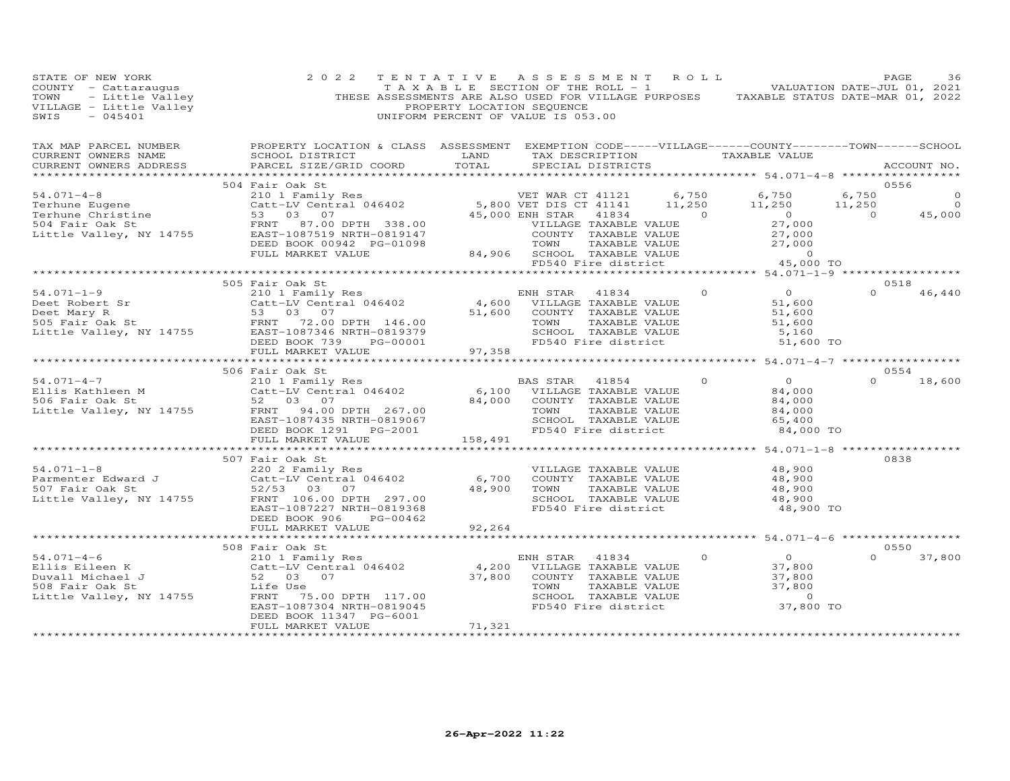| STATE OF NEW YORK<br>COUNTY - Cattaraugus<br>COUNTY - Cattaraugus (2022 IENIAIIVE ASSESSMENT ARE ROLL - 1<br>TOWN - Little Valley (THESE ASSESSMENTS ARE ALSO USED FOR VILLAGE PURPOSES TAXABLE STATUS DATE-JUL 01, 2021<br>TOWN - Little Valley (THESE | 2 0 2 2                                                                    |                               | TENTATIVE ASSESSMENT ROLL                                                                                                                                                   |         |                                                          |          | PAGE<br>36    |
|---------------------------------------------------------------------------------------------------------------------------------------------------------------------------------------------------------------------------------------------------------|----------------------------------------------------------------------------|-------------------------------|-----------------------------------------------------------------------------------------------------------------------------------------------------------------------------|---------|----------------------------------------------------------|----------|---------------|
| TAX MAP PARCEL NUMBER BROPERTY LOCATION & CLASS ASSESSMENT EXEMPTION CODE-----VILLAGE------COUNTY--------TOWN------SCHOOL CURRENT OWNERS NAME SCHOOL DISTRICT LAND TAX DESCRIPTION TAXABLE VALUE TAXABLE VALUE ACCOUNT NO.                              |                                                                            |                               |                                                                                                                                                                             |         |                                                          |          |               |
|                                                                                                                                                                                                                                                         |                                                                            |                               |                                                                                                                                                                             |         |                                                          |          | 0556          |
|                                                                                                                                                                                                                                                         | 504 Fair Oak St                                                            |                               |                                                                                                                                                                             |         |                                                          |          |               |
|                                                                                                                                                                                                                                                         |                                                                            |                               |                                                                                                                                                                             |         |                                                          |          |               |
|                                                                                                                                                                                                                                                         |                                                                            |                               |                                                                                                                                                                             |         |                                                          |          |               |
|                                                                                                                                                                                                                                                         | 505 Fair Oak St                                                            |                               |                                                                                                                                                                             |         |                                                          |          | 0518          |
|                                                                                                                                                                                                                                                         |                                                                            |                               | ENH STAR 41834 0<br>VILLAGE TAXABLE VALUE 51,600                                                                                                                            |         | 51,600                                                   |          | $0 \t 46,440$ |
|                                                                                                                                                                                                                                                         |                                                                            |                               |                                                                                                                                                                             |         | 51,600<br>51,600<br>5,160<br>51,600 TO                   |          |               |
|                                                                                                                                                                                                                                                         |                                                                            |                               |                                                                                                                                                                             |         |                                                          |          |               |
|                                                                                                                                                                                                                                                         |                                                                            |                               |                                                                                                                                                                             |         |                                                          |          | 0554          |
|                                                                                                                                                                                                                                                         |                                                                            |                               | BAS STAR 41854<br>TOWN TAXABLE VALUE 84,000<br>SCHOOL TAXABLE VALUE 65,400<br>84.000<br>FD540 Fire district                                                                 | $\circ$ | $\begin{matrix}0\\84\end{matrix}$<br>84,000<br>84,000 TO |          | $0 \t 18,600$ |
|                                                                                                                                                                                                                                                         |                                                                            |                               |                                                                                                                                                                             |         | ****************** 54.071-1-8 ****************           |          |               |
| 507 Fair Oak St<br>2002 Family Res<br>Parmenter Edward J<br>507 Fair Oak St<br>507 Fair Oak St<br>52/53 03 07<br>18,900<br>18,900<br>ERNT 106.00 DPTH 297.00<br>ERNT 106.00 DPTH 297.00<br>ERNT 106.00 DPTH 297.00<br>ERST-1087227 NRTH-0819368<br>200  | DEED BOOK 906 PG-00462                                                     | 92,264                        | VILLAGE TAXABLE VALUE<br>COUNTY TAXABLE VALUE 48,900<br>TOWN TAXABLE VALUE 48,900<br>SCHOOL TAXABLE VALUE 48,900<br>FD540 Fire district                                     |         | 48,900<br>48,900 TO                                      | 0838     |               |
|                                                                                                                                                                                                                                                         | FULL MARKET VALUE                                                          |                               |                                                                                                                                                                             |         |                                                          |          |               |
|                                                                                                                                                                                                                                                         | 508 Fair Oak St                                                            |                               |                                                                                                                                                                             |         |                                                          |          | 0550          |
| 508 Fair Oak St<br>Ellis Eileen K 200 COUNTY TAXABLE VALUE<br>Duvall Michael J 52 03 07<br>508 Fair Oak St<br>508 Fair Oak St<br>508 Fair Oak St<br>508 Fair Oak St<br>508 Fair Oak St<br>508 Fair Oak St<br>508 Fair Oak St<br>508 Fair Oak St<br>5    |                                                                            |                               | NH STAR 41834 0<br>VILLAGE TAXABLE VALUE 37,800<br>COUNTY TAXABLE VALUE 37,800<br>TOWN TAXABLE VALUE 37,800<br>TOWN TAXABLE VALUE 37,800<br>FD540 Fire district $37,800$ TO |         | $\sim$ 0                                                 | $\Omega$ | 37,800        |
|                                                                                                                                                                                                                                                         | DEED BOOK 11347 PG-6001<br>FULL MARKET VALUE<br>************************** | 71,321<br>******************* |                                                                                                                                                                             |         |                                                          |          |               |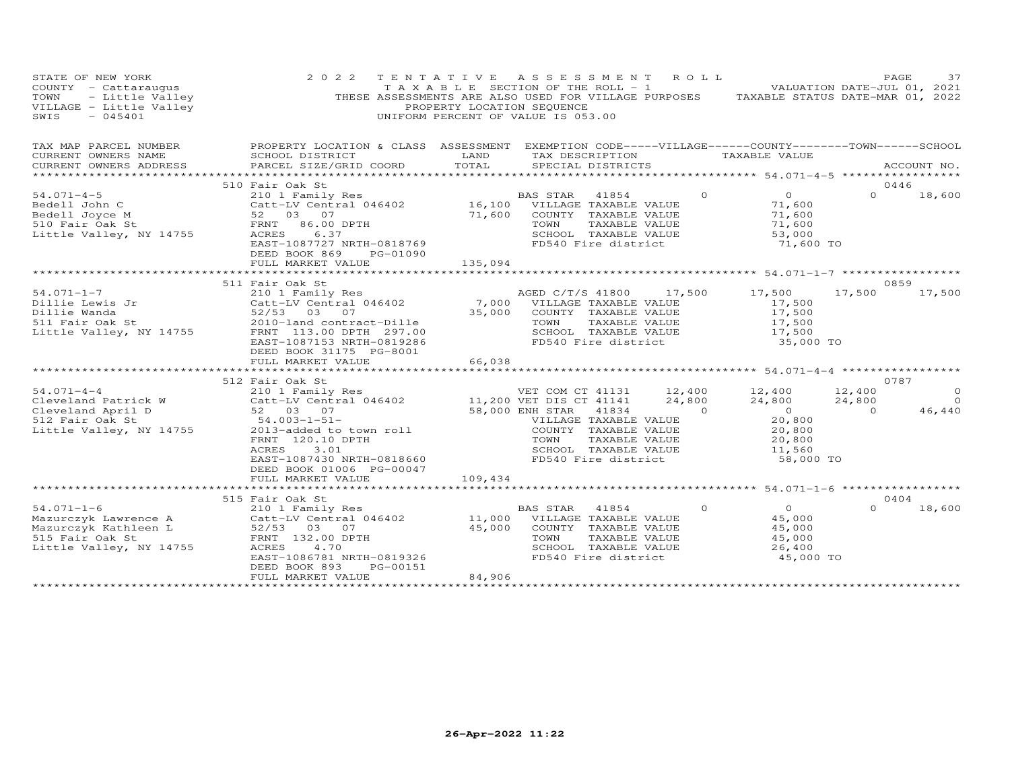| TAXABLE STATUS DATE-MAR 01, 2022                                                                                   |
|--------------------------------------------------------------------------------------------------------------------|
| PROPERTY LOCATION & CLASS ASSESSMENT EXEMPTION CODE-----VILLAGE------COUNTY--------TOWN------SCHOOL<br>ACCOUNT NO. |
|                                                                                                                    |
| 18,600                                                                                                             |
|                                                                                                                    |
| 17,500<br>$\circ$<br>$\Omega$<br>46,440                                                                            |
|                                                                                                                    |
| 18,600                                                                                                             |
|                                                                                                                    |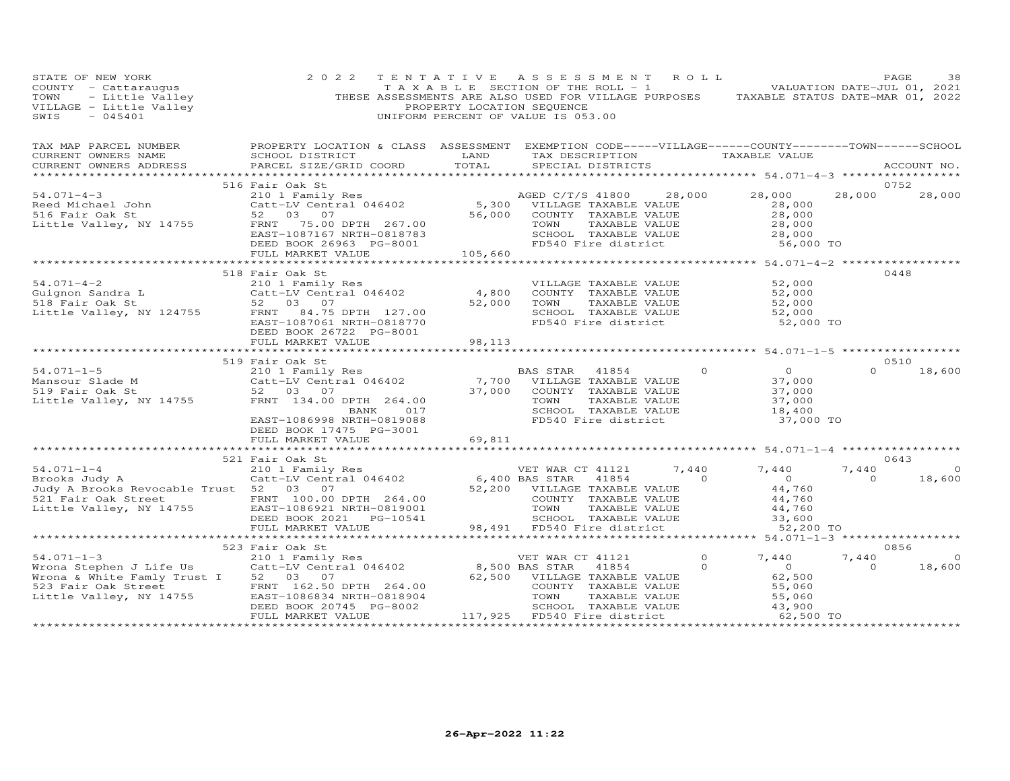| STATE OF NEW YORK<br>COUNTY - Cattaraugus<br>TOWN - Little Valley<br>VILLAGE - Little Valley<br>- 045401                                                                                                                                                                         | 2 0 2 2                                                                                                                                                                                                                                                                   | PROPERTY LOCATION SEQUENCE | TENTATIVE ASSESSMENT ROLL<br>$\begin{bmatrix} 1 & 1 & 1 \\ 1 & 1 & 1 \end{bmatrix}$ is the section of the ROLL - 1 and the valuation date-july 01, 2021<br>THESE ASSESSMENTS ARE ALSO USED FOR VILLAGE PURPOSES TAXABLE STATUS DATE-MAR 01, 2022<br>UNIFORM PERCENT OF VALUE IS 053.00 |                    |                                                                           |                         | PAGE<br>38                       |
|----------------------------------------------------------------------------------------------------------------------------------------------------------------------------------------------------------------------------------------------------------------------------------|---------------------------------------------------------------------------------------------------------------------------------------------------------------------------------------------------------------------------------------------------------------------------|----------------------------|----------------------------------------------------------------------------------------------------------------------------------------------------------------------------------------------------------------------------------------------------------------------------------------|--------------------|---------------------------------------------------------------------------|-------------------------|----------------------------------|
| TAX MAP PARCEL NUMBER<br>CURRENT OWNERS NAME<br>CURRENT OWNERS ADDRESS<br>*******************                                                                                                                                                                                    | PROPERTY LOCATION & CLASS ASSESSMENT EXEMPTION CODE-----VILLAGE------COUNTY-------TOWN------SCHOOL<br>SCHOOL DISTRICT<br><b>EXAMPLE SERVICE SERVICE SERVICE SERVICE SERVICE SERVICE SERVICE SERVICE SERVICE SERVICE SERVICE SERVICE SERVICE</b><br>PARCEL SIZE/GRID COORD | TOTAL                      | TAX DESCRIPTION TAXABLE VALUE<br>SPECIAL DISTRICTS                                                                                                                                                                                                                                     |                    | ******************* 54.071-4-3 ******************                         |                         | ACCOUNT NO.                      |
|                                                                                                                                                                                                                                                                                  | 516 Fair Oak St                                                                                                                                                                                                                                                           |                            |                                                                                                                                                                                                                                                                                        |                    |                                                                           |                         | 0752                             |
|                                                                                                                                                                                                                                                                                  |                                                                                                                                                                                                                                                                           |                            |                                                                                                                                                                                                                                                                                        |                    | 28,000<br>28,000<br>28,000                                                |                         | 28,000 28,000                    |
|                                                                                                                                                                                                                                                                                  |                                                                                                                                                                                                                                                                           |                            | TOWN TAXABLE VALUE $28,000$<br>SCHOOL TAXABLE VALUE $28,000$<br>FD540 Fire district 56,000 TO                                                                                                                                                                                          |                    |                                                                           |                         |                                  |
|                                                                                                                                                                                                                                                                                  |                                                                                                                                                                                                                                                                           |                            |                                                                                                                                                                                                                                                                                        |                    |                                                                           |                         |                                  |
| $54.071 - 4 - 2$<br>Guignon Sandra L<br>518 Fair Oak St<br>52 03 07<br>Little Valley, NY 124755<br>FRNT 1097061 NDTH 0919770                                                                                                                                                     | 210 1 Family Res<br>Catt-LV Central 046402<br>EAST-1087061 NRTH-0818770                                                                                                                                                                                                   | 4,800<br>52,000            | VILLAGE TAXABLE VALUE<br>COUNTY TAXABLE VALUE<br>TAXABLE VALUE<br>TOWN<br>SCHOOL TAXABLE VALUE<br>FD540 Fire district                                                                                                                                                                  |                    | 52,000<br>52,000<br>52,000<br>52,000<br>52,000 TO                         |                         | 0448                             |
|                                                                                                                                                                                                                                                                                  | DEED BOOK 26722 PG-8001<br>FULL MARKET VALUE                                                                                                                                                                                                                              | 98,113                     |                                                                                                                                                                                                                                                                                        |                    |                                                                           |                         |                                  |
|                                                                                                                                                                                                                                                                                  |                                                                                                                                                                                                                                                                           |                            |                                                                                                                                                                                                                                                                                        |                    |                                                                           |                         |                                  |
|                                                                                                                                                                                                                                                                                  | 519 Fair Oak St                                                                                                                                                                                                                                                           |                            |                                                                                                                                                                                                                                                                                        |                    |                                                                           |                         | 0510                             |
| 54.071-1-5<br>Mansour Slade M<br>210 1 Family Res<br>210 1 Fair Oak St<br>210 1 Fair Oak St<br>264.00 7,700 COUNTY TAXABLE VALUE<br>264.00 37,000 COUNTY TAXABLE VALUE<br>264.00 7000 COUNTY TAXABLE VALUE<br>264.00 7000 TOWN TAXABLE VALUE                                     | BANK 017<br>EAST-1086998 NRTH-0819088<br>DEED BOOK 17475 PG-3001                                                                                                                                                                                                          |                            | TAXABLE VALUE<br>TAXABLE VALUE<br>SCHOOL TAXABLE VALUE<br>FD540 Fire district                                                                                                                                                                                                          | $\circ$            | $\overline{O}$<br>37,000<br>37,000<br>37,000<br>18,400<br>37,000 TO       | $\Omega$                | 18,600                           |
|                                                                                                                                                                                                                                                                                  | FULL MARKET VALUE                                                                                                                                                                                                                                                         | 69,811                     |                                                                                                                                                                                                                                                                                        |                    |                                                                           |                         |                                  |
|                                                                                                                                                                                                                                                                                  |                                                                                                                                                                                                                                                                           |                            |                                                                                                                                                                                                                                                                                        |                    |                                                                           |                         |                                  |
|                                                                                                                                                                                                                                                                                  |                                                                                                                                                                                                                                                                           |                            |                                                                                                                                                                                                                                                                                        |                    |                                                                           | 7,440<br>$\overline{a}$ | 0643<br>$\overline{0}$<br>18,600 |
|                                                                                                                                                                                                                                                                                  |                                                                                                                                                                                                                                                                           |                            |                                                                                                                                                                                                                                                                                        |                    | 52,200 TO                                                                 |                         |                                  |
|                                                                                                                                                                                                                                                                                  | 523 Fair Oak St                                                                                                                                                                                                                                                           |                            |                                                                                                                                                                                                                                                                                        |                    |                                                                           |                         | 0856                             |
| 54.071-1-3<br>Wrona Stephen J Life Us 210 1 Family Res (2001)<br>Catt-LV Central 046402 8,500 BAS STAR 41854<br>Wrona & White Famly Trust I 52 03 07 (62,500 VILLAGE TAXABLE<br>523 Fair Oak Street FRNT 162.50 DPTH 264.00<br>Little Valley, NY 14755 EAST-1086834 NRTH-0818904 | DEED BOOK 20745 PG-8002                                                                                                                                                                                                                                                   |                            | 62,500 VILLAGE TAXABLE VALUE<br>COUNTY TAXABLE VALUE<br>TOWN<br>TAXABLE VALUE<br>8904 TOWN TAXABLE VALUE 55,060<br>002 SCHOOL TAXABLE VALUE 43,900<br>117,925 FD540 Fire district 62,500 TO                                                                                            | $\circ$<br>$\circ$ | 7,440<br>$\overline{0}$<br>62,500<br>55,060<br>55,060<br>55,060<br>43,900 | 7,440<br>$\circ$        | $\Omega$<br>18,600               |
|                                                                                                                                                                                                                                                                                  | FULL MARKET VALUE                                                                                                                                                                                                                                                         |                            |                                                                                                                                                                                                                                                                                        |                    |                                                                           |                         |                                  |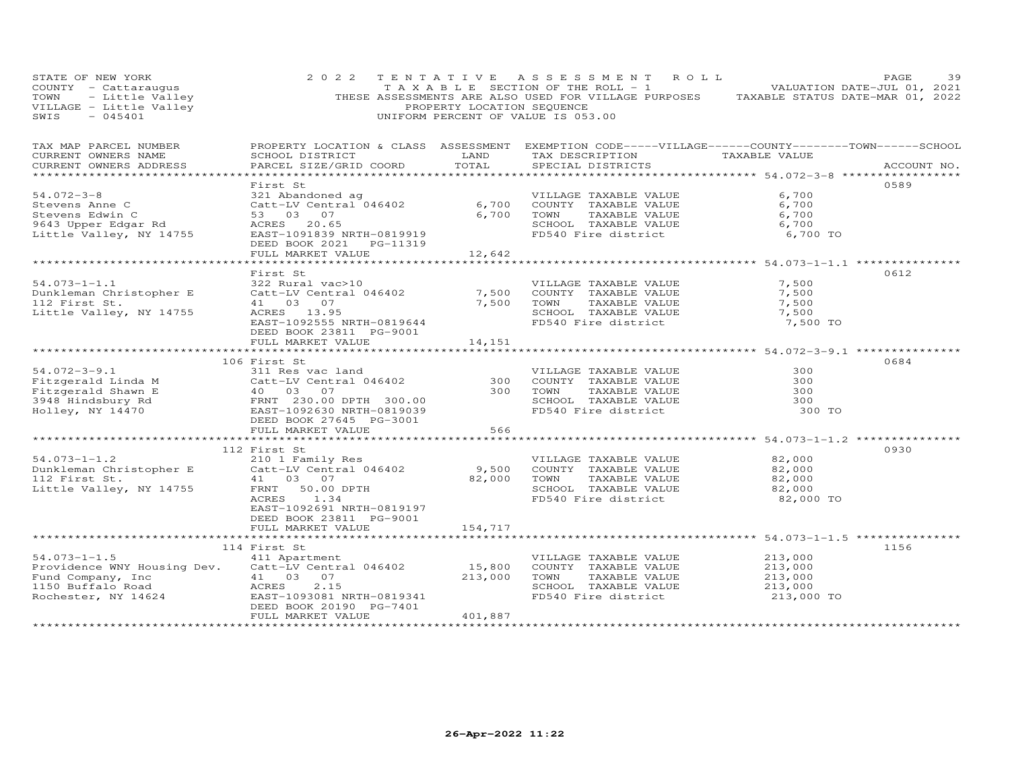| STATE OF NEW YORK<br>COUNTY - Cattaraugus<br>TOWN - Little Valley<br>VILLAGE - Little Valley<br>TIME - ALLAGE - ALLAGE<br>$-045401$<br>SWIS                                                                                                                          |                                                                                                               | PROPERTY LOCATION SEQUENCE | 2022 TENTATIVE ASSESSMENT ROLL<br>TAXABLE SECTION OF THE ROLL - 1 VALUATION DATE-JUL 01, 2021<br>THESE ASSESSMENTS ARE ALSO USED FOR VILLAGE PURPOSES TAXABLE STATUS DATE-MAR 01, 2022<br>UNIFORM PERCENT OF VALUE IS 053.00      |                                              | PAGE<br>39  |
|----------------------------------------------------------------------------------------------------------------------------------------------------------------------------------------------------------------------------------------------------------------------|---------------------------------------------------------------------------------------------------------------|----------------------------|-----------------------------------------------------------------------------------------------------------------------------------------------------------------------------------------------------------------------------------|----------------------------------------------|-------------|
| TAX MAP PARCEL NUMBER<br>CURRENT OWNERS NAME<br>CURRENT OWNERS ADDRESS                                                                                                                                                                                               | PARCEL SIZE/GRID COORD TOTAL                                                                                  |                            | PROPERTY LOCATION & CLASS ASSESSMENT EXEMPTION CODE-----VILLAGE------COUNTY-------TOWN------SCHOOL<br>SCHOOL DISTRICT                       LAND         TAX DESCRIPTION                  TAXABLE VALUE<br>SPECIAL DISTRICTS      |                                              | ACCOUNT NO. |
|                                                                                                                                                                                                                                                                      |                                                                                                               |                            |                                                                                                                                                                                                                                   |                                              |             |
| $54.072 - 3 - 8$<br>Stevens Anne C<br>Stevens Edwin C<br>9643 Upper Edgar Rd<br>Little Valley, NY 14755                                                                                                                                                              | Catt-Lv CC<br>53 03 07<br>ACRES 20.65<br>TAST-1091839<br>EAST-1091839 NRTH-0819919<br>DEED BOOK 2021 PG-11319 |                            | 321 Abandoned ag<br>Catt-LV Central 046402 6,700 COUNTY TAXABLE VALUE 6,700<br>53 03 07 6,700 TOWN TAXABLE VALUE 6,700<br>ACRES 20.65<br>ACRES 20.65<br>ACRES 20.65<br>SCHOOL TAXABLE VALUE 6,700<br>FD540 Fire district 6,700 TO |                                              | 0589        |
|                                                                                                                                                                                                                                                                      | FULL MARKET VALUE 12,642                                                                                      |                            |                                                                                                                                                                                                                                   |                                              |             |
| $54.073 - 1 - 1.1$<br>Dunkleman Christopher E<br>112 First St.<br>Little Valley, NY 14755                                                                                                                                                                            | First St<br>322 Rural vac>10<br>EAST-1092555 NRTH-0819644<br>DEED BOOK 23811 PG-9001                          |                            | Catt-LV Central 046402<br>Catt-LV Central 046402<br>7,500 COUNTY TAXABLE VALUE<br>41 03 07<br>ACRES 13.95<br>SCHOOL TAXABLE VALUE<br>SCHOOL TAXABLE VALUE<br>SCHOOL TAXABLE VALUE<br>FD540 Fire district                          | 7,500<br>7,500<br>7,500<br>7,500<br>7,500 TO | 0612        |
|                                                                                                                                                                                                                                                                      | FULL MARKET VALUE                                                                                             | 14,151                     |                                                                                                                                                                                                                                   |                                              |             |
|                                                                                                                                                                                                                                                                      |                                                                                                               |                            |                                                                                                                                                                                                                                   |                                              | 0684        |
| 34.072-3-9.1<br>Fitzgerald Linda M<br>Fitzgerald Shawn E 40 03 07<br>3948 Hindsbury Rd<br>Holley, NY 14470<br>FRED ROOK 27645 DO 2002530<br>FRED ROOK 27645 DO 2002530<br>FD540 Fire district<br>FD540 Fire district<br>FD540 Fire district<br>200                   |                                                                                                               |                            |                                                                                                                                                                                                                                   | 300<br>300<br>300<br>300<br>300 TO           |             |
|                                                                                                                                                                                                                                                                      | FULL MARKET VALUE                                                                                             | 566                        |                                                                                                                                                                                                                                   |                                              |             |
| $54.073 - 1 - 1.2$<br>54.073-1-1.2<br>Dunkleman Christopher E 210 1 Family Res VILLAGE TAXABLE VALUE<br>112 First St. 41 03 07<br>12 First St. 41 03 07<br>12 First St. 41 03 07<br>12 First St. 41 03 07<br>12 First St. 41 03 07<br>12 First St. 41 03 07<br>12 Fi | 112 First St<br>ACRES 1.34                                                                                    |                            | VILLAGE TAXABLE VALUE 82,000<br>TOWN TAXABLE VALUE $82,000$<br>SCHOOL TAXABLE VALUE $82,000$<br>FD540 Fire district                                                                                                               | 82,000<br>82,000 TO                          | 0930        |
|                                                                                                                                                                                                                                                                      | EAST-1092691 NRTH-0819197<br>DEED BOOK 23811 PG-9001<br>FULL MARKET VALUE                                     | 154,717                    |                                                                                                                                                                                                                                   |                                              |             |
| $54.073 - 1 - 1.5$<br>Providence WNY Housing Dev.                                                                                                                                                                                                                    | 114 First St<br>411 Apartment<br>Catt-LV Central 046402<br>DEED BOOK 20190 PG-7401<br>FULL MARKET VALUE       | 401,887                    | VILLAGE TAXABLE VALUE<br>15,800 COUNTY TAXABLE VALUE<br>FD540 Fire district                                                                                                                                                       | 213,000<br>213,000<br>213,000<br>213,000 TO  | 1156        |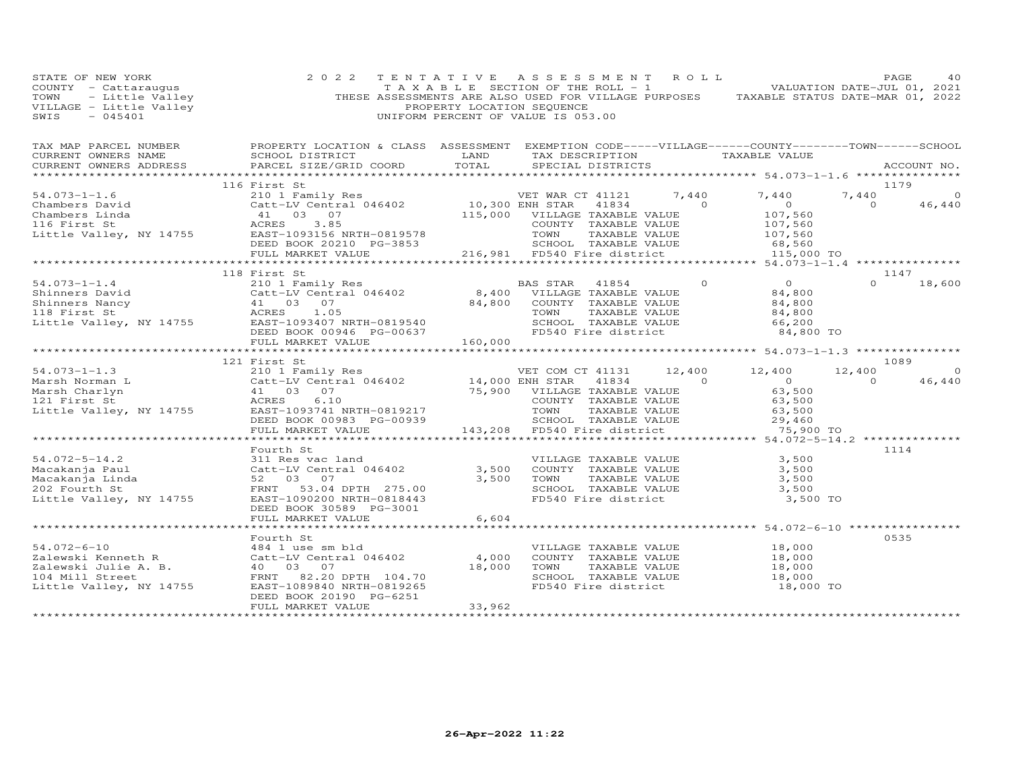| STATE OF NEW YORK<br>COUNTY - Cattaraugus<br>TOWN - Little Valley<br>VILLAGE - Little Valley<br>~~~~~ - 045401                                                            | 2 0 2 2                                                                                                                                                                                                     | PROPERTY LOCATION SEQUENCE | TENTATIVE ASSESSMENT ROLL<br>FAGE 40<br>TAXABLE SECTION OF THE ROLL - 1<br>THESE ASSESSMENTS ARE ALSO USED FOR VILLAGE PURPOSES TAXABLE STATUS DATE-MAR 01, 2022<br>UNIFORM PERCENT OF VALUE IS 053.00 |                                                               | PAGE           | 40            |
|---------------------------------------------------------------------------------------------------------------------------------------------------------------------------|-------------------------------------------------------------------------------------------------------------------------------------------------------------------------------------------------------------|----------------------------|--------------------------------------------------------------------------------------------------------------------------------------------------------------------------------------------------------|---------------------------------------------------------------|----------------|---------------|
| TAX MAP PARCEL NUMBER FROPERTY LOCATION & CLASS ASSESSMENT EXEMPTION CODE-----VILLAGE------COUNTY-------TOWN------SCHOOL<br>CURRENT OWNERS NAME<br>CURRENT OWNERS ADDRESS | SCHOOL DISTRICT                                                                                                                                                                                             | TOTAL                      | LAND TAX DESCRIPTION TAXABLE VALUE<br>SPECIAL DISTRICTS                                                                                                                                                |                                                               |                |               |
|                                                                                                                                                                           | PARCEL SIZE/GRID COORD                                                                                                                                                                                      |                            |                                                                                                                                                                                                        |                                                               |                | ACCOUNT NO.   |
|                                                                                                                                                                           | 116 First St                                                                                                                                                                                                |                            |                                                                                                                                                                                                        |                                                               | 1179           |               |
|                                                                                                                                                                           |                                                                                                                                                                                                             |                            |                                                                                                                                                                                                        |                                                               | 7,440          | $\circ$       |
|                                                                                                                                                                           |                                                                                                                                                                                                             |                            |                                                                                                                                                                                                        |                                                               | $\overline{0}$ | 46,440        |
|                                                                                                                                                                           |                                                                                                                                                                                                             |                            |                                                                                                                                                                                                        |                                                               |                |               |
|                                                                                                                                                                           |                                                                                                                                                                                                             |                            |                                                                                                                                                                                                        |                                                               |                |               |
|                                                                                                                                                                           |                                                                                                                                                                                                             |                            |                                                                                                                                                                                                        |                                                               |                |               |
|                                                                                                                                                                           |                                                                                                                                                                                                             |                            |                                                                                                                                                                                                        |                                                               |                |               |
|                                                                                                                                                                           |                                                                                                                                                                                                             |                            |                                                                                                                                                                                                        |                                                               |                |               |
|                                                                                                                                                                           | 118 First St                                                                                                                                                                                                |                            |                                                                                                                                                                                                        |                                                               |                | 1147          |
|                                                                                                                                                                           |                                                                                                                                                                                                             |                            | BAS STAR 41854 0 0<br>VILLAGE TAXABLE VALUE 84,800                                                                                                                                                     |                                                               |                | $0 \t 18,600$ |
|                                                                                                                                                                           |                                                                                                                                                                                                             |                            |                                                                                                                                                                                                        |                                                               |                |               |
|                                                                                                                                                                           |                                                                                                                                                                                                             |                            |                                                                                                                                                                                                        | 84,800                                                        |                |               |
|                                                                                                                                                                           |                                                                                                                                                                                                             |                            |                                                                                                                                                                                                        | $84,800$<br>66,200                                            |                |               |
|                                                                                                                                                                           |                                                                                                                                                                                                             |                            |                                                                                                                                                                                                        |                                                               |                |               |
|                                                                                                                                                                           |                                                                                                                                                                                                             |                            |                                                                                                                                                                                                        | 84,800 TO                                                     |                |               |
|                                                                                                                                                                           |                                                                                                                                                                                                             |                            |                                                                                                                                                                                                        |                                                               |                |               |
|                                                                                                                                                                           | 121 First St                                                                                                                                                                                                |                            |                                                                                                                                                                                                        |                                                               |                | 1089          |
|                                                                                                                                                                           |                                                                                                                                                                                                             |                            |                                                                                                                                                                                                        |                                                               | 12,400         | $\Omega$      |
|                                                                                                                                                                           |                                                                                                                                                                                                             |                            |                                                                                                                                                                                                        |                                                               | $\sim$ 0       | 46,440        |
|                                                                                                                                                                           |                                                                                                                                                                                                             |                            |                                                                                                                                                                                                        |                                                               |                |               |
|                                                                                                                                                                           |                                                                                                                                                                                                             |                            |                                                                                                                                                                                                        |                                                               |                |               |
|                                                                                                                                                                           |                                                                                                                                                                                                             |                            |                                                                                                                                                                                                        |                                                               |                |               |
|                                                                                                                                                                           |                                                                                                                                                                                                             |                            |                                                                                                                                                                                                        |                                                               |                |               |
|                                                                                                                                                                           |                                                                                                                                                                                                             |                            |                                                                                                                                                                                                        | 75,900 TO                                                     |                |               |
|                                                                                                                                                                           |                                                                                                                                                                                                             |                            |                                                                                                                                                                                                        |                                                               |                |               |
| $54.072 - 5 - 14.2$                                                                                                                                                       | Fourth St                                                                                                                                                                                                   |                            |                                                                                                                                                                                                        |                                                               | 1114           |               |
|                                                                                                                                                                           | 311 Res vac land                                                                                                                                                                                            |                            |                                                                                                                                                                                                        |                                                               |                |               |
| 54.072-5-14.2<br>Macakanja Paul<br>Macakanja Linda<br>202 Fourth St                                                                                                       |                                                                                                                                                                                                             |                            | VILLAGE TAXABLE VALUE 3,500<br>3,500 COUNTY TAXABLE VALUE 3,500<br>3,500 TOWN TAXABLE VALUE 3,500<br>SCHOOL TAXABLE VALUE 3,500<br>3,500                                                               |                                                               |                |               |
| 202 Fourth St                                                                                                                                                             | FRNT 53.04 DPTH 275.00                                                                                                                                                                                      |                            |                                                                                                                                                                                                        |                                                               |                |               |
| Little Valley, NY 14755                                                                                                                                                   | EAST-1090200 NRTH-0818443                                                                                                                                                                                   |                            | FD540 Fire district                                                                                                                                                                                    | 3,500 TO                                                      |                |               |
|                                                                                                                                                                           | DEED BOOK 30589 PG-3001                                                                                                                                                                                     |                            |                                                                                                                                                                                                        |                                                               |                |               |
|                                                                                                                                                                           | FULL MARKET VALUE                                                                                                                                                                                           | 6,604                      |                                                                                                                                                                                                        |                                                               |                |               |
|                                                                                                                                                                           |                                                                                                                                                                                                             |                            |                                                                                                                                                                                                        | *********************************** 54.072-6-10 ************* |                |               |
|                                                                                                                                                                           | Fourth St                                                                                                                                                                                                   |                            |                                                                                                                                                                                                        |                                                               | 0535           |               |
|                                                                                                                                                                           | 484 1 use sm bld                                                                                                                                                                                            |                            | VILLAGE TAXABLE VALUE 18,000<br>COUNTY TAXABLE VALUE 18,000                                                                                                                                            |                                                               |                |               |
| 54.072-6-10<br>Zalewski Kenneth R<br>Zalewski Julie A. B.<br>104 Mill Street                                                                                              | 484 1 use sm bld<br>Catt-LV Central 046402 4,000 COUNTY TAXABLE VALUE<br>40 03 07 18,000 TOWN TAXABLE VALUE<br>FRNT 82.20 DPTH 104.70 SCHOOL TAXABLE VALUE<br>EAST-1089840 NRTH-0819265 FD540 Fire district |                            |                                                                                                                                                                                                        |                                                               |                |               |
|                                                                                                                                                                           |                                                                                                                                                                                                             |                            |                                                                                                                                                                                                        | 18,000                                                        |                |               |
|                                                                                                                                                                           |                                                                                                                                                                                                             |                            |                                                                                                                                                                                                        |                                                               |                |               |
| Little Valley, NY 14755                                                                                                                                                   |                                                                                                                                                                                                             |                            | FD540 Fire district                                                                                                                                                                                    | $18,000$<br>$18,000$ TO                                       |                |               |
|                                                                                                                                                                           | DEED BOOK 20190 PG-6251<br>FULL MARKET VALUE                                                                                                                                                                | 33,962                     |                                                                                                                                                                                                        |                                                               |                |               |
| ************************                                                                                                                                                  |                                                                                                                                                                                                             |                            |                                                                                                                                                                                                        |                                                               |                |               |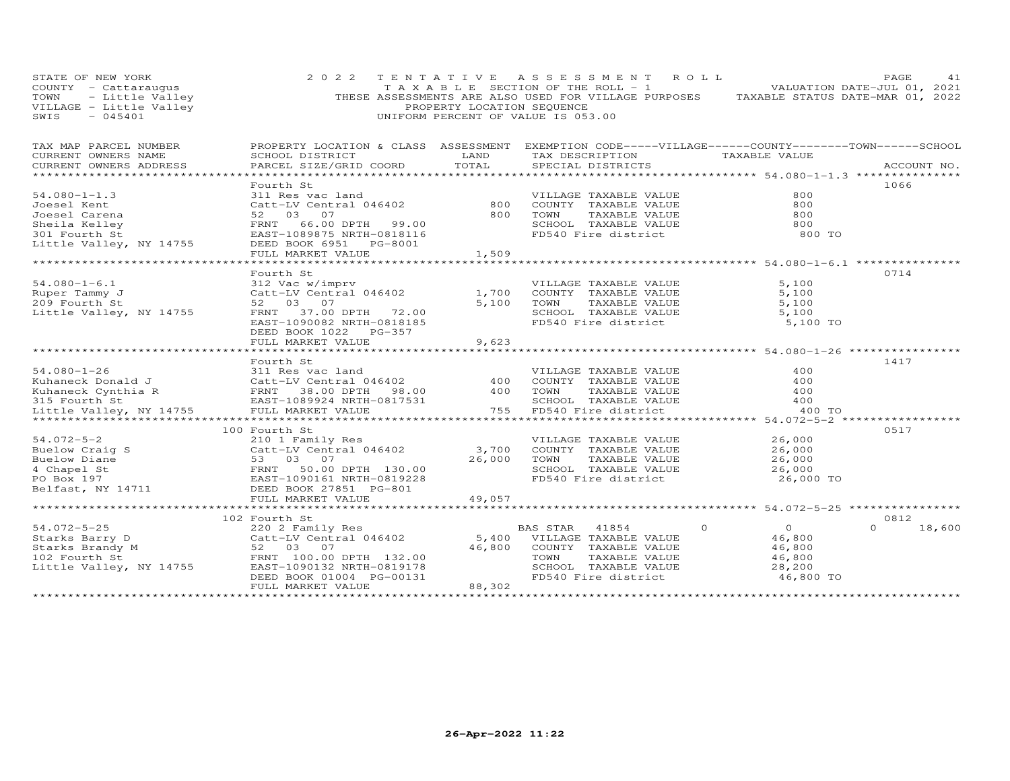| STATE OF NEW YORK<br>COUNTY - Cattaraugus<br>TOWN - Little Valley<br>VILLAGE - Little Valley<br>EWIS - 045401   | 2 0 2 2                                                                                                                                                                                                                                                                                                                                                                                                                                                                                       | TENTATIVE<br>PROPERTY LOCATION SEQUENCE | A S S E S S M E N T<br>R O L L<br>T A X A B L E SECTION OF THE ROLL - 1<br>THESE ASSESSMENTS ARE ALSO USED FOR VILLAGE PURPOSES TAXABLE STATUS DATE-MAR 01, 2022<br>UNIFORM PERCENT OF VALUE IS 053.00 |                                                                     | PAGE<br>41<br>VALUATION DATE-JUL 01, 2021 |
|-----------------------------------------------------------------------------------------------------------------|-----------------------------------------------------------------------------------------------------------------------------------------------------------------------------------------------------------------------------------------------------------------------------------------------------------------------------------------------------------------------------------------------------------------------------------------------------------------------------------------------|-----------------------------------------|--------------------------------------------------------------------------------------------------------------------------------------------------------------------------------------------------------|---------------------------------------------------------------------|-------------------------------------------|
| TAX MAP PARCEL NUMBER<br>CURRENT OWNERS NAME<br>CURRENT OWNERS ADDRESS                                          | SCHOOL DISTRICT<br>PARCEL SIZE/GRID COORD TOTAL                                                                                                                                                                                                                                                                                                                                                                                                                                               |                                         | PROPERTY LOCATION & CLASS ASSESSMENT EXEMPTION CODE-----VILLAGE------COUNTY-------TOWN------SCHOOL<br>LAND TAX DESCRIPTION TAXABLE VALUE<br>SPECIAL DISTRICTS                                          |                                                                     | ACCOUNT NO.                               |
| $54.080 - 1 - 1.3$<br>Joesel Kent<br>Joesel Carena<br>Sheila Kelley<br>301 Fourth St<br>Little Valley, NY 14755 | Fourth St<br>311 Res vac land<br>Catt-LV Central 046402 80<br>52 03 07<br>FRNT 66.00 DPTH 99.00<br>EAST-1089875 NRTH-0818116<br>1089875 NRTH-0818116<br>DEED BOOK 6951 PG-8001<br>FULL MARKET VALUE                                                                                                                                                                                                                                                                                           | 1,509                                   | TOWN TAXABLE VALUE<br>SCHOOL TAXABLE VALUE<br>FD540 Fire district                                                                                                                                      | 800<br>800<br>800<br>800<br>800 TO                                  | 1066                                      |
| $54.080 - 1 - 6.1$<br>Ruper Tammy J<br>209 Fourth St<br>Little Valley, NY 14755                                 | Fourth St<br>312 Vac w/imprv<br>Catt-LV Central 046402<br>52 03 07<br>FRNT 37.00 DPTH 72.00<br>EAST-1090082 NRTH-0818185<br>DEED BOOK 1022 PG-357<br>FULL MARKET VALUE                                                                                                                                                                                                                                                                                                                        | 1,700<br>5,100<br>9,623                 | VILLAGE TAXABLE VALUE<br>COUNTY TAXABLE VALUE<br>TOWN TAXABLE VALUE<br>SCHOOL TAXABLE VALUE<br>FD540 Fire district                                                                                     | 5,100<br>5,100<br>5,100<br>5,100<br>5,100 TO                        | 0714                                      |
|                                                                                                                 | Fourth St<br>Fourth State and<br>Extending to the Magnetic State and Milliage Taxable Value<br>Kuhaneck Cynthia R (COUNTY TAXABLE VALUE FRNT 38.00 DPTH 98.00 400 TOWN TAXABLE VALUE<br>SI5 Fourth State BAST-1089924 NRTH-0817531 (SCHOOL TAXABL                                                                                                                                                                                                                                             |                                         |                                                                                                                                                                                                        | 400<br>400<br>400<br>400<br>400 TO                                  | 1417                                      |
|                                                                                                                 | 100 Fourth St<br>$\begin{tabular}{lllllllllllllllllllllll} \multicolumn{3}{c}{54.072-5-2} & & & & 100\text{ Fourrn} & \text{s} \text{.} & & \\ \multicolumn{3}{c}{\text{Buelow Craig S}} & & & 210 & \text{Founr} & \text{Res} \text{.} & \\ \multicolumn{3}{c}{\text{Buelow Diane}} & & & \multicolumn{3}{c}{\text{Catt-LV Central 046402}} \\ \multicolumn{3}{c}{\text{Buelow Diane}} & & & 53 & 03 & 07 \\ \multicolumn{3}{c}{\text{PO Box 197}} & & & \multicolumn{$<br>FULL MARKET VALUE | 26,000<br>49,057                        | VILLAGE TAXABLE VALUE<br>TOWN       TAXABLE  VALUE<br>SCHOOL    TAXABLE  VALUE<br>TOWN<br>FD540 Fire district                                                                                          | $26,000$<br>$26$<br>26,000<br>26,000<br>26,000 TO                   | 0517                                      |
| 54.072-5-25                                                                                                     | 102 Fourth St<br>routen se<br>220 2 Family Res<br>34.072-5-25<br>Starks Barry D<br>Starks Bandy M<br>102 Fourth St<br>102 Fourth St<br>102 Fourth St<br>102 Fourth St<br>102 Fourth St<br>102 Fourth St<br>102 Fourth St<br>102 Fourth St<br>102 RNT 100.00 DPTH<br>132.00<br>146,80<br>DEED BOOK 01004 PG-00131                                                                                                                                                                              |                                         | $\Omega$<br>BAS STAR 41854<br>5,400 VILLAGE TAXABLE VALUE<br>46,800 COUNTY TAXABLE VALUE<br>TOWN<br>TAXABLE VALUE<br>TOWN       TAXABLE  VALUE<br>SCHOOL    TAXABLE  VALUE<br>FD540 Fire district      | $\overline{0}$<br>46,800<br>46,800<br>46,800<br>28,200<br>46,800 TO | 0812<br>18,600<br>$\cap$                  |
|                                                                                                                 | FULL MARKET VALUE                                                                                                                                                                                                                                                                                                                                                                                                                                                                             | 88,302                                  |                                                                                                                                                                                                        |                                                                     |                                           |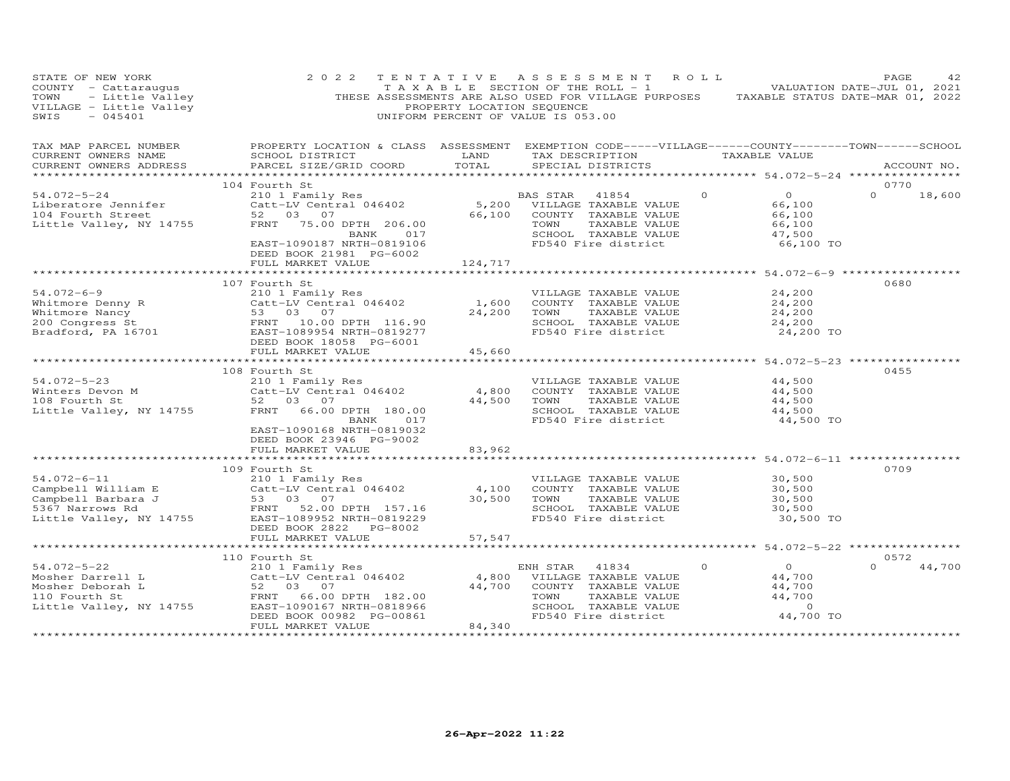| STATE OF NEW YORK<br>COUNTY - Cattaraugus<br>TOWN - Little Valley<br>VILLAGE - Little Valley<br>SWIS - 045401<br>SWIS<br>$-045401$                                                                            | 2 0 2 2                                                                                                                                                    | PROPERTY LOCATION SEQUENCE | TENTATIVE ASSESSMENT ROLL<br>TAXABLE SECTION OF THE ROLL - 1 VALUATION DATE-JUL 01, 2021<br>THESE ASSESSMENTS ARE ALSO USED FOR VILLAGE PURPOSES TAXABLE STATUS DATE-MAR 01, 2022<br>UNIFORM PERCENT OF VALUE IS 053.00 |                                                                                         | PAGE<br>42                 |
|---------------------------------------------------------------------------------------------------------------------------------------------------------------------------------------------------------------|------------------------------------------------------------------------------------------------------------------------------------------------------------|----------------------------|-------------------------------------------------------------------------------------------------------------------------------------------------------------------------------------------------------------------------|-----------------------------------------------------------------------------------------|----------------------------|
| TAX MAP PARCEL NUMBER<br>CURRENT OWNERS NAME<br>CURRENT OWNERS ADDRESS<br>***********************                                                                                                             | PROPERTY LOCATION & CLASS ASSESSMENT<br>SCHOOL DISTRICT<br>PARCEL SIZE/GRID COORD                                                                          | LAND<br>TOTAL              | EXEMPTION CODE-----VILLAGE------COUNTY--------TOWN------SCHOOL<br>TAX DESCRIPTION TAXABLE VALUE<br>SPECIAL DISTRICTS                                                                                                    | ******************* 54.072-5-24 *****************                                       | ACCOUNT NO.                |
|                                                                                                                                                                                                               | 104 Fourth St                                                                                                                                              |                            |                                                                                                                                                                                                                         |                                                                                         | 0770                       |
| 54.072-5-24<br>Liberatore Jennifer<br>104 Fourth Street<br>Little Valley, NY 14755                                                                                                                            | 210 1 Family Res<br>Catt-LV Central 046402<br>52 03 07<br>FRNT 75.00 DPTH 206.00<br>BANK 017<br>EAST-1090187 NRTH-0819106                                  | 66,100                     | BAS STAR 41854<br>5,200 VILLAGE TAXABLE VALUE<br>COUNTY TAXABLE VALUE<br>TOWN<br>TAXABLE VALUE<br>SCHOOL TAXABLE VALUE<br>FD540 Fire district                                                                           | $\circ$<br>$\overline{O}$<br>66,100<br>66,100<br>66,100<br>47,500<br>66,100 TO          | $\circ$<br>18,600          |
|                                                                                                                                                                                                               | DEED BOOK 21981 PG-6002<br>FULL MARKET VALUE                                                                                                               | 124,717                    |                                                                                                                                                                                                                         |                                                                                         |                            |
|                                                                                                                                                                                                               |                                                                                                                                                            |                            |                                                                                                                                                                                                                         |                                                                                         |                            |
| $54.072 - 6 - 9$<br>Whitmore Denny R (Catt-LV Central 046402<br>Whitmore Nancy 53 03 07<br>200 Congress St FRAT 10.00 DPTH 116.90<br>Bradford, PA 16701 (EAST-1089954 NRTH-0819277<br>DEED ROOK 18058 PG-6001 | 107 Fourth St<br>210 1 Family Res<br>DEED BOOK 18058 PG-6001                                                                                               | 1,600<br>24,200            | VILLAGE TAXABLE VALUE<br>COUNTY TAXABLE VALUE<br>TOWN<br>TAXABLE VALUE<br>SCHOOL TAXABLE VALUE<br>FD540 Fire district                                                                                                   | 24,200<br>24,200<br>24,200<br>24,200<br>24,200 TO                                       | 0680                       |
|                                                                                                                                                                                                               | FULL MARKET VALUE                                                                                                                                          | 45,660                     |                                                                                                                                                                                                                         |                                                                                         |                            |
| $54.072 - 5 - 23$<br>Winters Devon M<br>108 Fourth St<br>Little Valley, NY 14755                                                                                                                              | 108 Fourth St<br>210 1 Family Res<br>Catt-LV Central 046402<br>52 03 07<br>FRNT 66.00 DPTH 180.00<br>BANK<br>017                                           | 4,800<br>44,500            | ********************************** 54.072-5-23 *****************<br>VILLAGE TAXABLE VALUE<br>COUNTY TAXABLE VALUE<br>TOWN<br>TAXABLE VALUE<br>SCHOOL TAXABLE VALUE<br>FD540 Fire district                               | 44,500<br>44,500<br>44,500<br>44,500<br>44,500 TO                                       | 0455                       |
|                                                                                                                                                                                                               | EAST-1090168 NRTH-0819032<br>DEED BOOK 23946 PG-9002<br>FULL MARKET VALUE                                                                                  | 83,962                     |                                                                                                                                                                                                                         |                                                                                         |                            |
|                                                                                                                                                                                                               |                                                                                                                                                            |                            |                                                                                                                                                                                                                         |                                                                                         |                            |
| $54.072 - 6 - 11$<br>Campbell William E Catt-LV Central 046402<br>Campbell Barbara J 53 03 07<br>5367 Narrows Rd FRNT 52.00 DPTH 157.16<br>Little Valley, NY 14755 EAST-1089952 NRTH-0819229                  | 109 Fourth St<br>210 1 Family Res<br>Catt-LV Central 046402                                                                                                | 4,100<br>30,500            | VILLAGE TAXABLE VALUE<br>COUNTY TAXABLE VALUE<br>TOWN<br>TAXABLE VALUE<br>SCHOOL TAXABLE VALUE<br>FD540 Fire district                                                                                                   | 30,500<br>30,500<br>30,500<br>30,500<br>30,500 TO                                       | 0709                       |
|                                                                                                                                                                                                               | DEED BOOK 2822<br>PG-8002<br>FULL MARKET VALUE                                                                                                             | 57,547                     |                                                                                                                                                                                                                         |                                                                                         |                            |
|                                                                                                                                                                                                               |                                                                                                                                                            | ************               |                                                                                                                                                                                                                         | ************************ 54.072-5-22 *****************                                  |                            |
| $54.072 - 5 - 22$<br>Mosher Darrell L<br>Mosher Deborah L<br>110 Fourth St<br>Little Valley, NY 14755                                                                                                         | 110 Fourth St<br>210 1 Family Res<br>Catt-LV Central 046402<br>52 03 07<br>FRNT 66.00 DPTH 182.00<br>EAST-1090167 NRTH-0818966<br>DEED BOOK 00982 PG-00861 | 4,800<br>44,700            | ENH STAR<br>41834<br>VILLAGE TAXABLE VALUE<br>COUNTY TAXABLE VALUE<br>TOWN<br>TAXABLE VALUE<br>SCHOOL TAXABLE VALUE<br>FD540 Fire district                                                                              | $\Omega$<br>$\overline{0}$<br>44,700<br>44,700<br>44,700<br>$\overline{0}$<br>44,700 TO | 0572<br>$\Omega$<br>44,700 |
|                                                                                                                                                                                                               | FULL MARKET VALUE<br>**********************                                                                                                                | 84,340<br>**************   |                                                                                                                                                                                                                         |                                                                                         |                            |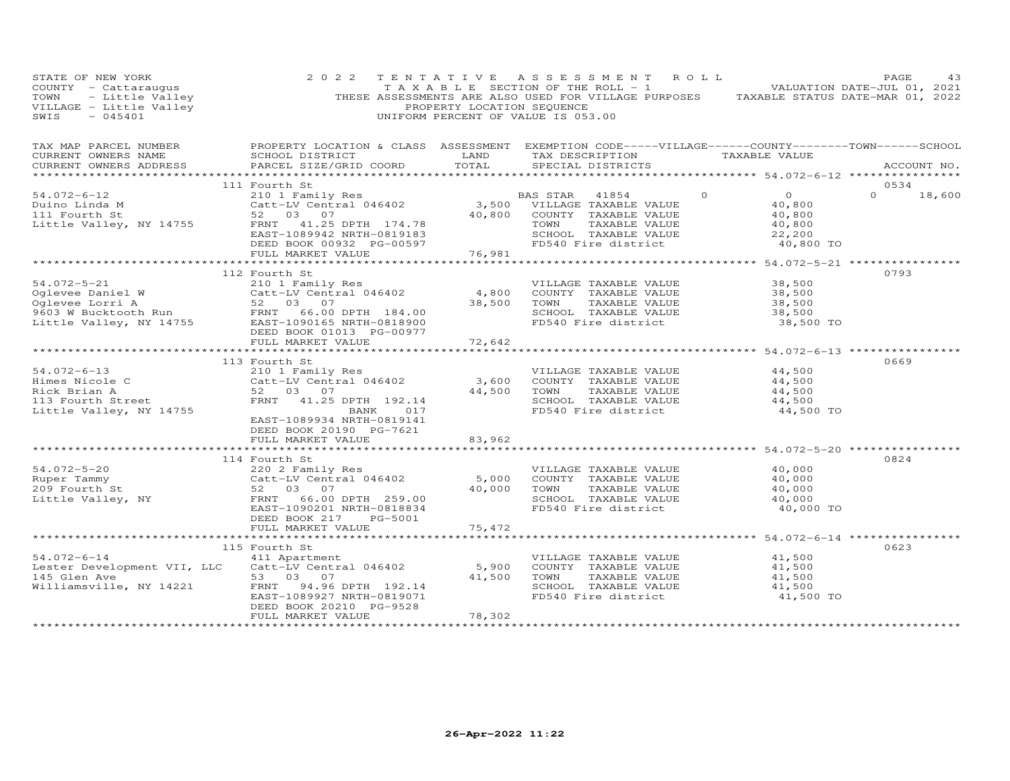| STATE OF NEW YORK<br>STATE OF NEW IONA<br>COUNTY - Cattaraugus<br>TOWN - Little Valley<br>VILLAGE - Little Valley                                                                                                                                                    | 2 0 2 2                                                                                                                                                                                                                                                                                                    | PROPERTY LOCATION SEQUENCE | TENTATIVE ASSESSMENT ROLL<br>$\begin{bmatrix} 1 & 1 & 1 \\ 1 & 1 & 1 \end{bmatrix}$ is the section of the ROLL - 1 and $\begin{bmatrix} 1 & 1 & 1 \\ 1 & 1 & 1 \end{bmatrix}$ valuation date-jul 01, 2021<br>THESE ASSESSMENTS ARE ALSO USED FOR VILLAGE PURPOSES TAXABLE STATUS DATE-MAR 01, 2022<br>UNIFORM PERCENT OF VALUE IS 053.00 |                                                                   | PAGE<br>43    |
|----------------------------------------------------------------------------------------------------------------------------------------------------------------------------------------------------------------------------------------------------------------------|------------------------------------------------------------------------------------------------------------------------------------------------------------------------------------------------------------------------------------------------------------------------------------------------------------|----------------------------|------------------------------------------------------------------------------------------------------------------------------------------------------------------------------------------------------------------------------------------------------------------------------------------------------------------------------------------|-------------------------------------------------------------------|---------------|
| TAX MAP PARCEL NUMBER BOOPERTY LOCATION & CLASS ASSESSMENT EXEMPTION CODE-----VILLAGE------COUNTY--------TOWN------SCHOOL CURRENT OWNERS NAME SCHOOL DISTRICT LAND TAX DESCRIPTION TAXABLE VALUE<br>CURRENT OWNERS ADDRESS<br>******************                     | PARCEL SIZE/GRID COORD                                                                                                                                                                                                                                                                                     | TOTAL                      | SPECIAL DISTRICTS                                                                                                                                                                                                                                                                                                                        | ***************** 54.072-6-12 *****************                   | ACCOUNT NO.   |
|                                                                                                                                                                                                                                                                      | 111 Fourth St                                                                                                                                                                                                                                                                                              |                            |                                                                                                                                                                                                                                                                                                                                          |                                                                   | 0534          |
|                                                                                                                                                                                                                                                                      | 210 1 Family Res<br>Catt-LV Central 046402 3,500 VILLAGE TAXABLE VALUE<br>52 03 07<br>20,800 COUNTY TAXABLE VALUE                                                                                                                                                                                          |                            | $\Omega$<br>TAXABLE VALUE<br>TOWN<br>SCHOOL TAXABLE VALUE<br>FD540 Fire district                                                                                                                                                                                                                                                         | $\overline{0}$<br>40,800<br>40,800<br>40,800<br>22,200            | $0 \t 18,600$ |
|                                                                                                                                                                                                                                                                      |                                                                                                                                                                                                                                                                                                            |                            |                                                                                                                                                                                                                                                                                                                                          | 40,800 TO                                                         |               |
|                                                                                                                                                                                                                                                                      |                                                                                                                                                                                                                                                                                                            |                            |                                                                                                                                                                                                                                                                                                                                          |                                                                   |               |
| 091.072-5-21<br>091.072-5-21<br>091.072-5-21<br>091.072 10 1 Family Res<br>091.072 210 1 Family Res<br>046402<br>0603 W Bucktooth Run<br>184.00<br>184.00<br>184.00<br>184.00<br>184.00<br>184.00<br>184.00<br>184.00<br>184.00<br>184.00<br>184.00<br>184.00<br>184 |                                                                                                                                                                                                                                                                                                            | 38,500 TOWN                | VILLAGE TAXABLE VALUE<br>4,800 COUNTY TAXABLE VALUE<br>TAXABLE VALUE<br>SCHOOL TAXABLE VALUE<br>FD540 Fire district                                                                                                                                                                                                                      | 38,500<br>38,500<br>$\frac{38}{38}$ , 500<br>38, 500<br>38,500 TO | 0793          |
|                                                                                                                                                                                                                                                                      | FULL MARKET VALUE 72,642                                                                                                                                                                                                                                                                                   |                            |                                                                                                                                                                                                                                                                                                                                          |                                                                   |               |
| $54.072 - 6 - 13$<br>Himes Nicole C<br>Rick Brian A<br>113 Fourth Street<br>Little Valley, NY 14755                                                                                                                                                                  | 113 Fourth St<br>Fourth St<br>210 1 Family Res<br>Catt-LV Central 046402 3,600 COUNTY TAXABLE VALUE<br>52 03 07 44,500 TOWN TAXABLE VALUE<br>FRNT 41.25 DPTH 192.14 SCHOOL TAXABLE VALUE<br>FRNT 41.25 DPTH 192.14 FD540 Fire district<br>BANK 017<br>EAST-1089934 NRTH-0819141<br>DEED BOOK 20190 PG-7621 |                            | VILLAGE TAXABLE VALUE<br>SCHOOL TAXABLE VALUE<br>FD540 Fire district                                                                                                                                                                                                                                                                     | 44,500<br>44,500<br>44,500<br>44,500<br>44,500 TO                 | 0669          |
|                                                                                                                                                                                                                                                                      | FULL MARKET VALUE                                                                                                                                                                                                                                                                                          | 83,962                     |                                                                                                                                                                                                                                                                                                                                          |                                                                   |               |
|                                                                                                                                                                                                                                                                      | 114 Fourth St                                                                                                                                                                                                                                                                                              |                            |                                                                                                                                                                                                                                                                                                                                          |                                                                   | 0824          |
|                                                                                                                                                                                                                                                                      | EAST-1090201 NRTH-0818834<br>DEED BOOK 217<br>PG-5001                                                                                                                                                                                                                                                      |                            | VILLAGE TAXABLE VALUE 40,000<br>40,000 TOWN TAXABLE VALUE<br>SCHOOL TAXABLE VALUE<br>FD540 Fire district                                                                                                                                                                                                                                 | 40,000<br>40,000<br>40,000<br>40,000 TO                           |               |
|                                                                                                                                                                                                                                                                      | FULL MARKET VALUE                                                                                                                                                                                                                                                                                          | 75,472                     |                                                                                                                                                                                                                                                                                                                                          |                                                                   |               |
|                                                                                                                                                                                                                                                                      | *************************                                                                                                                                                                                                                                                                                  | ********************       |                                                                                                                                                                                                                                                                                                                                          |                                                                   |               |
| $54.072 - 6 - 14$<br>Lester Development VII, LLC<br>145 Glen Ave<br>Williamsville, NY 14221                                                                                                                                                                          | 115 Fourth St<br>411 Apartment<br>Catt-LV Central 046402<br>53 03 07<br>FRNT 94.96 DPTH 192.14<br>EAST-1089927 NRTH-0819071                                                                                                                                                                                |                            | VILLAGE TAXABLE VALUE<br>5,900 COUNTY TAXABLE VALUE<br>41,500 TOWN<br>TAXABLE VALUE<br>SCHOOL TAXABLE VALUE<br>FD540 Fire district                                                                                                                                                                                                       | 41,500<br>41,500<br>41,500<br>41,500<br>41,500 TO                 | 0623          |
|                                                                                                                                                                                                                                                                      | DEED BOOK 20210 PG-9528<br>FULL MARKET VALUE                                                                                                                                                                                                                                                               | 78,302                     |                                                                                                                                                                                                                                                                                                                                          |                                                                   |               |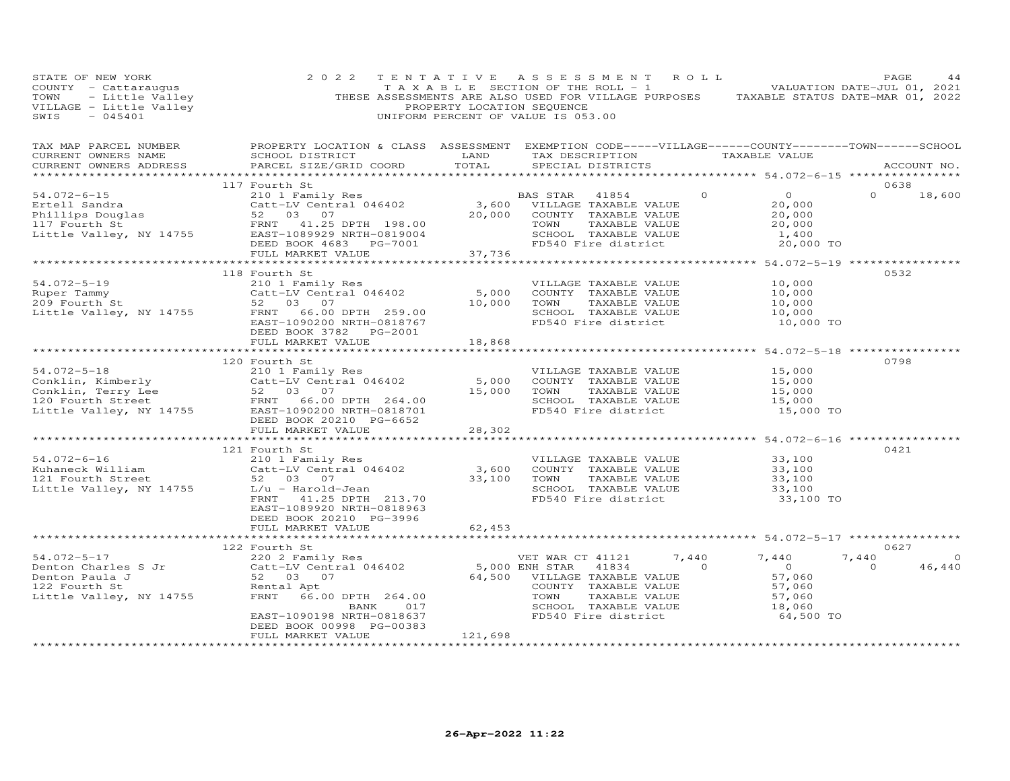| STATE OF NEW YORK<br>STATE OF NEW 10AA<br>COUNTY - Cattaraugus<br>TOWN - Little Valley<br>VILLAGE - Little Valley<br>SWTS - 045401                                                                                                                           | 2 0 2 2                                                                                                                                                                        | PROPERTY LOCATION SEQUENCE | TENTATIVE ASSESSMENT ROLL<br>$\begin{bmatrix} 1 & 1 & 1 \\ 1 & 1 & 1 \end{bmatrix}$ is not represented to the section of the ROLL - 1 and the VALUATION DATE-JUL 01, 2021<br>THESE ASSESSMENTS ARE ALSO USED FOR VILLAGE PURPOSES TAXABLE STATUS DATE-MAR 01, 2022<br>UNIFORM PERCENT OF VALUE IS 053.00 |                                                                                              | PAGE                            | 44                 |
|--------------------------------------------------------------------------------------------------------------------------------------------------------------------------------------------------------------------------------------------------------------|--------------------------------------------------------------------------------------------------------------------------------------------------------------------------------|----------------------------|----------------------------------------------------------------------------------------------------------------------------------------------------------------------------------------------------------------------------------------------------------------------------------------------------------|----------------------------------------------------------------------------------------------|---------------------------------|--------------------|
| TAX MAP PARCEL NUMBER<br>CURRENT OWNERS NAME<br>CURRENT OWNERS ADDRESS                                                                                                                                                                                       | PROPERTY LOCATION & CLASS ASSESSMENT EXEMPTION CODE-----VILLAGE------COUNTY-------TOWN------SCHOOL<br>SCHOOL DISTRICT<br>PARCEL SIZE/GRID COORD                                | TOTAL                      | SPECIAL DISTRICTS                                                                                                                                                                                                                                                                                        |                                                                                              |                                 | ACCOUNT NO.        |
|                                                                                                                                                                                                                                                              | 117 Fourth St                                                                                                                                                                  |                            | 41854                                                                                                                                                                                                                                                                                                    | $\overline{0}$                                                                               | 0638<br>$\Omega$                | 18,600             |
|                                                                                                                                                                                                                                                              | DEED BOOK 4683 PG-7001<br>FULL MARKET VALUE                                                                                                                                    | 37,736                     | TOWN      TAXABLE VALUE<br>SCHOOL   TAXABLE VALUE<br>TOWN TAXABLE VALUE<br>SCHOOL TAXABLE VALUE<br>FD540 Fire district                                                                                                                                                                                   | $\begin{array}{ccc} 0 & & & \end{array}$<br>20,000<br>20,000<br>20,000<br>1,400<br>20,000 TO |                                 |                    |
|                                                                                                                                                                                                                                                              |                                                                                                                                                                                |                            |                                                                                                                                                                                                                                                                                                          |                                                                                              |                                 |                    |
| 118 Fourth St<br>Ruper Tammy<br>209 Fourth St<br>209 Fourth St<br>209 Fourth St<br>209 Fourth St<br>209 Fourth St<br>209 Fourth St<br>209 Fourth St<br>209 Fourth St<br>209 Fourth St<br>209 Fourth St<br>209 COUNTY<br>201 CONN<br>2010 COUNTY<br>2010 COUN | DEED BOOK 3782    PG-2001<br>FULL MARKET VALUE                                                                                                                                 | 18,868                     | VILLAGE TAXABLE VALUE<br>5,000 COUNTY TAXABLE VALUE<br>TOWN      TAXABLE VALUE<br>SCHOOL   TAXABLE VALUE<br>FD540 Fire district                                                                                                                                                                          | 10,000<br>10,000<br>10,000<br>$10,000$<br>$10,000$ TO                                        | 0532                            |                    |
|                                                                                                                                                                                                                                                              |                                                                                                                                                                                |                            |                                                                                                                                                                                                                                                                                                          |                                                                                              |                                 |                    |
| 54.072-5-18<br>Conklin, Kimberly<br>Conkin, Terry Lee 52 03 07<br>120 Fourth Street FRNT 66.00 DPTH 264.00<br>Little Valley, NY 14755<br>EAST-10002000 NRTH-08120<br>EAST-10902000 NRTH-08120<br>CONN TAXABLE VALUE<br>EAST-10902000 NRTH-0812               | 120 Fourth St<br>DEED BOOK 20210 PG-6652<br>FULL MARKET VALUE                                                                                                                  | 28,302                     | COUNTY TAXABLE VALUE<br>SCHOOL TAXABLE VALUE<br>FD540 Fire district                                                                                                                                                                                                                                      | 15,000<br>15,000<br>15,000<br>15,000<br>15,000 TO                                            | 0798                            |                    |
|                                                                                                                                                                                                                                                              |                                                                                                                                                                                |                            |                                                                                                                                                                                                                                                                                                          |                                                                                              |                                 |                    |
| $54.072 - 6 - 16$<br>Kuhaneck William<br>121 Fourth Street<br>Little Valley, NY 14755                                                                                                                                                                        | 121 Fourth St<br>210 1 Family Res<br>Catt-LV Central 046402<br>52 03 07<br>L/u - Harold-Jean<br>FRNT 41.25 DPTH 213.70<br>EAST-1089920 NRTH-0818963<br>DEED BOOK 20210 PG-3996 | 33,100 TOWN                | VILLAGE TAXABLE VALUE 33,100<br>3,600 COUNTY TAXABLE VALUE<br>TAXABLE VALUE<br>SCHOOL TAXABLE VALUE<br>FD540 Fire district                                                                                                                                                                               | $33,100$<br>$33,100$<br>$33,100$<br>33,100 TO                                                | 0421                            |                    |
|                                                                                                                                                                                                                                                              | FULL MARKET VALUE                                                                                                                                                              | 62,453                     |                                                                                                                                                                                                                                                                                                          |                                                                                              |                                 |                    |
| 1.0/2-5-17<br>Denton Charles S Jr<br>Denton Charles S Jr<br>Catt-LV Central 046402<br>S2 03 Pamily Res<br>Catt-LV Central 046402<br>5,000 ENH STAR 41834<br>5,000 ENH STAR 41834<br>5,000 ENH STAR 41834<br>122 Fourth St<br>Little Valley, NY 147           | EAST-1090198 NRTH-0818637<br>DEED BOOK 00998 PG-00383<br>FULL MARKET VALUE                                                                                                     | 121,698                    | TOWN TAXABLE VALUE<br>SCHOOL TAXABLE VALUE<br>FD540 Fire district                                                                                                                                                                                                                                        | 7,440<br>$\overline{0}$<br>57,060<br>57,060<br>$\frac{57,060}{18,060}$<br>64,500 TO          | 0627<br>7,440<br>$\overline{O}$ | $\Omega$<br>46,440 |
|                                                                                                                                                                                                                                                              |                                                                                                                                                                                |                            |                                                                                                                                                                                                                                                                                                          |                                                                                              |                                 |                    |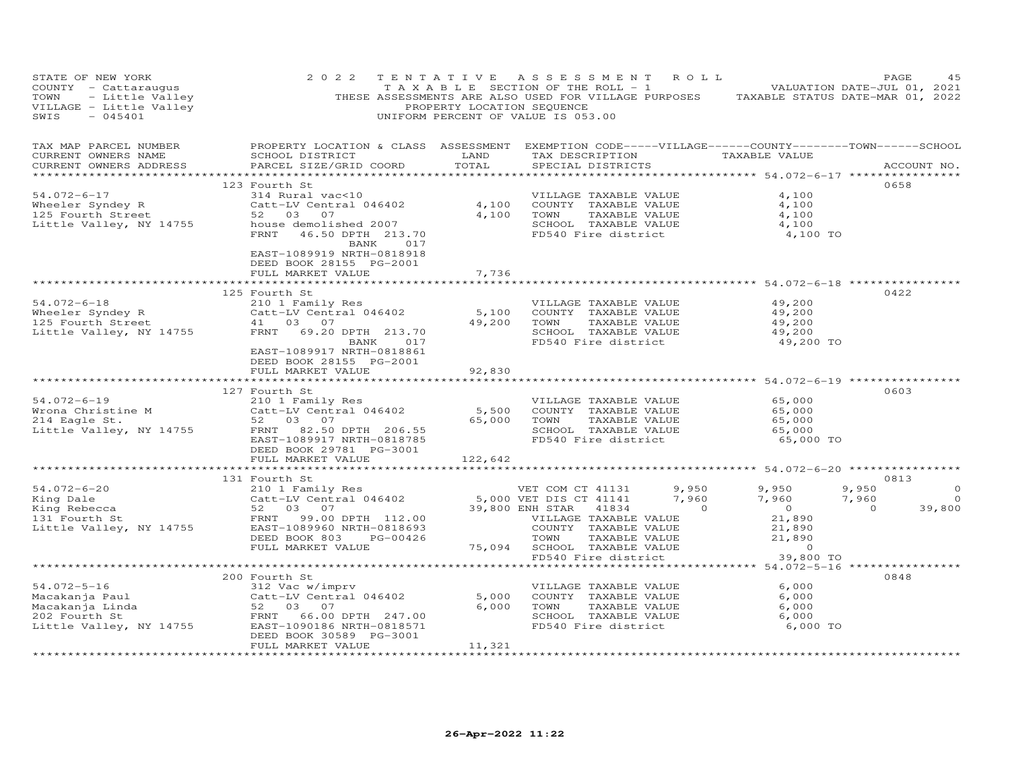| STATE OF NEW YORK<br>COUNTY - Cattaraugus TAXABLE SECTION OF THE ROLL - 1<br>TOWN - Little Valley THESE ASSESSMENTS ARE ALSO USED FOR VILLAGE PURPOSES TAXABLE STATUS DATE-MAR 01, 2021<br>THESE ASSESSMENTS ARE ALSO USED FOR VILLAGE PURPOSES TAXABLE                                            | 2 0 2 2                                                                                                                      |                 | TENTATIVE ASSESSMENT ROLL<br>TAXABLE SECTION OF THE ROLL - 1 VALUATION DATE-JUL 01, 2021                                                                                                                                                                                        |                         | PAGE<br>45                                               |
|----------------------------------------------------------------------------------------------------------------------------------------------------------------------------------------------------------------------------------------------------------------------------------------------------|------------------------------------------------------------------------------------------------------------------------------|-----------------|---------------------------------------------------------------------------------------------------------------------------------------------------------------------------------------------------------------------------------------------------------------------------------|-------------------------|----------------------------------------------------------|
| CURRENT OWNERS NAME<br>CURRENT OWNERS ADDRESS                                                                                                                                                                                                                                                      | TAX MAP PARCEL NUMBER THE PROPERTY LOCATION & CLASS ASSESSMENT EXEMPTION CODE-----VILLAGE------COUNTY-------TOWN------SCHOOL |                 |                                                                                                                                                                                                                                                                                 |                         | ACCOUNT NO.                                              |
|                                                                                                                                                                                                                                                                                                    | BANK 017<br>EAST-1089919 NRTH-0818918<br>DEED BOOK 28155 PG-2001                                                             |                 | SCHOOL TAXABLE VALUE 4,100<br>FD540 Fire district 4,100 TO                                                                                                                                                                                                                      | 4,100<br>4,100<br>4,100 | 0658                                                     |
|                                                                                                                                                                                                                                                                                                    | FULL MARKET VALUE                                                                                                            | 7,736           |                                                                                                                                                                                                                                                                                 |                         |                                                          |
|                                                                                                                                                                                                                                                                                                    | EAST-1089917 NRTH-0818861                                                                                                    | ***********     | ******************************** 54.072–6–18 ****************<br>VILLAGE TAXABLE VALUE<br>VILLAGE IAAADLE VALUE<br>COUNTY TAXABLE VALUE 49,200<br>TOWN TAXABLE VALUE 49,200<br>SCHOOL TAXABLE VALUE 49,200<br>The 40 Fire district 49,200<br>49,200 TOWN<br>FD540 Fire district | 49,200<br>49,200 TO     | 0422                                                     |
|                                                                                                                                                                                                                                                                                                    | DEED BOOK 28155 PG-2001<br>FULL MARKET VALUE                                                                                 | 92,830          | ******************************* 54.072-6-19 *************                                                                                                                                                                                                                       |                         |                                                          |
| 127 Fourth St<br>Family Res<br>Wrona Christine M<br>210 1 Family Res<br>210 1 Family Res<br>210 1 Family Res<br>210 1 Family Res<br>210 1 Family Res<br>210 1 Family Res<br>210 1 Family Res<br>210 65,000 COUNTY TAXABLE VALUE<br>22 03 07<br>22 03 0                                             | DEED BOOK 29781 PG-3001                                                                                                      |                 | VILLAGE TAXABLE VALUE 65,000<br>COUNTY TAXABLE VALUE 65,000<br>TOWN TAXABLE VALUE 65,000<br>SCHOOL TAXABLE VALUE 65,000<br>FD540 Fire district 65,000 TO                                                                                                                        |                         | 0603                                                     |
|                                                                                                                                                                                                                                                                                                    | FULL MARKET VALUE                                                                                                            | 122,642         |                                                                                                                                                                                                                                                                                 |                         |                                                          |
| $\begin{array}{ccccccccc} 54.072-6-20 & & & 131 & \text{Fourth St} & & & & \text{VET COM CT 41131} & 9,950 & 9,950 & 9,950 & 9,950 & 9,950 & 9,950 & 9,950 & 9,950 & 9,950 & 9,950 & 9,950 & 9,950 & 9,950 & 9,950 & 9,950 & 9,950 & 9,950 & 9,950 & 9,950 & 9,950 & 9,950 & 9,950 & 9,950 & 9,95$ | 131 Fourth St                                                                                                                |                 |                                                                                                                                                                                                                                                                                 |                         | 0813<br>9,950 $0$<br>9,950 0<br>39,800<br>$\overline{0}$ |
|                                                                                                                                                                                                                                                                                                    |                                                                                                                              |                 |                                                                                                                                                                                                                                                                                 |                         |                                                          |
| 54.072-5-16<br>Macakanja Paul<br>Macakanja Linda<br>202 Fourth St<br>Little Valley, NY 14755<br>202 Fourth St<br>202 Fourth St<br>Little Valley, NY 14755<br>203 07<br>202 Fourth St<br>203 07<br>202 Fourth St<br>203 07<br>202 Fourth St<br>203 07<br>202                                        | 200 Fourth St<br>DEED BOOK 30589 PG-3001<br>FULL MARKET VALUE                                                                | 5,000<br>11,321 | VILLAGE TAXABLE VALUE<br>COUNTY TAXABLE VALUE 6,000<br>TOWN TAXABLE VALUE 6,000<br>TOWN TAXABLE VALUE 6,000<br>6,000 TOWN<br>SCHOOL TAXABLE VALUE 6,000<br>FD540 Fire district 6,000 TO                                                                                         | 6,000                   | 0848                                                     |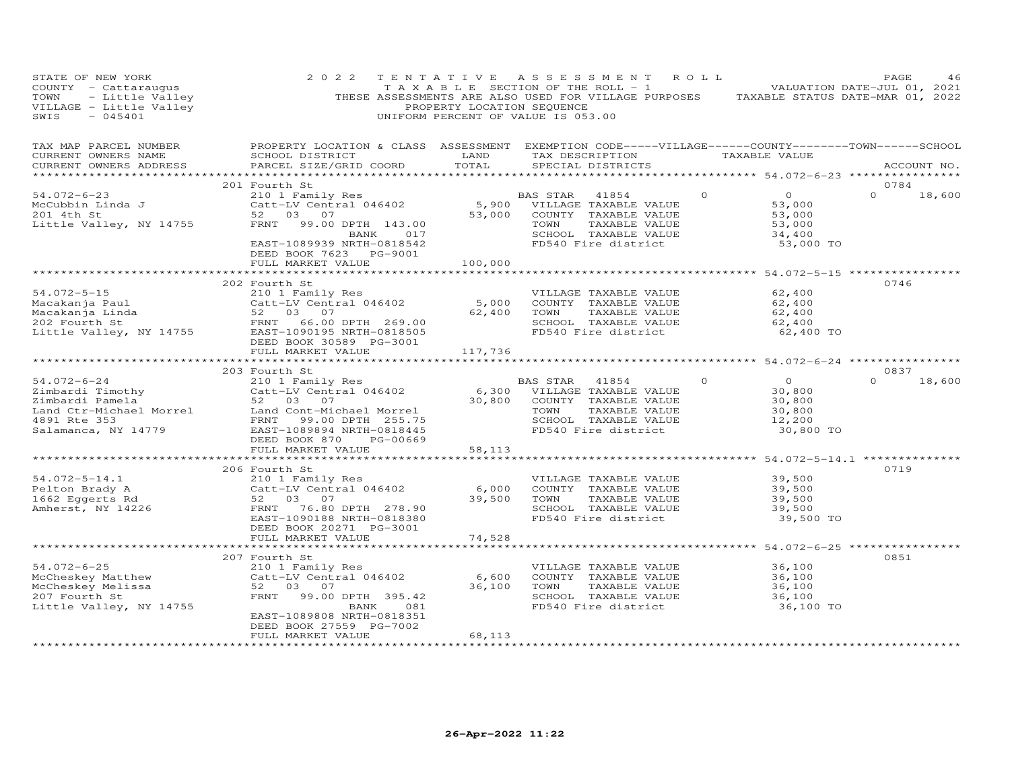| STATE OF NEW YORK<br>COUNTY - Cattaraugus<br>TOWN - Little Valley<br>VILLAGE - Little Valley<br>SWIS - 045401              | 2 0 2 2                                                                                                                                                                                                                                           | PROPERTY LOCATION SEQUENCE | TENTATIVE ASSESSMENT ROLL<br>T A X A B L E SECTION OF THE ROLL - 1<br>THESE ASSESSMENTS ARE ALSO USED FOR VILLAGE PURPOSES TAXABLE STATUS DATE-MAR 01, 2022<br>UNIFORM PERCENT OF VALUE IS 053.00 |                                                                                | PAGE<br>46<br>VALUATION DATE-JUL 01, 2021 |
|----------------------------------------------------------------------------------------------------------------------------|---------------------------------------------------------------------------------------------------------------------------------------------------------------------------------------------------------------------------------------------------|----------------------------|---------------------------------------------------------------------------------------------------------------------------------------------------------------------------------------------------|--------------------------------------------------------------------------------|-------------------------------------------|
| TAX MAP PARCEL NUMBER<br>CURRENT OWNERS NAME<br>CURRENT OWNERS ADDRESS                                                     | PROPERTY LOCATION & CLASS ASSESSMENT EXEMPTION CODE-----VILLAGE------COUNTY-------TOWN------SCHOOL<br>SCHOOL DISTRICT<br>PARCEL SIZE/GRID COORD                                                                                                   | LAND<br>TOTAL              | TAX DESCRIPTION TAXABLE VALUE<br>SPECIAL DISTRICTS                                                                                                                                                |                                                                                | ACCOUNT NO.                               |
|                                                                                                                            |                                                                                                                                                                                                                                                   |                            |                                                                                                                                                                                                   |                                                                                |                                           |
| $54.072 - 6 - 23$<br>McCubbin Linda J<br>201 4th St<br>Little Valley, NY 14755                                             | 201 Fourth St<br>210 1 Family Res<br>Catt-LV Central 046402 5,900 VILLAGE TAXABLE VALUE<br>52 03 07 53,000 COUNTY TAXABLE VALUE<br>FRNT 99.00 DPTH 143.00<br>BANK 017<br>EAST-1089939 NRTH-0818542<br>DEED BOOK 7623 PG-9001<br>FULL MARKET VALUE | 100,000                    | 53,000 COUNTY TAXABLE VALUE<br>TOWN<br>TAXABLE VALUE<br>SCHOOL TAXABLE VALUE<br>FD540 Fire district                                                                                               | $\circ$<br>$\overline{O}$<br>53,000<br>53,000<br>53,000<br>34,400<br>53,000 TO | 0784<br>$\Omega$<br>18,600                |
|                                                                                                                            |                                                                                                                                                                                                                                                   |                            |                                                                                                                                                                                                   |                                                                                |                                           |
| $54.072 - 5 - 15$                                                                                                          | 202 Fourth St<br>210 1 Family Res<br>Catt-LV Central 046402<br>DEED BOOK 30589 PG-3001<br>FULL MARKET VALUE                                                                                                                                       | 5,000<br>62,400<br>117,736 | VILLAGE TAXABLE VALUE<br>COUNTY TAXABLE VALUE<br>TOWN<br>TAXABLE VALUE<br>SCHOOL TAXABLE VALUE<br>FD540 Fire district                                                                             | 62,400<br>62,400<br>62,400<br>62,400<br>62,400 TO                              | 0746                                      |
|                                                                                                                            |                                                                                                                                                                                                                                                   |                            |                                                                                                                                                                                                   |                                                                                |                                           |
|                                                                                                                            | 203 Fourth St                                                                                                                                                                                                                                     |                            |                                                                                                                                                                                                   |                                                                                | 0837                                      |
| 54.072-6-24                                                                                                                |                                                                                                                                                                                                                                                   |                            |                                                                                                                                                                                                   | $\Omega$<br>$\Omega$                                                           | $\Omega$<br>18,600                        |
| Zimbardi Timothy<br>Zimbardi Pamela<br>Land Ctr-Michael Morrel<br>4891 Rte 353<br>Salamanca, NY 14779                      | 210 1 Family Res<br>Catt-LV Central 046402 6,300 VILLAGE TAXABLE VALUE<br>52 03 07 30,800 COUNTY TAXABLE VALUE<br>Land Cont-Michael Morrel<br>FRNT 99.00 DPTH 255.75<br>EAST-1089894 NRTH-0818445                                                 | 30,800                     | COUNTY TAXABLE VALUE<br>TOWN<br>TAXABLE VALUE<br>SCHOOL TAXABLE VALUE<br>FD540 Fire district                                                                                                      | 30,800<br>30,800<br>30,800<br>12,200<br>30,800 TO                              |                                           |
|                                                                                                                            | PG-00669<br>DEED BOOK 870                                                                                                                                                                                                                         |                            |                                                                                                                                                                                                   |                                                                                |                                           |
|                                                                                                                            | FULL MARKET VALUE                                                                                                                                                                                                                                 | 58,113                     |                                                                                                                                                                                                   |                                                                                |                                           |
|                                                                                                                            |                                                                                                                                                                                                                                                   |                            |                                                                                                                                                                                                   |                                                                                |                                           |
| 54.072-5-14.1<br>Pelton Brady A (210 1 Family Res)<br>1662 Eggerts Rd 52 03 07<br>Amherst, NY 14226 FRNT 76.80 DPTH 278.90 | 206 Fourth St<br>Catt-LV Central 046402<br>EAST-1090188 NRTH-0818380<br>DEED BOOK 20271 PG-3001                                                                                                                                                   | 6,000<br>39,500            | VILLAGE TAXABLE VALUE<br>COUNTY TAXABLE VALUE<br>TOWN<br>TAXABLE VALUE<br>SCHOOL TAXABLE VALUE<br>FD540 Fire district                                                                             | 39,500<br>39,500<br>39,500<br>39,500<br>39,500 TO                              | 0719                                      |
|                                                                                                                            | FULL MARKET VALUE                                                                                                                                                                                                                                 | 74,528                     |                                                                                                                                                                                                   |                                                                                |                                           |
|                                                                                                                            |                                                                                                                                                                                                                                                   |                            | ********************************** 54.072-6-25 ****************                                                                                                                                   |                                                                                |                                           |
| $54.072 - 6 - 25$<br>McCheskey Matthew<br>McCheskey Melissa<br>207 Fourth St<br>207 Fourth St<br>Little Valley, NY 14755   | 207 Fourth St<br>210 1 Family Res<br>Catt-LV Central 046402<br>52 03 07<br>FRNT<br>99.00 DPTH 395.42<br>BANK<br>081<br>EAST-1089808 NRTH-0818351<br>DEED BOOK 27559 PG-7002                                                                       | 6,600<br>36,100            | VILLAGE TAXABLE VALUE<br>COUNTY TAXABLE VALUE<br>TOWN<br>TAXABLE VALUE<br>SCHOOL TAXABLE VALUE<br>FD540 Fire district                                                                             | 36,100<br>36,100<br>36,100<br>36,100<br>36,100 TO                              | 0851                                      |
|                                                                                                                            | FULL MARKET VALUE                                                                                                                                                                                                                                 | 68,113                     |                                                                                                                                                                                                   |                                                                                |                                           |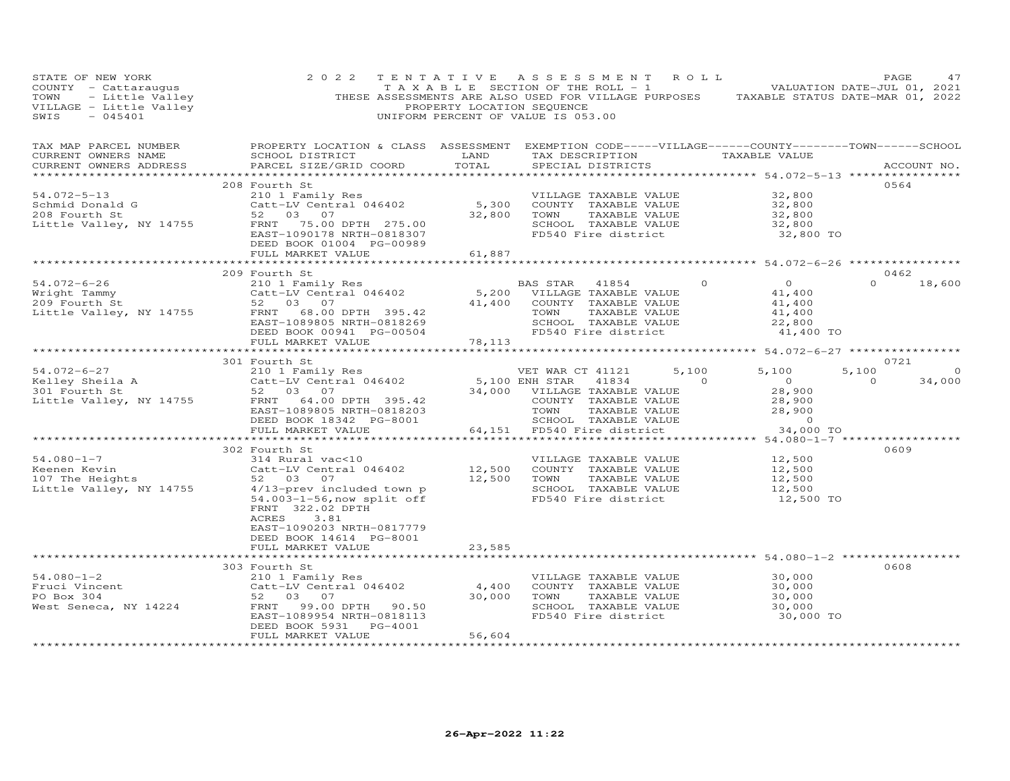| STATE OF NEW YORK<br>SIALE OF NEW IONN<br>COUNTY - Cattaraugus<br>TOWN - Little Valley (THESE ASSESSMENTS ARE ALSO USED FOR VILLAGE PURPOSES TAXABLE STATUS DATE-MAR 01, 2022<br>THESE ASSESSMENTS ARE ALSO USED FOR VILLAGE PURPOSES TAXABLE STATUS DATE | 2 0 2 2                                                                                                                                                                                                                                                                                                                                                     | TENTATIVE ASSESSMENT ROLL |                                                                                                                                                   |                                                                                       |                                                                                                                                                                                                                                                                                                                                             |                                                                                                                                                                                                        | PAGE                    | 47     |
|-----------------------------------------------------------------------------------------------------------------------------------------------------------------------------------------------------------------------------------------------------------|-------------------------------------------------------------------------------------------------------------------------------------------------------------------------------------------------------------------------------------------------------------------------------------------------------------------------------------------------------------|---------------------------|---------------------------------------------------------------------------------------------------------------------------------------------------|---------------------------------------------------------------------------------------|---------------------------------------------------------------------------------------------------------------------------------------------------------------------------------------------------------------------------------------------------------------------------------------------------------------------------------------------|--------------------------------------------------------------------------------------------------------------------------------------------------------------------------------------------------------|-------------------------|--------|
| TAX MAP PARCEL NUMBER<br>CURRENT OWNERS NAME<br>CURRENT OWNERS ADDRESS                                                                                                                                                                                    | PROPERTY LOCATION & CLASS ASSESSMENT EXEMPTION CODE-----VILLAGE------COUNTY--------TOWN------SCHOOL<br>SCHOOL DISTRICT<br>PARCEL SIZE/GRID COORD                                                                                                                                                                                                            | LAND<br>TOTAL             |                                                                                                                                                   | SPECIAL DISTRICTS                                                                     |                                                                                                                                                                                                                                                                                                                                             | TAX DESCRIPTION TAXABLE VALUE                                                                                                                                                                          | ACCOUNT NO.             |        |
| 54.072-5-13<br>Schmid Donald G<br>208 Fourth St<br>Little Valley, NY 14755                                                                                                                                                                                | 208 Fourth St<br>210 1 Family Res<br>Catt-LV Central 046402 5,300 COUNTY TAXABLE VALUE<br>52,800 TOWN TAXABLE VALUE<br>22,800 TOWN TAXABLE VALUE<br>FRNT 75.00 DPTH 275.00<br>EAST-1090178 NRTH-0818307<br>DEED BOOK 01004 PG-00989<br>FULL MARKET VALUE                                                                                                    | 61,887                    |                                                                                                                                                   | SCHOOL TAXABLE VALUE<br>FD540 Fire district                                           |                                                                                                                                                                                                                                                                                                                                             | 32,800<br>32,800<br>32,800<br>$\frac{32}{32}$ , 800<br>32,800 TO                                                                                                                                       | 0564                    |        |
|                                                                                                                                                                                                                                                           |                                                                                                                                                                                                                                                                                                                                                             | ********************      |                                                                                                                                                   |                                                                                       |                                                                                                                                                                                                                                                                                                                                             | ********************** 54.072-6-26 ****************                                                                                                                                                    |                         |        |
| 54.072-6-26 210 1 Family Res<br>Wright Tammy Catt-LV Central 046402<br>209 Fourth St 52 03 07<br>Little Valley, NY 14755 FRNT 68.00 DPTH 395.42                                                                                                           | 209 Fourth St<br>EAST-1089805 NRTH-0818269<br>DEED BOOK 00941 PG-00504<br>FULL MARKET VALUE                                                                                                                                                                                                                                                                 | 78,113                    | BAS STAR 41854<br>5,200 VILLAGE TAXABLE VALUE<br>41,400 COUNTY TAXABLE VALUE<br>TOWN TAXABLE VALUE<br>SCHOOL TAXABLE VALUE<br>FD540 Fire district | TAXABLE VALUE<br>SCHOOL TAXABLE VALUE                                                 | $\Omega$                                                                                                                                                                                                                                                                                                                                    | $\overline{O}$<br>41,400<br>$41,400$<br>$41,400$<br>22,800<br>41,400 TO                                                                                                                                | 0462<br>$\Omega$        | 18,600 |
|                                                                                                                                                                                                                                                           |                                                                                                                                                                                                                                                                                                                                                             |                           |                                                                                                                                                   |                                                                                       |                                                                                                                                                                                                                                                                                                                                             |                                                                                                                                                                                                        |                         |        |
|                                                                                                                                                                                                                                                           |                                                                                                                                                                                                                                                                                                                                                             |                           |                                                                                                                                                   |                                                                                       |                                                                                                                                                                                                                                                                                                                                             |                                                                                                                                                                                                        | 0721                    |        |
| Xarovic-o-2/<br>Kelley Sheila A 210 1 Family Res<br>301 Fourth St 52 03 07<br>Little Valley, NY 14755 FRNT 64.00 DPTH 395.42                                                                                                                              | 210 1 2 and 1y Res 34,000 ENR STAR<br>52 03 07 34,000 VILLAGE<br>FRNT 64.00 DPTH 395.42 COUNTY<br>EAST-1089805 NRTH-0818203 TOWN TOWN<br>DEED BOOK 18342 PG-8001 5CHOOL<br>FULL MARKET VALUE 64,151 FD540 F                                                                                                                                                 |                           | VET WAR CT 41121<br>34,000 VILLAGE TAXABLE VALUE                                                                                                  | 41834                                                                                 | 5,100<br>$\overline{a}$ and $\overline{a}$ and $\overline{a}$ and $\overline{a}$ and $\overline{a}$ and $\overline{a}$ and $\overline{a}$ and $\overline{a}$ and $\overline{a}$ and $\overline{a}$ and $\overline{a}$ and $\overline{a}$ and $\overline{a}$ and $\overline{a}$ and $\overline{a}$ and $\overline{a}$ and $\overline{a}$ and | 5,100<br>$\overline{0}$<br>28,900<br>COUNTY TAXABLE VALUE<br>TOWN TAXABLE VALUE 28,900<br>SCHOOL TAXABLE VALUE 28,900<br>SCHOOL TAXABLE VALUE 28,900<br>64,151 FD540 Fire district 34,000<br>34,000 TO | 5,100<br>$\overline{0}$ | 34,000 |
|                                                                                                                                                                                                                                                           |                                                                                                                                                                                                                                                                                                                                                             |                           |                                                                                                                                                   |                                                                                       |                                                                                                                                                                                                                                                                                                                                             |                                                                                                                                                                                                        |                         |        |
| $54.080 - 1 - 7$<br>Keenen Kevin<br>107 The Heights<br>Little Valley, NY 14755                                                                                                                                                                            | 302 Fourth St<br>314 Rural vac<10<br>314 MLAT Vacation 12,500 COUNTY TAXABLE VALUE<br>Catt-LV Central 046402<br>52 03 07 12,500 TOWN TAXABLE VALUE<br>4/13-prev included town p<br>54.003-1-56,now split off FD540 Fire district<br>54.003-1-56, now split off<br>FRNT 322.02 DPTH<br>3.81<br>ACRES<br>EAST-1090203 NRTH-0817779<br>DEED BOOK 14614 PG-8001 |                           |                                                                                                                                                   | TAXABLE VALUE<br>SCHOOL TAXABLE VALUE<br>FD540 Fire district                          |                                                                                                                                                                                                                                                                                                                                             | VILLAGE TAXABLE VALUE 12,500<br>12,500<br>12,500<br>12,500<br>12,500 TO                                                                                                                                | 0609                    |        |
|                                                                                                                                                                                                                                                           | FULL MARKET VALUE                                                                                                                                                                                                                                                                                                                                           | 23,585                    |                                                                                                                                                   |                                                                                       |                                                                                                                                                                                                                                                                                                                                             |                                                                                                                                                                                                        |                         |        |
|                                                                                                                                                                                                                                                           |                                                                                                                                                                                                                                                                                                                                                             | ***********               |                                                                                                                                                   |                                                                                       |                                                                                                                                                                                                                                                                                                                                             | *********************************** 54.080–1–2 *****************                                                                                                                                       |                         |        |
| 94.080-1-2<br>Fruci Vincent<br>PO Box 304<br>West Seneca, NY 14224<br>PO Box 304<br>TRNT 99.00 DPTH 90.50                                                                                                                                                 | 303 Fourth St<br>EAST-1089954 NRTH-0818113<br>DEED BOOK 5931<br>PG-4001                                                                                                                                                                                                                                                                                     |                           | 4,400 COUNTY TAXABLE VALUE<br>30,000 TOWN                                                                                                         | VILLAGE TAXABLE VALUE<br>TAXABLE VALUE<br>SCHOOL TAXABLE VALUE<br>FD540 Fire district |                                                                                                                                                                                                                                                                                                                                             | 30,000<br>30,000<br>30,000<br>30,000<br>30,000 TO                                                                                                                                                      | 0608                    |        |
|                                                                                                                                                                                                                                                           | FULL MARKET VALUE<br>*************************                                                                                                                                                                                                                                                                                                              | 56,604                    |                                                                                                                                                   |                                                                                       |                                                                                                                                                                                                                                                                                                                                             |                                                                                                                                                                                                        |                         |        |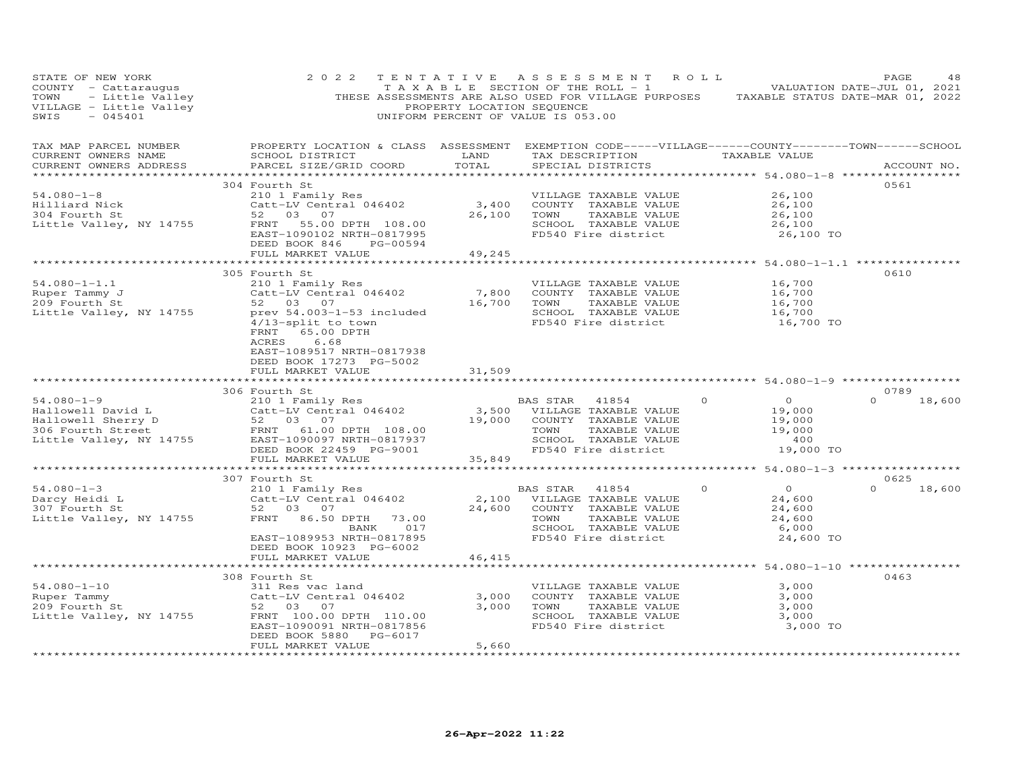| STATE OF NEW YORK<br>COUNTY - Cattaraugus<br>- Little Valley<br>TOWN<br>VILLAGE - Little Valley<br>SWIS<br>$-045401$                                                                         | 2 0 2 2                                                                                                                                                                                                                                           | PROPERTY LOCATION SEQUENCE                             | TENTATIVE ASSESSMENT<br>T A X A B L E SECTION OF THE ROLL - 1<br>THESE ASSESSMENTS ARE ALSO USED FOR VILLAGE PURPOSES TAXABLE STATUS DATE-MAR 01, 2022<br>UNIFORM PERCENT OF VALUE IS 053.00 | R O L L                                                                                             | PAGE<br>48<br>VALUATION DATE-JUL 01, 2021 |
|----------------------------------------------------------------------------------------------------------------------------------------------------------------------------------------------|---------------------------------------------------------------------------------------------------------------------------------------------------------------------------------------------------------------------------------------------------|--------------------------------------------------------|----------------------------------------------------------------------------------------------------------------------------------------------------------------------------------------------|-----------------------------------------------------------------------------------------------------|-------------------------------------------|
| TAX MAP PARCEL NUMBER<br>CURRENT OWNERS NAME<br>CURRENT OWNERS ADDRESS                                                                                                                       | PROPERTY LOCATION & CLASS ASSESSMENT EXEMPTION CODE-----VILLAGE------COUNTY-------TOWN------SCHOOL<br>SCHOOL DISTRICT<br>PARCEL SIZE/GRID COORD                                                                                                   | LAND<br>TOTAL                                          | TAX DESCRIPTION<br>SPECIAL DISTRICTS                                                                                                                                                         | TAXABLE VALUE                                                                                       | ACCOUNT NO.                               |
| $54.080 - 1 - 8$<br>Hilliard Nick<br>304 Fourth St<br>Little Valley, NY 14755                                                                                                                | 304 Fourth St<br>210 1 Family Res<br>Catt-LV Central 046402<br>52 03 07<br>FRNT 55.00 DPTH 108.00<br>EAST-1090102 NRTH-0817995<br>DEED BOOK 846<br>PG-00594<br>FULL MARKET VALUE<br>**************************                                    | 3,400<br>26,100<br>49,245                              | VILLAGE TAXABLE VALUE<br>COUNTY TAXABLE VALUE<br>TOWN<br>TAXABLE VALUE<br>SCHOOL TAXABLE VALUE<br>FD540 Fire district                                                                        | 26,100<br>26,100<br>26,100<br>26,100<br>26,100 TO                                                   | 0561                                      |
| $54.080 - 1 - 1.1$<br>Ruper Tammy J<br>209 Fourth St<br>Little Valley, NY 14755                                                                                                              | 305 Fourth St<br>210 1 Family Res<br>Catt-LV Central 046402<br>52 03 07<br>prev 54.003-1-53 included<br>$4/13$ -split to town<br>FRNT<br>65.00 DPTH<br>6.68<br>ACRES<br>EAST-1089517 NRTH-0817938<br>DEED BOOK 17273 PG-5002<br>FULL MARKET VALUE | * * * * * * * * * * * * *<br>7,800<br>16,700<br>31,509 | VILLAGE TAXABLE VALUE<br>COUNTY TAXABLE VALUE<br>TAXABLE VALUE<br>TOWN<br>SCHOOL TAXABLE VALUE<br>FD540 Fire district                                                                        | **************** 54.080-1-1.1 ****************<br>16,700<br>16,700<br>16,700<br>16,700<br>16,700 TO | 0610                                      |
|                                                                                                                                                                                              |                                                                                                                                                                                                                                                   |                                                        |                                                                                                                                                                                              |                                                                                                     |                                           |
| $54.080 - 1 - 9$<br>Hallowell David L Catt-LV Central 046402<br>Hallowell Sherry D 52 03 07<br>306 Fourth Street FRNT 61.00 DPTH 108.00<br>Little Valley, NY 14755 EAST-1090097 NRTH-0817937 | 306 Fourth St<br>210 1 Family Res<br>Catt-LV Central 046402<br>DEED BOOK 22459 PG-9001<br>FULL MARKET VALUE                                                                                                                                       | 3,500<br>19,000<br>35,849                              | BAS STAR<br>41854<br>VILLAGE TAXABLE VALUE<br>COUNTY TAXABLE VALUE<br>TOWN<br>TAXABLE VALUE<br>SCHOOL TAXABLE VALUE<br>FD540 Fire district                                                   | $\circ$<br>$\overline{O}$<br>19,000<br>19,000<br>19,000<br>400<br>19,000 TO                         | 0789<br>$\Omega$<br>18,600                |
|                                                                                                                                                                                              |                                                                                                                                                                                                                                                   | **********************                                 |                                                                                                                                                                                              | ******************** 54.080-1-3 ******************                                                  | 0625                                      |
| $54.080 - 1 - 3$<br>Darcy Heidi L<br>307 Fourth St<br>Little Valley, NY 14755                                                                                                                | 307 Fourth St<br>210 1 Family Res<br>Catt-LV Central 046402<br>52 03 07<br>FRNT<br>86.50 DPTH<br>73.00<br>BANK 017<br>EAST-1089953 NRTH-0817895<br>DEED BOOK 10923 PG-6002                                                                        | 24,600                                                 | BAS STAR<br>41854<br>2,100 VILLAGE TAXABLE VALUE<br>COUNTY TAXABLE VALUE<br>TAXABLE VALUE<br>TOWN<br>SCHOOL TAXABLE VALUE<br>FD540 Fire district                                             | $\overline{O}$<br>$\Omega$<br>24,600<br>24,600<br>24,600<br>6,000<br>24,600 TO                      | $\Omega$<br>18,600                        |
|                                                                                                                                                                                              | FULL MARKET VALUE                                                                                                                                                                                                                                 | 46.415                                                 |                                                                                                                                                                                              |                                                                                                     |                                           |
| $54.080 - 1 - 10$<br>Ruper Tammy<br>209 Fourth St<br>Little Valley, NY 14755                                                                                                                 | 308 Fourth St<br>311 Res vac land<br>Catt-LV Central 046402<br>52 03 07<br>FRNT 100.00 DPTH 110.00<br>EAST-1090091 NRTH-0817856<br>DEED BOOK 5880 PG-6017<br>FULL MARKET VALUE                                                                    | 3,000<br>3,000<br>5,660                                | VILLAGE TAXABLE VALUE<br>COUNTY TAXABLE VALUE<br>TOWN<br>TAXABLE VALUE<br>SCHOOL TAXABLE VALUE<br>FD540 Fire district                                                                        | 3,000<br>3,000<br>3,000<br>3,000<br>3,000 TO                                                        | 0463                                      |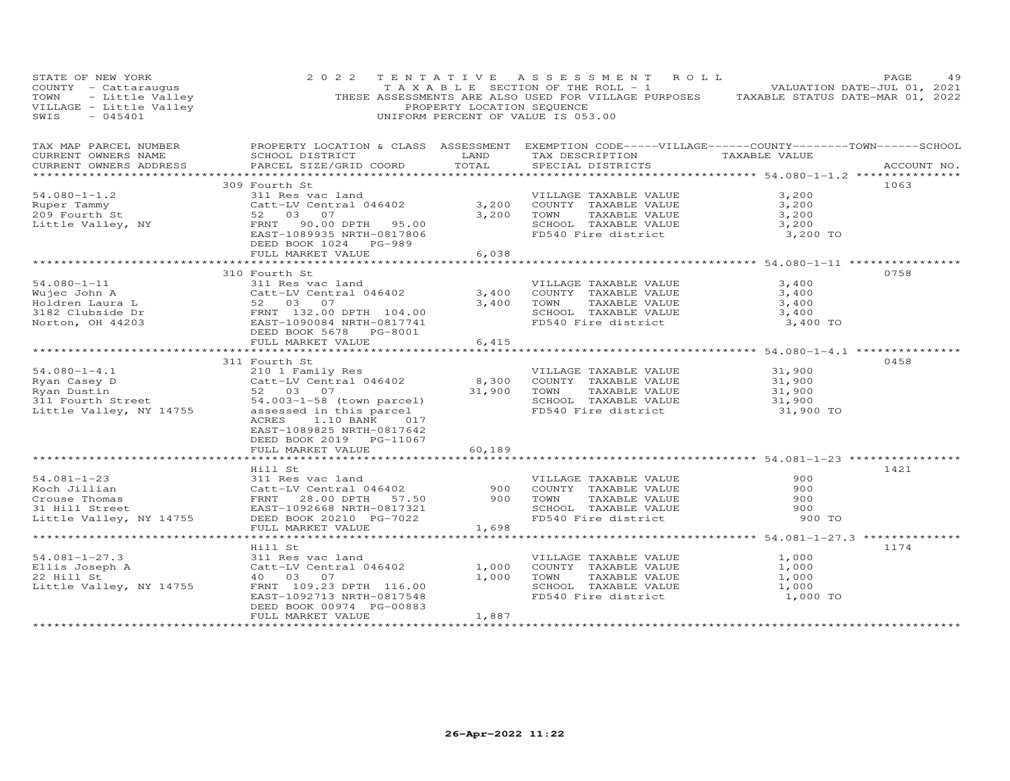| STATE OF NEW YORK<br>COUNTY - Cattaraugus<br>TOWN - Little Valley<br>VILLAGE - Little Valley<br>SWIS - 045401<br>SWIS<br>$-045401$                                                                                                             | 2 0 2 2                                                                                                                                                                                                       | PROPERTY LOCATION SEQUENCE | TENTATIVE ASSESSMENT ROLL<br>TAXABLE SECTION OF THE ROLL - 1 VALUATION DATE-JUL 01, 2021<br>THESE ASSESSMENTS ARE ALSO USED FOR VILLAGE PURPOSES TAXABLE STATUS DATE-MAR 01, 2022<br>UNIFORM PERCENT OF VALUE IS 053.00  |                                                           | PAGE<br>49  |
|------------------------------------------------------------------------------------------------------------------------------------------------------------------------------------------------------------------------------------------------|---------------------------------------------------------------------------------------------------------------------------------------------------------------------------------------------------------------|----------------------------|--------------------------------------------------------------------------------------------------------------------------------------------------------------------------------------------------------------------------|-----------------------------------------------------------|-------------|
| TAX MAP PARCEL NUMBER<br>CURRENT OWNERS NAME<br>CURRENT OWNERS ADDRESS                                                                                                                                                                         | PARCEL SIZE/GRID COORD                                                                                                                                                                                        | TOTAL                      | PROPERTY LOCATION & CLASS ASSESSMENT EXEMPTION CODE-----VILLAGE------COUNTY-------TOWN------SCHOOL<br>SCHOOL DISTRICT                     LAND        TAX DESCRIPTION                 TAXABLE VALUE<br>SPECIAL DISTRICTS |                                                           | ACCOUNT NO. |
|                                                                                                                                                                                                                                                | 309 Fourth St                                                                                                                                                                                                 |                            |                                                                                                                                                                                                                          |                                                           | 1063        |
| $54.080 - 1 - 1.2$<br>Ruper Tammy<br>209 Fourth St<br>Little Valley, NY                                                                                                                                                                        | 311 Res vac land<br>Catt-LV Central 046402 3,200<br>52 03 07 3,200<br>52 03 07<br>FRNT 90.00 DPTH 95.00<br>EAST-1089935 NRTH-0817806                                                                          | 3,200 TOWN                 | VILLAGE TAXABLE VALUE<br>COUNTY TAXABLE VALUE<br>TOWN      TAXABLE VALUE<br>SCHOOL TAXABLE VALUE<br>FD540 Fire district 3,200 TO                                                                                         | 3,200<br>3,200<br>3,200<br>3,200                          |             |
|                                                                                                                                                                                                                                                | DEED BOOK 1024 PG-989<br>FULL MARKET VALUE                                                                                                                                                                    | 6,038                      |                                                                                                                                                                                                                          |                                                           |             |
|                                                                                                                                                                                                                                                |                                                                                                                                                                                                               |                            |                                                                                                                                                                                                                          |                                                           |             |
| $54.080 - 1 - 11$<br>Wujec John A<br>Holdren Laura L<br>3182 Clubside Dr<br>Norton, OH 44203<br>TERNT 1090084 NRTH-0817741<br>DEED BOOK 5678 PG-8001<br>PEED BOOK 5678 PG-8001                                                                 | 310 Fourth St<br>311 Res vac land<br>Catt-LV Central 046402<br>52 03 07                                                                                                                                       | 3,400<br>3,400             | VILLAGE TAXABLE VALUE<br>COUNTY TAXABLE VALUE 3,400<br>TOWN TAXABLE VALUE 3,400<br>SCHOOL TAXABLE VALUE<br>FD540 Fire district                                                                                           | 3,400<br>3,400<br>3,400 TO                                | 0758        |
|                                                                                                                                                                                                                                                |                                                                                                                                                                                                               |                            |                                                                                                                                                                                                                          |                                                           |             |
|                                                                                                                                                                                                                                                | FULL MARKET VALUE                                                                                                                                                                                             | 6,415                      |                                                                                                                                                                                                                          |                                                           |             |
| 91.080-1-4.1<br>Nyan Casey D<br>Ryan Dustin Cart -LV Central 046402<br>Satt-LV Central 046402<br>Satt-LV Central 046402<br>Sattle Valle Valle Calley, NY 14755<br>Sattle Valley, NY 14755<br>Sattle Valley, NY 14755<br>Sattle Valley, NY 1475 | 311 Fourth St<br>ACRES<br>1.10 BANK 017<br>EAST-1089825 NRTH-0817642<br>DEED BOOK 2019 PG-11067                                                                                                               |                            | VILLAGE TAXABLE VALUE<br>TOWN       TAXABLE  VALUE<br>SCHOOL    TAXABLE  VALUE<br>FD540 Fire district                                                                                                                    | $31,900$<br>$31,900$<br>$31,900$<br>$31,900$<br>31,900 TO | 0458        |
|                                                                                                                                                                                                                                                | FULL MARKET VALUE                                                                                                                                                                                             | 60,189                     |                                                                                                                                                                                                                          |                                                           |             |
| 54.081-1-23<br>Noch Jillian and Millian Catt-LV Central 046402<br>Crouse Thomas FRNT 28.00 DPTH 57.50 900 COUNT<br>31 Hill Street EAST-1092668 NRTH-0817321 900 TOWN<br>Little Valley, NY 14755 DEED BOOK 2021 PG-7022<br>FINT MADYET VA       | Hill St<br>FULL MARKET VALUE                                                                                                                                                                                  | 1,698                      | VILLAGE TAXABLE VALUE<br>COUNTY TAXABLE VALUE<br>TOWN      TAXABLE VALUE<br>SCHOOL TAXABLE VALUE<br>FD540 Fire district                                                                                                  | 900<br>900<br>900<br>900<br>900 TO                        | 1421        |
|                                                                                                                                                                                                                                                |                                                                                                                                                                                                               |                            |                                                                                                                                                                                                                          |                                                           |             |
| $54.081 - 1 - 27.3$<br>Ellis Joseph A<br>22 Hill St<br>Little Valley, NY 14755                                                                                                                                                                 | Hill St<br>311 Res vac land<br>311 Res vac Tanu<br>Catt-LV Central 046402<br>40 03 07 - - - - 116.00<br>FRNT 109.23 DPTH 116.00<br>EAST-1092713 NRTH-0817548<br>DEED BOOK 00974 PG-00883<br>FULL MARKET VALUE | 1,887                      | VILLAGE TAXABLE VALUE 1,000<br>1,000 COUNTY TAXABLE VALUE<br>1,000 TOWN<br>TAXABLE VALUE<br>SCHOOL TAXABLE VALUE<br>FD540 Fire district                                                                                  | 1,000<br>1,000<br>1,000<br>1,000 TO                       | 1174        |
|                                                                                                                                                                                                                                                |                                                                                                                                                                                                               |                            |                                                                                                                                                                                                                          |                                                           |             |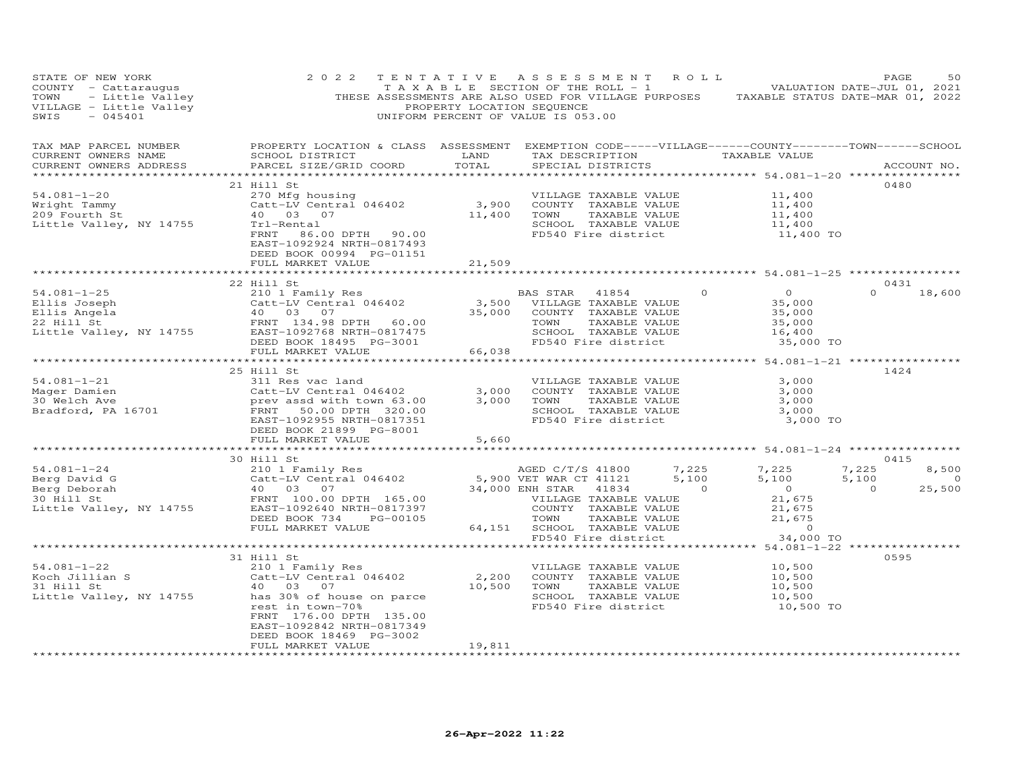| STATE OF NEW YORK<br>SIAL OF NEW YORK TOWN TO THE SECTION OF THE ROLL - 1<br>COUNTY - Cattaraugus<br>THESE ASSESSMENTS ARE ALSO USED FOR VILLAGE PURPOSES TAXABLE STATUS DATE-MAR 01, 2022<br>PROPERTY LOCATION SEQUENCE<br>THESE ASSESSMENTS ARE ALSO USED | 2 0 2 2                                                                                                                                |                | TENTATIVE ASSESSMENT ROLL<br>TAXABLE SECTION OF THE ROLL - 1 VALUATION DATE-JUL 01, 2021                                                                                                      |                   | PAGE                             | 50                          |
|-------------------------------------------------------------------------------------------------------------------------------------------------------------------------------------------------------------------------------------------------------------|----------------------------------------------------------------------------------------------------------------------------------------|----------------|-----------------------------------------------------------------------------------------------------------------------------------------------------------------------------------------------|-------------------|----------------------------------|-----------------------------|
| TAX MAP PARCEL NUMBER THE PROPERTY LOCATION & CLASS ASSESSMENT EXEMPTION CODE-----VILLAGE------COUNTY-------TOWN------SCHOOL<br>CURRENT OWNERS NAME<br>CURRENT OWNERS ADDRESS                                                                               | PARCEL SIZE/GRID COORD                                                                                                                 |                |                                                                                                                                                                                               |                   |                                  | ACCOUNT NO.                 |
| 34.081-1-20<br>Wright Tammy<br>Mright Tammy<br>209 Fourth St and 203 07<br>Little Valley, NY 14755<br>EXAMPLE VALUE<br>209 Fourth St and 203 07<br>Little Valley, NY 14755<br>EXAMPLE VALUE<br>209 Fourth St and 203 07<br>Little Valley, NY 14755          | 21 Hill St<br>DEED BOOK 00994 PG-01151<br>FULL MARKET VALUE                                                                            | 21,509         | SCHOOL TAXABLE VALUE 11,400<br>FD540 Fire district 11,400 TO                                                                                                                                  |                   | 0480                             |                             |
|                                                                                                                                                                                                                                                             |                                                                                                                                        |                |                                                                                                                                                                                               |                   |                                  |                             |
| 34.081-1-25<br>Ellis Joseph 22 Hill St<br>Ellis Angela (1875) 22 Hill St<br>22 Hill St<br>22 Hill St<br>22 Hill St<br>22 Hill St<br>22 Hill St<br>22 Hill St<br>22 Hill St<br>22 Hill St<br>22 Hill St<br>22 Hill St<br>22 Hill St<br>22 Hill St<br>22 Hill | 22 Hill St<br>FULL MARKET VALUE                                                                                                        | 66,038         |                                                                                                                                                                                               | 35,000 TO         | 0431<br>$\Omega$                 | 18,600                      |
|                                                                                                                                                                                                                                                             |                                                                                                                                        | ***********    | **********************************54.081-1-21 *****************                                                                                                                               |                   |                                  |                             |
|                                                                                                                                                                                                                                                             | 25 Hill St<br>DEED BOOK 21899 PG-8001<br>FULL MARKET VALUE                                                                             | 3,000<br>5,660 | VILLAGE TAXABLE VALUE<br>COUNTY TAXABLE VALUE<br>TOWN TAXABLE VALUE 3,000<br>SCHOOL TAXABLE VALUE 3,000<br>3,000 TOWN<br>FD540 Fire district                                                  | 3,000<br>3,000 TO | 1424                             |                             |
|                                                                                                                                                                                                                                                             | 30 Hill St                                                                                                                             |                |                                                                                                                                                                                               |                   | 0415                             |                             |
|                                                                                                                                                                                                                                                             |                                                                                                                                        |                |                                                                                                                                                                                               |                   | 7,225<br>5,100<br>$\overline{0}$ | 8,500<br>$\sim$ 0<br>25,500 |
|                                                                                                                                                                                                                                                             |                                                                                                                                        |                |                                                                                                                                                                                               |                   |                                  |                             |
| 54.081-1-22<br>Koch Jillian S<br>31 Hill St (210 1 Family Res<br>31 Hill St (210 1 6 Hourse 2016 10 14755)<br>40 03 07<br>Little Valley, NY 14755 (216 1001 10 1479)<br>2018 301 65 16 1001 2018                                                            | 31 Hill St<br>rest in town-70%<br>FRNT 176.00 DPTH 135.00<br>EAST-1092842 NRTH-0817349<br>DEED BOOK 18469 PG-3002<br>FULL MARKET VALUE | 19,811         | VILLAGE TAXABLE VALUE 10,500<br>COUNTY TAXABLE VALUE 10,500<br>2,200 COUNTY TAXABLE VALUE<br>10,500 TOWN TAXABLE VALUE 10,500<br>SCHOOL TAXABLE VALUE 10,500<br>FD540 Fire district 10,500 TO |                   | 0595                             |                             |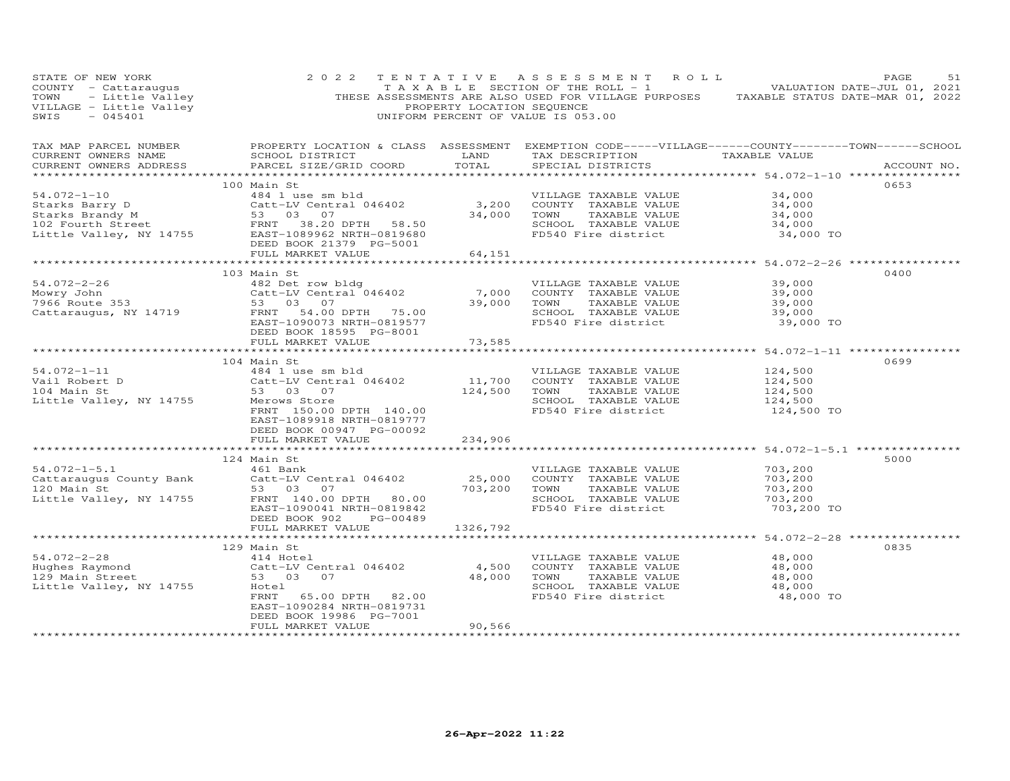| STATE OF NEW YORK<br>COUNTY - Cattaraugus<br>TOWN - Substitute Valley<br>VILLAGE - Little Valley<br>SWIS - 045401                 | 2 0 2 2                                                                                          | PROPERTY LOCATION SEQUENCE | TENTATIVE ASSESSMENT ROLL<br>TAXABLE SECTION OF THE ROLL - 1 VALUATION DATE-JUL 01, 2021<br>THESE ASSESSMENTS ARE ALSO USED FOR VILLAGE PURPOSES TAXABLE STATUS DATE-MAR 01, 2022<br>UNIFORM PERCENT OF VALUE IS 053.00 |                                  | PAGE<br>51  |
|-----------------------------------------------------------------------------------------------------------------------------------|--------------------------------------------------------------------------------------------------|----------------------------|-------------------------------------------------------------------------------------------------------------------------------------------------------------------------------------------------------------------------|----------------------------------|-------------|
| TAX MAP PARCEL NUMBER<br>CURRENT OWNERS NAME<br>CURRENT OWNERS ADDRESS                                                            | SCHOOL DISTRICT<br>PARCEL SIZE/GRID COORD                                                        | LAND<br>TOTAL              | PROPERTY LOCATION & CLASS ASSESSMENT EXEMPTION CODE-----VILLAGE------COUNTY--------TOWN------SCHOOL<br>TAX DESCRIPTION<br>SPECIAL DISTRICTS                                                                             | TAXABLE VALUE                    | ACCOUNT NO. |
|                                                                                                                                   |                                                                                                  |                            |                                                                                                                                                                                                                         |                                  |             |
| $54.072 - 1 - 10$                                                                                                                 | 100 Main St<br>484 1 use sm bld                                                                  |                            | VILLAGE TAXABLE VALUE                                                                                                                                                                                                   | 34,000                           | 0653        |
|                                                                                                                                   |                                                                                                  |                            | 3,200 COUNTY TAXABLE VALUE                                                                                                                                                                                              | 34,000                           |             |
|                                                                                                                                   | Catt-LV Central 046402<br>53 03 07                                                               | 34,000                     | TOWN<br>TAXABLE VALUE                                                                                                                                                                                                   | 34,000                           |             |
|                                                                                                                                   |                                                                                                  |                            | SCHOOL TAXABLE VALUE                                                                                                                                                                                                    | 34,000                           |             |
| Starks Barry D<br>Starks Brandy M<br>102 Fourth Street<br>Little Valley, NY 14755<br>2009962 NRTH-0819680<br>2009962 NRTH-0819680 | DEED BOOK 21379 PG-5001                                                                          |                            | FD540 Fire district                                                                                                                                                                                                     | 34,000 TO                        |             |
|                                                                                                                                   | FULL MARKET VALUE                                                                                | 64,151                     |                                                                                                                                                                                                                         |                                  |             |
|                                                                                                                                   | 103 Main St                                                                                      |                            |                                                                                                                                                                                                                         |                                  | 0400        |
| $54.072 - 2 - 26$                                                                                                                 | 482 Det row bldg                                                                                 |                            | VILLAGE TAXABLE VALUE                                                                                                                                                                                                   | 39,000                           |             |
| Mowry John                                                                                                                        | Catt-LV Central 046402                                                                           | 7,000                      | COUNTY TAXABLE VALUE                                                                                                                                                                                                    | 39,000                           |             |
| 10001y 001111<br>7966 Route 353                                                                                                   | 53 03 07                                                                                         | 39,000                     | TOWN<br>TAXABLE VALUE                                                                                                                                                                                                   | 39,000                           |             |
| Cattaraugus, NY 14719                                                                                                             | 54.00 DPTH 75.00<br>FRNT                                                                         |                            | SCHOOL TAXABLE VALUE                                                                                                                                                                                                    | 39,000                           |             |
|                                                                                                                                   | EAST-1090073 NRTH-0819577<br>DEED BOOK 18595 PG-8001                                             |                            | FD540 Fire district                                                                                                                                                                                                     | 39,000 TO                        |             |
|                                                                                                                                   | FULL MARKET VALUE                                                                                | 73,585                     |                                                                                                                                                                                                                         | *********** 54.072-1-11 *****    |             |
|                                                                                                                                   | 104 Main St                                                                                      |                            |                                                                                                                                                                                                                         |                                  | 0699        |
| $54.072 - 1 - 11$                                                                                                                 | 484 1 use sm bld                                                                                 |                            | VILLAGE TAXABLE VALUE                                                                                                                                                                                                   | 124,500                          |             |
| Vail Robert D                                                                                                                     | Catt-LV Central 046402                                                                           | 11,700                     | COUNTY TAXABLE VALUE                                                                                                                                                                                                    | 124,500                          |             |
| 104 Main St                                                                                                                       | 53 03<br>07                                                                                      | 124,500                    | TOWN<br>TAXABLE VALUE                                                                                                                                                                                                   | 124,500                          |             |
| Little Valley, NY 14755                                                                                                           | Merows Store<br>FRNT 150.00 DPTH 140.00<br>EAST-1089918 NRTH-0819777<br>DEED BOOK 00947 PG-00092 |                            | SCHOOL TAXABLE VALUE<br>FD540 Fire district                                                                                                                                                                             | 124,500<br>124,500 TO            |             |
|                                                                                                                                   | FULL MARKET VALUE                                                                                | 234,906                    |                                                                                                                                                                                                                         |                                  |             |
|                                                                                                                                   |                                                                                                  |                            |                                                                                                                                                                                                                         |                                  |             |
| $54.072 - 1 - 5.1$                                                                                                                | 124 Main St<br>461 Bank                                                                          |                            | VILLAGE TAXABLE VALUE                                                                                                                                                                                                   | 703,200                          | 5000        |
| Cattaraugus County Bank                                                                                                           | Catt-LV Central 046402                                                                           | 25,000                     | COUNTY TAXABLE VALUE                                                                                                                                                                                                    | 703,200                          |             |
| 120 Main St                                                                                                                       | 53 03<br>07                                                                                      | 703,200                    | TOWN<br>TAXABLE VALUE                                                                                                                                                                                                   | 703,200                          |             |
| Little Valley, NY 14755                                                                                                           | FRNT 140.00 DPTH 80.00                                                                           |                            | SCHOOL TAXABLE VALUE                                                                                                                                                                                                    | 703,200                          |             |
|                                                                                                                                   | EAST-1090041 NRTH-0819842<br>PG-00489<br>DEED BOOK 902                                           |                            | FD540 Fire district                                                                                                                                                                                                     | 703,200 TO                       |             |
|                                                                                                                                   | FULL MARKET VALUE<br>*************************                                                   | 1326,792                   |                                                                                                                                                                                                                         |                                  |             |
|                                                                                                                                   | 129 Main St                                                                                      |                            |                                                                                                                                                                                                                         | ******** 54.072-2-28 *********** | 0835        |
| $54.072 - 2 - 28$                                                                                                                 | 414 Hotel                                                                                        |                            | VILLAGE TAXABLE VALUE                                                                                                                                                                                                   | 48,000                           |             |
| Hughes Raymond                                                                                                                    | Catt-LV Central 046402                                                                           | 4,500                      | COUNTY TAXABLE VALUE                                                                                                                                                                                                    | 48,000                           |             |
| 129 Main Street                                                                                                                   | 53 03 07                                                                                         | 48,000                     | TOWN<br>TAXABLE VALUE                                                                                                                                                                                                   | 48,000                           |             |
| Little Valley, NY 14755                                                                                                           | Hotel                                                                                            |                            | SCHOOL TAXABLE VALUE                                                                                                                                                                                                    | 48,000                           |             |
|                                                                                                                                   | FRNT<br>65.00 DPTH 82.00<br>EAST-1090284 NRTH-0819731<br>DEED BOOK 19986 PG-7001                 |                            | FD540 Fire district                                                                                                                                                                                                     | 48,000 TO                        |             |
|                                                                                                                                   | FULL MARKET VALUE                                                                                | 90,566                     |                                                                                                                                                                                                                         |                                  |             |
|                                                                                                                                   |                                                                                                  |                            |                                                                                                                                                                                                                         |                                  |             |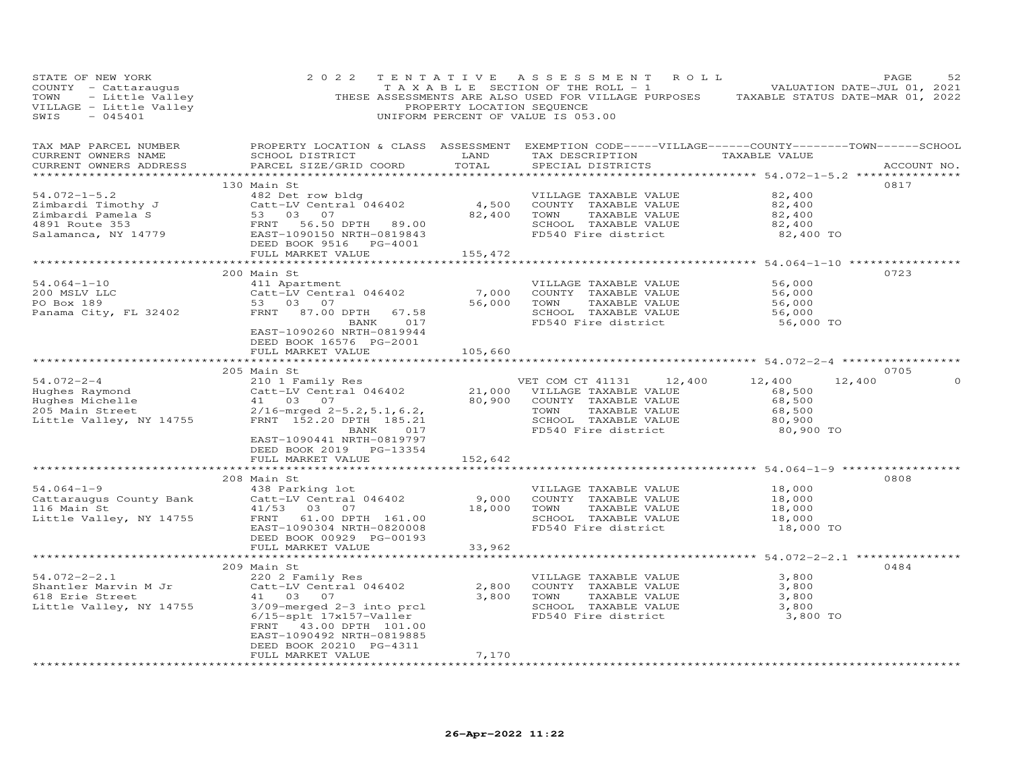| STATE OF NEW YORK<br>COUNTY - Cattaraugus<br>TOWN - Little Valley<br>VILLAGE - Little Valley<br>SWIS - 045401 | 2 0 2 2                                                                                                                                                                                                                              | PROPERTY LOCATION SEQUENCE               | TENTATIVE ASSESSMENT ROLL<br>T A X A B L E SECTION OF THE ROLL - 1<br>THESE ASSESSMENTS ARE ALSO USED FOR VILLAGE PURPOSES TAXABLE STATUS DATE-MAR 01, 2022<br>UNIFORM PERCENT OF VALUE IS 053.00                           | VALUATION DATE-JUL 01, 2021                                           | PAGE<br>52  |
|---------------------------------------------------------------------------------------------------------------|--------------------------------------------------------------------------------------------------------------------------------------------------------------------------------------------------------------------------------------|------------------------------------------|-----------------------------------------------------------------------------------------------------------------------------------------------------------------------------------------------------------------------------|-----------------------------------------------------------------------|-------------|
| TAX MAP PARCEL NUMBER<br>CURRENT OWNERS NAME<br>CURRENT OWNERS ADDRESS<br>**********************              | SCHOOL DISTRICT<br>PARCEL SIZE/GRID COORD                                                                                                                                                                                            | LAND<br>TOTAL<br>* * * * * * * * * * * * | PROPERTY LOCATION & CLASS ASSESSMENT EXEMPTION CODE-----VILLAGE------COUNTY-------TOWN------SCHOOL<br>TAX DESCRIPTION TAXABLE VALUE<br>SPECIAL DISTRICTS<br>********************************** 54.072–1–5.2 *************** |                                                                       | ACCOUNT NO. |
| $54.072 - 1 - 5.2$                                                                                            | 130 Main St<br>482 Det row bldg<br>Extracted Timothy J<br>2 imbardi Pamela S<br>2 imbardi Pamela S<br>4891 Route 353<br>Salamanca, NY 14779<br>EAST-1090150 NRTH-0819843<br>DEED BOOK 9516<br>PG-4001<br>FULL MARKET VALUE           | 82,400 TOWN<br>155,472                   | VILLAGE TAXABLE VALUE<br>4,500 COUNTY TAXABLE VALUE<br>TAXABLE VALUE<br>SCHOOL TAXABLE VALUE<br>FD540 Fire district                                                                                                         | 82,400<br>82,400<br>82,400<br>82,400<br>82,400 TO                     | 0817        |
|                                                                                                               | *****************                                                                                                                                                                                                                    | * * * * * * * * * * * *                  |                                                                                                                                                                                                                             | **************************** 54.064-1-10 **************               |             |
| $54.064 - 1 - 10$<br>200 MSLV LLC<br>PO Box 189<br>Panama City, FL 32402                                      | 200 Main St<br>411 Apartment<br>Catt-LV Central 046402<br>53 03 07<br>FRNT 87.00 DPTH 67.58<br>BANK 017<br>EAST-1090260 NRTH-0819944<br>DEED BOOK 16576 PG-2001                                                                      | 7,000<br>56,000                          | VILLAGE TAXABLE VALUE<br>COUNTY TAXABLE VALUE<br>TOWN<br>TAXABLE VALUE<br>SCHOOL TAXABLE VALUE<br>FD540 Fire district                                                                                                       | 56,000<br>56,000<br>56,000<br>56,000<br>56,000 TO                     | 0723        |
|                                                                                                               | FULL MARKET VALUE                                                                                                                                                                                                                    | 105,660                                  |                                                                                                                                                                                                                             |                                                                       |             |
|                                                                                                               |                                                                                                                                                                                                                                      |                                          |                                                                                                                                                                                                                             |                                                                       |             |
| $54.072 - 2 - 4$<br>Little Valley, NY 14755                                                                   | 205 Main St<br>210 1 Family Res<br>Catt-LV Central 046402<br>41 03 07<br>$2/16$ -mrged $2-5.2$ , 5.1, 6.2,<br>FRNT 152.20 DPTH 185.21<br>BANK 017<br>EAST-1090441 NRTH-0819797<br>DEED BOOK 2019 PG-13354                            |                                          | 12,400<br>VET COM CT 41131<br>21,000 VILLAGE TAXABLE VALUE<br>80,900 COUNTY TAXABLE VALUE<br>TOWN<br>TAXABLE VALUE<br>SCHOOL TAXABLE VALUE<br>FD540 Fire district                                                           | 12,400<br>12,400<br>68,500<br>68,500<br>68,500<br>80,900<br>80,900 TO | 0705        |
|                                                                                                               | FULL MARKET VALUE                                                                                                                                                                                                                    | 152,642                                  |                                                                                                                                                                                                                             |                                                                       |             |
|                                                                                                               |                                                                                                                                                                                                                                      |                                          |                                                                                                                                                                                                                             |                                                                       |             |
| $54.064 - 1 - 9$<br>Cattaraugus County Bank<br>116 Main St<br>Little Valley, NY 14755                         | 208 Main St<br>438 Parking lot<br>Catt-LV Central 046402<br>41/53 03 07<br>FRNT 61.00 DPTH 161.00<br>EAST-1090304 NRTH-0820008<br>DEED BOOK 00929 PG-00193<br>FULL MARKET VALUE                                                      | 9,000<br>18,000<br>33,962                | VILLAGE TAXABLE VALUE<br>COUNTY TAXABLE VALUE<br>TAXABLE VALUE<br>TOWN<br>SCHOOL TAXABLE VALUE<br>FD540 Fire district                                                                                                       | 18,000<br>18,000<br>18,000<br>18,000<br>18,000 TO                     | 0808        |
|                                                                                                               |                                                                                                                                                                                                                                      |                                          |                                                                                                                                                                                                                             |                                                                       |             |
| $54.072 - 2 - 2.1$<br>Shantler Marvin M Jr<br>618 Erie Street<br>Little Valley, NY 14755                      | 209 Main St<br>220 2 Family Res<br>Catt-LV Central 046402<br>41 03 07<br>3/09-merged 2-3 into prcl<br>6/15-splt 17x157-Valler<br>FRNT 43.00 DPTH 101.00<br>EAST-1090492 NRTH-0819885<br>DEED BOOK 20210 PG-4311<br>FULL MARKET VALUE | 2,800<br>7,170                           | VILLAGE TAXABLE VALUE<br>COUNTY TAXABLE VALUE<br>3,800 TOWN<br>TAXABLE VALUE<br>SCHOOL TAXABLE VALUE<br>FD540 Fire district                                                                                                 | 3,800<br>3,800<br>3,800<br>3,800<br>3,800 TO                          | 0484        |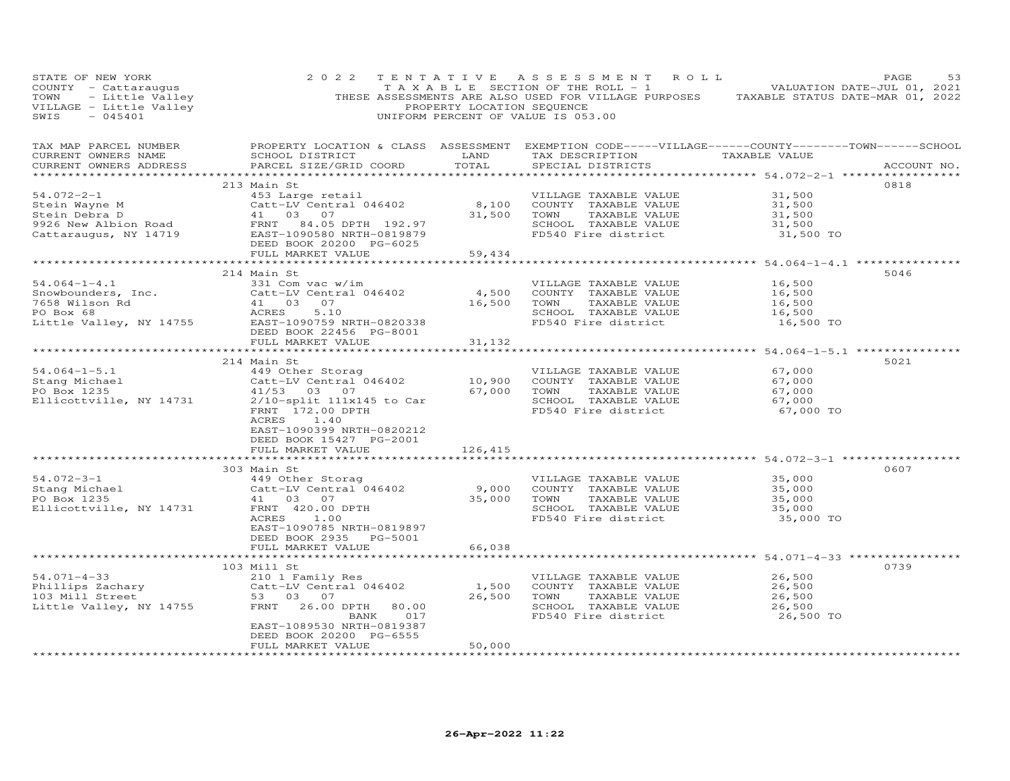| STATE OF NEW YORK                                                                                                                                                                                                 | 2 0 2 2                                                                                                                                                                                                                                                                                                                                             |                                                                                                                                 | TENTATIVE ASSESSMENT ROLL<br>TAXABLE SECTION OF THE ROLL - 1 $\sim$ 5 $\pm$ 0 VALUATION DATE-JUL 01, 2021                                                |                                                   | PAGE<br>53  |
|-------------------------------------------------------------------------------------------------------------------------------------------------------------------------------------------------------------------|-----------------------------------------------------------------------------------------------------------------------------------------------------------------------------------------------------------------------------------------------------------------------------------------------------------------------------------------------------|---------------------------------------------------------------------------------------------------------------------------------|----------------------------------------------------------------------------------------------------------------------------------------------------------|---------------------------------------------------|-------------|
| TAX MAP PARCEL NUMBER<br>CURRENT OWNERS NAME<br>CURRENT OWNERS ADDRESS                                                                                                                                            | SCHOOL DISTRICT<br>PARCEL SIZE/GRID COORD                                                                                                                                                                                                                                                                                                           | <b>EXAMPLE SERVICE SERVICE SERVICE SERVICE SERVICE SERVICE SERVICE SERVICE SERVICE SERVICE SERVICE SERVICE SERVICE</b><br>TOTAL | PROPERTY LOCATION & CLASS ASSESSMENT EXEMPTION CODE-----VILLAGE------COUNTY-------TOWN------SCHOOL<br>TAX DESCRIPTION TAXABLE VALUE<br>SPECIAL DISTRICTS |                                                   | ACCOUNT NO. |
| $54.072 - 2 - 1$<br>Stein Wayne M<br>Stein Debra D<br>9926 New Albion Road<br>Cattaraugus, NY 14719<br>Cattaraugus, NY 14719<br>ERST-1090580 NRTH-0819879<br>ERST-1090580 NRTH-0819879<br>FEED BOOK 20200 PG-6025 | 213 Main St<br>453 Large retail<br>Catt-LV Central 046402<br>EAST-1090580 NRTH-0819879<br>DEED BOOK 20200 PG-6025<br>FULL MARKET VALUE                                                                                                                                                                                                              | 31,500 TOWN<br>59,434                                                                                                           | VILLAGE TAXABLE VALUE<br>8,100 COUNTY TAXABLE VALUE<br>TAXABLE VALUE<br>SCHOOL TAXABLE VALUE<br>FD540 Fire district                                      | 31,500<br>31,500<br>31,500<br>31,500<br>31,500 TO | 0818        |
|                                                                                                                                                                                                                   | *************************                                                                                                                                                                                                                                                                                                                           |                                                                                                                                 |                                                                                                                                                          | **************** 54.064-1-4.1 **************      |             |
| $54.064 - 1 - 4.1$<br>Showbounders, Inc.<br>The Catt-LV Central 046402 4,500<br>7658 Wilson Rd 41 03 07 16,500<br>PO Box 68 ACRES 5.10<br>Little Valley, NY 14755 EAST-10907591 NRTH-0820338                      | 214 Main St<br>331 Com vac w/im<br>DEED BOOK 22456 PG-8001<br>FULL MARKET VALUE                                                                                                                                                                                                                                                                     | 16,500 TOWN<br>SCHOOL<br>FD540 Fi<br>31,132                                                                                     | VILLAGE TAXABLE VALUE<br>COUNTY TAXABLE VALUE<br>TAXABLE VALUE<br>SCHOOL TAXABLE VALUE<br>FD540 Fire district                                            | 16,500<br>16,500<br>16,500<br>16,500<br>16,500 TO | 5046        |
|                                                                                                                                                                                                                   |                                                                                                                                                                                                                                                                                                                                                     |                                                                                                                                 | ******************************** 54.064-1-5.1 ****************                                                                                           |                                                   | 5021        |
| $54.064 - 1 - 5.1$<br>Stang Michael<br>20 Por 1235<br>Ellicottville, NY 14731                                                                                                                                     | 214 Main St<br>Main St<br>449 Other Storag<br>Catt-LV Central 046402<br>41/53 03 07 67,000 TOWN TAXABLE VALUE<br>2/10-split 111x145 to Car<br>87,000 TOWN TAXABLE VALUE<br>57,000 TOWN TAXABLE VALUE<br>57,000 TOWN TAXABLE VALUE<br>FD540 Fire district<br>ACRES 1.40<br>EAST-1090399 NRTH-0820212<br>DEED BOOK 15427 PG-2001<br>FULL MARKET VALUE |                                                                                                                                 | VILLAGE TAXABLE VALUE<br>SCHOOL TAXABLE VALUE<br>FD540 Fire district                                                                                     | 67,000<br>67,000<br>67,000<br>67,000<br>67,000 TO |             |
|                                                                                                                                                                                                                   |                                                                                                                                                                                                                                                                                                                                                     | 126,415                                                                                                                         | ******************************** 54.072-3-1 *************                                                                                                |                                                   |             |
| $54.072 - 3 - 1$<br>Stang Michael Catt-LV Central 046402<br>PO Box 1235<br>Ellicottville, NY 14731<br>FRNT 420.00 DPTH                                                                                            | 303 Main St<br>Main St<br>449 Other Storag<br>Catt-LV Central 046402 9,000 COUNTY TAXABLE VALUE<br>41 03 07 35,000 TOWN TAXABLE VALUE<br>FRNT 420.00 DPTH 35,000 TOWN TAXABLE VALUE<br>FRNT 420.00 DPTH SCHOOL TAXABLE VALUE<br>FD540 Fire district<br>EAST-1090785 NRTH-0819897<br>DEED BOOK 2935 PG-5001<br>FULL MARKET VALUE                     | 66,038                                                                                                                          | VILLAGE TAXABLE VALUE<br>SCHOOL TAXABLE VALUE<br>FD540 Fire district                                                                                     | 35,000<br>35,000<br>35,000<br>35,000<br>35,000 TO | 0607        |
|                                                                                                                                                                                                                   | **************************                                                                                                                                                                                                                                                                                                                          |                                                                                                                                 | ********************************** 54.071-4-33 *****************                                                                                         |                                                   |             |
| $54.071 - 4 - 33$<br>Phillips Zachary<br>103 Mill Street<br>103 Mill Street<br>103 Mill Street<br>103 Mill Street<br>53 03 07<br>14755<br>FRNT 26.00                                                              | 103 Mill St<br>210 1 Family Res<br>Catt-LV Central 046402<br>FRNT 26.00 DPTH 80.00<br>017<br>BANK<br>EAST-1089530 NRTH-0819387<br>DEED BOOK 20200 PG-6555<br>FULL MARKET VALUE                                                                                                                                                                      | 26,500 TOWN<br>50,000                                                                                                           | VILLAGE TAXABLE VALUE<br>1,500 COUNTY TAXABLE VALUE<br>TAXABLE VALUE<br>SCHOOL TAXABLE VALUE<br>FD540 Fire district                                      | 26,500<br>26,500<br>26,500<br>26,500<br>26,500 TO | 0739        |
|                                                                                                                                                                                                                   |                                                                                                                                                                                                                                                                                                                                                     |                                                                                                                                 |                                                                                                                                                          |                                                   |             |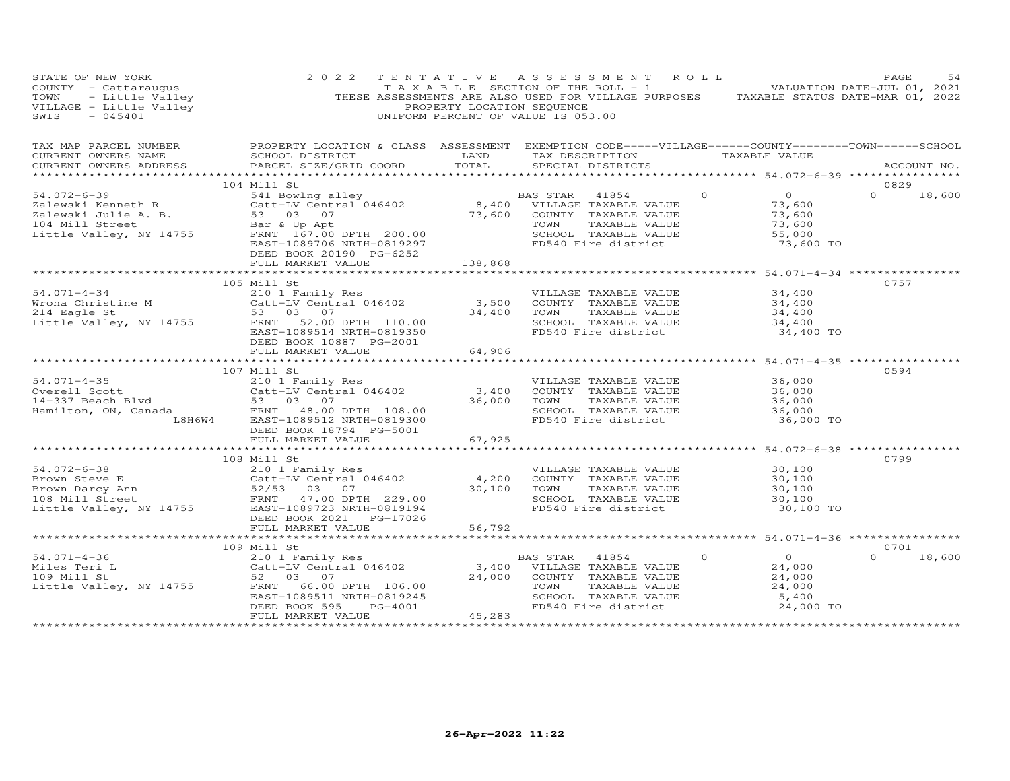| STATE OF NEW YORK<br>COUNTY - Cattaraugus<br>TOWN - Little Valley<br>VILLAGE - Little Valley<br>SWIS - 045401 | 2 0 2 2                                                                                                                                                                                                                                                                                                                                                         | PROPERTY LOCATION SEQUENCE | TENTATIVE ASSESSMENT ROLL<br>TAXABLE SECTION OF THE ROLL - 1 $\sim$ 3 J vALUATION DATE-JUL 01, 2021<br>THESE ASSESSMENTS ARE ALSO USED FOR VILLAGE PURPOSES TAXABLE STATUS DATE-MAR 01, 2022<br>UNIFORM PERCENT OF VALUE IS 053.00 |                                                  | PAGE<br>54         |
|---------------------------------------------------------------------------------------------------------------|-----------------------------------------------------------------------------------------------------------------------------------------------------------------------------------------------------------------------------------------------------------------------------------------------------------------------------------------------------------------|----------------------------|------------------------------------------------------------------------------------------------------------------------------------------------------------------------------------------------------------------------------------|--------------------------------------------------|--------------------|
| CURRENT OWNERS NAME<br>CURRENT OWNERS ADDRESS                                                                 | TAX MAP PARCEL NUMBER THE PROPERTY LOCATION & CLASS ASSESSMENT EXEMPTION CODE-----VILLAGE------COUNTY-------TOWN------SCHOOL<br>PARCEL SIZE/GRID COORD TOTAL                                                                                                                                                                                                    |                            | SCHOOL DISTRICT                      LAND        TAX DESCRIPTION                 TAXABLE VALUE<br>SPECIAL DISTRICTS                                                                                                                |                                                  | ACCOUNT NO.        |
| ***********************                                                                                       |                                                                                                                                                                                                                                                                                                                                                                 |                            |                                                                                                                                                                                                                                    |                                                  |                    |
|                                                                                                               | 104 Mill St                                                                                                                                                                                                                                                                                                                                                     |                            | $\Omega$                                                                                                                                                                                                                           | $\overline{0}$                                   | 0829               |
|                                                                                                               |                                                                                                                                                                                                                                                                                                                                                                 |                            |                                                                                                                                                                                                                                    | 73,600<br>73,600<br>73,600                       | $0 \t 18,600$      |
|                                                                                                               | DEED BOOK 20190 PG-6252                                                                                                                                                                                                                                                                                                                                         |                            | SCHOOL TAXABLE VALUE                                                                                                                                                                                                               | 55,000<br>73,600 TO                              |                    |
|                                                                                                               | FULL MARKET VALUE 138,868                                                                                                                                                                                                                                                                                                                                       |                            |                                                                                                                                                                                                                                    |                                                  |                    |
|                                                                                                               |                                                                                                                                                                                                                                                                                                                                                                 |                            |                                                                                                                                                                                                                                    |                                                  | 0757               |
|                                                                                                               |                                                                                                                                                                                                                                                                                                                                                                 |                            |                                                                                                                                                                                                                                    |                                                  |                    |
|                                                                                                               |                                                                                                                                                                                                                                                                                                                                                                 |                            |                                                                                                                                                                                                                                    |                                                  |                    |
|                                                                                                               | DEED BOOK 10887 PG-2001<br>FULL MARKET VALUE                                                                                                                                                                                                                                                                                                                    | 64,906                     | TOWN TAXABLE VALUE<br>SCHOOL TAXABLE VALUE<br>FD540 Fire district                                                                                                                                                                  | 34,400 TO                                        |                    |
|                                                                                                               | ******************************                                                                                                                                                                                                                                                                                                                                  | **********                 |                                                                                                                                                                                                                                    | *********** 54.071-4-35 ***********              |                    |
|                                                                                                               | 107 Mill St                                                                                                                                                                                                                                                                                                                                                     |                            |                                                                                                                                                                                                                                    |                                                  | 0594               |
|                                                                                                               |                                                                                                                                                                                                                                                                                                                                                                 |                            | VILLAGE TAXABLE VALUE                                                                                                                                                                                                              | 36,000                                           |                    |
|                                                                                                               |                                                                                                                                                                                                                                                                                                                                                                 |                            |                                                                                                                                                                                                                                    |                                                  |                    |
|                                                                                                               |                                                                                                                                                                                                                                                                                                                                                                 |                            |                                                                                                                                                                                                                                    |                                                  |                    |
|                                                                                                               | 54.071-4-35 210 1 Family Res<br>Overell Scott Catt-LV Central 046402<br>14-337 Beach Blvd 53 03 07<br>Hamilton, ON, Canada FRNT 48.00 DPTH 108.00<br>L8H6W4 EAST-1089512 NRTH-0819300<br>DEED BOOK 18794 PG-5001                                                                                                                                                |                            | 3,400 COUNTY TAXABLE VALUE 36,000<br>36,000 TOWN TAXABLE VALUE 36,000<br>36,000 SCHOOL TAXABLE VALUE 36,000<br>FD540 Fire district 36,000<br>SCHOOL TAXABLE VALUE<br>FD540 Fire district 56,000 TO                                 |                                                  |                    |
|                                                                                                               | FULL MARKET VALUE                                                                                                                                                                                                                                                                                                                                               | 67,925                     |                                                                                                                                                                                                                                    |                                                  |                    |
|                                                                                                               | 108 Mill St                                                                                                                                                                                                                                                                                                                                                     |                            |                                                                                                                                                                                                                                    |                                                  | 0799               |
|                                                                                                               |                                                                                                                                                                                                                                                                                                                                                                 |                            | VILLAGE TAXABLE VALUE                                                                                                                                                                                                              | 30,100                                           |                    |
|                                                                                                               | 54.072-6-38<br>Brown Steve E<br>Brown Darcy Ann<br>108 Mill Street<br>Little Valley, NY 14755<br>$\begin{array}{r}200 \text{ } \text{ } 1 \text{ } \text{ } \text{ } 2/53 \text{ } \text{ } 0 \text{ } 0 \text{ } 0 \text{ } 0 \text{ } 0 \text{ } 0 \text{ } 0 \text{ } 0 \text{ } 0 \text{ } 0 \text{ } 0 \text{ } 0 \text{ } 0 \text{ } 0 \text{ } 0 \text{$ |                            | 4,200 COUNTY TAXABLE VALUE                                                                                                                                                                                                         | 30,100                                           |                    |
|                                                                                                               |                                                                                                                                                                                                                                                                                                                                                                 |                            | TAXABLE VALUE<br>30,100 TOWN                                                                                                                                                                                                       | 30,100<br>30,100                                 |                    |
|                                                                                                               |                                                                                                                                                                                                                                                                                                                                                                 |                            | SCHOOL TAXABLE VALUE<br>FD540 Fire district                                                                                                                                                                                        |                                                  |                    |
|                                                                                                               |                                                                                                                                                                                                                                                                                                                                                                 |                            |                                                                                                                                                                                                                                    | 30,100 TO                                        |                    |
|                                                                                                               |                                                                                                                                                                                                                                                                                                                                                                 |                            |                                                                                                                                                                                                                                    |                                                  |                    |
|                                                                                                               | FULL MARKET VALUE                                                                                                                                                                                                                                                                                                                                               | 56,792                     |                                                                                                                                                                                                                                    |                                                  |                    |
|                                                                                                               |                                                                                                                                                                                                                                                                                                                                                                 |                            |                                                                                                                                                                                                                                    |                                                  | 0701               |
|                                                                                                               |                                                                                                                                                                                                                                                                                                                                                                 |                            |                                                                                                                                                                                                                                    |                                                  | $\Omega$<br>18,600 |
|                                                                                                               |                                                                                                                                                                                                                                                                                                                                                                 |                            |                                                                                                                                                                                                                                    | $\begin{array}{c}0\\24,000\end{array}$<br>24,000 |                    |
|                                                                                                               |                                                                                                                                                                                                                                                                                                                                                                 |                            |                                                                                                                                                                                                                                    | 24,000                                           |                    |
|                                                                                                               |                                                                                                                                                                                                                                                                                                                                                                 |                            |                                                                                                                                                                                                                                    |                                                  |                    |
|                                                                                                               |                                                                                                                                                                                                                                                                                                                                                                 |                            |                                                                                                                                                                                                                                    | $24,000$<br>$5,400$<br>$5,400$                   |                    |
|                                                                                                               |                                                                                                                                                                                                                                                                                                                                                                 |                            | SCHOOL TAXABLE VALUE<br>FD540 Fire district                                                                                                                                                                                        | 24,000 TO                                        |                    |
|                                                                                                               | 109 Mill St<br>Miles Teri L<br>109 Mill St<br>210 1 Family Res<br>210 1 Family Res<br>24,000 VILLAGE TAXABLE VALUE<br>24,000 COUNTY TAXABLE VALUE<br>24,000 COUNTY TAXABLE VALUE<br>24,000 COUNTY TAXABLE VALUE<br>24,000 COUNTY TAXABLE VALUE<br>                                                                                                              |                            |                                                                                                                                                                                                                                    |                                                  |                    |
|                                                                                                               |                                                                                                                                                                                                                                                                                                                                                                 |                            |                                                                                                                                                                                                                                    |                                                  |                    |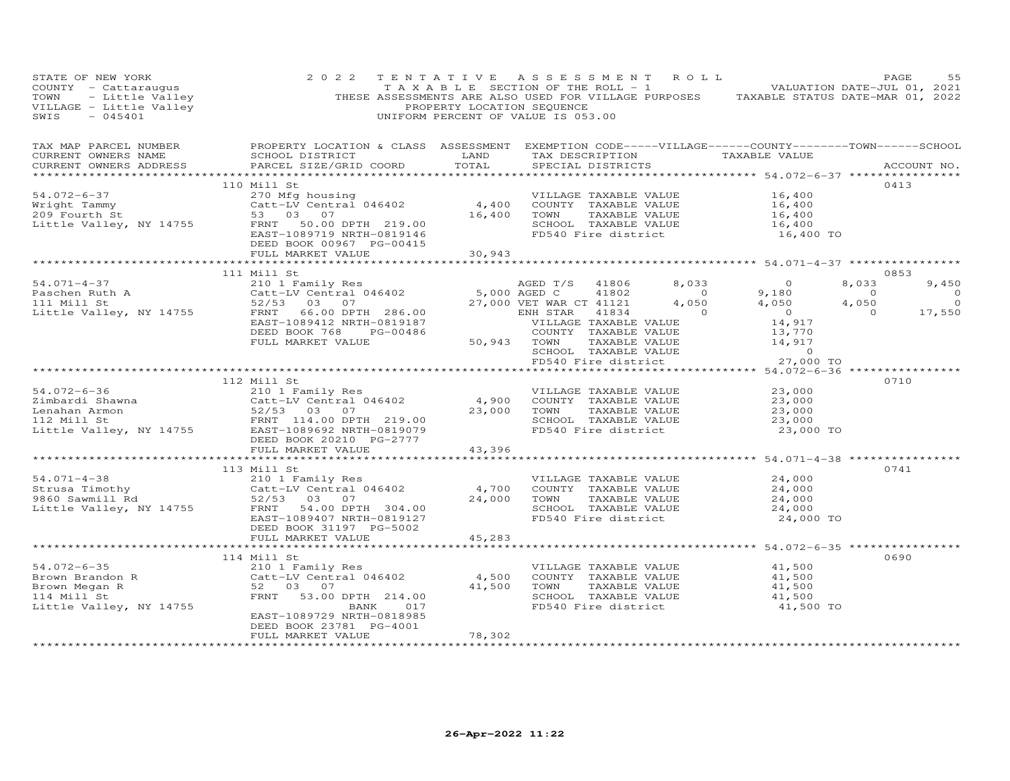| STATE OF NEW YORK                                                                                                                                                                                                                                                                                                                                                                              | 2 0 2 2                                                                                            |                               |             | TENTATIVE ASSESSMENT ROLL                     | TAXABLE SECTION OF THE ROLL - 1 VALUATION DATE-JUL 01, 2021                                                                                                        | PAGE           | 55                               |
|------------------------------------------------------------------------------------------------------------------------------------------------------------------------------------------------------------------------------------------------------------------------------------------------------------------------------------------------------------------------------------------------|----------------------------------------------------------------------------------------------------|-------------------------------|-------------|-----------------------------------------------|--------------------------------------------------------------------------------------------------------------------------------------------------------------------|----------------|----------------------------------|
| TAX MAP PARCEL NUMBER<br>CURRENT OWNERS NAME<br>CURRENT OWNERS ADDRESS                                                                                                                                                                                                                                                                                                                         | PROPERTY LOCATION & CLASS ASSESSMENT EXEMPTION CODE-----VILLAGE------COUNTY-------TOWN------SCHOOL |                               |             |                                               |                                                                                                                                                                    |                | ACCOUNT NO.                      |
|                                                                                                                                                                                                                                                                                                                                                                                                | 110 Mill St                                                                                        |                               |             |                                               |                                                                                                                                                                    | 0413           |                                  |
|                                                                                                                                                                                                                                                                                                                                                                                                |                                                                                                    |                               |             |                                               |                                                                                                                                                                    |                |                                  |
|                                                                                                                                                                                                                                                                                                                                                                                                |                                                                                                    |                               |             |                                               |                                                                                                                                                                    |                |                                  |
|                                                                                                                                                                                                                                                                                                                                                                                                |                                                                                                    |                               |             |                                               |                                                                                                                                                                    |                |                                  |
| 54.072-6-37<br>Wright Tammy<br>270 Mfg housing<br>270 Mfg housing<br>270 Mfg housing<br>270 Mfg housing<br>270 Mfg housing<br>219.00<br>219.00<br>219.00<br>219.00<br>219.00<br>219.00<br>219.00<br>219.00<br>219.00<br>219.00<br>219.00<br>219.00<br>219.00<br>219.00                                                                                                                         | DEED BOOK 00967 PG-00415                                                                           |                               |             |                                               | VILLAGE TAXABLE VALUE $16,400$<br>COUNTY TAXABLE VALUE $16,400$<br>TOWN TAXABLE VALUE $16,400$<br>SCHOOL TAXABLE VALUE $16,400$<br>FD540 Fire district $16,400$ TO |                |                                  |
|                                                                                                                                                                                                                                                                                                                                                                                                | FULL MARKET VALUE                                                                                  | 30,943                        |             |                                               |                                                                                                                                                                    |                |                                  |
|                                                                                                                                                                                                                                                                                                                                                                                                |                                                                                                    | * * * * * * * * * * * *       |             |                                               | ******************** 54.071-4-37 ****************                                                                                                                  |                |                                  |
| $\begin{tabular}{l c c c c c c c c} \multicolumn{3}{c c c c} \multicolumn{3}{c c c} \multicolumn{3}{c c c} \multicolumn{3}{c c c} \multicolumn{3}{c c c} \multicolumn{3}{c c c} \multicolumn{3}{c c c} \multicolumn{3}{c c c} \multicolumn{3}{c c c} \multicolumn{3}{c c c} \multicolumn{3}{c c c} \multicolumn{3}{c c c} \multicolumn{3}{c c c} \multicolumn{3}{c c c} \multicolumn{3}{c c c$ |                                                                                                    |                               |             |                                               |                                                                                                                                                                    | 0853<br>8,033  |                                  |
|                                                                                                                                                                                                                                                                                                                                                                                                |                                                                                                    |                               |             |                                               |                                                                                                                                                                    | $\overline{0}$ | 9,450                            |
|                                                                                                                                                                                                                                                                                                                                                                                                |                                                                                                    |                               |             |                                               |                                                                                                                                                                    | 4,050          | $\overline{0}$<br>$\overline{a}$ |
|                                                                                                                                                                                                                                                                                                                                                                                                |                                                                                                    |                               |             |                                               |                                                                                                                                                                    | $\overline{O}$ | 17,550                           |
|                                                                                                                                                                                                                                                                                                                                                                                                |                                                                                                    |                               |             |                                               |                                                                                                                                                                    |                |                                  |
|                                                                                                                                                                                                                                                                                                                                                                                                |                                                                                                    |                               |             |                                               |                                                                                                                                                                    |                |                                  |
|                                                                                                                                                                                                                                                                                                                                                                                                |                                                                                                    |                               |             |                                               |                                                                                                                                                                    |                |                                  |
|                                                                                                                                                                                                                                                                                                                                                                                                |                                                                                                    |                               |             |                                               |                                                                                                                                                                    |                |                                  |
|                                                                                                                                                                                                                                                                                                                                                                                                |                                                                                                    |                               |             |                                               |                                                                                                                                                                    |                |                                  |
|                                                                                                                                                                                                                                                                                                                                                                                                |                                                                                                    |                               |             |                                               | ********** 54.072-6-36 ***************                                                                                                                             |                |                                  |
|                                                                                                                                                                                                                                                                                                                                                                                                | 112 Mill St                                                                                        |                               |             |                                               |                                                                                                                                                                    | 0710           |                                  |
|                                                                                                                                                                                                                                                                                                                                                                                                |                                                                                                    |                               |             | VILLAGE TAXABLE VALUE                         | 23,000                                                                                                                                                             |                |                                  |
|                                                                                                                                                                                                                                                                                                                                                                                                |                                                                                                    |                               |             | 4,900 COUNTY TAXABLE VALUE                    | 23,000                                                                                                                                                             |                |                                  |
|                                                                                                                                                                                                                                                                                                                                                                                                |                                                                                                    |                               | 23,000 TOWN | TAXABLE VALUE                                 | 23,000<br>23,000                                                                                                                                                   |                |                                  |
|                                                                                                                                                                                                                                                                                                                                                                                                |                                                                                                    |                               |             | SCHOOL TAXABLE VALUE                          |                                                                                                                                                                    |                |                                  |
| 54.072-6-36<br>Zimbardi Shawna<br>Lenahan Armon 52/53 03 07 23,000<br>112 Mill St FRNT 114.00 DPTH 219.00<br>Little Valley, NY 14755 EAST-1089692 NRTH-0819079<br>EXET-1089692 NRTH-0819079<br>DEED BOOK 20210 PG-2777                                                                                                                                                                         |                                                                                                    |                               |             | FD540 Fire district                           | 23,000 TO                                                                                                                                                          |                |                                  |
|                                                                                                                                                                                                                                                                                                                                                                                                | FULL MARKET VALUE                                                                                  | 43,396                        |             |                                               |                                                                                                                                                                    |                |                                  |
|                                                                                                                                                                                                                                                                                                                                                                                                |                                                                                                    |                               |             |                                               |                                                                                                                                                                    |                |                                  |
|                                                                                                                                                                                                                                                                                                                                                                                                | 113 Mill St                                                                                        |                               |             |                                               |                                                                                                                                                                    | 0741           |                                  |
|                                                                                                                                                                                                                                                                                                                                                                                                |                                                                                                    |                               |             | VILLAGE TAXABLE VALUE<br>COUNTY TAXABLE VALUE | 24,000<br>24,000                                                                                                                                                   |                |                                  |
|                                                                                                                                                                                                                                                                                                                                                                                                |                                                                                                    |                               | 24,000 TOWN |                                               | 24,000                                                                                                                                                             |                |                                  |
|                                                                                                                                                                                                                                                                                                                                                                                                |                                                                                                    |                               |             | TAXABLE VALUE<br>SCHOOL TAXABLE VALUE         | 24,000                                                                                                                                                             |                |                                  |
| 54.071-4-38<br>Strusa Timothy<br>9860 Sawmill Rd<br>14755 ENT 169.00 DETH 304.00<br>14700 Eittle Valley, NY 14755 FRNT 164.00 DETH 304.00                                                                                                                                                                                                                                                      | EAST-1089407 NRTH-0819127                                                                          |                               |             | FD540 Fire district                           | 24,000 TO                                                                                                                                                          |                |                                  |
|                                                                                                                                                                                                                                                                                                                                                                                                | DEED BOOK 31197 PG-5002                                                                            |                               |             |                                               |                                                                                                                                                                    |                |                                  |
|                                                                                                                                                                                                                                                                                                                                                                                                | FULL MARKET VALUE                                                                                  | 45,283                        |             |                                               |                                                                                                                                                                    |                |                                  |
|                                                                                                                                                                                                                                                                                                                                                                                                |                                                                                                    |                               |             |                                               |                                                                                                                                                                    |                |                                  |
|                                                                                                                                                                                                                                                                                                                                                                                                | 114 Mill St                                                                                        |                               |             |                                               |                                                                                                                                                                    | 0690           |                                  |
| $54.072 - 6 - 35$                                                                                                                                                                                                                                                                                                                                                                              |                                                                                                    |                               |             | VILLAGE TAXABLE VALUE                         | 41,500                                                                                                                                                             |                |                                  |
| 54.072-6-35<br>Brown Brandon R<br>Brown Megan R<br>114 Mill St                                                                                                                                                                                                                                                                                                                                 | MIII St<br>210 1 Family Res<br>Catt-LV Central 046402                                              | 4,500                         |             | COUNTY TAXABLE VALUE                          | 41,500                                                                                                                                                             |                |                                  |
|                                                                                                                                                                                                                                                                                                                                                                                                | 52 03 07                                                                                           |                               | 41,500 TOWN | TAXABLE VALUE                                 | 41,500                                                                                                                                                             |                |                                  |
|                                                                                                                                                                                                                                                                                                                                                                                                | FRNT 53.00 DPTH 214.00                                                                             |                               |             | SCHOOL TAXABLE VALUE                          | 41,500                                                                                                                                                             |                |                                  |
| Little Valley, NY 14755                                                                                                                                                                                                                                                                                                                                                                        | BANK 017                                                                                           |                               |             | FD540 Fire district                           | 41,500 TO                                                                                                                                                          |                |                                  |
|                                                                                                                                                                                                                                                                                                                                                                                                | EAST-1089729 NRTH-0818985                                                                          |                               |             |                                               |                                                                                                                                                                    |                |                                  |
|                                                                                                                                                                                                                                                                                                                                                                                                | DEED BOOK 23781 PG-4001                                                                            |                               |             |                                               |                                                                                                                                                                    |                |                                  |
|                                                                                                                                                                                                                                                                                                                                                                                                | FULL MARKET VALUE                                                                                  | 78,302<br>******************* |             |                                               |                                                                                                                                                                    |                |                                  |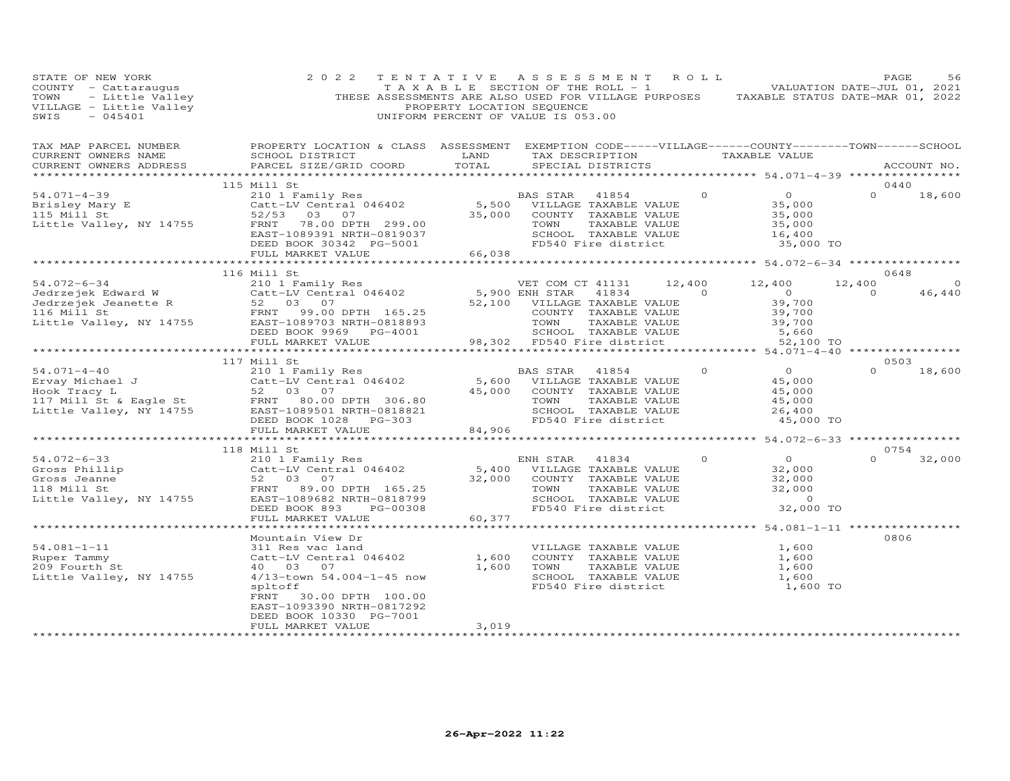| STATE OF NEW YORK<br>STATE OF NEW YORK<br>COUNTY - Cattaraugus and the SECTION OF THE ROLL - 1<br>TOWN - Little Valley THESE ASSESSMENTS ARE ALSO USED FOR VILLAGE PURPOSES TAXABLE STATUS DATE-MAR 01, 2022<br>THESE ASSESSMENTS ARE ALSO USED FOR VILLA | 2 0 2 2                                                                                                                                                                                                                                                    |                                           | TENTATIVE ASSESSMENT ROLL                                                                                                                                                                                                                      |                                                                   | PAGE                           | 56     |
|-----------------------------------------------------------------------------------------------------------------------------------------------------------------------------------------------------------------------------------------------------------|------------------------------------------------------------------------------------------------------------------------------------------------------------------------------------------------------------------------------------------------------------|-------------------------------------------|------------------------------------------------------------------------------------------------------------------------------------------------------------------------------------------------------------------------------------------------|-------------------------------------------------------------------|--------------------------------|--------|
| CURRENT OWNERS ADDRESS                                                                                                                                                                                                                                    | PARCEL SIZE/GRID COORD                                                                                                                                                                                                                                     |                                           | LAND TAX DESCRIPTION TAXABLE VALUE<br>TOTAL SPECIAL DISTRICTS                                                                                                                                                                                  |                                                                   | ACCOUNT NO.                    |        |
|                                                                                                                                                                                                                                                           | 115 Mill St                                                                                                                                                                                                                                                |                                           |                                                                                                                                                                                                                                                |                                                                   | 0440                           |        |
|                                                                                                                                                                                                                                                           |                                                                                                                                                                                                                                                            |                                           |                                                                                                                                                                                                                                                | 35,000 TO                                                         | $\Omega$                       | 18,600 |
|                                                                                                                                                                                                                                                           | FULL MARKET VALUE                                                                                                                                                                                                                                          | 66,038                                    |                                                                                                                                                                                                                                                |                                                                   |                                |        |
|                                                                                                                                                                                                                                                           |                                                                                                                                                                                                                                                            |                                           |                                                                                                                                                                                                                                                |                                                                   |                                |        |
| 116 Mill St<br>54.072-6-34 210 1 Family Res<br>Jedrzejek Edward W Catt-LV Central 046402 5,900 ENH STAR<br>Jedrzejek Jeanette R 52 03 07 52,100 VILLAGE<br>116 Mill St FRNT 99.00 DPTH 165.25 COUNTY<br>Little Valley, NY 14755 EAST-108                  |                                                                                                                                                                                                                                                            |                                           | VET COM CT 41131 12,400 12,400<br>41834 0<br>5,900 ENH STAR 41834 0 0<br>52,100 VILLAGE TAXABLE VALUE 39,700<br>COUNTY TAXABLE VALUE 39,700<br>TOWN TAXABLE VALUE 39,700<br>SCHOOL TAXABLE VALUE 5,660<br>98,302 FD540 Fire district 52,100 TO |                                                                   | 0648<br>$12,400$ 0<br>$\Omega$ | 46,440 |
|                                                                                                                                                                                                                                                           |                                                                                                                                                                                                                                                            |                                           |                                                                                                                                                                                                                                                |                                                                   |                                |        |
|                                                                                                                                                                                                                                                           |                                                                                                                                                                                                                                                            |                                           |                                                                                                                                                                                                                                                |                                                                   | 0.503                          |        |
|                                                                                                                                                                                                                                                           |                                                                                                                                                                                                                                                            |                                           |                                                                                                                                                                                                                                                | $0$ 0<br>45,000<br>$\frac{45,000}{45,000}$<br>26,400<br>45,000 TO | $0 \t 18,600$                  |        |
|                                                                                                                                                                                                                                                           |                                                                                                                                                                                                                                                            |                                           |                                                                                                                                                                                                                                                | ***************** 54.072-6-33 *****************                   |                                |        |
|                                                                                                                                                                                                                                                           | 118 Mill St                                                                                                                                                                                                                                                |                                           |                                                                                                                                                                                                                                                |                                                                   | 0754                           |        |
| 54.072-6-33<br>Gross Phillip<br>Gross Jeanne<br>Gross Jeanne<br>Section of the Same<br>Section of the Same<br>Section of the Same<br>Section of the Same<br>Section of the Same<br>Section of the Same<br>Section of the Same<br>Section of the Same      |                                                                                                                                                                                                                                                            |                                           | COUNTY TAXABLE VALUE<br>TOWN TAXABLE VALUE 32,000<br>TOWN TAXABLE VALUE 32,000<br>SCHOOL TAXABLE VALUE 0<br>FD540 Fire district 32,000 TO                                                                                                      | $\begin{array}{c} 0 \\ 32,000 \end{array}$                        | $0 \t 32,000$                  |        |
|                                                                                                                                                                                                                                                           | FULL MARKET VALUE                                                                                                                                                                                                                                          | 60,377<br>* * * * * * * * * * * * * * * * |                                                                                                                                                                                                                                                |                                                                   |                                |        |
| $54.081 - 1 - 11$<br>Ruper Tammy<br>209 Fourth St<br>Little Valley, NY 14755                                                                                                                                                                              | Mountain View Dr<br>Mountain View Dr<br>311 Res vac land<br>Catt-LV Central 046402 1,600<br>40 03 07 1,600<br>1,600<br>1,600<br>1,600<br>spltoff<br>FRNT<br>30.00 DPTH 100.00<br>EAST-1093390 NRTH-0817292<br>DEED BOOK 10330 PG-7001<br>FULL MARKET VALUE | 3,019                                     | VILLAGE TAXABLE VALUE<br>COUNTY TAXABLE VALUE $1,600$<br>TOWN TAXABLE VALUE $1,600$<br>1,600<br>SCHOOL TAXABLE VALUE $1,600$<br>FD540 Fire district $1,600$ TO                                                                                 | 1,600                                                             | 0806                           |        |
|                                                                                                                                                                                                                                                           |                                                                                                                                                                                                                                                            |                                           |                                                                                                                                                                                                                                                |                                                                   |                                |        |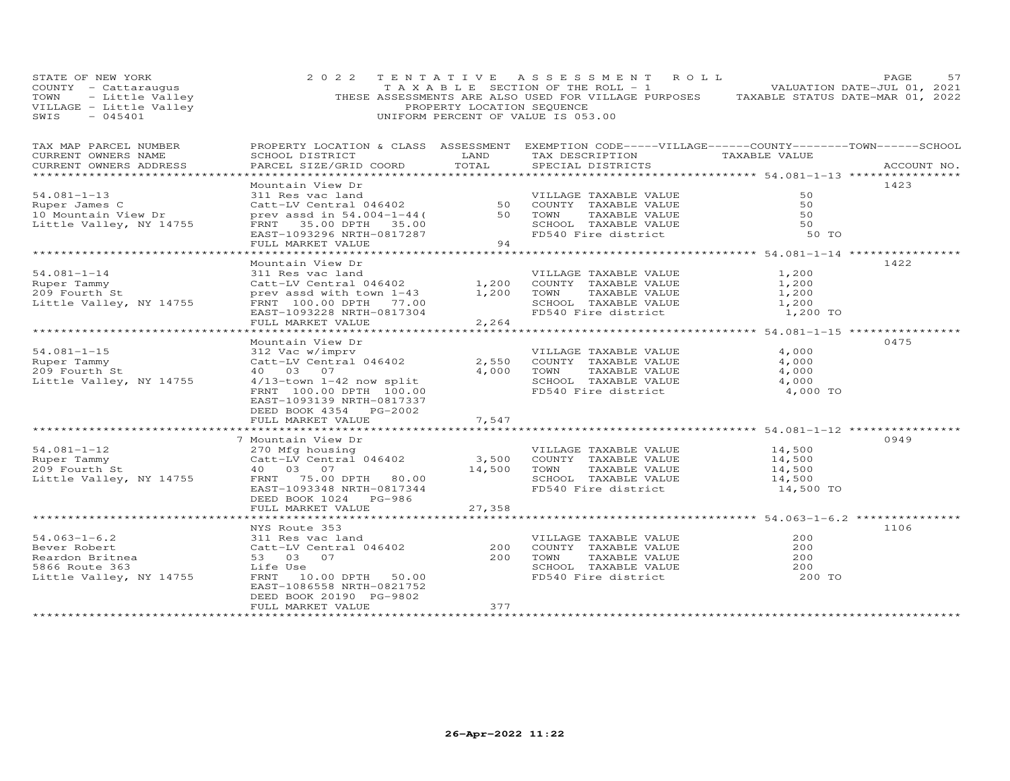| STATE OF NEW YORK<br>TAXABLE SECTION OF THE ROLL - 1 VALUATION DATE-JUL 01, 2021<br>TOWN - Little Valley (THESE ASSESSMENTS ARE ALSO USED FOR VILLAGE PURPOSES TAXABLE STATUS DATE-MAR 01, 2022<br>VILLAGE - Little Valley (PROPERTY LOCATION SEQUENCE) ( | 2 0 2 2                                                                                                                                                                                                        |                       | TENTATIVE ASSESSMENT ROLL                                                                                                                                                                                                                     |                                                     | PAGE<br>57  |
|-----------------------------------------------------------------------------------------------------------------------------------------------------------------------------------------------------------------------------------------------------------|----------------------------------------------------------------------------------------------------------------------------------------------------------------------------------------------------------------|-----------------------|-----------------------------------------------------------------------------------------------------------------------------------------------------------------------------------------------------------------------------------------------|-----------------------------------------------------|-------------|
| TAX MAP PARCEL NUMBER<br>CURRENT OWNERS NAME<br>CURRENT OWNERS ADDRESS<br>**********************                                                                                                                                                          | SCHOOL DISTRICT<br>PARCEL SIZE/GRID COORD                                                                                                                                                                      | TOTAL                 | PROPERTY LOCATION & CLASS ASSESSMENT EXEMPTION CODE-----VILLAGE------COUNTY-------TOWN------SCHOOL<br>LAND TAX DESCRIPTION TAXABLE VALUE<br>SPECIAL DISTRICTS                                                                                 |                                                     | ACCOUNT NO. |
| $54.081 - 1 - 13$<br>Ruper James C<br>10 Mountain View Dr<br>Little Valley, NY 14755                                                                                                                                                                      | Mountain View Dr<br>FULL MARKET VALUE                                                                                                                                                                          | 94                    | FOR TAXABLE VALUE<br>311 Res vac land<br>311 Res vac land<br>50 COUNTY TAXABLE VALUE<br>prev assd in 54.004-1-44( 50 TOWN TAXABLE VALUE<br>FRNT 35.00 DPTH 35.00<br>EAST-1093296 NRTH-0817287<br>FID540 Fire district<br>FID540 Fire district | 50<br>50<br>50<br>50<br>50 TO                       | 1423        |
|                                                                                                                                                                                                                                                           | Mountain View Dr                                                                                                                                                                                               |                       |                                                                                                                                                                                                                                               |                                                     | 1422        |
| $54.081 - 1 - 14$<br>Ruper Tammy<br>209 Fourth St<br>Little Valley, NY 14755                                                                                                                                                                              | 311 Res vac land<br>Catt-LV Central 046402<br>prev assd with town 1-43 1,200 TOWN<br>FRNT 100.00 DPTH 77.00<br>EAST-1093228 NRTH-0817304<br>FULL MARKET VALUE                                                  | 2,264                 | VILLAGE TAXABLE VALUE<br>1,200 COUNTY TAXABLE VALUE<br>TAXABLE VALUE<br>SCHOOL TAXABLE VALUE<br>FD540 Fire district                                                                                                                           | 1,200<br>1,200<br>1,200<br>1,200<br>1,200 TO        |             |
|                                                                                                                                                                                                                                                           |                                                                                                                                                                                                                |                       | ********************************* 54.081-1-15 **************                                                                                                                                                                                  |                                                     |             |
| $54.081 - 1 - 15$<br>Ruper Tammy<br>209 Fourth St<br>Little Valley, NY 14755                                                                                                                                                                              | Mountain View Dr<br>312 Vac w/imprv<br>Catt-LV Central 046402<br>40  03  07<br>4/13-town 1-42 now split<br>FRNT 100.00 DPTH 100.00<br>EAST-1093139 NRTH-0817337<br>DEED BOOK 4354 PG-2002<br>FULL MARKET VALUE | 7,547                 | VILLAGE TAXABLE VALUE<br>2,550 COUNTY TAXABLE VALUE<br>4,000 TOWN<br>TOWN      TAXABLE VALUE<br>SCHOOL   TAXABLE VALUE<br>FD540 Fire district                                                                                                 | 4,000<br>4,000<br>$\frac{4,000}{4,000}$<br>4,000 TO | 0475        |
|                                                                                                                                                                                                                                                           |                                                                                                                                                                                                                | **********            |                                                                                                                                                                                                                                               | *********************** 54.081-1-12 *************   |             |
| $54.081 - 1 - 12$<br>Ruper Tammy<br>209 Fourth St<br>Little Valley, NY 14755                                                                                                                                                                              | 7 Mountain View Dr<br>270 Mfg housing<br>Catt-LV Central 046402<br>40 03 07<br>FRNT 75.00 DPTH 80.00<br>EAST-1093348 NRTH-0817344<br>DEED BOOK 1024 PG-986<br>FULL MARKET VALUE                                | 14,500 TOWN<br>27,358 | VILLAGE TAXABLE VALUE<br>3,500 COUNTY TAXABLE VALUE<br>TAXABLE VALUE<br>SCHOOL TAXABLE VALUE<br>FD540 Fire district                                                                                                                           | 14,500<br>14,500<br>14,500<br>14,500<br>14,500 TO   | 0949        |
|                                                                                                                                                                                                                                                           |                                                                                                                                                                                                                | ***********           |                                                                                                                                                                                                                                               | ************** 54.063-1-6.2 ***********             |             |
| x***<br>NYS Route :<br>311 Res vac<br>311 Res vac<br>311 Res vac<br>Catt-LV Cent<br>53 03 07<br>Life Use<br>Life Use<br>FRNT<br>***                                                                                                                       | NYS Route 353<br>311 Res vac land<br>EAST-1086558 NRTH-0821752<br>DEED BOOK 20190 PG-9802                                                                                                                      |                       | VILLAGE TAXABLE VALUE<br>COUNTY TAXABLE VALUE<br>TAXABLE VALUE<br>SCHOOL TAXABLE VALUE<br>FD540 Fire district                                                                                                                                 | 200<br>200<br>200<br>200<br>200 TO                  | 1106        |
|                                                                                                                                                                                                                                                           | FULL MARKET VALUE                                                                                                                                                                                              | 377                   |                                                                                                                                                                                                                                               |                                                     |             |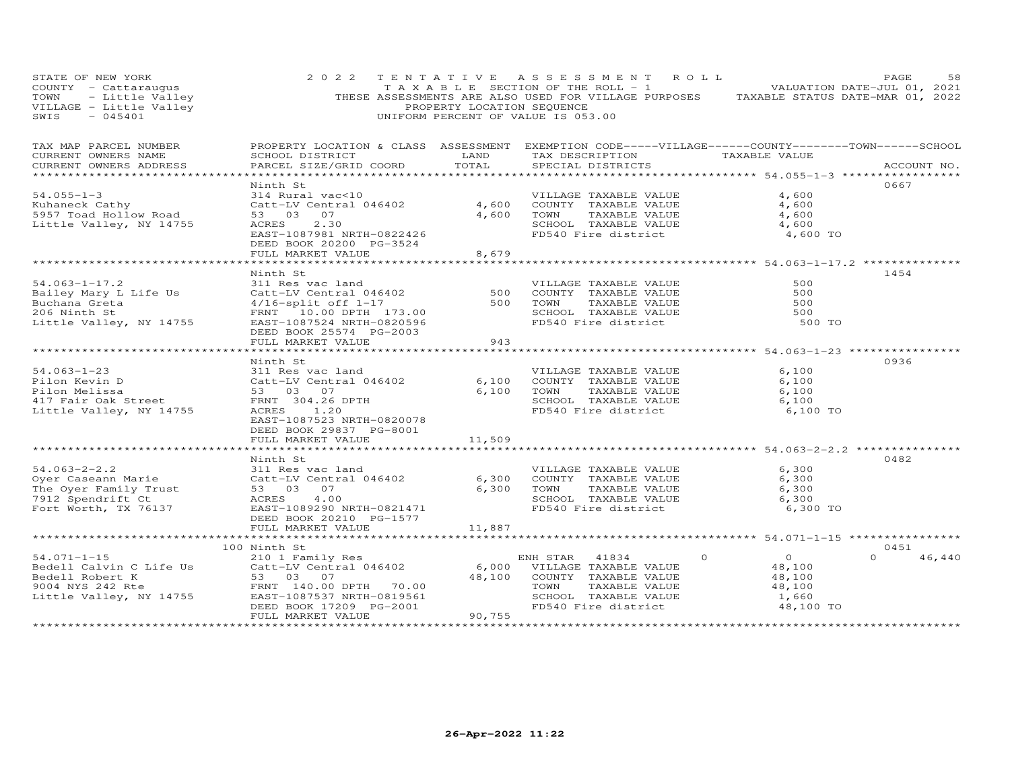| STATE OF NEW YORK<br>COUNTY - Cattaraugus<br>TOWN - Little Valley<br>VILLAGE - Little Valley<br>SWIS - 045401<br>SWIS<br>$-045401$ | 2 0 2 2                                                                                                                                                          | PROPERTY LOCATION SEQUENCE    | TENTATIVE ASSESSMENT ROLL<br>TAXABLE SECTION OF THE ROLL - 1 VALUATION DATE-JUL 01, 2021<br>THESE ASSESSMENTS ARE ALSO USED FOR VILLAGE PURPOSES<br>UNIFORM PERCENT OF VALUE IS 053.00                                         |                                                                    | PAGE<br>58<br>TAXABLE STATUS DATE-MAR 01, 2022 |
|------------------------------------------------------------------------------------------------------------------------------------|------------------------------------------------------------------------------------------------------------------------------------------------------------------|-------------------------------|--------------------------------------------------------------------------------------------------------------------------------------------------------------------------------------------------------------------------------|--------------------------------------------------------------------|------------------------------------------------|
| TAX MAP PARCEL NUMBER<br>CURRENT OWNERS NAME<br>CURRENT OWNERS ADDRESS<br>******************                                       | SCHOOL DISTRICT<br>PARCEL SIZE/GRID COORD                                                                                                                        | LAND<br>TOTAL                 | PROPERTY LOCATION & CLASS ASSESSMENT EXEMPTION CODE-----VILLAGE------COUNTY--------TOWN------SCHOOL<br>TAX DESCRIPTION TAXABLE VALUE<br>SPECIAL DISTRICTS<br>*********************************** 54.055–1–3 ****************** |                                                                    | ACCOUNT NO.                                    |
| $54.055 - 1 - 3$<br>Kuhaneck Cathy<br>5957 Toad Hollow Road<br>Little Valley, NY 14755                                             | Ninth St<br>314 Rural vac<10<br>Catt-LV Central 046402<br>53 03 07<br>2.30<br>ACRES<br>EAST-1087981 NRTH-0822426<br>DEED BOOK 20200 PG-3524<br>FULL MARKET VALUE | 4,600<br>4,600<br>8,679       | VILLAGE TAXABLE VALUE<br>COUNTY TAXABLE VALUE<br>TAXABLE VALUE<br>TOWN<br>SCHOOL TAXABLE VALUE<br>FD540 Fire district                                                                                                          | 4,600<br>4,600<br>4,600<br>4,600<br>4,600 TO                       | 0667                                           |
|                                                                                                                                    |                                                                                                                                                                  |                               |                                                                                                                                                                                                                                |                                                                    |                                                |
| $54.063 - 1 - 17.2$<br>Bailey Mary L Life Us<br>Buchana Greta<br>206 Ninth St<br>Little Valley, NY 14755                           | Ninth St<br>311 Res vac land<br>Catt-LV Central 046402<br>4/16-split off 1-17<br>FRNT 10.00 DPTH 173.00<br>EAST-1087524 NRTH-0820596<br>DEED BOOK 25574 PG-2003  | 500<br>500                    | VILLAGE TAXABLE VALUE<br>COUNTY TAXABLE VALUE<br>TOWN<br>TAXABLE VALUE<br>SCHOOL TAXABLE VALUE<br>FD540 Fire district                                                                                                          | 500<br>500<br>500<br>500<br>500 TO                                 | 1454                                           |
|                                                                                                                                    | FULL MARKET VALUE                                                                                                                                                | 943                           |                                                                                                                                                                                                                                |                                                                    |                                                |
|                                                                                                                                    |                                                                                                                                                                  |                               |                                                                                                                                                                                                                                |                                                                    |                                                |
|                                                                                                                                    | Ninth St                                                                                                                                                         |                               |                                                                                                                                                                                                                                |                                                                    | 0936                                           |
| $54.063 - 1 - 23$<br>Pilon Kevin D<br>Pilon Melissa<br>417 Fair Oak Street<br>Little Valley, NY 14755                              | 311 Res vac land<br>Catt-LV Central 046402<br>53 03 07<br>FRNT 304.26 DPTH<br>ACRES 1.20<br>EAST-1087523 NRTH-0820078                                            | 6,100<br>6,100                | VILLAGE TAXABLE VALUE<br>COUNTY TAXABLE VALUE<br>TOWN<br>TAXABLE VALUE<br>SCHOOL TAXABLE VALUE<br>FD540 Fire district                                                                                                          | 6,100<br>6,100<br>6,100<br>6,100<br>6,100 TO                       |                                                |
|                                                                                                                                    | DEED BOOK 29837 PG-8001                                                                                                                                          |                               |                                                                                                                                                                                                                                |                                                                    |                                                |
|                                                                                                                                    | FULL MARKET VALUE<br>***************************<br>Ninth St                                                                                                     | 11,509<br>*************       | ******************************** 54.063-2-2.2 ****************                                                                                                                                                                 |                                                                    | 0482                                           |
| $54.063 - 2 - 2.2$<br>Oyer Caseann Marie<br>The Oyer Family Trust<br>7912 Spendrift Ct<br>Fort Worth, TX 76137                     | 311 Res vac land<br>Catt-LV Central 046402<br>53 03 07<br>ACRES<br>4.00<br>EAST-1089290 NRTH-0821471<br>DEED BOOK 20210 PG-1577                                  | 6,300<br>6,300                | VILLAGE TAXABLE VALUE<br>COUNTY TAXABLE VALUE<br>TOWN<br>TAXABLE VALUE<br>SCHOOL TAXABLE VALUE<br>FD540 Fire district                                                                                                          | 6,300<br>6,300<br>6,300<br>6,300<br>6,300 TO                       |                                                |
|                                                                                                                                    | FULL MARKET VALUE                                                                                                                                                | 11,887                        |                                                                                                                                                                                                                                |                                                                    |                                                |
|                                                                                                                                    |                                                                                                                                                                  |                               |                                                                                                                                                                                                                                |                                                                    |                                                |
|                                                                                                                                    | 100 Ninth St                                                                                                                                                     |                               |                                                                                                                                                                                                                                |                                                                    | 0451                                           |
| $54.071 - 1 - 15$<br>Bedell Calvin C Life Us<br>Bedell Robert K<br>9004 NYS 242 Rte<br>Little Valley, NY 14755                     | 210 1 Family Res<br>Catt-LV Central 046402<br>53 03 07<br>FRNT 140.00 DPTH 70.00<br>EAST-1087537 NRTH-0819561<br>DEED BOOK 17209 PG-2001                         | 48,100                        | $\Omega$<br>ENH STAR 41834<br>6,000 VILLAGE TAXABLE VALUE<br>COUNTY TAXABLE VALUE<br>TAXABLE VALUE<br>TOWN<br>SCHOOL TAXABLE VALUE<br>FD540 Fire district                                                                      | $\overline{0}$<br>48,100<br>48,100<br>48,100<br>1,660<br>48,100 TO | 46,440<br>$\Omega$                             |
|                                                                                                                                    | FULL MARKET VALUE<br>**********************                                                                                                                      | 90,755<br>******************* |                                                                                                                                                                                                                                |                                                                    |                                                |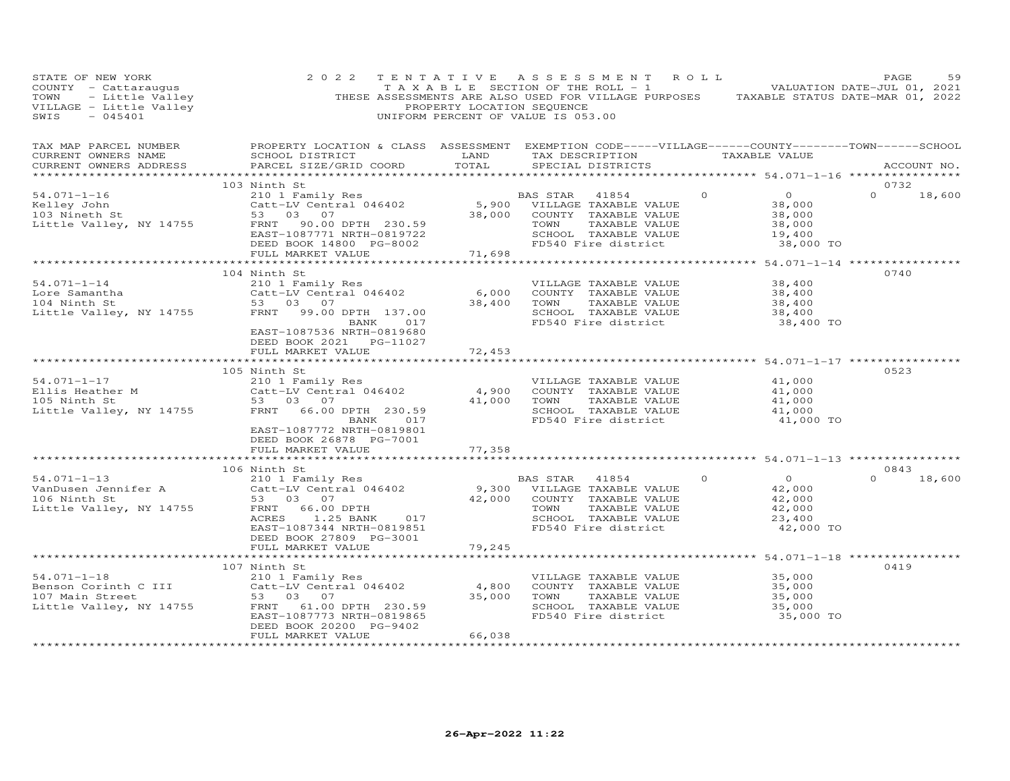| STATE OF NEW YORK<br>COUNTY - Cattaraugus<br>- Little Valley<br>- Little Valley<br>- 045401<br>TOWN<br>VILLAGE - Little Valley<br>SWIS<br>$-045401$ | 2 0 2 2                                                                                                                                                                        | PROPERTY LOCATION SEQUENCE | TENTATIVE ASSESSMENT<br>$T A X A B L E$ SECTION OF THE ROLL - 1 VALUATION DATE-JUL 01, 2021<br>THESE ASSESSMENTS ARE ALSO USED FOR VILLAGE PURPOSES TAXABLE STATUS DATE-MAR 01, 2022<br>UNIFORM PERCENT OF VALUE IS 053.00 | R O L L  |                                                                     | PAGE                  | 59          |
|-----------------------------------------------------------------------------------------------------------------------------------------------------|--------------------------------------------------------------------------------------------------------------------------------------------------------------------------------|----------------------------|----------------------------------------------------------------------------------------------------------------------------------------------------------------------------------------------------------------------------|----------|---------------------------------------------------------------------|-----------------------|-------------|
| TAX MAP PARCEL NUMBER<br>CURRENT OWNERS NAME<br>CURRENT OWNERS ADDRESS                                                                              | PROPERTY LOCATION & CLASS ASSESSMENT EXEMPTION CODE-----VILLAGE------COUNTY-------TOWN------SCHOOL<br>SCHOOL DISTRICT<br>PARCEL SIZE/GRID COORD                                | LAND<br>TOTAL              | TAX DESCRIPTION<br>SPECIAL DISTRICTS                                                                                                                                                                                       |          | TAXABLE VALUE                                                       |                       | ACCOUNT NO. |
|                                                                                                                                                     | 103 Ninth St                                                                                                                                                                   |                            |                                                                                                                                                                                                                            |          |                                                                     | 0732                  |             |
| $54.071 - 1 - 16$<br>Kelley John<br>103 Nineth St<br>Little Valley, NY 14755                                                                        | 210 1 Family Res<br>Catt-LV Central 046402<br>53 03 07<br>90.00 DPTH 230.59<br>FRNT<br>EAST-1087771 NRTH-0819722<br>DEED BOOK 14800 PG-8002<br>FULL MARKET VALUE               | 38,000<br>71,698           | BAS STAR<br>41854<br>5,900 VILLAGE TAXABLE VALUE<br>COUNTY TAXABLE VALUE<br>TOWN<br>TAXABLE VALUE<br>SCHOOL TAXABLE VALUE<br>FD540 Fire district                                                                           | $\circ$  | $\overline{O}$<br>38,000<br>38,000<br>38,000<br>19,400<br>38,000 TO | $\Omega$              | 18,600      |
|                                                                                                                                                     |                                                                                                                                                                                | ************               |                                                                                                                                                                                                                            |          | *************** 54.071-1-14 *****************                       |                       |             |
| $54.071 - 1 - 14$<br>Lore Samantha<br>104 Ninth St<br>Little Valley, NY 14755                                                                       | 104 Ninth St<br>210 1 Family Res<br>Catt-LV Central 046402<br>53 03 07<br>FRNT 99.00 DPTH 137.00<br>BANK 017<br>EAST-1087536 NRTH-0819680<br>DEED BOOK 2021 PG-11027           | 6,000<br>38,400            | VILLAGE TAXABLE VALUE<br>COUNTY TAXABLE VALUE<br>TOWN<br>TAXABLE VALUE<br>SCHOOL TAXABLE VALUE<br>FD540 Fire district                                                                                                      |          | 38,400<br>38,400<br>38,400<br>38,400<br>38,400 TO                   | 0740                  |             |
|                                                                                                                                                     | FULL MARKET VALUE                                                                                                                                                              | 72,453                     |                                                                                                                                                                                                                            |          |                                                                     |                       |             |
|                                                                                                                                                     | ******************************                                                                                                                                                 |                            | ********************************* 54.071-1-17 ****************                                                                                                                                                             |          |                                                                     |                       |             |
| $54.071 - 1 - 17$<br>Ellis Heather M<br>105 Ninth St<br>Little Valley, NY 14755                                                                     | 105 Ninth St<br>53 03 07<br>FRNT 66.00 DPTH 230.59<br>BANK<br>017<br>EAST-1087772 NRTH-0819801<br>DEED BOOK 26878 PG-7001                                                      | 4,900<br>41,000            | VILLAGE TAXABLE VALUE<br>COUNTY TAXABLE VALUE<br>TAXABLE VALUE<br>TOWN<br>SCHOOL TAXABLE VALUE<br>FD540 Fire district                                                                                                      |          | 41,000<br>41,000<br>41,000<br>41,000<br>41,000 TO                   | 0523                  |             |
|                                                                                                                                                     | FULL MARKET VALUE                                                                                                                                                              | 77,358                     |                                                                                                                                                                                                                            |          |                                                                     |                       |             |
|                                                                                                                                                     |                                                                                                                                                                                |                            |                                                                                                                                                                                                                            |          |                                                                     |                       |             |
| $54.071 - 1 - 13$<br>VanDusen Jennifer A<br>106 Ninth St<br>Little Valley, NY 14755                                                                 | 106 Ninth St<br>210 1 Family Res<br>Catt-LV Central 046402<br>53 03 07<br>FRNT 66.00 DPTH<br>1.25 BANK<br>ACRES<br>017<br>EAST-1087344 NRTH-0819851<br>DEED BOOK 27809 PG-3001 | 42,000                     | BAS STAR<br>41854<br>9,300 VILLAGE TAXABLE VALUE<br>COUNTY TAXABLE VALUE<br>TOWN<br>TAXABLE VALUE<br>SCHOOL TAXABLE VALUE<br>FD540 Fire district                                                                           | $\Omega$ | $\overline{O}$<br>42,000<br>42,000<br>42,000<br>23,400<br>42,000 TO | 0843<br>$0 \t 18,600$ |             |
|                                                                                                                                                     | FULL MARKET VALUE                                                                                                                                                              | 79,245                     |                                                                                                                                                                                                                            |          |                                                                     |                       |             |
|                                                                                                                                                     |                                                                                                                                                                                |                            |                                                                                                                                                                                                                            |          | ************ 54.071-1-18 **************                             |                       |             |
| $54.071 - 1 - 18$<br>Benson Corinth C III<br>107 Main Street<br>Little Valley, NY 14755                                                             | 107 Ninth St<br>210 1 Family Res<br>Catt-LV Central 046402<br>53 03 07<br>FRNT 61.00 DPTH 230.59<br>EAST-1087773 NRTH-0819865<br>DEED BOOK 20200 PG-9402<br>FULL MARKET VALUE  | 4,800<br>35,000<br>66,038  | VILLAGE TAXABLE VALUE<br>COUNTY TAXABLE VALUE<br>TOWN<br>TAXABLE VALUE<br>SCHOOL TAXABLE VALUE<br>FD540 Fire district                                                                                                      |          | 35,000<br>35,000<br>35,000<br>35,000<br>35,000 TO                   | 0419                  |             |
|                                                                                                                                                     |                                                                                                                                                                                |                            |                                                                                                                                                                                                                            |          |                                                                     |                       |             |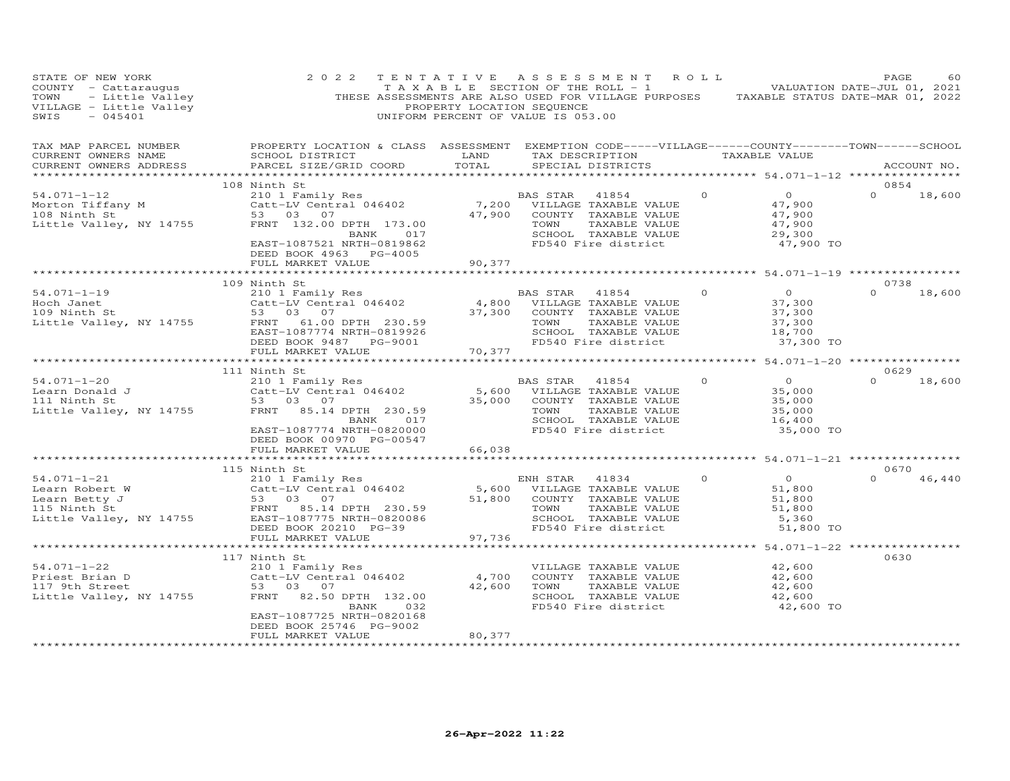| STATE OF NEW YORK<br>COUNTY - Cattaraugus<br>COUNTY - Cattaraugus<br>TOWN - Little Valley<br>VILLAGE - Little Valley<br>SWIS - 045401<br>$-045401$<br>SWIS                                 | 2 0 2 2                                                                                                                                                                   | PROPERTY LOCATION SEQUENCE | TENTATIVE ASSESSMENT ROLL<br>TAXABLE SECTION OF THE ROLL - 1 WALUATION DATE-JUL 01, 2021<br>THESE ASSESSMENTS ARE ALSO USED FOR VILLAGE PURPOSES TAXABLE STATUS DATE-MAR 01, 2022<br>UNIFORM PERCENT OF VALUE IS 053.00 |          |                                                                     | PAGE             | 60          |
|--------------------------------------------------------------------------------------------------------------------------------------------------------------------------------------------|---------------------------------------------------------------------------------------------------------------------------------------------------------------------------|----------------------------|-------------------------------------------------------------------------------------------------------------------------------------------------------------------------------------------------------------------------|----------|---------------------------------------------------------------------|------------------|-------------|
| TAX MAP PARCEL NUMBER<br>CURRENT OWNERS NAME<br>CURRENT OWNERS ADDRESS                                                                                                                     | PROPERTY LOCATION & CLASS ASSESSMENT EXEMPTION CODE-----VILLAGE------COUNTY-------TOWN------SCHOOL<br>SCHOOL DISTRICT<br>PARCEL SIZE/GRID COORD                           | LAND<br>TOTAL              | TAX DESCRIPTION<br>SPECIAL DISTRICTS                                                                                                                                                                                    |          | TAXABLE VALUE                                                       |                  | ACCOUNT NO. |
|                                                                                                                                                                                            | 108 Ninth St                                                                                                                                                              |                            |                                                                                                                                                                                                                         |          |                                                                     | 0854             |             |
| $54.071 - 1 - 12$<br>Morton Tiffany M<br>108 Ninth St<br>Little Valley, NY 14755                                                                                                           | 210 1 Family Res<br>Catt-LV Central 046402<br>53 03 07<br>FRNT 132.00 DPTH 173.00<br>BANK 017<br>EAST-1087521 NRTH-0819862<br>DEED BOOK 4963 PG-4005<br>FULL MARKET VALUE | 7,200<br>47,900<br>90,377  | BAS STAR<br>41854<br>VILLAGE TAXABLE VALUE<br>COUNTY TAXABLE VALUE<br>TOWN<br>TAXABLE VALUE<br>SCHOOL TAXABLE VALUE<br>FD540 Fire district                                                                              | $\circ$  | $\overline{O}$<br>47,900<br>47,900<br>47,900<br>29,300<br>47,900 TO | $\Omega$         | 18,600      |
|                                                                                                                                                                                            | ***********************                                                                                                                                                   |                            |                                                                                                                                                                                                                         |          |                                                                     |                  |             |
|                                                                                                                                                                                            | 109 Ninth St                                                                                                                                                              |                            |                                                                                                                                                                                                                         |          |                                                                     | 0738             |             |
| $54.071 - 1 - 19$<br>Hoch Janet<br>109 Ninth St<br>Little Valley, NY 14755                                                                                                                 | 210 1 Family Res<br>Catt-LV Central 046402<br>53 03 07<br>FRNT 61.00 DPTH 230.59<br>EAST-1087774 NRTH-0819926<br>DEED BOOK 9487 PG-9001                                   | 37,300                     | BAS STAR<br>41854<br>4,800 VILLAGE TAXABLE VALUE<br>COUNTY TAXABLE VALUE<br>TAXABLE VALUE<br>TOWN<br>SCHOOL TAXABLE VALUE<br>FD540 Fire district                                                                        | $\Omega$ | $\overline{O}$<br>37,300<br>37,300<br>37,300<br>18,700<br>37,300 TO | $0 \t 18,600$    |             |
|                                                                                                                                                                                            | FULL MARKET VALUE                                                                                                                                                         | 70,377                     |                                                                                                                                                                                                                         |          |                                                                     |                  |             |
|                                                                                                                                                                                            | ******************************                                                                                                                                            |                            |                                                                                                                                                                                                                         |          |                                                                     |                  |             |
| $54.071 - 1 - 20$                                                                                                                                                                          | 111 Ninth St<br>210 1 Family Res                                                                                                                                          |                            | BAS STAR<br>41854                                                                                                                                                                                                       | $\Omega$ | $\overline{0}$                                                      | 0629<br>$\Omega$ | 18,600      |
| Learn Donald J<br>111 Ninth St<br>111 Ninth St                                                                                                                                             | Catt-LV Central 046402<br>53 03 07                                                                                                                                        | 35,000                     | 5,600 VILLAGE TAXABLE VALUE<br>COUNTY TAXABLE VALUE                                                                                                                                                                     |          | 35,000<br>35,000                                                    |                  |             |
| Little Valley, NY 14755                                                                                                                                                                    | FRNT 85.14 DPTH 230.59<br>BANK 017<br>EAST-1087774 NRTH-0820000<br>DEED BOOK 00970 PG-00547                                                                               |                            | TOWN<br>TAXABLE VALUE<br>SCHOOL TAXABLE VALUE<br>FD540 Fire district                                                                                                                                                    |          | 35,000<br>16,400<br>35,000 TO                                       |                  |             |
|                                                                                                                                                                                            | FULL MARKET VALUE                                                                                                                                                         | 66,038                     |                                                                                                                                                                                                                         |          |                                                                     |                  |             |
|                                                                                                                                                                                            |                                                                                                                                                                           |                            |                                                                                                                                                                                                                         |          |                                                                     |                  |             |
| $54.071 - 1 - 21$<br>54.071-1-21<br>Learn Robert W<br>Learn Betty J<br>115 Ninth St<br>115 Ninth St<br>230.59<br>230.775 Ninth St<br>230.59<br>230.775 Ninth St<br>Little Valley, NY 14755 | 115 Ninth St<br>210 1 Family Res<br>EAST-1087775 NRTH-0820086<br>DEED BOOK 20210 PG-39                                                                                    | 51,800                     | ENH STAR<br>41834<br>5,600 VILLAGE TAXABLE VALUE<br>COUNTY TAXABLE VALUE<br>TAXABLE VALUE<br>TOWN<br>SCHOOL TAXABLE VALUE<br>FD540 Fire district                                                                        | $\Omega$ | $\overline{O}$<br>51,800<br>51,800<br>51,800<br>5,360<br>51,800 TO  | 0670<br>$\Omega$ | 46,440      |
|                                                                                                                                                                                            | FULL MARKET VALUE                                                                                                                                                         | 97,736                     |                                                                                                                                                                                                                         |          |                                                                     |                  |             |
|                                                                                                                                                                                            | **********************                                                                                                                                                    |                            |                                                                                                                                                                                                                         |          |                                                                     |                  |             |
| $54.071 - 1 - 22$                                                                                                                                                                          | 117 Ninth St<br>210 1 Family Res                                                                                                                                          |                            | VILLAGE TAXABLE VALUE                                                                                                                                                                                                   |          | 42,600                                                              | 0630             |             |
| Priest Brian D<br>117 9th Street<br>Little Valley, NY 14755                                                                                                                                | Catt-LV Central 046402<br>53 03 07<br>FRNT 82.50 DPTH 132.00                                                                                                              | 4,700<br>42,600            | COUNTY TAXABLE VALUE<br>TOWN<br>TAXABLE VALUE<br>SCHOOL TAXABLE VALUE                                                                                                                                                   |          | 42,600<br>42,600<br>42,600                                          |                  |             |
| *************************                                                                                                                                                                  | BANK<br>032<br>EAST-1087725 NRTH-0820168<br>DEED BOOK 25746 PG-9002<br>FULL MARKET VALUE                                                                                  | 80,377                     | FD540 Fire district                                                                                                                                                                                                     |          | 42,600 TO                                                           |                  |             |
|                                                                                                                                                                                            |                                                                                                                                                                           |                            |                                                                                                                                                                                                                         |          |                                                                     |                  |             |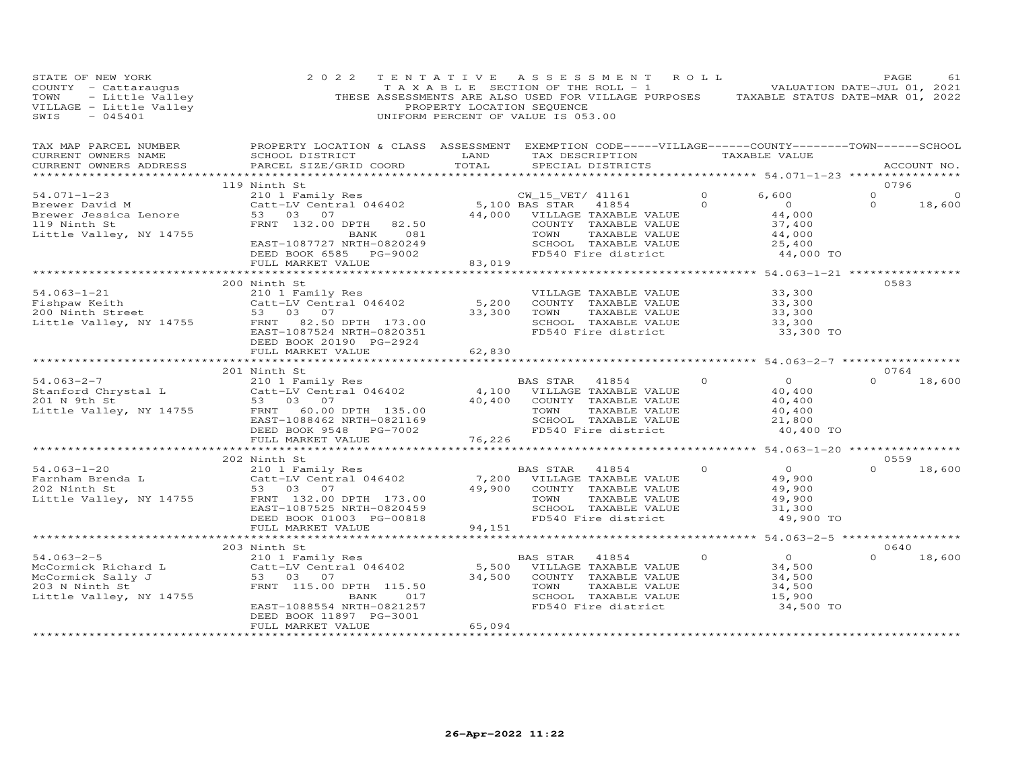| STATE OF NEW YORK                                                                                                | 2 0 2 2<br>$\begin{array}{cccccccccccccccccc} \texttt{if} & \texttt{if} & \texttt{if} & \texttt{if} & \texttt{if} & \texttt{if} & \texttt{if} & \texttt{if} & \texttt{if} & \texttt{if} & \texttt{if} & \texttt{if} & \texttt{if} & \texttt{if} & \texttt{if} & \texttt{if} & \texttt{if} & \texttt{if} & \texttt{if} & \texttt{if} & \texttt{if} & \texttt{if} & \texttt{if} & \texttt{if} & \texttt{if} & \texttt{if} & \texttt{if} & \texttt{if} & \texttt{if} & \texttt{if}$ |                              | TENTATIVE ASSESSMENT ROLL                   |          |                                              | PAGE                   | 61            |
|------------------------------------------------------------------------------------------------------------------|----------------------------------------------------------------------------------------------------------------------------------------------------------------------------------------------------------------------------------------------------------------------------------------------------------------------------------------------------------------------------------------------------------------------------------------------------------------------------------|------------------------------|---------------------------------------------|----------|----------------------------------------------|------------------------|---------------|
| CURRENT OWNERS NAME<br>CURRENT OWNERS ADDRESS                                                                    | TAX MAP PARCEL NUMBER<br>CUPPENT OWNER ANNE COUOCLOGERY LOCATION & CLASS ASSESSMENT EXEMPTION CODE-----VILLAGE------COUNTY--------TOWN------SCHOOL                                                                                                                                                                                                                                                                                                                               |                              |                                             |          |                                              |                        | ACCOUNT NO.   |
|                                                                                                                  |                                                                                                                                                                                                                                                                                                                                                                                                                                                                                  |                              |                                             |          |                                              |                        |               |
| $54.071 - 1 - 23$                                                                                                | 119 Ninth St<br>Ninth St<br>210 1 Family Res<br>Catt-LV Central 046402 5,100 BAS STAR 41854 0<br>53 03 07 44,000 VILLAGE TAXABLE VALUE<br>FRNT 132.00 DPTH 82.50 COUNTY TAXABLE VALUE<br>BANK 081 TOWN TAXABLE VALUE<br>EAST-1087727 NRTH-0820249 SCHOOL T                                                                                                                                                                                                                       |                              |                                             |          | 6,600                                        | 0796<br>$\overline{O}$ | $\circ$       |
|                                                                                                                  |                                                                                                                                                                                                                                                                                                                                                                                                                                                                                  |                              |                                             |          | $\overline{0}$                               | $\circ$                | 18,600        |
| Brewer David M<br>Brewer Jessica Lenore                                                                          |                                                                                                                                                                                                                                                                                                                                                                                                                                                                                  |                              |                                             |          |                                              |                        |               |
| 119 Ninth St                                                                                                     |                                                                                                                                                                                                                                                                                                                                                                                                                                                                                  |                              |                                             |          |                                              |                        |               |
| Little Valley, NY 14755                                                                                          |                                                                                                                                                                                                                                                                                                                                                                                                                                                                                  |                              |                                             |          | $44,000$<br>37,400<br>44,000                 |                        |               |
|                                                                                                                  |                                                                                                                                                                                                                                                                                                                                                                                                                                                                                  |                              |                                             |          | 25,400                                       |                        |               |
|                                                                                                                  |                                                                                                                                                                                                                                                                                                                                                                                                                                                                                  |                              |                                             |          | 44,000 TO                                    |                        |               |
|                                                                                                                  |                                                                                                                                                                                                                                                                                                                                                                                                                                                                                  | **************************** |                                             |          | ************** 54.063-1-21 ***************** |                        |               |
|                                                                                                                  | 200 Ninth St<br>200 Ninth St<br>210 1 Family Res<br>210 1 Family Res<br>210 1 Family Res<br>210 1 Family Res<br>210 1 Family Res<br>210 1 Family Res<br>210 1 Family Res<br>210 1 Family Res<br>210 1 Family Res<br>210 1 Family Res<br>210 1 Family R                                                                                                                                                                                                                           |                              |                                             |          |                                              | 0583                   |               |
|                                                                                                                  |                                                                                                                                                                                                                                                                                                                                                                                                                                                                                  |                              |                                             |          |                                              |                        |               |
|                                                                                                                  |                                                                                                                                                                                                                                                                                                                                                                                                                                                                                  |                              |                                             |          |                                              |                        |               |
|                                                                                                                  |                                                                                                                                                                                                                                                                                                                                                                                                                                                                                  |                              |                                             |          |                                              |                        |               |
|                                                                                                                  |                                                                                                                                                                                                                                                                                                                                                                                                                                                                                  |                              |                                             |          |                                              |                        |               |
|                                                                                                                  |                                                                                                                                                                                                                                                                                                                                                                                                                                                                                  |                              |                                             |          | 33,300 TO                                    |                        |               |
|                                                                                                                  |                                                                                                                                                                                                                                                                                                                                                                                                                                                                                  |                              |                                             |          |                                              |                        |               |
|                                                                                                                  | FULL MARKET VALUE                                                                                                                                                                                                                                                                                                                                                                                                                                                                | 62,830                       |                                             |          |                                              |                        |               |
|                                                                                                                  | 201 Ninth St                                                                                                                                                                                                                                                                                                                                                                                                                                                                     |                              |                                             |          |                                              | 0764                   |               |
|                                                                                                                  |                                                                                                                                                                                                                                                                                                                                                                                                                                                                                  |                              |                                             |          | $\overline{0}$                               |                        | $0 \t 18,600$ |
|                                                                                                                  |                                                                                                                                                                                                                                                                                                                                                                                                                                                                                  |                              |                                             |          | 40,400                                       |                        |               |
|                                                                                                                  |                                                                                                                                                                                                                                                                                                                                                                                                                                                                                  |                              |                                             |          | 40,400                                       |                        |               |
|                                                                                                                  |                                                                                                                                                                                                                                                                                                                                                                                                                                                                                  |                              |                                             |          | 40,400                                       |                        |               |
|                                                                                                                  |                                                                                                                                                                                                                                                                                                                                                                                                                                                                                  |                              | SCHOOL TAXABLE VALUE                        |          | 21,800                                       |                        |               |
|                                                                                                                  |                                                                                                                                                                                                                                                                                                                                                                                                                                                                                  |                              |                                             |          | 40,400 TO                                    |                        |               |
|                                                                                                                  | 34.063-2-7<br>3201 Namily Res<br>201 N 9th Stanford Chrystal L Catt-LV Central 046402<br>201 N 9th St<br>53 03 07<br>201 N 9th St<br>53 03 07<br>201 N 9th St<br>53 03 07<br>201 N 9th St<br>53 03 07<br>201 N 9th St<br>201 N 9th St<br>201 N 9th St<br>2                                                                                                                                                                                                                       |                              |                                             |          |                                              |                        |               |
|                                                                                                                  | 202 Ninth St                                                                                                                                                                                                                                                                                                                                                                                                                                                                     |                              |                                             |          |                                              | 0559                   |               |
| $54.063 - 1 - 20$                                                                                                |                                                                                                                                                                                                                                                                                                                                                                                                                                                                                  |                              | BAS STAR 41854                              | $\Omega$ | $\overline{O}$                               | $\Omega$               | 18,600        |
|                                                                                                                  |                                                                                                                                                                                                                                                                                                                                                                                                                                                                                  |                              |                                             |          | 49,900                                       |                        |               |
| Farnham Brenda L<br>202 Ninth St<br>202 Ninth St                                                                 | Ninch St<br>210 1 Family Res<br>Catt-LV Central 046402<br>53 03 07<br>53 03 07                                                                                                                                                                                                                                                                                                                                                                                                   |                              |                                             |          | 49,900                                       |                        |               |
| Little Valley, NY 14755                                                                                          |                                                                                                                                                                                                                                                                                                                                                                                                                                                                                  |                              | TAXABLE VALUE                               |          | 49,900                                       |                        |               |
|                                                                                                                  | Catt-LV Central 046402<br>Catt-LV Central 046402<br>53 03 07 12LAGE TAXABLE VALUE<br>FRNT 132.00 DPTH 173.00<br>EAST-1087525 NRTH-0820459<br>DEED BOOK 01003 PG-00818<br>PEED BOOK 01003 PG-00818                                                                                                                                                                                                                                                                                |                              | SCHOOL TAXABLE VALUE<br>FD540 Fire district |          | 31,300                                       |                        |               |
|                                                                                                                  |                                                                                                                                                                                                                                                                                                                                                                                                                                                                                  |                              |                                             |          | 49,900 TO                                    |                        |               |
|                                                                                                                  | FULL MARKET VALUE                                                                                                                                                                                                                                                                                                                                                                                                                                                                | 94,151                       |                                             |          |                                              |                        |               |
|                                                                                                                  | ********************************                                                                                                                                                                                                                                                                                                                                                                                                                                                 |                              | **************************                  |          | ************* 54.063-2-5 ****************    | 0640                   |               |
| $54.063 - 2 - 5$                                                                                                 | 203 Ninth St                                                                                                                                                                                                                                                                                                                                                                                                                                                                     |                              |                                             |          |                                              | $\Omega$               | 18,600        |
|                                                                                                                  |                                                                                                                                                                                                                                                                                                                                                                                                                                                                                  |                              |                                             |          |                                              |                        |               |
|                                                                                                                  |                                                                                                                                                                                                                                                                                                                                                                                                                                                                                  |                              |                                             |          |                                              |                        |               |
| 94.065-2-5<br>McCormick Richard L<br>McCormick Sally J 53 03 07<br>203 N Ninth St 115.00<br>203 N Ninth St 11755 | A<br>Ninth St<br>210 1 Family Res<br>210 1 Family Res<br>Catt-LV Central 046402<br>53 03 07<br>FRNT 115.00 DPTH 115.50<br>BANK 017<br>FRNT 115.00 DPTH 115.50<br>BANK 017<br>FRNT 115.00 COUNTY TAXABLE VALUE<br>FRNT 115.00 DPTH 115.50<br>FRNT 115.0                                                                                                                                                                                                                           |                              |                                             |          | 34, 50                                       |                        |               |
| Little Valley, NY 14755                                                                                          |                                                                                                                                                                                                                                                                                                                                                                                                                                                                                  |                              |                                             |          | 34,500<br>15,900                             |                        |               |
|                                                                                                                  |                                                                                                                                                                                                                                                                                                                                                                                                                                                                                  |                              |                                             |          | 34,500 TO                                    |                        |               |
|                                                                                                                  | DEED BOOK 11897 PG-3001                                                                                                                                                                                                                                                                                                                                                                                                                                                          |                              |                                             |          |                                              |                        |               |
|                                                                                                                  | FULL MARKET VALUE                                                                                                                                                                                                                                                                                                                                                                                                                                                                | 65,094                       |                                             |          |                                              |                        |               |
|                                                                                                                  |                                                                                                                                                                                                                                                                                                                                                                                                                                                                                  |                              |                                             |          |                                              |                        |               |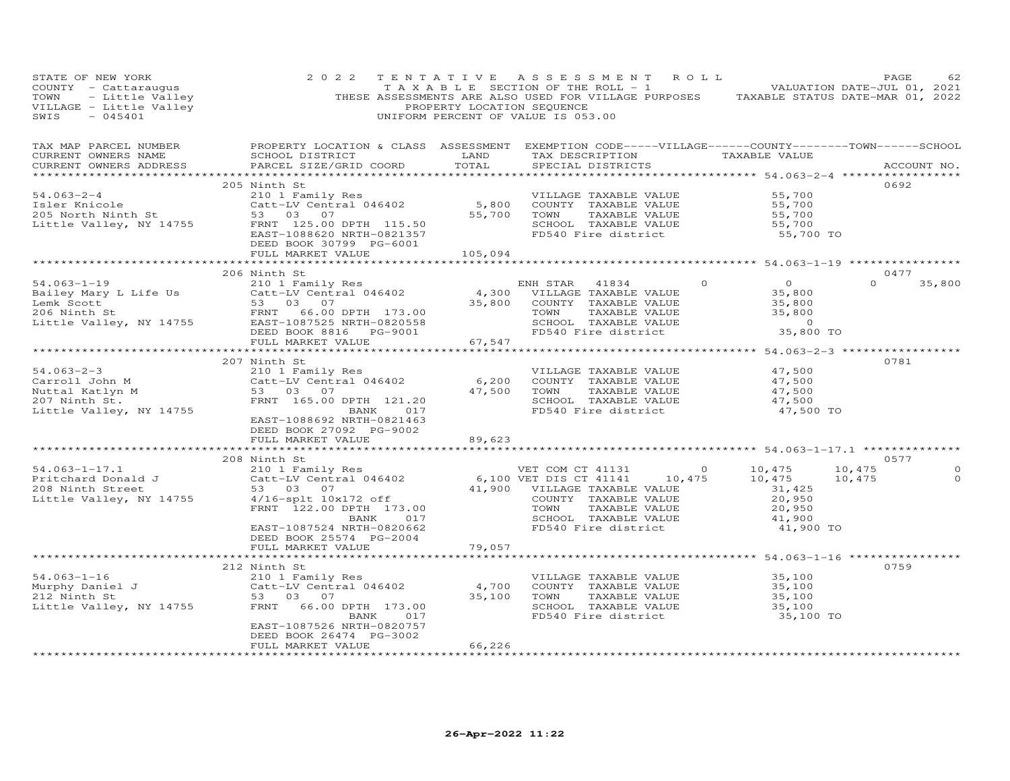| STATE OF NEW YORK<br>STATE OF NEW YORK<br>COUNTY - Cattrangus CONTY - CONTY - COUNTY - COUNTY - COUNTY - CALL TOWN<br>THESE ASSESSMENTS ARE ALSO USED FOR VILLAGE PURPOSES TAXABLE STATUS DATE-MAR 01, 2022<br>VILLAGE - Little Valley PROPERTY LOCATION                                                                                                                                                                                  | 2 0 2 2                                                                                           |         | TENTATIVE ASSESSMENT ROLL<br>TAXABLE SECTION OF THE ROLL - 1 VALUATION DATE-JUL 01, 2021 |                                                                                                                             | PAGE<br>62                                     |
|-------------------------------------------------------------------------------------------------------------------------------------------------------------------------------------------------------------------------------------------------------------------------------------------------------------------------------------------------------------------------------------------------------------------------------------------|---------------------------------------------------------------------------------------------------|---------|------------------------------------------------------------------------------------------|-----------------------------------------------------------------------------------------------------------------------------|------------------------------------------------|
| TAX MAP PARCEL NUMBER BROPERTY LOCATION & CLASS ASSESSMENT EXEMPTION CODE-----VILLAGE------COUNTY--------TOWN------SCHOOL CURRENT OWNERS NAME SCHOOL DISTRICT LAND TAX DESCRIPTION TAXABLE VALUE<br>CURRENT OWNERS ADDRESS                                                                                                                                                                                                                | SCHOOL DISTRICT LAND TAX DESCRIPTION TAXABLE VALUE PARCEL SIZE/GRID COORD TOTAL SPECIAL DISTRICTS |         |                                                                                          |                                                                                                                             | ACCOUNT NO.                                    |
| 34.063-2-4<br>205 Ninth St<br>205 Ninth St<br>205 North Ninth St<br>205 North Ninth St<br>205 North Ninth St<br>205 North Ninth St<br>205 North Ninth St<br>205 North Ninth St<br>205 North Ninth St<br>205 North Ninth St<br>203 07<br>207 Orth St<br>2                                                                                                                                                                                  | 205 Ninth St<br>FULL MARKET VALUE                                                                 | 105,094 |                                                                                          |                                                                                                                             | 0692                                           |
|                                                                                                                                                                                                                                                                                                                                                                                                                                           |                                                                                                   |         |                                                                                          |                                                                                                                             |                                                |
| $\begin{tabular}{lllllllllllllllllllll} \text{54.063--1--19} & \text{200 NITL18} & \text{201 & Family Res} & \text{ENH STAR} & 41834 & 0 \\ \text{Bailey Mary L life Us} & \text{Cat-LV Central 046402} & 4,300 & \text{VILLAGE TAXABLE VALUE} \\ \text{Lemk Scott} & 53 & 03 & 07 & 35,800 & \text{COUNTY TAXABLE VALUE} \\ \text{Lith St} & \text{FENT 66.00 DETH 173.00} & \text{TAVABLE VALUE} \\ \text{little Valley, NY 14755} & \$ | 206 Ninth St                                                                                      |         |                                                                                          | $\begin{array}{c} 0 \ 35,800 \ 35,800 \ 35,800 \end{array}$<br>$\begin{smallmatrix}&&0\0&35,800&\text{TO}\end{smallmatrix}$ | 0477<br>$0 \t35,800$                           |
|                                                                                                                                                                                                                                                                                                                                                                                                                                           |                                                                                                   |         |                                                                                          |                                                                                                                             |                                                |
| 207 Nunth St.<br>207 Nunth St.<br>207 Nunth St.<br>207 Nunth St.<br>207 Nunth St.<br>207 Ninth St.<br>207 Ninth St.<br>207 Ninth St.<br>207 Ninth St.<br>207 Ninth St.<br>207 Ninth St.<br>207 Ninth St.<br>207 Ninth St.<br>207 Ninth St.<br>207 Ninth St                                                                                                                                                                                | 207 Ninth St<br>EAST-1088692 NRTH-0821463<br>DEED BOOK 27092 PG-9002<br>FULL MARKET VALUE         | 89,623  |                                                                                          |                                                                                                                             | 0781                                           |
|                                                                                                                                                                                                                                                                                                                                                                                                                                           |                                                                                                   |         |                                                                                          |                                                                                                                             |                                                |
| 34.063-1-17.1<br>Pritchard Donald J<br>208 Ninth Street<br>208 Ninth Street<br>208 Ninth Street<br>208 Ninth Street<br>208 Ninth Street<br>208 Ninth Street<br>209 20,950<br>208 Ninth Street<br>20,950<br>20,950<br>20,950<br>20,950<br>20,950<br>20,950<br>2                                                                                                                                                                            | 208 Ninth St<br>DEED BOOK 25574 PG-2004                                                           |         |                                                                                          |                                                                                                                             | 0577<br>10,475<br>$\circ$<br>10,475<br>$\circ$ |
|                                                                                                                                                                                                                                                                                                                                                                                                                                           | FULL MARKET VALUE                                                                                 | 79,057  |                                                                                          |                                                                                                                             |                                                |
|                                                                                                                                                                                                                                                                                                                                                                                                                                           |                                                                                                   |         | ************************************54.063-1-16 ******************                       |                                                                                                                             |                                                |
| 312 Ninth St<br>212 Ninth St<br>210 1 Family Res<br>210 1 Family Res<br>212 Ninth St<br>212 Ninth St<br>212 Ninth St<br>212 Ninth St<br>212 Ninth St<br>212 Ninth St<br>212 Ninth St<br>212 Ninth St<br>212 Ninth St<br>212 Ninth St<br>212 Ninth St<br>22 N                                                                                                                                                                              | 212 Ninth St<br>EAST-1087526 NRTH-0820757<br>DEED BOOK 26474 PG-3002<br>FULL MARKET VALUE         | 66,226  |                                                                                          |                                                                                                                             | 0759                                           |
|                                                                                                                                                                                                                                                                                                                                                                                                                                           |                                                                                                   |         |                                                                                          |                                                                                                                             |                                                |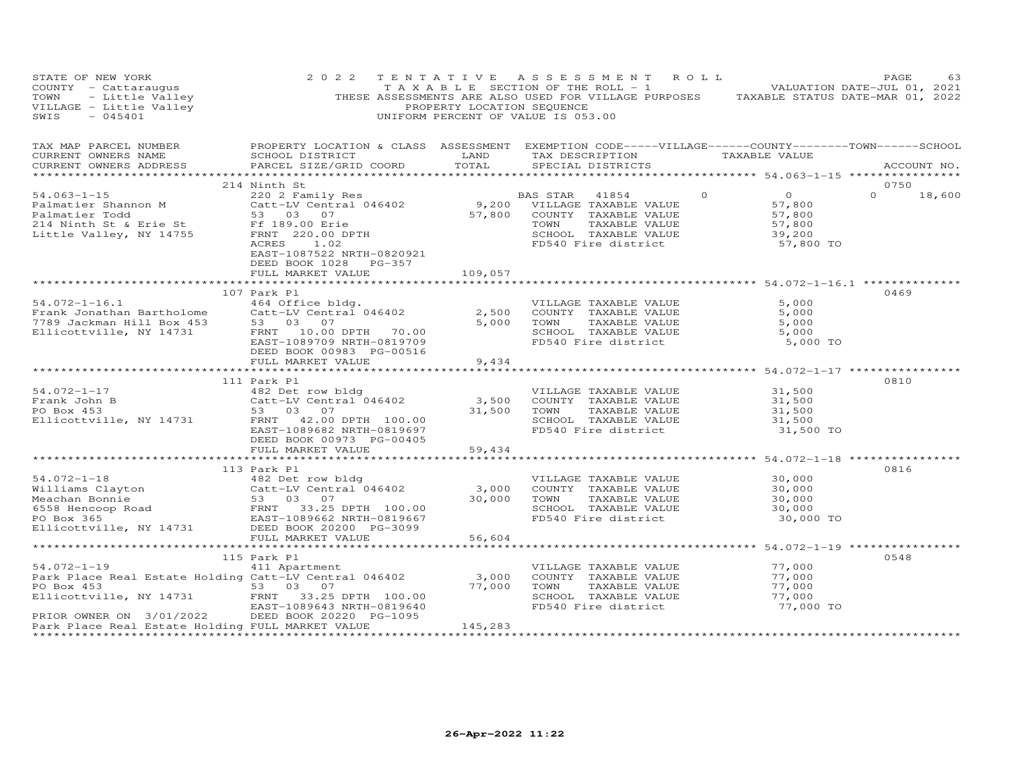| STATE OF NEW YORK<br>COUNTY - Cattaraugus<br>TOWN - Little Valley<br>VILLAGE - Little Valley<br>SWIS - 045401<br>SWIS<br>$-045401$                                                                                                                      | 2 0 2 2                                                                                                                                                                                                | PROPERTY LOCATION SEQUENCE | TENTATIVE ASSESSMENT ROLL<br>TAXABLE SECTION OF THE ROLL - 1 VALUATION DATE-JUL 01, 2021<br>THESE ASSESSMENTS ARE ALSO USED FOR VILLAGE PURPOSES TAXABLE STATUS DATE-MAR 01, 2022<br>UNIFORM PERCENT OF VALUE IS 053.00         |                                                                       | PAGE<br>63    |
|---------------------------------------------------------------------------------------------------------------------------------------------------------------------------------------------------------------------------------------------------------|--------------------------------------------------------------------------------------------------------------------------------------------------------------------------------------------------------|----------------------------|---------------------------------------------------------------------------------------------------------------------------------------------------------------------------------------------------------------------------------|-----------------------------------------------------------------------|---------------|
| TAX MAP PARCEL NUMBER<br>CURRENT OWNERS NAME<br>CURRENT OWNERS ADDRESS                                                                                                                                                                                  | PARCEL SIZE/GRID COORD                                                                                                                                                                                 | TOTAL                      | PROPERTY LOCATION & CLASS ASSESSMENT EXEMPTION CODE-----VILLAGE------COUNTY-------TOWN------SCHOOL<br>SCHOOL DISTRICT                        LAND         TAX DESCRIPTION                    TAXABLE VALUE<br>SPECIAL DISTRICTS |                                                                       | ACCOUNT NO.   |
|                                                                                                                                                                                                                                                         |                                                                                                                                                                                                        |                            |                                                                                                                                                                                                                                 |                                                                       | 0750          |
| 214 Ninth St<br>214 Ninth St<br>220 2 Family Res<br>Palmatier Shannon M<br>230 2 Family Res<br>220 2 Family Res<br>220 2 Family Res<br>220 2 Family Res<br>230 07<br>214 Ninth St & Erie St<br>230 07<br>214 Ninth St & Erie St<br>27,800 COUNTY TAXAB  | EAST-1087522 NRTH-0820921                                                                                                                                                                              |                            | SCHOOL TAXABLE VALUE 39,200<br>FD540 Fire district 57,800 TO                                                                                                                                                                    | $\overline{0}$<br>$0$<br>$57,800$<br>$57,800$<br>$57,800$<br>$39,200$ | $0 \t 18,600$ |
|                                                                                                                                                                                                                                                         | DEED BOOK 1028 PG-357<br>FULL MARKET VALUE                                                                                                                                                             | 109,057                    |                                                                                                                                                                                                                                 |                                                                       |               |
|                                                                                                                                                                                                                                                         |                                                                                                                                                                                                        |                            |                                                                                                                                                                                                                                 |                                                                       |               |
| $54.072 - 1 - 16.1$<br>Frank Jonathan Bartholome<br>7789 Jackman Hill Box 453<br>Ellicottville, NY 14731                                                                                                                                                | 107 Park Pl<br>-- Julie Didg.<br>Catt-LV Central 046402 2,500<br>53 03 07<br>FRNT 10:00 --<br>FRNT 10.00 DPTH 70.00<br>EAST-1089709 NRTH-0819709<br>DEED BOOK 00993 PS 355<br>DEED BOOK 00983 PG-00516 | 9,434                      | VILLAGE TAXABLE VALUE<br>COUNTY TAXABLE VALUE<br>TOWN      TAXABLE VALUE<br>SCHOOL TAXABLE VALUE<br>FD540 Fire district                                                                                                         | 5,000<br>5,000<br>5,000<br>5,000<br>5,000 TO                          | 0469          |
|                                                                                                                                                                                                                                                         | FULL MARKET VALUE                                                                                                                                                                                      |                            |                                                                                                                                                                                                                                 |                                                                       |               |
| 31,500<br>Frank John B<br>PO Box 453<br>Ellicottville, NY 14731<br>FRNT 42.00 DPTH 100.00<br>Ellicottville, NY 14731<br>FRNT 42.00 DPTH 100.00<br>ERNT 42.00 DPTH 100.00<br>ERNT 42.00 DPTH 100.00<br>FD540 Fire district<br>FD540 Fire district<br>    | 111 Park Pl<br>DEED BOOK 00973 PG-00405                                                                                                                                                                |                            |                                                                                                                                                                                                                                 | 31,500 TO                                                             | 0810          |
|                                                                                                                                                                                                                                                         | FULL MARKET VALUE                                                                                                                                                                                      | 59,434                     |                                                                                                                                                                                                                                 |                                                                       |               |
|                                                                                                                                                                                                                                                         | 113 Park Pl                                                                                                                                                                                            |                            | ********************************* 54.072-1-18 *****************                                                                                                                                                                 |                                                                       | 0816          |
| 54.072-1-18<br>Williams Clayton and the catt-LV Central 046402 3,000<br>Meachan Bonnie 53 03 07 30,000<br>FRNT 33.25 DPTH 100.00<br>PO Box 365 EAST-1089662 NRTH-0819667<br>Ellicottville, NY 14731 DEED BOOK 20200 PG-3099<br>FULL MARKET              |                                                                                                                                                                                                        |                            | VILLAGE TAXABLE VALUE $30,000$<br>COUNTY TAXABLE VALUE $30,000$<br>TOWN TAXABLE VALUE $30,000$<br>SCHOOL TAXABLE VALUE $30,000$<br>30,000 TOWN<br>SCHOOL TAXABLE VALUE<br>FD540 Fire district 30,000 TO                         |                                                                       |               |
|                                                                                                                                                                                                                                                         | FULL MARKET VALUE                                                                                                                                                                                      | 56,604                     |                                                                                                                                                                                                                                 |                                                                       |               |
|                                                                                                                                                                                                                                                         |                                                                                                                                                                                                        |                            |                                                                                                                                                                                                                                 |                                                                       |               |
| $54.072 - 1 - 19$<br>Park Place Real Estate Holding Catt-LV Central 046402 3,000 COUNTY TAXABLE VALUE<br>PO Box 453 53 03 07 77,000 TOWN TAXABLE VALUE<br>PO Box 453<br>Ellicottville, NY 14731<br>Ellicottville, NY 14731<br>EAST-1089643 NRTH-0819640 | 115 Park Pl<br>411 Apartment                                                                                                                                                                           |                            | VILLAGE TAXABLE VALUE 77,000<br>COUNTY TAXABLE VALUE 77,000<br>TAXABLE VALUE<br>SCHOOL TAXABLE VALUE                                                                                                                            | 77,000<br>77,000<br>77,000 TO                                         | 0548          |
| PRIOR OWNER ON 3/01/2022 DEED BOOK 20220 PG-1095<br>Park Place Real Estate Holding FULL MARKET VALUE                                                                                                                                                    |                                                                                                                                                                                                        | 145,283                    | FD540 Fire district                                                                                                                                                                                                             |                                                                       |               |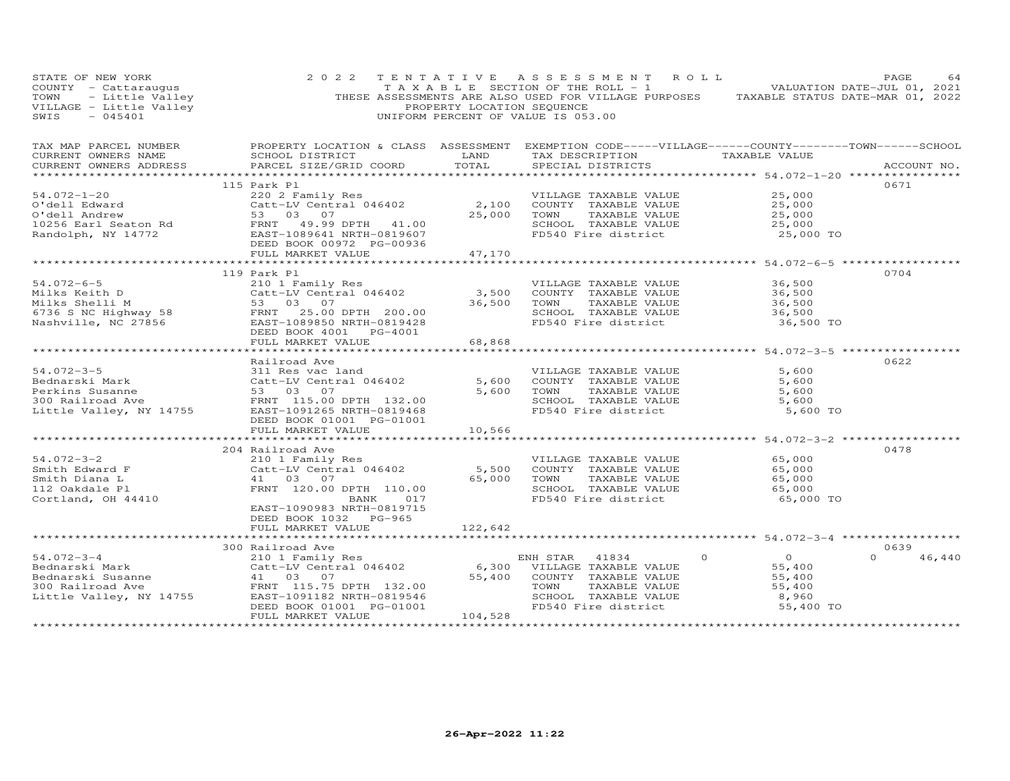| STATE OF NEW YORK<br>THESE ASSESSMENT PRODUCT THE MILLAGE PURPOSES TAXABLE STATUS DATE-JUL 01, 2021<br>TOWN - Little Valley THESE ASSESSMENTS ARE ALSO USED FOR VILLAGE PURPOSES TAXABLE STATUS DATE-JUL 01, 2021<br>THESE ASSESSMENTS ARE ALSO USED FO<br>$-045401$<br>SWIS | 2 0 2 2                         |                     | UNIFORM PERCENT OF VALUE IS 053.00 | TENTATIVE ASSESSMENT ROLL                                                                     |                                                           | PAGE<br>64         |
|------------------------------------------------------------------------------------------------------------------------------------------------------------------------------------------------------------------------------------------------------------------------------|---------------------------------|---------------------|------------------------------------|-----------------------------------------------------------------------------------------------|-----------------------------------------------------------|--------------------|
| CURRENT OWNERS ADDRESS                                                                                                                                                                                                                                                       | PARCEL SIZE/GRID COORD TOTAL    |                     | SPECIAL DISTRICTS                  |                                                                                               | ****************** 54.072-1-20 ***************            | ACCOUNT NO.        |
|                                                                                                                                                                                                                                                                              | 115 Park Pl                     |                     |                                    |                                                                                               |                                                           | 0671               |
| 54.072-1-20<br>0'dell Edward 220 2 Family Res<br>0'dell Andrew 53 03 07 25,000<br>10256 Earl Seaton Rd FRNT 49.99 DPTH 41.00<br>Randolph, NY 14772 DEED BOOK 00972 PG-00936<br>HEAST-1089641 NRTH-0819607<br>EAST-1089641 NRTH-0819607<br>DE                                 |                                 |                     |                                    | VILLAGE TAXABLE VALUE                                                                         | 25,000                                                    |                    |
|                                                                                                                                                                                                                                                                              |                                 |                     |                                    | 2,100 COUNTY TAXABLE VALUE<br>25,000 TOWN TAXABLE VALUE                                       | 25,000                                                    |                    |
|                                                                                                                                                                                                                                                                              |                                 |                     |                                    |                                                                                               | 25,000                                                    |                    |
|                                                                                                                                                                                                                                                                              |                                 |                     |                                    | SCHOOL TAXABLE VALUE<br>FD540 Fire district                                                   | 25,000                                                    |                    |
|                                                                                                                                                                                                                                                                              |                                 |                     |                                    |                                                                                               | 25,000 TO                                                 |                    |
|                                                                                                                                                                                                                                                                              | FULL MARKET VALUE 700000 47,170 |                     |                                    |                                                                                               |                                                           |                    |
|                                                                                                                                                                                                                                                                              |                                 |                     |                                    |                                                                                               |                                                           |                    |
| 113 Fark P1<br>Milks Keith D<br>Milks Shelli M<br>6736 S NC Highway 58<br>Nashville, NC 27856<br>125 FRNT 200.00<br>53 03 07<br>FRNT 200.00<br>EAST-1089850 NRTH-0819428<br>DEED BOOK 4001<br>FC-4001<br>THE COLORED BOOK 4001<br>THE COLORED BOOK 400                       |                                 |                     |                                    |                                                                                               |                                                           | 0704               |
|                                                                                                                                                                                                                                                                              |                                 |                     |                                    | VILLAGE TAXABLE VALUE                                                                         | 36,500                                                    |                    |
|                                                                                                                                                                                                                                                                              |                                 |                     |                                    |                                                                                               |                                                           |                    |
|                                                                                                                                                                                                                                                                              |                                 |                     |                                    | COUNTY TAXABLE VALUE 36,500<br>TOWN TAXABLE VALUE 36,500<br>36,500                            |                                                           |                    |
|                                                                                                                                                                                                                                                                              |                                 |                     |                                    | SCHOOL TAXABLE VALUE                                                                          | 36,500                                                    |                    |
|                                                                                                                                                                                                                                                                              |                                 |                     |                                    | FD540 Fire district                                                                           | 36,500 TO                                                 |                    |
|                                                                                                                                                                                                                                                                              |                                 |                     |                                    |                                                                                               |                                                           |                    |
|                                                                                                                                                                                                                                                                              |                                 |                     |                                    |                                                                                               |                                                           |                    |
| Andreas Ave (1993)<br>State of the Susanne (1994)<br>State of the Susanne (1994)<br>Sample of the Susanne (1994)<br>Sample of the Susanne (1994)<br>Sample of the Susanne (1994)<br>Sample of the Susanne (1994)<br>Sample of the Susanne (1                                 |                                 |                     |                                    |                                                                                               |                                                           | 0622               |
|                                                                                                                                                                                                                                                                              |                                 |                     |                                    | VILLAGE TAXABLE VALUE                                                                         | 5,600                                                     |                    |
|                                                                                                                                                                                                                                                                              |                                 |                     |                                    | COUNTY TAXABLE VALUE                                                                          | 5,600                                                     |                    |
|                                                                                                                                                                                                                                                                              |                                 |                     |                                    |                                                                                               |                                                           |                    |
|                                                                                                                                                                                                                                                                              |                                 |                     |                                    | TOWN TAXABLE VALUE 5,600<br>SCHOOL TAXABLE VALUE 5,600<br>5,600                               |                                                           |                    |
|                                                                                                                                                                                                                                                                              |                                 |                     |                                    | FD540 Fire district                                                                           | 5,600 TO                                                  |                    |
|                                                                                                                                                                                                                                                                              |                                 |                     |                                    |                                                                                               |                                                           |                    |
|                                                                                                                                                                                                                                                                              | FULL MARKET VALUE               | 10,566              |                                    |                                                                                               |                                                           |                    |
|                                                                                                                                                                                                                                                                              |                                 |                     |                                    |                                                                                               | ******************************** 54.072-3-2 ************* |                    |
|                                                                                                                                                                                                                                                                              | 204 Railroad Ave                |                     |                                    |                                                                                               |                                                           | 0478               |
|                                                                                                                                                                                                                                                                              |                                 |                     |                                    | VILLAGE TAXABLE VALUE 65,000                                                                  |                                                           |                    |
|                                                                                                                                                                                                                                                                              |                                 |                     |                                    |                                                                                               |                                                           |                    |
|                                                                                                                                                                                                                                                                              |                                 |                     |                                    | COUNTY TAXABLE VALUE $65,000$<br>TOWN TAXABLE VALUE $65,000$<br>SCHOOL TAXABLE VALUE $65,000$ |                                                           |                    |
| 54.072-3-2<br>Smith Edward F<br>Smith Diana L<br>Comparent Plane Plane Plane Plane Plane Plane Plane Plane Plane Plane Plane Plane Plane Plane Plane Plane Plane Plane Plane Plane Plane Plane Plane Plane Plane Plane Plane Plane Pla                                       | BANK 017                        |                     |                                    | FD540 Fire district                                                                           | 65,000 TO                                                 |                    |
|                                                                                                                                                                                                                                                                              | EAST-1090983 NRTH-0819715       |                     |                                    |                                                                                               |                                                           |                    |
|                                                                                                                                                                                                                                                                              | DEED BOOK 1032 PG-965           |                     |                                    |                                                                                               |                                                           |                    |
|                                                                                                                                                                                                                                                                              | FULL MARKET VALUE               | 122,642             |                                    |                                                                                               |                                                           |                    |
|                                                                                                                                                                                                                                                                              |                                 |                     |                                    |                                                                                               |                                                           |                    |
|                                                                                                                                                                                                                                                                              |                                 |                     |                                    |                                                                                               |                                                           | 0639               |
|                                                                                                                                                                                                                                                                              |                                 |                     |                                    | $\Omega$                                                                                      | $\overline{O}$                                            | $\Omega$<br>46,440 |
|                                                                                                                                                                                                                                                                              |                                 |                     |                                    | 55,400 COUNTY TAXABLE VALUE                                                                   | 55,400<br>55,400                                          |                    |
|                                                                                                                                                                                                                                                                              |                                 |                     |                                    | TAXABLE VALUE                                                                                 | 55,400                                                    |                    |
|                                                                                                                                                                                                                                                                              |                                 |                     |                                    |                                                                                               | 8,960                                                     |                    |
|                                                                                                                                                                                                                                                                              |                                 |                     |                                    | FD540 Fire district                                                                           | 55,400 TO                                                 |                    |
|                                                                                                                                                                                                                                                                              | FULL MARKET VALUE               | 104,528             |                                    |                                                                                               |                                                           |                    |
|                                                                                                                                                                                                                                                                              |                                 | ******************* |                                    |                                                                                               |                                                           |                    |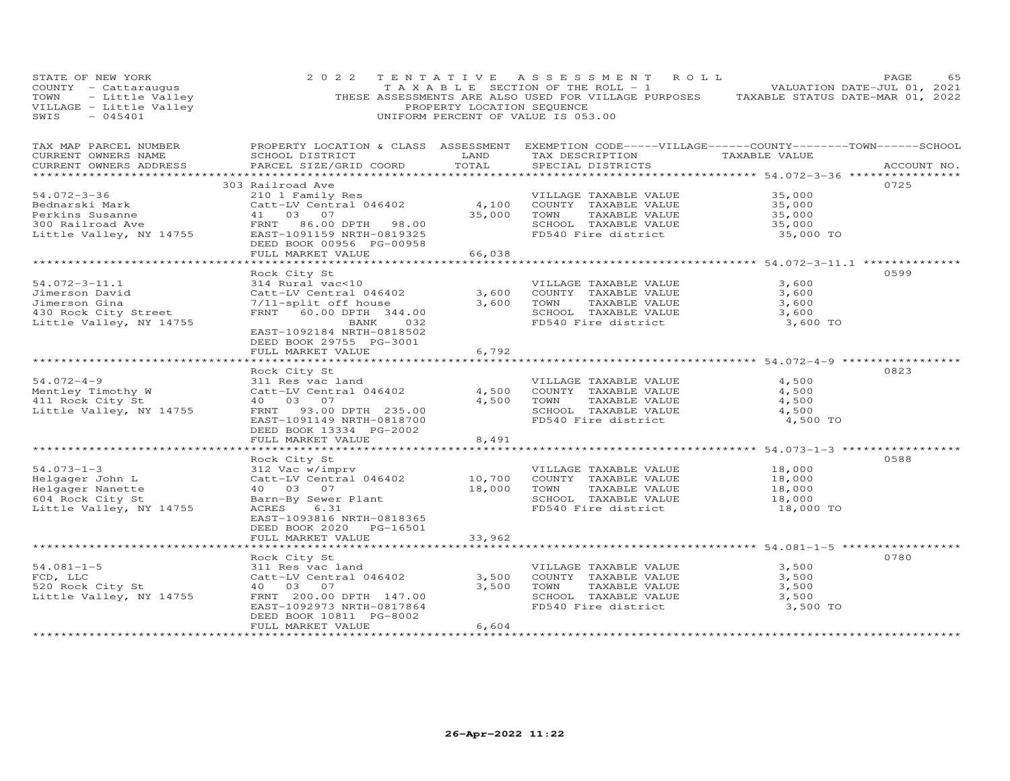| STATE OF NEW YORK<br>COUNTY - Cattaraugus<br>TOWN - Little Valley<br>VILLAGE - Little Valley<br>SWIS - 045401<br>$-045401$<br>SWIS | 2 0 2 2                                              | PROPERTY LOCATION SEQUENCE | TENTATIVE ASSESSMENT ROLL<br>T A X A B L E SECTION OF THE ROLL - 1<br>THESE ASSESSMENTS ARE ALSO USED FOR VILLAGE PURPOSES TAXABLE STATUS DATE-MAR 01, 2022<br>UNIFORM PERCENT OF VALUE IS 053.00 |                                            | PAGE<br>VALUATION DATE-JUL 01, 2021 | 65 |
|------------------------------------------------------------------------------------------------------------------------------------|------------------------------------------------------|----------------------------|---------------------------------------------------------------------------------------------------------------------------------------------------------------------------------------------------|--------------------------------------------|-------------------------------------|----|
| TAX MAP PARCEL NUMBER<br>CURRENT OWNERS NAME<br>CURRENT OWNERS ADDRESS                                                             | SCHOOL DISTRICT<br>PARCEL SIZE/GRID COORD            | LAND<br>TOTAL              | PROPERTY LOCATION & CLASS ASSESSMENT EXEMPTION CODE-----VILLAGE------COUNTY-------TOWN------SCHOOL<br>TAX DESCRIPTION<br>SPECIAL DISTRICTS                                                        | TAXABLE VALUE                              | ACCOUNT NO.                         |    |
|                                                                                                                                    |                                                      |                            |                                                                                                                                                                                                   |                                            |                                     |    |
| 54.072-3-36                                                                                                                        | 303 Railroad Ave<br>210 1 Family Res                 |                            | VILLAGE TAXABLE VALUE                                                                                                                                                                             | 35,000                                     | 0725                                |    |
| Bednarski Mark                                                                                                                     | Catt-LV Central 046402                               | 4,100                      | COUNTY TAXABLE VALUE                                                                                                                                                                              | 35,000                                     |                                     |    |
| Perkins Susanne                                                                                                                    | 41 03 07                                             | 35,000                     | TAXABLE VALUE<br>TOWN                                                                                                                                                                             | 35,000                                     |                                     |    |
| 300 Railroad Ave                                                                                                                   | FRNT 86.00 DPTH 98.00                                |                            | SCHOOL TAXABLE VALUE                                                                                                                                                                              | 35,000                                     |                                     |    |
| Little Valley, NY 14755                                                                                                            | EAST-1091159 NRTH-0819325                            |                            | FD540 Fire district                                                                                                                                                                               | 35,000 TO                                  |                                     |    |
|                                                                                                                                    | DEED BOOK 00956 PG-00958                             |                            |                                                                                                                                                                                                   |                                            |                                     |    |
|                                                                                                                                    | FULL MARKET VALUE                                    | 66,038                     |                                                                                                                                                                                                   |                                            |                                     |    |
|                                                                                                                                    | Rock City St                                         |                            |                                                                                                                                                                                                   |                                            | 0599                                |    |
| $54.072 - 3 - 11.1$                                                                                                                | 314 Rural vac<10                                     |                            | VILLAGE TAXABLE VALUE                                                                                                                                                                             | 3,600                                      |                                     |    |
| Jimerson David                                                                                                                     | Catt-LV Central 046402                               | 3,600                      | COUNTY TAXABLE VALUE                                                                                                                                                                              | 3,600                                      |                                     |    |
| Jimerson Gina                                                                                                                      | 7/11-split off house                                 | 3,600                      | TAXABLE VALUE<br>TOWN                                                                                                                                                                             | 3,600                                      |                                     |    |
| 430 Rock City Street                                                                                                               | FRNT 60.00 DPTH 344.00                               |                            | SCHOOL TAXABLE VALUE                                                                                                                                                                              | 3,600                                      |                                     |    |
| Little Valley, NY 14755                                                                                                            | BANK<br>032                                          |                            | FD540 Fire district                                                                                                                                                                               | 3,600 TO                                   |                                     |    |
|                                                                                                                                    | EAST-1092184 NRTH-0818502                            |                            |                                                                                                                                                                                                   |                                            |                                     |    |
|                                                                                                                                    | DEED BOOK 29755 PG-3001<br>FULL MARKET VALUE         | 6,792                      |                                                                                                                                                                                                   |                                            |                                     |    |
|                                                                                                                                    |                                                      |                            |                                                                                                                                                                                                   |                                            |                                     |    |
|                                                                                                                                    | Rock City St                                         |                            |                                                                                                                                                                                                   |                                            | 0823                                |    |
| $54.072 - 4 - 9$                                                                                                                   | 311 Res vac land                                     |                            | VILLAGE TAXABLE VALUE                                                                                                                                                                             | 4,500                                      |                                     |    |
| Mentley Timothy W                                                                                                                  | Catt-LV Central 046402                               | 4,500                      | COUNTY TAXABLE VALUE                                                                                                                                                                              | 4,500                                      |                                     |    |
| 411 Rock City St                                                                                                                   | 40  03  07                                           | 4,500                      | TOWN<br>TAXABLE VALUE                                                                                                                                                                             | 4,500                                      |                                     |    |
| Little Valley, NY 14755                                                                                                            | FRNT 93.00 DPTH 235.00                               |                            | SCHOOL TAXABLE VALUE<br>FD540 Fire district                                                                                                                                                       | 4,500                                      |                                     |    |
|                                                                                                                                    | EAST-1091149 NRTH-0818700<br>DEED BOOK 13334 PG-2002 |                            |                                                                                                                                                                                                   | 4,500 TO                                   |                                     |    |
|                                                                                                                                    | FULL MARKET VALUE                                    | 8,491                      |                                                                                                                                                                                                   |                                            |                                     |    |
|                                                                                                                                    |                                                      |                            |                                                                                                                                                                                                   | ******************* 54.073-1-3 *********** |                                     |    |
|                                                                                                                                    | Rock City St                                         |                            |                                                                                                                                                                                                   |                                            | 0588                                |    |
| $54.073 - 1 - 3$                                                                                                                   | 312 Vac w/imprv                                      |                            | VILLAGE TAXABLE VALUE                                                                                                                                                                             | 18,000                                     |                                     |    |
| Helgager John L                                                                                                                    | Catt-LV Central 046402                               | 10,700                     | COUNTY TAXABLE VALUE                                                                                                                                                                              | 18,000                                     |                                     |    |
| Helgager Nanette                                                                                                                   | 40 03 07                                             | 18,000                     | TOWN<br>TAXABLE VALUE                                                                                                                                                                             | 18,000                                     |                                     |    |
| 604 Rock City St<br>Little Valley, NY 14755                                                                                        | Barn-By Sewer Plant<br>ACRES<br>6.31                 |                            | SCHOOL TAXABLE VALUE<br>FD540 Fire district                                                                                                                                                       | 18,000<br>18,000 TO                        |                                     |    |
|                                                                                                                                    | EAST-1093816 NRTH-0818365                            |                            |                                                                                                                                                                                                   |                                            |                                     |    |
|                                                                                                                                    | DEED BOOK 2020 PG-16501                              |                            |                                                                                                                                                                                                   |                                            |                                     |    |
|                                                                                                                                    | FULL MARKET VALUE                                    | 33,962                     |                                                                                                                                                                                                   |                                            |                                     |    |
|                                                                                                                                    |                                                      |                            |                                                                                                                                                                                                   |                                            |                                     |    |
|                                                                                                                                    | Rock City St                                         |                            |                                                                                                                                                                                                   |                                            | 0780                                |    |
| $54.081 - 1 - 5$                                                                                                                   | 311 Res vac land                                     |                            | VILLAGE TAXABLE VALUE                                                                                                                                                                             | 3,500                                      |                                     |    |
| FCD, LLC<br>520 Rock City St                                                                                                       | Catt-LV Central 046402<br>40 03 07                   | 3,500<br>3,500             | COUNTY TAXABLE VALUE<br>TOWN<br>TAXABLE VALUE                                                                                                                                                     | 3,500<br>3,500                             |                                     |    |
| Little Valley, NY 14755                                                                                                            | FRNT 200.00 DPTH 147.00                              |                            | SCHOOL TAXABLE VALUE                                                                                                                                                                              | 3,500                                      |                                     |    |
|                                                                                                                                    | EAST-1092973 NRTH-0817864                            |                            | FD540 Fire district                                                                                                                                                                               | 3,500 TO                                   |                                     |    |
|                                                                                                                                    | DEED BOOK 10811 PG-8002                              |                            |                                                                                                                                                                                                   |                                            |                                     |    |
| ***********************                                                                                                            | FULL MARKET VALUE                                    | 6,604<br>****************  |                                                                                                                                                                                                   |                                            |                                     |    |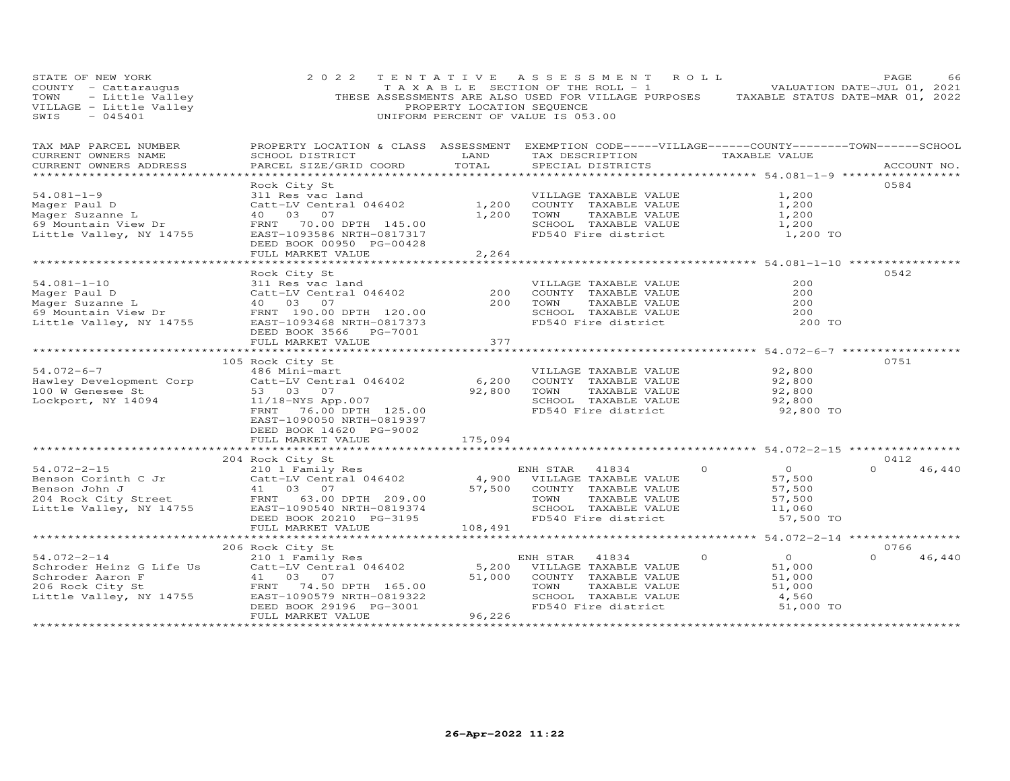| STATE OF NEW YORK<br>COUNTY - Cattaraugus<br>OF NEW TOOK<br>- Little Valley<br>E - Little Valley<br>E - Little Valley<br>TOWN<br>VILLAGE - Little Valley<br>SWIS                                        | 2 0 2 2                                                                                                                                                                          | PROPERTY LOCATION SEQUENCE | TENTATIVE ASSESSMENT ROLL<br>T A X A B L E SECTION OF THE ROLL - 1<br>THESE ASSESSMENTS ARE ALSO USED FOR VILLAGE PURPOSES TAXABLE STATUS DATE-MAR 01, 2022<br>UNIFORM PERCENT OF VALUE IS 053.00 |                                                                                 | PAGE<br>66<br>VALUATION DATE-JUL 01, 2021 |
|---------------------------------------------------------------------------------------------------------------------------------------------------------------------------------------------------------|----------------------------------------------------------------------------------------------------------------------------------------------------------------------------------|----------------------------|---------------------------------------------------------------------------------------------------------------------------------------------------------------------------------------------------|---------------------------------------------------------------------------------|-------------------------------------------|
| TAX MAP PARCEL NUMBER<br>CURRENT OWNERS NAME<br>CURRENT OWNERS ADDRESS                                                                                                                                  | PROPERTY LOCATION & CLASS ASSESSMENT EXEMPTION CODE-----VILLAGE------COUNTY-------TOWN------SCHOOL<br>SCHOOL DISTRICT<br>PARCEL SIZE/GRID COORD TOTAL                            | LAND                       | TAX DESCRIPTION TAXABLE VALUE<br>SPECIAL DISTRICTS                                                                                                                                                |                                                                                 | ACCOUNT NO.                               |
| $54.081 - 1 - 9$<br>Mager Paul D<br>Mager Suzanne L<br>69 Mountain View Dr<br>Little Valley, NY 14755                                                                                                   | Rock City St<br>311 Res vac land<br>Catt-LV Central 046402<br>40  03  07<br>FRNT 70.00 DPTH 145.00<br>EAST-1093586 NRTH-0817317<br>DEED BOOK 00950 PG-00428<br>FULL MARKET VALUE | 1,200<br>1,200<br>2,264    | VILLAGE TAXABLE VALUE<br>COUNTY TAXABLE VALUE<br>TOWN     TAXABLE VALUE<br>SCHOOL TAXABLE VALUE<br>FD540 Fire district                                                                            | 1,200<br>1,200<br>1,200<br>1,200<br>1,200 TO                                    | 0584                                      |
|                                                                                                                                                                                                         | Rock City St                                                                                                                                                                     |                            |                                                                                                                                                                                                   |                                                                                 | 0542                                      |
| $54.081 - 1 - 10$<br>Mager Paul D<br>Mager Paul D<br>Mager Suzanne L<br>69 Mountain View Dr<br>Little Valley, NY 14755                                                                                  | 311 Res vac land<br>Catt-LV Central 046402<br>40 03 07<br>40  03  07<br>FRNT 190.00 DPTH 120.00<br>EAST-1093468 NRTH-0817373<br>DEED BOOK 3566 PG-7001                           | 200<br>200                 | VILLAGE TAXABLE VALUE<br>COUNTY TAXABLE VALUE<br>TAXABLE VALUE<br>TAXABLE VALUE<br>-------- -------<br>TOWN<br>SCHOOL TAXABLE VALUE<br>FD540 Fire district                                        | 200<br>200<br>200<br>200<br>200 TO                                              |                                           |
|                                                                                                                                                                                                         | FULL MARKET VALUE                                                                                                                                                                | 377                        |                                                                                                                                                                                                   |                                                                                 |                                           |
| $54.072 - 6 - 7$<br>Hawley Development Corp<br>100 W Genesee St<br>Lockport, NY 14094                                                                                                                   | 105 Rock City St<br>53 03 07<br>11/18-NYS App.007<br>FRNT 76.00 DPTH 125.00<br>EAST-1090050 NRTH-0819397<br>DEED BOOK 14620 PG-9002                                              | 92,800 TOWN<br>SCHOO       | TOWN      TAXABLE  VALUE<br>SCHOOL   TAXABLE  VALUE<br>FD540 Fire district                                                                                                                        | 92,800<br>92,800<br>92,800<br>92,800<br>92,800 TO                               | 0751                                      |
|                                                                                                                                                                                                         | FULL MARKET VALUE                                                                                                                                                                | 175,094                    |                                                                                                                                                                                                   |                                                                                 |                                           |
| $54.072 - 2 - 15$<br>Example 10 Corinth C Jr and Cattle LV Central 046402<br>Benson John J 41 03 07<br>204 Rock City Street FRNT 63.00 DPTH 209.00<br>Little Valley, NY 14755 EAST-1090540 NRTH-0819374 | 204 Rock City St<br>210 1 Family Res<br>Catt-LV Central 046402<br>41 03 07<br>DEED BOOK 20210 PG-3195                                                                            |                            | ENH STAR 41834<br>ENH SIAN TALOR<br>4,900 VILLAGE TAXABLE VALUE<br>57,500 COUNTY TAXABLE VALUE<br>TOWN TAXABLE VALUE<br>SCHOOL TAXABLE VALUE<br>FD540 Fire district                               | $\overline{O}$<br>$\Omega$<br>57,500<br>57,500<br>57,500<br>11,060<br>57,500 TO | 0412<br>46,440                            |
|                                                                                                                                                                                                         | FULL MARKET VALUE                                                                                                                                                                | 108,491                    |                                                                                                                                                                                                   |                                                                                 |                                           |
| $54.072 - 2 - 14$<br>Schroder Heinz G Life Us<br>Schroder Aaron F<br>206 Rock City St<br>Little Valley, NY 14755                                                                                        | 206 Rock City St<br>210 1 Family Res<br>Catt-LV Central 046402<br>41 03 07<br>FRNT 74.50 DPTH 165.00<br>EAST-1090579 NRTH-0819322<br>DEED BOOK 29196 PG-3001                     |                            | ENH STAR<br>41834<br>5,200 VILLAGE TAXABLE VALUE<br>51,000 COUNTY TAXABLE VALUE<br>TAXABLE VALUE<br>TOWN<br>SCHOOL TAXABLE VALUE<br>FD540 Fire district                                           | $\Omega$<br>$\overline{O}$<br>51,000<br>51,000<br>51,000<br>4,560<br>51,000 TO  | 0766<br>46,440                            |
| ************************                                                                                                                                                                                | FULL MARKET VALUE                                                                                                                                                                | 96,226                     |                                                                                                                                                                                                   |                                                                                 |                                           |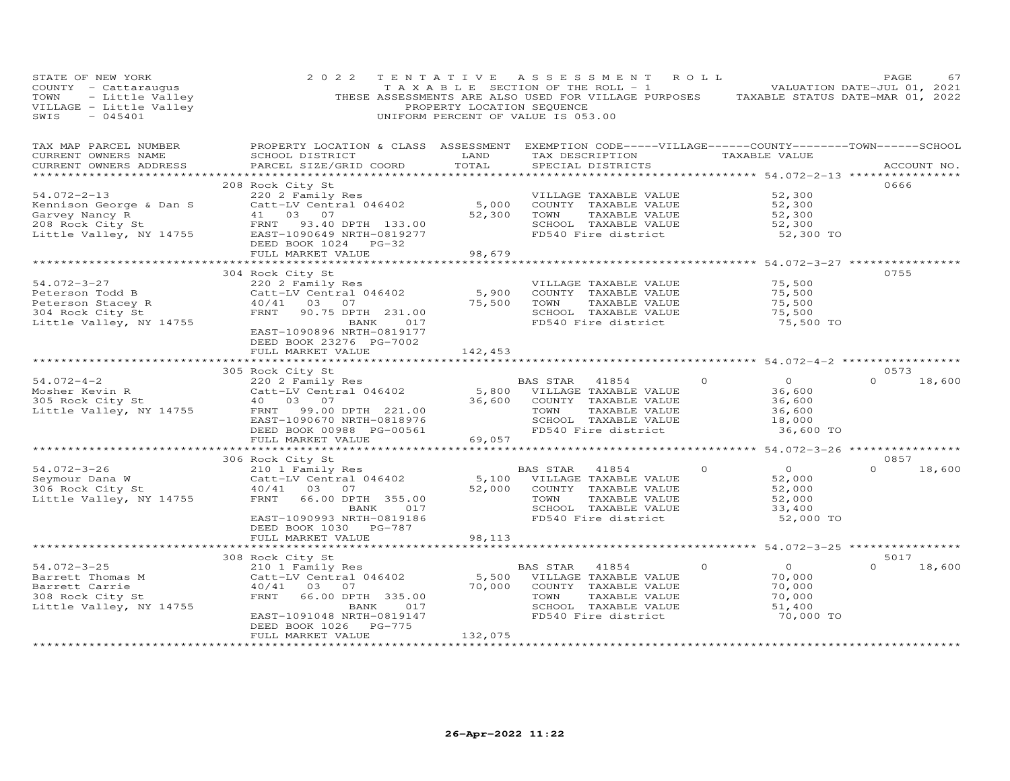| STATE OF NEW YORK<br>STATE OF NEW 1988<br>COUNTY - Cattaraugus<br>TOWN - Little Valley<br>VILLAGE - Little Valley<br>2015/01 | 2 0 2 2                                                                                                                                                                           | TENTATIVE<br>PROPERTY LOCATION SEQUENCE | ASSESSMENT ROLL<br>$T A X A B L E$ SECTION OF THE ROLL - 1 VALUATION DATE-JUL 01, 2021<br>THESE ASSESSMENTS ARE ALSO USED FOR VILLAGE PURPOSES TAXABLE STATUS DATE-MAR 01, 2022<br>UNIFORM PERCENT OF VALUE IS 053.00 |                                   |                                                        | PAGE        | 67     |
|------------------------------------------------------------------------------------------------------------------------------|-----------------------------------------------------------------------------------------------------------------------------------------------------------------------------------|-----------------------------------------|-----------------------------------------------------------------------------------------------------------------------------------------------------------------------------------------------------------------------|-----------------------------------|--------------------------------------------------------|-------------|--------|
| TAX MAP PARCEL NUMBER<br>CURRENT OWNERS NAME<br>CURRENT OWNERS ADDRESS                                                       | PROPERTY LOCATION & CLASS ASSESSMENT EXEMPTION CODE-----VILLAGE------COUNTY-------TOWN------SCHOOL<br>SCHOOL DISTRICT<br>PARCEL SIZE/GRID COORD                                   | LAND<br>TOTAL                           | TAX DESCRIPTION<br>SPECIAL DISTRICTS                                                                                                                                                                                  |                                   | TAXABLE VALUE                                          | ACCOUNT NO. |        |
| $54.072 - 2 - 13$                                                                                                            | 208 Rock City St                                                                                                                                                                  |                                         | VILLAGE TAXABLE VALUE<br>COUNTY TAXABLE VALUE                                                                                                                                                                         |                                   | 52,300<br>52,300                                       | 0666        |        |
| Kennison George & Dan S<br>Garvey Nancy R<br>208 Rock City St<br>Little Valley, NY 14755                                     | FRNT 93.40 DPTH 133.00<br>EAST-1090649 NRTH-0819277<br>DEED BOOK 1024 PG-32                                                                                                       |                                         | TOWN<br>TAXABLE VALUE<br>SCHOOL TAXABLE VALUE<br>FD540 Fire district                                                                                                                                                  |                                   | 52,300<br>52,300<br>52,300 TO                          |             |        |
|                                                                                                                              | FULL MARKET VALUE                                                                                                                                                                 | 98,679<br>* * * * * * * * * * * *       |                                                                                                                                                                                                                       |                                   | $*************54.072-3-27**********$                   |             |        |
| $54.072 - 3 - 27$                                                                                                            | 304 Rock City St<br>220 2 Family Res                                                                                                                                              |                                         | VILLAGE TAXABLE VALUE                                                                                                                                                                                                 |                                   | 75,500                                                 | 0755        |        |
| Peterson Todd B<br>Peterson Stacey R<br>304 Rock City St<br>Little Valley, NY 14755                                          | Catt-LV Central 046402<br>40/41 03 07<br>FRNT<br>90.75 DPTH 231.00<br>BANK 017<br>EAST-1090896 NRTH-0819177                                                                       | 5,900<br>75,500                         | COUNTY TAXABLE VALUE<br>TAXABLE VALUE<br>TOWN<br>SCHOOL TAXABLE VALUE<br>FD540 Fire district                                                                                                                          |                                   | 75,500<br>75,500<br>75,500<br>75,500 TO                |             |        |
|                                                                                                                              | DEED BOOK 23276 PG-7002<br>FULL MARKET VALUE                                                                                                                                      | 142,453                                 |                                                                                                                                                                                                                       |                                   |                                                        |             |        |
|                                                                                                                              | 305 Rock City St                                                                                                                                                                  |                                         |                                                                                                                                                                                                                       |                                   |                                                        | 0573        |        |
| $54.072 - 4 - 2$                                                                                                             | Exercise of the Sandal Base of the Sandal Base of the Sandal Catt-LV Central 046402<br>Catt-LV Central 046402 5,800 VILLAGE TAXABLE VALUE<br>10 03 07 36,600 COUNTY TAXABLE VALUE |                                         |                                                                                                                                                                                                                       | $\overline{0}$ and $\overline{0}$ | $\overline{O}$                                         | $\Omega$    | 18,600 |
| Mosher Kevin R<br>305 Rock City St                                                                                           |                                                                                                                                                                                   |                                         |                                                                                                                                                                                                                       |                                   | 36,600                                                 |             |        |
| Little Valley, NY 14755                                                                                                      | 40  03  07                                                                                                                                                                        | 36,600                                  | COUNTY TAXABLE VALUE                                                                                                                                                                                                  |                                   | 36,600                                                 |             |        |
|                                                                                                                              | FRNT<br>99.00 DPTH 221.00<br>EAST-1090670 NRTH-0818976                                                                                                                            |                                         | TAXABLE VALUE<br>TOWN<br>SCHOOL TAXABLE VALUE                                                                                                                                                                         |                                   | 36,600<br>18,000                                       |             |        |
|                                                                                                                              | DEED BOOK 00988 PG-00561<br>FULL MARKET VALUE                                                                                                                                     | 69,057                                  | FD540 Fire district                                                                                                                                                                                                   |                                   | 36,600 TO                                              |             |        |
|                                                                                                                              |                                                                                                                                                                                   |                                         |                                                                                                                                                                                                                       |                                   |                                                        |             |        |
|                                                                                                                              | 306 Rock City St                                                                                                                                                                  |                                         |                                                                                                                                                                                                                       |                                   |                                                        | 0857        |        |
| 54.072-3-26<br>Seymour Dana W<br>306 Rock City St<br>Little Valley, NY 14755                                                 | 210 1 Family Res<br>Catt-LV Central 046402<br>40/41 03 07<br>FRNT<br>66.00 DPTH 355.00<br>BANK<br>017                                                                             |                                         | AND STAR 41854<br>5,100 VILLAGE TAXABLE VALUE<br>52,000 COUNTY TAVARIT<br>COUNTY TAXABLE VALUE<br>TAXABLE VALUE<br>TOWN<br>SCHOOL TAXABLE VALUE                                                                       | $\Omega$                          | $\overline{O}$<br>52,000<br>52,000<br>52,000<br>33,400 | $\Omega$    | 18,600 |
|                                                                                                                              | EAST-1090993 NRTH-0819186<br>DEED BOOK 1030 PG-787                                                                                                                                |                                         | FD540 Fire district                                                                                                                                                                                                   |                                   | 52,000 TO                                              |             |        |
|                                                                                                                              | FULL MARKET VALUE                                                                                                                                                                 | 98,113                                  |                                                                                                                                                                                                                       |                                   |                                                        |             |        |
|                                                                                                                              | 308 Rock City St                                                                                                                                                                  |                                         |                                                                                                                                                                                                                       |                                   |                                                        | 5017        |        |
| 54.072-3-25                                                                                                                  | Rock City St<br>210 1 Family Res                                                                                                                                                  |                                         | BAS STAR 41854                                                                                                                                                                                                        | $\Omega$                          | $\overline{O}$                                         | $\Omega$    | 18,600 |
| Barrett Thomas M<br>Barrett Carrie<br>308 Rock City St<br>Little Valley, NY 14755                                            | Catt-LV Central 046402<br>40/41<br>03 07<br>FRNT<br>66.00 DPTH 335.00<br>BANK 017<br>EAST-1091048 NRTH-0819147                                                                    | 70,000                                  | 5,500 VILLAGE TAXABLE VALUE<br>COUNTY TAXABLE VALUE<br>TOWN<br>TAXABLE VALUE<br>SCHOOL TAXABLE VALUE<br>FD540 Fire district                                                                                           |                                   | 70,000<br>70,000<br>70,000<br>51,400<br>70,000 TO      |             |        |
|                                                                                                                              | DEED BOOK 1026 PG-775<br>FULL MARKET VALUE<br>* * * * * * * * * * * * * * * * * * * *                                                                                             | 132,075<br>* * * * * * * * * * * * * *  |                                                                                                                                                                                                                       |                                   |                                                        |             |        |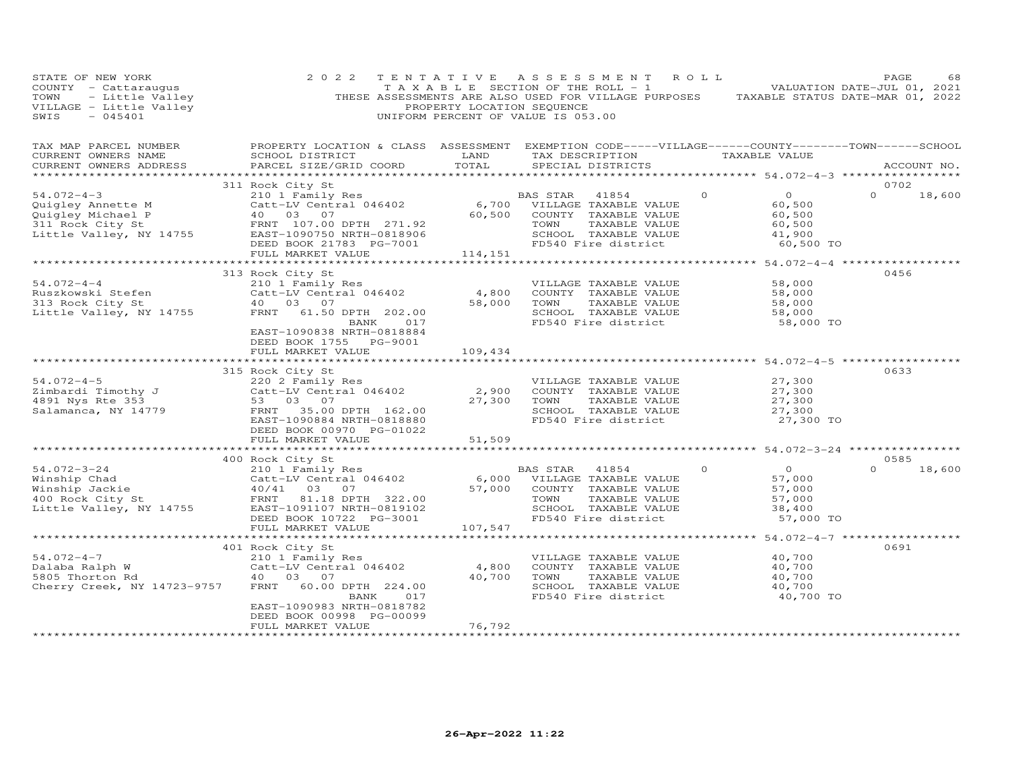| STATE OF NEW YORK<br>COUNTY - Cattaraugus<br>TOWN - Little Valley<br>VILLAGE - Little Valley<br>SWIS - 045401 | 2 0 2 2                                                                                                                                                                                                    | TENTATIVE<br>PROPERTY LOCATION SEQUENCE | ASSESSMENT<br>T A X A B L E SECTION OF THE ROLL - 1<br>THESE ASSESSMENTS ARE ALSO USED FOR VILLAGE PURPOSES TAXABLE STATUS DATE-MAR 01, 2022<br>UNIFORM PERCENT OF VALUE IS 053.00 | R O L L                                                                         | PAGE<br>68<br>VALUATION DATE-JUL 01, 2021 |
|---------------------------------------------------------------------------------------------------------------|------------------------------------------------------------------------------------------------------------------------------------------------------------------------------------------------------------|-----------------------------------------|------------------------------------------------------------------------------------------------------------------------------------------------------------------------------------|---------------------------------------------------------------------------------|-------------------------------------------|
| TAX MAP PARCEL NUMBER<br>CURRENT OWNERS NAME<br>CURRENT OWNERS ADDRESS                                        | PROPERTY LOCATION & CLASS ASSESSMENT EXEMPTION CODE-----VILLAGE------COUNTY-------TOWN------SCHOOL<br>SCHOOL DISTRICT<br>PARCEL SIZE/GRID COORD                                                            | LAND<br>TOTAL                           | TAX DESCRIPTION<br>SPECIAL DISTRICTS                                                                                                                                               | TAXABLE VALUE                                                                   | ACCOUNT NO.                               |
|                                                                                                               |                                                                                                                                                                                                            |                                         |                                                                                                                                                                                    |                                                                                 | 0702                                      |
| $54.072 - 4 - 3$<br>Quigley Annette M<br>Quigley Michael P<br>311 Rock City St<br>Little Valley, NY 14755     | 311 Rock City St<br>210 1 Family Res<br>Catt-LV Central 046402<br>6,700 VILLAGE TAXABLE VALUE<br>40 03 07<br>40  03  07<br>FRNT 107.00 DPTH 271.92<br>EAST-1090750 NRTH-0818906<br>DEED BOOK 21783 PG-7001 | 60,500                                  | COUNTY TAXABLE VALUE<br>TAXABLE VALUE<br>TOWN<br>SCHOOL TAXABLE VALUE<br>FD540 Fire district                                                                                       | $\Omega$<br>$\overline{O}$<br>60,500<br>60,500<br>60,500<br>41,900<br>60,500 TO | $\Omega$<br>18,600                        |
|                                                                                                               | FULL MARKET VALUE                                                                                                                                                                                          | 114,151                                 |                                                                                                                                                                                    |                                                                                 |                                           |
| $54.072 - 4 - 4$<br>Ruszkowski Stefen<br>313 Rock City St<br>Little Valley, NY 14755                          | 313 Rock City St<br>210 1 Family Res<br>Catt-LV Central 046402<br>40  03  07<br>FRNT 61.50 DPTH 202.00<br>017<br>BANK<br>EAST-1090838 NRTH-0818884                                                         | 4,800<br>58,000                         | VILLAGE TAXABLE VALUE<br>COUNTY TAXABLE VALUE<br>TOWN<br>TAXABLE VALUE<br>SCHOOL TAXABLE VALUE<br>FD540 Fire district                                                              | 58,000<br>58,000<br>58,000<br>58,000<br>58,000 TO                               | 0456                                      |
|                                                                                                               | DEED BOOK 1755 PG-9001                                                                                                                                                                                     |                                         |                                                                                                                                                                                    |                                                                                 |                                           |
|                                                                                                               | FULL MARKET VALUE<br>************************                                                                                                                                                              | 109,434                                 |                                                                                                                                                                                    |                                                                                 |                                           |
| $54.072 - 4 - 5$<br>Zimbardi Timothy J<br>4891 Nys Rte 353<br>Salamanca, NY 14779                             | 315 Rock City St<br>220 2 Family Res<br>Catt-LV Central 046402<br>53 03 07<br>FRNT 35.00 DPTH 162.00<br>EAST-1090884 NRTH-0818880<br>DEED BOOK 00970 PG-01022                                              | 2,900<br>27,300                         | VILLAGE TAXABLE VALUE<br>COUNTY TAXABLE VALUE<br>TOWN<br>TAXABLE VALUE<br>SCHOOL TAXABLE VALUE<br>FD540 Fire district                                                              | 27,300<br>27,300<br>27,300<br>27,300<br>27,300 TO                               | 0633                                      |
|                                                                                                               | FULL MARKET VALUE                                                                                                                                                                                          | 51,509                                  |                                                                                                                                                                                    |                                                                                 |                                           |
|                                                                                                               | 400 Rock City St                                                                                                                                                                                           |                                         |                                                                                                                                                                                    |                                                                                 | 0585                                      |
| $54.072 - 3 - 24$<br>Winship Chad<br>Winship Jackie<br>400 Rock City St<br>Little Valley, NY 14755            | 210 1 Family Res<br>Catt-LV Central 046402<br>Catt-LV Central 046402<br>40/41 03 07<br>FRNT 81.18 DPTH 322.00<br>NY 14755 EAST-1091107 NRTH-0819102<br>DEED BOOK 10722 PG-3001<br>FULL MARKET VALUE        | 6,000<br>57,000<br>107,547              | BAS STAR 41854<br>VILLAGE TAXABLE VALUE<br>COUNTY TAXABLE VALUE<br>TAXABLE VALUE<br>TOWN<br>SCHOOL TAXABLE VALUE<br>FD540 Fire district                                            | $\overline{O}$<br>$\Omega$<br>57,000<br>57,000<br>57,000<br>38,400<br>57,000 TO | $\Omega$<br>18,600                        |
|                                                                                                               |                                                                                                                                                                                                            |                                         |                                                                                                                                                                                    |                                                                                 |                                           |
| $54.072 - 4 - 7$<br>Dalaba Ralph W<br>5805 Thorton Rd<br>Cherry Creek, NY 14723-9757                          | 401 Rock City St<br>210 1 Family Res<br>Catt-LV Central 046402<br>40  03  07<br>60.00 DPTH 224.00<br>FRNT<br>017<br>BANK<br>EAST-1090983 NRTH-0818782                                                      | 4,800<br>40,700                         | VILLAGE TAXABLE VALUE<br>COUNTY TAXABLE VALUE<br>TAXABLE VALUE<br>TOWN<br>SCHOOL TAXABLE VALUE<br>FD540 Fire district                                                              | 40,700<br>40,700<br>40,700<br>40,700<br>40,700 TO                               | 0691                                      |
|                                                                                                               | DEED BOOK 00998 PG-00099<br>FULL MARKET VALUE                                                                                                                                                              | 76,792                                  |                                                                                                                                                                                    |                                                                                 |                                           |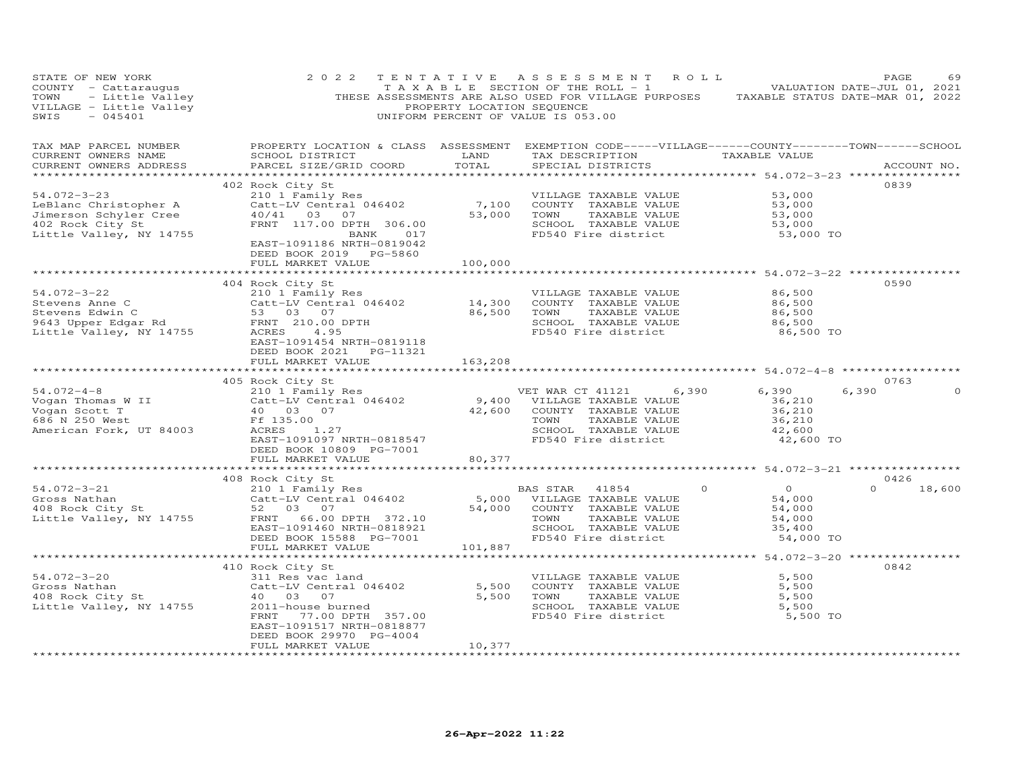| STATE OF NEW YORK<br>COUNTY - Cattaraugus<br>TOWN - Little Valley<br>VILLAGE - Little Valley<br>SWIS - 045401 | 2 0 2 2                                                                                                                                                                                                                                                                                                                                                               | PROPERTY LOCATION SEQUENCE | TENTATIVE ASSESSMENT ROLL<br>TAXABLE SECTION OF THE ROLL - 1 NOTIFICAL MALUATION DATE-JUL 01, 2021<br>THESE ASSESSMENTS ARE ALSO USED FOR VILLAGE PURPOSES TAXABLE STATUS DATE-MAR 01, 2022<br>UNIFORM PERCENT OF VALUE IS 053.00                                                              |                                                                      | PAGE<br>69                 |
|---------------------------------------------------------------------------------------------------------------|-----------------------------------------------------------------------------------------------------------------------------------------------------------------------------------------------------------------------------------------------------------------------------------------------------------------------------------------------------------------------|----------------------------|------------------------------------------------------------------------------------------------------------------------------------------------------------------------------------------------------------------------------------------------------------------------------------------------|----------------------------------------------------------------------|----------------------------|
| TAX MAP PARCEL NUMBER<br>CURRENT OWNERS NAME<br>CURRENT OWNERS ADDRESS                                        | SCHOOL DISTRICT<br>PARCEL SIZE/GRID COORD                                                                                                                                                                                                                                                                                                                             | LAND<br>TOTAL              | PROPERTY LOCATION & CLASS ASSESSMENT EXEMPTION CODE-----VILLAGE------COUNTY-------TOWN------SCHOOL<br>TAX DESCRIPTION TAXABLE VALUE<br>SPECIAL DISTRICTS                                                                                                                                       |                                                                      | ACCOUNT NO.                |
| 54.072-3-23<br>LeBlanc Christopher A<br>Jimerson Schyler Cree<br>402 Rock City St<br>Little Valley, NY 14755  | 402 Rock City St<br>EAST-1091186 NRTH-0819042<br>FULL MARKET VALUE                                                                                                                                                                                                                                                                                                    | 100,000                    | NOCK CILY SLOUT TRANSPORT OF THE CALL TRANSPORT OF COUNTY TRANSPORT CALL TRANSPORT OF THE CALL OF THE CALL TRANSPORT OF THE CALL TRANSPORT OF THE CHOICH OF THE CHOICH OF THE CHOICH OF THE CHOICH OF THE CHOICH OF THE CHOICH<br>SCHOOL TAXABLE VALUE 53,000<br>FD540 Fire district 53,000 TO | 53,000<br>53,000<br>53,000<br>53,000<br>53,000                       | 0839                       |
|                                                                                                               | 404 Rock City St<br>9401.072-3-22<br>Stevens Anne C<br>Stevens Edwin C<br>2010 I Family Res<br>2010 I Family Res<br>2010 I FRNT 210.00 DPTH<br>201.00 DPTH<br>201.00 DPTH<br>201.00 DPTH<br>201.00 DPTH<br>201.00 DPTH<br>201.00 DPTH<br>201.00 DPTH<br>201.00 DPTH<br>201.00<br>EAST-1091454 NRTH-0819118<br>DEED BOOK 2021    PG-11321<br>FULL MARKET VALUE 163,208 |                            | TAXABLE VALUE<br>SCHOOL TAXABLE VALUE<br>FD540 Fire district                                                                                                                                                                                                                                   | 86,500<br>86,500<br>86,500<br>86,500<br>86,500 TO                    | 0590                       |
|                                                                                                               |                                                                                                                                                                                                                                                                                                                                                                       |                            |                                                                                                                                                                                                                                                                                                |                                                                      | 0763                       |
|                                                                                                               | Vogan Thomas W II<br>Vogan Scott T<br>Vogan Scott T<br>686 N 250 West<br>American Fork, UT 84003<br>American Fork, UT 84003<br>Price Price Price Price Price Price Price Price Price Price Price Price Price Price Price Price Price Price<br>DEED BOOK 10809 PG-7001<br>FULL MARKET VALUE                                                                            | 80,377                     | VET WAR CT 41121 6,390<br>9,400 VELLAGE TAXABLE VALUE<br>42,600 COUNTY TAXABLE VALUE<br>TOWN TAXABLE VALUE<br>SCHOOL TAXABLE VALUE<br>TOWN TAXABLE VALUE 36,210<br>SCHOOL TAXABLE VALUE 42,600<br>FD540 Fire district 42,600 TO                                                                | 6,390<br>36,210<br>36,210                                            | 6,390                      |
|                                                                                                               |                                                                                                                                                                                                                                                                                                                                                                       |                            |                                                                                                                                                                                                                                                                                                |                                                                      |                            |
|                                                                                                               |                                                                                                                                                                                                                                                                                                                                                                       |                            | SCHOOL TAXABLE VALUE<br>FD540 Fire district                                                                                                                                                                                                                                                    | $0$ 0<br>54,000<br>54,000<br>54,000<br>54,000<br>35,400<br>54,000 TO | 0426<br>18,600<br>$\Omega$ |
|                                                                                                               |                                                                                                                                                                                                                                                                                                                                                                       |                            |                                                                                                                                                                                                                                                                                                | ******************** 54.072-3-20 *****************                   |                            |
| 54.072-3-20<br>Gross Nathan<br>408 Rock City St<br>Little Valley, NY 14755                                    | 410 Rock City St<br>311 Res vac land<br>Catt-LV Central 046402<br>40 03 07<br>2011-house burned<br>FRNT 77.00 DPTH 357.00<br>EAST-1091517 NRTH-0818877<br>DEED BOOK 29970 PG-4004                                                                                                                                                                                     |                            | VILLAGE TAXABLE VALUE<br>5,500 COUNTY TAXABLE VALUE<br>5,500 TOWN<br>TAXABLE VALUE<br>SCHOOL TAXABLE VALUE<br>FD540 Fire district                                                                                                                                                              | 5,500<br>5,500<br>5,500<br>5,500<br>5,500 TO                         | 0842                       |
|                                                                                                               | FULL MARKET VALUE                                                                                                                                                                                                                                                                                                                                                     | 10,377                     |                                                                                                                                                                                                                                                                                                |                                                                      |                            |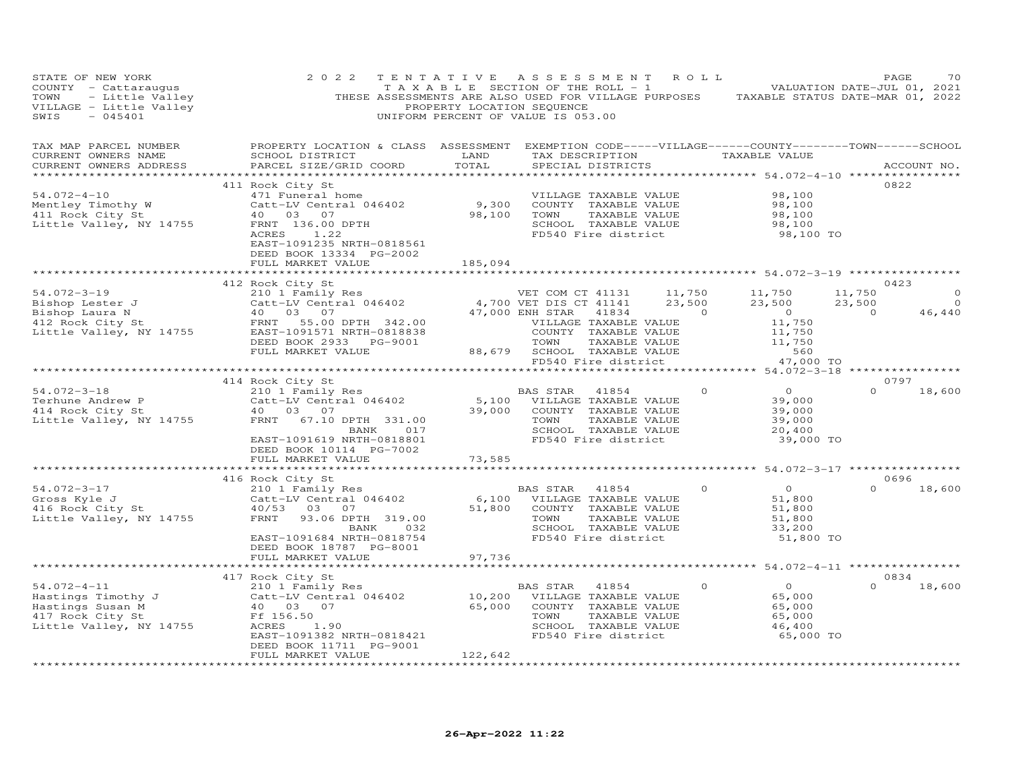| STATE OF NEW YORK<br>COUNTY - Cattaraugus<br>- Little Valley<br>E - Little Valley<br>- 045401<br>TOWN<br>VILLAGE - Little Valley<br>SWIS              | 2 0 2 2                                                                                                                                                                                                                       | PROPERTY LOCATION SEQUENCE        | TENTATIVE ASSESSMENT ROLL<br>TAXABLE SECTION OF THE ROLL - 1 VALUATION DATE-JUL 01, 2021<br>THESE ASSESSMENTS ARE ALSO USED FOR VILLAGE PURPOSES TAXABLE STATUS DATE-MAR 01, 2022<br>UNIFORM PERCENT OF VALUE IS 053.00 |                                                                                        | PAGE                                                                 |
|-------------------------------------------------------------------------------------------------------------------------------------------------------|-------------------------------------------------------------------------------------------------------------------------------------------------------------------------------------------------------------------------------|-----------------------------------|-------------------------------------------------------------------------------------------------------------------------------------------------------------------------------------------------------------------------|----------------------------------------------------------------------------------------|----------------------------------------------------------------------|
| TAX MAP PARCEL NUMBER<br>CURRENT OWNERS NAME<br>CURRENT OWNERS ADDRESS                                                                                | PROPERTY LOCATION & CLASS ASSESSMENT EXEMPTION CODE-----VILLAGE------COUNTY--------TOWN------SCHOOL<br>SCHOOL DISTRICT<br>PARCEL SIZE/GRID COORD                                                                              | LAND<br>TOTAL                     | TAX DESCRIPTION TAXABLE VALUE<br>SPECIAL DISTRICTS                                                                                                                                                                      |                                                                                        | ACCOUNT NO.                                                          |
| $54.072 - 4 - 10$<br>Mentley Timothy W<br>411 Rock City St<br>Little Valley, NY 14755                                                                 | 411 Rock City St<br>471 Funeral home<br>Catt-LV Central 046402 9,300<br>40 03 07 98,100<br>EPNT 136.00 PRTV<br>FRNT 136.00 DPTH<br>ACRES<br>1.22<br>EAST-1091235 NRTH-0818561<br>DEED BOOK 13334 PG-2002<br>FULL MARKET VALUE | 185,094                           | VILLAGE TAXABLE VALUE<br>COUNTY TAXABLE VALUE<br>TOWN<br>TAXABLE VALUE<br>SCHOOL TAXABLE VALUE<br>FD540 Fire district                                                                                                   | 98,100<br>98,100<br>98,100<br>98,100<br>98,100 TO                                      | 0822                                                                 |
|                                                                                                                                                       |                                                                                                                                                                                                                               |                                   |                                                                                                                                                                                                                         |                                                                                        |                                                                      |
| $54.072 - 3 - 19$<br>Bishop Lester J<br>Bishop Laura N<br>412 Rock City St<br>Little Valley, NY 14755                                                 | 210 1 Family Res<br>Catt-LV Central 046402 4,700 VET DIS CT 41131<br>40 03 07 47,000 ENH STAR 41834<br>EAST-1091571 NRTH-0818838<br>DEED BOOK 2933 PG-9001<br>FULL MARKET VALUE                                               |                                   | VET COM CT 41131 11,750<br>23,500<br>47,000 ENH STAR 41834 0<br>VILLAGE TAXABLE VALUE<br>COUNTY TAXABLE VALUE<br>TOWN TAXABLE VALUE<br>88,679 SCHOOL TAXABLE VALUE                                                      | 11,750<br>23,500<br>$\overline{0}$<br>11,750<br>11,750<br>$\frac{11}{11}$ , 750<br>560 | 0423<br>11,750<br>$\circ$<br>23,500<br>$\circ$<br>$\sim$ 0<br>46,440 |
|                                                                                                                                                       |                                                                                                                                                                                                                               |                                   | FD540 Fire district                                                                                                                                                                                                     | 47,000 TO                                                                              |                                                                      |
|                                                                                                                                                       | 414 Rock City St                                                                                                                                                                                                              |                                   |                                                                                                                                                                                                                         |                                                                                        | 0797                                                                 |
| 54.072-3-18<br>Terhune Andrew P<br>414 Rock City St<br>414 Rock City St<br>Little Valley, NY 14755                                                    | FRNT 67.10 DPTH 331.00<br>BANK 017<br>EAST-1091619 NRTH-0818801<br>DEED BOOK 10114 PG-7002                                                                                                                                    | 39,000                            | TOWN<br>TAXABLE VALUE<br>SCHOOL TAXABLE VALUE<br>FD540 Fire district                                                                                                                                                    | $\overline{0}$<br>$\Omega$<br>39,000<br>39,000<br>39,000<br>20,400<br>39,000 TO        | $\Omega$<br>18,600                                                   |
|                                                                                                                                                       | FULL MARKET VALUE                                                                                                                                                                                                             | 73,585                            |                                                                                                                                                                                                                         |                                                                                        |                                                                      |
|                                                                                                                                                       | *****************                                                                                                                                                                                                             |                                   |                                                                                                                                                                                                                         | *************** 54.072-3-17 ***************                                            |                                                                      |
|                                                                                                                                                       | 416 Rock City St                                                                                                                                                                                                              |                                   |                                                                                                                                                                                                                         |                                                                                        | 0696                                                                 |
| 54.072-3-17<br>Gross Kyle J<br>416 Rock City St<br>Title<br>Little Valley, NY 14755                                                                   | 210 1 Family Res<br>Catt-LV Central 046402<br>40/53 03 07<br>FRNT<br>93.06 DPTH 319.00<br>BANK 032<br>EAST-1091684 NRTH-0818754<br>DEED BOOK 18787 PG-8001                                                                    | 6,100<br>51,800                   | BAS STAR 41854<br>VILLAGE TAXABLE VALUE<br>COUNTY TAXABLE VALUE<br>TAXABLE VALUE<br>TOWN<br>SCHOOL TAXABLE VALUE<br>FD540 Fire district                                                                                 | $\overline{0}$<br>$\Omega$<br>51,800<br>51,800<br>51,800<br>33,200<br>51,800 TO        | $\Omega$<br>18,600                                                   |
|                                                                                                                                                       | FULL MARKET VALUE                                                                                                                                                                                                             | 97,736                            |                                                                                                                                                                                                                         |                                                                                        |                                                                      |
|                                                                                                                                                       | **************************                                                                                                                                                                                                    |                                   |                                                                                                                                                                                                                         |                                                                                        |                                                                      |
| $54.072 - 4 - 11$<br>Hastings Timothy J<br>Hastings Susan M<br>40 03 07<br>417 Rock City St. Ff 156 50<br>417 Rock City St<br>Little Valley, NY 14755 | 417 Rock City St<br>210 1 Family Res<br>Catt-LV Central 046402<br>Ff 156.50<br>ACRES 1.90<br>EAST-1091382 NRTH-0818421<br>DEED BOOK 11711 PG-9001<br>FULL MARKET VALUE                                                        | 10,200<br>65,000<br>122,642       | BAS STAR 41854<br>VILLAGE TAXABLE VALUE<br>COUNTY TAXABLE VALUE<br>TOWN<br>TAXABLE VALUE<br>SCHOOL TAXABLE VALUE<br>FD540 Fire district                                                                                 | $\Omega$<br>$\overline{O}$<br>65,000<br>65,000<br>65,000<br>46,400<br>65,000 TO        | 0834<br>$\Omega$<br>18,600                                           |
|                                                                                                                                                       | *******************                                                                                                                                                                                                           | * * * * * * * * * * * * * * * * * |                                                                                                                                                                                                                         |                                                                                        |                                                                      |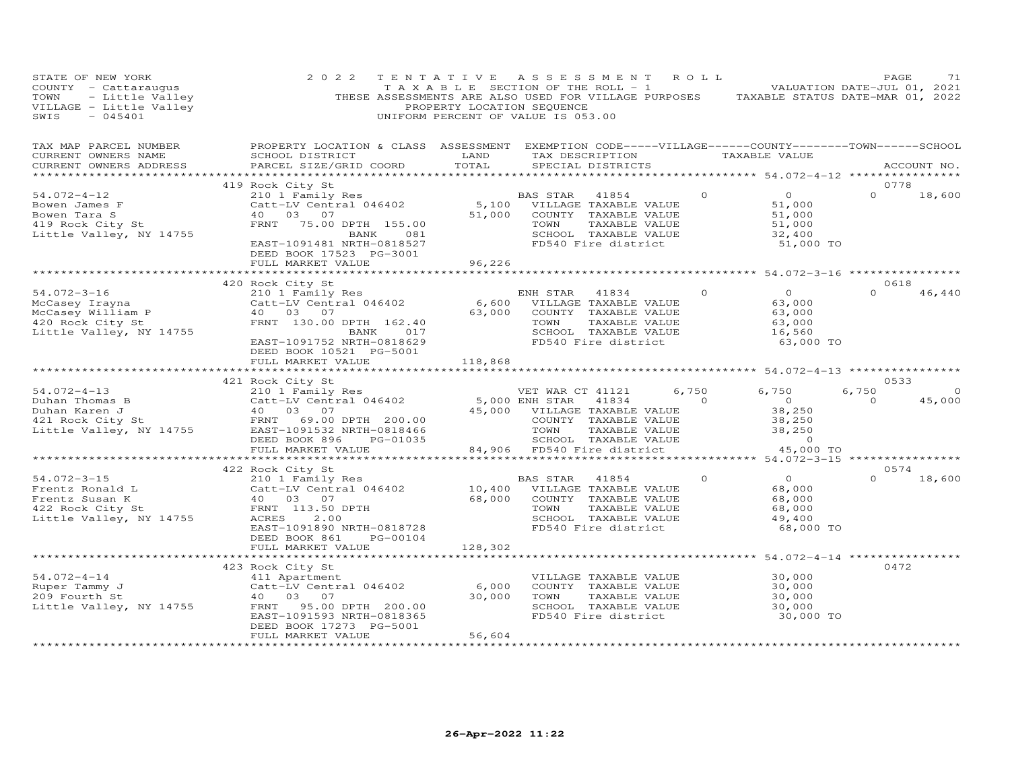| STATE OF NEW YORK<br>COUNTY - Cattaraugus<br>- - Cattaraugus<br>- Little Valley<br>E - Little Valley<br>- 045401<br>TOWN<br>VILLAGE - Little Valley<br>$-045401$<br>SWIS | 2 0 2 2<br>TENTATIVE                                                                                                                                                      | PROPERTY LOCATION SEQUENCE             | ASSESSMENT ROLL<br>$\overline{1}$ A X A B L E SECTION OF THE ROLL - 1 $\overline{1}$ VALUATION DATE-JUL 01, 2021<br>THESE ASSESSMENTS ARE ALSO USED FOR VILLAGE PURPOSES TAXABLE STATUS DATE-MAR 01, 2022<br>UNIFORM PERCENT OF VALUE IS 053.00 |                |                                                                     | PAGE             | 71             |
|--------------------------------------------------------------------------------------------------------------------------------------------------------------------------|---------------------------------------------------------------------------------------------------------------------------------------------------------------------------|----------------------------------------|-------------------------------------------------------------------------------------------------------------------------------------------------------------------------------------------------------------------------------------------------|----------------|---------------------------------------------------------------------|------------------|----------------|
| TAX MAP PARCEL NUMBER<br>CURRENT OWNERS NAME<br>CURRENT OWNERS ADDRESS                                                                                                   | PROPERTY LOCATION & CLASS ASSESSMENT EXEMPTION CODE-----VILLAGE------COUNTY-------TOWN------SCHOOL<br>SCHOOL DISTRICT<br>PARCEL SIZE/GRID COORD                           | LAND<br>TOTAL                          | TAX DESCRIPTION<br>SPECIAL DISTRICTS                                                                                                                                                                                                            |                | TAXABLE VALUE                                                       |                  | ACCOUNT NO.    |
|                                                                                                                                                                          | 419 Rock City St                                                                                                                                                          |                                        |                                                                                                                                                                                                                                                 |                |                                                                     | 0778             |                |
| $54.072 - 4 - 12$<br>Bowen James F<br>Bowen Tara S<br>419 Rock City St<br>Little Valley, NY 14755                                                                        | 210 1 Family Res<br>Catt-LV Central 046402<br>40 03 07<br>FRNT 75.00 DPTH 155.00<br>BANK 081<br>EAST-1091481 NRTH-0818527<br>DEED BOOK 17523 PG-3001<br>FULL MARKET VALUE | 51,000<br>96,226                       | BAS STAR 41854<br>5,100 VILLAGE TAXABLE VALUE<br>COUNTY TAXABLE VALUE<br>TOWN<br>TAXABLE VALUE<br>SCHOOL TAXABLE VALUE<br>FD540 Fire district                                                                                                   | $\circ$        | $\overline{O}$<br>51,000<br>51,000<br>51,000<br>32,400<br>51,000 TO | $\Omega$         | 18,600         |
|                                                                                                                                                                          |                                                                                                                                                                           |                                        |                                                                                                                                                                                                                                                 |                |                                                                     |                  |                |
|                                                                                                                                                                          | 420 Rock City St                                                                                                                                                          |                                        |                                                                                                                                                                                                                                                 |                |                                                                     | 0618             |                |
| $54.072 - 3 - 16$<br>54.072-3-10<br>McCasey Irayna<br>McCasey William P<br>McCasey William P<br>420 Rock City St<br>Little Valley, NY 14755                              | 210 1 Family Res<br>Catt-LV Central 046402<br>40  03  07<br>FRNT 130.00 DPTH 162.40<br>BANK 017<br>EAST-1091752 NRTH-0818629<br>DEED BOOK 10521 PG-5001                   | 6,600<br>63,000                        | ENH STAR<br>41834<br>VILLAGE TAXABLE VALUE<br>COUNTY TAXABLE VALUE<br>TOWN<br>TAXABLE VALUE<br>SCHOOL TAXABLE VALUE<br>FD540 Fire district                                                                                                      | $\Omega$       | $\Omega$<br>63,000<br>63,000<br>63,000<br>16,560<br>63,000 TO       | $\Omega$         | 46,440         |
|                                                                                                                                                                          | FULL MARKET VALUE                                                                                                                                                         | 118,868<br>* * * * * * * * * * * * * * |                                                                                                                                                                                                                                                 |                | ************ 54.072-4-13 *****************                          |                  |                |
|                                                                                                                                                                          |                                                                                                                                                                           |                                        |                                                                                                                                                                                                                                                 |                |                                                                     | 0533             |                |
|                                                                                                                                                                          | 210 1 Family Res                                                                                                                                                          |                                        | VET WAR CT 41121                                                                                                                                                                                                                                | 6,750          | 6,750                                                               | 6,750            | $\overline{0}$ |
|                                                                                                                                                                          | Catt-LV Central 046402<br>40 03 07<br>FRNT 69.00 DPTH 200.00<br>EAST-1091532 NRTH-0818466<br>PG-01035                                                                     |                                        | 5,000 ENH STAR 41834<br>45,000 VILLAGE TAXABLE VALUE<br>COUNTY TAXABLE VALUE<br>TOWN<br>TAXABLE VALUE<br>SCHOOL TAXABLE VALUE                                                                                                                   | $\overline{a}$ | $\overline{O}$<br>38,250<br>38,250<br>38,250<br>$\overline{0}$      | $\Omega$         | 45,000         |
|                                                                                                                                                                          | FULL MARKET VALUE                                                                                                                                                         |                                        | 84,906 FD540 Fire district                                                                                                                                                                                                                      |                | 45,000 TO                                                           |                  |                |
|                                                                                                                                                                          |                                                                                                                                                                           |                                        |                                                                                                                                                                                                                                                 |                |                                                                     |                  |                |
| $54.072 - 3 - 15$<br>Frentz Ronald L<br>Frentz Susan K<br>422 Rock City St<br>Little Valley, NY 14755                                                                    | 422 Rock City St<br>210 1 Family Res<br>Catt-LV Central 046402<br>$40$ 03 07<br>FRNT 113.50 DPTH<br>ACRES<br>2.00<br>EAST-1091890 NRTH-0818728                            | 68,000                                 | BAS STAR<br>41854<br>10,400 VILLAGE TAXABLE VALUE<br>COUNTY TAXABLE VALUE<br>TAXABLE VALUE<br>TOWN<br>SCHOOL TAXABLE VALUE<br>FD540 Fire district                                                                                               | $\Omega$       | $\overline{0}$<br>68,000<br>68,000<br>68,000<br>49,400<br>68,000 TO | 0574<br>$\Omega$ | 18,600         |
|                                                                                                                                                                          | DEED BOOK 861<br>PG-00104                                                                                                                                                 |                                        |                                                                                                                                                                                                                                                 |                |                                                                     |                  |                |
|                                                                                                                                                                          | FULL MARKET VALUE                                                                                                                                                         | 128,302                                |                                                                                                                                                                                                                                                 |                | ********** 54.072-4-14 *************                                |                  |                |
| $54.072 - 4 - 14$<br>Ruper Tammy J<br>209 Fourth St<br>Little Valley, NY 14755                                                                                           | 423 Rock City St<br>411 Apartment<br>Catt-LV Central 046402<br>40  03  07<br>FRNT 95.00 DPTH 200.00<br>EAST-1091593 NRTH-0818365<br>DEED BOOK 17273 PG-5001               | 6,000<br>30,000                        | VILLAGE TAXABLE VALUE<br>COUNTY TAXABLE VALUE<br>TOWN<br>TAXABLE VALUE<br>SCHOOL TAXABLE VALUE<br>FD540 Fire district                                                                                                                           |                | 30,000<br>30,000<br>30,000<br>30,000<br>30,000 TO                   | 0472             |                |
|                                                                                                                                                                          | FULL MARKET VALUE                                                                                                                                                         | 56,604                                 |                                                                                                                                                                                                                                                 |                |                                                                     |                  |                |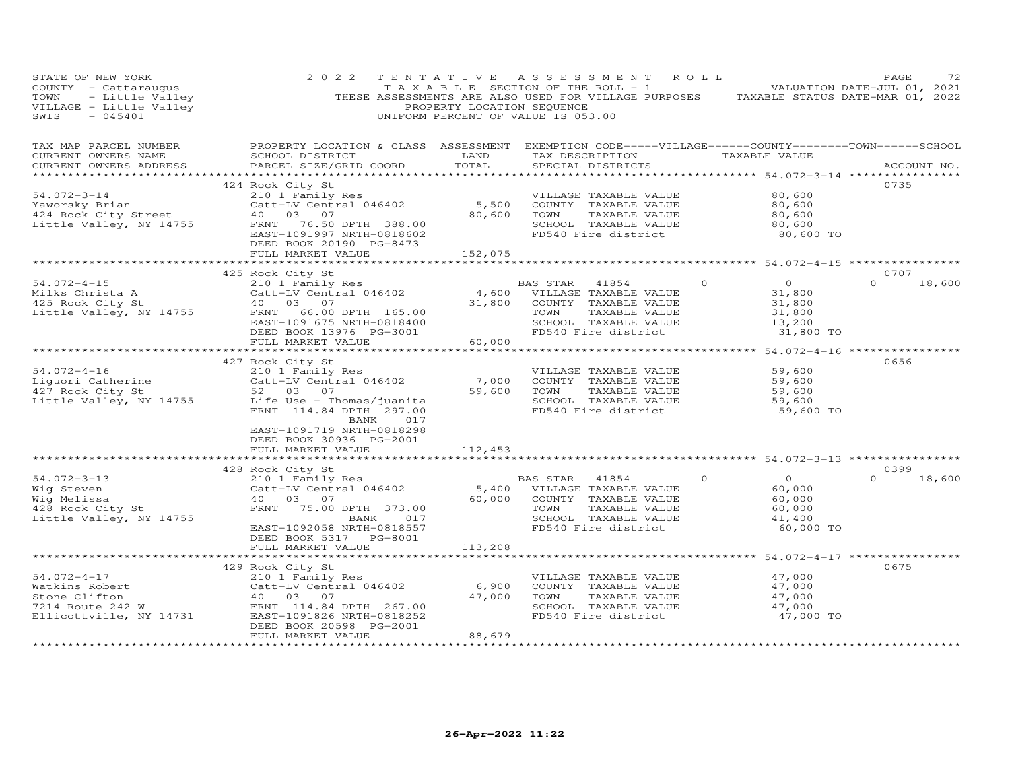| PROPERTY LOCATION & CLASS ASSESSMENT EXEMPTION CODE-----VILLAGE------COUNTY-------TOWN------SCHOOL<br>TAX MAP PARCEL NUMBER<br>LAND<br>TAX DESCRIPTION<br>CURRENT OWNERS NAME<br>SCHOOL DISTRICT<br>TAXABLE VALUE<br>TOTAL<br>PARCEL SIZE/GRID COORD<br>SPECIAL DISTRICTS<br>CURRENT OWNERS ADDRESS<br>ACCOUNT NO.<br>***********************<br>0735<br>424 Rock City St<br>54.072-3-14<br>80,600<br>210 1 Family Res<br>VILLAGE TAXABLE VALUE<br>5,500<br>Catt-LV Central 046402<br>80,600<br>Yaworsky Brian<br>COUNTY TAXABLE VALUE<br>424 Rock City Street<br>40  03  07<br>80,600<br>TOWN<br>TAXABLE VALUE<br>80,600<br>Little Valley, NY 14755<br>FRNT 76.50 DPTH 388.00<br>SCHOOL TAXABLE VALUE<br>80,600<br>EAST-1091997 NRTH-0818602<br>FD540 Fire district<br>80,600 TO<br>DEED BOOK 20190 PG-8473<br>FULL MARKET VALUE<br>152,075<br>*********** 54.072-4-15 ************<br>0707<br>425 Rock City St<br>$\overline{0}$<br>$54.072 - 4 - 15$<br>$\circ$<br>$\Omega$<br>18,600<br>210 1 Family Res<br>BAS STAR<br>41854<br>Catt-LV Central 046402<br>4,600 VILLAGE TAXABLE VALUE<br>Milks Christa A<br>31,800<br>31,800<br>425 Rock City St<br>40 03 07<br>COUNTY TAXABLE VALUE<br>31,800<br>Little Valley, NY 14755<br>FRNT 66.00 DPTH 165.00<br>TOWN<br>TAXABLE VALUE<br>31,800<br>SCHOOL TAXABLE VALUE<br>EAST-1091675 NRTH-0818400<br>13,200<br>DEED BOOK 13976 PG-3001<br>FD540 Fire district<br>31,800 TO<br>FULL MARKET VALUE<br>60,000<br>************** 54.072-4-16 *****************<br>427 Rock City St<br>0656<br>$54.072 - 4 - 16$<br>59,600<br>210 1 Family Res<br>VILLAGE TAXABLE VALUE<br>Catt-LV Central 046402<br>Liguori Catherine<br>427 Bock City St<br>7,000<br>COUNTY TAXABLE VALUE<br>59,600<br>427 Rock City St<br>59,600<br>TOWN<br>TAXABLE VALUE<br>59,600<br>52 03 07<br>Little Valley, NY 14755<br>Life Use - Thomas/juanita<br>SCHOOL TAXABLE VALUE<br>59,600<br>FRNT 114.84 DPTH 297.00<br>FD540 Fire district<br>59,600 TO<br>BANK 017<br>EAST-1091719 NRTH-0818298<br>DEED BOOK 30936 PG-2001<br>FULL MARKET VALUE<br>112,453<br>428 Rock City St<br>0399<br>$54.072 - 3 - 13$<br>$\Omega$<br>$\Omega$<br>210 1 Family Res<br>BAS STAR<br>41854<br>$\Omega$<br>18,600<br>Catt-LV Central 046402<br>Wig Steven<br>5,400 VILLAGE TAXABLE VALUE<br>60,000<br>Wig Melissa<br>60,000<br>COUNTY TAXABLE VALUE<br>60,000<br>40 03 07 |
|--------------------------------------------------------------------------------------------------------------------------------------------------------------------------------------------------------------------------------------------------------------------------------------------------------------------------------------------------------------------------------------------------------------------------------------------------------------------------------------------------------------------------------------------------------------------------------------------------------------------------------------------------------------------------------------------------------------------------------------------------------------------------------------------------------------------------------------------------------------------------------------------------------------------------------------------------------------------------------------------------------------------------------------------------------------------------------------------------------------------------------------------------------------------------------------------------------------------------------------------------------------------------------------------------------------------------------------------------------------------------------------------------------------------------------------------------------------------------------------------------------------------------------------------------------------------------------------------------------------------------------------------------------------------------------------------------------------------------------------------------------------------------------------------------------------------------------------------------------------------------------------------------------------------------------------------------------------------------------------------------------------------------------------------------------------------------------------------------------------------------------------------------------------------------------------------------------------------------------------------------------------------------------------------------------------------------------------------------------------------------|
|                                                                                                                                                                                                                                                                                                                                                                                                                                                                                                                                                                                                                                                                                                                                                                                                                                                                                                                                                                                                                                                                                                                                                                                                                                                                                                                                                                                                                                                                                                                                                                                                                                                                                                                                                                                                                                                                                                                                                                                                                                                                                                                                                                                                                                                                                                                                                                          |
|                                                                                                                                                                                                                                                                                                                                                                                                                                                                                                                                                                                                                                                                                                                                                                                                                                                                                                                                                                                                                                                                                                                                                                                                                                                                                                                                                                                                                                                                                                                                                                                                                                                                                                                                                                                                                                                                                                                                                                                                                                                                                                                                                                                                                                                                                                                                                                          |
|                                                                                                                                                                                                                                                                                                                                                                                                                                                                                                                                                                                                                                                                                                                                                                                                                                                                                                                                                                                                                                                                                                                                                                                                                                                                                                                                                                                                                                                                                                                                                                                                                                                                                                                                                                                                                                                                                                                                                                                                                                                                                                                                                                                                                                                                                                                                                                          |
|                                                                                                                                                                                                                                                                                                                                                                                                                                                                                                                                                                                                                                                                                                                                                                                                                                                                                                                                                                                                                                                                                                                                                                                                                                                                                                                                                                                                                                                                                                                                                                                                                                                                                                                                                                                                                                                                                                                                                                                                                                                                                                                                                                                                                                                                                                                                                                          |
|                                                                                                                                                                                                                                                                                                                                                                                                                                                                                                                                                                                                                                                                                                                                                                                                                                                                                                                                                                                                                                                                                                                                                                                                                                                                                                                                                                                                                                                                                                                                                                                                                                                                                                                                                                                                                                                                                                                                                                                                                                                                                                                                                                                                                                                                                                                                                                          |
|                                                                                                                                                                                                                                                                                                                                                                                                                                                                                                                                                                                                                                                                                                                                                                                                                                                                                                                                                                                                                                                                                                                                                                                                                                                                                                                                                                                                                                                                                                                                                                                                                                                                                                                                                                                                                                                                                                                                                                                                                                                                                                                                                                                                                                                                                                                                                                          |
|                                                                                                                                                                                                                                                                                                                                                                                                                                                                                                                                                                                                                                                                                                                                                                                                                                                                                                                                                                                                                                                                                                                                                                                                                                                                                                                                                                                                                                                                                                                                                                                                                                                                                                                                                                                                                                                                                                                                                                                                                                                                                                                                                                                                                                                                                                                                                                          |
|                                                                                                                                                                                                                                                                                                                                                                                                                                                                                                                                                                                                                                                                                                                                                                                                                                                                                                                                                                                                                                                                                                                                                                                                                                                                                                                                                                                                                                                                                                                                                                                                                                                                                                                                                                                                                                                                                                                                                                                                                                                                                                                                                                                                                                                                                                                                                                          |
|                                                                                                                                                                                                                                                                                                                                                                                                                                                                                                                                                                                                                                                                                                                                                                                                                                                                                                                                                                                                                                                                                                                                                                                                                                                                                                                                                                                                                                                                                                                                                                                                                                                                                                                                                                                                                                                                                                                                                                                                                                                                                                                                                                                                                                                                                                                                                                          |
|                                                                                                                                                                                                                                                                                                                                                                                                                                                                                                                                                                                                                                                                                                                                                                                                                                                                                                                                                                                                                                                                                                                                                                                                                                                                                                                                                                                                                                                                                                                                                                                                                                                                                                                                                                                                                                                                                                                                                                                                                                                                                                                                                                                                                                                                                                                                                                          |
|                                                                                                                                                                                                                                                                                                                                                                                                                                                                                                                                                                                                                                                                                                                                                                                                                                                                                                                                                                                                                                                                                                                                                                                                                                                                                                                                                                                                                                                                                                                                                                                                                                                                                                                                                                                                                                                                                                                                                                                                                                                                                                                                                                                                                                                                                                                                                                          |
| 428 Rock City St<br>FRNT 75.00 DPTH 373.00<br>TOWN<br>TAXABLE VALUE<br>60,000<br>SCHOOL TAXABLE VALUE<br>Little Valley, NY 14755<br>017<br>41,400<br>BANK<br>FD540 Fire district<br>60,000 TO<br>EAST-1092058 NRTH-0818557<br>DEED BOOK 5317 PG-8001                                                                                                                                                                                                                                                                                                                                                                                                                                                                                                                                                                                                                                                                                                                                                                                                                                                                                                                                                                                                                                                                                                                                                                                                                                                                                                                                                                                                                                                                                                                                                                                                                                                                                                                                                                                                                                                                                                                                                                                                                                                                                                                     |
| 113,208<br>FULL MARKET VALUE                                                                                                                                                                                                                                                                                                                                                                                                                                                                                                                                                                                                                                                                                                                                                                                                                                                                                                                                                                                                                                                                                                                                                                                                                                                                                                                                                                                                                                                                                                                                                                                                                                                                                                                                                                                                                                                                                                                                                                                                                                                                                                                                                                                                                                                                                                                                             |
| *********** 54.072-4-17 ************                                                                                                                                                                                                                                                                                                                                                                                                                                                                                                                                                                                                                                                                                                                                                                                                                                                                                                                                                                                                                                                                                                                                                                                                                                                                                                                                                                                                                                                                                                                                                                                                                                                                                                                                                                                                                                                                                                                                                                                                                                                                                                                                                                                                                                                                                                                                     |
| 429 Rock City St<br>0675<br>$54.072 - 4 - 17$<br>210 1 Family Res<br>47,000<br>VILLAGE TAXABLE VALUE<br>Catt-LV Central 046402<br>6,900<br>Watkins Robert<br>COUNTY TAXABLE VALUE<br>47,000<br>Stone Clifton<br>47,000<br>TOWN<br>TAXABLE VALUE<br>40  03  07<br>47,000<br>7214 Route 242 W<br>FRNT 114.84 DPTH 267.00<br>SCHOOL TAXABLE VALUE<br>47,000<br>FD540 Fire district<br>Ellicottville, NY 14731<br>EAST-1091826 NRTH-0818252<br>47,000 TO<br>DEED BOOK 20598 PG-2001                                                                                                                                                                                                                                                                                                                                                                                                                                                                                                                                                                                                                                                                                                                                                                                                                                                                                                                                                                                                                                                                                                                                                                                                                                                                                                                                                                                                                                                                                                                                                                                                                                                                                                                                                                                                                                                                                          |
| 88,679<br>FULL MARKET VALUE<br>******************<br>**********************                                                                                                                                                                                                                                                                                                                                                                                                                                                                                                                                                                                                                                                                                                                                                                                                                                                                                                                                                                                                                                                                                                                                                                                                                                                                                                                                                                                                                                                                                                                                                                                                                                                                                                                                                                                                                                                                                                                                                                                                                                                                                                                                                                                                                                                                                              |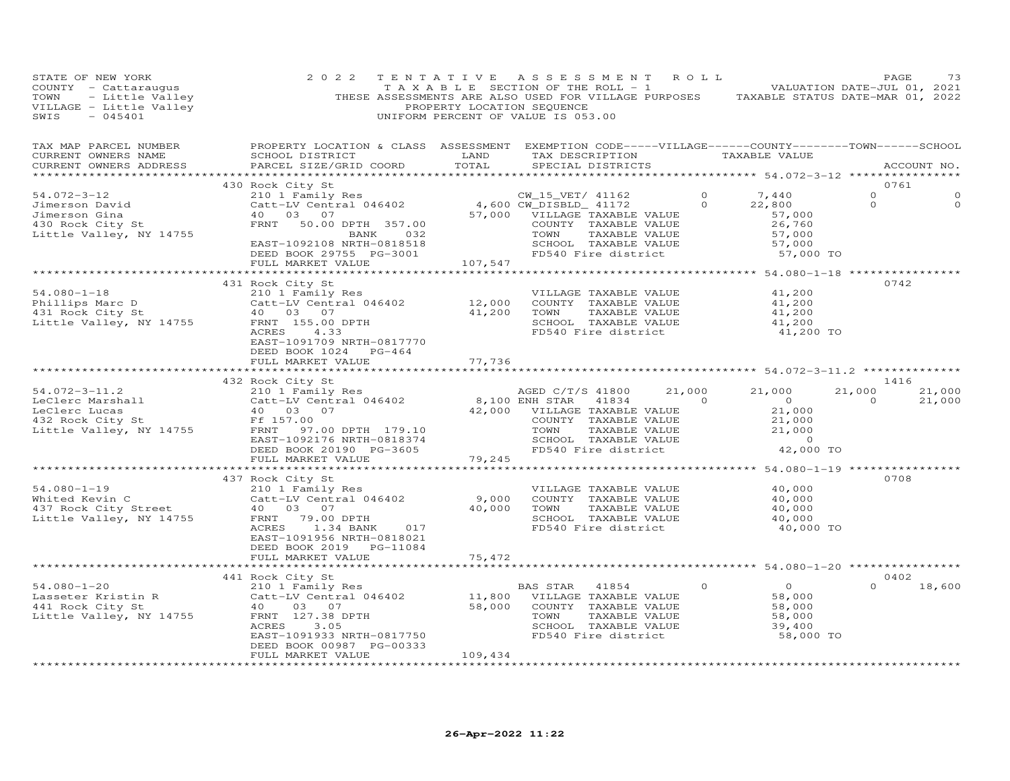| STATE OF NEW YORK                                                                                                                   | 2 0 2 2<br>COUNTY - Cattaraugus<br>COUNTY - Cattaraugus<br>TAXABLE SECTION OF THE ROLL - 1<br>TOWN - Little Valley<br>THESE ASSESSMENTS ARE ALSO USED FOR VILLAGE PURPOSES<br>TAXABLE STATUS DATE-MAR 01, 2021<br>THESE ASSESSMENTS LOCATION SEQUENCE                               |                             | TENTATIVE ASSESSMENT ROLL                                                                                                                                                                   |          |                                                                                                | PAGE                              | 73                   |
|-------------------------------------------------------------------------------------------------------------------------------------|-------------------------------------------------------------------------------------------------------------------------------------------------------------------------------------------------------------------------------------------------------------------------------------|-----------------------------|---------------------------------------------------------------------------------------------------------------------------------------------------------------------------------------------|----------|------------------------------------------------------------------------------------------------|-----------------------------------|----------------------|
| TAX MAP PARCEL NUMBER<br>CURRENT OWNERS NAME<br>CURRENT OWNERS ADDRESS                                                              | PROPERTY LOCATION & CLASS ASSESSMENT EXEMPTION CODE-----VILLAGE------COUNTY-------TOWN------SCHOOL<br>SCHOOL DISTRICT LAND<br>PARCEL SIZE/GRID COORD                                                                                                                                | TOTAL                       | TAX DESCRIPTION TAXABLE VALUE<br>SPECIAL DISTRICTS                                                                                                                                          |          |                                                                                                | ACCOUNT NO.                       |                      |
| 54.072-3-12<br>Jimerson David<br>Jimerson Gina<br>430 Rock City St<br>Iittle Victor<br>Little Valley, NY 14755                      | 430 Rock City St<br>Rock City St<br>210 1 Family Res<br>Catt-LV Central 046402 4,600 CW_DISBLD_ 41172 0 22,800<br>40 03 07 57,000 VILLAGE TAXABLE VALUE 57,000<br>FRNT 50.00 DPTH 357.00 COUNTY TAXABLE VALUE 57,000<br>BANK 032 TOWN TAXABLE VALUE 26,760<br><br>FULL MARKET VALUE | 107,547                     |                                                                                                                                                                                             |          |                                                                                                | 0761<br>$\Omega$<br>$\circ$       | $\Omega$<br>$\Omega$ |
| $54.080 - 1 - 18$<br>Phillips Marc D<br>431 Rock City St<br>Little Valley, NY 14755                                                 | 431 Rock City St<br>210 1 Family Res<br>Catt-LV Central 046402<br>40 03 07<br>40 30 7<br>41,200 COUNTY TAXABLE VALUE<br>41,200 TOWN TAXABLE VALUE<br>41,200 TOWN TAXABLE VALUE<br>SCHOOL TAXABLE VALUE<br>SCHOOL TAXABLE VALUE<br>ACRES<br>4.33<br>FULL MARKET VALUE                | 77,736                      | SCHOOL TAXABLE VALUE<br>FD540 Fire district                                                                                                                                                 |          | 41,200<br>41,200<br>41,200<br>41,200<br>41,200 TO                                              | 0742                              |                      |
|                                                                                                                                     | 432 Rock City St<br>432 Rock City St<br>LeClerc Marshall 210 1 Family Res<br>LeClerc Lucas 40 03 07<br>432 Rock City St<br>40 03 07<br>432 Rock City St<br>40 03 07<br>42,000 VILLAGE TAXABLE VALUE<br>432 Rock City St<br>42 Rock City St<br>42,000                                |                             | COUNTY TAXABLE VALUE<br>TOWN     TAXABLE VALUE<br>SCHOOL   TAXABLE VALUE                                                                                                                    |          | 21,000<br>$\overline{0}$<br>21,000<br>21,000<br>21,000<br>$\overline{0}$<br>42,000 TO          | 1416<br>21,000 21,000<br>$\sim$ 0 | 21,000               |
| $54.080 - 1 - 19$<br>Whited Kevin C<br>Whited Kevin C<br>437 Rock City Street<br>Little Valley, NY 14755<br>Little Valley, NY 14755 | 437 Rock City St<br>210 1 Family Res<br>Catt-LV Central 046402<br>-- ------<br>DPTH 40,000 TOWN<br>BANK 017 FD540<br>40 03 07<br>FRNT 79.00 DPTH<br>ACRES 1.34 BANK<br>017<br>EAST-1091956 NRTH-0818021<br>DEED BOOK 2019 PG-11084<br>FULL MARKET VALUE                             | 9,000<br>75,472             | VILLAGE TAXABLE VALUE<br>COUNTY TAXABLE VALUE<br>TAXABLE VALUE<br>SCHOOL TAXABLE VALUE<br>FD540 Fire district                                                                               |          | ************** 54.080-1-19 **************<br>40,000<br>40,000<br>40,000<br>40,000<br>40,000 TO | 0708                              |                      |
| $54.080 - 1 - 20$<br>Lasseter Kristin R<br>441 Rock City St<br>Little Vall<br>Little Valley, NY 14755                               | 441 Rock City St<br>210 1 Family Res<br>Catt-LV Central 046402<br>03 07<br>40<br>FRNT 127.38 DPTH<br>ACRES 3.05<br>EAST-1091933 NRTH-0817750<br>DEED BOOK 00987 PG-00333<br>FULL MARKET VALUE<br>* * * * * * * * * * * * * * * * * * * *                                            | 109,434<br>**************** | BAS STAR 41854<br>11,800 VILLAGE TAXABLE VALUE<br>58,000 COUNTY TAXABLE VALUE<br>TOWN TAXABLE VALUE<br>SCHOOL TAXABLE VALUE<br>TAXABLE VALUE<br>SCHOOL TAXABLE VALUE<br>FD540 Fire district | $\Omega$ | $\Omega$<br>58,000<br>58,000<br>58,000<br>39,400<br>58,000 TO                                  | 0402<br>$0 \t 18,600$             |                      |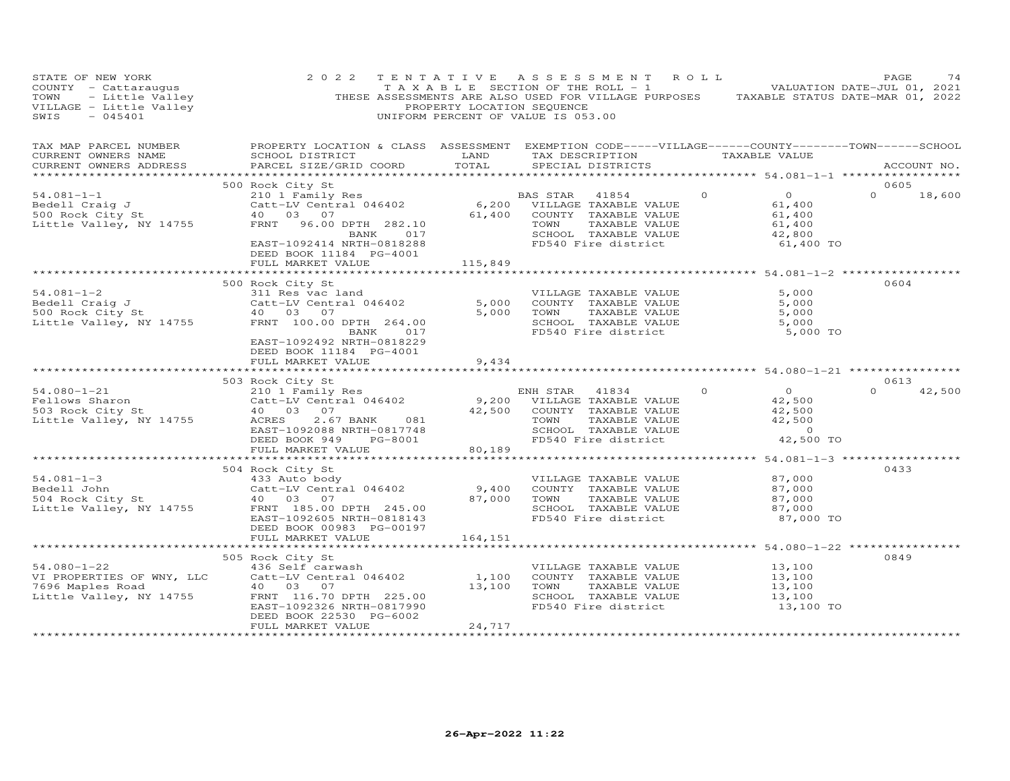| STATE OF NEW YORK<br>COUNTY - Cattaraugus<br>TOWN - Little Valley<br>VILLAGE - Little Valley<br>SWIS - 045401      | 2 0 2 2                                                                                                                                                                            | PROPERTY LOCATION SEQUENCE | TENTATIVE ASSESSMENT<br>TAXABLE SECTION OF THE ROLL - 1 VALUATION DATE-JUL 01, 2021<br>THESE ASSESSMENTS ARE ALSO USED FOR VILLAGE PURPOSES TAXABLE STATUS DATE-MAR 01, 2022<br>UNIFORM PERCENT OF VALUE IS 053.00 | R O L L                                                                                | PAGE<br>74         |
|--------------------------------------------------------------------------------------------------------------------|------------------------------------------------------------------------------------------------------------------------------------------------------------------------------------|----------------------------|--------------------------------------------------------------------------------------------------------------------------------------------------------------------------------------------------------------------|----------------------------------------------------------------------------------------|--------------------|
| TAX MAP PARCEL NUMBER<br>CURRENT OWNERS NAME<br>CURRENT OWNERS ADDRESS                                             | PROPERTY LOCATION & CLASS ASSESSMENT EXEMPTION CODE-----VILLAGE------COUNTY--------TOWN------SCHOOL<br>SCHOOL DISTRICT<br>PARCEL SIZE/GRID COORD                                   | <b>LAND</b><br>TOTAL       | TAX DESCRIPTION TAXABLE VALUE<br>SPECIAL DISTRICTS                                                                                                                                                                 |                                                                                        | ACCOUNT NO.        |
|                                                                                                                    | 500 Rock City St                                                                                                                                                                   |                            |                                                                                                                                                                                                                    |                                                                                        | 0605               |
| $54.081 - 1 - 1$<br>Bedell Craig J<br>500 Rock City St<br>Little Valley, NY 14755                                  | NUCK ULLY US<br>210 1 Family Res<br>Catt-LV Central 046402 6,200 VILLAGE TAXABLE VALUE<br>40 03 07 61,400 COUNTY TAXABLE VALUE<br>FRNT 96.00 DPTH 282.10                           | 61,400                     | COUNTY TAXABLE VALUE<br>TOWN<br>TAXABLE VALUE                                                                                                                                                                      | $\Omega$<br>$\overline{0}$<br>61,400<br>61,400<br>61,400                               | $\Omega$<br>18,600 |
|                                                                                                                    | BANK 017<br>EAST-1092414 NRTH-0818288<br>DEED BOOK 11184 PG-4001<br>FULL MARKET VALUE                                                                                              | 115,849                    | SCHOOL TAXABLE VALUE<br>FD540 Fire district                                                                                                                                                                        | 42,800<br>61,400 TO                                                                    |                    |
|                                                                                                                    |                                                                                                                                                                                    |                            |                                                                                                                                                                                                                    |                                                                                        |                    |
| $54.081 - 1 - 2$<br>Bedell Craig J<br>Bedell Craig J<br>500 Rock City St<br>Little Valley, NY 14755<br>FRNT 100.00 | 500 Rock City St<br>311 Res vac land<br>Catt-LV Central 046402<br>FRNT 100.00 DPTH 264.00<br>BANK 017                                                                              | 5,000<br>5,000             | VILLAGE TAXABLE VALUE<br>COUNTY TAXABLE VALUE<br>TOWN<br>TAXABLE VALUE<br>SCHOOL TAXABLE VALUE<br>FD540 Fire district                                                                                              | 5,000<br>5,000<br>5,000<br>5,000<br>5,000 TO                                           | 0604               |
|                                                                                                                    | EAST-1092492 NRTH-0818229<br>DEED BOOK 11184 PG-4001<br>FULL MARKET VALUE                                                                                                          | 9,434                      |                                                                                                                                                                                                                    |                                                                                        |                    |
|                                                                                                                    | 503 Rock City St                                                                                                                                                                   |                            |                                                                                                                                                                                                                    |                                                                                        | 0613               |
| $54.080 - 1 - 21$<br>Fellows Sharon<br>503 Rock City St<br>Little Valley, NY 14755                                 | ACRES<br>2.67 BANK 081<br>EAST-1092088 NRTH-0817748<br>DEED BOOK 949<br>PG-8001<br>FULL MARKET VALUE                                                                               | 42,500<br>80,189           | ENH STAR 41834<br>9,200 VILLAGE TAXABLE VALUE<br>COUNTY TAXABLE VALUE<br>TAXABLE VALUE<br>TOWN<br>SCHOOL TAXABLE VALUE<br>FD540 Fire district                                                                      | $\circ$<br>$\overline{0}$<br>42,500<br>42,500<br>42,500<br>$\overline{0}$<br>42,500 TO | $\Omega$<br>42,500 |
|                                                                                                                    |                                                                                                                                                                                    |                            |                                                                                                                                                                                                                    |                                                                                        |                    |
| $54.081 - 1 - 3$<br>Bedell John<br>504 Rock City St<br>Little Valley, NY 14755                                     | 504 Rock City St<br>433 Auto body<br>Catt-LV Central 046402<br>40  03  07<br>FRNT 185.00 DPTH 245.00<br>EAST-1092605 NRTH-0818143<br>DEED BOOK 00983 PG-00197                      | 9,400<br>87,000            | VILLAGE TAXABLE VALUE<br>COUNTY TAXABLE VALUE<br>TAXABLE VALUE<br>TOWN<br>SCHOOL TAXABLE VALUE<br>FD540 Fire district                                                                                              | 87,000<br>87,000<br>87,000<br>87,000<br>87,000 TO                                      | 0433               |
|                                                                                                                    | FULL MARKET VALUE                                                                                                                                                                  | 164,151                    |                                                                                                                                                                                                                    |                                                                                        |                    |
|                                                                                                                    |                                                                                                                                                                                    |                            |                                                                                                                                                                                                                    |                                                                                        |                    |
| 54.080-1-22<br>VI PROPERTIES OF WNY, LLC<br>Little Valley, NY 14755                                                | 505 Rock City St<br>436 Self carwash<br>Catt-LV Central 046402<br>40 03 07<br>FRNT 116.70 DPTH 225.00<br>EAST-1092326 NRTH-0817990<br>DEED BOOK 22530 PG-6002<br>FULL MARKET VALUE | 1,100<br>13,100<br>24,717  | VILLAGE TAXABLE VALUE<br>COUNTY TAXABLE VALUE<br>TOWN<br>TAXABLE VALUE<br>SCHOOL TAXABLE VALUE<br>FD540 Fire district                                                                                              | 13,100<br>13,100<br>13,100<br>13,100<br>13,100 TO                                      | 0849               |
|                                                                                                                    |                                                                                                                                                                                    | ******************         |                                                                                                                                                                                                                    |                                                                                        |                    |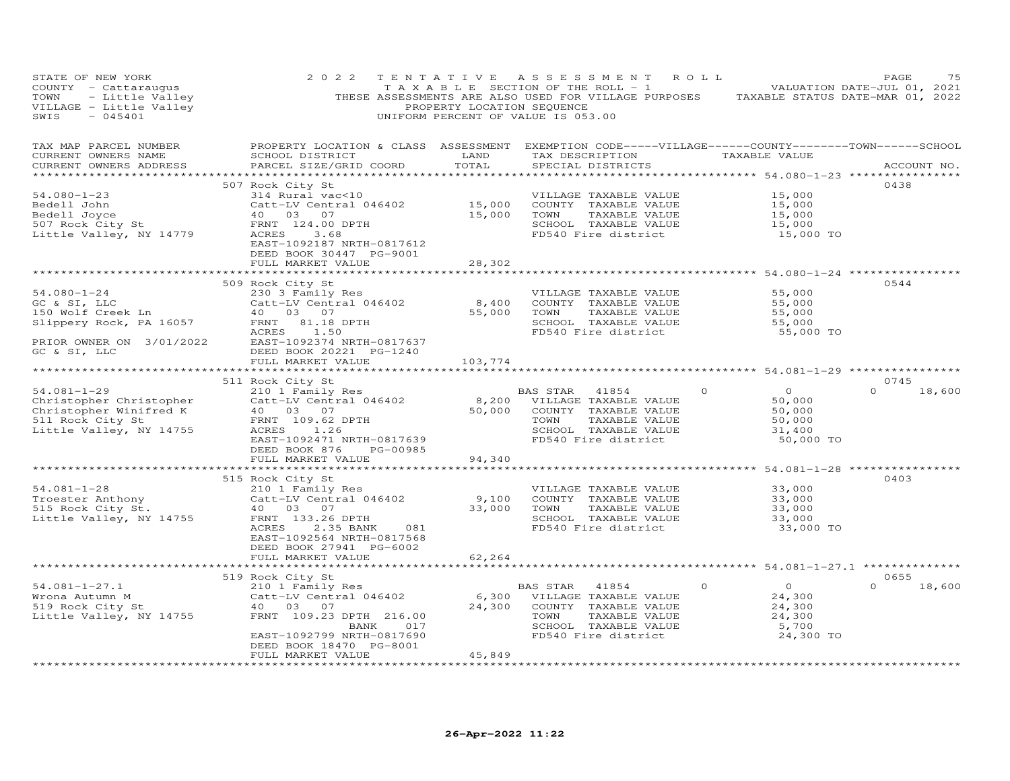| STATE OF NEW YORK                                                                                                                                                                                                                                        | 2 0 2 2<br>COUNTY - Catteraugus<br>TOWN - Catteraugus<br>TOWN - Little Valley<br>THESE ASSESSMENTS ARE ALSO USED FOR VILLAGE PURPOSES TAXABLE STATUS DATE-JUL 01, 2021<br>THESE ASSESSMENTS ARE ALSO USED FOR VILLAGE PURPOSES TAXABLE STATUS DAT                                                                                                                                                                                                                                                                                         |                              | TENTATIVE ASSESSMENT ROLL                                                                                                                                                     |                                                                                                   | PAGE<br>75         |
|----------------------------------------------------------------------------------------------------------------------------------------------------------------------------------------------------------------------------------------------------------|-------------------------------------------------------------------------------------------------------------------------------------------------------------------------------------------------------------------------------------------------------------------------------------------------------------------------------------------------------------------------------------------------------------------------------------------------------------------------------------------------------------------------------------------|------------------------------|-------------------------------------------------------------------------------------------------------------------------------------------------------------------------------|---------------------------------------------------------------------------------------------------|--------------------|
| TAX MAP PARCEL NUMBER<br>CURRENT OWNERS NAME<br>CURRENT OWNERS ADDRESS                                                                                                                                                                                   | PROPERTY LOCATION & CLASS ASSESSMENT EXEMPTION CODE-----VILLAGE------COUNTY-------TOWN------SCHOOL<br>SCHOOL DISTRICT LAND<br>PARCEL SIZE/GRID COORD                                                                                                                                                                                                                                                                                                                                                                                      | TOTAL                        | TAX DESCRIPTION TAXABLE VALUE<br>SPECIAL DISTRICTS                                                                                                                            |                                                                                                   | ACCOUNT NO.        |
| 54.080-1-23<br>Bedell John<br>Bedell Joyce<br>507 Rock City St<br>Little Valley, NY 14779                                                                                                                                                                | 507 Rock City St<br>314 Rural vac<10<br>Catt-LIV Central 046402<br>Catt-LIV Central 046402<br>40 03 07 15,000 COUNTY TAXABLE VALUE<br>FRNT 124.00 DPTH 15,000 TOWN TAXABLE VALUE<br>SCHOOL TAXABLE VALUE<br>SCHOOL TAXABLE VALUE<br>FD540 Fire district<br>EAST-1092187 NRTH-0817612<br>DEED BOOK 30447 PG-9001                                                                                                                                                                                                                           |                              | VILLAGE TAXABLE VALUE                                                                                                                                                         | 15,000<br>15,000<br>15,000<br>15,000<br>15,000 TO                                                 | 0438               |
|                                                                                                                                                                                                                                                          | FULL MARKET VALUE                                                                                                                                                                                                                                                                                                                                                                                                                                                                                                                         | 28,302                       |                                                                                                                                                                               |                                                                                                   |                    |
|                                                                                                                                                                                                                                                          | $\begin{array}{lllllllllll} \text{509 Rock City sc} & & & & & & \text{VILLAGE TABLE VALUE} \\ \text{GC & S1, LLC} & & & & & & \text{Cott-LV Central 046402} & & & & \text{VILLAGE TABLE VALUE} \\ \text{150 Wolf Creek Ln} & & & & & & & \text{Catt-LV Central 046402} & & & & \text{6,400} & & & \text{COUNY T AXABLE VALUE} \\ \text{150 Wolf Creek Ln} & & & & & & & & \text{15,0} & & \text{55,000} & & \text{TAXABLE VALUE} \\ \text{150 the VALUE} & & & & & & & \text{15,0}$<br>PRIOR OWNER ON 3/01/2022 EAST-1092374 NRTH-0817637 |                              | SCHOOL TAXABLE VALUE<br>FD540 Fire district                                                                                                                                   | 55,000<br>55,000<br>55,000<br>55,000<br>55,000 TO                                                 | 0544               |
| GC & SI, LLC                                                                                                                                                                                                                                             | DEED BOOK 20221 PG-1240                                                                                                                                                                                                                                                                                                                                                                                                                                                                                                                   |                              |                                                                                                                                                                               |                                                                                                   |                    |
|                                                                                                                                                                                                                                                          | FULL MARKET VALUE                                                                                                                                                                                                                                                                                                                                                                                                                                                                                                                         | 103,774                      |                                                                                                                                                                               |                                                                                                   |                    |
|                                                                                                                                                                                                                                                          | 511 Rock City St                                                                                                                                                                                                                                                                                                                                                                                                                                                                                                                          |                              |                                                                                                                                                                               |                                                                                                   | 0745               |
| 54.081-1-29<br>Christopher Christopher<br>Christopher Winifred K<br>511 Rock City St<br>11 Rock City St<br>11 Bock City St                                                                                                                               | Nock City St<br>210 1 Family Res<br>Catt-LV Central 046402<br>40 03 07 50,000 COUNTY TAXABLE VALUE<br>FRNT 109.62 DPTH 50,000 COUNTY TAXABLE VALUE<br>FRNT 109.62 DPTH TOWN TAXABLE VALUE<br>EAST-1092471 NRTH-0817639<br>FRNT 1092471 NRTH-<br>DEED BOOK 876 PG-00985                                                                                                                                                                                                                                                                    |                              |                                                                                                                                                                               | $\begin{array}{r} .* \\ 0 \\ 50,000 \\ 50,000 \\ 50,000 \\ 40 \end{array}$<br>31,400<br>50,000 TO | $\Omega$<br>18,600 |
|                                                                                                                                                                                                                                                          | FULL MARKET VALUE                                                                                                                                                                                                                                                                                                                                                                                                                                                                                                                         | 94,340                       |                                                                                                                                                                               |                                                                                                   |                    |
| *********************                                                                                                                                                                                                                                    | *****************************                                                                                                                                                                                                                                                                                                                                                                                                                                                                                                             | ************                 |                                                                                                                                                                               |                                                                                                   |                    |
| $54.081 - 1 - 28$<br>Troester Anthony<br>515 Rock City St.<br>Little Valley, NY 14755                                                                                                                                                                    | 515 Rock City St<br>ANDRE TAXABLE VALUE<br>210 1 Family Res<br>Catt-LV Central 046402 9,100 COUNTY TAXABLE VALUE<br>40 03 07 33,000 TOWN TAXABLE VALUE<br>FRNT 133.26 DPTH SCHOOL TAXABLE VALUE<br>ACRES 2.35 BANK 081 FD540 Fire district<br>DEED BOOK 27941 PG-6002                                                                                                                                                                                                                                                                     |                              | TAXABLE VALUE<br>SCHOOL TAXABLE VALUE<br>FD540 Fire district                                                                                                                  | 33,000<br>$33,000$<br>$33,000$<br>$33,000$<br>$33,000$<br>33,000 TO                               | 0403               |
|                                                                                                                                                                                                                                                          | FULL MARKET VALUE                                                                                                                                                                                                                                                                                                                                                                                                                                                                                                                         | 62,264                       |                                                                                                                                                                               |                                                                                                   |                    |
|                                                                                                                                                                                                                                                          | 519 Rock City St                                                                                                                                                                                                                                                                                                                                                                                                                                                                                                                          |                              |                                                                                                                                                                               |                                                                                                   | 0655               |
| $54.081 - 1 - 27.1$<br>without the Mindon Mindon Mindon Mindon Mindon State State State State State State Name Of the Valley, NY 14755<br>That I will be Mindon Mindon Mindon Mindon Mindon Mindon State State State State State State Name Of the Valle | 210 1 Family Res<br>Catt-LV Central 046402<br>40  03  07<br>40  03  07<br>FRNT 109.23 DPTH 216.00<br>BANK 017<br>EAST-1092799 NRTH-0817690                                                                                                                                                                                                                                                                                                                                                                                                |                              | BAS STAR 41854<br>6,300 VILLAGE TAXABLE VALUE<br>24,300 COUNTY TAVARIT<br>24,300 COUNTY TAXABLE VALUE<br>TAXABLE VALUE<br>TOWN<br>SCHOOL TAXABLE VALUE<br>FD540 Fire district | $\overline{O}$<br>24,300<br>24,300<br>24,300<br>5,700<br>24,300 TO                                | $0 \t 18,600$      |
| ************************                                                                                                                                                                                                                                 | DEED BOOK 18470 PG-8001<br>FULL MARKET VALUE<br>********************                                                                                                                                                                                                                                                                                                                                                                                                                                                                      | 45,849<br>****************** |                                                                                                                                                                               |                                                                                                   |                    |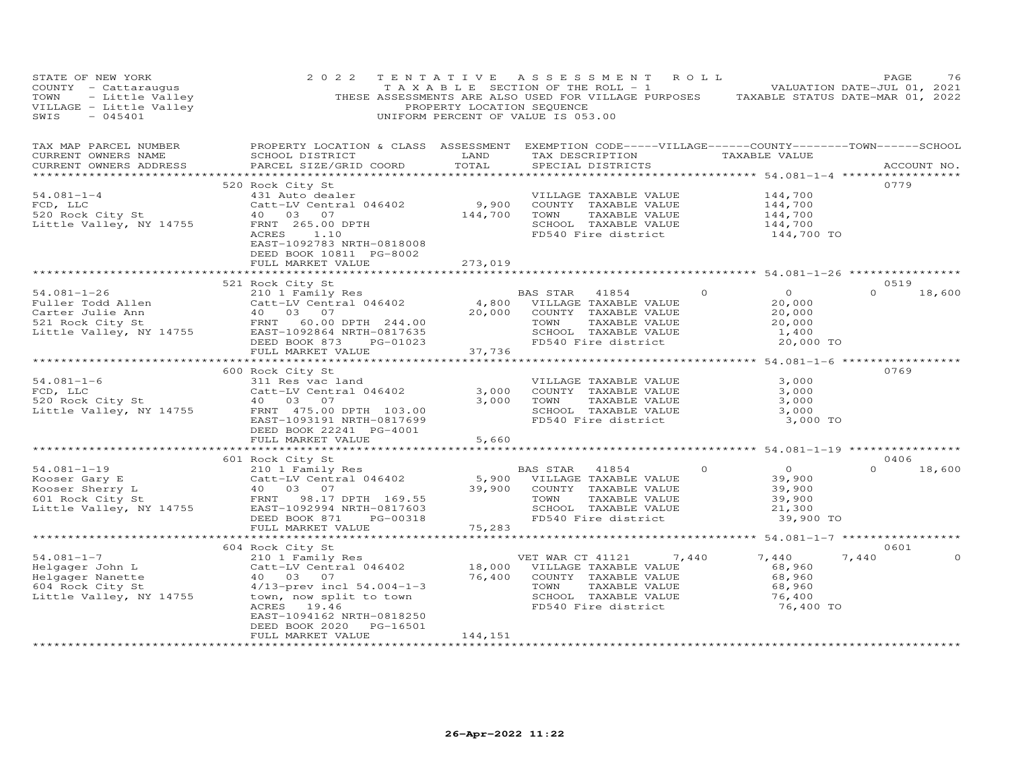| STATE OF NEW YORK<br>COUNTY - Catteraugus<br>TOWN - Catteraugus<br>TOWN - Little Valley<br>THESE ASSESSMENTS ARE ALSO USED FOR VILLAGE PURPOSES<br>TRESE ASSESSMENTS ARE ALSO USED FOR VILLAGE PURPOSES<br>PROPERTY LOCATION SEQUENCE<br>SWIS - 045401<br>THESE A                                                                                                     | 2 0 2 2                                                                                                                                                                                                                                                                          |         | TENTATIVE ASSESSMENT ROLL                                                                                                                                                    |                                                            | PAGE          | 76      |
|-----------------------------------------------------------------------------------------------------------------------------------------------------------------------------------------------------------------------------------------------------------------------------------------------------------------------------------------------------------------------|----------------------------------------------------------------------------------------------------------------------------------------------------------------------------------------------------------------------------------------------------------------------------------|---------|------------------------------------------------------------------------------------------------------------------------------------------------------------------------------|------------------------------------------------------------|---------------|---------|
| TAX MAP PARCEL NUMBER<br>CURRENT OWNERS NAME<br>CURRENT OWNERS ADDRESS                                                                                                                                                                                                                                                                                                | PROPERTY LOCATION & CLASS ASSESSMENT EXEMPTION CODE-----VILLAGE------COUNTY-------TOWN------SCHOOL                                                                                                                                                                               |         |                                                                                                                                                                              |                                                            | ACCOUNT NO.   |         |
|                                                                                                                                                                                                                                                                                                                                                                       | 520 Rock City St                                                                                                                                                                                                                                                                 |         |                                                                                                                                                                              |                                                            | 0779          |         |
| $54.081 - 1 - 4$<br>FCD, LLC<br>FCD, LLC<br>520 Rock City St<br>Little Valley, NY 14755                                                                                                                                                                                                                                                                               | EXAMBLE VALUE<br>431 Auto dealer<br>44,700 COUNTY TAXABLE VALUE<br>40 03 07 144,700 TOWN TAXABLE VALUE<br>FRNT 265.00 DPTH<br>ACRES 1.10<br>ACRES 1.00733 NPTH 0919008<br>EAST-1092783 NRTH-0818008<br>DEED BOOK 10811 PG-8002                                                   |         | VILLAGE TAXABLE VALUE $144, 700$<br>COUNTY TAXABLE VALUE $144, 700$<br>TOWN TAXABLE VALUE $144, 700$<br>SCHOOL TAXABLE VALUE $144, 700$<br>FD540 Fire district $144, 700$ TO |                                                            |               |         |
|                                                                                                                                                                                                                                                                                                                                                                       | FULL MARKET VALUE                                                                                                                                                                                                                                                                | 273,019 |                                                                                                                                                                              |                                                            |               |         |
|                                                                                                                                                                                                                                                                                                                                                                       | 521 Rock City St                                                                                                                                                                                                                                                                 |         |                                                                                                                                                                              |                                                            | 0519          |         |
| $\begin{tabular}{lllllllllll} 54.081-1-26 & 321\textrm{ KOCK CLLY} & 564\textrm{ KULY} & 564\textrm{ Fau} & 541\textrm{ KULUE} & 541\textrm{ KULUE} & 541\textrm{ KULUE} & 541\textrm{ KULUE} & 541\textrm{ KULUE} & 541\textrm{ KULUE} & 541\textrm{ KULUE} & 541\textrm{ KULUE} & 541\textrm{ KULUE} & 541\textrm{ KULUE} & 541\textrm{ KULUE} & 541\textrm{ KULUE$ |                                                                                                                                                                                                                                                                                  |         | BAS STAR 41854 0<br>TAXABLE VALUE<br>SCHOOL TAXABLE VALUE $1,400$<br>FD540 Fire district $20,000$ TO                                                                         | $\overline{0}$<br>20,000<br>20,000<br>20,000               | $0 \t 18,600$ |         |
|                                                                                                                                                                                                                                                                                                                                                                       |                                                                                                                                                                                                                                                                                  |         |                                                                                                                                                                              |                                                            |               |         |
|                                                                                                                                                                                                                                                                                                                                                                       |                                                                                                                                                                                                                                                                                  |         |                                                                                                                                                                              |                                                            |               |         |
| $54.081 - 1 - 6$<br>FCD, LLC<br>520 Rock City St<br>520 Rock City St<br>520 Rock City St<br>520 Rock City St<br>520 Rock City St<br>520 Rock City St<br>520 Rock City St<br>520 Rock City St<br>520 Rock City St<br>520 Rock City St<br>520 ROCH<br>520 ROCH<br>520 ROCH<br>52                                                                                        | 600 Rock City St<br>NOCA CILY SC<br>Catt-LV Central 046402<br>40 03 07<br>EAST-1093191 NRTH-0817699<br>DEED BOOK 22241 PG-4001<br>FULL MARKET VALUE                                                                                                                              |         | VILLAGE TAXABLE VALUE<br>3,000    COUNTY   TAXABLE VALUE<br>3,000    TOWN      TAXABLE VALUE<br>SCHOOL TAXABLE VALUE<br>FD540 Fire district                                  | 3,000<br>3,000<br>3,000<br>3,000<br>3,000 TO               | 0769          |         |
|                                                                                                                                                                                                                                                                                                                                                                       |                                                                                                                                                                                                                                                                                  | 5,660   |                                                                                                                                                                              |                                                            |               |         |
|                                                                                                                                                                                                                                                                                                                                                                       | 601 Rock City St                                                                                                                                                                                                                                                                 |         |                                                                                                                                                                              |                                                            | 0406          |         |
|                                                                                                                                                                                                                                                                                                                                                                       |                                                                                                                                                                                                                                                                                  |         |                                                                                                                                                                              | 39,900 TO                                                  | $\Omega$      | 18,600  |
|                                                                                                                                                                                                                                                                                                                                                                       |                                                                                                                                                                                                                                                                                  |         |                                                                                                                                                                              |                                                            |               |         |
| $54.081 - 1 - 7$<br>54.081-1-7<br>Helgager John L<br>Elgager Nanette<br>604 Rock City St<br>Little Valley, NY 14755                                                                                                                                                                                                                                                   | 604 Rock City St<br>210 1 Family Res<br>Catt-LV Central 046402 18,000 VILLAGE TAXABLE VALUE<br>40 03 07 76,400 COUNTY TAXABLE VALUE<br>40  03  07<br>4/13-prev incl 54.004-1-3<br>town, now split to town<br>ACRES 19.46<br>EAST-1094162 NRTH-0818250<br>DEED BOOK 2020 PG-16501 |         | 76,400 COUNTY TAXABLE VALUE<br>TOWN<br>TAXABLE VALUE<br>SCHOOL TAXABLE VALUE<br>FD540 Fire district                                                                          | 7,440<br>68,960<br>68,960<br>68,960<br>76,400<br>76,400 TO | 0601<br>7,440 | $\circ$ |
| *************************                                                                                                                                                                                                                                                                                                                                             | FULL MARKET VALUE                                                                                                                                                                                                                                                                | 144,151 |                                                                                                                                                                              |                                                            |               |         |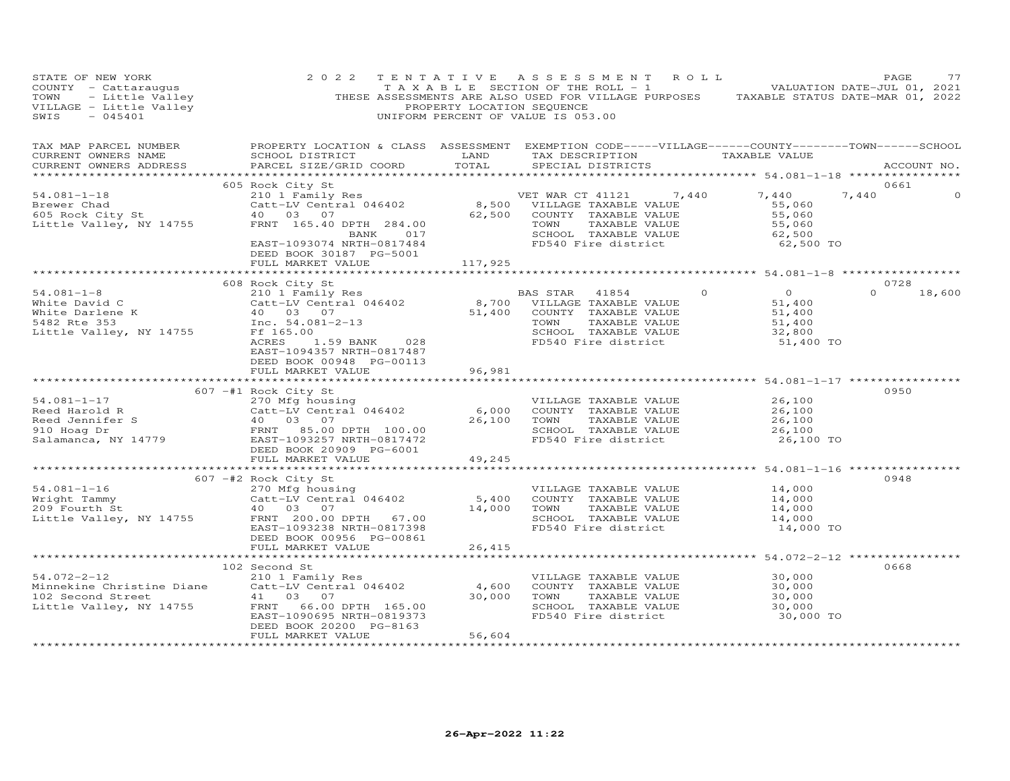| STATE OF NEW YORK<br>COUNTY - Cattaraugus TAXABLE SECTION OF THE ROLL - 1<br>TOWN - Little Valley THESE ASSESSMENTS ARE ALSO USED FOR VILLAGE PURPOSES TAXABLE STATUS DATE-MAR 01, 2021<br>THESE ASSESSMENTS ARE ALSO USED FOR VILLAGE PURPOSES TAXABLE                                                                                                                                                                                                  | 2 0 2 2                                                                   |                         | TENTATIVE ASSESSMENT ROLL<br>TAXABLE SECTION OF THE ROLL - 1 NOTIFICAL MALUATION DATE-JUL 01, 2021                                                                                                                                      |                                                       | PAGE<br>77            |
|----------------------------------------------------------------------------------------------------------------------------------------------------------------------------------------------------------------------------------------------------------------------------------------------------------------------------------------------------------------------------------------------------------------------------------------------------------|---------------------------------------------------------------------------|-------------------------|-----------------------------------------------------------------------------------------------------------------------------------------------------------------------------------------------------------------------------------------|-------------------------------------------------------|-----------------------|
| TAX MAP PARCEL NUMBER<br>CURRENT OWNERS NAME<br>CURRENT OWNERS ADDRESS                                                                                                                                                                                                                                                                                                                                                                                   |                                                                           |                         | PROPERTY LOCATION & CLASS ASSESSMENT EXEMPTION CODE-----VILLAGE------COUNTY-------TOWN------SCHOOL                                                                                                                                      |                                                       | ACCOUNT NO.           |
| 54.081-1-18<br>Brewer Chad<br>Exact -LV Central 046402<br>Catt-LV Central 046402<br>2010 Family Res<br>210 1 Family Res<br>210 1 Family Res<br>2,500 VILLAGE TAXABLE VALUE<br>2,500 COUNTY TAXABLE VALUE<br>55,060<br>EXAST-1093074 NRTH-0817484<br>                                                                                                                                                                                                     | 605 Rock City St<br>DEED BOOK 30187 PG-5001<br>FULL MARKET VALUE          | 117,925                 | VILLAGE TAXABLE VALUE<br>COUNTY TAXABLE VALUE 55,060<br>TOWN TAXABLE VALUE 55,060<br>SCHOOL TAXABLE VALUE 55,060<br>SCHOOL TAXABLE VALUE 62,500<br>FD540 Fire district 62,500 TO                                                        |                                                       | 0661<br>7,440         |
|                                                                                                                                                                                                                                                                                                                                                                                                                                                          |                                                                           |                         |                                                                                                                                                                                                                                         |                                                       |                       |
| 54.081-1-8<br>White David C<br>White David C<br>White Darlene K<br>Mite Darlene K<br>210 1 Fash Pass STAR 41854<br>Catt-LV Central 046402<br>210 1 Microsoft Central 046402<br>210 307<br>51,400 COUNTY TAXABLE VALUE<br>51,400 COUNTY TAXABLE VAL                                                                                                                                                                                                       | 608 Rock City St<br>EAST-1094357 NRTH-0817487<br>DEED BOOK 00948 PG-00113 |                         |                                                                                                                                                                                                                                         | 0 0<br>51,400<br>51,400<br>51,400                     | 0728<br>$0 \t 18,600$ |
|                                                                                                                                                                                                                                                                                                                                                                                                                                                          | FULL MARKET VALUE                                                         | 96,981                  |                                                                                                                                                                                                                                         |                                                       |                       |
| 34.081-1-17<br>Reed Harold R<br>Reed Jannifer S<br>26,100<br>Reed Jannifer S<br>26,100<br>26,100<br>26,100<br>26,100<br>26,100<br>26,100<br>26,100<br>26,100<br>26,100<br>26,100<br>26,100<br>26,100<br>26,100<br>26,100<br>26,100<br>26,100<br>26,100<br>26,100<br>26,100<br>                                                                                                                                                                           | 607 -#1 Rock City St<br>FULL MARKET VALUE                                 | 49,245                  |                                                                                                                                                                                                                                         | 26,100 TO                                             | 0950                  |
|                                                                                                                                                                                                                                                                                                                                                                                                                                                          |                                                                           |                         | *************************************54.081-1-16 **************                                                                                                                                                                         |                                                       |                       |
| $\begin{array}{lllllllllllll} \text{54.081--1--16} & & & & & & & \text{VILLAGE TAXABLE VALUE} \\ & & & & & & & 270 \text{ Mfg housing} & & & & & & \text{VILLAGE TAXABLE VALUE} \\ & & & & & & & 270 \text{ Mfg housing} & & & & & 5,400 & \text{COUNTY TAXABLE VALUE} \\ & & & & & 40 & 03 & 07 & & & 14,000 & \text{TOWN} & & \text{TXABLE VALUE} \\ & & & & & & & & 40 & 03 & 07 & & & 14,000 & \text{TOWN} & & \text{TXABLE VALUE} \\ & & & & & & &$ | 607 -#2 Rock City St                                                      |                         | VILLAGE TAXABLE VALUE $14,000$<br>COUNTY TAXABLE VALUE $14,000$<br>TOWN TAXABLE VALUE $14,000$<br>SCHOOL TAXABLE VALUE $14,000$<br>SCHOOL TAXABLE VALUE $14,000$<br>$19,000$<br>$19,000$<br>SCHOOL TAXABLE VALUE<br>FD540 Fire district | 14,000 TO                                             | 0948                  |
|                                                                                                                                                                                                                                                                                                                                                                                                                                                          | DEED BOOK 00956 PG-00861                                                  |                         |                                                                                                                                                                                                                                         |                                                       |                       |
|                                                                                                                                                                                                                                                                                                                                                                                                                                                          | FULL MARKET VALUE                                                         | 26,415<br>************* |                                                                                                                                                                                                                                         | ************* 54.072-2-12 ****************            | 0668                  |
| 102 Second St<br>210 1 Family Res<br>Minnekine Christine Diane<br>210 1 Family Res<br>210 1 Family Res<br>210 1 Family Res<br>210 1 Family Res<br>210 1 Family Res<br>210 1 Family Res<br>210 26000 7000 70000 7AXABLE VALUE<br>210 30,000 7000 7A                                                                                                                                                                                                       | DEED BOOK 20200 PG-8163<br>FULL MARKET VALUE                              | 56,604                  | SCHOOL TAXABLE VALUE<br>FD540 Fire district                                                                                                                                                                                             | 30,000<br>30,000<br>$30,000$<br>$30,000$<br>30,000 TO |                       |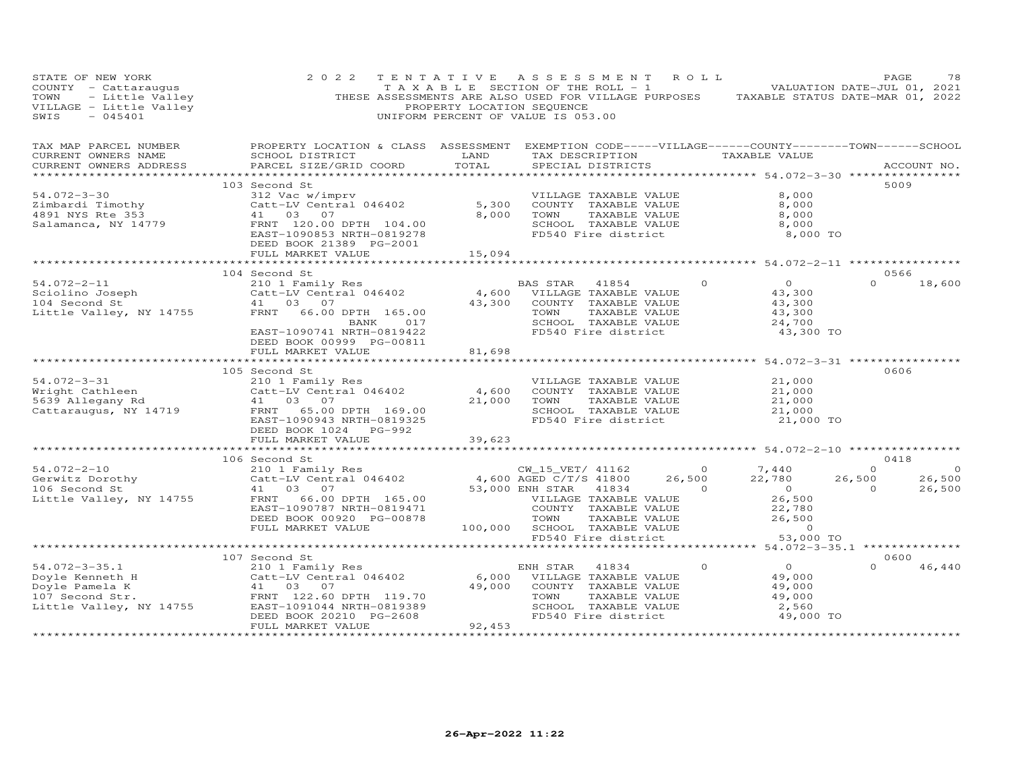| STATE OF NEW YORK<br>VALUATION DATE-JUL 01, 2021<br>TOWN - Little Valley (THESE ASSESSMENTS ARE ALSO USED FOR VILLAGE PURPOSES TAXABLE STATUS DATE-JUL 01, 2021<br>THESE ASSESSMENTS ARE ALSO USED FOR VILLAGE PURPOSES TAXABLE STATUS DATE-MAR 01, 202<br>$-045401$<br>SWIS | 2 0 2 2                                                                                                                                                                                                                                | TENTATIVE ASSESSMENT ROLL<br>UNIFORM PERCENT OF VALUE IS 053.00 |                                                                                      |                                                              |                                                                                                                                                                                                                                                                                                                                                                                                                                                            |                                                                                | PAGE                                       | 78                                 |
|------------------------------------------------------------------------------------------------------------------------------------------------------------------------------------------------------------------------------------------------------------------------------|----------------------------------------------------------------------------------------------------------------------------------------------------------------------------------------------------------------------------------------|-----------------------------------------------------------------|--------------------------------------------------------------------------------------|--------------------------------------------------------------|------------------------------------------------------------------------------------------------------------------------------------------------------------------------------------------------------------------------------------------------------------------------------------------------------------------------------------------------------------------------------------------------------------------------------------------------------------|--------------------------------------------------------------------------------|--------------------------------------------|------------------------------------|
| TAX MAP PARCEL NUMBER<br>CURRENT OWNERS NAME<br>CURRENT OWNERS ADDRESS                                                                                                                                                                                                       | PROPERTY LOCATION & CLASS ASSESSMENT EXEMPTION CODE-----VILLAGE------COUNTY-------TOWN------SCHOOL<br>SCHOOL DISTRICT                      LAND        TAX DESCRIPTION                   TAXABLE VALUE<br>PARCEL SIZE/GRID COORD TOTAL |                                                                 |                                                                                      | SPECIAL DISTRICTS                                            |                                                                                                                                                                                                                                                                                                                                                                                                                                                            |                                                                                |                                            | ACCOUNT NO.                        |
| $54.072 - 3 - 30$<br>Zimbardi Timothy<br>4891 NYS Rte 353<br>Salamanca, NY 14779                                                                                                                                                                                             | 103 Second St<br>312 Vac w/imprv<br>Catt-LV Central 046402 5,300 COUNTY TAXABLE VALUE<br>41 03 07 8,000 TOWN TAXABLE VALUE<br>FRNT 120.00 DPTH 104.00<br>EAST-1090853 NRTH-0819278                                                     |                                                                 |                                                                                      | SCHOOL TAXABLE VALUE<br>FD540 Fire district                  | TAXABLE VALUE                                                                                                                                                                                                                                                                                                                                                                                                                                              | 8,000<br>8,000<br>8,000<br>8,000<br>8,000 TO                                   | 5009                                       |                                    |
|                                                                                                                                                                                                                                                                              | DEED BOOK 21389 PG-2001<br>FULL MARKET VALUE                                                                                                                                                                                           | 15,094                                                          |                                                                                      |                                                              |                                                                                                                                                                                                                                                                                                                                                                                                                                                            |                                                                                |                                            |                                    |
| 104 Second St<br>2010 The Catt-LV Central 046402<br>2010 Catt-LV Central 046402<br>2010 Central 046402<br>2010 COUNTY TAXABLE VALUE<br>2017 TAXABLE VALUE<br>2017 CHOOL TAXABLE VALUE<br>2017 CHOOL TAXABLE VALUE<br>2017 CHOOL TAXABLE VALUE<br>                            | 104 Second St<br>EAST-1090741 NRTH-0819422<br>DEED BOOK 00999 PG-00811                                                                                                                                                                 |                                                                 |                                                                                      |                                                              | TAXABLE VALUE<br>SCHOOL TAXABLE VALUE<br>FD540 Fire district                                                                                                                                                                                                                                                                                                                                                                                               | $\circ$<br>$\overline{0}$<br>43,300<br>43,300<br>43,300<br>24,700<br>43,300 TO | 0566<br>$\Omega$                           | 18,600                             |
|                                                                                                                                                                                                                                                                              | FULL MARKET VALUE                                                                                                                                                                                                                      | 81,698                                                          |                                                                                      |                                                              |                                                                                                                                                                                                                                                                                                                                                                                                                                                            |                                                                                |                                            |                                    |
| 54.072-3-31<br>Wright Cathleen<br>5639 Allegany Rd<br>Cattaraugus, NY 14719<br>Cattaraugus, NY 14719<br>FRNT 65.00 DPTH 169.00<br>FRNT 65.00 DPTH 169.00                                                                                                                     | 105 Second St<br>EAST-1090943 NRTH-0819325<br>FULL MARKET VALUE                                                                                                                                                                        | 39,623                                                          | 21,000 TOWN                                                                          | VILLAGE TAXABLE VALUE<br>TAXABLE VALUE                       | COUNTY TAXABLE VALUE<br>SCHOOL TAXABLE VALUE<br>FD540 Fire district                                                                                                                                                                                                                                                                                                                                                                                        | 21,000<br>21,000<br>21,000<br>21,000<br>21,000 TO                              | 0606                                       |                                    |
|                                                                                                                                                                                                                                                                              |                                                                                                                                                                                                                                        | ********************                                            |                                                                                      |                                                              |                                                                                                                                                                                                                                                                                                                                                                                                                                                            | ********************************* 54.072-2-10 **************                   |                                            |                                    |
| $54.072 - 2 - 10$<br>Gerwitz Dorothy<br>106 Second St<br>Little Valley, NY 14755                                                                                                                                                                                             | 106 Second St                                                                                                                                                                                                                          |                                                                 | COUNTY TAXABLE VALUE<br>100,000 SCHOOL TAXABLE VALUE                                 |                                                              | $\overline{0}$<br>26,500<br>$\overline{a}$ and $\overline{a}$ and $\overline{a}$ and $\overline{a}$ and $\overline{a}$ and $\overline{a}$ and $\overline{a}$ and $\overline{a}$ and $\overline{a}$ and $\overline{a}$ and $\overline{a}$ and $\overline{a}$ and $\overline{a}$ and $\overline{a}$ and $\overline{a}$ and $\overline{a}$ and $\overline{a}$ and<br>VILLAGE TAXABLE VALUE<br>TAXABLE VALUE<br>TAXABLE VALUE<br>TAXABLE VALUE<br>ire district | 7,440<br>22,780<br>$22,780$<br>0<br>26,500<br>22,780<br>26,500<br>50.00        | 0418<br>$\circ$<br>$26,500$<br>0<br>26,500 | $\overline{0}$<br>26,500<br>26,500 |
|                                                                                                                                                                                                                                                                              |                                                                                                                                                                                                                                        |                                                                 |                                                                                      | FD540 Fire district                                          |                                                                                                                                                                                                                                                                                                                                                                                                                                                            | 53,000 TO                                                                      |                                            |                                    |
| $54.072 - 3 - 35.1$                                                                                                                                                                                                                                                          | 107 Second St<br>210 1 Family Res<br>DEED BOOK 20210 PG-2608<br>FULL MARKET VALUE                                                                                                                                                      | 92,453                                                          | ENH STAR 41834<br>6,000 VILLAGE TAXABLE VALUE<br>49,000 COUNTY TAXABLE VALUE<br>TOWN | TAXABLE VALUE<br>SCHOOL TAXABLE VALUE<br>FD540 Fire district | $\Omega$                                                                                                                                                                                                                                                                                                                                                                                                                                                   | $\overline{0}$<br>49,000<br>49,000<br>49,000<br>2,560<br>49,000 TO             | 0600<br>$\cap$                             | 46,440                             |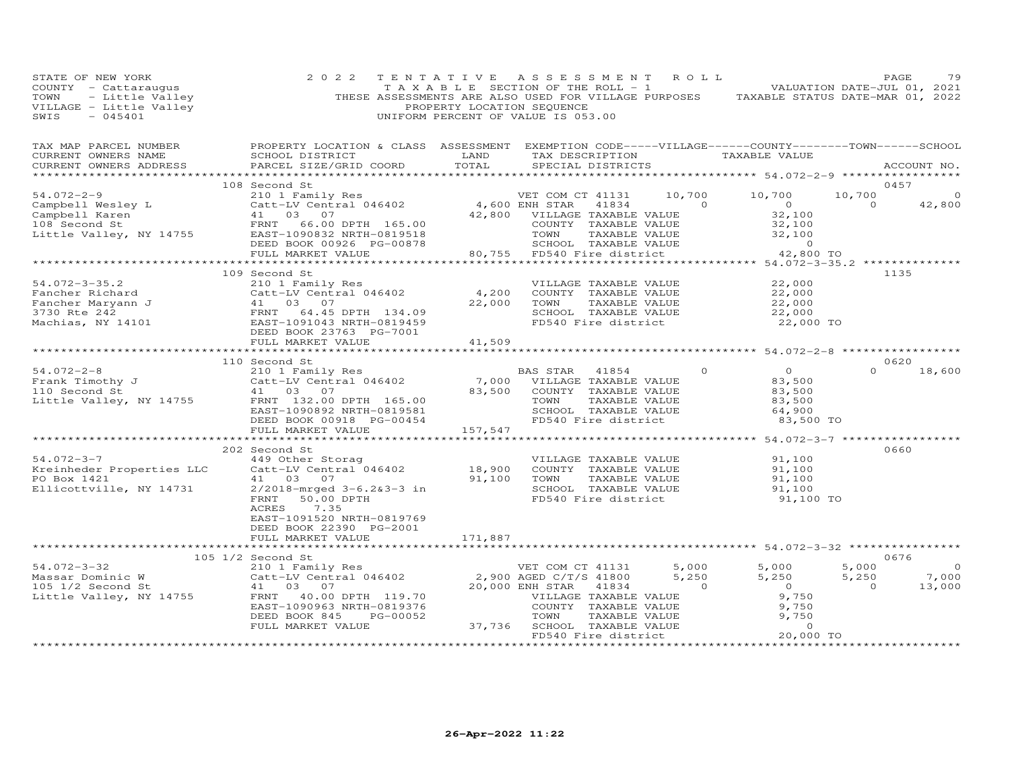| PAGE 79<br>COUNTY - Cattaraugus 2022 TENTATIVE ASSESSMENT ROLL PACE 79<br>TAXABLE SECTION OF THE ROLL - 1<br>VALUATION DATE-JUL 01, 2021<br>THESE ASSESSMENTS ARE ALSO USED FOR VILLAGE PURPOSES RAXABLE STATUS DATE-MAR 01, 2022<br>TRO                                                                                                                                                                         |                                                                                                                     |  |                                                   |      |               |
|------------------------------------------------------------------------------------------------------------------------------------------------------------------------------------------------------------------------------------------------------------------------------------------------------------------------------------------------------------------------------------------------------------------|---------------------------------------------------------------------------------------------------------------------|--|---------------------------------------------------|------|---------------|
| TAX MAP PARCEL NUMBER BROPERTY LOCATION & CLASS ASSESSMENT EXEMPTION CODE-----VILLAGE------COUNTY--------TOWN------SCHOOL CURRENT OWNERS NAME SCHOOL DISTRICT LAND TAX DESCRIPTION TAXABLE VALUE TAXABLE VALUE ACCOUNT NO.                                                                                                                                                                                       |                                                                                                                     |  |                                                   |      |               |
|                                                                                                                                                                                                                                                                                                                                                                                                                  |                                                                                                                     |  |                                                   | 0457 |               |
| $\begin{array}{cccccccc} 54.072-2-9 & 108\,\text{Second St} & 210 & 10,700 & 10,700 & 10,700 & 10,700 & 10,700 & 10,700 & 10,700 & 10,700 & 10,700 & 10,700 & 10,700 & 10,700 & 10,700 & 10,700 & 10,700 & 10,700 & 10,700 & 10,700 & 10,700 & 10,700 & 10,700 & 10,700 & 10,700$                                                                                                                                | 108 Second St                                                                                                       |  |                                                   |      |               |
|                                                                                                                                                                                                                                                                                                                                                                                                                  |                                                                                                                     |  |                                                   |      |               |
|                                                                                                                                                                                                                                                                                                                                                                                                                  |                                                                                                                     |  |                                                   |      |               |
| $\begin{tabular}{lllllllllllllllllllll} \multicolumn{3}{c }{\text{\small 54.072--3--35.2}} & \multicolumn{3}{c }{\text{\small 54.072--3--35.2}} & \multicolumn{3}{c }{\text{\small 54.072--3--35.2}} & \multicolumn{3}{c }{\text{\small 54.072--3--35.2}} & \multicolumn{3}{c }{\text{\small 54.072--3--35.2}} & \multicolumn{3}{c }{\text{\small 54.072--3--35.2}} & \multicolumn{3}{c }{\text{\small 54.072--$ | 109 Second St                                                                                                       |  |                                                   | 1135 |               |
|                                                                                                                                                                                                                                                                                                                                                                                                                  |                                                                                                                     |  |                                                   |      |               |
|                                                                                                                                                                                                                                                                                                                                                                                                                  |                                                                                                                     |  |                                                   |      |               |
|                                                                                                                                                                                                                                                                                                                                                                                                                  | 110 Second St                                                                                                       |  |                                                   | 0620 | $0 \t 18,600$ |
| **********************                                                                                                                                                                                                                                                                                                                                                                                           |                                                                                                                     |  | ********************* 54.072-3-7 **************** |      |               |
| 202 Second St<br>49 Other Storag<br>Kreinheder Properties LLC (2018-mrged 3-6.263-3 in 100<br>Ellicottville, NY 14731 2/2018-mrged 3-6.263-3 in FRNT 50.00 DPTH<br>FRNT 50.00 DPTH FD540 Fire district 91,100<br>FRNT 50.00 DPTH FD540 F                                                                                                                                                                         | 202 Second St<br>ACRES<br>7.35<br>EAST-1091520 NRTH-0819769<br>DEED BOOK 22390 PG-2001<br>FULL MARKET VALUE 171,887 |  | 91,100 TO                                         | 0660 |               |
|                                                                                                                                                                                                                                                                                                                                                                                                                  |                                                                                                                     |  |                                                   |      |               |
| 105 1/2 Secolul Strategy and Strategy and Strategy and Strategy and Strategy and Strategy and Strategy and Strategy and Strategy and Strategy and Strategy and Strategy and Strategy and Strategy and Strategy and Strategy an                                                                                                                                                                                   |                                                                                                                     |  |                                                   |      |               |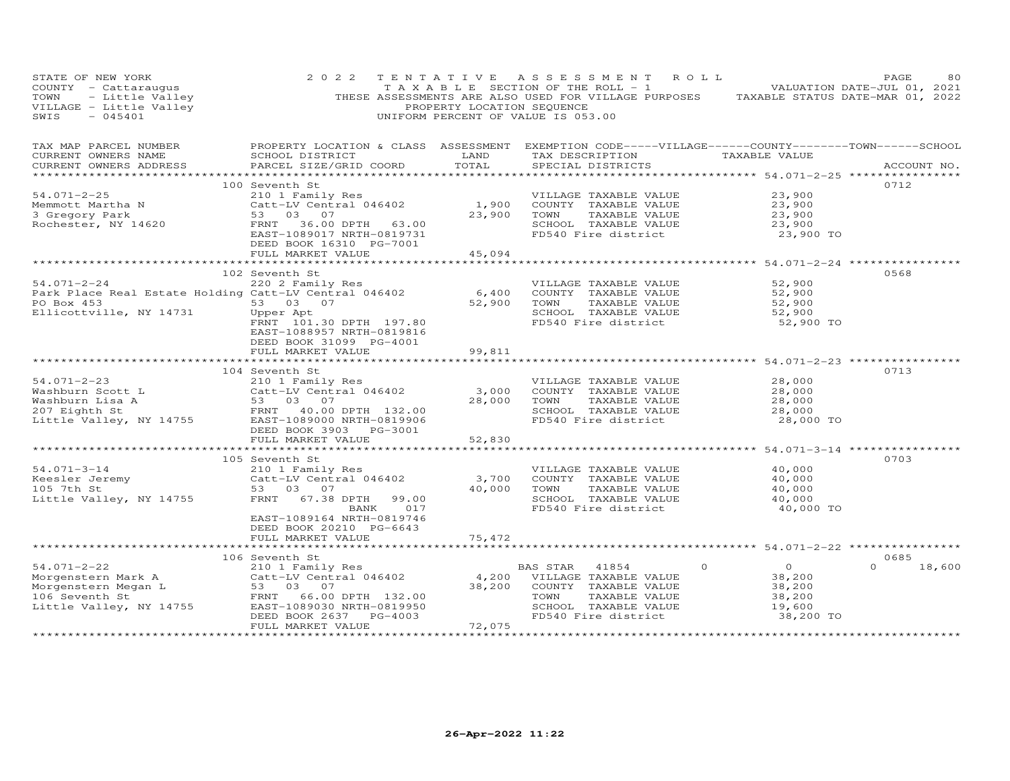| STATE OF NEW YORK<br>COUNTY - Cattaraugus<br>TOWN - Little Valley<br>VILLAGE - Little Valley<br>SWIS - 045401                    | 2 0 2 2                                                                                              | PROPERTY LOCATION SEQUENCE    | TENTATIVE ASSESSMENT ROLL<br>T A X A B L E SECTION OF THE ROLL - 1<br>THESE ASSESSMENTS ARE ALSO USED FOR VILLAGE PURPOSES TAXABLE STATUS DATE-MAR 01, 2022<br>UNIFORM PERCENT OF VALUE IS 053.00 |                                              | PAGE<br>80<br>VALUATION DATE-JUL 01, 2021 |
|----------------------------------------------------------------------------------------------------------------------------------|------------------------------------------------------------------------------------------------------|-------------------------------|---------------------------------------------------------------------------------------------------------------------------------------------------------------------------------------------------|----------------------------------------------|-------------------------------------------|
| TAX MAP PARCEL NUMBER<br>CURRENT OWNERS NAME<br>CURRENT OWNERS ADDRESS                                                           | SCHOOL DISTRICT<br>PARCEL SIZE/GRID COORD                                                            | <b>LAND</b><br>TOTAL          | PROPERTY LOCATION & CLASS ASSESSMENT EXEMPTION CODE-----VILLAGE------COUNTY--------TOWN------SCHOOL<br>TAX DESCRIPTION TAXABLE VALUE<br>SPECIAL DISTRICTS                                         |                                              | ACCOUNT NO.                               |
|                                                                                                                                  | 100 Seventh St                                                                                       |                               |                                                                                                                                                                                                   |                                              | 0712                                      |
| $54.071 - 2 - 25$                                                                                                                | 210 1 Family Res<br>Catt-LV Central 046402<br>53 03 07                                               |                               | VILLAGE TAXABLE VALUE                                                                                                                                                                             | 23,900                                       |                                           |
| Memmott Martha N<br>3 Gregory Park                                                                                               |                                                                                                      | 1,900                         | COUNTY TAXABLE VALUE                                                                                                                                                                              | 23,900                                       |                                           |
|                                                                                                                                  |                                                                                                      | 23,900                        | TAXABLE VALUE<br>TOWN                                                                                                                                                                             | 23,900                                       |                                           |
| Rochester, NY 14620                                                                                                              | FRNT 36.00 DPTH 63.00<br>EAST-1089017 NRTH-0819731<br>DEED BOOK 16310 PG-7001                        |                               | SCHOOL TAXABLE VALUE<br>FD540 Fire district                                                                                                                                                       | 23,900<br>23,900 TO                          |                                           |
|                                                                                                                                  | FULL MARKET VALUE                                                                                    | 45,094                        |                                                                                                                                                                                                   |                                              |                                           |
|                                                                                                                                  |                                                                                                      |                               |                                                                                                                                                                                                   | *********** 54.071-2-24 ***********          |                                           |
| $54.071 - 2 - 24$                                                                                                                | 102 Seventh St<br>220 2 Family Res                                                                   |                               | VILLAGE TAXABLE VALUE                                                                                                                                                                             | 52,900                                       | 0568                                      |
| Park Place Real Estate Holding Catt-LV Central 046402                                                                            |                                                                                                      | 6,400                         | COUNTY TAXABLE VALUE                                                                                                                                                                              | 52,900                                       |                                           |
| PO Box 453                                                                                                                       | 53 03 07                                                                                             | 52,900                        | TAXABLE VALUE<br>TOWN                                                                                                                                                                             | 52,900                                       |                                           |
| Ellicottville, NY 14731                                                                                                          | Upper Apt                                                                                            |                               | SCHOOL TAXABLE VALUE                                                                                                                                                                              | 52,900                                       |                                           |
|                                                                                                                                  | FRNT 101.30 DPTH 197.80<br>EAST-1088957 NRTH-0819816<br>DEED BOOK 31099 PG-4001<br>FULL MARKET VALUE | 99,811                        | FD540 Fire district                                                                                                                                                                               | 52,900 TO                                    |                                           |
|                                                                                                                                  |                                                                                                      |                               |                                                                                                                                                                                                   |                                              |                                           |
|                                                                                                                                  | 104 Seventh St                                                                                       |                               |                                                                                                                                                                                                   |                                              | 0713                                      |
| $54.071 - 2 - 23$                                                                                                                | 210 1 Family Res                                                                                     |                               | VILLAGE TAXABLE VALUE                                                                                                                                                                             | 28,000                                       |                                           |
|                                                                                                                                  |                                                                                                      | 3,000                         | COUNTY TAXABLE VALUE                                                                                                                                                                              | 28,000                                       |                                           |
|                                                                                                                                  |                                                                                                      | 28,000                        | TOWN<br>TAXABLE VALUE                                                                                                                                                                             | 28,000                                       |                                           |
| Vashburn Scott L<br>Washburn Scott L<br>Washburn Lisa A<br>207 Eighth St<br>Little Valley, NY 14755<br>EAST-1089000 NRTH-0819906 |                                                                                                      |                               | SCHOOL TAXABLE VALUE<br>FD540 Fire district                                                                                                                                                       | 28,000<br>28,000 TO                          |                                           |
|                                                                                                                                  | DEED BOOK 3903 PG-3001                                                                               |                               |                                                                                                                                                                                                   |                                              |                                           |
|                                                                                                                                  | FULL MARKET VALUE                                                                                    | 52,830                        |                                                                                                                                                                                                   |                                              |                                           |
|                                                                                                                                  | **********************                                                                               |                               |                                                                                                                                                                                                   | **************** 54.071-3-14 *************** |                                           |
|                                                                                                                                  | 105 Seventh St                                                                                       |                               |                                                                                                                                                                                                   |                                              | 0703                                      |
| $54.071 - 3 - 14$                                                                                                                | 210 1 Family Res                                                                                     |                               | VILLAGE TAXABLE VALUE                                                                                                                                                                             | 40,000                                       |                                           |
| Reesler Jeremy<br>105 7th St                                                                                                     | Catt-LV Central 046402<br>53 03 07                                                                   | 3,700<br>40,000               | COUNTY TAXABLE VALUE<br>TAXABLE VALUE<br>TOWN                                                                                                                                                     | 40,000<br>40,000                             |                                           |
| Little Valley, NY 14755                                                                                                          | FRNT 67.38 DPTH<br>99.00                                                                             |                               | SCHOOL TAXABLE VALUE                                                                                                                                                                              | 40,000                                       |                                           |
|                                                                                                                                  | 017<br>BANK                                                                                          |                               | FD540 Fire district                                                                                                                                                                               | 40,000 TO                                    |                                           |
|                                                                                                                                  | EAST-1089164 NRTH-0819746                                                                            |                               |                                                                                                                                                                                                   |                                              |                                           |
|                                                                                                                                  | DEED BOOK 20210 PG-6643                                                                              |                               |                                                                                                                                                                                                   |                                              |                                           |
|                                                                                                                                  | FULL MARKET VALUE                                                                                    | 75,472<br>**************      | *********************************** 54.071-2-22 *****************                                                                                                                                 |                                              |                                           |
|                                                                                                                                  | 106 Seventh St                                                                                       |                               |                                                                                                                                                                                                   |                                              | 0685                                      |
| $54.071 - 2 - 22$                                                                                                                | 210 1 Family Res                                                                                     |                               | 41854<br>$\circ$<br>BAS STAR                                                                                                                                                                      | $\overline{O}$                               | 18,600<br>$\Omega$                        |
| Morgenstern Mark A                                                                                                               | Catt-LV Central 046402                                                                               | 4,200                         | VILLAGE TAXABLE VALUE                                                                                                                                                                             | 38,200                                       |                                           |
|                                                                                                                                  |                                                                                                      | 38,200                        | COUNTY TAXABLE VALUE                                                                                                                                                                              | 38,200                                       |                                           |
|                                                                                                                                  | FRNT 66.00 DPTH 132.00                                                                               |                               | TOWN<br>TAXABLE VALUE                                                                                                                                                                             | 38,200                                       |                                           |
| Little Valley, NY 14755                                                                                                          | EAST-1089030 NRTH-0819950                                                                            |                               | SCHOOL TAXABLE VALUE                                                                                                                                                                              | 19,600                                       |                                           |
| ***********************                                                                                                          | DEED BOOK 2637 PG-4003<br>FULL MARKET VALUE                                                          | 72,075<br>******************* | FD540 Fire district                                                                                                                                                                               | 38,200 TO                                    |                                           |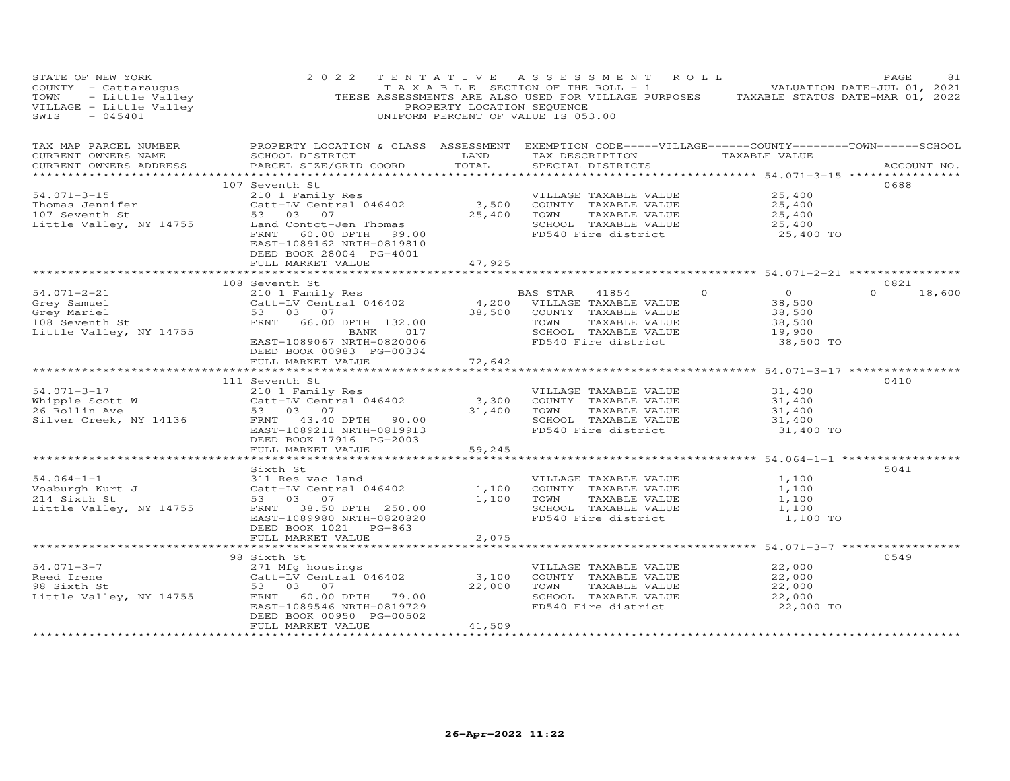| STATE OF NEW YORK<br>COUNTY - Cattaraugus<br>TOWN - Little Valley<br>VILLAGE - Little Valley<br>SWIS - 045401                                                     | 2 0 2 2                                                                                                                                               | PROPERTY LOCATION SEQUENCE | TENTATIVE ASSESSMENT ROLL<br>TAXABLE SECTION OF THE ROLL - 1 VALUATION DATE-JUL 01, 2021<br>THESE ASSESSMENTS ARE ALSO USED FOR VILLAGE PURPOSES TAXABLE STATUS DATE-MAR 01, 2022<br>UNIFORM PERCENT OF VALUE IS 053.00    |                                                                     | PAGE<br>81         |
|-------------------------------------------------------------------------------------------------------------------------------------------------------------------|-------------------------------------------------------------------------------------------------------------------------------------------------------|----------------------------|----------------------------------------------------------------------------------------------------------------------------------------------------------------------------------------------------------------------------|---------------------------------------------------------------------|--------------------|
| TAX MAP PARCEL NUMBER<br>CURRENT OWNERS NAME<br>CURRENT OWNERS ADDRESS                                                                                            | PARCEL SIZE/GRID COORD                                                                                                                                | TOTAL                      | PROPERTY LOCATION & CLASS ASSESSMENT EXEMPTION CODE-----VILLAGE------COUNTY-------TOWN------SCHOOL<br>SCHOOL DISTRICT                      LAND        TAX DESCRIPTION                  TAXABLE VALUE<br>SPECIAL DISTRICTS |                                                                     | ACCOUNT NO.        |
|                                                                                                                                                                   | 107 Seventh St                                                                                                                                        |                            |                                                                                                                                                                                                                            |                                                                     | 0688               |
| $54.071 - 3 - 15$<br>Thomas Jennifer<br>107 Seventh St<br>Little Valley, NY 14755                                                                                 | FRNT 60.00 DPTH 99.00                                                                                                                                 |                            | Seventh St<br>210 1 Family Res<br>Catt-LV Central 046402 3,500 COUNTY TAXABLE VALUE<br>53 03 07 25,400 TOWN TAXABLE VALUE<br>SCHOOL TAXABLE VALUE<br>TAXABLE VALUE<br>FD540 Fire district                                  | 25,400<br>25,400<br>25,400<br>25,400<br>25,400 TO                   |                    |
|                                                                                                                                                                   | EAST-1089162 NRTH-0819810<br>DEED BOOK 28004 PG-4001<br>FULL MARKET VALUE                                                                             | 47,925                     |                                                                                                                                                                                                                            |                                                                     |                    |
|                                                                                                                                                                   | 108 Seventh St                                                                                                                                        |                            |                                                                                                                                                                                                                            |                                                                     | 0821               |
| $54.071 - 2 - 21$<br>Grey Samuel<br>i<br>1990 - Andrea Stean Britaine<br>1990 - Andrea Stean Britaine<br>Grey Mariel<br>108 Seventh St<br>Little Valley, NY 14755 | 210 1 Family Res<br>Catt-LV Central 046402<br>53 03 07<br>FRNT 66.00 DPTH 132.00<br>BANK 017<br>EAST-1089067 NRTH-0820006<br>DEED BOOK 00983 PG-00334 |                            | $\Omega$<br>BAS STAR 41854<br>4,200 VILLAGE TAXABLE VALUE<br>38,500 COUNTY TAXABLE VALUE<br>TOWN<br>TAXABLE VALUE<br>SCHOOL TAXABLE VALUE<br>FD540 Fire district                                                           | $\overline{O}$<br>38,500<br>38,500<br>38,500<br>19,900<br>38,500 TO | $\Omega$<br>18,600 |
|                                                                                                                                                                   | FULL MARKET VALUE                                                                                                                                     | 72,642                     |                                                                                                                                                                                                                            |                                                                     |                    |
|                                                                                                                                                                   |                                                                                                                                                       |                            |                                                                                                                                                                                                                            |                                                                     |                    |
| 54.071-3-17<br>Whipple Scott W<br>200 1 Family Res<br>26 Rollin Ave<br>53 03 07<br>Silver Creek, NY 14136<br>FRNT 43.40 DPTH 90.00                                | 111 Seventh St<br>EAST-1089211 NRTH-0819913<br>DEED BOOK 17916 PG-2003                                                                                |                            | VILLAGE TAXABLE VALUE<br>3,300 COUNTY TAXABLE VALUE<br>31,400 TOWN<br>TAXABLE VALUE<br>SCHOOL TAXABLE VALUE<br>FD540 Fire district                                                                                         | 31,400<br>31,400<br>31,400<br>31,400<br>31,400 TO                   | 0410               |
|                                                                                                                                                                   | FULL MARKET VALUE                                                                                                                                     | 59,245<br>**************   |                                                                                                                                                                                                                            | ************************* 54.064-1-1 ****************               |                    |
| $54.064 - 1 - 1$<br>Vosburgh Kurt J                                                                                                                               | Sixth St<br>311 Res vac land<br>Catt-LV Central 046402<br>53 03 07<br>FRNT 38.50 DPTH 250.00<br>EAST-1089980 NRTH-0820820<br>DEED BOOK 1021 PG-863    | 1,100<br>1,100             | VILLAGE TAXABLE VALUE<br>COUNTY TAXABLE VALUE<br>TOWN<br>TAXABLE VALUE<br>SCHOOL TAXABLE VALUE<br>FD540 Fire district                                                                                                      | 1,100<br>1,100<br>1,100<br>1,100<br>1,100 TO                        | 5041               |
|                                                                                                                                                                   | FULL MARKET VALUE                                                                                                                                     | 2,075                      |                                                                                                                                                                                                                            |                                                                     |                    |
|                                                                                                                                                                   |                                                                                                                                                       |                            |                                                                                                                                                                                                                            |                                                                     |                    |
| 54.071-3-7<br>Reed Irene<br>98 Sixth St<br>Little Valley, NY 14755                                                                                                | 98 Sixth St<br>271 Mfg housings<br>Catt-LV Central 046402<br>53 03 07<br>FRNT 60.00 DPTH 79.00<br>EAST-1089546 NRTH-0819729                           |                            | VILLAGE TAXABLE VALUE<br>3,100 COUNTY TAXABLE VALUE<br>22,000 TOWN<br>TAXABLE VALUE<br>SCHOOL TAXABLE VALUE<br>FD540 Fire district                                                                                         | 22,000<br>22,000<br>22,000<br>22,000<br>22,000 TO                   | 0549               |
|                                                                                                                                                                   | DEED BOOK 00950 PG-00502<br>FULL MARKET VALUE                                                                                                         | 41,509                     |                                                                                                                                                                                                                            |                                                                     |                    |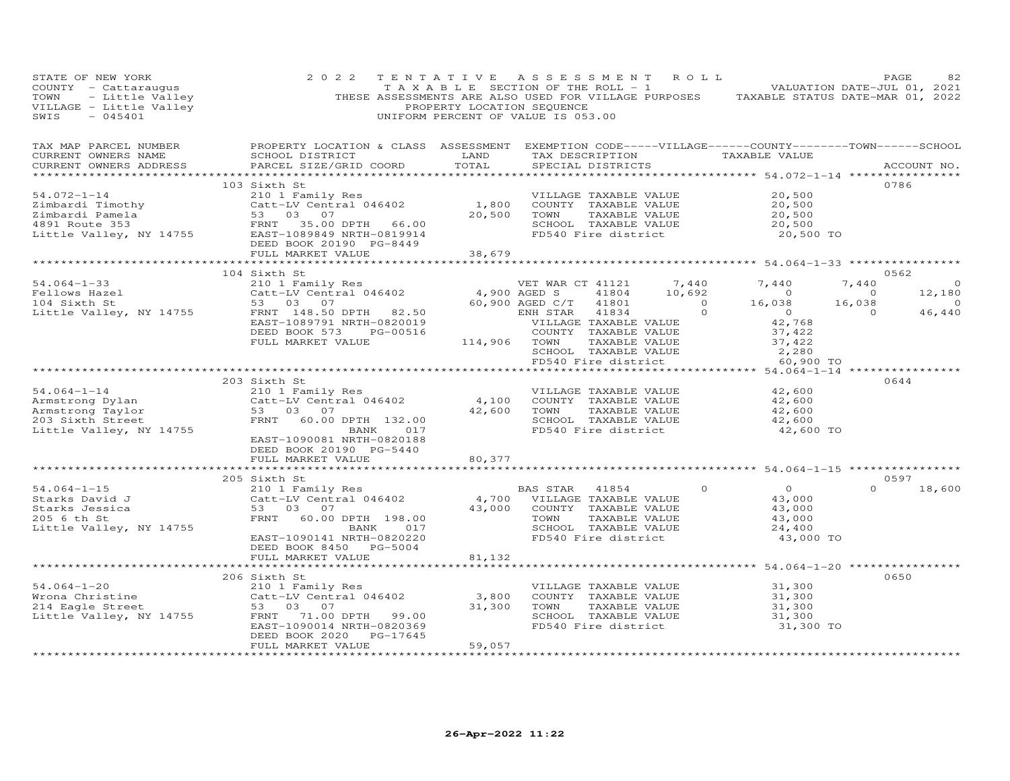| STATE OF NEW YORK<br>COUNTY - Cattaraugus TAXABLE SECTION OF THE ROLL - 1 VALUATION DATE-JUL 01, 2021<br>TOWN - Little Valley THESE ASSESSMENTS ARE ALSO USED FOR VILLAGE PURPOSES TAXABLE STATUS DATE-MAR 01, 2022<br>THESE ASSESSMENTS ARE ALSO USED | 2 0 2 2                                                                                                                                             | TENTATIVE ASSESSMENT ROLL                                                                                                                           |                                                                                                        |                       |                                                                                                                                |                                                       |          | PAGE<br>82<br>TAXABLE SECTION OF THE ROLL - 1 VALUATION DATE-JUL 01, 2021 |
|--------------------------------------------------------------------------------------------------------------------------------------------------------------------------------------------------------------------------------------------------------|-----------------------------------------------------------------------------------------------------------------------------------------------------|-----------------------------------------------------------------------------------------------------------------------------------------------------|--------------------------------------------------------------------------------------------------------|-----------------------|--------------------------------------------------------------------------------------------------------------------------------|-------------------------------------------------------|----------|---------------------------------------------------------------------------|
|                                                                                                                                                                                                                                                        |                                                                                                                                                     |                                                                                                                                                     |                                                                                                        |                       |                                                                                                                                |                                                       |          |                                                                           |
|                                                                                                                                                                                                                                                        | 103 Sixth St                                                                                                                                        |                                                                                                                                                     |                                                                                                        |                       |                                                                                                                                |                                                       |          | 0786                                                                      |
|                                                                                                                                                                                                                                                        |                                                                                                                                                     |                                                                                                                                                     |                                                                                                        |                       |                                                                                                                                |                                                       |          |                                                                           |
|                                                                                                                                                                                                                                                        |                                                                                                                                                     |                                                                                                                                                     |                                                                                                        |                       | TOWN TAXABLE VALUE 37,422<br>SCHOOL TAXABLE VALUE 2,280<br>FD540 Fire district 60,900 TO                                       |                                                       |          | $\overline{0}$<br>12,180<br>$\sim$ 0<br>46,440                            |
|                                                                                                                                                                                                                                                        |                                                                                                                                                     |                                                                                                                                                     |                                                                                                        |                       |                                                                                                                                |                                                       |          |                                                                           |
| 54.064-1-14<br>Armstrong Dylan<br>Armstrong Taylor (200 Sixth Street FRNT 60.00 DPTH 132.00<br>Little Valley, NY 14755<br>Catt-LV Central 046402<br>ERNT 60.00 DPTH 132.00                                                                             | 203 Sixth St<br>EAST-1090081 NRTH-0820188<br>DEED BOOK 20190 PG-5440                                                                                | 42,600 TOWN<br>SCHOO<br>FD540                                                                                                                       | 4,100 COUNTY TAXABLE VALUE<br>42,600 TOWN TAXABLE VALUE<br>SCHOOL TAXABLE VALUE<br>FD540 Fire district | VILLAGE TAXABLE VALUE |                                                                                                                                | 42,600<br>$42,600$<br>$42,600$<br>42,600<br>42,600 TO |          | 0644                                                                      |
|                                                                                                                                                                                                                                                        | FULL MARKET VALUE                                                                                                                                   | 80,377                                                                                                                                              |                                                                                                        |                       |                                                                                                                                |                                                       |          |                                                                           |
|                                                                                                                                                                                                                                                        | 205 Sixth St                                                                                                                                        |                                                                                                                                                     |                                                                                                        |                       |                                                                                                                                |                                                       |          | 0597                                                                      |
| $54.064 - 1 - 15$<br>54.064-1-15<br>Starks David J<br>Starks Jessica<br>205 6 th St<br>Little Valley, NY 14755                                                                                                                                         | 210 1 Family Res<br>Catt-LV Central 046402<br>53 03 07<br>FRNT 60.00 DPTH 198.00<br>BANK 017<br>EAST-1090141 NRTH-0820220<br>DEED BOOK 8450 PG-5004 | BAS STAR 41854 0<br>4,700 VILLAGE TAXABLE VALUE<br>43,000 COUNTY TAXABLE VALUE<br>TOWN TAXABLE VALUE<br>SCHOOL TAXABLE VALUE<br>FD540 Fire district |                                                                                                        |                       | $0$ 0<br>43,000                                                                                                                | 43,000<br>43,000<br>43,000<br>24,400<br>43,000 TO     | $\Omega$ | 18,600                                                                    |
|                                                                                                                                                                                                                                                        | FULL MARKET VALUE                                                                                                                                   | 81,132                                                                                                                                              |                                                                                                        |                       |                                                                                                                                |                                                       |          |                                                                           |
|                                                                                                                                                                                                                                                        | FULL MARKET VALUE                                                                                                                                   | 164<br>*******************                                                                                                                          |                                                                                                        |                       | COUNTY TAXABLE VALUE<br>TOWN TAXABLE VALUE 31,300<br>SCHOOL TAXABLE VALUE 31,300<br>FD540 Fire district 31,300 TO<br>31,300 TO | 31,300                                                |          | 0650                                                                      |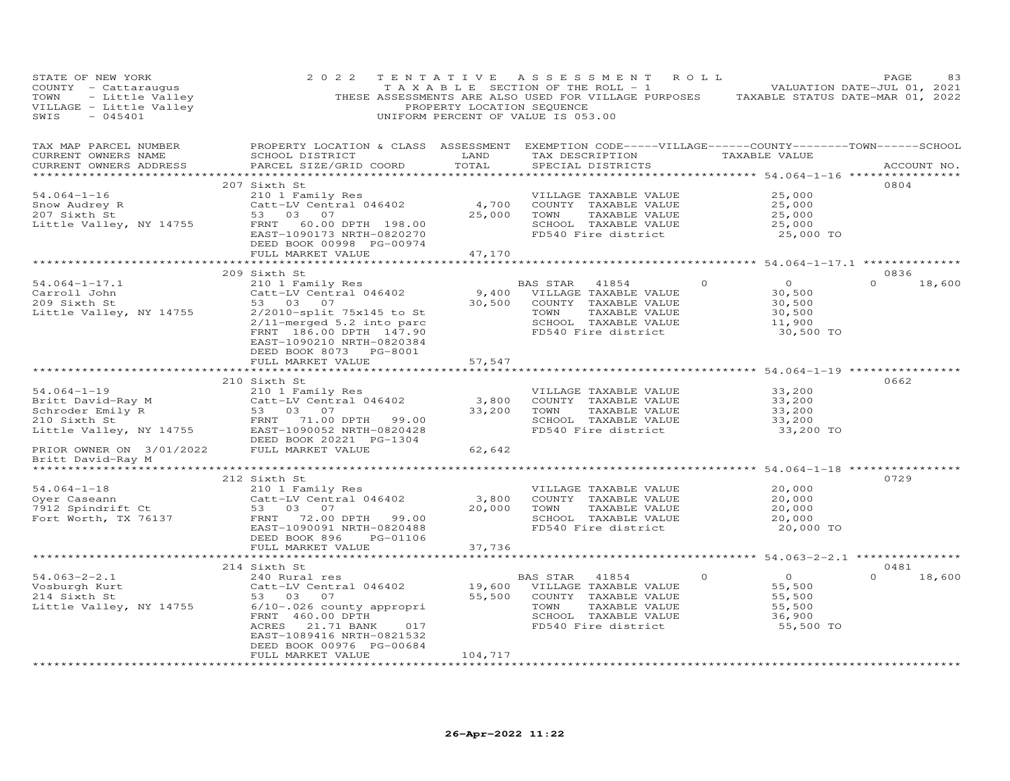| STATE OF NEW YORK                                                      | 2 0 2 2<br>COUNTY - Cattaraugus<br>TAXABLE SECTION OF THE ROLL - 1 VALUATION DATE-JUL UL, 2021<br>TOWN - Little Valley (PRESE ASSESSMENTS ARE ALSO USED FOR VILLAGE PURPOSES TAXABLE STATUS DATE-MAR 01, 2022<br>VILLAGE - Little Valley (PROPE                                                           |                         | TENTATIVE ASSESSMENT ROLL<br>TAXABLE SECTION OF THE ROLL - 1 VALUATION DATE-JUL 01, 2021 |                                                        | PAGE<br>83            |
|------------------------------------------------------------------------|-----------------------------------------------------------------------------------------------------------------------------------------------------------------------------------------------------------------------------------------------------------------------------------------------------------|-------------------------|------------------------------------------------------------------------------------------|--------------------------------------------------------|-----------------------|
| TAX MAP PARCEL NUMBER<br>CURRENT OWNERS NAME<br>CURRENT OWNERS ADDRESS | PROPERTY LOCATION & CLASS ASSESSMENT EXEMPTION CODE-----VILLAGE------COUNTY-------TOWN------SCHOOL<br>SCHOOL DISTRICT                     LAND        TAX DESCRIPTION                 TAXABLE VALUE<br>PARCEL SIZE/GRID COORD TOTAL                                                                       |                         | SPECIAL DISTRICTS                                                                        |                                                        | ACCOUNT NO.           |
|                                                                        | FULL MARKET VALUE                                                                                                                                                                                                                                                                                         | 47,170                  |                                                                                          |                                                        | 0804                  |
|                                                                        |                                                                                                                                                                                                                                                                                                           |                         |                                                                                          |                                                        |                       |
| $54.064 - 1 - 17.1$                                                    | 209 Sixth St                                                                                                                                                                                                                                                                                              |                         |                                                                                          | $\overline{0}$                                         | 0836<br>$0 \t 18,600$ |
| Carroll John<br>209 Sixth St<br>Little Valley, NY 14755                | Sixth St<br>2010 I Family Res<br>Catt-LV Central 046402<br>53 03 07<br>2/2010-split 75x145 to St<br>2/11-merged 5.2 into parc<br>FRNT 186.00 DPTH 147.90<br>FD540 Fire district<br>EAST-1090210 NRTH-0820384<br>DEED BOOK 8073 PG-8001                                                                    |                         |                                                                                          | 0<br>30,500<br>30,500<br>30,500<br>11,900<br>30,500 TO |                       |
|                                                                        | FULL MARKET VALUE                                                                                                                                                                                                                                                                                         | 57,547                  |                                                                                          |                                                        |                       |
|                                                                        |                                                                                                                                                                                                                                                                                                           |                         |                                                                                          |                                                        |                       |
|                                                                        | 210 Sixth St<br>310 31,200<br>External of the Maria Catter Liv Central 046402<br>Schroder Emily R<br>210 Sixth St<br>210 Sixth St<br>210 Sixth St<br>210 Sixth St<br>210 Sixth St<br>210 Sixth St<br>210 Sixth St<br>210 Sixth St<br>210 Sixth St<br>210 Schroder Emil                                    |                         |                                                                                          |                                                        | 0662                  |
|                                                                        | ERIOR OWNER ON 3/01/2022<br>BEED BOOK 20221 PG-1304<br>Britt David-Ray M                                                                                                                                                                                                                                  | 62,642                  |                                                                                          |                                                        |                       |
| *******************                                                    |                                                                                                                                                                                                                                                                                                           |                         |                                                                                          |                                                        |                       |
|                                                                        |                                                                                                                                                                                                                                                                                                           |                         |                                                                                          | 20,000 TO                                              | 0729                  |
|                                                                        | FULL MARKET VALUE                                                                                                                                                                                                                                                                                         | 37,736<br>************* |                                                                                          | ********** 54.063-2-2.1 *************                  |                       |
|                                                                        | 214 Sixth St                                                                                                                                                                                                                                                                                              |                         |                                                                                          |                                                        | 0481                  |
|                                                                        | 54.063-2-2.1<br>Vosburgh Kurt Catt-LV Central 046402<br>214 Sixth St 53 03 07<br>214 Sixth St 53 03 07<br>214 Sixth St 55,500<br>214 Sixth St 55,500<br>214 Sixth St 55,500<br>214 Sixth St 55,500<br>214 Sixth St 55,500<br>214 Sixth St 55,500<br>EAST-1089416 NRTH-0821532<br>DEED BOOK 00976 PG-00684 |                         |                                                                                          | 55,500 TO                                              | $\Omega$<br>18,600    |
|                                                                        | FULL MARKET VALUE                                                                                                                                                                                                                                                                                         | 104,717                 |                                                                                          |                                                        |                       |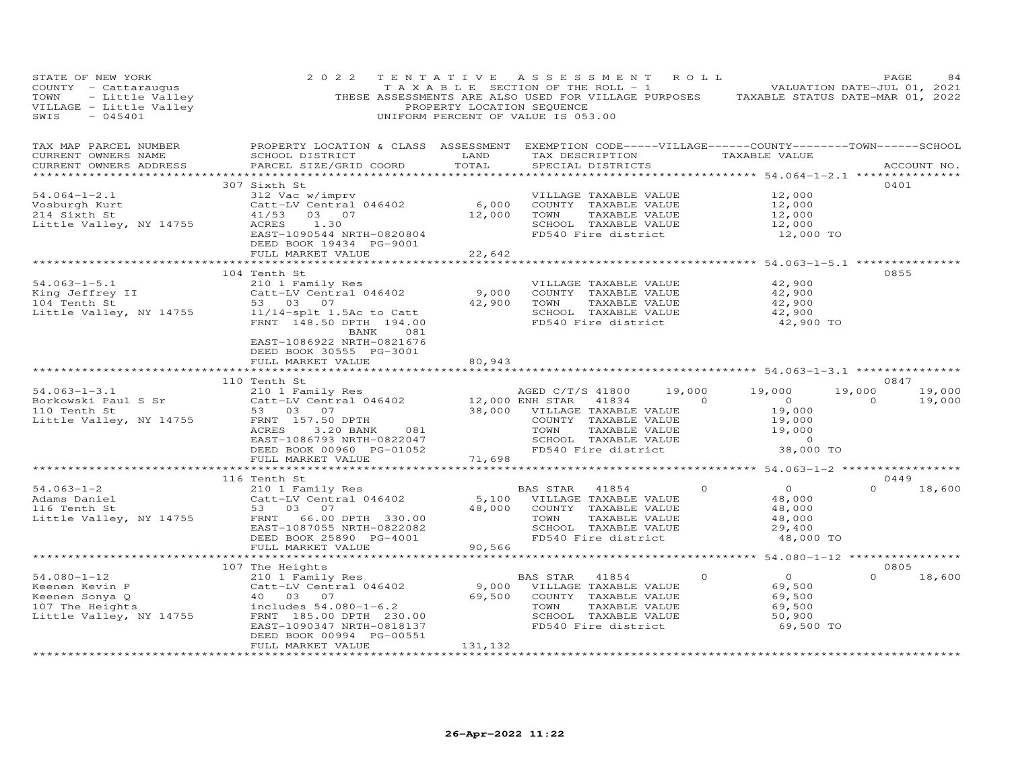| STATE OF NEW YORK<br>COUNTY - Cattaraugus<br>TOWN - Little Valley<br>VILLAGE - Little Valley<br>SWIS - 045401 | 2 0 2 2                                                                                                                                                                                                                                                                                         | PROPERTY LOCATION SEQUENCE                                                                                                      | TENTATIVE ASSESSMENT ROLL<br>TAXABLE SECTION OF THE ROLL - 1 VALUATION DATE-JUL 01, 2021<br>THESE ASSESSMENTS ARE ALSO USED FOR VILLAGE PURPOSES TAXABLE STATUS DATE-MAR 01, 2022<br>UNIFORM PERCENT OF VALUE IS 053.00 |                                                                                                                                                              | PAGE<br>84                          |
|---------------------------------------------------------------------------------------------------------------|-------------------------------------------------------------------------------------------------------------------------------------------------------------------------------------------------------------------------------------------------------------------------------------------------|---------------------------------------------------------------------------------------------------------------------------------|-------------------------------------------------------------------------------------------------------------------------------------------------------------------------------------------------------------------------|--------------------------------------------------------------------------------------------------------------------------------------------------------------|-------------------------------------|
| TAX MAP PARCEL NUMBER<br>CURRENT OWNERS NAME<br>CURRENT OWNERS ADDRESS                                        | PROPERTY LOCATION & CLASS ASSESSMENT EXEMPTION CODE-----VILLAGE------COUNTY-------TOWN------SCHOOL<br>SCHOOL DISTRICT<br>PARCEL SIZE/GRID COORD                                                                                                                                                 | <b>EXAMPLE SERVICE SERVICE SERVICE SERVICE SERVICE SERVICE SERVICE SERVICE SERVICE SERVICE SERVICE SERVICE SERVICE</b><br>TOTAL | TAX DESCRIPTION TAXABLE VALUE<br>SPECIAL DISTRICTS                                                                                                                                                                      |                                                                                                                                                              | ACCOUNT NO.                         |
|                                                                                                               | 307 Sixth St<br>VOSburgh Kurt<br>214 Sixth St<br>214 Sixth St<br>214 Sixth St<br>214 Sixth St<br>214 School (2002)<br>21/53 03 07<br>21/53 03 07<br>21/53 12,000 TOWN<br>21/53 12,000 TOWN<br>21/53 12,000 SCHOOT.<br>EAST-1090544 NRTH-0820804<br>DEED BOOK 19434 PG-9001<br>FULL MARKET VALUE | 22,642                                                                                                                          | VILLAGE TAXABLE VALUE<br>COUNTY TAXABLE VALUE<br>TAXABLE VALUE<br>SCHOOL TAXABLE VALUE 12,000<br>FD540 Fire district 12,000 TO                                                                                          | 12,000<br>12,000<br>12,000<br>12,000                                                                                                                         | 0401                                |
|                                                                                                               |                                                                                                                                                                                                                                                                                                 |                                                                                                                                 |                                                                                                                                                                                                                         |                                                                                                                                                              |                                     |
|                                                                                                               | 104 Tenth St<br>54.063-1-5.1<br>King Jeffrey II 210 1 Family Res<br>104 Tenth St 53 03 07<br>Little Valley, NY 14755<br>$\frac{53}{21}/14$ -splt 1.5Ac to Catt<br>FRNT 148.50 DPTH 194.00<br>BANK 081<br>EAST-1086922 NRTH-0821676<br>DEED BOOK 30555 PG-3001                                   | 9,000                                                                                                                           | VILLAGE TAXABLE VALUE<br>COUNTY TAXABLE VALUE<br>42,900 TOWN<br>TAXABLE VALUE<br>SCHOOL TAXABLE VALUE<br>FD540 Fire district                                                                                            | 42,900<br>42,900<br>42,900<br>42,900<br>42,900 TO                                                                                                            | 0855                                |
|                                                                                                               | FULL MARKET VALUE                                                                                                                                                                                                                                                                               | 80,943                                                                                                                          |                                                                                                                                                                                                                         |                                                                                                                                                              |                                     |
|                                                                                                               |                                                                                                                                                                                                                                                                                                 |                                                                                                                                 |                                                                                                                                                                                                                         |                                                                                                                                                              |                                     |
|                                                                                                               | 110 Tenth St                                                                                                                                                                                                                                                                                    |                                                                                                                                 |                                                                                                                                                                                                                         |                                                                                                                                                              | 0847                                |
| $54.063 - 1 - 3.1$<br>Borkowski Paul S Sr<br>110 Turkh St<br>110 Tenth St<br>Little Valley, NY 14755          | Tenth Strategy and Temples and MCED CALL CONTROLLING CONTROLLING CONTROLLING CONTROLLING TRANSPORT 157.50 DPTH<br>TENT 157.50 DPTH<br>ACRES 3.20 BANK 081 TOWN TAXABLE VALUE<br>EAST-1086793 NRTH-0822047 SCHOOL TAXABLE VALUE<br>DEED                                                          |                                                                                                                                 |                                                                                                                                                                                                                         | $19,000$ $19,000$<br>$ \begin{array}{ccc} & 19,000 \\ 0 & & 0 \\ 19,000 \\ & & 19,000 \end{array}$<br>$\frac{19,000}{19,000}$<br>$\overline{0}$<br>38,000 TO | 19,000 19,000<br>$\sim$ 0<br>19,000 |
|                                                                                                               |                                                                                                                                                                                                                                                                                                 |                                                                                                                                 |                                                                                                                                                                                                                         |                                                                                                                                                              |                                     |
|                                                                                                               |                                                                                                                                                                                                                                                                                                 |                                                                                                                                 |                                                                                                                                                                                                                         |                                                                                                                                                              |                                     |
|                                                                                                               | 116 Tenth St<br>EAST-1087055 NRTH-0822082<br>DEED BOOK 25890 PG-4001                                                                                                                                                                                                                            |                                                                                                                                 | BAS STAR 41854<br>5,100 VILLAGE TAXABLE VALUE<br>48,000 COUNTY TAXABLE VALUE<br>TOWN<br>TAXABLE VALUE<br>SCHOOL TAXABLE VALUE<br>FD540 Fire district                                                                    | $\Omega$<br>$\overline{0}$<br>48,000<br>48,000<br>48,000<br>48,000<br>29,400<br>48,000 TO                                                                    | 0449<br>$\Omega$<br>18,600          |
|                                                                                                               | FULL MARKET VALUE<br>************************                                                                                                                                                                                                                                                   | 90,566                                                                                                                          |                                                                                                                                                                                                                         | ************ 54.080-1-12 ***************                                                                                                                     |                                     |
|                                                                                                               | 107 The Heights                                                                                                                                                                                                                                                                                 |                                                                                                                                 |                                                                                                                                                                                                                         |                                                                                                                                                              | 0805                                |
| $54.080 - 1 - 12$                                                                                             | 210 1 Family Res<br>EAST-1090347 NRTH-0818137<br>DEED BOOK 00994 PG-00551<br>FULL MARKET VALUE                                                                                                                                                                                                  | 131,132                                                                                                                         | BAS STAR 41854<br>9,000 VILLAGE TAXABLE VALUE<br>69,500 COUNTY TAXABLE VALUE<br>TOWN<br>TAXABLE VALUE<br>SCHOOL TAXABLE VALUE<br>FD540 Fire district                                                                    | $\overline{0}$<br>$\circ$<br>69,500<br>69,500<br>69,500<br>50,900<br>69,500 TO                                                                               | $\Omega$<br>18,600                  |
|                                                                                                               |                                                                                                                                                                                                                                                                                                 | ******************                                                                                                              |                                                                                                                                                                                                                         |                                                                                                                                                              |                                     |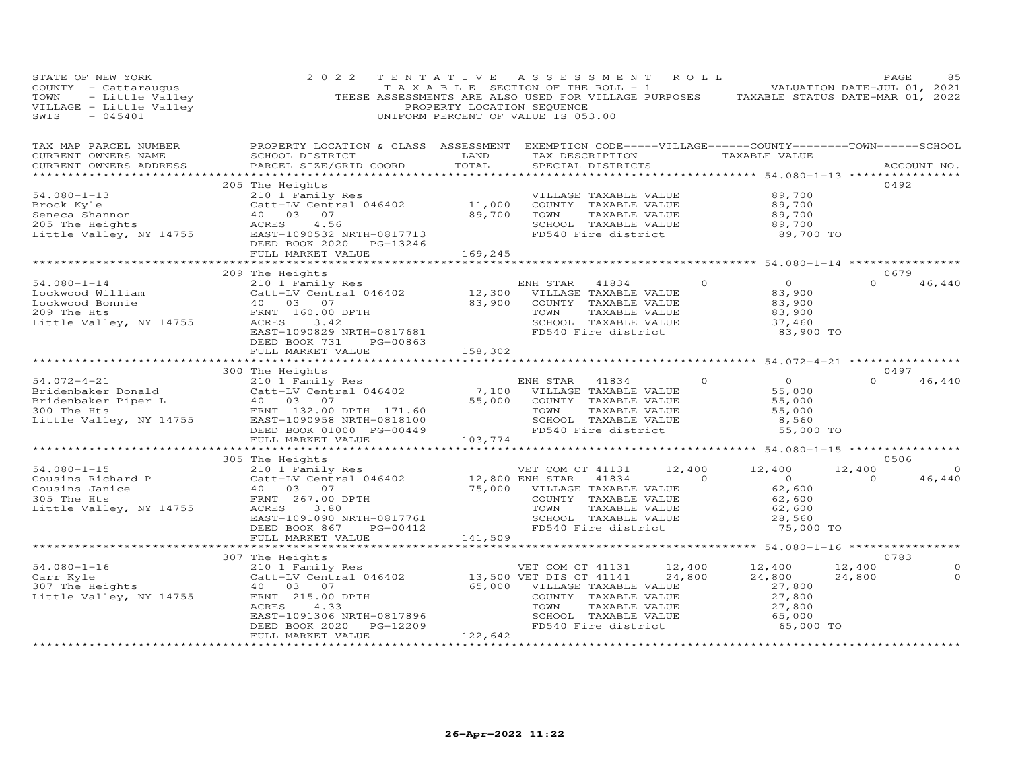| 2 0 2 2           |                                                                                                                                   |                                                                                                                                                                    |                                                                                                                                                                                                                                                                                                                                                                                                                                                                                                                                                                   |                                                                                                                                                         | PAGE                                                                                                                                                                                                                                                                 | 85                                                                                                                                                                                                                                                                                                                                                                                                                                                                                                                                                                                                                                                                                                                                                                                             |
|-------------------|-----------------------------------------------------------------------------------------------------------------------------------|--------------------------------------------------------------------------------------------------------------------------------------------------------------------|-------------------------------------------------------------------------------------------------------------------------------------------------------------------------------------------------------------------------------------------------------------------------------------------------------------------------------------------------------------------------------------------------------------------------------------------------------------------------------------------------------------------------------------------------------------------|---------------------------------------------------------------------------------------------------------------------------------------------------------|----------------------------------------------------------------------------------------------------------------------------------------------------------------------------------------------------------------------------------------------------------------------|------------------------------------------------------------------------------------------------------------------------------------------------------------------------------------------------------------------------------------------------------------------------------------------------------------------------------------------------------------------------------------------------------------------------------------------------------------------------------------------------------------------------------------------------------------------------------------------------------------------------------------------------------------------------------------------------------------------------------------------------------------------------------------------------|
|                   |                                                                                                                                   |                                                                                                                                                                    |                                                                                                                                                                                                                                                                                                                                                                                                                                                                                                                                                                   |                                                                                                                                                         |                                                                                                                                                                                                                                                                      |                                                                                                                                                                                                                                                                                                                                                                                                                                                                                                                                                                                                                                                                                                                                                                                                |
|                   |                                                                                                                                   |                                                                                                                                                                    |                                                                                                                                                                                                                                                                                                                                                                                                                                                                                                                                                                   |                                                                                                                                                         | 0492                                                                                                                                                                                                                                                                 |                                                                                                                                                                                                                                                                                                                                                                                                                                                                                                                                                                                                                                                                                                                                                                                                |
|                   |                                                                                                                                   |                                                                                                                                                                    |                                                                                                                                                                                                                                                                                                                                                                                                                                                                                                                                                                   |                                                                                                                                                         |                                                                                                                                                                                                                                                                      |                                                                                                                                                                                                                                                                                                                                                                                                                                                                                                                                                                                                                                                                                                                                                                                                |
|                   |                                                                                                                                   |                                                                                                                                                                    |                                                                                                                                                                                                                                                                                                                                                                                                                                                                                                                                                                   |                                                                                                                                                         |                                                                                                                                                                                                                                                                      |                                                                                                                                                                                                                                                                                                                                                                                                                                                                                                                                                                                                                                                                                                                                                                                                |
|                   |                                                                                                                                   |                                                                                                                                                                    |                                                                                                                                                                                                                                                                                                                                                                                                                                                                                                                                                                   |                                                                                                                                                         |                                                                                                                                                                                                                                                                      |                                                                                                                                                                                                                                                                                                                                                                                                                                                                                                                                                                                                                                                                                                                                                                                                |
|                   |                                                                                                                                   |                                                                                                                                                                    |                                                                                                                                                                                                                                                                                                                                                                                                                                                                                                                                                                   |                                                                                                                                                         | $\Omega$                                                                                                                                                                                                                                                             | 46,440                                                                                                                                                                                                                                                                                                                                                                                                                                                                                                                                                                                                                                                                                                                                                                                         |
| FULL MARKET VALUE |                                                                                                                                   |                                                                                                                                                                    |                                                                                                                                                                                                                                                                                                                                                                                                                                                                                                                                                                   |                                                                                                                                                         |                                                                                                                                                                                                                                                                      |                                                                                                                                                                                                                                                                                                                                                                                                                                                                                                                                                                                                                                                                                                                                                                                                |
|                   |                                                                                                                                   |                                                                                                                                                                    |                                                                                                                                                                                                                                                                                                                                                                                                                                                                                                                                                                   |                                                                                                                                                         |                                                                                                                                                                                                                                                                      |                                                                                                                                                                                                                                                                                                                                                                                                                                                                                                                                                                                                                                                                                                                                                                                                |
|                   |                                                                                                                                   |                                                                                                                                                                    |                                                                                                                                                                                                                                                                                                                                                                                                                                                                                                                                                                   |                                                                                                                                                         | $\Omega$                                                                                                                                                                                                                                                             | 46,440                                                                                                                                                                                                                                                                                                                                                                                                                                                                                                                                                                                                                                                                                                                                                                                         |
|                   |                                                                                                                                   |                                                                                                                                                                    |                                                                                                                                                                                                                                                                                                                                                                                                                                                                                                                                                                   |                                                                                                                                                         |                                                                                                                                                                                                                                                                      |                                                                                                                                                                                                                                                                                                                                                                                                                                                                                                                                                                                                                                                                                                                                                                                                |
|                   |                                                                                                                                   |                                                                                                                                                                    |                                                                                                                                                                                                                                                                                                                                                                                                                                                                                                                                                                   |                                                                                                                                                         |                                                                                                                                                                                                                                                                      | $\sim$ 0<br>46,440                                                                                                                                                                                                                                                                                                                                                                                                                                                                                                                                                                                                                                                                                                                                                                             |
|                   |                                                                                                                                   |                                                                                                                                                                    |                                                                                                                                                                                                                                                                                                                                                                                                                                                                                                                                                                   |                                                                                                                                                         |                                                                                                                                                                                                                                                                      |                                                                                                                                                                                                                                                                                                                                                                                                                                                                                                                                                                                                                                                                                                                                                                                                |
|                   |                                                                                                                                   |                                                                                                                                                                    |                                                                                                                                                                                                                                                                                                                                                                                                                                                                                                                                                                   |                                                                                                                                                         |                                                                                                                                                                                                                                                                      |                                                                                                                                                                                                                                                                                                                                                                                                                                                                                                                                                                                                                                                                                                                                                                                                |
|                   |                                                                                                                                   |                                                                                                                                                                    |                                                                                                                                                                                                                                                                                                                                                                                                                                                                                                                                                                   |                                                                                                                                                         |                                                                                                                                                                                                                                                                      | $\circ$<br>$\circ$                                                                                                                                                                                                                                                                                                                                                                                                                                                                                                                                                                                                                                                                                                                                                                             |
|                   | 205 The Heights<br>209 The Heights<br>DEED BOOK 731<br>300 The Heights<br>FULL MARKET VALUE<br>305 The Heights<br>307 The Heights | PG-00863<br>54.080-1-16 210 1 Family Res<br>Carr Kyle Catt-LV Central 046402<br>307 The Heights 40 03 07<br>Little Valley, NY 14755 FRNT 215.00 DPTH<br>ACRES 4.33 | $\begin{tabular}{lllllllllll} 54.080-1-13 & & & & & & & & & & & & \\ 54.080-1-13 & & & & & & & & & & & & & & \\ 64.080-1-13 & & & & & & & & & & & & & & \\ 64.080-10 & & & & & & & & & & & & & \\ 65.080-10 & & & & & & & & & & & & & \\ 66.080-10 & & & & & & & & & & & & & \\ 67.080-10 & & & & & & & & & & & & & \\ 68.080-10 & & & & & & & & & & & & & \\ 69.080-$<br>*****************<br>158,302<br>103,774<br>FULL MARKET VALUE 141,509<br>PART 1091306 NRTH-0817896<br>EAST-1091306 NRTH-0817896<br>DEED BOOK 2020 PG-12209<br>FUILL MARKET VALUE 122,642 | 210 1 Family Res<br>Catt-LV Central 046402 (11,000 COUNTY TAXABLE VALUE<br>40 03 07 (89,700 TOWN TAXABLE VALUE<br>ACRES 4.56 (4.56 SCHOOL TAXABLE VALUE | TENTATIVE ASSESSMENT ROLL<br>83,90 <sub>v</sub><br>83,900<br>83,900<br>37,460<br>33,9<br>FD540 Fire district<br>41834 0 0<br>TAXABLE VALUE 55,000<br>TAXABLE VALUE 55,000<br>TAXABLE VALUE 55,000<br>TAXABLE VALUE 8,560<br>12,400 12,400<br>$\frac{12,400}{24,800}$ | STATE OF NEW YORK<br>COUNTY - Cattaraugus<br>TOWN - Little Valley<br>THESE ASSESSMENTS ARE ALSO USED FOR VILLAGE PURPOSES TAXABLE STATUS DATE-MAR 01, 2022<br>VILLAGE - Little Valley PROPERTY LOCATION SEQUENCE<br>SWIS - 045401 UNIFOR<br>VILLAGE TAXABLE VALUE 89,700<br>COUNTY TAXABLE VALUE 89,700<br>TOWN TAXABLE VALUE 89,700<br>SCHOOL TAXABLE VALUE 89,700<br>FD540 Fire district 89,700 TO<br>********************* 54.080-1-14 *****************<br>0679<br>83,900 TO<br>0497<br>55,000 TO<br>0506<br>12,400<br>NH STAR 41834 1-7.100 12, 100 12, 100 12<br>VILLAGE TAXABLE VALUE 62, 600<br>COUNTY TAXABLE VALUE 62, 600<br>TOWN TAXABLE VALUE 62, 600<br>SCHOOL TAXABLE VALUE 28, 560<br>FD540 Fire district 75,000 TO<br>$\overline{0}$<br>0783<br>12,400<br>24,800<br>65,000 TO |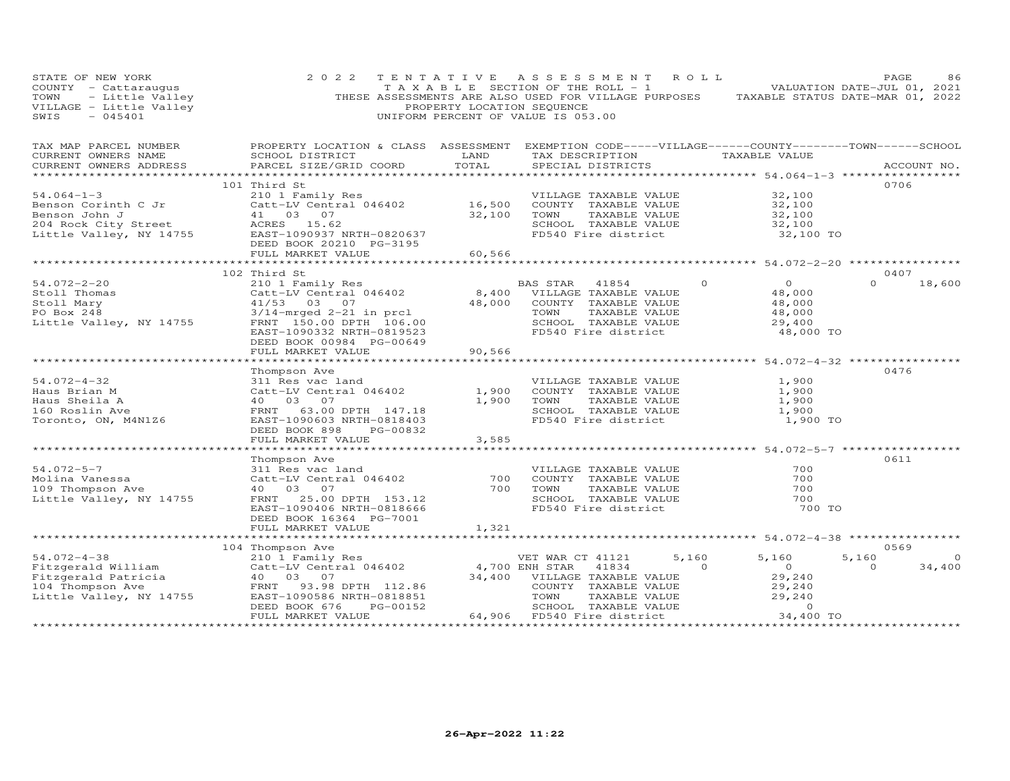| STATE OF NEW YORK<br>COUNTY - Cattaraugus<br>TOWN - Little Valley<br>VILLAGE - Little Valley<br>SWIS - 045401<br>SWIS<br>$-045401$ | 2 0 2 2<br>THESE ASSESSMENTS ARE ALSO USED FOR VILLAGE PURPOSES                                                                                  | T A X A B L E SECTION OF THE ROLL - 1<br>PROPERTY LOCATION SEQUENCE<br>UNIFORM PERCENT OF VALUE IS 053.00 |                  | TENTATIVE ASSESSMENT                               | ROLL           | TAXABLE STATUS DATE-MAR 01, 2022                            | PAGE<br>VALUATION DATE-JUL 01, 2021 | 86             |
|------------------------------------------------------------------------------------------------------------------------------------|--------------------------------------------------------------------------------------------------------------------------------------------------|-----------------------------------------------------------------------------------------------------------|------------------|----------------------------------------------------|----------------|-------------------------------------------------------------|-------------------------------------|----------------|
| TAX MAP PARCEL NUMBER<br>CURRENT OWNERS NAME<br>CURRENT OWNERS ADDRESS<br>**********************                                   | PROPERTY LOCATION & CLASS ASSESSMENT EXEMPTION CODE-----VILLAGE------COUNTY--------TOWN------SCHOOL<br>SCHOOL DISTRICT<br>PARCEL SIZE/GRID COORD | LAND<br>TOTAL                                                                                             |                  | TAX DESCRIPTION TAXABLE VALUE<br>SPECIAL DISTRICTS |                | ***************************** 54.064-1-3 ****************** |                                     | ACCOUNT NO.    |
|                                                                                                                                    | 101 Third St                                                                                                                                     |                                                                                                           |                  |                                                    |                |                                                             | 0706                                |                |
| $54.064 - 1 - 3$                                                                                                                   | 210 1 Family Res                                                                                                                                 |                                                                                                           |                  | VILLAGE TAXABLE VALUE                              |                | 32,100                                                      |                                     |                |
| Benson Corinth C Jr                                                                                                                | Catt-LV Central 046402 16,500                                                                                                                    |                                                                                                           |                  | COUNTY TAXABLE VALUE                               |                | 32,100                                                      |                                     |                |
| Benson John J                                                                                                                      | 41 03 07                                                                                                                                         | 32,100                                                                                                    | TOWN             | TAXABLE VALUE                                      |                | 32,100                                                      |                                     |                |
|                                                                                                                                    |                                                                                                                                                  |                                                                                                           |                  | SCHOOL TAXABLE VALUE                               |                | 32,100                                                      |                                     |                |
|                                                                                                                                    |                                                                                                                                                  |                                                                                                           |                  | FD540 Fire district                                |                | 32,100 TO                                                   |                                     |                |
|                                                                                                                                    | DEED BOOK 20210 PG-3195<br>FULL MARKET VALUE                                                                                                     | 60,566                                                                                                    |                  |                                                    |                |                                                             |                                     |                |
|                                                                                                                                    |                                                                                                                                                  |                                                                                                           |                  |                                                    |                |                                                             |                                     |                |
|                                                                                                                                    | 102 Third St                                                                                                                                     |                                                                                                           |                  |                                                    |                |                                                             | 0407                                |                |
| 54.072-2-20                                                                                                                        | 210 1 Family Res                                                                                                                                 |                                                                                                           | BAS STAR 41854   |                                                    | $\circ$        | $\overline{O}$                                              | $\Omega$                            | 18,600         |
| Stoll Thomas                                                                                                                       | Catt-LV Central 046402                                                                                                                           | 8,400                                                                                                     |                  | VILLAGE TAXABLE VALUE                              |                | 48,000                                                      |                                     |                |
| Stoll Mary                                                                                                                         | 41/53 03 07                                                                                                                                      | 48,000                                                                                                    |                  | COUNTY TAXABLE VALUE                               |                | 48,000                                                      |                                     |                |
| PO Box 248                                                                                                                         | 3/14-mrged 2-21 in prcl                                                                                                                          |                                                                                                           | TOWN             | TAXABLE VALUE                                      |                | 48,000                                                      |                                     |                |
| Little Valley, NY 14755                                                                                                            | FRNT 150.00 DPTH 106.00                                                                                                                          |                                                                                                           |                  | SCHOOL TAXABLE VALUE                               |                | 29,400                                                      |                                     |                |
|                                                                                                                                    | EAST-1090332 NRTH-0819523<br>DEED BOOK 00984 PG-00649                                                                                            |                                                                                                           |                  | FD540 Fire district                                |                | 48,000 TO                                                   |                                     |                |
|                                                                                                                                    | FULL MARKET VALUE                                                                                                                                | 90,566<br>*********                                                                                       |                  |                                                    |                | **************** 54.072-4-32 ****************               |                                     |                |
|                                                                                                                                    | Thompson Ave                                                                                                                                     |                                                                                                           |                  |                                                    |                |                                                             | 0476                                |                |
| $54.072 - 4 - 32$                                                                                                                  | 311 Res vac land                                                                                                                                 |                                                                                                           |                  | VILLAGE TAXABLE VALUE                              |                | 1,900                                                       |                                     |                |
| Haus Brian M                                                                                                                       | Catt-LV Central 046402                                                                                                                           | 1,900                                                                                                     |                  | COUNTY TAXABLE VALUE                               |                | 1,900                                                       |                                     |                |
| Haus Sheila A                                                                                                                      | 40  03  07                                                                                                                                       | 1,900                                                                                                     | TOWN             | TAXABLE VALUE                                      |                | 1,900                                                       |                                     |                |
| 160 Roslin Ave                                                                                                                     | FRNT 63.00 DPTH 147.18                                                                                                                           |                                                                                                           |                  | SCHOOL TAXABLE VALUE                               |                | 1,900                                                       |                                     |                |
| Toronto, ON, M4N1Z6                                                                                                                | EAST-1090603 NRTH-0818403                                                                                                                        |                                                                                                           |                  | FD540 Fire district                                |                | 1,900 TO                                                    |                                     |                |
|                                                                                                                                    | DEED BOOK 898<br>PG-00832                                                                                                                        |                                                                                                           |                  |                                                    |                |                                                             |                                     |                |
|                                                                                                                                    | FULL MARKET VALUE                                                                                                                                | 3,585                                                                                                     |                  |                                                    |                |                                                             |                                     |                |
|                                                                                                                                    | ********************                                                                                                                             | *************                                                                                             |                  |                                                    |                | ********************* 54.072-5-7 ******************         |                                     |                |
|                                                                                                                                    | Thompson Ave                                                                                                                                     |                                                                                                           |                  |                                                    |                |                                                             | 0611                                |                |
| $54.072 - 5 - 7$                                                                                                                   | 311 Res vac land                                                                                                                                 | 700                                                                                                       |                  | VILLAGE TAXABLE VALUE<br>COUNTY TAXABLE VALUE      |                | 700<br>700                                                  |                                     |                |
| Molina Vanessa<br>109 Thompson Ave                                                                                                 | Catt-LV Central 046402<br>40 03 07                                                                                                               | 700                                                                                                       | TOWN             | TAXABLE VALUE                                      |                | 700                                                         |                                     |                |
| Little Valley, NY 14755                                                                                                            | FRNT 25.00 DPTH 153.12                                                                                                                           |                                                                                                           |                  | SCHOOL TAXABLE VALUE                               |                | 700                                                         |                                     |                |
|                                                                                                                                    | EAST-1090406 NRTH-0818666                                                                                                                        |                                                                                                           |                  | FD540 Fire district                                |                | 700 TO                                                      |                                     |                |
|                                                                                                                                    | DEED BOOK 16364 PG-7001                                                                                                                          |                                                                                                           |                  |                                                    |                |                                                             |                                     |                |
|                                                                                                                                    | FULL MARKET VALUE                                                                                                                                | 1,321                                                                                                     |                  |                                                    |                |                                                             |                                     |                |
|                                                                                                                                    |                                                                                                                                                  |                                                                                                           |                  |                                                    |                |                                                             |                                     |                |
|                                                                                                                                    | 104 Thompson Ave                                                                                                                                 |                                                                                                           |                  |                                                    |                |                                                             | 0569                                |                |
| $54.072 - 4 - 38$                                                                                                                  | 210 1 Family Res                                                                                                                                 |                                                                                                           | VET WAR CT 41121 |                                                    | 5,160          | 5,160                                                       | 5,160                               | $\overline{0}$ |
| Fitzgerald William                                                                                                                 | Catt-LV Central 046402                                                                                                                           |                                                                                                           | 4,700 ENH STAR   | 41834                                              | $\overline{0}$ | $\circ$                                                     | $\Omega$                            | 34,400         |
| Fitzgerald Patricia                                                                                                                | 40  03  07                                                                                                                                       |                                                                                                           |                  | 34,400 VILLAGE TAXABLE VALUE                       |                | 29,240                                                      |                                     |                |
| 104 Thompson Ave<br>Little Valley, NY 14755                                                                                        | FRNT 93.98 DPTH 112.86<br>EAST-1090586 NRTH-0818851                                                                                              |                                                                                                           | TOWN             | COUNTY TAXABLE VALUE<br>TAXABLE VALUE              |                | 29,240<br>29,240                                            |                                     |                |
|                                                                                                                                    | DEED BOOK 676<br>PG-00152                                                                                                                        |                                                                                                           |                  | SCHOOL TAXABLE VALUE                               |                | $\circ$                                                     |                                     |                |
|                                                                                                                                    | FULL MARKET VALUE                                                                                                                                |                                                                                                           |                  | 64,906 FD540 Fire district                         |                | 34,400 TO                                                   |                                     |                |
| ***********************                                                                                                            |                                                                                                                                                  |                                                                                                           |                  |                                                    |                |                                                             | ****************                    |                |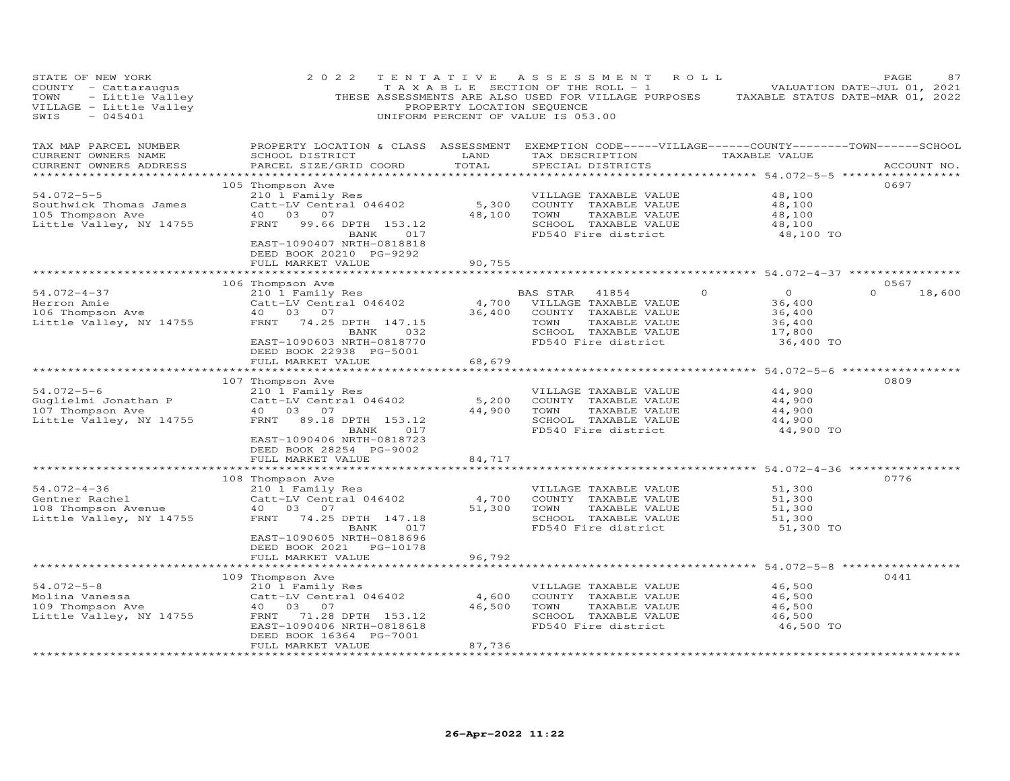| STATE OF NEW YORK<br>COUNTY - Cattaraugus<br>- Little Valley<br>TOWN<br>VILLAGE - Little Valley<br>SWIS<br>$-045401$ | 2 0 2 2                                                                                                                                                                                                           | PROPERTY LOCATION SEQUENCE | TENTATIVE ASSESSMENT<br>R O L L<br>T A X A B L E SECTION OF THE ROLL - 1<br>THESE ASSESSMENTS ARE ALSO USED FOR VILLAGE PURPOSES TAXABLE STATUS DATE-MAR 01, 2022<br>UNIFORM PERCENT OF VALUE IS 053.00 |                                                                                 | PAGE<br>87<br>VALUATION DATE-JUL 01, 2021 |
|----------------------------------------------------------------------------------------------------------------------|-------------------------------------------------------------------------------------------------------------------------------------------------------------------------------------------------------------------|----------------------------|---------------------------------------------------------------------------------------------------------------------------------------------------------------------------------------------------------|---------------------------------------------------------------------------------|-------------------------------------------|
| TAX MAP PARCEL NUMBER<br>CURRENT OWNERS NAME<br>CURRENT OWNERS ADDRESS                                               | SCHOOL DISTRICT<br>PARCEL SIZE/GRID COORD                                                                                                                                                                         | LAND<br>TOTAL              | PROPERTY LOCATION & CLASS ASSESSMENT EXEMPTION CODE-----VILLAGE------COUNTY-------TOWN------SCHOOL<br>TAX DESCRIPTION<br>SPECIAL DISTRICTS                                                              | TAXABLE VALUE                                                                   | ACCOUNT NO.                               |
| $54.072 - 5 - 5$<br>Southwick Thomas James<br>105 Thompson Ave<br>Little Valley, NY 14755                            | 105 Thompson Ave<br>210 1 Family Res<br>Catt-LV Central 046402<br>40 03 07<br>FRNT 99.66 DPTH 153.12<br>BANK 017<br>EAST-1090407 NRTH-0818818<br>DEED BOOK 20210 PG-9292<br>FULL MARKET VALUE                     | 5,300<br>48,100<br>90,755  | VILLAGE TAXABLE VALUE<br>COUNTY TAXABLE VALUE<br>TOWN<br>TAXABLE VALUE<br>SCHOOL TAXABLE VALUE<br>FD540 Fire district                                                                                   | 48,100<br>48,100<br>48,100<br>48,100<br>48,100 TO                               | 0697                                      |
|                                                                                                                      |                                                                                                                                                                                                                   |                            |                                                                                                                                                                                                         |                                                                                 |                                           |
| 54.072-4-37<br>Herron Amie<br>106 Thompson Ave<br>Little Valley, NY 14755                                            | 106 Thompson Ave<br>210 1 Family Res<br>Catt-LV Central 046402<br>40 03 07<br>FRNT<br>74.25 DPTH 147.15<br>032<br>BANK<br>EAST-1090603 NRTH-0818770<br>DEED BOOK 22938 PG-5001                                    | 36,400                     | BAS STAR 41854<br>4,700 VILLAGE TAXABLE VALUE<br>COUNTY TAXABLE VALUE<br>TAXABLE VALUE<br>TOWN<br>SCHOOL TAXABLE VALUE<br>FD540 Fire district                                                           | $\overline{O}$<br>$\Omega$<br>36,400<br>36,400<br>36,400<br>17,800<br>36,400 TO | 0567<br>$\Omega$<br>18,600                |
|                                                                                                                      | FULL MARKET VALUE                                                                                                                                                                                                 | 68,679                     |                                                                                                                                                                                                         |                                                                                 |                                           |
| $54.072 - 5 - 6$<br>Guglielmi Jonathan P<br>107 Thompson Ave<br>Little Valley, NY 14755                              | 107 Thompson Ave<br>210 1 Family Res<br>Catt-LV Central 046402<br>40 03 07<br>FRNT 89.18 DPTH 153.12<br>017<br>BANK<br>EAST-1090406 NRTH-0818723<br>DEED BOOK 28254 PG-9002                                       | 5,200<br>44,900            | VILLAGE TAXABLE VALUE<br>COUNTY TAXABLE VALUE<br>TOWN<br>TAXABLE VALUE<br>SCHOOL TAXABLE VALUE<br>FD540 Fire district                                                                                   | 44,900<br>44,900<br>44,900<br>44,900<br>44,900 TO                               | 0809                                      |
|                                                                                                                      | FULL MARKET VALUE                                                                                                                                                                                                 | 84,717                     |                                                                                                                                                                                                         |                                                                                 |                                           |
| $54.072 - 4 - 36$<br>Gentner Rachel<br>108 Thompson Avenue<br>Little Valley, NY 14755                                | 108 Thompson Ave<br>210 1 Family Res<br>Catt-LV Central 046402<br>40  03  07<br>FRNT<br>74.25 DPTH 147.18<br>BANK<br>017<br>EAST-1090605 NRTH-0818696<br>DEED BOOK 2021 PG-10178                                  | 4,700<br>51,300            | VILLAGE TAXABLE VALUE<br>COUNTY TAXABLE VALUE<br>TAXABLE VALUE<br>TOWN<br>SCHOOL TAXABLE VALUE<br>FD540 Fire district                                                                                   | 51,300<br>51,300<br>51,300<br>51,300<br>51,300 TO                               | 0776                                      |
|                                                                                                                      | FULL MARKET VALUE                                                                                                                                                                                                 | 96,792                     |                                                                                                                                                                                                         |                                                                                 |                                           |
| $54.072 - 5 - 8$<br>Molina Vanessa<br>109 Thompson Ave<br>Little Valley, NY 14755                                    | ****************************<br>109 Thompson Ave<br>210 1 Family Res<br>Catt-LV Central 046402<br>40 03 07<br>FRNT 71.28 DPTH 153.12<br>EAST-1090406 NRTH-0818618<br>DEED BOOK 16364 PG-7001<br>FULL MARKET VALUE | 4,600<br>46,500<br>87,736  | VILLAGE TAXABLE VALUE<br>COUNTY TAXABLE VALUE<br>TOWN<br>TAXABLE VALUE<br>SCHOOL TAXABLE VALUE<br>FD540 Fire district                                                                                   | 46,500<br>46,500<br>46,500<br>46,500<br>46,500 TO                               | 0441                                      |
|                                                                                                                      |                                                                                                                                                                                                                   |                            |                                                                                                                                                                                                         |                                                                                 |                                           |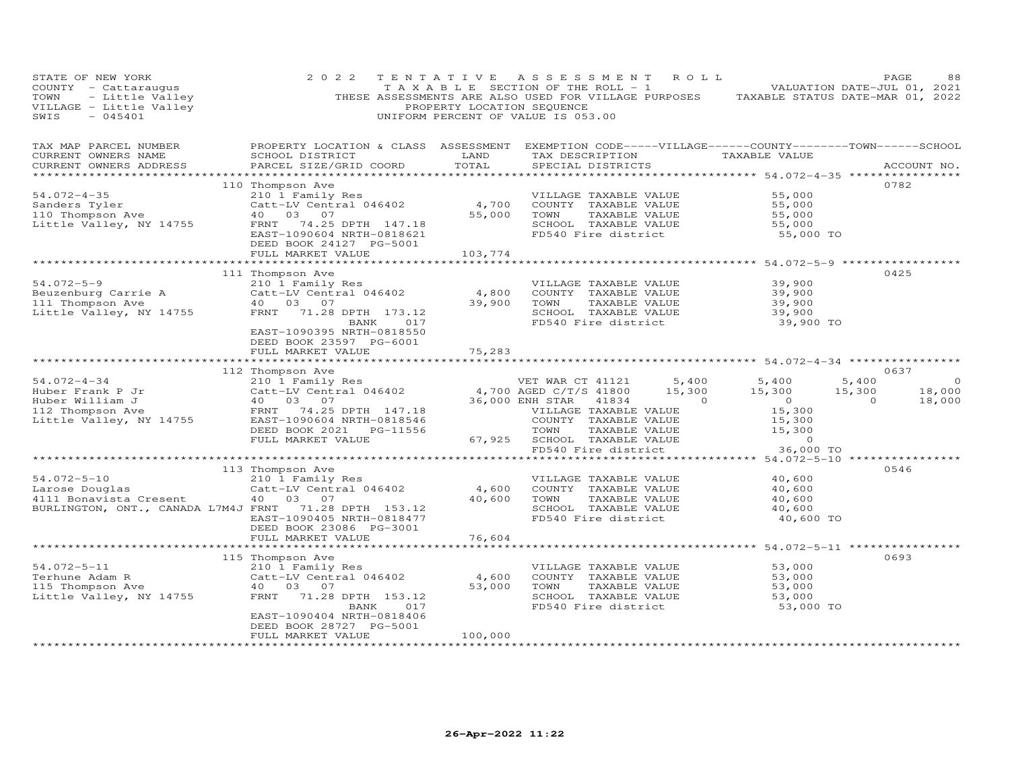| PAGE 88<br>TAXABLE SECTION OF THE ROLL - 1 WALUATION DATE-JUL 01, 2021<br>VILLAGE - Little Valley (THESE ASSESSMENTS ARE ALSO USED FOR VILLAGE PURPOSES TAXABLE STATUS DATE-MAR 01, 2022<br>SWIS - 045401 - 2022<br>$-045401$<br>SWIS | 2 0 2 2                                                                                                                                         |                        | UNIFORM PERCENT OF VALUE IS 053.00                                |                                                                                                                                                                                                                                                                                                                                    |                                         |                |             |
|---------------------------------------------------------------------------------------------------------------------------------------------------------------------------------------------------------------------------------------|-------------------------------------------------------------------------------------------------------------------------------------------------|------------------------|-------------------------------------------------------------------|------------------------------------------------------------------------------------------------------------------------------------------------------------------------------------------------------------------------------------------------------------------------------------------------------------------------------------|-----------------------------------------|----------------|-------------|
| TAX MAP PARCEL NUMBER<br>CURRENT OWNERS NAME<br>CURRENT OWNERS ADDRESS                                                                                                                                                                | PROPERTY LOCATION & CLASS ASSESSMENT EXEMPTION CODE-----VILLAGE------COUNTY-------TOWN------SCHOOL<br>SCHOOL DISTRICT<br>PARCEL SIZE/GRID COORD | LAND<br>TOTAL          | TAX DESCRIPTION TAXABLE VALUE<br>SPECIAL DISTRICTS                |                                                                                                                                                                                                                                                                                                                                    |                                         |                | ACCOUNT NO. |
|                                                                                                                                                                                                                                       |                                                                                                                                                 |                        |                                                                   |                                                                                                                                                                                                                                                                                                                                    |                                         | 0782           |             |
| $54.072 - 4 - 35$                                                                                                                                                                                                                     | 110 Thompson Ave                                                                                                                                |                        | VILLAGE TAXABLE VALUE                                             |                                                                                                                                                                                                                                                                                                                                    | 55,000                                  |                |             |
| Sanders Tyler                                                                                                                                                                                                                         | 210 1 Family Res<br>Catt-LV Central 046402 4,700<br>40 03 07 55,000                                                                             |                        | COUNTY TAXABLE VALUE                                              |                                                                                                                                                                                                                                                                                                                                    | 55,000                                  |                |             |
| banders lyler<br>110 Thompson Ave<br>Little Well                                                                                                                                                                                      |                                                                                                                                                 | 55,000                 | TOWN<br>TAXABLE VALUE                                             |                                                                                                                                                                                                                                                                                                                                    | 55,000                                  |                |             |
| Little Valley, NY 14755                                                                                                                                                                                                               | FRNT<br>74.25 DPTH 147.18                                                                                                                       |                        | SCHOOL TAXABLE VALUE                                              |                                                                                                                                                                                                                                                                                                                                    | 55,000                                  |                |             |
|                                                                                                                                                                                                                                       | EAST-1090604 NRTH-0818621                                                                                                                       |                        | FD540 Fire district                                               |                                                                                                                                                                                                                                                                                                                                    | 55,000 TO                               |                |             |
|                                                                                                                                                                                                                                       | DEED BOOK 24127 PG-5001                                                                                                                         |                        |                                                                   |                                                                                                                                                                                                                                                                                                                                    |                                         |                |             |
|                                                                                                                                                                                                                                       | FULL MARKET VALUE                                                                                                                               | 103,774<br>*********** |                                                                   |                                                                                                                                                                                                                                                                                                                                    | ************ 54.072-5-9 *************** |                |             |
|                                                                                                                                                                                                                                       | 111 Thompson Ave                                                                                                                                |                        |                                                                   |                                                                                                                                                                                                                                                                                                                                    |                                         | 0425           |             |
| $54.072 - 5 - 9$                                                                                                                                                                                                                      | 210 1 Family Res                                                                                                                                |                        | VILLAGE TAXABLE VALUE                                             |                                                                                                                                                                                                                                                                                                                                    | 39,900                                  |                |             |
|                                                                                                                                                                                                                                       |                                                                                                                                                 | 4,800                  | COUNTY TAXABLE VALUE                                              |                                                                                                                                                                                                                                                                                                                                    | 39,900                                  |                |             |
|                                                                                                                                                                                                                                       | Catt-LV Central 046402<br>40 03 07                                                                                                              | 39,900                 | TOWN<br>TAXABLE VALUE                                             |                                                                                                                                                                                                                                                                                                                                    | 39,900                                  |                |             |
| Beuzenburg Carrie A and Catt-LV Central<br>111 Thompson Ave do 03 07<br>111 Thompson Ave 40 03 07<br>11.28 ERNT 11.28                                                                                                                 | FRNT 71.28 DPTH 173.12                                                                                                                          |                        | SCHOOL TAXABLE VALUE                                              |                                                                                                                                                                                                                                                                                                                                    | 39,900                                  |                |             |
|                                                                                                                                                                                                                                       | BANK 017                                                                                                                                        |                        | FD540 Fire district                                               |                                                                                                                                                                                                                                                                                                                                    | 39,900 TO                               |                |             |
|                                                                                                                                                                                                                                       | EAST-1090395 NRTH-0818550                                                                                                                       |                        |                                                                   |                                                                                                                                                                                                                                                                                                                                    |                                         |                |             |
|                                                                                                                                                                                                                                       | DEED BOOK 23597 PG-6001<br>FULL MARKET VALUE                                                                                                    | 75,283                 |                                                                   |                                                                                                                                                                                                                                                                                                                                    |                                         |                |             |
|                                                                                                                                                                                                                                       |                                                                                                                                                 |                        |                                                                   |                                                                                                                                                                                                                                                                                                                                    |                                         |                |             |
|                                                                                                                                                                                                                                       | 112 Thompson Ave                                                                                                                                |                        |                                                                   |                                                                                                                                                                                                                                                                                                                                    |                                         | 0637           |             |
| $54.072 - 4 - 34$                                                                                                                                                                                                                     |                                                                                                                                                 |                        | VET WAR CT 41121 5,400 5,400                                      |                                                                                                                                                                                                                                                                                                                                    |                                         | 5,400          | $\circ$     |
|                                                                                                                                                                                                                                       | 210 1 Family Res<br>Catt-LV Central 046402 (4,700 AGED C/T/S 41800<br>40 03 07 (36,000 ENH STAR 41834                                           |                        |                                                                   | 15,300                                                                                                                                                                                                                                                                                                                             | 15,300                                  | 15,300         | 18,000      |
| Huber Frank P Jr<br>Huber William J<br>112 Thompson Ave<br>Little Valley, NY 14755                                                                                                                                                    | 40  03  07                                                                                                                                      |                        | 36,000 ENH STAR<br>41834                                          | $\overline{a}$ and $\overline{a}$ and $\overline{a}$ and $\overline{a}$ and $\overline{a}$ and $\overline{a}$ and $\overline{a}$ and $\overline{a}$ and $\overline{a}$ and $\overline{a}$ and $\overline{a}$ and $\overline{a}$ and $\overline{a}$ and $\overline{a}$ and $\overline{a}$ and $\overline{a}$ and $\overline{a}$ and | $\overline{0}$                          | $\overline{0}$ | 18,000      |
|                                                                                                                                                                                                                                       | FRNT<br>74.25 DPTH 147.18                                                                                                                       |                        | VILLAGE TAXABLE VALUE                                             |                                                                                                                                                                                                                                                                                                                                    | 15,300<br>15,300                        |                |             |
|                                                                                                                                                                                                                                       | EAST-1090604 NRTH-0818546                                                                                                                       |                        | COUNTY TAXABLE VALUE                                              |                                                                                                                                                                                                                                                                                                                                    |                                         |                |             |
|                                                                                                                                                                                                                                       | DEED BOOK 2021    PG-11556<br>FULL MARKET VALUE                                                                                                 | 67,925                 |                                                                   |                                                                                                                                                                                                                                                                                                                                    | 15,300<br>$\sim$ 0                      |                |             |
|                                                                                                                                                                                                                                       |                                                                                                                                                 |                        | TOWN TAXABLE VALUE<br>SCHOOL TAXABLE VALUE<br>FD540 Fire district |                                                                                                                                                                                                                                                                                                                                    | 36,000 TO                               |                |             |
|                                                                                                                                                                                                                                       |                                                                                                                                                 |                        |                                                                   |                                                                                                                                                                                                                                                                                                                                    |                                         |                |             |
|                                                                                                                                                                                                                                       | 113 Thompson Ave                                                                                                                                |                        |                                                                   |                                                                                                                                                                                                                                                                                                                                    |                                         | 0546           |             |
| $54.072 - 5 - 10$                                                                                                                                                                                                                     | 210 1 Family Res                                                                                                                                |                        | VILLAGE TAXABLE VALUE                                             |                                                                                                                                                                                                                                                                                                                                    | 40,600                                  |                |             |
| Larose Douglas<br>4111 Bonavista Cresent                                                                                                                                                                                              | Catt-LV Central 046402                                                                                                                          | 4,600                  | COUNTY TAXABLE VALUE                                              |                                                                                                                                                                                                                                                                                                                                    | 40,600                                  |                |             |
|                                                                                                                                                                                                                                       | 40  03  07                                                                                                                                      | 40,600                 | TOWN<br>TAXABLE VALUE                                             |                                                                                                                                                                                                                                                                                                                                    | 40,600                                  |                |             |
| BURLINGTON, ONT., CANADA L7M4J FRNT 71.28 DPTH 153.12                                                                                                                                                                                 |                                                                                                                                                 |                        | SCHOOL TAXABLE VALUE                                              |                                                                                                                                                                                                                                                                                                                                    | 40,600                                  |                |             |
|                                                                                                                                                                                                                                       | EAST-1090405 NRTH-0818477<br>DEED BOOK 23086 PG-3001                                                                                            |                        | FD540 Fire district                                               |                                                                                                                                                                                                                                                                                                                                    | 40,600 TO                               |                |             |
|                                                                                                                                                                                                                                       | FULL MARKET VALUE                                                                                                                               | 76,604                 |                                                                   |                                                                                                                                                                                                                                                                                                                                    |                                         |                |             |
|                                                                                                                                                                                                                                       |                                                                                                                                                 |                        |                                                                   |                                                                                                                                                                                                                                                                                                                                    |                                         |                |             |
|                                                                                                                                                                                                                                       | 115 Thompson Ave                                                                                                                                |                        |                                                                   |                                                                                                                                                                                                                                                                                                                                    |                                         | 0693           |             |
| $54.072 - 5 - 11$                                                                                                                                                                                                                     | 210 1 Family Res                                                                                                                                |                        | VILLAGE TAXABLE VALUE                                             |                                                                                                                                                                                                                                                                                                                                    | 53,000                                  |                |             |
|                                                                                                                                                                                                                                       | Catt-LV Central 046402                                                                                                                          | 4,600                  | COUNTY TAXABLE VALUE                                              |                                                                                                                                                                                                                                                                                                                                    | 53,000                                  |                |             |
| Terhune Adam R<br>115 Thompson Ave<br>Little Valley, NY 14755                                                                                                                                                                         | 40 03 07                                                                                                                                        | 53,000                 | TOWN<br>TAXABLE VALUE                                             |                                                                                                                                                                                                                                                                                                                                    | 53,000                                  |                |             |
|                                                                                                                                                                                                                                       | FRNT 71.28 DPTH 153.12                                                                                                                          |                        | SCHOOL TAXABLE VALUE                                              |                                                                                                                                                                                                                                                                                                                                    | 53,000                                  |                |             |
|                                                                                                                                                                                                                                       | BANK 017<br>EAST-1090404 NRTH-0818406                                                                                                           |                        | FD540 Fire district                                               |                                                                                                                                                                                                                                                                                                                                    | 53,000 TO                               |                |             |
|                                                                                                                                                                                                                                       | DEED BOOK 28727 PG-5001                                                                                                                         |                        |                                                                   |                                                                                                                                                                                                                                                                                                                                    |                                         |                |             |
|                                                                                                                                                                                                                                       | FULL MARKET VALUE                                                                                                                               | 100,000                |                                                                   |                                                                                                                                                                                                                                                                                                                                    |                                         |                |             |
| ************************                                                                                                                                                                                                              | ***********************                                                                                                                         | *************          |                                                                   |                                                                                                                                                                                                                                                                                                                                    |                                         |                |             |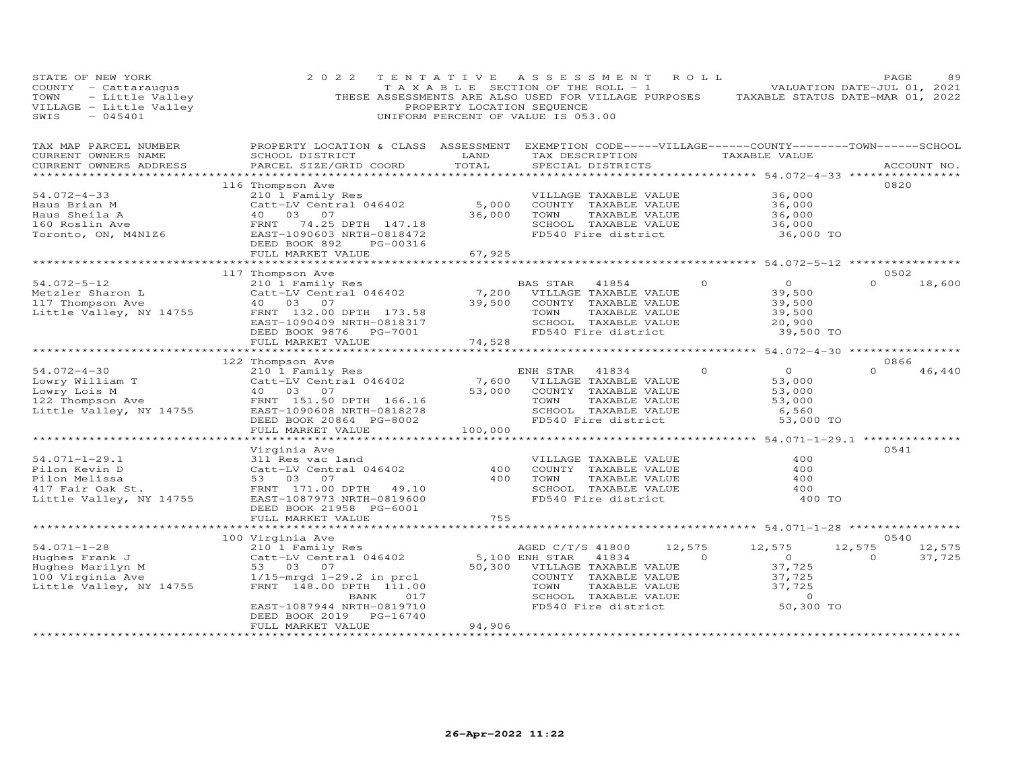| STATE OF NEW YORK<br>COUNTY - Cattaraugus<br>- Cattaraugus<br>- Little Valley<br>- Little Valley<br>- 045401<br>TOWN<br>VILLAGE - Little Valley<br>SWIS<br>$-045401$ | 2 0 2 2                                                                           | TENTATIVE<br>T A X A B L E SECTION OF THE ROLL - 1<br>PROPERTY LOCATION SEQUENCE<br>UNIFORM PERCENT OF VALUE IS 053.00 | ASSESSMENT ROLL                                |                                      |                    | THESE ASSESSMENTS ARE ALSO USED FOR VILLAGE PURPOSES TAXABLE STATUS DATE-MAR 01, 2022 | PAGE<br>VALUATION DATE-JUL 01, 2021 | 89               |
|----------------------------------------------------------------------------------------------------------------------------------------------------------------------|-----------------------------------------------------------------------------------|------------------------------------------------------------------------------------------------------------------------|------------------------------------------------|--------------------------------------|--------------------|---------------------------------------------------------------------------------------|-------------------------------------|------------------|
| TAX MAP PARCEL NUMBER<br>CURRENT OWNERS NAME<br>CURRENT OWNERS ADDRESS<br>***********************                                                                    | PROPERTY LOCATION & CLASS ASSESSMENT<br>SCHOOL DISTRICT<br>PARCEL SIZE/GRID COORD | LAND<br>TOTAL                                                                                                          |                                                | TAX DESCRIPTION<br>SPECIAL DISTRICTS |                    | EXEMPTION CODE-----VILLAGE------COUNTY--------TOWN------SCHOOL<br>TAXABLE VALUE       |                                     | ACCOUNT NO.      |
|                                                                                                                                                                      | 116 Thompson Ave                                                                  |                                                                                                                        |                                                |                                      |                    |                                                                                       | 0820                                |                  |
| $54.072 - 4 - 33$                                                                                                                                                    | 210 1 Family Res                                                                  |                                                                                                                        |                                                | VILLAGE TAXABLE VALUE                |                    | 36,000                                                                                |                                     |                  |
| Haus Brian M                                                                                                                                                         | Catt-LV Central 046402<br>40 03 07                                                | 5,000                                                                                                                  |                                                | COUNTY TAXABLE VALUE                 |                    | 36,000                                                                                |                                     |                  |
|                                                                                                                                                                      | 40  03  07                                                                        | 36,000                                                                                                                 | TOWN                                           | TAXABLE VALUE                        |                    | 36,000                                                                                |                                     |                  |
|                                                                                                                                                                      | 74.25 DPTH 147.18                                                                 |                                                                                                                        |                                                | SCHOOL TAXABLE VALUE                 |                    | 36,000                                                                                |                                     |                  |
| Example 1<br>Haus Sheila A<br>160 Roslin Ave 19<br>Toronto, ON, M4N126<br>EAST-                                                                                      | EAST-1090603 NRTH-0818472                                                         |                                                                                                                        |                                                | FD540 Fire district                  |                    | 36,000 TO                                                                             |                                     |                  |
|                                                                                                                                                                      | DEED BOOK 892<br>PG-00316                                                         |                                                                                                                        |                                                |                                      |                    |                                                                                       |                                     |                  |
|                                                                                                                                                                      | FULL MARKET VALUE<br>**************************                                   | 67,925<br>**************                                                                                               |                                                |                                      |                    | ******************** 54.072-5-12 *****************                                    |                                     |                  |
|                                                                                                                                                                      | 117 Thompson Ave                                                                  |                                                                                                                        |                                                |                                      |                    |                                                                                       | 0502                                |                  |
| $54.072 - 5 - 12$                                                                                                                                                    | 210 1 Family Res                                                                  |                                                                                                                        | BAS STAR                                       | 41854                                | $\circ$            | $\overline{0}$                                                                        | $\Omega$                            | 18,600           |
| Metzler Sharon L                                                                                                                                                     | Catt-LV Central 046402                                                            | 7,200                                                                                                                  |                                                | VILLAGE TAXABLE VALUE                |                    | 39,500                                                                                |                                     |                  |
| 117 Thompson Ave                                                                                                                                                     | 40 03<br>07                                                                       | 39,500                                                                                                                 |                                                | COUNTY TAXABLE VALUE                 |                    | 39,500                                                                                |                                     |                  |
| Little Valley, NY 14755                                                                                                                                              | FRNT 132.00 DPTH 173.58                                                           |                                                                                                                        | TOWN                                           | TAXABLE VALUE                        |                    | 39,500                                                                                |                                     |                  |
|                                                                                                                                                                      | EAST-1090409 NRTH-0818317                                                         |                                                                                                                        |                                                | SCHOOL TAXABLE VALUE                 |                    | 20,900                                                                                |                                     |                  |
|                                                                                                                                                                      | DEED BOOK 9876 PG-7001                                                            |                                                                                                                        |                                                | FD540 Fire district                  |                    | 39,500 TO                                                                             |                                     |                  |
|                                                                                                                                                                      | FULL MARKET VALUE                                                                 | 74,528                                                                                                                 |                                                |                                      |                    |                                                                                       |                                     |                  |
|                                                                                                                                                                      | 122 Thompson Ave                                                                  |                                                                                                                        |                                                |                                      |                    |                                                                                       | 0866                                |                  |
| $54.072 - 4 - 30$                                                                                                                                                    | 210 1 Family Res                                                                  |                                                                                                                        | ENH STAR 41834                                 |                                      | $\Omega$           | $\Omega$                                                                              | $\Omega$                            | 46,440           |
|                                                                                                                                                                      | Catt-LV Central 046402                                                            |                                                                                                                        | 7,600 VILLAGE TAXABLE VALUE                    |                                      |                    | 53,000                                                                                |                                     |                  |
|                                                                                                                                                                      | 40 03 07                                                                          | 53,000                                                                                                                 |                                                | COUNTY TAXABLE VALUE                 |                    | 53,000                                                                                |                                     |                  |
| Lowry William T<br>Lowry Lois M<br>122 Thompson Ave                                                                                                                  | FRNT 151.50 DPTH 166.16                                                           |                                                                                                                        | TOWN                                           | TAXABLE VALUE                        |                    | 53,000                                                                                |                                     |                  |
| Little Valley, NY 14755                                                                                                                                              | EAST-1090608 NRTH-0818278                                                         |                                                                                                                        |                                                | SCHOOL TAXABLE VALUE                 |                    | 6,560                                                                                 |                                     |                  |
|                                                                                                                                                                      | DEED BOOK 20864 PG-8002                                                           |                                                                                                                        |                                                | FD540 Fire district                  |                    | 53,000 TO                                                                             |                                     |                  |
|                                                                                                                                                                      | FULL MARKET VALUE                                                                 | 100,000                                                                                                                |                                                |                                      |                    |                                                                                       |                                     |                  |
|                                                                                                                                                                      |                                                                                   |                                                                                                                        |                                                |                                      |                    |                                                                                       |                                     |                  |
| $54.071 - 1 - 29.1$                                                                                                                                                  | Virginia Ave<br>311 Res vac land                                                  |                                                                                                                        |                                                | VILLAGE TAXABLE VALUE                |                    | 400                                                                                   | 0541                                |                  |
| Pilon Kevin D                                                                                                                                                        | Catt-LV Central 046402                                                            | 400                                                                                                                    |                                                | COUNTY TAXABLE VALUE                 |                    | 400                                                                                   |                                     |                  |
| Pilon Melissa                                                                                                                                                        | 53 03 07                                                                          | 400                                                                                                                    | TOWN                                           | TAXABLE VALUE                        |                    | 400                                                                                   |                                     |                  |
|                                                                                                                                                                      | FRNT 171.00 DPTH 49.10                                                            |                                                                                                                        |                                                | SCHOOL TAXABLE VALUE                 |                    | 400                                                                                   |                                     |                  |
| 417 Fair Oak St.<br>Little Valley, NY 14755                                                                                                                          | EAST-1087973 NRTH-0819600                                                         |                                                                                                                        |                                                | FD540 Fire district                  |                    | 400 TO                                                                                |                                     |                  |
|                                                                                                                                                                      | DEED BOOK 21958 PG-6001                                                           |                                                                                                                        |                                                |                                      |                    |                                                                                       |                                     |                  |
|                                                                                                                                                                      | FULL MARKET VALUE                                                                 | 755                                                                                                                    |                                                |                                      |                    |                                                                                       |                                     |                  |
|                                                                                                                                                                      |                                                                                   |                                                                                                                        |                                                |                                      |                    | ********************* 54.071-1-28 *************                                       |                                     |                  |
|                                                                                                                                                                      | 100 Virginia Ave                                                                  |                                                                                                                        |                                                |                                      |                    |                                                                                       | 0540                                |                  |
| $54.071 - 1 - 28$                                                                                                                                                    | 210 1 Family Res<br>Catt-LV Central 046402                                        |                                                                                                                        | AGED C/T/S 41800                               | 41834                                | 12,575<br>$\Omega$ | 12,575<br>$\overline{0}$                                                              | 12,575<br>$\overline{0}$            | 12,575<br>37,725 |
| Hughes Frank J<br>Hughes Marilyn M                                                                                                                                   | 53 03 07                                                                          |                                                                                                                        | 5,100 ENH STAR<br>50,300 VILLAGE TAXABLE VALUE |                                      |                    | 37,725                                                                                |                                     |                  |
| 100 Virginia Ave                                                                                                                                                     | $1/15$ -mrgd $1-29.2$ in prcl                                                     |                                                                                                                        |                                                | COUNTY TAXABLE VALUE                 |                    | 37,725                                                                                |                                     |                  |
| Little Valley, NY 14755                                                                                                                                              | FRNT 148.00 DPTH 111.00                                                           |                                                                                                                        | TOWN                                           | TAXABLE VALUE                        |                    | 37,725                                                                                |                                     |                  |
|                                                                                                                                                                      | 017<br>BANK                                                                       |                                                                                                                        |                                                | SCHOOL TAXABLE VALUE                 |                    | $\circ$                                                                               |                                     |                  |
|                                                                                                                                                                      | EAST-1087944 NRTH-0819710                                                         |                                                                                                                        |                                                | FD540 Fire district                  |                    | 50,300 TO                                                                             |                                     |                  |
|                                                                                                                                                                      | DEED BOOK 2019<br>PG-16740                                                        |                                                                                                                        |                                                |                                      |                    |                                                                                       |                                     |                  |
|                                                                                                                                                                      | FULL MARKET VALUE                                                                 | 94,906                                                                                                                 |                                                |                                      |                    |                                                                                       |                                     |                  |
|                                                                                                                                                                      |                                                                                   |                                                                                                                        |                                                |                                      |                    |                                                                                       |                                     |                  |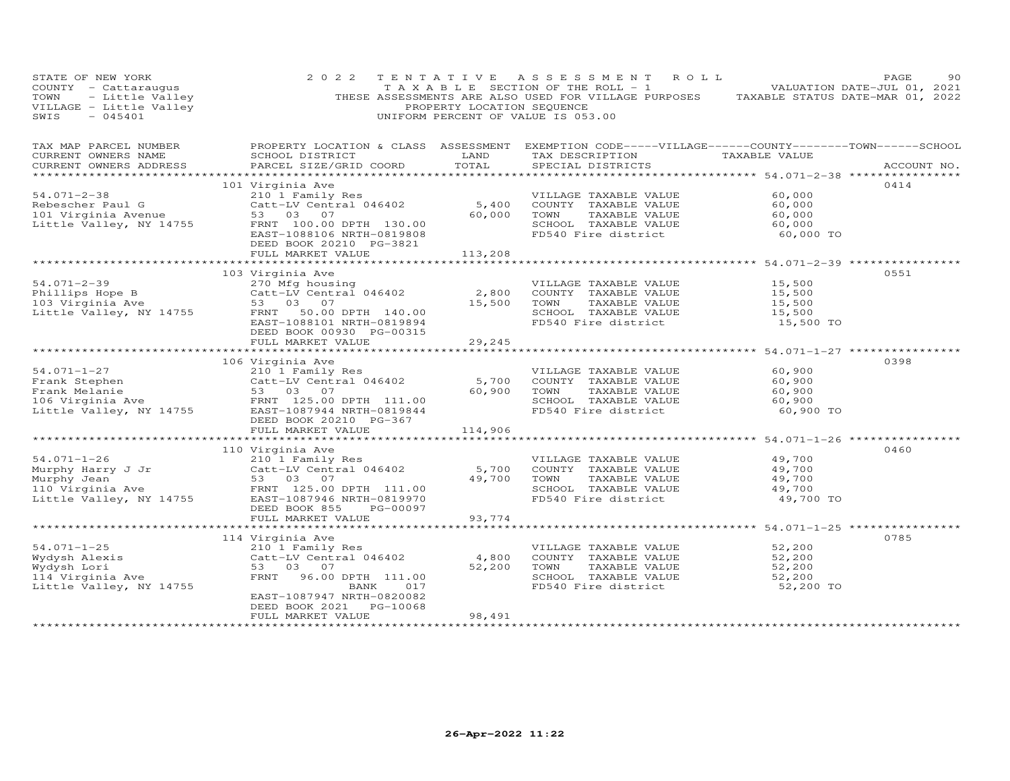| STATE OF NEW YORK<br>COUNTY - Cattaraugus<br>TOWN - Little Valley<br>VILLAGE - Little Valley<br>SWIS - 045401<br>SWIS<br>$-045401$ | 2 0 2 2                                                                                                                                                                              | TENTATIVE<br>PROPERTY LOCATION SEQUENCE | A S S E S S M E N T<br>ROLL<br>TAXABLE SECTION OF THE ROLL - 1<br>THESE ASSESSMENTS ARE ALSO USED FOR VILLAGE PURPOSES<br>UNIFORM PERCENT OF VALUE IS 053.00 |                                                   | PAGE<br>90<br>VALUATION DATE-JUL 01, 2021<br>TAXABLE STATUS DATE-MAR 01, 2022 |
|------------------------------------------------------------------------------------------------------------------------------------|--------------------------------------------------------------------------------------------------------------------------------------------------------------------------------------|-----------------------------------------|--------------------------------------------------------------------------------------------------------------------------------------------------------------|---------------------------------------------------|-------------------------------------------------------------------------------|
| TAX MAP PARCEL NUMBER<br>CURRENT OWNERS NAME<br>CURRENT OWNERS ADDRESS<br>******************                                       | PROPERTY LOCATION & CLASS ASSESSMENT<br>SCHOOL DISTRICT<br>PARCEL SIZE/GRID COORD                                                                                                    | LAND<br>TOTAL                           | EXEMPTION CODE-----VILLAGE------COUNTY--------TOWN------SCHOOL<br>TAX DESCRIPTION TAXABLE VALUE<br>SPECIAL DISTRICTS                                         |                                                   | ACCOUNT NO.                                                                   |
| $54.071 - 2 - 38$<br>Rebescher Paul G<br>Rebescher Paul G<br>101 Virginia Avenue<br>Little Valley, NY 14755                        | 101 Virginia Ave<br>210 1 Family Res<br>Catt-LV Central 046402<br>53 03 07<br>FRNT 100.00 DPTH 130.00<br>EAST-1088106 NRTH-0819808<br>DEED BOOK 20210 PG-3821                        | 5,400<br>60,000                         | VILLAGE TAXABLE VALUE<br>COUNTY TAXABLE VALUE<br>TAXABLE VALUE<br>TOWN<br>SCHOOL TAXABLE VALUE<br>FD540 Fire district                                        | 60,000<br>60,000<br>60,000<br>60,000<br>60,000 TO | 0414                                                                          |
|                                                                                                                                    | FULL MARKET VALUE                                                                                                                                                                    | 113,208                                 |                                                                                                                                                              |                                                   |                                                                               |
| $54.071 - 2 - 39$<br>Phillips Hope B<br>103 Virginia Ave<br>Little Valley, NY 14755                                                | 103 Virginia Ave<br>270 Mfg housing<br>Catt-LV Central 046402<br>53 03 07<br>50.00 DPTH 140.00<br>FRNT<br>EAST-1088101 NRTH-0819894<br>DEED BOOK 00930 PG-00315<br>FULL MARKET VALUE | 2,800<br>15,500<br>29,245               | VILLAGE TAXABLE VALUE<br>COUNTY TAXABLE VALUE<br>TAXABLE VALUE<br>TOWN<br>SCHOOL TAXABLE VALUE<br>FD540 Fire district                                        | 15,500<br>15,500<br>15,500<br>15,500<br>15,500 TO | 0551                                                                          |
|                                                                                                                                    |                                                                                                                                                                                      |                                         |                                                                                                                                                              | **************** 54.071-1-27 ***********          |                                                                               |
| $54.071 - 1 - 27$<br>Frank Stephen<br>--amm socynom<br>Frank Melanie<br>106 Virginia Ave<br>Little Valley, NY 14755                | 106 Virginia Ave<br>210 1 Family Res<br>Catt-LV Central 046402<br>53 03 07<br>FRNT 125.00 DPTH 111.00<br>EAST-1087944 NRTH-0819844<br>DEED BOOK 20210 PG-367                         | 5,700<br>60,900                         | VILLAGE TAXABLE VALUE<br>COUNTY TAXABLE VALUE<br>TAXABLE VALUE<br>TOWN<br>SCHOOL TAXABLE VALUE<br>FD540 Fire district                                        | 60,900<br>60,900<br>60,900<br>60,900<br>60,900 TO | 0398                                                                          |
|                                                                                                                                    | FULL MARKET VALUE                                                                                                                                                                    | 114,906<br>************                 |                                                                                                                                                              | ******************** 54.071-1-26 *************    |                                                                               |
| $54.071 - 1 - 26$<br>Murphy Harry J Jr<br>Murphy Jean<br>110 Virginia Ave<br>Little Valley, NY 14755                               | 110 Virginia Ave<br>210 1 Family Res<br>Catt-LV Central 046402<br>53 03 07<br>FRNT 125.00 DPTH 111.00<br>EAST-1087946 NRTH-0819970<br>DEED BOOK 855<br>PG-00097<br>FULL MARKET VALUE | 5,700<br>49,700<br>93,774               | VILLAGE TAXABLE VALUE<br>COUNTY TAXABLE VALUE<br>TAXABLE VALUE<br>TOWN<br>SCHOOL TAXABLE VALUE<br>FD540 Fire district                                        | 49,700<br>49,700<br>49,700<br>49,700<br>49,700 TO | 0460                                                                          |
|                                                                                                                                    |                                                                                                                                                                                      | ***********                             |                                                                                                                                                              | *************** 54.071-1-25 ***************       |                                                                               |
| $54.071 - 1 - 25$<br>Wydysh Alexis<br>Wydysh Lori<br>114 Virginia Ave<br>Little Valley, NY 14755                                   | 114 Virginia Ave<br>210 1 Family Res<br>Catt-LV Central 046402<br>53 03 07<br>FRNT<br>96.00 DPTH 111.00<br>017<br>BANK                                                               | 4,800<br>52,200                         | VILLAGE TAXABLE VALUE<br>COUNTY TAXABLE VALUE<br>TAXABLE VALUE<br>TOWN<br>SCHOOL TAXABLE VALUE<br>FD540 Fire district                                        | 52,200<br>52,200<br>52,200<br>52,200<br>52,200 TO | 0785                                                                          |
|                                                                                                                                    | EAST-1087947 NRTH-0820082<br>PG-10068<br>DEED BOOK 2021<br>FULL MARKET VALUE                                                                                                         | 98,491                                  |                                                                                                                                                              |                                                   |                                                                               |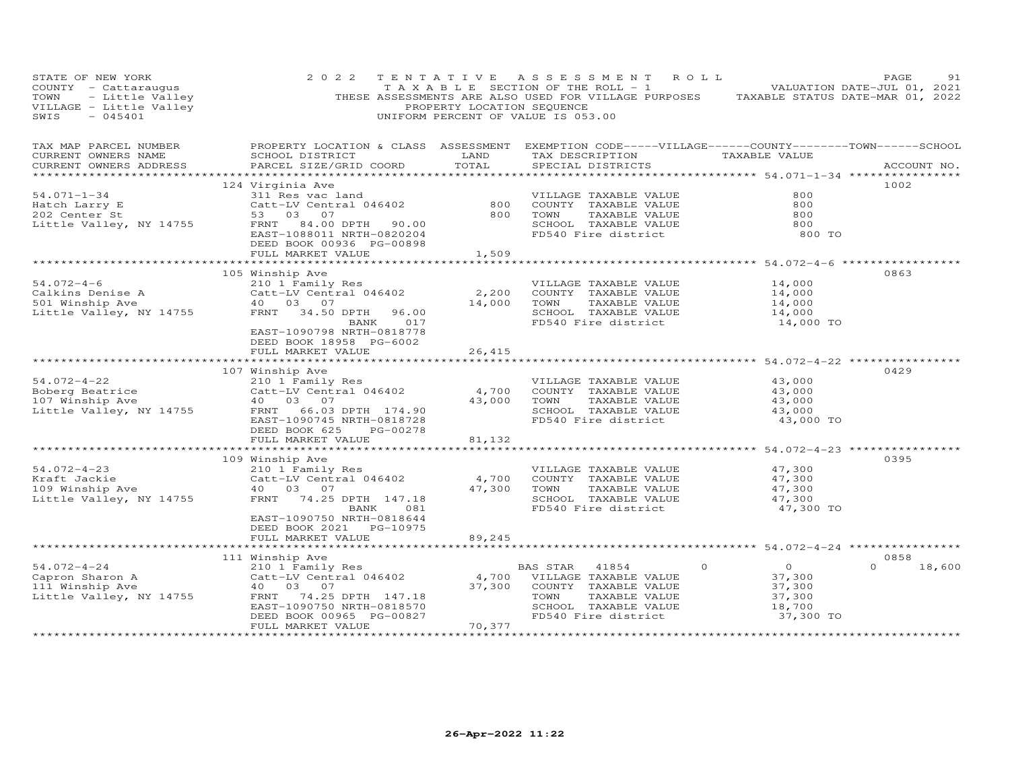| STATE OF NEW YORK<br>COUNTY - Cattaraugus<br>TOWN - Little Valley<br>VILLAGE - Little Valley<br>SWIS - 045401  | 2 0 2 2                                                                                                                                                                                                                             | PROPERTY LOCATION SEQUENCE                                 | TENTATIVE ASSESSMENT ROLL<br>$\begin{bmatrix} 1 & 1 & 1 \\ 1 & 1 & 1 \end{bmatrix}$ is equivalent to the section of the ROLL - 1 and $\begin{bmatrix} 1 & 1 & 1 \\ 1 & 1 & 1 \end{bmatrix}$ valuation date-jul 01, 2021<br>THESE ASSESSMENTS ARE ALSO USED FOR VILLAGE PURPOSES TAXABLE STATUS DATE-MAR 01, 2022<br>UNIFORM PERCENT OF VALUE IS 053.00 |                                                                                                      | PAGE<br>91                 |
|----------------------------------------------------------------------------------------------------------------|-------------------------------------------------------------------------------------------------------------------------------------------------------------------------------------------------------------------------------------|------------------------------------------------------------|--------------------------------------------------------------------------------------------------------------------------------------------------------------------------------------------------------------------------------------------------------------------------------------------------------------------------------------------------------|------------------------------------------------------------------------------------------------------|----------------------------|
| TAX MAP PARCEL NUMBER<br>CURRENT OWNERS NAME<br>CURRENT OWNERS ADDRESS                                         | SCHOOL DISTRICT<br>PARCEL SIZE/GRID COORD                                                                                                                                                                                           | LAND<br>TOTAL                                              | PROPERTY LOCATION & CLASS ASSESSMENT EXEMPTION CODE-----VILLAGE------COUNTY-------TOWN------SCHOOL<br>TAX DESCRIPTION TAXABLE VALUE<br>SPECIAL DISTRICTS                                                                                                                                                                                               |                                                                                                      | ACCOUNT NO.                |
| $54.071 - 1 - 34$<br>Hatch Larry E<br>202 Center St<br>Little Valley, NY 14755                                 | 124 Virginia Ave<br>311 Res vac land<br>Catt-LV Central 046402<br>53 03 07<br>53 03 07<br>FRNT 84.00 DPTH 90.00<br>EAST-1088011 NRTH-0820204<br>DEED BOOK 00936 PG-00898                                                            | 800<br>800                                                 | VILLAGE TAXABLE VALUE<br>COUNTY TAXABLE VALUE<br>TAXABLE VALUE<br>TOWN<br>SCHOOL TAXABLE VALUE<br>FD540 Fire district                                                                                                                                                                                                                                  | 800<br>800<br>800<br>800<br>800 TO                                                                   | 1002                       |
| $54.072 - 4 - 6$<br>Calkins Denise A<br>501 Winship Ave<br>501 Winship Ave<br>Little Valley, NY 14755          | FULL MARKET VALUE<br>105 Winship Ave<br>210 1 Family Res<br>Catt-LV Central 046402<br>40  03  07<br>FRNT 34.50 DPTH<br>96.00<br>BANK<br>017<br>EAST-1090798 NRTH-0818778<br>DEED BOOK 18958 PG-6002<br>FULL MARKET VALUE            | 1,509<br>2,200<br>14,000<br>26,415                         | VILLAGE TAXABLE VALUE<br>COUNTY TAXABLE VALUE<br>TAXABLE VALUE<br>TOWN<br>SCHOOL TAXABLE VALUE<br>FD540 Fire district                                                                                                                                                                                                                                  | ******************** 54.072-4-6 ***************<br>14,000<br>14,000<br>14,000<br>14,000<br>14,000 TO | 0863                       |
| $54.072 - 4 - 22$<br>Boberg Beatrice<br>107 Winship Ave<br>Little Valley, NY 14755                             | 107 Winship Ave<br>210 1 Family Res<br>Catt-LV Central 046402<br>40  03  07<br>FRNT 66.03 DPTH 174.90<br>EAST-1090745 NRTH-0818728<br>DEED BOOK 625<br>PG-00278<br>FULL MARKET VALUE<br>*************************                   | 4,700<br>43,000<br>81,132                                  | VILLAGE TAXABLE VALUE<br>COUNTY TAXABLE VALUE<br>TAXABLE VALUE<br>TOWN<br>SCHOOL TAXABLE VALUE<br>FD540 Fire district<br>***************************** 54.072-4-23 **********                                                                                                                                                                          | 43,000<br>43,000<br>43,000<br>43,000<br>43,000 TO                                                    | 0429                       |
| $54.072 - 4 - 23$<br>niait Jackie<br>109 Winship Ave<br>Jittl - - -<br>Little Valley, NY 14755                 | 109 Winship Ave<br>210 1 Family Res<br>Catt-LV Central 046402<br>40 03 07<br>FRNT 74.25 DPTH 147.18<br>BANK<br>081<br>EAST-1090750 NRTH-0818644<br>DEED BOOK 2021 PG-10975                                                          | 4,700<br>47,300                                            | VILLAGE TAXABLE VALUE<br>COUNTY TAXABLE VALUE<br>TAXABLE VALUE<br>TOWN<br>SCHOOL TAXABLE VALUE<br>FD540 Fire district                                                                                                                                                                                                                                  | 47,300<br>47,300<br>47,300<br>47,300<br>47,300 TO                                                    | 0395                       |
| $54.072 - 4 - 24$<br>Capron Sharon A<br>111 Winship Ave<br>Little Valley, NY 14755<br>************************ | FULL MARKET VALUE<br>111 Winship Ave<br>210 1 Family Res<br>Catt-LV Central 046402<br>40 03 07<br>FRNT 74.25 DPTH 147.18<br>EAST-1090750 NRTH-0818570<br>DEED BOOK 00965 PG-00827<br>FULL MARKET VALUE<br>************************* | 89,245<br>4,700<br>37,300<br>70,377<br>******************* | BAS STAR<br>41854<br>$\circ$<br>VILLAGE TAXABLE VALUE<br>COUNTY TAXABLE VALUE<br>TOWN<br>TAXABLE VALUE<br>SCHOOL TAXABLE VALUE<br>FD540 Fire district                                                                                                                                                                                                  | $\overline{O}$<br>37,300<br>37,300<br>37,300<br>18,700<br>37,300 TO                                  | 0858<br>$\Omega$<br>18,600 |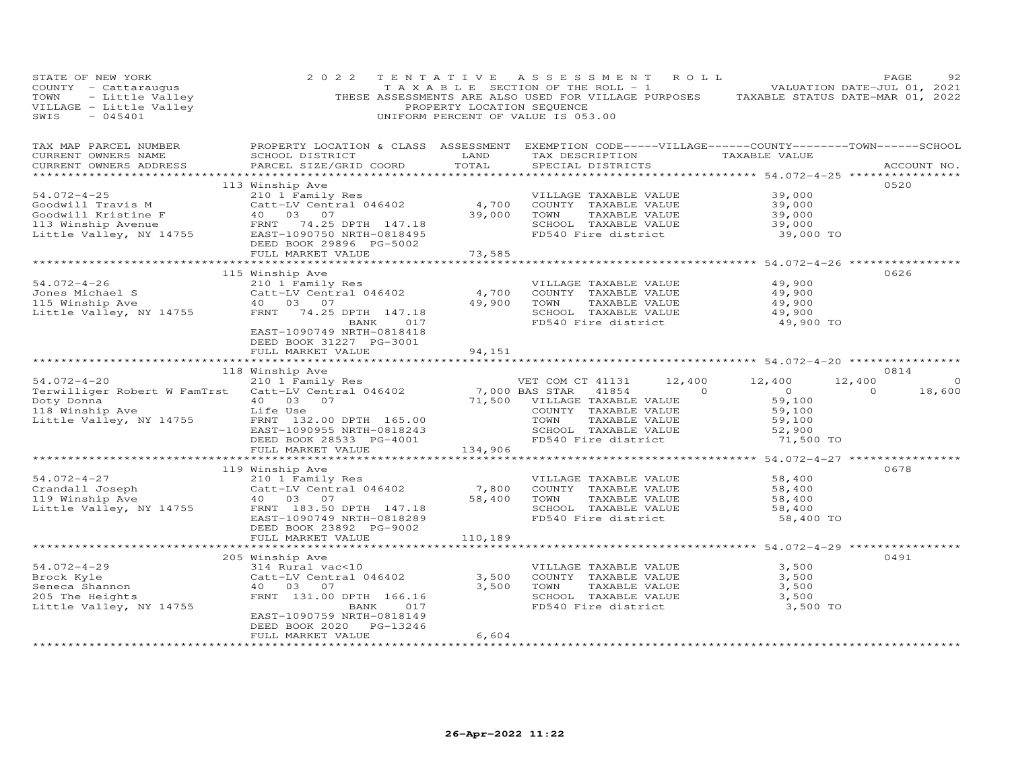| STATE OF NEW YORK<br>COUNTY - Cattaraugus<br>COUNTI - Cattaraugus<br>TOWN - Little Valley<br>VILLAGE - Little Valley<br>SWIS - 045401                                                                                                  | 2 0 2 2                                                                                                                                                        | TENTATIVE<br>PROPERTY LOCATION SEQUENCE | ASSESSMENT ROLL<br>TAXABLE SECTION OF THE ROLL - 1 VALUATION DATE-JUL 01, 2021<br>THESE ASSESSMENTS ARE ALSO USED FOR VILLAGE PURPOSES TAXABLE STATUS DATE-MAR 01, 2022<br>UNIFORM PERCENT OF VALUE IS 053.00 |                                                   | PAGE<br>92        |
|----------------------------------------------------------------------------------------------------------------------------------------------------------------------------------------------------------------------------------------|----------------------------------------------------------------------------------------------------------------------------------------------------------------|-----------------------------------------|---------------------------------------------------------------------------------------------------------------------------------------------------------------------------------------------------------------|---------------------------------------------------|-------------------|
| TAX MAP PARCEL NUMBER<br>CURRENT OWNERS NAME<br>CURRENT OWNERS ADDRESS                                                                                                                                                                 | SCHOOL DISTRICT<br>PARCEL SIZE/GRID COORD                                                                                                                      | LAND<br>TOTAL                           | PROPERTY LOCATION & CLASS ASSESSMENT EXEMPTION CODE-----VILLAGE------COUNTY-------TOWN------SCHOOL<br>TAX DESCRIPTION<br>SPECIAL DISTRICTS                                                                    | TAXABLE VALUE                                     | ACCOUNT NO.       |
|                                                                                                                                                                                                                                        | 113 Winship Ave                                                                                                                                                |                                         |                                                                                                                                                                                                               |                                                   | 0520              |
| 54.072-4-25<br>Goodwill Travis M<br>Goodwill Kristine F<br>113 Winship Avenue<br>113 Winship Avenue<br>113 Winship Avenue<br>113 Winship Avenue<br>113 Winship Avenue<br>12755 EAST-1090750 NRTH-0818495                               | 210 1 Family Res<br>Catt-LV Central 046402<br>40 03 07                                                                                                         | 4,700<br>39,000                         | VILLAGE TAXABLE VALUE<br>COUNTY TAXABLE VALUE<br>TOWN<br>TAXABLE VALUE<br>SCHOOL TAXABLE VALUE<br>FD540 Fire district                                                                                         | 39,000<br>39,000<br>39,000<br>39,000<br>39,000 TO |                   |
|                                                                                                                                                                                                                                        | DEED BOOK 29896 PG-5002<br>FULL MARKET VALUE                                                                                                                   | 73,585                                  |                                                                                                                                                                                                               |                                                   |                   |
|                                                                                                                                                                                                                                        |                                                                                                                                                                | ***********                             |                                                                                                                                                                                                               | ************ 54.072-4-26 *************            |                   |
| $54.072 - 4 - 26$<br>Jones Michael Sand Catt-L <sup>urer-1</sup><br>115 Winship Ave Man (1998)<br>115 Winship Ave Man (1998)<br>14755 FRNT (1998)                                                                                      | 115 Winship Ave<br>210 1 Family Res<br>Catt-LV Central 046402<br>40  03  07<br>FRNT 74.25 DPTH 147.18<br>BANK 017<br>EAST-1090749 NRTH-0818418                 | 4,700<br>49,900                         | VILLAGE TAXABLE VALUE<br>COUNTY TAXABLE VALUE<br>TOWN<br>TAXABLE VALUE<br>SCHOOL TAXABLE VALUE<br>FD540 Fire district                                                                                         | 49,900<br>49,900<br>49,900<br>49,900<br>49,900 TO | 0626              |
|                                                                                                                                                                                                                                        | DEED BOOK 31227 PG-3001<br>FULL MARKET VALUE                                                                                                                   | 94,151                                  |                                                                                                                                                                                                               |                                                   |                   |
|                                                                                                                                                                                                                                        |                                                                                                                                                                |                                         |                                                                                                                                                                                                               |                                                   |                   |
|                                                                                                                                                                                                                                        | 118 Winship Ave                                                                                                                                                |                                         |                                                                                                                                                                                                               |                                                   | 0814              |
|                                                                                                                                                                                                                                        |                                                                                                                                                                |                                         | 12,400                                                                                                                                                                                                        | 12,400                                            | 12,400<br>$\circ$ |
| 118 Winship Ave<br>210 12,<br>210 1 2 20 1 Family Res<br>Terwilliger Robert W Famirst Catt-LV Central 046402 7,000 BAS STAR 41854<br>210 118 Winship Ave 118 Winship Ave Life Use COUNTY TAXABLE VALUE<br>210 200 DPTH 165.00 2000 118 |                                                                                                                                                                |                                         | $\sim$ 0                                                                                                                                                                                                      | $\overline{0}$                                    | $\circ$<br>18,600 |
|                                                                                                                                                                                                                                        |                                                                                                                                                                |                                         | COUNTY TAXABLE VALUE                                                                                                                                                                                          | 59,100<br>59,100                                  |                   |
|                                                                                                                                                                                                                                        |                                                                                                                                                                |                                         | TAXABLE VALUE                                                                                                                                                                                                 | 59,100                                            |                   |
|                                                                                                                                                                                                                                        | EAST-1090955 NRTH-0818243                                                                                                                                      |                                         | SCHOOL TAXABLE VALUE                                                                                                                                                                                          | 52,900                                            |                   |
|                                                                                                                                                                                                                                        | DEED BOOK 28533 PG-4001                                                                                                                                        |                                         | FD540 Fire district                                                                                                                                                                                           | 71,500 TO                                         |                   |
|                                                                                                                                                                                                                                        | FULL MARKET VALUE                                                                                                                                              | 134,906                                 |                                                                                                                                                                                                               |                                                   |                   |
|                                                                                                                                                                                                                                        |                                                                                                                                                                |                                         |                                                                                                                                                                                                               |                                                   |                   |
| $54.072 - 4 - 27$<br>Crandall Joseph<br>119 Winship Ave<br>Little Valley, NY 14755                                                                                                                                                     | 119 Winship Ave<br>210 1 Family Res<br>Catt-LV Central 046402<br>40  03  07<br>FRNT 183.50 DPTH 147.18<br>EAST-1090749 NRTH-0818289<br>DEED BOOK 23892 PG-9002 | 7,800<br>58,400                         | VILLAGE TAXABLE VALUE<br>COUNTY TAXABLE VALUE<br>TOWN<br>TAXABLE VALUE<br>SCHOOL TAXABLE VALUE<br>FD540 Fire district                                                                                         | 58,400<br>58,400<br>58,400<br>58,400<br>58,400 TO | 0678              |
|                                                                                                                                                                                                                                        | FULL MARKET VALUE                                                                                                                                              | 110,189                                 |                                                                                                                                                                                                               |                                                   |                   |
|                                                                                                                                                                                                                                        |                                                                                                                                                                |                                         |                                                                                                                                                                                                               |                                                   |                   |
|                                                                                                                                                                                                                                        | 205 Winship Ave                                                                                                                                                |                                         |                                                                                                                                                                                                               |                                                   | 0491              |
| $54.072 - 4 - 29$                                                                                                                                                                                                                      | 314 Rural vac<10                                                                                                                                               |                                         | VILLAGE TAXABLE VALUE                                                                                                                                                                                         | 3,500                                             |                   |
| Brock Kyle                                                                                                                                                                                                                             | Catt-LV Central 046402                                                                                                                                         | 3,500                                   | COUNTY TAXABLE VALUE                                                                                                                                                                                          | 3,500                                             |                   |
| Seneca Shannon                                                                                                                                                                                                                         | 40 03<br>07                                                                                                                                                    | 3,500                                   | TAXABLE VALUE<br>TOWN                                                                                                                                                                                         | 3,500                                             |                   |
| 205 The Heights<br>Little Valley, NY 14755                                                                                                                                                                                             | FRNT 131.00 DPTH 166.16<br>BANK 017<br>EAST-1090759 NRTH-0818149<br>DEED BOOK 2020 PG-13246                                                                    |                                         | SCHOOL TAXABLE VALUE<br>FD540 Fire district                                                                                                                                                                   | 3,500<br>3,500 TO                                 |                   |
| *************************                                                                                                                                                                                                              | FULL MARKET VALUE<br>************************                                                                                                                  | 6,604<br>***********                    |                                                                                                                                                                                                               |                                                   |                   |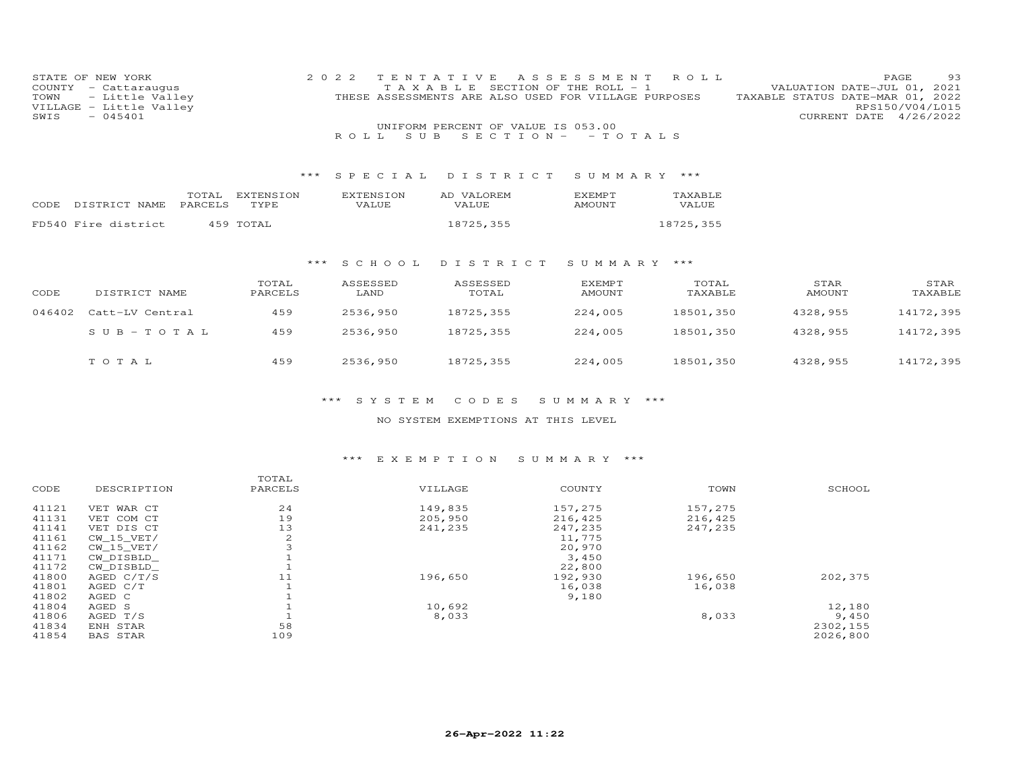| STATE OF NEW YORK<br>COUNTY<br>TOWN<br>VILLAGE<br>$-045401$<br>SWIS | - Cattaraugus<br>- Little Valley<br>- Little Valley |                   | 2022<br>T E N<br>TAXABLE<br>S U B<br>R O L L | Е<br>AS<br>S E<br>THESE ASSESSMENTS ARE ALSO USED FOR VILLAGE PURPOSES<br>UNIFORM PERCENT OF VALUE IS 053.00<br>$S E C T I ON - - T O T AL S$ | SSMENT<br>SECTION OF THE ROLL - | R O L L          |                | PAGE<br>-93<br>VALUATION DATE-JUL 01, 2021<br>TAXABLE STATUS DATE-MAR 01, 2022<br>RPS150/V04/L015<br>CURRENT DATE<br>4/26/2022 |
|---------------------------------------------------------------------|-----------------------------------------------------|-------------------|----------------------------------------------|-----------------------------------------------------------------------------------------------------------------------------------------------|---------------------------------|------------------|----------------|--------------------------------------------------------------------------------------------------------------------------------|
|                                                                     |                                                     | * * *             | SPECIAL                                      | DISTRICT                                                                                                                                      | SUMMARY ***                     |                  |                |                                                                                                                                |
| CODE DISTRICT NAME                                                  | TOTAL<br>PARCELS                                    | EXTENSION<br>TYPE | <b>EXTENSION</b><br>VALUE                    | AD VALOREM<br>VALUE                                                                                                                           | <b>EXEMPT</b><br>AMOUNT         | TAXABLE<br>VALUE |                |                                                                                                                                |
| FD540 Fire district                                                 |                                                     | 459 TOTAL         |                                              | 18725,355                                                                                                                                     |                                 | 18725,355        |                |                                                                                                                                |
|                                                                     |                                                     | $***$             | S C H O O L                                  | DISTRICT                                                                                                                                      | SUMMARY                         | ***              |                |                                                                                                                                |
| CODE                                                                | DISTRICT NAME                                       | TOTAL<br>PARCELS  | ASSESSED<br>LAND                             | ASSESSED<br>TOTAL                                                                                                                             | <b>EXEMPT</b><br><b>AMOUNT</b>  | TOTAL<br>TAXABLE | STAR<br>AMOUNT | STAR<br>TAXABLE                                                                                                                |
| 046402                                                              | Catt-LV Central                                     | 459               | 2536,950                                     | 18725,355                                                                                                                                     | 224,005                         | 18501,350        | 4328,955       | 14172,395                                                                                                                      |
|                                                                     | $S \cup B - T \cup T A$                             | 459               | 2536,950                                     | 18725,355                                                                                                                                     | 224,005                         | 18501,350        | 4328,955       | 14172,395                                                                                                                      |
| TOTAL                                                               |                                                     | 459               | 2536,950                                     | 18725,355                                                                                                                                     | 224,005                         | 18501,350        | 4328,955       | 14172,395                                                                                                                      |

NO SYSTEM EXEMPTIONS AT THIS LEVEL

# \*\*\* E X E M P T I O N S U M M A R Y \*\*\*

|       |                 | TOTAL   |         |         |         |          |
|-------|-----------------|---------|---------|---------|---------|----------|
| CODE  | DESCRIPTION     | PARCELS | VILLAGE | COUNTY  | TOWN    | SCHOOL   |
| 41121 | VET WAR CT      | 24      | 149,835 | 157,275 | 157,275 |          |
| 41131 | VET COM CT      | 19      | 205,950 | 216,425 | 216,425 |          |
| 41141 | VET DIS CT      | 13      | 241,235 | 247,235 | 247,235 |          |
| 41161 | CW 15 VET/      | 2       |         | 11,775  |         |          |
| 41162 | CW 15 VET/      | 3       |         | 20,970  |         |          |
| 41171 | CW DISBLD       |         |         | 3,450   |         |          |
| 41172 | CW DISBLD       |         |         | 22,800  |         |          |
| 41800 | AGED C/T/S      | 11      | 196,650 | 192,930 | 196,650 | 202,375  |
| 41801 | AGED C/T        |         |         | 16,038  | 16,038  |          |
| 41802 | AGED C          |         |         | 9,180   |         |          |
| 41804 | AGED S          |         | 10,692  |         |         | 12,180   |
| 41806 | AGED T/S        |         | 8,033   |         | 8,033   | 9,450    |
| 41834 | ENH STAR        | 58      |         |         |         | 2302,155 |
| 41854 | <b>BAS STAR</b> | 109     |         |         |         | 2026,800 |
|       |                 |         |         |         |         |          |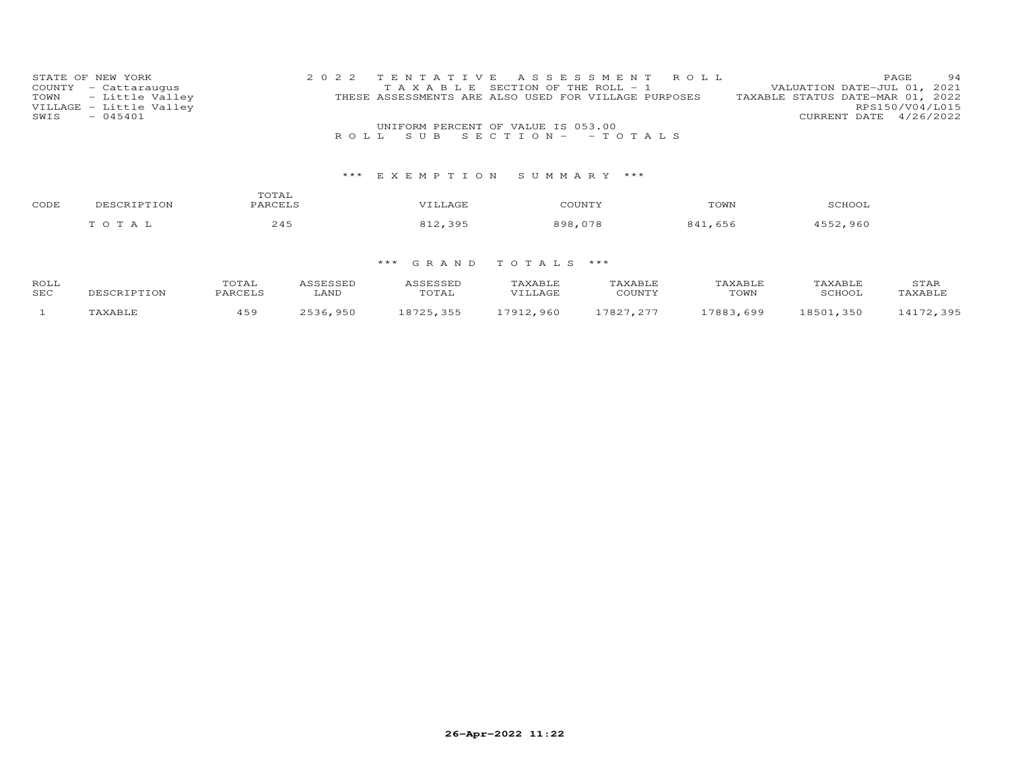| STATE OF NEW YORK       | 2022 TENTATIVE ASSESSMENT ROLL                       | 94<br>PAGE.                      |
|-------------------------|------------------------------------------------------|----------------------------------|
| COUNTY - Cattaraugus    | T A X A B L E SECTION OF THE ROLL - 1                | VALUATION DATE-JUL 01, 2021      |
| TOWN - Little Valley    | THESE ASSESSMENTS ARE ALSO USED FOR VILLAGE PURPOSES | TAXABLE STATUS DATE-MAR 01, 2022 |
| VILLAGE - Little Valley |                                                      | RPS150/V04/L015                  |
| $-045401$<br>SWIS       |                                                      | CURRENT DATE 4/26/2022           |
|                         | UNIFORM PERCENT OF VALUE IS 053.00                   |                                  |
|                         | ROLL SUB SECTION- - TOTALS                           |                                  |

# \*\*\* E X E M P T I O N S U M M A R Y \*\*\*

| CODE | י הדר   | TOTAL    |       | COUNTY          | TOWN         | CCILOO |
|------|---------|----------|-------|-----------------|--------------|--------|
|      | T O T A | $\Delta$ | ו מ-כ | $\circ$ $\circ$ | 8 A 1<br>656 | . 960  |

| ROLL |             | TOTAL   | ASSESSED | ASSESSED  | TAXABLE   | TAXABLE   | TAXABLE   | TAXABLE   | STAR      |
|------|-------------|---------|----------|-----------|-----------|-----------|-----------|-----------|-----------|
| SEC  | DESCRIPTION | PARCELS | LAND     | TOTAL     | VILLAGE   | COUNTY    | TOWN      | SCHOOL    | TAXABLE   |
|      | TAXABLE     | 459     | 2536,950 | 18725,355 | 17912,960 | 17827.277 | 17883,699 | 18501,350 | 14172,395 |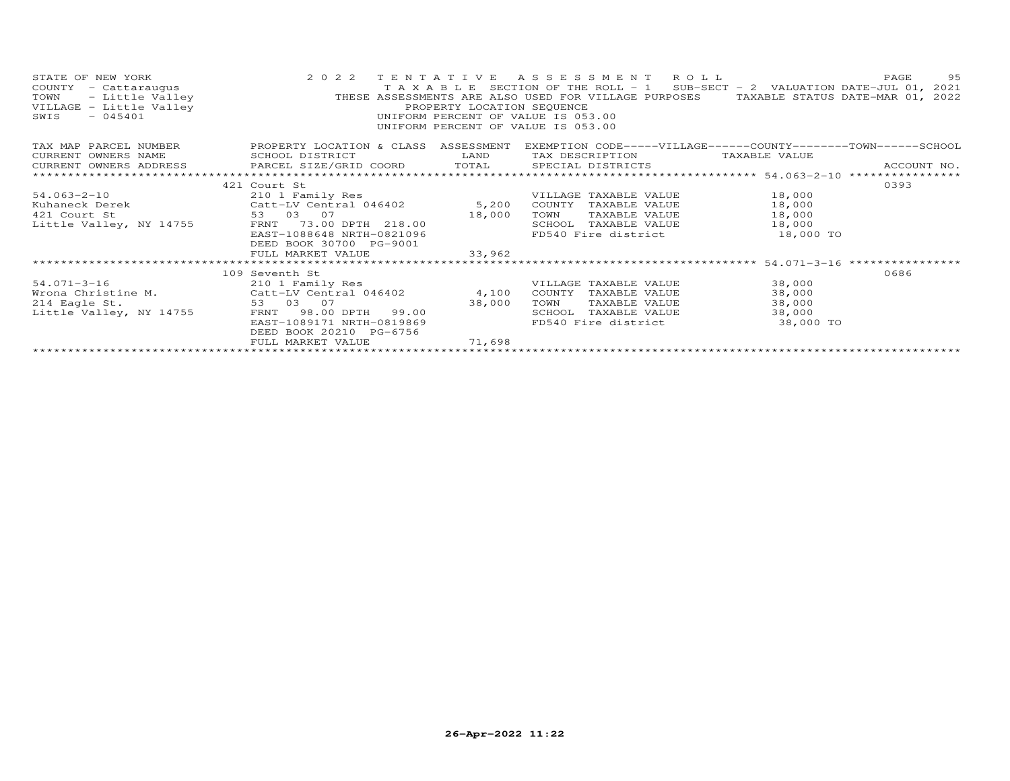| STATE OF NEW YORK<br>COUNTY - Cattaraugus<br>dW YORK<br>- Cattaraugus<br>- Little Valley<br>- Tittle Valley<br>TOWN<br>VILLAGE - Little Valley<br>SWIS | 2 0 2 2<br>TAXABLE                                   | TENTATIVE<br>PROPERTY LOCATION SEQUENCE | ASSESSMENT ROLL<br>SECTION OF THE ROLL - $1$ SUB-SECT - $2$ VALUATION DATE-JUL 01, 2021<br>THESE ASSESSMENTS ARE ALSO USED FOR VILLAGE PURPOSES<br>UNIFORM PERCENT OF VALUE IS 053.00<br>UNIFORM PERCENT OF VALUE IS 053.00 | TAXABLE STATUS DATE-MAR 01, 2022                  | 95<br>PAGE  |
|--------------------------------------------------------------------------------------------------------------------------------------------------------|------------------------------------------------------|-----------------------------------------|-----------------------------------------------------------------------------------------------------------------------------------------------------------------------------------------------------------------------------|---------------------------------------------------|-------------|
| TAX MAP PARCEL NUMBER                                                                                                                                  | PROPERTY LOCATION & CLASS ASSESSMENT                 |                                         | EXEMPTION CODE-----VILLAGE------COUNTY--------TOWN------SCHOOL                                                                                                                                                              |                                                   |             |
| CURRENT OWNERS NAME                                                                                                                                    | SCHOOL DISTRICT                                      | LAND                                    | TAX DESCRIPTION                                                                                                                                                                                                             | TAXABLE VALUE                                     |             |
| CURRENT OWNERS ADDRESS                                                                                                                                 | PARCEL SIZE/GRID COORD TOTAL SPECIAL DISTRICTS       |                                         |                                                                                                                                                                                                                             |                                                   | ACCOUNT NO. |
| ***************************                                                                                                                            |                                                      |                                         |                                                                                                                                                                                                                             |                                                   |             |
|                                                                                                                                                        | 421 Court St                                         |                                         |                                                                                                                                                                                                                             |                                                   | 0393        |
| $54.063 - 2 - 10$                                                                                                                                      | 210 1 Family Res                                     |                                         | VILLAGE TAXABLE VALUE                                                                                                                                                                                                       | 18,000                                            |             |
| Kuhaneck Derek                                                                                                                                         | Catt-LV Central 046402 5,200<br>53 03 07             |                                         | COUNTY<br>TAXABLE VALUE                                                                                                                                                                                                     | 18,000                                            |             |
| 421 Court St                                                                                                                                           |                                                      | 18,000                                  | TAXABLE VALUE<br>TOWN                                                                                                                                                                                                       | 18,000                                            |             |
| Little Valley, NY 14755                                                                                                                                | 73.00 DPTH 218.00<br>FRNT                            |                                         | SCHOOL<br>TAXABLE VALUE                                                                                                                                                                                                     | 18,000                                            |             |
|                                                                                                                                                        | EAST-1088648 NRTH-0821096<br>DEED BOOK 30700 PG-9001 |                                         | FD540 Fire district                                                                                                                                                                                                         | 18,000 TO                                         |             |
|                                                                                                                                                        | FULL MARKET VALUE                                    | 33,962                                  |                                                                                                                                                                                                                             |                                                   |             |
|                                                                                                                                                        |                                                      |                                         |                                                                                                                                                                                                                             | ******************** 54.071-3-16 **************** |             |
|                                                                                                                                                        | 109 Seventh St                                       |                                         |                                                                                                                                                                                                                             |                                                   | 0686        |
| 54.071-3-16                                                                                                                                            | 210 1 Family Res                                     |                                         | VILLAGE TAXABLE VALUE                                                                                                                                                                                                       | 38,000                                            |             |
| Wrona Christine M. Catt-LV Central 046402                                                                                                              |                                                      | 4,100                                   | COUNTY<br>TAXABLE VALUE                                                                                                                                                                                                     | 38,000                                            |             |
| 214 Eagle St.                                                                                                                                          | 53 03 07                                             | 38,000                                  | TOWN<br>TAXABLE VALUE                                                                                                                                                                                                       | 38,000                                            |             |
| Little Valley, NY 14755                                                                                                                                | 98.00 DPTH 99.00<br>FRNT                             |                                         | SCHOOL<br>TAXABLE VALUE                                                                                                                                                                                                     | 38,000                                            |             |
|                                                                                                                                                        | EAST-1089171 NRTH-0819869                            |                                         | FD540 Fire district                                                                                                                                                                                                         | 38,000 TO                                         |             |
|                                                                                                                                                        | DEED BOOK 20210 PG-6756                              |                                         |                                                                                                                                                                                                                             |                                                   |             |
|                                                                                                                                                        | FULL MARKET VALUE                                    | 71,698                                  |                                                                                                                                                                                                                             |                                                   |             |
|                                                                                                                                                        |                                                      |                                         |                                                                                                                                                                                                                             |                                                   |             |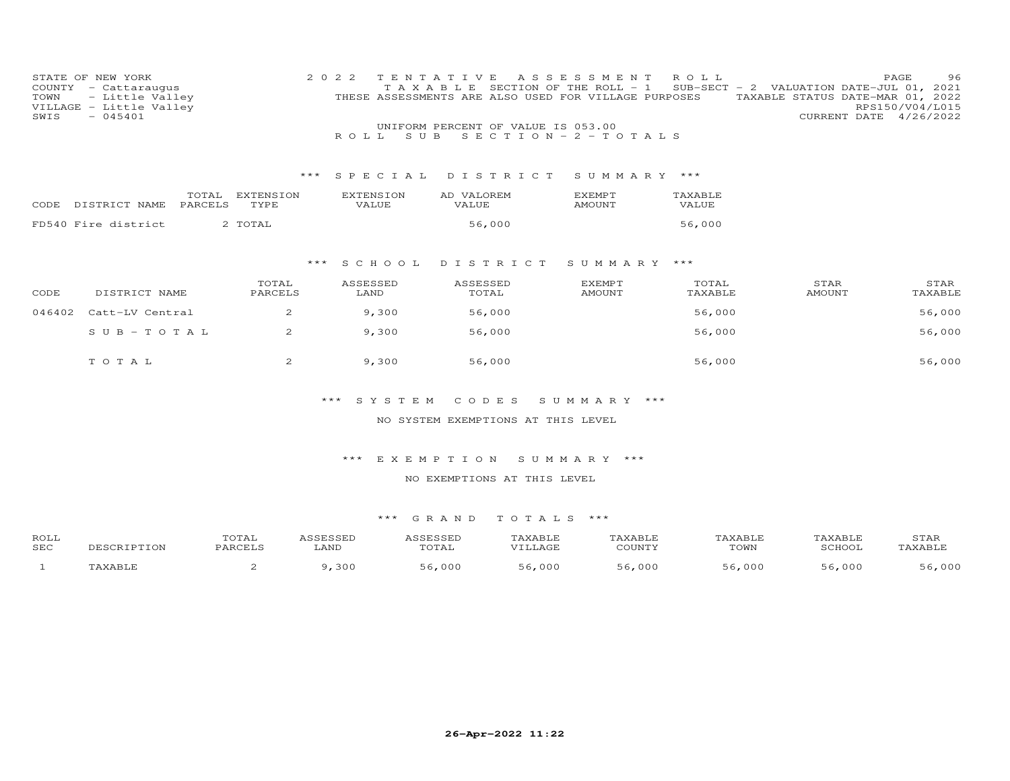| TOWN<br>SWIS | STATE OF NEW YORK<br>COUNTY - Cattaraugus<br>- Little Valley<br>VILLAGE - Little Valley<br>$-045401$ |                                      | 2 0 2 2<br>TAXABLE        | TENTATIVE<br>THESE ASSESSMENTS ARE ALSO USED FOR VILLAGE PURPOSES<br>UNIFORM PERCENT OF VALUE IS 053.00 | A S S E S S M E N T<br>SECTION OF THE ROLL - 1 | ROLL             | SUB-SECT - 2 VALUATION DATE-JUL 01, 2021<br>TAXABLE STATUS DATE-MAR 01, 2022<br>CURRENT DATE 4/26/2022 | PAGE<br>96<br>RPS150/V04/L015 |
|--------------|------------------------------------------------------------------------------------------------------|--------------------------------------|---------------------------|---------------------------------------------------------------------------------------------------------|------------------------------------------------|------------------|--------------------------------------------------------------------------------------------------------|-------------------------------|
|              |                                                                                                      |                                      | ROLL<br>S U B             |                                                                                                         | SECTION - $2$ - TOTALS                         |                  |                                                                                                        |                               |
|              |                                                                                                      |                                      |                           |                                                                                                         |                                                |                  |                                                                                                        |                               |
|              |                                                                                                      | ***                                  | SPECIAL                   | DISTRICT                                                                                                | SUMMARY ***                                    |                  |                                                                                                        |                               |
| CODE         | TOTAL<br>PARCELS<br>DISTRICT NAME                                                                    | EXTENSION<br>TYPE                    | <b>EXTENSION</b><br>VALUE | AD VALOREM<br>VALUE                                                                                     | <b>EXEMPT</b><br><b>AMOUNT</b>                 | TAXABLE<br>VALUE |                                                                                                        |                               |
|              | FD540 Fire district                                                                                  | 2 TOTAL                              |                           | 56,000                                                                                                  |                                                | 56,000           |                                                                                                        |                               |
|              |                                                                                                      |                                      |                           |                                                                                                         |                                                |                  |                                                                                                        |                               |
|              |                                                                                                      | $***$                                | S C H O O L               | DISTRICT                                                                                                | SUMMARY ***                                    |                  |                                                                                                        |                               |
| CODE         | DISTRICT NAME                                                                                        | TOTAL<br>PARCELS                     | ASSESSED<br>LAND          | ASSESSED<br>TOTAL                                                                                       | EXEMPT<br><b>AMOUNT</b>                        | TOTAL<br>TAXABLE | STAR<br><b>AMOUNT</b>                                                                                  | STAR<br>TAXABLE               |
| 046402       | Catt-LV Central                                                                                      | 2                                    | 9,300                     | 56,000                                                                                                  |                                                | 56,000           |                                                                                                        | 56,000                        |
|              | $SUB - TO T AL$                                                                                      | 2                                    | 9,300                     | 56,000                                                                                                  |                                                | 56,000           |                                                                                                        | 56,000                        |
|              | TOTAL                                                                                                | 2                                    | 9,300                     | 56,000                                                                                                  |                                                | 56,000           |                                                                                                        | 56,000                        |
|              |                                                                                                      |                                      | $***$<br>SYSTEM           | CODES                                                                                                   | SUMMARY ***                                    |                  |                                                                                                        |                               |
|              |                                                                                                      |                                      |                           | NO SYSTEM EXEMPTIONS AT THIS LEVEL                                                                      |                                                |                  |                                                                                                        |                               |
|              |                                                                                                      |                                      |                           |                                                                                                         |                                                |                  |                                                                                                        |                               |
|              |                                                                                                      |                                      | $***$<br>EXEMPTION        |                                                                                                         | SUMMARY ***                                    |                  |                                                                                                        |                               |
|              |                                                                                                      |                                      |                           | NO EXEMPTIONS AT THIS LEVEL                                                                             |                                                |                  |                                                                                                        |                               |
|              |                                                                                                      |                                      | *** GRAND                 | TOTALS ***                                                                                              |                                                |                  |                                                                                                        |                               |
| ROLL<br>SEC  | DESCRIPTION                                                                                          | TOTAL<br>ASSESSED<br>PARCELS<br>LAND | ASSESSED                  | TAXABLE<br>TOTAL<br>VILLAGE                                                                             | TAXABLE<br>COUNTY                              | TAXABLE<br>TOWN  | TAXABLE<br>SCHOOL                                                                                      | STAR<br>TAXABLE               |

SEC DESCRIPTION PARCELS LAND TOTAL VILLAGE COUNTY TOWN SCHOOL TAXABLE1 TAXABLE 2 9,300 56,000 56,000 56,000 56,000 56,000 56,000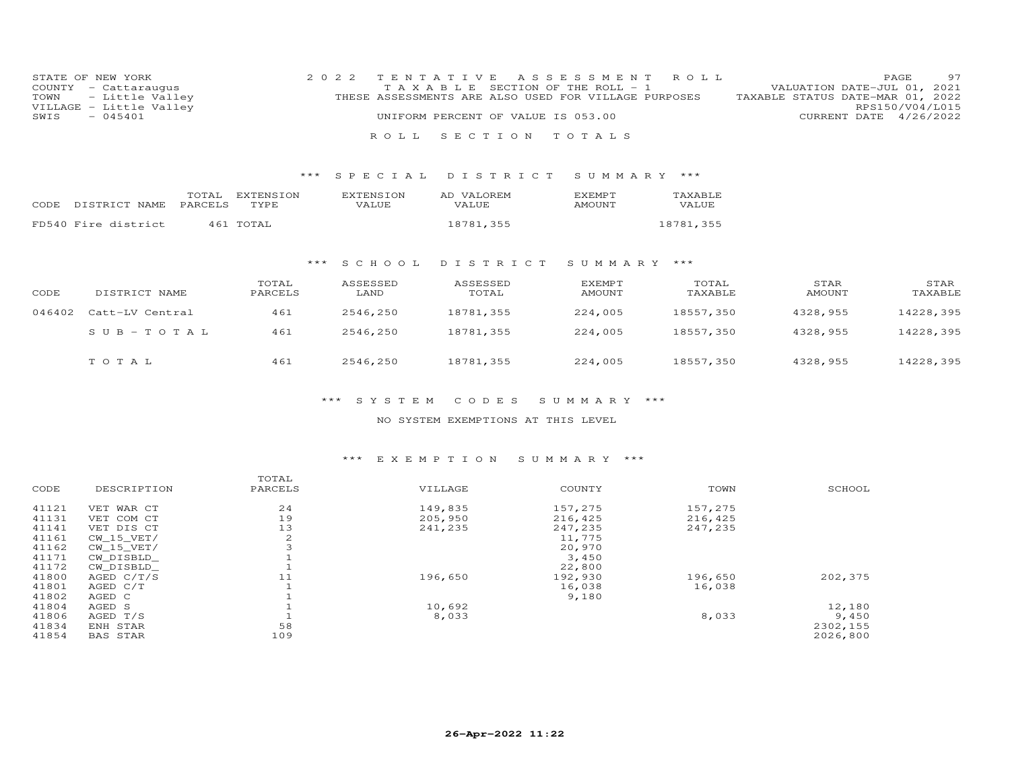| STATE OF NEW YORK       | 2022 TENTATIVE ASSESSMENT ROLL                       | 97<br>PAGE.                      |
|-------------------------|------------------------------------------------------|----------------------------------|
| COUNTY - Cattaraugus    | T A X A B L E SECTION OF THE ROLL - 1                | VALUATION DATE-JUL 01, 2021      |
| TOWN - Little Valley    | THESE ASSESSMENTS ARE ALSO USED FOR VILLAGE PURPOSES | TAXABLE STATUS DATE-MAR 01, 2022 |
| VILLAGE - Little Valley |                                                      | RPS150/V04/L015                  |
| $-045401$<br>SWIS       | UNIFORM PERCENT OF VALUE IS 053.00                   | CURRENT DATE 4/26/2022           |
|                         |                                                      |                                  |
|                         | ROLL SECTION TOTALS                                  |                                  |

#### \*\*\* S P E C I A L D I S T R I C T S U M M A R Y \*\*\*

|       |                       | TOTAL EXTENSION | <b>FXTENSION</b> | AD VALOREM | <b>FXFMPT</b> | <b>TAXABLE</b> |
|-------|-----------------------|-----------------|------------------|------------|---------------|----------------|
| CODE. | DISTRICT NAME PARCELS | TYPE.           | VALUE            | VALUE.     | AMOUNT        | VALUE          |
|       | FD540 Fire district   | 461 TOTAL       |                  | 18781,355  |               | 18781,355      |

#### \*\*\* S C H O O L D I S T R I C T S U M M A R Y \*\*\*

| CODE   | DISTRICT NAME   | TOTAL<br>PARCELS | ASSESSED<br>LAND | ASSESSED<br>TOTAL | <b>EXEMPT</b><br>AMOUNT | TOTAL<br>TAXABLE | STAR<br>AMOUNT | STAR<br>TAXABLE |
|--------|-----------------|------------------|------------------|-------------------|-------------------------|------------------|----------------|-----------------|
| 046402 | Catt-LV Central | 461              | 2546,250         | 18781,355         | 224,005                 | 18557,350        | 4328,955       | 14228,395       |
|        | $SUB-TOTAL$     | 461              | 2546,250         | 18781,355         | 224,005                 | 18557,350        | 4328,955       | 14228,395       |
|        | TOTAL           | 461              | 2546,250         | 18781,355         | 224,005                 | 18557,350        | 4328,955       | 14228,395       |

#### \*\*\* S Y S T E M C O D E S S U M M A R Y \*\*\*

### NO SYSTEM EXEMPTIONS AT THIS LEVEL

#### \*\*\* E X E M P T I O N S U M M A R Y \*\*\*

| SCHOOL   |
|----------|
|          |
|          |
|          |
|          |
|          |
|          |
|          |
|          |
| 202,375  |
|          |
|          |
| 12,180   |
| 9,450    |
| 2302,155 |
| 2026,800 |
|          |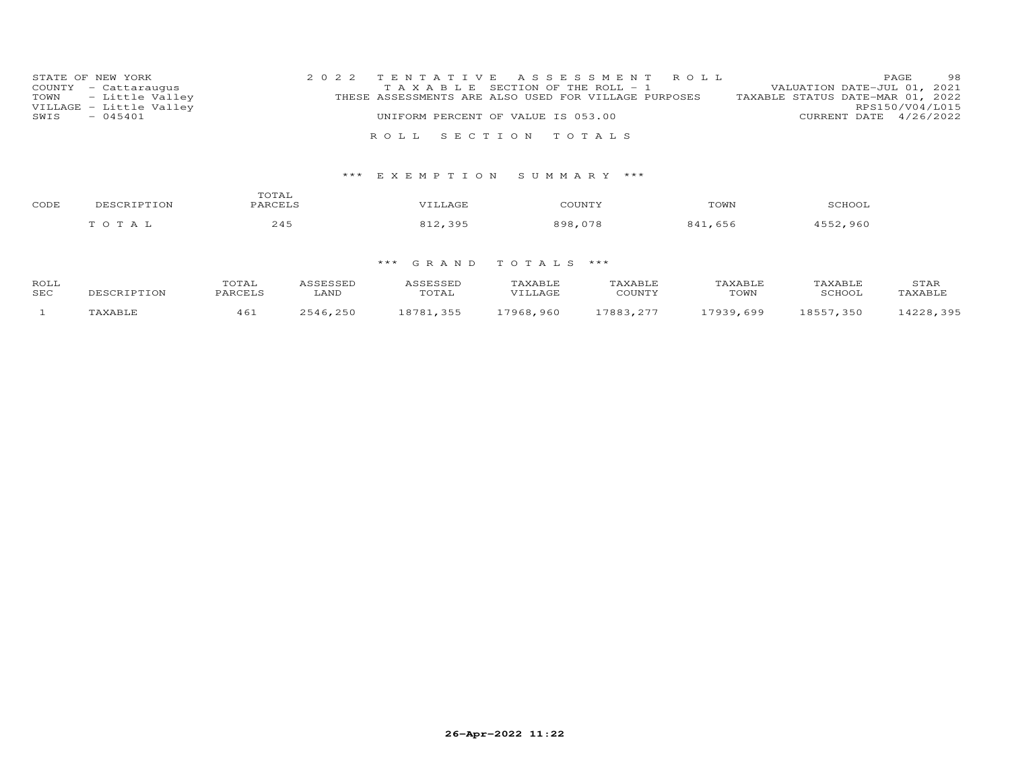| STATE OF NEW YORK       | 2022 TENTATIVE ASSESSMENT ROLL                       | 98<br>PAGE.                      |
|-------------------------|------------------------------------------------------|----------------------------------|
| COUNTY - Cattaraugus    | T A X A B L E SECTION OF THE ROLL - 1                | VALUATION DATE-JUL 01, 2021      |
| TOWN - Little Valley    | THESE ASSESSMENTS ARE ALSO USED FOR VILLAGE PURPOSES | TAXABLE STATUS DATE-MAR 01, 2022 |
| VILLAGE - Little Valley |                                                      | RPS150/V04/L015                  |
| $-045401$<br>SWIS       | UNIFORM PERCENT OF VALUE IS 053.00                   | CURRENT DATE 4/26/2022           |
|                         |                                                      |                                  |
|                         | ROLL SECTION TOTALS                                  |                                  |

# \*\*\* E X E M P T I O N S U M M A R Y \*\*\*

| CODE | DESCRIPTION     | TOTAL<br>PARCELS | VILLAGE | COUNTY      | TOWN    | SCHOOL       |
|------|-----------------|------------------|---------|-------------|---------|--------------|
|      | O T A<br>$\sim$ | 245              | 395     | 999<br>.078 | 841,656 | 4552<br>.960 |

| ROLL       |             | TOTAI   |          | ASSESSED  | <b>TAXABLE</b> | TAXABLE     | TAXABLE   | TAXABLE.  | STAR      |
|------------|-------------|---------|----------|-----------|----------------|-------------|-----------|-----------|-----------|
| <b>SEC</b> | DESCRIPTION | PARCELS | LAND     | TOTAL     | VTLLAGE        | COUNTY      | TOWN      | SCHOOL    | TAXABLE   |
|            | TAXABLE     | 461     | 2546,250 | 18781 355 | 17968,960      | 7993<br>つワワ | 17939.699 | 18557,350 | 14228,395 |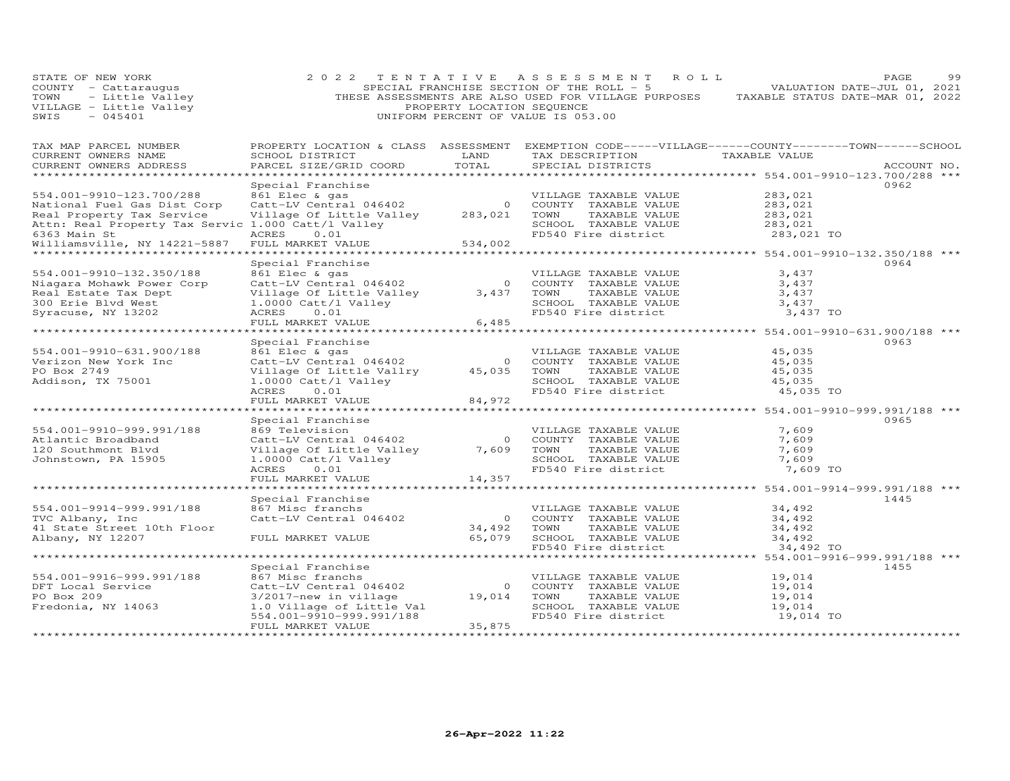| STATE OF NEW YORK<br>COUNTY - Cattaraugus<br>THESE ASSESSMENTS ARE ALSO USED FOR VILLAGE PURPOSES TAXABLE STATUS DATE-MAR 01, 2022<br>THESE ASSESSMENTS ARE ALSO USED FOR VILLAGE PURPOSES TAXABLE STATUS DATE-MAR 01, 2022<br>VILLAGE - Little Valley (N | 2 0 2 2                                                                                              |        | TENTATIVE ASSESSMENT ROLL                                                                                                                                 |                    | PAGE<br>99  |
|-----------------------------------------------------------------------------------------------------------------------------------------------------------------------------------------------------------------------------------------------------------|------------------------------------------------------------------------------------------------------|--------|-----------------------------------------------------------------------------------------------------------------------------------------------------------|--------------------|-------------|
| TAX MAP PARCEL NUMBER<br>CURRENT OWNERS NAME<br>CURRENT OWNERS ADDRESS                                                                                                                                                                                    | SCHOOL DISTRICT LAND<br>PARCEL SIZE/GRID COORD                                                       | TOTAL  | PROPERTY LOCATION & CLASS ASSESSMENT EXEMPTION CODE-----VILLAGE------COUNTY--------TOWN------SCHOOL<br>TAX DESCRIPTION TAXABLE VALUE<br>SPECIAL DISTRICTS |                    | ACCOUNT NO. |
|                                                                                                                                                                                                                                                           | Special Franchise                                                                                    |        |                                                                                                                                                           |                    | 0962        |
| 554.001-9910-123.700/288 861 Elec & gas<br>National Fuel Gas Dist Corp Catt-LV Central 046402 0 COUNTY TAXABLE VALUE<br>Real Property Tax Service village of Little Valley<br>Real Property Tax Service 1.000 Catt/l Valley<br>6363 Ma                    |                                                                                                      |        | VILLAGE TAXABLE VALUE $283,021$<br>COUNTY TAXABLE VALUE $283,021$<br>TOWN TAXABLE VALUE $283,021$                                                         |                    |             |
|                                                                                                                                                                                                                                                           |                                                                                                      |        |                                                                                                                                                           |                    |             |
|                                                                                                                                                                                                                                                           |                                                                                                      |        |                                                                                                                                                           |                    |             |
|                                                                                                                                                                                                                                                           |                                                                                                      |        | SCHOOL TAXABLE VALUE<br>SCHOOL TAXABLE VALUE<br>FD540 Fire district 283,021 TO                                                                            |                    |             |
| Williamsville, NY 14221-5887                                                                                                                                                                                                                              |                                                                                                      |        |                                                                                                                                                           |                    |             |
|                                                                                                                                                                                                                                                           |                                                                                                      |        |                                                                                                                                                           |                    |             |
|                                                                                                                                                                                                                                                           | Special Franchise                                                                                    |        |                                                                                                                                                           |                    | 0964        |
| 554.001-9910-132.350/188                                                                                                                                                                                                                                  | 861 Elec & gas                                                                                       |        | VILLAGE TAXABLE VALUE<br>0 COUNTY TAXABLE VALUE                                                                                                           | 3,437              |             |
| Niagara Mohawk Power Corp                                                                                                                                                                                                                                 | 861 Elec & gas<br>Catt-LV Central 046402                                                             |        |                                                                                                                                                           | 3,437              |             |
| Real Estate Tax Dept                                                                                                                                                                                                                                      | Village Of Little Valley 3,437 TOWN                                                                  |        | TAXABLE VALUE                                                                                                                                             | $3,437$<br>$3,437$ |             |
| 300 Erie Blvd West                                                                                                                                                                                                                                        | 1.0000 Catt/l Valley                                                                                 |        | SCHOOL TAXABLE VALUE                                                                                                                                      |                    |             |
| Syracuse, NY 13202                                                                                                                                                                                                                                        | ACRES<br>0.01                                                                                        |        | FD540 Fire district                                                                                                                                       | 3,437 TO           |             |
|                                                                                                                                                                                                                                                           | FULL MARKET VALUE                                                                                    | 6,485  |                                                                                                                                                           |                    |             |
|                                                                                                                                                                                                                                                           | Special Franchise                                                                                    |        |                                                                                                                                                           |                    | 0963        |
| 554.001-9910-631.900/188                                                                                                                                                                                                                                  | 861 Elec & gas                                                                                       |        | VILLAGE TAXABLE VALUE                                                                                                                                     | 45,035             |             |
| Verizon New York Inc                                                                                                                                                                                                                                      |                                                                                                      |        |                                                                                                                                                           |                    |             |
| PO Box 2749                                                                                                                                                                                                                                               |                                                                                                      |        | VILLAGE TAXABLE VALUE<br>Village Of Little Value<br>1.0000 Cot Little Value Value Value Value Value Value<br>1.0000 Catt/1 Value                          | 45,035<br>45,035   |             |
| Addison, TX 75001                                                                                                                                                                                                                                         | 1.0000 Catt/l Valley                                                                                 |        |                                                                                                                                                           |                    |             |
|                                                                                                                                                                                                                                                           | ACRES<br>0.01                                                                                        | 84,972 | SCHOOL TAXABLE VALUE 45,035<br>FD540 Fire district 45,035 TO                                                                                              |                    |             |
|                                                                                                                                                                                                                                                           | FULL MARKET VALUE                                                                                    |        |                                                                                                                                                           |                    |             |
|                                                                                                                                                                                                                                                           |                                                                                                      |        |                                                                                                                                                           |                    |             |
|                                                                                                                                                                                                                                                           | Special Franchise                                                                                    |        |                                                                                                                                                           |                    | 0965        |
| 554.001-9910-999.991/188<br>Atlantic Broadband                                                                                                                                                                                                            | 869 Television                                                                                       |        | VILLAGE TAXABLE VALUE<br>0 COUNTY TAXABLE VALUE                                                                                                           | 7,609              |             |
| 120 Southmont Blvd                                                                                                                                                                                                                                        | Catt-LV Central 046402<br>Village Of Little Valley 7,609 TOWN<br>Village Of Little Valley 7,609 TOWN |        | TAXABLE VALUE                                                                                                                                             | 7,609<br>7,609     |             |
| Johnstown, PA 15905                                                                                                                                                                                                                                       | 1.0000 Catt/l Valley                                                                                 |        | SCHOOL TAXABLE VALUE                                                                                                                                      | 7,609              |             |
|                                                                                                                                                                                                                                                           | ACRES<br>0.01                                                                                        |        | FD540 Fire district                                                                                                                                       | 7,609 TO           |             |
|                                                                                                                                                                                                                                                           | FULL MARKET VALUE                                                                                    | 14,357 |                                                                                                                                                           |                    |             |
|                                                                                                                                                                                                                                                           |                                                                                                      |        |                                                                                                                                                           |                    |             |
|                                                                                                                                                                                                                                                           | Special Franchise                                                                                    |        |                                                                                                                                                           |                    | 1445        |
| 554.001-9914-999.991/188                                                                                                                                                                                                                                  | 867 Misc franchs                                                                                     |        | VILLAGE TAXABLE VALUE                                                                                                                                     | 34,492             |             |
| TVC Albany, Inc                                                                                                                                                                                                                                           | Catt-LV Central 046402                                                                               |        |                                                                                                                                                           | 34,492             |             |
| 41 State Street 10th Floor                                                                                                                                                                                                                                |                                                                                                      |        |                                                                                                                                                           | 34,492             |             |
| Albany, NY 12207                                                                                                                                                                                                                                          | FULL MARKET VALUE                                                                                    |        |                                                                                                                                                           | 34,492             |             |
|                                                                                                                                                                                                                                                           |                                                                                                      |        |                                                                                                                                                           | 34,492 TO          |             |
|                                                                                                                                                                                                                                                           | Special Franchise                                                                                    |        | 0 COUNT:<br>34,492 TOWN TAXABLE VALUE<br>65,079 SCHOOL TAXABLE VALUE<br>FD540 File district<br>$5.079$ FD540 File district                                |                    | 1455        |
| 554.001-9916-999.991/188                                                                                                                                                                                                                                  | 867 Misc franchs                                                                                     |        | VILLAGE TAXABLE VALUE                                                                                                                                     | 19,014             |             |
| DFT Local Service                                                                                                                                                                                                                                         |                                                                                                      |        | Catt-LV Central 046402<br>3/2017-new in village and the COUNTY TAXABLE VALUE<br>1.0 Village af Tittle value                                               |                    |             |
| PO Box 209                                                                                                                                                                                                                                                |                                                                                                      |        |                                                                                                                                                           | 19,014<br>19,014   |             |
| Fredonia, NY 14063                                                                                                                                                                                                                                        | 1.0 Village of Little Val                                                                            |        | SCHOOL TAXABLE VALUE                                                                                                                                      | 19,014             |             |
|                                                                                                                                                                                                                                                           | 554.001-9910-999.991/188                                                                             |        | FD540 Fire district                                                                                                                                       | 19,014 TO          |             |
|                                                                                                                                                                                                                                                           | FULL MARKET VALUE                                                                                    | 35,875 |                                                                                                                                                           |                    |             |
|                                                                                                                                                                                                                                                           |                                                                                                      |        |                                                                                                                                                           |                    |             |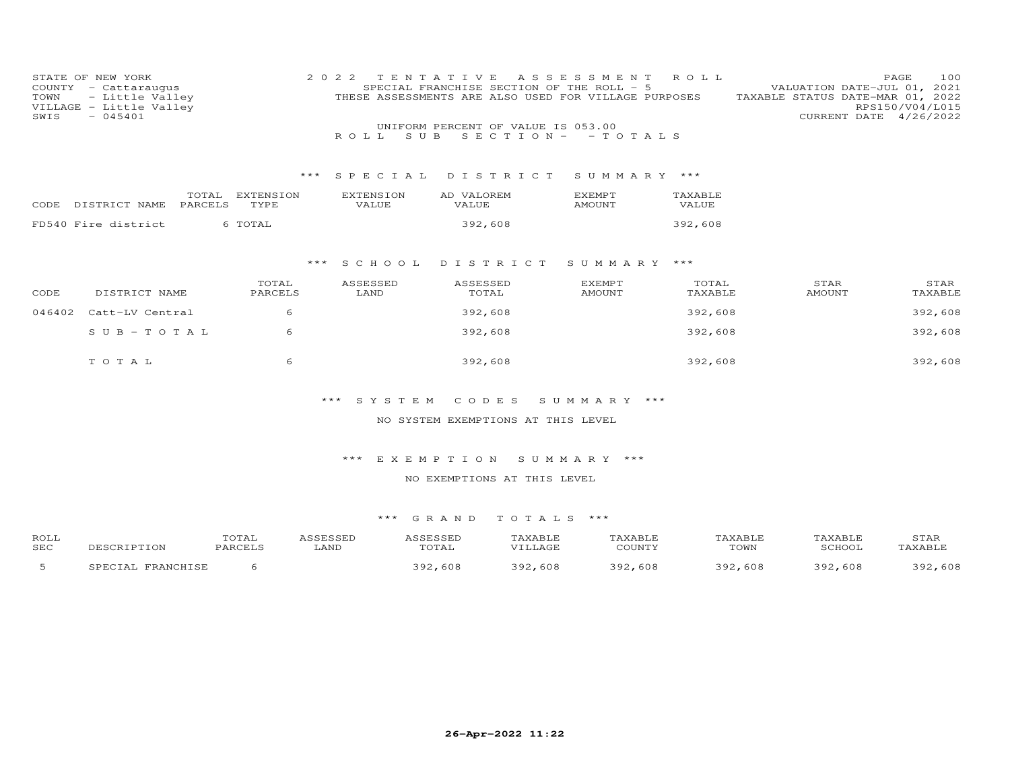| TOWN<br>SWIS | STATE OF NEW YORK<br>COUNTY - Cattaraugus<br>- Little Valley<br>VILLAGE - Little Valley<br>$-045401$ |                   | 2 0 2 2<br>S U B<br>R O L L | TENTATIVE<br>SPECIAL FRANCHISE SECTION OF THE ROLL - 5<br>THESE ASSESSMENTS ARE ALSO USED FOR VILLAGE PURPOSES<br>UNIFORM PERCENT OF VALUE IS 053.00<br>$S E C T I ON - - TO T AL S$ | A S S E S S M E N T            | ROLL             | VALUATION DATE-JUL 01, 2021<br>TAXABLE STATUS DATE-MAR 01, 2022 | PAGE<br>100<br>RPS150/V04/L015<br>CURRENT DATE 4/26/2022 |
|--------------|------------------------------------------------------------------------------------------------------|-------------------|-----------------------------|--------------------------------------------------------------------------------------------------------------------------------------------------------------------------------------|--------------------------------|------------------|-----------------------------------------------------------------|----------------------------------------------------------|
|              |                                                                                                      | ***               | S P E C I A L               | DISTRICT                                                                                                                                                                             | SUMMARY ***                    |                  |                                                                 |                                                          |
|              | TOTAL<br>CODE DISTRICT NAME<br>PARCELS                                                               | EXTENSION<br>TYPE | <b>EXTENSION</b><br>VALUE   | AD VALOREM<br>VALUE                                                                                                                                                                  | EXEMPT<br>AMOUNT               | TAXABLE<br>VALUE |                                                                 |                                                          |
|              | FD540 Fire district                                                                                  | 6 TOTAL           |                             | 392,608                                                                                                                                                                              |                                | 392,608          |                                                                 |                                                          |
|              |                                                                                                      |                   | *** SCHOOL                  | DISTRICT                                                                                                                                                                             | SUMMARY ***                    |                  |                                                                 |                                                          |
| CODE         | DISTRICT NAME                                                                                        | TOTAL<br>PARCELS  | ASSESSED<br>LAND            | ASSESSED<br>TOTAL                                                                                                                                                                    | <b>EXEMPT</b><br><b>AMOUNT</b> | TOTAL<br>TAXABLE | STAR<br>AMOUNT                                                  | STAR<br>TAXABLE                                          |
| 046402       | Catt-LV Central                                                                                      | 6                 |                             | 392,608                                                                                                                                                                              |                                | 392,608          |                                                                 | 392,608                                                  |
|              | $S \text{ U } B - T \text{ O } T \text{ A } L$                                                       | 6                 |                             | 392,608                                                                                                                                                                              |                                | 392,608          |                                                                 | 392,608                                                  |
|              | TOTAL                                                                                                | 6                 |                             | 392,608                                                                                                                                                                              |                                | 392,608          |                                                                 | 392,608                                                  |
|              |                                                                                                      |                   | *** SYSTEM                  | CODES<br>NO SYSTEM EXEMPTIONS AT THIS LEVEL                                                                                                                                          | SUMMARY ***                    |                  |                                                                 |                                                          |
|              |                                                                                                      |                   | ***                         | EXEMPTION                                                                                                                                                                            | SUMMARY ***                    |                  |                                                                 |                                                          |
|              |                                                                                                      |                   |                             | NO EXEMPTIONS AT THIS LEVEL                                                                                                                                                          |                                |                  |                                                                 |                                                          |

| ROLL<br><b>SEC</b> | CRIPTION             | .uiai<br>PARCELS | <b>SCECCED</b><br>,,,,,,,,,,,,,,,<br>LAND | ICCFCCFI<br>.<br>TOTAL | TAXABLE<br>VIIJAGE | 'AXABLE<br>COLINTY | AXABLE<br>TOWN | <b>TAXABLE</b><br>SCHOOL | STAR<br>TAXABLE |
|--------------------|----------------------|------------------|-------------------------------------------|------------------------|--------------------|--------------------|----------------|--------------------------|-----------------|
|                    | FRANCHISE<br>SPECIAI |                  |                                           | 392<br>.608            | 608<br>つのつ         | -608<br>ר ה ל      | ວ ດ ດ<br>608   | 302<br>608               | .608<br>າ ດ າ   |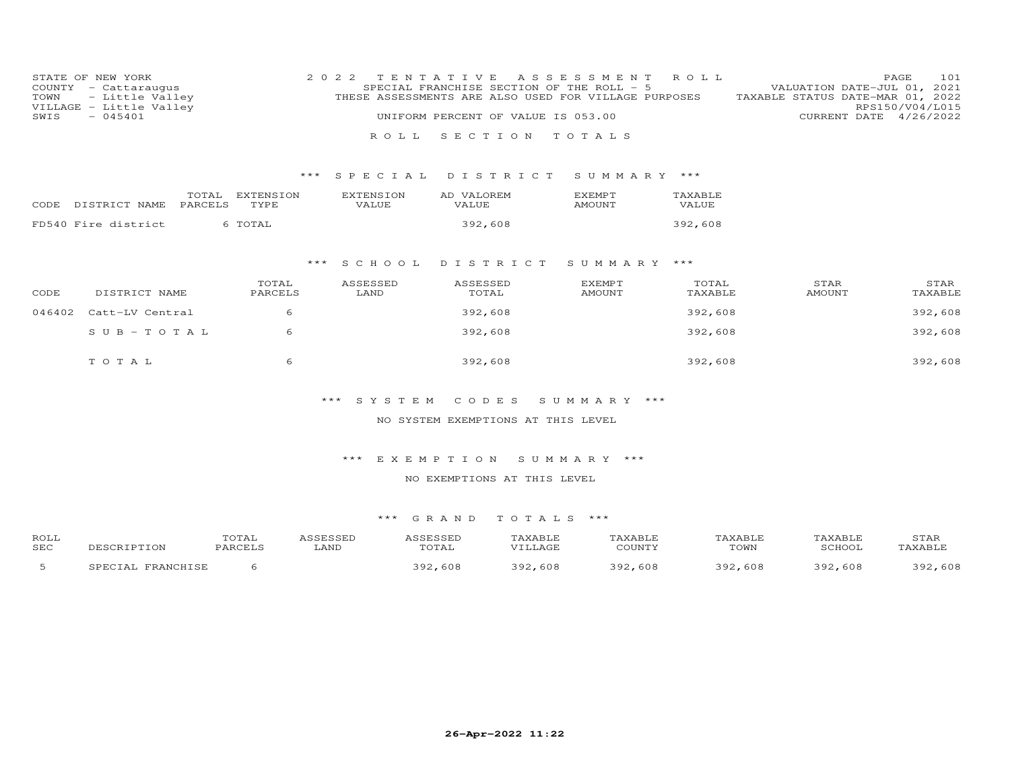| COUNTY<br>TOWN<br>VILLAGE<br>SWIS | STATE OF NEW YORK<br>- Cattaraugus<br>- Little Valley<br>- Little Valley<br>$-045401$ |                  |                   | 2 0 2 2 | ROLL.                     | TENTATIVE<br>SPECIAL FRANCHISE SECTION OF THE ROLL - 5<br>THESE ASSESSMENTS ARE ALSO USED FOR VILLAGE PURPOSES<br>UNIFORM PERCENT OF VALUE IS 053.00<br>SECTION | ASSESSMENT<br>TOTALS           | R O L L          | VALUATION DATE-JUL 01, 2021<br>TAXABLE STATUS DATE-MAR 01, 2022 | 101<br>PAGE<br>RPS150/V04/L015<br>CURRENT DATE 4/26/2022 |
|-----------------------------------|---------------------------------------------------------------------------------------|------------------|-------------------|---------|---------------------------|-----------------------------------------------------------------------------------------------------------------------------------------------------------------|--------------------------------|------------------|-----------------------------------------------------------------|----------------------------------------------------------|
|                                   |                                                                                       |                  | $***$             |         | SPECIAL                   | DISTRICT                                                                                                                                                        | SUMMARY ***                    |                  |                                                                 |                                                          |
| CODE.                             | DISTRICT NAME                                                                         | TOTAL<br>PARCELS | EXTENSION<br>TYPE |         | <b>EXTENSION</b><br>VALUE | AD VALOREM<br>VALUE                                                                                                                                             | <b>EXEMPT</b><br><b>AMOUNT</b> | TAXABLE<br>VALUE |                                                                 |                                                          |
|                                   | FD540 Fire district                                                                   |                  | 6 TOTAL           |         |                           | 392,608                                                                                                                                                         |                                | 392,608          |                                                                 |                                                          |
|                                   |                                                                                       |                  |                   | ***     | S C H O O L               | DISTRICT                                                                                                                                                        | SUMMARY                        | ***              |                                                                 |                                                          |
| CODE                              | DISTRICT NAME                                                                         |                  | TOTAL<br>PARCELS  |         | ASSESSED<br>LAND          | ASSESSED<br>TOTAL                                                                                                                                               | <b>EXEMPT</b><br>AMOUNT        | TOTAL<br>TAXABLE | STAR<br><b>AMOUNT</b>                                           | STAR<br>TAXABLE                                          |
| 046402                            | Catt-LV Central                                                                       |                  | 6                 |         |                           | 392,608                                                                                                                                                         |                                | 392,608          |                                                                 | 392,608                                                  |
|                                   | $SUB - TO TAL$                                                                        |                  | 6                 |         |                           | 392,608                                                                                                                                                         |                                | 392,608          |                                                                 | 392,608                                                  |
|                                   | TOTAL                                                                                 |                  | 6                 |         |                           | 392,608                                                                                                                                                         |                                | 392,608          |                                                                 | 392,608                                                  |

### NO SYSTEM EXEMPTIONS AT THIS LEVEL

# \*\*\* E X E M P T I O N S U M M A R Y \*\*\*

#### NO EXEMPTIONS AT THIS LEVEL

| ROLL |                          | TOTAL   | ASSESSED | ASSESSED | TAXABLE | TAXABLE | TAXABLE | TAXABLE | STAR    |
|------|--------------------------|---------|----------|----------|---------|---------|---------|---------|---------|
| SEC  | DESCRIPTION              | PARCELS | LAND     | TOTAL    | VILLAGE | COUNTY  | TOWN    | SCHOOL  | TAXABLE |
|      | . FRANCHISE<br>SPECIAL B |         |          | 392,608  | 392,608 | 392,608 | 392,608 | 392,608 | 392,608 |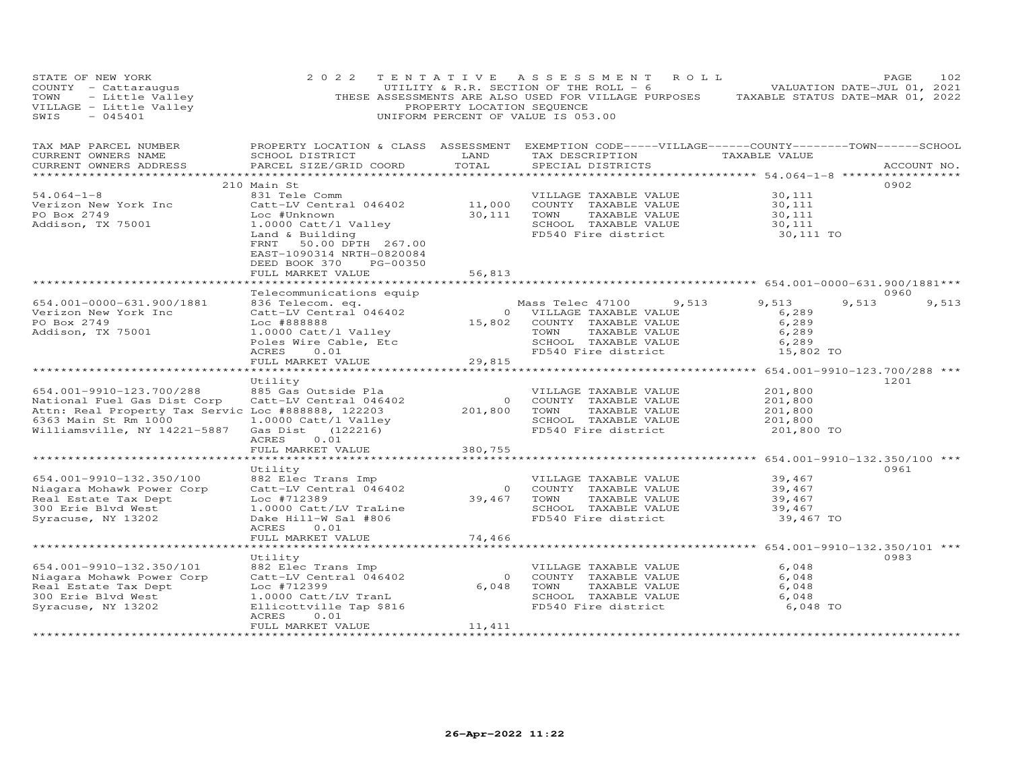| STATE OF NEW YORK<br>COUNTY - Cattaraugus<br>TOWN - Little Valley<br>VILLAGE - Little Valley<br>$-045401$<br>SWIS                                                     | 2 0 2 2                                                                                                                                                                                                                       | PROPERTY LOCATION SEQUENCE                                              | TENTATIVE ASSESSMENT ROLL<br>UTILITY & R.R. SECTION OF THE ROLL $-6$<br>THESE ASSESSMENTS ARE ALSO USED FOR VILLAGE PURPOSES TAXABLE STATUS DATE-MAR 01, 2022<br>UNIFORM PERCENT OF VALUE IS 053.00 | VALUATION DATE-JUL 01, 2021                                                                       | PAGE<br>102   |
|-----------------------------------------------------------------------------------------------------------------------------------------------------------------------|-------------------------------------------------------------------------------------------------------------------------------------------------------------------------------------------------------------------------------|-------------------------------------------------------------------------|-----------------------------------------------------------------------------------------------------------------------------------------------------------------------------------------------------|---------------------------------------------------------------------------------------------------|---------------|
| TAX MAP PARCEL NUMBER<br>CURRENT OWNERS NAME<br>CURRENT OWNERS ADDRESS                                                                                                | SCHOOL DISTRICT<br>PARCEL SIZE/GRID COORD                                                                                                                                                                                     | LAND<br>TOTAL<br>*************                                          | PROPERTY LOCATION & CLASS ASSESSMENT EXEMPTION CODE-----VILLAGE------COUNTY-------TOWN------SCHOOL<br>TAX DESCRIPTION TAXABLE VALUE<br>SPECIAL DISTRICTS                                            | *********** 54.064-1-8 ***************                                                            | ACCOUNT NO.   |
| $54.064 - 1 - 8$<br>Verizon New York Inc<br>PO Box 2749<br>Addison, TX 75001                                                                                          | 210 Main St<br>831 Tele Comm<br>Catt-LV Central 046402<br>Loc #Unknown<br>1.0000 Catt/l Valley<br>Land & Building<br>50.00 DPTH 267.00<br>FRNT<br>EAST-1090314 NRTH-0820084<br>PG-00350<br>DEED BOOK 370<br>FULL MARKET VALUE | 11,000<br>30,111<br>56,813                                              | VILLAGE TAXABLE VALUE<br>COUNTY TAXABLE VALUE<br>TOWN<br>TAXABLE VALUE<br>SCHOOL TAXABLE VALUE<br>FD540 Fire district                                                                               | 30,111<br>30,111<br>30,111<br>30,111<br>30,111 TO                                                 | 0902          |
|                                                                                                                                                                       |                                                                                                                                                                                                                               |                                                                         |                                                                                                                                                                                                     |                                                                                                   |               |
| 654.001-0000-631.900/1881<br>Verizon New York Inc<br>PO Box 2749<br>Addison, TX 75001                                                                                 | Telecommunications equip<br>836 Telecom. eq.<br>Catt-LV Central 046402<br>Loc #888888<br>1.0000 Catt/l Valley<br>Poles Wire Cable, Etc<br>0.01<br>ACRES<br>FULL MARKET VALUE                                                  | $\circ$<br>15,802<br>29,815                                             | Mass Telec 47100<br>9,513<br>VILLAGE TAXABLE VALUE<br>COUNTY TAXABLE VALUE<br>TOWN<br>TAXABLE VALUE<br>SCHOOL TAXABLE VALUE<br>FD540 Fire district                                                  | 9,513<br>9,513<br>6,289<br>6,289<br>6,289<br>6,289<br>15,802 TO                                   | 0960<br>9,513 |
|                                                                                                                                                                       |                                                                                                                                                                                                                               |                                                                         |                                                                                                                                                                                                     |                                                                                                   |               |
| 654.001-9910-123.700/288<br>National Fuel Gas Dist Corp<br>Attn: Real Property Tax Servic Loc #888888, 122203<br>6363 Main St Rm 1000<br>Williamsville, NY 14221-5887 | Utility<br>885 Gas Outside Pla<br>Catt-LV Central 046402<br>1.0000 Catt/l Valley<br>Gas Dist (122216)<br>ACRES<br>0.01<br>FULL MARKET VALUE                                                                                   | $\overline{0}$<br>201,800<br>380,755                                    | VILLAGE TAXABLE VALUE<br>COUNTY TAXABLE VALUE<br>TOWN<br>TAXABLE VALUE<br>SCHOOL TAXABLE VALUE<br>FD540 Fire district                                                                               | 201,800<br>201,800<br>201,800<br>201,800<br>201,800 TO                                            | 1201          |
|                                                                                                                                                                       |                                                                                                                                                                                                                               |                                                                         |                                                                                                                                                                                                     |                                                                                                   |               |
| 654.001-9910-132.350/100<br>Niagara Mohawk Power Corp<br>Real Estate Tax Dept<br>300 Erie Blvd West<br>Syracuse, NY 13202                                             | Utility<br>882 Elec Trans Imp<br>Catt-LV Central 046402<br>Loc #712389<br>1.0000 Catt/LV TraLine<br>Dake Hill-W Sal #806<br>ACRES<br>0.01                                                                                     | $\overline{0}$<br>39,467                                                | VILLAGE TAXABLE VALUE<br>COUNTY TAXABLE VALUE<br>TOWN<br>TAXABLE VALUE<br>SCHOOL TAXABLE VALUE<br>FD540 Fire district                                                                               | 39,467<br>39,467<br>39,467<br>39,467<br>39,467 TO                                                 | 0961          |
|                                                                                                                                                                       | FULL MARKET VALUE                                                                                                                                                                                                             | 74,466                                                                  |                                                                                                                                                                                                     |                                                                                                   |               |
| 654.001-9910-132.350/101<br>Niagara Mohawk Power Corp<br>Real Estate Tax Dept<br>300 Erie Blvd West<br>Syracuse, NY 13202                                             | Utility<br>882 Elec Trans Imp<br>Catt-LV Central 046402<br>Loc #712399<br>1.0000 Catt/LV TranL<br>Ellicottville Tap \$816<br>ACRES<br>0.01<br>FULL MARKET VALUE<br>**********************                                     | * * * * * * * * * *<br>$\circ$<br>6,048<br>11,411<br>****************** | VILLAGE TAXABLE VALUE<br>COUNTY TAXABLE VALUE<br>TOWN<br>TAXABLE VALUE<br>SCHOOL TAXABLE VALUE<br>FD540 Fire district                                                                               | ******************** 654.001-9910-132.350/101 ***<br>6,048<br>6,048<br>6,048<br>6,048<br>6,048 TO | 0983          |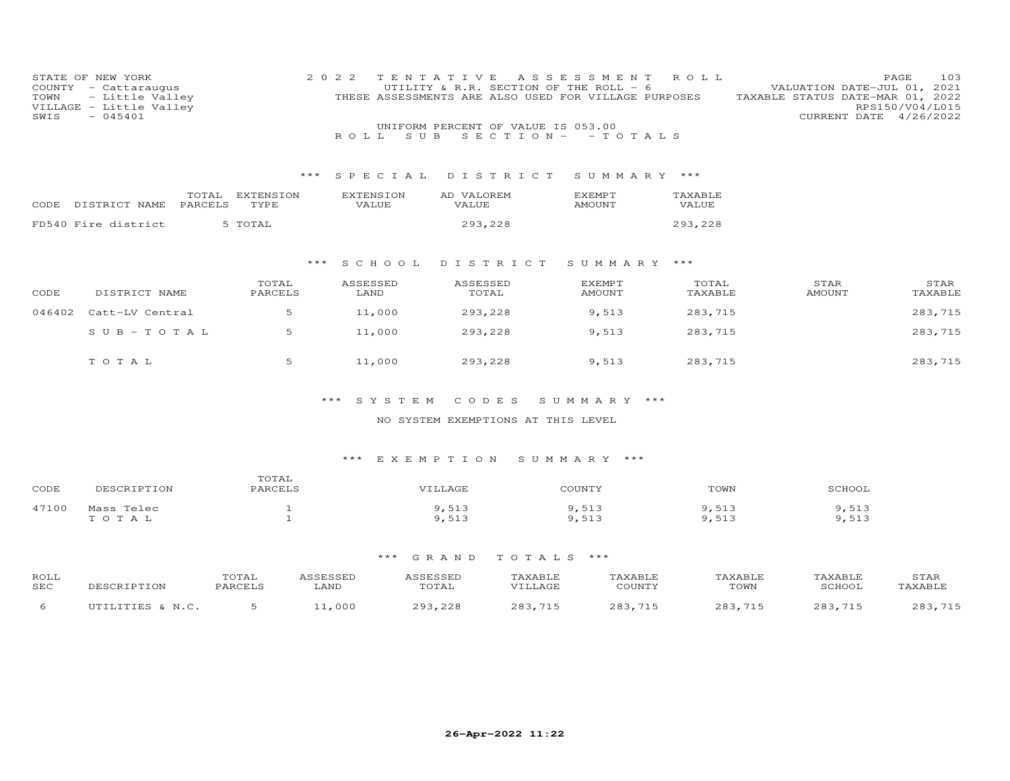| STATE OF NEW YORK<br>COUNTY<br>- Cattaraugus<br>- Little Valley<br>TOWN<br>VILLAGE - Little Valley<br>$-045401$<br>SWIS |                                        |                   | 2 0 2 2<br>S U B<br>ROLL  | TENTATIVE<br>UTILITY & R.R. SECTION OF THE ROLL - 6<br>THESE ASSESSMENTS ARE ALSO USED FOR VILLAGE PURPOSES<br>UNIFORM PERCENT OF VALUE IS 053.00<br>$S E C T I O N - - T O T A L S$ | A S S E S S M E N T | ROLL             | VALUATION DATE-JUL 01,<br>TAXABLE STATUS DATE-MAR 01, 2022<br>CURRENT DATE 4/26/2022 | 103<br>PAGE<br>2021<br>RPS150/V04/L015 |
|-------------------------------------------------------------------------------------------------------------------------|----------------------------------------|-------------------|---------------------------|--------------------------------------------------------------------------------------------------------------------------------------------------------------------------------------|---------------------|------------------|--------------------------------------------------------------------------------------|----------------------------------------|
|                                                                                                                         |                                        |                   |                           |                                                                                                                                                                                      |                     |                  |                                                                                      |                                        |
|                                                                                                                         |                                        | $***$             | SPECIAL                   | DISTRICT                                                                                                                                                                             | SUMMARY ***         |                  |                                                                                      |                                        |
|                                                                                                                         | TOTAL<br>CODE DISTRICT NAME<br>PARCELS | EXTENSION<br>TYPE | <b>EXTENSION</b><br>VALUE | AD VALOREM<br>VALUE                                                                                                                                                                  | EXEMPT<br>AMOUNT    | TAXABLE<br>VALUE |                                                                                      |                                        |
|                                                                                                                         | FD540 Fire district                    | 5 TOTAL           |                           | 293,228                                                                                                                                                                              |                     | 293,228          |                                                                                      |                                        |
|                                                                                                                         |                                        | ***               | S C H O O L               | DISTRICT                                                                                                                                                                             | SUMMARY ***         |                  |                                                                                      |                                        |
| CODE                                                                                                                    | DISTRICT NAME                          | TOTAL<br>PARCELS  | ASSESSED<br>LAND          | ASSESSED<br>TOTAL                                                                                                                                                                    | EXEMPT<br>AMOUNT    | TOTAL<br>TAXABLE | STAR<br><b>AMOUNT</b>                                                                | STAR<br>TAXABLE                        |
| 046402                                                                                                                  | Catt-LV Central                        | 5                 | 11,000                    | 293,228                                                                                                                                                                              | 9,513               | 283,715          |                                                                                      | 283,715                                |
|                                                                                                                         | $SUB - TO TAL$                         | 5                 | 11,000                    | 293,228                                                                                                                                                                              | 9,513               | 283,715          |                                                                                      | 283,715                                |
|                                                                                                                         | TOTAL                                  | 5                 | 11,000                    | 293,228                                                                                                                                                                              | 9,513               | 283,715          |                                                                                      | 283,715                                |

# NO SYSTEM EXEMPTIONS AT THIS LEVEL

# \*\*\* E X E M P T I O N S U M M A R Y \*\*\*

| CODE  | DESCRIPTION | TOTAL<br><b>PARCELS</b> | 7ILLAGE | COUNTY                    | TOWN | SCHOOL                |
|-------|-------------|-------------------------|---------|---------------------------|------|-----------------------|
| 47100 | Mass Telec  |                         | 9,513   | 51<br>$\Omega$<br>د ⊥ ب ′ | ,513 | <b>F10</b><br>د ⊥ ب ⁄ |
|       | TOTAL       |                         | 9,513   | $Q$ $512$<br>د ⊥ ب ⁄      | ,513 | ,513                  |

| ROLL<br>SEC | TOTAL<br>コロロロエ | <b>ACCECCEP</b><br>.<br>LAND | TOTAL              | AXABLE<br>⊺ ™ AGE | AXABLF<br>CCTINTTMZ | AXABLE<br>TOWN | TAXABLE<br>SCHOOL | STAR                                |
|-------------|----------------|------------------------------|--------------------|-------------------|---------------------|----------------|-------------------|-------------------------------------|
|             |                | 1,000                        | ററാ<br><u> ລວຊ</u> |                   |                     | つのつ            | 202               | <b>715</b><br>$\cap$ $\cap$ $\cdot$ |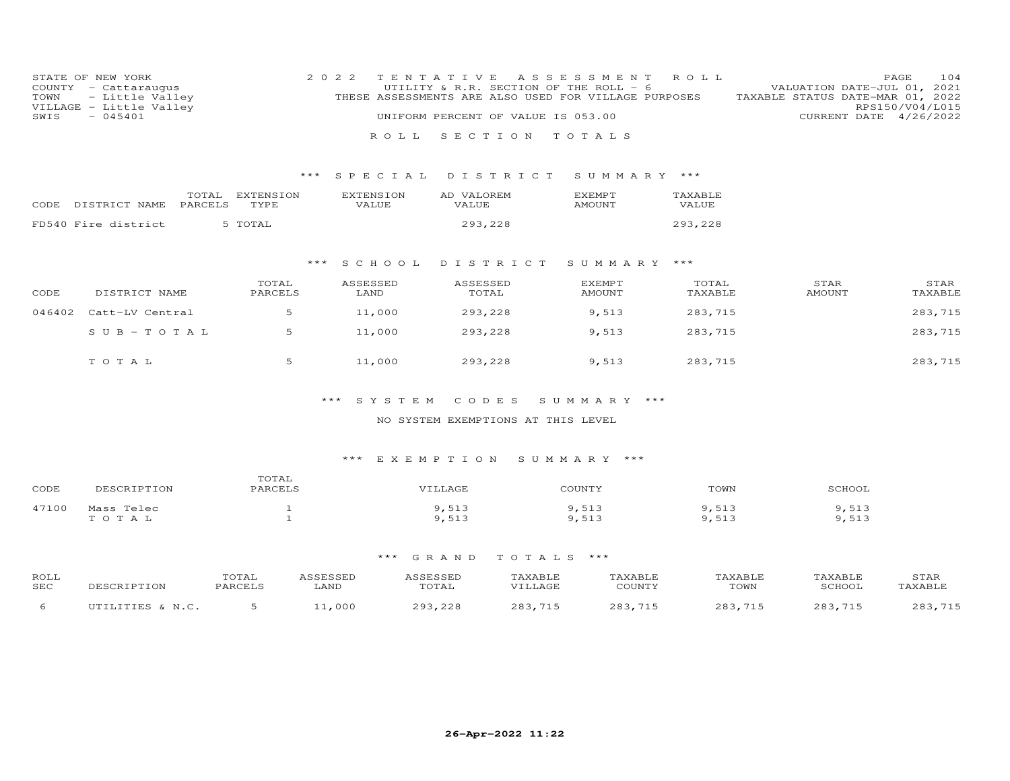| COUNTY<br>TOWN<br>SWIS | STATE OF NEW YORK<br>- Cattaraugus<br>- Little Valley<br>VILLAGE - Little Valley<br>$-045401$ |                   | 2 0 2 2                   | T E N T A T T V E<br>UTILITY & R.R. SECTION OF THE ROLL - 6<br>THESE ASSESSMENTS ARE ALSO USED FOR VILLAGE PURPOSES<br>UNIFORM PERCENT OF VALUE IS 053.00 | A S S E S S M E N T            | ROLL             | VALUATION DATE-JUL 01, 2021<br>TAXABLE STATUS DATE-MAR 01, 2022<br>CURRENT DATE 4/26/2022 | 104<br>PAGE<br>RPS150/V04/L015 |
|------------------------|-----------------------------------------------------------------------------------------------|-------------------|---------------------------|-----------------------------------------------------------------------------------------------------------------------------------------------------------|--------------------------------|------------------|-------------------------------------------------------------------------------------------|--------------------------------|
|                        |                                                                                               |                   | R O L L                   | SECTION                                                                                                                                                   | TOTALS                         |                  |                                                                                           |                                |
|                        |                                                                                               | ***               | SPECIAL                   | DISTRICT                                                                                                                                                  | SUMMARY ***                    |                  |                                                                                           |                                |
| CODE                   | TOTAL<br>PARCELS<br>DISTRICT NAME                                                             | EXTENSION<br>TYPE | <b>EXTENSION</b><br>VALUE | AD VALOREM<br>VALUE                                                                                                                                       | <b>EXEMPT</b><br><b>AMOUNT</b> | TAXABLE<br>VALUE |                                                                                           |                                |
|                        | FD540 Fire district                                                                           | 5 TOTAL           |                           | 293,228                                                                                                                                                   |                                | 293,228          |                                                                                           |                                |
|                        |                                                                                               | * * *             | SCHOOL                    | DISTRICT                                                                                                                                                  | SUMMARY                        | ***              |                                                                                           |                                |
| CODE                   | DISTRICT NAME                                                                                 | TOTAL<br>PARCELS  | ASSESSED<br>LAND          | ASSESSED<br>TOTAL                                                                                                                                         | EXEMPT<br>AMOUNT               | TOTAL<br>TAXABLE | STAR<br>AMOUNT                                                                            | STAR<br>TAXABLE                |
| 046402                 | Catt-LV Central                                                                               | 5                 | 11,000                    | 293,228                                                                                                                                                   | 9,513                          | 283,715          |                                                                                           | 283,715                        |
|                        | $SUB - TO TAL$                                                                                | 5                 | 11,000                    | 293,228                                                                                                                                                   | 9,513                          | 283,715          |                                                                                           | 283,715                        |
|                        | TOTAL                                                                                         | 5                 | 11,000                    | 293,228                                                                                                                                                   | 9,513                          | 283,715          |                                                                                           | 283,715                        |

### NO SYSTEM EXEMPTIONS AT THIS LEVEL

### \*\*\* E X E M P T I O N S U M M A R Y \*\*\*

| CODE  | DESCRIPTION | TOTAL<br><b>PARCELS</b> | 7ILLAGE | COUNTY                    | TOWN | SCHOOL                |
|-------|-------------|-------------------------|---------|---------------------------|------|-----------------------|
| 47100 | Mass Telec  |                         | 9,513   | 51<br>$\Omega$<br>د ⊥ ب ′ | ,513 | <b>F10</b><br>د ⊥ ب ⁄ |
|       | TOTAL       |                         | 9,513   | $Q$ $512$<br>د ⊥ ب ⁄      | ,513 | ,513                  |

| ROLL<br>SEC | DESCRIPTION      | <b>OTAL</b><br>PARCELS | ASSESSED<br>LAND | ASSESSED<br>TOTAL | TAXABLE<br>VILLAGE | TAXABLE<br>COUNTY | TAXABLE<br>TOWN | TAXABLE<br>SCHOOL | STAR<br>TAXABLE |
|-------------|------------------|------------------------|------------------|-------------------|--------------------|-------------------|-----------------|-------------------|-----------------|
|             | UTILITIES & N.C. |                        | 11,000           | 293,228           | 283,715            | $283$<br>715      | 283,715         | 283,715           | つのつ<br>715      |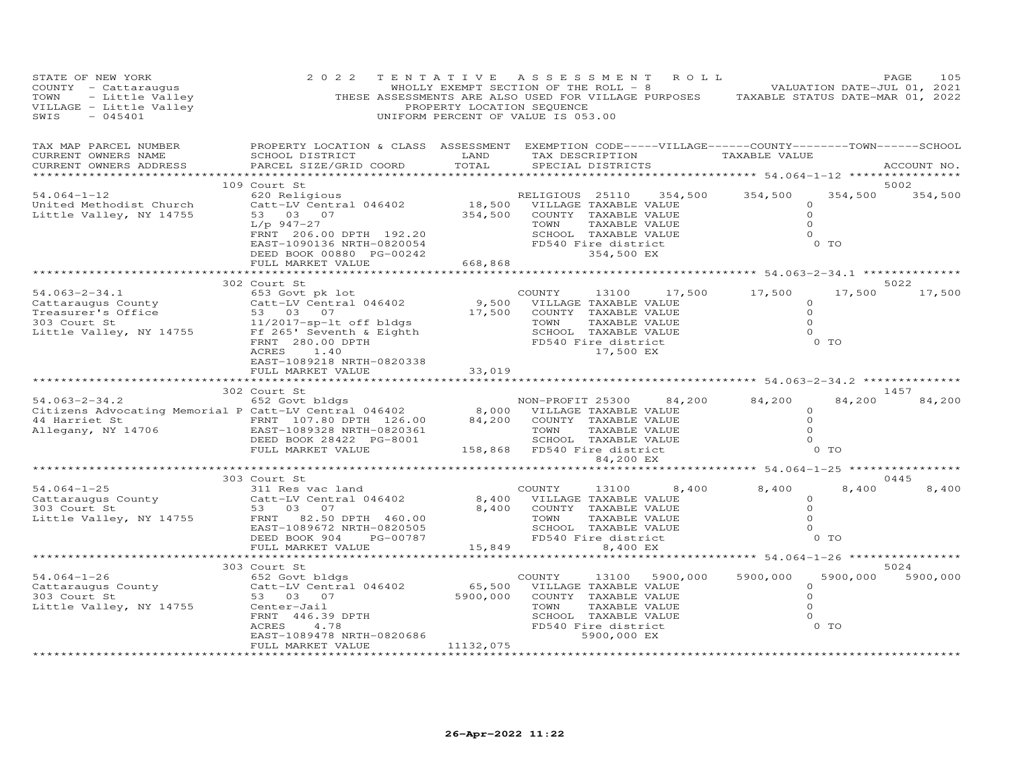| PAGE 105<br>COUNTY - Cattaraugus 2022 TENTATIVE ASSESSMENT ROLL -8<br>THESE ASSESSMENT SECTION OF THE ROLL -8<br>THESE ASSESSMENTS ARE AND THE ROLL -8<br>THESE ASSESSMENT SECTION OF THE ROLL -8<br>VALUATION DATE-JUL 01, 2021<br>THESE                                                                                                                                                                                |                                                                                                                                                                                                                                                    |                   |           |                                                                                      |                          |                         |
|--------------------------------------------------------------------------------------------------------------------------------------------------------------------------------------------------------------------------------------------------------------------------------------------------------------------------------------------------------------------------------------------------------------------------|----------------------------------------------------------------------------------------------------------------------------------------------------------------------------------------------------------------------------------------------------|-------------------|-----------|--------------------------------------------------------------------------------------|--------------------------|-------------------------|
| TAX MAP PARCEL NUMBER THE PROPERTY LOCATION & CLASS ASSESSMENT EXEMPTION CODE-----VILLAGE------COUNTY-------TOWN------SCHOOL<br>CURRENT OWNERS NAME<br>CURRENT OWNERS ADDRESS                                                                                                                                                                                                                                            |                                                                                                                                                                                                                                                    |                   |           |                                                                                      |                          | ACCOUNT NO.             |
| 54.064-1-12<br>United Methodist Church<br>Little Valley, NY 14755                                                                                                                                                                                                                                                                                                                                                        | 109 Court St<br>Court St<br>620 RELIGIOUS 25110 354,500 354,500 354,500 354,500 354<br>620 RELIGIOUS 25110 354,500 354,500 354,500 354,500 354,500 354,500 354,500 354,500 354,500 354,500 354,500 354,500 354,500 354,500 354,500 354,500 354,500 |                   |           |                                                                                      |                          | 5002<br>354,500 354,500 |
|                                                                                                                                                                                                                                                                                                                                                                                                                          |                                                                                                                                                                                                                                                    |                   |           |                                                                                      |                          |                         |
|                                                                                                                                                                                                                                                                                                                                                                                                                          | 302 Court St                                                                                                                                                                                                                                       |                   |           |                                                                                      |                          | 5022                    |
| $\begin{tabular}{lllllllllllllllllll} \textbf{54.063--2-34.1} & & & 302 \text{ Court St} & & & \text{COUNITY} & 13100 & 17,500 & 17,500 \\ \textbf{Cattaraugus County} & & & 653 \text{ Govv Central 046402} & & & 9,500 & \text{VILLAGE TaxABLE VALUE} & 0 \\ \textbf{Treesure's Office} & & & 53 & 03 & 07 & & & 17,500 & \text{COUNTY}} & \textbf{TXABLE VALUE} & 0 \\ \textbf{Dist CeV. St} & & & & 11/2017-sp-lt \$ |                                                                                                                                                                                                                                                    |                   |           |                                                                                      | $0$ TO                   | 17,500 17,500           |
|                                                                                                                                                                                                                                                                                                                                                                                                                          |                                                                                                                                                                                                                                                    |                   |           |                                                                                      |                          |                         |
|                                                                                                                                                                                                                                                                                                                                                                                                                          | 302 Court St                                                                                                                                                                                                                                       |                   | 84,200 EX |                                                                                      | 84,200<br>0 <sub>T</sub> | 1457<br>84,200          |
|                                                                                                                                                                                                                                                                                                                                                                                                                          |                                                                                                                                                                                                                                                    |                   |           |                                                                                      |                          |                         |
| $\begin{array}{lllllllllllllllllll} \text{54.064--1-25} & & & & & 303 \text{ Court St} & & & & \text{COUNTY} & 13100 & 8,400 & 8,400 \\ \text{Cattaraugus County} & & & & & 311 \text{ Res vac land} & & & & & 8,400 & \text{VILLLAGE TAXABLE VALUE} & & & & & 53 & 03 & 07 & & & 8,400 & \text{TOUNTY TAXABLE VALUE} & & & & & 53 & 03 & 07 & & & 8,400 & \text{TOUNTY TAXABLE VALUE} & & & & & & 53 & 03 & 07$         | 303 Court St                                                                                                                                                                                                                                       |                   |           | $8,400$ $8,400$<br>$\circ$<br>$\overline{0}$<br>$\overline{0}$<br>$\overline{0}$     | 8,400<br>$0$ TO          | 0445<br>8,400           |
|                                                                                                                                                                                                                                                                                                                                                                                                                          |                                                                                                                                                                                                                                                    |                   |           |                                                                                      |                          |                         |
|                                                                                                                                                                                                                                                                                                                                                                                                                          | ************************                                                                                                                                                                                                                           |                   |           |                                                                                      |                          | 5024                    |
|                                                                                                                                                                                                                                                                                                                                                                                                                          | FULL MARKET VALUE                                                                                                                                                                                                                                  | 11132,075         |           | COUNTY 13100 5900,000 5900,000<br>$\Omega$<br>$\overline{O}$<br>$\Omega$<br>$\Omega$ | 0 TO                     | 5900,000 5900,000       |
|                                                                                                                                                                                                                                                                                                                                                                                                                          |                                                                                                                                                                                                                                                    | ***************** |           |                                                                                      |                          |                         |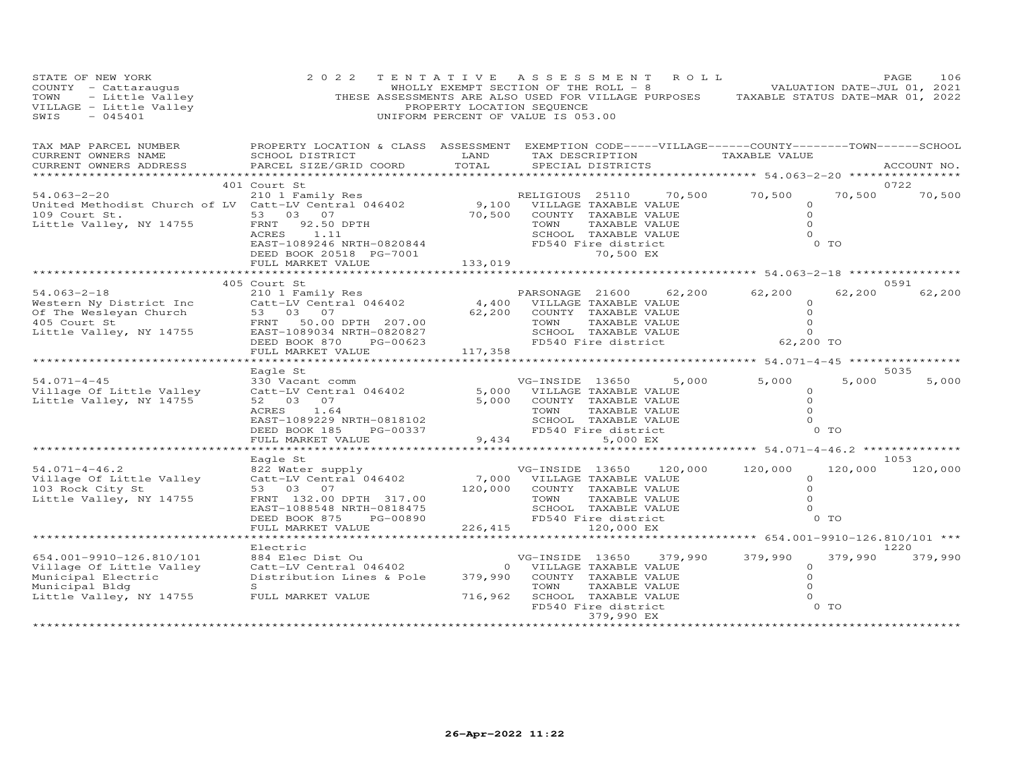| STATE OF NEW YORK<br>COUNTY - Cattaraugus<br>TOWN - Little Valley<br>VILLAGE - Little Valley<br>SWIS - 045401           | 2 0 2 2<br>THESE ASSESSMENTS ARE ALSO USED FOR VILLAGE PURPOSES TAXABLE STATUS DATE-MAR 01, 2022                                                                  | TENTATIVE ASSESSMENT<br>WHOLLY EXEMPT SECTION OF THE ROLL - 8<br>PROPERTY LOCATION SEQUENCE<br>UNIFORM PERCENT OF VALUE IS 053.00 |                                                                                       |                                                                                                                           | ROLL    |                                                                                        |                 | 106<br>PAGE<br>VALUATION DATE-JUL 01, 2021 |
|-------------------------------------------------------------------------------------------------------------------------|-------------------------------------------------------------------------------------------------------------------------------------------------------------------|-----------------------------------------------------------------------------------------------------------------------------------|---------------------------------------------------------------------------------------|---------------------------------------------------------------------------------------------------------------------------|---------|----------------------------------------------------------------------------------------|-----------------|--------------------------------------------|
| TAX MAP PARCEL NUMBER<br>CURRENT OWNERS NAME<br>CURRENT OWNERS ADDRESS<br>*************                                 | PROPERTY LOCATION & CLASS ASSESSMENT EXEMPTION CODE-----VILLAGE------COUNTY--------TOWN------SCHOOL<br>SCHOOL DISTRICT<br>PARCEL SIZE/GRID COORD                  | LAND<br>TOTAL                                                                                                                     |                                                                                       | SPECIAL DISTRICTS                                                                                                         |         | TAX DESCRIPTION TAXABLE VALUE<br>$x*********************$ 54.063-2-20 **************** |                 | ACCOUNT NO.                                |
| $54.063 - 2 - 20$<br>United Methodist Church of LV Catt-LV Central 046402<br>109 Court St.<br>Little Valley, NY 14755   | 401 Court St<br>210 1 Family Res<br>53 03 07<br>92.50 DPTH<br>FRNT<br>ACRES<br>1.11<br>EAST-1089246 NRTH-0820844<br>DEED BOOK 20518 PG-7001<br>FULL MARKET VALUE  | 133,019                                                                                                                           | RELIGIOUS 25110<br>9,100 VILLAGE TAXABLE VALUE<br>70,500 COUNTY TAXABLE VALUE<br>TOWN | TAXABLE VALUE<br>SCHOOL TAXABLE VALUE<br>FD540 Fire district<br>70,500 EX                                                 | 70,500  | 70,500<br>$\circ$<br>$\Omega$<br>$\Omega$<br>$\Omega$                                  | 70,500<br>0 TO  | 0722<br>70,500                             |
|                                                                                                                         | **************************                                                                                                                                        |                                                                                                                                   |                                                                                       |                                                                                                                           |         |                                                                                        |                 |                                            |
| $54.063 - 2 - 18$<br>Western Ny District Inc<br>Of The Wesleyan Church<br>405 Court St                                  | 405 Court St<br>210 1 Family Res<br>Catt-LV Central 046402<br>53 03 07<br>FRNT 50.00 DPTH 207.00                                                                  | 62,200                                                                                                                            | PARSONAGE 21600<br>4,400 VILLAGE TAXABLE VALUE<br>TOWN                                | COUNTY TAXABLE VALUE<br>TAXABLE VALUE                                                                                     | 62,200  | 62,200<br>$\Omega$<br>$\circ$<br>$\circ$                                               | 62,200          | 0591<br>62,200                             |
| Little Valley, NY 14755                                                                                                 | EAST-1089034 NRTH-0820827<br>DEED BOOK 870<br>PG-00623<br>FULL MARKET VALUE                                                                                       | 117,358                                                                                                                           |                                                                                       | SCHOOL TAXABLE VALUE<br>FD540 Fire district                                                                               |         | $\Omega$<br>62,200 TO                                                                  |                 |                                            |
|                                                                                                                         | *******************                                                                                                                                               |                                                                                                                                   |                                                                                       |                                                                                                                           |         |                                                                                        |                 |                                            |
| $54.071 - 4 - 45$<br>Village Of Little Valley<br>Little Valley, NY 14755                                                | Eagle St<br>330 Vacant comm<br>Catt-LV Central 046402<br>52 03 07<br>ACRES<br>1.64<br>EAST-1089229 NRTH-0818102<br>DEED BOOK 185<br>PG-00337<br>FULL MARKET VALUE | 5,000<br>5,000<br>9,434                                                                                                           | VG-INSIDE 13650<br>TOWN                                                               | VILLAGE TAXABLE VALUE<br>COUNTY TAXABLE VALUE<br>TAXABLE VALUE<br>SCHOOL TAXABLE VALUE<br>FD540 Fire district<br>5,000 EX | 5,000   | 5,000<br>$\Omega$<br>$\Omega$<br>$\Omega$<br>$\Omega$                                  | 5,000<br>$0$ TO | 5035<br>5,000                              |
|                                                                                                                         |                                                                                                                                                                   | *********                                                                                                                         |                                                                                       |                                                                                                                           |         | ********** 54.071-4-46.2 ************                                                  |                 |                                            |
| $54.071 - 4 - 46.2$<br>Village Of Little Valley<br>103 Rock City St<br>Little Valley, NY 14755                          | Eagle St<br>822 Water supply<br>Catt-LV Central 046402<br>53 03 07<br>FRNT 132.00 DPTH 317.00<br>EAST-1088548 NRTH-0818475                                        | 120,000                                                                                                                           | VG-INSIDE 13650<br>7,000 VILLAGE TAXABLE VALUE<br>TOWN                                | COUNTY TAXABLE VALUE<br>TAXABLE VALUE<br>SCHOOL TAXABLE VALUE                                                             | 120,000 | 120,000<br>$\circ$<br>$\Omega$<br>$\Omega$<br>$\circ$                                  | 120,000         | 1053<br>120,000                            |
|                                                                                                                         | DEED BOOK 875<br>PG-00890<br>FULL MARKET VALUE<br>******************                                                                                              | 226,415                                                                                                                           |                                                                                       | FD540 Fire district<br>120,000 EX                                                                                         |         |                                                                                        | $0$ TO          |                                            |
|                                                                                                                         | Electric                                                                                                                                                          |                                                                                                                                   |                                                                                       |                                                                                                                           |         |                                                                                        |                 | 1220                                       |
| 654.001-9910-126.810/101<br>Village Of Little Valley<br>Municipal Electric<br>Municipal Bldg<br>Little Valley, NY 14755 | 884 Elec Dist Ou<br>Catt-LV Central 046402<br>Distribution Lines & Pole<br>S<br>FULL MARKET VALUE                                                                 | 379,990<br>716,962                                                                                                                | VG-INSIDE 13650<br>0 VILLAGE TAXABLE VALUE<br>TOWN                                    | COUNTY TAXABLE VALUE<br>TAXABLE VALUE<br>SCHOOL TAXABLE VALUE                                                             | 379,990 | 379,990<br>$\circ$<br>$\circ$<br>$\circ$<br>$\Omega$                                   | 379,990         | 379,990                                    |
|                                                                                                                         |                                                                                                                                                                   |                                                                                                                                   |                                                                                       | FD540 Fire district<br>379,990 EX                                                                                         |         |                                                                                        | 0 <sub>T</sub>  |                                            |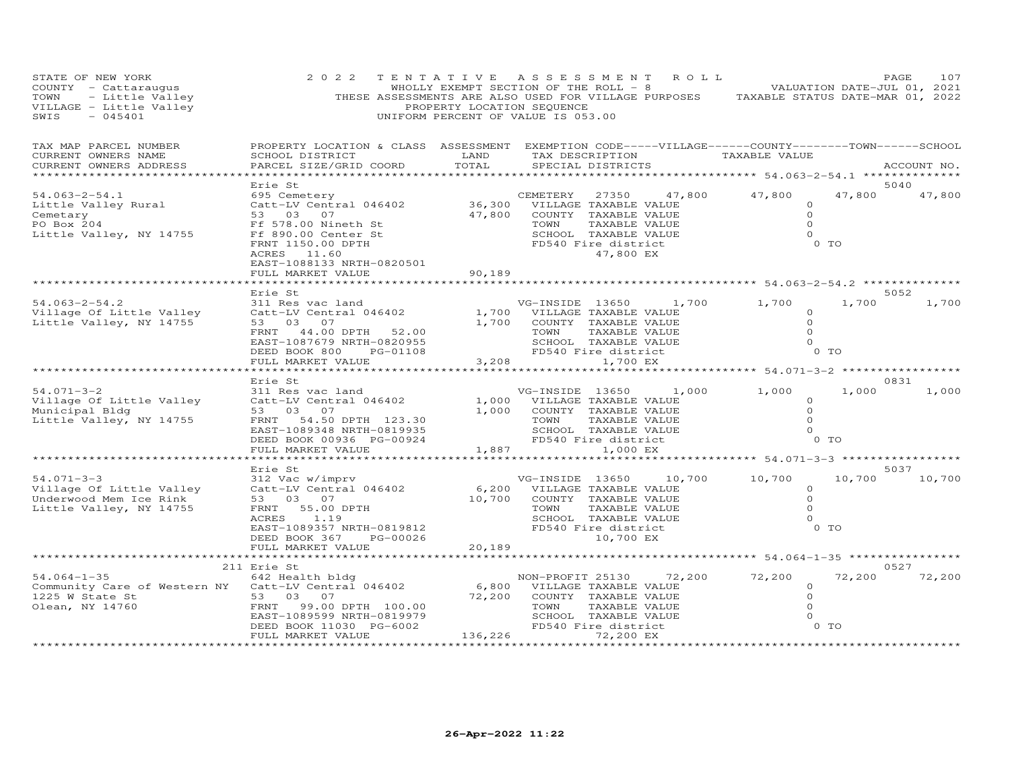| STATE OF NEW YORK<br>Contractions of the Contract of The Contract of The Contract of The Contract of The Contract of The Contract of The Contract of The Contract of The Contract of The Contract of The Contract of The Contract of The Contract o | 2 0 2 2<br>THESE ASSESSMENTS ARE ALSO USED FOR VILLAGE PURPOSES TAXABLE STATUS DATE-MAR 01, 2022                                                                  | TENTATIVE ASSESSMENT ROLL<br>PROPERTY LOCATION SEQUENCE<br>UNIFORM PERCENT OF VALUE IS 053.00 |                                                                                                                                       |                            |                               | WHOLLY EXEMPT SECTION OF THE ROLL - 8 VALUATION DATE-JUL 01, 2021 |                  | 107<br>PAGE   |
|-----------------------------------------------------------------------------------------------------------------------------------------------------------------------------------------------------------------------------------------------------|-------------------------------------------------------------------------------------------------------------------------------------------------------------------|-----------------------------------------------------------------------------------------------|---------------------------------------------------------------------------------------------------------------------------------------|----------------------------|-------------------------------|-------------------------------------------------------------------|------------------|---------------|
| TAX MAP PARCEL NUMBER<br>CURRENT OWNERS NAME<br>CURRENT OWNERS ADDRESS<br>************************                                                                                                                                                  | PROPERTY LOCATION & CLASS ASSESSMENT EXEMPTION CODE-----VILLAGE------COUNTY--------TOWN------SCHOOL<br>SCHOOL DISTRICT<br>PARCEL SIZE/GRID COORD                  | LAND<br>TOTAL                                                                                 | SPECIAL DISTRICTS                                                                                                                     |                            |                               | TAX DESCRIPTION TAXABLE VALUE                                     |                  | ACCOUNT NO.   |
|                                                                                                                                                                                                                                                     | Erie St                                                                                                                                                           |                                                                                               |                                                                                                                                       |                            |                               |                                                                   |                  | 5040          |
| $54.063 - 2 - 54.1$<br>Little Valley Rural<br>Cemetary<br>PO Box 204<br>Little Valley, NY 14755                                                                                                                                                     | 695 Cemetery<br>Catt-LV Central 046402<br>53 03 07<br>Ff 578.00 Nineth St<br>Ff 890.00 Center St<br>FRNT 1150.00 DPTH<br>ACRES 11.60<br>EAST-1088133 NRTH-0820501 | CEMETERY 27350 47,<br>36,300 VILLAGE TAXABLE VALUE                                            | 47,800 COUNTY TAXABLE VALUE<br>TOWN<br>SCHOOL TAXABLE VALUE<br>FD540 Fire district                                                    | TAXABLE VALUE<br>47,800 EX | 47,800                        | 47,800<br>$\circ$<br>$\circ$<br>$\Omega$<br>$\Omega$              | 47,800<br>$0$ TO | 47,800        |
|                                                                                                                                                                                                                                                     | FULL MARKET VALUE                                                                                                                                                 | 90, 189                                                                                       |                                                                                                                                       |                            |                               |                                                                   |                  |               |
|                                                                                                                                                                                                                                                     | Erie St                                                                                                                                                           |                                                                                               |                                                                                                                                       |                            |                               |                                                                   |                  | 5052          |
| $54.063 - 2 - 54.2$<br>Village Of Little Valley<br>Little Valley, NY 14755                                                                                                                                                                          | 311 Res vac land<br>Catt-LV Central 046402<br>53 03 07<br>44.00 DPTH 52.00<br>FRNT<br>EAST-1087679 NRTH-0820955<br>DEED BOOK 800<br>PG-01108                      |                                                                                               | VG-INSIDE 13650<br>1,700 VILLAGE TAXABLE VALUE<br>1,700 COUNTY TAXABLE VALUE<br>TOWN<br>FD540 Fire district<br>3,208                  | TAXABLE VALUE              | 1,700<br>SCHOOL TAXABLE VALUE | 1,700<br>$\circ$<br>$\overline{0}$<br>$\Omega$<br>$\Omega$        | 1,700<br>$0$ TO  | 1,700         |
|                                                                                                                                                                                                                                                     | FULL MARKET VALUE                                                                                                                                                 | *********                                                                                     |                                                                                                                                       | 1,700 EX                   |                               | ****************************** 54.071-3-2 ****************        |                  |               |
| $54.071 - 3 - 2$<br>Village Of Little Valley<br>Municipal Bldg<br>Little Valley, NY 14755                                                                                                                                                           | Erie St<br>311 Res vac land<br>Catt-LV Central 046402<br>53 03 07<br>FRNT 54.50 DPTH 123.30<br>EAST-1089348 NRTH-0819935<br>DEED BOOK 00936 PG-00924              |                                                                                               | 1,000 VILLAGE TAXABLE VALUE<br>1,000 COUNTY TAXABLE VALUE<br>TOWN<br>SCHOOL TAXABLE VALUE<br>FD540 Fire district                      | TAXABLE VALUE              | VG-INSIDE 13650 1,000         | 1,000<br>$\Omega$<br>$\circ$<br>$\circ$<br>$\Omega$               | 1,000<br>$0$ TO  | 0831<br>1,000 |
|                                                                                                                                                                                                                                                     | FULL MARKET VALUE                                                                                                                                                 | 1,887                                                                                         |                                                                                                                                       | 1,000 EX                   |                               |                                                                   |                  |               |
|                                                                                                                                                                                                                                                     | Erie St                                                                                                                                                           |                                                                                               |                                                                                                                                       |                            |                               |                                                                   |                  | 5037          |
| $54.071 - 3 - 3$<br>Village Of Little Valley<br>Underwood Mem Ice Rink<br>Little Valley, NY 14755                                                                                                                                                   | 312 Vac w/imprv<br>Catt-LV Central 046402<br>53 03 07<br>FRNT<br>55.00 DPTH<br>ACRES<br>1.19<br>EAST-1089357 NRTH-0819812                                         |                                                                                               | VG-INSIDE 13650<br>6,200 VILLAGE TAXABLE VALUE<br>10,700 COUNTY TAXABLE VALUE<br>TOWN<br>SCHOOL TAXABLE VALUE<br>FD540 Fire district  | TAXABLE VALUE              | 10,700                        | 10,700<br>$\circ$<br>$\circ$<br>$\circ$<br>$\Omega$               | 10,700<br>$0$ TO | 10,700        |
|                                                                                                                                                                                                                                                     | DEED BOOK 367<br>PG-00026<br>FULL MARKET VALUE                                                                                                                    | 20,189                                                                                        |                                                                                                                                       | 10,700 EX                  |                               |                                                                   |                  |               |
|                                                                                                                                                                                                                                                     | ******                                                                                                                                                            |                                                                                               |                                                                                                                                       |                            |                               | ********** 54.064-1-35 **************                             |                  |               |
|                                                                                                                                                                                                                                                     | 211 Erie St                                                                                                                                                       |                                                                                               |                                                                                                                                       |                            |                               |                                                                   |                  | 0527          |
| $54.064 - 1 - 35$<br>Community Care of Western NY Catt-LV Central 046402<br>1225 W State St 53 03 07<br>1225 W State St<br>Olean, NY 14760                                                                                                          | 642 Health bldg<br>53 03 07<br>FRNT 99.00 DPTH 100.00<br>EAST-1089599 NRTH-0819979<br>DEED BOOK 11030 PG-6002                                                     |                                                                                               | NON-PROFIT 25130<br>6,800 VILLAGE TAXABLE VALUE<br>72,200 COUNTY TAXABLE VALUE<br>TOWN<br>SCHOOL TAXABLE VALUE<br>FD540 Fire district | TAXABLE VALUE              | 72,200                        | 72,200<br>$\circ$<br>$\circ$<br>$\circ$<br>$\circ$                | 72,200<br>0 TO   | 72,200        |
|                                                                                                                                                                                                                                                     | FULL MARKET VALUE                                                                                                                                                 | 136,226                                                                                       |                                                                                                                                       | 72,200 EX                  |                               |                                                                   |                  |               |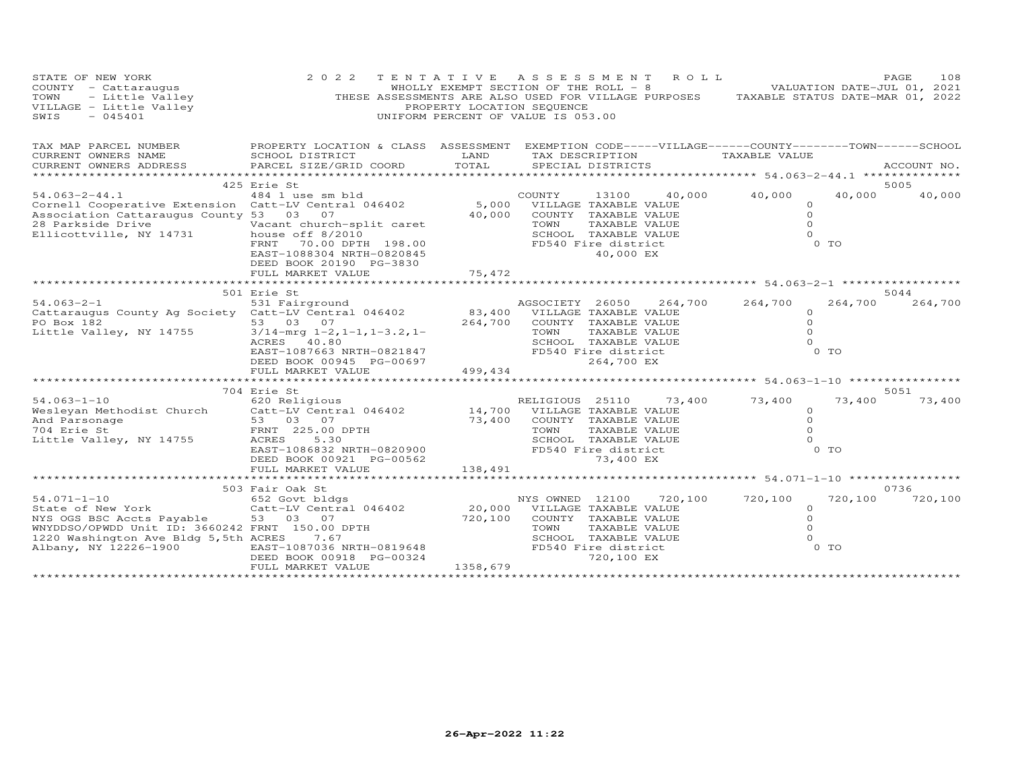| STATE OF NEW YORK<br>COUNTY - Cattaraugus<br>- Little Valley<br>TOWN<br>VILLAGE - Little Valley<br>SWIS<br>$-045401$                                                               | 2 0 2 2                                                                                                                                                                                      | TENTATIVE<br>PROPERTY LOCATION SEQUENCE | A S S E S S M E N T<br>WHOLLY EXEMPT SECTION OF THE ROLL - 8<br>THESE ASSESSMENTS ARE ALSO USED FOR VILLAGE PURPOSES TAXABLE STATUS DATE-MAR 01, 2022<br>UNIFORM PERCENT OF VALUE IS 053.00 | ROLL<br>VALUATION DATE-JUL 01, 2021 |                                                                        | 108<br>PAGE    |
|------------------------------------------------------------------------------------------------------------------------------------------------------------------------------------|----------------------------------------------------------------------------------------------------------------------------------------------------------------------------------------------|-----------------------------------------|---------------------------------------------------------------------------------------------------------------------------------------------------------------------------------------------|-------------------------------------|------------------------------------------------------------------------|----------------|
| TAX MAP PARCEL NUMBER<br>CURRENT OWNERS NAME<br>CURRENT OWNERS ADDRESS                                                                                                             | PROPERTY LOCATION & CLASS ASSESSMENT EXEMPTION CODE-----VILLAGE------COUNTY-------TOWN------SCHOOL<br>SCHOOL DISTRICT<br>PARCEL SIZE/GRID COORD                                              | LAND<br>TOTAL                           | TAX DESCRIPTION<br>SPECIAL DISTRICTS                                                                                                                                                        | TAXABLE VALUE                       |                                                                        | ACCOUNT NO.    |
| $54.063 - 2 - 44.1$<br>Cornell Cooperative Extension Catt-LV Central 046402<br>Association Cattaraugus County 53 03 07                                                             | 425 Erie St<br>484 1 use sm bld<br>FRNT<br>70.00 DPTH 198.00<br>EAST-1088304 NRTH-0820845<br>DEED BOOK 20190 PG-3830<br>FULL MARKET VALUE                                                    | 5,000<br>40,000<br>75,472               | COUNTY<br>13100<br>VILLAGE TAXABLE VALUE<br>COUNTY TAXABLE VALUE<br>TOWN<br>TAXABLE VALUE<br>SCHOOL TAXABLE VALUE<br>FD540 Fire district<br>40,000 EX                                       | 40,000<br>40,000                    | 40,000<br>$\circ$<br>$\circ$<br>$\Omega$<br>$\Omega$<br>0 TO           | 5005<br>40,000 |
|                                                                                                                                                                                    | 501 Erie St                                                                                                                                                                                  |                                         |                                                                                                                                                                                             |                                     |                                                                        | 5044           |
| $54.063 - 2 - 1$<br>Cattaraugus County Ag Society Catt-LV Central 046402<br>PO Box 182<br>Little Valley, NY 14755                                                                  | 531 Fairground<br>53 03<br>07<br>$3/14$ -mrg $1-2$ , $1-1$ , $1-3$ . $2$ , $1-$<br>ACRES 40.80<br>EAST-1087663 NRTH-0821847<br>DEED BOOK 00945 PG-00697<br>FULL MARKET VALUE                 | 264,700<br>499,434                      | AGSOCIETY 26050<br>83,400 VILLAGE TAXABLE VALUE<br>COUNTY TAXABLE VALUE<br>TOWN<br>TAXABLE VALUE<br>SCHOOL TAXABLE VALUE<br>FD540 Fire district<br>264,700 EX                               | 264,700<br>264,700                  | 264,700<br>0<br>$\Omega$<br>$\circ$<br>$\Omega$<br>0 TO                | 264,700        |
|                                                                                                                                                                                    |                                                                                                                                                                                              |                                         |                                                                                                                                                                                             |                                     |                                                                        |                |
| $54.063 - 1 - 10$<br>Wesleyan Methodist Church<br>And Parsonage<br>704 Erie St<br>Little Valley, NY 14755                                                                          | 704 Erie St<br>620 Religious<br>Catt-LV Central 046402<br>53 03 07<br>FRNT 225.00 DPTH<br>ACRES<br>5.30<br>EAST-1086832 NRTH-0820900<br>DEED BOOK 00921 PG-00562<br>DEED BOOK 00921 PG-00562 | 73,400                                  | RELIGIOUS 25110<br>14,700 VILLAGE TAXABLE VALUE<br>COUNTY TAXABLE VALUE<br>TOWN<br>TAXABLE VALUE<br>SCHOOL TAXABLE VALUE<br>FD540 Fire district<br>73,400 EX                                | 73,400<br>73,400                    | 73,400<br>$\circ$<br>$\Omega$<br>$\Omega$<br>$\Omega$<br>0 TO          | 5051<br>73,400 |
|                                                                                                                                                                                    | FULL MARKET VALUE<br>**************************                                                                                                                                              | 138,491                                 |                                                                                                                                                                                             |                                     |                                                                        |                |
|                                                                                                                                                                                    | 503 Fair Oak St                                                                                                                                                                              |                                         |                                                                                                                                                                                             |                                     |                                                                        | 0736           |
| 54.071-1-10<br>State of New York<br>NYS OGS BSC Accts Payable<br>WNYDDSO/OPWDD Unit ID: 3660242 FRNT 150.00 DPTH<br>1220 Washington Ave Bldg 5, 5th ACRES<br>Albany, NY 12226-1900 | 652 Govt bldgs<br>Catt-LV Central 046402<br>53 03 07<br>7.67<br>EAST-1087036 NRTH-0819648<br>DEED BOOK 00918 PG-00324                                                                        | 20,000<br>720,100                       | NYS OWNED 12100<br>VILLAGE TAXABLE VALUE<br>COUNTY TAXABLE VALUE<br>TOWN<br>TAXABLE VALUE<br>SCHOOL TAXABLE VALUE<br>FD540 Fire district<br>720,100 EX                                      | 720,100<br>720,100                  | 720,100<br>$\circ$<br>$\circ$<br>$\circ$<br>$\Omega$<br>0 <sub>T</sub> | 720,100        |
|                                                                                                                                                                                    | FULL MARKET VALUE                                                                                                                                                                            | 1358,679                                |                                                                                                                                                                                             |                                     |                                                                        |                |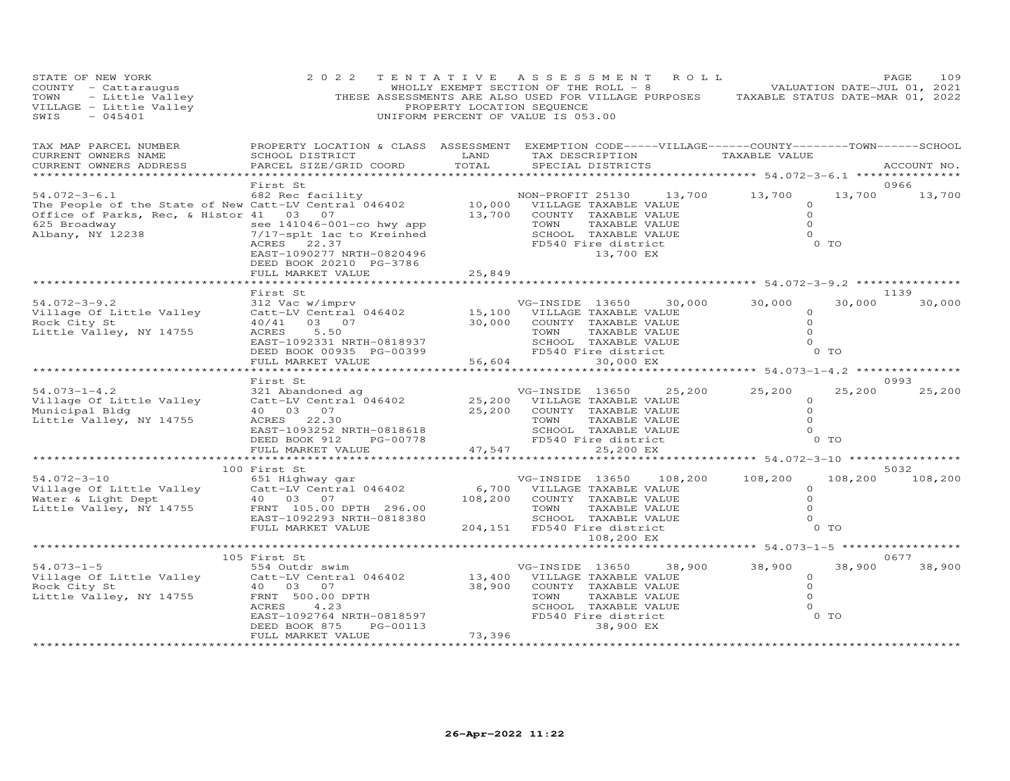| STATE OF NEW YORK<br>COUNTY - Cattaraugus<br>TOWN - Little Valley<br>VILLAGE - Little Valley<br>$-045401$<br>SWIS                                          | 2 0 2 2<br>THESE ASSESSMENTS ARE ALSO USED FOR VILLAGE PURPOSES TAXABLE STATUS DATE-MAR 01, 2022                                                                                                     | TENTATIVE ASSESSMENT ROLL<br>PROPERTY LOCATION SEQUENCE<br>UNIFORM PERCENT OF VALUE IS 053.00 |                                                                                                                                                     |                            |         | WHOLLY EXEMPT SECTION OF THE ROLL - 8 VALUATION DATE-JUL 01, 2021 |                                                               | PAGE<br>109             |
|------------------------------------------------------------------------------------------------------------------------------------------------------------|------------------------------------------------------------------------------------------------------------------------------------------------------------------------------------------------------|-----------------------------------------------------------------------------------------------|-----------------------------------------------------------------------------------------------------------------------------------------------------|----------------------------|---------|-------------------------------------------------------------------|---------------------------------------------------------------|-------------------------|
| TAX MAP PARCEL NUMBER<br>CURRENT OWNERS NAME<br>CURRENT OWNERS ADDRESS                                                                                     | PROPERTY LOCATION & CLASS ASSESSMENT EXEMPTION CODE-----VILLAGE------COUNTY--------TOWN------SCHOOL<br>SCHOOL DISTRICT<br>PARCEL SIZE/GRID COORD                                                     | LAND<br>TOTAL                                                                                 | SPECIAL DISTRICTS                                                                                                                                   |                            |         | TAX DESCRIPTION TAXABLE VALUE                                     |                                                               | ACCOUNT NO.             |
|                                                                                                                                                            |                                                                                                                                                                                                      | **********                                                                                    |                                                                                                                                                     |                            |         | ************ 54.072-3-6.1 ************                            |                                                               |                         |
| $54.072 - 3 - 6.1$<br>The People of the State of New Catt-LV Central 046402<br>Office of Parks, Rec, & Histor 41 03 07<br>625 Broadway<br>Albany, NY 12238 | First St<br>682 Rec facility<br>see 141046-001-co hwy app<br>238 1/17-splt lac to Kreinhed<br>7/17-splt lac to Kreinhed<br>ACRES 22.37<br>EAST-1090277 NRTH-0820496<br>DEED BOOK 20210 PG-3786       | 13,700                                                                                        | 10,000 VILLAGE TAXABLE VALUE<br>COUNTY TAXABLE VALUE<br>TOWN<br>SCHOOL TAXABLE VALUE<br>FD540 Fire district                                         | TAXABLE VALUE<br>13,700 EX |         | NON-PROFIT 25130 13,700 13,700                                    | $\circ$<br>$\circ$<br>$\Omega$<br>$\Omega$<br>0 <sub>T</sub>  | 0966<br>13,700 13,700   |
|                                                                                                                                                            | FULL MARKET VALUE                                                                                                                                                                                    | 25,849                                                                                        |                                                                                                                                                     |                            |         | ********************************* 54.072-3-9.2 ***************    |                                                               |                         |
|                                                                                                                                                            | First St                                                                                                                                                                                             |                                                                                               |                                                                                                                                                     |                            |         |                                                                   |                                                               | 1139                    |
| $54.072 - 3 - 9.2$<br>Village Of Little Valley<br>Rock City St<br>Little Valley, NY 14755                                                                  | 312 Vac w/imprv<br>Catt-LV Central 046402<br>40/41<br>03 07<br>ACRES 5.50<br>EAST-1092331 NRTH-0818937<br>DEED BOOK 00935 PG-00399                                                                   |                                                                                               | VG-INSIDE 13650<br>15,100 VILLAGE TAXABLE VALUE<br>30,000 COUNTY TAXABLE VALUE<br>TOWN<br>SCHOOL TAXABLE VALUE<br>FD540 Fire district               | TAXABLE VALUE              | 30,000  | 30,000                                                            | 30,000<br>$\circ$<br>$\circ$<br>$\Omega$<br>$\circ$<br>$0$ TO | 30,000                  |
|                                                                                                                                                            | FULL MARKET VALUE                                                                                                                                                                                    |                                                                                               | 56,604                                                                                                                                              | 30,000 EX                  |         |                                                                   |                                                               |                         |
|                                                                                                                                                            | **********************                                                                                                                                                                               | ************                                                                                  |                                                                                                                                                     |                            |         | ******************************** 54.073-1-4.2 ***************     |                                                               |                         |
| $54.073 - 1 - 4.2$<br>Village Of Little Valley<br>Municipal Bldg<br>Little Valley, NY 14755                                                                | First St<br>321 Abandoned ag<br>Catt-LV Central 046402<br>40 03 07<br>ACRES 22.30<br>EAST-1093252 NRTH-0818618<br>DEED BOOK 912<br>PG-00778<br>FULL MARKET VALUE                                     | 25,200 VILLAGE TAXABLE VALUE<br>25,200<br>47,547                                              | VG-INSIDE 13650<br>COUNTY TAXABLE VALUE<br>TOWN<br>SCHOOL TAXABLE VALUE<br>FD540 Fire district                                                      | TAXABLE VALUE<br>25,200 EX | 25,200  | 25,200                                                            | 25,200<br>$\circ$<br>$\circ$<br>$\circ$<br>$\circ$<br>$0$ TO  | 0993<br>25,200          |
|                                                                                                                                                            |                                                                                                                                                                                                      |                                                                                               |                                                                                                                                                     |                            |         |                                                                   |                                                               |                         |
| $54.072 - 3 - 10$<br>Village Of Little Valley<br>Water & Light Dept<br>Little Valley, NY 14755                                                             | 100 First St<br>651 Highway gar<br>Catt-LV Central 046402<br>40  03  07<br>FRNT 105.00 DPTH 296.00<br>EAST-1092293 NRTH-0818380<br>FULL MARKET VALUE                                                 |                                                                                               | VG-INSIDE ISSUE VALUE<br>6,700 VILLAGE TAXABLE VALUE<br>108,200 COUNTY TAXABLE VALUE<br>TOWN<br>SCHOOL TAXABLE VALUE<br>204,151 FD540 Fire district | TAXABLE VALUE              | 108,200 | 108,200                                                           | $\circ$<br>$\circ$<br>$\circ$<br>$\Omega$<br>0 TO             | 5032<br>108,200 108,200 |
|                                                                                                                                                            |                                                                                                                                                                                                      |                                                                                               |                                                                                                                                                     | 108,200 EX                 |         | ****************** 54.073-1-5 ******************                  |                                                               |                         |
|                                                                                                                                                            | 105 First St                                                                                                                                                                                         |                                                                                               |                                                                                                                                                     |                            |         |                                                                   |                                                               | 0677                    |
| $54.073 - 1 - 5$<br>Village Of Little Valley<br>Rock City St<br>Little Valley, NY 14755                                                                    | 554 Outdr swim<br>Catt-LV Central 046402<br>40  03  07<br>FRNT 500.00 DPTH<br>ACRES<br>4.23<br>EAST-1092764 NRTH-0818597<br>REED BOOK 875 RG 00113<br>PG-00113<br>DEED BOOK 875<br>FULL MARKET VALUE | 73,396                                                                                        | VG-INSIDE 13650<br>13,400 VILLAGE TAXABLE VALUE<br>38,900 COUNTY TAXABLE VALUE<br>TOWN<br>SCHOOL TAXABLE VALUE<br>FD540 Fire district               | TAXABLE VALUE<br>38,900 EX |         | 38,900 38,900                                                     | 38,900<br>$\circ$<br>$\circ$<br>$\Omega$<br>$\Omega$<br>0 TO  | 38,900                  |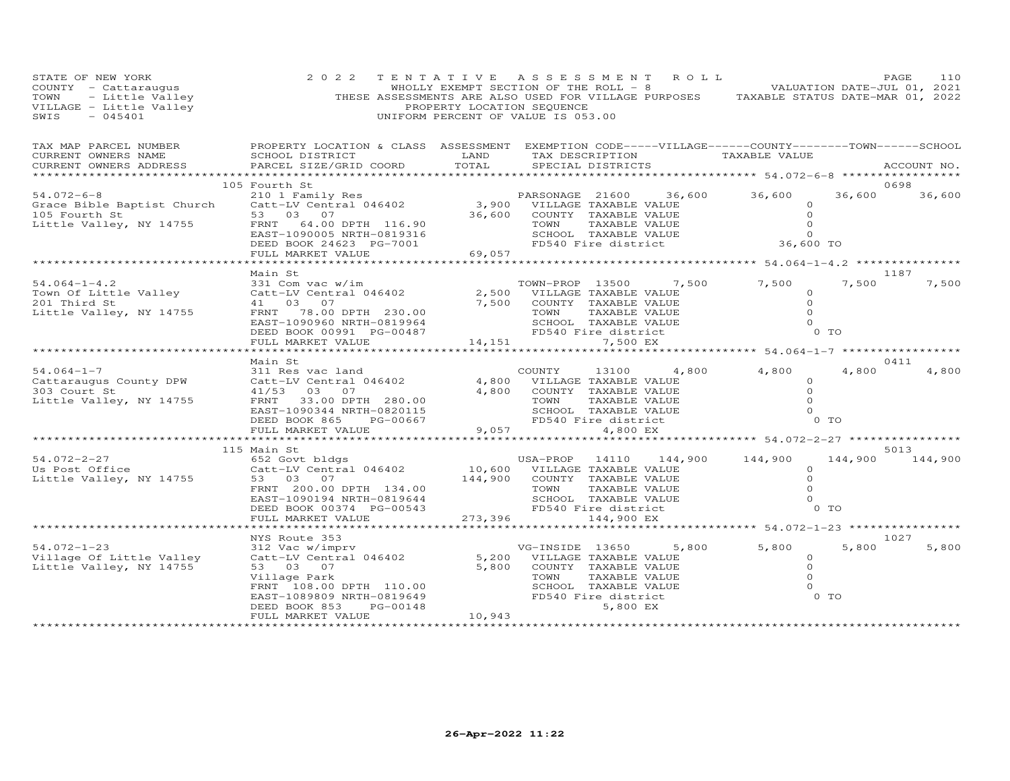| STATE OF NEW YORK<br>STAIE OF NEW IONA<br>COUNTY - Cattaraugus<br>TOWN - Little Valley (THESE ASSESSMENTS ARE ALSO USED FOR VILLAGE PURPOSES TAXABLE STATUS DATE-MAR 01, 2022<br>THESE ASSESSMENTS ARE ALSO USED FOR VILLAGE PURPOSES TAXABLE STATUS DATE | 2 0 2 2                                                                                                                                                                                                                                                                                                                                    |                 |                                                                                     | TENTATIVE ASSESSMENT ROLL                                                                                                                                                   |                                                     |                   | PAGE<br>110           |
|-----------------------------------------------------------------------------------------------------------------------------------------------------------------------------------------------------------------------------------------------------------|--------------------------------------------------------------------------------------------------------------------------------------------------------------------------------------------------------------------------------------------------------------------------------------------------------------------------------------------|-----------------|-------------------------------------------------------------------------------------|-----------------------------------------------------------------------------------------------------------------------------------------------------------------------------|-----------------------------------------------------|-------------------|-----------------------|
| TAX MAP PARCEL NUMBER<br>CURRENT OWNERS NAME<br>CURRENT OWNERS ADDRESS                                                                                                                                                                                    | PROPERTY LOCATION & CLASS ASSESSMENT EXEMPTION CODE-----VILLAGE------COUNTY-------TOWN------SCHOOL<br>SCHOOL DISTRICT<br>PARCEL SIZE/GRID COORD<br>****************************                                                                                                                                                            | LAND<br>TOTAL   | SPECIAL DISTRICTS                                                                   | TAX DESCRIPTION TAXABLE VALUE                                                                                                                                               | *********** 54.072-6-8 ****************             |                   | ACCOUNT NO.           |
| $54.072 - 6 - 8$<br>Grace Bible Baptist Church<br>105 Fourth St<br>Little Valley, NY 14755                                                                                                                                                                | 105 Fourth St<br>210 1 Family Res<br>210 1 Family Res<br>Catt-LV Central 046402 3,900 VILLAGE TAXABLE VALUE<br>36,600 COUNTY TAXABLE VALUE 0<br>36,600 COUNTY TAXABLE VALUE 0<br>36,600 COUNTY TAXABLE VALUE 0<br>FRNT 64.00 DPTH 116.90<br>EAST-1090005 NRTH-0819316<br>DEED BOOK 24623 PG-7001<br>FULL MARKET VALUE<br>ATTERNAMENT VALUE |                 |                                                                                     | TOWN TAXABLE VALUE 0<br>SCHOOL TAXABLE VALUE 0<br>FD540 Fire district 36,600 TO                                                                                             |                                                     |                   | 0698<br>36,600 36,600 |
|                                                                                                                                                                                                                                                           |                                                                                                                                                                                                                                                                                                                                            |                 |                                                                                     |                                                                                                                                                                             |                                                     |                   |                       |
| $54.064 - 1 - 4.2$<br>Town Of Little Valley<br>201 Third St<br>Little Valley, NY 14755                                                                                                                                                                    | Main St<br>331 Com vac w/im<br>Catt-LV Central 046402<br>41 03 07<br>FRNT 78.00 DPTH 230.00<br>EAST-1090960 NRTH-0819964<br>DEED BOOK 00991 PG-00487<br>FULL MARKET VALUE                                                                                                                                                                  |                 | TOWN-PROP 13500                                                                     | 7,500                                                                                                                                                                       | 7,500<br>$\circ$<br>$\circ$<br>$\Omega$<br>$\Omega$ | 7,500<br>$0$ TO   | 1187<br>7,500         |
|                                                                                                                                                                                                                                                           |                                                                                                                                                                                                                                                                                                                                            |                 |                                                                                     |                                                                                                                                                                             |                                                     |                   |                       |
| $54.064 - 1 - 7$<br>Cattaraugus County DPW<br>303 Court St<br>Little Valley, NY 14755                                                                                                                                                                     | Main St<br>311 Res vac land<br>Catt-LV Central 046402<br>41/53 03 07<br>41/53 03 07<br>FRNT 33.00 DPTH 280.00<br>EAST-1090344 NRTH-0820115<br>DEED BOOK 865<br>PG-00667<br>FULL MARKET VALUE                                                                                                                                               | 4,800           | COUNTY<br>4,800 VILLAGE TAXABLE VALUE<br>TOWN<br>9,057                              | 4,800<br>13100<br>COUNTY TAXABLE VALUE<br>TAXABLE VALUE<br>SCHOOL TAXABLE VALUE<br>FD540 Fire district<br>4,800 EX                                                          | 4,800<br>$\circ$<br>$\circ$<br>$\Omega$<br>$\Omega$ | 4,800<br>0 TO     | 0411<br>4,800         |
|                                                                                                                                                                                                                                                           |                                                                                                                                                                                                                                                                                                                                            |                 |                                                                                     | ************************ 54.072-2-27 *************                                                                                                                          |                                                     |                   |                       |
|                                                                                                                                                                                                                                                           | 115 Main St                                                                                                                                                                                                                                                                                                                                |                 |                                                                                     |                                                                                                                                                                             |                                                     |                   | 5013                  |
| 54.072-2-27<br>Us Post Office<br>Little Valley, NY 14755                                                                                                                                                                                                  | 652 Govt bldgs<br>Catt-LV Central 046402<br>53 03 07<br>FRNT 200.00 DPTH 134.00<br>EAST-1090194 NRTH-0819644<br>DEED BOOK 00374 PG-00543                                                                                                                                                                                                   |                 | USA-PROP 14110 144,<br>10,600 VILLAGE TAXABLE VALUE<br>144,900 COUNTY TAXABLE VALUE | USA-PROP 14110 144,900 144,900<br>VILLAGE TAXABLE VALUE<br>COUNTY TAXABLE VALUE<br>TOWN TAXABLE VALUE<br>SCHOOL TAXABLE VALUE<br>FD540 Fire district<br>FD540 Fire district | $\circ$<br>$\Omega$<br>$\Omega$<br>$\Omega$         | 144,900<br>$0$ TO | 144,900               |
|                                                                                                                                                                                                                                                           | FULL MARKET VALUE                                                                                                                                                                                                                                                                                                                          |                 | 273,396 144,900 EX                                                                  |                                                                                                                                                                             | *********** 54.072-1-23 *****************           |                   |                       |
|                                                                                                                                                                                                                                                           | NYS Route 353                                                                                                                                                                                                                                                                                                                              |                 |                                                                                     |                                                                                                                                                                             |                                                     |                   | 1027                  |
| $54.072 - 1 - 23$<br>Village Of Little Valley<br>Little Valley, NY 14755                                                                                                                                                                                  | 312 Vac w/imprv<br>312 Vac w/imprv<br>Catt-LV Central 046402<br>5,200 VILLAGE TAXABLE VALUE<br>53 03 07<br>Village Park<br>FRNT 108.00 DPTH 110.00<br>EAST-1089809 NRTH-0819649<br>DEED BOOK 853 PG-00148<br>PG-00148<br>DEED BOOK 853<br>FULL MARKET VALUE                                                                                | 5,800<br>10,943 | TOWN<br>FD540 Fire district                                                         | 5,800<br>COUNTY TAXABLE VALUE<br>TAXABLE VALUE<br>SCHOOL TAXABLE VALUE<br>5,800 EX                                                                                          | 5,800<br>$\circ$<br>$\circ$<br>$\Omega$<br>$\Omega$ | 5,800<br>0 TO     | 5,800                 |
| ***********************                                                                                                                                                                                                                                   |                                                                                                                                                                                                                                                                                                                                            |                 |                                                                                     |                                                                                                                                                                             |                                                     |                   |                       |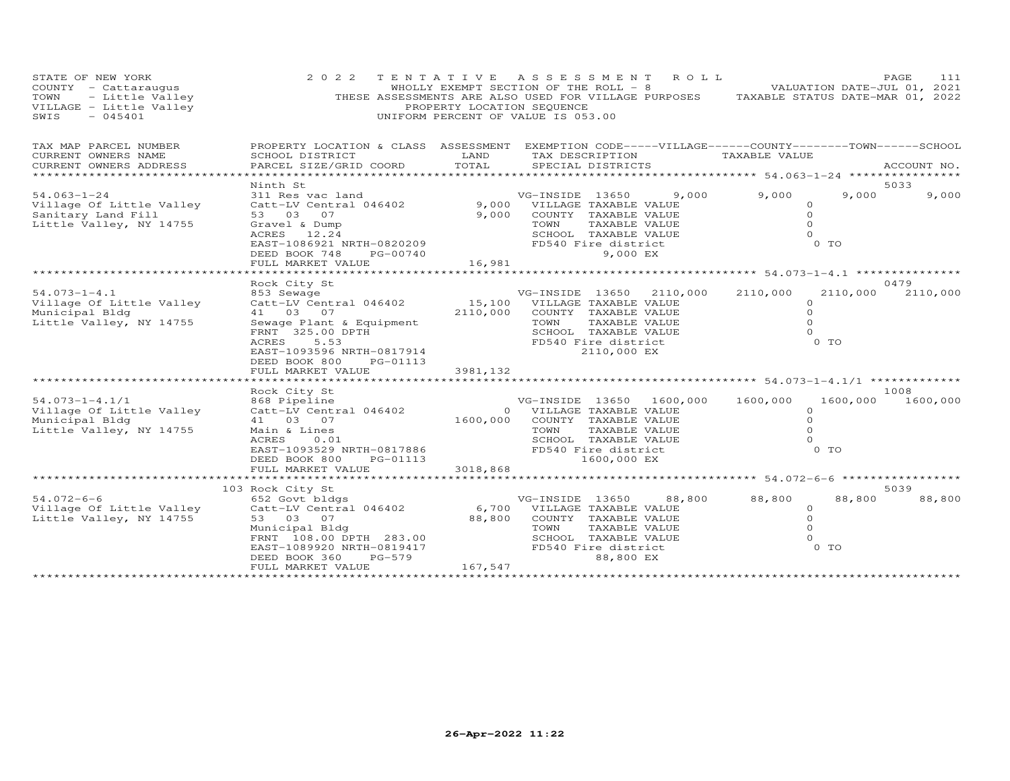| STATE OF NEW YORK<br>COUNTY - Cattaraugus<br>TOWN - Little Valley<br>VILLAGE - Little Valley<br>SWIS - 045401 | 2 0 2 2                                                                                                                                                                                                                                                                     | PROPERTY LOCATION SEQUENCE | TENTATIVE ASSESSMENT ROLL<br>WHOLLY EXEMPT SECTION OF THE ROLL - 8 WALDATION DATE-JUL 01, 2021<br>THESE ASSESSMENTS ARE ALSO USED FOR VILLAGE PURPOSES TAXABLE STATUS DATE-MAR 01, 2022<br>UNIFORM PERCENT OF VALUE IS 053.00                                                    |                                                                                | PAGE<br>111               |
|---------------------------------------------------------------------------------------------------------------|-----------------------------------------------------------------------------------------------------------------------------------------------------------------------------------------------------------------------------------------------------------------------------|----------------------------|----------------------------------------------------------------------------------------------------------------------------------------------------------------------------------------------------------------------------------------------------------------------------------|--------------------------------------------------------------------------------|---------------------------|
| TAX MAP PARCEL NUMBER<br>CURRENT OWNERS NAME<br>CURRENT OWNERS ADDRESS                                        | SCHOOL DISTRICT<br>PARCEL SIZE/GRID COORD                                                                                                                                                                                                                                   | LAND<br>TOTAL              | PROPERTY LOCATION & CLASS ASSESSMENT EXEMPTION CODE-----VILLAGE------COUNTY-------TOWN------SCHOOL<br>TAX DESCRIPTION TAXABLE VALUE<br>SPECIAL DISTRICTS                                                                                                                         |                                                                                | ACCOUNT NO.               |
| $54.063 - 1 - 24$<br>Village Of Little Valley<br>Sanitary Land Fill<br>Little Valley, NY 14755                | Ninth St                                                                                                                                                                                                                                                                    |                            | NINE STRIDE 13650 9,000 9,000<br>31 Res vac land 946402 9,000 VILLAGE TAXABLE VALUE<br>53 03 07 9,000 COUNTY TAXABLE VALUE<br>53 03 07 9,000 COUNTY TAXABLE VALUE<br>STRIDE TOWN TAXABLE VALUE<br>ETEL MORES 12.24 SCHOOL TAXABLE VALUE<br>                                      | $9,000$ $9,000$<br>9,000<br>$\circ$<br>$\Omega$<br>$\circ$<br>$\Omega$<br>0 TO | 5033<br>9,000             |
| $54.073 - 1 - 4.1$<br>Village Of Little Valley<br>Municipal Bldg<br>Little Valley, NY 14755                   | Rock City St<br>853 Sewage<br>Catt-LV Central 046402 15,100 VILLAGE TAXABLE VALUE<br>Catt-LV Central $046402$<br>41 03 07<br>Sewage Plant & Equipment<br>FRNT 325.00 DPTH<br>ACRES 5.53<br>EAST-1093596 NRTH-0817914<br>PE-01113<br>PE-01113<br>FULL MARKET VALUE 3981, 132 |                            | VG-INSIDE 13650 2110,000<br>2110,000 COUNTY TAXABLE VALUE<br>TAXABLE VALUE<br>SCHOOL TAXABLE VALUE<br>FD540 Fire district                                                                                                                                                        | 2110,000<br>$\Omega$<br>$\Omega$<br>$\Omega$<br>$\Omega$<br>$0$ TO             | 0479<br>2110,000 2110,000 |
| $54.073 - 1 - 4.1/1$<br>Village Of Little Valley<br>Municipal Bldg<br>Little Valley, NY 14755                 | EXAMPLA CALC SERVICE 19650 1600,<br>ROCK City Structure 196402<br>Catt-LV Central 046402 1600,000 COUNTY TAXABLE VALUE<br>1600,000 COUNTY TAXABLE VALUE<br>TOWN TAXABLE VALUE                                                                                               |                            | VG-INSIDE 13650 1600,000<br>1600,000<br>COUNTY TAXABLE VALUE<br>ACRES 0.01<br>EAST-1093529 NRTH-0817886<br>DEED BOOK 800 FOS-01113<br>FULL MARKET VALUE<br>FULL MARKET VALUE<br>FULL MARKET VALUE<br>FULL MARKET VALUE<br>FULL MARKET VALUE<br>FOS40 Fire district<br>1600,000 E | 1600,000<br>$\Omega$<br>$\circ$<br>$\Omega$<br>$\circ$<br>O TO                 | 1008<br>1600,000 1600,000 |
| $54.072 - 6 - 6$<br>Village Of Little Valley<br>Little Valley, NY 14755                                       | 103 Rock City St<br>Municipal Bldg<br>FRNT 108.00 DPTH 283.00<br>EAST-1089920 NRTH-0819417<br>DEED BOOK 360 PG-579<br>PG-579<br>DEED BOOK 360<br>FULL MARKET VALUE                                                                                                          | 167,547                    | 88,800<br>FD540 Fire district<br>88,800 EX                                                                                                                                                                                                                                       | 88,800<br>88,800<br>$\circ$<br>$\circ$<br>$\circ$<br>$\Omega$<br>$0$ TO        | 5039<br>88,800            |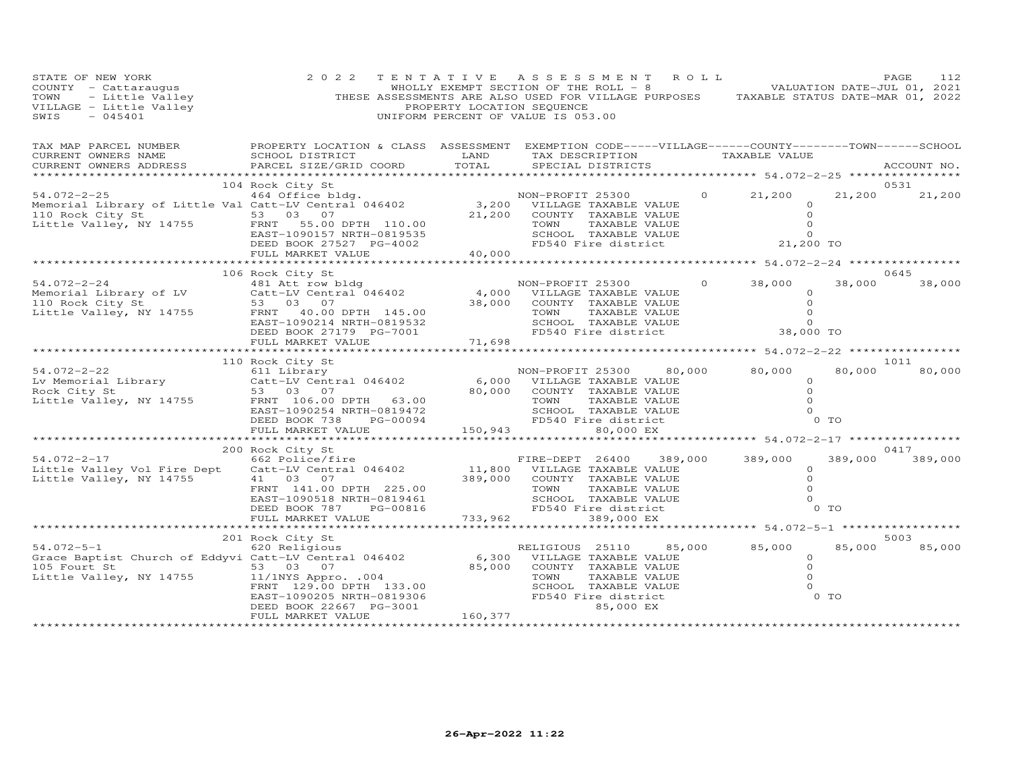| STATE OF NEW YORK<br>STAIE or new found<br>COUNTY - Cattaraugus<br>TOWN - Little Valley<br>VILLAGE - Little Valley<br>SWIS - 045401                                                                                         | 2 0 2 2                                                                                                                                                                                                                                                                         |                   | TENTATIVE ASSESSMENT ROLL<br>WHOLLY EXEMPT SECTION OF THE ROLL - 8 VALUATION DATE-JUL 01, 2021<br>THESE ASSESSMENTS ARE ALSO USED FOR VILLAGE PURPOSES TAXABLE STATUS DATE-MAR 01, 2022<br>PROPERTY LOCATION SEQUENCE<br>UNIFORM PERCENT OF VALUE IS 053.00 |                |                                                         |                   | PAGE<br>112           |
|-----------------------------------------------------------------------------------------------------------------------------------------------------------------------------------------------------------------------------|---------------------------------------------------------------------------------------------------------------------------------------------------------------------------------------------------------------------------------------------------------------------------------|-------------------|-------------------------------------------------------------------------------------------------------------------------------------------------------------------------------------------------------------------------------------------------------------|----------------|---------------------------------------------------------|-------------------|-----------------------|
| TAX MAP PARCEL NUMBER FROPERTY LOCATION & CLASS ASSESSMENT EXEMPTION CODE-----VILLAGE------COUNTY--------TOWN------SCHOOL<br>CURRENT OWNERS NAME<br>CURRENT OWNERS ADDRESS                                                  | SCHOOL DISTRICT<br>PARCEL SIZE/GRID COORD                                                                                                                                                                                                                                       | LAND<br>TOTAL     | TAX DESCRIPTION TAXABLE VALUE<br>SPECIAL DISTRICTS                                                                                                                                                                                                          |                | ****************** 54.072-2-25 ***************          |                   | ACCOUNT NO.           |
| 104 COK CHE AND THE MANUS CHE AND MON-PROFIT 25300<br>Memorial Library of Little Val Catt-LV Central 046402 3,200 VILLAGE TAXABLE VALUE<br>110 Rock City St 53 03 07 21,200 COUNTY TAXABLE VALUE<br>Little Valley, NY 14755 | 104 Rock City St                                                                                                                                                                                                                                                                |                   | TOWN<br>TAXABLE VALUE                                                                                                                                                                                                                                       |                | $0 \t 21,200$<br>$\circ$<br>$\Omega$<br>$\circ$         |                   | 0531<br>21,200 21,200 |
|                                                                                                                                                                                                                             |                                                                                                                                                                                                                                                                                 |                   |                                                                                                                                                                                                                                                             |                |                                                         |                   |                       |
| 54.072-2-24<br>Memorial Library of LV<br>110 Rock City St<br>Little Valley, NY 14755                                                                                                                                        | 106 Rock City St<br>Rock City St<br>481 Att row bldg<br>Catt-LV Central 046402 4,000 VILLAGE TAXABLE VALUE<br>53 03 07 38,000 COUNTY TAXABLE VALUE<br>TOWN TAXABLE VALUE<br>FRNT 40.00 DPTH 145.00<br>EAST-1090214 NRTH-0819532<br>DEED BOOK 27179 PG-7001<br>FULL MARKET VALUE | $^{7}$<br>71,698  | TAXABLE VALUE<br>TOWN<br>SCHOOL TAXABLE VALUE<br>FD540 Fire district 38,000 TO                                                                                                                                                                              | $\overline{0}$ | 38,000<br>$\circ$<br>$\circ$<br>$\Omega$                |                   | 0645<br>38,000 38,000 |
|                                                                                                                                                                                                                             |                                                                                                                                                                                                                                                                                 |                   |                                                                                                                                                                                                                                                             |                |                                                         |                   |                       |
| $54.072 - 2 - 22$<br>Lv Memorial Library<br>Rock City St<br>Rock City St<br>Little Valley, NY 14755                                                                                                                         | 110 Rock City St<br>53 03 07<br>FRNT 106.00 DPTH 63.00<br>EAST-1090254 NRTH-0819472<br>PG-00094<br>DEED BOOK 738                                                                                                                                                                |                   | NON-PROFIT 25300 80,000 80,000<br>80,000 C.<br>TOWN IAM<br>SCHOOL TAXABLE VALULED<br>FD540 Fire district<br>80,000 EX<br>ALLED 80,000 EX                                                                                                                    |                | $\circ$<br>$\circ$<br>$\Omega$<br>$\Omega$              | 80,000<br>0 TO    | 1011<br>80,000        |
|                                                                                                                                                                                                                             | FULL MARKET VALUE                                                                                                                                                                                                                                                               |                   |                                                                                                                                                                                                                                                             |                |                                                         |                   |                       |
|                                                                                                                                                                                                                             | 200 Rock City St                                                                                                                                                                                                                                                                |                   |                                                                                                                                                                                                                                                             |                |                                                         |                   | 0417                  |
| 54.072-2-17<br>Little Valley Vol Fire Dept<br>Little Valley, NY 14755                                                                                                                                                       | EXEMPLE FIRE-DEPT 26400 389,000<br>Catt-LV Central 046402 11,800 VILLAGE TAXABLE VALUE<br>41 03 07<br>FRNT 141.00 DPTH 225.00<br>EAST-1090518 NRTH-0819461<br>DEED BOOK 787<br>PG-00816                                                                                         | 389,000           | COUNTY TAXABLE VALUE<br>TOWN<br>TAXABLE VALUE<br>SCHOOL TAXABLE VALUE<br>FD540 Fire district                                                                                                                                                                |                | 389,000<br>$\Omega$<br>$\Omega$<br>$\Omega$<br>$\Omega$ | 389,000<br>$0$ TO | 389,000               |
|                                                                                                                                                                                                                             | FULL MARKET VALUE                                                                                                                                                                                                                                                               |                   | 733,962<br>389,000 EX                                                                                                                                                                                                                                       |                |                                                         |                   |                       |
|                                                                                                                                                                                                                             |                                                                                                                                                                                                                                                                                 |                   | ***********************************                                                                                                                                                                                                                         |                | *********** 54.072-5-1 ****************                 |                   |                       |
| $54.072 - 5 - 1$<br>Grace Baptist Church of Eddyvi Catt-LV Central 046402 6,300<br>105 Fourt St<br>Little Valley, NY 14755                                                                                                  | 201 Rock City St<br>620 Religious<br>53 03 07<br>11/1NYS Appro. .004<br>FRNT 129.00 DPTH 133.00<br>EAST-1090205 NRTH-0819306<br>DEED BOOK 22667 PG-3001<br>FULL MARKET VALUE                                                                                                    | 85,000<br>160,377 | RELIGIOUS 25110 85,000 85,000<br>VILLAGE TAXABLE VALUE<br>COUNTY TAXABLE VALUE<br>TOWN<br>TAXABLE VALUE<br>SCHOOL TAXABLE VALUE<br>FD540 Fire district<br>85,000 EX                                                                                         |                | $\circ$<br>$\circ$<br>$\Omega$<br>$\Omega$              | 85,000<br>$0$ TO  | 5003<br>85,000        |
|                                                                                                                                                                                                                             |                                                                                                                                                                                                                                                                                 |                   |                                                                                                                                                                                                                                                             |                |                                                         |                   |                       |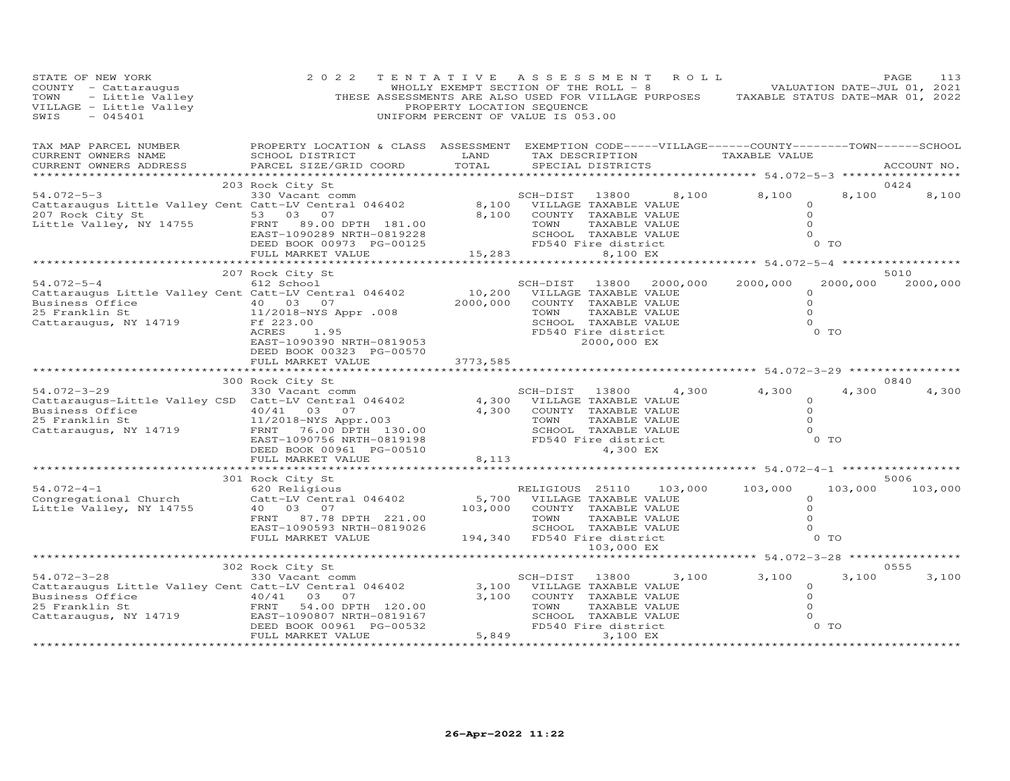| STATE OF NEW YORK<br>TOWN - Little Valley<br>VILLAGE - Little Valley<br>SWIS - 045401                                                                                                                                                             | 2 0 2 2                                                                                                                                          | PROPERTY LOCATION SEQUENCE     | TENTATIVE ASSESSMENT ROLL<br>UNIFORM PERCENT OF VALUE IS 053.00                                                                       |                                                                                        | WHOLLY EXEMPT SECTION OF THE ROLL - 8 WALUATION DATE-JUL 01, 2021<br>THESE ASSESSMENTS ARE ALSO USED FOR VILLAGE PURPOSES TAXABLE STATUS DATE-MAR 01, 2022 |                         | PAGE<br>113 |
|---------------------------------------------------------------------------------------------------------------------------------------------------------------------------------------------------------------------------------------------------|--------------------------------------------------------------------------------------------------------------------------------------------------|--------------------------------|---------------------------------------------------------------------------------------------------------------------------------------|----------------------------------------------------------------------------------------|------------------------------------------------------------------------------------------------------------------------------------------------------------|-------------------------|-------------|
| TAX MAP PARCEL NUMBER<br>CURRENT OWNERS NAME<br>CURRENT OWNERS ADDRESS                                                                                                                                                                            | PROPERTY LOCATION & CLASS ASSESSMENT EXEMPTION CODE-----VILLAGE------COUNTY--------TOWN------SCHOOL<br>SCHOOL DISTRICT<br>PARCEL SIZE/GRID COORD | LAND<br>TOTAL                  | SPECIAL DISTRICTS                                                                                                                     |                                                                                        | TAX DESCRIPTION TAXABLE VALUE                                                                                                                              |                         | ACCOUNT NO. |
|                                                                                                                                                                                                                                                   | 203 Rock City St                                                                                                                                 |                                |                                                                                                                                       |                                                                                        |                                                                                                                                                            |                         | 0424        |
| $54.072 - 5 - 3$<br>207 Rock City St<br>Little Valley, NY 14755                                                                                                                                                                                   | 330 Vacant comm<br>FRNT<br>89.00 DPTH 181.00<br>EAST-1090289 NRTH-0819228<br>DEED BOOK 00973 PG-00125                                            |                                | SCH-DIST<br>13800<br>8,100 VILLAGE TAXABLE VALUE<br>8,100 COUNTY TAXABLE VALUE<br>TOWN<br>SCHOOL TAXABLE VALUE<br>FD540 Fire district | 8,100<br>TAXABLE VALUE                                                                 | 8,100<br>$\Omega$<br>$\circ$<br>$\Omega$<br>$\Omega$                                                                                                       | 8,100<br>$0$ TO         | 8,100       |
|                                                                                                                                                                                                                                                   | FULL MARKET VALUE                                                                                                                                |                                | 15,283                                                                                                                                | 8,100 EX                                                                               |                                                                                                                                                            |                         |             |
|                                                                                                                                                                                                                                                   |                                                                                                                                                  |                                |                                                                                                                                       |                                                                                        |                                                                                                                                                            |                         | 5010        |
| $54.072 - 5 - 4$<br>Cattaraugus Little Valley Cent Catt-LV Central 046402<br>Business Office $\begin{array}{cccc} 25 & \text{Franklin} & 5t & 40 & 03 & 07 \\ 25 & \text{Franklin} & 5t & 11/2018-NYS & A_1 \end{array}$<br>Cattaraugus, NY 14719 | 207 Rock City St<br>612 School<br>11/2018-NYS Appr .008<br>Ff 223.00<br>ACRES<br>1.95<br>EAST-1090390 NRTH-0819053<br>DEED BOOK 00323 PG-00570   | 2000,000                       | SCH-DIST 13800<br>10,200 VILLAGE TAXABLE VALUE<br>COUNTY TAXABLE VALUE<br>TOWN<br>SCHOOL TAXABLE VALUE<br>FD540 Fire district         | 2000,000<br>TAXABLE VALUE<br>2000,000 EX                                               | 2000,000<br>$\Omega$<br>$\Omega$<br>$\Omega$<br>$\Omega$                                                                                                   | 2000,000<br>0 TO        | 2000,000    |
|                                                                                                                                                                                                                                                   | FULL MARKET VALUE                                                                                                                                | 3773,585                       | ****************************                                                                                                          |                                                                                        | ************ 54.072-3-29 ***********                                                                                                                       |                         |             |
|                                                                                                                                                                                                                                                   | 300 Rock City St                                                                                                                                 |                                |                                                                                                                                       |                                                                                        |                                                                                                                                                            |                         | 0840        |
| $54.072 - 3 - 29$<br>Cattaraugus-Little Valley CSD Catt-LV Central 046402<br>Business Office<br>25 Franklin St<br>Cattaraugus, NY 14719                                                                                                           | 330 Vacant comm<br>40/41 03 07<br>11/2018-NYS Appr.003<br>FRNT 76.00 DPTH 130.00<br>EAST-1090756 NRTH-0819198<br>DEED BOOK 00961 PG-00510        | 4,300                          | SCH-DIST 13800<br>4,300 VILLAGE TAXABLE VALUE<br>COUNTY TAXABLE VALUE                                                                 | 4,300<br>TOWN TAXABLE VALUE<br>SCHOOL TAXABLE VALUE<br>FD540 Fire district<br>4,300 EX | 4,300<br>$\Omega$<br>$\Omega$<br>$\Omega$<br>$\Omega$                                                                                                      | 4,300<br>0 <sub>T</sub> | 4,300       |
|                                                                                                                                                                                                                                                   | FULL MARKET VALUE                                                                                                                                | 8,113                          |                                                                                                                                       |                                                                                        |                                                                                                                                                            |                         |             |
|                                                                                                                                                                                                                                                   | 301 Rock City St                                                                                                                                 |                                |                                                                                                                                       |                                                                                        |                                                                                                                                                            |                         | 5006        |
| $54.072 - 4 - 1$<br>Congregational Church<br>Little Valley, NY 14755                                                                                                                                                                              | 620 Religious<br>Catt-LV Central 046402<br>40  03  07<br>87.78 DPTH 221.00<br>FRNT<br>EAST-1090593 NRTH-0819026<br>FULL MARKET VALUE             | 5,700<br>103,000               | RELIGIOUS 25110<br>VILLAGE TAXABLE VALUE<br>COUNTY TAXABLE VALUE<br>TOWN<br>SCHOOL TAXABLE VALUE<br>194,340 FD540 Fire district       | 103,000<br>TAXABLE VALUE                                                               | 103,000<br>$\circ$<br>$\circ$<br>$\Omega$<br>$\Omega$                                                                                                      | 103,000<br>$0$ TO       | 103,000     |
|                                                                                                                                                                                                                                                   |                                                                                                                                                  |                                |                                                                                                                                       | 103,000 EX                                                                             |                                                                                                                                                            |                         |             |
|                                                                                                                                                                                                                                                   | *******************************                                                                                                                  |                                |                                                                                                                                       |                                                                                        | ********** 54.072-3-28 *************                                                                                                                       |                         | 0555        |
| $54.072 - 3 - 28$<br>Cattaraugus Little Valley Cent Catt-LV Central 046402<br>Business Office<br>$\begin{array}{cc} 40/41 & 03 \\ \text{FRNT} & 54.00 \end{array}$<br>25 Franklin St<br>Cattaraugus, NY 14719                                     | 302 Rock City St<br>330 Vacant comm<br>07<br>54.00 DPTH 120.00<br>EAST-1090807 NRTH-0819167<br>DEED BOOK 00961 PG-00532                          | 3,100                          | SCH-DIST<br>13800<br>3,100 VILLAGE TAXABLE VALUE<br>COUNTY TAXABLE VALUE<br>TOWN<br>SCHOOL TAXABLE VALUE<br>FD540 Fire district       | 3,100<br>TAXABLE VALUE                                                                 | 3,100<br>$\Omega$<br>$\circ$<br>$\circ$<br>$\circ$                                                                                                         | 3,100<br>$0$ TO         | 3,100       |
|                                                                                                                                                                                                                                                   | FULL MARKET VALUE                                                                                                                                | 5,849<br>********************* |                                                                                                                                       | 3,100 EX                                                                               |                                                                                                                                                            |                         |             |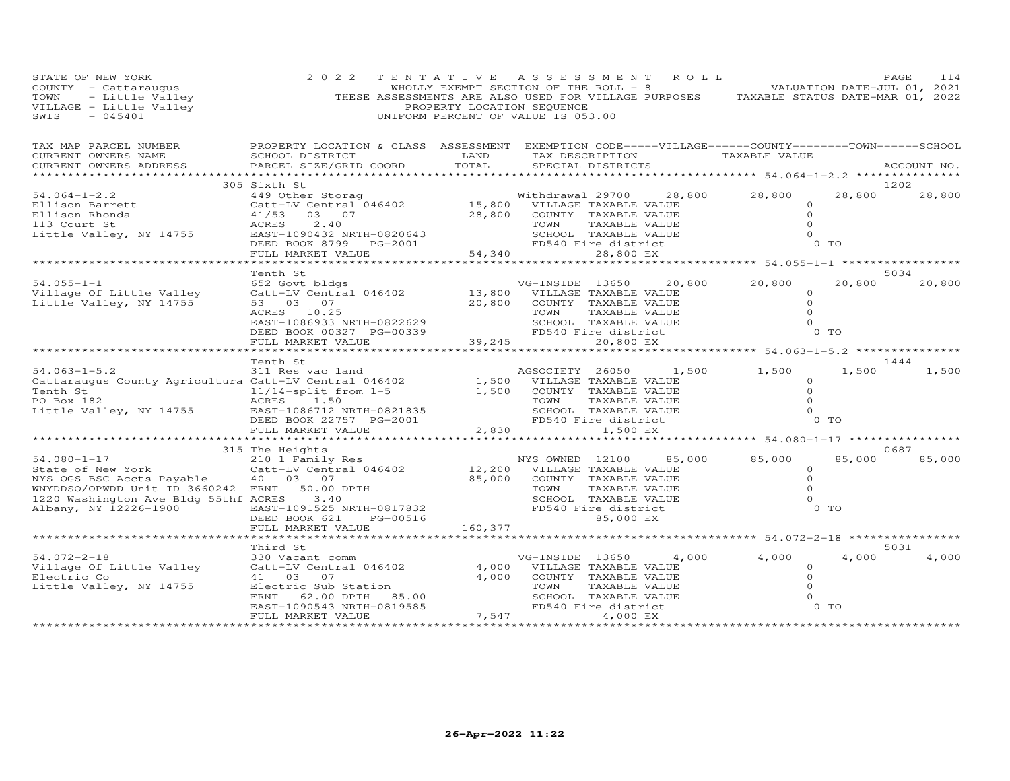| STATE OF NEW YORK<br>COUNTY - Cattaraugus<br>TOWN - Little Valley<br>VILLAGE - Little Valley<br>------ - 045401                                                                                                               | 2 0 2 2                                                                                                                                                                                                                                                             | PROPERTY LOCATION SEQUENCE | TENTATIVE ASSESSMENT ROLL<br>WHOLLY EXEMPT SECTION OF THE ROLL - 8 VOLUMENTION DATE-JUL 01, 2021<br>THESE ASSESSMENTS ARE ALSO USED FOR VILLAGE PURPOSES TAXABLE STATUS DATE-MAR 01, 2022<br>UNIFORM PERCENT OF VALUE IS 053.00 |        |                                                             |                         | PAGE<br>114           |
|-------------------------------------------------------------------------------------------------------------------------------------------------------------------------------------------------------------------------------|---------------------------------------------------------------------------------------------------------------------------------------------------------------------------------------------------------------------------------------------------------------------|----------------------------|---------------------------------------------------------------------------------------------------------------------------------------------------------------------------------------------------------------------------------|--------|-------------------------------------------------------------|-------------------------|-----------------------|
| TAX MAP PARCEL NUMBER<br>CURRENT OWNERS NAME<br>CURRENT OWNERS ADDRESS                                                                                                                                                        | PROPERTY LOCATION & CLASS ASSESSMENT EXEMPTION CODE-----VILLAGE------COUNTY--------TOWN------SCHOOL<br>SCHOOL DISTRICT LAND<br>PARCEL SIZE/GRID COORD                                                                                                               | TOTAL                      | TAX DESCRIPTION TAXABLE VALUE<br>SPECIAL DISTRICTS                                                                                                                                                                              |        |                                                             |                         | ACCOUNT NO.           |
|                                                                                                                                                                                                                               | 305 Sixth St                                                                                                                                                                                                                                                        |                            |                                                                                                                                                                                                                                 |        | 28,800<br>$\circ$<br>$\Omega$<br>$\Omega$<br>$\Omega$       | 0 <sub>T</sub>          | 1202<br>28,800 28,800 |
|                                                                                                                                                                                                                               |                                                                                                                                                                                                                                                                     |                            |                                                                                                                                                                                                                                 |        |                                                             |                         |                       |
| $54.055 - 1 - 1$<br>Village Of Little Valley<br>Little Valley, NY 14755                                                                                                                                                       | Tenth St<br>652 Govt bldgs<br>Catt-LV Central 046402<br>53 03 07<br>39,245<br>EAST-1086933 NRTH-0822629<br>DEED BOOK 00327 PG-00339<br>FULL MARKET VALUE<br>FULL MARKET VALUE<br>FULL MARKET VALUE<br>CO,800 EX.<br>CO,800 EX.<br>20,800 EX.<br>20,800 EX.          |                            | VG-INSIDE 13650<br>13,800 VILLAGE TAXABLE VALUE<br>20,800 COUNTY TAXABLE VALUE                                                                                                                                                  |        | 20,800 20,800<br>$\circ$<br>$\circ$<br>$\Omega$<br>$\Omega$ | 20,800<br>$0$ TO        | 5034<br>20,800        |
|                                                                                                                                                                                                                               |                                                                                                                                                                                                                                                                     |                            |                                                                                                                                                                                                                                 |        |                                                             |                         |                       |
|                                                                                                                                                                                                                               |                                                                                                                                                                                                                                                                     |                            |                                                                                                                                                                                                                                 |        |                                                             |                         |                       |
| 1999 - 1999 - 1999 - 1999 - 1999 - 1999 - 1999 - 1999 - 1999 - 1999 - 1999 - 1999 - 1999 - 1999 - 1999 - 1999 - 1999 - 1999 - 1999 - 1999 - 1999 - 1999 - 1999 - 1999 - 1999 - 1999 - 1999 - 1999 - 1999 - 1999 - 1999 - 1999 |                                                                                                                                                                                                                                                                     |                            | VILLAGE TAXABLE VALUE<br>COUNTY TAXABLE VALUE<br>TOWN TAXABLE VALUE<br>SCHOOL TAXABLE VALUE<br>FD540 Fire district<br>1.500 FX                                                                                                  |        | 1,500 1,500<br>$\circ$<br>$\circ$<br>$\Omega$<br>$\Omega$   | 1,500<br>0 <sub>T</sub> | 1444<br>1,500         |
|                                                                                                                                                                                                                               | FULL MARKET VALUE                                                                                                                                                                                                                                                   |                            | 2,830<br>1,500 EX                                                                                                                                                                                                               |        |                                                             |                         |                       |
|                                                                                                                                                                                                                               |                                                                                                                                                                                                                                                                     |                            |                                                                                                                                                                                                                                 |        |                                                             |                         |                       |
| $54.080 - 1 - 17$<br>State of New York<br>NYS OGS BSC Accts Payable<br>WNYDDSO/OPWDD Unit ID 3660242 FRNT<br>1220 Washington Ave Bldg 55thf ACRES 3.40<br>Albany, NY 12226-1900                                               | 315 The Heights<br>The Heights<br>210 1 Family Res<br>210 1 Family Res<br>210 12,200 VILLAGE TAXABLE VALUE<br>40 03 07<br>FRNT 50.00 DPTH 50.00 DPTH TOWN TAXABLE VALUE<br>ACRES 3.40<br>22,000 COUNTY TAXABLE VALUE<br>25,000 COUNTY TAXABLE VALUE<br>22,000 COUNT |                            | FD540 Fire district<br>85,000 EX                                                                                                                                                                                                | 85,000 | 85,000<br>$\circ$<br>$\circ$<br>$\Omega$<br>$\Omega$        | 85,000<br>$0$ TO        | 0687<br>85,000        |
|                                                                                                                                                                                                                               | FULL MARKET VALUE                                                                                                                                                                                                                                                   | 160,377                    |                                                                                                                                                                                                                                 |        |                                                             |                         |                       |
|                                                                                                                                                                                                                               |                                                                                                                                                                                                                                                                     |                            |                                                                                                                                                                                                                                 |        |                                                             |                         |                       |
| $54.072 - 2 - 18$<br>Village Of Little Valley<br>Electric Co<br>Little Valley, NY 14755                                                                                                                                       | Third St<br>330 Vacant comm<br>Catt-LV Central 046402<br>41 03 07<br>Electric Sub Station<br>EAST-1090543 NRTH-0819585<br>FULL MARKET VALUE                                                                                                                         | 7,547                      | VG-INSIDE 13650<br>4,000 VILLAGE TAXABLE VALUE<br>4,000 COUNTY TAXABLE VALUE<br>TOWN<br>TAXABLE VALUE<br>SCHOOL TAXABLE VALUE<br>FD540 Fire district<br>4,000 EX                                                                |        | $4,000$ $4,000$<br>$^{4}$ , 000<br>0<br>0<br>0<br>0<br>0 TO | 4,000                   | 5031<br>4,000         |
|                                                                                                                                                                                                                               |                                                                                                                                                                                                                                                                     |                            |                                                                                                                                                                                                                                 |        |                                                             |                         |                       |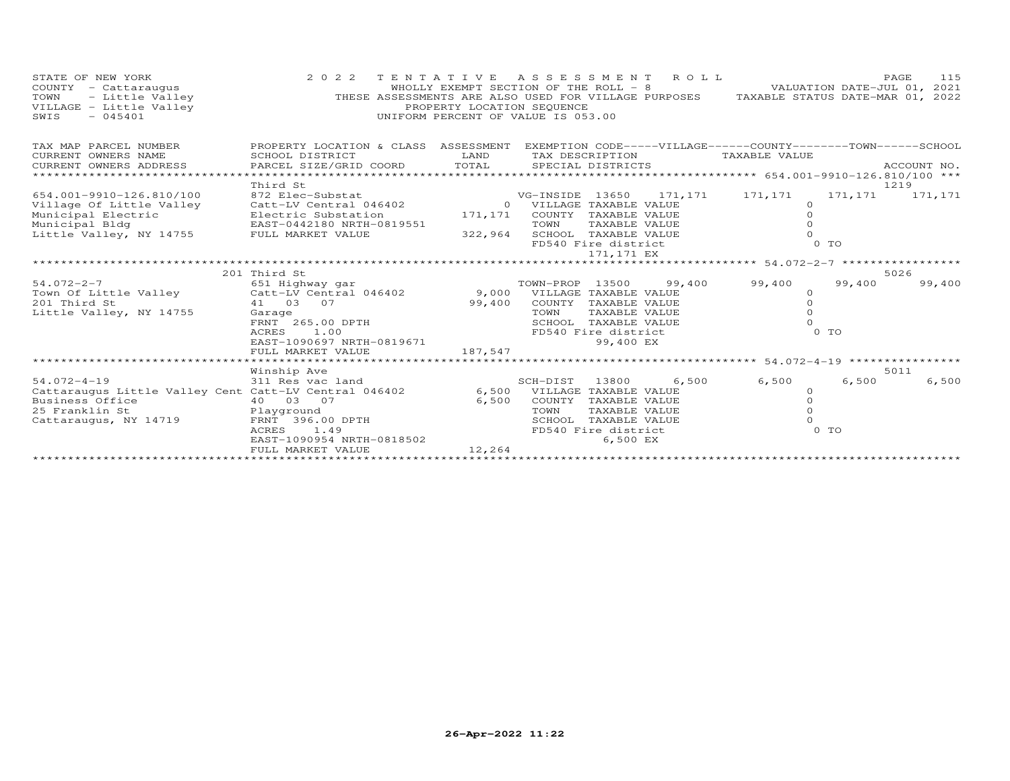| STATE OF NEW YORK<br>COUNTY - Cattaraugus<br>- Little Valley<br>TOWN<br>VILLAGE - Little Valley<br>SWIS<br>$-045401$                                                                                            | 2 0 2 2<br>THESE ASSESSMENTS ARE ALSO USED FOR VILLAGE PURPOSES TAXABLE STATUS DATE-MAR 01, 2022                                                                                                                                                                         | TENTATIVE<br>WHOLLY EXEMPT SECTION OF THE ROLL - 8<br>PROPERTY LOCATION SEQUENCE<br>UNIFORM PERCENT OF VALUE IS 053.00 | A S S E S S M E N T                                                                                                                                                                                                                                        |                                                           | ROLL              |                                                                                                    |                                      | PAGE<br>115<br>VALUATION DATE-JUL 01, 2021 |
|-----------------------------------------------------------------------------------------------------------------------------------------------------------------------------------------------------------------|--------------------------------------------------------------------------------------------------------------------------------------------------------------------------------------------------------------------------------------------------------------------------|------------------------------------------------------------------------------------------------------------------------|------------------------------------------------------------------------------------------------------------------------------------------------------------------------------------------------------------------------------------------------------------|-----------------------------------------------------------|-------------------|----------------------------------------------------------------------------------------------------|--------------------------------------|--------------------------------------------|
| TAX MAP PARCEL NUMBER<br>CURRENT OWNERS NAME<br>CURRENT OWNERS ADDRESS<br>*************                                                                                                                         | PROPERTY LOCATION & CLASS ASSESSMENT EXEMPTION CODE-----VILLAGE------COUNTY--------TOWN------SCHOOL<br>SCHOOL DISTRICT<br>PARCEL SIZE/GRID COORD                                                                                                                         | LAND<br>TOTAL                                                                                                          | TAX DESCRIPTION<br>SPECIAL DISTRICTS                                                                                                                                                                                                                       |                                                           |                   | TAXABLE VALUE                                                                                      |                                      | ACCOUNT NO.                                |
|                                                                                                                                                                                                                 | Third St                                                                                                                                                                                                                                                                 |                                                                                                                        |                                                                                                                                                                                                                                                            |                                                           |                   |                                                                                                    |                                      | 1219                                       |
| 654.001-9910-126.810/100<br>Village Of Little Valley<br>Municipal Electric<br>Municipal Bldg<br>Little Valley, NY 14755<br>$54.072 - 2 - 7$<br>Town Of Little Valley<br>201 Third St<br>Little Valley, NY 14755 | 872 Elec-Substat<br>Catt-LV Central 046402<br>Electric Substation<br>EAST-0442180 NRTH-0819551<br>FULL MARKET VALUE<br>201 Third St<br>651 Highway gar<br>Catt-LV Central 046402<br>41 03 07<br>Garage<br>FRNT 265.00 DPTH<br>ACRES<br>1.00<br>EAST-1090697 NRTH-0819671 | 171,171<br>322,964<br>99,400                                                                                           | VG-INSIDE 13650<br>0 VILLAGE TAXABLE VALUE<br>COUNTY TAXABLE VALUE<br>TOWN<br>SCHOOL TAXABLE VALUE<br>FD540 Fire district<br>TOWN-PROP 13500<br>9,000 VILLAGE TAXABLE VALUE<br>COUNTY TAXABLE VALUE<br>TOWN<br>SCHOOL TAXABLE VALUE<br>FD540 Fire district | TAXABLE VALUE<br>171,171 EX<br>TAXABLE VALUE<br>99,400 EX | 171,171<br>99,400 | 171,171<br>$\circ$<br>$\circ$<br>$\Omega$<br>$\Omega$<br>99,400<br>$\circ$<br>$\Omega$<br>$\Omega$ | 171, 171<br>0 TO<br>99,400<br>$0$ TO | 171,171<br>5026<br>99,400                  |
|                                                                                                                                                                                                                 | FULL MARKET VALUE                                                                                                                                                                                                                                                        | 187,547                                                                                                                |                                                                                                                                                                                                                                                            |                                                           |                   |                                                                                                    |                                      |                                            |
|                                                                                                                                                                                                                 |                                                                                                                                                                                                                                                                          |                                                                                                                        |                                                                                                                                                                                                                                                            |                                                           |                   |                                                                                                    | ** 54.072-4-19 *****                 |                                            |
| $54.072 - 4 - 19$<br>Cattaraugus Little Valley Cent Catt-LV Central 046402<br>Business Office<br>25 Franklin St<br>Cattaraugus, NY 14719                                                                        | Winship Ave<br>311 Res vac land<br>40 03 07<br>Playground<br>FRNT 396.00 DPTH<br>ACRES<br>1.49<br>EAST-1090954 NRTH-0818502<br>FULL MARKET VALUE                                                                                                                         | 6,500<br>6,500<br>12,264                                                                                               | SCH-DIST<br>VILLAGE TAXABLE VALUE<br>COUNTY TAXABLE VALUE<br>TOWN<br>SCHOOL<br>FD540 Fire district                                                                                                                                                         | 13800<br>TAXABLE VALUE<br>TAXABLE VALUE<br>6,500 EX       | 6,500             | 6,500<br>$\circ$<br>$\Omega$<br>$\Omega$<br>$\Omega$                                               | 6,500<br>0 TO                        | 5011<br>6,500                              |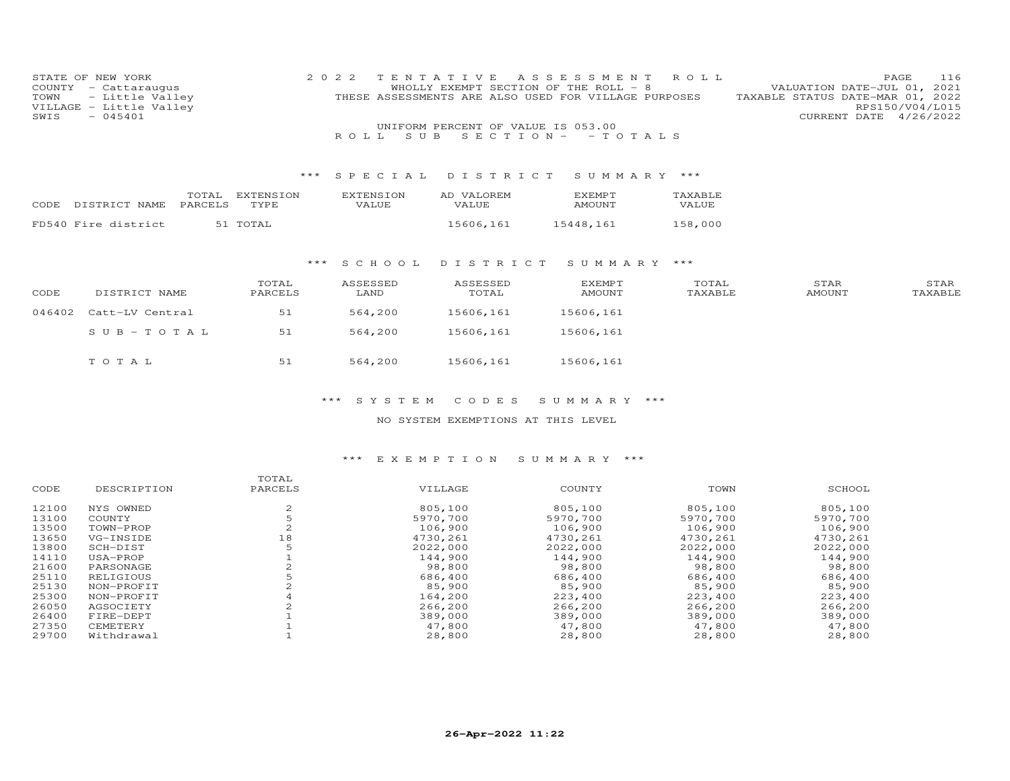| STATE OF NEW YORK       | 2022 TENTATIVE ASSESSMENT ROLL                       | 116<br>PAGE                      |
|-------------------------|------------------------------------------------------|----------------------------------|
| COUNTY - Cattaraugus    | WHOLLY EXEMPT SECTION OF THE ROLL - 8                | VALUATION DATE-JUL 01, 2021      |
| TOWN - Little Valley    | THESE ASSESSMENTS ARE ALSO USED FOR VILLAGE PURPOSES | TAXABLE STATUS DATE-MAR 01, 2022 |
| VILLAGE - Little Valley |                                                      | RPS150/V04/L015                  |
| $SWIS - 045401$         |                                                      | CURRENT DATE 4/26/2022           |
|                         | UNIFORM PERCENT OF VALUE IS 053.00                   |                                  |
|                         | ROLL SUB SECTION - - TOTALS                          |                                  |

## \*\*\* S P E C I A L D I S T R I C T S U M M A R Y \*\*\*

| CODE. | DISTRICT NAME       | TOTAL<br>PARCELS | EXTENSION<br>TYPE. | <b>EXTENSION</b><br>VALUE. | AD VALOREM<br>VALUE | <b>EXEMPT</b><br>AMOUNT | <b>TAXABLE</b><br>VALUE |
|-------|---------------------|------------------|--------------------|----------------------------|---------------------|-------------------------|-------------------------|
|       | FD540 Fire district |                  | 51 TOTAL           |                            | 15606,161           | 15448,161               | 158,000                 |

### \*\*\* S C H O O L D I S T R I C T S U M M A R Y \*\*\*

| CODE   | DISTRICT NAME   | TOTAL<br>PARCELS | ASSESSED<br>LAND | ASSESSED<br>TOTAL | <b>EXEMPT</b><br>AMOUNT | TOTAL<br>TAXABLE | STAR<br>AMOUNT | STAR<br>TAXABLE |
|--------|-----------------|------------------|------------------|-------------------|-------------------------|------------------|----------------|-----------------|
| 046402 | Catt-LV Central | 51               | 564,200          | 15606,161         | 15606,161               |                  |                |                 |
|        | SUB-TOTAL       | 51               | 564,200          | 15606,161         | 15606,161               |                  |                |                 |
|        | TOTAL           | 51               | 564,200          | 15606,161         | 15606,161               |                  |                |                 |

### \*\*\* S Y S T E M C O D E S S U M M A R Y \*\*\*

## NO SYSTEM EXEMPTIONS AT THIS LEVEL

## \*\*\* E X E M P T I O N S U M M A R Y \*\*\*

|       |             | TOTAL   |          |          |          |          |
|-------|-------------|---------|----------|----------|----------|----------|
| CODE  | DESCRIPTION | PARCELS | VILLAGE  | COUNTY   | TOWN     | SCHOOL   |
| 12100 | NYS OWNED   |         | 805,100  | 805,100  | 805,100  | 805,100  |
| 13100 | COUNTY      |         | 5970,700 | 5970,700 | 5970,700 | 5970,700 |
| 13500 | TOWN-PROP   |         | 106,900  | 106,900  | 106,900  | 106,900  |
| 13650 | VG-INSIDE   | 18      | 4730.261 | 4730.261 | 4730.261 | 4730,261 |
| 13800 | SCH-DIST    |         | 2022,000 | 2022,000 | 2022,000 | 2022,000 |
| 14110 | USA-PROP    |         | 144,900  | 144,900  | 144,900  | 144,900  |
| 21600 | PARSONAGE   |         | 98,800   | 98,800   | 98,800   | 98,800   |
| 25110 | RELIGIOUS   |         | 686,400  | 686,400  | 686,400  | 686,400  |
| 25130 | NON-PROFIT  |         | 85,900   | 85,900   | 85,900   | 85,900   |
| 25300 | NON-PROFIT  |         | 164,200  | 223,400  | 223,400  | 223,400  |
| 26050 | AGSOCIETY   |         | 266,200  | 266,200  | 266,200  | 266,200  |
| 26400 | FIRE-DEPT   |         | 389,000  | 389,000  | 389,000  | 389,000  |
| 27350 | CEMETERY    |         | 47,800   | 47,800   | 47,800   | 47,800   |
| 29700 | Withdrawal  |         | 28,800   | 28,800   | 28,800   | 28,800   |
|       |             |         |          |          |          |          |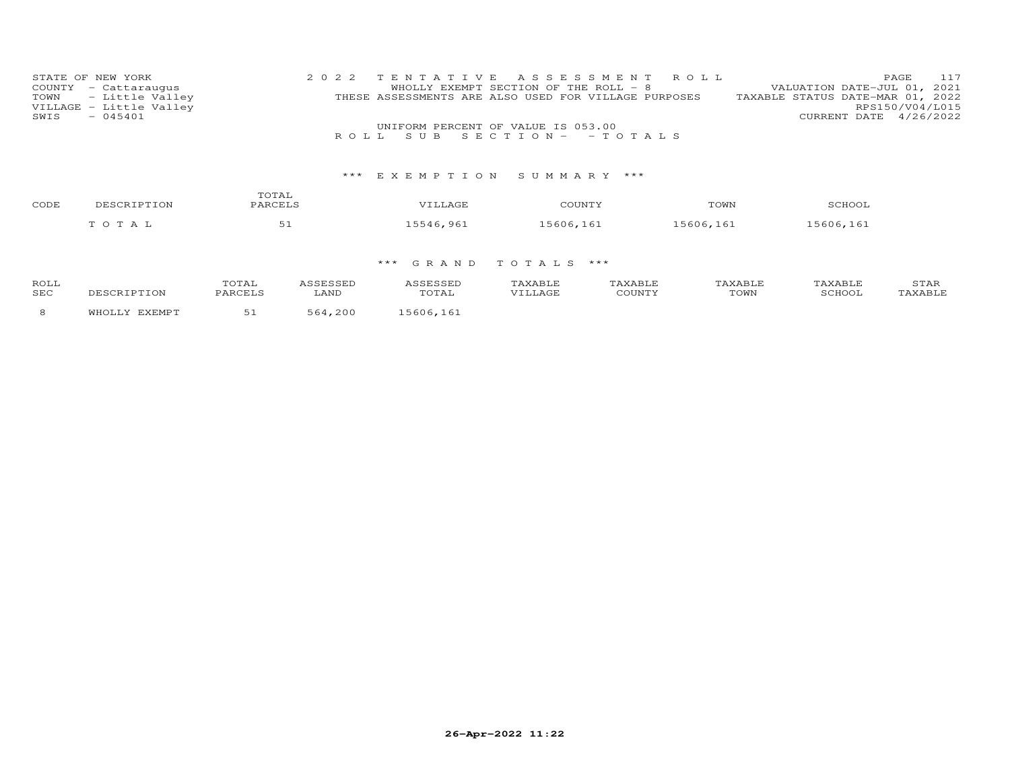| STATE OF NEW YORK       | 2022 TENTATIVE ASSESSMENT ROLL                       | 117<br>PAGE                      |
|-------------------------|------------------------------------------------------|----------------------------------|
| COUNTY - Cattaraugus    | WHOLLY EXEMPT SECTION OF THE ROLL - 8                | VALUATION DATE-JUL 01, 2021      |
| TOWN - Little Valley    | THESE ASSESSMENTS ARE ALSO USED FOR VILLAGE PURPOSES | TAXABLE STATUS DATE-MAR 01, 2022 |
| VILLAGE - Little Valley |                                                      | RPS150/V04/L015                  |
| $-045401$<br>SWIS       |                                                      | CURRENT DATE 4/26/2022           |
|                         | UNIFORM PERCENT OF VALUE IS 053.00                   |                                  |
|                         | ROLL SUB SECTION- - TOTALS                           |                                  |

## \*\*\* E X E M P T I O N S U M M A R Y \*\*\*

| CODE | DESCRIPTION | TOTAL<br>PARCELS | VTLLAGE   | COUNTY    | TOWN      | SCHOOL    |
|------|-------------|------------------|-----------|-----------|-----------|-----------|
|      | TOTAL       | ◡∸               | 15546,961 | 15606,161 | 15606,161 | 15606,161 |

## \*\*\* G R A N D T O T A L S \*\*\*

| ROL)<br><b>SEC</b> |  | <b>BB</b> | --- | LOMV |  |
|--------------------|--|-----------|-----|------|--|
|                    |  |           |     |      |  |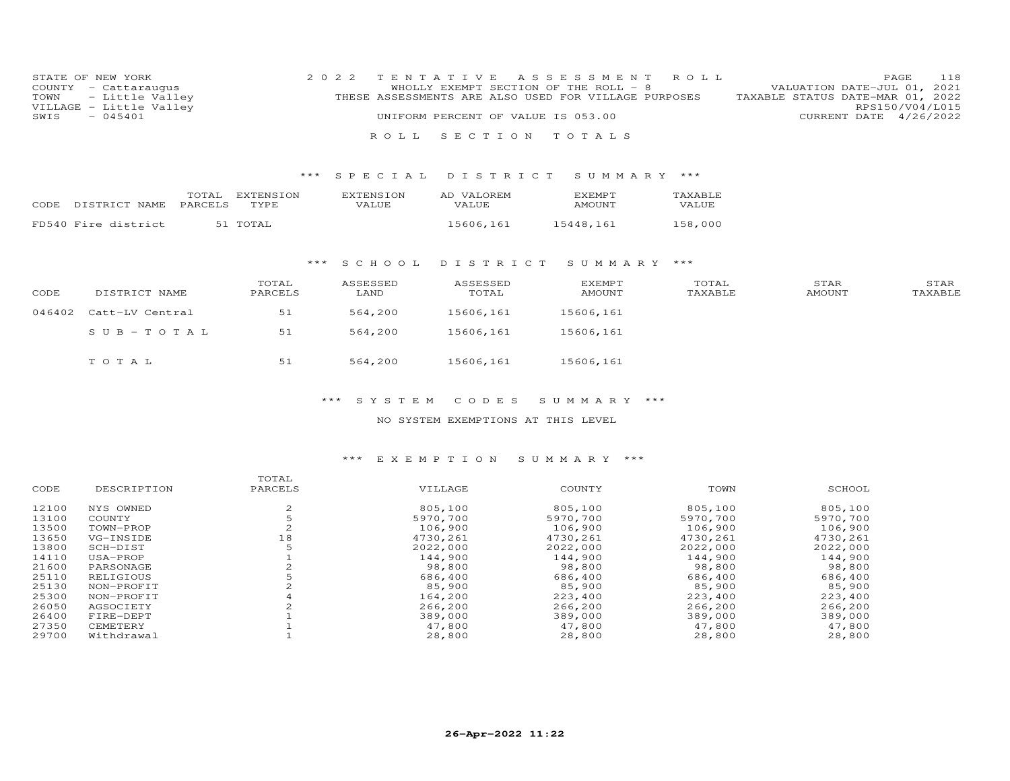| STATE OF NEW YORK       | 2022 TENTATIVE ASSESSMENT ROLL                       | 118<br>PAGE                      |
|-------------------------|------------------------------------------------------|----------------------------------|
| COUNTY - Cattaraugus    | WHOLLY EXEMPT SECTION OF THE ROLL - 8                | VALUATION DATE-JUL 01, 2021      |
| TOWN - Little Valley    | THESE ASSESSMENTS ARE ALSO USED FOR VILLAGE PURPOSES | TAXABLE STATUS DATE-MAR 01, 2022 |
| VILLAGE - Little Valley |                                                      | RPS150/V04/L015                  |
| $-045401$<br>SWIS       | UNIFORM PERCENT OF VALUE IS 053.00                   | CURRENT DATE 4/26/2022           |
|                         |                                                      |                                  |

# \*\*\* S P E C I A L D I S T R I C T S U M M A R Y \*\*\*

R O L L S E C T I O N T O T A L S

| CODE DISTRICT NAME PARCELS | TOTAL | EXTENSION<br>TYPE. | EXTENSION<br>VALUE. | AD VALOREM<br>VALUE. | <b>EXEMPT</b><br>AMOUNT | TAXABLE<br><b>VALUE</b> |
|----------------------------|-------|--------------------|---------------------|----------------------|-------------------------|-------------------------|
| FD540 Fire district        |       | 51 TOTAL           |                     | 15606,161            | 15448,161               | 158,000                 |

## \*\*\* S C H O O L D I S T R I C T S U M M A R Y \*\*\*

| CODE   | DISTRICT NAME   | TOTAL<br>PARCELS | ASSESSED<br>LAND | ASSESSED<br>TOTAL | <b>EXEMPT</b><br><b>AMOUNT</b> | TOTAL<br>TAXABLE | STAR<br><b>AMOUNT</b> | STAR<br>TAXABLE |
|--------|-----------------|------------------|------------------|-------------------|--------------------------------|------------------|-----------------------|-----------------|
| 046402 | Catt-LV Central | 51               | 564,200          | 15606,161         | 15606,161                      |                  |                       |                 |
|        | $SUB-TOTAL$     | 51               | 564,200          | 15606,161         | 15606,161                      |                  |                       |                 |
|        | TOTAL           | 51               | 564,200          | 15606,161         | 15606,161                      |                  |                       |                 |

## \*\*\* S Y S T E M C O D E S S U M M A R Y \*\*\*

## NO SYSTEM EXEMPTIONS AT THIS LEVEL

### \*\*\* E X E M P T I O N S U M M A R Y \*\*\*

|       |             | TOTAL   |          |          |          |          |
|-------|-------------|---------|----------|----------|----------|----------|
| CODE  | DESCRIPTION | PARCELS | VILLAGE  | COUNTY   | TOWN     | SCHOOL   |
| 12100 | NYS OWNED   | ∠       | 805,100  | 805,100  | 805,100  | 805,100  |
| 13100 | COUNTY      |         | 5970,700 | 5970,700 | 5970,700 | 5970,700 |
| 13500 | TOWN-PROP   |         | 106,900  | 106,900  | 106,900  | 106,900  |
| 13650 | VG-INSIDE   | 18      | 4730,261 | 4730,261 | 4730,261 | 4730,261 |
| 13800 | SCH-DIST    |         | 2022,000 | 2022,000 | 2022,000 | 2022,000 |
| 14110 | USA-PROP    |         | 144,900  | 144,900  | 144,900  | 144,900  |
| 21600 | PARSONAGE   |         | 98,800   | 98,800   | 98,800   | 98,800   |
| 25110 | RELIGIOUS   |         | 686,400  | 686,400  | 686,400  | 686,400  |
| 25130 | NON-PROFIT  |         | 85,900   | 85,900   | 85,900   | 85,900   |
| 25300 | NON-PROFIT  |         | 164,200  | 223,400  | 223,400  | 223,400  |
| 26050 | AGSOCIETY   |         | 266,200  | 266,200  | 266,200  | 266,200  |
| 26400 | FIRE-DEPT   |         | 389,000  | 389,000  | 389,000  | 389,000  |
| 27350 | CEMETERY    |         | 47,800   | 47,800   | 47,800   | 47,800   |
| 29700 | Withdrawal  |         | 28,800   | 28,800   | 28,800   | 28,800   |
|       |             |         |          |          |          |          |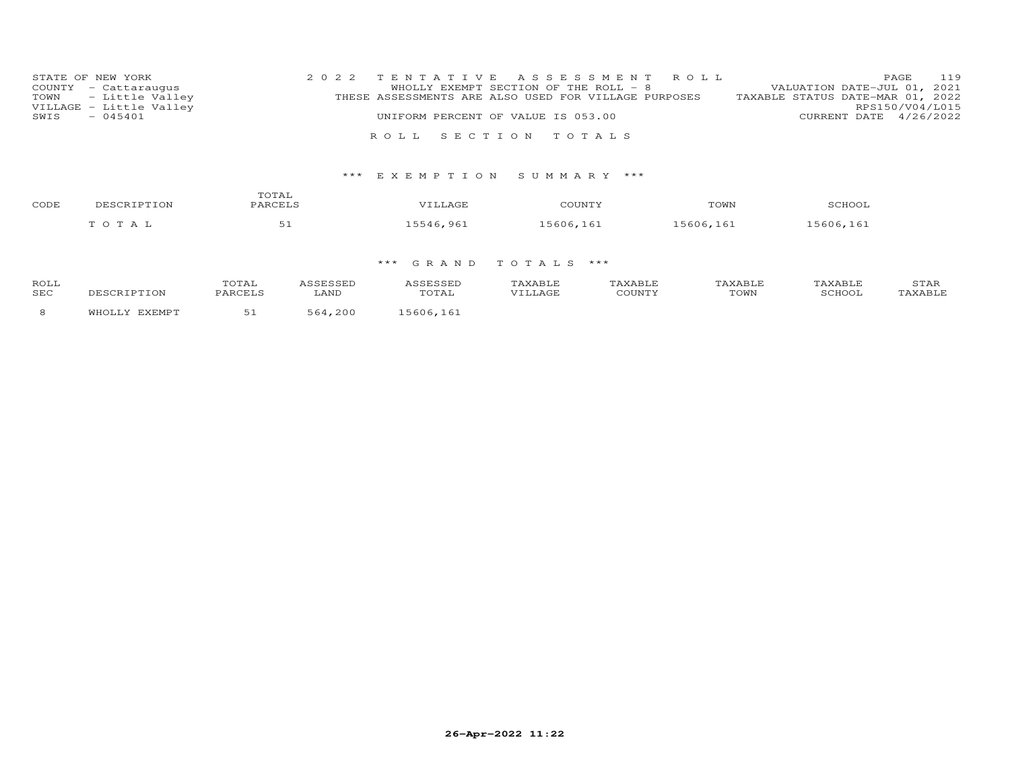| STATE OF NEW YORK       | 2022 TENTATIVE ASSESSMENT ROLL                       | <b>PAGE 119</b>                  |
|-------------------------|------------------------------------------------------|----------------------------------|
| COUNTY - Cattaraugus    | WHOLLY EXEMPT SECTION OF THE ROLL - 8                | VALUATION DATE-JUL 01, 2021      |
| TOWN - Little Valley    | THESE ASSESSMENTS ARE ALSO USED FOR VILLAGE PURPOSES | TAXABLE STATUS DATE-MAR 01, 2022 |
| VILLAGE - Little Valley |                                                      | RPS150/V04/L015                  |
| $-045401$<br>SWIS       | UNIFORM PERCENT OF VALUE IS 053.00                   | CURRENT DATE 4/26/2022           |
|                         |                                                      |                                  |
|                         | ROLL SECTION TOTALS                                  |                                  |

## \*\*\* E X E M P T I O N S U M M A R Y \*\*\*

| CODE | DESCRIPTION         | TOTAL<br>PARCELS | "TLLAGE   | COUNTY    | TOWN      | SCHOO1    |
|------|---------------------|------------------|-----------|-----------|-----------|-----------|
|      | — тота <sup>-</sup> | ັ                | 15546,961 | 15606,161 | 15606,161 | 15606,161 |

## \*\*\* G R A N D T O T A L S \*\*\*

| ROL:<br><b>SEC</b> |  |  |  | <b>POTATN</b><br>∪w₽ |  |
|--------------------|--|--|--|----------------------|--|
|                    |  |  |  |                      |  |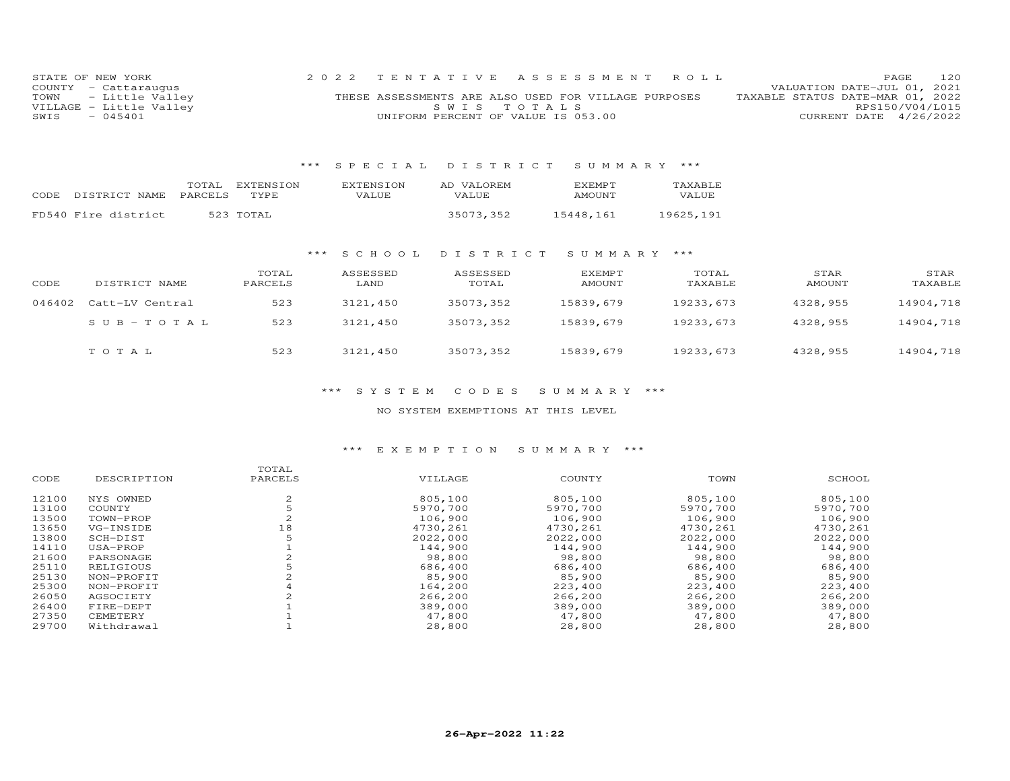| STATE OF NEW YORK       | 2022 TENTATIVE ASSESSMENT ROLL                       |  | <b>PAGE</b>                      | 120 |
|-------------------------|------------------------------------------------------|--|----------------------------------|-----|
| COUNTY - Cattaraugus    |                                                      |  | VALUATION DATE-JUL 01, 2021      |     |
| TOWN - Little Valley    | THESE ASSESSMENTS ARE ALSO USED FOR VILLAGE PURPOSES |  | TAXABLE STATUS DATE-MAR 01, 2022 |     |
| VILLAGE - Little Valley | SWIS TOTALS                                          |  | RPS150/V04/L015                  |     |
| $-045401$<br>SWIS       | UNIFORM PERCENT OF VALUE IS 053.00                   |  | CURRENT DATE 4/26/2022           |     |

## \*\*\* S P E C I A L D I S T R I C T S U M M A R Y \*\*\*

|      |                     | TOTAL   | EXTENSION | <b>EXTENSION</b> | AD VALOREM | <b>EXEMPT</b> | TAXABLE      |
|------|---------------------|---------|-----------|------------------|------------|---------------|--------------|
| CODE | DISTRICT NAME       | PARCELS | TYPE      | VALUE            | VALUE      | AMOUNT        | <b>VALUE</b> |
|      |                     |         |           |                  |            |               |              |
|      | FD540 Fire district |         | 523 TOTAL |                  | 35073,352  | 15448,161     | 19625.191    |

### \*\*\* S C H O O L D I S T R I C T S U M M A R Y \*\*\*

| CODE   | DISTRICT NAME   | TOTAL<br>PARCELS | ASSESSED<br>LAND | ASSESSED<br>TOTAL | EXEMPT<br>AMOUNT | TOTAL<br>TAXABLE | STAR<br>AMOUNT | STAR<br>TAXABLE |
|--------|-----------------|------------------|------------------|-------------------|------------------|------------------|----------------|-----------------|
| 046402 | Catt-LV Central | 523              | 3121,450         | 35073,352         | 15839,679        | 19233,673        | 4328,955       | 14904,718       |
|        | SUB-TOTAL       | 523              | 3121,450         | 35073,352         | 15839,679        | 19233,673        | 4328,955       | 14904,718       |
|        | TOTAL           | 523              | 3121,450         | 35073,352         | 15839,679        | 19233,673        | 4328,955       | 14904,718       |

## \*\*\* S Y S T E M C O D E S S U M M A R Y \*\*\*

## NO SYSTEM EXEMPTIONS AT THIS LEVEL

## \*\*\* E X E M P T I O N S U M M A R Y \*\*\*

|       |             | TOTAL   |          |          |          |          |
|-------|-------------|---------|----------|----------|----------|----------|
| CODE  | DESCRIPTION | PARCELS | VILLAGE  | COUNTY   | TOWN     | SCHOOL   |
| 12100 | NYS OWNED   | 2       | 805,100  | 805,100  | 805,100  | 805,100  |
| 13100 | COUNTY      |         | 5970,700 | 5970,700 | 5970,700 | 5970,700 |
| 13500 | TOWN-PROP   |         | 106,900  | 106,900  | 106,900  | 106,900  |
| 13650 | VG-INSIDE   | 18      | 4730,261 | 4730,261 | 4730,261 | 4730,261 |
| 13800 | SCH-DIST    |         | 2022,000 | 2022,000 | 2022,000 | 2022,000 |
| 14110 | USA-PROP    |         | 144,900  | 144,900  | 144,900  | 144,900  |
| 21600 | PARSONAGE   |         | 98,800   | 98,800   | 98,800   | 98,800   |
| 25110 | RELIGIOUS   |         | 686,400  | 686,400  | 686,400  | 686,400  |
| 25130 | NON-PROFIT  |         | 85,900   | 85,900   | 85,900   | 85,900   |
| 25300 | NON-PROFIT  |         | 164,200  | 223,400  | 223,400  | 223,400  |
| 26050 | AGSOCIETY   |         | 266,200  | 266,200  | 266,200  | 266,200  |
| 26400 | FIRE-DEPT   |         | 389,000  | 389,000  | 389,000  | 389,000  |
| 27350 | CEMETERY    |         | 47,800   | 47,800   | 47,800   | 47,800   |
| 29700 | Withdrawal  |         | 28,800   | 28,800   | 28,800   | 28,800   |
|       |             |         |          |          |          |          |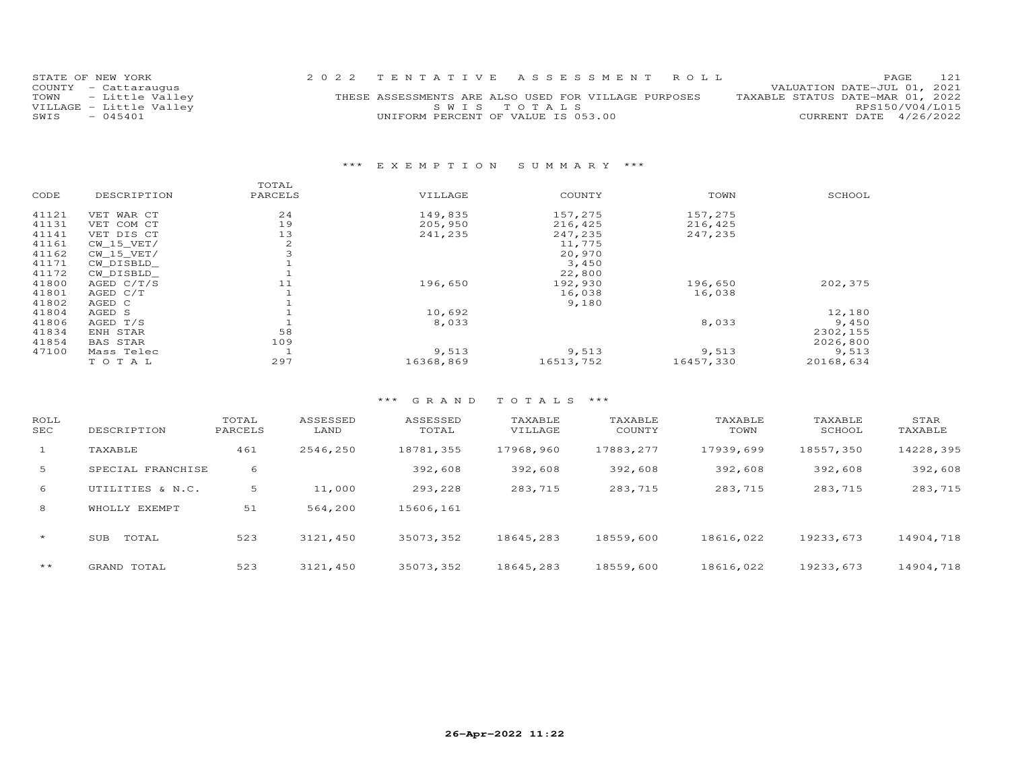| STATE OF NEW YORK       | 2022 TENTATIVE ASSESSMENT ROLL                       |  | PAGE                             | 121             |
|-------------------------|------------------------------------------------------|--|----------------------------------|-----------------|
| COUNTY - Cattaraugus    |                                                      |  | VALUATION DATE-JUL 01, 2021      |                 |
| TOWN - Little Valley    | THESE ASSESSMENTS ARE ALSO USED FOR VILLAGE PURPOSES |  | TAXABLE STATUS DATE-MAR 01, 2022 |                 |
| VILLAGE - Little Valley | SWIS TOTALS                                          |  |                                  | RPS150/V04/L015 |
| $-045401$<br>SWIS       | UNIFORM PERCENT OF VALUE IS 053.00                   |  | CURRENT DATE 4/26/2022           |                 |
|                         |                                                      |  |                                  |                 |

## \*\*\* E X E M P T I O N S U M M A R Y \*\*\*

|       |                 | TOTAL   |           |           |           |           |
|-------|-----------------|---------|-----------|-----------|-----------|-----------|
| CODE  | DESCRIPTION     | PARCELS | VILLAGE   | COUNTY    | TOWN      | SCHOOL    |
| 41121 | VET WAR CT      | 24      | 149,835   | 157,275   | 157,275   |           |
| 41131 | VET COM CT      | 19      | 205,950   | 216,425   | 216,425   |           |
| 41141 | VET DIS CT      | 13      | 241,235   | 247,235   | 247,235   |           |
| 41161 | $CW_15_VET/$    | 2       |           | 11,775    |           |           |
| 41162 | CW 15 VET/      | 3       |           | 20,970    |           |           |
| 41171 | CW DISBLD       |         |           | 3,450     |           |           |
| 41172 | CW DISBLD       |         |           | 22,800    |           |           |
| 41800 | AGED $C/T/S$    | 11      | 196,650   | 192,930   | 196,650   | 202,375   |
| 41801 | AGED C/T        |         |           | 16,038    | 16,038    |           |
| 41802 | AGED C          |         |           | 9,180     |           |           |
| 41804 | AGED S          |         | 10,692    |           |           | 12,180    |
| 41806 | AGED T/S        |         | 8,033     |           | 8,033     | 9,450     |
| 41834 | ENH STAR        | 58      |           |           |           | 2302,155  |
| 41854 | <b>BAS STAR</b> | 109     |           |           |           | 2026,800  |
| 47100 | Mass Telec      |         | 9,513     | 9,513     | 9,513     | 9,513     |
|       | TOTAL           | 297     | 16368,869 | 16513,752 | 16457,330 | 20168,634 |
|       |                 |         |           |           |           |           |

## \*\*\* G R A N D T O T A L S \*\*\*

| ROLL<br>SEC | DESCRIPTION               | TOTAL<br>PARCELS | ASSESSED<br>LAND | ASSESSED<br>TOTAL | TAXABLE<br>VILLAGE | TAXABLE<br>COUNTY | TAXABLE<br>TOWN | TAXABLE<br>SCHOOL | STAR<br>TAXABLE |
|-------------|---------------------------|------------------|------------------|-------------------|--------------------|-------------------|-----------------|-------------------|-----------------|
| $\perp$     | TAXABLE                   | 461              | 2546,250         | 18781,355         | 17968,960          | 17883, 277        | 17939,699       | 18557,350         | 14228,395       |
| 5           | SPECIAL FRANCHISE         | 6                |                  | 392,608           | 392,608            | 392,608           | 392,608         | 392,608           | 392,608         |
| 6           | UTILITIES & N.C.          | 5                | 11,000           | 293,228           | 283,715            | 283,715           | 283,715         | 283,715           | 283,715         |
| 8           | EXEMPT<br><b>WHOT.T.Y</b> | 51               | 564,200          | 15606,161         |                    |                   |                 |                   |                 |
| $\star$     | TOTAL<br>SUB              | 523              | 3121,450         | 35073,352         | 18645,283          | 18559,600         | 18616,022       | 19233,673         | 14904,718       |
| $***$       | GRAND TOTAL               | 523              | 3121,450         | 35073,352         | 18645,283          | 18559,600         | 18616,022       | 19233,673         | 14904,718       |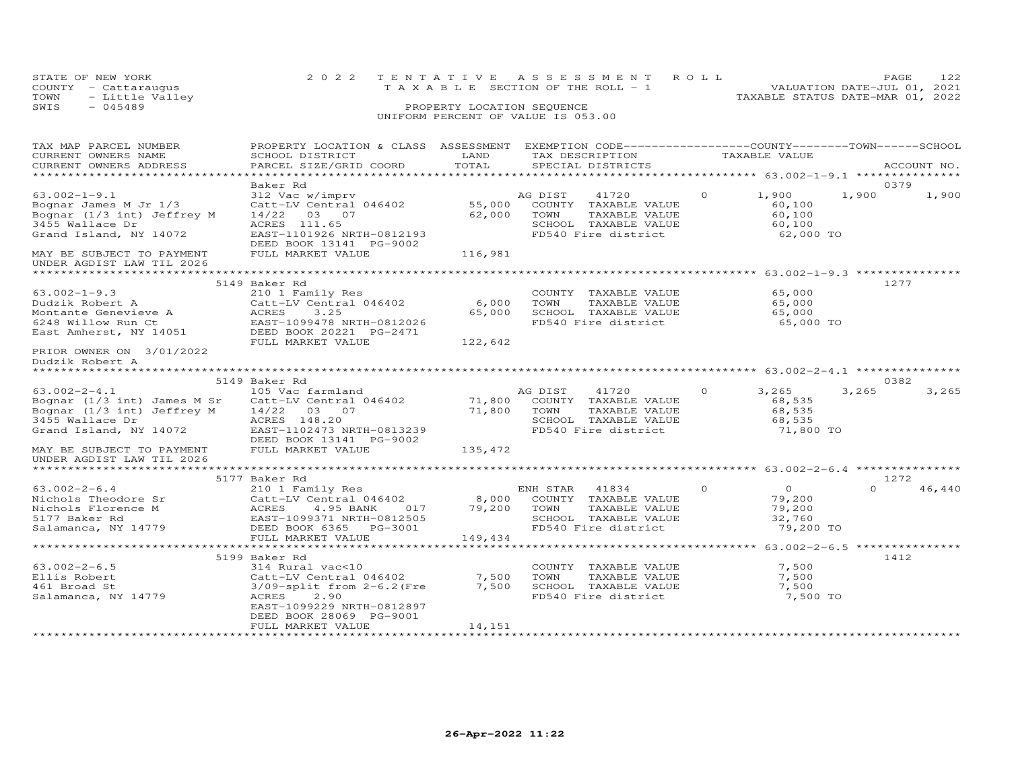|      | STATE OF NEW YORK    | 2022 TENTATIVE ASSESSMENT ROLL                                       | PAGE | 122 |
|------|----------------------|----------------------------------------------------------------------|------|-----|
|      | COUNTY - Cattaraugus | VALUATION DATE-JUL 01, 2021<br>T A X A B L E SECTION OF THE ROLL - 1 |      |     |
| TOWN | - Little Valley      | TAXABLE STATUS DATE-MAR 01, 2022                                     |      |     |
| SWIS | $-045489$            | PROPERTY LOCATION SEQUENCE                                           |      |     |
|      |                      | UNIFORM PERCENT OF VALUE IS 053.00                                   |      |     |

# TAX MAP PARCEL NUMBER PROPERTY LOCATION & CLASS ASSESSMENT EXEMPTION CODE------------------COUNTY--------TOWN------SCHOOL CURRENT OWNERS NAME SCHOOL DISTRICT LAND TAX DESCRIPTION TAXABLE VALUE CURRENT OWNERS ADDRESS PARCEL SIZE/GRID COORD TOTAL SPECIAL DISTRICTS ACCOUNT NO. \*\*\*\*\*\*\*\*\*\*\*\*\*\*\*\*\*\*\*\*\*\*\*\*\*\*\*\*\*\*\*\*\*\*\*\*\*\*\*\*\*\*\*\*\*\*\*\*\*\*\*\*\*\*\*\*\*\*\*\*\*\*\*\*\*\*\*\*\*\*\*\*\*\*\*\*\*\*\*\*\*\*\*\*\*\*\*\*\*\*\*\*\*\*\*\*\*\*\*\*\*\*\* 63.002-1-9.1 \*\*\*\*\*\*\*\*\*\*\*\*\*\*\* Baker Rd 037963.002-1-9.1 312 Vac w/imprv AG DIST 41720 0 1,900 1,900 1,900Bognar James M Jr 1/3 Catt-LV Central 046402 55,000 COUNTY TAXABLE VALUE 60,100 Bognar (1/3 int) Jeffrey M 14/22 03 07 62,000 TOWN TAXABLE VALUE 60,100 3455 Wallace Dr ACRES 111.65 SCHOOL TAXABLE VALUE 60,1001,900 1,900 60,100<br>62,000 TO Grand Island, NY 14072 EAST-1101926 NRTH-0812193 FD540 Fire district 62,000 TO DEED BOOK 13141 PG-9002 MAY BE SUBJECT TO PAYMENT FULL MARKET VALUE 116,981UNDER AGDIST LAW TIL 2026 \*\*\*\*\*\*\*\*\*\*\*\*\*\*\*\*\*\*\*\*\*\*\*\*\*\*\*\*\*\*\*\*\*\*\*\*\*\*\*\*\*\*\*\*\*\*\*\*\*\*\*\*\*\*\*\*\*\*\*\*\*\*\*\*\*\*\*\*\*\*\*\*\*\*\*\*\*\*\*\*\*\*\*\*\*\*\*\*\*\*\*\*\*\*\*\*\*\*\*\*\*\*\* 63.002-1-9.3 \*\*\*\*\*\*\*\*\*\*\*\*\*\*\* 5149 Baker Rd 127763.002-1-9.3 (210 1 Family Res (2000 TOWTY TAXABLE VALUE)<br>
Dudzik Robert A (2011 Family Res 6,000 TOWN TAXABLE VALUE) 65,000<br>
Montante Genevieve A (2021 FORTH-0812026 65,000 SCHOOL TAXABLE VALUE) 65,000<br>
6248 Willow Run Ct 65,000 65,000 65,000 TO Dudzik Robert A \*\*\*\*\*\*\*\*\*\*\*\*\*\*\*\*\*\*\*\*\*\*\*\*\*\*\*\*\*\*\*\*\*\*\*\*\*\*\*\*\*\*\*\*\*\*\*\*\*\*\*\*\*\*\*\*\*\*\*\*\*\*\*\*\*\*\*\*\*\*\*\*\*\*\*\*\*\*\*\*\*\*\*\*\*\*\*\*\*\*\*\*\*\*\*\*\*\*\*\*\*\*\* 63.002-2-4.1 \*\*\*\*\*\*\*\*\*\*\*\*\*\*\* 5149 Baker Rd 038263.002-2-4.1 105 Vac farmland AG DIST 41720 0 3,265 3,265 3,265Bognar (1/3 int) James M Sr Catt-LV Central 046402 71,800 COUNTY TAXABLE VALUE 68,535 Bognar (1/3 int) Jeffrey M 14/22 03 07 71,800 TOWN TAXABLE VALUE 68,535 3455 Wallace Dr ACRES 148.20 SCHOOL TAXABLE VALUE 68,535 Grand Island, NY 14072 EAST-1102473 NRTH-0813239 FD540 Fire district 71,800 TO DEED BOOK 13141 PG-9002 MAY BE SUBJECT TO PAYMENT FULL MARKET VALUE 135,472 $3, 265$   $3, 265$ UNDER AGDIST LAW TIL 2026 \*\*\*\*\*\*\*\*\*\*\*\*\*\*\*\*\*\*\*\*\*\*\*\*\*\*\*\*\*\*\*\*\*\*\*\*\*\*\*\*\*\*\*\*\*\*\*\*\*\*\*\*\*\*\*\*\*\*\*\*\*\*\*\*\*\*\*\*\*\*\*\*\*\*\*\*\*\*\*\*\*\*\*\*\*\*\*\*\*\*\*\*\*\*\*\*\*\*\*\*\*\*\* 63.002-2-6.4 \*\*\*\*\*\*\*\*\*\*\*\*\*\*\* 5177 Baker Rd 1272 63.002-2-6.4 210 1 Family Res ENH STAR 41834 0 0 0 46,440 Nichols Theodore Sr Catt-LV Central 046402 8,000 COUNTY TAXABLE VALUE 79,200 Nichols Florence M ACRES 4.95 BANK 017 79,200 TOWN TAXABLE VALUE 79,200 5177 Baker Rd EAST-1099371 NRTH-0812505 SCHOOL TAXABLE VALUE 32,760 Salamanca, NY 14779 DEED BOOK 6365 PG-3001 FD540 Fire district 79,200 TO FULL MARKET VALUE 149,434 \*\*\*\*\*\*\*\*\*\*\*\*\*\*\*\*\*\*\*\*\*\*\*\*\*\*\*\*\*\*\*\*\*\*\*\*\*\*\*\*\*\*\*\*\*\*\*\*\*\*\*\*\*\*\*\*\*\*\*\*\*\*\*\*\*\*\*\*\*\*\*\*\*\*\*\*\*\*\*\*\*\*\*\*\*\*\*\*\*\*\*\*\*\*\*\*\*\*\*\*\*\*\* 63.002-2-6.5 \*\*\*\*\*\*\*\*\*\*\*\*\*\*\* 5199 Baker Rd 141263.002-2-6.5 314 Rural vac<10 COUNTY TAXABLE VALUE 7,500Ellis Robert Catt-LV Central 046402 7,500 TOWN TAXABLE VALUE 7,500461 Broad St 3/09-split from 2-6.2(Fre 7,500 SCHOOL TAXABLE VALUE 7,500Salamanca, NY 14779 ACRES 2.90 FD540 Fire district 7,500 TO $7,500$ ֖֖֚֚֚֚֚֚֚֚֚֚֚֚֚֚֚֚֚֚֚֚֡֡֡֡֡֡֡֡֡֡֡֞ EAST-1099229 NRTH-0812897DEED BOOK 28069 PG-9001

\*\*\*\*\*\*\*\*\*\*\*\*\*\*\*\*\*\*\*\*\*\*\*\*\*\*\*\*\*\*\*\*\*\*\*\*\*\*\*\*\*\*\*\*\*\*\*\*\*\*\*\*\*\*\*\*\*\*\*\*\*\*\*\*\*\*\*\*\*\*\*\*\*\*\*\*\*\*\*\*\*\*\*\*\*\*\*\*\*\*\*\*\*\*\*\*\*\*\*\*\*\*\*\*\*\*\*\*\*\*\*\*\*\*\*\*\*\*\*\*\*\*\*\*\*\*\*\*\*\*\*\*

FULL MARKET VALUE 14,151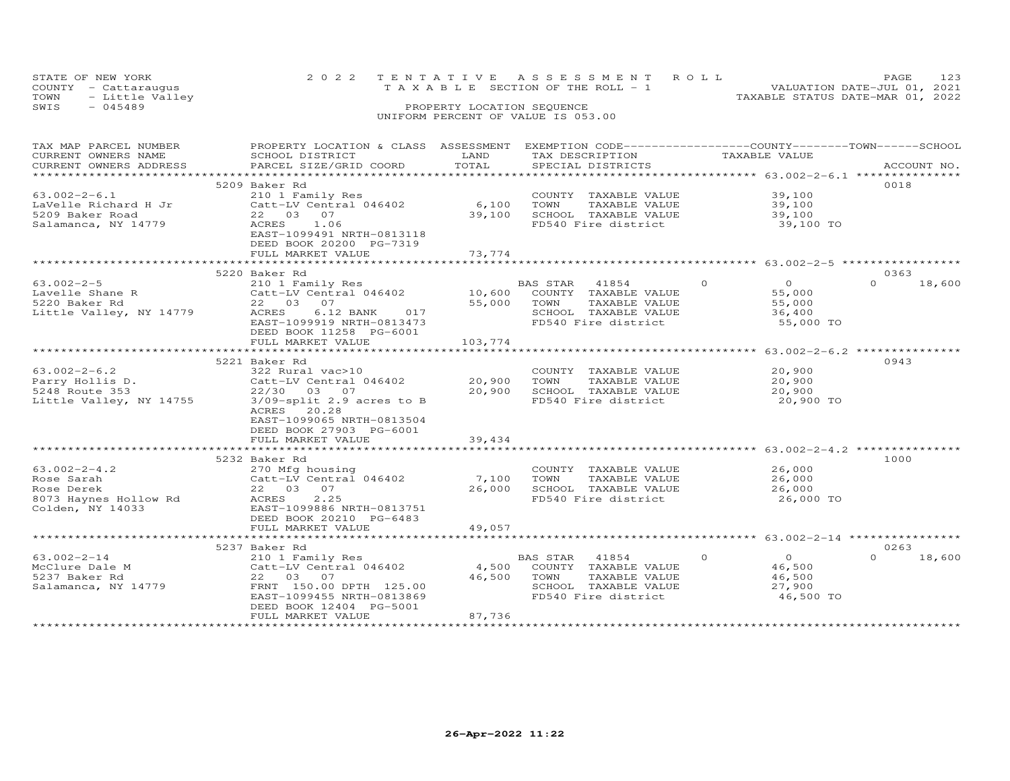|      | STATE OF NEW YORK    |  | 2022 TENTATIVE ASSESSMENT ROLL     |                                  | <b>PAGE</b> |  |
|------|----------------------|--|------------------------------------|----------------------------------|-------------|--|
|      | COUNTY - Cattaraugus |  | TAXABLE SECTION OF THE ROLL - 1    | VALUATION DATE-JUL 01, 2021      |             |  |
|      | TOWN - Little Valley |  |                                    | TAXABLE STATUS DATE-MAR 01, 2022 |             |  |
| SWIS | $-045489$            |  | PROPERTY LOCATION SEQUENCE         |                                  |             |  |
|      |                      |  | UNIFORM PERCENT OF VALUE IS 053.00 |                                  |             |  |

| TAX MAP PARCEL NUMBER<br>CURRENT OWNERS NAME<br>CURRENT OWNERS ADDRESS                      | PROPERTY LOCATION & CLASS ASSESSMENT EXEMPTION CODE-----------------COUNTY--------TOWN------SCHOOL<br>SCHOOL DISTRICT<br>PARCEL SIZE/GRID COORD                                                     | LAND<br>TOTAL                  | TAX DESCRIPTION TAXABLE VALUE<br>SPECIAL DISTRICTS                                                               |                                                                       | ACCOUNT NO.                |
|---------------------------------------------------------------------------------------------|-----------------------------------------------------------------------------------------------------------------------------------------------------------------------------------------------------|--------------------------------|------------------------------------------------------------------------------------------------------------------|-----------------------------------------------------------------------|----------------------------|
| $63.002 - 2 - 6.1$<br>LaVelle Richard H Jr<br>5209 Baker Road<br>Salamanca, NY 14779        | 5209 Baker Rd<br>210 1 Family Res<br>Catt-LV Central 046402<br>22 03 07<br>ACRES<br>1.06<br>EAST-1099491 NRTH-0813118<br>DEED BOOK 20200 PG-7319<br>FULL MARKET VALUE                               | 6,100 TOWN<br>39,100<br>73,774 | COUNTY TAXABLE VALUE<br>TAXABLE VALUE<br>SCHOOL TAXABLE VALUE<br>FD540 Fire district                             | 39,100<br>39,100<br>39,100<br>39,100 TO                               | 0018                       |
|                                                                                             |                                                                                                                                                                                                     |                                |                                                                                                                  |                                                                       |                            |
| 63.002-2-5<br>Lavelle Shane R<br>5220 Baker Rd<br>Little Valley, NY 14779                   | 5220 Baker Rd<br>210 1 Family Res<br>Catt-LV Central 046402<br>22 03<br>07<br>ACRES<br>$6.12$ BANK<br>017<br>EAST-1099919 NRTH-0813473<br>DEED BOOK 11258 PG-6001<br>FULL MARKET VALUE              | 55,000 TOWN<br>103,774         | BAS STAR<br>41854<br>10,600 COUNTY TAXABLE VALUE<br>TAXABLE VALUE<br>SCHOOL TAXABLE VALUE<br>FD540 Fire district | $\Omega$<br>$\overline{O}$<br>55,000<br>55,000<br>36,400<br>55,000 TO | 0363<br>$\Omega$<br>18,600 |
|                                                                                             |                                                                                                                                                                                                     |                                |                                                                                                                  |                                                                       |                            |
| $63.002 - 2 - 6.2$<br>Parry Hollis D.<br>5248 Route 353<br>Little Valley, NY 14755          | 5221 Baker Rd<br>322 Rural vac>10<br>Catt-LV Central 046402<br>22/30 03 07<br>3/09-split 2.9 acres to B<br>ACRES 20.28<br>EAST-1099065 NRTH-0813504<br>DEED BOOK 27903 PG-6001<br>FULL MARKET VALUE | 20,900<br>20,900<br>39,434     | COUNTY TAXABLE VALUE<br>TOWN<br>TAXABLE VALUE<br>SCHOOL TAXABLE VALUE<br>FD540 Fire district                     | 20,900<br>20,900<br>20,900<br>20,900 TO                               | 0943                       |
|                                                                                             |                                                                                                                                                                                                     |                                |                                                                                                                  |                                                                       |                            |
| $63.002 - 2 - 4.2$<br>Rose Sarah<br>Rose Derek<br>8073 Haynes Hollow Rd<br>Colden, NY 14033 | 5232 Baker Rd<br>270 Mfg housing<br>Catt-LV Central 046402<br>22 03 07<br>ACRES<br>2.25<br>EAST-1099886 NRTH-0813751<br>DEED BOOK 20210 PG-6483<br>FULL MARKET VALUE                                | 7,100<br>26,000<br>49,057      | COUNTY TAXABLE VALUE<br>TOWN<br>TAXABLE VALUE<br>SCHOOL TAXABLE VALUE<br>FD540 Fire district                     | 26,000<br>26,000<br>26,000<br>26,000 TO                               | 1000                       |
|                                                                                             | ***********************************                                                                                                                                                                 | **************                 |                                                                                                                  | ********************** 63.002-2-14 **************                     |                            |
|                                                                                             | 5237 Baker Rd                                                                                                                                                                                       |                                |                                                                                                                  |                                                                       | 0263                       |
| $63.002 - 2 - 14$<br>McClure Dale M<br>5237 Baker Rd<br>Salamanca, NY 14779                 | 210 1 Family Res<br>Catt-LV Central 046402<br>22 03 07<br>FRNT 150.00 DPTH 125.00<br>EAST-1099455 NRTH-0813869<br>DEED BOOK 12404 PG-5001<br>FULL MARKET VALUE                                      | 4,500<br>46,500 TOWN<br>87,736 | BAS STAR<br>41854<br>COUNTY TAXABLE VALUE<br>TAXABLE VALUE<br>SCHOOL TAXABLE VALUE<br>FD540 Fire district        | $\circ$<br>$\overline{O}$<br>46,500<br>46,500<br>27,900<br>46,500 TO  | $\Omega$<br>18,600         |
|                                                                                             |                                                                                                                                                                                                     |                                |                                                                                                                  |                                                                       |                            |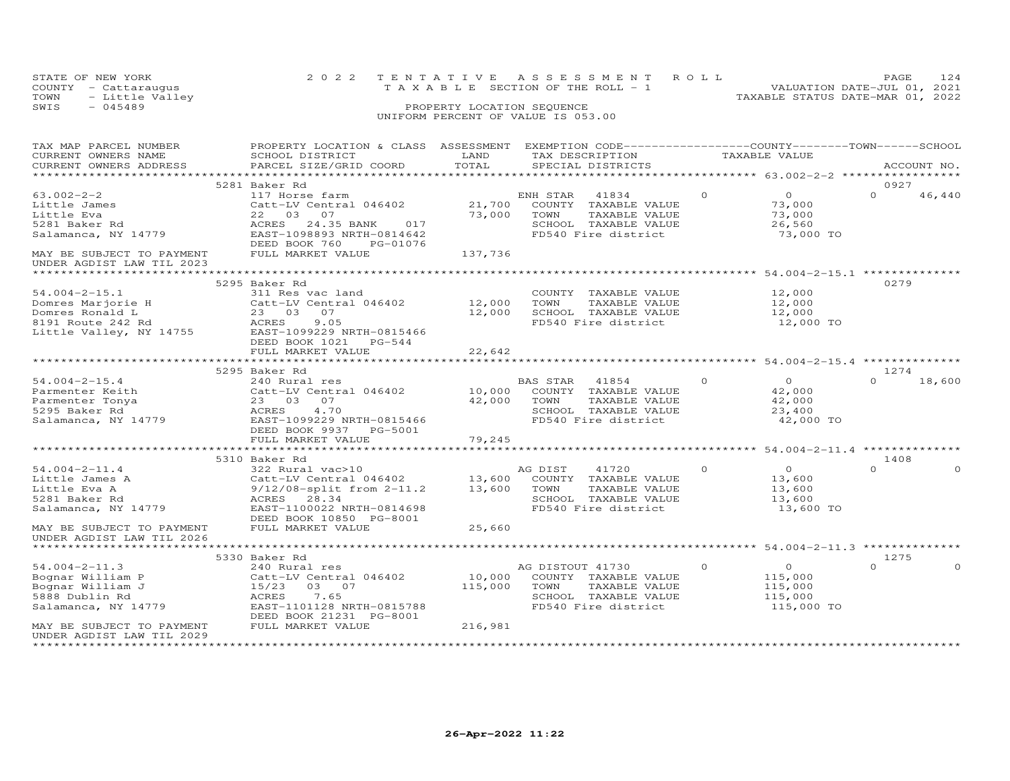|      | STATE OF NEW YORK    | 2022 TENTATIVE ASSESSMENT ROLL                                       | PAGE. |  |
|------|----------------------|----------------------------------------------------------------------|-------|--|
|      | COUNTY - Cattaraugus | VALUATION DATE-JUL 01, 2021<br>T A X A B L E SECTION OF THE ROLL - 1 |       |  |
| TOWN | - Little Valley      | TAXABLE STATUS DATE-MAR 01, 2022                                     |       |  |
| SWIS | - 045489             | PROPERTY LOCATION SEQUENCE                                           |       |  |
|      |                      | UNIFORM PERCENT OF VALUE IS 053.00                                   |       |  |

| TAX MAP PARCEL NUMBER<br>CURRENT OWNERS NAME                                       | PROPERTY LOCATION & CLASS ASSESSMENT EXEMPTION CODE----------------COUNTY-------TOWN------SCHOOL<br>SCHOOL DISTRICT | LAND    | TAX DESCRIPTION       |          | TAXABLE VALUE                              |          |             |
|------------------------------------------------------------------------------------|---------------------------------------------------------------------------------------------------------------------|---------|-----------------------|----------|--------------------------------------------|----------|-------------|
| CURRENT OWNERS ADDRESS                                                             | PARCEL SIZE/GRID COORD                                                                                              | TOTAL   | SPECIAL DISTRICTS     |          |                                            |          | ACCOUNT NO. |
|                                                                                    | 5281 Baker Rd                                                                                                       |         |                       |          |                                            | 0927     |             |
| $63.002 - 2 - 2$                                                                   | 117 Horse farm                                                                                                      |         | ENH STAR<br>41834     | $\Omega$ | $\overline{0}$                             | $\Omega$ | 46,440      |
| Little James                                                                       | Catt-LV Central 046402                                                                                              | 21,700  | COUNTY TAXABLE VALUE  |          | 73,000                                     |          |             |
| Little Eva                                                                         | 22 03 07                                                                                                            | 73,000  | TOWN<br>TAXABLE VALUE |          | 73,000                                     |          |             |
| 5281 Baker Rd                                                                      | 24.35 BANK<br>ACRES<br>017                                                                                          |         | SCHOOL TAXABLE VALUE  |          | 26,560                                     |          |             |
| Salamanca, NY 14779                                                                | EAST-1098893 NRTH-0814642                                                                                           |         | FD540 Fire district   |          | 73,000 TO                                  |          |             |
|                                                                                    | DEED BOOK 760<br>PG-01076                                                                                           |         |                       |          |                                            |          |             |
| MAY BE SUBJECT TO PAYMENT<br>UNDER AGDIST LAW TIL 2023                             | FULL MARKET VALUE                                                                                                   | 137,736 |                       |          |                                            |          |             |
|                                                                                    |                                                                                                                     |         |                       |          | ****************** 54.004-2-15.1 ********* |          |             |
|                                                                                    | 5295 Baker Rd                                                                                                       |         |                       |          |                                            | 0279     |             |
| 54.004-2-15.1<br>Domres Marjorie H Catt-L<br>Domres Ronald L 23 0<br>23 0<br>ACRES | 311 Res vac land                                                                                                    |         | COUNTY TAXABLE VALUE  |          | 12,000                                     |          |             |
|                                                                                    | Catt-LV Central 046402 12,000                                                                                       |         | TOWN<br>TAXABLE VALUE |          | 12,000                                     |          |             |
|                                                                                    | 23 03 07                                                                                                            | 12,000  | SCHOOL TAXABLE VALUE  |          | 12,000                                     |          |             |
|                                                                                    | 9.05                                                                                                                |         | FD540 Fire district   |          | 12,000 TO                                  |          |             |
| Little Valley, NY 14755                                                            | EAST-1099229 NRTH-0815466                                                                                           |         |                       |          |                                            |          |             |
|                                                                                    | DEED BOOK 1021    PG-544                                                                                            |         |                       |          |                                            |          |             |
|                                                                                    | FULL MARKET VALUE                                                                                                   | 22,642  |                       |          |                                            |          |             |
|                                                                                    | 5295 Baker Rd                                                                                                       |         |                       |          |                                            | 1274     |             |
| $54.004 - 2 - 15.4$                                                                | 240 Rural res                                                                                                       |         | BAS STAR<br>41854     | $\Omega$ | $\overline{O}$                             | $\cap$   | 18,600      |
| Parmenter Keith                                                                    | Catt-LV Central 046402                                                                                              | 10,000  | COUNTY TAXABLE VALUE  |          | 42,000                                     |          |             |
| Parmenter Tonya                                                                    | 23 03 07                                                                                                            | 42,000  | TOWN<br>TAXABLE VALUE |          | 42,000                                     |          |             |
| 5295 Baker Rd                                                                      | ACRES<br>4.70                                                                                                       |         | SCHOOL TAXABLE VALUE  |          | 23,400                                     |          |             |
| Salamanca, NY 14779                                                                | EAST-1099229 NRTH-0815466                                                                                           |         | FD540 Fire district   |          | 42,000 TO                                  |          |             |
|                                                                                    | DEED BOOK 9937 PG-5001                                                                                              |         |                       |          |                                            |          |             |
|                                                                                    | FULL MARKET VALUE                                                                                                   | 79,245  |                       |          |                                            |          |             |
|                                                                                    | *************************                                                                                           |         |                       |          | *********** 54.004-2-11.4 **               |          |             |
|                                                                                    | 5310 Baker Rd                                                                                                       |         |                       |          |                                            | 1408     |             |
| $54.004 - 2 - 11.4$                                                                | 322 Rural vac>10                                                                                                    |         | AG DIST<br>41720      | $\Omega$ | $\overline{0}$                             | $\Omega$ | $\Omega$    |
| Little James A                                                                     | Catt-LV Central 046402<br>9/12/08-split from 2-11.2 13,600 TOWN TAXABLE VALUE                                       |         |                       |          | 13,600                                     |          |             |
| Little Eva A                                                                       | 9/12/08-split from 2-11.2<br>ACRES 28.34                                                                            |         |                       |          | 13,600                                     |          |             |
| 5281 Baker Rd                                                                      |                                                                                                                     |         | SCHOOL TAXABLE VALUE  |          | 13,600                                     |          |             |
| Salamanca, NY 14779                                                                | EAST-1100022 NRTH-0814698<br>DEED BOOK 10850 PG-8001                                                                |         | FD540 Fire district   |          | 13,600 TO                                  |          |             |
| MAY BE SUBJECT TO PAYMENT                                                          | FULL MARKET VALUE                                                                                                   | 25,660  |                       |          |                                            |          |             |
| UNDER AGDIST LAW TIL 2026                                                          |                                                                                                                     |         |                       |          |                                            |          |             |
|                                                                                    |                                                                                                                     |         |                       |          |                                            |          |             |
|                                                                                    | 5330 Baker Rd                                                                                                       |         |                       |          |                                            | 1275     |             |
| $54.004 - 2 - 11.3$                                                                | 240 Rural res                                                                                                       |         | AG DISTOUT 41730      | $\circ$  | $\overline{O}$                             | $\Omega$ | $\Omega$    |
| Bognar William P                                                                   | Catt-LV Central 046402                                                                                              | 10,000  | COUNTY TAXABLE VALUE  |          | 115,000                                    |          |             |
| Bognar William J                                                                   | 15/23 03 07                                                                                                         | 115,000 | TOWN<br>TAXABLE VALUE |          | 115,000                                    |          |             |
| 5888 Dublin Rd                                                                     | 7.65<br>ACRES                                                                                                       |         | SCHOOL TAXABLE VALUE  |          | 115,000                                    |          |             |
| Salamanca, NY 14779                                                                | EAST-1101128 NRTH-0815788                                                                                           |         | FD540 Fire district   |          | 115,000 TO                                 |          |             |
|                                                                                    | DEED BOOK 21231 PG-8001                                                                                             |         |                       |          |                                            |          |             |
| MAY BE SUBJECT TO PAYMENT                                                          | FULL MARKET VALUE                                                                                                   | 216,981 |                       |          |                                            |          |             |
| UNDER AGDIST LAW TIL 2029<br>*********************                                 |                                                                                                                     |         |                       |          |                                            |          |             |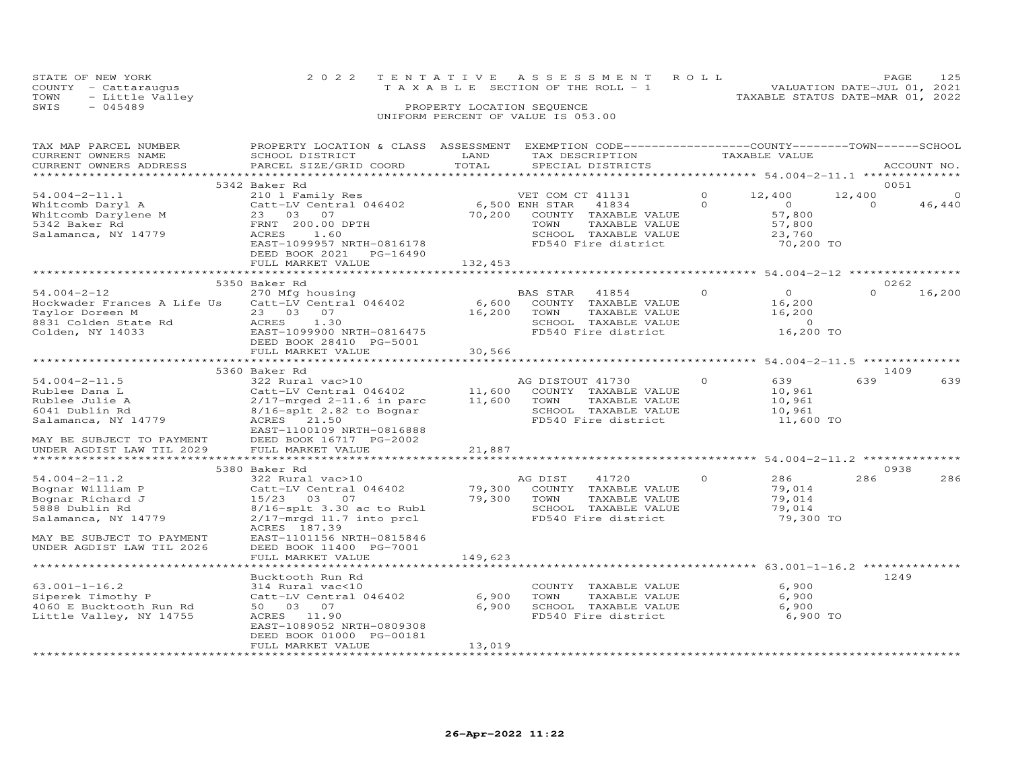|      | STATE OF NEW YORK    | 2022 TENTATIVE ASSESSMENT ROLL        | 125<br><b>PAGE</b>               |
|------|----------------------|---------------------------------------|----------------------------------|
|      | COUNTY - Cattaraugus | T A X A B L E SECTION OF THE ROLL - 1 | VALUATION DATE-JUL 01, 2021      |
| TOWN | - Little Valley      |                                       | TAXABLE STATUS DATE-MAR 01, 2022 |
| SWIS | - 045489             | PROPERTY LOCATION SEQUENCE            |                                  |
|      |                      |                                       |                                  |

| TAX MAP PARCEL NUMBER       | PROPERTY LOCATION & CLASS ASSESSMENT |             | EXEMPTION CODE-----------------COUNTY-------TOWN------SCHOOL |          |                |          |             |
|-----------------------------|--------------------------------------|-------------|--------------------------------------------------------------|----------|----------------|----------|-------------|
| CURRENT OWNERS NAME         | SCHOOL DISTRICT                      | LAND        | TAX DESCRIPTION                                              |          | TAXABLE VALUE  |          |             |
| CURRENT OWNERS ADDRESS      | PARCEL SIZE/GRID COORD               | TOTAL       | SPECIAL DISTRICTS                                            |          |                |          | ACCOUNT NO. |
|                             |                                      |             |                                                              |          |                |          |             |
|                             | 5342 Baker Rd                        |             |                                                              |          |                |          | 0051        |
| $54.004 - 2 - 11.1$         | 210 1 Family Res                     |             | VET COM CT 41131                                             | $\Omega$ | 12,400         | 12,400   | $\Omega$    |
| Whitcomb Daryl A            | Catt-LV Central 046402               |             | 6,500 ENH STAR<br>41834                                      | $\Omega$ | $\Omega$       | $\Omega$ | 46,440      |
| Whitcomb Darylene M         | 23 03 07                             | 70,200      | COUNTY TAXABLE VALUE                                         |          | 57,800         |          |             |
| 5342 Baker Rd               | FRNT 200.00 DPTH                     |             | TOWN<br>TAXABLE VALUE                                        |          | 57,800         |          |             |
| Salamanca, NY 14779         | ACRES<br>1.60                        |             | SCHOOL TAXABLE VALUE                                         |          | 23,760         |          |             |
|                             | EAST-1099957 NRTH-0816178            |             | FD540 Fire district                                          |          | 70,200 TO      |          |             |
|                             | DEED BOOK 2021 PG-16490              |             |                                                              |          |                |          |             |
|                             | FULL MARKET VALUE                    | 132,453     |                                                              |          |                |          |             |
|                             |                                      |             |                                                              |          |                |          |             |
|                             | 5350 Baker Rd                        |             |                                                              |          |                |          | 0262        |
| $54.004 - 2 - 12$           | 270 Mfg housing                      |             | BAS STAR 41854                                               | $\Omega$ | $\overline{O}$ | $\Omega$ | 16,200      |
| Hockwader Frances A Life Us | Catt-LV Central 046402               | 6,600       | COUNTY TAXABLE VALUE                                         |          | 16,200         |          |             |
| Taylor Doreen M             | 23 03 07                             | 16,200      | TOWN<br>TAXABLE VALUE                                        |          | 16,200         |          |             |
| 8831 Colden State Rd        | ACRES<br>1.30                        |             | SCHOOL TAXABLE VALUE                                         |          | $\Omega$       |          |             |
| Colden, NY 14033            | EAST-1099900 NRTH-0816475            |             | FD540 Fire district                                          |          | 16,200 TO      |          |             |
|                             | DEED BOOK 28410 PG-5001              |             |                                                              |          |                |          |             |
|                             | FULL MARKET VALUE                    | 30,566      |                                                              |          |                |          |             |
|                             |                                      |             |                                                              |          |                |          |             |
|                             | 5360 Baker Rd                        |             |                                                              |          |                |          | 1409        |
| $54.004 - 2 - 11.5$         | 322 Rural vac>10                     |             | AG DISTOUT 41730                                             | $\Omega$ | 639            | 639      | 639         |
| Rublee Dana L               | Catt-LV Central 046402               | 11,600      | COUNTY TAXABLE VALUE                                         |          | 10,961         |          |             |
| Rublee Julie A              | $2/17$ -mrged $2-11.6$ in parc       | 11,600      | TOWN<br>TAXABLE VALUE                                        |          | 10,961         |          |             |
| 6041 Dublin Rd              | $8/16$ -splt 2.82 to Bognar          |             | SCHOOL TAXABLE VALUE                                         |          | 10,961         |          |             |
| Salamanca, NY 14779         | ACRES 21.50                          |             | FD540 Fire district                                          |          | 11,600 TO      |          |             |
|                             | EAST-1100109 NRTH-0816888            |             |                                                              |          |                |          |             |
| MAY BE SUBJECT TO PAYMENT   | DEED BOOK 16717 PG-2002              |             |                                                              |          |                |          |             |
| UNDER AGDIST LAW TIL 2029   | FULL MARKET VALUE                    | 21,887      |                                                              |          |                |          |             |
|                             |                                      |             |                                                              |          |                |          |             |
|                             | 5380 Baker Rd                        |             |                                                              |          |                |          | 0938        |
| $54.004 - 2 - 11.2$         | 322 Rural vac>10                     |             | 41720<br>AG DIST                                             | $\circ$  | 286            | 286      | 286         |
| Bognar William P            | Catt-LV Central 046402               |             | 79,300 COUNTY TAXABLE VALUE                                  |          | 79,014         |          |             |
| Bognar Richard J            | 15/23 03 07                          | 79,300 TOWN | TAXABLE VALUE                                                |          | 79,014         |          |             |
| 5888 Dublin Rd              | $8/16$ -splt $3.30$ ac to Rubl       |             | SCHOOL TAXABLE VALUE                                         |          | 79,014         |          |             |
| Salamanca, NY 14779         | $2/17$ -mrgd 11.7 into prcl          |             | FD540 Fire district                                          |          | 79,300 TO      |          |             |
|                             | ACRES 187.39                         |             |                                                              |          |                |          |             |
| MAY BE SUBJECT TO PAYMENT   | EAST-1101156 NRTH-0815846            |             |                                                              |          |                |          |             |
| UNDER AGDIST LAW TIL 2026   | DEED BOOK 11400 PG-7001              |             |                                                              |          |                |          |             |
|                             | FULL MARKET VALUE                    | 149,623     |                                                              |          |                |          |             |
|                             |                                      |             |                                                              |          |                |          |             |
|                             | Bucktooth Run Rd                     |             |                                                              |          |                |          | 1249        |
| $63.001 - 1 - 16.2$         | 314 Rural vac<10                     |             | COUNTY TAXABLE VALUE                                         |          | 6,900          |          |             |
| Siperek Timothy P           | Catt-LV Central 046402               | 6,900       | TOWN<br>TAXABLE VALUE                                        |          | 6,900          |          |             |
| 4060 E Bucktooth Run Rd     | 50 03 07                             | 6,900       | SCHOOL TAXABLE VALUE                                         |          | 6,900          |          |             |
| Little Valley, NY 14755     | ACRES 11.90                          |             | FD540 Fire district                                          |          | 6,900 TO       |          |             |
|                             | EAST-1089052 NRTH-0809308            |             |                                                              |          |                |          |             |
|                             | DEED BOOK 01000 PG-00181             |             |                                                              |          |                |          |             |
|                             | FULL MARKET VALUE                    | 13,019      |                                                              |          |                |          |             |
|                             |                                      |             |                                                              |          |                |          |             |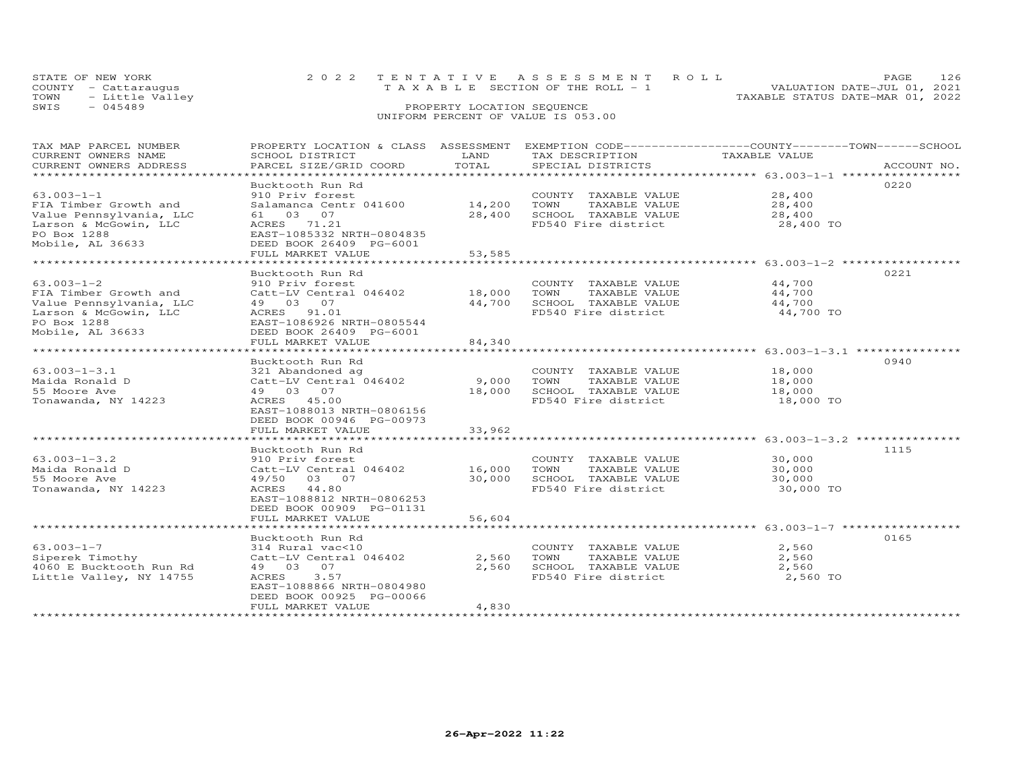|      | STATE OF NEW YORK    | 2022 TENTATIVE ASSESSMENT ROLL           | -126<br>PAGE.                    |
|------|----------------------|------------------------------------------|----------------------------------|
|      | COUNTY - Cattarauqus | $T A X A B L E$ SECTION OF THE ROLL $-1$ | VALUATION DATE-JUL 01, 2021      |
|      | TOWN - Little Valley |                                          | TAXABLE STATUS DATE-MAR 01, 2022 |
| SWIS | - 045489             | PROPERTY LOCATION SEQUENCE               |                                  |
|      |                      | UNIFORM PERCENT OF VALUE IS 053.00       |                                  |

| TAX MAP PARCEL NUMBER   |                           |        |                       | PROPERTY LOCATION & CLASS ASSESSMENT EXEMPTION CODE----------------COUNTY-------TOWN------SCHOOL |
|-------------------------|---------------------------|--------|-----------------------|--------------------------------------------------------------------------------------------------|
| CURRENT OWNERS NAME     | SCHOOL DISTRICT           | LAND   | TAX DESCRIPTION       | TAXABLE VALUE                                                                                    |
| CURRENT OWNERS ADDRESS  | PARCEL SIZE/GRID COORD    | TOTAL  | SPECIAL DISTRICTS     | ACCOUNT NO.                                                                                      |
|                         |                           |        |                       |                                                                                                  |
|                         | Bucktooth Run Rd          |        |                       | 0220                                                                                             |
|                         |                           |        |                       |                                                                                                  |
| $63.003 - 1 - 1$        | 910 Priv forest           |        | COUNTY TAXABLE VALUE  | 28,400                                                                                           |
| FIA Timber Growth and   | Salamanca Centr 041600    | 14,200 | TOWN<br>TAXABLE VALUE | 28,400                                                                                           |
| Value Pennsylvania, LLC | 61  03  07                | 28,400 | SCHOOL TAXABLE VALUE  | 28,400                                                                                           |
| Larson & McGowin, LLC   | ACRES 71.21               |        | FD540 Fire district   | 28,400 TO                                                                                        |
| PO Box 1288             | EAST-1085332 NRTH-0804835 |        |                       |                                                                                                  |
| Mobile, AL 36633        | DEED BOOK 26409 PG-6001   |        |                       |                                                                                                  |
|                         | FULL MARKET VALUE         | 53,585 |                       |                                                                                                  |
|                         |                           |        |                       |                                                                                                  |
|                         |                           |        |                       |                                                                                                  |
|                         | Bucktooth Run Rd          |        |                       | 0221                                                                                             |
| $63.003 - 1 - 2$        | 910 Priv forest           |        | COUNTY TAXABLE VALUE  | 44,700                                                                                           |
| FIA Timber Growth and   | Catt-LV Central 046402    | 18,000 | TOWN<br>TAXABLE VALUE | 44,700                                                                                           |
| Value Pennsylvania, LLC | 49 03 07                  | 44,700 | SCHOOL TAXABLE VALUE  | 44,700                                                                                           |
| Larson & McGowin, LLC   | ACRES 91.01               |        | FD540 Fire district   | 44,700 TO                                                                                        |
| PO Box 1288             | EAST-1086926 NRTH-0805544 |        |                       |                                                                                                  |
| Mobile, AL 36633        | DEED BOOK 26409 PG-6001   |        |                       |                                                                                                  |
|                         |                           |        |                       |                                                                                                  |
|                         | FULL MARKET VALUE         | 84,340 |                       |                                                                                                  |
|                         |                           |        |                       |                                                                                                  |
|                         | Bucktooth Run Rd          |        |                       | 0940                                                                                             |
| $63.003 - 1 - 3.1$      | 321 Abandoned ag          |        | COUNTY TAXABLE VALUE  | 18,000                                                                                           |
| Maida Ronald D          | Catt-LV Central 046402    | 9,000  | TOWN<br>TAXABLE VALUE | 18,000                                                                                           |
| 55 Moore Ave            | 49 03 07                  | 18,000 | SCHOOL TAXABLE VALUE  | 18,000                                                                                           |
| Tonawanda, NY 14223     | ACRES 45.00               |        | FD540 Fire district   | 18,000 TO                                                                                        |
|                         | EAST-1088013 NRTH-0806156 |        |                       |                                                                                                  |
|                         |                           |        |                       |                                                                                                  |
|                         | DEED BOOK 00946 PG-00973  |        |                       |                                                                                                  |
|                         | FULL MARKET VALUE         | 33,962 |                       |                                                                                                  |
|                         |                           |        |                       |                                                                                                  |
|                         | Bucktooth Run Rd          |        |                       | 1115                                                                                             |
| $63.003 - 1 - 3.2$      | 910 Priv forest           |        | COUNTY TAXABLE VALUE  | 30,000                                                                                           |
| Maida Ronald D          | Catt-LV Central 046402    | 16,000 | TOWN<br>TAXABLE VALUE | 30,000                                                                                           |
| 55 Moore Ave            | 49/50 03 07               | 30,000 | SCHOOL TAXABLE VALUE  | 30,000                                                                                           |
| Tonawanda, NY 14223     | ACRES 44.80               |        | FD540 Fire district   | 30,000 TO                                                                                        |
|                         | EAST-1088812 NRTH-0806253 |        |                       |                                                                                                  |
|                         |                           |        |                       |                                                                                                  |
|                         | DEED BOOK 00909 PG-01131  |        |                       |                                                                                                  |
|                         | FULL MARKET VALUE         | 56,604 |                       |                                                                                                  |
|                         |                           |        |                       |                                                                                                  |
|                         | Bucktooth Run Rd          |        |                       | 0165                                                                                             |
| $63.003 - 1 - 7$        | 314 Rural vac<10          |        | COUNTY TAXABLE VALUE  | 2,560                                                                                            |
| Siperek Timothy         | Catt-LV Central 046402    | 2,560  | TOWN<br>TAXABLE VALUE | 2,560                                                                                            |
| 4060 E Bucktooth Run Rd | 49 03 07                  | 2,560  | SCHOOL TAXABLE VALUE  | 2,560                                                                                            |
| Little Valley, NY 14755 | ACRES<br>3.57             |        | FD540 Fire district   | 2,560 TO                                                                                         |
|                         |                           |        |                       |                                                                                                  |
|                         | EAST-1088866 NRTH-0804980 |        |                       |                                                                                                  |
|                         | DEED BOOK 00925 PG-00066  |        |                       |                                                                                                  |
|                         | FULL MARKET VALUE         | 4,830  |                       |                                                                                                  |
|                         |                           |        |                       |                                                                                                  |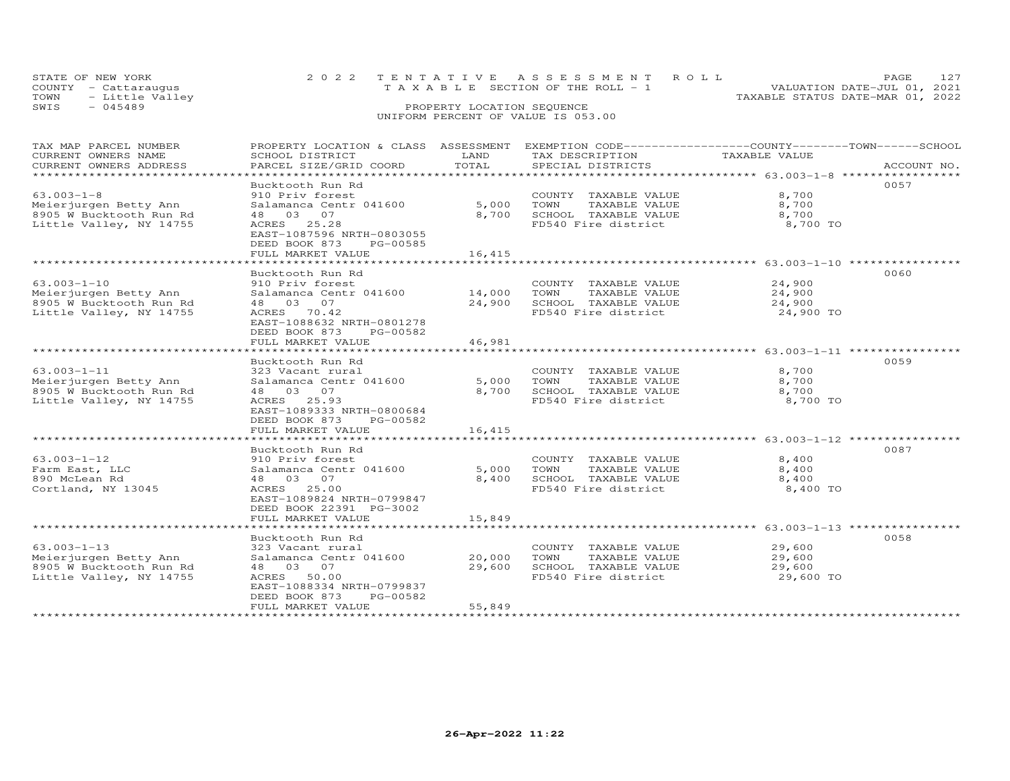| STATE OF NEW YORK<br>COUNTY - Cattaraugus | 2022 TENTATIVE ASSESSMENT ROLL<br>T A X A B L E SECTION OF THE ROLL - 1 | PAGE.<br>VALUATION DATE-JUL 01, 2021 |
|-------------------------------------------|-------------------------------------------------------------------------|--------------------------------------|
| - Little Valley<br>TOWN                   |                                                                         | TAXABLE STATUS DATE-MAR 01, 2022     |
| SWIS<br>$-045489$                         | PROPERTY LOCATION SEQUENCE                                              |                                      |
|                                           | UNIFORM PERCENT OF VALUE IS 053.00                                      |                                      |

| TAX MAP PARCEL NUMBER   |                           |             | PROPERTY LOCATION & CLASS ASSESSMENT EXEMPTION CODE----------------COUNTY-------TOWN-----SCHOOL |               |             |
|-------------------------|---------------------------|-------------|-------------------------------------------------------------------------------------------------|---------------|-------------|
| CURRENT OWNERS NAME     | SCHOOL DISTRICT           | LAND        | TAX DESCRIPTION                                                                                 | TAXABLE VALUE |             |
| CURRENT OWNERS ADDRESS  | PARCEL SIZE/GRID COORD    | TOTAL       | SPECIAL DISTRICTS                                                                               |               | ACCOUNT NO. |
| *********************** |                           |             |                                                                                                 |               |             |
|                         | Bucktooth Run Rd          |             |                                                                                                 |               | 0057        |
| $63.003 - 1 - 8$        | 910 Priv forest           |             | COUNTY TAXABLE VALUE                                                                            | 8,700         |             |
| Meierjurgen Betty Ann   | Salamanca Centr 041600    | 5,000       | TOWN<br>TAXABLE VALUE                                                                           | 8,700         |             |
| 8905 W Bucktooth Run Rd | 48 03 07                  | 8,700       | SCHOOL TAXABLE VALUE                                                                            | 8,700         |             |
| Little Valley, NY 14755 | ACRES 25.28               |             | FD540 Fire district                                                                             | 8,700 TO      |             |
|                         | EAST-1087596 NRTH-0803055 |             |                                                                                                 |               |             |
|                         | DEED BOOK 873<br>PG-00585 |             |                                                                                                 |               |             |
|                         | FULL MARKET VALUE         | 16,415      |                                                                                                 |               |             |
|                         | ******************        | *********** |                                                                                                 |               |             |
|                         | Bucktooth Run Rd          |             |                                                                                                 |               | 0060        |
| $63.003 - 1 - 10$       | 910 Priv forest           |             | COUNTY TAXABLE VALUE                                                                            | 24,900        |             |
| Meierjurgen Betty Ann   | Salamanca Centr 041600    | 14,000      | TOWN<br>TAXABLE VALUE                                                                           | 24,900        |             |
| 8905 W Bucktooth Run Rd | 48 03 07                  | 24,900      | SCHOOL TAXABLE VALUE                                                                            | 24,900        |             |
| Little Valley, NY 14755 | ACRES 70.42               |             | FD540 Fire district                                                                             | 24,900 TO     |             |
|                         | EAST-1088632 NRTH-0801278 |             |                                                                                                 |               |             |
|                         | DEED BOOK 873<br>PG-00582 |             |                                                                                                 |               |             |
|                         | FULL MARKET VALUE         | 46,981      |                                                                                                 |               |             |
|                         |                           |             |                                                                                                 |               |             |
|                         | Bucktooth Run Rd          |             |                                                                                                 |               | 0059        |
| $63.003 - 1 - 11$       | 323 Vacant rural          |             | COUNTY TAXABLE VALUE                                                                            | 8,700         |             |
| Meierjurgen Betty Ann   | Salamanca Centr 041600    | 5,000       | TOWN<br>TAXABLE VALUE                                                                           | 8,700         |             |
| 8905 W Bucktooth Run Rd | 48 03 07                  | 8,700       | SCHOOL TAXABLE VALUE                                                                            | 8,700         |             |
| Little Valley, NY 14755 | ACRES 25.93               |             | FD540 Fire district                                                                             | 8,700 TO      |             |
|                         | EAST-1089333 NRTH-0800684 |             |                                                                                                 |               |             |
|                         | DEED BOOK 873 PG-00582    |             |                                                                                                 |               |             |
|                         | FULL MARKET VALUE         | 16,415      |                                                                                                 |               |             |
|                         |                           |             |                                                                                                 |               |             |
|                         | Bucktooth Run Rd          |             |                                                                                                 |               | 0087        |
| $63.003 - 1 - 12$       | 910 Priv forest           |             | COUNTY TAXABLE VALUE                                                                            | 8,400         |             |
| Farm East, LLC          | Salamanca Centr 041600    | 5,000       | TOWN<br>TAXABLE VALUE                                                                           | 8,400         |             |
| 890 McLean Rd           | 48 03 07                  | 8,400       | SCHOOL TAXABLE VALUE                                                                            | 8,400         |             |
| Cortland, NY 13045      | ACRES 25.00               |             | FD540 Fire district                                                                             | 8,400 TO      |             |
|                         | EAST-1089824 NRTH-0799847 |             |                                                                                                 |               |             |
|                         | DEED BOOK 22391 PG-3002   |             |                                                                                                 |               |             |
|                         | FULL MARKET VALUE         | 15,849      |                                                                                                 |               |             |
|                         |                           |             |                                                                                                 |               |             |
|                         | Bucktooth Run Rd          |             |                                                                                                 |               | 0058        |
| $63.003 - 1 - 13$       | 323 Vacant rural          |             | COUNTY TAXABLE VALUE                                                                            | 29,600        |             |
| Meierjurgen Betty Ann   | Salamanca Centr 041600    | 20,000      | TOWN<br>TAXABLE VALUE                                                                           | 29,600        |             |
| 8905 W Bucktooth Run Rd | 48 03 07                  | 29,600      | SCHOOL TAXABLE VALUE                                                                            | 29,600        |             |
| Little Valley, NY 14755 | ACRES 50.00               |             | FD540 Fire district                                                                             | 29,600 TO     |             |
|                         | EAST-1088334 NRTH-0799837 |             |                                                                                                 |               |             |
|                         | DEED BOOK 873<br>PG-00582 |             |                                                                                                 |               |             |
|                         | FULL MARKET VALUE         | 55,849      |                                                                                                 |               |             |
|                         |                           |             |                                                                                                 |               |             |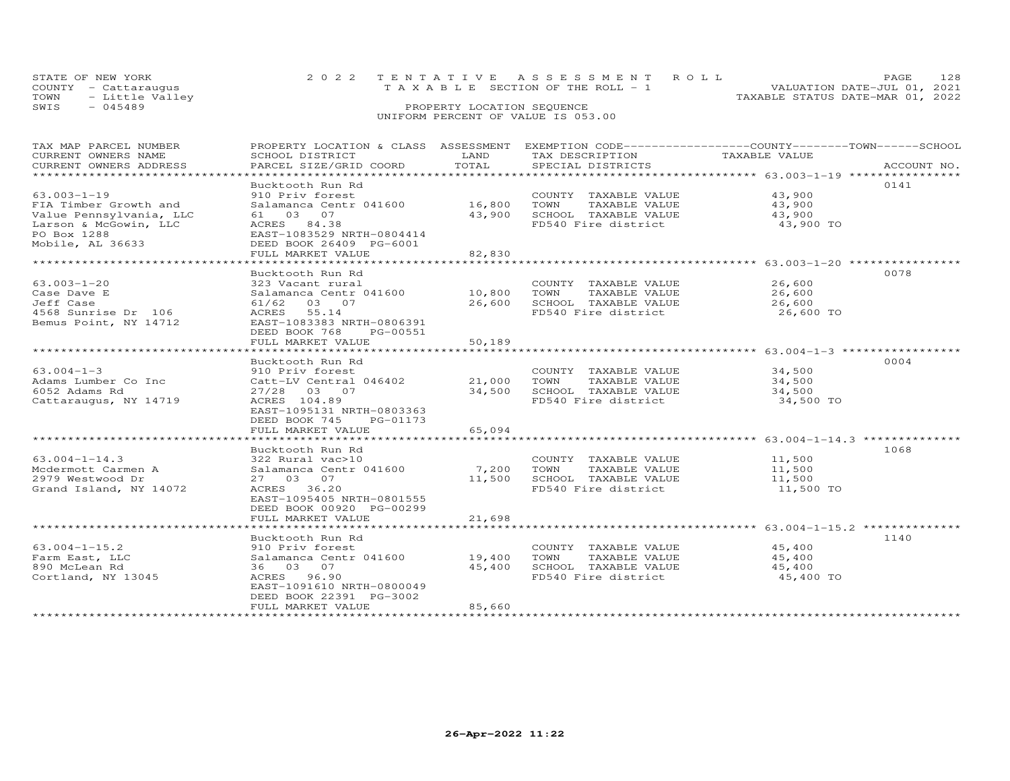| STATE OF NEW YORK    | 2022 TENTATIVE ASSESSMENT ROLL        | <b>PAGE</b>                      |  |
|----------------------|---------------------------------------|----------------------------------|--|
| COUNTY - Cattarauqus | T A X A B L E SECTION OF THE ROLL - 1 | VALUATION DATE-JUL 01, 2021      |  |
| TOWN - Little Valley |                                       | TAXABLE STATUS DATE-MAR 01, 2022 |  |
| SWIS<br>- 045489     | PROPERTY LOCATION SEQUENCE            |                                  |  |
|                      | UNIFORM PERCENT OF VALUE IS 053.00    |                                  |  |

| TAX MAP PARCEL NUMBER          | PROPERTY LOCATION & CLASS ASSESSMENT EXEMPTION CODE-----------------COUNTY-------TOWN------SCHOOL                                                                                                                                                                                                                                 |        |                             |                     |             |
|--------------------------------|-----------------------------------------------------------------------------------------------------------------------------------------------------------------------------------------------------------------------------------------------------------------------------------------------------------------------------------|--------|-----------------------------|---------------------|-------------|
| CURRENT OWNERS NAME            | SCHOOL DISTRICT                                                                                                                                                                                                                                                                                                                   | LAND   | TAX DESCRIPTION             | TAXABLE VALUE       |             |
| CURRENT OWNERS ADDRESS         | PARCEL SIZE/GRID COORD                                                                                                                                                                                                                                                                                                            | TOTAL  | SPECIAL DISTRICTS           |                     | ACCOUNT NO. |
| ****************************** |                                                                                                                                                                                                                                                                                                                                   |        |                             |                     |             |
|                                | Bucktooth Run Rd                                                                                                                                                                                                                                                                                                                  |        |                             |                     | 0141        |
|                                |                                                                                                                                                                                                                                                                                                                                   |        | COUNTY TAXABLE VALUE        | 43,900              |             |
|                                |                                                                                                                                                                                                                                                                                                                                   | 16,800 | TOWN<br>TAXABLE VALUE       | 43,900              |             |
|                                |                                                                                                                                                                                                                                                                                                                                   | 43,900 | SCHOOL TAXABLE VALUE        | 43,900              |             |
|                                |                                                                                                                                                                                                                                                                                                                                   |        | FD540 Fire district         | 43,900 TO           |             |
|                                |                                                                                                                                                                                                                                                                                                                                   |        |                             |                     |             |
|                                |                                                                                                                                                                                                                                                                                                                                   |        |                             |                     |             |
|                                |                                                                                                                                                                                                                                                                                                                                   | 82,830 |                             |                     |             |
|                                | 3.003-1-19<br>TA Timber Growth and<br>Value Pennsylvania, LLC $\begin{array}{l} 61 & 03 & 07 \\ 61 & 03 & 07 \\ \text{Larson & MCGowin, LLC} \\ 100 & Box 1288 \\ \text{PO 0} & 1288 \\ \text{P0} & 26633 \\ \text{P1} & 26633 \\ \text{P2} & 2633 \\ \text{P3} & 26633 \\ \text{P4} & 26633 \\ \text{P5} & 26633 \\ \text{P6} &$ |        |                             |                     |             |
|                                | Bucktooth Run Rd                                                                                                                                                                                                                                                                                                                  |        |                             |                     | 0078        |
| $63.003 - 1 - 20$              | 323 Vacant rural                                                                                                                                                                                                                                                                                                                  |        | COUNTY TAXABLE VALUE        | 26,600              |             |
| Case Dave E                    | S25 vacant rurar<br>Salamanca Centr 041600 10,800 TOWN                                                                                                                                                                                                                                                                            |        | TAXABLE VALUE               | 26,600              |             |
| Jeff Case                      | 61/62 03 07                                                                                                                                                                                                                                                                                                                       | 26,600 | SCHOOL TAXABLE VALUE 26,600 |                     |             |
| 4568 Sunrise Dr 106            | ACRES 55.14                                                                                                                                                                                                                                                                                                                       |        | FD540 Fire district         | 26,600 TO           |             |
| Bemus Point, NY 14712          | EAST-1083383 NRTH-0806391                                                                                                                                                                                                                                                                                                         |        |                             |                     |             |
|                                | DEED BOOK 768<br>PG-00551                                                                                                                                                                                                                                                                                                         |        |                             |                     |             |
|                                | FULL MARKET VALUE                                                                                                                                                                                                                                                                                                                 | 50,189 |                             |                     |             |
|                                |                                                                                                                                                                                                                                                                                                                                   |        |                             |                     |             |
|                                | Bucktooth Run Rd                                                                                                                                                                                                                                                                                                                  |        |                             |                     | 0004        |
| $63.004 - 1 - 3$               | 910 Priv forest                                                                                                                                                                                                                                                                                                                   |        | COUNTY TAXABLE VALUE        | 34,500              |             |
| Adams Lumber Co Inc            |                                                                                                                                                                                                                                                                                                                                   |        |                             | 34,500              |             |
| 6052 Adams Rd                  | 910 Priv forest<br>Catt-LV Central 046402      21,000   TOWN   TAXABLE VALUE<br>24 500   COMON      200000      200000   TAXABLE VALUE<br>27/28 03 07                                                                                                                                                                             | 34,500 | SCHOOL TAXABLE VALUE        |                     |             |
| Cattaraugus, NY 14719          | ACRES 104.89                                                                                                                                                                                                                                                                                                                      |        | FD540 Fire district         | 34,500<br>34,500 TO |             |
|                                | EAST-1095131 NRTH-0803363                                                                                                                                                                                                                                                                                                         |        |                             |                     |             |
|                                | PG-01173                                                                                                                                                                                                                                                                                                                          |        |                             |                     |             |
|                                | DEED BOOK 745<br>FULL MARKET VALUE                                                                                                                                                                                                                                                                                                | 65,094 |                             |                     |             |
|                                |                                                                                                                                                                                                                                                                                                                                   |        |                             |                     |             |
|                                |                                                                                                                                                                                                                                                                                                                                   |        |                             |                     |             |
|                                | Bucktooth Run Rd                                                                                                                                                                                                                                                                                                                  |        |                             |                     | 1068        |
| $63.004 - 1 - 14.3$            | 322 Rural vac>10                                                                                                                                                                                                                                                                                                                  |        | COUNTY TAXABLE VALUE        | 11,500              |             |
| Mcdermott Carmen A             |                                                                                                                                                                                                                                                                                                                                   |        | TOWN<br>TAXABLE VALUE       | 11,500              |             |
| 2979 Westwood Dr               | 27 03 07                                                                                                                                                                                                                                                                                                                          | 11,500 | SCHOOL TAXABLE VALUE        | 11,500              |             |
| Grand Island, NY 14072         | ACRES 36.20                                                                                                                                                                                                                                                                                                                       |        | FD540 Fire district         | 11,500 TO           |             |
|                                | EAST-1095405 NRTH-0801555                                                                                                                                                                                                                                                                                                         |        |                             |                     |             |
|                                | DEED BOOK 00920 PG-00299                                                                                                                                                                                                                                                                                                          |        |                             |                     |             |
|                                | FULL MARKET VALUE                                                                                                                                                                                                                                                                                                                 | 21,698 |                             |                     |             |
|                                |                                                                                                                                                                                                                                                                                                                                   |        |                             |                     |             |
|                                | Bucktooth Run Rd                                                                                                                                                                                                                                                                                                                  |        |                             |                     | 1140        |
| $63.004 - 1 - 15.2$            | 910 Priv forest                                                                                                                                                                                                                                                                                                                   |        | COUNTY TAXABLE VALUE        | 45,400              |             |
| Farm East, LLC                 | Salamanca Centr 041600 19,400                                                                                                                                                                                                                                                                                                     |        | TOWN<br>TAXABLE VALUE       | 45,400              |             |
| 890 McLean Rd                  | 36 03 07                                                                                                                                                                                                                                                                                                                          | 45,400 | SCHOOL TAXABLE VALUE        | 45,400              |             |
| Cortland, NY 13045             | ACRES 96.90                                                                                                                                                                                                                                                                                                                       |        | FD540 Fire district         | 45,400 TO           |             |
|                                | EAST-1091610 NRTH-0800049                                                                                                                                                                                                                                                                                                         |        |                             |                     |             |
|                                | DEED BOOK 22391 PG-3002                                                                                                                                                                                                                                                                                                           |        |                             |                     |             |
|                                | FULL MARKET VALUE                                                                                                                                                                                                                                                                                                                 | 85,660 |                             |                     |             |
|                                |                                                                                                                                                                                                                                                                                                                                   |        |                             |                     |             |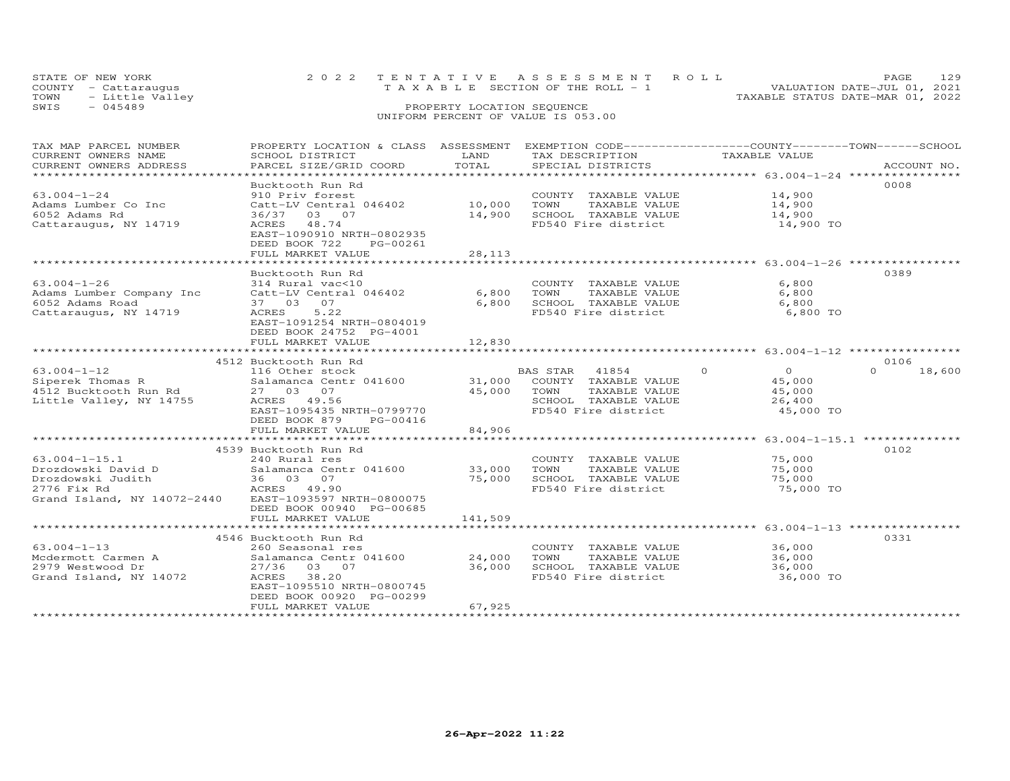| STATE OF NEW YORK       | 2022 TENTATIVE ASSESSMENT ROLL  | <b>PAGE</b>                      |
|-------------------------|---------------------------------|----------------------------------|
| COUNTY - Cattarauqus    | TAXABLE SECTION OF THE ROLL - 1 | VALUATION DATE-JUL 01, 2021      |
| - Little Valley<br>TOWN |                                 | TAXABLE STATUS DATE-MAR 01, 2022 |
| SWIS<br>- 045489        | PROPERTY LOCATION SEQUENCE      |                                  |
|                         |                                 |                                  |

| TAX MAP PARCEL NUMBER                                                                                                                             | PROPERTY LOCATION & CLASS ASSESSMENT EXEMPTION CODE----------------COUNTY-------TOWN-----SCHOOL |                        |                       |                                                                                  |                    |
|---------------------------------------------------------------------------------------------------------------------------------------------------|-------------------------------------------------------------------------------------------------|------------------------|-----------------------|----------------------------------------------------------------------------------|--------------------|
| CURRENT OWNERS NAME                                                                                                                               | SCHOOL DISTRICT                                                                                 | LAND                   | TAX DESCRIPTION       | TAXABLE VALUE                                                                    |                    |
| CURRENT OWNERS ADDRESS<br>***********************                                                                                                 | PARCEL SIZE/GRID COORD                                                                          | TOTAL                  | SPECIAL DISTRICTS     |                                                                                  | ACCOUNT NO.        |
|                                                                                                                                                   |                                                                                                 |                        |                       |                                                                                  |                    |
|                                                                                                                                                   | Bucktooth Run Rd                                                                                |                        |                       |                                                                                  | 0008               |
| $63.004 - 1 - 24$                                                                                                                                 | 910 Priv forest                                                                                 |                        | COUNTY TAXABLE VALUE  | 14,900                                                                           |                    |
| Adams Lumber Co Inc                                                                                                                               | Catt-LV Central 046402                                                                          | 10,000                 | TOWN<br>TAXABLE VALUE | 14,900                                                                           |                    |
| 6052 Adams Rd                                                                                                                                     | 36/37 03 07                                                                                     | 14,900                 | SCHOOL TAXABLE VALUE  | 14,900                                                                           |                    |
| Cattaraugus, NY 14719                                                                                                                             | ACRES 48.74                                                                                     |                        | FD540 Fire district   | 14,900 TO                                                                        |                    |
|                                                                                                                                                   | EAST-1090910 NRTH-0802935                                                                       |                        |                       |                                                                                  |                    |
|                                                                                                                                                   | DEED BOOK 722<br>PG-00261                                                                       |                        |                       |                                                                                  |                    |
|                                                                                                                                                   | FULL MARKET VALUE                                                                               | 28,113<br>************ |                       | ***********************************63.004-1-26 ********************************* |                    |
|                                                                                                                                                   |                                                                                                 |                        |                       |                                                                                  |                    |
|                                                                                                                                                   | Bucktooth Run Rd                                                                                |                        |                       |                                                                                  | 0389               |
| $63.004 - 1 - 26$                                                                                                                                 | 314 Rural vac<10                                                                                |                        | COUNTY TAXABLE VALUE  | 6,800                                                                            |                    |
| Adams Lumber Company Inc                                                                                                                          | Catt-LV Central 046402                                                                          | 6,800                  | TOWN<br>TAXABLE VALUE | 6,800                                                                            |                    |
| 6052 Adams Road                                                                                                                                   | 37 03 07                                                                                        | 6,800                  | SCHOOL TAXABLE VALUE  | 6,800                                                                            |                    |
| Cattaraugus, NY 14719                                                                                                                             | 5.22<br>ACRES                                                                                   |                        | FD540 Fire district   | 6,800 TO                                                                         |                    |
|                                                                                                                                                   | EAST-1091254 NRTH-0804019                                                                       |                        |                       |                                                                                  |                    |
|                                                                                                                                                   | DEED BOOK 24752 PG-4001                                                                         |                        |                       |                                                                                  |                    |
|                                                                                                                                                   | FULL MARKET VALUE                                                                               | 12,830                 |                       |                                                                                  |                    |
| 116 Other stock<br>Siperek Thomas R<br>Silamanca Centr 041600<br>27 03 07<br>Little Valley, NY 14755<br>ACRES 49.56<br>ACRES 49.56<br>ACRES 49.56 |                                                                                                 |                        |                       |                                                                                  |                    |
|                                                                                                                                                   |                                                                                                 |                        |                       |                                                                                  | 0106               |
|                                                                                                                                                   |                                                                                                 |                        |                       | $\circ$<br>$\overline{O}$                                                        | $\Omega$<br>18,600 |
|                                                                                                                                                   |                                                                                                 |                        |                       | 45,000                                                                           |                    |
|                                                                                                                                                   |                                                                                                 |                        |                       | 45,000                                                                           |                    |
|                                                                                                                                                   |                                                                                                 |                        |                       | 26,400                                                                           |                    |
|                                                                                                                                                   | EAST-1095435 NRTH-0799770                                                                       |                        | FD540 Fire district   | 45,000 TO                                                                        |                    |
|                                                                                                                                                   | DEED BOOK 879<br>PG-00416                                                                       |                        |                       |                                                                                  |                    |
|                                                                                                                                                   | FULL MARKET VALUE                                                                               | 84,906                 |                       |                                                                                  |                    |
|                                                                                                                                                   |                                                                                                 |                        |                       |                                                                                  |                    |
|                                                                                                                                                   | 4539 Bucktooth Run Rd                                                                           |                        |                       |                                                                                  | 0102               |
| $63.004 - 1 - 15.1$                                                                                                                               | 240 Rural res                                                                                   |                        | COUNTY TAXABLE VALUE  | 75,000                                                                           |                    |
| Drozdowski David D                                                                                                                                | 240 Kulai 105<br>Salamanca Centr 041600                                                         | 33,000                 | TOWN<br>TAXABLE VALUE | 75,000                                                                           |                    |
| Drozdowski Judith                                                                                                                                 | th 36 03 07<br>ACRES 49.90                                                                      | 75,000                 | SCHOOL TAXABLE VALUE  | 75,000                                                                           |                    |
| 2776 Fix Rd                                                                                                                                       |                                                                                                 |                        | FD540 Fire district   | 75,000 TO                                                                        |                    |
| Grand Island, NY 14072-2440 EAST-1093597 NRTH-0800075                                                                                             |                                                                                                 |                        |                       |                                                                                  |                    |
|                                                                                                                                                   | DEED BOOK 00940 PG-00685                                                                        |                        |                       |                                                                                  |                    |
|                                                                                                                                                   | FULL MARKET VALUE                                                                               | 141,509                |                       |                                                                                  |                    |
|                                                                                                                                                   |                                                                                                 |                        |                       |                                                                                  |                    |
|                                                                                                                                                   | 4546 Bucktooth Run Rd                                                                           |                        |                       |                                                                                  | 0331               |
| $63.004 - 1 - 13$                                                                                                                                 | 260 Seasonal res                                                                                |                        | COUNTY TAXABLE VALUE  | 36,000                                                                           |                    |
| Mcdermott Carmen A                                                                                                                                | Salamanca Centr 041600                                                                          | 24,000                 | TOWN<br>TAXABLE VALUE | 36,000                                                                           |                    |
| 2979 Westwood Dr                                                                                                                                  | 27/36 03 07                                                                                     | 36,000                 | SCHOOL TAXABLE VALUE  | 36,000                                                                           |                    |
| Grand Island, NY 14072                                                                                                                            | ACRES 38.20                                                                                     |                        | FD540 Fire district   | 36,000 TO                                                                        |                    |
|                                                                                                                                                   | EAST-1095510 NRTH-0800745                                                                       |                        |                       |                                                                                  |                    |
|                                                                                                                                                   | DEED BOOK 00920 PG-00299                                                                        |                        |                       |                                                                                  |                    |
|                                                                                                                                                   | FULL MARKET VALUE                                                                               | 67,925                 |                       |                                                                                  |                    |
|                                                                                                                                                   |                                                                                                 |                        |                       |                                                                                  |                    |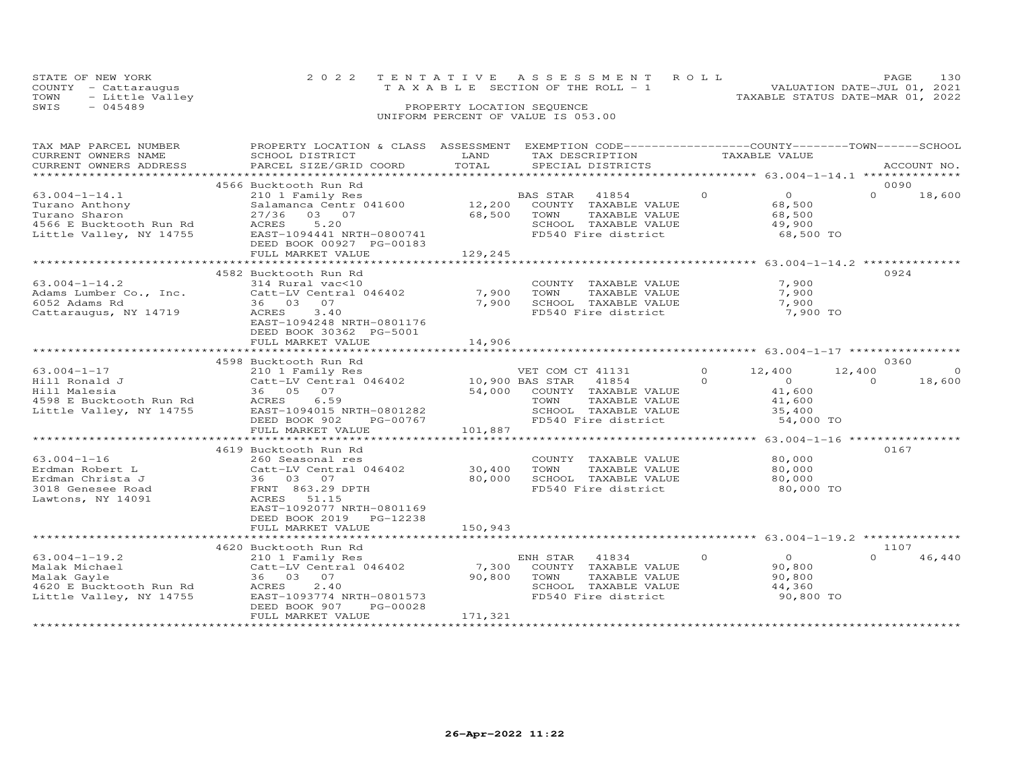| STATE OF NEW YORK    | 2022 TENTATIVE ASSESSMENT ROLL  | <b>PAGE</b>                      | - 1.30 |
|----------------------|---------------------------------|----------------------------------|--------|
| COUNTY - Cattarauqus | TAXABLE SECTION OF THE ROLL - 1 | VALUATION DATE-JUL 01, 2021      |        |
| TOWN - Little Valley |                                 | TAXABLE STATUS DATE-MAR 01, 2022 |        |
| $-$ 045489<br>ת די כ | PROPERTY LOCATION SEQUENCE      |                                  |        |

# SWIS - 045489 PROPERTY LOCATION SEQUENCE UNIFORM PERCENT OF VALUE IS 053.00

| TAX MAP PARCEL NUMBER   | PROPERTY LOCATION & CLASS ASSESSMENT                       |         | EXEMPTION CODE------------------COUNTY-------TOWN------SCHOOL |               |                                             |          |             |
|-------------------------|------------------------------------------------------------|---------|---------------------------------------------------------------|---------------|---------------------------------------------|----------|-------------|
| CURRENT OWNERS NAME     | SCHOOL DISTRICT                                            | LAND    | TAX DESCRIPTION                                               | TAXABLE VALUE |                                             |          |             |
| CURRENT OWNERS ADDRESS  | PARCEL SIZE/GRID COORD                                     | TOTAL   | SPECIAL DISTRICTS                                             |               |                                             |          | ACCOUNT NO. |
| **********************  |                                                            |         |                                                               |               |                                             |          |             |
|                         | 4566 Bucktooth Run Rd                                      |         |                                                               |               |                                             | 0090     |             |
| $63.004 - 1 - 14.1$     | 210 1 Family Res                                           |         | BAS STAR<br>41854                                             | $\circ$       | $\overline{0}$                              | $\Omega$ | 18,600      |
| Turano Anthony          | Salamanca Centr 041600                                     | 12,200  | COUNTY TAXABLE VALUE                                          |               | 68,500                                      |          |             |
| Turano Sharon           | 03 07<br>27/36                                             | 68,500  | TOWN<br>TAXABLE VALUE                                         |               | 68,500                                      |          |             |
| 4566 E Bucktooth Run Rd | 5.20<br>ACRES                                              |         | SCHOOL TAXABLE VALUE                                          |               | 49,900                                      |          |             |
| Little Valley, NY 14755 | EAST-1094441 NRTH-0800741                                  |         | FD540 Fire district                                           |               | 68,500 TO                                   |          |             |
|                         | DEED BOOK 00927 PG-00183                                   |         |                                                               |               |                                             |          |             |
|                         | FULL MARKET VALUE                                          | 129,245 |                                                               |               |                                             |          |             |
|                         |                                                            |         |                                                               |               |                                             |          |             |
|                         | 4582 Bucktooth Run Rd                                      |         |                                                               |               |                                             | 0924     |             |
| $63.004 - 1 - 14.2$     | 314 Rural vac<10                                           |         | COUNTY TAXABLE VALUE                                          |               | 7,900                                       |          |             |
| Adams Lumber Co., Inc.  | Catt-LV Central 046402                                     | 7,900   | TOWN<br>TAXABLE VALUE                                         |               | 7,900                                       |          |             |
| 6052 Adams Rd           | 36 03 07                                                   | 7,900   | SCHOOL TAXABLE VALUE                                          |               | 7,900                                       |          |             |
| Cattaraugus, NY 14719   | ACRES<br>3.40                                              |         | FD540 Fire district                                           |               | 7,900 TO                                    |          |             |
|                         | EAST-1094248 NRTH-0801176                                  |         |                                                               |               |                                             |          |             |
|                         | DEED BOOK 30362 PG-5001                                    |         |                                                               |               |                                             |          |             |
|                         | FULL MARKET VALUE                                          | 14,906  |                                                               |               |                                             |          |             |
|                         | *******************************                            |         |                                                               |               |                                             |          |             |
|                         | 4598 Bucktooth Run Rd                                      |         |                                                               |               |                                             | 0360     |             |
|                         |                                                            |         |                                                               | $\circ$       |                                             | 12,400   | $\Omega$    |
| $63.004 - 1 - 17$       | 210 1 Family Res<br>Catt-LV Central 046402 10,900 BAS STAR |         | VET COM CT 41131                                              | $\Omega$      | 12,400<br>$\overline{O}$                    | $\Omega$ |             |
| Hill Ronald J           |                                                            |         | 41854                                                         |               |                                             |          | 18,600      |
| Hill Malesia            | 36 05 07                                                   |         | 54,000 COUNTY TAXABLE VALUE                                   |               | 41,600                                      |          |             |
| 4598 E Bucktooth Run Rd | 6.59<br>ACRES                                              |         | TOWN<br>TAXABLE VALUE                                         |               | 41,600                                      |          |             |
| Little Valley, NY 14755 | EAST-1094015 NRTH-0801282                                  |         | SCHOOL TAXABLE VALUE                                          |               | 35,400                                      |          |             |
|                         | DEED BOOK 902<br>PG-00767                                  |         | FD540 Fire district                                           |               | 54,000 TO                                   |          |             |
|                         | FULL MARKET VALUE                                          | 101,887 |                                                               |               |                                             |          |             |
|                         |                                                            |         |                                                               |               | ***************** 63.004-1-16 ************* |          |             |
|                         | 4619 Bucktooth Run Rd                                      |         |                                                               |               |                                             | 0167     |             |
| $63.004 - 1 - 16$       | 260 Seasonal res                                           |         | COUNTY TAXABLE VALUE                                          |               | 80,000                                      |          |             |
| Erdman Robert L         | Catt-LV Central 046402                                     | 30,400  | TOWN<br>TAXABLE VALUE                                         |               | 80,000                                      |          |             |
| Erdman Christa J        | 36 03 07                                                   | 80,000  | SCHOOL TAXABLE VALUE                                          |               | 80,000                                      |          |             |
| 3018 Genesee Road       | FRNT 863.29 DPTH                                           |         | FD540 Fire district                                           |               | 80,000 TO                                   |          |             |
| Lawtons, NY 14091       | ACRES 51.15                                                |         |                                                               |               |                                             |          |             |
|                         | EAST-1092077 NRTH-0801169                                  |         |                                                               |               |                                             |          |             |
|                         | DEED BOOK 2019<br>PG-12238                                 |         |                                                               |               |                                             |          |             |
|                         | FULL MARKET VALUE                                          | 150,943 |                                                               |               |                                             |          |             |
|                         |                                                            |         |                                                               |               |                                             |          |             |
|                         | 4620 Bucktooth Run Rd                                      |         |                                                               |               |                                             | 1107     |             |
| $63.004 - 1 - 19.2$     | 210 1 Family Res                                           |         | ENH STAR 41834                                                | $\Omega$      | $\overline{0}$                              | $\cap$   | 46,440      |
| Malak Michael           | Catt-LV Central 046402                                     | 7,300   | COUNTY TAXABLE VALUE                                          |               | 90,800                                      |          |             |
| Malak Gayle             | 36 03 07                                                   | 90,800  | TOWN<br>TAXABLE VALUE                                         |               | 90,800                                      |          |             |
| 4620 E Bucktooth Run Rd | ACRES<br>2.40                                              |         | SCHOOL TAXABLE VALUE                                          |               | 44,360                                      |          |             |
| Little Valley, NY 14755 | EAST-1093774 NRTH-0801573                                  |         | FD540 Fire district                                           |               | 90,800 TO                                   |          |             |
|                         | DEED BOOK 907<br>PG-00028                                  |         |                                                               |               |                                             |          |             |
|                         | FULL MARKET VALUE                                          | 171,321 |                                                               |               |                                             |          |             |
|                         |                                                            |         |                                                               |               |                                             |          |             |
|                         |                                                            |         |                                                               |               |                                             |          |             |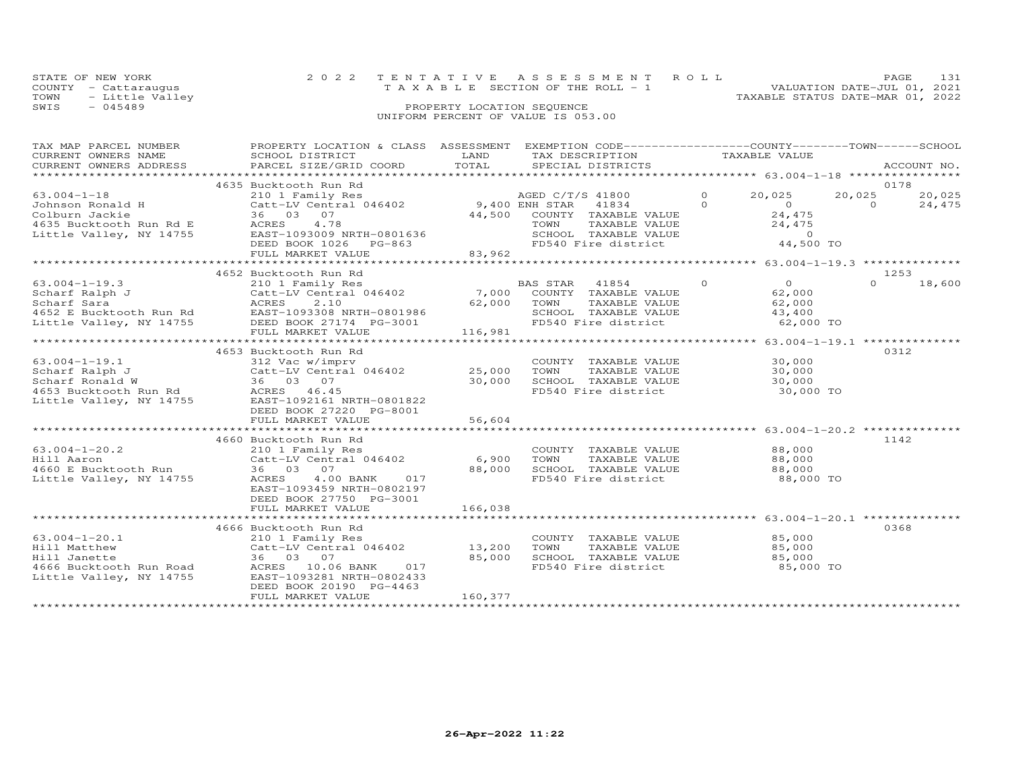|      | STATE OF NEW YORK    | 2022 TENTATIVE ASSESSMENT ROLL     | PAGE.                            |
|------|----------------------|------------------------------------|----------------------------------|
|      | COUNTY - Cattarauqus | TAXABLE SECTION OF THE ROLL - 1    | VALUATION DATE-JUL 01, 2021      |
|      | TOWN - Little Valley |                                    | TAXABLE STATUS DATE-MAR 01, 2022 |
| SWIS | - 045489             | PROPERTY LOCATION SEQUENCE         |                                  |
|      |                      | UNIFORM PERCENT OF VALUE IS 053.00 |                                  |

| TAX MAP PARCEL NUMBER   | PROPERTY LOCATION & CLASS  | ASSESSMENT   | EXEMPTION CODE-----------------COUNTY-------TOWN------SCHOOL |                            |           |             |
|-------------------------|----------------------------|--------------|--------------------------------------------------------------|----------------------------|-----------|-------------|
| CURRENT OWNERS NAME     | SCHOOL DISTRICT            | LAND         | TAX DESCRIPTION                                              | TAXABLE VALUE              |           |             |
| CURRENT OWNERS ADDRESS  | PARCEL SIZE/GRID COORD     | TOTAL        | SPECIAL DISTRICTS                                            |                            |           | ACCOUNT NO. |
| *******************     |                            |              |                                                              |                            |           |             |
|                         | 4635 Bucktooth Run Rd      |              |                                                              |                            |           | 0178        |
| $63.004 - 1 - 18$       | 210 1 Family Res           |              | AGED C/T/S 41800                                             | 20,025<br>$\Omega$         | 20,025    | 20,025      |
| Johnson Ronald H        | Catt-LV Central 046402     |              | 9,400 ENH STAR<br>41834                                      | $\Omega$<br>$\circ$        | $\Omega$  | 24,475      |
| Colburn Jackie          | 36 03 07                   | 44,500       | COUNTY TAXABLE VALUE                                         | 24,475                     |           |             |
| 4635 Bucktooth Run Rd E | 4.78<br>ACRES              |              | TAXABLE VALUE<br>TOWN                                        | 24,475                     |           |             |
| Little Valley, NY 14755 | EAST-1093009 NRTH-0801636  |              | SCHOOL TAXABLE VALUE                                         | $\overline{0}$             |           |             |
|                         | DEED BOOK 1026<br>PG-863   |              | FD540 Fire district                                          |                            | 44,500 TO |             |
|                         | FULL MARKET VALUE          | 83,962       |                                                              |                            |           |             |
|                         |                            |              |                                                              |                            |           |             |
|                         | 4652 Bucktooth Run Rd      |              |                                                              |                            |           | 1253        |
| $63.004 - 1 - 19.3$     | 210 1 Family Res           |              | BAS STAR<br>41854                                            | $\Omega$<br>$\overline{O}$ | $\Omega$  | 18,600      |
| Scharf Ralph J          | Catt-LV Central 046402     | 7,000        | COUNTY TAXABLE VALUE                                         | 62,000                     |           |             |
| Scharf Sara             | 2.10<br>ACRES              | 62,000       | TOWN<br>TAXABLE VALUE                                        | 62,000                     |           |             |
| 4652 E Bucktooth Run Rd | EAST-1093308 NRTH-0801986  |              | SCHOOL TAXABLE VALUE                                         | 43,400                     |           |             |
| Little Valley, NY 14755 | DEED BOOK 27174 PG-3001    |              | FD540 Fire district                                          |                            | 62,000 TO |             |
|                         | FULL MARKET VALUE          | 116,981      |                                                              |                            |           |             |
|                         |                            |              |                                                              |                            |           |             |
|                         | 4653 Bucktooth Run Rd      |              |                                                              |                            |           | 0312        |
| $63.004 - 1 - 19.1$     | 312 Vac w/imprv            |              | COUNTY TAXABLE VALUE                                         | 30,000                     |           |             |
| Scharf Ralph J          | Catt-LV Central 046402     | 25,000       | TOWN<br>TAXABLE VALUE                                        | 30,000                     |           |             |
| Scharf Ronald W         | 36 03 07                   | 30,000       | SCHOOL TAXABLE VALUE                                         | 30,000                     |           |             |
| 4653 Bucktooth Run Rd   | ACRES 46.45                |              | FD540 Fire district                                          |                            | 30,000 TO |             |
| Little Valley, NY 14755 | EAST-1092161 NRTH-0801822  |              |                                                              |                            |           |             |
|                         | DEED BOOK 27220 PG-8001    |              |                                                              |                            |           |             |
|                         | FULL MARKET VALUE          | 56,604       |                                                              |                            |           |             |
|                         | ************************** | ************ |                                                              |                            |           |             |
|                         | 4660 Bucktooth Run Rd      |              |                                                              |                            |           | 1142        |
| $63.004 - 1 - 20.2$     | 210 1 Family Res           |              | COUNTY TAXABLE VALUE                                         | 88,000                     |           |             |
| Hill Aaron              | Catt-LV Central 046402     | 6,900        | TOWN<br>TAXABLE VALUE                                        | 88,000                     |           |             |
| 4660 E Bucktooth Run    | 36 03 07                   | 88,000       | SCHOOL TAXABLE VALUE                                         | 88,000                     |           |             |
| Little Valley, NY 14755 | 4.00 BANK<br>ACRES<br>017  |              | FD540 Fire district                                          |                            | 88,000 TO |             |
|                         | EAST-1093459 NRTH-0802197  |              |                                                              |                            |           |             |
|                         | DEED BOOK 27750 PG-3001    |              |                                                              |                            |           |             |
|                         | FULL MARKET VALUE          | 166,038      |                                                              |                            |           |             |
|                         |                            |              |                                                              |                            |           |             |
|                         | 4666 Bucktooth Run Rd      |              |                                                              |                            |           | 0368        |
| $63.004 - 1 - 20.1$     | 210 1 Family Res           |              | COUNTY TAXABLE VALUE                                         | 85,000                     |           |             |
| Hill Matthew            | Catt-LV Central 046402     | 13,200       | TOWN<br>TAXABLE VALUE                                        | 85,000                     |           |             |
| Hill Janette            | 36 03 07                   | 85,000       | SCHOOL TAXABLE VALUE                                         | 85,000                     |           |             |
| 4666 Bucktooth Run Road | ACRES 10.06 BANK<br>017    |              | FD540 Fire district                                          |                            | 85,000 TO |             |
| Little Valley, NY 14755 | EAST-1093281 NRTH-0802433  |              |                                                              |                            |           |             |
|                         | DEED BOOK 20190 PG-4463    |              |                                                              |                            |           |             |
|                         | FULL MARKET VALUE          | 160,377      |                                                              |                            |           |             |
|                         |                            |              |                                                              |                            |           |             |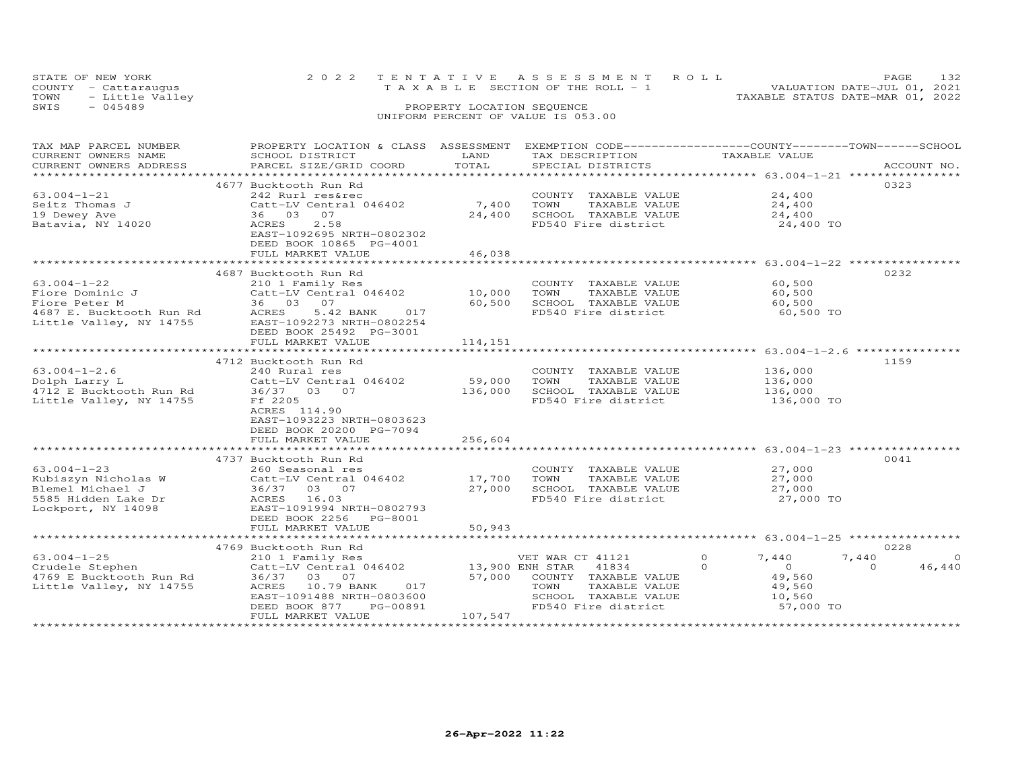|      | STATE OF NEW YORK    |  | 2022 TENTATIVE ASSESSMENT ROLL     |                                  | PAGE.                       |  |
|------|----------------------|--|------------------------------------|----------------------------------|-----------------------------|--|
|      | COUNTY - Cattaraugus |  | TAXABLE SECTION OF THE ROLL - 1    |                                  | VALUATION DATE-JUL 01, 2021 |  |
|      | TOWN - Little Valley |  |                                    | TAXABLE STATUS DATE-MAR 01, 2022 |                             |  |
| SWIS | - 045489             |  | PROPERTY LOCATION SEQUENCE         |                                  |                             |  |
|      |                      |  | UNIFORM PERCENT OF VALUE IS 053.00 |                                  |                             |  |

| TAX MAP PARCEL NUMBER    | PROPERTY LOCATION & CLASS ASSESSMENT EXEMPTION CODE----------------COUNTY-------TOWN------SCHOOL |                                |                       |                            |                    |
|--------------------------|--------------------------------------------------------------------------------------------------|--------------------------------|-----------------------|----------------------------|--------------------|
| CURRENT OWNERS NAME      | SCHOOL DISTRICT                                                                                  | LAND<br>TOTAL                  | TAX DESCRIPTION       | TAXABLE VALUE              |                    |
| CURRENT OWNERS ADDRESS   | PARCEL SIZE/GRID COORD                                                                           |                                | SPECIAL DISTRICTS     |                            | ACCOUNT NO.        |
|                          |                                                                                                  |                                |                       |                            | 0323               |
|                          | 4677 Bucktooth Run Rd                                                                            |                                |                       |                            |                    |
| $63.004 - 1 - 21$        | 242 Rurl res&rec                                                                                 |                                | COUNTY TAXABLE VALUE  | 24,400                     |                    |
| Seitz Thomas J           | Catt-LV Central 046402                                                                           | 7,400                          | TOWN<br>TAXABLE VALUE | 24,400                     |                    |
| 19 Dewey Ave             | 36 03<br>07                                                                                      | 24,400                         | SCHOOL TAXABLE VALUE  | 24,400                     |                    |
| Batavia, NY 14020        | 2.58<br>ACRES                                                                                    |                                | FD540 Fire district   | 24,400 TO                  |                    |
|                          | EAST-1092695 NRTH-0802302                                                                        |                                |                       |                            |                    |
|                          | DEED BOOK 10865 PG-4001                                                                          |                                |                       |                            |                    |
|                          | FULL MARKET VALUE<br>************************                                                    | 46,038<br>******************** |                       |                            |                    |
|                          |                                                                                                  |                                |                       |                            |                    |
|                          | 4687 Bucktooth Run Rd                                                                            |                                |                       |                            | 0232               |
| $63.004 - 1 - 22$        | 210 1 Family Res                                                                                 |                                | COUNTY TAXABLE VALUE  | 60,500                     |                    |
| Fiore Dominic J          | Catt-LV Central 046402                                                                           | 10,000                         | TOWN<br>TAXABLE VALUE | 60,500                     |                    |
| Fiore Peter M            | 36 03 07                                                                                         | 60,500                         | SCHOOL TAXABLE VALUE  | 60,500                     |                    |
| 4687 E. Bucktooth Run Rd | ACRES<br>5.42 BANK<br>017                                                                        |                                | FD540 Fire district   | 60,500 TO                  |                    |
| Little Valley, NY 14755  | EAST-1092273 NRTH-0802254                                                                        |                                |                       |                            |                    |
|                          | DEED BOOK 25492 PG-3001                                                                          |                                |                       |                            |                    |
|                          | FULL MARKET VALUE                                                                                | 114,151                        |                       |                            |                    |
|                          |                                                                                                  |                                |                       |                            |                    |
|                          | 4712 Bucktooth Run Rd                                                                            |                                |                       |                            | 1159               |
| $63.004 - 1 - 2.6$       | 240 Rural res                                                                                    |                                | COUNTY TAXABLE VALUE  | 136,000                    |                    |
| Dolph Larry L            | Catt-LV Central 046402                                                                           | 59,000                         | TOWN<br>TAXABLE VALUE | 136,000                    |                    |
| 4712 E Bucktooth Run Rd  | 36/37 03 07                                                                                      | 136,000                        | SCHOOL TAXABLE VALUE  | 136,000                    |                    |
| Little Valley, NY 14755  | Ff 2205                                                                                          |                                | FD540 Fire district   | 136,000 TO                 |                    |
|                          | ACRES 114.90                                                                                     |                                |                       |                            |                    |
|                          | EAST-1093223 NRTH-0803623                                                                        |                                |                       |                            |                    |
|                          | DEED BOOK 20200 PG-7094                                                                          |                                |                       |                            |                    |
|                          | FULL MARKET VALUE                                                                                | 256,604                        |                       |                            |                    |
|                          | ***************************                                                                      | ******************             |                       |                            |                    |
|                          | 4737 Bucktooth Run Rd                                                                            |                                |                       |                            | 0041               |
| $63.004 - 1 - 23$        | 260 Seasonal res                                                                                 |                                | COUNTY TAXABLE VALUE  | 27,000                     |                    |
| Kubiszyn Nicholas W      | Catt-LV Central 046402                                                                           | 17,700                         | TOWN<br>TAXABLE VALUE | 27,000                     |                    |
| Blemel Michael J         | 36/37 03 07                                                                                      | 27,000                         | SCHOOL TAXABLE VALUE  | 27,000                     |                    |
| 5585 Hidden Lake Dr      | ACRES 16.03                                                                                      |                                | FD540 Fire district   | 27,000 TO                  |                    |
| Lockport, NY 14098       | EAST-1091994 NRTH-0802793                                                                        |                                |                       |                            |                    |
|                          | DEED BOOK 2256<br>PG-8001                                                                        |                                |                       |                            |                    |
|                          | FULL MARKET VALUE                                                                                | 50,943                         |                       |                            |                    |
|                          |                                                                                                  |                                |                       |                            |                    |
|                          | 4769 Bucktooth Run Rd                                                                            |                                |                       |                            | 0228               |
| $63.004 - 1 - 25$        | 210 1 Family Res                                                                                 |                                | VET WAR CT 41121      | $\circ$<br>7,440           | $\circ$<br>7,440   |
| Crudele Stephen          | Catt-LV Central 046402                                                                           | 13,900 ENH STAR                | 41834                 | $\Omega$<br>$\overline{0}$ | 46,440<br>$\Omega$ |
| 4769 E Bucktooth Run Rd  | 36/37 03 07                                                                                      | 57,000                         | COUNTY TAXABLE VALUE  | 49,560                     |                    |
| Little Valley, NY 14755  | ACRES 10.79 BANK<br>017                                                                          |                                | TOWN<br>TAXABLE VALUE | 49,560                     |                    |
|                          | EAST-1091488 NRTH-0803600                                                                        |                                | SCHOOL TAXABLE VALUE  | 10,560                     |                    |
|                          | DEED BOOK 877<br>PG-00891                                                                        |                                | FD540 Fire district   | 57,000 TO                  |                    |
|                          | FULL MARKET VALUE                                                                                | 107,547                        |                       |                            |                    |
|                          |                                                                                                  |                                |                       |                            |                    |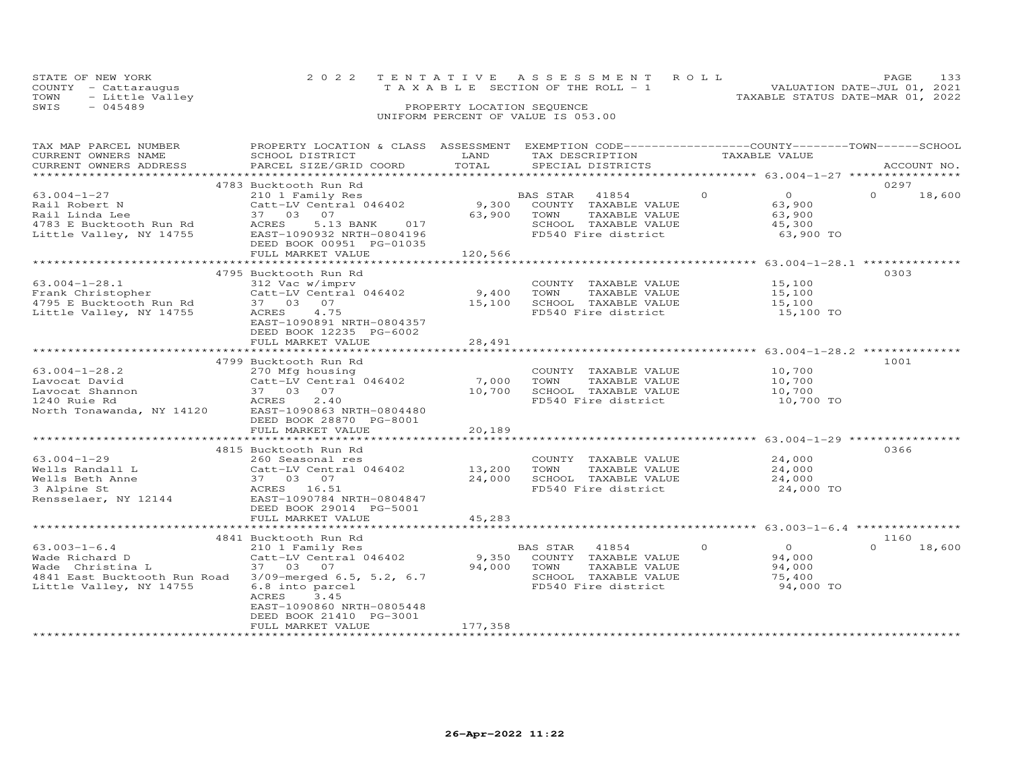| STATE OF NEW YORK       | 2022 TENTATIVE ASSESSMENT ROLL     |                                  | PAGE.                       |  |
|-------------------------|------------------------------------|----------------------------------|-----------------------------|--|
| COUNTY - Cattarauqus    | TAXABLE SECTION OF THE ROLL - 1    |                                  | VALUATION DATE-JUL 01, 2021 |  |
| TOWN<br>- Little Valley |                                    | TAXABLE STATUS DATE-MAR 01, 2022 |                             |  |
| SWIS<br>$-045489$       | PROPERTY LOCATION SEQUENCE         |                                  |                             |  |
|                         | UNIFORM PERCENT OF VALUE IS 053.00 |                                  |                             |  |

| TAX MAP PARCEL NUMBER               | PROPERTY LOCATION & CLASS | ASSESSMENT    | EXEMPTION CODE-----------------COUNTY-------TOWN------SCHOOL |                                                                |                    |
|-------------------------------------|---------------------------|---------------|--------------------------------------------------------------|----------------------------------------------------------------|--------------------|
| CURRENT OWNERS NAME                 | SCHOOL DISTRICT           | LAND          | TAX DESCRIPTION                                              | TAXABLE VALUE                                                  |                    |
| CURRENT OWNERS ADDRESS              | PARCEL SIZE/GRID COORD    | TOTAL         | SPECIAL DISTRICTS                                            |                                                                | ACCOUNT NO.        |
| * * * * * * * * * * * * * * * * * * |                           |               |                                                              |                                                                |                    |
|                                     | 4783 Bucktooth Run Rd     |               |                                                              |                                                                | 0297               |
| $63.004 - 1 - 27$                   | 210 1 Family Res          |               | BAS STAR<br>41854                                            | $\Omega$<br>$\Omega$                                           | $\Omega$<br>18,600 |
| Rail Robert N                       | Catt-LV Central 046402    | 9,300         | COUNTY TAXABLE VALUE                                         | 63,900                                                         |                    |
| Rail Linda Lee                      | 37 03 07                  | 63,900        | TOWN<br>TAXABLE VALUE                                        | 63,900                                                         |                    |
| 4783 E Bucktooth Run Rd             | ACRES<br>5.13 BANK<br>017 |               | SCHOOL TAXABLE VALUE                                         | 45,300                                                         |                    |
| Little Valley, NY 14755             | EAST-1090932 NRTH-0804196 |               | FD540 Fire district                                          | 63,900 TO                                                      |                    |
|                                     | DEED BOOK 00951 PG-01035  |               |                                                              |                                                                |                    |
|                                     | FULL MARKET VALUE         | 120,566       |                                                              |                                                                |                    |
|                                     |                           |               |                                                              | ******************************** 63.004-1-28.1 *************** |                    |
|                                     | 4795 Bucktooth Run Rd     |               |                                                              |                                                                | 0303               |
| $63.004 - 1 - 28.1$                 | 312 Vac w/imprv           |               | COUNTY TAXABLE VALUE                                         | 15,100                                                         |                    |
| Frank Christopher                   | Catt-LV Central 046402    | 9,400         | TOWN<br>TAXABLE VALUE                                        | 15,100                                                         |                    |
| 4795 E Bucktooth Run Rd             | 37  03  07                | 15,100        | SCHOOL TAXABLE VALUE                                         | 15,100                                                         |                    |
| Little Valley, NY 14755             | ACRES<br>4.75             |               | FD540 Fire district                                          | 15,100 TO                                                      |                    |
|                                     | EAST-1090891 NRTH-0804357 |               |                                                              |                                                                |                    |
|                                     | DEED BOOK 12235 PG-6002   |               |                                                              |                                                                |                    |
|                                     | FULL MARKET VALUE         | 28,491        |                                                              |                                                                |                    |
|                                     |                           | ************  |                                                              | ******************** 63.004-1-28.2 ***************             |                    |
|                                     | 4799 Bucktooth Run Rd     |               |                                                              |                                                                | 1001               |
| $63.004 - 1 - 28.2$                 | 270 Mfg housing           |               | COUNTY TAXABLE VALUE                                         | 10,700                                                         |                    |
| Lavocat David                       | Catt-LV Central 046402    | 7,000         | TOWN<br>TAXABLE VALUE                                        | 10,700                                                         |                    |
| Lavocat Shannon                     | 37 03 07                  | 10,700        | SCHOOL TAXABLE VALUE                                         | 10,700                                                         |                    |
| 1240 Ruie Rd                        | 2.40<br>ACRES             |               | FD540 Fire district                                          | 10,700 TO                                                      |                    |
| North Tonawanda, NY 14120           | EAST-1090863 NRTH-0804480 |               |                                                              |                                                                |                    |
|                                     | DEED BOOK 28870 PG-8001   |               |                                                              |                                                                |                    |
|                                     | FULL MARKET VALUE         | 20,189        |                                                              |                                                                |                    |
|                                     | ***********************   | ************* |                                                              | *********************** 63.004-1-29 ***************            |                    |
|                                     | 4815 Bucktooth Run Rd     |               |                                                              |                                                                | 0366               |
| $63.004 - 1 - 29$                   | 260 Seasonal res          |               | COUNTY TAXABLE VALUE                                         | 24,000                                                         |                    |
| Wells Randall L                     | Catt-LV Central 046402    | 13,200        | TAXABLE VALUE<br>TOWN                                        | 24,000                                                         |                    |
| Wells Beth Anne                     | 37 03 07                  | 24,000        | SCHOOL TAXABLE VALUE                                         | 24,000                                                         |                    |
| 3 Alpine St                         | ACRES 16.51               |               | FD540 Fire district                                          | 24,000 TO                                                      |                    |
| Rensselaer, NY 12144                | EAST-1090784 NRTH-0804847 |               |                                                              |                                                                |                    |
|                                     | DEED BOOK 29014 PG-5001   |               |                                                              |                                                                |                    |
|                                     | FULL MARKET VALUE         | 45,283        |                                                              |                                                                |                    |
|                                     |                           |               |                                                              |                                                                |                    |
|                                     | 4841 Bucktooth Run Rd     |               |                                                              |                                                                | 1160               |
| $63.003 - 1 - 6.4$                  | 210 1 Family Res          |               | BAS STAR 41854                                               | $\Omega$<br>$\Omega$                                           | $\Omega$<br>18,600 |
| Wade Richard D                      | Catt-LV Central 046402    | 9,350         | COUNTY TAXABLE VALUE                                         | 94,000                                                         |                    |
|                                     |                           |               |                                                              |                                                                |                    |
| Wade Christina L                    | 37 03 07                  | 94,000        | TOWN<br>TAXABLE VALUE                                        | 94,000                                                         |                    |
| 4841 East Bucktooth Run Road        | 3/09-merged 6.5, 5.2, 6.7 |               | SCHOOL TAXABLE VALUE                                         | 75,400                                                         |                    |
| Little Valley, NY 14755             | 6.8 into parcel           |               | FD540 Fire district                                          | 94,000 TO                                                      |                    |
|                                     | ACRES<br>3.45             |               |                                                              |                                                                |                    |
|                                     | EAST-1090860 NRTH-0805448 |               |                                                              |                                                                |                    |
|                                     | DEED BOOK 21410 PG-3001   |               |                                                              |                                                                |                    |
|                                     | FULL MARKET VALUE         | 177,358       |                                                              |                                                                |                    |
|                                     |                           |               |                                                              |                                                                |                    |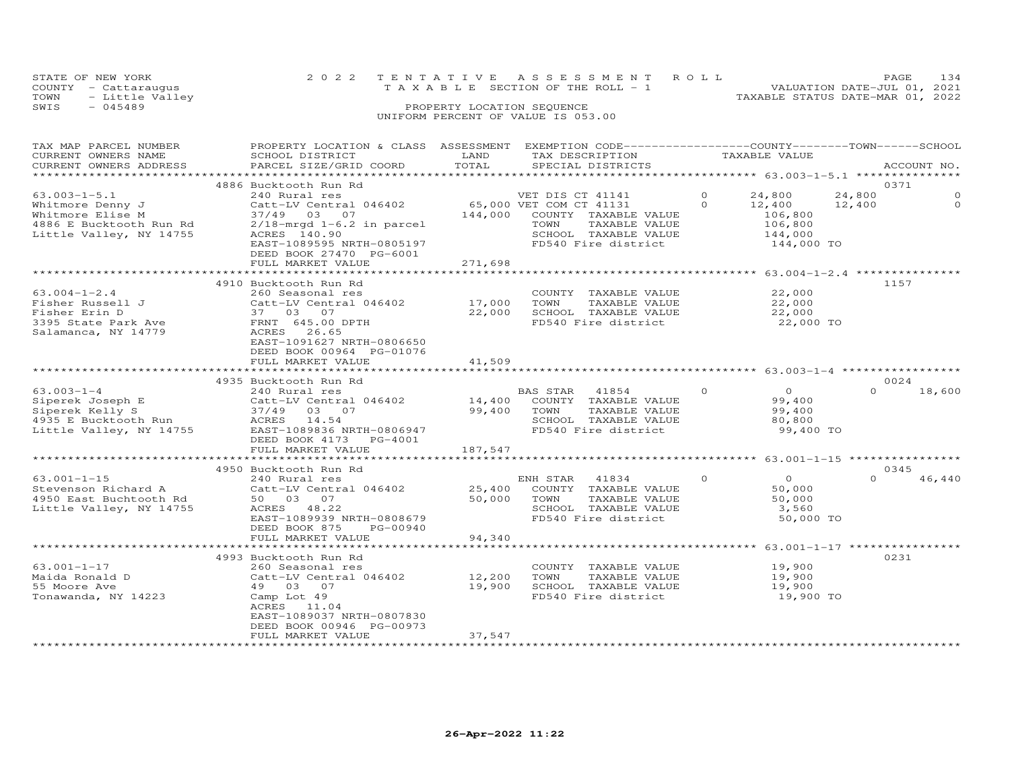|      | STATE OF NEW YORK    | 2022 TENTATIVE ASSESSMENT ROLL     | 134<br>PAGE                      |
|------|----------------------|------------------------------------|----------------------------------|
|      | COUNTY - Cattaraugus | TAXABLE SECTION OF THE ROLL - 1    | VALUATION DATE-JUL 01, 2021      |
| TOWN | - Little Valley      |                                    | TAXABLE STATUS DATE-MAR 01, 2022 |
| SWIS | $-045489$            | PROPERTY LOCATION SEQUENCE         |                                  |
|      |                      | UNIFORM PERCENT OF VALUE IS 053.00 |                                  |

| TAX MAP PARCEL NUMBER<br>CURRENT OWNERS NAME<br>CURRENT OWNERS ADDRESS                                           | PROPERTY LOCATION & CLASS ASSESSMENT EXEMPTION CODE----------------COUNTY-------TOWN------SCHOOL<br>SCHOOL DISTRICT<br>PARCEL SIZE/GRID COORD                                                    | LAND<br>TOTAL               | TAX DESCRIPTION<br>SPECIAL DISTRICTS                                                                                                        | TAXABLE VALUE                                                                           | ACCOUNT NO.                                       |
|------------------------------------------------------------------------------------------------------------------|--------------------------------------------------------------------------------------------------------------------------------------------------------------------------------------------------|-----------------------------|---------------------------------------------------------------------------------------------------------------------------------------------|-----------------------------------------------------------------------------------------|---------------------------------------------------|
|                                                                                                                  |                                                                                                                                                                                                  |                             |                                                                                                                                             |                                                                                         |                                                   |
|                                                                                                                  | 4886 Bucktooth Run Rd                                                                                                                                                                            |                             |                                                                                                                                             |                                                                                         | 0371                                              |
| $63.003 - 1 - 5.1$<br>Whitmore Denny J<br>Whitmore Elise M<br>4886 E Bucktooth Run Rd<br>Little Valley, NY 14755 | 240 Rural res<br>Catt-LV Central 046402<br>37/49 03 07<br>$2/18$ -mrgd 1-6.2 in parcel<br>ACRES 140.90<br>EAST-1089595 NRTH-0805197                                                              | 144,000                     | VET DIS CT 41141<br>65,000 VET COM CT 41131<br>COUNTY TAXABLE VALUE<br>TOWN<br>TAXABLE VALUE<br>SCHOOL TAXABLE VALUE<br>FD540 Fire district | $\Omega$<br>24,800<br>$\Omega$<br>12,400<br>106,800<br>106,800<br>144,000<br>144,000 TO | 24,800<br>$\Omega$<br>$\Omega$<br>12,400          |
|                                                                                                                  | DEED BOOK 27470 PG-6001<br>FULL MARKET VALUE                                                                                                                                                     | 271,698                     |                                                                                                                                             |                                                                                         |                                                   |
|                                                                                                                  | **************************                                                                                                                                                                       | * * * * * * * * * * * * * * |                                                                                                                                             |                                                                                         | ******************* 63.004-1-2.4 **************** |
| $63.004 - 1 - 2.4$<br>Fisher Russell J<br>Fisher Erin D<br>3395 State Park Ave<br>Salamanca, NY 14779            | 4910 Bucktooth Run Rd<br>260 Seasonal res<br>Catt-LV Central 046402<br>37 03 07<br>FRNT 645.00 DPTH<br>ACRES 26.65<br>EAST-1091627 NRTH-0806650<br>DEED BOOK 00964 PG-01076<br>FULL MARKET VALUE | 17,000<br>22,000<br>41,509  | COUNTY TAXABLE VALUE<br>TOWN<br>TAXABLE VALUE<br>SCHOOL TAXABLE VALUE<br>FD540 Fire district                                                | 22,000<br>22,000<br>22,000<br>22,000 TO                                                 | 1157                                              |
|                                                                                                                  |                                                                                                                                                                                                  |                             |                                                                                                                                             |                                                                                         |                                                   |
|                                                                                                                  | 4935 Bucktooth Run Rd                                                                                                                                                                            |                             |                                                                                                                                             |                                                                                         | 0024                                              |
| $63.003 - 1 - 4$<br>Siperek Joseph E<br>Siperek Kelly S<br>4935 E Bucktooth Run<br>Little Valley, NY 14755       | 240 Rural res<br>$Catt-LV$ Central $046402$ 14,400<br>37/49 03 07<br>ACRES 14.54<br>EAST-1089836 NRTH-0806947<br>DEED BOOK 4173 PG-4001                                                          | 99,400                      | BAS STAR 41854<br>COUNTY TAXABLE VALUE<br>TOWN<br>TAXABLE VALUE<br>SCHOOL TAXABLE VALUE<br>FD540 Fire district                              | $\circ$<br>$\overline{O}$<br>99,400<br>99,400<br>80,800<br>99,400 TO                    | $\Omega$<br>18,600                                |
|                                                                                                                  | FULL MARKET VALUE                                                                                                                                                                                | 187,547                     |                                                                                                                                             |                                                                                         |                                                   |
|                                                                                                                  | **************************                                                                                                                                                                       |                             |                                                                                                                                             |                                                                                         |                                                   |
| $63.001 - 1 - 15$<br>Stevenson Richard A<br>4950 East Buchtooth Rd<br>Little Valley, NY 14755                    | 4950 Bucktooth Run Rd<br>240 Rural res<br>Catt-LV Central 046402<br>50 03 07<br>ACRES 48.22<br>EAST-1089939 NRTH-0808679<br>DEED BOOK 875<br>PG-00940                                            | 25,400<br>50,000            | ENH STAR<br>41834<br>COUNTY TAXABLE VALUE<br>TOWN<br>TAXABLE VALUE<br>SCHOOL TAXABLE VALUE<br>FD540 Fire district                           | $\Omega$<br>$\Omega$<br>50,000<br>50,000<br>3,560<br>50,000 TO                          | 0345<br>$\Omega$<br>46,440                        |
|                                                                                                                  | FULL MARKET VALUE                                                                                                                                                                                | 94,340                      |                                                                                                                                             |                                                                                         |                                                   |
|                                                                                                                  | *************************                                                                                                                                                                        |                             |                                                                                                                                             |                                                                                         |                                                   |
| 63.001-1-17<br>Maida Ronald D<br>55 Moore Ave<br>Tonawanda, NY 14223                                             | 4993 Bucktooth Run Rd<br>260 Seasonal res<br>Catt-LV Central 046402<br>49 03 07<br>Camp Lot 49<br>ACRES 11.04<br>EAST-1089037 NRTH-0807830<br>DEED BOOK 00946 PG-00973                           | 12,200<br>19,900            | COUNTY TAXABLE VALUE<br>TOWN<br>TAXABLE VALUE<br>SCHOOL TAXABLE VALUE<br>FD540 Fire district                                                | 19,900<br>19,900<br>19,900<br>19,900 TO                                                 | 0231                                              |
|                                                                                                                  | FULL MARKET VALUE                                                                                                                                                                                | 37,547                      |                                                                                                                                             |                                                                                         |                                                   |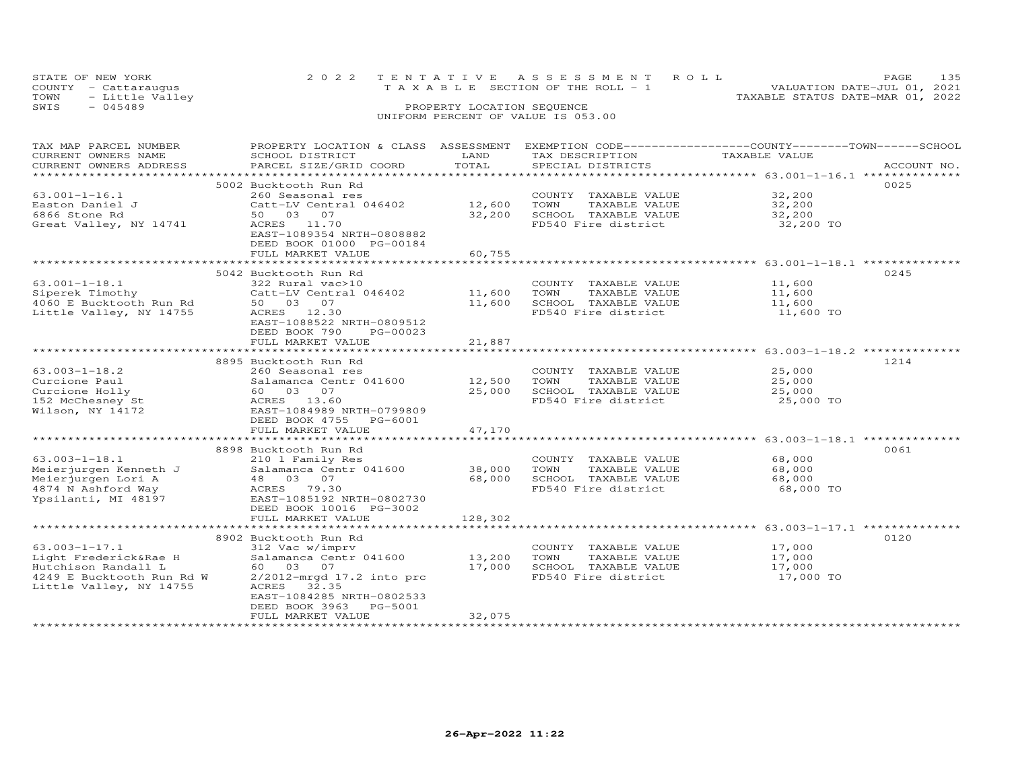|      | STATE OF NEW YORK    | 2022 TENTATIVE ASSESSMENT ROLL                                       | PAGE. |  |
|------|----------------------|----------------------------------------------------------------------|-------|--|
|      | COUNTY - Cattaraugus | VALUATION DATE-JUL 01, 2021<br>T A X A B L E SECTION OF THE ROLL - 1 |       |  |
| TOWN | - Little Valley      | TAXABLE STATUS DATE-MAR 01, 2022                                     |       |  |
| SWIS | - 045489             | PROPERTY LOCATION SEQUENCE                                           |       |  |
|      |                      | UNIFORM PERCENT OF VALUE IS 053.00                                   |       |  |

| TAX MAP PARCEL NUMBER     | PROPERTY LOCATION & CLASS ASSESSMENT                |                           |                       | EXEMPTION CODE------------------COUNTY-------TOWN------SCHOOL |             |
|---------------------------|-----------------------------------------------------|---------------------------|-----------------------|---------------------------------------------------------------|-------------|
| CURRENT OWNERS NAME       | SCHOOL DISTRICT                                     | LAND                      | TAX DESCRIPTION       | TAXABLE VALUE                                                 |             |
| CURRENT OWNERS ADDRESS    | PARCEL SIZE/GRID COORD                              | TOTAL                     | SPECIAL DISTRICTS     |                                                               | ACCOUNT NO. |
| *******************       |                                                     | ************************* |                       | ********************* 63.001-1-16.1 ***************           |             |
|                           | 5002 Bucktooth Run Rd                               |                           |                       |                                                               | 0025        |
| $63.001 - 1 - 16.1$       | 260 Seasonal res                                    |                           | COUNTY TAXABLE VALUE  | 32,200                                                        |             |
| Easton Daniel J           | Catt-LV Central 046402                              | 12,600                    | TOWN<br>TAXABLE VALUE | 32,200                                                        |             |
| 6866 Stone Rd             | 50 03 07                                            | 32,200                    | SCHOOL TAXABLE VALUE  | 32,200                                                        |             |
| Great Valley, NY 14741    | ACRES 11.70                                         |                           | FD540 Fire district   | 32,200 TO                                                     |             |
|                           | EAST-1089354 NRTH-0808882                           |                           |                       |                                                               |             |
|                           | DEED BOOK 01000 PG-00184                            |                           |                       |                                                               |             |
|                           | FULL MARKET VALUE                                   | 60,755                    |                       |                                                               |             |
|                           |                                                     |                           |                       |                                                               |             |
|                           | 5042 Bucktooth Run Rd                               |                           |                       |                                                               | 0245        |
| $63.001 - 1 - 18.1$       | 322 Rural vac>10                                    |                           | COUNTY TAXABLE VALUE  | 11,600                                                        |             |
| Siperek Timothy           | Catt-LV Central 046402                              | 11,600                    | TOWN<br>TAXABLE VALUE | 11,600                                                        |             |
| 4060 E Bucktooth Run Rd   | 50 03 07                                            | 11,600                    | SCHOOL TAXABLE VALUE  | 11,600                                                        |             |
|                           | ACRES 12.30                                         |                           | FD540 Fire district   |                                                               |             |
| Little Valley, NY 14755   |                                                     |                           |                       | 11,600 TO                                                     |             |
|                           | EAST-1088522 NRTH-0809512                           |                           |                       |                                                               |             |
|                           | DEED BOOK 790<br>PG-00023                           |                           |                       |                                                               |             |
|                           | FULL MARKET VALUE<br>****************************** | 21,887<br>************    |                       |                                                               |             |
|                           |                                                     |                           |                       | ************************ 63.003-1-18.2 ***************        |             |
|                           | 8895 Bucktooth Run Rd                               |                           |                       |                                                               | 1214        |
| $63.003 - 1 - 18.2$       | 260 Seasonal res                                    |                           | COUNTY TAXABLE VALUE  | 25,000                                                        |             |
| Curcione Paul             | Salamanca Centr 041600                              | 12,500                    | TOWN<br>TAXABLE VALUE | 25,000                                                        |             |
| Curcione Holly            | 60 03 07                                            | 25,000                    | SCHOOL TAXABLE VALUE  | 25,000                                                        |             |
| 152 McChesney St          | ACRES 13.60                                         |                           | FD540 Fire district   | 25,000 TO                                                     |             |
| Wilson, NY 14172          | EAST-1084989 NRTH-0799809                           |                           |                       |                                                               |             |
|                           | DEED BOOK 4755<br>PG-6001                           |                           |                       |                                                               |             |
|                           | FULL MARKET VALUE                                   | 47,170                    |                       |                                                               |             |
|                           |                                                     | ************              |                       | ****************** 63.003-1-18.1 ***************              |             |
|                           | 8898 Bucktooth Run Rd                               |                           |                       |                                                               | 0061        |
| $63.003 - 1 - 18.1$       | 210 1 Family Res                                    |                           | COUNTY TAXABLE VALUE  | 68,000                                                        |             |
| Meierjurgen Kenneth J     | Salamanca Centr 041600                              | 38,000                    | TOWN<br>TAXABLE VALUE | 68,000                                                        |             |
| Meierjurgen Lori A        | 48 03 07                                            | 68,000                    | SCHOOL TAXABLE VALUE  | 68,000                                                        |             |
| 4874 N Ashford Way        | ACRES 79.30                                         |                           | FD540 Fire district   | 68,000 TO                                                     |             |
| Ypsilanti, MI 48197       | EAST-1085192 NRTH-0802730                           |                           |                       |                                                               |             |
|                           | DEED BOOK 10016 PG-3002                             |                           |                       |                                                               |             |
|                           | FULL MARKET VALUE                                   | 128,302                   |                       |                                                               |             |
|                           | **********************                              | *******                   |                       | ********************* 63.003-1-17.1 *************             |             |
|                           | 8902 Bucktooth Run Rd                               |                           |                       |                                                               | 0120        |
| $63.003 - 1 - 17.1$       | 312 Vac w/imprv                                     |                           | COUNTY TAXABLE VALUE  | 17,000                                                        |             |
| Light Frederick&Rae H     | Salamanca Centr 041600                              | 13,200                    | TOWN<br>TAXABLE VALUE | 17,000                                                        |             |
| Hutchison Randall L       | 60 03<br>07                                         | 17,000                    | SCHOOL TAXABLE VALUE  | 17,000                                                        |             |
| 4249 E Bucktooth Run Rd W | 2/2012-mrgd 17.2 into prc                           |                           | FD540 Fire district   | 17,000 TO                                                     |             |
| Little Valley, NY 14755   | ACRES 32.35                                         |                           |                       |                                                               |             |
|                           | EAST-1084285 NRTH-0802533                           |                           |                       |                                                               |             |
|                           | DEED BOOK 3963<br>PG-5001                           |                           |                       |                                                               |             |
|                           | FULL MARKET VALUE                                   | 32,075                    |                       |                                                               |             |
|                           |                                                     |                           |                       |                                                               |             |
|                           |                                                     |                           |                       |                                                               |             |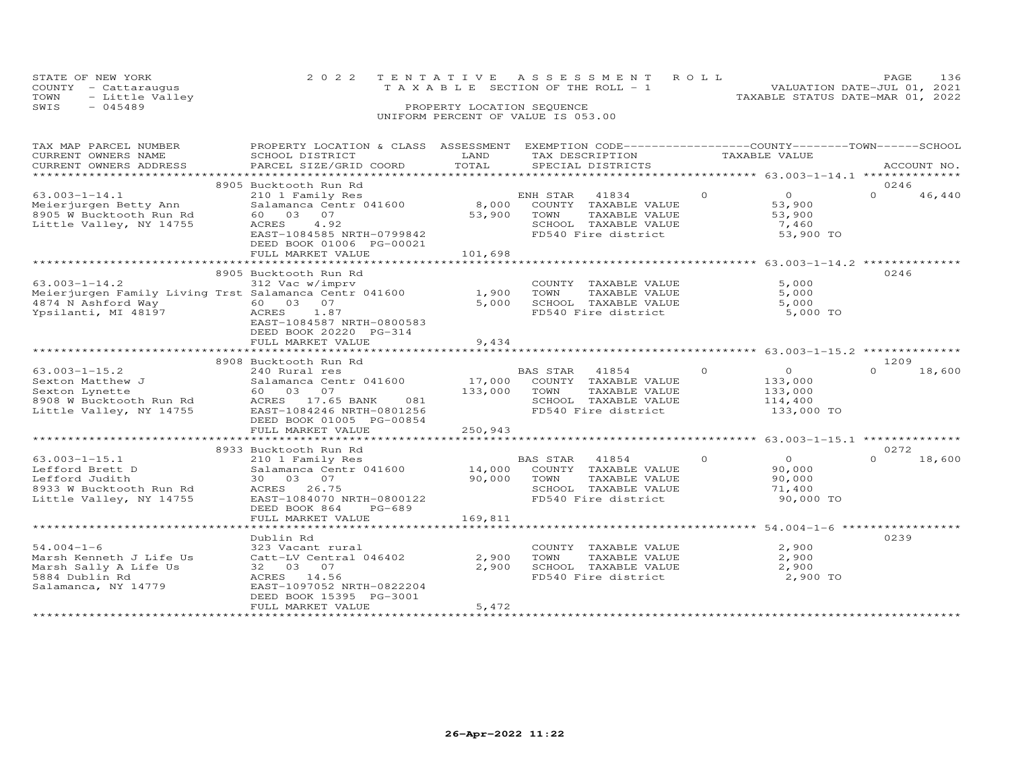| STATE OF NEW YORK    |                      | 2022 TENTATIVE ASSESSMENT ROLL        |  |  |                                  | PAGE | 136 |
|----------------------|----------------------|---------------------------------------|--|--|----------------------------------|------|-----|
| COUNTY - Cattaraugus |                      | T A X A B L E SECTION OF THE ROLL - 1 |  |  | VALUATION DATE-JUL 01, 2021      |      |     |
|                      | TOWN - Little Valley |                                       |  |  | TAXABLE STATUS DATE-MAR 01, 2022 |      |     |
| SWIS                 | $-045489$            | PROPERTY LOCATION SEQUENCE            |  |  |                                  |      |     |
|                      |                      | UNIFORM PERCENT OF VALUE IS 053.00    |  |  |                                  |      |     |
|                      |                      |                                       |  |  |                                  |      |     |
|                      |                      |                                       |  |  |                                  |      |     |

| TAX MAP PARCEL NUMBER<br>CURRENT OWNERS NAME<br>CURRENT OWNERS ADDRESS                                          | PROPERTY LOCATION & CLASS ASSESSMENT<br>SCHOOL DISTRICT<br>PARCEL SIZE/GRID COORD                                                                                                                            | LAND<br>TOTAL               | EXEMPTION CODE------------------COUNTY-------TOWN------SCHOOL<br>TAX DESCRIPTION<br>SPECIAL DISTRICTS                                             | TAXABLE VALUE                                                             | ACCOUNT NO.                |
|-----------------------------------------------------------------------------------------------------------------|--------------------------------------------------------------------------------------------------------------------------------------------------------------------------------------------------------------|-----------------------------|---------------------------------------------------------------------------------------------------------------------------------------------------|---------------------------------------------------------------------------|----------------------------|
|                                                                                                                 |                                                                                                                                                                                                              |                             |                                                                                                                                                   |                                                                           |                            |
| $63.003 - 1 - 14.1$<br>Meierjurgen Betty Ann<br>8905 W Bucktooth Run Rd<br>Little Valley, NY 14755              | 8905 Bucktooth Run Rd<br>210 1 Family Res<br>Salamanca Centr 041600<br>60  03  07<br>4.92<br>ACRES<br>EAST-1084585 NRTH-0799842<br>DEED BOOK 01006 PG-00021<br>FULL MARKET VALUE                             | 8,000<br>53,900<br>101,698  | ENH STAR 41834<br>COUNTY TAXABLE VALUE<br>TOWN<br>TAXABLE VALUE<br>SCHOOL TAXABLE VALUE<br>FD540 Fire district                                    | $\Omega$<br>$\overline{O}$<br>53,900<br>53,900<br>7,460<br>53,900 TO      | 0246<br>$\Omega$<br>46,440 |
|                                                                                                                 | ***************************                                                                                                                                                                                  | * * * * * * * * * * * * * * |                                                                                                                                                   | *********************** 63.003-1-14.2 ***************                     |                            |
| $63.003 - 1 - 14.2$<br>4874 N Ashford Way<br>Ypsilanti, MI 48197                                                | 8905 Bucktooth Run Rd<br>312 Vac w/imprv<br>Meierjurgen Family Living Trst Salamanca Centr 041600<br>60  03  07<br>ACRES<br>1.87<br>EAST-1084587 NRTH-0800583<br>DEED BOOK 20220 PG-314<br>FULL MARKET VALUE | 1,900<br>5,000<br>9,434     | COUNTY TAXABLE VALUE<br>TOWN<br>TAXABLE VALUE<br>SCHOOL TAXABLE VALUE<br>FD540 Fire district                                                      | 5,000<br>5,000<br>5,000<br>5,000 TO                                       | 0246                       |
|                                                                                                                 |                                                                                                                                                                                                              | **********                  |                                                                                                                                                   | ************************ 63.003-1-15.2 ***************                    |                            |
|                                                                                                                 | 8908 Bucktooth Run Rd                                                                                                                                                                                        |                             |                                                                                                                                                   |                                                                           | 1209                       |
| $63.003 - 1 - 15.2$<br>Sexton Matthew J<br>Sexton Lynette<br>8908 W Bucktooth Run Rd<br>Little Valley, NY 14755 | 240 Rural res<br>Salamanca Centr 041600<br>60 03 07<br>ACRES 17.65 BANK<br>081<br>EAST-1084246 NRTH-0801256<br>DEED BOOK 01005 PG-00854                                                                      | 133,000                     | BAS STAR<br>41854<br>17,000 COUNTY TAXABLE VALUE<br>TOWN<br>TAXABLE VALUE<br>SCHOOL TAXABLE VALUE<br>FD540 Fire district                          | $\Omega$<br>$\overline{O}$<br>133,000<br>133,000<br>114,400<br>133,000 TO | $\Omega$<br>18,600         |
|                                                                                                                 | FULL MARKET VALUE                                                                                                                                                                                            | 250,943                     |                                                                                                                                                   |                                                                           |                            |
|                                                                                                                 | 8933 Bucktooth Run Rd                                                                                                                                                                                        |                             |                                                                                                                                                   |                                                                           | 0272                       |
| $63.003 - 1 - 15.1$<br>Lefford Brett D<br>Lefford Judith<br>8933 W Bucktooth Run Rd<br>Little Valley, NY 14755  | 210 1 Family Res<br>Salamanca Centr 041600<br>30  03  07<br>ACRES 26.75<br>EAST-1084070 NRTH-0800122<br>DEED BOOK 864<br>PG-689                                                                              | 90,000                      | <b>BAS STAR</b><br>41854<br>BAS STAR 41854<br>14,000 COUNTY TAXABLE VALUE<br>TOWN<br>TAXABLE VALUE<br>SCHOOL TAXABLE VALUE<br>FD540 Fire district | $\circ$<br>$\overline{0}$<br>90,000<br>90,000<br>71,400<br>90,000 TO      | 18,600<br>$\Omega$         |
|                                                                                                                 | FULL MARKET VALUE                                                                                                                                                                                            | 169,811                     |                                                                                                                                                   |                                                                           |                            |
|                                                                                                                 | Dublin Rd                                                                                                                                                                                                    |                             |                                                                                                                                                   |                                                                           | 0239                       |
| $54.004 - 1 - 6$<br>Marsh Kenneth J Life Us<br>Marsh Sally A Life Us<br>5884 Dublin Rd<br>Salamanca, NY 14779   | 323 Vacant rural<br>Catt-LV Central 046402<br>32 03 07<br>ACRES 14.56<br>EAST-1097052 NRTH-0822204<br>DEED BOOK 15395 PG-3001<br>FULL MARKET VALUE                                                           | 2,900<br>2,900<br>5,472     | COUNTY TAXABLE VALUE<br>TOWN<br>TAXABLE VALUE<br>SCHOOL TAXABLE VALUE<br>FD540 Fire district                                                      | 2,900<br>2,900<br>2,900<br>2,900 TO                                       |                            |
|                                                                                                                 |                                                                                                                                                                                                              |                             |                                                                                                                                                   |                                                                           |                            |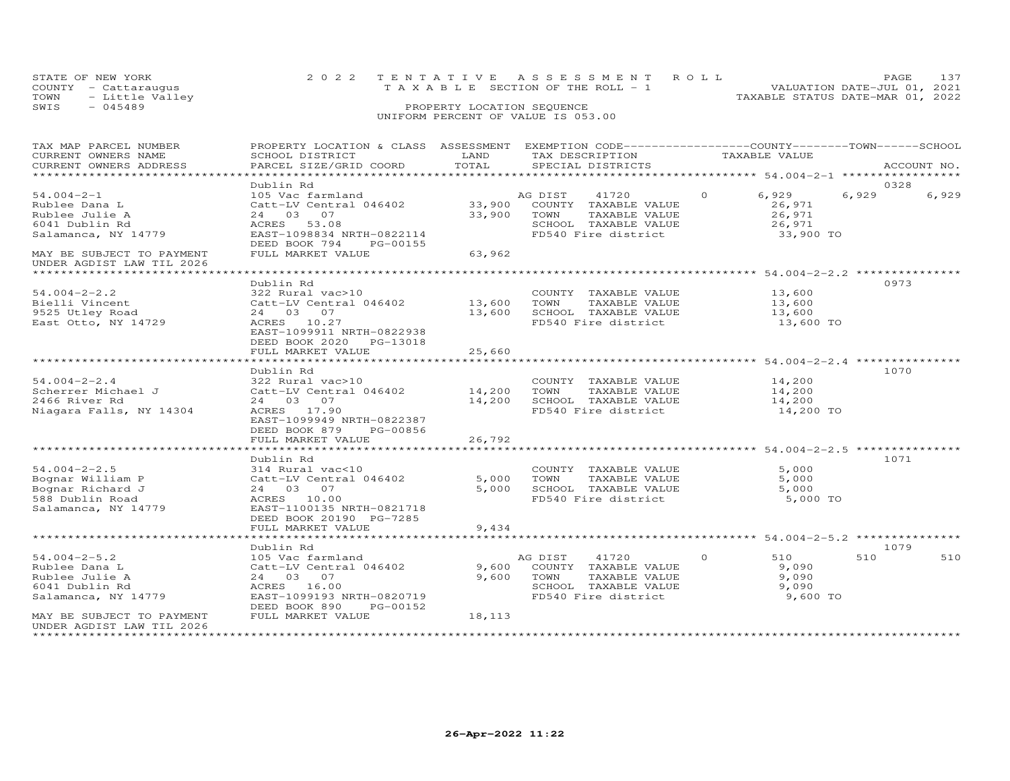| STATE OF NEW YORK       | 2022 TENTATIVE ASSESSMENT ROLL  | PAGE 137                         |
|-------------------------|---------------------------------|----------------------------------|
| COUNTY - Cattaraugus    | TAXABLE SECTION OF THE ROLL - 1 | VALUATION DATE-JUL 01, 2021      |
| TOWN<br>- Little Valley |                                 | TAXABLE STATUS DATE-MAR 01, 2022 |
| SWIS<br>- 045489        | PROPERTY LOCATION SEQUENCE      |                                  |
|                         |                                 |                                  |

| TAX MAP PARCEL NUMBER<br>CURRENT OWNERS NAME<br>CURRENT OWNERS ADDRESS                               | PROPERTY LOCATION & CLASS ASSESSMENT<br>SCHOOL DISTRICT<br>PARCEL SIZE/GRID COORD                                                                                 | LAND<br>TOTAL              | EXEMPTION CODE-----------------COUNTY-------TOWN------SCHOOL<br>TAX DESCRIPTION<br>SPECIAL DISTRICTS             | TAXABLE VALUE                                               | ACCOUNT NO.    |
|------------------------------------------------------------------------------------------------------|-------------------------------------------------------------------------------------------------------------------------------------------------------------------|----------------------------|------------------------------------------------------------------------------------------------------------------|-------------------------------------------------------------|----------------|
| *********************                                                                                |                                                                                                                                                                   |                            |                                                                                                                  |                                                             |                |
|                                                                                                      | Dublin Rd                                                                                                                                                         |                            |                                                                                                                  |                                                             | 0328           |
| $54.004 - 2 - 1$<br>Rublee Dana L<br>Rublee Julie A<br>6041 Dublin Rd<br>Salamanca, NY 14779         | 105 Vac farmland<br>Catt-LV Central 046402<br>24 03 07<br>ACRES 53.08<br>EAST-1098834 NRTH-0822114<br>DEED BOOK 794<br>PG-00155                                   | 33,900<br>33,900           | AG DIST<br>41720<br>COUNTY TAXABLE VALUE<br>TOWN<br>TAXABLE VALUE<br>SCHOOL TAXABLE VALUE<br>FD540 Fire district | $\circ$<br>6,929<br>26,971<br>26,971<br>26,971<br>33,900 TO | 6,929<br>6,929 |
| MAY BE SUBJECT TO PAYMENT<br>UNDER AGDIST LAW TIL 2026                                               | FULL MARKET VALUE                                                                                                                                                 | 63,962                     |                                                                                                                  |                                                             |                |
|                                                                                                      | Dublin Rd                                                                                                                                                         |                            |                                                                                                                  |                                                             | 0973           |
| $54.004 - 2 - 2.2$<br>Bielli Vincent<br>9525 Utley Road<br>East Otto, NY 14729                       | 322 Rural vac>10<br>Catt-LV Central 046402<br>24 03 07<br>ACRES 10.27<br>EAST-1099911 NRTH-0822938<br>DEED BOOK 2020<br>PG-13018                                  | 13,600<br>13,600           | COUNTY TAXABLE VALUE<br>TOWN<br>TAXABLE VALUE<br>SCHOOL TAXABLE VALUE<br>FD540 Fire district                     | 13,600<br>13,600<br>13,600<br>13,600 TO                     |                |
|                                                                                                      | FULL MARKET VALUE                                                                                                                                                 | 25,660                     |                                                                                                                  |                                                             |                |
|                                                                                                      | **********************                                                                                                                                            |                            |                                                                                                                  | ************************ 54.004-2-2.4 ****************      |                |
| $54.004 - 2 - 2.4$<br>Scherrer Michael J<br>2466 River Rd<br>Niagara Falls, NY 14304                 | Dublin Rd<br>322 Rural vac>10<br>Catt-LV Central 046402<br>24 03 07<br>ACRES 17.90<br>EAST-1099949 NRTH-0822387<br>DEED BOOK 879<br>PG-00856<br>FULL MARKET VALUE | 14,200<br>14,200<br>26,792 | COUNTY TAXABLE VALUE<br>TOWN<br>TAXABLE VALUE<br>SCHOOL TAXABLE VALUE<br>FD540 Fire district                     | 14,200<br>14,200<br>14,200<br>14,200 TO                     | 1070           |
|                                                                                                      | *********************                                                                                                                                             |                            |                                                                                                                  | ***********************************54.004-2-2.5 **********  |                |
| $54.004 - 2 - 2.5$<br>Bognar William P<br>Bognar Richard J<br>588 Dublin Road<br>Salamanca, NY 14779 | Dublin Rd<br>314 Rural vac<10<br>Catt-LV Central 046402<br>24 03 07<br>ACRES 10.00<br>EAST-1100135 NRTH-0821718<br>DEED BOOK 20190 PG-7285                        | 5,000<br>5,000             | COUNTY TAXABLE VALUE<br>TOWN<br>TAXABLE VALUE<br>SCHOOL TAXABLE VALUE<br>FD540 Fire district                     | 5,000<br>5,000<br>5,000<br>5,000 TO                         | 1071           |
|                                                                                                      | FULL MARKET VALUE<br>***********************************                                                                                                          | 9,434                      |                                                                                                                  |                                                             |                |
|                                                                                                      | Dublin Rd                                                                                                                                                         |                            |                                                                                                                  |                                                             | 1079           |
| $54.004 - 2 - 5.2$<br>Rublee Dana L<br>Rublee Julie A<br>6041 Dublin Rd<br>Salamanca, NY 14779       | 105 Vac farmland<br>Catt-LV Central 046402<br>24 03 07<br>ACRES 16.00<br>EAST-1099193 NRTH-0820719<br>DEED BOOK 890<br>PG-00152                                   | 9,600<br>9,600             | AG DIST<br>41720<br>COUNTY TAXABLE VALUE<br>TOWN<br>TAXABLE VALUE<br>SCHOOL TAXABLE VALUE<br>FD540 Fire district | $\Omega$<br>510<br>9,090<br>9,090<br>9,090<br>9,600 TO      | 510<br>510     |
| MAY BE SUBJECT TO PAYMENT<br>UNDER AGDIST LAW TIL 2026                                               | FULL MARKET VALUE                                                                                                                                                 | 18,113                     |                                                                                                                  |                                                             |                |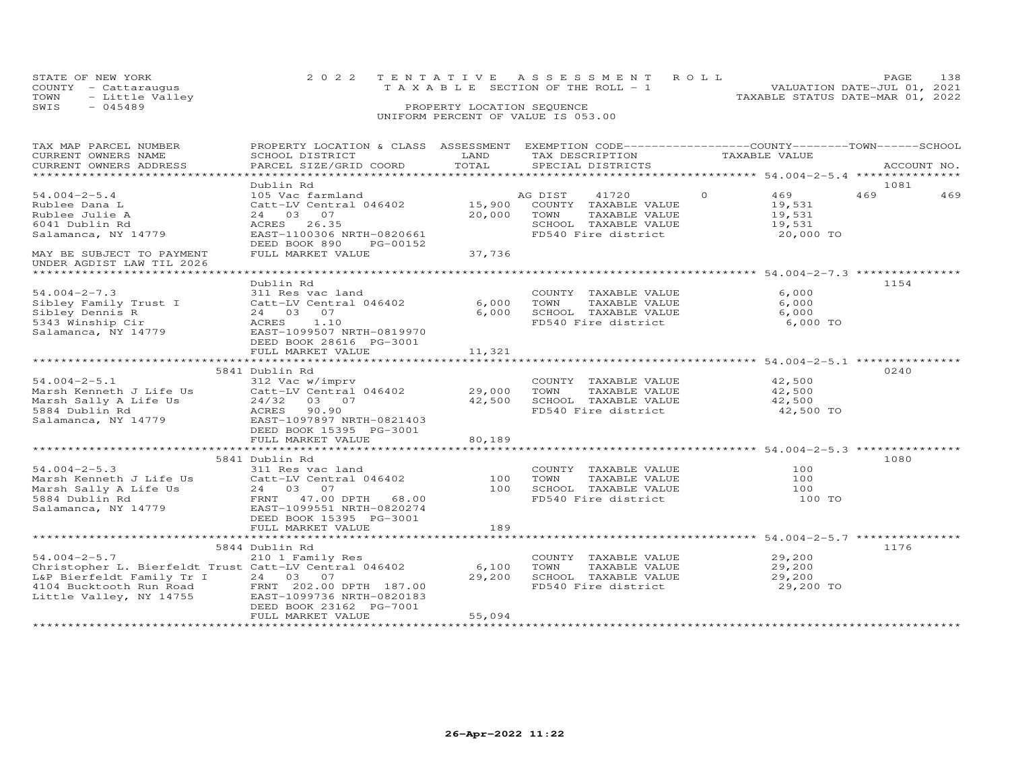| STATE OF NEW YORK                 | 2022 TENTATIVE ASSESSMENT ROLL        | 138<br>PAGE                      |
|-----------------------------------|---------------------------------------|----------------------------------|
| COUNTY - Cattarauqus              | T A X A B L E SECTION OF THE ROLL - 1 | VALUATION DATE-JUL 01, 2021      |
| TOWN                Little Valley |                                       | TAXABLE STATUS DATE-MAR 01, 2022 |
| SWIS<br>$-045489$                 | PROPERTY LOCATION SEQUENCE            |                                  |
|                                   |                                       |                                  |

| TAX MAP PARCEL NUMBER                                                         | PROPERTY LOCATION & CLASS ASSESSMENT EXEMPTION CODE----------------COUNTY-------TOWN-----SCHOOL |        |                       |                |             |
|-------------------------------------------------------------------------------|-------------------------------------------------------------------------------------------------|--------|-----------------------|----------------|-------------|
| CURRENT OWNERS NAME                                                           | SCHOOL DISTRICT                                                                                 | LAND   | TAX DESCRIPTION       | TAXABLE VALUE  |             |
| CURRENT OWNERS ADDRESS                                                        | PARCEL SIZE/GRID COORD                                                                          | TOTAL  | SPECIAL DISTRICTS     |                | ACCOUNT NO. |
| **********************                                                        |                                                                                                 |        |                       |                |             |
|                                                                               | Dublin Rd                                                                                       |        |                       |                | 1081        |
| $54.004 - 2 - 5.4$                                                            | 105 Vac farmland                                                                                |        | AG DIST<br>41720      | 469<br>$\circ$ | 469<br>469  |
| Rublee Dana L                                                                 | Catt-LV Central 046402                                                                          | 15,900 | COUNTY TAXABLE VALUE  | 19,531         |             |
| Rublee Julie A                                                                | 24 03 07                                                                                        | 20,000 | TOWN<br>TAXABLE VALUE | 19,531         |             |
| 6041 Dublin Rd                                                                | ACRES 26.35                                                                                     |        | SCHOOL TAXABLE VALUE  | 19,531         |             |
| Salamanca, NY 14779                                                           | EAST-1100306 NRTH-0820661                                                                       |        | FD540 Fire district   | 20,000 TO      |             |
|                                                                               | DEED BOOK 890<br>PG-00152                                                                       |        |                       |                |             |
| MAY BE SUBJECT TO PAYMENT                                                     | FULL MARKET VALUE                                                                               | 37,736 |                       |                |             |
| UNDER AGDIST LAW TIL 2026                                                     |                                                                                                 |        |                       |                |             |
|                                                                               |                                                                                                 |        |                       |                |             |
|                                                                               | Dublin Rd                                                                                       |        |                       |                | 1154        |
| $54.004 - 2 - 7.3$                                                            | 311 Res vac land                                                                                |        | COUNTY TAXABLE VALUE  | 6,000          |             |
| Sibley Family Trust I                                                         | Catt-LV Central 046402                                                                          | 6,000  | TOWN<br>TAXABLE VALUE | 6,000          |             |
| Sibley Dennis R                                                               | 24 03 07                                                                                        | 6,000  | SCHOOL TAXABLE VALUE  | 6,000          |             |
| 5343 Winship Cir                                                              | ACRES<br>1.10                                                                                   |        | FD540 Fire district   | 6,000 TO       |             |
| Salamanca, NY 14779                                                           | EAST-1099507 NRTH-0819970                                                                       |        |                       |                |             |
|                                                                               | DEED BOOK 28616 PG-3001                                                                         |        |                       |                |             |
|                                                                               |                                                                                                 | 11,321 |                       |                |             |
|                                                                               | FULL MARKET VALUE                                                                               |        |                       |                |             |
|                                                                               |                                                                                                 |        |                       |                | 0240        |
|                                                                               | 5841 Dublin Rd                                                                                  |        |                       |                |             |
| $54.004 - 2 - 5.1$                                                            | 312 Vac w/imprv                                                                                 |        | COUNTY TAXABLE VALUE  | 42,500         |             |
| In Nome of Dife Us<br>Marsh Sally A Life Us<br>5884 Dublin B                  | Catt-LV Central 046402                                                                          | 29,000 | TOWN<br>TAXABLE VALUE | 42,500         |             |
|                                                                               | 24/32 03 07                                                                                     | 42,500 | SCHOOL TAXABLE VALUE  | 42,500         |             |
| 5884 Dublin Rd                                                                | ACRES<br>90.90                                                                                  |        | FD540 Fire district   | 42,500 TO      |             |
| Salamanca, NY 14779                                                           | EAST-1097897 NRTH-0821403                                                                       |        |                       |                |             |
|                                                                               | DEED BOOK 15395 PG-3001                                                                         |        |                       |                |             |
|                                                                               | FULL MARKET VALUE                                                                               | 80,189 |                       |                |             |
|                                                                               |                                                                                                 |        |                       |                |             |
|                                                                               | 5841 Dublin Rd                                                                                  |        |                       |                | 1080        |
| $54.004 - 2 - 5.3$                                                            | 311 Res vac land                                                                                |        | COUNTY TAXABLE VALUE  | 100            |             |
| Marsh Kenneth J Life Us                                                       | Catt-LV Central 046402                                                                          | 100    | TOWN<br>TAXABLE VALUE | 100            |             |
| Marsh Sally A Life Us                                                         | 24 03 07                                                                                        | 100    | SCHOOL TAXABLE VALUE  | 100            |             |
| 5884 Dublin Rd                                                                | FRNT 47.00 DPTH 68.00                                                                           |        | FD540 Fire district   | 100 TO         |             |
| Salamanca, NY 14779                                                           | EAST-1099551 NRTH-0820274                                                                       |        |                       |                |             |
|                                                                               | DEED BOOK 15395 PG-3001                                                                         |        |                       |                |             |
|                                                                               | FULL MARKET VALUE                                                                               | 189    |                       |                |             |
|                                                                               |                                                                                                 |        |                       |                |             |
|                                                                               | 5844 Dublin Rd                                                                                  |        |                       |                | 1176        |
| $54.004 - 2 - 5.7$                                                            | 210 1 Family Res                                                                                |        | COUNTY TAXABLE VALUE  | 29,200         |             |
| Christopher L. Bierfeldt Trust Catt-LV Central 046402                         |                                                                                                 | 6,100  | TOWN<br>TAXABLE VALUE | 29,200         |             |
| L&P Bierfeldt Family Tr I                                                     | 24 03 07                                                                                        | 29,200 | SCHOOL TAXABLE VALUE  | 29,200         |             |
|                                                                               | FRNT 202.00 DPTH 187.00                                                                         |        | FD540 Fire district   | 29,200 TO      |             |
| 4104 Bucktooth Run Road<br>Little Vallev, NY 14755<br>Little Valley, NY 14755 | EAST-1099736 NRTH-0820183                                                                       |        |                       |                |             |
|                                                                               | DEED BOOK 23162 PG-7001                                                                         |        |                       |                |             |
|                                                                               | FULL MARKET VALUE                                                                               | 55,094 |                       |                |             |
|                                                                               |                                                                                                 |        |                       |                |             |
|                                                                               |                                                                                                 |        |                       |                |             |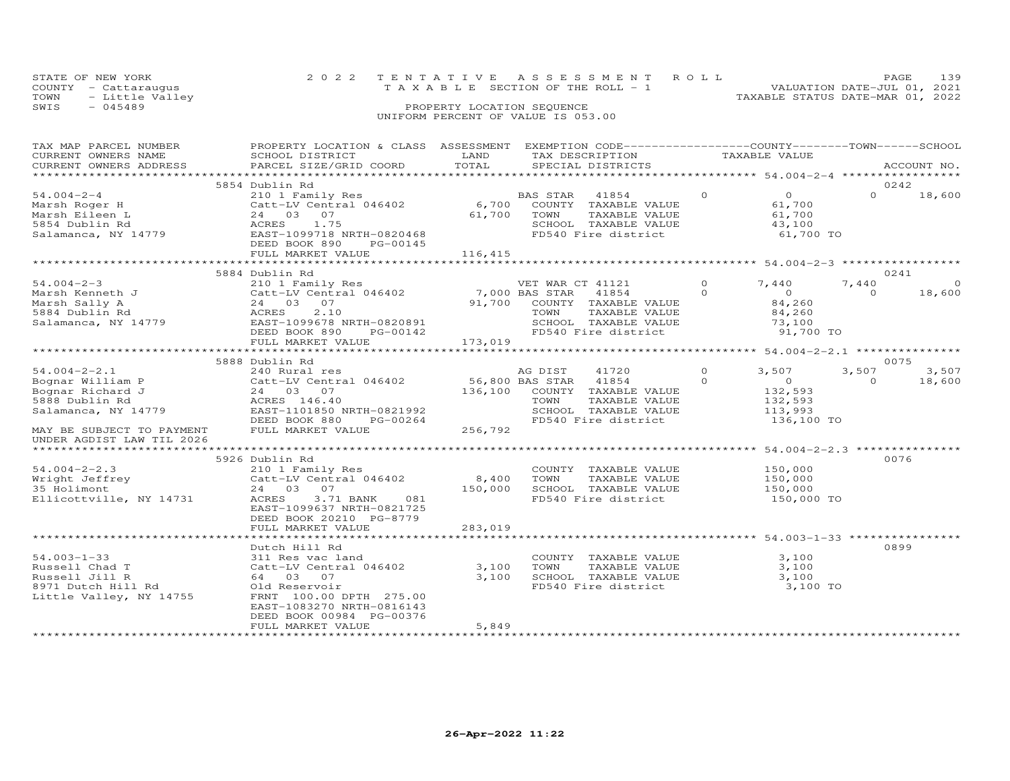|      | STATE OF NEW YORK    | 2022 TENTATIVE ASSESSMENT ROLL        | 139<br>PAGE.                     |
|------|----------------------|---------------------------------------|----------------------------------|
|      | COUNTY - Cattarauqus | T A X A B L E SECTION OF THE ROLL - 1 | VALUATION DATE-JUL 01, 2021      |
|      | TOWN - Little Valley |                                       | TAXABLE STATUS DATE-MAR 01, 2022 |
| SWIS | - 045489             | PROPERTY LOCATION SEQUENCE            |                                  |
|      |                      | UNIFORM PERCENT OF VALUE IS 053.00    |                                  |

| TAX MAP PARCEL NUMBER     | PROPERTY LOCATION & CLASS ASSESSMENT EXEMPTION CODE-----------------COUNTY-------TOWN------SCHOOL                                                                                                                                      |            |                                                                             |                |                     |                |             |
|---------------------------|----------------------------------------------------------------------------------------------------------------------------------------------------------------------------------------------------------------------------------------|------------|-----------------------------------------------------------------------------|----------------|---------------------|----------------|-------------|
| CURRENT OWNERS NAME       | SCHOOL DISTRICT                                                                                                                                                                                                                        | LAND       | TAX DESCRIPTION                                                             | TAXABLE VALUE  |                     |                |             |
| CURRENT OWNERS ADDRESS    | PARCEL SIZE/GRID COORD                                                                                                                                                                                                                 | TOTAL      | SPECIAL DISTRICTS                                                           |                |                     |                | ACCOUNT NO. |
|                           |                                                                                                                                                                                                                                        |            |                                                                             |                |                     |                |             |
|                           | 5854 Dublin Rd                                                                                                                                                                                                                         |            |                                                                             |                |                     |                | 0242        |
| $54.004 - 2 - 4$          | 210 1 Family Res<br>Catt-LV Central 046402 6,700 COUNTY TAXABLE VALUE                                                                                                                                                                  |            |                                                                             | $\circ$        | $\overline{O}$      | $\Omega$       | 18,600      |
| Marsh Roger H             |                                                                                                                                                                                                                                        |            |                                                                             | 61,700         |                     |                |             |
| Marsh Eileen L            |                                                                                                                                                                                                                                        | 61,700     | TOWN<br>TAXABLE VALUE                                                       |                |                     |                |             |
| 5854 Dublin Rd            |                                                                                                                                                                                                                                        |            | SCHOOL TAXABLE VALUE                                                        |                | 61,700<br>43,100    |                |             |
| Salamanca, NY 14779       | Catt-LV Cent.<br>Catt-LV Cent.<br>24 03 07<br>ACRES 1.75<br>EAST-1099718<br>DEED BOOK 890<br>PEED BOOK 890<br>ACRES 1.75<br>EAST-1099718 NRTH-0820468                                                                                  |            | FD540 Fire district                                                         |                | 61,700 TO           |                |             |
|                           | PG-00145                                                                                                                                                                                                                               |            |                                                                             |                |                     |                |             |
|                           | FULL MARKET VALUE                                                                                                                                                                                                                      | 116,415    |                                                                             |                |                     |                |             |
|                           |                                                                                                                                                                                                                                        |            |                                                                             |                |                     |                |             |
|                           | 5884 Dublin Rd                                                                                                                                                                                                                         |            |                                                                             |                |                     |                | 0241        |
|                           | %7.004-2-3 210 1 Family Res WET WAR CT 41121 21<br>Marsh Kenneth J Catt-LV Central 046402 7,000 BAS STAR 41854 0<br>Marsh Sally A 24 03 07<br>5884 Dublin Rd ACRES 2.10 TOWN TAXABLE VALUE<br>Salamanca, NY 14779 EAST-1099678 NRTH-08 |            | VET WAR CT 41121                                                            | $\overline{0}$ | 7,440               | 7,440          | $\Omega$    |
|                           |                                                                                                                                                                                                                                        |            |                                                                             |                | $\overline{0}$      | $\overline{0}$ | 18,600      |
|                           |                                                                                                                                                                                                                                        |            |                                                                             |                | 84,260              |                |             |
|                           |                                                                                                                                                                                                                                        |            |                                                                             |                | 84,260              |                |             |
|                           |                                                                                                                                                                                                                                        |            |                                                                             |                |                     |                |             |
|                           |                                                                                                                                                                                                                                        |            | SCHOOL TAXABLE VALUE<br>FD540 Fire district                                 |                | 73,100<br>91,700 TO |                |             |
|                           | FULL MARKET VALUE                                                                                                                                                                                                                      | 173,019    |                                                                             |                |                     |                |             |
|                           |                                                                                                                                                                                                                                        |            |                                                                             |                |                     |                |             |
|                           | 5888 Dublin Rd                                                                                                                                                                                                                         |            |                                                                             |                |                     |                | 0075        |
|                           | 1920 - 1920<br>240 Rural res 1046402<br>24 03 07 136,100 COUNTY TAXABLE VALUE<br>24 03 07 136,100 COUNTY TAXABLE VALUE<br>24 03 07 136,100 COUNTY TAXABLE VALUE                                                                        |            |                                                                             | $\overline{0}$ | 3,507               | 3,507          | 3,507       |
|                           |                                                                                                                                                                                                                                        |            |                                                                             | $\Omega$       | $\overline{O}$      | $\Omega$       | 18,600      |
|                           |                                                                                                                                                                                                                                        |            |                                                                             |                | 132,593             |                |             |
|                           |                                                                                                                                                                                                                                        |            | TAXABLE VALUE                                                               |                | 132,593             |                |             |
|                           |                                                                                                                                                                                                                                        |            | SCHOOL TAXABLE VALUE 113,993                                                |                |                     |                |             |
|                           |                                                                                                                                                                                                                                        |            | FD540 Fire district                                                         |                | 136,100 TO          |                |             |
|                           | 94.004-2-2.1<br>Bognar William P<br>Bognar Richard J<br>Bognar Richard J<br>5888 Dublin Rd<br>Salamanca, NY 14779<br>CALL 1101850 NRTH-0821992<br>DEED BOOK 880<br>PG-00264<br>256,792<br>PEED BOOK 880<br>PG-00264<br>256,792         |            |                                                                             |                |                     |                |             |
| UNDER AGDIST LAW TIL 2026 |                                                                                                                                                                                                                                        |            |                                                                             |                |                     |                |             |
|                           |                                                                                                                                                                                                                                        |            |                                                                             |                |                     |                |             |
|                           | 5926 Dublin Rd                                                                                                                                                                                                                         |            |                                                                             |                |                     |                | 0076        |
|                           |                                                                                                                                                                                                                                        |            |                                                                             |                |                     |                |             |
|                           |                                                                                                                                                                                                                                        | 8,400 TOWN | COUNTY TAXABLE VALUE 150,000<br>TOWN TAXABLE VALUE 150,000<br>TAXABLE VALUE |                |                     |                |             |
|                           |                                                                                                                                                                                                                                        |            | 150,000 SCHOOL TAXABLE VALUE 150,000                                        |                |                     |                |             |
|                           | 54.004-2-2.3<br>Wright Jeffrey<br>35 Holimont 24 03 07<br>Ellicottville, NY 14731 ACRES 3.71 BANK 081                                                                                                                                  |            | FD540 Fire district                                                         |                | 150,000 TO          |                |             |
|                           | EAST-1099637 NRTH-0821725                                                                                                                                                                                                              |            |                                                                             |                |                     |                |             |
|                           | DEED BOOK 20210 PG-8779                                                                                                                                                                                                                |            |                                                                             |                |                     |                |             |
|                           | FULL MARKET VALUE                                                                                                                                                                                                                      | 283,019    |                                                                             |                |                     |                |             |
|                           |                                                                                                                                                                                                                                        |            |                                                                             |                |                     |                |             |
|                           | Dutch Hill Rd                                                                                                                                                                                                                          |            |                                                                             |                |                     |                | 0899        |
| $54.003 - 1 - 33$         | 311 Res vac land                                                                                                                                                                                                                       |            | COUNTY TAXABLE VALUE 3,100                                                  |                |                     |                |             |
| Russell Chad T            | Catt-Lv Com<br>64 03 07<br>Old Reservoi,<br>The 100.00<br>Catt-LV Central 046402<br>64 03 07                                                                                                                                           | 3,100      | TOWN<br>TOWN TAXABLE VALUE 3,100<br>SCHOOL TAXABLE VALUE 3,100              |                |                     |                |             |
| Russell Jill R            |                                                                                                                                                                                                                                        | 3,100      |                                                                             |                |                     |                |             |
| 8971 Dutch Hill Rd        | Old Reservoir                                                                                                                                                                                                                          |            | FD540 Fire district                                                         |                | 3,100 TO            |                |             |
| Little Valley, NY 14755   | FRNT 100.00 DPTH 275.00                                                                                                                                                                                                                |            |                                                                             |                |                     |                |             |
|                           | EAST-1083270 NRTH-0816143                                                                                                                                                                                                              |            |                                                                             |                |                     |                |             |
|                           | DEED BOOK 00984 PG-00376                                                                                                                                                                                                               |            |                                                                             |                |                     |                |             |
|                           | FULL MARKET VALUE                                                                                                                                                                                                                      | 5,849      |                                                                             |                |                     |                |             |
|                           |                                                                                                                                                                                                                                        |            |                                                                             |                |                     |                |             |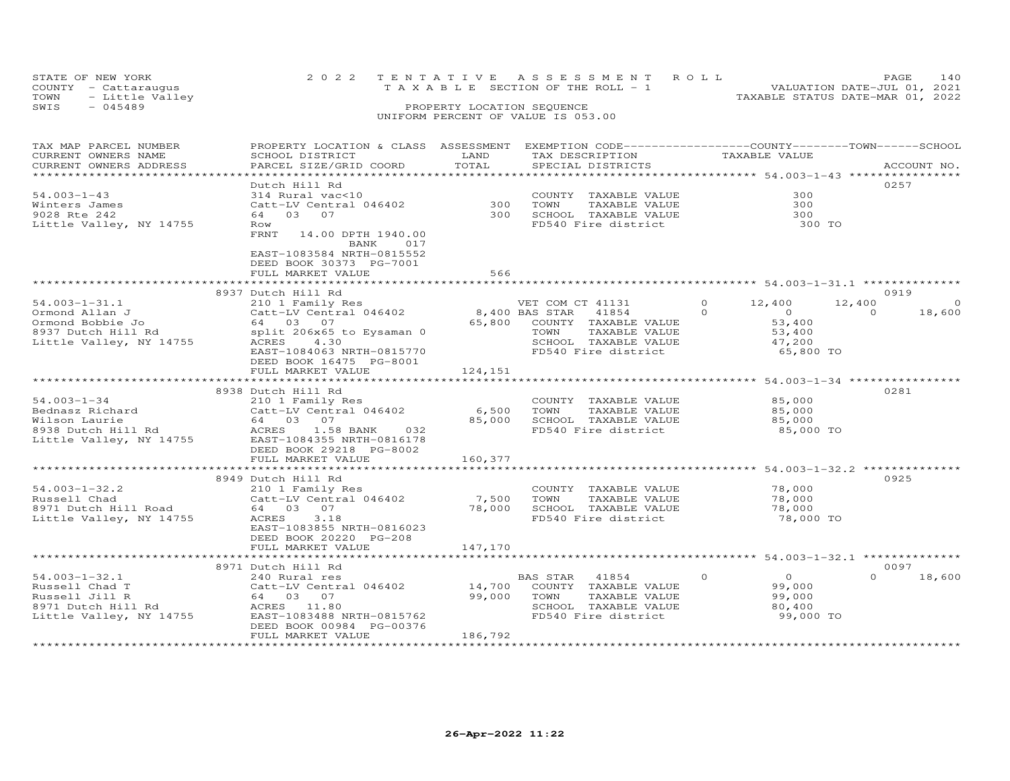| STATE OF NEW YORK       |  | 2022 TENTATIVE ASSESSMENT ROLL        | PAGE.                            | 140 |
|-------------------------|--|---------------------------------------|----------------------------------|-----|
| COUNTY - Cattaraugus    |  | T A X A B L E SECTION OF THE ROLL - 1 | VALUATION DATE-JUL 01, 2021      |     |
| TOWN<br>- Little Valley |  |                                       | TAXABLE STATUS DATE-MAR 01, 2022 |     |
| SWIS<br>$-045489$       |  | PROPERTY LOCATION SEQUENCE            |                                  |     |
|                         |  | UNIFORM PERCENT OF VALUE IS 053.00    |                                  |     |

| CURRENT OWNERS NAME<br>LAND<br>TAX DESCRIPTION<br>TAXABLE VALUE<br>SCHOOL DISTRICT<br>TOTAL<br>CURRENT OWNERS ADDRESS<br>PARCEL SIZE/GRID COORD<br>SPECIAL DISTRICTS<br>ACCOUNT NO.<br>******************************<br>Dutch Hill Rd<br>0257<br>$54.003 - 1 - 43$<br>300<br>314 Rural vac<10<br>COUNTY TAXABLE VALUE<br>300<br>Catt-LV Central 046402<br>Winters James<br>TOWN<br>TAXABLE VALUE<br>300<br>300<br>9028 Rte 242<br>64 03 07<br>SCHOOL TAXABLE VALUE<br>300 |
|----------------------------------------------------------------------------------------------------------------------------------------------------------------------------------------------------------------------------------------------------------------------------------------------------------------------------------------------------------------------------------------------------------------------------------------------------------------------------|
|                                                                                                                                                                                                                                                                                                                                                                                                                                                                            |
|                                                                                                                                                                                                                                                                                                                                                                                                                                                                            |
|                                                                                                                                                                                                                                                                                                                                                                                                                                                                            |
|                                                                                                                                                                                                                                                                                                                                                                                                                                                                            |
|                                                                                                                                                                                                                                                                                                                                                                                                                                                                            |
|                                                                                                                                                                                                                                                                                                                                                                                                                                                                            |
|                                                                                                                                                                                                                                                                                                                                                                                                                                                                            |
| Little Valley, NY 14755<br>FD540 Fire district<br>300 TO<br>Row                                                                                                                                                                                                                                                                                                                                                                                                            |
| FRNT 14.00 DPTH 1940.00<br>BANK<br>017                                                                                                                                                                                                                                                                                                                                                                                                                                     |
| EAST-1083584 NRTH-0815552<br>DEED BOOK 30373 PG-7001                                                                                                                                                                                                                                                                                                                                                                                                                       |
| 566<br>FULL MARKET VALUE                                                                                                                                                                                                                                                                                                                                                                                                                                                   |
|                                                                                                                                                                                                                                                                                                                                                                                                                                                                            |
| 0919                                                                                                                                                                                                                                                                                                                                                                                                                                                                       |
| 8937 Dutch Hill Rd<br>$\circ$<br>$54.003 - 1 - 31.1$<br>$\Omega$                                                                                                                                                                                                                                                                                                                                                                                                           |
| VET COM CT 41131<br>12,400<br>12,400<br>210 1 Family Res<br>Catt-LV Central 046402<br>8,400 BAS STAR<br>41854<br>$\Omega$<br>$\overline{0}$<br>$\Omega$                                                                                                                                                                                                                                                                                                                    |
| Ormond Allan J<br>18,600<br>64 03 07<br>65,800 COUNTY TAXABLE VALUE<br>53,400                                                                                                                                                                                                                                                                                                                                                                                              |
| Ormond Bobbie Jo                                                                                                                                                                                                                                                                                                                                                                                                                                                           |
| 8937 Dutch Hill Rd<br>Little Valley, NY 14755<br>split 206x65 to Eysaman 0<br>TAXABLE VALUE<br>TOWN<br>53,400                                                                                                                                                                                                                                                                                                                                                              |
| Little Valley, NY 14755<br>ACRES<br>4.30<br>SCHOOL TAXABLE VALUE<br>47,200                                                                                                                                                                                                                                                                                                                                                                                                 |
| EAST-1084063 NRTH-0815770<br>FD540 Fire district<br>65,800 TO                                                                                                                                                                                                                                                                                                                                                                                                              |
| DEED BOOK 16475 PG-8001                                                                                                                                                                                                                                                                                                                                                                                                                                                    |
| 124,151<br>FULL MARKET VALUE                                                                                                                                                                                                                                                                                                                                                                                                                                               |
|                                                                                                                                                                                                                                                                                                                                                                                                                                                                            |
| 8938 Dutch Hill Rd<br>0281                                                                                                                                                                                                                                                                                                                                                                                                                                                 |
| 210 1 Family Res<br>$54.003 - 1 - 34$<br>COUNTY TAXABLE VALUE 65,000                                                                                                                                                                                                                                                                                                                                                                                                       |
| Catt-LV Central 046402<br>6,500 TOWN<br>TAXABLE VALUE<br>Bednasz Richard<br>85,000<br>LIV I Family<br>Catt-LV Cent:<br>64 03 07<br>ACRES                                                                                                                                                                                                                                                                                                                                   |
| 85,000 SCHOOL TAXABLE VALUE<br>85,000                                                                                                                                                                                                                                                                                                                                                                                                                                      |
| Wilson Laurie<br>8938 Dutch Hill Rd<br>Iittle You<br>FD540 Fire district<br>ACRES 1.58 BANK 032<br>85,000 TO                                                                                                                                                                                                                                                                                                                                                               |
| Little Valley, NY 14755 EAST-1084355 NRTH-0816178                                                                                                                                                                                                                                                                                                                                                                                                                          |
| DEED BOOK 29218 PG-8002                                                                                                                                                                                                                                                                                                                                                                                                                                                    |
| 160,377<br>FULL MARKET VALUE                                                                                                                                                                                                                                                                                                                                                                                                                                               |
|                                                                                                                                                                                                                                                                                                                                                                                                                                                                            |
| 8949 Dutch Hill Rd<br>0925                                                                                                                                                                                                                                                                                                                                                                                                                                                 |
| $54.003 - 1 - 32.2$<br>78,000<br>210 1 Family Res<br>COUNTY TAXABLE VALUE                                                                                                                                                                                                                                                                                                                                                                                                  |
| Catt-LV Central 046402<br>7,500 TOWN<br>TAXABLE VALUE<br>78,000<br>Russell Chad<br>Russell Chad<br>8971 Dutch Hill Road                                                                                                                                                                                                                                                                                                                                                    |
| 78,000 SCHOOL TAXABLE VALUE<br>64 03 07<br>78,000                                                                                                                                                                                                                                                                                                                                                                                                                          |
| FD540 Fire district<br>Little Valley, NY 14755<br>ACRES<br>3.18<br>78,000 TO                                                                                                                                                                                                                                                                                                                                                                                               |
| EAST-1083855 NRTH-0816023                                                                                                                                                                                                                                                                                                                                                                                                                                                  |
| DEED BOOK 20220 PG-208                                                                                                                                                                                                                                                                                                                                                                                                                                                     |
| 147,170<br>FULL MARKET VALUE                                                                                                                                                                                                                                                                                                                                                                                                                                               |
|                                                                                                                                                                                                                                                                                                                                                                                                                                                                            |
| 0097<br>8971 Dutch Hill Rd                                                                                                                                                                                                                                                                                                                                                                                                                                                 |
| $54.003 - 1 - 32.1$<br>BAS STAR 41854<br>$\Omega$<br>$\overline{O}$<br>$\Omega$<br>18,600<br>240 Rural res<br>14,700 COUNTY TAXABLE VALUE<br>99.000 TOWN TAXABLE VALUE                                                                                                                                                                                                                                                                                                     |
| Russell Chad T<br>Catt-LV Central 046402<br>99,000                                                                                                                                                                                                                                                                                                                                                                                                                         |
| Russell Jill R<br>64 03 07<br>99,000 TOWN<br>TAXABLE VALUE<br>99,000                                                                                                                                                                                                                                                                                                                                                                                                       |
| ACRES 11.80<br>SCHOOL TAXABLE VALUE<br>80,400                                                                                                                                                                                                                                                                                                                                                                                                                              |
| oy/1 Dutch Hill Rd<br>Little Valley, NY 14755<br>FD540 Fire district<br>99,000 TO<br>EAST-1083488 NRTH-0815762                                                                                                                                                                                                                                                                                                                                                             |
| DEED BOOK 00984 PG-00376                                                                                                                                                                                                                                                                                                                                                                                                                                                   |
| FULL MARKET VALUE<br>186,792                                                                                                                                                                                                                                                                                                                                                                                                                                               |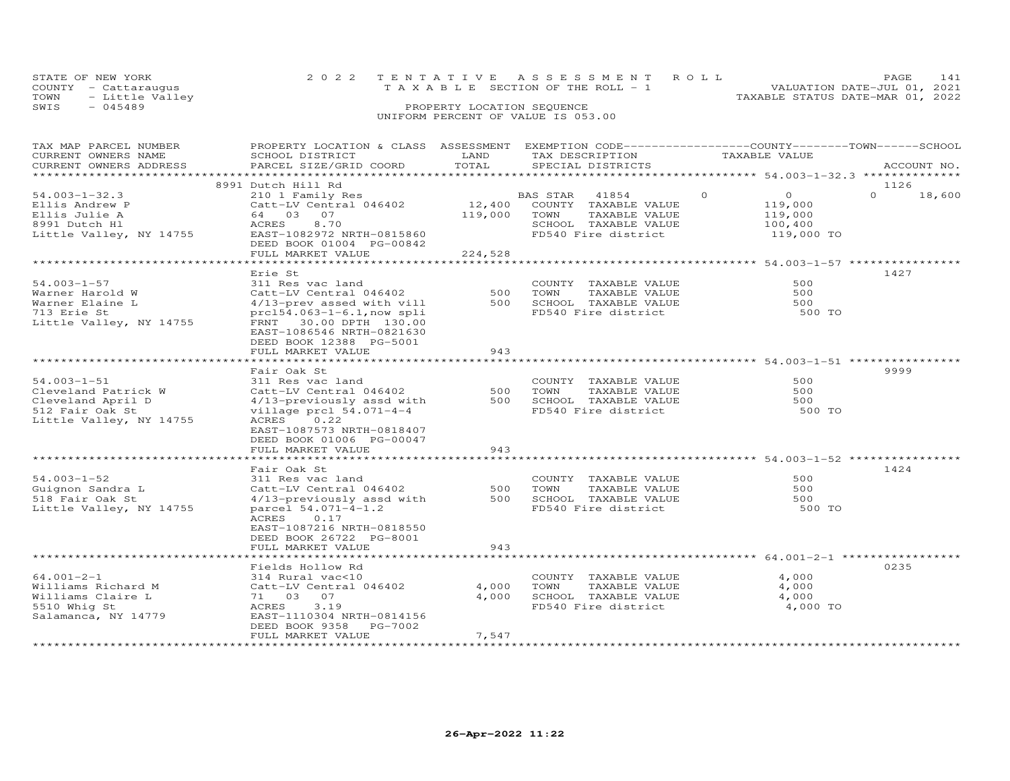| STATE OF NEW YORK    | 2022 TENTATIVE ASSESSMENT ROLL        | $4^{\frac{1}{2}}$<br>PAGE.       |
|----------------------|---------------------------------------|----------------------------------|
| COUNTY - Cattarauqus | T A X A B L E SECTION OF THE ROLL - 1 | VALUATION DATE-JUL 01, 2021      |
| TOWN - Little Valley |                                       | TAXABLE STATUS DATE-MAR 01, 2022 |
| 2 T M 2<br>$-045489$ | PROPERTY LOCATION SEQUENCE            |                                  |

# SWIS - 045489 PROPERTY LOCATION SEQUENCE UNIFORM PERCENT OF VALUE IS 053.00

| TAX MAP PARCEL NUMBER<br>CURRENT OWNERS NAME              | PROPERTY LOCATION & CLASS ASSESSMENT EXEMPTION CODE-----------------COUNTY-------TOWN------SCHOOL<br>SCHOOL DISTRICT | LAND       | TAX DESCRIPTION                                                      | TAXABLE VALUE                                                        |                            |
|-----------------------------------------------------------|----------------------------------------------------------------------------------------------------------------------|------------|----------------------------------------------------------------------|----------------------------------------------------------------------|----------------------------|
| CURRENT OWNERS ADDRESS                                    | PARCEL SIZE/GRID COORD                                                                                               | TOTAL      | SPECIAL DISTRICTS                                                    |                                                                      | ACCOUNT NO.                |
| ***********************                                   |                                                                                                                      |            |                                                                      |                                                                      |                            |
| $54.003 - 1 - 32.3$<br>Ellis Andrew P                     | 8991 Dutch Hill Rd<br>210 1 Family Res<br>Catt-LV Central 046402                                                     | 12,400     | 41854<br>BAS STAR<br>COUNTY TAXABLE VALUE                            | $\Omega$<br>$\overline{O}$<br>119,000                                | 1126<br>$\Omega$<br>18,600 |
| Ellis Julie A<br>8991 Dutch Hl<br>Little Valley, NY 14755 | 64 03 07<br><b>ACRES</b><br>8.70<br>EAST-1082972 NRTH-0815860                                                        | 119,000    | TOWN<br>TAXABLE VALUE<br>SCHOOL TAXABLE VALUE<br>FD540 Fire district | 119,000<br>100,400                                                   |                            |
|                                                           | DEED BOOK 01004 PG-00842<br>FULL MARKET VALUE                                                                        | 224,528    |                                                                      | 119,000 TO                                                           |                            |
|                                                           |                                                                                                                      |            |                                                                      |                                                                      |                            |
| 54.003-1-57                                               | Erie St<br>311 Res vac land                                                                                          |            | COUNTY TAXABLE VALUE                                                 | 500                                                                  | 1427                       |
| Warner Harold W                                           | Catt-LV Central 046402                                                                                               | 500        | TAXABLE VALUE<br>TOWN                                                | 500                                                                  |                            |
| Warner Elaine L                                           | 4/13-prev assed with vill                                                                                            | 500        | SCHOOL TAXABLE VALUE                                                 | 500                                                                  |                            |
| 713 Erie St<br>Little Valley, NY 14755                    | $prc154.063-1-6.1, now split$<br>FRNT 30.00 DPTH 130.00<br>EAST-1086546 NRTH-0821630<br>DEED BOOK 12388 PG-5001      |            | FD540 Fire district                                                  | 500 TO                                                               |                            |
|                                                           | FULL MARKET VALUE                                                                                                    | 943        |                                                                      |                                                                      |                            |
|                                                           | Fair Oak St                                                                                                          |            |                                                                      | **********************************54.003-1-51 ******************     | 9999                       |
| $54.003 - 1 - 51$                                         | 311 Res vac land                                                                                                     |            | COUNTY TAXABLE VALUE                                                 | 500                                                                  |                            |
| Cleveland Patrick W                                       | Catt-LV Central 046402                                                                                               | 500        | TOWN<br>TAXABLE VALUE                                                | 500                                                                  |                            |
| Cleveland April D                                         | 4/13-previously assd with                                                                                            | 500        | SCHOOL TAXABLE VALUE                                                 | 500                                                                  |                            |
| 512 Fair Oak St<br>Little Valley, NY 14755                | village prcl 54.071-4-4<br>ACRES 0.22<br>EAST-1087573 NRTH-0818407<br>DEED BOOK 01006 PG-00047                       |            | FD540 Fire district                                                  | 500 TO                                                               |                            |
|                                                           | FULL MARKET VALUE<br>******************************                                                                  | 943        |                                                                      |                                                                      |                            |
|                                                           |                                                                                                                      |            |                                                                      |                                                                      |                            |
| $54.003 - 1 - 52$                                         | Fair Oak St<br>311 Res vac land                                                                                      |            | COUNTY TAXABLE VALUE                                                 | 500                                                                  | 1424                       |
| Guignon Sandra L                                          | Catt-LV Central 046402                                                                                               | 500        | TAXABLE VALUE<br>TOWN                                                | 500                                                                  |                            |
| 518 Fair Oak St                                           | 4/13-previously assd with                                                                                            | 500        | SCHOOL TAXABLE VALUE                                                 | 500                                                                  |                            |
| Little Valley, NY 14755                                   | parcel 54.071-4-1.2<br>ACRES<br>0.17<br>EAST-1087216 NRTH-0818550                                                    |            | FD540 Fire district                                                  | 500 TO                                                               |                            |
|                                                           | DEED BOOK 26722 PG-8001                                                                                              |            |                                                                      |                                                                      |                            |
|                                                           | FULL MARKET VALUE                                                                                                    | 943        |                                                                      |                                                                      |                            |
|                                                           |                                                                                                                      | ********** |                                                                      | ************************************* 64.001-2-1 ******************* |                            |
|                                                           | Fields Hollow Rd                                                                                                     |            |                                                                      |                                                                      | 0235                       |
| $64.001 - 2 - 1$                                          | 314 Rural vac<10                                                                                                     |            | COUNTY TAXABLE VALUE                                                 | 4,000                                                                |                            |
| Williams Richard M                                        | Catt-LV Central 046402                                                                                               | 4,000      | TOWN<br>TAXABLE VALUE                                                | 4,000                                                                |                            |
| Williams Claire L                                         | 71 03 07<br>ACRES<br>3.19                                                                                            | 4,000      | SCHOOL TAXABLE VALUE<br>FD540 Fire district                          | 4,000                                                                |                            |
| 5510 Whig St<br>Salamanca, NY 14779                       | EAST-1110304 NRTH-0814156                                                                                            |            |                                                                      | 4,000 TO                                                             |                            |
|                                                           | DEED BOOK 9358<br>PG-7002                                                                                            |            |                                                                      |                                                                      |                            |
|                                                           | FULL MARKET VALUE                                                                                                    | 7,547      |                                                                      |                                                                      |                            |
|                                                           |                                                                                                                      |            |                                                                      |                                                                      |                            |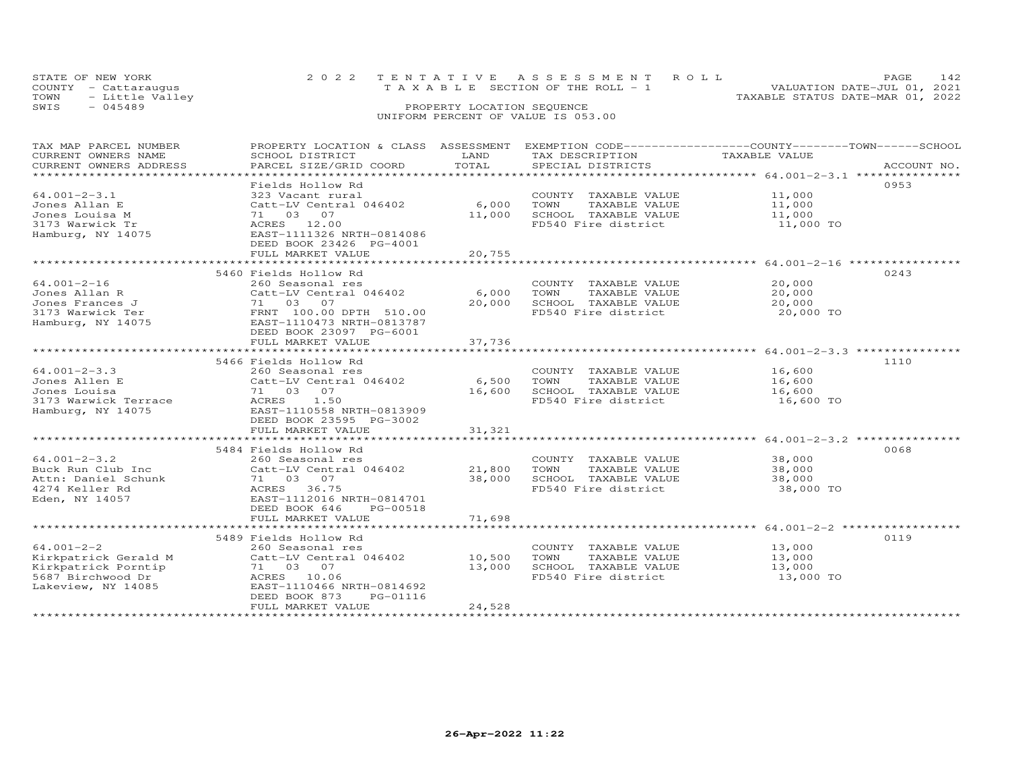| STATE OF NEW YORK       | 2022 TENTATIVE ASSESSMENT ROLL        | PAGE                             |
|-------------------------|---------------------------------------|----------------------------------|
| COUNTY - Cattaraugus    | T A X A B L E SECTION OF THE ROLL - 1 | VALUATION DATE-JUL 01, 2021      |
| TOWN<br>- Little Valley |                                       | TAXABLE STATUS DATE-MAR 01, 2022 |
| SWIS<br>- 045489        | PROPERTY LOCATION SEQUENCE            |                                  |
|                         |                                       |                                  |

| TAX MAP PARCEL NUMBER  | PROPERTY LOCATION & CLASS ASSESSMENT |        | EXEMPTION CODE------------------COUNTY-------TOWN------SCHOOL |               |             |
|------------------------|--------------------------------------|--------|---------------------------------------------------------------|---------------|-------------|
| CURRENT OWNERS NAME    | SCHOOL DISTRICT                      | LAND   | TAX DESCRIPTION                                               | TAXABLE VALUE |             |
| CURRENT OWNERS ADDRESS | PARCEL SIZE/GRID COORD               | TOTAL  | SPECIAL DISTRICTS                                             |               | ACCOUNT NO. |
| ********************** |                                      |        |                                                               |               |             |
|                        | Fields Hollow Rd                     |        |                                                               |               | 0953        |
| $64.001 - 2 - 3.1$     | 323 Vacant rural                     |        | COUNTY TAXABLE VALUE                                          | 11,000        |             |
| Jones Allan E          | Catt-LV Central 046402               | 6,000  | TOWN<br>TAXABLE VALUE                                         | 11,000        |             |
| Jones Louisa M         | 71 03 07                             | 11,000 | SCHOOL TAXABLE VALUE                                          | 11,000        |             |
| 3173 Warwick Tr        | ACRES 12.00                          |        | FD540 Fire district                                           | 11,000 TO     |             |
| Hamburg, NY 14075      | EAST-1111326 NRTH-0814086            |        |                                                               |               |             |
|                        | DEED BOOK 23426 PG-4001              |        |                                                               |               |             |
|                        | FULL MARKET VALUE                    | 20,755 |                                                               |               |             |
|                        |                                      |        |                                                               |               |             |
|                        | 5460 Fields Hollow Rd                |        |                                                               |               | 0243        |
| $64.001 - 2 - 16$      | 260 Seasonal res                     |        | COUNTY TAXABLE VALUE                                          | 20,000        |             |
| Jones Allan R          | Catt-LV Central 046402               | 6,000  | TOWN<br>TAXABLE VALUE                                         | 20,000        |             |
| Jones Frances J        | 71 03 07                             | 20,000 | SCHOOL TAXABLE VALUE                                          | 20,000        |             |
| 3173 Warwick Ter       | FRNT 100.00 DPTH 510.00              |        | FD540 Fire district                                           | 20,000 TO     |             |
| Hamburg, NY 14075      | EAST-1110473 NRTH-0813787            |        |                                                               |               |             |
|                        | DEED BOOK 23097 PG-6001              |        |                                                               |               |             |
|                        | FULL MARKET VALUE                    | 37,736 |                                                               |               |             |
|                        |                                      |        |                                                               |               |             |
|                        | 5466 Fields Hollow Rd                |        |                                                               |               | 1110        |
| $64.001 - 2 - 3.3$     | 260 Seasonal res                     |        | COUNTY TAXABLE VALUE                                          | 16,600        |             |
| Jones Allen E          | Catt-LV Central 046402               | 6,500  | TOWN<br>TAXABLE VALUE                                         | 16,600        |             |
| Jones Louisa           | 71 03 07                             | 16,600 | SCHOOL TAXABLE VALUE                                          | 16,600        |             |
| 3173 Warwick Terrace   | ACRES 1.50                           |        | FD540 Fire district                                           | 16,600 TO     |             |
| Hamburg, NY 14075      | EAST-1110558 NRTH-0813909            |        |                                                               |               |             |
|                        | DEED BOOK 23595 PG-3002              |        |                                                               |               |             |
|                        | FULL MARKET VALUE                    | 31,321 |                                                               |               |             |
|                        |                                      |        |                                                               |               |             |
|                        |                                      |        |                                                               |               | 0068        |
| $64.001 - 2 - 3.2$     | 5484 Fields Hollow Rd                |        |                                                               |               |             |
|                        | 260 Seasonal res                     |        | COUNTY TAXABLE VALUE                                          | 38,000        |             |
| Buck Run Club Inc      | Catt-LV Central 046402               | 21,800 | TOWN<br>TAXABLE VALUE                                         | 38,000        |             |
| Attn: Daniel Schunk    | 71 03 07                             | 38,000 | SCHOOL TAXABLE VALUE                                          | 38,000        |             |
| 4274 Keller Rd         | ACRES 36.75                          |        | FD540 Fire district                                           | 38,000 TO     |             |
| Eden, NY 14057         | EAST-1112016 NRTH-0814701            |        |                                                               |               |             |
|                        | DEED BOOK 646<br>PG-00518            |        |                                                               |               |             |
|                        | FULL MARKET VALUE                    | 71,698 |                                                               |               |             |
|                        |                                      |        |                                                               |               |             |
|                        | 5489 Fields Hollow Rd                |        |                                                               |               | 0119        |
| $64.001 - 2 - 2$       | 260 Seasonal res                     |        | COUNTY TAXABLE VALUE                                          | 13,000        |             |
| Kirkpatrick Gerald M   | Catt-LV Central 046402               | 10,500 | TAXABLE VALUE<br>TOWN                                         | 13,000        |             |
| Kirkpatrick Porntip    | 71 03 07                             | 13,000 | SCHOOL TAXABLE VALUE                                          | 13,000        |             |
| 5687 Birchwood Dr      | ACRES 10.06                          |        | FD540 Fire district                                           | 13,000 TO     |             |
| Lakeview, NY 14085     | EAST-1110466 NRTH-0814692            |        |                                                               |               |             |
|                        | PG-01116<br>DEED BOOK 873            |        |                                                               |               |             |
|                        | FULL MARKET VALUE                    | 24,528 |                                                               |               |             |
|                        |                                      |        |                                                               |               |             |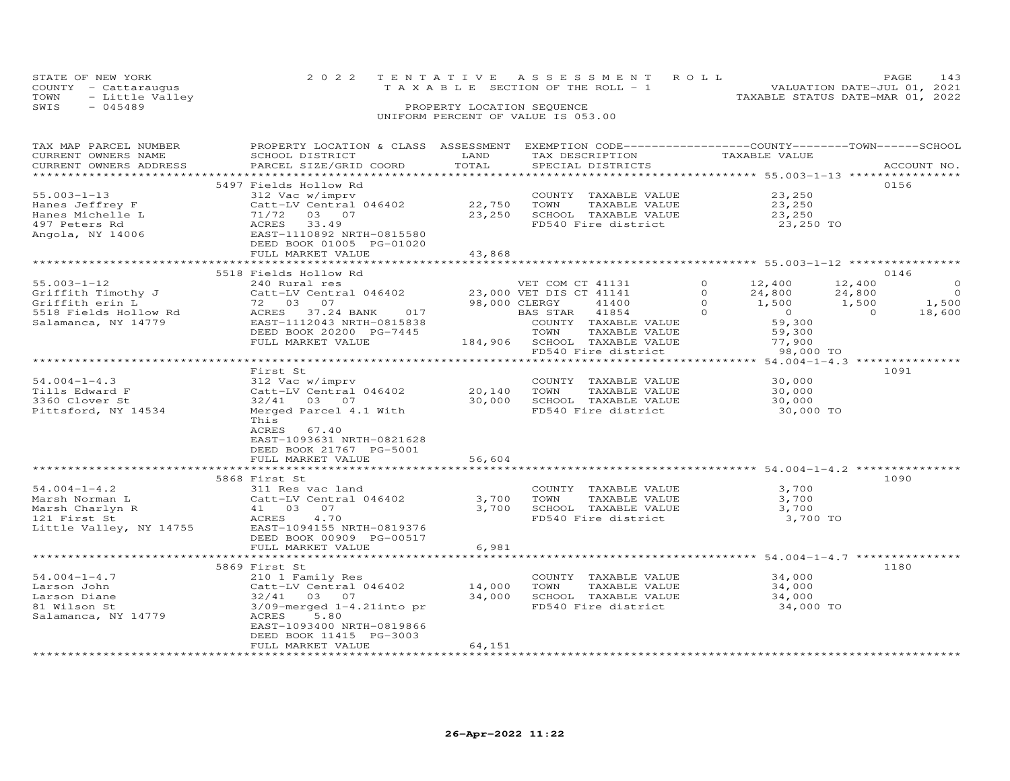| STATE OF NEW YORK       | 2022 TENTATIVE ASSESSMENT ROLL     |                                  | PAGE.                       |  |
|-------------------------|------------------------------------|----------------------------------|-----------------------------|--|
| COUNTY - Cattarauqus    | TAXABLE SECTION OF THE ROLL - 1    |                                  | VALUATION DATE-JUL 01, 2021 |  |
| TOWN<br>- Little Valley |                                    | TAXABLE STATUS DATE-MAR 01, 2022 |                             |  |
| SWIS<br>$-045489$       | PROPERTY LOCATION SEQUENCE         |                                  |                             |  |
|                         | UNIFORM PERCENT OF VALUE IS 053.00 |                                  |                             |  |

| TAX MAP PARCEL NUMBER   | PROPERTY LOCATION & CLASS ASSESSMENT           |               | EXEMPTION CODE-----------------COUNTY-------TOWN------SCHOOL |                            |                          |
|-------------------------|------------------------------------------------|---------------|--------------------------------------------------------------|----------------------------|--------------------------|
| CURRENT OWNERS NAME     | SCHOOL DISTRICT                                | LAND          | TAX DESCRIPTION                                              | TAXABLE VALUE              |                          |
| CURRENT OWNERS ADDRESS  | PARCEL SIZE/GRID COORD                         | TOTAL         | SPECIAL DISTRICTS                                            |                            | ACCOUNT NO.              |
|                         |                                                |               |                                                              |                            |                          |
|                         | 5497 Fields Hollow Rd                          |               |                                                              |                            | 0156                     |
| $55.003 - 1 - 13$       | 312 Vac w/imprv                                |               | COUNTY TAXABLE VALUE                                         | 23,250                     |                          |
| Hanes Jeffrey F         | Catt-LV Central 046402                         | 22,750        | TOWN<br>TAXABLE VALUE                                        | 23,250                     |                          |
| Hanes Michelle L        | 71/72 03 07                                    | 23,250        | SCHOOL TAXABLE VALUE                                         | 23,250                     |                          |
| 497 Peters Rd           | 33.49<br>ACRES                                 |               | FD540 Fire district                                          | 23,250 TO                  |                          |
| Angola, NY 14006        | EAST-1110892 NRTH-0815580                      |               |                                                              |                            |                          |
|                         | DEED BOOK 01005 PG-01020                       |               |                                                              |                            |                          |
|                         | FULL MARKET VALUE                              | 43,868        |                                                              |                            |                          |
|                         |                                                |               |                                                              |                            |                          |
|                         | 5518 Fields Hollow Rd                          |               |                                                              |                            | 0146                     |
| $55.003 - 1 - 12$       | 240 Rural res                                  |               | VET COM CT 41131                                             | $\Omega$<br>12,400         | 12,400<br>$\circ$        |
| Griffith Timothy J      | Catt-LV Central 046402 23,000 VET DIS CT 41141 |               |                                                              | $\Omega$<br>24,800         | $\overline{0}$<br>24,800 |
| Griffith erin L         | 72 03<br>07                                    | 98,000 CLERGY | 41400                                                        | $\Omega$<br>1,500          | 1,500<br>1,500           |
| 5518 Fields Hollow Rd   | ACRES 37.24 BANK<br>017                        |               | BAS STAR 41854                                               | $\Omega$<br>$\overline{0}$ | $\overline{a}$<br>18,600 |
| Salamanca, NY 14779     | EAST-1112043 NRTH-0815838                      |               | COUNTY TAXABLE VALUE                                         | 59,300                     |                          |
|                         | DEED BOOK 20200 PG-7445                        |               | TOWN<br>TAXABLE VALUE                                        | 59,300                     |                          |
|                         | FULL MARKET VALUE                              |               | 184,906 SCHOOL TAXABLE VALUE                                 | 77,900                     |                          |
|                         |                                                |               | FD540 Fire district                                          | 98,000 TO                  |                          |
|                         |                                                |               |                                                              |                            |                          |
|                         | First St                                       |               |                                                              |                            | 1091                     |
| $54.004 - 1 - 4.3$      | 312 Vac w/imprv                                |               | COUNTY TAXABLE VALUE                                         | 30,000                     |                          |
| Tills Edward F          | Catt-LV Central 046402                         | 20,140        | TOWN<br>TAXABLE VALUE                                        | 30,000                     |                          |
| 3360 Clover St          | 32/41 03 07                                    | 30,000        | SCHOOL TAXABLE VALUE                                         | 30,000                     |                          |
| Pittsford, NY 14534     | Merged Parcel 4.1 With                         |               | FD540 Fire district                                          | 30,000 TO                  |                          |
|                         | This                                           |               |                                                              |                            |                          |
|                         | ACRES<br>67.40                                 |               |                                                              |                            |                          |
|                         | EAST-1093631 NRTH-0821628                      |               |                                                              |                            |                          |
|                         | DEED BOOK 21767 PG-5001                        |               |                                                              |                            |                          |
|                         | FULL MARKET VALUE                              | 56,604        |                                                              |                            |                          |
|                         |                                                |               |                                                              |                            |                          |
|                         | 5868 First St                                  |               |                                                              |                            | 1090                     |
| $54.004 - 1 - 4.2$      | 311 Res vac land                               |               | COUNTY TAXABLE VALUE                                         | 3,700                      |                          |
| Marsh Norman L          | Catt-LV Central 046402                         | 3,700         | TOWN<br>TAXABLE VALUE                                        | 3,700                      |                          |
| Marsh Charlyn R         | Catt-LV Centr<br>41 03 07                      | 3,700         | SCHOOL TAXABLE VALUE                                         | 3,700                      |                          |
| 121 First St            | ACRES<br>4.70                                  |               | FD540 Fire district                                          | 3,700 TO                   |                          |
| Little Valley, NY 14755 | EAST-1094155 NRTH-0819376                      |               |                                                              |                            |                          |
|                         | DEED BOOK 00909 PG-00517                       |               |                                                              |                            |                          |
|                         | FULL MARKET VALUE                              | 6,981         |                                                              |                            |                          |
|                         |                                                |               |                                                              |                            |                          |
|                         | 5869 First St                                  |               |                                                              |                            | 1180                     |
| $54.004 - 1 - 4.7$      | 210 1 Family Res                               |               | COUNTY TAXABLE VALUE                                         | 34,000                     |                          |
| Larson John             | Catt-LV Central 046402                         | 14,000        | TOWN<br>TAXABLE VALUE                                        | 34,000                     |                          |
| Larson Diane            | 32/41 03 07                                    | 34,000        | SCHOOL TAXABLE VALUE                                         | 34,000                     |                          |
| 81 Wilson St            | $3/09$ -merged $1-4.21$ into pr                |               | FD540 Fire district                                          | 34,000 TO                  |                          |
| Salamanca, NY 14779     | 5.80<br>ACRES                                  |               |                                                              |                            |                          |
|                         | EAST-1093400 NRTH-0819866                      |               |                                                              |                            |                          |
|                         | DEED BOOK 11415 PG-3003                        |               |                                                              |                            |                          |
|                         | FULL MARKET VALUE                              | 64,151        |                                                              |                            |                          |
|                         |                                                |               |                                                              |                            |                          |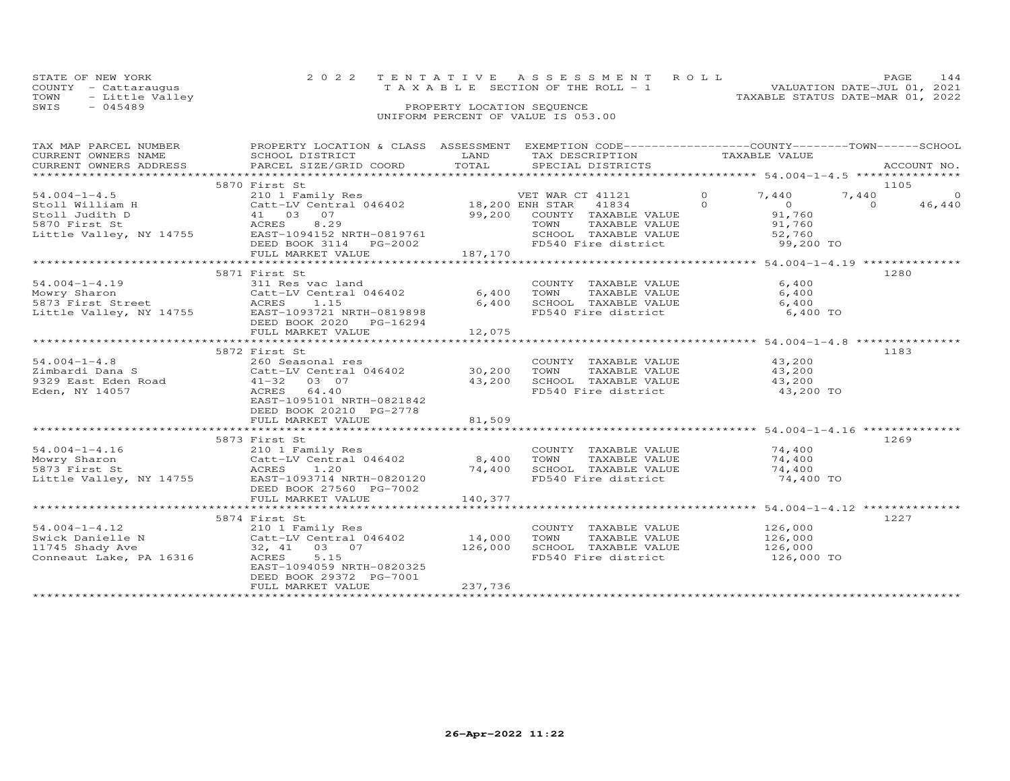| STATE OF NEW YORK     | 2022 TENTATIVE ASSESSMENT ROLL        | PAGE.<br>144                     |
|-----------------------|---------------------------------------|----------------------------------|
| COUNTY - Cattarauqus  | T A X A B L E SECTION OF THE ROLL - 1 | VALUATION DATE-JUL 01, 2021      |
| TOWN - Little Valley  |                                       | TAXABLE STATUS DATE-MAR 01, 2022 |
| смате <u>–</u> Олблоо | PROPERTY LOCATION SEQUENCE            |                                  |

# SWIS - 045489 PROPERTY LOCATION SEQUENCE UNIFORM PERCENT OF VALUE IS 053.00

| TAX DESCRIPTION TAXABLE VALUE<br>ACCOUNT NO.<br>.CURRENT OWNERS ADDRESS PARCEL SIZE/GRID COORD TOTAL SPECIAL DISTRICTS ACCOUNT NO ACCOUNT NO ACCOUNT NO ACCOUNT<br>5870 First St<br>1105<br>7,440<br>$\Omega$<br>$54.004 - 1 - 4.5$<br>210 1 Family Res<br>7,440<br>VET WAR CT 41121<br>$\circ$<br>Stoll William H<br>Stoll Judith D<br>Stoll Judith D<br>Stoll Judith D<br>Stoll Judith D<br>Stoll Schless B.29<br>Little Valley, NY 14755<br>EAST-1094152 NRTH-0819761<br>EAST-1094152 NRTH-0819761<br>CHES B.29<br>COUNTY T<br>SCHOOL T<br>SCHOOL T<br>S<br>$\Omega$<br>$\Omega$<br>46,440<br>41834<br>$0$<br>91.760<br>91,760<br>99,200 COUNTY TAXABLE VALUE<br>TAXABLE VALUE<br>91,760<br>SCHOOL TAXABLE VALUE 52,760<br>FD540 Fire district 59,200 TO<br>FULL MARKET VALUE<br>187,170<br>1280<br>5871 First St<br>$54.004 - 1 - 4.19$<br>6,400<br>311 Res vac land<br>COUNTY TAXABLE VALUE<br>Nowry Sharon<br>Santal 046402<br>5873 First Street<br>Little Valley, NY 14755<br>EAST-1093721 NRTH-0819898<br>6,400<br>6,400<br>TOWN<br>TAXABLE VALUE<br>6,400<br>SCHOOL TAXABLE VALUE<br>6,400<br>FD540 Fire district<br>6,400 TO<br>DEED BOOK 2020 PG-16294<br>12,075<br>FULL MARKET VALUE<br>5872 First St<br>1183<br>$54.004 - 1 - 4.8$<br>260 Seasonal res<br>COUNTY TAXABLE VALUE<br>43,200<br>Catt-LV Central 046402 30,200<br>TAXABLE VALUE 43,200<br>Zimbardi Dana S<br>TOWN<br>SCHOOL TAXABLE VALUE<br>FD540 Fire district<br>9329 East Eden Road<br>41-32 03 07<br>ACRES 64.40<br>43,200<br>43,200<br>43,200 TO<br>Eden, NY 14057<br>ACRES<br>64.40<br>EAST-1095101 NRTH-0821842<br>DEED BOOK 20210 PG-2778<br>FULL MARKET VALUE<br>81,509<br>5873 First St<br>1269<br>$54.004 - 1 - 4.16$<br>COUNTY TAXABLE VALUE 74,400<br>210 1 Family Res<br>Catt-LV Central 046402 8,400<br>ACRES 1.20 74.400<br>Mowry Sharon<br>TOWN<br>TAXABLE VALUE<br>74,400<br>SCHOOL TAXABLE VALUE 74,400<br>5873 First St<br>Little Valley, NY 14755<br>FD540 Fire district<br>74,400 TO<br>EAST-1093714 NRTH-0820120<br>DEED BOOK 27560 PG-7002<br>140,377<br>FULL MARKET VALUE<br>1227<br>5874 First St<br>126,000<br>$54.004 - 1 - 4.12$<br>210 1 Family Res<br>COUNTY TAXABLE VALUE<br>Catt-LV Central 046402<br>126,000<br>Swick Danielle N<br>14,000<br>TOWN<br>TAXABLE VALUE<br>$\begin{array}{cccc} & & 32, & 41 & 03 & 07 \\ 3 & \text{ACRES} & 5.15 & \end{array}$<br>126,000<br>SCHOOL TAXABLE VALUE<br>11745 Shady Ave<br>126,000<br>FD540 Fire district<br>Conneaut Lake, PA 16316<br>126,000 TO<br>EAST-1094059 NRTH-0820325<br>DEED BOOK 29372 PG-7001<br>237,736<br>FULL MARKET VALUE | TAX MAP PARCEL NUMBER | PROPERTY LOCATION & CLASS ASSESSMENT EXEMPTION CODE----------------COUNTY-------TOWN------SCHOOL |      |  |  |
|--------------------------------------------------------------------------------------------------------------------------------------------------------------------------------------------------------------------------------------------------------------------------------------------------------------------------------------------------------------------------------------------------------------------------------------------------------------------------------------------------------------------------------------------------------------------------------------------------------------------------------------------------------------------------------------------------------------------------------------------------------------------------------------------------------------------------------------------------------------------------------------------------------------------------------------------------------------------------------------------------------------------------------------------------------------------------------------------------------------------------------------------------------------------------------------------------------------------------------------------------------------------------------------------------------------------------------------------------------------------------------------------------------------------------------------------------------------------------------------------------------------------------------------------------------------------------------------------------------------------------------------------------------------------------------------------------------------------------------------------------------------------------------------------------------------------------------------------------------------------------------------------------------------------------------------------------------------------------------------------------------------------------------------------------------------------------------------------------------------------------------------------------------------------------------------------------------------------------------------------------------------------------------------------------------------------------------------------------------------------------------------------------------------------------------------------------------------------------------------------------------------------------------------------------------------------------------------------------|-----------------------|--------------------------------------------------------------------------------------------------|------|--|--|
|                                                                                                                                                                                                                                                                                                                                                                                                                                                                                                                                                                                                                                                                                                                                                                                                                                                                                                                                                                                                                                                                                                                                                                                                                                                                                                                                                                                                                                                                                                                                                                                                                                                                                                                                                                                                                                                                                                                                                                                                                                                                                                                                                                                                                                                                                                                                                                                                                                                                                                                                                                                                  | CURRENT OWNERS NAME   | SCHOOL DISTRICT                                                                                  | LAND |  |  |
|                                                                                                                                                                                                                                                                                                                                                                                                                                                                                                                                                                                                                                                                                                                                                                                                                                                                                                                                                                                                                                                                                                                                                                                                                                                                                                                                                                                                                                                                                                                                                                                                                                                                                                                                                                                                                                                                                                                                                                                                                                                                                                                                                                                                                                                                                                                                                                                                                                                                                                                                                                                                  |                       |                                                                                                  |      |  |  |
|                                                                                                                                                                                                                                                                                                                                                                                                                                                                                                                                                                                                                                                                                                                                                                                                                                                                                                                                                                                                                                                                                                                                                                                                                                                                                                                                                                                                                                                                                                                                                                                                                                                                                                                                                                                                                                                                                                                                                                                                                                                                                                                                                                                                                                                                                                                                                                                                                                                                                                                                                                                                  |                       |                                                                                                  |      |  |  |
|                                                                                                                                                                                                                                                                                                                                                                                                                                                                                                                                                                                                                                                                                                                                                                                                                                                                                                                                                                                                                                                                                                                                                                                                                                                                                                                                                                                                                                                                                                                                                                                                                                                                                                                                                                                                                                                                                                                                                                                                                                                                                                                                                                                                                                                                                                                                                                                                                                                                                                                                                                                                  |                       |                                                                                                  |      |  |  |
|                                                                                                                                                                                                                                                                                                                                                                                                                                                                                                                                                                                                                                                                                                                                                                                                                                                                                                                                                                                                                                                                                                                                                                                                                                                                                                                                                                                                                                                                                                                                                                                                                                                                                                                                                                                                                                                                                                                                                                                                                                                                                                                                                                                                                                                                                                                                                                                                                                                                                                                                                                                                  |                       |                                                                                                  |      |  |  |
|                                                                                                                                                                                                                                                                                                                                                                                                                                                                                                                                                                                                                                                                                                                                                                                                                                                                                                                                                                                                                                                                                                                                                                                                                                                                                                                                                                                                                                                                                                                                                                                                                                                                                                                                                                                                                                                                                                                                                                                                                                                                                                                                                                                                                                                                                                                                                                                                                                                                                                                                                                                                  |                       |                                                                                                  |      |  |  |
|                                                                                                                                                                                                                                                                                                                                                                                                                                                                                                                                                                                                                                                                                                                                                                                                                                                                                                                                                                                                                                                                                                                                                                                                                                                                                                                                                                                                                                                                                                                                                                                                                                                                                                                                                                                                                                                                                                                                                                                                                                                                                                                                                                                                                                                                                                                                                                                                                                                                                                                                                                                                  |                       |                                                                                                  |      |  |  |
|                                                                                                                                                                                                                                                                                                                                                                                                                                                                                                                                                                                                                                                                                                                                                                                                                                                                                                                                                                                                                                                                                                                                                                                                                                                                                                                                                                                                                                                                                                                                                                                                                                                                                                                                                                                                                                                                                                                                                                                                                                                                                                                                                                                                                                                                                                                                                                                                                                                                                                                                                                                                  |                       |                                                                                                  |      |  |  |
|                                                                                                                                                                                                                                                                                                                                                                                                                                                                                                                                                                                                                                                                                                                                                                                                                                                                                                                                                                                                                                                                                                                                                                                                                                                                                                                                                                                                                                                                                                                                                                                                                                                                                                                                                                                                                                                                                                                                                                                                                                                                                                                                                                                                                                                                                                                                                                                                                                                                                                                                                                                                  |                       |                                                                                                  |      |  |  |
|                                                                                                                                                                                                                                                                                                                                                                                                                                                                                                                                                                                                                                                                                                                                                                                                                                                                                                                                                                                                                                                                                                                                                                                                                                                                                                                                                                                                                                                                                                                                                                                                                                                                                                                                                                                                                                                                                                                                                                                                                                                                                                                                                                                                                                                                                                                                                                                                                                                                                                                                                                                                  |                       |                                                                                                  |      |  |  |
|                                                                                                                                                                                                                                                                                                                                                                                                                                                                                                                                                                                                                                                                                                                                                                                                                                                                                                                                                                                                                                                                                                                                                                                                                                                                                                                                                                                                                                                                                                                                                                                                                                                                                                                                                                                                                                                                                                                                                                                                                                                                                                                                                                                                                                                                                                                                                                                                                                                                                                                                                                                                  |                       |                                                                                                  |      |  |  |
|                                                                                                                                                                                                                                                                                                                                                                                                                                                                                                                                                                                                                                                                                                                                                                                                                                                                                                                                                                                                                                                                                                                                                                                                                                                                                                                                                                                                                                                                                                                                                                                                                                                                                                                                                                                                                                                                                                                                                                                                                                                                                                                                                                                                                                                                                                                                                                                                                                                                                                                                                                                                  |                       |                                                                                                  |      |  |  |
|                                                                                                                                                                                                                                                                                                                                                                                                                                                                                                                                                                                                                                                                                                                                                                                                                                                                                                                                                                                                                                                                                                                                                                                                                                                                                                                                                                                                                                                                                                                                                                                                                                                                                                                                                                                                                                                                                                                                                                                                                                                                                                                                                                                                                                                                                                                                                                                                                                                                                                                                                                                                  |                       |                                                                                                  |      |  |  |
|                                                                                                                                                                                                                                                                                                                                                                                                                                                                                                                                                                                                                                                                                                                                                                                                                                                                                                                                                                                                                                                                                                                                                                                                                                                                                                                                                                                                                                                                                                                                                                                                                                                                                                                                                                                                                                                                                                                                                                                                                                                                                                                                                                                                                                                                                                                                                                                                                                                                                                                                                                                                  |                       |                                                                                                  |      |  |  |
|                                                                                                                                                                                                                                                                                                                                                                                                                                                                                                                                                                                                                                                                                                                                                                                                                                                                                                                                                                                                                                                                                                                                                                                                                                                                                                                                                                                                                                                                                                                                                                                                                                                                                                                                                                                                                                                                                                                                                                                                                                                                                                                                                                                                                                                                                                                                                                                                                                                                                                                                                                                                  |                       |                                                                                                  |      |  |  |
|                                                                                                                                                                                                                                                                                                                                                                                                                                                                                                                                                                                                                                                                                                                                                                                                                                                                                                                                                                                                                                                                                                                                                                                                                                                                                                                                                                                                                                                                                                                                                                                                                                                                                                                                                                                                                                                                                                                                                                                                                                                                                                                                                                                                                                                                                                                                                                                                                                                                                                                                                                                                  |                       |                                                                                                  |      |  |  |
|                                                                                                                                                                                                                                                                                                                                                                                                                                                                                                                                                                                                                                                                                                                                                                                                                                                                                                                                                                                                                                                                                                                                                                                                                                                                                                                                                                                                                                                                                                                                                                                                                                                                                                                                                                                                                                                                                                                                                                                                                                                                                                                                                                                                                                                                                                                                                                                                                                                                                                                                                                                                  |                       |                                                                                                  |      |  |  |
|                                                                                                                                                                                                                                                                                                                                                                                                                                                                                                                                                                                                                                                                                                                                                                                                                                                                                                                                                                                                                                                                                                                                                                                                                                                                                                                                                                                                                                                                                                                                                                                                                                                                                                                                                                                                                                                                                                                                                                                                                                                                                                                                                                                                                                                                                                                                                                                                                                                                                                                                                                                                  |                       |                                                                                                  |      |  |  |
|                                                                                                                                                                                                                                                                                                                                                                                                                                                                                                                                                                                                                                                                                                                                                                                                                                                                                                                                                                                                                                                                                                                                                                                                                                                                                                                                                                                                                                                                                                                                                                                                                                                                                                                                                                                                                                                                                                                                                                                                                                                                                                                                                                                                                                                                                                                                                                                                                                                                                                                                                                                                  |                       |                                                                                                  |      |  |  |
|                                                                                                                                                                                                                                                                                                                                                                                                                                                                                                                                                                                                                                                                                                                                                                                                                                                                                                                                                                                                                                                                                                                                                                                                                                                                                                                                                                                                                                                                                                                                                                                                                                                                                                                                                                                                                                                                                                                                                                                                                                                                                                                                                                                                                                                                                                                                                                                                                                                                                                                                                                                                  |                       |                                                                                                  |      |  |  |
|                                                                                                                                                                                                                                                                                                                                                                                                                                                                                                                                                                                                                                                                                                                                                                                                                                                                                                                                                                                                                                                                                                                                                                                                                                                                                                                                                                                                                                                                                                                                                                                                                                                                                                                                                                                                                                                                                                                                                                                                                                                                                                                                                                                                                                                                                                                                                                                                                                                                                                                                                                                                  |                       |                                                                                                  |      |  |  |
|                                                                                                                                                                                                                                                                                                                                                                                                                                                                                                                                                                                                                                                                                                                                                                                                                                                                                                                                                                                                                                                                                                                                                                                                                                                                                                                                                                                                                                                                                                                                                                                                                                                                                                                                                                                                                                                                                                                                                                                                                                                                                                                                                                                                                                                                                                                                                                                                                                                                                                                                                                                                  |                       |                                                                                                  |      |  |  |
|                                                                                                                                                                                                                                                                                                                                                                                                                                                                                                                                                                                                                                                                                                                                                                                                                                                                                                                                                                                                                                                                                                                                                                                                                                                                                                                                                                                                                                                                                                                                                                                                                                                                                                                                                                                                                                                                                                                                                                                                                                                                                                                                                                                                                                                                                                                                                                                                                                                                                                                                                                                                  |                       |                                                                                                  |      |  |  |
|                                                                                                                                                                                                                                                                                                                                                                                                                                                                                                                                                                                                                                                                                                                                                                                                                                                                                                                                                                                                                                                                                                                                                                                                                                                                                                                                                                                                                                                                                                                                                                                                                                                                                                                                                                                                                                                                                                                                                                                                                                                                                                                                                                                                                                                                                                                                                                                                                                                                                                                                                                                                  |                       |                                                                                                  |      |  |  |
|                                                                                                                                                                                                                                                                                                                                                                                                                                                                                                                                                                                                                                                                                                                                                                                                                                                                                                                                                                                                                                                                                                                                                                                                                                                                                                                                                                                                                                                                                                                                                                                                                                                                                                                                                                                                                                                                                                                                                                                                                                                                                                                                                                                                                                                                                                                                                                                                                                                                                                                                                                                                  |                       |                                                                                                  |      |  |  |
|                                                                                                                                                                                                                                                                                                                                                                                                                                                                                                                                                                                                                                                                                                                                                                                                                                                                                                                                                                                                                                                                                                                                                                                                                                                                                                                                                                                                                                                                                                                                                                                                                                                                                                                                                                                                                                                                                                                                                                                                                                                                                                                                                                                                                                                                                                                                                                                                                                                                                                                                                                                                  |                       |                                                                                                  |      |  |  |
|                                                                                                                                                                                                                                                                                                                                                                                                                                                                                                                                                                                                                                                                                                                                                                                                                                                                                                                                                                                                                                                                                                                                                                                                                                                                                                                                                                                                                                                                                                                                                                                                                                                                                                                                                                                                                                                                                                                                                                                                                                                                                                                                                                                                                                                                                                                                                                                                                                                                                                                                                                                                  |                       |                                                                                                  |      |  |  |
|                                                                                                                                                                                                                                                                                                                                                                                                                                                                                                                                                                                                                                                                                                                                                                                                                                                                                                                                                                                                                                                                                                                                                                                                                                                                                                                                                                                                                                                                                                                                                                                                                                                                                                                                                                                                                                                                                                                                                                                                                                                                                                                                                                                                                                                                                                                                                                                                                                                                                                                                                                                                  |                       |                                                                                                  |      |  |  |
|                                                                                                                                                                                                                                                                                                                                                                                                                                                                                                                                                                                                                                                                                                                                                                                                                                                                                                                                                                                                                                                                                                                                                                                                                                                                                                                                                                                                                                                                                                                                                                                                                                                                                                                                                                                                                                                                                                                                                                                                                                                                                                                                                                                                                                                                                                                                                                                                                                                                                                                                                                                                  |                       |                                                                                                  |      |  |  |
|                                                                                                                                                                                                                                                                                                                                                                                                                                                                                                                                                                                                                                                                                                                                                                                                                                                                                                                                                                                                                                                                                                                                                                                                                                                                                                                                                                                                                                                                                                                                                                                                                                                                                                                                                                                                                                                                                                                                                                                                                                                                                                                                                                                                                                                                                                                                                                                                                                                                                                                                                                                                  |                       |                                                                                                  |      |  |  |
|                                                                                                                                                                                                                                                                                                                                                                                                                                                                                                                                                                                                                                                                                                                                                                                                                                                                                                                                                                                                                                                                                                                                                                                                                                                                                                                                                                                                                                                                                                                                                                                                                                                                                                                                                                                                                                                                                                                                                                                                                                                                                                                                                                                                                                                                                                                                                                                                                                                                                                                                                                                                  |                       |                                                                                                  |      |  |  |
|                                                                                                                                                                                                                                                                                                                                                                                                                                                                                                                                                                                                                                                                                                                                                                                                                                                                                                                                                                                                                                                                                                                                                                                                                                                                                                                                                                                                                                                                                                                                                                                                                                                                                                                                                                                                                                                                                                                                                                                                                                                                                                                                                                                                                                                                                                                                                                                                                                                                                                                                                                                                  |                       |                                                                                                  |      |  |  |
|                                                                                                                                                                                                                                                                                                                                                                                                                                                                                                                                                                                                                                                                                                                                                                                                                                                                                                                                                                                                                                                                                                                                                                                                                                                                                                                                                                                                                                                                                                                                                                                                                                                                                                                                                                                                                                                                                                                                                                                                                                                                                                                                                                                                                                                                                                                                                                                                                                                                                                                                                                                                  |                       |                                                                                                  |      |  |  |
|                                                                                                                                                                                                                                                                                                                                                                                                                                                                                                                                                                                                                                                                                                                                                                                                                                                                                                                                                                                                                                                                                                                                                                                                                                                                                                                                                                                                                                                                                                                                                                                                                                                                                                                                                                                                                                                                                                                                                                                                                                                                                                                                                                                                                                                                                                                                                                                                                                                                                                                                                                                                  |                       |                                                                                                  |      |  |  |
|                                                                                                                                                                                                                                                                                                                                                                                                                                                                                                                                                                                                                                                                                                                                                                                                                                                                                                                                                                                                                                                                                                                                                                                                                                                                                                                                                                                                                                                                                                                                                                                                                                                                                                                                                                                                                                                                                                                                                                                                                                                                                                                                                                                                                                                                                                                                                                                                                                                                                                                                                                                                  |                       |                                                                                                  |      |  |  |
|                                                                                                                                                                                                                                                                                                                                                                                                                                                                                                                                                                                                                                                                                                                                                                                                                                                                                                                                                                                                                                                                                                                                                                                                                                                                                                                                                                                                                                                                                                                                                                                                                                                                                                                                                                                                                                                                                                                                                                                                                                                                                                                                                                                                                                                                                                                                                                                                                                                                                                                                                                                                  |                       |                                                                                                  |      |  |  |
|                                                                                                                                                                                                                                                                                                                                                                                                                                                                                                                                                                                                                                                                                                                                                                                                                                                                                                                                                                                                                                                                                                                                                                                                                                                                                                                                                                                                                                                                                                                                                                                                                                                                                                                                                                                                                                                                                                                                                                                                                                                                                                                                                                                                                                                                                                                                                                                                                                                                                                                                                                                                  |                       |                                                                                                  |      |  |  |
|                                                                                                                                                                                                                                                                                                                                                                                                                                                                                                                                                                                                                                                                                                                                                                                                                                                                                                                                                                                                                                                                                                                                                                                                                                                                                                                                                                                                                                                                                                                                                                                                                                                                                                                                                                                                                                                                                                                                                                                                                                                                                                                                                                                                                                                                                                                                                                                                                                                                                                                                                                                                  |                       |                                                                                                  |      |  |  |
|                                                                                                                                                                                                                                                                                                                                                                                                                                                                                                                                                                                                                                                                                                                                                                                                                                                                                                                                                                                                                                                                                                                                                                                                                                                                                                                                                                                                                                                                                                                                                                                                                                                                                                                                                                                                                                                                                                                                                                                                                                                                                                                                                                                                                                                                                                                                                                                                                                                                                                                                                                                                  |                       |                                                                                                  |      |  |  |
|                                                                                                                                                                                                                                                                                                                                                                                                                                                                                                                                                                                                                                                                                                                                                                                                                                                                                                                                                                                                                                                                                                                                                                                                                                                                                                                                                                                                                                                                                                                                                                                                                                                                                                                                                                                                                                                                                                                                                                                                                                                                                                                                                                                                                                                                                                                                                                                                                                                                                                                                                                                                  |                       |                                                                                                  |      |  |  |
|                                                                                                                                                                                                                                                                                                                                                                                                                                                                                                                                                                                                                                                                                                                                                                                                                                                                                                                                                                                                                                                                                                                                                                                                                                                                                                                                                                                                                                                                                                                                                                                                                                                                                                                                                                                                                                                                                                                                                                                                                                                                                                                                                                                                                                                                                                                                                                                                                                                                                                                                                                                                  |                       |                                                                                                  |      |  |  |
|                                                                                                                                                                                                                                                                                                                                                                                                                                                                                                                                                                                                                                                                                                                                                                                                                                                                                                                                                                                                                                                                                                                                                                                                                                                                                                                                                                                                                                                                                                                                                                                                                                                                                                                                                                                                                                                                                                                                                                                                                                                                                                                                                                                                                                                                                                                                                                                                                                                                                                                                                                                                  |                       |                                                                                                  |      |  |  |
|                                                                                                                                                                                                                                                                                                                                                                                                                                                                                                                                                                                                                                                                                                                                                                                                                                                                                                                                                                                                                                                                                                                                                                                                                                                                                                                                                                                                                                                                                                                                                                                                                                                                                                                                                                                                                                                                                                                                                                                                                                                                                                                                                                                                                                                                                                                                                                                                                                                                                                                                                                                                  |                       |                                                                                                  |      |  |  |
|                                                                                                                                                                                                                                                                                                                                                                                                                                                                                                                                                                                                                                                                                                                                                                                                                                                                                                                                                                                                                                                                                                                                                                                                                                                                                                                                                                                                                                                                                                                                                                                                                                                                                                                                                                                                                                                                                                                                                                                                                                                                                                                                                                                                                                                                                                                                                                                                                                                                                                                                                                                                  |                       |                                                                                                  |      |  |  |
|                                                                                                                                                                                                                                                                                                                                                                                                                                                                                                                                                                                                                                                                                                                                                                                                                                                                                                                                                                                                                                                                                                                                                                                                                                                                                                                                                                                                                                                                                                                                                                                                                                                                                                                                                                                                                                                                                                                                                                                                                                                                                                                                                                                                                                                                                                                                                                                                                                                                                                                                                                                                  |                       |                                                                                                  |      |  |  |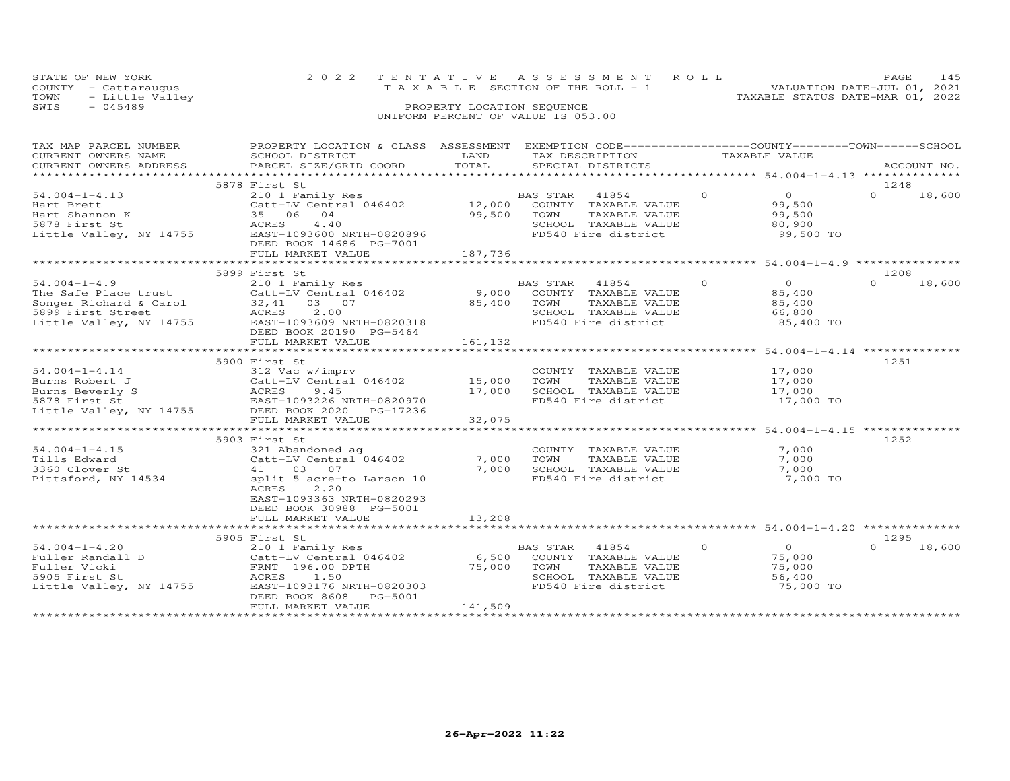|            | STATE OF NEW YORK    | 2022 TENTATIVE ASSESSMENT ROLL  |                                  | <b>PAGE</b> |  |
|------------|----------------------|---------------------------------|----------------------------------|-------------|--|
|            | COUNTY - Cattarauqus | TAXABLE SECTION OF THE ROLL - 1 | VALUATION DATE-JUL 01, 2021      |             |  |
|            | TOWN - Little Valley |                                 | TAXABLE STATUS DATE-MAR 01, 2022 |             |  |
| $C \cup T$ | $0.15100$            | DROBBBTY IOCATION CROUPMOR      |                                  |             |  |

| TAX MAP PARCEL NUMBER                                                                           | PROPERTY LOCATION & CLASS ASSESSMENT EXEMPTION CODE----------------COUNTY-------TOWN------SCHOOL   | LAND    |                                      | TAXABLE VALUE |                |                    |
|-------------------------------------------------------------------------------------------------|----------------------------------------------------------------------------------------------------|---------|--------------------------------------|---------------|----------------|--------------------|
| CURRENT OWNERS NAME<br>CURRENT OWNERS ADDRESS                                                   | SCHOOL DISTRICT<br>PARCEL SIZE/GRID COORD                                                          | TOTAL   | TAX DESCRIPTION<br>SPECIAL DISTRICTS |               |                | ACCOUNT NO.        |
|                                                                                                 |                                                                                                    |         |                                      |               |                |                    |
|                                                                                                 |                                                                                                    |         |                                      |               |                |                    |
|                                                                                                 | 5878 First St                                                                                      |         |                                      |               |                | 1248               |
| $54.004 - 1 - 4.13$                                                                             | 210 1 Family Res                                                                                   |         | BAS STAR<br>41854                    | $\Omega$      | $\overline{O}$ | $\Omega$<br>18,600 |
| Hart Brett                                                                                      | Catt-LV Central 046402                                                                             |         | 12,000 COUNTY TAXABLE VALUE          |               | 99,500         |                    |
| Hart Shannon K                                                                                  | 35 06 04                                                                                           | 99,500  | TOWN<br>TAXABLE VALUE                |               | 99,500         |                    |
| 5878 First St                                                                                   | ACRES<br>4.40                                                                                      |         | SCHOOL TAXABLE VALUE                 |               | 80,900         |                    |
| Little Valley, NY 14755                                                                         | EAST-1093600 NRTH-0820896                                                                          |         | FD540 Fire district                  |               | 99,500 TO      |                    |
|                                                                                                 | DEED BOOK 14686 PG-7001                                                                            |         |                                      |               |                |                    |
|                                                                                                 | FULL MARKET VALUE                                                                                  | 187,736 |                                      |               |                |                    |
|                                                                                                 |                                                                                                    |         |                                      |               |                |                    |
|                                                                                                 | 5899 First St                                                                                      |         |                                      |               |                | 1208               |
| $54.004 - 1 - 4.9$                                                                              | 210 1 Family Res                                                                                   |         | BAS STAR<br>41854                    | $\circ$       | $\overline{O}$ | 18,600<br>$\Omega$ |
|                                                                                                 |                                                                                                    |         | 9,000 COUNTY TAXABLE VALUE           |               | 85,400         |                    |
| The Sale Flace cruse<br>Songer Richard & Carol (32,41 03 07<br>5899 First Street (40 ACRES 2.00 |                                                                                                    | 85,400  | TOWN<br>TAXABLE VALUE                |               | 85,400         |                    |
|                                                                                                 |                                                                                                    |         | SCHOOL TAXABLE VALUE                 |               | 66,800         |                    |
|                                                                                                 |                                                                                                    |         | FD540 Fire district                  |               | 85,400 TO      |                    |
|                                                                                                 | DEED BOOK 20190 PG-5464                                                                            |         |                                      |               |                |                    |
|                                                                                                 | FULL MARKET VALUE                                                                                  | 161,132 |                                      |               |                |                    |
|                                                                                                 |                                                                                                    |         |                                      |               |                |                    |
|                                                                                                 | 5900 First St                                                                                      |         |                                      |               |                | 1251               |
| $54.004 - 1 - 4.14$                                                                             | 312 Vac w/imprv                                                                                    |         | COUNTY TAXABLE VALUE                 |               | 17,000         |                    |
| Burns Robert J                                                                                  |                                                                                                    |         | TOWN<br>TAXABLE VALUE                |               | 17,000         |                    |
| Burns Beverly S                                                                                 | 312 Vac w/imprv<br>Catt-LV Central 046402 15,000<br>ACRES 9.45 17,000<br>EAST-1093226 NRTH-0820970 |         | SCHOOL TAXABLE VALUE                 |               | 17,000         |                    |
| 5878 First St                                                                                   |                                                                                                    |         | FD540 Fire district                  |               | 17,000 TO      |                    |
|                                                                                                 | Little Valley, NY 14755 DEED BOOK 2020 PG-17236                                                    |         |                                      |               |                |                    |
|                                                                                                 | FULL MARKET VALUE                                                                                  | 32,075  |                                      |               |                |                    |
|                                                                                                 |                                                                                                    |         |                                      |               |                |                    |
|                                                                                                 | 5903 First St                                                                                      |         |                                      |               |                | 1252               |
| $54.004 - 1 - 4.15$                                                                             | 321 Abandoned ag                                                                                   |         | COUNTY TAXABLE VALUE                 |               | 7,000          |                    |
| Tills Edward                                                                                    | Catt-LV Central 046402                                                                             | 7,000   | TOWN<br>TAXABLE VALUE                |               | 7,000          |                    |
| 3360 Clover St                                                                                  | 41 03 07                                                                                           | 7,000   | SCHOOL TAXABLE VALUE                 |               | 7,000          |                    |
| Pittsford, NY 14534                                                                             | split 5 acre-to Larson 10                                                                          |         | FD540 Fire district                  |               | 7,000 TO       |                    |
|                                                                                                 | ACRES<br>2,20                                                                                      |         |                                      |               |                |                    |
|                                                                                                 | EAST-1093363 NRTH-0820293                                                                          |         |                                      |               |                |                    |
|                                                                                                 | DEED BOOK 30988 PG-5001                                                                            |         |                                      |               |                |                    |
|                                                                                                 | FULL MARKET VALUE                                                                                  | 13,208  |                                      |               |                |                    |
|                                                                                                 |                                                                                                    |         |                                      |               |                |                    |
|                                                                                                 | 5905 First St                                                                                      |         |                                      |               |                | 1295               |
| $54.004 - 1 - 4.20$                                                                             |                                                                                                    |         | BAS STAR 41854                       | $\Omega$      | $\overline{O}$ | 18,600<br>$\Omega$ |
| Fuller Randall D                                                                                | 210 1 Family Res<br>Catt-LV Central 046402<br>FRNT 196.00 DPTH<br>ACRES 150 WATH 0920303           | 6,500   | COUNTY TAXABLE VALUE                 |               | 75,000         |                    |
| Fuller Vicki                                                                                    |                                                                                                    | 75,000  | TAXABLE VALUE<br>TOWN                |               | 75,000         |                    |
| 5905 First St                                                                                   |                                                                                                    |         | SCHOOL TAXABLE VALUE                 |               | 56,400         |                    |
| Little Valley, NY 14755                                                                         | EAST-1093176 NRTH-0820303                                                                          |         | FD540 Fire district                  |               | 75,000 TO      |                    |
|                                                                                                 | PG-5001<br>DEED BOOK 8608                                                                          |         |                                      |               |                |                    |
|                                                                                                 | FULL MARKET VALUE                                                                                  | 141,509 |                                      |               |                |                    |
|                                                                                                 |                                                                                                    |         |                                      |               |                |                    |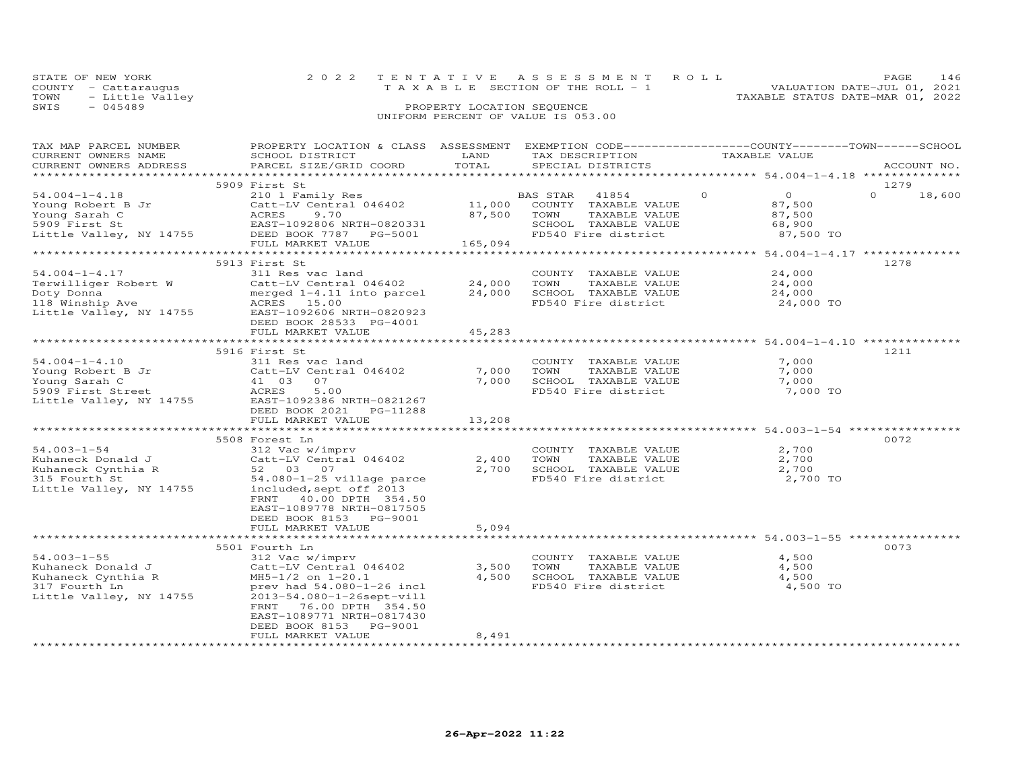| STATE OF NEW YORK    | 2022 TENTATIVE ASSESSMENT ROLL        | PAGE.                            |
|----------------------|---------------------------------------|----------------------------------|
| COUNTY - Cattarauqus | T A X A B L E SECTION OF THE ROLL - 1 | VALUATION DATE-JUL 01, 2021      |
| TOWN - Little Valley |                                       | TAXABLE STATUS DATE-MAR 01, 2022 |
| 2 T M 2<br>045489    | PROPERTY LOCATION SEQUENCE            |                                  |

| TAX MAP PARCEL NUMBER                                    | PROPERTY LOCATION & CLASS ASSESSMENT EXEMPTION CODE----------------COUNTY-------TOWN------SCHOOL                            |                  |                                             |                            |                    |
|----------------------------------------------------------|-----------------------------------------------------------------------------------------------------------------------------|------------------|---------------------------------------------|----------------------------|--------------------|
| CURRENT OWNERS NAME                                      | SCHOOL DISTRICT                                                                                                             | LAND             | TAX DESCRIPTION                             | TAXABLE VALUE              |                    |
| CURRENT OWNERS ADDRESS                                   | PARCEL SIZE/GRID COORD                                                                                                      | TOTAL            | SPECIAL DISTRICTS                           |                            | ACCOUNT NO.        |
|                                                          |                                                                                                                             |                  |                                             |                            |                    |
|                                                          | 5909 First St                                                                                                               |                  |                                             |                            | 1279               |
| $54.004 - 1 - 4.18$                                      | 210 1 Family Res                                                                                                            |                  | BAS STAR<br>41854                           | $\overline{O}$<br>$\Omega$ | $\Omega$<br>18,600 |
| Young Robert B Jr                                        | Catt-LV Central 046402                                                                                                      | 11,000           | COUNTY TAXABLE VALUE                        | 87,500                     |                    |
| Young Sarah C                                            | 9.70                                                                                                                        | 87,500           | TAXABLE VALUE<br>TOWN                       | 87,500                     |                    |
|                                                          | Cauu<br>ACRES<br>EAST-<br>PEED<br>5909 First St EAST-1092806 NRTH-0820331<br>Little Valley, NY 14755 DEED BOOK 7787 PG-5001 |                  | SCHOOL TAXABLE VALUE                        | 68,900                     |                    |
|                                                          |                                                                                                                             | $3-5001$ 165,094 | FD540 Fire district                         | 87,500 TO                  |                    |
|                                                          | FULL MARKET VALUE                                                                                                           |                  |                                             |                            |                    |
|                                                          |                                                                                                                             |                  |                                             |                            |                    |
|                                                          | 5913 First St                                                                                                               |                  |                                             |                            | 1278               |
| $54.004 - 1 - 4.17$                                      | 311 Res vac land                                                                                                            |                  | COUNTY TAXABLE VALUE                        | 24,000                     |                    |
| Terwilliger Robert W                                     | Catt-LV Central 046402 24,000                                                                                               |                  | TAXABLE VALUE<br>TOWN                       | 24,000                     |                    |
| Doty Donna<br>Doty Donna<br>118 Winship Ave              | merged 1-4.11 into parcel<br>merged 1-4.11<br>ACRES 15.00                                                                   | 24,000           | SCHOOL TAXABLE VALUE<br>FD540 Fire district | 24,000                     |                    |
|                                                          |                                                                                                                             |                  |                                             | 24,000 TO                  |                    |
| Little Valley, NY 14755                                  | EAST-1092606 NRTH-0820923                                                                                                   |                  |                                             |                            |                    |
|                                                          | DEED BOOK 28533 PG-4001                                                                                                     |                  |                                             |                            |                    |
|                                                          | FULL MARKET VALUE                                                                                                           | 45,283           |                                             |                            |                    |
|                                                          | 5916 First St                                                                                                               |                  |                                             |                            | 1211               |
| $54.004 - 1 - 4.10$                                      | 311 Res vac land                                                                                                            |                  | COUNTY TAXABLE VALUE                        | 7,000                      |                    |
|                                                          | Catt-LV Central 046402                                                                                                      | 7,000            | TOWN<br>TAXABLE VALUE                       | 7,000                      |                    |
| Young Robert B Jr<br>Young Sarah C<br>Young Sarah C      | 41 03 07                                                                                                                    | 7,000            | SCHOOL TAXABLE VALUE                        | 7,000                      |                    |
| 5909 First Street                                        | 41 03<br>ACRES<br>5.00                                                                                                      |                  | FD540 Fire district                         | 7,000 TO                   |                    |
| Little Valley, NY 14755                                  | EAST-1092386 NRTH-0821267                                                                                                   |                  |                                             |                            |                    |
|                                                          | DEED BOOK 2021    PG-11288                                                                                                  |                  |                                             |                            |                    |
|                                                          | FULL MARKET VALUE                                                                                                           | 13,208           |                                             |                            |                    |
|                                                          |                                                                                                                             |                  |                                             |                            |                    |
|                                                          | 5508 Forest Ln                                                                                                              |                  |                                             |                            | 0072               |
| $54.003 - 1 - 54$                                        | 312 Vac w/imprv                                                                                                             |                  | COUNTY TAXABLE VALUE                        | 2,700                      |                    |
| Kuhaneck Donald J<br>Kuhaneck Cynthia R<br>315 Fourth St | Catt-LV Central 046402                                                                                                      | 2,400            | TOWN<br>TAXABLE VALUE                       | 2,700                      |                    |
|                                                          | 52 03 07                                                                                                                    | 2,700            | SCHOOL TAXABLE VALUE                        | 2,700                      |                    |
|                                                          | $54.080 - 1 - 25$ village parce                                                                                             |                  | FD540 Fire district                         | 2,700 TO                   |                    |
|                                                          | 315 Fourth St 54.080-1-25 village pa:<br>Little Valley, NY 14755 included, sept off 2013                                    |                  |                                             |                            |                    |
|                                                          | FRNT 40.00 DPTH 354.50                                                                                                      |                  |                                             |                            |                    |
|                                                          | EAST-1089778 NRTH-0817505                                                                                                   |                  |                                             |                            |                    |
|                                                          | DEED BOOK 8153 PG-9001                                                                                                      |                  |                                             |                            |                    |
|                                                          | FULL MARKET VALUE                                                                                                           | 5,094            |                                             |                            |                    |
|                                                          |                                                                                                                             |                  |                                             |                            |                    |
|                                                          | 5501 Fourth Ln                                                                                                              |                  |                                             |                            | 0073               |
| $54.003 - 1 - 55$                                        | 312 Vac w/imprv                                                                                                             |                  | COUNTY TAXABLE VALUE                        | 4,500                      |                    |
| Kuhaneck Donald J                                        | Catt-LV Central 046402                                                                                                      | 3,500            | TOWN<br>TAXABLE VALUE                       | 4,500                      |                    |
| Kuhaneck Cynthia R                                       | $MH5-1/2$ on $1-20.1$                                                                                                       | 4,500            | SCHOOL TAXABLE VALUE                        | 4,500                      |                    |
| 317 Fourth Ln                                            | prev had $54.080 - 1 - 26$ incl                                                                                             |                  | FD540 Fire district                         | 4,500 TO                   |                    |
| Little Valley, NY 14755                                  | 2013-54.080-1-26sept-vill                                                                                                   |                  |                                             |                            |                    |
|                                                          | FRNT 76.00 DPTH 354.50                                                                                                      |                  |                                             |                            |                    |
|                                                          | EAST-1089771 NRTH-0817430                                                                                                   |                  |                                             |                            |                    |
|                                                          | DEED BOOK 8153 PG-9001                                                                                                      |                  |                                             |                            |                    |
|                                                          | FULL MARKET VALUE                                                                                                           | 8,491            |                                             |                            |                    |
|                                                          |                                                                                                                             |                  |                                             |                            |                    |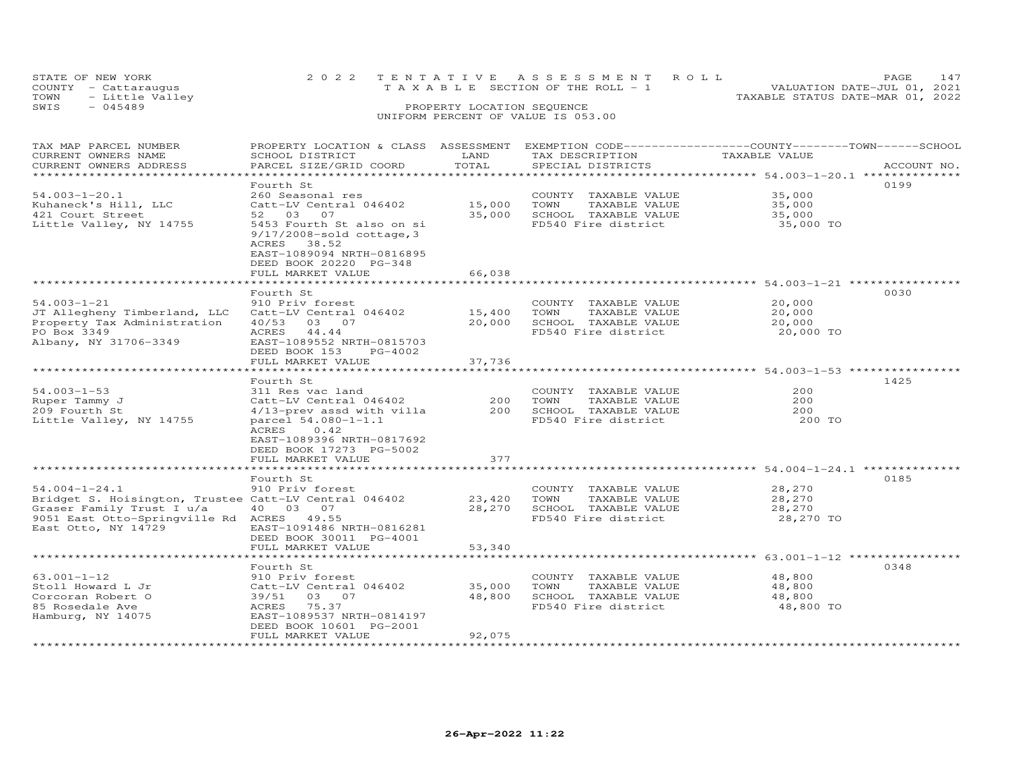|      | STATE OF NEW YORK    |                            | 2022 TENTATIVE ASSESSMENT ROLL                                 | <b>PAGE 147</b> |  |  |  |
|------|----------------------|----------------------------|----------------------------------------------------------------|-----------------|--|--|--|
|      | COUNTY - Cattaraugus |                            | VALUATION DATE-JUL 01, 2021<br>TAXABLE SECTION OF THE ROLL - 1 |                 |  |  |  |
| TOWN | - Little Valley      |                            | TAXABLE STATUS DATE-MAR 01, 2022                               |                 |  |  |  |
| SWIS | $-045489$            | PROPERTY LOCATION SEQUENCE |                                                                |                 |  |  |  |
|      |                      |                            | UNIFORM PERCENT OF VALUE IS 053.00                             |                 |  |  |  |

### TAX MAP PARCEL NUMBER PROPERTY LOCATION & CLASS ASSESSMENT EXEMPTION CODE------------------COUNTY--------TOWN------SCHOOL CURRENT OWNERS NAME SCHOOL DISTRICT LAND TAX DESCRIPTION TAXABLE VALUE CURRENT OWNERS ADDRESS PARCEL SIZE/GRID COORD TOTAL SPECIAL DISTRICTS ACCOUNT NO. \*\*\*\*\*\*\*\*\*\*\*\*\*\*\*\*\*\*\*\*\*\*\*\*\*\*\*\*\*\*\*\*\*\*\*\*\*\*\*\*\*\*\*\*\*\*\*\*\*\*\*\*\*\*\*\*\*\*\*\*\*\*\*\*\*\*\*\*\*\*\*\*\*\*\*\*\*\*\*\*\*\*\*\*\*\*\*\*\*\*\*\*\*\*\*\*\*\*\*\*\*\*\* 54.003-1-20.1 \*\*\*\*\*\*\*\*\*\*\*\*\*\* Fourth St 019954.003-1-20.1 260 Seasonal res COUNTY TAXABLE VALUE 35,000Kuhaneck's Hill, LLC Catt-LV Central 046402 15,000 TOWN TAXABLE VALUE 35,000421 Court Street 52 03 07 35,000 SCHOOL TAXABLE VALUE 35,000Little Valley, NY 14755 5453 Fourth St also on si FD540 Fire district 35,000 TO 9/17/2008-sold cottage,335,000  $35,000$ 35,000 TO ACRES 38.52 EAST-1089094 NRTH-0816895 DEED BOOK 20220 PG-348FULL MARKET VALUE 66,038 \*\*\*\*\*\*\*\*\*\*\*\*\*\*\*\*\*\*\*\*\*\*\*\*\*\*\*\*\*\*\*\*\*\*\*\*\*\*\*\*\*\*\*\*\*\*\*\*\*\*\*\*\*\*\*\*\*\*\*\*\*\*\*\*\*\*\*\*\*\*\*\*\*\*\*\*\*\*\*\*\*\*\*\*\*\*\*\*\*\*\*\*\*\*\*\*\*\*\*\*\*\*\* 54.003-1-21 \*\*\*\*\*\*\*\*\*\*\*\*\*\*\*\*54.003-1-21 Fourth St<br>
JT Allegheny Timberland, LLC catt-LV Central 046402 15,400 TOWN TAXABLE VALUE 20,000<br>
Property Tax Administration 40/53 03 07 20,000 SCHOOL TAXABLE VALUE 20,000<br>
PO Box 3349 ACRES 44.44 FD540 Fire di \*\*\*\*\*\*\*\*\*\*\*\*\*\*\*\*\*\*\*\*\*\*\*\*\*\*\*\*\*\*\*\*\*\*\*\*\*\*\*\*\*\*\*\*\*\*\*\*\*\*\*\*\*\*\*\*\*\*\*\*\*\*\*\*\*\*\*\*\*\*\*\*\*\*\*\*\*\*\*\*\*\*\*\*\*\*\*\*\*\*\*\*\*\*\*\*\*\*\*\*\*\*\* 54.003-1-53 \*\*\*\*\*\*\*\*\*\*\*\*\*\*\*\* Fourth St 142554.003-1-53 311 Res vac land COUNTY TAXABLE VALUE 200Ruper Tammy J Catt-LV Central 046402 200 TOWN TAXABLE VALUE 200209 Fourth St 4/13-prev assd with villa 200 SCHOOL TAXABLE VALUE 200Little Valley, NY 14755 parcel 54.080-1-1.1 FD540 Fire district 200 TO ACRES 0.42֖֖֚֚֚֚֚֚֚֚֚֚֚֚֚֚֚֚֚֚֚֚֡֡֡֡֡֡֡֡֡֡֡֞ 200 TO EAST-1089396 NRTH-0817692 DEED BOOK 17273 PG-5002 FULL MARKET VALUE 377 \*\*\*\*\*\*\*\*\*\*\*\*\*\*\*\*\*\*\*\*\*\*\*\*\*\*\*\*\*\*\*\*\*\*\*\*\*\*\*\*\*\*\*\*\*\*\*\*\*\*\*\*\*\*\*\*\*\*\*\*\*\*\*\*\*\*\*\*\*\*\*\*\*\*\*\*\*\*\*\*\*\*\*\*\*\*\*\*\*\*\*\*\*\*\*\*\*\*\*\*\*\*\* 54.004-1-24.1 \*\*\*\*\*\*\*\*\*\*\*\*\*\*Fourth St<br>54.004-1-24.1 Fourth St<br>5185 78.270 910 Priv forest COUNTY TAXABLE VALUE 54.004-1-24.1 910 Priv forest COUNTY TAXABLE VALUE 28,270 Bridget S. Hoisington, Trustee Catt-LV Central 046402 23,420 TOWN TAXABLE VALUE<br>Graser Family Trust I u/a 3 07 28,270 SCHOOL TAXABLE VALUE Graser Family Trust I u/a  $100307$  28,270 SCHOOL TAXABLE VALUE 29.51 East Otto-Springville Rd ACRES 49.55  $28,270$ <br>28,270 TO 9051 East Otto-Springville Rd ACRES 49.55 East Otto, NY 14729 EAST-1091486 NRTH-0816281 DEED BOOK 30011 PG-4001 FULL MARKET VALUE 53,340 \*\*\*\*\*\*\*\*\*\*\*\*\*\*\*\*\*\*\*\*\*\*\*\*\*\*\*\*\*\*\*\*\*\*\*\*\*\*\*\*\*\*\*\*\*\*\*\*\*\*\*\*\*\*\*\*\*\*\*\*\*\*\*\*\*\*\*\*\*\*\*\*\*\*\*\*\*\*\*\*\*\*\*\*\*\*\*\*\*\*\*\*\*\*\*\*\*\*\*\*\*\*\* 63.001-1-12 \*\*\*\*\*\*\*\*\*\*\*\*\*\*\*\*Fourth St 034863.001-1-12 910 Priv forest COUNTY TAXABLE VALUE 48,800 Stoll Howard L Jr Catt-LV Central 046402 35,000 TOWN TAXABLE VALUE 48,800 Corcoran Robert O 39/51 03 07 48,800 SCHOOL TAXABLE VALUE 48,800 85 Rosedale Ave ACRES 75.37 FD540 Fire district 48,800 TOHamburg, NY 14075 EAST-1089537 NRTH-0814197 DEED BOOK 10601 PG-2001 FULL MARKET VALUE 92,075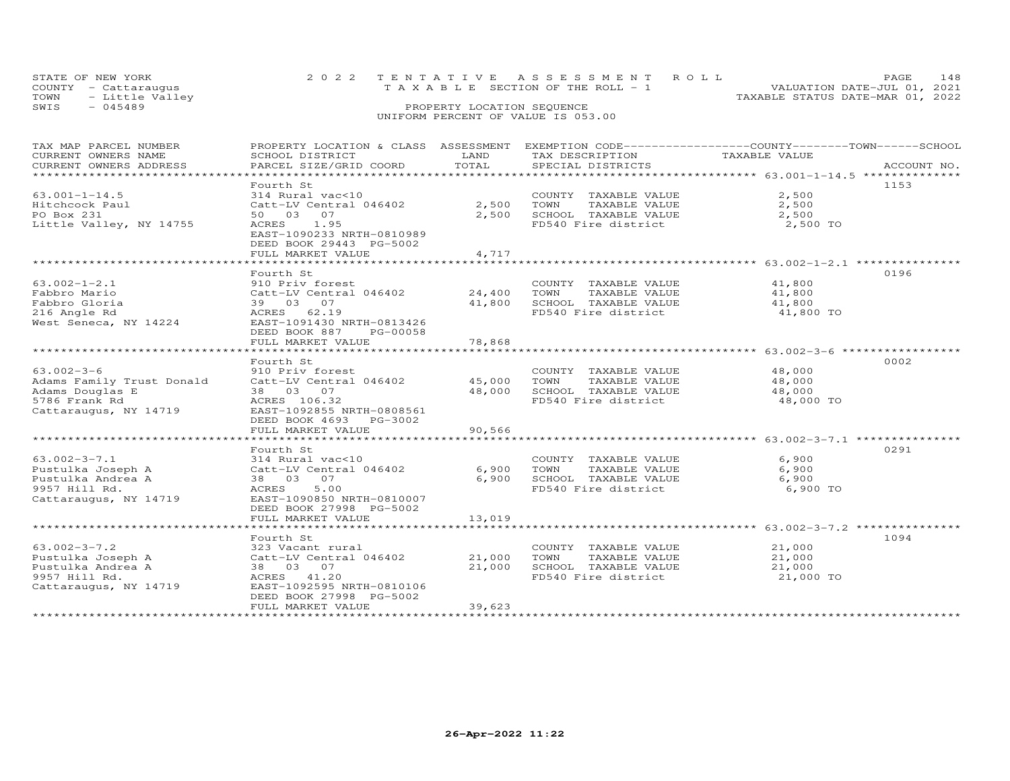| STATE OF NEW YORK    | 2022 TENTATIVE ASSESSMENT ROLL        | PAGE 148                         |
|----------------------|---------------------------------------|----------------------------------|
| COUNTY - Cattaraugus | T A X A B L E SECTION OF THE ROLL - 1 | VALUATION DATE-JUL 01, 2021      |
| TOWN - Little Valley |                                       | TAXABLE STATUS DATE-MAR 01, 2022 |
| SWTS<br>$-045489$    | PROPERTY LOCATION SEQUENCE            |                                  |
|                      |                                       |                                  |

| TAX MAP PARCEL NUMBER     | PROPERTY LOCATION & CLASS ASSESSMENT EXEMPTION CODE----------------COUNTY-------TOWN------SCHOOL |              |                       |               |             |
|---------------------------|--------------------------------------------------------------------------------------------------|--------------|-----------------------|---------------|-------------|
| CURRENT OWNERS NAME       | SCHOOL DISTRICT                                                                                  | LAND         | TAX DESCRIPTION       | TAXABLE VALUE |             |
| CURRENT OWNERS ADDRESS    | PARCEL SIZE/GRID COORD                                                                           | TOTAL        | SPECIAL DISTRICTS     |               | ACCOUNT NO. |
|                           |                                                                                                  |              |                       |               |             |
|                           | Fourth St                                                                                        |              |                       |               | 1153        |
| $63.001 - 1 - 14.5$       | 314 Rural vac<10                                                                                 |              | COUNTY TAXABLE VALUE  | 2,500         |             |
| Hitchcock Paul            | Catt-LV Central 046402                                                                           | 2,500        | TOWN<br>TAXABLE VALUE | 2,500         |             |
| PO Box 231                | 50 03 07                                                                                         | 2,500        | SCHOOL TAXABLE VALUE  | 2,500         |             |
| Little Valley, NY 14755   | ACRES 1.95                                                                                       |              | FD540 Fire district   | 2,500 TO      |             |
|                           | EAST-1090233 NRTH-0810989                                                                        |              |                       |               |             |
|                           | DEED BOOK 29443 PG-5002                                                                          |              |                       |               |             |
|                           | FULL MARKET VALUE                                                                                | 4,717        |                       |               |             |
|                           | *************************                                                                        | ************ |                       |               |             |
|                           | Fourth St                                                                                        |              |                       |               | 0196        |
| $63.002 - 1 - 2.1$        | 910 Priv forest                                                                                  |              | COUNTY TAXABLE VALUE  | 41,800        |             |
| Fabbro Mario              | Catt-LV Central 046402                                                                           | 24,400       | TOWN<br>TAXABLE VALUE | 41,800        |             |
| Fabbro Gloria             | 39 03 07                                                                                         | 41,800       | SCHOOL TAXABLE VALUE  | 41,800        |             |
| 216 Angle Rd              | ACRES 62.19                                                                                      |              | FD540 Fire district   | 41,800 TO     |             |
| West Seneca, NY 14224     | EAST-1091430 NRTH-0813426                                                                        |              |                       |               |             |
|                           | DEED BOOK 887<br>PG-00058                                                                        |              |                       |               |             |
|                           | FULL MARKET VALUE                                                                                | 78,868       |                       |               |             |
|                           |                                                                                                  |              |                       |               |             |
|                           |                                                                                                  |              |                       |               | 0002        |
| $63.002 - 3 - 6$          | Fourth St                                                                                        |              |                       | 48,000        |             |
| Adams Family Trust Donald | 910 Priv forest                                                                                  |              | COUNTY TAXABLE VALUE  |               |             |
|                           | Catt-LV Central 046402                                                                           | 45,000 TOWN  | TAXABLE VALUE         | 48,000        |             |
| Adams Douglas E           | 38 03 07                                                                                         | 48,000       | SCHOOL TAXABLE VALUE  | 48,000        |             |
| 5786 Frank Rd             | ACRES 106.32                                                                                     |              | FD540 Fire district   | 48,000 TO     |             |
| Cattaraugus, NY 14719     | EAST-1092855 NRTH-0808561                                                                        |              |                       |               |             |
|                           | DEED BOOK 4693 PG-3002                                                                           |              |                       |               |             |
|                           | FULL MARKET VALUE                                                                                | 90,566       |                       |               |             |
|                           |                                                                                                  |              |                       |               |             |
|                           | Fourth St                                                                                        |              |                       |               | 0291        |
| $63.002 - 3 - 7.1$        | 314 Rural vac<10<br>314 Kurai variti<br>Catt-LV Central 046402                                   |              | COUNTY TAXABLE VALUE  | 6,900         |             |
| Pustulka Joseph A         |                                                                                                  | 6,900        | TOWN<br>TAXABLE VALUE | 6,900         |             |
| Pustulka Andrea A         | 38 03 07                                                                                         | 6,900        | SCHOOL TAXABLE VALUE  | 6,900         |             |
| 9957 Hill Rd.             | 5.00<br>ACRES                                                                                    |              | FD540 Fire district   | 6,900 TO      |             |
| Cattaraugus, NY 14719     | EAST-1090850 NRTH-0810007                                                                        |              |                       |               |             |
|                           | DEED BOOK 27998 PG-5002                                                                          |              |                       |               |             |
|                           | FULL MARKET VALUE                                                                                | 13,019       |                       |               |             |
|                           |                                                                                                  |              |                       |               |             |
|                           | Fourth St                                                                                        |              |                       |               | 1094        |
| $63.002 - 3 - 7.2$        | 323 Vacant rural                                                                                 |              | COUNTY TAXABLE VALUE  | 21,000        |             |
| Pustulka Joseph A         | Catt-LV Central 046402                                                                           | 21,000       | TAXABLE VALUE<br>TOWN | 21,000        |             |
| Pustulka Andrea A         | 38 03 07                                                                                         | 21,000       | SCHOOL TAXABLE VALUE  | 21,000        |             |
| 9957 Hill Rd.             | ACRES 41.20                                                                                      |              | FD540 Fire district   | 21,000 TO     |             |
| Cattaraugus, NY 14719     | EAST-1092595 NRTH-0810106                                                                        |              |                       |               |             |
|                           | DEED BOOK 27998 PG-5002                                                                          |              |                       |               |             |
|                           | FULL MARKET VALUE                                                                                | 39,623       |                       |               |             |
|                           |                                                                                                  |              |                       |               |             |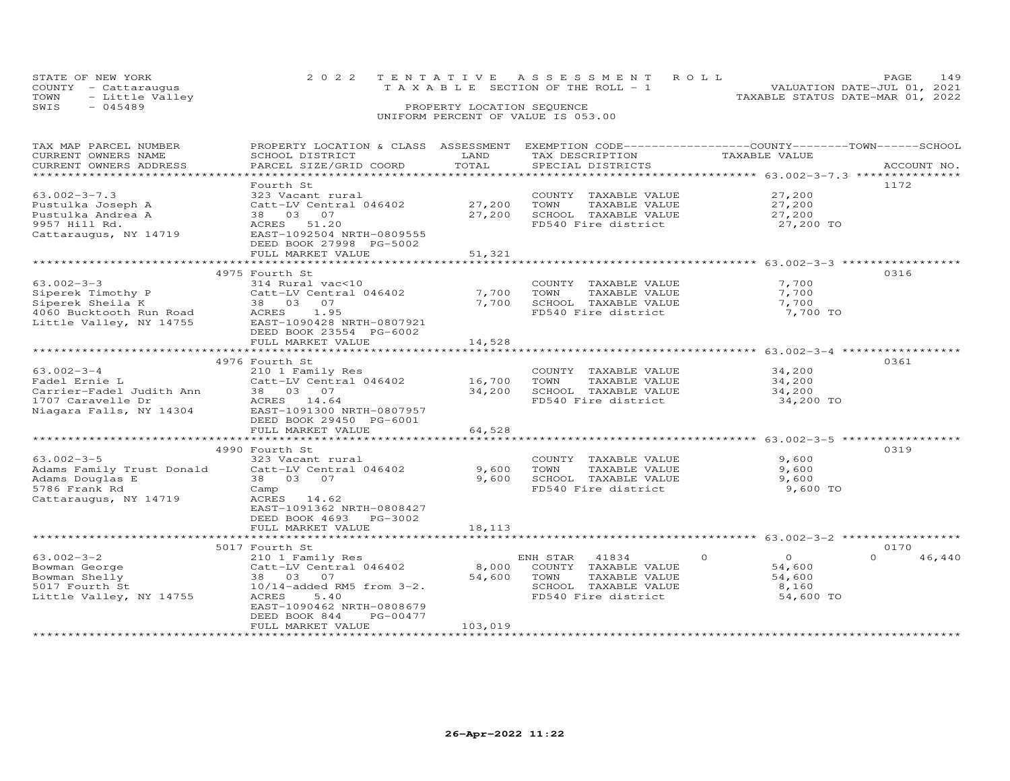| STATE OF NEW YORK       | 2022 TENTATIVE ASSESSMENT ROLL                 | PAGE.                            |  |
|-------------------------|------------------------------------------------|----------------------------------|--|
| COUNTY - Cattaraugus    | $T A X A B I F S E C T T ON OF THE RO I J - 1$ | VALUATION DATE-JUL 01, 2021      |  |
| TOWN<br>- Little Valley |                                                | TAXABLE STATUS DATE-MAR 01, 2022 |  |
| SWIS<br>$-045489$       | PROPERTY LOCATION SEQUENCE                     |                                  |  |
|                         |                                                |                                  |  |

| TAX MAP PARCEL NUMBER                         | PROPERTY LOCATION & CLASS ASSESSMENT      |               | EXEMPTION CODE-----------------COUNTY-------TOWN------SCHOOL |                      |                    |
|-----------------------------------------------|-------------------------------------------|---------------|--------------------------------------------------------------|----------------------|--------------------|
| CURRENT OWNERS NAME<br>CURRENT OWNERS ADDRESS | SCHOOL DISTRICT<br>PARCEL SIZE/GRID COORD | LAND<br>TOTAL | TAX DESCRIPTION<br>SPECIAL DISTRICTS                         | TAXABLE VALUE        | ACCOUNT NO.        |
|                                               |                                           |               |                                                              |                      |                    |
|                                               | Fourth St                                 |               |                                                              |                      | 1172               |
| $63.002 - 3 - 7.3$                            | 323 Vacant rural                          |               | COUNTY TAXABLE VALUE                                         | 27,200               |                    |
|                                               |                                           | 27,200        | TOWN                                                         |                      |                    |
| Pustulka Joseph A                             | Catt-LV Central 046402<br>38 03 07        |               | TAXABLE VALUE                                                | 27,200               |                    |
| Pustulka Andrea A                             |                                           | 27,200        | SCHOOL TAXABLE VALUE                                         | 27,200               |                    |
| 9957 Hill Rd.                                 | ACRES 51.20                               |               | FD540 Fire district                                          | 27,200 TO            |                    |
| Cattaraugus, NY 14719                         | EAST-1092504 NRTH-0809555                 |               |                                                              |                      |                    |
|                                               | DEED BOOK 27998 PG-5002                   |               |                                                              |                      |                    |
|                                               | FULL MARKET VALUE                         | 51,321        |                                                              |                      |                    |
|                                               |                                           |               |                                                              |                      |                    |
|                                               | 4975 Fourth St                            |               |                                                              |                      | 0316               |
| $63.002 - 3 - 3$                              | 314 Rural vac<10                          |               | COUNTY TAXABLE VALUE                                         | 7,700                |                    |
| Siperek Timothy P                             | Catt-LV Central 046402                    | 7,700         | TOWN<br>TAXABLE VALUE                                        | 7,700                |                    |
| Siperek Sheila K                              | 38 03 07                                  | 7,700         | SCHOOL TAXABLE VALUE                                         | 7,700                |                    |
| 4060 Bucktooth Run Road                       | ACRES<br>1.95                             |               | FD540 Fire district                                          | 7,700 TO             |                    |
| Little Valley, NY 14755                       | EAST-1090428 NRTH-0807921                 |               |                                                              |                      |                    |
|                                               | DEED BOOK 23554 PG-6002                   |               |                                                              |                      |                    |
|                                               | FULL MARKET VALUE                         | 14,528        |                                                              |                      |                    |
|                                               | ******************************            |               |                                                              |                      |                    |
|                                               | 4976 Fourth St                            |               |                                                              |                      | 0361               |
| $63.002 - 3 - 4$                              | 210 1 Family Res                          |               | COUNTY TAXABLE VALUE                                         | 34,200               |                    |
| Fadel Ernie L                                 | Catt-LV Central 046402                    | 16,700        | TOWN<br>TAXABLE VALUE                                        | 34,200               |                    |
| Carrier-Fadel Judith Ann                      | 38 03 07                                  | 34,200        | SCHOOL TAXABLE VALUE                                         | 34,200               |                    |
| 1707 Caravelle Dr                             | ACRES 14.64                               |               | FD540 Fire district                                          | 34,200 TO            |                    |
| Niagara Falls, NY 14304                       | EAST-1091300 NRTH-0807957                 |               |                                                              |                      |                    |
|                                               | DEED BOOK 29450 PG-6001                   |               |                                                              |                      |                    |
|                                               | FULL MARKET VALUE                         | 64,528        |                                                              |                      |                    |
|                                               | **************************                |               |                                                              |                      |                    |
|                                               | 4990 Fourth St                            |               |                                                              |                      | 0319               |
| $63.002 - 3 - 5$                              | 323 Vacant rural                          |               | COUNTY TAXABLE VALUE                                         | 9,600                |                    |
| Adams Family Trust Donald                     | Catt-LV Central 046402                    | 9,600         | TOWN<br>TAXABLE VALUE                                        | 9,600                |                    |
| Adams Douglas E                               | 38  03  07                                | 9,600         | SCHOOL TAXABLE VALUE                                         | 9,600                |                    |
| 5786 Frank Rd                                 | Camp                                      |               | FD540 Fire district                                          | 9,600 TO             |                    |
| Cattaraugus, NY 14719                         | ACRES<br>14.62                            |               |                                                              |                      |                    |
|                                               | EAST-1091362 NRTH-0808427                 |               |                                                              |                      |                    |
|                                               | DEED BOOK 4693 PG-3002                    |               |                                                              |                      |                    |
|                                               | FULL MARKET VALUE                         | 18,113        |                                                              |                      |                    |
|                                               |                                           |               |                                                              |                      |                    |
|                                               | 5017 Fourth St                            |               |                                                              |                      | 0170               |
| $63.002 - 3 - 2$                              | 210 1 Family Res                          |               | ENH STAR<br>41834                                            | $\Omega$<br>$\Omega$ | $\Omega$<br>46,440 |
| Bowman George                                 | Catt-LV Central 046402                    | 8,000         | COUNTY TAXABLE VALUE                                         | 54,600               |                    |
| Bowman Shelly                                 | 38 03 07                                  | 54,600        | TOWN<br>TAXABLE VALUE                                        | 54,600               |                    |
| 5017 Fourth St                                | $10/14$ -added RM5 from $3-2$ .           |               | SCHOOL TAXABLE VALUE                                         | 8,160                |                    |
| Little Valley, NY 14755                       | 5.40<br>ACRES                             |               | FD540 Fire district                                          | 54,600 TO            |                    |
|                                               | EAST-1090462 NRTH-0808679                 |               |                                                              |                      |                    |
|                                               | DEED BOOK 844<br>PG-00477                 |               |                                                              |                      |                    |
|                                               | FULL MARKET VALUE                         | 103,019       |                                                              |                      |                    |
|                                               |                                           |               |                                                              |                      |                    |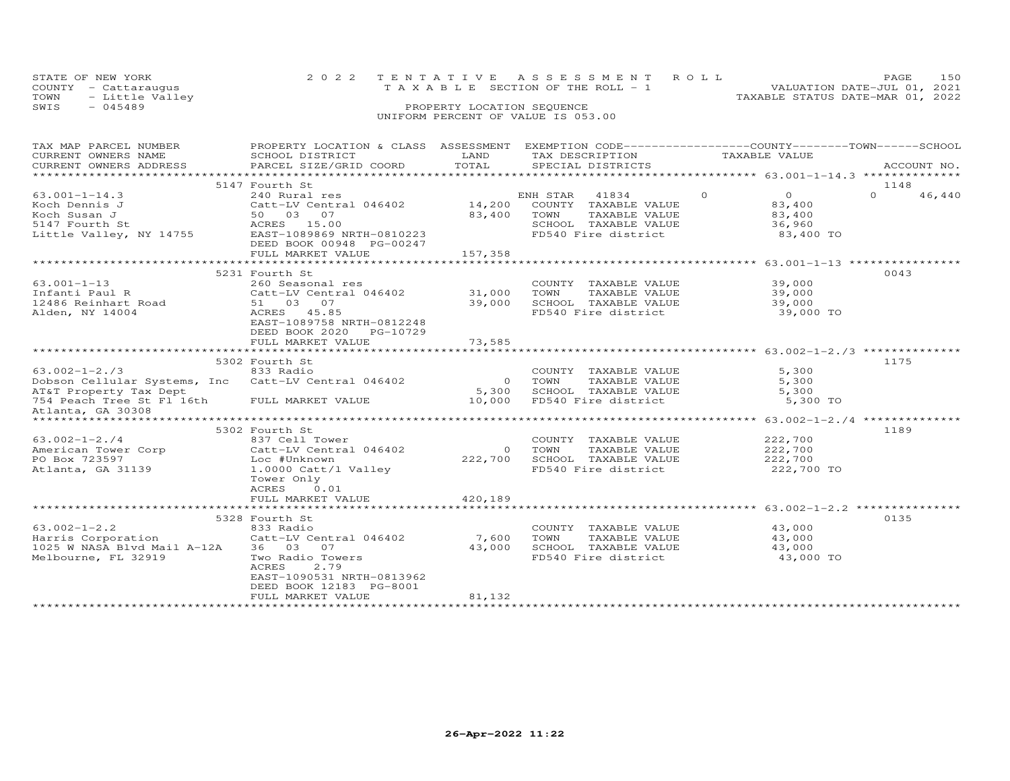| STATE OF NEW YORK    | 2022 TENTATIVE ASSESSMENT ROLL        | 150<br>PAGE.                     |
|----------------------|---------------------------------------|----------------------------------|
| COUNTY - Cattarauqus | T A X A B L E SECTION OF THE ROLL - 1 | VALUATION DATE-JUL 01, 2021      |
| TOWN - Little Valley |                                       | TAXABLE STATUS DATE-MAR 01, 2022 |
| SWTS<br>- 045489     | PROPERTY LOCATION SEQUENCE            |                                  |

| TAX MAP PARCEL NUMBER<br>CURRENT OWNERS NAME<br>CURRENT OWNERS ADDRESS                                                                      | PROPERTY LOCATION & CLASS ASSESSMENT EXEMPTION CODE----------------COUNTY-------TOWN------SCHOOL<br>SCHOOL DISTRICT<br>PARCEL SIZE/GRID COORD                                       | LAND<br>TOTAL                     | TAX DESCRIPTION<br>SPECIAL DISTRICTS                                                                           | TAXABLE VALUE                                                                                                                         | ACCOUNT NO.        |
|---------------------------------------------------------------------------------------------------------------------------------------------|-------------------------------------------------------------------------------------------------------------------------------------------------------------------------------------|-----------------------------------|----------------------------------------------------------------------------------------------------------------|---------------------------------------------------------------------------------------------------------------------------------------|--------------------|
|                                                                                                                                             |                                                                                                                                                                                     |                                   |                                                                                                                |                                                                                                                                       |                    |
|                                                                                                                                             | 5147 Fourth St                                                                                                                                                                      |                                   |                                                                                                                |                                                                                                                                       | 1148               |
| $63.001 - 1 - 14.3$<br>Koch Dennis J<br>Koch Susan J<br>5147 Fourth St<br>Little Valley, NY 14755                                           | 240 Rural res<br>Catt-LV Central 046402<br>50 03 07<br>ACRES 15.00<br>EAST-1089869 NRTH-0810223<br>DEED BOOK 00948 PG-00247<br>FULL MARKET VALUE                                    | 14,200<br>83,400<br>157,358       | ENH STAR 41834<br>COUNTY TAXABLE VALUE<br>TOWN<br>TAXABLE VALUE<br>SCHOOL TAXABLE VALUE<br>FD540 Fire district | $\overline{O}$<br>$\overline{0}$<br>83,400<br>83,400<br>36,960<br>83,400 TO<br>************************ 63.001-1-13 ***************** | $\Omega$<br>46,440 |
|                                                                                                                                             | 5231 Fourth St                                                                                                                                                                      |                                   |                                                                                                                |                                                                                                                                       | 0043               |
| $63.001 - 1 - 13$<br>Infanti Paul R<br>12486 Reinhart Road<br>Alden, NY 14004                                                               | 260 Seasonal res<br>Catt-LV Central 046402<br>51 03 07<br>ACRES 45.85<br>EAST-1089758 NRTH-0812248<br>DEED BOOK 2020<br>PG-10729                                                    | 31,000<br>39,000                  | COUNTY TAXABLE VALUE<br>TOWN<br>TAXABLE VALUE<br>SCHOOL TAXABLE VALUE<br>FD540 Fire district                   | 39,000<br>39,000<br>39,000<br>39,000 TO                                                                                               |                    |
|                                                                                                                                             | FULL MARKET VALUE                                                                                                                                                                   | 73,585                            |                                                                                                                |                                                                                                                                       |                    |
|                                                                                                                                             | 5302 Fourth St                                                                                                                                                                      |                                   |                                                                                                                |                                                                                                                                       | 1175               |
| $63.002 - 1 - 2.73$<br>Dobson Cellular Systems, Inc Catt-LV Central 046402<br>AT&T Property Tax Dept<br>Atlanta, GA 30308<br>************** | 833 Radio                                                                                                                                                                           | $\overline{O}$<br>5,300<br>10,000 | COUNTY TAXABLE VALUE<br>TOWN<br>TAXABLE VALUE<br>SCHOOL TAXABLE VALUE<br>FD540 Fire district                   | 5,300<br>5,300<br>5,300<br>5,300 TO<br>******************* 63.002-1-2./4 ***************                                              |                    |
|                                                                                                                                             | 5302 Fourth St                                                                                                                                                                      |                                   |                                                                                                                |                                                                                                                                       | 1189               |
| $63.002 - 1 - 2.74$<br>American Tower Corp Catt-LV Central 046402<br>PO Box 723597<br>Atlanta, GA 31139                                     | 837 Cell Tower<br>Loc #Unknown<br>1.0000 Catt/l Valley<br>Tower Only<br>0.01<br>ACRES<br>FULL MARKET VALUE                                                                          | $\Omega$<br>222,700<br>420,189    | COUNTY TAXABLE VALUE<br>TOWN<br>TAXABLE VALUE<br>SCHOOL TAXABLE VALUE<br>FD540 Fire district                   | 222,700<br>222,700<br>222,700<br>222,700 TO                                                                                           |                    |
|                                                                                                                                             |                                                                                                                                                                                     |                                   |                                                                                                                |                                                                                                                                       |                    |
| $63.002 - 1 - 2.2$<br>Harris Corporation<br>1025 W NASA Blvd Mail A-12A<br>Melbourne, FL 32919                                              | 5328 Fourth St<br>833 Radio<br>Catt-LV Central 046402<br>36 03 07<br>Two Radio Towers<br>ACRES<br>2.79<br>EAST-1090531 NRTH-0813962<br>DEED BOOK 12183 PG-8001<br>FULL MARKET VALUE | 7,600<br>43,000<br>81,132         | COUNTY TAXABLE VALUE<br>TOWN<br>TAXABLE VALUE<br>SCHOOL TAXABLE VALUE<br>FD540 Fire district                   | 43,000<br>43,000<br>43,000<br>43,000 TO                                                                                               | 0135               |
|                                                                                                                                             | **********************                                                                                                                                                              |                                   |                                                                                                                |                                                                                                                                       |                    |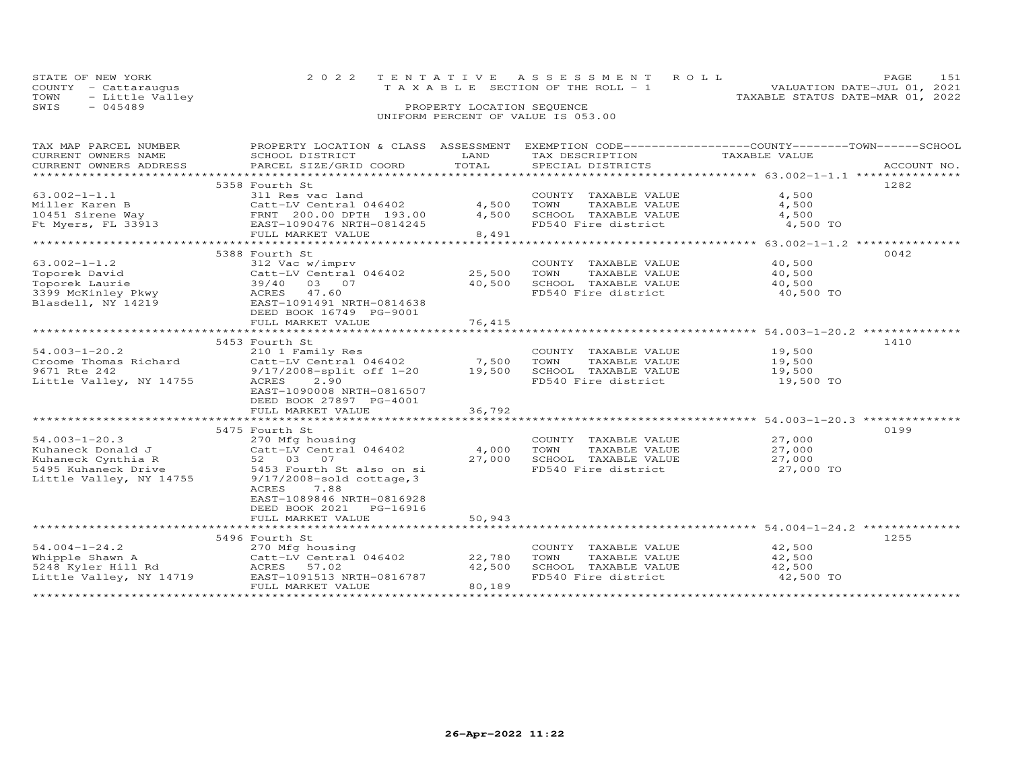|      | STATE OF NEW YORK    |  | 2022 TENTATIVE ASSESSMENT ROLL        |                                  | PAGE.                       | 1.51 |
|------|----------------------|--|---------------------------------------|----------------------------------|-----------------------------|------|
|      | COUNTY - Cattaraugus |  | T A X A B L E SECTION OF THE ROLL - 1 |                                  | VALUATION DATE-JUL 01, 2021 |      |
|      | TOWN - Little Valley |  |                                       | TAXABLE STATUS DATE-MAR 01, 2022 |                             |      |
| SWIS | - 045489             |  | PROPERTY LOCATION SEQUENCE            |                                  |                             |      |
|      |                      |  | UNIFORM PERCENT OF VALUE IS 053.00    |                                  |                             |      |

| TAX MAP PARCEL NUMBER   | PROPERTY LOCATION & CLASS ASSESSMENT EXEMPTION CODE----------------COUNTY-------TOWN------SCHOOL |                 |                       |                                                                |             |
|-------------------------|--------------------------------------------------------------------------------------------------|-----------------|-----------------------|----------------------------------------------------------------|-------------|
| CURRENT OWNERS NAME     | SCHOOL DISTRICT                                                                                  | LAND            | TAX DESCRIPTION       | TAXABLE VALUE                                                  |             |
| CURRENT OWNERS ADDRESS  | PARCEL SIZE/GRID COORD                                                                           | TOTAL           | SPECIAL DISTRICTS     |                                                                | ACCOUNT NO. |
|                         |                                                                                                  |                 |                       |                                                                |             |
|                         | 5358 Fourth St                                                                                   |                 |                       |                                                                | 1282        |
| $63.002 - 1 - 1.1$      | 311 Res vac land                                                                                 |                 | COUNTY TAXABLE VALUE  | 4,500                                                          |             |
| Miller Karen B          | Catt-LV Central 046402                                                                           | 4,500           | TOWN<br>TAXABLE VALUE | 4,500                                                          |             |
|                         | 10451 Sirene Way<br>FRNT 200.00 DPTH 193.00<br>EAST-1090476 NRTH-0814245                         | 4,500           | SCHOOL TAXABLE VALUE  | 4,500                                                          |             |
|                         |                                                                                                  |                 | FD540 Fire district   | 4,500 TO                                                       |             |
|                         | FULL MARKET VALUE                                                                                | 8,491           |                       |                                                                |             |
|                         | ********************************                                                                 |                 |                       | $*********************$ 63.002-1-1.2                           |             |
|                         | 5388 Fourth St                                                                                   |                 |                       |                                                                | 0042        |
| $63.002 - 1 - 1.2$      | 312 Vac w/imprv                                                                                  |                 | COUNTY TAXABLE VALUE  | 40,500                                                         |             |
| Toporek David           | Catt-LV Central 046402                                                                           | 25,500          | TOWN<br>TAXABLE VALUE | 40,500                                                         |             |
| Toporek Laurie          | 03 07<br>39/40                                                                                   | 40,500          | SCHOOL TAXABLE VALUE  | 40,500                                                         |             |
| 3399 McKinley Pkwy      | ACRES 47.60                                                                                      |                 | FD540 Fire district   | 40,500 TO                                                      |             |
| Blasdell, NY 14219      | EAST-1091491 NRTH-0814638                                                                        |                 |                       |                                                                |             |
|                         | DEED BOOK 16749 PG-9001                                                                          |                 |                       |                                                                |             |
|                         | FULL MARKET VALUE                                                                                | 76,415          |                       |                                                                |             |
|                         |                                                                                                  | **************  |                       |                                                                |             |
|                         | 5453 Fourth St                                                                                   |                 |                       |                                                                | 1410        |
| $54.003 - 1 - 20.2$     | 210 1 Family Res                                                                                 |                 | COUNTY TAXABLE VALUE  | 19,500                                                         |             |
| Croome Thomas Richard   | Catt-LV Central 046402                                                                           | 7,500           | TOWN<br>TAXABLE VALUE | 19,500                                                         |             |
| 9671 Rte 242            | 9/17/2008-split off 1-20                                                                         | 19,500          | SCHOOL TAXABLE VALUE  | 19,500                                                         |             |
| Little Valley, NY 14755 | ACRES<br>2.90                                                                                    |                 | FD540 Fire district   | 19,500 TO                                                      |             |
|                         | EAST-1090008 NRTH-0816507                                                                        |                 |                       |                                                                |             |
|                         | DEED BOOK 27897 PG-4001                                                                          |                 |                       |                                                                |             |
|                         | FULL MARKET VALUE                                                                                | 36,792          |                       |                                                                |             |
|                         |                                                                                                  | *************** |                       | ****************** 54.003-1-20.3 ***************               |             |
|                         | 5475 Fourth St                                                                                   |                 |                       |                                                                | 0199        |
| $54.003 - 1 - 20.3$     | 270 Mfg housing                                                                                  |                 | COUNTY TAXABLE VALUE  | 27,000                                                         |             |
| Kuhaneck Donald J       | Catt-LV Central 046402                                                                           | 4,000           | TOWN<br>TAXABLE VALUE | 27,000                                                         |             |
| Kuhaneck Cynthia R      | 52 03 07                                                                                         | 27,000          | SCHOOL TAXABLE VALUE  | 27,000                                                         |             |
| 5495 Kuhaneck Drive     | 5453 Fourth St also on si                                                                        |                 | FD540 Fire district   | 27,000 TO                                                      |             |
| Little Valley, NY 14755 | $9/17/2008$ -sold cottage, 3                                                                     |                 |                       |                                                                |             |
|                         | 7.88<br>ACRES                                                                                    |                 |                       |                                                                |             |
|                         | EAST-1089846 NRTH-0816928                                                                        |                 |                       |                                                                |             |
|                         | DEED BOOK 2021    PG-16916                                                                       |                 |                       |                                                                |             |
|                         | FULL MARKET VALUE                                                                                | 50,943          |                       |                                                                |             |
|                         |                                                                                                  |                 |                       | ******************************** 54.004-1-24.2 *************** |             |
|                         | 5496 Fourth St                                                                                   |                 |                       |                                                                | 1255        |
| $54.004 - 1 - 24.2$     | 270 Mfg housing                                                                                  |                 | COUNTY TAXABLE VALUE  | 42,500                                                         |             |
| Whipple Shawn A         | Catt-LV Central 046402                                                                           | 22,780          | TOWN<br>TAXABLE VALUE | 42,500                                                         |             |
| 5248 Kyler Hill Rd      | ACRES 57.02                                                                                      | 42,500          | SCHOOL TAXABLE VALUE  | 42,500                                                         |             |
| Little Valley, NY 14719 | EAST-1091513 NRTH-0816787                                                                        |                 | FD540 Fire district   | 42,500 TO                                                      |             |
|                         | FULL MARKET VALUE                                                                                | 80,189          |                       |                                                                |             |
|                         |                                                                                                  |                 |                       |                                                                |             |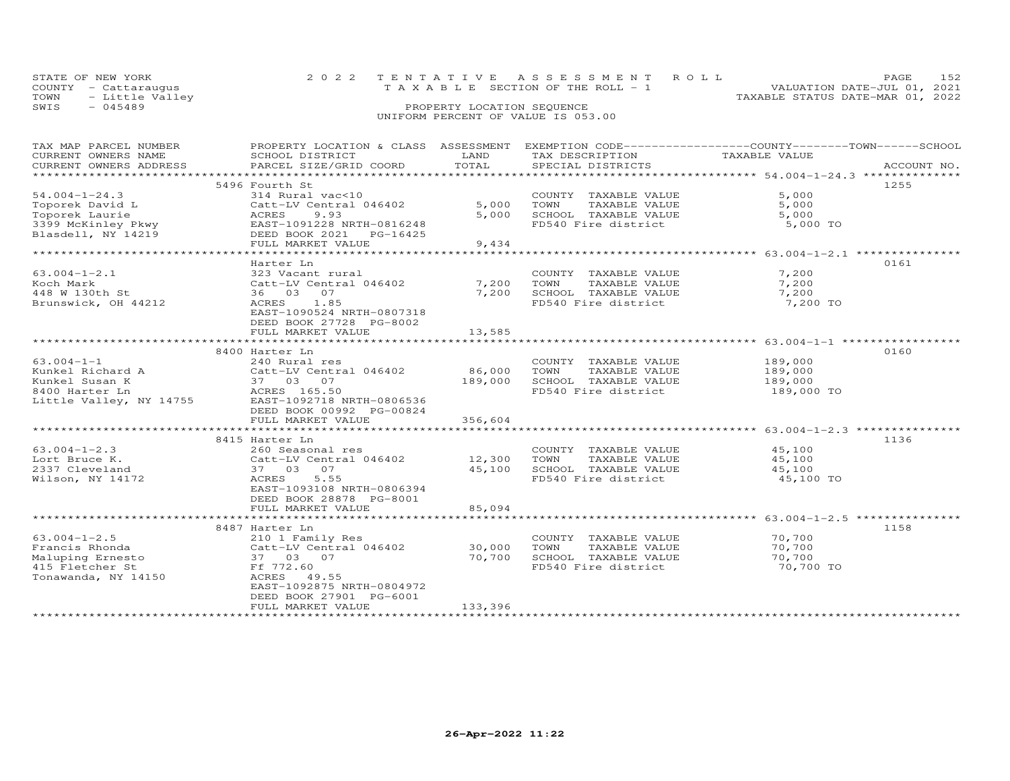| STATE OF NEW YORK       | 2022 TENTATIVE ASSESSMENT ROLL        |                                  | <b>PAGE</b>                 |  |
|-------------------------|---------------------------------------|----------------------------------|-----------------------------|--|
| COUNTY - Cattaraugus    | T A X A B L E SECTION OF THE ROLL - 1 |                                  | VALUATION DATE-JUL 01, 2021 |  |
| TOWN<br>- Little Valley |                                       | TAXABLE STATUS DATE-MAR 01, 2022 |                             |  |
| SWIS<br>$-045489$       | PROPERTY LOCATION SEQUENCE            |                                  |                             |  |
|                         | UNIFORM PERCENT OF VALUE IS 053.00    |                                  |                             |  |

# TAX MAP PARCEL NUMBER PROPERTY LOCATION & CLASS ASSESSMENT EXEMPTION CODE------------------COUNTY--------TOWN------SCHOOL CURRENT OWNERS NAME SCHOOL DISTRICT LAND TAX DESCRIPTION TAXABLE VALUE CURRENT OWNERS ADDRESS PARCEL SIZE/GRID COORD TOTAL SPECIAL DISTRICTS ACCOUNT NO. \*\*\*\*\*\*\*\*\*\*\*\*\*\*\*\*\*\*\*\*\*\*\*\*\*\*\*\*\*\*\*\*\*\*\*\*\*\*\*\*\*\*\*\*\*\*\*\*\*\*\*\*\*\*\*\*\*\*\*\*\*\*\*\*\*\*\*\*\*\*\*\*\*\*\*\*\*\*\*\*\*\*\*\*\*\*\*\*\*\*\*\*\*\*\*\*\*\*\*\*\*\*\* 54.004-1-24.3 \*\*\*\*\*\*\*\*\*\*\*\*\*\*54.004-1-24.3 5496 Fourth St and Variation of the Same of the Section of the Section of the Section of the Section of the Section of the Section of the Section of the Section of the Section of the Section of the Section of \*\*\*\*\*\*\*\*\*\*\*\*\*\*\*\*\*\*\*\*\*\*\*\*\*\*\*\*\*\*\*\*\*\*\*\*\*\*\*\*\*\*\*\*\*\*\*\*\*\*\*\*\*\*\*\*\*\*\*\*\*\*\*\*\*\*\*\*\*\*\*\*\*\*\*\*\*\*\*\*\*\*\*\*\*\*\*\*\*\*\*\*\*\*\*\*\*\*\*\*\*\*\* 63.004-1-2.1 \*\*\*\*\*\*\*\*\*\*\*\*\*\*\* Harter Ln 016163.004-1-2.1 323 Vacant rural COUNTY TAXABLE VALUE 7,200 Koch Mark Catt-LV Central 046402 7,200 TOWN TAXABLE VALUE 7,200 448 W 130th St 36 03 07 7,200 SCHOOL TAXABLE VALUE 7,200 Brunswick, OH 44212 ACRES 1.85 FD540 Fire district 7,200 TO EAST-1090524 NRTH-0807318 DEED BOOK 27728 PG-8002FULL MARKET VALUE 13,585 \*\*\*\*\*\*\*\*\*\*\*\*\*\*\*\*\*\*\*\*\*\*\*\*\*\*\*\*\*\*\*\*\*\*\*\*\*\*\*\*\*\*\*\*\*\*\*\*\*\*\*\*\*\*\*\*\*\*\*\*\*\*\*\*\*\*\*\*\*\*\*\*\*\*\*\*\*\*\*\*\*\*\*\*\*\*\*\*\*\*\*\*\*\*\*\*\*\*\*\*\*\*\* 63.004-1-1 \*\*\*\*\*\*\*\*\*\*\*\*\*\*\*\*\*8400 Harter Ln<br>
Eunkel Richard A (2400 Murral res country TAXABLE VALUE 189,000<br>
Kunkel Susan K (2400 Murral 046402 189,000 TOWN TAXABLE VALUE 189,000<br>
8400 Harter Ln (27 03 07 189,000 SCHOOL TAXABLE VALUE 189,000<br>
8400 Ha \*\*\*\*\*\*\*\*\*\*\*\*\*\*\*\*\*\*\*\*\*\*\*\*\*\*\*\*\*\*\*\*\*\*\*\*\*\*\*\*\*\*\*\*\*\*\*\*\*\*\*\*\*\*\*\*\*\*\*\*\*\*\*\*\*\*\*\*\*\*\*\*\*\*\*\*\*\*\*\*\*\*\*\*\*\*\*\*\*\*\*\*\*\*\*\*\*\*\*\*\*\*\* 63.004-1-2.3 \*\*\*\*\*\*\*\*\*\*\*\*\*\*\*8415 Harter Ln (136)<br>
260 Seasonal res (2000) COUNTY TAXABLE VALUE (45,100 ) 136<br>
2001 Lort Bruce K. (25,100 Catt-LV Central 046402 ) 12,300 TOWN TAXABLE VALUE (45,100 )<br>
2337 Cleveland (37 03 07 ) 37 03 07 (45,100 SCHOOL EAST-1093108 NRTH-0806394 DEED BOOK 28878 PG-8001 FULL MARKET VALUE 85,094 \*\*\*\*\*\*\*\*\*\*\*\*\*\*\*\*\*\*\*\*\*\*\*\*\*\*\*\*\*\*\*\*\*\*\*\*\*\*\*\*\*\*\*\*\*\*\*\*\*\*\*\*\*\*\*\*\*\*\*\*\*\*\*\*\*\*\*\*\*\*\*\*\*\*\*\*\*\*\*\*\*\*\*\*\*\*\*\*\*\*\*\*\*\*\*\*\*\*\*\*\*\*\* 63.004-1-2.5 \*\*\*\*\*\*\*\*\*\*\*\*\*\*\*8487 Harter Ln (158)<br>Francis Rhonda (210 1 Family Res (2000) TOWN TAXABLE VALUE (70,700 )<br>Maluping Ernesto (2011 Tentral 046402 ) (2011 - 10,700 SCHOOL TAXABLE VALUE (70,700<br>Maluping Ernesto (37 03 07 ) (70,700 SCHOOL TAXA ֖֖֚֚֚֚֚֚֚֚֚֚֚֚֚֚֚֚֚֚֚֚֡֡֡֡֡֡֡֡֡֡֡֞ 70,700 TO Tonawanda, NY 14150 ACRES 49.55 EAST-1092875 NRTH-0804972 DEED BOOK 27901 PG-6001FULL MARKET VALUE 133,396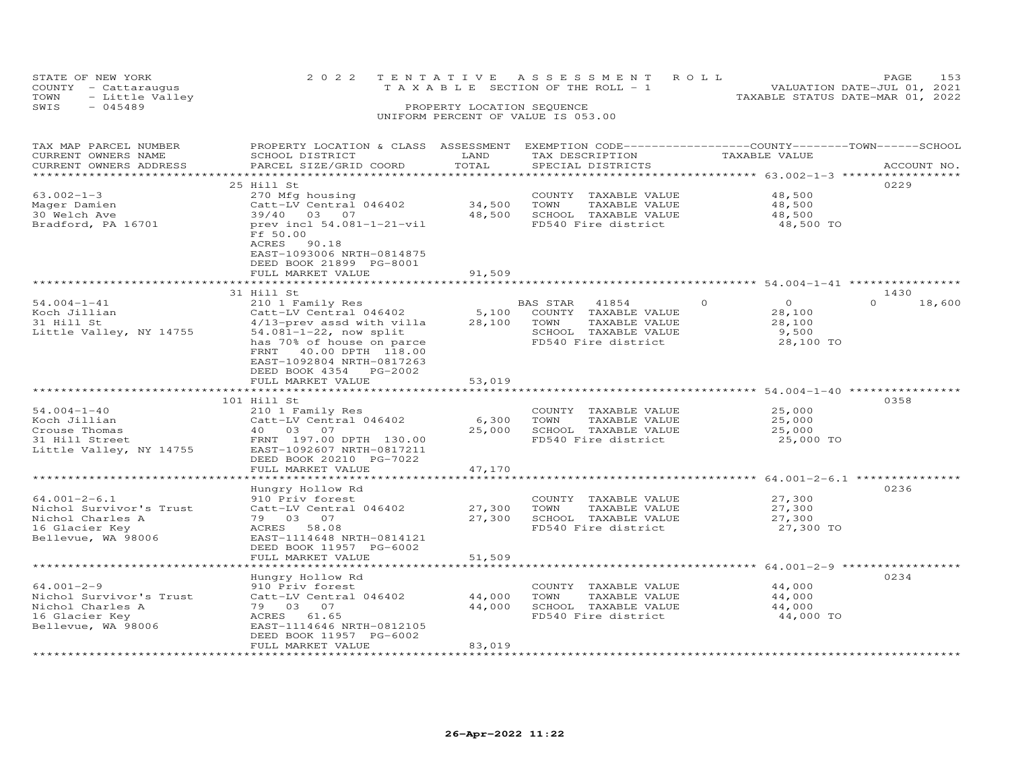|                                    | 153<br>PAGE                                                             |
|------------------------------------|-------------------------------------------------------------------------|
|                                    | VALUATION DATE-JUL 01, 2021                                             |
|                                    | TAXABLE STATUS DATE-MAR 01, 2022                                        |
| PROPERTY LOCATION SEQUENCE         |                                                                         |
| UNIFORM PERCENT OF VALUE IS 053.00 |                                                                         |
|                                    |                                                                         |
|                                    | 2022 TENTATIVE ASSESSMENT ROLL<br>T A X A B L E SECTION OF THE ROLL - 1 |

| TAX MAP PARCEL NUMBER<br>CURRENT OWNERS NAME<br>CURRENT OWNERS ADDRESS                                    | PROPERTY LOCATION & CLASS ASSESSMENT<br>SCHOOL DISTRICT<br>PARCEL SIZE/GRID COORD                                                                                                            | LAND<br>TOTAL                         | EXEMPTION CODE-----------------COUNTY-------TOWN-----SCHOOL<br>TAX DESCRIPTION<br>SPECIAL DISTRICTS            | TAXABLE VALUE                                                        | ACCOUNT NO.        |
|-----------------------------------------------------------------------------------------------------------|----------------------------------------------------------------------------------------------------------------------------------------------------------------------------------------------|---------------------------------------|----------------------------------------------------------------------------------------------------------------|----------------------------------------------------------------------|--------------------|
| ********************                                                                                      |                                                                                                                                                                                              |                                       |                                                                                                                |                                                                      |                    |
| $63.002 - 1 - 3$<br>Mager Damien<br>30 Welch Ave<br>Bradford, PA 16701                                    | 25 Hill St<br>270 Mfg housing<br>Catt-LV Central 046402<br>39/40 03 07<br>prev incl 54.081-1-21-vil<br>Ff 50.00                                                                              | 34,500<br>48,500                      | COUNTY TAXABLE VALUE<br>TAXABLE VALUE<br>TOWN<br>SCHOOL TAXABLE VALUE<br>FD540 Fire district                   | 48,500<br>48,500<br>48,500<br>48,500 TO                              | 0229               |
|                                                                                                           | ACRES<br>90.18<br>EAST-1093006 NRTH-0814875<br>DEED BOOK 21899 PG-8001<br>FULL MARKET VALUE<br>***********************                                                                       | 91,509<br>* * * * * * * * * * * * * * |                                                                                                                | ********************************* 54.004-1-41 ***********            |                    |
|                                                                                                           | 31 Hill St                                                                                                                                                                                   |                                       |                                                                                                                |                                                                      | 1430               |
| $54.004 - 1 - 41$<br>Koch Jillian<br>31 Hill St<br>Little Valley, NY 14755                                | 210 1 Family Res<br>Catt-LV Central 046402<br>4/13-prev assd with villa<br>$54.081 - 1 - 22$ , now split<br>has 70% of house on parce<br>FRNT 40.00 DPTH 118.00<br>EAST-1092804 NRTH-0817263 | 5,100<br>28,100                       | BAS STAR 41854<br>COUNTY TAXABLE VALUE<br>TOWN<br>TAXABLE VALUE<br>SCHOOL TAXABLE VALUE<br>FD540 Fire district | $\overline{O}$<br>$\Omega$<br>28,100<br>28,100<br>9,500<br>28,100 TO | $\Omega$<br>18,600 |
|                                                                                                           | DEED BOOK 4354 PG-2002<br>FULL MARKET VALUE<br>************************                                                                                                                      | 53,019                                |                                                                                                                |                                                                      |                    |
|                                                                                                           | 101 Hill St                                                                                                                                                                                  |                                       |                                                                                                                |                                                                      | 0358               |
| $54.004 - 1 - 40$<br>Koch Jillian<br>Crouse Thomas<br>31 Hill Street<br>Little Valley, NY 14755           | 210 1 Family Res<br>Catt-LV Central 046402<br>40 03 07<br>FRNT 197.00 DPTH 130.00<br>EAST-1092607 NRTH-0817211<br>DEED BOOK 20210 PG-7022<br>FULL MARKET VALUE                               | 6,300<br>25,000<br>47,170             | COUNTY TAXABLE VALUE<br>TAXABLE VALUE<br>TOWN<br>SCHOOL TAXABLE VALUE<br>FD540 Fire district                   | 25,000<br>25,000<br>25,000<br>25,000 TO                              |                    |
|                                                                                                           |                                                                                                                                                                                              |                                       |                                                                                                                |                                                                      |                    |
| $64.001 - 2 - 6.1$<br>Nichol Survivor's Trust<br>Nichol Charles A<br>16 Glacier Key<br>Bellevue, WA 98006 | Hungry Hollow Rd<br>910 Priv forest<br>Catt-LV Central 046402<br>79 03 07<br>ACRES 58.08<br>EAST-1114648 NRTH-0814121<br>DEED BOOK 11957 PG-6002<br>FULL MARKET VALUE                        | 27,300<br>27,300<br>51,509            | COUNTY TAXABLE VALUE<br>TAXABLE VALUE<br>TOWN<br>SCHOOL TAXABLE VALUE<br>FD540 Fire district                   | 27,300<br>27,300<br>27,300<br>27,300 TO                              | 0236               |
|                                                                                                           |                                                                                                                                                                                              |                                       |                                                                                                                | ******************************** 64.001-2-9 ***************          |                    |
| $64.001 - 2 - 9$<br>Nichol Survivor's Trust<br>Nichol Charles A<br>16 Glacier Key<br>Bellevue, WA 98006   | Hungry Hollow Rd<br>910 Priv forest<br>Catt-LV Central 046402<br>79 03 07<br>ACRES 61.65<br>EAST-1114646 NRTH-0812105<br>DEED BOOK 11957 PG-6002                                             | 44,000<br>44,000                      | COUNTY TAXABLE VALUE<br>TOWN<br>TAXABLE VALUE<br>SCHOOL TAXABLE VALUE<br>FD540 Fire district                   | 44,000<br>44,000<br>44,000<br>44,000 TO                              | 0234               |
|                                                                                                           | FULL MARKET VALUE                                                                                                                                                                            | 83,019                                |                                                                                                                |                                                                      |                    |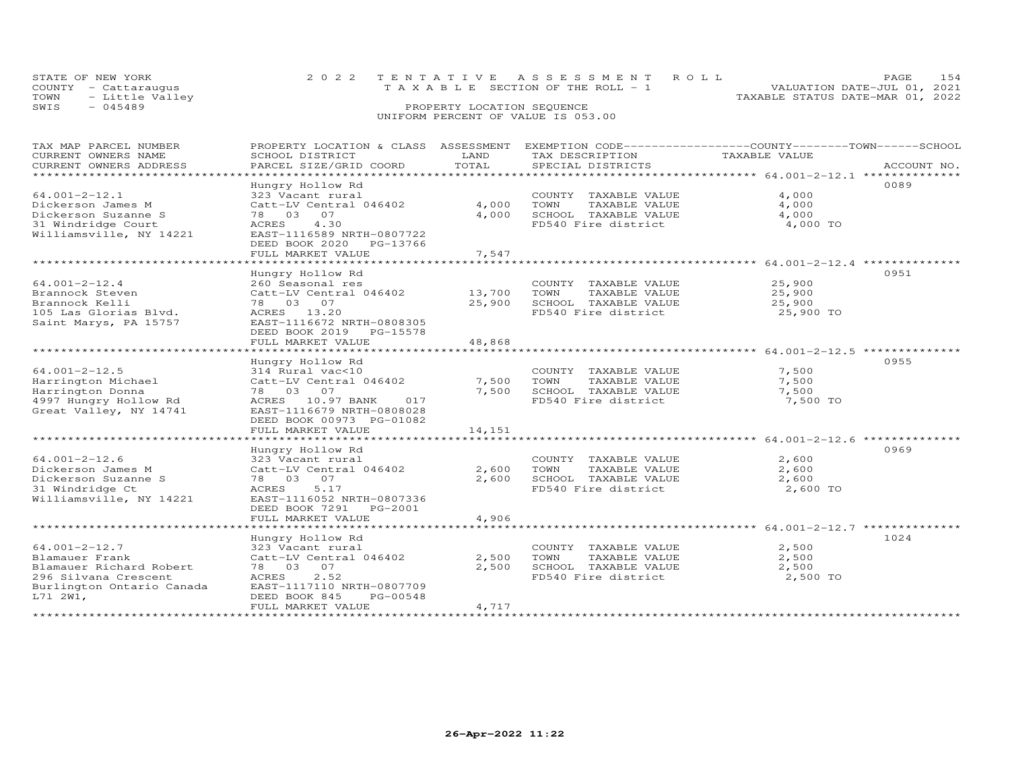| STATE OF NEW YORK    | 2022 TENTATIVE ASSESSMENT ROLL        | 1.54<br><b>PAGE</b>              |
|----------------------|---------------------------------------|----------------------------------|
| COUNTY - Cattarauqus | T A X A B L E SECTION OF THE ROLL - 1 | VALUATION DATE-JUL 01, 2021      |
| TOWN - Little Valley |                                       | TAXABLE STATUS DATE-MAR 01, 2022 |
| SWIS<br>- 045489     | PROPERTY LOCATION SEQUENCE            |                                  |
|                      | UNIFORM PERCENT OF VALUE IS 053.00    |                                  |

| TAX MAP PARCEL NUMBER<br>CURRENT OWNERS NAME<br>CURRENT OWNERS ADDRESS<br>**********************                                                                           | PROPERTY LOCATION & CLASS ASSESSMENT<br>SCHOOL DISTRICT<br>PARCEL SIZE/GRID COORD                                                                                                   | LAND<br>TOTAL              | EXEMPTION CODE------------------COUNTY-------TOWN------SCHOOL<br>TAX DESCRIPTION<br>SPECIAL DISTRICTS | TAXABLE VALUE                           | ACCOUNT NO. |
|----------------------------------------------------------------------------------------------------------------------------------------------------------------------------|-------------------------------------------------------------------------------------------------------------------------------------------------------------------------------------|----------------------------|-------------------------------------------------------------------------------------------------------|-----------------------------------------|-------------|
| $64.001 - 2 - 12.1$<br>Dickerson James M<br>Dickerson Suzanne S<br>31 Windridge Court<br>Williamsville, NY 14221                                                           | Hungry Hollow Rd<br>323 Vacant rural<br>Catt-LV Central 046402<br>78 03 07<br>4.30<br>ACRES<br>EAST-1116589 NRTH-0807722<br>DEED BOOK 2020<br>PG-13766<br>FULL MARKET VALUE         | 4,000<br>4,000<br>7,547    | COUNTY TAXABLE VALUE<br>TOWN<br>TAXABLE VALUE<br>SCHOOL TAXABLE VALUE<br>FD540 Fire district          | 4,000<br>4,000<br>4,000<br>4,000 TO     | 0089        |
| $64.001 - 2 - 12.4$<br>Brannock Steven<br>Brannock Kelli<br>105 Las Glorias Blyd.<br>Saint Marys, PA 15757                                                                 | Hungry Hollow Rd<br>260 Seasonal res<br>Catt-LV Central 046402<br>78 03 07<br>ACRES 13.20<br>EAST-1116672 NRTH-0808305<br>DEED BOOK 2019 PG-15578<br>FULL MARKET VALUE              | 13,700<br>25,900<br>48,868 | COUNTY TAXABLE VALUE<br>TOWN<br>TAXABLE VALUE<br>SCHOOL TAXABLE VALUE<br>FD540 Fire district          | 25,900<br>25,900<br>25,900<br>25,900 TO | 0951        |
| $64.001 - 2 - 12.5$<br>Harrington Michael<br>Harrington Donna<br>4997 Hungry Hollow Rd<br>Great Valley, NY 14741                                                           | Hungry Hollow Rd<br>314 Rural vac<10<br>Catt-LV Central 046402<br>78 03 07<br>ACRES 10.97 BANK<br>017<br>EAST-1116679 NRTH-0808028<br>DEED BOOK 00973 PG-01082<br>FULL MARKET VALUE | 7,500<br>7,500<br>14,151   | COUNTY TAXABLE VALUE<br>TOWN<br>TAXABLE VALUE<br>SCHOOL TAXABLE VALUE<br>FD540 Fire district          | 7,500<br>7,500<br>7,500<br>7,500 TO     | 0955        |
| $64.001 - 2 - 12.6$<br>Dickerson James M<br>Dickerson Suzanne S<br>31 Windridge Ct<br>Williamsville, NY 14221<br>************************                                  | Hungry Hollow Rd<br>323 Vacant rural<br>Catt-LV Central 046402<br>78 03 07<br>ACRES<br>5.17<br>EAST-1116052 NRTH-0807336<br>DEED BOOK 7291<br>PG-2001<br>FULL MARKET VALUE          | 2,600<br>2,600<br>4,906    | COUNTY TAXABLE VALUE<br>TOWN<br>TAXABLE VALUE<br>SCHOOL TAXABLE VALUE<br>FD540 Fire district          | 2,600<br>2,600<br>2,600<br>2,600 TO     | 0969        |
| $64.001 - 2 - 12.7$<br>Blamauer Frank<br>Blamauer Richard Robert<br>296 Silvana Crescent<br>Burlington Ontario Canada<br>L71 2W1,<br>* * * * * * * * * * * * * * * * * * * | Hungry Hollow Rd<br>323 Vacant rural<br>Catt-LV Central 046402<br>78 03 07<br>2.52<br>ACRES<br>EAST-1117110 NRTH-0807709<br>DEED BOOK 845<br>PG-00548<br>FULL MARKET VALUE          | 2,500<br>2,500<br>4,717    | COUNTY TAXABLE VALUE<br>TOWN<br>TAXABLE VALUE<br>SCHOOL TAXABLE VALUE<br>FD540 Fire district          | 2,500<br>2,500<br>2,500<br>2,500 TO     | 1024        |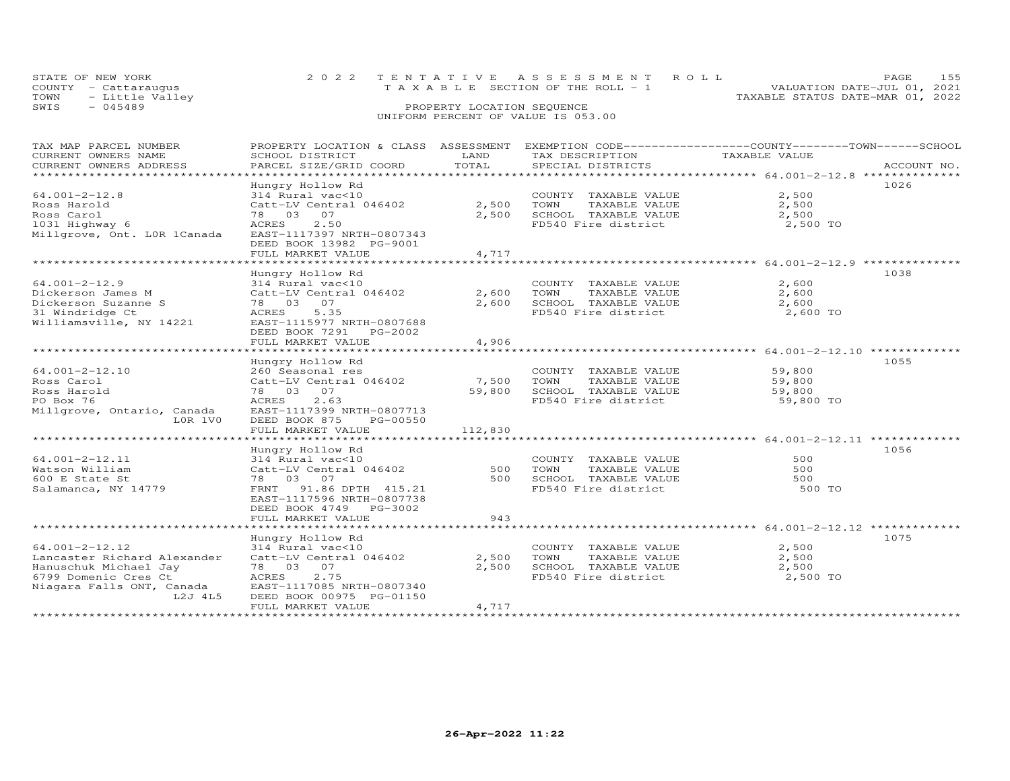| STATE OF NEW YORK    | 2022 TENTATIVE ASSESSMENT ROLL        | PAGE.                            |
|----------------------|---------------------------------------|----------------------------------|
| COUNTY - Cattarauqus | T A X A B L E SECTION OF THE ROLL - 1 | VALUATION DATE-JUL 01, 2021      |
| TOWN - Little Valley |                                       | TAXABLE STATUS DATE-MAR 01, 2022 |
| SWIS<br>$-045489$    | PROPERTY LOCATION SEQUENCE            |                                  |
|                      | UNIFORM PERCENT OF VALUE IS 053.00    |                                  |

| TAX MAP PARCEL NUMBER       | PROPERTY LOCATION & CLASS ASSESSMENT EXEMPTION CODE---------------COUNTY-------TOWN------SCHOOL |         |                       |               |             |
|-----------------------------|-------------------------------------------------------------------------------------------------|---------|-----------------------|---------------|-------------|
| CURRENT OWNERS NAME         | SCHOOL DISTRICT                                                                                 | LAND    | TAX DESCRIPTION       | TAXABLE VALUE |             |
| CURRENT OWNERS ADDRESS      | PARCEL SIZE/GRID COORD                                                                          | TOTAL   | SPECIAL DISTRICTS     |               | ACCOUNT NO. |
|                             |                                                                                                 |         |                       |               |             |
|                             | Hungry Hollow Rd                                                                                |         |                       |               | 1026        |
| $64.001 - 2 - 12.8$         | 314 Rural vac<10                                                                                |         | COUNTY TAXABLE VALUE  | 2,500         |             |
| Ross Harold                 | Catt-LV Central 046402                                                                          | 2,500   | TOWN<br>TAXABLE VALUE | 2,500         |             |
| Ross Carol                  | 78 03 07                                                                                        | 2,500   | SCHOOL TAXABLE VALUE  | 2,500         |             |
| 1031 Highway 6              | 2.50<br>ACRES                                                                                   |         | FD540 Fire district   | 2,500 TO      |             |
| Millgrove, Ont. LOR 1Canada | EAST-1117397 NRTH-0807343                                                                       |         |                       |               |             |
|                             | DEED BOOK 13982 PG-9001                                                                         |         |                       |               |             |
|                             |                                                                                                 |         |                       |               |             |
|                             | FULL MARKET VALUE                                                                               | 4,717   |                       |               |             |
|                             |                                                                                                 |         |                       |               |             |
|                             | Hungry Hollow Rd                                                                                |         |                       |               | 1038        |
| $64.001 - 2 - 12.9$         | 314 Rural vac<10                                                                                |         | COUNTY TAXABLE VALUE  | 2,600         |             |
| Dickerson James M           | Catt-LV Central 046402                                                                          | 2,600   | TAXABLE VALUE<br>TOWN | 2,600         |             |
| Dickerson Suzanne S         | 78 03 07                                                                                        | 2,600   | SCHOOL TAXABLE VALUE  | 2,600         |             |
| 31 Windridge Ct             | ACRES 5.35                                                                                      |         | FD540 Fire district   | 2,600 TO      |             |
| Williamsville, NY 14221     | EAST-1115977 NRTH-0807688                                                                       |         |                       |               |             |
|                             | DEED BOOK 7291 PG-2002                                                                          |         |                       |               |             |
|                             | FULL MARKET VALUE                                                                               | 4,906   |                       |               |             |
|                             |                                                                                                 |         |                       |               |             |
|                             | Hungry Hollow Rd                                                                                |         |                       |               | 1055        |
| $64.001 - 2 - 12.10$        | 260 Seasonal res                                                                                |         | COUNTY TAXABLE VALUE  | 59,800        |             |
| Ross Carol                  | Catt-LV Central 046402                                                                          | 7,500   | TOWN<br>TAXABLE VALUE | 59,800        |             |
| Ross Harold                 | 78 03 07                                                                                        | 59,800  | SCHOOL TAXABLE VALUE  | 59,800        |             |
| PO Box 76                   | ACRES 2.63                                                                                      |         | FD540 Fire district   | 59,800 TO     |             |
| Millgrove, Ontario, Canada  | EAST-1117399 NRTH-0807713                                                                       |         |                       |               |             |
| LOR 1VO                     | DEED BOOK 875<br>PG-00550                                                                       |         |                       |               |             |
|                             | FULL MARKET VALUE                                                                               | 112,830 |                       |               |             |
|                             |                                                                                                 |         |                       |               |             |
|                             |                                                                                                 |         |                       |               |             |
|                             | Hungry Hollow Rd                                                                                |         |                       |               | 1056        |
| $64.001 - 2 - 12.11$        | 314 Rural vac<10                                                                                |         | COUNTY TAXABLE VALUE  | 500           |             |
| Watson William              | Catt-LV Central 046402                                                                          | 500     | TOWN<br>TAXABLE VALUE | 500           |             |
| 600 E State St              | 78 03 07                                                                                        | 500     | SCHOOL TAXABLE VALUE  | 500           |             |
| Salamanca, NY 14779         | FRNT 91.86 DPTH 415.21                                                                          |         | FD540 Fire district   | 500 TO        |             |
|                             | EAST-1117596 NRTH-0807738                                                                       |         |                       |               |             |
|                             | DEED BOOK 4749 PG-3002                                                                          |         |                       |               |             |
|                             | FULL MARKET VALUE                                                                               | 943     |                       |               |             |
|                             |                                                                                                 |         |                       |               |             |
|                             | Hungry Hollow Rd                                                                                |         |                       |               | 1075        |
| 64.001-2-12.12              | 314 Rural vac<10                                                                                |         | COUNTY TAXABLE VALUE  | 2,500         |             |
| Lancaster Richard Alexander | Catt-LV Central 046402                                                                          | 2,500   | TOWN<br>TAXABLE VALUE | 2,500         |             |
| Hanuschuk Michael Jay       | 78 03 07                                                                                        | 2,500   | SCHOOL TAXABLE VALUE  | 2,500         |             |
| 6799 Domenic Cres Ct        | ACRES<br>2.75                                                                                   |         | FD540 Fire district   | 2,500 TO      |             |
| Niagara Falls ONT, Canada   | EAST-1117085 NRTH-0807340                                                                       |         |                       |               |             |
| L2J 4L5                     | DEED BOOK 00975 PG-01150                                                                        |         |                       |               |             |
|                             | FULL MARKET VALUE                                                                               | 4,717   |                       |               |             |
|                             |                                                                                                 |         |                       |               |             |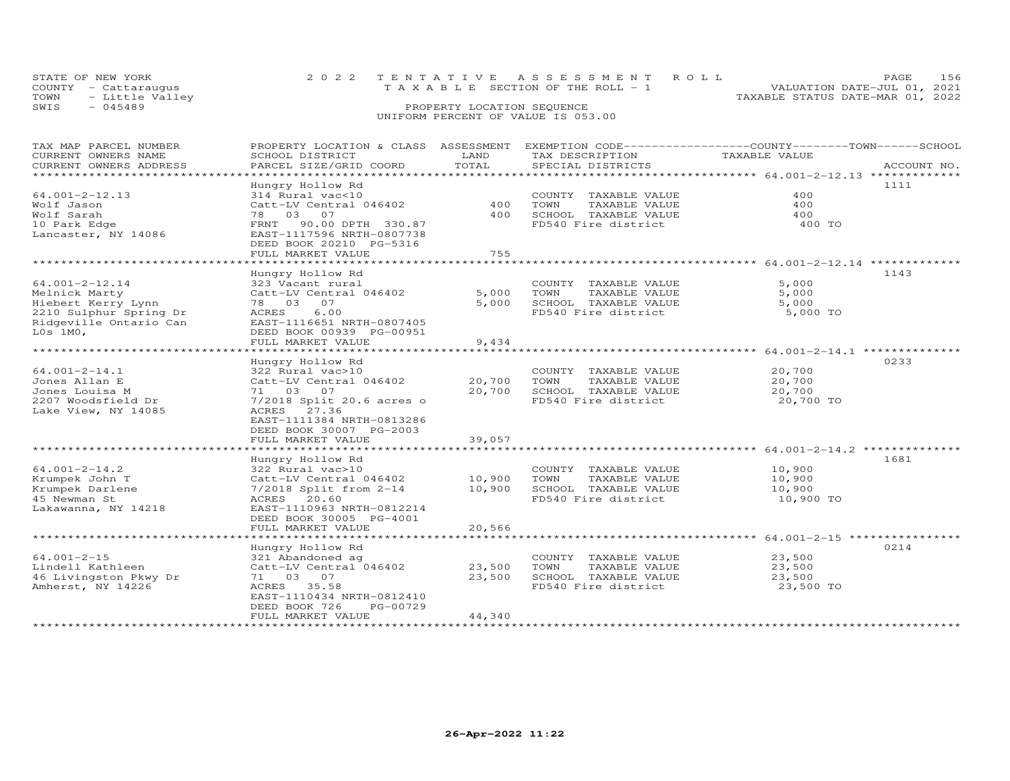| STATE OF NEW YORK       | 2022 TENTATIVE ASSESSMENT ROLL        |                                  | <b>PAGE</b> |  |
|-------------------------|---------------------------------------|----------------------------------|-------------|--|
| COUNTY - Cattarauqus    | T A X A B L E SECTION OF THE ROLL - 1 | VALUATION DATE-JUL 01, 2021      |             |  |
| TOWN<br>- Little Valley |                                       | TAXABLE STATUS DATE-MAR 01, 2022 |             |  |
| SWIS<br>- 045489        | PROPERTY LOCATION SEQUENCE            |                                  |             |  |
|                         | UNIFORM PERCENT OF VALUE IS 053.00    |                                  |             |  |

| TAX MAP PARCEL NUMBER  | PROPERTY LOCATION & CLASS ASSESSMENT |                |                       | EXEMPTION CODE-----------------COUNTY-------TOWN------SCHOOL |
|------------------------|--------------------------------------|----------------|-----------------------|--------------------------------------------------------------|
| CURRENT OWNERS NAME    | SCHOOL DISTRICT                      | LAND           | TAX DESCRIPTION       | TAXABLE VALUE                                                |
| CURRENT OWNERS ADDRESS | PARCEL SIZE/GRID COORD               | TOTAL          | SPECIAL DISTRICTS     | ACCOUNT NO.                                                  |
| ********************   |                                      |                |                       |                                                              |
|                        | Hungry Hollow Rd                     |                |                       | 1111                                                         |
| $64.001 - 2 - 12.13$   | 314 Rural vac<10                     |                | COUNTY TAXABLE VALUE  | 400                                                          |
|                        |                                      | 400            |                       |                                                              |
| Wolf Jason             | Catt-LV Central 046402               |                | TOWN<br>TAXABLE VALUE | 400                                                          |
| Wolf Sarah             | 78 03<br>07                          | 400            | SCHOOL TAXABLE VALUE  | 400                                                          |
| 10 Park Edge           | 90.00 DPTH 330.87<br>FRNT            |                | FD540 Fire district   | 400 TO                                                       |
| Lancaster, NY 14086    | EAST-1117596 NRTH-0807738            |                |                       |                                                              |
|                        | DEED BOOK 20210 PG-5316              |                |                       |                                                              |
|                        | FULL MARKET VALUE                    | 755            |                       |                                                              |
|                        |                                      |                |                       |                                                              |
|                        | Hungry Hollow Rd                     |                |                       | 1143                                                         |
| $64.001 - 2 - 12.14$   | 323 Vacant rural                     |                | COUNTY TAXABLE VALUE  | 5,000                                                        |
|                        |                                      |                |                       |                                                              |
| Melnick Marty          | Catt-LV Central 046402               | 5,000          | TAXABLE VALUE<br>TOWN | 5,000                                                        |
| Hiebert Kerry Lynn     | 78 03 07                             | 5,000          | SCHOOL TAXABLE VALUE  | 5,000                                                        |
| 2210 Sulphur Spring Dr | ACRES<br>6.00                        |                | FD540 Fire district   | 5,000 TO                                                     |
| Ridgeville Ontario Can | EAST-1116651 NRTH-0807405            |                |                       |                                                              |
| $L0s$ 1M $0$ ,         | DEED BOOK 00939 PG-00951             |                |                       |                                                              |
|                        | FULL MARKET VALUE                    | 9,434          |                       |                                                              |
|                        | *******************************      | ************** |                       |                                                              |
|                        | Hungry Hollow Rd                     |                |                       | 0233                                                         |
|                        |                                      |                |                       |                                                              |
| $64.001 - 2 - 14.1$    | 322 Rural vac>10                     |                | COUNTY TAXABLE VALUE  | 20,700                                                       |
| Jones Allan E          | Catt-LV Central 046402               | 20,700         | TOWN<br>TAXABLE VALUE | 20,700                                                       |
| Jones Louisa M         | 71 03 07                             | 20,700         | SCHOOL TAXABLE VALUE  | 20,700                                                       |
| 2207 Woodsfield Dr     | 7/2018 Split 20.6 acres o            |                | FD540 Fire district   | 20,700 TO                                                    |
| Lake View, NY 14085    | ACRES 27.36                          |                |                       |                                                              |
|                        | EAST-1111384 NRTH-0813286            |                |                       |                                                              |
|                        | DEED BOOK 30007 PG-2003              |                |                       |                                                              |
|                        | FULL MARKET VALUE                    | 39,057         |                       |                                                              |
|                        | *******************************      |                |                       |                                                              |
|                        |                                      |                |                       |                                                              |
|                        | Hungry Hollow Rd                     |                |                       | 1681                                                         |
| $64.001 - 2 - 14.2$    | 322 Rural vac>10                     |                | COUNTY TAXABLE VALUE  | 10,900                                                       |
| Krumpek John T         | Catt-LV Central 046402               | 10,900         | TAXABLE VALUE<br>TOWN | 10,900                                                       |
| Krumpek Darlene        | 7/2018 Split from 2-14               | 10,900         | SCHOOL TAXABLE VALUE  | 10,900                                                       |
| 45 Newman St           | ACRES 20.60                          |                | FD540 Fire district   | 10,900 TO                                                    |
| Lakawanna, NY 14218    | EAST-1110963 NRTH-0812214            |                |                       |                                                              |
|                        |                                      |                |                       |                                                              |
|                        | DEED BOOK 30005 PG-4001              |                |                       |                                                              |
|                        | FULL MARKET VALUE                    | 20,566         |                       |                                                              |
|                        |                                      |                |                       |                                                              |
|                        | Hungry Hollow Rd                     |                |                       | 0214                                                         |
| $64.001 - 2 - 15$      | 321 Abandoned ag                     |                | COUNTY TAXABLE VALUE  | 23,500                                                       |
| Lindell Kathleen       | Catt-LV Central 046402               | 23,500         | TOWN<br>TAXABLE VALUE | 23,500                                                       |
| 46 Livingston Pkwy Dr  | 71 03<br>07                          | 23,500         | SCHOOL TAXABLE VALUE  | 23,500                                                       |
| Amherst, NY 14226      | ACRES 35.58                          |                | FD540 Fire district   | 23,500 TO                                                    |
|                        |                                      |                |                       |                                                              |
|                        | EAST-1110434 NRTH-0812410            |                |                       |                                                              |
|                        | DEED BOOK 726<br>PG-00729            |                |                       |                                                              |
|                        | FULL MARKET VALUE                    | 44,340         |                       |                                                              |
|                        |                                      |                |                       |                                                              |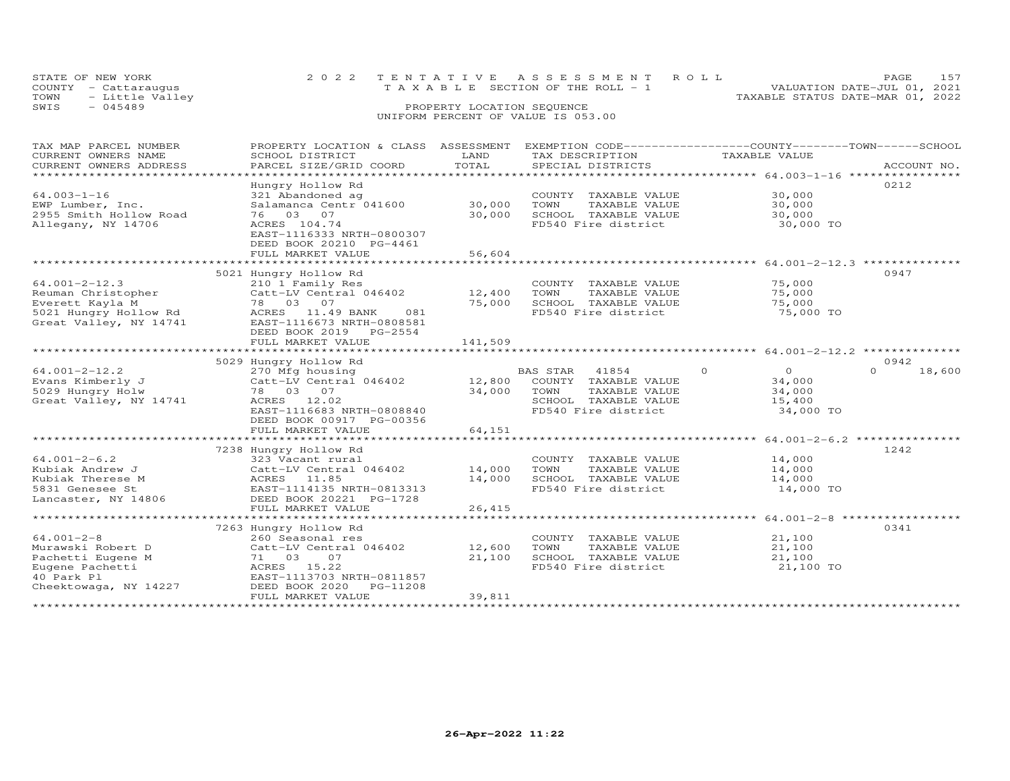|      | STATE OF NEW YORK    | 2022 TENTATIVE ASSESSMENT ROLL        | 157<br><b>PAGE</b>               |
|------|----------------------|---------------------------------------|----------------------------------|
|      | COUNTY - Cattaraugus | T A X A B L E SECTION OF THE ROLL - 1 | VALUATION DATE-JUL 01, 2021      |
| TOWN | - Little Valley      |                                       | TAXABLE STATUS DATE-MAR 01, 2022 |
| SWIS | $-045489$            | PROPERTY LOCATION SEQUENCE            |                                  |
|      |                      | UNIFORM PERCENT OF VALUE IS 053.00    |                                  |

| CURRENT OWNERS NAME<br>SCHOOL DISTRICT<br>LAND<br>TAX DESCRIPTION<br>TAXABLE VALUE<br>TOTAL<br>CURRENT OWNERS ADDRESS<br>PARCEL SIZE/GRID COORD<br>SPECIAL DISTRICTS<br>ACCOUNT NO.<br>************<br>Hungry Hollow Rd<br>0212<br>30,000<br>$64.003 - 1 - 16$<br>321 Abandoned ag<br>COUNTY TAXABLE VALUE<br>30,000<br>30,000<br>EWP Lumber, Inc.<br>Salamanca Centr 041600<br>TOWN<br>TAXABLE VALUE<br>2955 Smith Hollow Road<br>76 03<br>07<br>30,000<br>SCHOOL TAXABLE VALUE<br>30,000<br>FD540 Fire district<br>Allegany, NY 14706<br>ACRES 104.74<br>30,000 TO<br>EAST-1116333 NRTH-0800307<br>DEED BOOK 20210 PG-4461<br>FULL MARKET VALUE<br>56,604<br>****************** 64.001-2-12.3 *********<br>0947<br>5021 Hungry Hollow Rd<br>$64.001 - 2 - 12.3$<br>75,000<br>210 1 Family Res<br>COUNTY TAXABLE VALUE<br>Reuman Christopher<br>Catt-LV Central 046402<br>12,400<br>TOWN<br>TAXABLE VALUE<br>75,000<br>75,000<br>75,000<br>Everett Kayla M<br>78 03 07<br>SCHOOL TAXABLE VALUE<br>5021 Hungry Hollow Rd<br>FD540 Fire district<br>ACRES 11.49 BANK<br>081<br>75,000 TO<br>Great Valley, NY 14741<br>EAST-1116673 NRTH-0808581<br>DEED BOOK 2019<br>PG-2554<br>141,509<br>FULL MARKET VALUE<br>5029 Hungry Hollow Rd<br>0942<br>$\circ$<br>$\overline{0}$<br>$\Omega$<br>18,600<br>$64.001 - 2 - 12.2$<br>270 Mfg housing<br>BAS STAR<br>41854<br>12,800<br>Catt-LV Central 046402<br>34,000<br>Evans Kimberly J<br>COUNTY TAXABLE VALUE<br>5029 Hungry Holw<br>78 03 07<br>34,000<br>TOWN<br>TAXABLE VALUE<br>34,000<br>Great Valley, NY 14741<br>ACRES 12.02<br>SCHOOL TAXABLE VALUE<br>15,400<br>EAST-1116683 NRTH-0808840<br>FD540 Fire district<br>34,000 TO<br>DEED BOOK 00917 PG-00356<br>64,151<br>FULL MARKET VALUE<br>*************<br>****************** 64.001-2-6.2 ****************<br>7238 Hungry Hollow Rd<br>1242<br>$64.001 - 2 - 6.2$<br>323 Vacant rural<br>COUNTY TAXABLE VALUE<br>14,000<br>Kubiak Andrew J<br>Catt-LV Central 046402<br>14,000<br>TOWN<br>TAXABLE VALUE<br>14,000<br>14,000<br>ACRES 11.85<br>SCHOOL TAXABLE VALUE<br>14,000<br>Kubiak Therese M<br>FD540 Fire district<br>14,000 TO<br>5831 Genesee St<br>EAST-1114135 NRTH-0813313<br>DEED BOOK 20221 PG-1728<br>FULL MARKET VALUE<br>26,415<br>7263 Hungry Hollow Rd<br>0341<br>$64.001 - 2 - 8$<br>21,100<br>260 Seasonal res<br>COUNTY TAXABLE VALUE<br>12,600<br>TOWN<br>TAXABLE VALUE<br>21,100<br>Catt-LV Central 046402<br>Pachetti Eugene M<br>21,100<br>SCHOOL TAXABLE VALUE<br>21,100<br>71 03<br>07<br>FD540 Fire district<br>Eugene Pachetti<br>ACRES 15.22<br>21,100 TO<br>40 Park Pl<br>EAST-1113703 NRTH-0811857<br>Cheektowaga, NY 14227<br>DEED BOOK 2020<br>PG-11208<br>39,811<br>FULL MARKET VALUE | TAX MAP PARCEL NUMBER | PROPERTY LOCATION & CLASS | ASSESSMENT | EXEMPTION CODE-----------------COUNTY-------TOWN------SCHOOL |  |
|--------------------------------------------------------------------------------------------------------------------------------------------------------------------------------------------------------------------------------------------------------------------------------------------------------------------------------------------------------------------------------------------------------------------------------------------------------------------------------------------------------------------------------------------------------------------------------------------------------------------------------------------------------------------------------------------------------------------------------------------------------------------------------------------------------------------------------------------------------------------------------------------------------------------------------------------------------------------------------------------------------------------------------------------------------------------------------------------------------------------------------------------------------------------------------------------------------------------------------------------------------------------------------------------------------------------------------------------------------------------------------------------------------------------------------------------------------------------------------------------------------------------------------------------------------------------------------------------------------------------------------------------------------------------------------------------------------------------------------------------------------------------------------------------------------------------------------------------------------------------------------------------------------------------------------------------------------------------------------------------------------------------------------------------------------------------------------------------------------------------------------------------------------------------------------------------------------------------------------------------------------------------------------------------------------------------------------------------------------------------------------------------------------------------------------------------------------------------------------------------------------------------------------------------------------------------------------------------------------------------------------------------------------------------------------------------------------------------------------|-----------------------|---------------------------|------------|--------------------------------------------------------------|--|
|                                                                                                                                                                                                                                                                                                                                                                                                                                                                                                                                                                                                                                                                                                                                                                                                                                                                                                                                                                                                                                                                                                                                                                                                                                                                                                                                                                                                                                                                                                                                                                                                                                                                                                                                                                                                                                                                                                                                                                                                                                                                                                                                                                                                                                                                                                                                                                                                                                                                                                                                                                                                                                                                                                                                |                       |                           |            |                                                              |  |
|                                                                                                                                                                                                                                                                                                                                                                                                                                                                                                                                                                                                                                                                                                                                                                                                                                                                                                                                                                                                                                                                                                                                                                                                                                                                                                                                                                                                                                                                                                                                                                                                                                                                                                                                                                                                                                                                                                                                                                                                                                                                                                                                                                                                                                                                                                                                                                                                                                                                                                                                                                                                                                                                                                                                |                       |                           |            |                                                              |  |
|                                                                                                                                                                                                                                                                                                                                                                                                                                                                                                                                                                                                                                                                                                                                                                                                                                                                                                                                                                                                                                                                                                                                                                                                                                                                                                                                                                                                                                                                                                                                                                                                                                                                                                                                                                                                                                                                                                                                                                                                                                                                                                                                                                                                                                                                                                                                                                                                                                                                                                                                                                                                                                                                                                                                |                       |                           |            |                                                              |  |
|                                                                                                                                                                                                                                                                                                                                                                                                                                                                                                                                                                                                                                                                                                                                                                                                                                                                                                                                                                                                                                                                                                                                                                                                                                                                                                                                                                                                                                                                                                                                                                                                                                                                                                                                                                                                                                                                                                                                                                                                                                                                                                                                                                                                                                                                                                                                                                                                                                                                                                                                                                                                                                                                                                                                |                       |                           |            |                                                              |  |
|                                                                                                                                                                                                                                                                                                                                                                                                                                                                                                                                                                                                                                                                                                                                                                                                                                                                                                                                                                                                                                                                                                                                                                                                                                                                                                                                                                                                                                                                                                                                                                                                                                                                                                                                                                                                                                                                                                                                                                                                                                                                                                                                                                                                                                                                                                                                                                                                                                                                                                                                                                                                                                                                                                                                |                       |                           |            |                                                              |  |
|                                                                                                                                                                                                                                                                                                                                                                                                                                                                                                                                                                                                                                                                                                                                                                                                                                                                                                                                                                                                                                                                                                                                                                                                                                                                                                                                                                                                                                                                                                                                                                                                                                                                                                                                                                                                                                                                                                                                                                                                                                                                                                                                                                                                                                                                                                                                                                                                                                                                                                                                                                                                                                                                                                                                |                       |                           |            |                                                              |  |
|                                                                                                                                                                                                                                                                                                                                                                                                                                                                                                                                                                                                                                                                                                                                                                                                                                                                                                                                                                                                                                                                                                                                                                                                                                                                                                                                                                                                                                                                                                                                                                                                                                                                                                                                                                                                                                                                                                                                                                                                                                                                                                                                                                                                                                                                                                                                                                                                                                                                                                                                                                                                                                                                                                                                |                       |                           |            |                                                              |  |
|                                                                                                                                                                                                                                                                                                                                                                                                                                                                                                                                                                                                                                                                                                                                                                                                                                                                                                                                                                                                                                                                                                                                                                                                                                                                                                                                                                                                                                                                                                                                                                                                                                                                                                                                                                                                                                                                                                                                                                                                                                                                                                                                                                                                                                                                                                                                                                                                                                                                                                                                                                                                                                                                                                                                |                       |                           |            |                                                              |  |
|                                                                                                                                                                                                                                                                                                                                                                                                                                                                                                                                                                                                                                                                                                                                                                                                                                                                                                                                                                                                                                                                                                                                                                                                                                                                                                                                                                                                                                                                                                                                                                                                                                                                                                                                                                                                                                                                                                                                                                                                                                                                                                                                                                                                                                                                                                                                                                                                                                                                                                                                                                                                                                                                                                                                |                       |                           |            |                                                              |  |
|                                                                                                                                                                                                                                                                                                                                                                                                                                                                                                                                                                                                                                                                                                                                                                                                                                                                                                                                                                                                                                                                                                                                                                                                                                                                                                                                                                                                                                                                                                                                                                                                                                                                                                                                                                                                                                                                                                                                                                                                                                                                                                                                                                                                                                                                                                                                                                                                                                                                                                                                                                                                                                                                                                                                |                       |                           |            |                                                              |  |
|                                                                                                                                                                                                                                                                                                                                                                                                                                                                                                                                                                                                                                                                                                                                                                                                                                                                                                                                                                                                                                                                                                                                                                                                                                                                                                                                                                                                                                                                                                                                                                                                                                                                                                                                                                                                                                                                                                                                                                                                                                                                                                                                                                                                                                                                                                                                                                                                                                                                                                                                                                                                                                                                                                                                |                       |                           |            |                                                              |  |
|                                                                                                                                                                                                                                                                                                                                                                                                                                                                                                                                                                                                                                                                                                                                                                                                                                                                                                                                                                                                                                                                                                                                                                                                                                                                                                                                                                                                                                                                                                                                                                                                                                                                                                                                                                                                                                                                                                                                                                                                                                                                                                                                                                                                                                                                                                                                                                                                                                                                                                                                                                                                                                                                                                                                |                       |                           |            |                                                              |  |
|                                                                                                                                                                                                                                                                                                                                                                                                                                                                                                                                                                                                                                                                                                                                                                                                                                                                                                                                                                                                                                                                                                                                                                                                                                                                                                                                                                                                                                                                                                                                                                                                                                                                                                                                                                                                                                                                                                                                                                                                                                                                                                                                                                                                                                                                                                                                                                                                                                                                                                                                                                                                                                                                                                                                |                       |                           |            |                                                              |  |
|                                                                                                                                                                                                                                                                                                                                                                                                                                                                                                                                                                                                                                                                                                                                                                                                                                                                                                                                                                                                                                                                                                                                                                                                                                                                                                                                                                                                                                                                                                                                                                                                                                                                                                                                                                                                                                                                                                                                                                                                                                                                                                                                                                                                                                                                                                                                                                                                                                                                                                                                                                                                                                                                                                                                |                       |                           |            |                                                              |  |
|                                                                                                                                                                                                                                                                                                                                                                                                                                                                                                                                                                                                                                                                                                                                                                                                                                                                                                                                                                                                                                                                                                                                                                                                                                                                                                                                                                                                                                                                                                                                                                                                                                                                                                                                                                                                                                                                                                                                                                                                                                                                                                                                                                                                                                                                                                                                                                                                                                                                                                                                                                                                                                                                                                                                |                       |                           |            |                                                              |  |
|                                                                                                                                                                                                                                                                                                                                                                                                                                                                                                                                                                                                                                                                                                                                                                                                                                                                                                                                                                                                                                                                                                                                                                                                                                                                                                                                                                                                                                                                                                                                                                                                                                                                                                                                                                                                                                                                                                                                                                                                                                                                                                                                                                                                                                                                                                                                                                                                                                                                                                                                                                                                                                                                                                                                |                       |                           |            |                                                              |  |
|                                                                                                                                                                                                                                                                                                                                                                                                                                                                                                                                                                                                                                                                                                                                                                                                                                                                                                                                                                                                                                                                                                                                                                                                                                                                                                                                                                                                                                                                                                                                                                                                                                                                                                                                                                                                                                                                                                                                                                                                                                                                                                                                                                                                                                                                                                                                                                                                                                                                                                                                                                                                                                                                                                                                |                       |                           |            |                                                              |  |
|                                                                                                                                                                                                                                                                                                                                                                                                                                                                                                                                                                                                                                                                                                                                                                                                                                                                                                                                                                                                                                                                                                                                                                                                                                                                                                                                                                                                                                                                                                                                                                                                                                                                                                                                                                                                                                                                                                                                                                                                                                                                                                                                                                                                                                                                                                                                                                                                                                                                                                                                                                                                                                                                                                                                |                       |                           |            |                                                              |  |
|                                                                                                                                                                                                                                                                                                                                                                                                                                                                                                                                                                                                                                                                                                                                                                                                                                                                                                                                                                                                                                                                                                                                                                                                                                                                                                                                                                                                                                                                                                                                                                                                                                                                                                                                                                                                                                                                                                                                                                                                                                                                                                                                                                                                                                                                                                                                                                                                                                                                                                                                                                                                                                                                                                                                |                       |                           |            |                                                              |  |
|                                                                                                                                                                                                                                                                                                                                                                                                                                                                                                                                                                                                                                                                                                                                                                                                                                                                                                                                                                                                                                                                                                                                                                                                                                                                                                                                                                                                                                                                                                                                                                                                                                                                                                                                                                                                                                                                                                                                                                                                                                                                                                                                                                                                                                                                                                                                                                                                                                                                                                                                                                                                                                                                                                                                |                       |                           |            |                                                              |  |
|                                                                                                                                                                                                                                                                                                                                                                                                                                                                                                                                                                                                                                                                                                                                                                                                                                                                                                                                                                                                                                                                                                                                                                                                                                                                                                                                                                                                                                                                                                                                                                                                                                                                                                                                                                                                                                                                                                                                                                                                                                                                                                                                                                                                                                                                                                                                                                                                                                                                                                                                                                                                                                                                                                                                |                       |                           |            |                                                              |  |
|                                                                                                                                                                                                                                                                                                                                                                                                                                                                                                                                                                                                                                                                                                                                                                                                                                                                                                                                                                                                                                                                                                                                                                                                                                                                                                                                                                                                                                                                                                                                                                                                                                                                                                                                                                                                                                                                                                                                                                                                                                                                                                                                                                                                                                                                                                                                                                                                                                                                                                                                                                                                                                                                                                                                |                       |                           |            |                                                              |  |
|                                                                                                                                                                                                                                                                                                                                                                                                                                                                                                                                                                                                                                                                                                                                                                                                                                                                                                                                                                                                                                                                                                                                                                                                                                                                                                                                                                                                                                                                                                                                                                                                                                                                                                                                                                                                                                                                                                                                                                                                                                                                                                                                                                                                                                                                                                                                                                                                                                                                                                                                                                                                                                                                                                                                |                       |                           |            |                                                              |  |
|                                                                                                                                                                                                                                                                                                                                                                                                                                                                                                                                                                                                                                                                                                                                                                                                                                                                                                                                                                                                                                                                                                                                                                                                                                                                                                                                                                                                                                                                                                                                                                                                                                                                                                                                                                                                                                                                                                                                                                                                                                                                                                                                                                                                                                                                                                                                                                                                                                                                                                                                                                                                                                                                                                                                |                       |                           |            |                                                              |  |
|                                                                                                                                                                                                                                                                                                                                                                                                                                                                                                                                                                                                                                                                                                                                                                                                                                                                                                                                                                                                                                                                                                                                                                                                                                                                                                                                                                                                                                                                                                                                                                                                                                                                                                                                                                                                                                                                                                                                                                                                                                                                                                                                                                                                                                                                                                                                                                                                                                                                                                                                                                                                                                                                                                                                |                       |                           |            |                                                              |  |
|                                                                                                                                                                                                                                                                                                                                                                                                                                                                                                                                                                                                                                                                                                                                                                                                                                                                                                                                                                                                                                                                                                                                                                                                                                                                                                                                                                                                                                                                                                                                                                                                                                                                                                                                                                                                                                                                                                                                                                                                                                                                                                                                                                                                                                                                                                                                                                                                                                                                                                                                                                                                                                                                                                                                |                       |                           |            |                                                              |  |
|                                                                                                                                                                                                                                                                                                                                                                                                                                                                                                                                                                                                                                                                                                                                                                                                                                                                                                                                                                                                                                                                                                                                                                                                                                                                                                                                                                                                                                                                                                                                                                                                                                                                                                                                                                                                                                                                                                                                                                                                                                                                                                                                                                                                                                                                                                                                                                                                                                                                                                                                                                                                                                                                                                                                |                       |                           |            |                                                              |  |
|                                                                                                                                                                                                                                                                                                                                                                                                                                                                                                                                                                                                                                                                                                                                                                                                                                                                                                                                                                                                                                                                                                                                                                                                                                                                                                                                                                                                                                                                                                                                                                                                                                                                                                                                                                                                                                                                                                                                                                                                                                                                                                                                                                                                                                                                                                                                                                                                                                                                                                                                                                                                                                                                                                                                |                       |                           |            |                                                              |  |
|                                                                                                                                                                                                                                                                                                                                                                                                                                                                                                                                                                                                                                                                                                                                                                                                                                                                                                                                                                                                                                                                                                                                                                                                                                                                                                                                                                                                                                                                                                                                                                                                                                                                                                                                                                                                                                                                                                                                                                                                                                                                                                                                                                                                                                                                                                                                                                                                                                                                                                                                                                                                                                                                                                                                |                       |                           |            |                                                              |  |
|                                                                                                                                                                                                                                                                                                                                                                                                                                                                                                                                                                                                                                                                                                                                                                                                                                                                                                                                                                                                                                                                                                                                                                                                                                                                                                                                                                                                                                                                                                                                                                                                                                                                                                                                                                                                                                                                                                                                                                                                                                                                                                                                                                                                                                                                                                                                                                                                                                                                                                                                                                                                                                                                                                                                |                       |                           |            |                                                              |  |
|                                                                                                                                                                                                                                                                                                                                                                                                                                                                                                                                                                                                                                                                                                                                                                                                                                                                                                                                                                                                                                                                                                                                                                                                                                                                                                                                                                                                                                                                                                                                                                                                                                                                                                                                                                                                                                                                                                                                                                                                                                                                                                                                                                                                                                                                                                                                                                                                                                                                                                                                                                                                                                                                                                                                |                       |                           |            |                                                              |  |
|                                                                                                                                                                                                                                                                                                                                                                                                                                                                                                                                                                                                                                                                                                                                                                                                                                                                                                                                                                                                                                                                                                                                                                                                                                                                                                                                                                                                                                                                                                                                                                                                                                                                                                                                                                                                                                                                                                                                                                                                                                                                                                                                                                                                                                                                                                                                                                                                                                                                                                                                                                                                                                                                                                                                |                       |                           |            |                                                              |  |
|                                                                                                                                                                                                                                                                                                                                                                                                                                                                                                                                                                                                                                                                                                                                                                                                                                                                                                                                                                                                                                                                                                                                                                                                                                                                                                                                                                                                                                                                                                                                                                                                                                                                                                                                                                                                                                                                                                                                                                                                                                                                                                                                                                                                                                                                                                                                                                                                                                                                                                                                                                                                                                                                                                                                |                       |                           |            |                                                              |  |
|                                                                                                                                                                                                                                                                                                                                                                                                                                                                                                                                                                                                                                                                                                                                                                                                                                                                                                                                                                                                                                                                                                                                                                                                                                                                                                                                                                                                                                                                                                                                                                                                                                                                                                                                                                                                                                                                                                                                                                                                                                                                                                                                                                                                                                                                                                                                                                                                                                                                                                                                                                                                                                                                                                                                |                       |                           |            |                                                              |  |
|                                                                                                                                                                                                                                                                                                                                                                                                                                                                                                                                                                                                                                                                                                                                                                                                                                                                                                                                                                                                                                                                                                                                                                                                                                                                                                                                                                                                                                                                                                                                                                                                                                                                                                                                                                                                                                                                                                                                                                                                                                                                                                                                                                                                                                                                                                                                                                                                                                                                                                                                                                                                                                                                                                                                |                       |                           |            |                                                              |  |
|                                                                                                                                                                                                                                                                                                                                                                                                                                                                                                                                                                                                                                                                                                                                                                                                                                                                                                                                                                                                                                                                                                                                                                                                                                                                                                                                                                                                                                                                                                                                                                                                                                                                                                                                                                                                                                                                                                                                                                                                                                                                                                                                                                                                                                                                                                                                                                                                                                                                                                                                                                                                                                                                                                                                |                       |                           |            |                                                              |  |
|                                                                                                                                                                                                                                                                                                                                                                                                                                                                                                                                                                                                                                                                                                                                                                                                                                                                                                                                                                                                                                                                                                                                                                                                                                                                                                                                                                                                                                                                                                                                                                                                                                                                                                                                                                                                                                                                                                                                                                                                                                                                                                                                                                                                                                                                                                                                                                                                                                                                                                                                                                                                                                                                                                                                | Lancaster, NY 14806   |                           |            |                                                              |  |
|                                                                                                                                                                                                                                                                                                                                                                                                                                                                                                                                                                                                                                                                                                                                                                                                                                                                                                                                                                                                                                                                                                                                                                                                                                                                                                                                                                                                                                                                                                                                                                                                                                                                                                                                                                                                                                                                                                                                                                                                                                                                                                                                                                                                                                                                                                                                                                                                                                                                                                                                                                                                                                                                                                                                |                       |                           |            |                                                              |  |
|                                                                                                                                                                                                                                                                                                                                                                                                                                                                                                                                                                                                                                                                                                                                                                                                                                                                                                                                                                                                                                                                                                                                                                                                                                                                                                                                                                                                                                                                                                                                                                                                                                                                                                                                                                                                                                                                                                                                                                                                                                                                                                                                                                                                                                                                                                                                                                                                                                                                                                                                                                                                                                                                                                                                |                       |                           |            |                                                              |  |
|                                                                                                                                                                                                                                                                                                                                                                                                                                                                                                                                                                                                                                                                                                                                                                                                                                                                                                                                                                                                                                                                                                                                                                                                                                                                                                                                                                                                                                                                                                                                                                                                                                                                                                                                                                                                                                                                                                                                                                                                                                                                                                                                                                                                                                                                                                                                                                                                                                                                                                                                                                                                                                                                                                                                |                       |                           |            |                                                              |  |
|                                                                                                                                                                                                                                                                                                                                                                                                                                                                                                                                                                                                                                                                                                                                                                                                                                                                                                                                                                                                                                                                                                                                                                                                                                                                                                                                                                                                                                                                                                                                                                                                                                                                                                                                                                                                                                                                                                                                                                                                                                                                                                                                                                                                                                                                                                                                                                                                                                                                                                                                                                                                                                                                                                                                |                       |                           |            |                                                              |  |
|                                                                                                                                                                                                                                                                                                                                                                                                                                                                                                                                                                                                                                                                                                                                                                                                                                                                                                                                                                                                                                                                                                                                                                                                                                                                                                                                                                                                                                                                                                                                                                                                                                                                                                                                                                                                                                                                                                                                                                                                                                                                                                                                                                                                                                                                                                                                                                                                                                                                                                                                                                                                                                                                                                                                | Murawski Robert D     |                           |            |                                                              |  |
|                                                                                                                                                                                                                                                                                                                                                                                                                                                                                                                                                                                                                                                                                                                                                                                                                                                                                                                                                                                                                                                                                                                                                                                                                                                                                                                                                                                                                                                                                                                                                                                                                                                                                                                                                                                                                                                                                                                                                                                                                                                                                                                                                                                                                                                                                                                                                                                                                                                                                                                                                                                                                                                                                                                                |                       |                           |            |                                                              |  |
|                                                                                                                                                                                                                                                                                                                                                                                                                                                                                                                                                                                                                                                                                                                                                                                                                                                                                                                                                                                                                                                                                                                                                                                                                                                                                                                                                                                                                                                                                                                                                                                                                                                                                                                                                                                                                                                                                                                                                                                                                                                                                                                                                                                                                                                                                                                                                                                                                                                                                                                                                                                                                                                                                                                                |                       |                           |            |                                                              |  |
|                                                                                                                                                                                                                                                                                                                                                                                                                                                                                                                                                                                                                                                                                                                                                                                                                                                                                                                                                                                                                                                                                                                                                                                                                                                                                                                                                                                                                                                                                                                                                                                                                                                                                                                                                                                                                                                                                                                                                                                                                                                                                                                                                                                                                                                                                                                                                                                                                                                                                                                                                                                                                                                                                                                                |                       |                           |            |                                                              |  |
|                                                                                                                                                                                                                                                                                                                                                                                                                                                                                                                                                                                                                                                                                                                                                                                                                                                                                                                                                                                                                                                                                                                                                                                                                                                                                                                                                                                                                                                                                                                                                                                                                                                                                                                                                                                                                                                                                                                                                                                                                                                                                                                                                                                                                                                                                                                                                                                                                                                                                                                                                                                                                                                                                                                                |                       |                           |            |                                                              |  |
|                                                                                                                                                                                                                                                                                                                                                                                                                                                                                                                                                                                                                                                                                                                                                                                                                                                                                                                                                                                                                                                                                                                                                                                                                                                                                                                                                                                                                                                                                                                                                                                                                                                                                                                                                                                                                                                                                                                                                                                                                                                                                                                                                                                                                                                                                                                                                                                                                                                                                                                                                                                                                                                                                                                                |                       |                           |            |                                                              |  |
|                                                                                                                                                                                                                                                                                                                                                                                                                                                                                                                                                                                                                                                                                                                                                                                                                                                                                                                                                                                                                                                                                                                                                                                                                                                                                                                                                                                                                                                                                                                                                                                                                                                                                                                                                                                                                                                                                                                                                                                                                                                                                                                                                                                                                                                                                                                                                                                                                                                                                                                                                                                                                                                                                                                                |                       |                           |            |                                                              |  |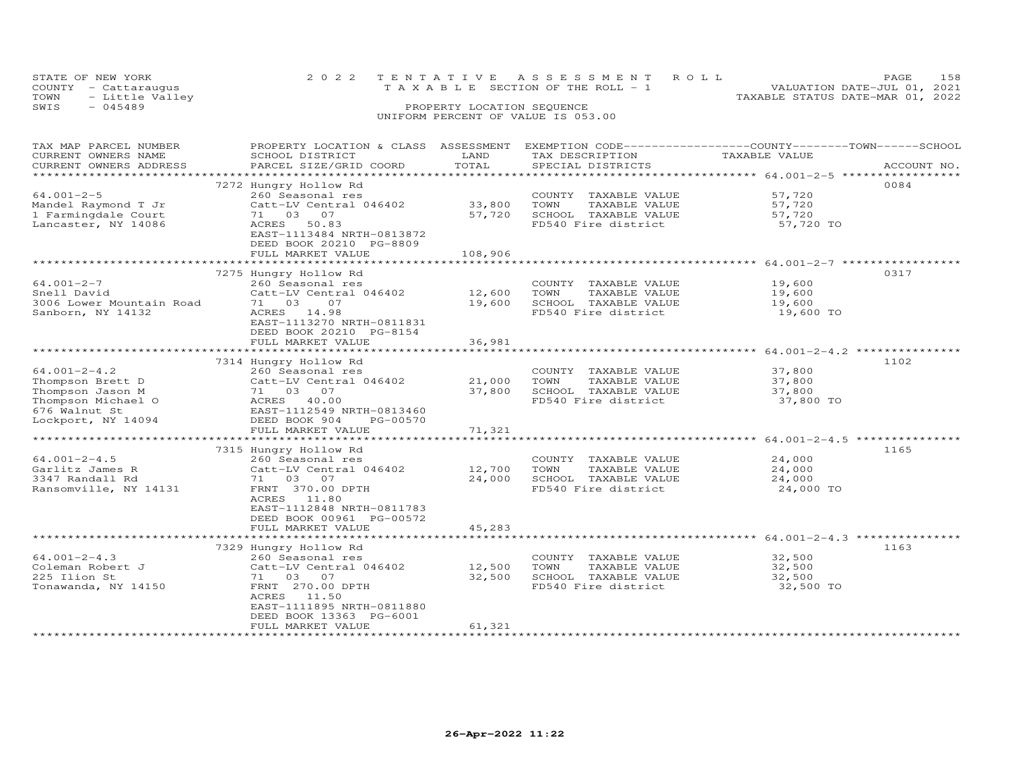| STATE OF NEW YORK    | 2022 TENTATIVE ASSESSMENT ROLL     |                                  | PAGE                        | 158 |
|----------------------|------------------------------------|----------------------------------|-----------------------------|-----|
| COUNTY - Cattaraugus | TAXABLE SECTION OF THE ROLL - 1    |                                  | VALUATION DATE-JUL 01, 2021 |     |
| TOWN - Little Valley |                                    | TAXABLE STATUS DATE-MAR 01, 2022 |                             |     |
| SWIS<br>- 045489     | PROPERTY LOCATION SEQUENCE         |                                  |                             |     |
|                      | UNIFORM PERCENT OF VALUE IS 053.00 |                                  |                             |     |

| TAX MAP PARCEL NUMBER<br>CURRENT OWNERS NAME                                                                            | PROPERTY LOCATION & CLASS ASSESSMENT EXEMPTION CODE---------------COUNTY-------TOWN-----SCHOOL<br>SCHOOL DISTRICT                                                                               | LAND                        | TAX DESCRIPTION                                                                              | TAXABLE VALUE                           |             |
|-------------------------------------------------------------------------------------------------------------------------|-------------------------------------------------------------------------------------------------------------------------------------------------------------------------------------------------|-----------------------------|----------------------------------------------------------------------------------------------|-----------------------------------------|-------------|
| CURRENT OWNERS ADDRESS<br>***********************                                                                       | PARCEL SIZE/GRID COORD                                                                                                                                                                          | TOTAL                       | SPECIAL DISTRICTS                                                                            |                                         | ACCOUNT NO. |
|                                                                                                                         |                                                                                                                                                                                                 |                             |                                                                                              |                                         |             |
| $64.001 - 2 - 5$<br>Mandel Raymond T Jr<br>1 Farmingdale Court<br>Lancaster, NY 14086                                   | 7272 Hungry Hollow Rd<br>260 Seasonal res<br>Catt-LV Central 046402<br>71 03 07<br>ACRES<br>50.83<br>EAST-1113484 NRTH-0813872<br>DEED BOOK 20210 PG-8809<br>FULL MARKET VALUE                  | 33,800<br>57,720<br>108,906 | COUNTY TAXABLE VALUE<br>TOWN<br>TAXABLE VALUE<br>SCHOOL TAXABLE VALUE<br>FD540 Fire district | 57,720<br>57,720<br>57,720<br>57,720 TO | 0084        |
|                                                                                                                         |                                                                                                                                                                                                 |                             |                                                                                              |                                         |             |
| 64.001-2-7<br>Snell David<br>3006 Lower Mountain Road<br>Sanborn, NY 14132                                              | 7275 Hungry Hollow Rd<br>260 Seasonal res<br>Catt-LV Central 046402<br>71 03<br>07<br>ACRES 14.98<br>EAST-1113270 NRTH-0811831<br>DEED BOOK 20210 PG-8154                                       | 12,600<br>19,600            | COUNTY TAXABLE VALUE<br>TAXABLE VALUE<br>TOWN<br>SCHOOL TAXABLE VALUE<br>FD540 Fire district | 19,600<br>19,600<br>19,600<br>19,600 TO | 0317        |
|                                                                                                                         | FULL MARKET VALUE                                                                                                                                                                               | 36,981                      |                                                                                              |                                         |             |
|                                                                                                                         | 7314 Hungry Hollow Rd                                                                                                                                                                           |                             |                                                                                              |                                         | 1102        |
| $64.001 - 2 - 4.2$<br>Thompson Brett D<br>Thompson Jason M<br>Thompson Michael O<br>676 Walnut St<br>Lockport, NY 14094 | 260 Seasonal res<br>Catt-LV Central 046402<br>71 03 07<br>ACRES 40.00<br>EAST-1112549 NRTH-0813460<br>DEED BOOK 904<br>PG-00570<br>FULL MARKET VALUE                                            | 21,000<br>37,800<br>71,321  | COUNTY TAXABLE VALUE<br>TOWN<br>TAXABLE VALUE<br>SCHOOL TAXABLE VALUE<br>FD540 Fire district | 37,800<br>37,800<br>37,800<br>37,800 TO |             |
|                                                                                                                         |                                                                                                                                                                                                 |                             |                                                                                              |                                         |             |
| $64.001 - 2 - 4.5$<br>Garlitz James R<br>3347 Randall Rd<br>Ransomville, NY 14131                                       | 7315 Hungry Hollow Rd<br>260 Seasonal res<br>Catt-LV Central 046402<br>71 03 07<br>FRNT 370.00 DPTH<br>ACRES 11.80<br>EAST-1112848 NRTH-0811783<br>DEED BOOK 00961 PG-00572                     | 12,700<br>24,000            | COUNTY TAXABLE VALUE<br>TAXABLE VALUE<br>TOWN<br>SCHOOL TAXABLE VALUE<br>FD540 Fire district | 24,000<br>24,000<br>24,000<br>24,000 TO | 1165        |
|                                                                                                                         | FULL MARKET VALUE                                                                                                                                                                               | 45,283                      |                                                                                              |                                         |             |
|                                                                                                                         |                                                                                                                                                                                                 |                             |                                                                                              |                                         |             |
| $64.001 - 2 - 4.3$<br>Coleman Robert J<br>225 Ilion St<br>Tonawanda, NY 14150                                           | 7329 Hungry Hollow Rd<br>260 Seasonal res<br>Catt-LV Central 046402<br>71 03 07<br>FRNT 270.00 DPTH<br>ACRES 11.50<br>EAST-1111895 NRTH-0811880<br>DEED BOOK 13363 PG-6001<br>FULL MARKET VALUE | 12,500<br>32,500<br>61,321  | COUNTY TAXABLE VALUE<br>TOWN<br>TAXABLE VALUE<br>SCHOOL TAXABLE VALUE<br>FD540 Fire district | 32,500<br>32,500<br>32,500<br>32,500 TO | 1163        |
|                                                                                                                         | *************************                                                                                                                                                                       |                             |                                                                                              |                                         |             |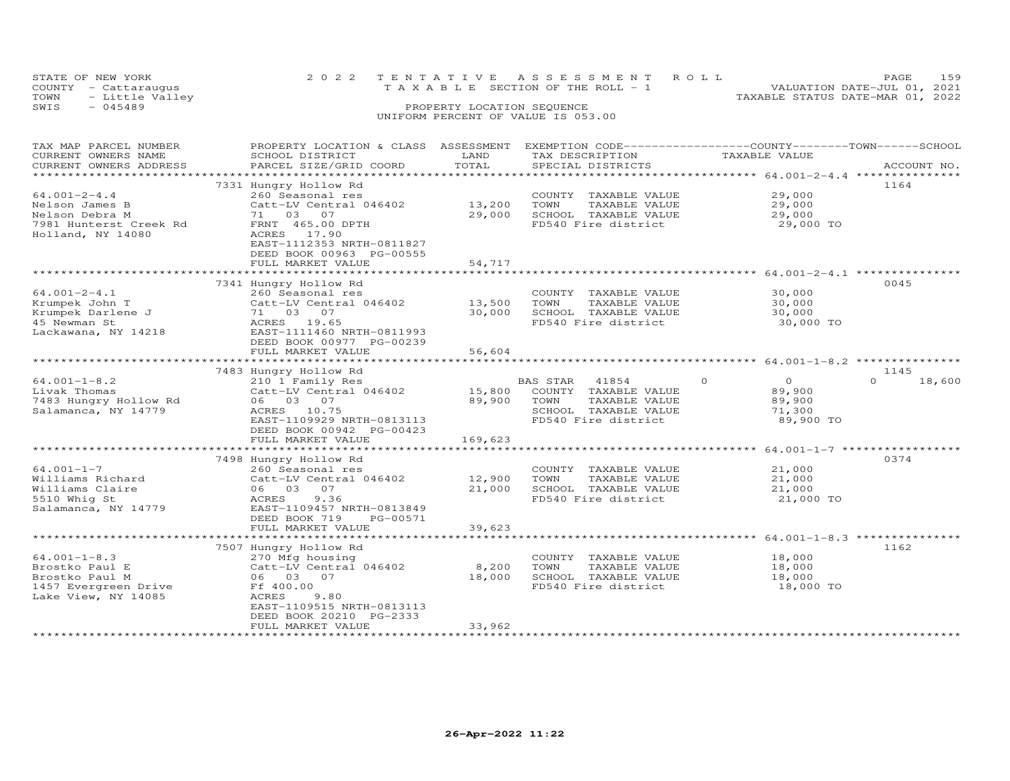| STATE OF NEW YORK       |  | 2022 TENTATIVE ASSESSMENT ROLL     |  | PAGE                             | 159 |
|-------------------------|--|------------------------------------|--|----------------------------------|-----|
| COUNTY - Cattaraugus    |  | TAXABLE SECTION OF THE ROLL - 1    |  | VALUATION DATE-JUL 01, 2021      |     |
| TOWN<br>- Little Valley |  |                                    |  | TAXABLE STATUS DATE-MAR 01, 2022 |     |
| SWIS<br>$-045489$       |  |                                    |  |                                  |     |
|                         |  | UNIFORM PERCENT OF VALUE IS 053.00 |  |                                  |     |

| TAX MAP PARCEL NUMBER               | PROPERTY LOCATION & CLASS ASSESSMENT EXEMPTION CODE----------------COUNTY-------TOWN------SCHOOL |                  |                                       |                                                           |                    |
|-------------------------------------|--------------------------------------------------------------------------------------------------|------------------|---------------------------------------|-----------------------------------------------------------|--------------------|
| CURRENT OWNERS NAME                 | SCHOOL DISTRICT                                                                                  | LAND             | TAX DESCRIPTION                       | TAXABLE VALUE                                             |                    |
| CURRENT OWNERS ADDRESS              | PARCEL SIZE/GRID COORD                                                                           | TOTAL            | SPECIAL DISTRICTS                     |                                                           | ACCOUNT NO.        |
|                                     | **************************                                                                       |                  |                                       |                                                           |                    |
|                                     | 7331 Hungry Hollow Rd                                                                            |                  |                                       |                                                           | 1164               |
| $64.001 - 2 - 4.4$                  | 260 Seasonal res                                                                                 |                  | COUNTY TAXABLE VALUE                  | 29,000                                                    |                    |
| Nelson James B                      | Catt-LV Central 046402                                                                           | 13,200           | TOWN<br>TAXABLE VALUE                 | 29,000                                                    |                    |
| Nelson Debra M                      | 71 03 07                                                                                         | 29,000           | SCHOOL TAXABLE VALUE                  | 29,000                                                    |                    |
| 7981 Hunterst Creek Rd              | FRNT 465.00 DPTH                                                                                 |                  | FD540 Fire district                   | 29,000 TO                                                 |                    |
| Holland, NY 14080                   | ACRES 17.90                                                                                      |                  |                                       |                                                           |                    |
|                                     | EAST-1112353 NRTH-0811827                                                                        |                  |                                       |                                                           |                    |
|                                     | DEED BOOK 00963 PG-00555                                                                         |                  |                                       |                                                           |                    |
|                                     | FULL MARKET VALUE                                                                                | 54,717           |                                       |                                                           |                    |
|                                     |                                                                                                  |                  |                                       |                                                           |                    |
|                                     | 7341 Hungry Hollow Rd                                                                            |                  |                                       |                                                           | 0045               |
| $64.001 - 2 - 4.1$                  | 260 Seasonal res                                                                                 |                  | COUNTY TAXABLE VALUE                  | 30,000                                                    |                    |
| Krumpek John T                      | Catt-LV Central 046402                                                                           | 13,500           | TOWN<br>TAXABLE VALUE                 | 30,000                                                    |                    |
| Krumpek Darlene J                   | 71 03 07                                                                                         | 30,000           | SCHOOL TAXABLE VALUE                  | 30,000                                                    |                    |
| 45 Newman St                        | ACRES 19.65                                                                                      |                  | FD540 Fire district                   | 30,000 TO                                                 |                    |
| Lackawana, NY 14218                 | EAST-1111460 NRTH-0811993                                                                        |                  |                                       |                                                           |                    |
|                                     | DEED BOOK 00977 PG-00239                                                                         |                  |                                       |                                                           |                    |
|                                     | FULL MARKET VALUE                                                                                | 56,604           |                                       |                                                           |                    |
|                                     |                                                                                                  |                  |                                       |                                                           |                    |
|                                     | 7483 Hungry Hollow Rd                                                                            |                  |                                       |                                                           | 1145               |
| $64.001 - 1 - 8.2$                  | 210 1 Family Res                                                                                 |                  | BAS STAR<br>41854                     | $\Omega$<br>$\Omega$                                      | $\Omega$<br>18,600 |
| Livak Thomas                        | Catt-LV Central 046402                                                                           | 15,800           | COUNTY TAXABLE VALUE                  | 89,900                                                    |                    |
| 7483 Hungry Hollow Rd               | 06 03 07                                                                                         | 89,900           | TAXABLE VALUE<br>TOWN                 | 89,900                                                    |                    |
| Salamanca, NY 14779                 | ACRES 10.75                                                                                      |                  | SCHOOL TAXABLE VALUE                  | 71,300                                                    |                    |
|                                     | EAST-1109929 NRTH-0813113                                                                        |                  | FD540 Fire district                   | 89,900 TO                                                 |                    |
|                                     | DEED BOOK 00942 PG-00423                                                                         |                  |                                       |                                                           |                    |
|                                     | FULL MARKET VALUE                                                                                | 169,623          |                                       |                                                           |                    |
|                                     |                                                                                                  |                  |                                       |                                                           |                    |
|                                     | 7498 Hungry Hollow Rd                                                                            |                  |                                       |                                                           | 0374               |
| $64.001 - 1 - 7$                    | 260 Seasonal res                                                                                 |                  | COUNTY TAXABLE VALUE<br>TOWN          | 21,000                                                    |                    |
| Williams Richard<br>Williams Claire | Catt-LV Central 046402<br>06 03 07                                                               | 12,900<br>21,000 | TAXABLE VALUE<br>SCHOOL TAXABLE VALUE | 21,000<br>21,000                                          |                    |
|                                     | ACRES<br>9.36                                                                                    |                  | FD540 Fire district                   |                                                           |                    |
| 5510 Whig St<br>Salamanca, NY 14779 | EAST-1109457 NRTH-0813849                                                                        |                  |                                       | 21,000 TO                                                 |                    |
|                                     | DEED BOOK 719<br>PG-00571                                                                        |                  |                                       |                                                           |                    |
|                                     | FULL MARKET VALUE                                                                                | 39,623           |                                       |                                                           |                    |
|                                     |                                                                                                  | **************   |                                       | ******************************** 64.001-1-8.3 *********** |                    |
|                                     | 7507 Hungry Hollow Rd                                                                            |                  |                                       |                                                           | 1162               |
| $64.001 - 1 - 8.3$                  | 270 Mfg housing                                                                                  |                  | COUNTY TAXABLE VALUE                  | 18,000                                                    |                    |
| Brostko Paul E                      | Catt-LV Central 046402                                                                           | 8,200            | TOWN<br>TAXABLE VALUE                 | 18,000                                                    |                    |
| Brostko Paul M                      | 06 03 07                                                                                         | 18,000           | SCHOOL TAXABLE VALUE                  | 18,000                                                    |                    |
| 1457 Evergreen Drive                | Ff 400.00                                                                                        |                  | FD540 Fire district                   | 18,000 TO                                                 |                    |
| Lake View, NY 14085                 | ACRES<br>9.80                                                                                    |                  |                                       |                                                           |                    |
|                                     | EAST-1109515 NRTH-0813113                                                                        |                  |                                       |                                                           |                    |
|                                     | DEED BOOK 20210 PG-2333                                                                          |                  |                                       |                                                           |                    |
|                                     | FULL MARKET VALUE                                                                                | 33,962           |                                       |                                                           |                    |
|                                     |                                                                                                  |                  |                                       |                                                           |                    |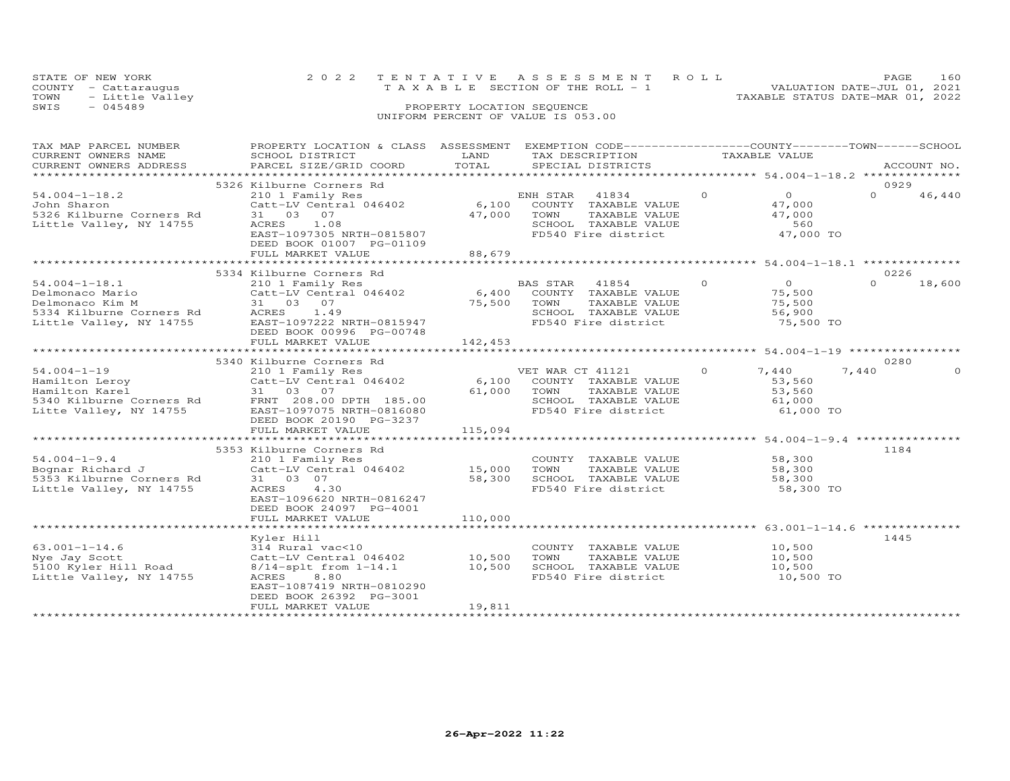| STATE OF NEW YORK       |                            | 2022 TENTATIVE ASSESSMENT ROLL        | 160<br>PAGE.                     |  |  |  |  |  |  |
|-------------------------|----------------------------|---------------------------------------|----------------------------------|--|--|--|--|--|--|
| COUNTY - Cattaraugus    |                            | T A X A B L E SECTION OF THE ROLL - 1 | VALUATION DATE-JUL 01, 2021      |  |  |  |  |  |  |
| TOWN<br>- Little Valley |                            |                                       | TAXABLE STATUS DATE-MAR 01, 2022 |  |  |  |  |  |  |
| SWIS<br>$-045489$       | PROPERTY LOCATION SEQUENCE |                                       |                                  |  |  |  |  |  |  |
|                         |                            | UNIFORM PERCENT OF VALUE IS 053.00    |                                  |  |  |  |  |  |  |

## TAX MAP PARCEL NUMBER PROPERTY LOCATION & CLASS ASSESSMENT EXEMPTION CODE------------------COUNTY--------TOWN------SCHOOL CURRENT OWNERS NAME SCHOOL DISTRICT LAND TAX DESCRIPTION TAXABLE VALUE CURRENT OWNERS ADDRESS PARCEL SIZE/GRID COORD TOTAL SPECIAL DISTRICTS ACCOUNT NO. \*\*\*\*\*\*\*\*\*\*\*\*\*\*\*\*\*\*\*\*\*\*\*\*\*\*\*\*\*\*\*\*\*\*\*\*\*\*\*\*\*\*\*\*\*\*\*\*\*\*\*\*\*\*\*\*\*\*\*\*\*\*\*\*\*\*\*\*\*\*\*\*\*\*\*\*\*\*\*\*\*\*\*\*\*\*\*\*\*\*\*\*\*\*\*\*\*\*\*\*\*\*\* 54.004-1-18.2 \*\*\*\*\*\*\*\*\*\*\*\*\*\* $\begin{array}{cccccccc} 5326 & \text{Kilburne corners Rd} & 5326 & \text{Kilburne corners Rd} & 5326 & \text{Kilburne Congress Rd} & 5326 & \text{Kilburne Congress Rd} & 5326 & \text{Kilburne Congress Rd} & 5326 & \text{Kilburne Congress Rd} & 5326 & \text{Kilburne Congress Rd} & 5326 & \text{Kilburne Congress Rd} & 5326 & \text{Kilburne Congress Rd} & 5326 & \text{Kilburne Congress Rd} & 31 & 03 & 07 & 47,000 & 5326 & \text{Kilburn$ 0  $46,440$ \*\*\*\*\*\*\*\*\*\*\*\*\*\*\*\*\*\*\*\*\*\*\*\*\*\*\*\*\*\*\*\*\*\*\*\*\*\*\*\*\*\*\*\*\*\*\*\*\*\*\*\*\*\*\*\*\*\*\*\*\*\*\*\*\*\*\*\*\*\*\*\*\*\*\*\*\*\*\*\*\*\*\*\*\*\*\*\*\*\*\*\*\*\*\*\*\*\*\*\*\*\*\* 54.004-1-18.1 \*\*\*\*\*\*\*\*\*\*\*\*\*\* 5334 Kilburne Corners Rd 022654.004-1-18.1 210 1 Family Res BAS STAR 41854 0 0 0 18,600Delmonaco Mario Catt-LV Central 046402 6,400 COUNTY TAXABLE VALUE 75,500 Delmonaco Kim M 31 03 07 75,500 TOWN TAXABLE VALUE 75,500 5334 Kilburne Corners Rd ACRES 1.49 SCHOOL TAXABLE VALUE 56,900 Little Valley, NY 14755 EAST-1097222 NRTH-0815947 FD540 Fire district 75,500 TO DEED BOOK 00996 PG-00748 FULL MARKET VALUE 142,453  $0 \t 18,600$ \*\*\*\*\*\*\*\*\*\*\*\*\*\*\*\*\*\*\*\*\*\*\*\*\*\*\*\*\*\*\*\*\*\*\*\*\*\*\*\*\*\*\*\*\*\*\*\*\*\*\*\*\*\*\*\*\*\*\*\*\*\*\*\*\*\*\*\*\*\*\*\*\*\*\*\*\*\*\*\*\*\*\*\*\*\*\*\*\*\*\*\*\*\*\*\*\*\*\*\*\*\*\* 54.004-1-19 \*\*\*\*\*\*\*\*\*\*\*\*\*\*\*\* 5340 Kilburne Corners Rd 028054.004-1-19 210 1 Family Res VET WAR CT 41121 0 7,440 7,440 0Hamilton Leroy Catt-LV Central 046402 6,100 COUNTY TAXABLE VALUE 53,560 Hamilton Karel 31 03 07 61,000 TOWN TAXABLE VALUE 53,560 5340 Kilburne Corners Rd FRNT 208.00 DPTH 185.00 SCHOOL TAXABLE VALUE 61,000 Litte Valley, NY 14755 EAST-1097075 NRTH-0816080 FD540 Fire district 61,000 TO DEED BOOK 20190 PG-32377,440 0 FULL MARKET VALUE 115,094 \*\*\*\*\*\*\*\*\*\*\*\*\*\*\*\*\*\*\*\*\*\*\*\*\*\*\*\*\*\*\*\*\*\*\*\*\*\*\*\*\*\*\*\*\*\*\*\*\*\*\*\*\*\*\*\*\*\*\*\*\*\*\*\*\*\*\*\*\*\*\*\*\*\*\*\*\*\*\*\*\*\*\*\*\*\*\*\*\*\*\*\*\*\*\*\*\*\*\*\*\*\*\* 54.004-1-9.4 \*\*\*\*\*\*\*\*\*\*\*\*\*\*\* 5353 Kilburne Corners Rd 118454.004-1-9.4 210 1 Family Res COUNTY TAXABLE VALUE 58,300Bognar Richard J Catt-LV Central 046402 15,000 TOWN TAXABLE VALUE 58,3005353 Kilburne Corners Rd 31 03 07 58,300 SCHOOL TAXABLE VALUE 58,300Little Valley, NY 14755 ACRES 4.30 FD540 Fire district 58,300 TO EAST-1096620 NRTH-081624758,300  $58,300$ 58,300 TO DEED BOOK 24097 PG-4001FULL MARKET VALUE FULL MARKET VALUE 110,000 \*\*\*\*\*\*\*\*\*\*\*\*\*\*\*\*\*\*\*\*\*\*\*\*\*\*\*\*\*\*\*\*\*\*\*\*\*\*\*\*\*\*\*\*\*\*\*\*\*\*\*\*\*\*\*\*\*\*\*\*\*\*\*\*\*\*\*\*\*\*\*\*\*\*\*\*\*\*\*\*\*\*\*\*\*\*\*\*\*\*\*\*\*\*\*\*\*\*\*\*\*\*\* 63.001-1-14.6 \*\*\*\*\*\*\*\*\*\*\*\*\*\* Kyler Hill 144563.001-1-14.6 314 Rural vac<10 COUNTY TAXABLE VALUE 10,500Nye Jay Scott Catt-LV Central 046402 10,500 TOWN TAXABLE VALUE 10,5005100 Kyler Hill Road 8/14-splt from 1-14.1 10,500 SCHOOL TAXABLE VALUE 10,500Little Valley, NY 14755 ACRES 8.80 FD540 Fire district 10,500 TO֖֚֚֚֚֚֚֚֚֚֚֚֚֚֚֚֚֚֬֡֡֡֡֡֡֡֡֡֡֬֝֬֝ 10,500 TO EAST-1087419 NRTH-0810290 DEED BOOK 26392 PG-3001FULL MARKET VALUE 19,811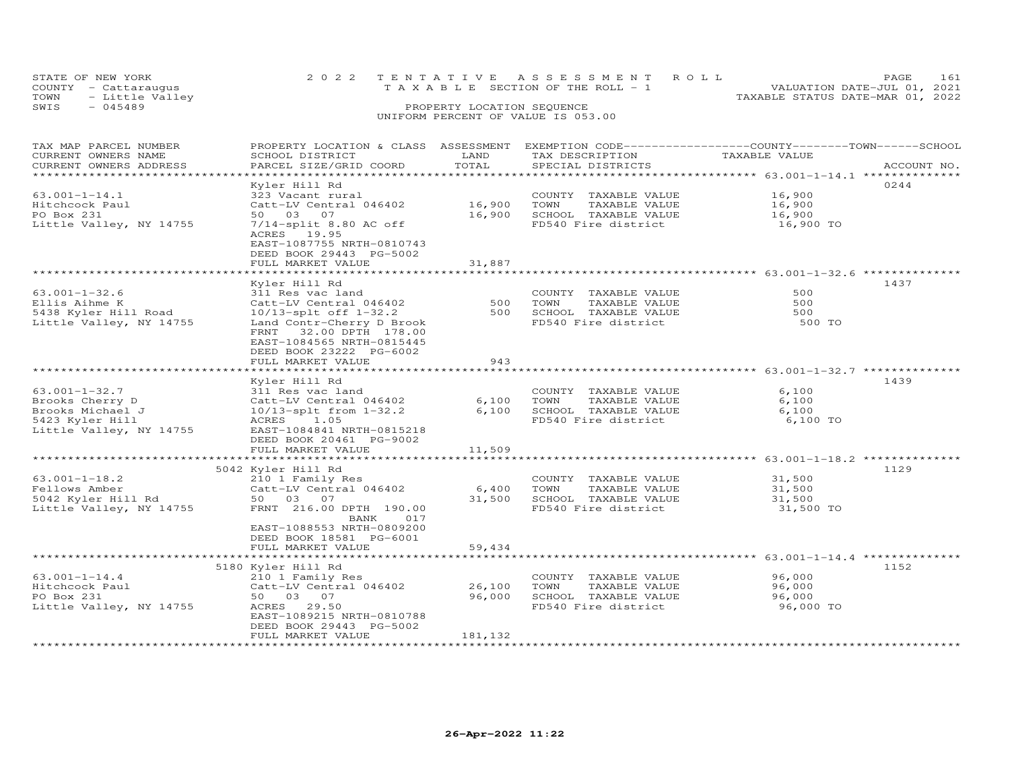| STATE OF NEW YORK       | 2022 TENTATIVE ASSESSMENT ROLL        | PAGE.                            |  |
|-------------------------|---------------------------------------|----------------------------------|--|
| COUNTY - Cattaraugus    | T A X A B L E SECTION OF THE ROLL - 1 | VALUATION DATE-JUL 01, 2021      |  |
| TOWN<br>- Little Valley |                                       | TAXABLE STATUS DATE-MAR 01, 2022 |  |
| $-045489$<br>SWIS       | PROPERTY LOCATION SEQUENCE            |                                  |  |
|                         |                                       |                                  |  |

| TAX MAP PARCEL NUMBER<br>CURRENT OWNERS NAME<br>CURRENT OWNERS ADDRESS                  | PROPERTY LOCATION & CLASS ASSESSMENT<br>SCHOOL DISTRICT<br>PARCEL SIZE/GRID COORD                                                                                                                      | LAND<br>TOTAL    | TAX DESCRIPTION<br>SPECIAL DISTRICTS                                                         | EXEMPTION CODE-----------------COUNTY-------TOWN------SCHOOL<br>TAXABLE VALUE | ACCOUNT NO. |
|-----------------------------------------------------------------------------------------|--------------------------------------------------------------------------------------------------------------------------------------------------------------------------------------------------------|------------------|----------------------------------------------------------------------------------------------|-------------------------------------------------------------------------------|-------------|
| *******************                                                                     |                                                                                                                                                                                                        | *************    |                                                                                              |                                                                               |             |
| $63.001 - 1 - 14.1$<br>Hitchcock Paul                                                   | Kyler Hill Rd<br>323 Vacant rural<br>Catt-LV Central 046402                                                                                                                                            | 16,900           | COUNTY TAXABLE VALUE<br>TOWN<br>TAXABLE VALUE                                                | 16,900<br>16,900                                                              | 0244        |
| PO Box 231<br>Little Valley, NY 14755                                                   | 50 03 07<br>$7/14$ -split 8.80 AC off<br>ACRES 19.95<br>EAST-1087755 NRTH-0810743<br>DEED BOOK 29443 PG-5002<br>FULL MARKET VALUE                                                                      | 16,900<br>31,887 | SCHOOL TAXABLE VALUE<br>FD540 Fire district                                                  | 16,900<br>16,900 TO                                                           |             |
|                                                                                         |                                                                                                                                                                                                        |                  |                                                                                              |                                                                               |             |
| $63.001 - 1 - 32.6$<br>Ellis Aihme K<br>5438 Kyler Hill Road<br>Little Valley, NY 14755 | Kyler Hill Rd<br>311 Res vac land<br>Catt-LV Central 046402<br>10/13-splt off 1-32.2<br>Land Contr-Cherry D Brook<br>FRNT<br>32.00 DPTH 178.00<br>EAST-1084565 NRTH-0815445<br>DEED BOOK 23222 PG-6002 | 500<br>500       | COUNTY TAXABLE VALUE<br>TOWN<br>TAXABLE VALUE<br>SCHOOL TAXABLE VALUE<br>FD540 Fire district | 500<br>500<br>500<br>500 TO                                                   | 1437        |
|                                                                                         | FULL MARKET VALUE                                                                                                                                                                                      | 943              |                                                                                              |                                                                               |             |
|                                                                                         |                                                                                                                                                                                                        |                  |                                                                                              |                                                                               |             |
| $63.001 - 1 - 32.7$                                                                     | Kyler Hill Rd<br>311 Res vac land                                                                                                                                                                      |                  |                                                                                              | 6,100                                                                         | 1439        |
| Brooks Cherry D                                                                         | Catt-LV Central 046402                                                                                                                                                                                 | 6,100            | COUNTY TAXABLE VALUE<br>TOWN<br>TAXABLE VALUE                                                | 6,100                                                                         |             |
| Brooks Michael J                                                                        | 10/13-splt from 1-32.2                                                                                                                                                                                 | 6,100            | SCHOOL TAXABLE VALUE                                                                         | 6,100                                                                         |             |
| 5423 Kyler Hill<br>Little Valley, NY 14755                                              | ACRES<br>1.05<br>EAST-1084841 NRTH-0815218<br>DEED BOOK 20461 PG-9002                                                                                                                                  |                  | FD540 Fire district                                                                          | 6,100 TO                                                                      |             |
|                                                                                         | FULL MARKET VALUE                                                                                                                                                                                      | 11,509           |                                                                                              |                                                                               |             |
|                                                                                         | *************************                                                                                                                                                                              | ************     |                                                                                              | ******************************** 63.001-1-18.2 **************                 |             |
| $63.001 - 1 - 18.2$<br>Fellows Amber<br>5042 Kyler Hill Rd<br>Little Valley, NY 14755   | 5042 Kyler Hill Rd<br>210 1 Family Res<br>Catt-LV Central 046402<br>50 03 07<br>FRNT 216.00 DPTH 190.00<br>BANK<br>017                                                                                 | 6,400<br>31,500  | COUNTY TAXABLE VALUE<br>TOWN<br>TAXABLE VALUE<br>SCHOOL TAXABLE VALUE<br>FD540 Fire district | 31,500<br>31,500<br>31,500<br>31,500 TO                                       | 1129        |
|                                                                                         | EAST-1088553 NRTH-0809200<br>DEED BOOK 18581 PG-6001<br>FULL MARKET VALUE                                                                                                                              | 59,434           |                                                                                              |                                                                               |             |
|                                                                                         |                                                                                                                                                                                                        |                  |                                                                                              |                                                                               |             |
| $63.001 - 1 - 14.4$<br>Hitchcock Paul<br>PO Box 231<br>Little Valley, NY 14755          | 5180 Kyler Hill Rd<br>210 1 Family Res<br>Catt-LV Central 046402<br>50 03 07<br>ACRES 29.50<br>EAST-1089215 NRTH-0810788<br>DEED BOOK 29443 PG-5002                                                    | 26,100<br>96,000 | COUNTY TAXABLE VALUE<br>TOWN<br>TAXABLE VALUE<br>SCHOOL TAXABLE VALUE<br>FD540 Fire district | 96,000<br>96,000<br>96,000<br>96,000 TO                                       | 1152        |
|                                                                                         | FULL MARKET VALUE                                                                                                                                                                                      | 181,132          |                                                                                              |                                                                               |             |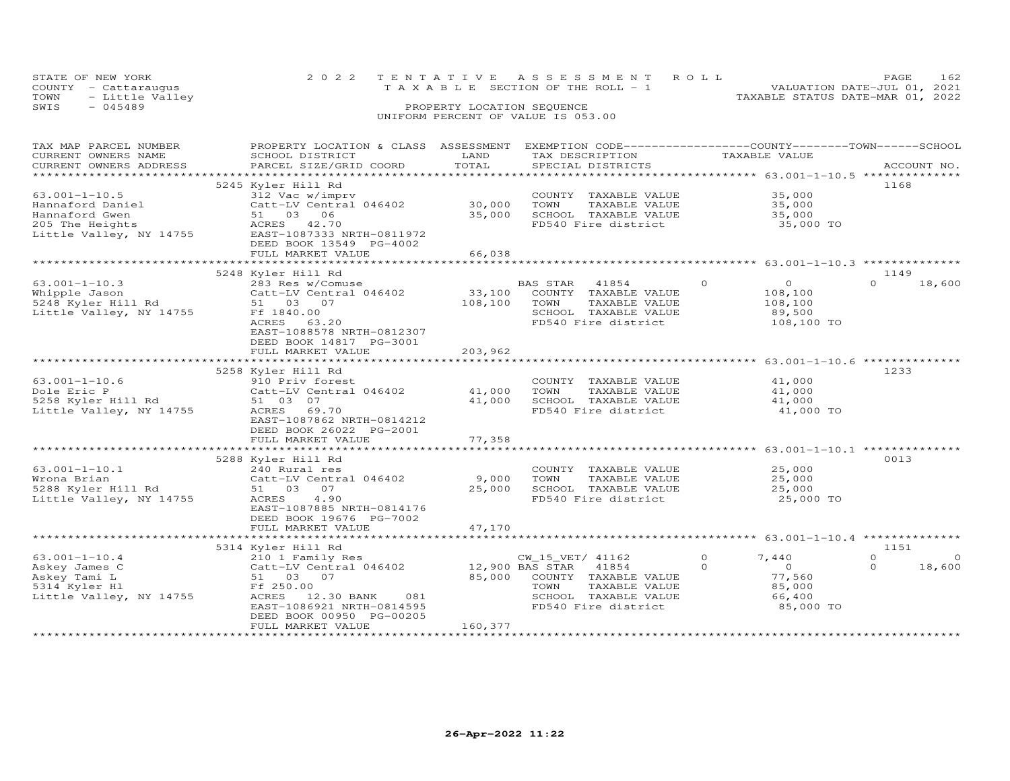|      | STATE OF NEW YORK    | 2022 TENTATIVE ASSESSMENT ROLL        | PAGE.                            |
|------|----------------------|---------------------------------------|----------------------------------|
|      | COUNTY - Cattaraugus | T A X A B L E SECTION OF THE ROLL - 1 | VALUATION DATE-JUL 01, 2021      |
| TOWN | - Little Valley      |                                       | TAXABLE STATUS DATE-MAR 01, 2022 |
| SWIS | $-045489$            | PROPERTY LOCATION SEQUENCE            |                                  |
|      |                      | UNIFORM PERCENT OF VALUE IS 053.00    |                                  |

| TAX MAP PARCEL NUMBER   | PROPERTY LOCATION & CLASS ASSESSMENT |                 |                       | EXEMPTION CODE-----------------COUNTY-------TOWN-----SCHOOL |                      |
|-------------------------|--------------------------------------|-----------------|-----------------------|-------------------------------------------------------------|----------------------|
| CURRENT OWNERS NAME     | SCHOOL DISTRICT                      | LAND            | TAX DESCRIPTION       | TAXABLE VALUE                                               |                      |
| CURRENT OWNERS ADDRESS  | PARCEL SIZE/GRID COORD               | TOTAL           | SPECIAL DISTRICTS     |                                                             | ACCOUNT NO.          |
|                         |                                      |                 |                       |                                                             |                      |
|                         | 5245 Kyler Hill Rd                   |                 |                       |                                                             | 1168                 |
| $63.001 - 1 - 10.5$     | 312 Vac w/imprv                      |                 | COUNTY TAXABLE VALUE  | 35,000                                                      |                      |
| Hannaford Daniel        | Catt-LV Central 046402               | 30,000          | TOWN<br>TAXABLE VALUE | 35,000                                                      |                      |
| Hannaford Gwen          | 51 03<br>06                          | 35,000          | SCHOOL TAXABLE VALUE  | 35,000                                                      |                      |
| 205 The Heights         | ACRES 42.70                          |                 | FD540 Fire district   | 35,000 TO                                                   |                      |
| Little Valley, NY 14755 | EAST-1087333 NRTH-0811972            |                 |                       |                                                             |                      |
|                         | DEED BOOK 13549 PG-4002              |                 |                       |                                                             |                      |
|                         | FULL MARKET VALUE                    | 66,038          |                       |                                                             |                      |
|                         |                                      |                 |                       |                                                             |                      |
|                         | 5248 Kyler Hill Rd                   |                 |                       |                                                             | 1149                 |
| $63.001 - 1 - 10.3$     | 283 Res w/Comuse                     |                 | BAS STAR<br>41854     | $\Omega$<br>$\circ$                                         | $\Omega$<br>18,600   |
| Whipple Jason           | Catt-LV Central 046402               | 33,100          | COUNTY TAXABLE VALUE  | 108,100                                                     |                      |
| 5248 Kyler Hill Rd      | 51 03 07                             | 108,100         | TOWN<br>TAXABLE VALUE | 108,100                                                     |                      |
| Little Valley, NY 14755 | Ff 1840.00                           |                 | SCHOOL TAXABLE VALUE  | 89,500                                                      |                      |
|                         | ACRES<br>63.20                       |                 | FD540 Fire district   | 108,100 TO                                                  |                      |
|                         | EAST-1088578 NRTH-0812307            |                 |                       |                                                             |                      |
|                         | DEED BOOK 14817 PG-3001              |                 |                       |                                                             |                      |
|                         | FULL MARKET VALUE                    | 203,962         |                       |                                                             |                      |
|                         |                                      | ***********     |                       |                                                             |                      |
|                         | 5258 Kyler Hill Rd                   |                 |                       |                                                             | 1233                 |
| $63.001 - 1 - 10.6$     | 910 Priv forest                      |                 | COUNTY TAXABLE VALUE  | 41,000                                                      |                      |
| Dole Eric P             | Catt-LV Central 046402               | 41,000          | TOWN<br>TAXABLE VALUE | 41,000                                                      |                      |
| 5258 Kyler Hill Rd      | 51 03 07                             | 41,000          | SCHOOL TAXABLE VALUE  | 41,000                                                      |                      |
| Little Valley, NY 14755 | ACRES 69.70                          |                 | FD540 Fire district   | 41,000 TO                                                   |                      |
|                         | EAST-1087862 NRTH-0814212            |                 |                       |                                                             |                      |
|                         | DEED BOOK 26022 PG-2001              |                 |                       |                                                             |                      |
|                         | FULL MARKET VALUE                    | 77,358          |                       |                                                             |                      |
|                         |                                      |                 |                       |                                                             |                      |
|                         | 5288 Kyler Hill Rd                   |                 |                       |                                                             | 0013                 |
| $63.001 - 1 - 10.1$     | 240 Rural res                        |                 | COUNTY TAXABLE VALUE  | 25,000                                                      |                      |
| Wrona Brian             | Catt-LV Central 046402               | 9,000           | TAXABLE VALUE<br>TOWN | 25,000                                                      |                      |
| 5288 Kyler Hill Rd      | 51 03 07                             | 25,000          | SCHOOL TAXABLE VALUE  | 25,000                                                      |                      |
| Little Valley, NY 14755 | 4.90<br>ACRES                        |                 | FD540 Fire district   | 25,000 TO                                                   |                      |
|                         | EAST-1087885 NRTH-0814176            |                 |                       |                                                             |                      |
|                         | DEED BOOK 19676 PG-7002              |                 |                       |                                                             |                      |
|                         | FULL MARKET VALUE                    | 47,170          |                       |                                                             |                      |
|                         |                                      |                 |                       |                                                             |                      |
|                         | 5314 Kyler Hill Rd                   |                 |                       |                                                             | 1151                 |
| $63.001 - 1 - 10.4$     | 210 1 Family Res                     |                 | CW_15_VET/ 41162      | $\Omega$<br>7.440                                           | $\Omega$<br>$\Omega$ |
| Askey James C           | Catt-LV Central 046402               | 12,900 BAS STAR | 41854                 | $\Omega$<br>$\circ$                                         | 18,600<br>$\Omega$   |
| Askey Tami L            | 51 03<br>07                          | 85,000          | COUNTY TAXABLE VALUE  | 77,560                                                      |                      |
| 5314 Kyler Hl           | Ff 250.00                            |                 | TOWN<br>TAXABLE VALUE | 85,000                                                      |                      |
| Little Valley, NY 14755 | ACRES<br>12.30 BANK<br>081           |                 | SCHOOL TAXABLE VALUE  | 66,400                                                      |                      |
|                         | EAST-1086921 NRTH-0814595            |                 | FD540 Fire district   | 85,000 TO                                                   |                      |
|                         | DEED BOOK 00950 PG-00205             |                 |                       |                                                             |                      |
|                         | FULL MARKET VALUE                    | 160,377         |                       |                                                             |                      |
|                         |                                      |                 |                       |                                                             |                      |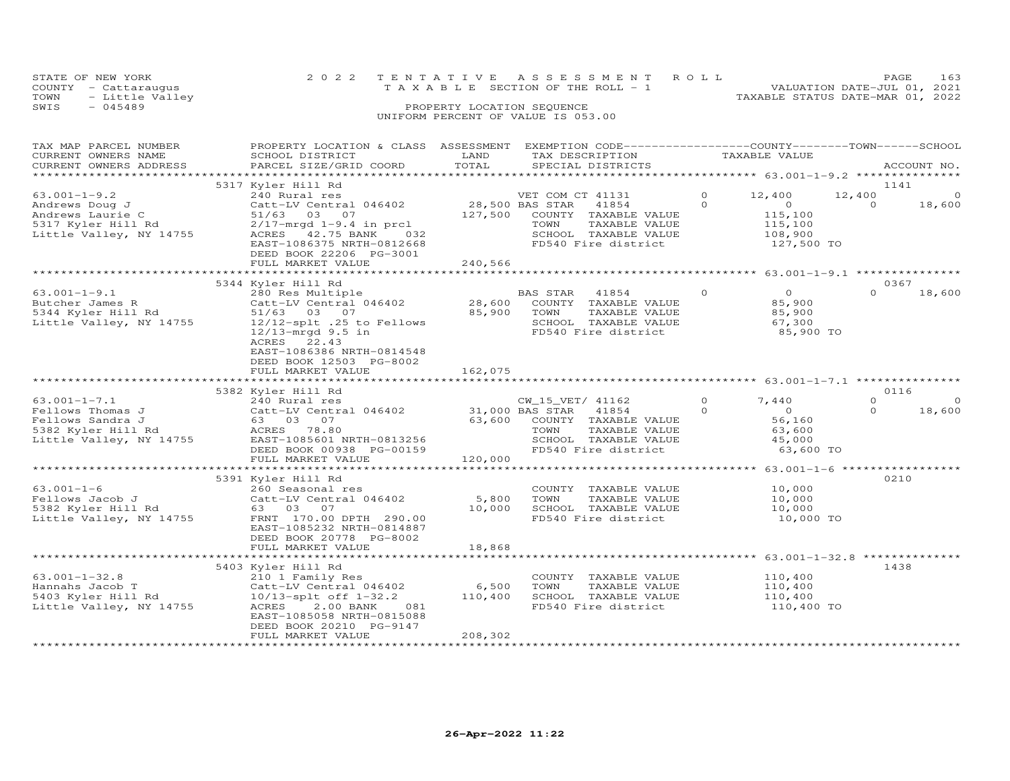|      | STATE OF NEW YORK    |  | 2022 TENTATIVE ASSESSMENT ROLL        |                                  | PAGE.                       | 163 |
|------|----------------------|--|---------------------------------------|----------------------------------|-----------------------------|-----|
|      | COUNTY - Cattaraugus |  | T A X A B L E SECTION OF THE ROLL - 1 |                                  | VALUATION DATE-JUL 01, 2021 |     |
| TOWN | - Little Valley      |  |                                       | TAXABLE STATUS DATE-MAR 01, 2022 |                             |     |
| SWIS | $-045489$            |  | PROPERTY LOCATION SEQUENCE            |                                  |                             |     |
|      |                      |  | UNIFORM PERCENT OF VALUE IS 053.00    |                                  |                             |     |

| TAX MAP PARCEL NUMBER<br>CURRENT OWNERS NAME                                            | PROPERTY LOCATION & CLASS ASSESSMENT EXEMPTION CODE-----------------COUNTY-------TOWN------SCHOOL<br>SCHOOL DISTRICT                                                                       | LAND                                 | TAX DESCRIPTION                                                                                                          | TAXABLE VALUE                                                        |                                         |
|-----------------------------------------------------------------------------------------|--------------------------------------------------------------------------------------------------------------------------------------------------------------------------------------------|--------------------------------------|--------------------------------------------------------------------------------------------------------------------------|----------------------------------------------------------------------|-----------------------------------------|
| CURRENT OWNERS ADDRESS                                                                  | PARCEL SIZE/GRID COORD<br>***************************                                                                                                                                      | TOTAL                                | SPECIAL DISTRICTS                                                                                                        |                                                                      | ACCOUNT NO.                             |
|                                                                                         | 5317 Kyler Hill Rd                                                                                                                                                                         |                                      |                                                                                                                          |                                                                      | 1141                                    |
| $63.001 - 1 - 9.2$<br>Andrews Doug J                                                    | 240 Rural res<br>Catt-LV Central 046402                                                                                                                                                    |                                      | VET COM CT 41131<br>28,500 BAS STAR<br>41854                                                                             | 12,400<br>$\Omega$<br>$\Omega$<br>$\circ$                            | 12,400<br>$\circ$<br>$\Omega$<br>18,600 |
| Andrews Laurie C<br>5317 Kyler Hill Rd<br>Little Valley, NY 14755                       | 51/63 03<br>07<br>$2/17$ -mrqd $1-9.4$ in prcl<br>42.75 BANK<br>ACRES<br>032<br>EAST-1086375 NRTH-0812668<br>DEED BOOK 22206 PG-3001<br>FULL MARKET VALUE                                  | 127,500<br>240,566                   | COUNTY TAXABLE VALUE<br>TOWN<br>TAXABLE VALUE<br>SCHOOL TAXABLE VALUE<br>FD540 Fire district                             | 115,100<br>115,100<br>108,900<br>127,500 TO                          |                                         |
|                                                                                         | **************************                                                                                                                                                                 | *************                        | ************************************* 63.001-1-9.1 ****************                                                      |                                                                      |                                         |
|                                                                                         | 5344 Kyler Hill Rd                                                                                                                                                                         |                                      |                                                                                                                          |                                                                      | 0367                                    |
| $63.001 - 1 - 9.1$<br>Butcher James R<br>5344 Kyler Hill Rd<br>Little Valley, NY 14755  | 280 Res Multiple<br>Catt-LV Central 046402<br>51/63 03 07<br>12/12-splt .25 to Fellows<br>$12/13$ -mrgd $9.5$ in<br>22.43<br>ACRES<br>EAST-1086386 NRTH-0814548<br>DEED BOOK 12503 PG-8002 | 28,600<br>85,900                     | <b>BAS STAR</b><br>41854<br>COUNTY TAXABLE VALUE<br>TOWN<br>TAXABLE VALUE<br>SCHOOL TAXABLE VALUE<br>FD540 Fire district | $\circ$<br>$\overline{O}$<br>85,900<br>85,900<br>67,300<br>85,900 TO | $\Omega$<br>18,600                      |
|                                                                                         | FULL MARKET VALUE                                                                                                                                                                          | 162,075                              |                                                                                                                          |                                                                      |                                         |
|                                                                                         | 5382 Kyler Hill Rd                                                                                                                                                                         |                                      |                                                                                                                          | *********************** 63.001-1-7.1 *************                   | 0116                                    |
| $63.001 - 1 - 7.1$                                                                      | 240 Rural res                                                                                                                                                                              |                                      | CW 15 VET/ 41162                                                                                                         | $\circ$<br>7,440                                                     | $\circ$<br>$\Omega$                     |
| Fellows Thomas J<br>Fellows Sandra J<br>5382 Kyler Hill Rd<br>Little Valley, NY 14755   | Catt-LV Central 046402<br>63 03 07<br>ACRES 78.80<br>EAST-1085601 NRTH-0813256<br>DEED BOOK 00938 PG-00159<br>FULL MARKET VALUE                                                            | 31,000 BAS STAR<br>63,600<br>120,000 | 41854<br>COUNTY TAXABLE VALUE<br>TOWN<br>TAXABLE VALUE<br>SCHOOL TAXABLE VALUE<br>FD540 Fire district                    | $\circ$<br>$\Omega$<br>56,160<br>63,600<br>45,000<br>63,600 TO       | $\Omega$<br>18,600                      |
|                                                                                         |                                                                                                                                                                                            |                                      |                                                                                                                          | *************** 63.001-1-6 ******************                        |                                         |
| $63.001 - 1 - 6$<br>Fellows Jacob J<br>5382 Kyler Hill Rd<br>Little Valley, NY 14755    | 5391 Kyler Hill Rd<br>260 Seasonal res<br>Catt-LV Central 046402<br>63 03 07<br>FRNT 170.00 DPTH 290.00<br>EAST-1085232 NRTH-0814887                                                       | 5,800<br>10,000                      | COUNTY TAXABLE VALUE<br>TOWN<br>TAXABLE VALUE<br>SCHOOL TAXABLE VALUE<br>FD540 Fire district                             | 10,000<br>10,000<br>10,000<br>10,000 TO                              | 0210                                    |
|                                                                                         | DEED BOOK 20778 PG-8002<br>FULL MARKET VALUE<br>**********************                                                                                                                     | 18,868<br>* * * * * * * * * *        |                                                                                                                          | ******************** 63.001-1-32.8 **************                    |                                         |
|                                                                                         | 5403 Kyler Hill Rd                                                                                                                                                                         |                                      |                                                                                                                          |                                                                      | 1438                                    |
| $63.001 - 1 - 32.8$<br>Hannahs Jacob T<br>5403 Kyler Hill Rd<br>Little Valley, NY 14755 | 210 1 Family Res<br>Catt-LV Central 046402<br>$10/13$ -splt off $1-32.2$<br>081<br>ACRES<br>2.00 BANK<br>EAST-1085058 NRTH-0815088<br>DEED BOOK 20210 PG-9147                              | 6,500<br>110,400                     | COUNTY TAXABLE VALUE<br>TOWN<br>TAXABLE VALUE<br>SCHOOL TAXABLE VALUE<br>FD540 Fire district                             | 110,400<br>110,400<br>110,400<br>110,400 TO                          |                                         |
|                                                                                         | FULL MARKET VALUE                                                                                                                                                                          | 208,302                              |                                                                                                                          |                                                                      |                                         |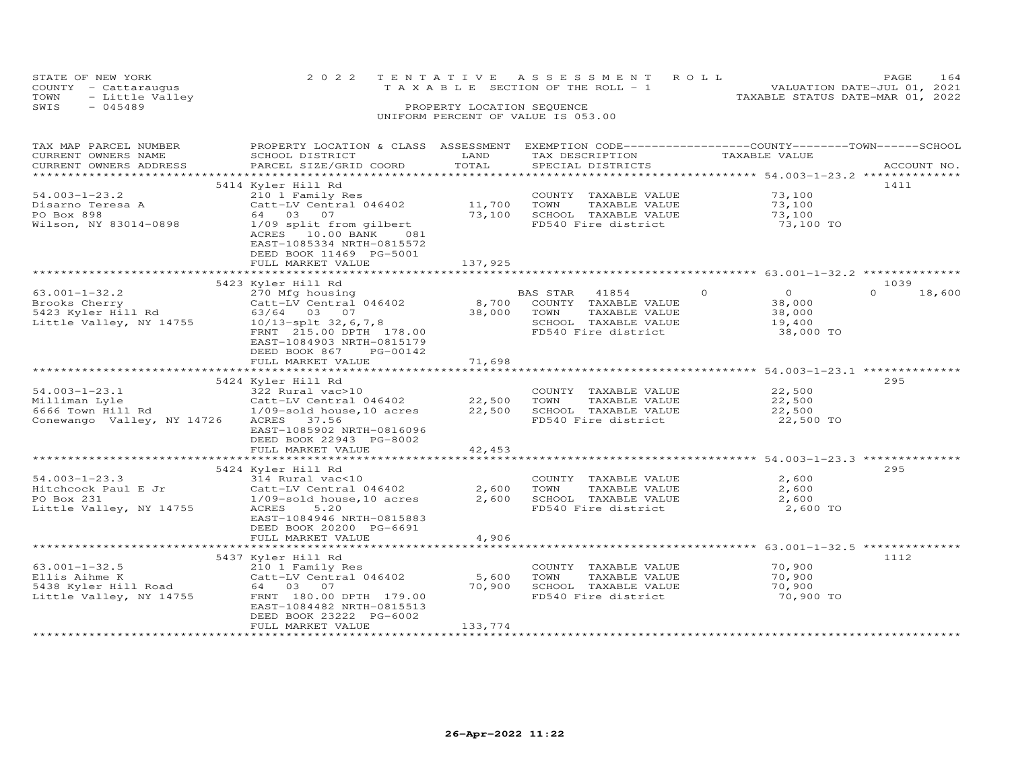|      | STATE OF NEW YORK                       |  |  |  |  |  |  |  |  |                                       |  |  |  | 2022 TENTATIVE ASSESSMENT ROLL |                                  | <b>PAGE</b> | 164 |
|------|-----------------------------------------|--|--|--|--|--|--|--|--|---------------------------------------|--|--|--|--------------------------------|----------------------------------|-------------|-----|
|      | COUNTY - Cattaraugus                    |  |  |  |  |  |  |  |  | T A X A B L E SECTION OF THE ROLL - 1 |  |  |  |                                | VALUATION DATE-JUL 01, 2021      |             |     |
| TOWN | - Little Valley                         |  |  |  |  |  |  |  |  |                                       |  |  |  |                                | TAXABLE STATUS DATE-MAR 01, 2022 |             |     |
| SWIS | $-045489$<br>PROPERTY LOCATION SEQUENCE |  |  |  |  |  |  |  |  |                                       |  |  |  |                                |                                  |             |     |
|      |                                         |  |  |  |  |  |  |  |  | UNIFORM PERCENT OF VALUE IS 053.00    |  |  |  |                                |                                  |             |     |

| SPECIAL DISTRICTS<br>5414 Kyler Hill Rd<br>1411<br>210 1 Family Res COUNT!<br>Catt-LV Central 046402 11,700 TOWN<br>73,100<br>73,100<br>$54.003 - 1 - 23.2$<br>COUNTY TAXABLE VALUE<br>Disarno Teresa A<br>TAXABLE VALUE<br>PO Box 898<br>64 03 07<br>73,100 SCHOOL TAXABLE VALUE<br>73,100<br>73,100 TO<br>Wilson, NY 83014-0898<br>1/09 split from gilbert<br>FD540 Fire district<br>ACRES 10.00 BANK 081<br>EAST-1085334 NRTH-0815572<br>DEED BOOK 11469 PG-5001<br>137,925<br>FULL MARKET VALUE<br>1039<br>$\overline{O}$<br>$\overline{O}$<br>BAS STAR 41854<br>$\Omega$<br>18,600<br>38,000<br>TAXABLE VALUE<br>38,000<br>SCHOOL TAXABLE VALUE<br>19,400<br>FD540 Fire district<br>38,000 TO<br>EAST-1084903 NRTH-0815179<br>DEED BOOK 867<br>PG-00142<br>71,698<br>FULL MARKET VALUE<br>295<br>5424 Kyler Hill Rd<br>22,500<br>COUNTY TAXABLE VALUE<br>TAXABLE VALUE<br>22,500<br>TOWN<br>SCHOOL TAXABLE VALUE<br>22,500<br>Conewango Valley, NY 14726<br>FD540 Fire district<br>22,500 TO<br>ACRES 37.56<br>EAST-1085902 NRTH-0816096<br>DEED BOOK 22943 PG-8002<br>42,453<br>FULL MARKET VALUE<br>295<br>5424 Kyler Hill Rd<br>$54.003 - 1 - 23.3$<br>2,600<br>314 Rural vac<10<br>COUNTY TAXABLE VALUE<br>2,600 TOWN<br>Hitchcock Paul E Jr<br>TAXABLE VALUE<br>2,600<br>2,600<br>SCHOOL TAXABLE VALUE<br>2,600<br>PO Box 231<br>FD540 Fire district<br>Little Valley, NY 14755<br>2,600 TO<br>EAST-1084946 NRTH-0815883<br>DEED BOOK 20200 PG-6691<br>4,906<br>FULL MARKET VALUE<br>5437 Kyler Hill Rd<br>1112<br>210 1 Family Res<br>COUNTY TAXABLE VALUE 70,900<br>$63.001 - 1 - 32.5$<br>Catt-LV Central 046402<br>5,600<br>TAXABLE VALUE<br>70,900<br>Ellis Aihme K<br>5438 Kyler Hill Road 64 03 07<br>TOWN<br>70,900<br>SCHOOL TAXABLE VALUE<br>70,900<br>Little Valley, NY 14755<br>FRNT 180.00 DPTH 179.00<br>FD540 Fire district<br>70,900 TO<br>EAST-1084482 NRTH-0815513<br>DEED BOOK 23222 PG-6002<br>FULL MARKET VALUE<br>133,774 | TAX MAP PARCEL NUMBER<br>CURRENT OWNERS NAME | PROPERTY LOCATION & CLASS ASSESSMENT<br>SCHOOL DISTRICT | LAND  | TAX DESCRIPTION | TAXABLE VALUE | EXEMPTION CODE-----------------COUNTY-------TOWN------SCHOOL |
|-----------------------------------------------------------------------------------------------------------------------------------------------------------------------------------------------------------------------------------------------------------------------------------------------------------------------------------------------------------------------------------------------------------------------------------------------------------------------------------------------------------------------------------------------------------------------------------------------------------------------------------------------------------------------------------------------------------------------------------------------------------------------------------------------------------------------------------------------------------------------------------------------------------------------------------------------------------------------------------------------------------------------------------------------------------------------------------------------------------------------------------------------------------------------------------------------------------------------------------------------------------------------------------------------------------------------------------------------------------------------------------------------------------------------------------------------------------------------------------------------------------------------------------------------------------------------------------------------------------------------------------------------------------------------------------------------------------------------------------------------------------------------------------------------------------------------------------------------------------------------------------------------------------------------------------------------------------|----------------------------------------------|---------------------------------------------------------|-------|-----------------|---------------|--------------------------------------------------------------|
|                                                                                                                                                                                                                                                                                                                                                                                                                                                                                                                                                                                                                                                                                                                                                                                                                                                                                                                                                                                                                                                                                                                                                                                                                                                                                                                                                                                                                                                                                                                                                                                                                                                                                                                                                                                                                                                                                                                                                           | CURRENT OWNERS ADDRESS                       | PARCEL SIZE/GRID COORD                                  | TOTAL |                 |               | ACCOUNT NO.                                                  |
|                                                                                                                                                                                                                                                                                                                                                                                                                                                                                                                                                                                                                                                                                                                                                                                                                                                                                                                                                                                                                                                                                                                                                                                                                                                                                                                                                                                                                                                                                                                                                                                                                                                                                                                                                                                                                                                                                                                                                           |                                              |                                                         |       |                 |               |                                                              |
|                                                                                                                                                                                                                                                                                                                                                                                                                                                                                                                                                                                                                                                                                                                                                                                                                                                                                                                                                                                                                                                                                                                                                                                                                                                                                                                                                                                                                                                                                                                                                                                                                                                                                                                                                                                                                                                                                                                                                           |                                              |                                                         |       |                 |               |                                                              |
|                                                                                                                                                                                                                                                                                                                                                                                                                                                                                                                                                                                                                                                                                                                                                                                                                                                                                                                                                                                                                                                                                                                                                                                                                                                                                                                                                                                                                                                                                                                                                                                                                                                                                                                                                                                                                                                                                                                                                           |                                              |                                                         |       |                 |               |                                                              |
|                                                                                                                                                                                                                                                                                                                                                                                                                                                                                                                                                                                                                                                                                                                                                                                                                                                                                                                                                                                                                                                                                                                                                                                                                                                                                                                                                                                                                                                                                                                                                                                                                                                                                                                                                                                                                                                                                                                                                           |                                              |                                                         |       |                 |               |                                                              |
|                                                                                                                                                                                                                                                                                                                                                                                                                                                                                                                                                                                                                                                                                                                                                                                                                                                                                                                                                                                                                                                                                                                                                                                                                                                                                                                                                                                                                                                                                                                                                                                                                                                                                                                                                                                                                                                                                                                                                           |                                              |                                                         |       |                 |               |                                                              |
|                                                                                                                                                                                                                                                                                                                                                                                                                                                                                                                                                                                                                                                                                                                                                                                                                                                                                                                                                                                                                                                                                                                                                                                                                                                                                                                                                                                                                                                                                                                                                                                                                                                                                                                                                                                                                                                                                                                                                           |                                              |                                                         |       |                 |               |                                                              |
|                                                                                                                                                                                                                                                                                                                                                                                                                                                                                                                                                                                                                                                                                                                                                                                                                                                                                                                                                                                                                                                                                                                                                                                                                                                                                                                                                                                                                                                                                                                                                                                                                                                                                                                                                                                                                                                                                                                                                           |                                              |                                                         |       |                 |               |                                                              |
|                                                                                                                                                                                                                                                                                                                                                                                                                                                                                                                                                                                                                                                                                                                                                                                                                                                                                                                                                                                                                                                                                                                                                                                                                                                                                                                                                                                                                                                                                                                                                                                                                                                                                                                                                                                                                                                                                                                                                           |                                              |                                                         |       |                 |               |                                                              |
|                                                                                                                                                                                                                                                                                                                                                                                                                                                                                                                                                                                                                                                                                                                                                                                                                                                                                                                                                                                                                                                                                                                                                                                                                                                                                                                                                                                                                                                                                                                                                                                                                                                                                                                                                                                                                                                                                                                                                           |                                              |                                                         |       |                 |               |                                                              |
|                                                                                                                                                                                                                                                                                                                                                                                                                                                                                                                                                                                                                                                                                                                                                                                                                                                                                                                                                                                                                                                                                                                                                                                                                                                                                                                                                                                                                                                                                                                                                                                                                                                                                                                                                                                                                                                                                                                                                           |                                              |                                                         |       |                 |               |                                                              |
|                                                                                                                                                                                                                                                                                                                                                                                                                                                                                                                                                                                                                                                                                                                                                                                                                                                                                                                                                                                                                                                                                                                                                                                                                                                                                                                                                                                                                                                                                                                                                                                                                                                                                                                                                                                                                                                                                                                                                           |                                              |                                                         |       |                 |               |                                                              |
|                                                                                                                                                                                                                                                                                                                                                                                                                                                                                                                                                                                                                                                                                                                                                                                                                                                                                                                                                                                                                                                                                                                                                                                                                                                                                                                                                                                                                                                                                                                                                                                                                                                                                                                                                                                                                                                                                                                                                           |                                              |                                                         |       |                 |               |                                                              |
|                                                                                                                                                                                                                                                                                                                                                                                                                                                                                                                                                                                                                                                                                                                                                                                                                                                                                                                                                                                                                                                                                                                                                                                                                                                                                                                                                                                                                                                                                                                                                                                                                                                                                                                                                                                                                                                                                                                                                           |                                              |                                                         |       |                 |               |                                                              |
|                                                                                                                                                                                                                                                                                                                                                                                                                                                                                                                                                                                                                                                                                                                                                                                                                                                                                                                                                                                                                                                                                                                                                                                                                                                                                                                                                                                                                                                                                                                                                                                                                                                                                                                                                                                                                                                                                                                                                           |                                              |                                                         |       |                 |               |                                                              |
|                                                                                                                                                                                                                                                                                                                                                                                                                                                                                                                                                                                                                                                                                                                                                                                                                                                                                                                                                                                                                                                                                                                                                                                                                                                                                                                                                                                                                                                                                                                                                                                                                                                                                                                                                                                                                                                                                                                                                           |                                              |                                                         |       |                 |               |                                                              |
|                                                                                                                                                                                                                                                                                                                                                                                                                                                                                                                                                                                                                                                                                                                                                                                                                                                                                                                                                                                                                                                                                                                                                                                                                                                                                                                                                                                                                                                                                                                                                                                                                                                                                                                                                                                                                                                                                                                                                           |                                              |                                                         |       |                 |               |                                                              |
|                                                                                                                                                                                                                                                                                                                                                                                                                                                                                                                                                                                                                                                                                                                                                                                                                                                                                                                                                                                                                                                                                                                                                                                                                                                                                                                                                                                                                                                                                                                                                                                                                                                                                                                                                                                                                                                                                                                                                           |                                              |                                                         |       |                 |               |                                                              |
|                                                                                                                                                                                                                                                                                                                                                                                                                                                                                                                                                                                                                                                                                                                                                                                                                                                                                                                                                                                                                                                                                                                                                                                                                                                                                                                                                                                                                                                                                                                                                                                                                                                                                                                                                                                                                                                                                                                                                           |                                              |                                                         |       |                 |               |                                                              |
|                                                                                                                                                                                                                                                                                                                                                                                                                                                                                                                                                                                                                                                                                                                                                                                                                                                                                                                                                                                                                                                                                                                                                                                                                                                                                                                                                                                                                                                                                                                                                                                                                                                                                                                                                                                                                                                                                                                                                           |                                              |                                                         |       |                 |               |                                                              |
|                                                                                                                                                                                                                                                                                                                                                                                                                                                                                                                                                                                                                                                                                                                                                                                                                                                                                                                                                                                                                                                                                                                                                                                                                                                                                                                                                                                                                                                                                                                                                                                                                                                                                                                                                                                                                                                                                                                                                           |                                              |                                                         |       |                 |               |                                                              |
|                                                                                                                                                                                                                                                                                                                                                                                                                                                                                                                                                                                                                                                                                                                                                                                                                                                                                                                                                                                                                                                                                                                                                                                                                                                                                                                                                                                                                                                                                                                                                                                                                                                                                                                                                                                                                                                                                                                                                           |                                              |                                                         |       |                 |               |                                                              |
|                                                                                                                                                                                                                                                                                                                                                                                                                                                                                                                                                                                                                                                                                                                                                                                                                                                                                                                                                                                                                                                                                                                                                                                                                                                                                                                                                                                                                                                                                                                                                                                                                                                                                                                                                                                                                                                                                                                                                           |                                              |                                                         |       |                 |               |                                                              |
|                                                                                                                                                                                                                                                                                                                                                                                                                                                                                                                                                                                                                                                                                                                                                                                                                                                                                                                                                                                                                                                                                                                                                                                                                                                                                                                                                                                                                                                                                                                                                                                                                                                                                                                                                                                                                                                                                                                                                           |                                              |                                                         |       |                 |               |                                                              |
|                                                                                                                                                                                                                                                                                                                                                                                                                                                                                                                                                                                                                                                                                                                                                                                                                                                                                                                                                                                                                                                                                                                                                                                                                                                                                                                                                                                                                                                                                                                                                                                                                                                                                                                                                                                                                                                                                                                                                           |                                              |                                                         |       |                 |               |                                                              |
|                                                                                                                                                                                                                                                                                                                                                                                                                                                                                                                                                                                                                                                                                                                                                                                                                                                                                                                                                                                                                                                                                                                                                                                                                                                                                                                                                                                                                                                                                                                                                                                                                                                                                                                                                                                                                                                                                                                                                           |                                              |                                                         |       |                 |               |                                                              |
|                                                                                                                                                                                                                                                                                                                                                                                                                                                                                                                                                                                                                                                                                                                                                                                                                                                                                                                                                                                                                                                                                                                                                                                                                                                                                                                                                                                                                                                                                                                                                                                                                                                                                                                                                                                                                                                                                                                                                           |                                              |                                                         |       |                 |               |                                                              |
|                                                                                                                                                                                                                                                                                                                                                                                                                                                                                                                                                                                                                                                                                                                                                                                                                                                                                                                                                                                                                                                                                                                                                                                                                                                                                                                                                                                                                                                                                                                                                                                                                                                                                                                                                                                                                                                                                                                                                           |                                              |                                                         |       |                 |               |                                                              |
|                                                                                                                                                                                                                                                                                                                                                                                                                                                                                                                                                                                                                                                                                                                                                                                                                                                                                                                                                                                                                                                                                                                                                                                                                                                                                                                                                                                                                                                                                                                                                                                                                                                                                                                                                                                                                                                                                                                                                           |                                              |                                                         |       |                 |               |                                                              |
|                                                                                                                                                                                                                                                                                                                                                                                                                                                                                                                                                                                                                                                                                                                                                                                                                                                                                                                                                                                                                                                                                                                                                                                                                                                                                                                                                                                                                                                                                                                                                                                                                                                                                                                                                                                                                                                                                                                                                           |                                              |                                                         |       |                 |               |                                                              |
|                                                                                                                                                                                                                                                                                                                                                                                                                                                                                                                                                                                                                                                                                                                                                                                                                                                                                                                                                                                                                                                                                                                                                                                                                                                                                                                                                                                                                                                                                                                                                                                                                                                                                                                                                                                                                                                                                                                                                           |                                              |                                                         |       |                 |               |                                                              |
|                                                                                                                                                                                                                                                                                                                                                                                                                                                                                                                                                                                                                                                                                                                                                                                                                                                                                                                                                                                                                                                                                                                                                                                                                                                                                                                                                                                                                                                                                                                                                                                                                                                                                                                                                                                                                                                                                                                                                           |                                              |                                                         |       |                 |               |                                                              |
|                                                                                                                                                                                                                                                                                                                                                                                                                                                                                                                                                                                                                                                                                                                                                                                                                                                                                                                                                                                                                                                                                                                                                                                                                                                                                                                                                                                                                                                                                                                                                                                                                                                                                                                                                                                                                                                                                                                                                           |                                              |                                                         |       |                 |               |                                                              |
|                                                                                                                                                                                                                                                                                                                                                                                                                                                                                                                                                                                                                                                                                                                                                                                                                                                                                                                                                                                                                                                                                                                                                                                                                                                                                                                                                                                                                                                                                                                                                                                                                                                                                                                                                                                                                                                                                                                                                           |                                              |                                                         |       |                 |               |                                                              |
|                                                                                                                                                                                                                                                                                                                                                                                                                                                                                                                                                                                                                                                                                                                                                                                                                                                                                                                                                                                                                                                                                                                                                                                                                                                                                                                                                                                                                                                                                                                                                                                                                                                                                                                                                                                                                                                                                                                                                           |                                              |                                                         |       |                 |               |                                                              |
|                                                                                                                                                                                                                                                                                                                                                                                                                                                                                                                                                                                                                                                                                                                                                                                                                                                                                                                                                                                                                                                                                                                                                                                                                                                                                                                                                                                                                                                                                                                                                                                                                                                                                                                                                                                                                                                                                                                                                           |                                              |                                                         |       |                 |               |                                                              |
|                                                                                                                                                                                                                                                                                                                                                                                                                                                                                                                                                                                                                                                                                                                                                                                                                                                                                                                                                                                                                                                                                                                                                                                                                                                                                                                                                                                                                                                                                                                                                                                                                                                                                                                                                                                                                                                                                                                                                           |                                              |                                                         |       |                 |               |                                                              |
|                                                                                                                                                                                                                                                                                                                                                                                                                                                                                                                                                                                                                                                                                                                                                                                                                                                                                                                                                                                                                                                                                                                                                                                                                                                                                                                                                                                                                                                                                                                                                                                                                                                                                                                                                                                                                                                                                                                                                           |                                              |                                                         |       |                 |               |                                                              |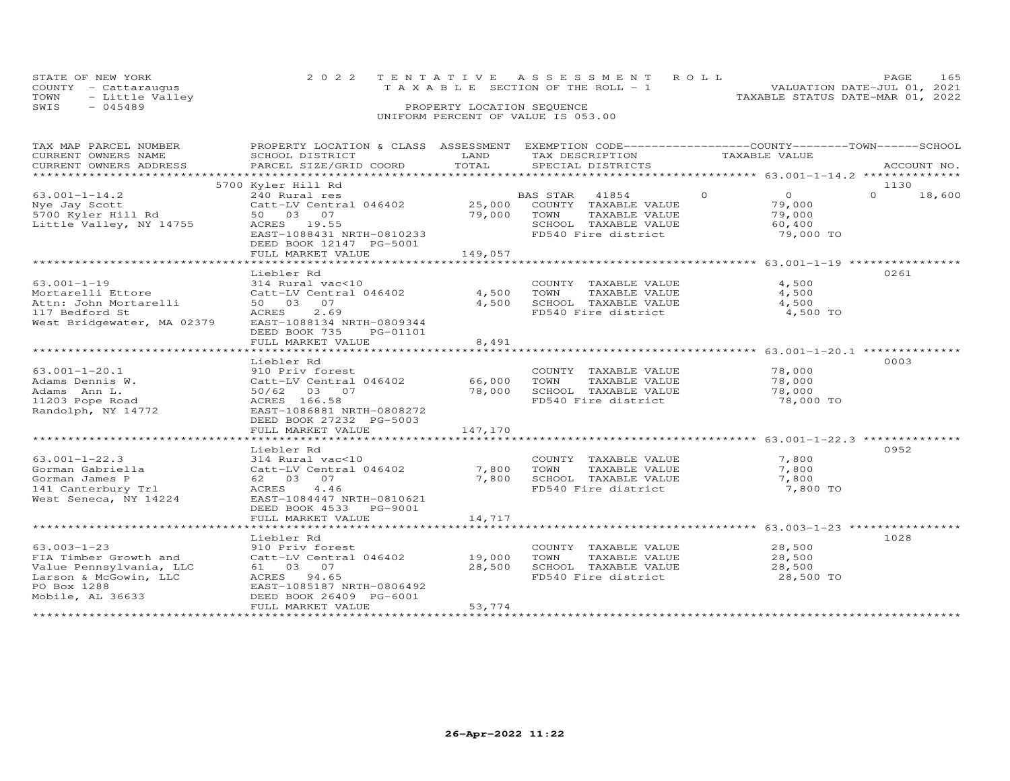| STATE OF NEW YORK    | 2022 TENTATIVE ASSESSMENT ROLL        | 165<br>PAGE                      |
|----------------------|---------------------------------------|----------------------------------|
| COUNTY - Cattarauqus | T A X A B L E SECTION OF THE ROLL - 1 | VALUATION DATE-JUL 01, 2021      |
| TOWN - Little Valley |                                       | TAXABLE STATUS DATE-MAR 01, 2022 |
| SWIS<br>$-045489$    | PROPERTY LOCATION SEQUENCE            |                                  |
|                      | UNIFORM PERCENT OF VALUE IS 053.00    |                                  |

## TAX MAP PARCEL NUMBER PROPERTY LOCATION & CLASS ASSESSMENT EXEMPTION CODE------------------COUNTY--------TOWN------SCHOOL CURRENT OWNERS NAME SCHOOL DISTRICT LAND TAX DESCRIPTION TAXABLE VALUE CURRENT OWNERS ADDRESS PARCEL SIZE/GRID COORD TOTAL SPECIAL DISTRICTS ACCOUNT NO. \*\*\*\*\*\*\*\*\*\*\*\*\*\*\*\*\*\*\*\*\*\*\*\*\*\*\*\*\*\*\*\*\*\*\*\*\*\*\*\*\*\*\*\*\*\*\*\*\*\*\*\*\*\*\*\*\*\*\*\*\*\*\*\*\*\*\*\*\*\*\*\*\*\*\*\*\*\*\*\*\*\*\*\*\*\*\*\*\*\*\*\*\*\*\*\*\*\*\*\*\*\*\* 63.001-1-14.2 \*\*\*\*\*\*\*\*\*\*\*\*\*\* 5700 Kyler Hill Rd 113063.001-1-14.2 240 Rural res BAS STAR 41854 0 0 0 18,600Nye Jay Scott Catt-LV Central 046402 25,000 COUNTY TAXABLE VALUE 79,000 5700 Kyler Hill Rd 50 03 07 79,000 TOWN TAXABLE VALUE 79,000 Little Valley, NY 14755 ACRES 19.55 SCHOOL TAXABLE VALUE 60,400 $0 \t 18,600$ 79,000 TO EAST-1088431 NRTH-0810233<br>
EAST-1088431 NRTH-0810233<br>
EAST-1088431 NRTH-0810233<br>
FD540 Fire district DEED BOOK 12147 PG-5001 FULL MARKET VALUE 149,057 \*\*\*\*\*\*\*\*\*\*\*\*\*\*\*\*\*\*\*\*\*\*\*\*\*\*\*\*\*\*\*\*\*\*\*\*\*\*\*\*\*\*\*\*\*\*\*\*\*\*\*\*\*\*\*\*\*\*\*\*\*\*\*\*\*\*\*\*\*\*\*\*\*\*\*\*\*\*\*\*\*\*\*\*\*\*\*\*\*\*\*\*\*\*\*\*\*\*\*\*\*\*\* 63.001-1-19 \*\*\*\*\*\*\*\*\*\*\*\*\*\*\*\* Liebler Rd 026163.001-1-19 314 Rural vac<10 COUNTY TAXABLE VALUE 4,500 Mortarelli Ettore Catt-LV Central 046402 4,500 TOWN TAXABLE VALUE 4,500 Attn: John Mortarelli 50 03 07 4,500 SCHOOL TAXABLE VALUE 4,500 117 Bedford St ACRES 2.69 FD540 Fire district 4,500 TOWest Bridgewater, MA 02379 EAST-1088134 NRTH-0809344 DEED BOOK 735 PG-01101 FULL MARKET VALUE 8,491 \*\*\*\*\*\*\*\*\*\*\*\*\*\*\*\*\*\*\*\*\*\*\*\*\*\*\*\*\*\*\*\*\*\*\*\*\*\*\*\*\*\*\*\*\*\*\*\*\*\*\*\*\*\*\*\*\*\*\*\*\*\*\*\*\*\*\*\*\*\*\*\*\*\*\*\*\*\*\*\*\*\*\*\*\*\*\*\*\*\*\*\*\*\*\*\*\*\*\*\*\*\*\* 63.001-1-20.1 \*\*\*\*\*\*\*\*\*\*\*\*\*\* Liebler Rd 000363.001-1-20.1 910 Priv forest COUNTY TAXABLE VALUE 78,000Adams Dennis W. Catt-LV Central 046402 66,000 TOWN TAXABLE VALUE 78,000Adams Ann L. 50/62 03 07 78,000 SCHOOL TAXABLE VALUE 78,00011203 Pope Road ACRES 166.58 FD540 Fire district 78,000 TORandolph, NY 14772 EAST-1086881 NRTH-0808272֖֖֚֚֚֚֚֚֚֚֚֚֚֚֚֚֚֚֚֚֚֚֡֡֡֡֡֡֡֡֡֡֡֞ 78,000 TO DEED BOOK 27232 PG-5003FULL MARKET VALUE 147,170 \*\*\*\*\*\*\*\*\*\*\*\*\*\*\*\*\*\*\*\*\*\*\*\*\*\*\*\*\*\*\*\*\*\*\*\*\*\*\*\*\*\*\*\*\*\*\*\*\*\*\*\*\*\*\*\*\*\*\*\*\*\*\*\*\*\*\*\*\*\*\*\*\*\*\*\*\*\*\*\*\*\*\*\*\*\*\*\*\*\*\*\*\*\*\*\*\*\*\*\*\*\*\* 63.001-1-22.3 \*\*\*\*\*\*\*\*\*\*\*\*\*\* Liebler Rd 095263.001-1-22.3 314 Rural vac<10 COUNTY TAXABLE VALUE 7,800Gorman Gabriella Catt-LV Central 046402 7,800 TOWN TAXABLE VALUE 7,800Gorman James P 62 03 07 7,800 SCHOOL TAXABLE VALUE 7,800141 Canterbury Trl ACRES 4.46 FD540 Fire district 7,800 TOWest Seneca, NY 14224 EAST-1084447 NRTH-0810621 DEED BOOK 4533 PG-9001֖֧֧֧֧֧֧֧֧֧֚֚֚֚֚֚֚֚֚֚֚֚֚֚֚֚֡֝֝֝֝֝֝֝֝֓֕֝֬֝֓֝֬֝֓֝֬֝֓֝֬֝֓֝֬֝֓֝֬֝֓֝֬֝֓֝֬֝֬֝֓֝֬֝֬֝֓֝֬֝֓֝֬֝֬֝֬֝<br>֧֧֧֧֪֪֪֪֪֪֪֪֪֪֪֪֪֪֪֪֪֪֪֪֪֪֪֪֪֪֪ׅ֧֚֝֝֝֝֝֝֝<br>֧֪֝ FULL MARKET VALUE FULL MARKET VALUE 14,717 \*\*\*\*\*\*\*\*\*\*\*\*\*\*\*\*\*\*\*\*\*\*\*\*\*\*\*\*\*\*\*\*\*\*\*\*\*\*\*\*\*\*\*\*\*\*\*\*\*\*\*\*\*\*\*\*\*\*\*\*\*\*\*\*\*\*\*\*\*\*\*\*\*\*\*\*\*\*\*\*\*\*\*\*\*\*\*\*\*\*\*\*\*\*\*\*\*\*\*\*\*\*\* 63.003-1-23 \*\*\*\*\*\*\*\*\*\*\*\*\*\*\*\* Liebler Rd 102863.003-1-23 910 Priv forest COUNTY TAXABLE VALUE 28,500FIA Timber Growth and Catt-LV Central 046402 19,000 TOWN TAXABLE VALUE 28,500Value Pennsylvania, LLC 61 03 07 28,500 SCHOOL TAXABLE VALUE 28,500Larson & McGowin, LLC ACRES 94.65 FD540 Fire district 28,500 TOPO Box 1288 EAST-1085187 NRTH-0806492 Mobile, AL 36633 DEED BOOK 26409 PG-6001 FULL MARKET VALUE 53,774 \*\*\*\*\*\*\*\*\*\*\*\*\*\*\*\*\*\*\*\*\*\*\*\*\*\*\*\*\*\*\*\*\*\*\*\*\*\*\*\*\*\*\*\*\*\*\*\*\*\*\*\*\*\*\*\*\*\*\*\*\*\*\*\*\*\*\*\*\*\*\*\*\*\*\*\*\*\*\*\*\*\*\*\*\*\*\*\*\*\*\*\*\*\*\*\*\*\*\*\*\*\*\*\*\*\*\*\*\*\*\*\*\*\*\*\*\*\*\*\*\*\*\*\*\*\*\*\*\*\*\*\*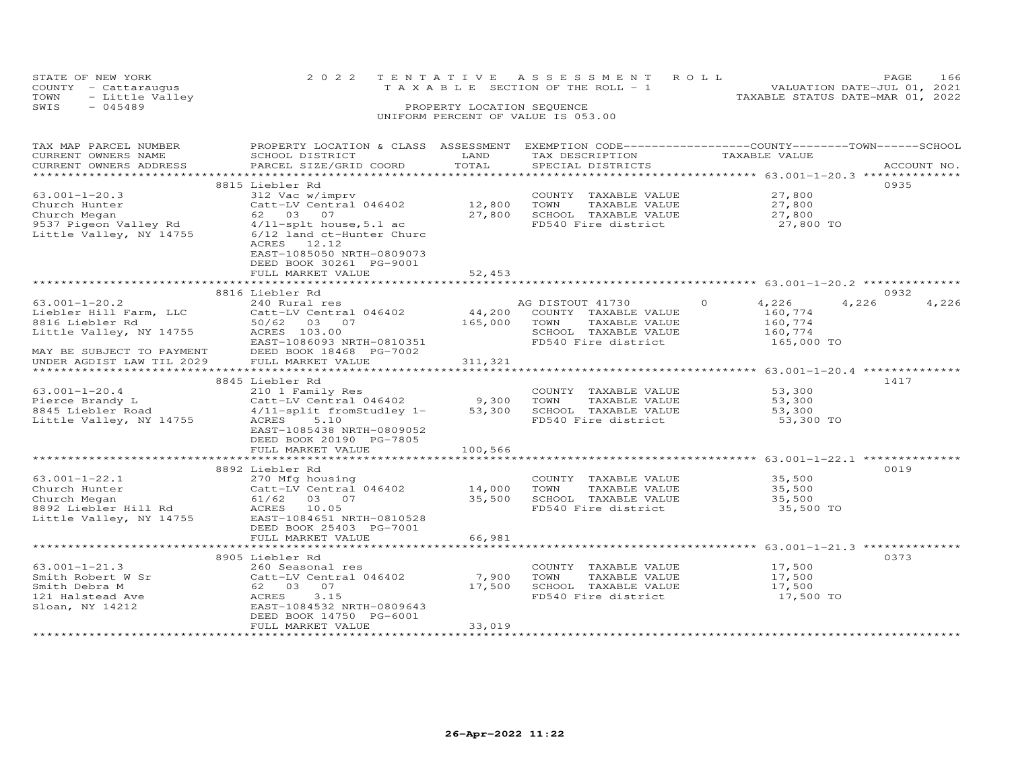| STATE OF NEW YORK       | 2022 TENTATIVE ASSESSMENT ROLL  | 166<br>PAGE.                     |
|-------------------------|---------------------------------|----------------------------------|
| COUNTY - Cattaraugus    | TAXABLE SECTION OF THE ROLL - 1 | VALUATION DATE-JUL 01, 2021      |
| TOWN<br>- Little Valley |                                 | TAXABLE STATUS DATE-MAR 01, 2022 |
| $-045489$<br>SWIS       | PROPERTY LOCATION SEQUENCE      |                                  |
|                         |                                 |                                  |

| TAX MAP PARCEL NUMBER                     | PROPERTY LOCATION & CLASS ASSESSMENT          |                        |                       | EXEMPTION CODE-----------------COUNTY-------TOWN------SCHOOL |                        |
|-------------------------------------------|-----------------------------------------------|------------------------|-----------------------|--------------------------------------------------------------|------------------------|
| CURRENT OWNERS NAME                       | SCHOOL DISTRICT                               | LAND                   | TAX DESCRIPTION       | TAXABLE VALUE                                                |                        |
| CURRENT OWNERS ADDRESS                    | PARCEL SIZE/GRID COORD                        | TOTAL                  | SPECIAL DISTRICTS     |                                                              | ACCOUNT NO.            |
| *******************                       |                                               |                        |                       |                                                              |                        |
|                                           | 8815 Liebler Rd                               |                        |                       |                                                              | 0935                   |
| $63.001 - 1 - 20.3$                       | 312 Vac w/imprv                               |                        | COUNTY TAXABLE VALUE  | 27,800                                                       |                        |
| Church Hunter                             | Catt-LV Central 046402                        | 12,800                 | TOWN<br>TAXABLE VALUE | 27,800                                                       |                        |
| Church Megan                              | 62 03 07                                      | 27,800                 | SCHOOL TAXABLE VALUE  | 27,800                                                       |                        |
|                                           | 9537 Pigeon Valley Rd 4/11-splt house, 5.1 ac |                        | FD540 Fire district   | 27,800 TO                                                    |                        |
| Little Valley, NY 14755                   | 6/12 land ct-Hunter Churc                     |                        |                       |                                                              |                        |
|                                           | ACRES 12.12                                   |                        |                       |                                                              |                        |
|                                           | EAST-1085050 NRTH-0809073                     |                        |                       |                                                              |                        |
|                                           | DEED BOOK 30261 PG-9001                       |                        |                       |                                                              |                        |
|                                           | FULL MARKET VALUE                             | 52,453<br>************ |                       |                                                              |                        |
|                                           |                                               |                        |                       |                                                              |                        |
| $63.001 - 1 - 20.2$                       | 8816 Liebler Rd<br>240 Rural res              |                        | AG DISTOUT 41730      | $\Omega$<br>4,226                                            | 0932<br>4,226<br>4,226 |
|                                           |                                               | 44,200                 | COUNTY TAXABLE VALUE  |                                                              |                        |
| Liebler Hill Farm, LLC<br>8816 Liebler Rd | Catt-LV Central 046402<br>50/62 03 07         |                        | TOWN<br>TAXABLE VALUE | 160,774                                                      |                        |
|                                           | ACRES 103.00                                  | 165,000                | SCHOOL TAXABLE VALUE  | 160,774                                                      |                        |
| Little Valley, NY 14755                   | EAST-1086093 NRTH-0810351                     |                        | FD540 Fire district   | 160,774<br>165,000 TO                                        |                        |
| MAY BE SUBJECT TO PAYMENT                 | DEED BOOK 18468 PG-7002                       |                        |                       |                                                              |                        |
| UNDER AGDIST LAW TIL 2029                 | FULL MARKET VALUE                             | 311,321                |                       |                                                              |                        |
|                                           |                                               |                        |                       |                                                              |                        |
|                                           | 8845 Liebler Rd                               |                        |                       |                                                              | 1417                   |
| $63.001 - 1 - 20.4$                       | 210 1 Family Res                              |                        | COUNTY TAXABLE VALUE  | 53,300                                                       |                        |
| Pierce Brandy L                           | Catt-LV Central 046402                        | 9,300                  | TOWN<br>TAXABLE VALUE | 53,300                                                       |                        |
| $8845$ Liebler Road                       | 4/11-split fromStudley 1-                     | 53,300                 | SCHOOL TAXABLE VALUE  | 53,300                                                       |                        |
| Little Valley, NY 14755                   | ACRES<br>5.10                                 |                        | FD540 Fire district   | 53,300 TO                                                    |                        |
|                                           | EAST-1085438 NRTH-0809052                     |                        |                       |                                                              |                        |
|                                           | DEED BOOK 20190 PG-7805                       |                        |                       |                                                              |                        |
|                                           | FULL MARKET VALUE                             | 100,566                |                       |                                                              |                        |
|                                           |                                               |                        |                       |                                                              |                        |
|                                           | 8892 Liebler Rd                               |                        |                       |                                                              | 0019                   |
| $63.001 - 1 - 22.1$                       | 270 Mfg housing                               |                        | COUNTY TAXABLE VALUE  | 35,500                                                       |                        |
| Church Hunter                             | Catt-LV Central 046402                        | 14,000                 | TOWN<br>TAXABLE VALUE | 35,500                                                       |                        |
| Church Megan                              | 61/62 03 07                                   | 35,500                 | SCHOOL TAXABLE VALUE  | 35,500                                                       |                        |
| 8892 Liebler Hill Rd                      | ACRES 10.05                                   |                        | FD540 Fire district   | 35,500 TO                                                    |                        |
| Little Valley, NY 14755                   | EAST-1084651 NRTH-0810528                     |                        |                       |                                                              |                        |
|                                           | DEED BOOK 25403 PG-7001                       |                        |                       |                                                              |                        |
|                                           | FULL MARKET VALUE                             | 66,981                 |                       |                                                              |                        |
|                                           | **********************                        |                        |                       | ************************* 63.001-1-21.3 **************       |                        |
|                                           | 8905 Liebler Rd                               |                        |                       |                                                              | 0373                   |
| $63.001 - 1 - 21.3$                       | 260 Seasonal res                              |                        | COUNTY TAXABLE VALUE  | 17,500                                                       |                        |
| Smith Robert W Sr                         | Catt-LV Central 046402                        | 7,900                  | TOWN<br>TAXABLE VALUE | 17,500                                                       |                        |
| Smith Debra M                             | 62 03 07                                      | 17,500                 | SCHOOL TAXABLE VALUE  | 17,500                                                       |                        |
| 121 Halstead Ave                          | 3.15<br>ACRES                                 |                        | FD540 Fire district   | 17,500 TO                                                    |                        |
| Sloan, NY 14212                           | EAST-1084532 NRTH-0809643                     |                        |                       |                                                              |                        |
|                                           | DEED BOOK 14750 PG-6001                       |                        |                       |                                                              |                        |
|                                           | FULL MARKET VALUE                             | 33,019                 |                       |                                                              |                        |
|                                           |                                               |                        |                       |                                                              |                        |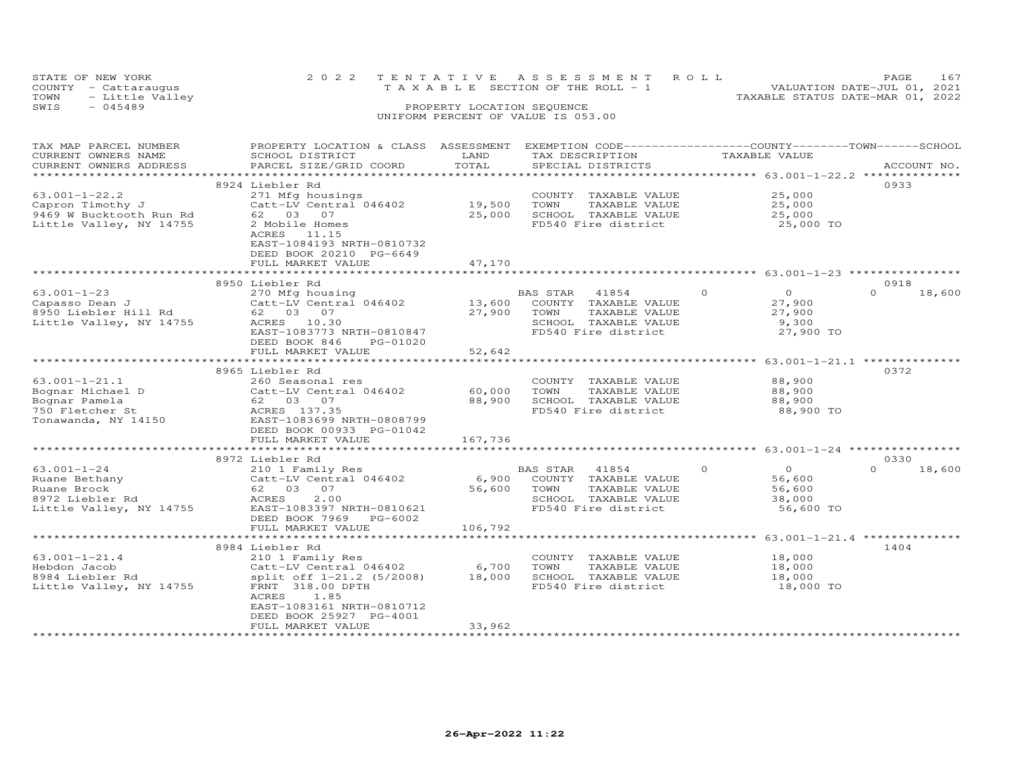|      | STATE OF NEW YORK    | 2022 TENTATIVE ASSESSMENT ROLL        |                            |  |                                  | PAGE                        | 167 |
|------|----------------------|---------------------------------------|----------------------------|--|----------------------------------|-----------------------------|-----|
|      | COUNTY - Cattaraugus | T A X A B L E SECTION OF THE ROLL - 1 |                            |  |                                  | VALUATION DATE-JUL 01, 2021 |     |
| TOWN | - Little Valley      |                                       |                            |  | TAXABLE STATUS DATE-MAR 01, 2022 |                             |     |
| SWIS | $-045489$            |                                       | PROPERTY LOCATION SEQUENCE |  |                                  |                             |     |
|      |                      | UNIFORM PERCENT OF VALUE IS 053.00    |                            |  |                                  |                             |     |

| TAX MAP PARCEL NUMBER   | PROPERTY LOCATION & CLASS ASSESSMENT EXEMPTION CODE----------------COUNTY-------TOWN-----SCHOOL |         |                       |                            |                    |
|-------------------------|-------------------------------------------------------------------------------------------------|---------|-----------------------|----------------------------|--------------------|
| CURRENT OWNERS NAME     | SCHOOL DISTRICT                                                                                 | LAND    | TAX DESCRIPTION       | TAXABLE VALUE              |                    |
| CURRENT OWNERS ADDRESS  | PARCEL SIZE/GRID COORD                                                                          | TOTAL   | SPECIAL DISTRICTS     |                            | ACCOUNT NO.        |
|                         |                                                                                                 |         |                       |                            |                    |
|                         | 8924 Liebler Rd                                                                                 |         |                       |                            | 0933               |
| $63.001 - 1 - 22.2$     | 271 Mfg housings                                                                                |         | COUNTY TAXABLE VALUE  | 25,000                     |                    |
| Capron Timothy J        | Catt-LV Central 046402                                                                          | 19,500  | TOWN<br>TAXABLE VALUE | 25,000                     |                    |
|                         | 62 03 07                                                                                        | 25,000  | SCHOOL TAXABLE VALUE  | 25,000                     |                    |
| 9469 W Bucktooth Run Rd |                                                                                                 |         |                       |                            |                    |
| Little Valley, NY 14755 | 2 Mobile Homes                                                                                  |         | FD540 Fire district   | 25,000 TO                  |                    |
|                         | ACRES 11.15                                                                                     |         |                       |                            |                    |
|                         | EAST-1084193 NRTH-0810732                                                                       |         |                       |                            |                    |
|                         | DEED BOOK 20210 PG-6649                                                                         |         |                       |                            |                    |
|                         | FULL MARKET VALUE                                                                               | 47,170  |                       |                            |                    |
|                         |                                                                                                 |         |                       |                            |                    |
|                         | 8950 Liebler Rd                                                                                 |         |                       |                            | 0918               |
| $63.001 - 1 - 23$       | 270 Mfg housing                                                                                 |         | 41854<br>BAS STAR     | $\Omega$<br>$\overline{0}$ | $\Omega$<br>18,600 |
| Capasso Dean J          | Catt-LV Central 046402                                                                          | 13,600  | COUNTY TAXABLE VALUE  | 27,900                     |                    |
| 8950 Liebler Hill Rd    | 62 03 07                                                                                        | 27,900  | TAXABLE VALUE<br>TOWN | 27,900                     |                    |
| Little Valley, NY 14755 | ACRES 10.30                                                                                     |         | SCHOOL TAXABLE VALUE  | 9,300                      |                    |
|                         |                                                                                                 |         | FD540 Fire district   | 27,900 TO                  |                    |
|                         | EAST-1083773 NRTH-0810847                                                                       |         |                       |                            |                    |
|                         | DEED BOOK 846<br>PG-01020                                                                       |         |                       |                            |                    |
|                         | FULL MARKET VALUE                                                                               | 52,642  |                       |                            |                    |
|                         | ***********************                                                                         |         |                       |                            |                    |
|                         | 8965 Liebler Rd                                                                                 |         |                       |                            | 0372               |
| $63.001 - 1 - 21.1$     | 260 Seasonal res                                                                                |         | COUNTY TAXABLE VALUE  | 88,900                     |                    |
| Bognar Michael D        | Catt-LV Central 046402                                                                          | 60,000  | TOWN<br>TAXABLE VALUE | 88,900                     |                    |
| Bognar Pamela           | 62 03 07                                                                                        | 88,900  | SCHOOL TAXABLE VALUE  | 88,900                     |                    |
| 750 Fletcher St         | ACRES 137.35                                                                                    |         | FD540 Fire district   | 88,900 TO                  |                    |
| Tonawanda, NY 14150     | EAST-1083699 NRTH-0808799                                                                       |         |                       |                            |                    |
|                         | DEED BOOK 00933 PG-01042                                                                        |         |                       |                            |                    |
|                         |                                                                                                 |         |                       |                            |                    |
|                         | FULL MARKET VALUE                                                                               | 167,736 |                       |                            |                    |
|                         |                                                                                                 |         |                       |                            |                    |
|                         | 8972 Liebler Rd                                                                                 |         |                       |                            | 0330               |
| $63.001 - 1 - 24$       | 210 1 Family Res                                                                                |         | BAS STAR<br>41854     | $\Omega$<br>$\Omega$       | $\Omega$<br>18,600 |
| Ruane Bethany           | Catt-LV Central 046402                                                                          | 6,900   | COUNTY TAXABLE VALUE  | 56,600                     |                    |
| Ruane Brock             | 62 03 07                                                                                        | 56,600  | TOWN<br>TAXABLE VALUE | 56,600                     |                    |
| 8972 Liebler Rd         | 2.00<br>ACRES                                                                                   |         | SCHOOL TAXABLE VALUE  | 38,000                     |                    |
| Little Valley, NY 14755 | EAST-1083397 NRTH-0810621                                                                       |         | FD540 Fire district   | 56,600 TO                  |                    |
|                         | DEED BOOK 7969<br>PG-6002                                                                       |         |                       |                            |                    |
|                         | FULL MARKET VALUE                                                                               | 106,792 |                       |                            |                    |
|                         |                                                                                                 |         |                       |                            |                    |
|                         | 8984 Liebler Rd                                                                                 |         |                       |                            | 1404               |
|                         |                                                                                                 |         |                       |                            |                    |
| $63.001 - 1 - 21.4$     | 210 1 Family Res                                                                                |         | COUNTY TAXABLE VALUE  | 18,000                     |                    |
| Hebdon Jacob            | Catt-LV Central 046402                                                                          | 6,700   | TOWN<br>TAXABLE VALUE | 18,000                     |                    |
| 8984 Liebler Rd         | split off 1-21.2 (5/2008)                                                                       | 18,000  | SCHOOL TAXABLE VALUE  | 18,000                     |                    |
| Little Valley, NY 14755 | FRNT 318.00 DPTH                                                                                |         | FD540 Fire district   | 18,000 TO                  |                    |
|                         | ACRES<br>1.85                                                                                   |         |                       |                            |                    |
|                         | EAST-1083161 NRTH-0810712                                                                       |         |                       |                            |                    |
|                         | DEED BOOK 25927 PG-4001                                                                         |         |                       |                            |                    |
|                         | FULL MARKET VALUE                                                                               | 33,962  |                       |                            |                    |
|                         | ********************                                                                            |         |                       |                            |                    |
|                         |                                                                                                 |         |                       |                            |                    |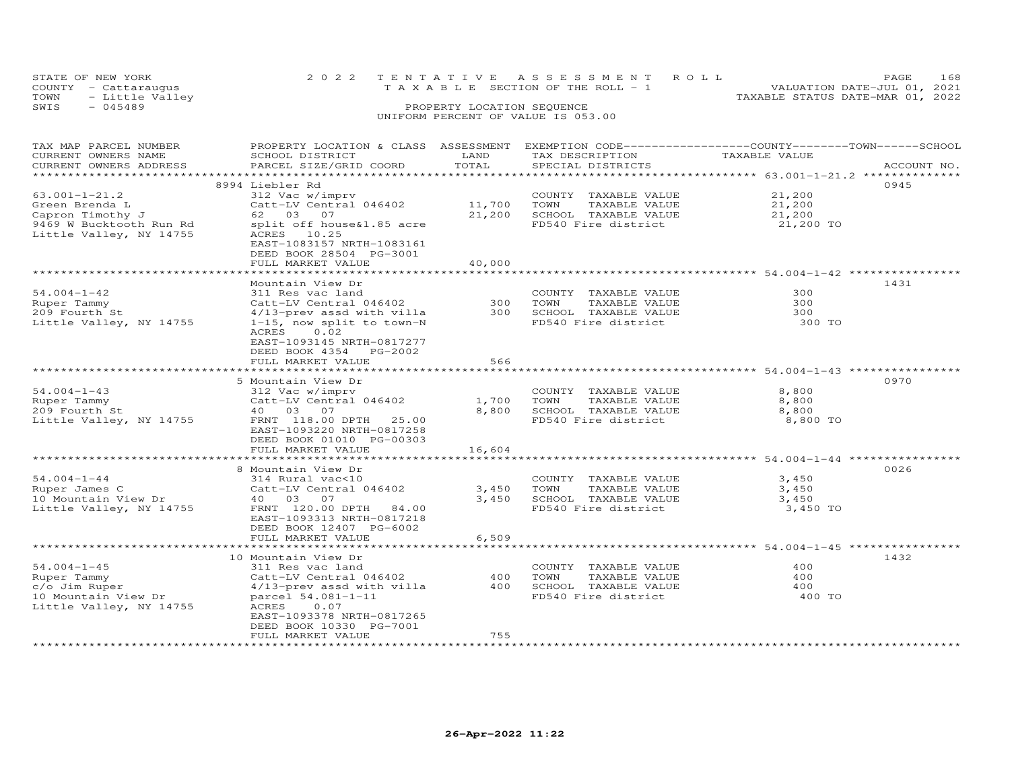|      | STATE OF NEW YORK    | 2022 TENTATIVE ASSESSMENT ROLL        | PAGE.                            | 168 |
|------|----------------------|---------------------------------------|----------------------------------|-----|
|      | COUNTY - Cattaraugus | T A X A B L E SECTION OF THE ROLL - 1 | VALUATION DATE-JUL 01, 2021      |     |
| TOWN | - Little Valley      |                                       | TAXABLE STATUS DATE-MAR 01, 2022 |     |
| SWIS | $-045489$            | PROPERTY LOCATION SEQUENCE            |                                  |     |
|      |                      | UNIFORM PERCENT OF VALUE IS 053.00    |                                  |     |

| TAX MAP PARCEL NUMBER<br>CURRENT OWNERS NAME<br>CURRENT OWNERS ADDRESS<br>********************                             | PROPERTY LOCATION & CLASS ASSESSMENT<br>SCHOOL DISTRICT<br>PARCEL SIZE/GRID COORD                                                                                                                                                 | LAND<br>TOTAL                     | EXEMPTION CODE-----------------COUNTY-------TOWN-----SCHOOL<br>TAX DESCRIPTION<br>SPECIAL DISTRICTS | TAXABLE VALUE                                                                                  | ACCOUNT NO. |
|----------------------------------------------------------------------------------------------------------------------------|-----------------------------------------------------------------------------------------------------------------------------------------------------------------------------------------------------------------------------------|-----------------------------------|-----------------------------------------------------------------------------------------------------|------------------------------------------------------------------------------------------------|-------------|
| $63.001 - 1 - 21.2$<br>Green Brenda L<br>Capron Timothy J<br>9469 W Bucktooth Run Rd<br>Little Valley, NY 14755            | 8994 Liebler Rd<br>312 Vac w/imprv<br>Catt-LV Central 046402<br>62 03<br>07<br>split off house&1.85 acre<br>ACRES 10.25<br>EAST-1083157 NRTH-1083161<br>DEED BOOK 28504 PG-3001<br>FULL MARKET VALUE<br>************************* | 11,700<br>21,200<br>40,000        | COUNTY TAXABLE VALUE<br>TOWN<br>TAXABLE VALUE<br>SCHOOL TAXABLE VALUE<br>FD540 Fire district        | 21,200<br>21,200<br>21,200<br>21,200 TO<br>******************************** 54.004-1-42 ****   | 0945        |
| $54.004 - 1 - 42$<br>Ruper Tammy<br>209 Fourth St<br>Little Valley, NY 14755                                               | Mountain View Dr<br>311 Res vac land<br>Catt-LV Central 046402<br>4/13-prev assd with villa<br>1-15, now split to town-N<br>0.02<br>ACRES<br>EAST-1093145 NRTH-0817277<br>DEED BOOK 4354 PG-2002                                  | 300<br>300                        | COUNTY<br>TAXABLE VALUE<br>TOWN<br>TAXABLE VALUE<br>SCHOOL TAXABLE VALUE<br>FD540 Fire district     | 300<br>300<br>300<br>300 TO                                                                    | 1431        |
|                                                                                                                            | FULL MARKET VALUE                                                                                                                                                                                                                 | 566                               |                                                                                                     | ************* 54.004-1-43 ****                                                                 |             |
| $54.004 - 1 - 43$<br>Ruper Tammy<br>209 Fourth St<br>Little Valley, NY 14755                                               | 5 Mountain View Dr<br>312 Vac w/imprv<br>Catt-LV Central 046402<br>40 03 07<br>FRNT 118.00 DPTH<br>25.00<br>EAST-1093220 NRTH-0817258<br>DEED BOOK 01010 PG-00303<br>FULL MARKET VALUE                                            | 1,700<br>8,800<br>16,604          | COUNTY<br>TAXABLE VALUE<br>TOWN<br>TAXABLE VALUE<br>SCHOOL TAXABLE VALUE<br>FD540 Fire district     | 8,800<br>8,800<br>8,800<br>8,800 TO<br>************* 54.004-1-44 *********                     | 0970        |
| $54.004 - 1 - 44$<br>Ruper James C<br>10 Mountain View Dr<br>Little Valley, NY 14755                                       | 8 Mountain View Dr<br>314 Rural vac<10<br>Catt-LV Central 046402<br>40 03 07<br>FRNT 120.00 DPTH<br>84.00<br>EAST-1093313 NRTH-0817218<br>DEED BOOK 12407 PG-6002<br>FULL MARKET VALUE                                            | 3,450<br>3,450<br>6,509           | COUNTY TAXABLE VALUE<br>TOWN<br>TAXABLE VALUE<br>SCHOOL TAXABLE VALUE<br>FD540 Fire district        | 3,450<br>3,450<br>3,450<br>3,450 TO<br>********************************* 54.004-1-45 ********* | 0026        |
| $54.004 - 1 - 45$<br>Ruper Tammy<br>c/o Jim Ruper<br>10 Mountain View Dr<br>Little Valley, NY 14755<br>******************* | 10 Mountain View Dr<br>311 Res vac land<br>Catt-LV Central 046402<br>4/13-prev assd with villa<br>parcel 54.081-1-11<br>ACRES<br>0.07<br>EAST-1093378 NRTH-0817265<br>DEED BOOK 10330 PG-7001<br>FULL MARKET VALUE                | 400<br>400<br>755<br>************ | COUNTY<br>TAXABLE VALUE<br>TAXABLE VALUE<br>TOWN<br>SCHOOL TAXABLE VALUE<br>FD540 Fire district     | 400<br>400<br>400<br>400 TO                                                                    | 1432        |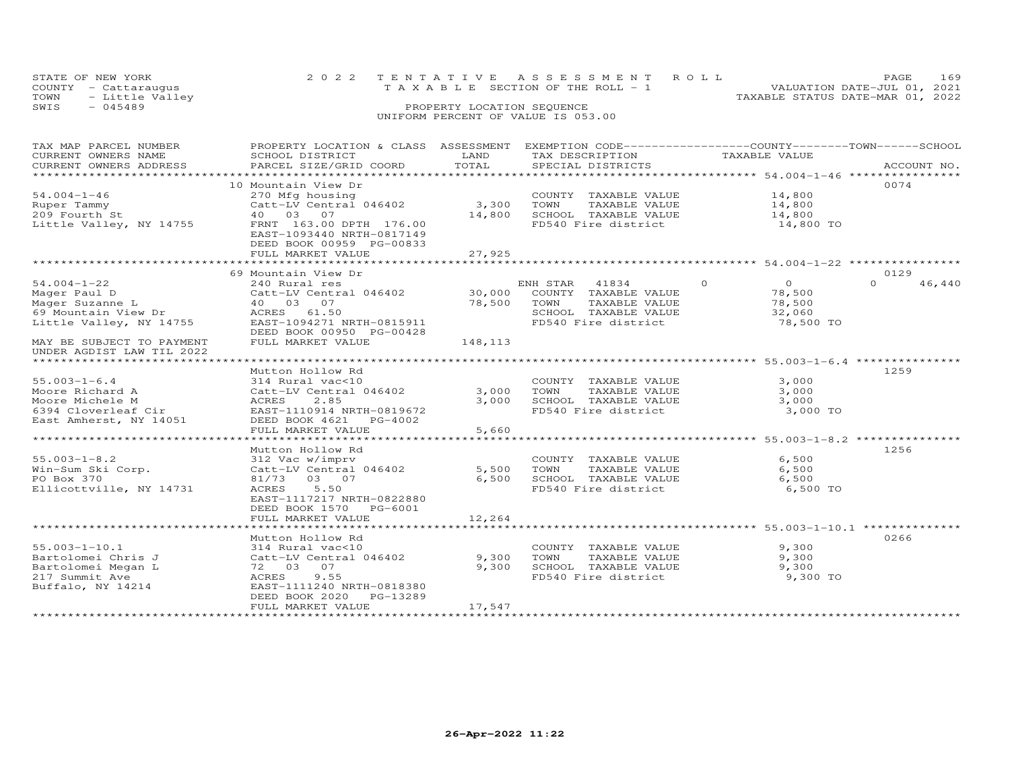|      | STATE OF NEW YORK<br>COUNTY - Cattaraugus | 2022 TENTATIVE ASSESSMENT ROLL<br>TAXABLE SECTION OF THE ROLL - 1 | PAGE.<br>VALUATION DATE-JUL 01, 2021 | 169 |
|------|-------------------------------------------|-------------------------------------------------------------------|--------------------------------------|-----|
|      | TOWN - Little Valley                      | TAXABLE STATUS DATE-MAR 01, 2022                                  |                                      |     |
| SWIS | $-045489$                                 | PROPERTY LOCATION SEOUENCE                                        |                                      |     |
|      |                                           | UNIFORM PERCENT OF VALUE IS 053.00                                |                                      |     |

| TAX MAP PARCEL NUMBER                | PROPERTY LOCATION & CLASS ASSESSMENT EXEMPTION CODE----------------COUNTY-------TOWN------SCHOOL |         |                       |                            |                  |
|--------------------------------------|--------------------------------------------------------------------------------------------------|---------|-----------------------|----------------------------|------------------|
| CURRENT OWNERS NAME                  | SCHOOL DISTRICT                                                                                  | LAND    | TAX DESCRIPTION       | TAXABLE VALUE              |                  |
| CURRENT OWNERS ADDRESS               | PARCEL SIZE/GRID COORD                                                                           | TOTAL   | SPECIAL DISTRICTS     |                            | ACCOUNT NO.      |
|                                      |                                                                                                  |         |                       |                            |                  |
|                                      | 10 Mountain View Dr                                                                              |         |                       |                            | 0074             |
| $54.004 - 1 - 46$                    | 270 Mfg housing                                                                                  |         | COUNTY TAXABLE VALUE  | 14,800                     |                  |
| Ruper Tammy                          | Catt-LV Central $046402$                                                                         | 3,300   | TOWN<br>TAXABLE VALUE | 14,800                     |                  |
| 209 Fourth St                        | 40  03  07                                                                                       | 14,800  | SCHOOL TAXABLE VALUE  | 14,800                     |                  |
| Little Valley, NY 14755              | FRNT 163.00 DPTH 176.00                                                                          |         | FD540 Fire district   | 14,800 TO                  |                  |
|                                      | EAST-1093440 NRTH-0817149                                                                        |         |                       |                            |                  |
|                                      | DEED BOOK 00959 PG-00833                                                                         |         |                       |                            |                  |
|                                      | FULL MARKET VALUE                                                                                | 27,925  |                       |                            |                  |
|                                      |                                                                                                  |         |                       |                            |                  |
|                                      | 69 Mountain View Dr                                                                              |         |                       |                            | 0129             |
| $54.004 - 1 - 22$                    | 240 Rural res                                                                                    |         | ENH STAR 41834        | $\Omega$<br>$\overline{O}$ | $\cap$<br>46,440 |
| Mager Paul D                         | Catt-LV Central 046402                                                                           | 30,000  | COUNTY TAXABLE VALUE  | 78,500                     |                  |
| Mager Suzanne L                      | 40 03 07                                                                                         | 78,500  | TOWN<br>TAXABLE VALUE | 78,500                     |                  |
| 69 Mountain View Dr                  | ACRES 61.50                                                                                      |         | SCHOOL TAXABLE VALUE  | 32,060                     |                  |
| Little Valley, NY 14755              | EAST-1094271 NRTH-0815911                                                                        |         | FD540 Fire district   | 78,500 TO                  |                  |
|                                      | DEED BOOK 00950 PG-00428                                                                         |         |                       |                            |                  |
| MAY BE SUBJECT TO PAYMENT            | FULL MARKET VALUE                                                                                | 148,113 |                       |                            |                  |
| UNDER AGDIST LAW TIL 2022            |                                                                                                  |         |                       |                            |                  |
|                                      |                                                                                                  |         |                       |                            |                  |
|                                      | Mutton Hollow Rd                                                                                 |         |                       |                            | 1259             |
| $55.003 - 1 - 6.4$                   | 314 Rural vac<10                                                                                 |         | COUNTY TAXABLE VALUE  | 3,000                      |                  |
| Moore Richard A                      | Catt-LV Central 046402                                                                           | 3,000   | TOWN<br>TAXABLE VALUE | 3,000                      |                  |
| Moore Michele M                      | ACRES<br>2.85                                                                                    | 3,000   | SCHOOL TAXABLE VALUE  | 3,000                      |                  |
|                                      | 6394 Cloverleaf Cir EAST-1110914 NRTH-0819672                                                    |         | FD540 Fire district   | 3,000 TO                   |                  |
| East Amherst, NY 14051               | DEED BOOK 4621 PG-4002                                                                           |         |                       |                            |                  |
|                                      | FULL MARKET VALUE                                                                                | 5,660   |                       |                            |                  |
|                                      |                                                                                                  |         |                       |                            |                  |
|                                      | Mutton Hollow Rd                                                                                 |         |                       |                            | 1256             |
| $55.003 - 1 - 8.2$                   | 312 Vac w/imprv                                                                                  |         | COUNTY TAXABLE VALUE  | 6,500                      |                  |
| Win-Sum Ski Corp.                    | Catt-LV Central 046402                                                                           | 5,500   | TOWN<br>TAXABLE VALUE | 6,500                      |                  |
| PO Box 370                           | 81/73 03 07                                                                                      | 6,500   | SCHOOL TAXABLE VALUE  | 6,500                      |                  |
| Ellicottville, NY 14731              | 5.50<br>ACRES                                                                                    |         | FD540 Fire district   | 6,500 TO                   |                  |
|                                      | EAST-1117217 NRTH-0822880                                                                        |         |                       |                            |                  |
|                                      | DEED BOOK 1570 PG-6001                                                                           |         |                       |                            |                  |
|                                      | FULL MARKET VALUE                                                                                | 12,264  |                       |                            |                  |
|                                      |                                                                                                  |         |                       |                            |                  |
|                                      | Mutton Hollow Rd                                                                                 |         |                       |                            | 0266             |
| $55.003 - 1 - 10.1$                  | 314 Rural vac<10                                                                                 |         | COUNTY TAXABLE VALUE  | 9,300                      |                  |
| Bartolomei Chris J                   | Catt-LV Central 046402                                                                           | 9,300   | TOWN<br>TAXABLE VALUE | 9,300                      |                  |
|                                      | 72 03 07                                                                                         | 9,300   | SCHOOL TAXABLE VALUE  | 9,300                      |                  |
| Bartolomei Megan L<br>217 Summit Ave | 9.55<br>ACRES                                                                                    |         | FD540 Fire district   | 9,300 TO                   |                  |
| Buffalo, NY 14214                    | EAST-1111240 NRTH-0818380                                                                        |         |                       |                            |                  |
|                                      | DEED BOOK 2020 PG-13289                                                                          |         |                       |                            |                  |
|                                      | FULL MARKET VALUE                                                                                | 17,547  |                       |                            |                  |
|                                      |                                                                                                  |         |                       |                            |                  |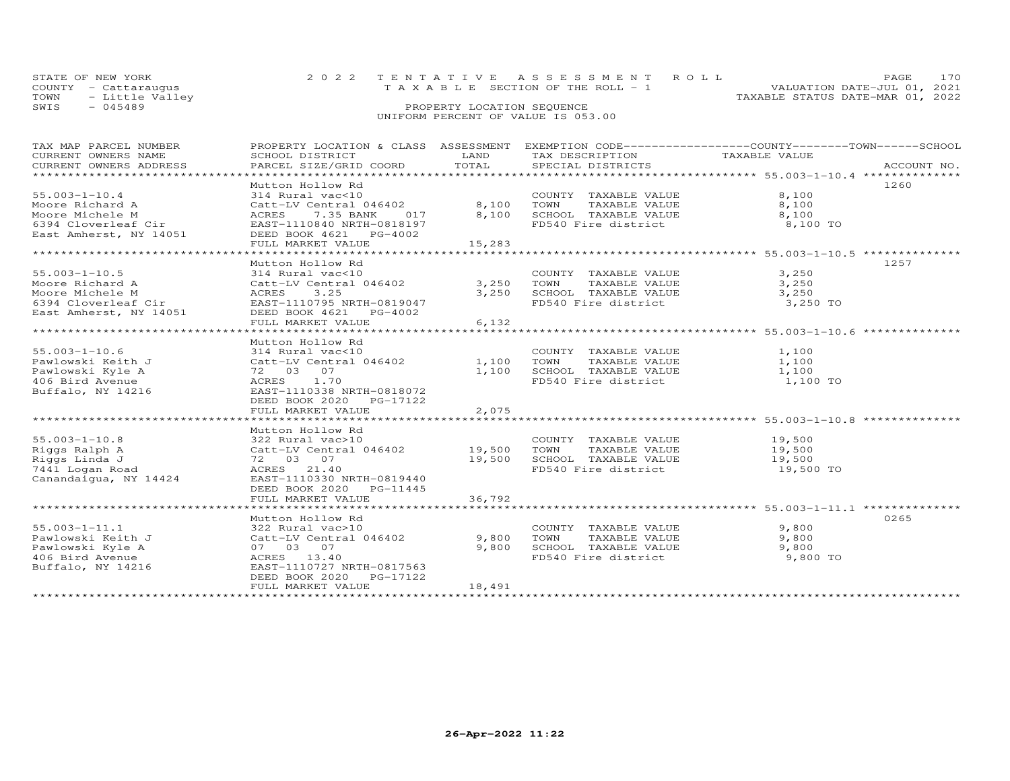|      | STATE OF NEW YORK    | 2022 TENTATIVE ASSESSMENT ROLL        |                                  | <b>PAGE</b> |  |
|------|----------------------|---------------------------------------|----------------------------------|-------------|--|
|      | COUNTY - Cattarauqus | T A X A B L E SECTION OF THE ROLL - 1 | VALUATION DATE-JUL 01, 2021      |             |  |
| TOWN | - Little Valley      |                                       | TAXABLE STATUS DATE-MAR 01, 2022 |             |  |
| SWIS | - 045489             | PROPERTY LOCATION SEQUENCE            |                                  |             |  |
|      |                      | UNIFORM PERCENT OF VALUE IS 053.00    |                                  |             |  |

| TAX MAP PARCEL NUMBER                                                                                                                                                                                                                             |                                                                                                                                                                                                                                                      |        |                                                       | PROPERTY LOCATION & CLASS ASSESSMENT EXEMPTION CODE----------------COUNTY-------TOWN------SCHOOL |  |
|---------------------------------------------------------------------------------------------------------------------------------------------------------------------------------------------------------------------------------------------------|------------------------------------------------------------------------------------------------------------------------------------------------------------------------------------------------------------------------------------------------------|--------|-------------------------------------------------------|--------------------------------------------------------------------------------------------------|--|
| CURRENT OWNERS NAME                                                                                                                                                                                                                               | SCHOOL DISTRICT                                                                                                                                                                                                                                      | LAND   | TAX DESCRIPTION                                       | TAXABLE VALUE                                                                                    |  |
| CURRENT OWNERS ADDRESS                                                                                                                                                                                                                            |                                                                                                                                                                                                                                                      |        |                                                       |                                                                                                  |  |
| *************************                                                                                                                                                                                                                         |                                                                                                                                                                                                                                                      |        |                                                       |                                                                                                  |  |
|                                                                                                                                                                                                                                                   | Mutton Hollow Rd                                                                                                                                                                                                                                     |        |                                                       | 1260                                                                                             |  |
| $55.003 - 1 - 10.4$                                                                                                                                                                                                                               | 314 Rural vac<10                                                                                                                                                                                                                                     |        | COUNTY TAXABLE VALUE 8,100                            |                                                                                                  |  |
|                                                                                                                                                                                                                                                   |                                                                                                                                                                                                                                                      |        | TOWN                                                  | TAXABLE VALUE 8,100                                                                              |  |
|                                                                                                                                                                                                                                                   |                                                                                                                                                                                                                                                      |        |                                                       |                                                                                                  |  |
| Moore Richard A<br>Moore Michele M<br>6394 Cloverleaf Cir<br>East Amherst, NY 14051<br>East Amherst, NY 14051<br>East Amherst, NY 14051<br>East Amherst, NY 14051<br>EAST-1110840 NRTH-0818197<br>EEED BOOK 4621<br>PG-4002<br>THE NOT CONTRES ON |                                                                                                                                                                                                                                                      |        |                                                       |                                                                                                  |  |
|                                                                                                                                                                                                                                                   |                                                                                                                                                                                                                                                      |        |                                                       |                                                                                                  |  |
|                                                                                                                                                                                                                                                   | FULL MARKET VALUE                                                                                                                                                                                                                                    | 15,283 |                                                       |                                                                                                  |  |
|                                                                                                                                                                                                                                                   |                                                                                                                                                                                                                                                      |        |                                                       |                                                                                                  |  |
|                                                                                                                                                                                                                                                   | Mutton Hollow Rd                                                                                                                                                                                                                                     |        |                                                       | 1257                                                                                             |  |
| $55.003 - 1 - 10.5$                                                                                                                                                                                                                               | 314 Rural vac<10                                                                                                                                                                                                                                     |        | COUNTY TAXABLE VALUE                                  | 3,250                                                                                            |  |
| Moore Richard A                                                                                                                                                                                                                                   | Catt-LV Central 046402 3,250 TOWN                                                                                                                                                                                                                    |        |                                                       |                                                                                                  |  |
| Moore Michele M                                                                                                                                                                                                                                   | ACRES 3.25                                                                                                                                                                                                                                           | 3,250  | TOWN       TAXABLE  VALUE<br>SCHOOL    TAXABLE  VALUE | $\frac{3}{2}$ , 250<br>3,250                                                                     |  |
| 6394 Cloverleaf Cir EAST-1110795 NRTH-0819047                                                                                                                                                                                                     |                                                                                                                                                                                                                                                      |        | FD540 Fire district 3,250 TO                          |                                                                                                  |  |
| East Amherst, NY 14051                                                                                                                                                                                                                            | DEED BOOK 4621 PG-4002                                                                                                                                                                                                                               |        |                                                       |                                                                                                  |  |
|                                                                                                                                                                                                                                                   | FULL MARKET VALUE                                                                                                                                                                                                                                    | 6,132  |                                                       |                                                                                                  |  |
|                                                                                                                                                                                                                                                   |                                                                                                                                                                                                                                                      |        |                                                       |                                                                                                  |  |
|                                                                                                                                                                                                                                                   | Mutton Hollow Rd                                                                                                                                                                                                                                     |        |                                                       |                                                                                                  |  |
| $55.003 - 1 - 10.6$                                                                                                                                                                                                                               |                                                                                                                                                                                                                                                      |        |                                                       |                                                                                                  |  |
| Pawlowski Keith J                                                                                                                                                                                                                                 |                                                                                                                                                                                                                                                      |        | COUNTY TAXABLE VALUE 1,100<br>TAXABLE VALUE           | 1,100                                                                                            |  |
| Pawlowski Kyle A                                                                                                                                                                                                                                  | 314 Rural vac<10 COUNTY<br>Catt-LV Central 046402 1,100 TOWN<br>72 03 07 1,100 SCHOOL<br>ACRES 1.70 FD540 Fi<br>EAST-1110338 NRTH-0818072                                                                                                            |        | 1,100 SCHOOL TAXABLE VALUE 1,100                      |                                                                                                  |  |
| 406 Bird Avenue                                                                                                                                                                                                                                   |                                                                                                                                                                                                                                                      |        | FD540 Fire district 1,100 TO                          |                                                                                                  |  |
| Buffalo, NY 14216                                                                                                                                                                                                                                 |                                                                                                                                                                                                                                                      |        |                                                       |                                                                                                  |  |
|                                                                                                                                                                                                                                                   | DEED BOOK 2020 PG-17122                                                                                                                                                                                                                              |        |                                                       |                                                                                                  |  |
|                                                                                                                                                                                                                                                   |                                                                                                                                                                                                                                                      |        |                                                       |                                                                                                  |  |
|                                                                                                                                                                                                                                                   | FULL MARKET VALUE                                                                                                                                                                                                                                    | 2,075  |                                                       |                                                                                                  |  |
|                                                                                                                                                                                                                                                   |                                                                                                                                                                                                                                                      |        |                                                       |                                                                                                  |  |
|                                                                                                                                                                                                                                                   | Mutton Hollow Rd                                                                                                                                                                                                                                     |        |                                                       |                                                                                                  |  |
| $55.003 - 1 - 10.8$                                                                                                                                                                                                                               |                                                                                                                                                                                                                                                      |        |                                                       |                                                                                                  |  |
| Riggs Ralph A                                                                                                                                                                                                                                     |                                                                                                                                                                                                                                                      |        |                                                       | 19,500                                                                                           |  |
| Riggs Linda J                                                                                                                                                                                                                                     |                                                                                                                                                                                                                                                      |        |                                                       |                                                                                                  |  |
| 7441 Logan Road                                                                                                                                                                                                                                   | Mutton Hollow Rue<br>32 Rural vac>10<br>Catt-LV Central 046402<br>72 03 07<br>ACRES 21.40<br>ACRES 21.40<br>PLEM ED540 Fire district<br>PLEM ED540 Fire district<br>PLEM 19,500<br>PLEM ED540 Fire district<br>PLEM 19,500<br>PLEM ED540 Fire distri |        |                                                       | 19,500 TO                                                                                        |  |
| Canandaigua, NY 14424                                                                                                                                                                                                                             |                                                                                                                                                                                                                                                      |        |                                                       |                                                                                                  |  |
|                                                                                                                                                                                                                                                   | DEED BOOK 2020 PG-11445                                                                                                                                                                                                                              |        |                                                       |                                                                                                  |  |
|                                                                                                                                                                                                                                                   | FULL MARKET VALUE                                                                                                                                                                                                                                    | 36,792 |                                                       |                                                                                                  |  |
|                                                                                                                                                                                                                                                   |                                                                                                                                                                                                                                                      |        |                                                       |                                                                                                  |  |
|                                                                                                                                                                                                                                                   | Mutton Hollow Rd                                                                                                                                                                                                                                     |        |                                                       | 0265                                                                                             |  |
| $55.003 - 1 - 11.1$                                                                                                                                                                                                                               | 322 Rural vac>10                                                                                                                                                                                                                                     |        | COUNTY TAXABLE VALUE                                  | 9,800                                                                                            |  |
| Pawlowski Keith J                                                                                                                                                                                                                                 | 322 Kurai vaczio<br>Catt-LV Central 046402                                                                                                                                                                                                           | 9,800  | TOWN<br>TAXABLE VALUE                                 | 9,800                                                                                            |  |
| Pawlowski Kyle A                                                                                                                                                                                                                                  | 07 03 07                                                                                                                                                                                                                                             | 9,800  | SCHOOL TAXABLE VALUE 9,800                            |                                                                                                  |  |
| 406 Bird Avenue                                                                                                                                                                                                                                   | ACRES 13.40<br>EAST-1110727 N                                                                                                                                                                                                                        |        | FD540 Fire district                                   | 9,800 TO                                                                                         |  |
| Buffalo, NY 14216                                                                                                                                                                                                                                 | EAST-1110727 NRTH-0817563                                                                                                                                                                                                                            |        |                                                       |                                                                                                  |  |
|                                                                                                                                                                                                                                                   | DEED BOOK 2020<br>PG-17122                                                                                                                                                                                                                           |        |                                                       |                                                                                                  |  |
|                                                                                                                                                                                                                                                   | FULL MARKET VALUE                                                                                                                                                                                                                                    | 18,491 |                                                       |                                                                                                  |  |
|                                                                                                                                                                                                                                                   |                                                                                                                                                                                                                                                      |        |                                                       |                                                                                                  |  |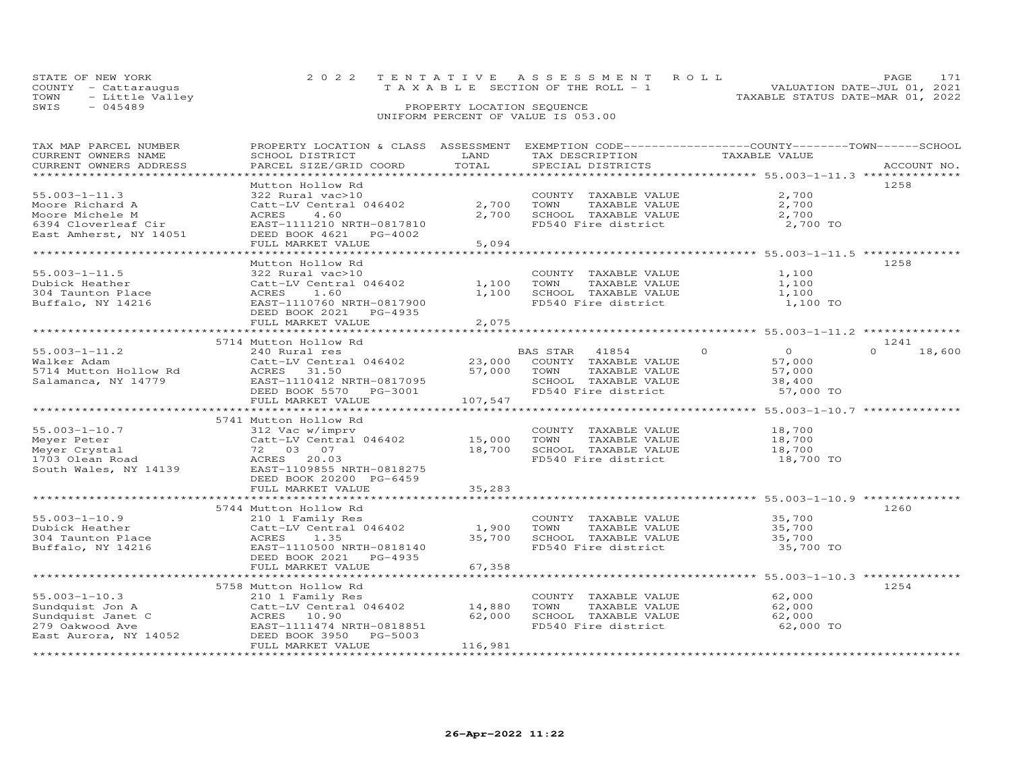| STATE OF NEW YORK    | 2022 TENTATIVE ASSESSMENT ROLL  | PAGE 171                         |
|----------------------|---------------------------------|----------------------------------|
| COUNTY - Cattarauqus | TAXABLE SECTION OF THE ROLL - 1 | VALUATION DATE-JUL 01, 2021      |
| TOWN - Little Valley |                                 | TAXABLE STATUS DATE-MAR 01, 2022 |
| - 045489<br>SWIS     | PROPERTY LOCATION SEQUENCE      |                                  |

| TAX MAP PARCEL NUMBER  | PROPERTY LOCATION & CLASS ASSESSMENT EXEMPTION CODE-----------------COUNTY-------TOWN------SCHOOL |                         |                       |                                                               |                    |
|------------------------|---------------------------------------------------------------------------------------------------|-------------------------|-----------------------|---------------------------------------------------------------|--------------------|
| CURRENT OWNERS NAME    | SCHOOL DISTRICT                                                                                   | LAND                    | TAX DESCRIPTION       | TAXABLE VALUE                                                 |                    |
| CURRENT OWNERS ADDRESS | PARCEL SIZE/GRID COORD                                                                            | TOTAL                   | SPECIAL DISTRICTS     |                                                               | ACCOUNT NO.        |
|                        |                                                                                                   |                         |                       |                                                               |                    |
|                        | Mutton Hollow Rd                                                                                  |                         |                       |                                                               | 1258               |
| $55.003 - 1 - 11.3$    |                                                                                                   |                         |                       | 2,700                                                         |                    |
|                        | 322 Rural vac>10                                                                                  |                         | COUNTY TAXABLE VALUE  |                                                               |                    |
| Moore Richard A        | Catt-LV Central 046402                                                                            | 2,700                   | TAXABLE VALUE<br>TOWN | 2,700                                                         |                    |
| Moore Michele M        | ACRES<br>4.60                                                                                     | 2,700                   | SCHOOL TAXABLE VALUE  | 2,700                                                         |                    |
| 6394 Cloverleaf Cir    | EAST-1111210 NRTH-0817810                                                                         |                         | FD540 Fire district   | 2,700 TO                                                      |                    |
| East Amherst, NY 14051 | DEED BOOK 4621<br>PG-4002                                                                         |                         |                       |                                                               |                    |
|                        | FULL MARKET VALUE                                                                                 | 5,094                   |                       |                                                               |                    |
|                        | *****************************                                                                     | **************          |                       | ******************************** 55.003-1-11.5 ************** |                    |
|                        | Mutton Hollow Rd                                                                                  |                         |                       |                                                               | 1258               |
| $55.003 - 1 - 11.5$    | 322 Rural vac>10                                                                                  |                         | COUNTY TAXABLE VALUE  | 1,100                                                         |                    |
| Dubick Heather         | Catt-LV Central 046402                                                                            | 1,100                   | TOWN<br>TAXABLE VALUE | 1,100                                                         |                    |
|                        |                                                                                                   |                         |                       |                                                               |                    |
| 304 Taunton Place      | 1.60<br>ACRES                                                                                     | 1,100                   | SCHOOL TAXABLE VALUE  | 1,100                                                         |                    |
| Buffalo, NY 14216      | EAST-1110760 NRTH-0817900                                                                         |                         | FD540 Fire district   | 1,100 TO                                                      |                    |
|                        | DEED BOOK 2021<br>PG-4935                                                                         |                         |                       |                                                               |                    |
|                        | FULL MARKET VALUE                                                                                 | 2,075                   |                       |                                                               |                    |
|                        | ********************************                                                                  | * * * * * * * * * * * * |                       | *********************** 55.003-1-11.2 **************          |                    |
|                        | 5714 Mutton Hollow Rd                                                                             |                         |                       |                                                               | 1241               |
| $55.003 - 1 - 11.2$    | 240 Rural res                                                                                     |                         | BAS STAR<br>41854     | $\overline{O}$<br>$\circ$                                     | $\Omega$<br>18,600 |
| Walker Adam            | Catt-LV Central 046402                                                                            | 23,000                  | COUNTY TAXABLE VALUE  | 57,000                                                        |                    |
| 5714 Mutton Hollow Rd  | ACRES<br>31.50                                                                                    | 57,000                  | TOWN<br>TAXABLE VALUE | 57,000                                                        |                    |
| Salamanca, NY 14779    | EAST-1110412 NRTH-0817095                                                                         |                         | SCHOOL TAXABLE VALUE  | 38,400                                                        |                    |
|                        |                                                                                                   |                         | FD540 Fire district   |                                                               |                    |
|                        | DEED BOOK 5570<br>PG-3001                                                                         |                         |                       | 57,000 TO                                                     |                    |
|                        | FULL MARKET VALUE                                                                                 | 107,547                 |                       |                                                               |                    |
|                        |                                                                                                   |                         |                       |                                                               |                    |
|                        | 5741 Mutton Hollow Rd                                                                             |                         |                       |                                                               |                    |
| $55.003 - 1 - 10.7$    | 312 Vac w/imprv                                                                                   |                         | COUNTY TAXABLE VALUE  | 18,700                                                        |                    |
| Meyer Peter            | Catt-LV Central 046402                                                                            | 15,000                  | TOWN<br>TAXABLE VALUE | 18,700                                                        |                    |
| Meyer Crystal          | 72 03 07                                                                                          | 18,700                  | SCHOOL TAXABLE VALUE  | 18,700                                                        |                    |
| 1703 Olean Road        | ACRES 20.03                                                                                       |                         | FD540 Fire district   | 18,700 TO                                                     |                    |
| South Wales, NY 14139  | EAST-1109855 NRTH-0818275                                                                         |                         |                       |                                                               |                    |
|                        | DEED BOOK 20200 PG-6459                                                                           |                         |                       |                                                               |                    |
|                        | FULL MARKET VALUE                                                                                 | 35,283                  |                       |                                                               |                    |
|                        |                                                                                                   |                         |                       | ******************************* 55.003-1-10.9 *************** |                    |
|                        |                                                                                                   |                         |                       |                                                               | 1260               |
|                        | 5744 Mutton Hollow Rd                                                                             |                         |                       |                                                               |                    |
| $55.003 - 1 - 10.9$    | 210 1 Family Res                                                                                  |                         | COUNTY TAXABLE VALUE  | 35,700                                                        |                    |
| Dubick Heather         | Catt-LV Central 046402                                                                            | 1,900                   | TOWN<br>TAXABLE VALUE | 35,700                                                        |                    |
| 304 Taunton Place      | ACRES<br>1.35                                                                                     | 35,700                  | SCHOOL TAXABLE VALUE  | 35,700                                                        |                    |
| Buffalo, NY 14216      | EAST-1110500 NRTH-0818140                                                                         |                         | FD540 Fire district   | 35,700 TO                                                     |                    |
|                        | DEED BOOK 2021<br>PG-4935                                                                         |                         |                       |                                                               |                    |
|                        | FULL MARKET VALUE                                                                                 | 67,358                  |                       |                                                               |                    |
|                        | ************************                                                                          | **********              |                       | ******************** 55.003-1-10.3 ***************            |                    |
|                        | 5758 Mutton Hollow Rd                                                                             |                         |                       |                                                               | 1254               |
| $55.003 - 1 - 10.3$    | 210 1 Family Res                                                                                  |                         | COUNTY TAXABLE VALUE  | 62,000                                                        |                    |
|                        |                                                                                                   | 14,880                  |                       | 62,000                                                        |                    |
| Sundquist Jon A        | Catt-LV Central 046402                                                                            |                         | TAXABLE VALUE<br>TOWN |                                                               |                    |
| Sundquist Janet C      | ACRES 10.90                                                                                       | 62,000                  | SCHOOL TAXABLE VALUE  | 62,000                                                        |                    |
| 279 Oakwood Ave        | EAST-1111474 NRTH-0818851                                                                         |                         | FD540 Fire district   | 62,000 TO                                                     |                    |
| East Aurora, NY 14052  | DEED BOOK 3950 PG-5003                                                                            |                         |                       |                                                               |                    |
|                        | FULL MARKET VALUE                                                                                 | 116,981                 |                       |                                                               |                    |
|                        |                                                                                                   |                         |                       |                                                               |                    |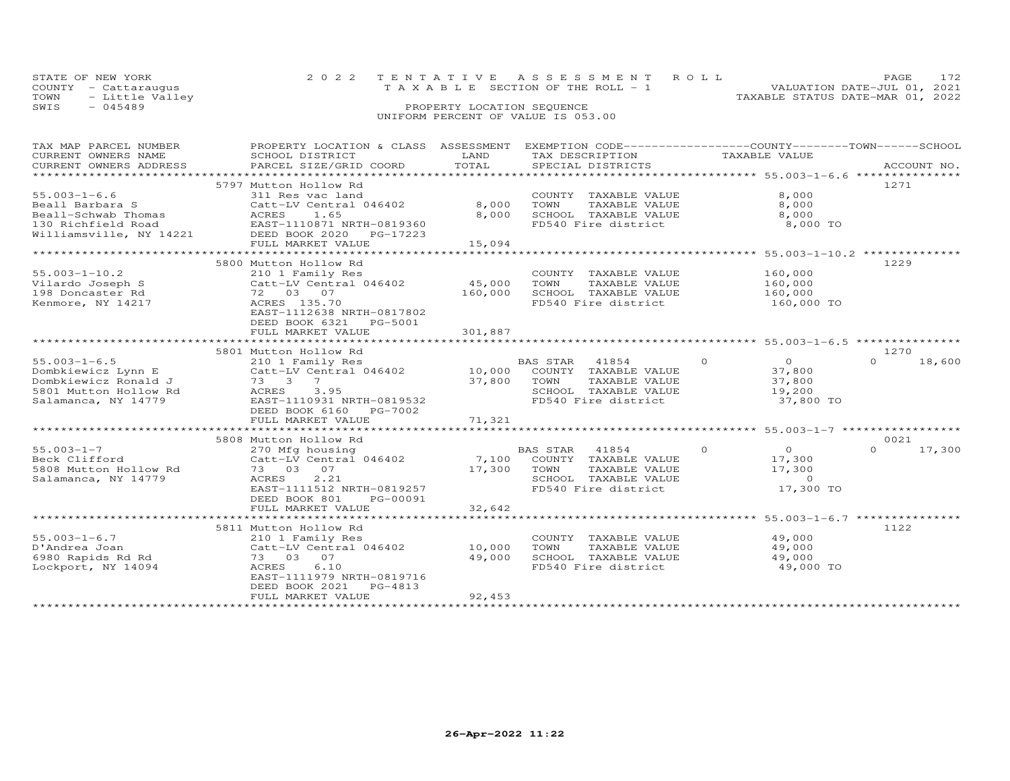| STATE OF NEW YORK       | 2022 TENTATIVE ASSESSMENT ROLL        | PAGE.                            |
|-------------------------|---------------------------------------|----------------------------------|
| COUNTY - Cattarauqus    | T A X A B L E SECTION OF THE ROLL - 1 | VALUATION DATE-JUL 01, 2021      |
| TOWN<br>- Little Valley |                                       | TAXABLE STATUS DATE-MAR 01, 2022 |
| SWIS<br>- 045489        | PROPERTY LOCATION SEQUENCE            |                                  |
|                         | UNIFORM PERCENT OF VALUE IS 053.00    |                                  |

# TAX MAP PARCEL NUMBER PROPERTY LOCATION & CLASS ASSESSMENT EXEMPTION CODE------------------COUNTY--------TOWN------SCHOOL CURRENT OWNERS NAME SCHOOL DISTRICT LAND TAX DESCRIPTION TAXABLE VALUE CURRENT OWNERS ADDRESS PARCEL SIZE/GRID COORD TOTAL SPECIAL DISTRICTS ACCOUNT NO. \*\*\*\*\*\*\*\*\*\*\*\*\*\*\*\*\*\*\*\*\*\*\*\*\*\*\*\*\*\*\*\*\*\*\*\*\*\*\*\*\*\*\*\*\*\*\*\*\*\*\*\*\*\*\*\*\*\*\*\*\*\*\*\*\*\*\*\*\*\*\*\*\*\*\*\*\*\*\*\*\*\*\*\*\*\*\*\*\*\*\*\*\*\*\*\*\*\*\*\*\*\*\* 55.003-1-6.6 \*\*\*\*\*\*\*\*\*\*\*\*\*\*\*5797 Mutton Hollow Rd 55.003-1-6.6 5797 Mutton Hollow Rd 55.003-1-6.6 5797 Mutton Hollow Rd 55.000 5797 Mutton Hollow Rd 55.000 5797 Mutton Hollow Rd 55.000 5797 Mutton Hollow Rd 5797 Mutton Hollow Rd 5797 Mutton Hollow Rd 55.003-1-6.6 311 Res vac land COUNTY TAXABLE VALUE 8,000Beall Barbara S Catt-LV Central 046402 8,000 TOWN TAXABLE VALUE 8,000Beall-Schwab Thomas ACRES 1.65 8,000 SCHOOL TAXABLE VALUE 8,000130 Richfield Road EAST-1110871 NRTH-0819360 FD540 Fire district 8,000 TOWilliamsville, NY 14221 DEED BOOK 2020 PG-17223 FULL MARKET VALUE 15,0948,000 8,000 8,000 TO \*\*\*\*\*\*\*\*\*\*\*\*\*\*\*\*\*\*\*\*\*\*\*\*\*\*\*\*\*\*\*\*\*\*\*\*\*\*\*\*\*\*\*\*\*\*\*\*\*\*\*\*\*\*\*\*\*\*\*\*\*\*\*\*\*\*\*\*\*\*\*\*\*\*\*\*\*\*\*\*\*\*\*\*\*\*\*\*\*\*\*\*\*\*\*\*\*\*\*\*\*\*\* 55.003-1-10.2 \*\*\*\*\*\*\*\*\*\*\*\*\*\* 5800 Mutton Hollow Rd 122955.003-1-10.2 210 1 Family Res COUNTY TAXABLE VALUE 160,000Vilardo Joseph S Catt-LV Central 046402 45,000 TOWN TAXABLE VALUE 160,000198 Doncaster Rd 72 03 07 160,000 SCHOOL TAXABLE VALUE 160,000Kenmore, NY 14217 ACRES 135.70 FD540 Fire district 160,000 TO֖֖֚֚֚֚֚֚֚֚֚֚֚֚֚֚֚֚֚֚֚֚֡֡֡֡֡֡֡֡֡֡֡֞ 160,000 TO EAST-1112638 NRTH-0817802 DEED BOOK 6321 PG-5001FULL MARKET VALUE 301,887 \*\*\*\*\*\*\*\*\*\*\*\*\*\*\*\*\*\*\*\*\*\*\*\*\*\*\*\*\*\*\*\*\*\*\*\*\*\*\*\*\*\*\*\*\*\*\*\*\*\*\*\*\*\*\*\*\*\*\*\*\*\*\*\*\*\*\*\*\*\*\*\*\*\*\*\*\*\*\*\*\*\*\*\*\*\*\*\*\*\*\*\*\*\*\*\*\*\*\*\*\*\*\* 55.003-1-6.5 \*\*\*\*\*\*\*\*\*\*\*\*\*\*\* 5801 Mutton Hollow Rd 127055.003-1-6.5 210 1 Family Res BAS STAR 41854 0 0 0 18,600Dombkiewicz Lynn E Catt-LV Central 046402 10,000 COUNTY TAXABLE VALUE 37,800 Dombkiewicz Ronald J 73 3 7 37,800 TOWN TAXABLE VALUE 37,800 5801 Mutton Hollow Rd ACRES 3.95 SCHOOL TAXABLE VALUE 19,200 Salamanca, NY 14779 EAST-1110931 NRTH-0819532 FD540 Fire district 37,800 TO DEED BOOK 6160 PG-7002 FULL MARKET VALUE 71,321 $0 \t 18,600$  \*\*\*\*\*\*\*\*\*\*\*\*\*\*\*\*\*\*\*\*\*\*\*\*\*\*\*\*\*\*\*\*\*\*\*\*\*\*\*\*\*\*\*\*\*\*\*\*\*\*\*\*\*\*\*\*\*\*\*\*\*\*\*\*\*\*\*\*\*\*\*\*\*\*\*\*\*\*\*\*\*\*\*\*\*\*\*\*\*\*\*\*\*\*\*\*\*\*\*\*\*\*\* 55.003-1-7 \*\*\*\*\*\*\*\*\*\*\*\*\*\*\*\*\* 5808 Mutton Hollow Rd 002155.003-1-7 270 Mfg housing BAS STAR 41854 0 0 0 17,300Beck Clifford Catt-LV Central 046402 7,100 COUNTY TAXABLE VALUE 17,300 5808 Mutton Hollow Rd 73 03 07 17,300 TOWN TAXABLE VALUE 17,300 Salamanca, NY 14779 ACRES 2.21 SCHOOL TAXABLE VALUE 0 EAST-1111512 NRTH-0819257 FD540 Fire district 17,300 TO DEED BOOK 801 PG-00091 FULL MARKET VALUE 32,642 5811 Mutton Hollow Rd 1122 $0 \t 17,300$ \*\*\*\*\*\*\*\*\*\*\*\*\*\*\*\*\*\*\*\*\*\*\*\*\*\*\*\*\*\*\*\*\*\*\*\*\*\*\*\*\*\*\*\*\*\*\*\*\*\*\*\*\*\*\*\*\*\*\*\*\*\*\*\*\*\*\*\*\*\*\*\*\*\*\*\*\*\*\*\*\*\*\*\*\*\*\*\*\*\*\*\*\*\*\*\*\*\*\*\*\*\*\* 55.003-1-6.7 \*\*\*\*\*\*\*\*\*\*\*\*\*\*\*55.003-1-6.7 210 1 Family Res COUNTY TAXABLE VALUE 49,000 D'Andrea Joan Catt-LV Central 046402 10,000 TOWN TAXABLE VALUE 49,000 6980 Rapids Rd Rd 73 03 07 49,000 SCHOOL TAXABLE VALUE 49,000 Lockport, NY 14094 ACRES 6.10 FD540 Fire district 49,000 TO EAST-1111979 NRTH-0819716 DEED BOOK 2021 PG-4813FULL MARKET VALUE 92,453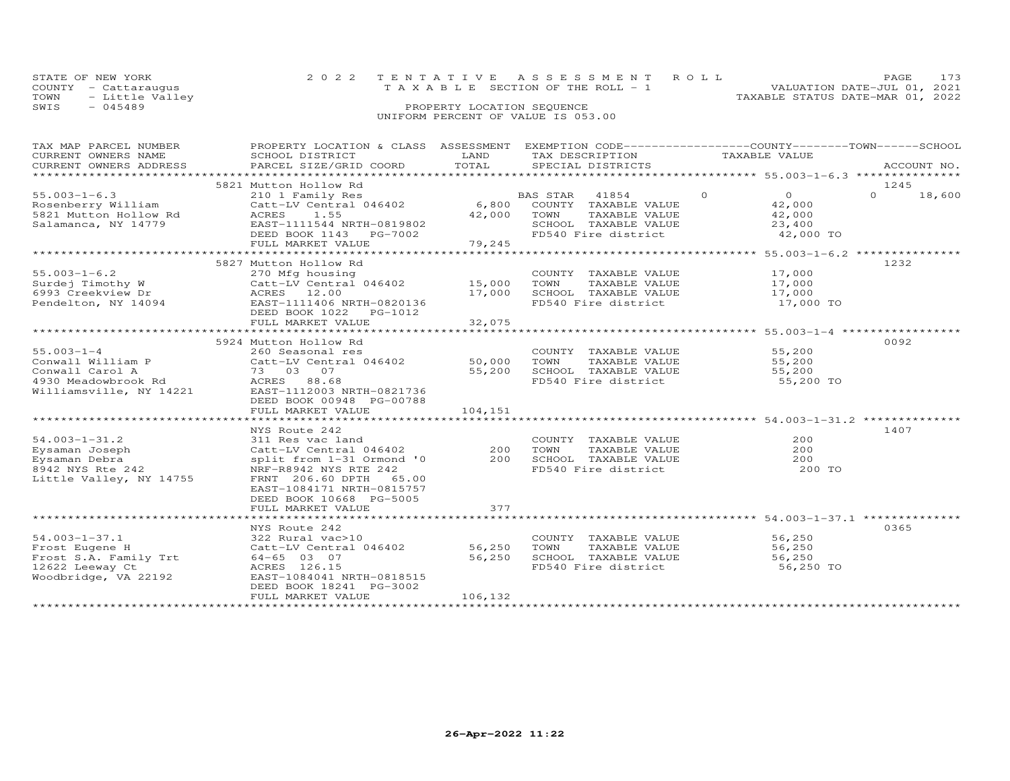|      | STATE OF NEW YORK    |                            | 2022 TENTATIVE ASSESSMENT ROLL  | PAGE 173                         |  |
|------|----------------------|----------------------------|---------------------------------|----------------------------------|--|
|      | COUNTY - Cattaraugus |                            | TAXABLE SECTION OF THE ROLL - 1 | VALUATION DATE-JUL 01, 2021      |  |
| TOWN | - Little Valley      |                            |                                 | TAXABLE STATUS DATE-MAR 01, 2022 |  |
| SWIS | $-045489$            | PROPERTY LOCATION SEQUENCE |                                 |                                  |  |

| TAX MAP PARCEL NUMBER<br>CURRENT OWNERS NAME<br>CURRENT OWNERS ADDRESS                                    | PROPERTY LOCATION & CLASS ASSESSMENT EXEMPTION CODE----------------COUNTY-------TOWN------SCHOOL<br>SCHOOL DISTRICT<br>PARCEL SIZE/GRID COORD                                                                                | LAND<br>TOTAL               | TAX DESCRIPTION<br>SPECIAL DISTRICTS                                                                             | TAXABLE VALUE                                             | ACCOUNT NO.                |
|-----------------------------------------------------------------------------------------------------------|------------------------------------------------------------------------------------------------------------------------------------------------------------------------------------------------------------------------------|-----------------------------|------------------------------------------------------------------------------------------------------------------|-----------------------------------------------------------|----------------------------|
|                                                                                                           |                                                                                                                                                                                                                              |                             |                                                                                                                  |                                                           |                            |
| $55.003 - 1 - 6.3$<br>Rosenberry William<br>5821 Mutton Hollow Rd<br>Salamanca, NY 14779                  | 5821 Mutton Hollow Rd<br>210 1 Family Res<br>Catt-LV Central 046402<br>1.55<br>ACRES<br>EAST-1111544 NRTH-0819802<br>DEED BOOK 1143 PG-7002<br>FULL MARKET VALUE                                                             | 6,800<br>42,000<br>79,245   | BAS STAR 41854 0<br>COUNTY TAXABLE VALUE<br>TOWN<br>TAXABLE VALUE<br>SCHOOL TAXABLE VALUE<br>FD540 Fire district | $\overline{0}$<br>42,000<br>42,000<br>23,400<br>42,000 TO | 1245<br>18,600<br>$\Omega$ |
| $55.003 - 1 - 6.2$<br>Surdej Timothy W                                                                    | 5827 Mutton Hollow Rd<br>270 Mfg housing<br>Catt-LV Central 046402                                                                                                                                                           | 15,000                      | COUNTY TAXABLE VALUE<br>TOWN<br>TAXABLE VALUE                                                                    | 17,000<br>17,000                                          | 1232                       |
| 6993 Creekview Dr.<br>EAST-1111406 Pendelton, NY 14094<br>DEED BOOK 1022                                  | EAST-1111406 NRTH-0820136                                                                                                                                                                                                    | 17,000                      | SCHOOL TAXABLE VALUE 17,000<br>FD540 Fire district                                                               | 17,000 TO                                                 |                            |
|                                                                                                           | FULL MARKET VALUE                                                                                                                                                                                                            | 32,075                      |                                                                                                                  |                                                           |                            |
| $55.003 - 1 - 4$<br>Williamsville, NY 14221                                                               | 5924 Mutton Hollow Rd<br>260 Seasonal res<br>Conwall William P Catt-LV Central 046402 50,000<br>EAST-1112003 NRTH-0821736<br>DEED BOOK 00948 PG-00788<br>FULL MARKET VALUE                                                   | 55,200<br>104,151           | COUNTY TAXABLE VALUE<br>TOWN<br>TAXABLE VALUE<br>SCHOOL TAXABLE VALUE<br>FD540 Fire district                     | 55,200<br>55,200<br>55,200<br>55,200 TO                   | 0092                       |
| $54.003 - 1 - 31.2$<br>Eysaman Joseph<br>Eysaman Debra<br>8942 NYS Rte 242<br>Little Valley, NY 14755     | NYS Route 242<br>311 Res vac land<br>Catt-LV Central 046402 200<br>split from 1-31 Ormond '0<br>NRF-R8942 NYS RTE 242<br>FRNT 206.60 DPTH 65.00<br>EAST-1084171 NRTH-0815757<br>DEED BOOK 10668 PG-5005<br>FULL MARKET VALUE | 200<br>377                  | COUNTY TAXABLE VALUE<br>TOWN<br>TAXABLE VALUE<br>SCHOOL TAXABLE VALUE<br>FD540 Fire district                     | 200<br>200<br>200<br>200 TO                               | 1407                       |
|                                                                                                           |                                                                                                                                                                                                                              |                             |                                                                                                                  |                                                           |                            |
| $54.003 - 1 - 37.1$<br>Frost Eugene H<br>Frost S.A. Family Trt<br>12622 Leeway Ct<br>Woodbridge, VA 22192 | NYS Route 242<br>322 Rural vac>10<br>Catt-LV Central 046402<br>64-65 03 07<br>ACRES 126.15<br>EAST-1084041 NRTH-0818515<br>DEED BOOK 18241 PG-3002<br>FULL MARKET VALUE                                                      | 56,250<br>56,250<br>106,132 | COUNTY TAXABLE VALUE<br>TOWN<br>TAXABLE VALUE<br>SCHOOL TAXABLE VALUE<br>FD540 Fire district                     | 56,250<br>56,250<br>56,250<br>56,250 TO                   | 0365                       |
|                                                                                                           |                                                                                                                                                                                                                              |                             |                                                                                                                  |                                                           |                            |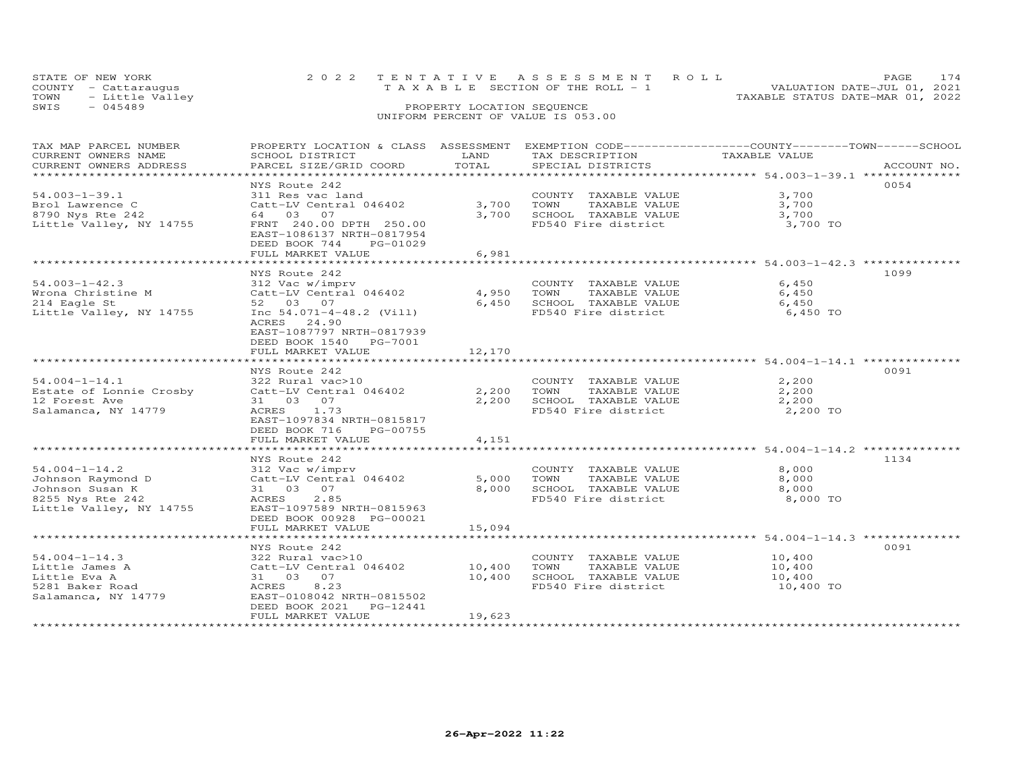|      | STATE OF NEW YORK    | 2022 TENTATIVE ASSESSMENT ROLL                                 | <b>PAGE</b> | 174 |
|------|----------------------|----------------------------------------------------------------|-------------|-----|
|      | COUNTY - Cattaraugus | VALUATION DATE-JUL 01, 2021<br>TAXABLE SECTION OF THE ROLL - 1 |             |     |
| TOWN | - Little Valley      | TAXABLE STATUS DATE-MAR 01, 2022                               |             |     |
| SWIS | - 045489             | PROPERTY LOCATION SEQUENCE                                     |             |     |
|      |                      | UNIFORM PERCENT OF VALUE IS 053.00                             |             |     |

### TAX MAP PARCEL NUMBER PROPERTY LOCATION & CLASS ASSESSMENT EXEMPTION CODE------------------COUNTY--------TOWN------SCHOOL CURRENT OWNERS NAME SCHOOL DISTRICT LAND TAX DESCRIPTION TAXABLE VALUE CURRENT OWNERS ADDRESS PARCEL SIZE/GRID COORD TOTAL SPECIAL DISTRICTS ACCOUNT NO. \*\*\*\*\*\*\*\*\*\*\*\*\*\*\*\*\*\*\*\*\*\*\*\*\*\*\*\*\*\*\*\*\*\*\*\*\*\*\*\*\*\*\*\*\*\*\*\*\*\*\*\*\*\*\*\*\*\*\*\*\*\*\*\*\*\*\*\*\*\*\*\*\*\*\*\*\*\*\*\*\*\*\*\*\*\*\*\*\*\*\*\*\*\*\*\*\*\*\*\*\*\*\* 54.003-1-39.1 \*\*\*\*\*\*\*\*\*\*\*\*\*\* NYS Route 242 005454.003-1-39.1 311 Res vac land COUNTY TAXABLE VALUE 3,700Brol Lawrence C Catt-LV Central 046402 3,700 TOWN TAXABLE VALUE 3,7008790 Nys Rte 242 64 03 07 3,700 SCHOOL TAXABLE VALUE 3,700Little Valley, NY 14755 FRNT 240.00 DPTH 250.00 FD540 Fire district 3,700 TO3,700 3,700 3,700 TO EAST-1086137 NRTH-0817954 DEED BOOK 744 PG-01029 FULL MARKET VALUE 6,981 \*\*\*\*\*\*\*\*\*\*\*\*\*\*\*\*\*\*\*\*\*\*\*\*\*\*\*\*\*\*\*\*\*\*\*\*\*\*\*\*\*\*\*\*\*\*\*\*\*\*\*\*\*\*\*\*\*\*\*\*\*\*\*\*\*\*\*\*\*\*\*\*\*\*\*\*\*\*\*\*\*\*\*\*\*\*\*\*\*\*\*\*\*\*\*\*\*\*\*\*\*\*\* 54.003-1-42.3 \*\*\*\*\*\*\*\*\*\*\*\*\*\* NYS Route 242 109954.003-1-42.3 312 Vac w/imprv COUNTY TAXABLE VALUE 6,450 Wrona Christine M Catt-LV Central 046402 4,950 TOWN TAXABLE VALUE 6,450 214 Eagle St 52 03 07 6,450 SCHOOL TAXABLE VALUE 6,4506,450 TO Little Valley, NY 14755 Inc 54.071-4-48.2 (Vill) FD540 Fire district ACRES 24.90 EAST-1087797 NRTH-0817939 DEED BOOK 1540 PG-7001FULL MARKET VALUE 12,170 \*\*\*\*\*\*\*\*\*\*\*\*\*\*\*\*\*\*\*\*\*\*\*\*\*\*\*\*\*\*\*\*\*\*\*\*\*\*\*\*\*\*\*\*\*\*\*\*\*\*\*\*\*\*\*\*\*\*\*\*\*\*\*\*\*\*\*\*\*\*\*\*\*\*\*\*\*\*\*\*\*\*\*\*\*\*\*\*\*\*\*\*\*\*\*\*\*\*\*\*\*\*\* 54.004-1-14.1 \*\*\*\*\*\*\*\*\*\*\*\*\*\* $NYS$  Route 242<br>  $NYS$  Rural vac>10<br>  $322$  Rural vac>10<br>  $\frac{322}{2}$  Rural vac>10<br>  $\frac{322}{2}$  Rural vac>10<br>  $\frac{322}{2}$  Rural vac>10 54.004-1-14.1 322 Rural vac>10 COUNTY TAXABLE VALUE 2,200Estate of Lonnie Crosby Catt-LV Central 046402 2,200 TOWN TAXABLE VALUE 2,20012 Forest Ave 31 03 07 2,200 SCHOOL TAXABLE VALUE 2,200Salamanca, NY 14779 ACRES 1.73 FD540 Fire district 2,200 TO EAST-1097834 NRTH-0815817 DEED BOOK 716 PG-00755 FULL MARKET VALUE 4,151 \*\*\*\*\*\*\*\*\*\*\*\*\*\*\*\*\*\*\*\*\*\*\*\*\*\*\*\*\*\*\*\*\*\*\*\*\*\*\*\*\*\*\*\*\*\*\*\*\*\*\*\*\*\*\*\*\*\*\*\*\*\*\*\*\*\*\*\*\*\*\*\*\*\*\*\*\*\*\*\*\*\*\*\*\*\*\*\*\*\*\*\*\*\*\*\*\*\*\*\*\*\*\* 54.004-1-14.2 \*\*\*\*\*\*\*\*\*\*\*\*\*\* NYS Route 242 113454.004-1-14.2 312 Vac w/imprv COUNTY TAXABLE VALUE 8,000 Johnson Raymond D Catt-LV Central 046402 5,000 TOWN TAXABLE VALUE 8,000 Johnson Susan K 31 03 07 8,000 SCHOOL TAXABLE VALUE 8,000 8255 Nys Rte 242 ACRES 2.85 FD540 Fire district 8,000 TOLittle Valley, NY 14755 EAST-1097589 NRTH-0815963 DEED BOOK 00928 PG-00021 FULL MARKET VALUE 15,094 \*\*\*\*\*\*\*\*\*\*\*\*\*\*\*\*\*\*\*\*\*\*\*\*\*\*\*\*\*\*\*\*\*\*\*\*\*\*\*\*\*\*\*\*\*\*\*\*\*\*\*\*\*\*\*\*\*\*\*\*\*\*\*\*\*\*\*\*\*\*\*\*\*\*\*\*\*\*\*\*\*\*\*\*\*\*\*\*\*\*\*\*\*\*\*\*\*\*\*\*\*\*\* 54.004-1-14.3 \*\*\*\*\*\*\*\*\*\*\*\*\*\* NYS Route 242 009154.004-1-14.3 322 Rural vac>10 COUNTY TAXABLE VALUE 10,400Little James A Catt-LV Central 046402 10,400 TOWN TAXABLE VALUE 10,400Little Eva A 31 03 07 10,400 SCHOOL TAXABLE VALUE 10,400֖֖֚֚֚֚֚֚֚֚֚֚֚֚֚֚֚֚֚֚֚֚֡֡֡֡֡֡֡֡֡֡֡֞ 10,400 TO 5281 Baker Road ACRES 8.23 FD540 Fire district 10,400 TOSalamanca, NY 14779 EAST-0108042 NRTH-0815502 DEED BOOK 2021 PG-12441FULL MARKET VALUE 19,623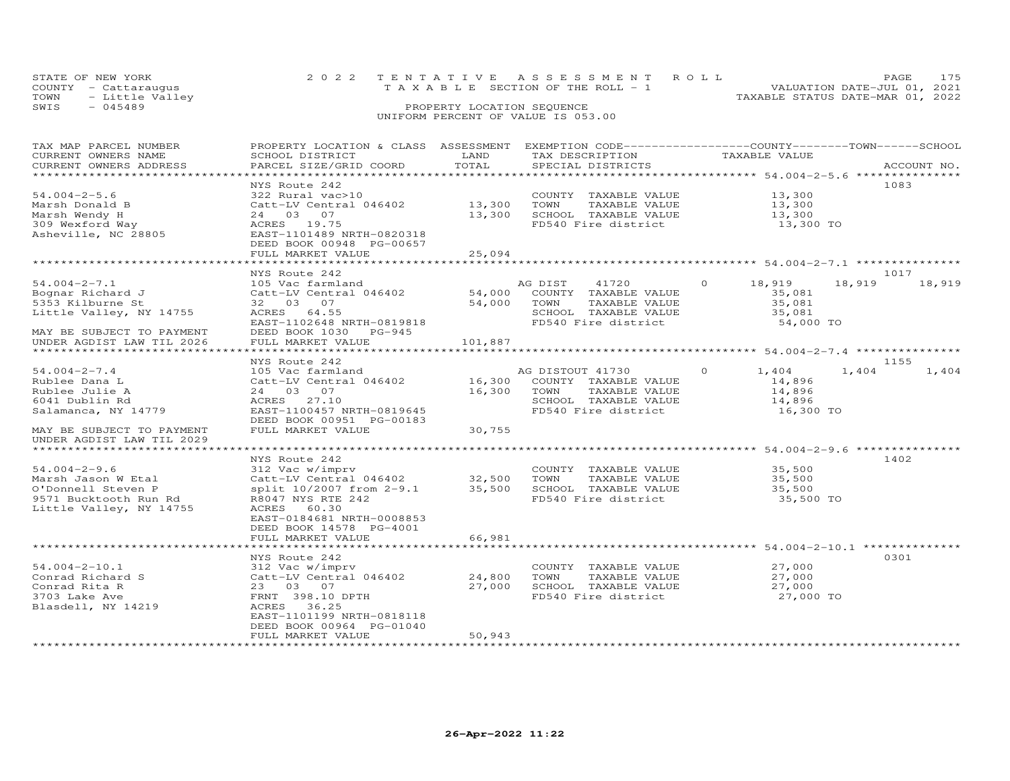| STATE OF NEW YORK    |                      |  | 2022 TENTATIVE ASSESSMENT ROLL        |                                  | PAGE 175                    |  |
|----------------------|----------------------|--|---------------------------------------|----------------------------------|-----------------------------|--|
| COUNTY - Cattarauqus |                      |  | T A X A B L E SECTION OF THE ROLL - 1 |                                  | VALUATION DATE-JUL 01, 2021 |  |
|                      | TOWN - Little Valley |  |                                       | TAXABLE STATUS DATE-MAR 01, 2022 |                             |  |
| SWIS                 | - 045489             |  | PROPERTY LOCATION SEQUENCE            |                                  |                             |  |
|                      |                      |  | UNIFORM PERCENT OF VALUE IS 053.00    |                                  |                             |  |

## TAX MAP PARCEL NUMBER PROPERTY LOCATION & CLASS ASSESSMENT EXEMPTION CODE------------------COUNTY--------TOWN------SCHOOL CURRENT OWNERS NAME SCHOOL DISTRICT LAND TAX DESCRIPTION TAXABLE VALUE CURRENT OWNERS ADDRESS PARCEL SIZE/GRID COORD TOTAL SPECIAL DISTRICTS ACCOUNT NO. \*\*\*\*\*\*\*\*\*\*\*\*\*\*\*\*\*\*\*\*\*\*\*\*\*\*\*\*\*\*\*\*\*\*\*\*\*\*\*\*\*\*\*\*\*\*\*\*\*\*\*\*\*\*\*\*\*\*\*\*\*\*\*\*\*\*\*\*\*\*\*\*\*\*\*\*\*\*\*\*\*\*\*\*\*\*\*\*\*\*\*\*\*\*\*\*\*\*\*\*\*\*\* 54.004-2-5.6 \*\*\*\*\*\*\*\*\*\*\*\*\*\*\* NYS Route 242 108354.004-2-5.6 322 Rural vac>10 13,300<br>Marsh Donald B Catt-LV Central 046402 13,300 TOWN TAXABLE VALUE 13,300<br>Marsh Wendy H 24 03 07 13,300 13,300 13,300 TO FULL MARKET VALUE 25,094 \*\*\*\*\*\*\*\*\*\*\*\*\*\*\*\*\*\*\*\*\*\*\*\*\*\*\*\*\*\*\*\*\*\*\*\*\*\*\*\*\*\*\*\*\*\*\*\*\*\*\*\*\*\*\*\*\*\*\*\*\*\*\*\*\*\*\*\*\*\*\*\*\*\*\*\*\*\*\*\*\*\*\*\*\*\*\*\*\*\*\*\*\*\*\*\*\*\*\*\*\*\*\* 54.004-2-7.1 \*\*\*\*\*\*\*\*\*\*\*\*\*\*\* NYS Route 242 101754.004-2-7.1 105 Vac farmland AG DIST 41720 0 18,919 18,919 18,919Bognar Richard J Catt-LV Central 046402 54,000 COUNTY TAXABLE VALUE 35,081 5353 Kilburne St 32 03 07 54,000 TOWN TAXABLE VALUE 35,081 Little Valley, NY 14755 ACRES 64.55 SCHOOL TAXABLE VALUE 35,081 EAST-1102648 NRTH-0819818 FD540 Fire district 54,000 TOMAY BE SUBJECT TO PAYMENT DEED BOOK 1030 PG-945 UNDER AGDIST LAW TIL 2026 FULL MARKET VALUE 101,887 1017<br>3,919 18,919 18,919 \*\*\*\*\*\*\*\*\*\*\*\*\*\*\*\*\*\*\*\*\*\*\*\*\*\*\*\*\*\*\*\*\*\*\*\*\*\*\*\*\*\*\*\*\*\*\*\*\*\*\*\*\*\*\*\*\*\*\*\*\*\*\*\*\*\*\*\*\*\*\*\*\*\*\*\*\*\*\*\*\*\*\*\*\*\*\*\*\*\*\*\*\*\*\*\*\*\*\*\*\*\*\* 54.004-2-7.4 \*\*\*\*\*\*\*\*\*\*\*\*\*\*\*1155 (1155 )<br>
26.004-2-7.4 (1155 )<br>
24 03 07 (16) 16,300 COUNTY TAXABLE VALUE (14,896 )<br>
24 03 07 (16,300 TOWN TAXABLE VALUE 14,896 )<br>
24 03 07 (16,300 TOWN TAXABLE VALUE 14,896 )<br>
24 03 07 (16,300 TOWN TAXABLE VALUE 14,89 MAY BE SUBJECT TO PAYMENT FULL MARKET VALUE 30,755 UNDER AGDIST LAW TIL 2029 \*\*\*\*\*\*\*\*\*\*\*\*\*\*\*\*\*\*\*\*\*\*\*\*\*\*\*\*\*\*\*\*\*\*\*\*\*\*\*\*\*\*\*\*\*\*\*\*\*\*\*\*\*\*\*\*\*\*\*\*\*\*\*\*\*\*\*\*\*\*\*\*\*\*\*\*\*\*\*\*\*\*\*\*\*\*\*\*\*\*\*\*\*\*\*\*\*\*\*\*\*\*\* 54.004-2-9.6 \*\*\*\*\*\*\*\*\*\*\*\*\*\*\* NYS Route 242 140254.004-2-9.6 312 Vac w/imprv COUNTY TAXABLE VALUE 35,500 Marsh Jason W Etal Catt-LV Central 046402 32,500 TOWN TAXABLE VALUE 35,500 O'Donnell Steven P split 10/2007 from 2-9.1 35,500 SCHOOL TAXABLE VALUE 35,500 9571 Bucktooth Run Rd R8047 NYS RTE 242 FD540 Fire district 35,500 TOLittle Valley, NY 14755 ACRES 60.30 EAST-0184681 NRTH-0008853 DEED BOOK 14578 PG-4001FULL MARKET VALUE FULL MARKET VALUE 66,981 \*\*\*\*\*\*\*\*\*\*\*\*\*\*\*\*\*\*\*\*\*\*\*\*\*\*\*\*\*\*\*\*\*\*\*\*\*\*\*\*\*\*\*\*\*\*\*\*\*\*\*\*\*\*\*\*\*\*\*\*\*\*\*\*\*\*\*\*\*\*\*\*\*\*\*\*\*\*\*\*\*\*\*\*\*\*\*\*\*\*\*\*\*\*\*\*\*\*\*\*\*\*\* 54.004-2-10.1 \*\*\*\*\*\*\*\*\*\*\*\*\*\* NYS Route 242 030154.004-2-10.1 312 Vac w/imprv COUNTY TAXABLE VALUE 27,000Conrad Richard S Catt-LV Central 046402 24,800 TOWN TAXABLE VALUE 27,000Conrad Rita R 23 03 07 27,000 SCHOOL TAXABLE VALUE 27,0003703 Lake Ave FRNT 398.10 DPTH FD540 Fire district 27,000 TOBlasdell, NY 14219 ACRES 36.25 EAST-1101199 NRTH-081811827,000 ֖֖֚֚֚֚֚֚֚֚֚֚֚֚֚֚֚֚֚֚֚֚֡֡֡֡֡֡֡֡֡֡֡֞ DEED BOOK 00964 PG-01040FULL MARKET VALUE 50,943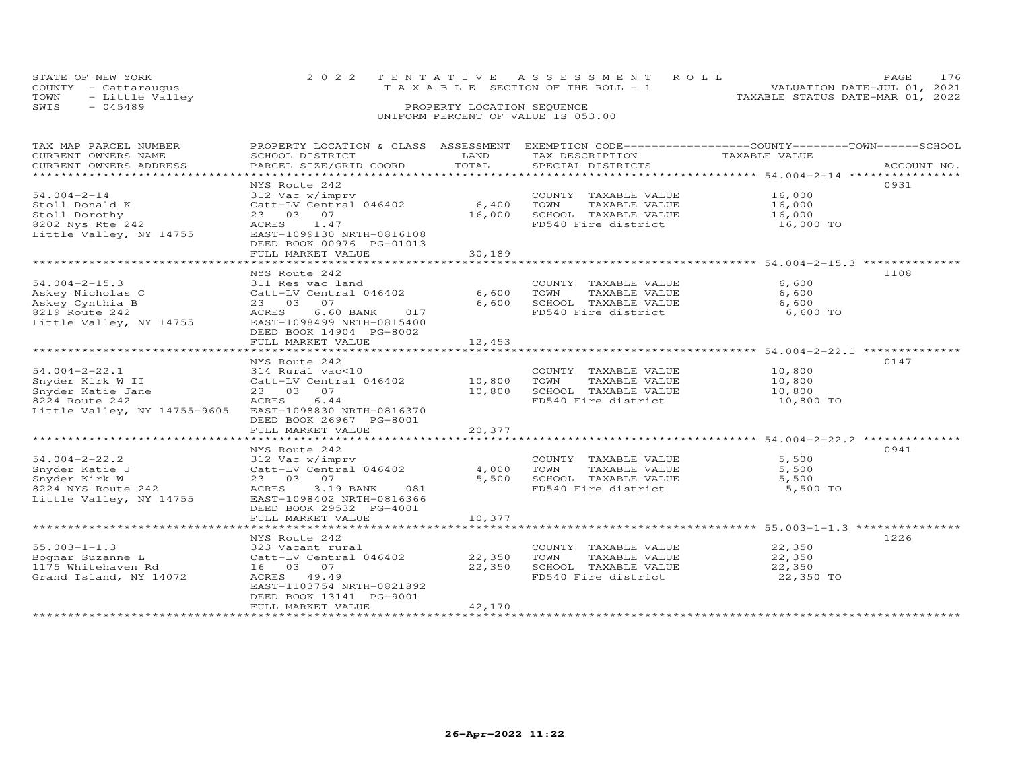| STATE OF NEW YORK    | 2022 TENTATIVE ASSESSMENT ROLL        | PAGE                             |
|----------------------|---------------------------------------|----------------------------------|
| COUNTY - Cattarauqus | T A X A B L E SECTION OF THE ROLL - 1 | VALUATION DATE-JUL 01, 2021      |
| TOWN - Little Valley |                                       | TAXABLE STATUS DATE-MAR 01, 2022 |
| SWIS<br>$-045489$    | PROPERTY LOCATION SEQUENCE            |                                  |
|                      | UNIFORM PERCENT OF VALUE IS 053.00    |                                  |

| TAX MAP PARCEL NUMBER                                                         | PROPERTY LOCATION & CLASS ASSESSMENT |        | EXEMPTION CODE-----------------COUNTY-------TOWN------SCHOOL |               |             |
|-------------------------------------------------------------------------------|--------------------------------------|--------|--------------------------------------------------------------|---------------|-------------|
| CURRENT OWNERS NAME                                                           | SCHOOL DISTRICT                      | LAND   | TAX DESCRIPTION                                              | TAXABLE VALUE |             |
| CURRENT OWNERS ADDRESS                                                        | PARCEL SIZE/GRID COORD               | TOTAL  | SPECIAL DISTRICTS                                            |               | ACCOUNT NO. |
| ***********************                                                       |                                      |        |                                                              |               |             |
|                                                                               | NYS Route 242                        |        |                                                              |               | 0931        |
| $54.004 - 2 - 14$                                                             | 312 Vac w/imprv                      |        | COUNTY TAXABLE VALUE                                         | 16,000        |             |
| Stoll Donald K                                                                | Catt-LV Central 046402               | 6,400  | TOWN<br>TAXABLE VALUE                                        | 16,000        |             |
| Stoll Dorothy                                                                 | 23 03 07                             | 16,000 | SCHOOL TAXABLE VALUE                                         | 16,000        |             |
| 8202 Nys Rte 242                                                              | ACRES 1.47                           |        | FD540 Fire district                                          | 16,000 TO     |             |
| Little Valley, NY 14755                                                       | EAST-1099130 NRTH-0816108            |        |                                                              |               |             |
|                                                                               | DEED BOOK 00976 PG-01013             |        |                                                              |               |             |
|                                                                               | FULL MARKET VALUE                    | 30,189 |                                                              |               |             |
|                                                                               |                                      |        |                                                              |               |             |
|                                                                               | NYS Route 242                        |        |                                                              |               | 1108        |
|                                                                               |                                      |        |                                                              |               |             |
| $54.004 - 2 - 15.3$                                                           | 311 Res vac land                     |        | COUNTY TAXABLE VALUE                                         | 6,600         |             |
| Askey Nicholas C                                                              | Catt-LV Central 046402               | 6,600  | TOWN<br>TAXABLE VALUE                                        | 6,600         |             |
| Askey Cynthia B                                                               | 23 03 07                             | 6,600  | SCHOOL TAXABLE VALUE                                         | 6,600         |             |
| 8219 Route 242                                                                | ACRES<br>$6.60$ BANK<br>017          |        | FD540 Fire district                                          | 6,600 TO      |             |
| Little Valley, NY 14755                                                       | EAST-1098499 NRTH-0815400            |        |                                                              |               |             |
|                                                                               | DEED BOOK 14904 PG-8002              |        |                                                              |               |             |
|                                                                               | FULL MARKET VALUE                    | 12,453 |                                                              |               |             |
|                                                                               |                                      |        |                                                              |               |             |
|                                                                               | NYS Route 242                        |        |                                                              |               | 0147        |
| $54.004 - 2 - 22.1$                                                           | 314 Rural vac<10                     |        | COUNTY TAXABLE VALUE                                         | 10,800        |             |
|                                                                               |                                      |        | TOWN<br>TAXABLE VALUE                                        | 10,800        |             |
|                                                                               |                                      | 10,800 | SCHOOL TAXABLE VALUE                                         | 10,800        |             |
| Snyder Katie Jane $23$ 03 07<br>8224 Route 242 (ACRES 6.44)<br>8224 Route 242 | 6.44<br>ACRES                        |        | FD540 Fire district                                          | 10,800 TO     |             |
| Little Valley, NY 14755-9605 EAST-1098830 NRTH-0816370                        |                                      |        |                                                              |               |             |
|                                                                               | DEED BOOK 26967 PG-8001              |        |                                                              |               |             |
|                                                                               |                                      |        |                                                              |               |             |
|                                                                               | FULL MARKET VALUE                    | 20,377 |                                                              |               |             |
|                                                                               |                                      |        |                                                              |               |             |
|                                                                               | NYS Route 242                        |        |                                                              |               | 0941        |
| $54.004 - 2 - 22.2$                                                           | 312 Vac w/imprv                      |        | COUNTY TAXABLE VALUE                                         | 5,500         |             |
| Snyder Katie J                                                                | Catt-LV Central 046402               | 4,000  | TOWN<br>TAXABLE VALUE                                        | 5,500         |             |
| Snyder Kirk W                                                                 | 23 03 07                             | 5,500  | SCHOOL TAXABLE VALUE                                         | 5,500         |             |
| 8224 NYS Route 242                                                            | 3.19 BANK<br>081<br>ACRES            |        | FD540 Fire district                                          | 5,500 TO      |             |
| Little Valley, NY 14755                                                       | EAST-1098402 NRTH-0816366            |        |                                                              |               |             |
|                                                                               | DEED BOOK 29532 PG-4001              |        |                                                              |               |             |
|                                                                               | FULL MARKET VALUE                    | 10,377 |                                                              |               |             |
|                                                                               |                                      |        |                                                              |               |             |
|                                                                               | NYS Route 242                        |        |                                                              |               | 1226        |
| $55.003 - 1 - 1.3$                                                            | 323 Vacant rural                     |        | COUNTY TAXABLE VALUE                                         | 22,350        |             |
| Bognar Suzanne L                                                              | Catt-LV Central 046402               | 22,350 | TOWN<br>TAXABLE VALUE                                        | 22,350        |             |
| 1175 Whitehaven Rd                                                            | 16 03 07                             | 22,350 | SCHOOL TAXABLE VALUE                                         | 22,350        |             |
| Grand Island, NY 14072                                                        | ACRES 49.49                          |        | FD540 Fire district                                          | 22,350 TO     |             |
|                                                                               | EAST-1103754 NRTH-0821892            |        |                                                              |               |             |
|                                                                               |                                      |        |                                                              |               |             |
|                                                                               | DEED BOOK 13141 PG-9001              |        |                                                              |               |             |
|                                                                               | FULL MARKET VALUE                    | 42,170 |                                                              |               |             |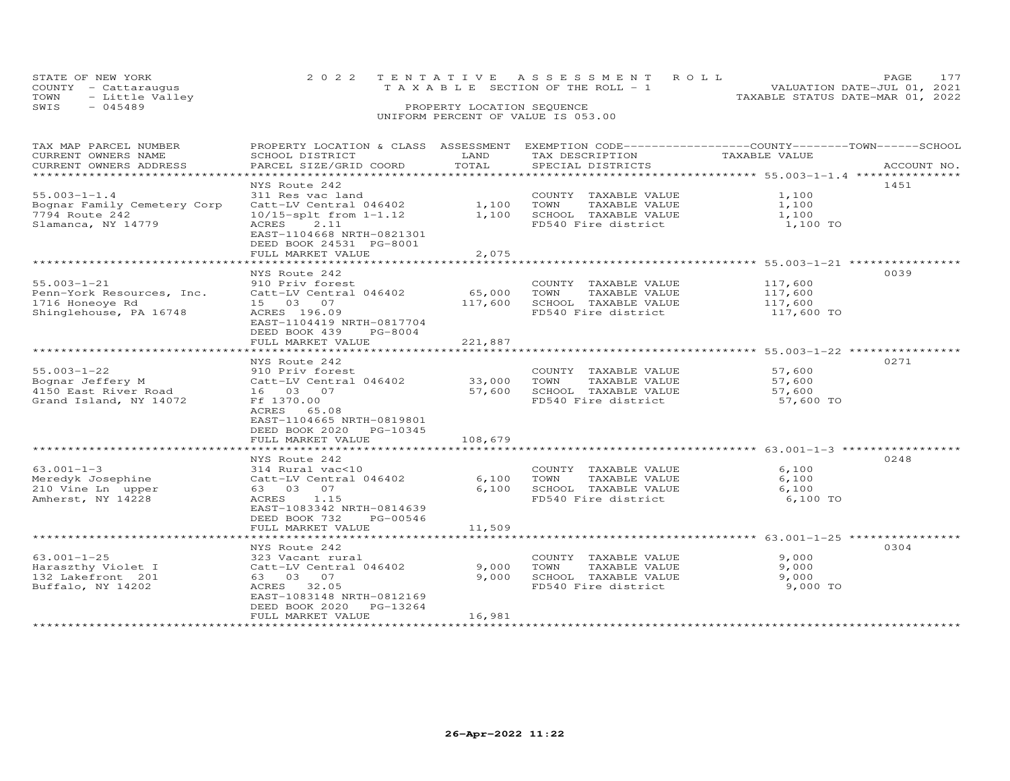| STATE OF NEW YORK       | 2022 TENTATIVE ASSESSMENT ROLL        |  | <b>PAGE</b>                      |  |  |  |
|-------------------------|---------------------------------------|--|----------------------------------|--|--|--|
| COUNTY - Cattaraugus    | T A X A B L E SECTION OF THE ROLL - 1 |  | VALUATION DATE-JUL 01, 2021      |  |  |  |
| - Little Valley<br>TOWN |                                       |  | TAXABLE STATUS DATE-MAR 01, 2022 |  |  |  |
| SWIS<br>$-045489$       | PROPERTY LOCATION SEQUENCE            |  |                                  |  |  |  |
|                         | UNIFORM PERCENT OF VALUE IS 053.00    |  |                                  |  |  |  |

## TAX MAP PARCEL NUMBER PROPERTY LOCATION & CLASS ASSESSMENT EXEMPTION CODE----------------------------------TOWN--------SCHOOL CURRENT OWNERS NAME SCHOOL DISTRICT LAND TAX DESCRIPTION TAXABLE VALUE CURRENT OWNERS ADDRESS PARCEL SIZE/GRID COORD TOTAL SPECIAL DISTRICTS ACCOUNT NO. \*\*\*\*\*\*\*\*\*\*\*\*\*\*\*\*\*\*\*\*\*\*\*\*\*\*\*\*\*\*\*\*\*\*\*\*\*\*\*\*\*\*\*\*\*\*\*\*\*\*\*\*\*\*\*\*\*\*\*\*\*\*\*\*\*\*\*\*\*\*\*\*\*\*\*\*\*\*\*\*\*\*\*\*\*\*\*\*\*\*\*\*\*\*\*\*\*\*\*\*\*\*\* 55.003-1-1.4 \*\*\*\*\*\*\*\*\*\*\*\*\*\*\* NYS Route 242 145155.003-1-1.4 311 Res vac land COUNTY TAXABLE VALUE 1,100Bognar Family Cemetery Corp Catt-LV Central 046402 1,100 TOWN TAXABLE VALUE 1,1007794 Route 242 10/15-splt from 1-1.12 1,100 SCHOOL TAXABLE VALUE 1,100Slamanca, NY 14779 ACRES 2.11 FD540 Fire district 1,100 TO1,100 1,100 1,100 TO EAST-1104668 NRTH-0821301 DEED BOOK 24531 PG-8001 FULL MARKET VALUE 2,075 \*\*\*\*\*\*\*\*\*\*\*\*\*\*\*\*\*\*\*\*\*\*\*\*\*\*\*\*\*\*\*\*\*\*\*\*\*\*\*\*\*\*\*\*\*\*\*\*\*\*\*\*\*\*\*\*\*\*\*\*\*\*\*\*\*\*\*\*\*\*\*\*\*\*\*\*\*\*\*\*\*\*\*\*\*\*\*\*\*\*\*\*\*\*\*\*\*\*\*\*\*\*\* 55.003-1-21 \*\*\*\*\*\*\*\*\*\*\*\*\*\*\*\* NYS Route 242 003955.003-1-21 910 Priv forest COUNTY TAXABLE VALUE 117,600 Penn-York Resources, Inc. Catt-LV Central 046402 65,000 TOWN TAXABLE VALUE 117,600 1716 Honeoye Rd 15 03 07 117,600 SCHOOL TAXABLE VALUE 117,600 Shinglehouse, PA 16748 ACRES 196.09 FD540 Fire district 117,600 TO EAST-1104419 NRTH-0817704 DEED BOOK 439 PG-8004 FULL MARKET VALUE 221,887 \*\*\*\*\*\*\*\*\*\*\*\*\*\*\*\*\*\*\*\*\*\*\*\*\*\*\*\*\*\*\*\*\*\*\*\*\*\*\*\*\*\*\*\*\*\*\*\*\*\*\*\*\*\*\*\*\*\*\*\*\*\*\*\*\*\*\*\*\*\*\*\*\*\*\*\*\*\*\*\*\*\*\*\*\*\*\*\*\*\*\*\*\*\*\*\*\*\*\*\*\*\*\* 55.003-1-22 \*\*\*\*\*\*\*\*\*\*\*\*\*\*\*\* NYS Route 242 027155.003-1-22 910 Priv forest COUNTY TAXABLE VALUE 57,600Bognar Jeffery M Catt-LV Central 046402 33,000 TOWN TAXABLE VALUE 57,6004150 East River Road 16 03 07 57,600 SCHOOL TAXABLE VALUE 57,600Grand Island, NY 14072 Ff 1370.00 FD540 Fire district 57,600 TO ACRES 65.08 EAST-1104665 NRTH-0819801 DEED BOOK 2020 PG-10345FULL MARKET VALUE 108,679 \*\*\*\*\*\*\*\*\*\*\*\*\*\*\*\*\*\*\*\*\*\*\*\*\*\*\*\*\*\*\*\*\*\*\*\*\*\*\*\*\*\*\*\*\*\*\*\*\*\*\*\*\*\*\*\*\*\*\*\*\*\*\*\*\*\*\*\*\*\*\*\*\*\*\*\*\*\*\*\*\*\*\*\*\*\*\*\*\*\*\*\*\*\*\*\*\*\*\*\*\*\*\* 63.001-1-3 \*\*\*\*\*\*\*\*\*\*\*\*\*\*\*\*\* NYS Route 242 024863.001-1-3 314 Rural vac<10 COUNTY TAXABLE VALUE 6,100 Meredyk Josephine Catt-LV Central 046402 6,100 TOWN TAXABLE VALUE 6,100 210 Vine Ln upper 63 03 07 6,100 SCHOOL TAXABLE VALUE 6,100 Amherst, NY 14228 ACRES 1.15 FD540 Fire district 6,100 TOEXECUTE 1-3<br>
Meredyk Josephine Catt-LV Central 046402<br>
210 Vine Ln upper 63 03 07<br>
Amherst, NY 14228 ACRES 1.15<br>
EAST-1083342 NRTH-0814639 DEED BOOK 732 PG-00546 FULL MARKET VALUE 11,509 \*\*\*\*\*\*\*\*\*\*\*\*\*\*\*\*\*\*\*\*\*\*\*\*\*\*\*\*\*\*\*\*\*\*\*\*\*\*\*\*\*\*\*\*\*\*\*\*\*\*\*\*\*\*\*\*\*\*\*\*\*\*\*\*\*\*\*\*\*\*\*\*\*\*\*\*\*\*\*\*\*\*\*\*\*\*\*\*\*\*\*\*\*\*\*\*\*\*\*\*\*\*\* 63.001-1-25 \*\*\*\*\*\*\*\*\*\*\*\*\*\*\*\* NYS Route 242 030463.001-1-25 323 Vacant rural COUNTY TAXABLE VALUE 9,000 Haraszthy Violet I Catt-LV Central 046402 9,000 TOWN TAXABLE VALUE 9,000 132 Lakefront 201 63 03 07 9,000 SCHOOL TAXABLE VALUE 9,000 Buffalo, NY 14202 ACRES 32.05 FD540 Fire district 9,000 TO EAST-1083148 NRTH-0812169DEED BOOK 2020 PG-13264 FULL MARKET VALUE 16,981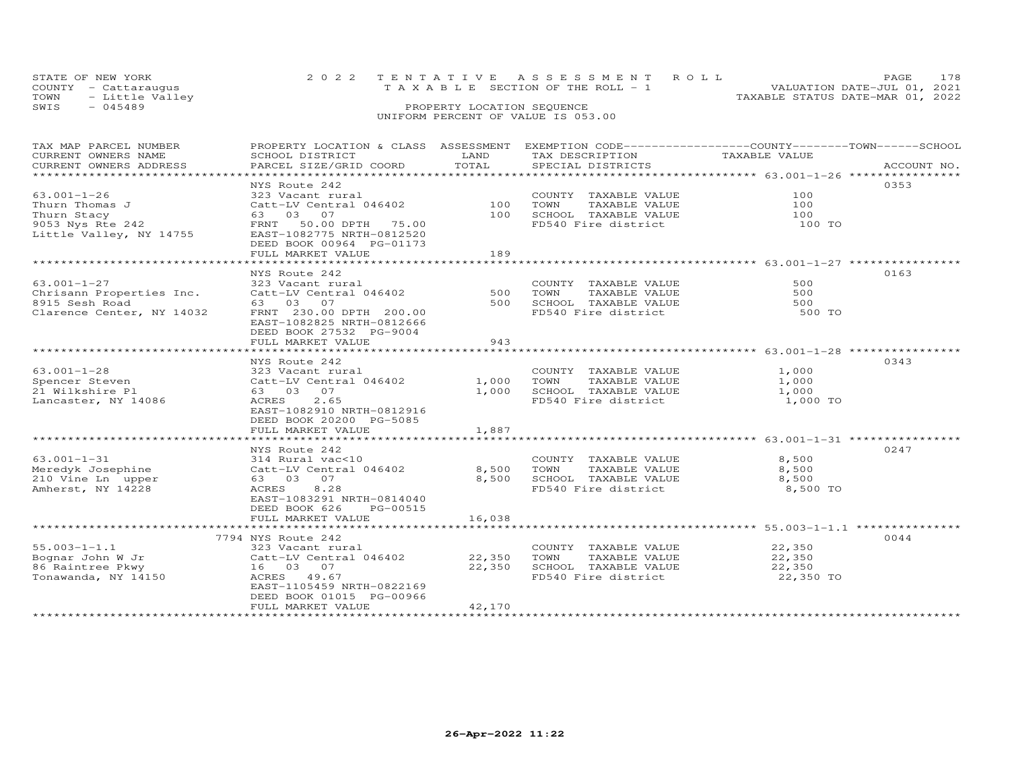| STATE OF NEW YORK    | 2022 TENTATIVE ASSESSMENT ROLL        | PAGE.                            |
|----------------------|---------------------------------------|----------------------------------|
| COUNTY - Cattarauqus | T A X A B L E SECTION OF THE ROLL - 1 | VALUATION DATE-JUL 01, 2021      |
| TOWN - Little Valley |                                       | TAXABLE STATUS DATE-MAR 01, 2022 |
| SWTS<br>- 045489     | PROPERTY LOCATION SEQUENCE            |                                  |

| PROPERTY LOCATION & CLASS ASSESSMENT EXEMPTION CODE-----------------COUNTY-------TOWN------SCHOOL<br>TAX MAP PARCEL NUMBER                                                                                                     |             |
|--------------------------------------------------------------------------------------------------------------------------------------------------------------------------------------------------------------------------------|-------------|
| CURRENT OWNERS NAME<br>SCHOOL DISTRICT<br>LAND<br>TAX DESCRIPTION<br>TAXABLE VALUE                                                                                                                                             |             |
| .CURRENT OWNERS ADDRESS PARCEL SIZE/GRID COORD TOTAL SPECIAL DISTRICTS ACCOUNT NO ACCOUNT NO ACCOUNT NO ARE A TALL AND MALL THAT A THE COLL TO TALL THAT A THE COLL THAT A THE RANGER OF THE RANGER OF THE RANGER OF THE RANGE | ACCOUNT NO. |
|                                                                                                                                                                                                                                |             |
| NYS Route 242                                                                                                                                                                                                                  | 0353        |
| $63.001 - 1 - 26$<br>$\frac{100}{10}$<br>323 Vacant rural<br>COUNTY TAXABLE VALUE                                                                                                                                              | 100         |
| $Cat-LV$ Central 046402<br>Thurn Thomas J<br>TOWN<br>TAXABLE VALUE                                                                                                                                                             | 100         |
| SCHOOL TAXABLE VALUE<br>100                                                                                                                                                                                                    | 100         |
| Thurn Stacy<br>Thurn Stacy<br>9053 Nys Rte 242<br>Little Valley, NY 14755<br>EAST-1082775 NRTH-0812520<br>FD540 Fire district                                                                                                  | 100 TO      |
|                                                                                                                                                                                                                                |             |
| DEED BOOK 00964 PG-01173                                                                                                                                                                                                       |             |
| 189<br>FULL MARKET VALUE                                                                                                                                                                                                       |             |
|                                                                                                                                                                                                                                |             |
| NYS Route 242                                                                                                                                                                                                                  | 0163        |
| 63.001-1-27<br>COUNTY TAXABLE VALUE<br>323 Vacant rural                                                                                                                                                                        | 500         |
| TAXABLE VALUE                                                                                                                                                                                                                  | 500         |
| 500 SCHOOL TAXABLE VALUE                                                                                                                                                                                                       | 500         |
| 63.001-1-27<br>Chrisann Properties Inc. (2011-1520 Chrisann Properties Inc. (2011-1520 Catcomal 046402<br>8915 Sesh Road (2012) 63 03 07<br>Clarence Center, NY 14032 (FRNT 230.00 DPTH 200.00<br>FD540 Fire district          | 500 TO      |
| EAST-1082825 NRTH-0812666                                                                                                                                                                                                      |             |
| DEED BOOK 27532 PG-9004                                                                                                                                                                                                        |             |
| 943<br>FULL MARKET VALUE                                                                                                                                                                                                       |             |
|                                                                                                                                                                                                                                |             |
| NYS Route 242                                                                                                                                                                                                                  | 0343        |
| $63.001 - 1 - 28$<br>COUNTY TAXABLE VALUE                                                                                                                                                                                      | 1,000       |
| spencer Steven<br>Spencer Steven<br>TAXABLE VALUE                                                                                                                                                                              | 1,000       |
| 1,000<br>21 Wilkshire Pl<br>63 03 07<br>SCHOOL TAXABLE VALUE 1,000                                                                                                                                                             |             |
| 2.65<br>FD540 Fire district<br>Lancaster, NY 14086<br>ACRES                                                                                                                                                                    | 1,000 TO    |
| EAST-1082910 NRTH-0812916                                                                                                                                                                                                      |             |
| DEED BOOK 20200 PG-5085                                                                                                                                                                                                        |             |
| FULL MARKET VALUE<br>1,887                                                                                                                                                                                                     |             |
|                                                                                                                                                                                                                                |             |
| NYS Route 242                                                                                                                                                                                                                  | 0247        |
| $63.001 - 1 - 31$                                                                                                                                                                                                              | 8,500       |
| COUNTY TAXABLE VALUE<br>TOWN     TAXABLE VALUE                                                                                                                                                                                 | 8,500       |
| Meredyk Josephine<br>8,500<br>SCHOOL TAXABLE VALUE<br>63 03 07                                                                                                                                                                 | 8,500       |
| Meredyk Josephine<br>210 Vine Ln upper<br>8.28<br>FD540 Fire district<br>Amherst, NY 14228<br>ACRES                                                                                                                            | 8,500 TO    |
| EAST-1083291 NRTH-0814040                                                                                                                                                                                                      |             |
| PG-00515                                                                                                                                                                                                                       |             |
| DEED BOOK 626                                                                                                                                                                                                                  |             |
| FULL MARKET VALUE<br>16,038                                                                                                                                                                                                    |             |
|                                                                                                                                                                                                                                | 0044        |
| 7794 NYS Route 242<br>$55.003 - 1 - 1.1$                                                                                                                                                                                       | 22,350      |
| 323 Vacant rural<br>COUNTY TAXABLE VALUE<br>$55.003-1-1.1$ 323 Vacant rural<br>Bognar John W Jr                 Catt-LV Central 046402           22,350                                                                        |             |
| TAXABLE VALUE<br>TOWN                                                                                                                                                                                                          | 22,350      |
| 86 Raintree Pkwy<br>22,350<br>16 03 07<br>SCHOOL TAXABLE VALUE<br>FD540 Fire district<br>Tonawanda, NY 14150                                                                                                                   | 22,350      |
| ACRES 49.67                                                                                                                                                                                                                    | 22,350 TO   |
| EAST-1105459 NRTH-0822169                                                                                                                                                                                                      |             |
| DEED BOOK 01015 PG-00966                                                                                                                                                                                                       |             |
| 42,170<br>FULL MARKET VALUE                                                                                                                                                                                                    |             |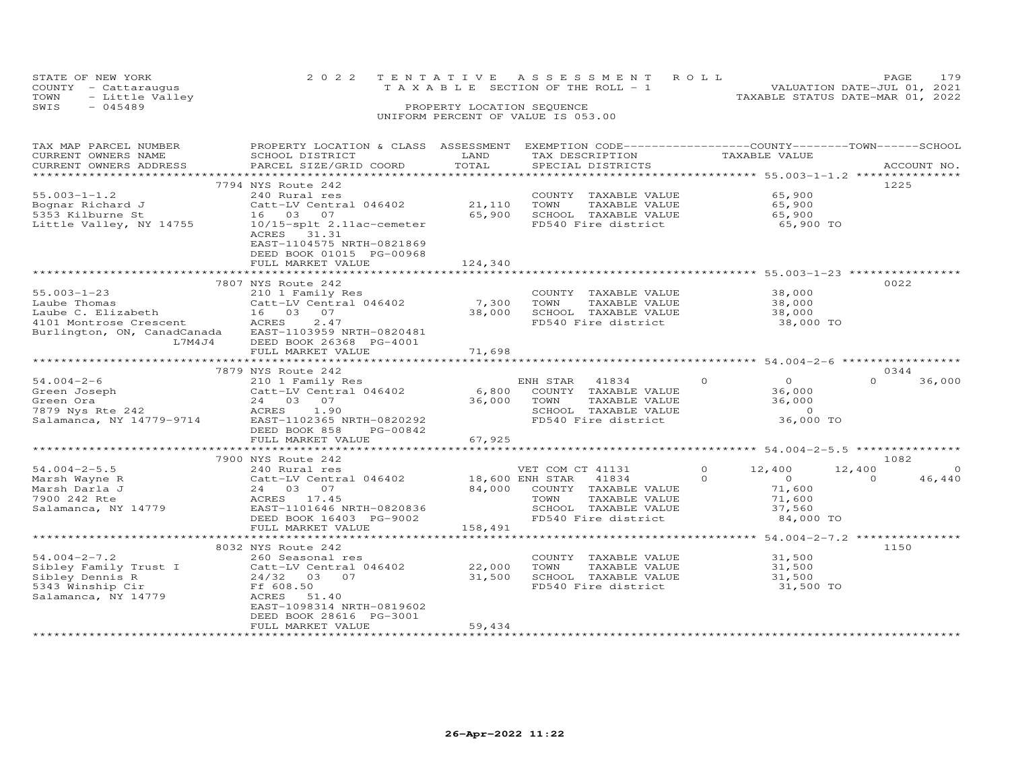|                                    | STATE OF NEW YORK    |  |  | 2022 TENTATIVE ASSESSMENT ROLL  |  | <b>PAGE</b>                      | 179 |
|------------------------------------|----------------------|--|--|---------------------------------|--|----------------------------------|-----|
|                                    | COUNTY - Cattaraugus |  |  | TAXABLE SECTION OF THE ROLL - 1 |  | VALUATION DATE-JUL 01, 2021      |     |
|                                    | TOWN - Little Valley |  |  |                                 |  | TAXABLE STATUS DATE-MAR 01, 2022 |     |
| SWIS                               | $-045489$            |  |  | PROPERTY LOCATION SEQUENCE      |  |                                  |     |
| UNIFORM PERCENT OF VALUE IS 053.00 |                      |  |  |                                 |  |                                  |     |

| TAX MAP PARCEL NUMBER       | PROPERTY LOCATION & CLASS ASSESSMENT |         | EXEMPTION CODE------------------COUNTY-------TOWN------SCHOOL |                                                       |                    |
|-----------------------------|--------------------------------------|---------|---------------------------------------------------------------|-------------------------------------------------------|--------------------|
| CURRENT OWNERS NAME         | SCHOOL DISTRICT                      | LAND    | TAX DESCRIPTION                                               | TAXABLE VALUE                                         |                    |
| CURRENT OWNERS ADDRESS      | PARCEL SIZE/GRID COORD               | TOTAL   | SPECIAL DISTRICTS                                             |                                                       | ACCOUNT NO.        |
|                             |                                      |         | *************************                                     | *********************** 55.003-1-1.2 **************** |                    |
|                             | 7794 NYS Route 242                   |         |                                                               |                                                       | 1225               |
| $55.003 - 1 - 1.2$          | 240 Rural res                        |         | COUNTY TAXABLE VALUE                                          | 65,900                                                |                    |
| Bognar Richard J            | Catt-LV Central 046402               | 21,110  | TOWN<br>TAXABLE VALUE                                         | 65,900                                                |                    |
| 5353 Kilburne St            | 16 03 07                             | 65,900  | SCHOOL TAXABLE VALUE                                          | 65,900                                                |                    |
| Little Valley, NY 14755     | 10/15-splt 2.11ac-cemeter            |         | FD540 Fire district                                           | 65,900 TO                                             |                    |
|                             | ACRES 31.31                          |         |                                                               |                                                       |                    |
|                             | EAST-1104575 NRTH-0821869            |         |                                                               |                                                       |                    |
|                             | DEED BOOK 01015 PG-00968             |         |                                                               |                                                       |                    |
|                             | FULL MARKET VALUE                    | 124,340 |                                                               |                                                       |                    |
|                             | 7807 NYS Route 242                   |         |                                                               |                                                       | 0022               |
| $55.003 - 1 - 23$           | 210 1 Family Res                     |         | COUNTY TAXABLE VALUE                                          | 38,000                                                |                    |
| Laube Thomas                | Catt-LV Central 046402               | 7,300   | TAXABLE VALUE<br>TOWN                                         | 38,000                                                |                    |
| Laube C. Elizabeth          | 16 03 07                             | 38,000  | SCHOOL TAXABLE VALUE                                          | 38,000                                                |                    |
| 4101 Montrose Crescent      | ACRES<br>2.47                        |         | FD540 Fire district                                           | 38,000 TO                                             |                    |
| Burlington, ON, CanadCanada | EAST-1103959 NRTH-0820481            |         |                                                               |                                                       |                    |
| L7M4J4                      | DEED BOOK 26368 PG-4001              |         |                                                               |                                                       |                    |
|                             | FULL MARKET VALUE                    | 71,698  |                                                               |                                                       |                    |
|                             |                                      |         |                                                               |                                                       |                    |
|                             | 7879 NYS Route 242                   |         |                                                               |                                                       | 0344               |
| $54.004 - 2 - 6$            | 210 1 Family Res                     |         | 41834<br>ENH STAR                                             | $\Omega$<br>$\overline{O}$                            | $\Omega$<br>36,000 |
| Green Joseph                | Catt-LV Central 046402               | 6,800   | COUNTY TAXABLE VALUE                                          | 36,000                                                |                    |
| Green Ora                   | 24 03 07                             | 36,000  | TOWN<br>TAXABLE VALUE                                         | 36,000                                                |                    |
| 7879 Nys Rte 242            | 1.90<br>ACRES                        |         | SCHOOL TAXABLE VALUE                                          | $\overline{0}$                                        |                    |
| Salamanca, NY 14779-9714    | EAST-1102365 NRTH-0820292            |         | FD540 Fire district                                           | 36,000 TO                                             |                    |
|                             | DEED BOOK 858<br>PG-00842            |         |                                                               |                                                       |                    |
|                             | FULL MARKET VALUE                    | 67,925  |                                                               |                                                       |                    |
|                             |                                      |         |                                                               |                                                       |                    |
|                             | 7900 NYS Route 242                   |         |                                                               |                                                       | 1082               |
| $54.004 - 2 - 5.5$          | 240 Rural res                        |         | VET COM CT 41131                                              | $\Omega$<br>12,400                                    | 12,400<br>$\Omega$ |
| Marsh Wayne R               | Catt-LV Central 046402               |         | 18,600 ENH STAR 41834                                         | $\Omega$<br>$\circ$                                   | 46,440<br>$\Omega$ |
| Marsh Darla J               | 24 03 07                             | 84,000  | COUNTY TAXABLE VALUE                                          | 71,600                                                |                    |
| 7900 242 Rte                | ACRES 17.45                          |         | TOWN<br>TAXABLE VALUE                                         | 71,600                                                |                    |
| Salamanca, NY 14779         | EAST-1101646 NRTH-0820836            |         | SCHOOL TAXABLE VALUE                                          | 37,560                                                |                    |
|                             | DEED BOOK 16403 PG-9002              |         | FD540 Fire district                                           | 84,000 TO                                             |                    |
|                             | FULL MARKET VALUE                    | 158,491 |                                                               |                                                       |                    |
|                             | 8032 NYS Route 242                   |         |                                                               |                                                       | 1150               |
| $54.004 - 2 - 7.2$          | 260 Seasonal res                     |         | COUNTY TAXABLE VALUE                                          | 31,500                                                |                    |
| Sibley Family Trust I       | Catt-LV Central 046402               | 22,000  | TOWN<br>TAXABLE VALUE                                         | 31,500                                                |                    |
| Sibley Dennis R             | 24/32 03 07                          | 31,500  | SCHOOL TAXABLE VALUE                                          | 31,500                                                |                    |
| 5343 Winship Cir            | Ff 608.50                            |         | FD540 Fire district                                           | 31,500 TO                                             |                    |
| Salamanca, NY 14779         | 51.40<br>ACRES                       |         |                                                               |                                                       |                    |
|                             | EAST-1098314 NRTH-0819602            |         |                                                               |                                                       |                    |
|                             | DEED BOOK 28616 PG-3001              |         |                                                               |                                                       |                    |
|                             | FULL MARKET VALUE                    | 59,434  |                                                               |                                                       |                    |
|                             |                                      |         | ****************************                                  |                                                       |                    |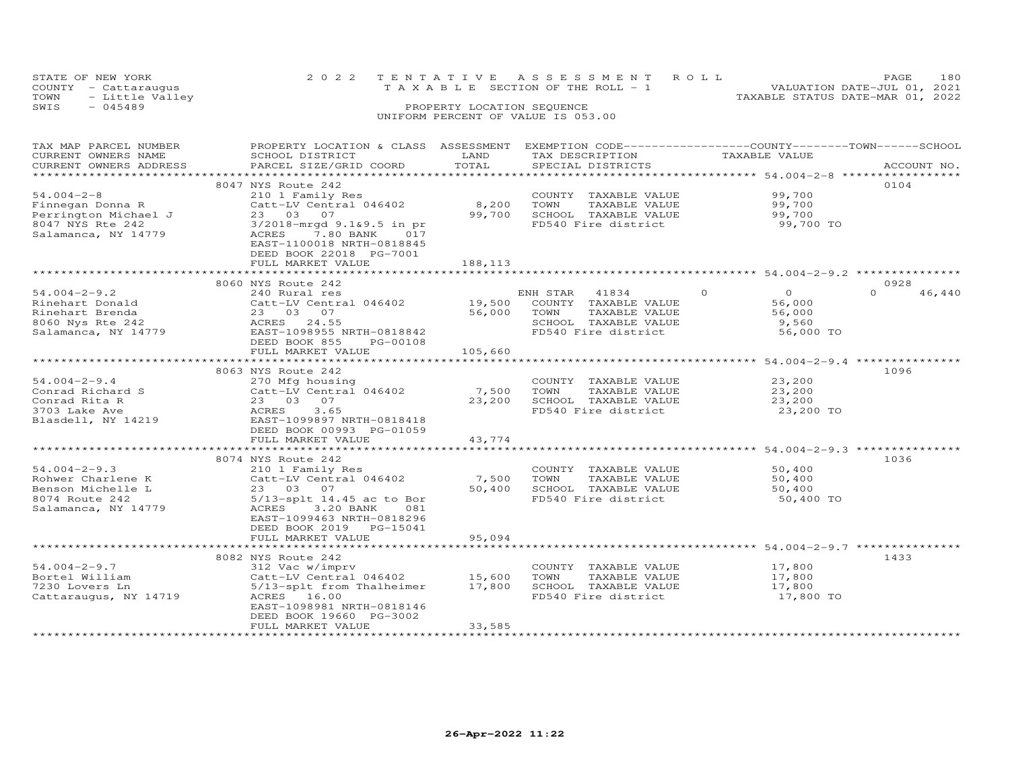|                                    | STATE OF NEW YORK    |  | 2022 TENTATIVE ASSESSMENT ROLL        |  | PAGE.                            | 180 |
|------------------------------------|----------------------|--|---------------------------------------|--|----------------------------------|-----|
|                                    | COUNTY - Cattaraugus |  | T A X A B L E SECTION OF THE ROLL - 1 |  | VALUATION DATE-JUL 01, 2021      |     |
| TOWN                               | - Little Valley      |  |                                       |  | TAXABLE STATUS DATE-MAR 01, 2022 |     |
| SWIS                               | $-045489$            |  | PROPERTY LOCATION SEQUENCE            |  |                                  |     |
| UNIFORM PERCENT OF VALUE IS 053.00 |                      |  |                                       |  |                                  |     |

| TAX MAP PARCEL NUMBER  | PROPERTY LOCATION & CLASS ASSESSMENT EXEMPTION CODE----------------COUNTY-------TOWN-----SCHOOL |            |                |                      |          |               |          |             |
|------------------------|-------------------------------------------------------------------------------------------------|------------|----------------|----------------------|----------|---------------|----------|-------------|
| CURRENT OWNERS NAME    | SCHOOL DISTRICT                                                                                 | LAND       |                | TAX DESCRIPTION      |          | TAXABLE VALUE |          |             |
| CURRENT OWNERS ADDRESS | PARCEL SIZE/GRID COORD                                                                          | TOTAL      |                | SPECIAL DISTRICTS    |          |               |          | ACCOUNT NO. |
| *******************    |                                                                                                 |            |                |                      |          |               |          |             |
|                        | 8047 NYS Route 242                                                                              |            |                |                      |          |               | 0104     |             |
| $54.004 - 2 - 8$       | 210 1 Family Res                                                                                |            |                | COUNTY TAXABLE VALUE |          | 99,700        |          |             |
| Finnegan Donna R       | Catt-LV Central 046402                                                                          | 8,200      | TOWN           | TAXABLE VALUE        |          | 99,700        |          |             |
| Perrington Michael J   | 23 03 07                                                                                        | 99,700     |                | SCHOOL TAXABLE VALUE |          | 99,700        |          |             |
| 8047 NYS Rte 242       | 3/2018-mrgd 9.1&9.5 in pr                                                                       |            |                | FD540 Fire district  |          | 99,700 TO     |          |             |
| Salamanca, NY 14779    | ACRES<br>7.80 BANK<br>017                                                                       |            |                |                      |          |               |          |             |
|                        | EAST-1100018 NRTH-0818845                                                                       |            |                |                      |          |               |          |             |
|                        | DEED BOOK 22018 PG-7001                                                                         |            |                |                      |          |               |          |             |
|                        | FULL MARKET VALUE                                                                               | 188,113    |                |                      |          |               |          |             |
|                        |                                                                                                 |            |                |                      |          |               |          |             |
|                        | 8060 NYS Route 242                                                                              |            |                |                      |          |               | 0928     |             |
| $54.004 - 2 - 9.2$     | 240 Rural res                                                                                   |            | ENH STAR 41834 |                      | $\Omega$ | $\Omega$      | $\Omega$ | 46,440      |
| Rinehart Donald        | Catt-LV Central 046402                                                                          | 19,500     |                | COUNTY TAXABLE VALUE |          | 56,000        |          |             |
| Rinehart Brenda        | 23 03 07                                                                                        | 56,000     | TOWN           | TAXABLE VALUE        |          | 56,000        |          |             |
| 8060 Nys Rte 242       | ACRES<br>24.55                                                                                  |            |                | SCHOOL TAXABLE VALUE |          | 9,560         |          |             |
| Salamanca, NY 14779    | EAST-1098955 NRTH-0818842                                                                       |            |                | FD540 Fire district  |          | 56,000 TO     |          |             |
|                        | DEED BOOK 855<br>PG-00108                                                                       |            |                |                      |          |               |          |             |
|                        | FULL MARKET VALUE                                                                               | 105,660    |                |                      |          |               |          |             |
|                        |                                                                                                 |            |                |                      |          |               |          |             |
|                        | 8063 NYS Route 242                                                                              |            |                |                      |          |               | 1096     |             |
| $54.004 - 2 - 9.4$     | 270 Mfg housing                                                                                 |            |                | COUNTY TAXABLE VALUE |          | 23,200        |          |             |
| Conrad Richard S       | Catt-LV Central 046402                                                                          | 7,500      | TOWN           | TAXABLE VALUE        |          | 23,200        |          |             |
| Conrad Rita R          | 23 03 07                                                                                        | 23,200     |                | SCHOOL TAXABLE VALUE |          | 23,200        |          |             |
| 3703 Lake Ave          | ACRES<br>3.65                                                                                   |            |                | FD540 Fire district  |          | 23,200 TO     |          |             |
| Blasdell, NY 14219     | EAST-1099897 NRTH-0818418                                                                       |            |                |                      |          |               |          |             |
|                        | DEED BOOK 00993 PG-01059                                                                        |            |                |                      |          |               |          |             |
|                        | FULL MARKET VALUE                                                                               | 43,774     |                |                      |          |               |          |             |
|                        |                                                                                                 |            |                |                      |          |               |          |             |
|                        | 8074 NYS Route 242                                                                              |            |                |                      |          |               | 1036     |             |
| $54.004 - 2 - 9.3$     | 210 1 Family Res                                                                                |            |                | COUNTY TAXABLE VALUE |          | 50,400        |          |             |
| Rohwer Charlene K      | Catt-LV Central 046402                                                                          | 7,500      | TOWN           | TAXABLE VALUE        |          | 50,400        |          |             |
| Benson Michelle L      | 23 03 07                                                                                        | 50,400     |                | SCHOOL TAXABLE VALUE |          | 50,400        |          |             |
| 8074 Route 242         | $5/13$ -splt 14.45 ac to Bor                                                                    |            |                | FD540 Fire district  |          | 50,400 TO     |          |             |
| Salamanca, NY 14779    | ACRES<br>3.20 BANK<br>081                                                                       |            |                |                      |          |               |          |             |
|                        | EAST-1099463 NRTH-0818296                                                                       |            |                |                      |          |               |          |             |
|                        | DEED BOOK 2019 PG-15041                                                                         |            |                |                      |          |               |          |             |
|                        | FULL MARKET VALUE                                                                               | 95,094     |                |                      |          |               |          |             |
|                        |                                                                                                 | ********** |                |                      |          |               |          |             |
|                        | 8082 NYS Route 242                                                                              |            |                |                      |          |               | 1433     |             |
| $54.004 - 2 - 9.7$     | 312 Vac w/imprv                                                                                 |            |                | COUNTY TAXABLE VALUE |          | 17,800        |          |             |
| Bortel William         | Catt-LV Central 046402                                                                          | 15,600     | TOWN           | TAXABLE VALUE        |          | 17,800        |          |             |
| 7230 Lovers Ln         | 5/13-splt from Thalheimer                                                                       | 17,800     |                | SCHOOL TAXABLE VALUE |          | 17,800        |          |             |
| Cattaraugus, NY 14719  | ACRES 16.00                                                                                     |            |                | FD540 Fire district  |          | 17,800 TO     |          |             |
|                        | EAST-1098981 NRTH-0818146                                                                       |            |                |                      |          |               |          |             |
|                        | DEED BOOK 19660 PG-3002                                                                         |            |                |                      |          |               |          |             |
|                        | FULL MARKET VALUE                                                                               | 33,585     |                |                      |          |               |          |             |
|                        |                                                                                                 |            |                |                      |          |               |          |             |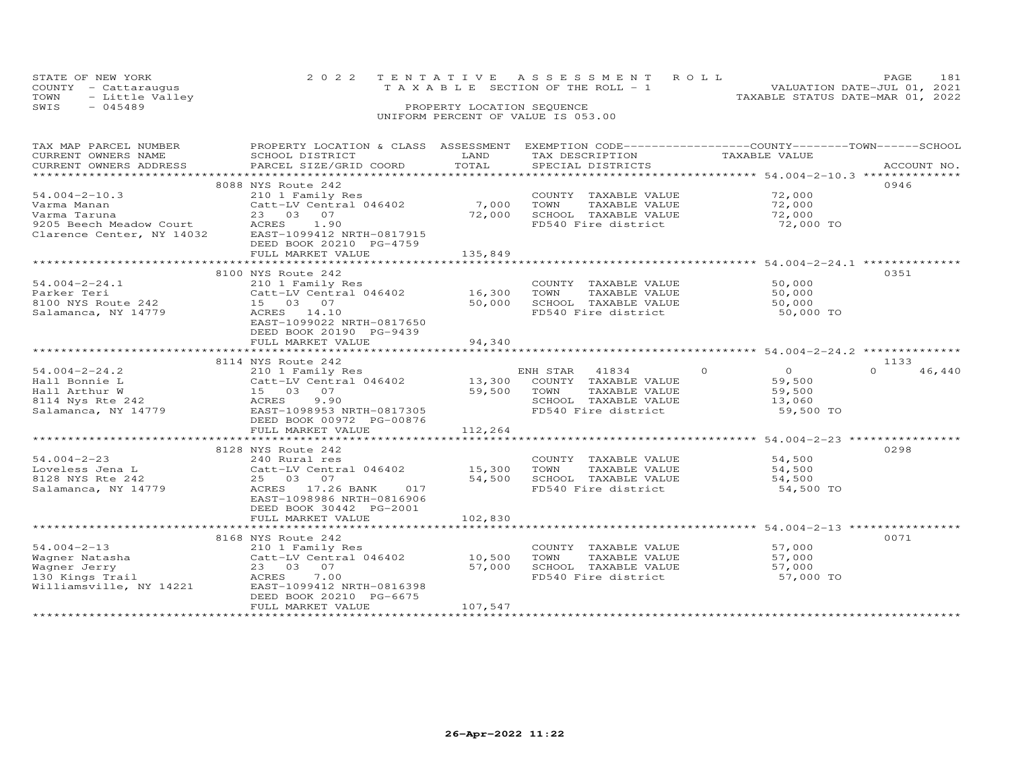|      | STATE OF NEW YORK    | 2022 TENTATIVE ASSESSMENT ROLL |  |                                    |  |  |  |  |                                  | PAGE. | 181 |
|------|----------------------|--------------------------------|--|------------------------------------|--|--|--|--|----------------------------------|-------|-----|
|      | COUNTY - Cattaraugus |                                |  | TAXABLE SECTION OF THE ROLL - 1    |  |  |  |  | VALUATION DATE-JUL 01, 2021      |       |     |
|      | TOWN - Little Valley |                                |  |                                    |  |  |  |  | TAXABLE STATUS DATE-MAR 01, 2022 |       |     |
| SWIS | - 045489             |                                |  | PROPERTY LOCATION SEQUENCE         |  |  |  |  |                                  |       |     |
|      |                      |                                |  | UNIFORM PERCENT OF VALUE IS 053.00 |  |  |  |  |                                  |       |     |

| TAX MAP PARCEL NUMBER<br>CURRENT OWNERS NAME<br>CURRENT OWNERS ADDRESS<br>***********************                                       | PROPERTY LOCATION & CLASS ASSESSMENT EXEMPTION CODE----------------COUNTY-------TOWN------SCHOOL<br>SCHOOL DISTRICT<br>PARCEL SIZE/GRID COORD                                                                            | LAND<br>TOTAL              | TAX DESCRIPTION TAXABLE VALUE<br>SPECIAL DISTRICTS                                                                                    |                                                                       | ACCOUNT NO.                |
|-----------------------------------------------------------------------------------------------------------------------------------------|--------------------------------------------------------------------------------------------------------------------------------------------------------------------------------------------------------------------------|----------------------------|---------------------------------------------------------------------------------------------------------------------------------------|-----------------------------------------------------------------------|----------------------------|
| $54.004 - 2 - 10.3$<br>Varma Manan<br>Varma Taruna<br>9205 Beech Meadow Court<br>Clarence Center. NY 14032<br>Clarence Center, NY 14032 | 8088 NYS Route 242<br>210 1 Family Res<br>Catt-LV Central 046402<br>23 03 07<br>ACRES 1.90<br>EAST-1099412 NRTH-0817915<br>DEED BOOK 20210 PG-4759<br>FULL MARKET VALUE                                                  | 7,000<br>72,000<br>135,849 | COUNTY TAXABLE VALUE<br>TOWN<br>TAXABLE VALUE<br>SCHOOL TAXABLE VALUE<br>FD540 Fire district                                          | 72,000<br>72,000<br>72,000<br>72,000 TO                               | 0946                       |
| $54.004 - 2 - 24.1$<br>Parker Teri<br>8100 NYS Route 242<br>Salamanca, NY 14779                                                         | 8100 NYS Route 242<br>210 1 Family Res<br>$Cat$ -LV Central 046402 16,300<br>15 03 07<br>ACRES 14.10<br>EAST-1099022 NRTH-0817650<br>DEED BOOK 20190 PG-9439<br>FULL MARKET VALUE                                        | 50,000<br>94,340           | COUNTY TAXABLE VALUE<br>TAXABLE VALUE<br>TOWN<br>SCHOOL TAXABLE VALUE<br>FD540 Fire district                                          | 50,000<br>50,000<br>50,000<br>50,000 TO                               | 0351                       |
| $54.004 - 2 - 24.2$<br>Hall Bonnie L<br>Hall Arthur W<br>8114 Nys Rte 242<br>Salamanca, NY 14779                                        | 8114 NYS Route 242<br>Nis Route 242<br>210 1 Family Res<br>Catt-LV Central 046402 13,300 COUNTY TAXABLE VALUE<br>15 03 07<br>9.90<br>ACRES<br>EAST-1098953 NRTH-0817305<br>DEED BOOK 00972 PG-00876<br>FULL MARKET VALUE | 59,500 TOWN<br>112,264     | ENH STAR 41834<br>TAXABLE VALUE<br>SCHOOL TAXABLE VALUE<br>FD540 Fire district                                                        | $\Omega$<br>$\overline{0}$<br>59,500<br>59,500<br>13,060<br>59,500 TO | 1133<br>46.440<br>$\Omega$ |
| $54.004 - 2 - 23$<br>Loveless Jena L<br>8128 NYS Rte 242<br>Salamanca, NY 14779                                                         | 8128 NYS Route 242<br>240 Rural res<br>Catt-LV Central 046402<br>25 03 07<br>ACRES 17.26 BANK 017<br>EAST-1098986 NRTH-0816906<br>DEED BOOK 30442 PG-2001<br>FULL MARKET VALUE                                           | 15,300 TOWN<br>102,830     | COUNTY TAXABLE VALUE<br>TAXABLE VALUE<br>15,300    TOWN      TAXABLE VALUE<br>54,500    SCHOOL   TAXABLE VALUE<br>FD540 Fire district | 54,500<br>54,500<br>54,500<br>54,500<br>54,500 TO                     | 0298                       |
| $54.004 - 2 - 13$<br>Wagner Natasha<br>Wagner Jerry<br>130 Kings Trail<br>Williamsville, NY 14221                                       | 8168 NYS Route 242<br>210 1 Family Res<br>Catt-LV Central 046402 10,500<br>23 03 07<br>ACRES 7.00<br>EAST-1099412 NRTH-0816398<br>DEED BOOK 20210 PG-6675<br>FULL MARKET VALUE                                           | 57,000<br>107,547          | COUNTY TAXABLE VALUE<br>TOWN<br>TAXABLE VALUE<br>SCHOOL TAXABLE VALUE 57,000<br>FD540 Fire district                                   | 57,000<br>57,000<br>57,000 TO                                         | 0071                       |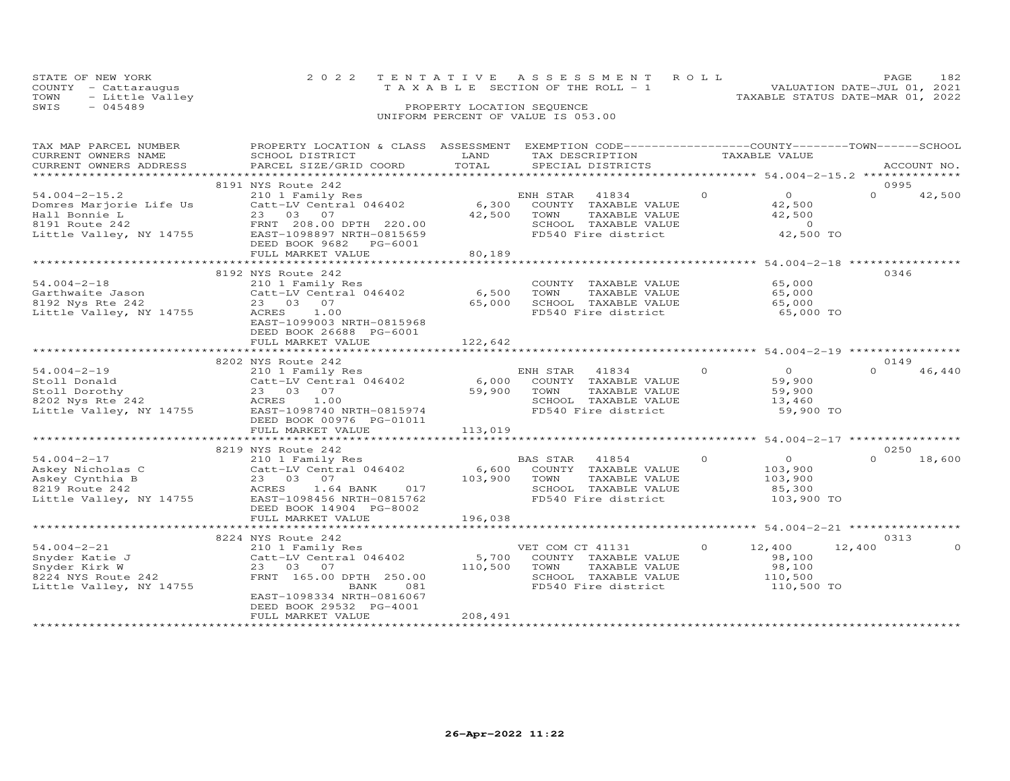| STATE OF NEW YORK       | 2022 TENTATIVE ASSESSMENT ROLL             | PAGE                             | 182 |
|-------------------------|--------------------------------------------|----------------------------------|-----|
| COUNTY - Cattarauqus    | $T A X A B I E E$ SECTION OF THE ROLL $-1$ | VALUATION DATE-JUL 01, 2021      |     |
| TOWN<br>- Little Valley |                                            | TAXABLE STATUS DATE-MAR 01, 2022 |     |
| SWTS<br>$-045489$       | PROPERTY LOCATION SEQUENCE                 |                                  |     |

### SWIS - 045489 PROPERTY LOCATION SEQUENCE UNIFORM PERCENT OF VALUE IS 053.00

| TAX MAP PARCEL NUMBER   | PROPERTY LOCATION & CLASS ASSESSMENT |         | EXEMPTION CODE------------------COUNTY-------TOWN------SCHOOL |                            |                    |
|-------------------------|--------------------------------------|---------|---------------------------------------------------------------|----------------------------|--------------------|
| CURRENT OWNERS NAME     | SCHOOL DISTRICT                      | LAND    | TAX DESCRIPTION                                               | TAXABLE VALUE              |                    |
| CURRENT OWNERS ADDRESS  | PARCEL SIZE/GRID COORD               | TOTAL   | SPECIAL DISTRICTS                                             |                            | ACCOUNT NO.        |
|                         |                                      |         |                                                               |                            |                    |
|                         | 8191 NYS Route 242                   |         |                                                               |                            | 0995               |
| $54.004 - 2 - 15.2$     | 210 1 Family Res                     |         | ENH STAR<br>41834                                             | $\overline{0}$<br>$\Omega$ | $\Omega$<br>42,500 |
| Domres Marjorie Life Us | Catt-LV Central 046402               | 6,300   | COUNTY TAXABLE VALUE                                          | 42,500                     |                    |
| Hall Bonnie L           | 23 03 07                             | 42,500  | TOWN<br>TAXABLE VALUE                                         | 42,500                     |                    |
| 8191 Route 242          | FRNT 208.00 DPTH 220.00              |         | SCHOOL TAXABLE VALUE                                          | $\overline{0}$             |                    |
| Little Valley, NY 14755 | EAST-1098897 NRTH-0815659            |         | FD540 Fire district                                           | 42,500 TO                  |                    |
|                         | DEED BOOK 9682<br>PG-6001            |         |                                                               |                            |                    |
|                         | FULL MARKET VALUE                    | 80,189  |                                                               |                            |                    |
|                         |                                      |         |                                                               |                            |                    |
|                         | 8192 NYS Route 242                   |         |                                                               |                            | 0346               |
| $54.004 - 2 - 18$       | 210 1 Family Res                     |         | COUNTY TAXABLE VALUE                                          | 65,000                     |                    |
| Garthwaite Jason        | Catt-LV Central 046402               | 6,500   | TOWN<br>TAXABLE VALUE                                         | 65,000                     |                    |
|                         | 23 03 07                             | 65,000  | SCHOOL TAXABLE VALUE                                          | 65,000                     |                    |
| 8192 Nys Rte 242        |                                      |         |                                                               |                            |                    |
| Little Valley, NY 14755 | ACRES<br>1.00                        |         | FD540 Fire district                                           | 65,000 TO                  |                    |
|                         | EAST-1099003 NRTH-0815968            |         |                                                               |                            |                    |
|                         | DEED BOOK 26688 PG-6001              |         |                                                               |                            |                    |
|                         | FULL MARKET VALUE                    | 122,642 |                                                               |                            |                    |
|                         |                                      |         |                                                               |                            |                    |
|                         | 8202 NYS Route 242                   |         |                                                               |                            | 0149               |
| $54.004 - 2 - 19$       | 210 1 Family Res                     |         | ENH STAR<br>41834                                             | $\Omega$<br>$\Omega$       | $\Omega$<br>46,440 |
| Stoll Donald            | Catt-LV Central 046402               | 6,000   | COUNTY TAXABLE VALUE                                          | 59,900                     |                    |
| Stoll Dorothy           | 23 03 07                             | 59,900  | TOWN<br>TAXABLE VALUE                                         | 59,900                     |                    |
| 8202 Nys Rte 242        | 1.00<br>ACRES                        |         | SCHOOL TAXABLE VALUE                                          | 13,460                     |                    |
| Little Valley, NY 14755 | EAST-1098740 NRTH-0815974            |         | FD540 Fire district                                           | 59,900 TO                  |                    |
|                         | DEED BOOK 00976 PG-01011             |         |                                                               |                            |                    |
|                         | FULL MARKET VALUE                    | 113,019 |                                                               |                            |                    |
|                         |                                      |         |                                                               |                            |                    |
|                         | 8219 NYS Route 242                   |         |                                                               |                            | 0250               |
| $54.004 - 2 - 17$       | 210 1 Family Res                     |         | BAS STAR 41854                                                | $\Omega$<br>$\overline{O}$ | $\Omega$<br>18,600 |
| Askey Nicholas C        | Catt-LV Central 046402               | 6,600   | COUNTY TAXABLE VALUE                                          | 103,900                    |                    |
| Askey Cynthia B         | 23 03 07                             | 103,900 | TOWN<br>TAXABLE VALUE                                         | 103,900                    |                    |
| 8219 Route 242          | ACRES<br>1.64 BANK<br>017            |         | SCHOOL TAXABLE VALUE                                          | 85,300                     |                    |
| Little Valley, NY 14755 | EAST-1098456 NRTH-0815762            |         | FD540 Fire district                                           | 103,900 TO                 |                    |
|                         | DEED BOOK 14904 PG-8002              |         |                                                               |                            |                    |
|                         | FULL MARKET VALUE                    | 196,038 |                                                               |                            |                    |
|                         |                                      |         |                                                               |                            |                    |
|                         | 8224 NYS Route 242                   |         |                                                               |                            | 0313               |
| $54.004 - 2 - 21$       | 210 1 Family Res                     |         | VET COM CT 41131                                              | $\circ$<br>12,400          | 12,400<br>$\Omega$ |
| Snyder Katie J          | Catt-LV Central 046402               | 5,700   | COUNTY TAXABLE VALUE                                          | 98,100                     |                    |
| Snyder Kirk W           | 23 03 07                             | 110,500 | TOWN<br>TAXABLE VALUE                                         | 98,100                     |                    |
| 8224 NYS Route 242      | FRNT 165.00 DPTH 250.00              |         | SCHOOL TAXABLE VALUE                                          | 110,500                    |                    |
| Little Valley, NY 14755 | BANK<br>081                          |         | FD540 Fire district                                           | 110,500 TO                 |                    |
|                         | EAST-1098334 NRTH-0816067            |         |                                                               |                            |                    |
|                         | DEED BOOK 29532 PG-4001              |         |                                                               |                            |                    |
|                         | FULL MARKET VALUE                    | 208,491 |                                                               |                            |                    |
|                         |                                      |         |                                                               |                            |                    |
|                         |                                      |         |                                                               |                            |                    |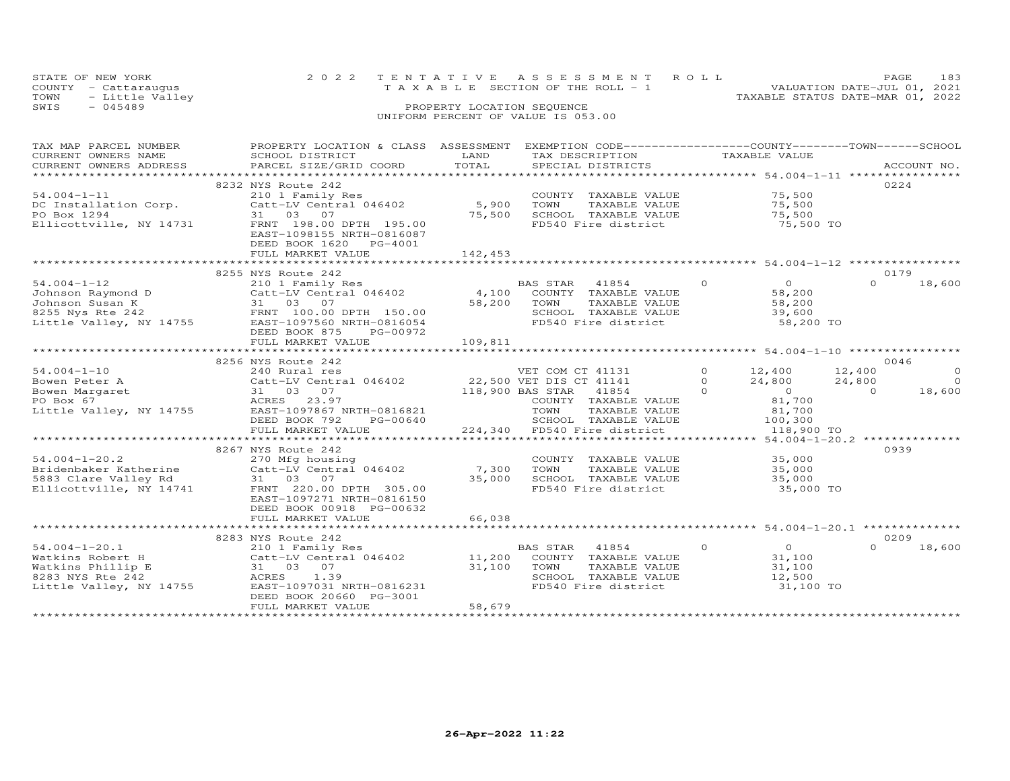| STATE OF NEW YORK    | 2022 TENTATIVE ASSESSMENT ROLL        | PAGE.                            | 183 |
|----------------------|---------------------------------------|----------------------------------|-----|
| COUNTY - Cattaraugus | T A X A B L E SECTION OF THE ROLL - 1 | VALUATION DATE-JUL 01, 2021      |     |
| TOWN - Little Valley |                                       | TAXABLE STATUS DATE-MAR 01, 2022 |     |
| SWIS<br>- 045489     | PROPERTY LOCATION SEQUENCE            |                                  |     |
|                      | UNIFORM PERCENT OF VALUE IS 053.00    |                                  |     |

| TAX MAP PARCEL NUMBER   | PROPERTY LOCATION & CLASS ASSESSMENT          |                | EXEMPTION CODE-----------------COUNTY-------TOWN------SCHOOL |                                     |                    |
|-------------------------|-----------------------------------------------|----------------|--------------------------------------------------------------|-------------------------------------|--------------------|
| CURRENT OWNERS NAME     | SCHOOL DISTRICT                               | LAND           | TAX DESCRIPTION                                              | TAXABLE VALUE                       |                    |
| CURRENT OWNERS ADDRESS  | PARCEL SIZE/GRID COORD                        | TOTAL          | SPECIAL DISTRICTS                                            |                                     | ACCOUNT NO.        |
|                         | ***************************                   | ************** |                                                              |                                     |                    |
|                         | 8232 NYS Route 242                            |                |                                                              |                                     | 0224               |
| $54.004 - 1 - 11$       | 210 1 Family Res                              |                | COUNTY TAXABLE VALUE                                         | 75,500                              |                    |
| DC Installation Corp.   | Catt-LV Central 046402                        | 5,900          | TOWN<br>TAXABLE VALUE                                        | 75,500                              |                    |
| PO Box 1294             | 31 03 07                                      | 75,500         | SCHOOL TAXABLE VALUE                                         | 75,500                              |                    |
| Ellicottville, NY 14731 | FRNT 198.00 DPTH 195.00                       |                | FD540 Fire district                                          | 75,500 TO                           |                    |
|                         | EAST-1098155 NRTH-0816087                     |                |                                                              |                                     |                    |
|                         | DEED BOOK 1620 PG-4001                        |                |                                                              |                                     |                    |
|                         | FULL MARKET VALUE                             | 142,453        |                                                              |                                     |                    |
|                         |                                               |                |                                                              |                                     |                    |
|                         | 8255 NYS Route 242                            |                |                                                              |                                     | 0179               |
| $54.004 - 1 - 12$       | 210 1 Family Res                              |                | BAS STAR<br>41854                                            | $\Omega$<br>$\overline{O}$          | 18,600<br>$\Omega$ |
| Johnson Raymond D       | Catt-LV Central 046402                        | 4,100          | COUNTY TAXABLE VALUE                                         | 58,200                              |                    |
| Johnson Susan K         | 31 03 07                                      | 58,200         | TOWN<br>TAXABLE VALUE                                        | 58,200                              |                    |
| 8255 Nys Rte 242        | FRNT 100.00 DPTH 150.00                       |                | SCHOOL TAXABLE VALUE                                         | 39,600                              |                    |
| Little Valley, NY 14755 | EAST-1097560 NRTH-0816054                     |                | FD540 Fire district                                          | 58,200 TO                           |                    |
|                         | DEED BOOK 875<br>PG-00972                     |                |                                                              |                                     |                    |
|                         | FULL MARKET VALUE                             | 109,811        |                                                              |                                     |                    |
|                         |                                               |                |                                                              |                                     |                    |
|                         | 8256 NYS Route 242                            |                |                                                              |                                     | 0046               |
| $54.004 - 1 - 10$       | 240 Rural res                                 |                | VET COM CT 41131                                             | $\Omega$<br>12,400                  | 12,400<br>$\Omega$ |
| Bowen Peter A           | Catt-LV Central 046402                        |                | 22,500 VET DIS CT 41141                                      | $\Omega$<br>24,800                  | 24,800<br>$\Omega$ |
| Bowen Margaret          | 31 03 07                                      |                | 118,900 BAS STAR<br>41854                                    | $\Omega$<br>$\overline{0}$          | 18,600<br>$\Omega$ |
| PO Box 67               | ACRES<br>23.97                                |                | COUNTY TAXABLE VALUE                                         | 81,700                              |                    |
| Little Valley, NY 14755 | EAST-1097867 NRTH-0816821                     |                | TOWN<br>TAXABLE VALUE                                        | 81,700                              |                    |
|                         | DEED BOOK 792<br>PG-00640                     |                | SCHOOL TAXABLE VALUE                                         | 100,300                             |                    |
|                         | FULL MARKET VALUE                             | 224,340        | FD540 Fire district                                          | 118,900 TO                          |                    |
|                         |                                               |                |                                                              | ******* 54.004-1-20.2 ************* |                    |
|                         | 8267 NYS Route 242                            |                |                                                              |                                     | 0939               |
| $54.004 - 1 - 20.2$     | 270 Mfg housing                               |                | COUNTY TAXABLE VALUE                                         | 35,000                              |                    |
| Bridenbaker Katherine   | Catt-LV Central 046402                        | 7,300          | TOWN<br>TAXABLE VALUE                                        | 35,000                              |                    |
| 5883 Clare Valley Rd    | 31 03 07                                      | 35,000         | SCHOOL TAXABLE VALUE                                         | 35,000                              |                    |
| Ellicottville, NY 14741 | FRNT 220.00 DPTH 305.00                       |                | FD540 Fire district                                          | 35,000 TO                           |                    |
|                         |                                               |                |                                                              |                                     |                    |
|                         | EAST-1097271 NRTH-0816150                     |                |                                                              |                                     |                    |
|                         | DEED BOOK 00918 PG-00632<br>FULL MARKET VALUE | 66,038         |                                                              |                                     |                    |
|                         |                                               |                |                                                              |                                     |                    |
|                         | 8283 NYS Route 242                            |                |                                                              |                                     | 0209               |
|                         |                                               |                |                                                              |                                     |                    |
| $54.004 - 1 - 20.1$     | 210 1 Family Res                              |                | BAS STAR<br>41854                                            | $\circ$<br>$\overline{O}$           | 18,600<br>$\Omega$ |
| Watkins Robert H        | Catt-LV Central 046402                        | 11,200         | COUNTY TAXABLE VALUE                                         | 31,100                              |                    |
| Watkins Phillip E       | 31 03 07                                      | 31,100         | TOWN<br>TAXABLE VALUE                                        | 31,100                              |                    |
| 8283 NYS Rte 242        | 1.39<br>ACRES                                 |                | SCHOOL TAXABLE VALUE                                         | 12,500                              |                    |
| Little Valley, NY 14755 | EAST-1097031 NRTH-0816231                     |                | FD540 Fire district                                          | 31,100 TO                           |                    |
|                         | DEED BOOK 20660 PG-3001                       |                |                                                              |                                     |                    |
|                         | FULL MARKET VALUE                             | 58,679         |                                                              |                                     |                    |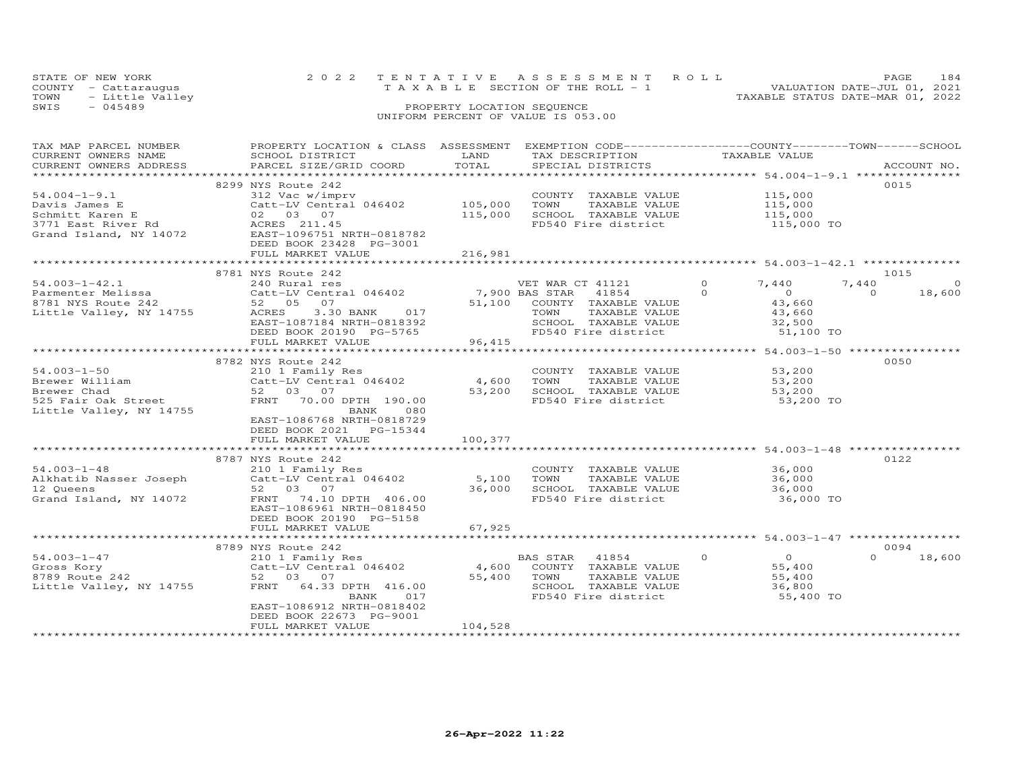|      | STATE OF NEW YORK    |  | 2022 TENTATIVE ASSESSMENT ROLL     |                                  | PAGE.                       |  |
|------|----------------------|--|------------------------------------|----------------------------------|-----------------------------|--|
|      | COUNTY - Cattaraugus |  | TAXABLE SECTION OF THE ROLL - 1    |                                  | VALUATION DATE-JUL 01, 2021 |  |
|      | TOWN - Little Valley |  |                                    | TAXABLE STATUS DATE-MAR 01, 2022 |                             |  |
| SWIS | - 045489             |  | PROPERTY LOCATION SEQUENCE         |                                  |                             |  |
|      |                      |  | UNIFORM PERCENT OF VALUE IS 053.00 |                                  |                             |  |

| TAX MAP PARCEL NUMBER                                                     | PROPERTY LOCATION & CLASS ASSESSMENT                                                                                          |         | EXEMPTION CODE-----------------COUNTY-------TOWN------SCHOOL |                                                                                                                                                                                                                                                                                                                                               |                    |
|---------------------------------------------------------------------------|-------------------------------------------------------------------------------------------------------------------------------|---------|--------------------------------------------------------------|-----------------------------------------------------------------------------------------------------------------------------------------------------------------------------------------------------------------------------------------------------------------------------------------------------------------------------------------------|--------------------|
| CURRENT OWNERS NAME                                                       | SCHOOL DISTRICT                                                                                                               | LAND    | TAX DESCRIPTION                                              | TAXABLE VALUE                                                                                                                                                                                                                                                                                                                                 |                    |
| CURRENT OWNERS ADDRESS                                                    | PARCEL SIZE/GRID COORD                                                                                                        | TOTAL   | SPECIAL DISTRICTS                                            |                                                                                                                                                                                                                                                                                                                                               | ACCOUNT NO.        |
|                                                                           |                                                                                                                               |         |                                                              | *********************** 54.004-1-9.1 ****************                                                                                                                                                                                                                                                                                         |                    |
|                                                                           | 8299 NYS Route 242                                                                                                            |         |                                                              |                                                                                                                                                                                                                                                                                                                                               | 0015               |
| $54.004 - 1 - 9.1$                                                        | 312 Vac w/imprv                                                                                                               |         | COUNTY TAXABLE VALUE                                         | 115,000                                                                                                                                                                                                                                                                                                                                       |                    |
|                                                                           | Catt-LV Central 046402 105,000                                                                                                |         | TAXABLE VALUE<br>TOWN                                        | 115,000                                                                                                                                                                                                                                                                                                                                       |                    |
|                                                                           |                                                                                                                               | 115,000 | SCHOOL TAXABLE VALUE                                         | 115,000                                                                                                                                                                                                                                                                                                                                       |                    |
|                                                                           |                                                                                                                               |         | FD540 Fire district                                          | 115,000 TO                                                                                                                                                                                                                                                                                                                                    |                    |
|                                                                           | 54.004-1-9.1<br>Davis James E<br>Schmitt Karen E<br>3771 East River Rd<br>Grand Island, NY 14072<br>EAST-1096751 NRTH-0818782 |         |                                                              |                                                                                                                                                                                                                                                                                                                                               |                    |
|                                                                           | DEED BOOK 23428 PG-3001                                                                                                       |         |                                                              |                                                                                                                                                                                                                                                                                                                                               |                    |
|                                                                           | FULL MARKET VALUE                                                                                                             | 216,981 |                                                              |                                                                                                                                                                                                                                                                                                                                               |                    |
|                                                                           |                                                                                                                               |         |                                                              |                                                                                                                                                                                                                                                                                                                                               |                    |
|                                                                           | 8781 NYS Route 242                                                                                                            |         |                                                              |                                                                                                                                                                                                                                                                                                                                               | 1015               |
| $54.003 - 1 - 42.1$                                                       | 240 Rural res                                                                                                                 |         | VET WAR CT 41121                                             | $\circ$<br>7,440                                                                                                                                                                                                                                                                                                                              | 7,440<br>$\Omega$  |
| 54.003-1-42.1<br>Parmenter Melissa<br>8781 NYS Route 242<br>1100 NY 14755 | Catt-LV Central 046402 7,900 BAS STAR                                                                                         |         | 41854                                                        | $\Omega$<br>$\overline{a}$                                                                                                                                                                                                                                                                                                                    | $\Omega$<br>18,600 |
|                                                                           | 52 05 07                                                                                                                      |         | 51,100 COUNTY TAXABLE VALUE                                  | 43,660                                                                                                                                                                                                                                                                                                                                        |                    |
|                                                                           | 3.30 BANK<br>017<br>ACRES                                                                                                     |         | TOWN<br>TAXABLE VALUE                                        | 43,660                                                                                                                                                                                                                                                                                                                                        |                    |
|                                                                           | EAST-1087184 NRTH-0818392                                                                                                     |         | SCHOOL TAXABLE VALUE                                         |                                                                                                                                                                                                                                                                                                                                               |                    |
|                                                                           | DEED BOOK 20190 PG-5765                                                                                                       |         | FD540 Fire district                                          | 32,500<br>51,100 TO                                                                                                                                                                                                                                                                                                                           |                    |
|                                                                           | FULL MARKET VALUE                                                                                                             | 96,415  |                                                              |                                                                                                                                                                                                                                                                                                                                               |                    |
|                                                                           |                                                                                                                               |         |                                                              |                                                                                                                                                                                                                                                                                                                                               |                    |
|                                                                           | 8782 NYS Route 242                                                                                                            |         |                                                              |                                                                                                                                                                                                                                                                                                                                               | 0050               |
| $54.003 - 1 - 50$                                                         | 210 1 Family Res                                                                                                              |         | COUNTY TAXABLE VALUE                                         | 53,200                                                                                                                                                                                                                                                                                                                                        |                    |
|                                                                           | Catt-LV Central 046402                                                                                                        | 4,600   | TOWN<br>TAXABLE VALUE                                        | 53,200                                                                                                                                                                                                                                                                                                                                        |                    |
| Brewer William                                                            | 52 03 07                                                                                                                      | 53,200  | SCHOOL TAXABLE VALUE                                         | 53,200                                                                                                                                                                                                                                                                                                                                        |                    |
|                                                                           | FRNT<br>70.00 DPTH 190.00                                                                                                     |         | FD540 Fire district                                          | 53,200 TO                                                                                                                                                                                                                                                                                                                                     |                    |
| Hewer Chad<br>525 Fair Oak Street<br>Little Valley NY 14755               | BANK<br>080                                                                                                                   |         |                                                              |                                                                                                                                                                                                                                                                                                                                               |                    |
|                                                                           | EAST-1086768 NRTH-0818729                                                                                                     |         |                                                              |                                                                                                                                                                                                                                                                                                                                               |                    |
|                                                                           | DEED BOOK 2021    PG-15344                                                                                                    |         |                                                              |                                                                                                                                                                                                                                                                                                                                               |                    |
|                                                                           | FULL MARKET VALUE                                                                                                             | 100,377 |                                                              |                                                                                                                                                                                                                                                                                                                                               |                    |
|                                                                           |                                                                                                                               |         |                                                              |                                                                                                                                                                                                                                                                                                                                               |                    |
|                                                                           | 8787 NYS Route 242                                                                                                            |         |                                                              |                                                                                                                                                                                                                                                                                                                                               | 0122               |
| $54.003 - 1 - 48$                                                         | 210 1 Family Res                                                                                                              |         | COUNTY TAXABLE VALUE                                         |                                                                                                                                                                                                                                                                                                                                               |                    |
| Alkhatib Nasser Joseph                                                    | Catt-LV Central 046402                                                                                                        | 5,100   | TOWN<br>TAXABLE VALUE                                        | 36,000<br>36.000                                                                                                                                                                                                                                                                                                                              |                    |
|                                                                           | 52 03 07                                                                                                                      | 36,000  | SCHOOL TAXABLE VALUE 36,000                                  |                                                                                                                                                                                                                                                                                                                                               |                    |
| 12 Queens                                                                 |                                                                                                                               |         | FD540 Fire district                                          |                                                                                                                                                                                                                                                                                                                                               |                    |
| Grand Island, NY 14072                                                    | FRNT 74.10 DPTH 406.00                                                                                                        |         |                                                              | 36,000 TO                                                                                                                                                                                                                                                                                                                                     |                    |
|                                                                           | EAST-1086961 NRTH-0818450                                                                                                     |         |                                                              |                                                                                                                                                                                                                                                                                                                                               |                    |
|                                                                           | DEED BOOK 20190 PG-5158                                                                                                       |         |                                                              |                                                                                                                                                                                                                                                                                                                                               |                    |
|                                                                           | FULL MARKET VALUE                                                                                                             | 67,925  |                                                              |                                                                                                                                                                                                                                                                                                                                               |                    |
|                                                                           |                                                                                                                               |         |                                                              |                                                                                                                                                                                                                                                                                                                                               |                    |
|                                                                           | 8789 NYS Route 242<br>210 1 Family Res                                                                                        |         |                                                              |                                                                                                                                                                                                                                                                                                                                               | 0094               |
| $54.003 - 1 - 47$                                                         |                                                                                                                               |         | 41854<br>BAS STAR                                            | $\circ$<br>$\overline{O}$ and $\overline{O}$ and $\overline{O}$ and $\overline{O}$ and $\overline{O}$ and $\overline{O}$ and $\overline{O}$ and $\overline{O}$ and $\overline{O}$ and $\overline{O}$ and $\overline{O}$ and $\overline{O}$ and $\overline{O}$ and $\overline{O}$ and $\overline{O}$ and $\overline{O}$ and $\overline{O}$ and | $\cap$<br>18,600   |
| Gross Kory                                                                | 210 1 Family<br>Catt-LV Centr<br>52 03 07<br>Catt-LV Central 046402                                                           |         | 4,600 COUNTY TAXABLE VALUE                                   | 55,400                                                                                                                                                                                                                                                                                                                                        |                    |
| 8789 Route 242                                                            |                                                                                                                               | 55,400  | TAXABLE VALUE<br>TOWN                                        | 55,400                                                                                                                                                                                                                                                                                                                                        |                    |
| Little Valley, NY 14755                                                   | FRNT 64.33 DPTH 416.00                                                                                                        |         | SCHOOL TAXABLE VALUE<br>FD540 Fire district                  | 36,800                                                                                                                                                                                                                                                                                                                                        |                    |
|                                                                           | 017<br>BANK                                                                                                                   |         |                                                              | 55,400 TO                                                                                                                                                                                                                                                                                                                                     |                    |
|                                                                           | EAST-1086912 NRTH-0818402                                                                                                     |         |                                                              |                                                                                                                                                                                                                                                                                                                                               |                    |
|                                                                           | DEED BOOK 22673 PG-9001                                                                                                       |         |                                                              |                                                                                                                                                                                                                                                                                                                                               |                    |
|                                                                           | FULL MARKET VALUE                                                                                                             | 104,528 |                                                              |                                                                                                                                                                                                                                                                                                                                               |                    |
|                                                                           | ************************                                                                                                      |         |                                                              |                                                                                                                                                                                                                                                                                                                                               |                    |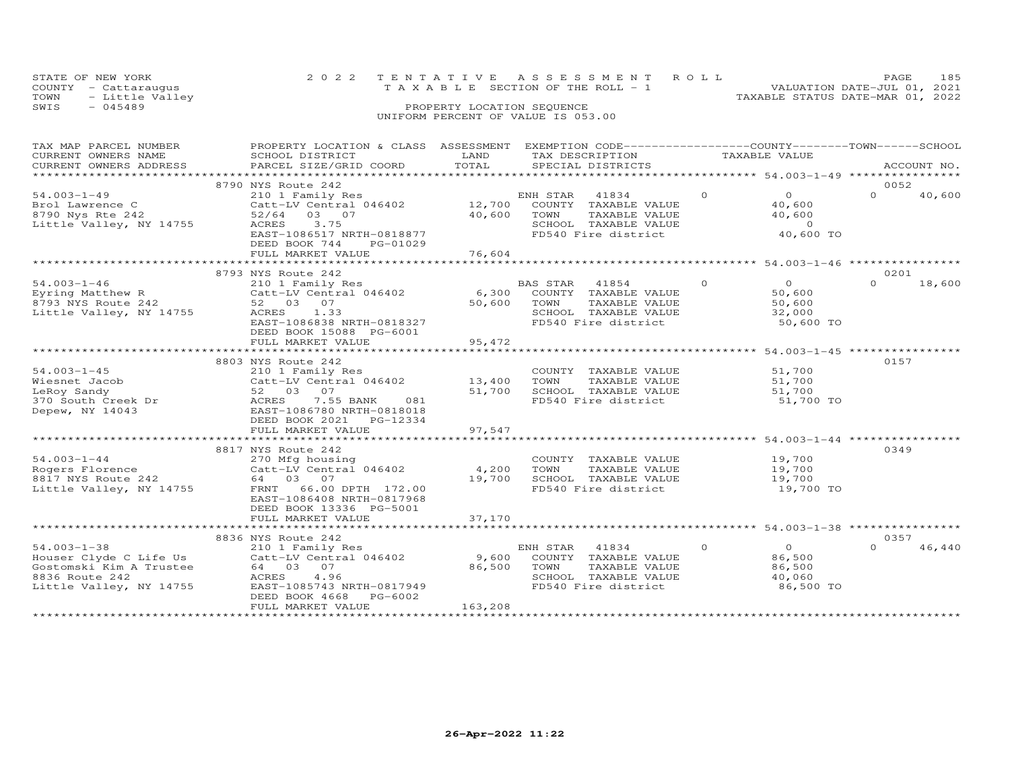|      | STATE OF NEW YORK    | 2022 TENTATIVE ASSESSMENT ROLL     | <b>PAGE</b>                      | - 185 |
|------|----------------------|------------------------------------|----------------------------------|-------|
|      | COUNTY - Cattarauqus | TAXABLE SECTION OF THE ROLL - 1    | VALUATION DATE-JUL 01, 2021      |       |
|      | TOWN - Little Valley |                                    | TAXABLE STATUS DATE-MAR 01, 2022 |       |
| SWIS | - 045489             | PROPERTY LOCATION SEQUENCE         |                                  |       |
|      |                      | UNIFORM PERCENT OF VALUE IS 053.00 |                                  |       |

| TAX MAP PARCEL NUMBER   | PROPERTY LOCATION & CLASS ASSESSMENT |                       | EXEMPTION CODE-----------------COUNTY-------TOWN------SCHOOL |          |                                           |          |             |
|-------------------------|--------------------------------------|-----------------------|--------------------------------------------------------------|----------|-------------------------------------------|----------|-------------|
| CURRENT OWNERS NAME     | SCHOOL DISTRICT                      | LAND                  | TAX DESCRIPTION                                              |          | TAXABLE VALUE                             |          |             |
| CURRENT OWNERS ADDRESS  | PARCEL SIZE/GRID COORD               | TOTAL                 | SPECIAL DISTRICTS                                            |          |                                           |          | ACCOUNT NO. |
| **********************  |                                      |                       |                                                              |          |                                           |          |             |
|                         | 8790 NYS Route 242                   |                       |                                                              |          |                                           | 0052     |             |
| $54.003 - 1 - 49$       | 210 1 Family Res                     |                       | ENH STAR<br>41834                                            | $\Omega$ | $\Omega$                                  | $\Omega$ | 40,600      |
| Brol Lawrence C         | Catt-LV Central 046402               | 12,700                | COUNTY TAXABLE VALUE                                         |          | 40,600                                    |          |             |
| 8790 Nys Rte 242        | 52/64<br>03 07                       | 40,600                | TOWN<br>TAXABLE VALUE                                        |          | 40,600                                    |          |             |
| Little Valley, NY 14755 | ACRES<br>3.75                        |                       | SCHOOL TAXABLE VALUE                                         |          | $\overline{0}$                            |          |             |
|                         | EAST-1086517 NRTH-0818877            |                       | FD540 Fire district                                          |          | 40,600 TO                                 |          |             |
|                         | DEED BOOK 744<br>PG-01029            |                       |                                                              |          |                                           |          |             |
|                         | FULL MARKET VALUE                    | 76,604                |                                                              |          |                                           |          |             |
|                         | ************************             | * * * * * * * * * * * |                                                              |          | *********** 54.003-1-46 ***************** |          |             |
|                         | 8793 NYS Route 242                   |                       |                                                              |          |                                           | 0201     |             |
| $54.003 - 1 - 46$       | 210 1 Family Res                     |                       | BAS STAR<br>41854                                            | $\Omega$ | $\overline{O}$                            | $\Omega$ | 18,600      |
| Eyring Matthew R        | Catt-LV Central 046402               | 6,300                 | COUNTY TAXABLE VALUE                                         |          | 50,600                                    |          |             |
| 8793 NYS Route 242      | 52 03 07                             | 50,600                | TOWN<br>TAXABLE VALUE                                        |          | 50,600                                    |          |             |
| Little Valley, NY 14755 | 1.33<br>ACRES                        |                       | SCHOOL TAXABLE VALUE                                         |          | 32,000                                    |          |             |
|                         | EAST-1086838 NRTH-0818327            |                       | FD540 Fire district                                          |          | 50,600 TO                                 |          |             |
|                         | DEED BOOK 15088 PG-6001              |                       |                                                              |          |                                           |          |             |
|                         | FULL MARKET VALUE                    | 95,472                |                                                              |          |                                           |          |             |
|                         |                                      |                       |                                                              |          |                                           |          |             |
|                         | 8803 NYS Route 242                   |                       |                                                              |          |                                           | 0157     |             |
| $54.003 - 1 - 45$       | 210 1 Family Res                     |                       | COUNTY TAXABLE VALUE                                         |          | 51,700                                    |          |             |
| Wiesnet Jacob           | Catt-LV Central 046402               | 13,400                | TOWN<br>TAXABLE VALUE                                        |          | 51,700                                    |          |             |
| LeRoy Sandy             | 52 03 07                             | 51,700                | SCHOOL TAXABLE VALUE                                         |          | 51,700                                    |          |             |
| 370 South Creek Dr      | ACRES<br>7.55 BANK<br>081            |                       | FD540 Fire district                                          |          | 51,700 TO                                 |          |             |
| Depew, NY 14043         | EAST-1086780 NRTH-0818018            |                       |                                                              |          |                                           |          |             |
|                         | DEED BOOK 2021<br>PG-12334           |                       |                                                              |          |                                           |          |             |
|                         | FULL MARKET VALUE                    | 97,547                |                                                              |          |                                           |          |             |
|                         |                                      |                       |                                                              |          |                                           |          |             |
|                         | 8817 NYS Route 242                   |                       |                                                              |          |                                           | 0349     |             |
| $54.003 - 1 - 44$       | 270 Mfg housing                      |                       | COUNTY TAXABLE VALUE                                         |          | 19,700                                    |          |             |
| Rogers Florence         | Catt-LV Central 046402               | 4,200                 | TOWN<br>TAXABLE VALUE                                        |          | 19,700                                    |          |             |
| 8817 NYS Route 242      | 64 03 07                             | 19,700                | SCHOOL TAXABLE VALUE                                         |          | 19,700                                    |          |             |
| Little Valley, NY 14755 | FRNT<br>66.00 DPTH 172.00            |                       | FD540 Fire district                                          |          | 19,700 TO                                 |          |             |
|                         | EAST-1086408 NRTH-0817968            |                       |                                                              |          |                                           |          |             |
|                         | DEED BOOK 13336 PG-5001              |                       |                                                              |          |                                           |          |             |
|                         | FULL MARKET VALUE                    | 37,170                |                                                              |          |                                           |          |             |
|                         |                                      |                       |                                                              |          |                                           |          |             |
|                         | 8836 NYS Route 242                   |                       |                                                              |          |                                           | 0357     |             |
| $54.003 - 1 - 38$       | 210 1 Family Res                     |                       | ENH STAR<br>41834                                            | $\Omega$ | $\Omega$                                  | $\Omega$ | 46,440      |
| Houser Clyde C Life Us  | Catt-LV Central 046402               | 9,600                 | COUNTY TAXABLE VALUE                                         |          | 86,500                                    |          |             |
| Gostomski Kim A Trustee | 64 03 07                             | 86,500                | TOWN<br>TAXABLE VALUE                                        |          | 86,500                                    |          |             |
| 8836 Route 242          | ACRES<br>4.96                        |                       | SCHOOL TAXABLE VALUE                                         |          | 40,060                                    |          |             |
| Little Valley, NY 14755 | EAST-1085743 NRTH-0817949            |                       | FD540 Fire district                                          |          | 86,500 TO                                 |          |             |
|                         | DEED BOOK 4668<br>PG-6002            |                       |                                                              |          |                                           |          |             |
|                         | FULL MARKET VALUE                    | 163,208               |                                                              |          |                                           |          |             |
|                         |                                      |                       |                                                              |          |                                           |          |             |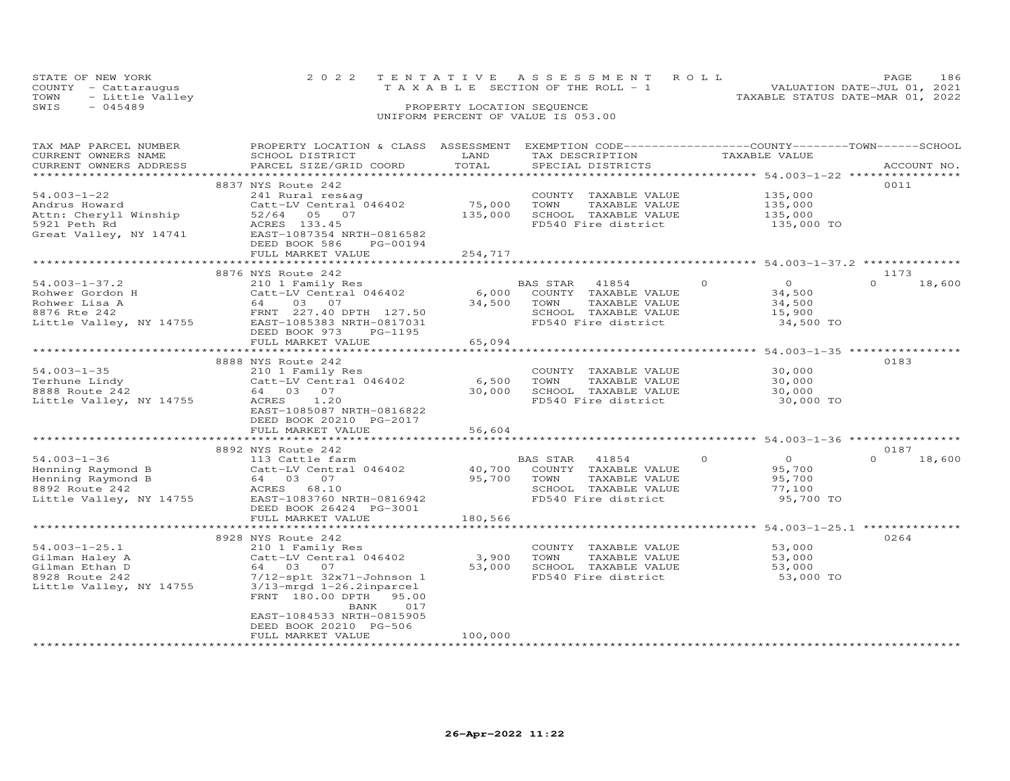|      | STATE OF NEW YORK    | 2022 TENTATIVE ASSESSMENT ROLL |                                       |  |                                  | PAGE                        | 186 |
|------|----------------------|--------------------------------|---------------------------------------|--|----------------------------------|-----------------------------|-----|
|      | COUNTY - Cattaraugus |                                | T A X A B L E SECTION OF THE ROLL - 1 |  |                                  | VALUATION DATE-JUL 01, 2021 |     |
|      | TOWN - Little Valley |                                |                                       |  | TAXABLE STATUS DATE-MAR 01, 2022 |                             |     |
| SWIS | - 045489             |                                | PROPERTY LOCATION SEQUENCE            |  |                                  |                             |     |
|      |                      |                                | UNIFORM PERCENT OF VALUE IS 053.00    |  |                                  |                             |     |

| TAX MAP PARCEL NUMBER   | PROPERTY LOCATION & CLASS ASSESSMENT EXEMPTION CODE-----------------COUNTY-------TOWN------SCHOOL                   |         |                            |                                          |                    |
|-------------------------|---------------------------------------------------------------------------------------------------------------------|---------|----------------------------|------------------------------------------|--------------------|
| CURRENT OWNERS NAME     | SCHOOL DISTRICT                                                                                                     | LAND    | TAX DESCRIPTION            | TAXABLE VALUE                            |                    |
| CURRENT OWNERS ADDRESS  | PARCEL SIZE/GRID COORD                                                                                              | TOTAL   | SPECIAL DISTRICTS          |                                          | ACCOUNT NO.        |
|                         |                                                                                                                     |         |                            | ****************** 54.003-1-22 ********* |                    |
|                         | 8837 NYS Route 242                                                                                                  |         |                            |                                          | 0011               |
| $54.003 - 1 - 22$       | 241 Rural res&ag                                                                                                    |         | COUNTY TAXABLE VALUE       | 135,000                                  |                    |
| Andrus Howard           | Catt-LV Central 046402                                                                                              | 75,000  | TOWN<br>TAXABLE VALUE      |                                          |                    |
|                         |                                                                                                                     |         |                            | 135,000<br>135,000                       |                    |
| Attn: Cheryll Winship   | 52/64 05 07                                                                                                         | 135,000 | SCHOOL TAXABLE VALUE       |                                          |                    |
| 5921 Peth Rd            | ACRES 133.45                                                                                                        |         | FD540 Fire district        | 135,000 TO                               |                    |
| Great Valley, NY 14741  | EAST-1087354 NRTH-0816582                                                                                           |         |                            |                                          |                    |
|                         | DEED BOOK 586<br>PG-00194                                                                                           |         |                            |                                          |                    |
|                         | FULL MARKET VALUE                                                                                                   | 254,717 |                            |                                          |                    |
|                         |                                                                                                                     |         |                            |                                          |                    |
|                         | 8876 NYS Route 242                                                                                                  |         |                            |                                          | 1173               |
| $54.003 - 1 - 37.2$     | 210 1 Family Res                                                                                                    |         | BAS STAR 41854             | $\overline{0}$<br>$\overline{0}$         | $\Omega$<br>18,600 |
| Rohwer Gordon H         | Catt-LV Central 046402                                                                                              |         | 6,000 COUNTY TAXABLE VALUE | 34,500                                   |                    |
|                         |                                                                                                                     | 34,500  | TOWN<br>TAXABLE VALUE      | 34,500                                   |                    |
|                         |                                                                                                                     |         |                            |                                          |                    |
|                         | Rohwer Lisa A 64 03 07<br>8876 Rte 242 FRNT 227.40 DPTH 127.50<br>Little Valley, NY 14755 EAST-1085383 NRTH-0817031 |         | SCHOOL TAXABLE VALUE       | 15,900                                   |                    |
|                         |                                                                                                                     |         | FD540 Fire district        | 34,500 TO                                |                    |
|                         | DEED BOOK 973<br>PG-1195                                                                                            |         |                            |                                          |                    |
|                         | FULL MARKET VALUE                                                                                                   | 65,094  |                            |                                          |                    |
|                         |                                                                                                                     |         |                            |                                          |                    |
|                         | 8888 NYS Route 242                                                                                                  |         |                            |                                          | 0183               |
| $54.003 - 1 - 35$       |                                                                                                                     |         | COUNTY TAXABLE VALUE       | 30,000                                   |                    |
| Terhune Lindy           |                                                                                                                     | 6,500   | TOWN<br>TAXABLE VALUE      | 30,000                                   |                    |
| 8888 Route 242          | 210 1 Family Res<br>Catt-LV Central 046402<br>64 03 07                                                              | 30,000  | SCHOOL TAXABLE VALUE       | 30,000                                   |                    |
| Little Valley, NY 14755 | ACRES 1.20                                                                                                          |         | FD540 Fire district        | 30,000 TO                                |                    |
|                         | EAST-1085087 NRTH-0816822                                                                                           |         |                            |                                          |                    |
|                         |                                                                                                                     |         |                            |                                          |                    |
|                         | DEED BOOK 20210 PG-2017                                                                                             |         |                            |                                          |                    |
|                         | FULL MARKET VALUE                                                                                                   | 56,604  |                            |                                          |                    |
|                         |                                                                                                                     |         |                            |                                          |                    |
|                         | 8892 NYS Route 242                                                                                                  |         |                            |                                          | 0187               |
| $54.003 - 1 - 36$       | 113 Cattle farm                                                                                                     |         | BAS STAR 41854             | $\Omega$<br>$\overline{0}$               | $\Omega$<br>18,600 |
| Henning Raymond B       | Catt-LV Central 046402 40,700                                                                                       |         | COUNTY TAXABLE VALUE       | 95,700                                   |                    |
| Henning Raymond B       | 64 03 07                                                                                                            | 95,700  | TOWN<br>TAXABLE VALUE      | 95,700                                   |                    |
| 8892 Route 242          | ACRES 68.10                                                                                                         |         | SCHOOL TAXABLE VALUE       | 77,100                                   |                    |
| Little Valley, NY 14755 | EAST-1083760 NRTH-0816942                                                                                           |         | FD540 Fire district        | 95,700 TO                                |                    |
|                         | DEED BOOK 26424 PG-3001                                                                                             |         |                            |                                          |                    |
|                         | FULL MARKET VALUE                                                                                                   | 180,566 |                            |                                          |                    |
|                         |                                                                                                                     |         |                            |                                          |                    |
|                         |                                                                                                                     |         |                            |                                          |                    |
|                         | 8928 NYS Route 242                                                                                                  |         |                            |                                          | 0264               |
| $54.003 - 1 - 25.1$     | 210 1 Family Res                                                                                                    |         | COUNTY TAXABLE VALUE       | 53,000                                   |                    |
| Gilman Haley A          | Catt-LV Central 046402                                                                                              | 3,900   | TOWN<br>TAXABLE VALUE      | 53,000                                   |                    |
| Gilman Ethan D          | 64 03 07                                                                                                            | 53,000  | SCHOOL TAXABLE VALUE       | 53,000                                   |                    |
| 8928 Route 242          | 7/12-splt 32x71-Johnson 1                                                                                           |         | FD540 Fire district        | 53,000 TO                                |                    |
| Little Valley, NY 14755 | $3/13$ -mrqd $1-26.2$ inparcel                                                                                      |         |                            |                                          |                    |
|                         | FRNT 180.00 DPTH 95.00                                                                                              |         |                            |                                          |                    |
|                         | BANK<br>017                                                                                                         |         |                            |                                          |                    |
|                         |                                                                                                                     |         |                            |                                          |                    |
|                         | EAST-1084533 NRTH-0815905                                                                                           |         |                            |                                          |                    |
|                         | DEED BOOK 20210 PG-506                                                                                              |         |                            |                                          |                    |
|                         | FULL MARKET VALUE                                                                                                   | 100,000 |                            |                                          |                    |
|                         |                                                                                                                     |         |                            |                                          |                    |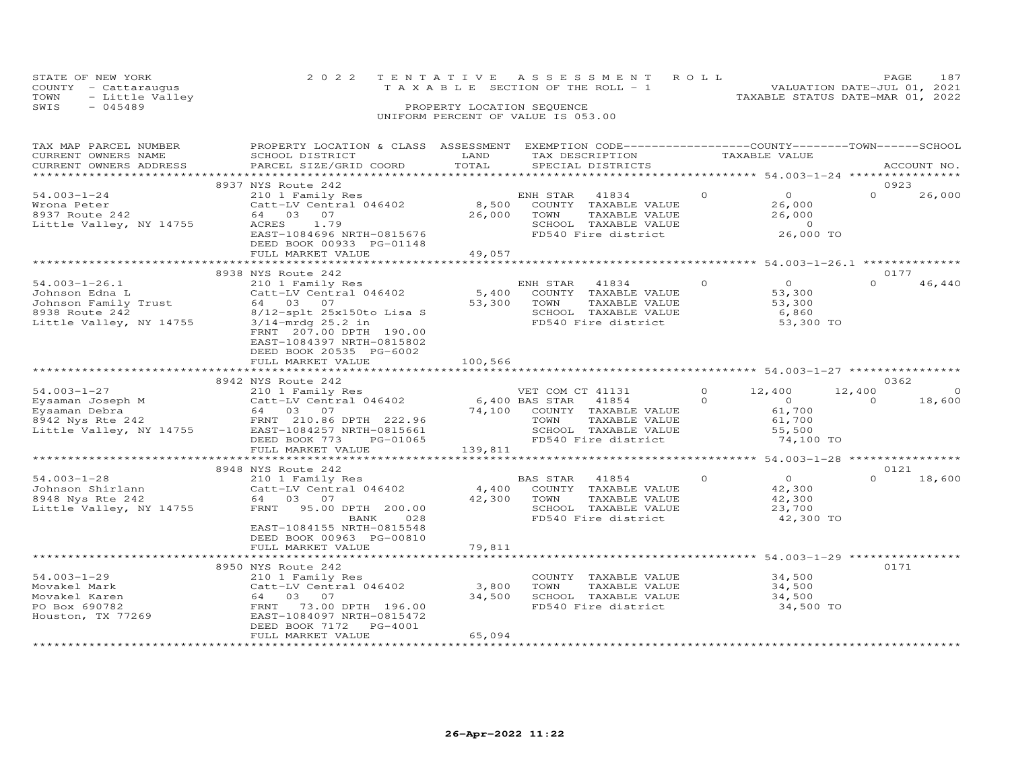| STATE OF NEW YORK    | 2022 TENTATIVE ASSESSMENT ROLL     | PAGE.                            | 187 |
|----------------------|------------------------------------|----------------------------------|-----|
| COUNTY - Cattarauqus | TAXABLE SECTION OF THE ROLL - 1    | VALUATION DATE-JUL 01, 2021      |     |
| TOWN - Little Valley |                                    | TAXABLE STATUS DATE-MAR 01, 2022 |     |
| SWTS<br>- 045489     | PROPERTY LOCATION SEQUENCE         |                                  |     |
|                      | UNIFORM PERCENT OF VALUE IS 053.00 |                                  |     |

| TAX MAP PARCEL NUMBER<br>CURRENT OWNERS NAME                                                               | PROPERTY LOCATION & CLASS ASSESSMENT EXEMPTION CODE----------------COUNTY-------TOWN------SCHOOL<br>SCHOOL DISTRICT                                                                                                 | LAND<br>TOTAL              | TAX DESCRIPTION                                                                                                           |                      | TAXABLE VALUE                                                       |                    | ACCOUNT NO.       |
|------------------------------------------------------------------------------------------------------------|---------------------------------------------------------------------------------------------------------------------------------------------------------------------------------------------------------------------|----------------------------|---------------------------------------------------------------------------------------------------------------------------|----------------------|---------------------------------------------------------------------|--------------------|-------------------|
| CURRENT OWNERS ADDRESS<br>***********************                                                          | PARCEL SIZE/GRID COORD                                                                                                                                                                                              |                            | SPECIAL DISTRICTS<br>***************************                                                                          |                      | .*********************** 54.003-1-24 *****************              |                    |                   |
|                                                                                                            | 8937 NYS Route 242                                                                                                                                                                                                  |                            |                                                                                                                           |                      |                                                                     | 0923               |                   |
| $54.003 - 1 - 24$<br>Wrona Peter<br>8937 Route 242<br>Little Valley, NY 14755                              | 210 1 Family Res<br>Catt-LV Central 046402<br>64 03 07<br>ACRES<br>1.79<br>EAST-1084696 NRTH-0815676                                                                                                                | 8,500<br>26,000            | ENH STAR<br>41834<br>COUNTY<br>TAXABLE VALUE<br>TOWN<br>TAXABLE VALUE<br>SCHOOL TAXABLE VALUE<br>FD540 Fire district      | $\Omega$             | $\Omega$<br>26,000<br>26,000<br>$\overline{0}$<br>26,000 TO         | $\Omega$           | 26,000            |
|                                                                                                            | DEED BOOK 00933 PG-01148<br>FULL MARKET VALUE                                                                                                                                                                       | 49,057                     |                                                                                                                           |                      |                                                                     |                    |                   |
|                                                                                                            |                                                                                                                                                                                                                     |                            |                                                                                                                           |                      |                                                                     |                    |                   |
|                                                                                                            | 8938 NYS Route 242                                                                                                                                                                                                  |                            |                                                                                                                           |                      |                                                                     | 0177               |                   |
| $54.003 - 1 - 26.1$<br>Johnson Edna L<br>Johnson Family Trust<br>8938 Route 242<br>Little Valley, NY 14755 | 210 1 Family Res<br>Catt-LV Central 046402<br>64 03 07<br>8/12-splt 25x150to Lisa S<br>$3/14$ -mrdq 25.2 in<br>FRNT 207.00 DPTH 190.00<br>EAST-1084397 NRTH-0815802<br>DEED BOOK 20535 PG-6002<br>FULL MARKET VALUE | 5,400<br>53,300<br>100,566 | ENH STAR<br>41834<br>COUNTY TAXABLE VALUE<br>TOWN<br>TAXABLE VALUE<br>SCHOOL TAXABLE VALUE<br>FD540 Fire district         | $\circ$              | $\Omega$<br>53,300<br>53,300<br>6,860<br>53,300 TO                  | $\Omega$           | 46,440            |
|                                                                                                            |                                                                                                                                                                                                                     |                            |                                                                                                                           |                      |                                                                     |                    |                   |
|                                                                                                            | 8942 NYS Route 242                                                                                                                                                                                                  |                            |                                                                                                                           |                      |                                                                     | 0362               |                   |
| $54.003 - 1 - 27$<br>Eysaman Joseph M<br>Eysaman Debra<br>8942 Nys Rte 242<br>Little Valley, NY 14755      | 210 1 Family Res<br>Catt-LV Central 046402<br>64 03 07<br>FRNT 210.86 DPTH 222.96<br>EAST-1084257 NRTH-0815661<br>DEED BOOK 773<br>PG-01065                                                                         | 6,400 BAS STAR<br>74,100   | VET COM CT 41131<br>41854<br>COUNTY TAXABLE VALUE<br>TOWN<br>TAXABLE VALUE<br>SCHOOL TAXABLE VALUE<br>FD540 Fire district | $\Omega$<br>$\Omega$ | 12,400<br>$\overline{0}$<br>61,700<br>61,700<br>55,500<br>74,100 TO | 12,400<br>$\Omega$ | $\circ$<br>18,600 |
|                                                                                                            | FULL MARKET VALUE                                                                                                                                                                                                   | 139,811                    |                                                                                                                           |                      |                                                                     |                    |                   |
|                                                                                                            |                                                                                                                                                                                                                     |                            |                                                                                                                           |                      | ******************** 54.003-1-28 *****************                  |                    |                   |
|                                                                                                            | 8948 NYS Route 242                                                                                                                                                                                                  |                            |                                                                                                                           |                      |                                                                     | 0121               |                   |
| $54.003 - 1 - 28$<br>Johnson Shirlann<br>8948 Nys Rte 242<br>Little Valley, NY 14755                       | 210 1 Family Res<br>Catt-LV Central 046402<br>64 03 07<br>FRNT 95.00 DPTH 200.00<br>BANK<br>028<br>EAST-1084155 NRTH-0815548                                                                                        | 4,400<br>42,300            | BAS STAR<br>41854<br>COUNTY TAXABLE VALUE<br>TOWN<br>TAXABLE VALUE<br>SCHOOL TAXABLE VALUE<br>FD540 Fire district         | $\Omega$             | $\overline{O}$<br>42,300<br>42,300<br>23,700<br>42,300 TO           | $\Omega$           | 18,600            |
|                                                                                                            | DEED BOOK 00963 PG-00810<br>FULL MARKET VALUE                                                                                                                                                                       | 79,811                     |                                                                                                                           |                      |                                                                     |                    |                   |
|                                                                                                            |                                                                                                                                                                                                                     | *************              | ******************************** 54.003–1–29 *****************                                                            |                      |                                                                     |                    |                   |
| $54.003 - 1 - 29$<br>Movakel Mark<br>Movakel Karen<br>PO Box 690782<br>Houston, TX 77269                   | 8950 NYS Route 242<br>210 1 Family Res<br>Catt-LV Central 046402<br>64 03 07<br>73.00 DPTH 196.00<br>FRNT<br>EAST-1084097 NRTH-0815472<br>DEED BOOK 7172<br>PG-4001<br>FULL MARKET VALUE                            | 3,800<br>34,500<br>65,094  | COUNTY TAXABLE VALUE<br>TOWN<br>TAXABLE VALUE<br>SCHOOL TAXABLE VALUE<br>FD540 Fire district                              |                      | 34,500<br>34,500<br>34,500<br>34,500 TO                             | 0171               |                   |
|                                                                                                            |                                                                                                                                                                                                                     |                            |                                                                                                                           |                      |                                                                     |                    |                   |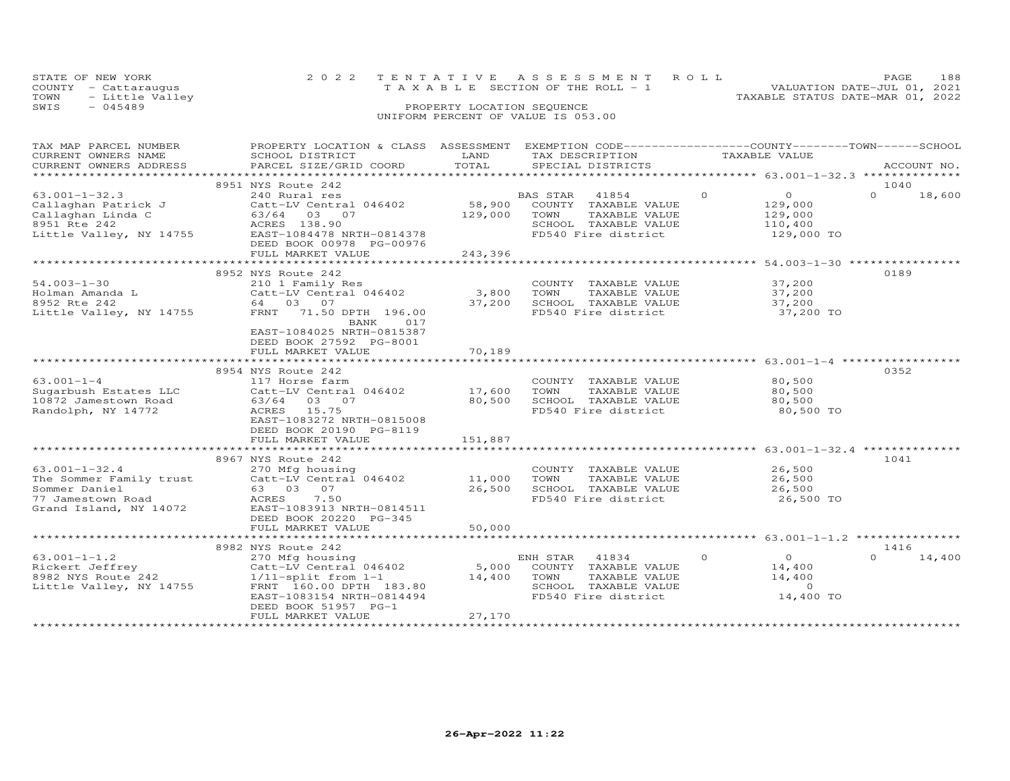| STATE OF NEW YORK               |                            | 2022 TENTATIVE ASSESSMENT ROLL        |                                  | PAGE. |  |
|---------------------------------|----------------------------|---------------------------------------|----------------------------------|-------|--|
| COUNTY - Cattarauqus            |                            | T A X A B L E SECTION OF THE ROLL - 1 | VALUATION DATE-JUL 01, 2021      |       |  |
| TOWN              Little Valley |                            |                                       | TAXABLE STATUS DATE-MAR 01, 2022 |       |  |
| SWTS<br>$-045489$               | PROPERTY LOCATION SEQUENCE |                                       |                                  |       |  |

### SWIS - 045489 PROPERTY LOCATION SEQUENCE UNIFORM PERCENT OF VALUE IS 053.00

| TOTAL<br>CURRENT OWNERS ADDRESS<br>PARCEL SIZE/GRID COORD<br>SPECIAL DISTRICTS<br>ACCOUNT NO.<br>*********************<br>8951 NYS Route 242<br>1040<br>$\circ$<br>$\overline{O}$<br>$63.001 - 1 - 32.3$<br>$\Omega$<br>18,600<br>240 Rural res<br>BAS STAR<br>41854<br>58,900<br>Callaghan Patrick J<br>Catt-LV Central 046402<br>COUNTY TAXABLE VALUE<br>129,000<br>Callaghan Linda C<br>129,000<br>63/64 03 07<br>TOWN<br>TAXABLE VALUE<br>129,000<br>8951 Rte 242<br>ACRES 138.90<br>SCHOOL TAXABLE VALUE<br>110,400<br>Little Valley, NY 14755<br>FD540 Fire district<br>EAST-1084478 NRTH-0814378<br>129,000 TO<br>DEED BOOK 00978 PG-00976<br>FULL MARKET VALUE<br>243,396<br>8952 NYS Route 242<br>0189<br>$54.003 - 1 - 30$<br>37,200<br>210 1 Family Res<br>COUNTY TAXABLE VALUE<br>Holman Amanda L $\begin{array}{ccc}\n\text{Catt-LV Ceniral} & 046402 \\ \text{8952 Rte} & 242 & 64 & 03 & 07\n\end{array}$<br>3,800<br>TOWN<br>TAXABLE VALUE<br>37,200<br>8952 Rte 242<br>64 03 07<br>37,200<br>SCHOOL TAXABLE VALUE<br>37,200<br>FRNT 71.50 DPTH 196.00<br>Little Valley, NY 14755<br>FD540 Fire district<br>37,200 TO<br>017<br>BANK<br>EAST-1084025 NRTH-0815387<br>DEED BOOK 27592 PG-8001<br>FULL MARKET VALUE<br>70,189<br>0352<br>8954 NYS Route 242<br>$63.001 - 1 - 4$<br>117 Horse farm<br>COUNTY TAXABLE VALUE<br>80,500<br>17,600<br>80,500<br>Sugarbush Estates LLC<br>Catt-LV Central 046402<br>TOWN<br>TAXABLE VALUE<br>80,500<br>SCHOOL TAXABLE VALUE<br>80,500<br>10872 Jamestown Road<br>63/64 03 07<br>FD540 Fire district<br>ACRES<br>15.75<br>80,500 TO<br>Randolph, NY 14772<br>EAST-1083272 NRTH-0815008<br>DEED BOOK 20190 PG-8119<br>151,887<br>FULL MARKET VALUE<br>1041<br>8967 NYS Route 242<br>26,500<br>$63.001 - 1 - 32.4$<br>270 Mfg housing<br>COUNTY TAXABLE VALUE<br>$Cat$ -LV Central 046402 $11,000$<br>The Sommer Family trust<br>TOWN<br>TAXABLE VALUE<br>26,500<br>26,500<br>SCHOOL TAXABLE VALUE<br>26,500<br>Sommer Daniel<br>63 03 07<br>FD540 Fire district<br>77 Jamestown Road<br>ACRES<br>7.50<br>26,500 TO<br>Grand Island, NY 14072<br>EAST-1083913 NRTH-0814511<br>DEED BOOK 20220 PG-345<br>50,000<br>FULL MARKET VALUE<br>1416<br>8982 NYS Route 242<br>$63.001 - 1 - 1.2$<br>$\Omega$<br>$\overline{0}$<br>$\Omega$<br>14,400<br>270 Mfg housing<br>ENH STAR<br>41834<br>5,000<br>Catt-LV Central 046402<br>COUNTY TAXABLE VALUE<br>14,400<br>Rickert Jeffrey<br>8982 NYS Route 242<br>14,400<br>$1/11$ -split from $1-1$<br>TOWN<br>TAXABLE VALUE<br>14,400<br>Little Valley, NY 14755<br>SCHOOL TAXABLE VALUE<br>$\Omega$<br>FRNT 160.00 DPTH 183.80<br>FD540 Fire district<br>14,400 TO<br>EAST-1083154 NRTH-0814494<br>DEED BOOK 51957 PG-1<br>27,170<br>FULL MARKET VALUE | TAX MAP PARCEL NUMBER<br>CURRENT OWNERS NAME | PROPERTY LOCATION & CLASS ASSESSMENT EXEMPTION CODE----------------COUNTY-------TOWN------SCHOOL<br>SCHOOL DISTRICT | LAND | TAX DESCRIPTION | TAXABLE VALUE |  |
|---------------------------------------------------------------------------------------------------------------------------------------------------------------------------------------------------------------------------------------------------------------------------------------------------------------------------------------------------------------------------------------------------------------------------------------------------------------------------------------------------------------------------------------------------------------------------------------------------------------------------------------------------------------------------------------------------------------------------------------------------------------------------------------------------------------------------------------------------------------------------------------------------------------------------------------------------------------------------------------------------------------------------------------------------------------------------------------------------------------------------------------------------------------------------------------------------------------------------------------------------------------------------------------------------------------------------------------------------------------------------------------------------------------------------------------------------------------------------------------------------------------------------------------------------------------------------------------------------------------------------------------------------------------------------------------------------------------------------------------------------------------------------------------------------------------------------------------------------------------------------------------------------------------------------------------------------------------------------------------------------------------------------------------------------------------------------------------------------------------------------------------------------------------------------------------------------------------------------------------------------------------------------------------------------------------------------------------------------------------------------------------------------------------------------------------------------------------------------------------------------------------------------------------------------------------------------------------------------------------------------------------------------------------------------------------------------------------------------------------------------|----------------------------------------------|---------------------------------------------------------------------------------------------------------------------|------|-----------------|---------------|--|
|                                                                                                                                                                                                                                                                                                                                                                                                                                                                                                                                                                                                                                                                                                                                                                                                                                                                                                                                                                                                                                                                                                                                                                                                                                                                                                                                                                                                                                                                                                                                                                                                                                                                                                                                                                                                                                                                                                                                                                                                                                                                                                                                                                                                                                                                                                                                                                                                                                                                                                                                                                                                                                                                                                                                                   |                                              |                                                                                                                     |      |                 |               |  |
|                                                                                                                                                                                                                                                                                                                                                                                                                                                                                                                                                                                                                                                                                                                                                                                                                                                                                                                                                                                                                                                                                                                                                                                                                                                                                                                                                                                                                                                                                                                                                                                                                                                                                                                                                                                                                                                                                                                                                                                                                                                                                                                                                                                                                                                                                                                                                                                                                                                                                                                                                                                                                                                                                                                                                   |                                              |                                                                                                                     |      |                 |               |  |
|                                                                                                                                                                                                                                                                                                                                                                                                                                                                                                                                                                                                                                                                                                                                                                                                                                                                                                                                                                                                                                                                                                                                                                                                                                                                                                                                                                                                                                                                                                                                                                                                                                                                                                                                                                                                                                                                                                                                                                                                                                                                                                                                                                                                                                                                                                                                                                                                                                                                                                                                                                                                                                                                                                                                                   |                                              |                                                                                                                     |      |                 |               |  |
|                                                                                                                                                                                                                                                                                                                                                                                                                                                                                                                                                                                                                                                                                                                                                                                                                                                                                                                                                                                                                                                                                                                                                                                                                                                                                                                                                                                                                                                                                                                                                                                                                                                                                                                                                                                                                                                                                                                                                                                                                                                                                                                                                                                                                                                                                                                                                                                                                                                                                                                                                                                                                                                                                                                                                   |                                              |                                                                                                                     |      |                 |               |  |
|                                                                                                                                                                                                                                                                                                                                                                                                                                                                                                                                                                                                                                                                                                                                                                                                                                                                                                                                                                                                                                                                                                                                                                                                                                                                                                                                                                                                                                                                                                                                                                                                                                                                                                                                                                                                                                                                                                                                                                                                                                                                                                                                                                                                                                                                                                                                                                                                                                                                                                                                                                                                                                                                                                                                                   |                                              |                                                                                                                     |      |                 |               |  |
|                                                                                                                                                                                                                                                                                                                                                                                                                                                                                                                                                                                                                                                                                                                                                                                                                                                                                                                                                                                                                                                                                                                                                                                                                                                                                                                                                                                                                                                                                                                                                                                                                                                                                                                                                                                                                                                                                                                                                                                                                                                                                                                                                                                                                                                                                                                                                                                                                                                                                                                                                                                                                                                                                                                                                   |                                              |                                                                                                                     |      |                 |               |  |
|                                                                                                                                                                                                                                                                                                                                                                                                                                                                                                                                                                                                                                                                                                                                                                                                                                                                                                                                                                                                                                                                                                                                                                                                                                                                                                                                                                                                                                                                                                                                                                                                                                                                                                                                                                                                                                                                                                                                                                                                                                                                                                                                                                                                                                                                                                                                                                                                                                                                                                                                                                                                                                                                                                                                                   |                                              |                                                                                                                     |      |                 |               |  |
|                                                                                                                                                                                                                                                                                                                                                                                                                                                                                                                                                                                                                                                                                                                                                                                                                                                                                                                                                                                                                                                                                                                                                                                                                                                                                                                                                                                                                                                                                                                                                                                                                                                                                                                                                                                                                                                                                                                                                                                                                                                                                                                                                                                                                                                                                                                                                                                                                                                                                                                                                                                                                                                                                                                                                   |                                              |                                                                                                                     |      |                 |               |  |
|                                                                                                                                                                                                                                                                                                                                                                                                                                                                                                                                                                                                                                                                                                                                                                                                                                                                                                                                                                                                                                                                                                                                                                                                                                                                                                                                                                                                                                                                                                                                                                                                                                                                                                                                                                                                                                                                                                                                                                                                                                                                                                                                                                                                                                                                                                                                                                                                                                                                                                                                                                                                                                                                                                                                                   |                                              |                                                                                                                     |      |                 |               |  |
|                                                                                                                                                                                                                                                                                                                                                                                                                                                                                                                                                                                                                                                                                                                                                                                                                                                                                                                                                                                                                                                                                                                                                                                                                                                                                                                                                                                                                                                                                                                                                                                                                                                                                                                                                                                                                                                                                                                                                                                                                                                                                                                                                                                                                                                                                                                                                                                                                                                                                                                                                                                                                                                                                                                                                   |                                              |                                                                                                                     |      |                 |               |  |
|                                                                                                                                                                                                                                                                                                                                                                                                                                                                                                                                                                                                                                                                                                                                                                                                                                                                                                                                                                                                                                                                                                                                                                                                                                                                                                                                                                                                                                                                                                                                                                                                                                                                                                                                                                                                                                                                                                                                                                                                                                                                                                                                                                                                                                                                                                                                                                                                                                                                                                                                                                                                                                                                                                                                                   |                                              |                                                                                                                     |      |                 |               |  |
|                                                                                                                                                                                                                                                                                                                                                                                                                                                                                                                                                                                                                                                                                                                                                                                                                                                                                                                                                                                                                                                                                                                                                                                                                                                                                                                                                                                                                                                                                                                                                                                                                                                                                                                                                                                                                                                                                                                                                                                                                                                                                                                                                                                                                                                                                                                                                                                                                                                                                                                                                                                                                                                                                                                                                   |                                              |                                                                                                                     |      |                 |               |  |
|                                                                                                                                                                                                                                                                                                                                                                                                                                                                                                                                                                                                                                                                                                                                                                                                                                                                                                                                                                                                                                                                                                                                                                                                                                                                                                                                                                                                                                                                                                                                                                                                                                                                                                                                                                                                                                                                                                                                                                                                                                                                                                                                                                                                                                                                                                                                                                                                                                                                                                                                                                                                                                                                                                                                                   |                                              |                                                                                                                     |      |                 |               |  |
|                                                                                                                                                                                                                                                                                                                                                                                                                                                                                                                                                                                                                                                                                                                                                                                                                                                                                                                                                                                                                                                                                                                                                                                                                                                                                                                                                                                                                                                                                                                                                                                                                                                                                                                                                                                                                                                                                                                                                                                                                                                                                                                                                                                                                                                                                                                                                                                                                                                                                                                                                                                                                                                                                                                                                   |                                              |                                                                                                                     |      |                 |               |  |
|                                                                                                                                                                                                                                                                                                                                                                                                                                                                                                                                                                                                                                                                                                                                                                                                                                                                                                                                                                                                                                                                                                                                                                                                                                                                                                                                                                                                                                                                                                                                                                                                                                                                                                                                                                                                                                                                                                                                                                                                                                                                                                                                                                                                                                                                                                                                                                                                                                                                                                                                                                                                                                                                                                                                                   |                                              |                                                                                                                     |      |                 |               |  |
|                                                                                                                                                                                                                                                                                                                                                                                                                                                                                                                                                                                                                                                                                                                                                                                                                                                                                                                                                                                                                                                                                                                                                                                                                                                                                                                                                                                                                                                                                                                                                                                                                                                                                                                                                                                                                                                                                                                                                                                                                                                                                                                                                                                                                                                                                                                                                                                                                                                                                                                                                                                                                                                                                                                                                   |                                              |                                                                                                                     |      |                 |               |  |
|                                                                                                                                                                                                                                                                                                                                                                                                                                                                                                                                                                                                                                                                                                                                                                                                                                                                                                                                                                                                                                                                                                                                                                                                                                                                                                                                                                                                                                                                                                                                                                                                                                                                                                                                                                                                                                                                                                                                                                                                                                                                                                                                                                                                                                                                                                                                                                                                                                                                                                                                                                                                                                                                                                                                                   |                                              |                                                                                                                     |      |                 |               |  |
|                                                                                                                                                                                                                                                                                                                                                                                                                                                                                                                                                                                                                                                                                                                                                                                                                                                                                                                                                                                                                                                                                                                                                                                                                                                                                                                                                                                                                                                                                                                                                                                                                                                                                                                                                                                                                                                                                                                                                                                                                                                                                                                                                                                                                                                                                                                                                                                                                                                                                                                                                                                                                                                                                                                                                   |                                              |                                                                                                                     |      |                 |               |  |
|                                                                                                                                                                                                                                                                                                                                                                                                                                                                                                                                                                                                                                                                                                                                                                                                                                                                                                                                                                                                                                                                                                                                                                                                                                                                                                                                                                                                                                                                                                                                                                                                                                                                                                                                                                                                                                                                                                                                                                                                                                                                                                                                                                                                                                                                                                                                                                                                                                                                                                                                                                                                                                                                                                                                                   |                                              |                                                                                                                     |      |                 |               |  |
|                                                                                                                                                                                                                                                                                                                                                                                                                                                                                                                                                                                                                                                                                                                                                                                                                                                                                                                                                                                                                                                                                                                                                                                                                                                                                                                                                                                                                                                                                                                                                                                                                                                                                                                                                                                                                                                                                                                                                                                                                                                                                                                                                                                                                                                                                                                                                                                                                                                                                                                                                                                                                                                                                                                                                   |                                              |                                                                                                                     |      |                 |               |  |
|                                                                                                                                                                                                                                                                                                                                                                                                                                                                                                                                                                                                                                                                                                                                                                                                                                                                                                                                                                                                                                                                                                                                                                                                                                                                                                                                                                                                                                                                                                                                                                                                                                                                                                                                                                                                                                                                                                                                                                                                                                                                                                                                                                                                                                                                                                                                                                                                                                                                                                                                                                                                                                                                                                                                                   |                                              |                                                                                                                     |      |                 |               |  |
|                                                                                                                                                                                                                                                                                                                                                                                                                                                                                                                                                                                                                                                                                                                                                                                                                                                                                                                                                                                                                                                                                                                                                                                                                                                                                                                                                                                                                                                                                                                                                                                                                                                                                                                                                                                                                                                                                                                                                                                                                                                                                                                                                                                                                                                                                                                                                                                                                                                                                                                                                                                                                                                                                                                                                   |                                              |                                                                                                                     |      |                 |               |  |
|                                                                                                                                                                                                                                                                                                                                                                                                                                                                                                                                                                                                                                                                                                                                                                                                                                                                                                                                                                                                                                                                                                                                                                                                                                                                                                                                                                                                                                                                                                                                                                                                                                                                                                                                                                                                                                                                                                                                                                                                                                                                                                                                                                                                                                                                                                                                                                                                                                                                                                                                                                                                                                                                                                                                                   |                                              |                                                                                                                     |      |                 |               |  |
|                                                                                                                                                                                                                                                                                                                                                                                                                                                                                                                                                                                                                                                                                                                                                                                                                                                                                                                                                                                                                                                                                                                                                                                                                                                                                                                                                                                                                                                                                                                                                                                                                                                                                                                                                                                                                                                                                                                                                                                                                                                                                                                                                                                                                                                                                                                                                                                                                                                                                                                                                                                                                                                                                                                                                   |                                              |                                                                                                                     |      |                 |               |  |
|                                                                                                                                                                                                                                                                                                                                                                                                                                                                                                                                                                                                                                                                                                                                                                                                                                                                                                                                                                                                                                                                                                                                                                                                                                                                                                                                                                                                                                                                                                                                                                                                                                                                                                                                                                                                                                                                                                                                                                                                                                                                                                                                                                                                                                                                                                                                                                                                                                                                                                                                                                                                                                                                                                                                                   |                                              |                                                                                                                     |      |                 |               |  |
|                                                                                                                                                                                                                                                                                                                                                                                                                                                                                                                                                                                                                                                                                                                                                                                                                                                                                                                                                                                                                                                                                                                                                                                                                                                                                                                                                                                                                                                                                                                                                                                                                                                                                                                                                                                                                                                                                                                                                                                                                                                                                                                                                                                                                                                                                                                                                                                                                                                                                                                                                                                                                                                                                                                                                   |                                              |                                                                                                                     |      |                 |               |  |
|                                                                                                                                                                                                                                                                                                                                                                                                                                                                                                                                                                                                                                                                                                                                                                                                                                                                                                                                                                                                                                                                                                                                                                                                                                                                                                                                                                                                                                                                                                                                                                                                                                                                                                                                                                                                                                                                                                                                                                                                                                                                                                                                                                                                                                                                                                                                                                                                                                                                                                                                                                                                                                                                                                                                                   |                                              |                                                                                                                     |      |                 |               |  |
|                                                                                                                                                                                                                                                                                                                                                                                                                                                                                                                                                                                                                                                                                                                                                                                                                                                                                                                                                                                                                                                                                                                                                                                                                                                                                                                                                                                                                                                                                                                                                                                                                                                                                                                                                                                                                                                                                                                                                                                                                                                                                                                                                                                                                                                                                                                                                                                                                                                                                                                                                                                                                                                                                                                                                   |                                              |                                                                                                                     |      |                 |               |  |
|                                                                                                                                                                                                                                                                                                                                                                                                                                                                                                                                                                                                                                                                                                                                                                                                                                                                                                                                                                                                                                                                                                                                                                                                                                                                                                                                                                                                                                                                                                                                                                                                                                                                                                                                                                                                                                                                                                                                                                                                                                                                                                                                                                                                                                                                                                                                                                                                                                                                                                                                                                                                                                                                                                                                                   |                                              |                                                                                                                     |      |                 |               |  |
|                                                                                                                                                                                                                                                                                                                                                                                                                                                                                                                                                                                                                                                                                                                                                                                                                                                                                                                                                                                                                                                                                                                                                                                                                                                                                                                                                                                                                                                                                                                                                                                                                                                                                                                                                                                                                                                                                                                                                                                                                                                                                                                                                                                                                                                                                                                                                                                                                                                                                                                                                                                                                                                                                                                                                   |                                              |                                                                                                                     |      |                 |               |  |
|                                                                                                                                                                                                                                                                                                                                                                                                                                                                                                                                                                                                                                                                                                                                                                                                                                                                                                                                                                                                                                                                                                                                                                                                                                                                                                                                                                                                                                                                                                                                                                                                                                                                                                                                                                                                                                                                                                                                                                                                                                                                                                                                                                                                                                                                                                                                                                                                                                                                                                                                                                                                                                                                                                                                                   |                                              |                                                                                                                     |      |                 |               |  |
|                                                                                                                                                                                                                                                                                                                                                                                                                                                                                                                                                                                                                                                                                                                                                                                                                                                                                                                                                                                                                                                                                                                                                                                                                                                                                                                                                                                                                                                                                                                                                                                                                                                                                                                                                                                                                                                                                                                                                                                                                                                                                                                                                                                                                                                                                                                                                                                                                                                                                                                                                                                                                                                                                                                                                   |                                              |                                                                                                                     |      |                 |               |  |
|                                                                                                                                                                                                                                                                                                                                                                                                                                                                                                                                                                                                                                                                                                                                                                                                                                                                                                                                                                                                                                                                                                                                                                                                                                                                                                                                                                                                                                                                                                                                                                                                                                                                                                                                                                                                                                                                                                                                                                                                                                                                                                                                                                                                                                                                                                                                                                                                                                                                                                                                                                                                                                                                                                                                                   |                                              |                                                                                                                     |      |                 |               |  |
|                                                                                                                                                                                                                                                                                                                                                                                                                                                                                                                                                                                                                                                                                                                                                                                                                                                                                                                                                                                                                                                                                                                                                                                                                                                                                                                                                                                                                                                                                                                                                                                                                                                                                                                                                                                                                                                                                                                                                                                                                                                                                                                                                                                                                                                                                                                                                                                                                                                                                                                                                                                                                                                                                                                                                   |                                              |                                                                                                                     |      |                 |               |  |
|                                                                                                                                                                                                                                                                                                                                                                                                                                                                                                                                                                                                                                                                                                                                                                                                                                                                                                                                                                                                                                                                                                                                                                                                                                                                                                                                                                                                                                                                                                                                                                                                                                                                                                                                                                                                                                                                                                                                                                                                                                                                                                                                                                                                                                                                                                                                                                                                                                                                                                                                                                                                                                                                                                                                                   |                                              |                                                                                                                     |      |                 |               |  |
|                                                                                                                                                                                                                                                                                                                                                                                                                                                                                                                                                                                                                                                                                                                                                                                                                                                                                                                                                                                                                                                                                                                                                                                                                                                                                                                                                                                                                                                                                                                                                                                                                                                                                                                                                                                                                                                                                                                                                                                                                                                                                                                                                                                                                                                                                                                                                                                                                                                                                                                                                                                                                                                                                                                                                   |                                              |                                                                                                                     |      |                 |               |  |
|                                                                                                                                                                                                                                                                                                                                                                                                                                                                                                                                                                                                                                                                                                                                                                                                                                                                                                                                                                                                                                                                                                                                                                                                                                                                                                                                                                                                                                                                                                                                                                                                                                                                                                                                                                                                                                                                                                                                                                                                                                                                                                                                                                                                                                                                                                                                                                                                                                                                                                                                                                                                                                                                                                                                                   |                                              |                                                                                                                     |      |                 |               |  |
|                                                                                                                                                                                                                                                                                                                                                                                                                                                                                                                                                                                                                                                                                                                                                                                                                                                                                                                                                                                                                                                                                                                                                                                                                                                                                                                                                                                                                                                                                                                                                                                                                                                                                                                                                                                                                                                                                                                                                                                                                                                                                                                                                                                                                                                                                                                                                                                                                                                                                                                                                                                                                                                                                                                                                   |                                              |                                                                                                                     |      |                 |               |  |
|                                                                                                                                                                                                                                                                                                                                                                                                                                                                                                                                                                                                                                                                                                                                                                                                                                                                                                                                                                                                                                                                                                                                                                                                                                                                                                                                                                                                                                                                                                                                                                                                                                                                                                                                                                                                                                                                                                                                                                                                                                                                                                                                                                                                                                                                                                                                                                                                                                                                                                                                                                                                                                                                                                                                                   |                                              |                                                                                                                     |      |                 |               |  |
|                                                                                                                                                                                                                                                                                                                                                                                                                                                                                                                                                                                                                                                                                                                                                                                                                                                                                                                                                                                                                                                                                                                                                                                                                                                                                                                                                                                                                                                                                                                                                                                                                                                                                                                                                                                                                                                                                                                                                                                                                                                                                                                                                                                                                                                                                                                                                                                                                                                                                                                                                                                                                                                                                                                                                   |                                              |                                                                                                                     |      |                 |               |  |
|                                                                                                                                                                                                                                                                                                                                                                                                                                                                                                                                                                                                                                                                                                                                                                                                                                                                                                                                                                                                                                                                                                                                                                                                                                                                                                                                                                                                                                                                                                                                                                                                                                                                                                                                                                                                                                                                                                                                                                                                                                                                                                                                                                                                                                                                                                                                                                                                                                                                                                                                                                                                                                                                                                                                                   |                                              |                                                                                                                     |      |                 |               |  |
|                                                                                                                                                                                                                                                                                                                                                                                                                                                                                                                                                                                                                                                                                                                                                                                                                                                                                                                                                                                                                                                                                                                                                                                                                                                                                                                                                                                                                                                                                                                                                                                                                                                                                                                                                                                                                                                                                                                                                                                                                                                                                                                                                                                                                                                                                                                                                                                                                                                                                                                                                                                                                                                                                                                                                   |                                              |                                                                                                                     |      |                 |               |  |
|                                                                                                                                                                                                                                                                                                                                                                                                                                                                                                                                                                                                                                                                                                                                                                                                                                                                                                                                                                                                                                                                                                                                                                                                                                                                                                                                                                                                                                                                                                                                                                                                                                                                                                                                                                                                                                                                                                                                                                                                                                                                                                                                                                                                                                                                                                                                                                                                                                                                                                                                                                                                                                                                                                                                                   |                                              |                                                                                                                     |      |                 |               |  |
|                                                                                                                                                                                                                                                                                                                                                                                                                                                                                                                                                                                                                                                                                                                                                                                                                                                                                                                                                                                                                                                                                                                                                                                                                                                                                                                                                                                                                                                                                                                                                                                                                                                                                                                                                                                                                                                                                                                                                                                                                                                                                                                                                                                                                                                                                                                                                                                                                                                                                                                                                                                                                                                                                                                                                   |                                              |                                                                                                                     |      |                 |               |  |
|                                                                                                                                                                                                                                                                                                                                                                                                                                                                                                                                                                                                                                                                                                                                                                                                                                                                                                                                                                                                                                                                                                                                                                                                                                                                                                                                                                                                                                                                                                                                                                                                                                                                                                                                                                                                                                                                                                                                                                                                                                                                                                                                                                                                                                                                                                                                                                                                                                                                                                                                                                                                                                                                                                                                                   |                                              |                                                                                                                     |      |                 |               |  |
|                                                                                                                                                                                                                                                                                                                                                                                                                                                                                                                                                                                                                                                                                                                                                                                                                                                                                                                                                                                                                                                                                                                                                                                                                                                                                                                                                                                                                                                                                                                                                                                                                                                                                                                                                                                                                                                                                                                                                                                                                                                                                                                                                                                                                                                                                                                                                                                                                                                                                                                                                                                                                                                                                                                                                   |                                              |                                                                                                                     |      |                 |               |  |
|                                                                                                                                                                                                                                                                                                                                                                                                                                                                                                                                                                                                                                                                                                                                                                                                                                                                                                                                                                                                                                                                                                                                                                                                                                                                                                                                                                                                                                                                                                                                                                                                                                                                                                                                                                                                                                                                                                                                                                                                                                                                                                                                                                                                                                                                                                                                                                                                                                                                                                                                                                                                                                                                                                                                                   |                                              |                                                                                                                     |      |                 |               |  |
|                                                                                                                                                                                                                                                                                                                                                                                                                                                                                                                                                                                                                                                                                                                                                                                                                                                                                                                                                                                                                                                                                                                                                                                                                                                                                                                                                                                                                                                                                                                                                                                                                                                                                                                                                                                                                                                                                                                                                                                                                                                                                                                                                                                                                                                                                                                                                                                                                                                                                                                                                                                                                                                                                                                                                   |                                              |                                                                                                                     |      |                 |               |  |
|                                                                                                                                                                                                                                                                                                                                                                                                                                                                                                                                                                                                                                                                                                                                                                                                                                                                                                                                                                                                                                                                                                                                                                                                                                                                                                                                                                                                                                                                                                                                                                                                                                                                                                                                                                                                                                                                                                                                                                                                                                                                                                                                                                                                                                                                                                                                                                                                                                                                                                                                                                                                                                                                                                                                                   |                                              |                                                                                                                     |      |                 |               |  |
|                                                                                                                                                                                                                                                                                                                                                                                                                                                                                                                                                                                                                                                                                                                                                                                                                                                                                                                                                                                                                                                                                                                                                                                                                                                                                                                                                                                                                                                                                                                                                                                                                                                                                                                                                                                                                                                                                                                                                                                                                                                                                                                                                                                                                                                                                                                                                                                                                                                                                                                                                                                                                                                                                                                                                   |                                              |                                                                                                                     |      |                 |               |  |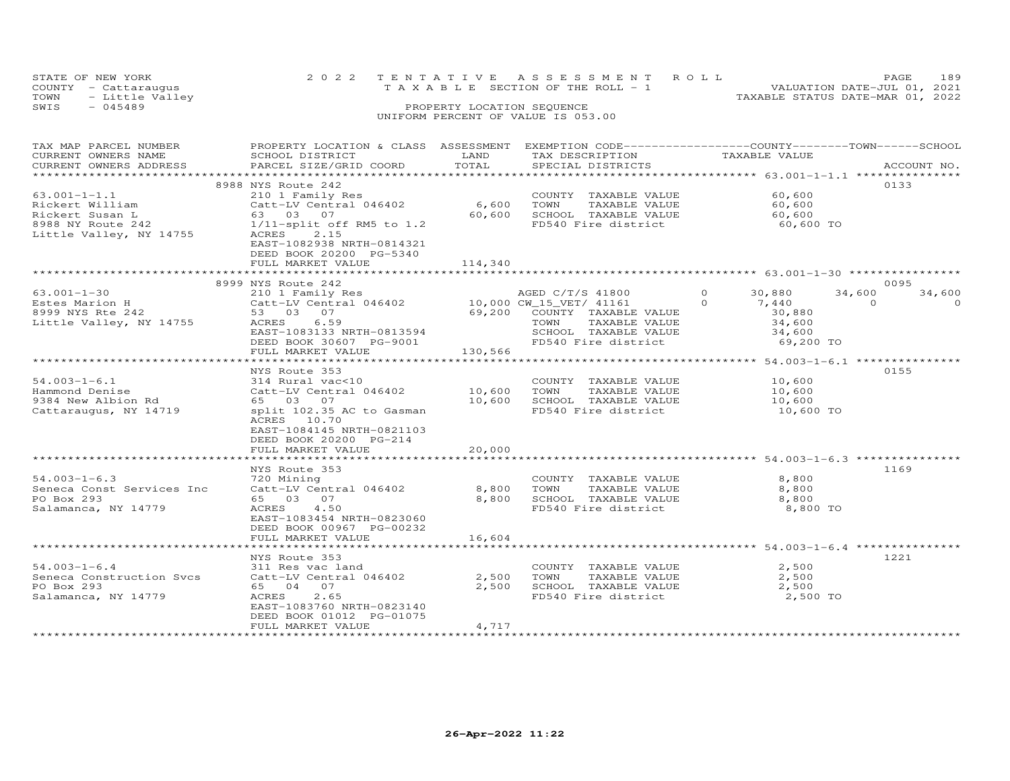| STATE OF NEW YORK    |                 | 2022 TENTATIVE ASSESSMENT ROLL     |                                  | PAGE                        | 189 |
|----------------------|-----------------|------------------------------------|----------------------------------|-----------------------------|-----|
| COUNTY - Cattaraugus |                 | TAXABLE SECTION OF THE ROLL - 1    |                                  | VALUATION DATE-JUL 01, 2021 |     |
| TOWN                 | - Little Valley |                                    | TAXABLE STATUS DATE-MAR 01, 2022 |                             |     |
| SWIS<br>$-045489$    |                 | PROPERTY LOCATION SEQUENCE         |                                  |                             |     |
|                      |                 | UNIFORM PERCENT OF VALUE IS 053.00 |                                  |                             |     |

| TAX MAP PARCEL NUMBER     | PROPERTY LOCATION & CLASS ASSESSMENT EXEMPTION CODE----------------COUNTY-------TOWN-----SCHOOL |                           |                         |                                                                |          |             |
|---------------------------|-------------------------------------------------------------------------------------------------|---------------------------|-------------------------|----------------------------------------------------------------|----------|-------------|
| CURRENT OWNERS NAME       | SCHOOL DISTRICT                                                                                 | LAND                      | TAX DESCRIPTION         | TAXABLE VALUE                                                  |          |             |
| CURRENT OWNERS ADDRESS    | PARCEL SIZE/GRID COORD                                                                          | TOTAL                     | SPECIAL DISTRICTS       |                                                                |          | ACCOUNT NO. |
|                           | ****************************                                                                    | *********************     |                         | ****************** $63.001 - 1 - 1$ .1 **************          |          |             |
|                           | 8988 NYS Route 242                                                                              |                           |                         |                                                                |          | 0133        |
| $63.001 - 1 - 1.1$        | 210 1 Family Res                                                                                |                           | COUNTY<br>TAXABLE VALUE | 60,600                                                         |          |             |
| Rickert William           | Catt-LV Central 046402                                                                          | 6,600                     | TOWN<br>TAXABLE VALUE   | 60,600                                                         |          |             |
| Rickert Susan L           | 63 03 07                                                                                        | 60,600                    | SCHOOL TAXABLE VALUE    | 60,600                                                         |          |             |
| 8988 NY Route 242         | $1/11$ -split off RM5 to $1.2$                                                                  |                           | FD540 Fire district     | 60,600 TO                                                      |          |             |
| Little Valley, NY 14755   | ACRES<br>2.15                                                                                   |                           |                         |                                                                |          |             |
|                           | EAST-1082938 NRTH-0814321                                                                       |                           |                         |                                                                |          |             |
|                           | DEED BOOK 20200 PG-5340                                                                         |                           |                         |                                                                |          |             |
|                           | FULL MARKET VALUE<br>***********************                                                    | 114,340<br>************** |                         | ******************************** 63.001-1-30 ***************** |          |             |
|                           |                                                                                                 |                           |                         |                                                                |          | 0095        |
|                           | 8999 NYS Route 242                                                                              |                           |                         | $\Omega$                                                       |          |             |
| $63.001 - 1 - 30$         | 210 1 Family Res                                                                                |                           | AGED C/T/S 41800        | 30,880                                                         | 34,600   | 34,600      |
| Estes Marion H            | Catt-LV Central 046402                                                                          |                           | 10,000 CW_15_VET/ 41161 | $\Omega$<br>7,440                                              | $\Omega$ | $\Omega$    |
| 8999 NYS Rte 242          | 53 03 07                                                                                        | 69,200                    | COUNTY TAXABLE VALUE    | 30,880                                                         |          |             |
| Little Valley, NY 14755   | 6.59<br>ACRES                                                                                   |                           | TAXABLE VALUE<br>TOWN   | 34,600                                                         |          |             |
|                           | EAST-1083133 NRTH-0813594                                                                       |                           | SCHOOL TAXABLE VALUE    | 34,600                                                         |          |             |
|                           | DEED BOOK 30607 PG-9001                                                                         |                           | FD540 Fire district     | 69,200 TO                                                      |          |             |
|                           | FULL MARKET VALUE                                                                               | 130,566                   |                         |                                                                |          |             |
|                           | NYS Route 353                                                                                   |                           |                         |                                                                |          | 0155        |
| $54.003 - 1 - 6.1$        | 314 Rural vac<10                                                                                |                           | COUNTY TAXABLE VALUE    | 10,600                                                         |          |             |
| Hammond Denise            | Catt-LV Central 046402                                                                          | 10,600                    | TOWN<br>TAXABLE VALUE   | 10,600                                                         |          |             |
| 9384 New Albion Rd        | 65 03 07                                                                                        | 10,600                    | SCHOOL TAXABLE VALUE    | 10,600                                                         |          |             |
| Cattaraugus, NY 14719     | split 102.35 AC to Gasman                                                                       |                           | FD540 Fire district     | 10,600 TO                                                      |          |             |
|                           | ACRES 10.70                                                                                     |                           |                         |                                                                |          |             |
|                           | EAST-1084145 NRTH-0821103                                                                       |                           |                         |                                                                |          |             |
|                           | DEED BOOK 20200 PG-214                                                                          |                           |                         |                                                                |          |             |
|                           | FULL MARKET VALUE                                                                               | 20,000                    |                         |                                                                |          |             |
|                           |                                                                                                 |                           |                         |                                                                |          |             |
|                           | NYS Route 353                                                                                   |                           |                         |                                                                |          | 1169        |
| $54.003 - 1 - 6.3$        | 720 Mining                                                                                      |                           | COUNTY TAXABLE VALUE    | 8,800                                                          |          |             |
| Seneca Const Services Inc | Catt-LV Central 046402                                                                          | 8,800                     | TOWN<br>TAXABLE VALUE   | 8,800                                                          |          |             |
| PO Box 293                | 65 03 07                                                                                        | 8,800                     | SCHOOL TAXABLE VALUE    | 8,800                                                          |          |             |
| Salamanca, NY 14779       | ACRES<br>4.50                                                                                   |                           | FD540 Fire district     | 8,800 TO                                                       |          |             |
|                           | EAST-1083454 NRTH-0823060                                                                       |                           |                         |                                                                |          |             |
|                           | DEED BOOK 00967 PG-00232                                                                        |                           |                         |                                                                |          |             |
|                           | FULL MARKET VALUE                                                                               | 16,604                    |                         |                                                                |          |             |
|                           |                                                                                                 |                           |                         | $**************$ 54.003-1-6.4 ************                     |          |             |
|                           | NYS Route 353                                                                                   |                           |                         |                                                                |          | 1221        |
| $54.003 - 1 - 6.4$        | 311 Res vac land                                                                                |                           | COUNTY TAXABLE VALUE    | 2,500                                                          |          |             |
| Seneca Construction Svcs  | Catt-LV Central 046402                                                                          | 2,500                     | TOWN<br>TAXABLE VALUE   | 2,500                                                          |          |             |
| PO Box 293                | 65 04 07                                                                                        | 2,500                     | SCHOOL TAXABLE VALUE    | 2,500                                                          |          |             |
| Salamanca, NY 14779       | 2.65<br>ACRES                                                                                   |                           | FD540 Fire district     | 2,500 TO                                                       |          |             |
|                           | EAST-1083760 NRTH-0823140                                                                       |                           |                         |                                                                |          |             |
|                           |                                                                                                 |                           |                         |                                                                |          |             |
|                           | DEED BOOK 01012 PG-01075                                                                        |                           |                         |                                                                |          |             |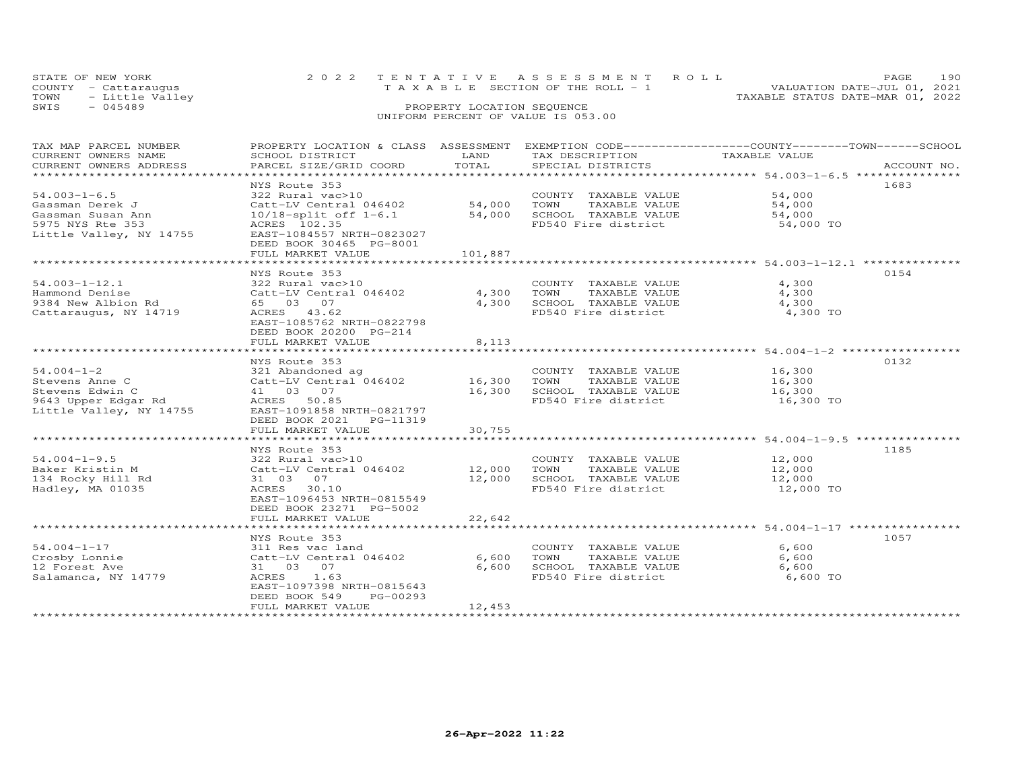| STATE OF NEW YORK    | 2022 TENTATIVE ASSESSMENT ROLL     | 190<br>PAGE.                     |
|----------------------|------------------------------------|----------------------------------|
| COUNTY - Cattaraugus | TAXABLE SECTION OF THE ROLL - 1    | VALUATION DATE-JUL 01, 2021      |
| TOWN - Little Valley |                                    | TAXABLE STATUS DATE-MAR 01, 2022 |
| SWIS<br>- 045489     | PROPERTY LOCATION SEQUENCE         |                                  |
|                      | UNIFORM PERCENT OF VALUE IS 053.00 |                                  |

| TAX MAP PARCEL NUMBER   |                                   |            |                       | PROPERTY LOCATION & CLASS ASSESSMENT EXEMPTION CODE-----------------COUNTY-------TOWN------SCHOOL |
|-------------------------|-----------------------------------|------------|-----------------------|---------------------------------------------------------------------------------------------------|
| CURRENT OWNERS NAME     | SCHOOL DISTRICT                   | LAND       | TAX DESCRIPTION       | TAXABLE VALUE                                                                                     |
| CURRENT OWNERS ADDRESS  | PARCEL SIZE/GRID COORD            | TOTAL      | SPECIAL DISTRICTS     | ACCOUNT NO.                                                                                       |
| **********************  |                                   |            |                       |                                                                                                   |
|                         | NYS Route 353                     |            |                       | 1683                                                                                              |
| $54.003 - 1 - 6.5$      | 322 Rural vac>10                  |            | COUNTY TAXABLE VALUE  | 54,000                                                                                            |
| Gassman Derek J         | Catt-LV Central 046402            | 54,000     | TOWN<br>TAXABLE VALUE | 54,000                                                                                            |
| Gassman Susan Ann       | $10/18$ -split off $1-6.1$        | 54,000     | SCHOOL TAXABLE VALUE  | 54,000                                                                                            |
| 5975 NYS Rte 353        | ACRES 102.35                      |            | FD540 Fire district   | 54,000 TO                                                                                         |
| Little Valley, NY 14755 | EAST-1084557 NRTH-0823027         |            |                       |                                                                                                   |
|                         | DEED BOOK 30465 PG-8001           |            |                       |                                                                                                   |
|                         | FULL MARKET VALUE                 | 101,887    |                       |                                                                                                   |
|                         |                                   |            |                       |                                                                                                   |
|                         | NYS Route 353                     |            |                       | 0154                                                                                              |
| $54.003 - 1 - 12.1$     | 322 Rural vac>10                  |            | COUNTY TAXABLE VALUE  | 4,300                                                                                             |
| Hammond Denise          | Catt-LV Central 046402            | 4,300 TOWN | TAXABLE VALUE         | 4,300                                                                                             |
| 9384 New Albion Rd      | 65 03 07                          | 4,300      | SCHOOL TAXABLE VALUE  | 4,300                                                                                             |
| Cattaraugus, NY 14719   | ACRES 43.62                       |            | FD540 Fire district   | 4,300 TO                                                                                          |
|                         | EAST-1085762 NRTH-0822798         |            |                       |                                                                                                   |
|                         | DEED BOOK 20200 PG-214            |            |                       |                                                                                                   |
|                         | FULL MARKET VALUE                 | 8,113      |                       |                                                                                                   |
|                         |                                   |            |                       |                                                                                                   |
|                         | NYS Route 353                     |            |                       | 0132                                                                                              |
| $54.004 - 1 - 2$        | 321 Abandoned ag                  |            | COUNTY TAXABLE VALUE  | 16,300                                                                                            |
| Stevens Anne C          | $Catt-LV$ Central $046402$ 16,300 |            | TOWN<br>TAXABLE VALUE | 16,300                                                                                            |
| Stevens Edwin C         | 41 03 07                          | 16,300     | SCHOOL TAXABLE VALUE  | 16,300                                                                                            |
| 9643 Upper Edgar Rd     | ACRES 50.85                       |            | FD540 Fire district   | 16,300 TO                                                                                         |
| Little Valley, NY 14755 | EAST-1091858 NRTH-0821797         |            |                       |                                                                                                   |
|                         | DEED BOOK 2021    PG-11319        |            |                       |                                                                                                   |
|                         | FULL MARKET VALUE                 | 30,755     |                       |                                                                                                   |
|                         |                                   |            |                       |                                                                                                   |
|                         | NYS Route 353                     |            |                       | 1185                                                                                              |
|                         |                                   |            |                       | 12,000                                                                                            |
| $54.004 - 1 - 9.5$      | 322 Rural vac>10                  |            | COUNTY TAXABLE VALUE  |                                                                                                   |
| Baker Kristin M         | Catt-LV Central 046402            | 12,000     | TOWN<br>TAXABLE VALUE | 12,000                                                                                            |
| 134 Rocky Hill Rd       | 31 03 07                          | 12,000     | SCHOOL TAXABLE VALUE  | 12,000                                                                                            |
| Hadley, MA 01035        | ACRES 30.10                       |            | FD540 Fire district   | 12,000 TO                                                                                         |
|                         | EAST-1096453 NRTH-0815549         |            |                       |                                                                                                   |
|                         | DEED BOOK 23271 PG-5002           |            |                       |                                                                                                   |
|                         | FULL MARKET VALUE                 | 22,642     |                       |                                                                                                   |
|                         |                                   |            |                       |                                                                                                   |
|                         | NYS Route 353                     |            |                       | 1057                                                                                              |
| $54.004 - 1 - 17$       | 311 Res vac land                  |            | COUNTY TAXABLE VALUE  | 6,600                                                                                             |
| Crosby Lonnie           | Catt-LV Central 046402            | 6,600      | TAXABLE VALUE<br>TOWN | 6,600                                                                                             |
| 12 Forest Ave           | 31 03 07                          | 6,600      | SCHOOL TAXABLE VALUE  | 6,600                                                                                             |
| Salamanca, NY 14779     | ACRES 1.63                        |            | FD540 Fire district   | 6,600 TO                                                                                          |
|                         | EAST-1097398 NRTH-0815643         |            |                       |                                                                                                   |
|                         | PG-00293<br>DEED BOOK 549         |            |                       |                                                                                                   |
|                         | FULL MARKET VALUE                 | 12,453     |                       |                                                                                                   |
|                         |                                   |            |                       |                                                                                                   |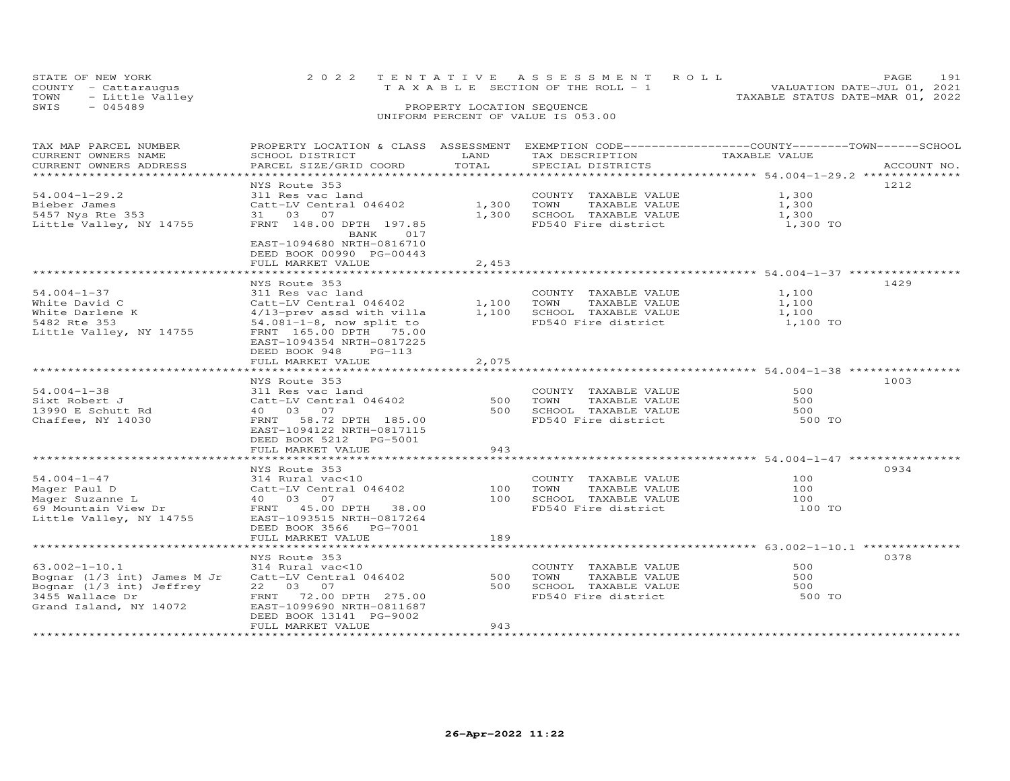| STATE OF NEW YORK    |                 |  |                                    |  |  | 2022 TENTATIVE ASSESSMENT ROLL |                                  | PAGE.                       | 191 |
|----------------------|-----------------|--|------------------------------------|--|--|--------------------------------|----------------------------------|-----------------------------|-----|
| COUNTY - Cattaraugus |                 |  | TAXABLE SECTION OF THE ROLL - 1    |  |  |                                |                                  | VALUATION DATE-JUL 01, 2021 |     |
| TOWN                 | - Little Valley |  |                                    |  |  |                                | TAXABLE STATUS DATE-MAR 01, 2022 |                             |     |
| SWIS<br>$-045489$    |                 |  | PROPERTY LOCATION SEQUENCE         |  |  |                                |                                  |                             |     |
|                      |                 |  | UNIFORM PERCENT OF VALUE IS 053.00 |  |  |                                |                                  |                             |     |

### TAX MAP PARCEL NUMBER PROPERTY LOCATION & CLASS ASSESSMENT EXEMPTION CODE------------------COUNTY--------TOWN------SCHOOL CURRENT OWNERS NAME SCHOOL DISTRICT LAND TAX DESCRIPTION TAXABLE VALUE CURRENT OWNERS ADDRESS PARCEL SIZE/GRID COORD TOTAL SPECIAL DISTRICTS ACCOUNT NO. \*\*\*\*\*\*\*\*\*\*\*\*\*\*\*\*\*\*\*\*\*\*\*\*\*\*\*\*\*\*\*\*\*\*\*\*\*\*\*\*\*\*\*\*\*\*\*\*\*\*\*\*\*\*\*\*\*\*\*\*\*\*\*\*\*\*\*\*\*\*\*\*\*\*\*\*\*\*\*\*\*\*\*\*\*\*\*\*\*\*\*\*\*\*\*\*\*\*\*\*\*\*\* 54.004-1-29.2 \*\*\*\*\*\*\*\*\*\*\*\*\*\* NYS Route 353 121254.004-1-29.2 311 Res vac land COUNTY TAXABLE VALUE 1,300Bieber James Catt-LV Central 046402 1,300 TOWN TAXABLE VALUE 1,3005457 Nys Rte 353 31 03 07 1,300 SCHOOL TAXABLE VALUE 1,300Little Valley, NY 14755 FRNT 148.00 DPTH 197.85 FD540 Fire district 1,300 TO1,300 1,300 1,300 TO BANK 017 EAST-1094680 NRTH-0816710 DEED BOOK 00990 PG-00443FULL MARKET VALUE 2,453 \*\*\*\*\*\*\*\*\*\*\*\*\*\*\*\*\*\*\*\*\*\*\*\*\*\*\*\*\*\*\*\*\*\*\*\*\*\*\*\*\*\*\*\*\*\*\*\*\*\*\*\*\*\*\*\*\*\*\*\*\*\*\*\*\*\*\*\*\*\*\*\*\*\*\*\*\*\*\*\*\*\*\*\*\*\*\*\*\*\*\*\*\*\*\*\*\*\*\*\*\*\*\* 54.004-1-37 \*\*\*\*\*\*\*\*\*\*\*\*\*\*\*\* NYS Route 353 142954.004-1-37 311 Res vac land COUNTY TAXABLE VALUE 1,100White David C Catt-LV Central 046402 1,100 TOWN TAXABLE VALUE 1,100White Darlene K 4/13-prev assd with villa 1,100 SCHOOL TAXABLE VALUE 1,1005482 Rte 353 54.081-1-8, now split to FD540 Fire district 1,100 TOLittle Valley, NY 14755 FRNT 165.00 DPTH 75.00 EAST-1094354 NRTH-08172251,100 1,100 1,100 TO DEED BOOK 948 PG-113 FULL MARKET VALUE 2,075 \*\*\*\*\*\*\*\*\*\*\*\*\*\*\*\*\*\*\*\*\*\*\*\*\*\*\*\*\*\*\*\*\*\*\*\*\*\*\*\*\*\*\*\*\*\*\*\*\*\*\*\*\*\*\*\*\*\*\*\*\*\*\*\*\*\*\*\*\*\*\*\*\*\*\*\*\*\*\*\*\*\*\*\*\*\*\*\*\*\*\*\*\*\*\*\*\*\*\*\*\*\*\* 54.004-1-38 \*\*\*\*\*\*\*\*\*\*\*\*\*\*\*\*NYS Route 353<br>
NYS Route 353<br>
311 Res vac land<br>
211 Res vac land<br>
240 03 07 07 07 500 TOWN TAXABLE VALUE 500<br>
240 03 07 500 500 SCHOOL TAXABLE VALUE 500<br>
260 SCHOOL TAXABLE VALUE 500<br>
260 FAST-1094122 NRTH-0817115<br>
260 FD5 ֖֚֚֚֚֚֚֚֚֚֬ 500 TO DEED BOOK 5212 PG-5001 FULL MARKET VALUE 943 \*\*\*\*\*\*\*\*\*\*\*\*\*\*\*\*\*\*\*\*\*\*\*\*\*\*\*\*\*\*\*\*\*\*\*\*\*\*\*\*\*\*\*\*\*\*\*\*\*\*\*\*\*\*\*\*\*\*\*\*\*\*\*\*\*\*\*\*\*\*\*\*\*\*\*\*\*\*\*\*\*\*\*\*\*\*\*\*\*\*\*\*\*\*\*\*\*\*\*\*\*\*\* 54.004-1-47 \*\*\*\*\*\*\*\*\*\*\*\*\*\*\*\* NYS Route 353 093454.004-1-47 314 Rural vac<10 COUNTY TAXABLE VALUE 100Mager Paul D Catt-LV Central 046402 100 TOWN TAXABLE VALUE 100Mager Suzanne L 40 03 07 100 SCHOOL TAXABLE VALUE 10069 Mountain View Dr FRNT 45.00 DPTH 38.00 FD540 Fire district 100 TOLittle Valley, NY 14755 EAST-1093515 NRTH-0817264 DEED BOOK 3566 PG-7001 FULL MARKET VALUE 189 $\begin{array}{c} 100 \\ 100 \end{array}$  $100$ <br> $100$ 100 TO \*\*\*\*\*\*\*\*\*\*\*\*\*\*\*\*\*\*\*\*\*\*\*\*\*\*\*\*\*\*\*\*\*\*\*\*\*\*\*\*\*\*\*\*\*\*\*\*\*\*\*\*\*\*\*\*\*\*\*\*\*\*\*\*\*\*\*\*\*\*\*\*\*\*\*\*\*\*\*\*\*\*\*\*\*\*\*\*\*\*\*\*\*\*\*\*\*\*\*\*\*\*\* 63.002-1-10.1 \*\*\*\*\*\*\*\*\*\*\*\*\*\* NYS Route 353 037863.002-1-10.1 314 Rural vac<10 COUNTY TAXABLE VALUE 500Bognar (1/3 int) James M Jr Catt-LV Central 046402 500 TOWN TAXABLE VALUE 500Bognar (1/3 int) Jeffrey 22 03 07 500 SCHOOL TAXABLE VALUE 5003455 Wallace Dr FRNT 72.00 DPTH 275.00 FD540 Fire district 500 TOGrand Island, NY 14072 EAST-1099690 NRTH-0811687 DEED BOOK 13141 PG-9002500 500 500 TO FULL MARKET VALUE 943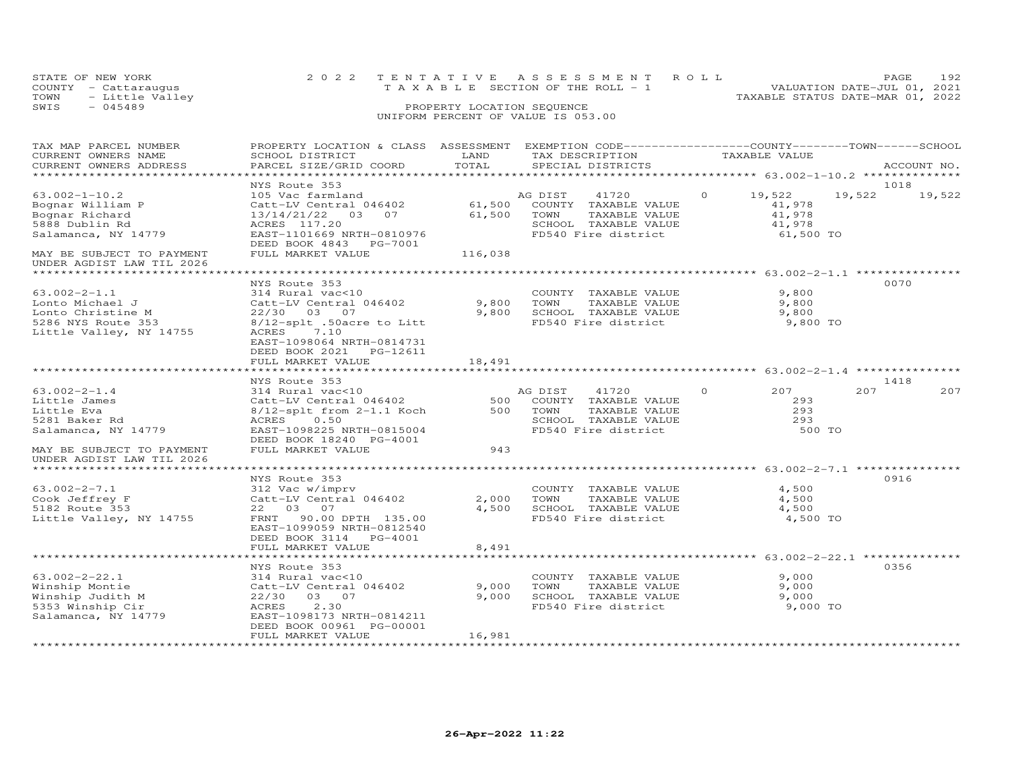| STATE OF NEW YORK    |                                         |  | 2022 TENTATIVE ASSESSMENT ROLL     |  |  |  |                                  | PAGE.                       | 192 |
|----------------------|-----------------------------------------|--|------------------------------------|--|--|--|----------------------------------|-----------------------------|-----|
| COUNTY - Cattaraugus |                                         |  | TAXABLE SECTION OF THE ROLL - 1    |  |  |  |                                  | VALUATION DATE-JUL 01, 2021 |     |
| TOWN                 | - Little Valley                         |  |                                    |  |  |  | TAXABLE STATUS DATE-MAR 01, 2022 |                             |     |
| SWIS                 | PROPERTY LOCATION SEQUENCE<br>$-045489$ |  |                                    |  |  |  |                                  |                             |     |
|                      |                                         |  | UNIFORM PERCENT OF VALUE IS 053.00 |  |  |  |                                  |                             |     |

### TAX MAP PARCEL NUMBER PROPERTY LOCATION & CLASS ASSESSMENT EXEMPTION CODE------------------COUNTY--------TOWN------SCHOOL CURRENT OWNERS NAME SCHOOL DISTRICT LAND TAX DESCRIPTION TAXABLE VALUE CURRENT OWNERS ADDRESS PARCEL SIZE/GRID COORD TOTAL SPECIAL DISTRICTS ACCOUNT NO. \*\*\*\*\*\*\*\*\*\*\*\*\*\*\*\*\*\*\*\*\*\*\*\*\*\*\*\*\*\*\*\*\*\*\*\*\*\*\*\*\*\*\*\*\*\*\*\*\*\*\*\*\*\*\*\*\*\*\*\*\*\*\*\*\*\*\*\*\*\*\*\*\*\*\*\*\*\*\*\*\*\*\*\*\*\*\*\*\*\*\*\*\*\*\*\*\*\*\*\*\*\*\* 63.002-1-10.2 \*\*\*\*\*\*\*\*\*\*\*\*\*\*63.002-1-10.2 MYS Route 353<br>
Bognar William P Catt-LV Central 046402 61,500 COUNTY TAXABLE VALUE<br>
Bognar Richard 13/14/21/22 03 07 61,500 COUNTY TAXABLE VALUE 41,978<br>
Salamanca, NY 14779 EAST 117.2006 EXENCE 2010 ENRABLE 19,522 19,522 UNDER AGDIST LAW TIL 2026 \*\*\*\*\*\*\*\*\*\*\*\*\*\*\*\*\*\*\*\*\*\*\*\*\*\*\*\*\*\*\*\*\*\*\*\*\*\*\*\*\*\*\*\*\*\*\*\*\*\*\*\*\*\*\*\*\*\*\*\*\*\*\*\*\*\*\*\*\*\*\*\*\*\*\*\*\*\*\*\*\*\*\*\*\*\*\*\*\*\*\*\*\*\*\*\*\*\*\*\*\*\*\* 63.002-2-1.1 \*\*\*\*\*\*\*\*\*\*\*\*\*\*\* NYS Route 353 007063.002-2-1.1 314 Rural vac<10 COUNTY TAXABLE VALUE 9,800Lonto Michael J Catt-LV Central 046402 9,800 TOWN TAXABLE VALUE 9,800Lonto Christine M 22/30 03 07 9,800 SCHOOL TAXABLE VALUE 9,8005286 NYS Route 353 8/12-splt .50acre to Litt FD540 Fire district 9,800 TOLittle Valley, NY 14755 ACRES 7.10 EAST-1098064 NRTH-0814731 $9,800$ 9,800 9,800 TO DEED BOOK 2021 PG-12611FULL MARKET VALUE FULL MARKET VALUE 18,491 \*\*\*\*\*\*\*\*\*\*\*\*\*\*\*\*\*\*\*\*\*\*\*\*\*\*\*\*\*\*\*\*\*\*\*\*\*\*\*\*\*\*\*\*\*\*\*\*\*\*\*\*\*\*\*\*\*\*\*\*\*\*\*\*\*\*\*\*\*\*\*\*\*\*\*\*\*\*\*\*\*\*\*\*\*\*\*\*\*\*\*\*\*\*\*\*\*\*\*\*\*\*\* 63.002-2-1.4 \*\*\*\*\*\*\*\*\*\*\*\*\*\*\*63.002-2-1.4 NYS Route 353<br>
Little James 314 Rural vac<10<br>
Little James Catt-LV Central 046402 500 COUNTY TAXABLE VALUE 293<br>
Little Eva 8/12-splt from 2-1.1 Koch 500 TOWN TAXABLE VALUE 293<br>
Salamanca, NY 14779 RAST-109825 UNDER AGDIST LAW TIL 2026 \*\*\*\*\*\*\*\*\*\*\*\*\*\*\*\*\*\*\*\*\*\*\*\*\*\*\*\*\*\*\*\*\*\*\*\*\*\*\*\*\*\*\*\*\*\*\*\*\*\*\*\*\*\*\*\*\*\*\*\*\*\*\*\*\*\*\*\*\*\*\*\*\*\*\*\*\*\*\*\*\*\*\*\*\*\*\*\*\*\*\*\*\*\*\*\*\*\*\*\*\*\*\* 63.002-2-7.1 \*\*\*\*\*\*\*\*\*\*\*\*\*\*\* NYS Route 353 091663.002-2-7.1 312 Vac w/imprv COUNTY TAXABLE VALUE 4,500Cook Jeffrey F Catt-LV Central 046402 2,000 TOWN TAXABLE VALUE 4,5005182 Route 353 22 03 07 4,500 SCHOOL TAXABLE VALUE 4,5004,500 4,500 4,500 TO Little Valley, NY 14755 FRNT 90.00 DPTH 135.00 FD540 Fire district EAST-1099059 NRTH-0812540 DEED BOOK 3114 PG-4001 FULL MARKET VALUE 8,491 \*\*\*\*\*\*\*\*\*\*\*\*\*\*\*\*\*\*\*\*\*\*\*\*\*\*\*\*\*\*\*\*\*\*\*\*\*\*\*\*\*\*\*\*\*\*\*\*\*\*\*\*\*\*\*\*\*\*\*\*\*\*\*\*\*\*\*\*\*\*\*\*\*\*\*\*\*\*\*\*\*\*\*\*\*\*\*\*\*\*\*\*\*\*\*\*\*\*\*\*\*\*\* 63.002-2-22.1 \*\*\*\*\*\*\*\*\*\*\*\*\*\*NYS Route 353 0356

|                     | NIU RUULE JJJ             |        |                         | ぃ)。      |  |
|---------------------|---------------------------|--------|-------------------------|----------|--|
| $63.002 - 2 - 22.1$ | 314 Rural vac<10          |        | TAXABLE VALUE<br>COUNTY | 9,000    |  |
| Winship Montie      | Catt-LV Central 046402    | 9,000  | TAXABLE VALUE<br>TOWN   | 9,000    |  |
| Winship Judith M    | 22/30<br>03 07            | 9,000  | SCHOOL<br>TAXABLE VALUE | 9,000    |  |
| 5353 Winship Cir    | 2.30<br>ACRES             |        | FD540 Fire district     | 9,000 TO |  |
| Salamanca, NY 14779 | EAST-1098173 NRTH-0814211 |        |                         |          |  |
|                     | DEED BOOK 00961 PG-00001  |        |                         |          |  |
|                     | FULL MARKET VALUE         | 16,981 |                         |          |  |
|                     |                           |        |                         |          |  |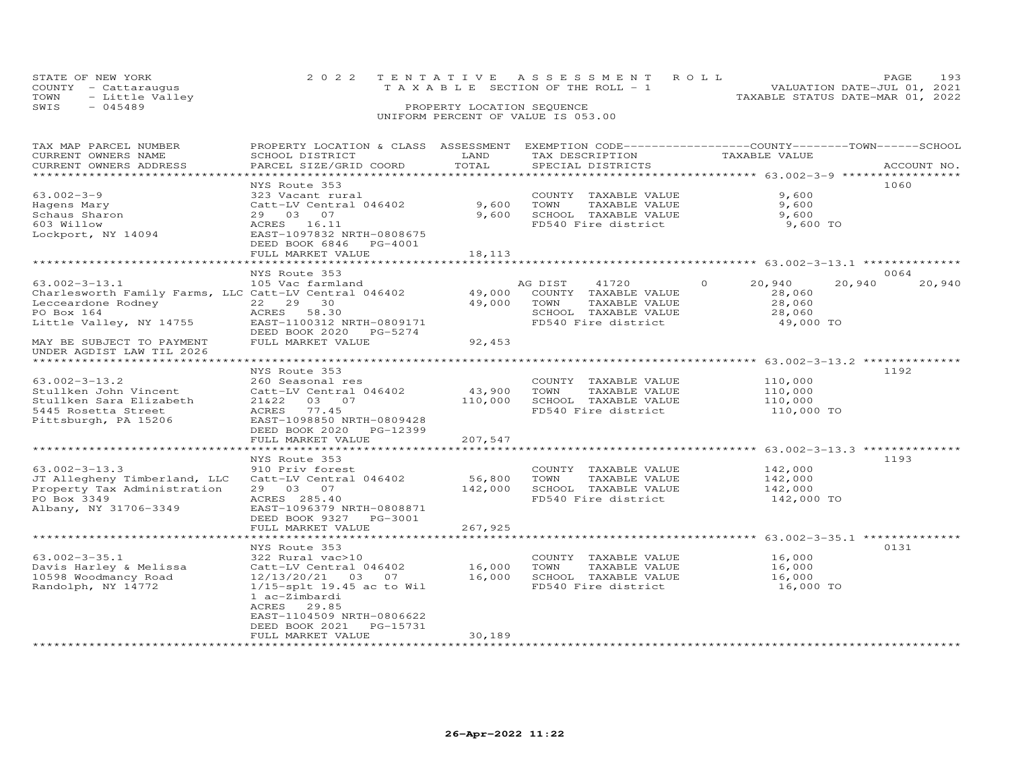| STATE OF NEW YORK       | 2022 TENTATIVE ASSESSMENT ROLL                 | PAGE.                            | 193 |
|-------------------------|------------------------------------------------|----------------------------------|-----|
| COUNTY - Cattarauqus    | $T A X A B I F S E C T I ON OF THE RO I J - 1$ | VALUATION DATE-JUL 01, 2021      |     |
| TOWN<br>- Little Valley |                                                | TAXABLE STATUS DATE-MAR 01, 2022 |     |
| SWIS<br>$-045489$       | PROPERTY LOCATION SEQUENCE                     |                                  |     |
|                         |                                                |                                  |     |

### UNIFORM PERCENT OF VALUE IS 053.00

| TAX MAP PARCEL NUMBER                                 | PROPERTY LOCATION & CLASS ASSESSMENT EXEMPTION CODE-----------------COUNTY-------TOWN------SCHOOL |         |                       |                    |                  |
|-------------------------------------------------------|---------------------------------------------------------------------------------------------------|---------|-----------------------|--------------------|------------------|
| CURRENT OWNERS NAME                                   | SCHOOL DISTRICT                                                                                   | LAND    | TAX DESCRIPTION       | TAXABLE VALUE      |                  |
| CURRENT OWNERS ADDRESS                                | PARCEL SIZE/GRID COORD                                                                            | TOTAL   | SPECIAL DISTRICTS     |                    | ACCOUNT NO.      |
|                                                       |                                                                                                   |         |                       |                    |                  |
|                                                       | NYS Route 353                                                                                     |         |                       |                    | 1060             |
| $63.002 - 3 - 9$                                      | 323 Vacant rural                                                                                  |         | COUNTY TAXABLE VALUE  | 9,600              |                  |
| Hagens Mary                                           | Catt-LV Central 046402                                                                            | 9,600   | TOWN<br>TAXABLE VALUE | 9,600              |                  |
| Schaus Sharon                                         | 29 03 07                                                                                          | 9,600   | SCHOOL TAXABLE VALUE  | 9,600              |                  |
| 603 Willow                                            | ACRES 16.11                                                                                       |         | FD540 Fire district   | 9,600 TO           |                  |
| Lockport, NY 14094                                    | EAST-1097832 NRTH-0808675                                                                         |         |                       |                    |                  |
|                                                       | DEED BOOK 6846<br>PG-4001                                                                         |         |                       |                    |                  |
|                                                       | FULL MARKET VALUE                                                                                 | 18,113  |                       |                    |                  |
|                                                       |                                                                                                   |         |                       |                    |                  |
|                                                       | NYS Route 353                                                                                     |         |                       |                    | 0064             |
| $63.002 - 3 - 13.1$                                   | 105 Vac farmland                                                                                  |         | AG DIST<br>41720      | $\Omega$<br>20,940 | 20,940<br>20,940 |
| Charlesworth Family Farms, LLC Catt-LV Central 046402 |                                                                                                   | 49,000  | COUNTY TAXABLE VALUE  | 28,060             |                  |
| Lecceardone Rodney                                    | 22 29<br>30                                                                                       | 49,000  | TOWN<br>TAXABLE VALUE | 28,060             |                  |
| PO Box 164                                            | ACRES<br>58.30                                                                                    |         | SCHOOL TAXABLE VALUE  | 28,060             |                  |
| Little Valley, NY 14755                               | EAST-1100312 NRTH-0809171                                                                         |         | FD540 Fire district   | 49,000 TO          |                  |
|                                                       | DEED BOOK 2020<br>PG-5274                                                                         |         |                       |                    |                  |
| MAY BE SUBJECT TO PAYMENT                             | FULL MARKET VALUE                                                                                 | 92,453  |                       |                    |                  |
| UNDER AGDIST LAW TIL 2026                             |                                                                                                   |         |                       |                    |                  |
| ********************                                  |                                                                                                   |         |                       |                    |                  |
|                                                       | NYS Route 353                                                                                     |         |                       |                    | 1192             |
| $63.002 - 3 - 13.2$                                   | 260 Seasonal res                                                                                  |         | COUNTY TAXABLE VALUE  | 110,000            |                  |
| Stullken John Vincent                                 | Catt-LV Central 046402                                                                            | 43,900  | TAXABLE VALUE<br>TOWN | 110,000            |                  |
| Stullken Sara Elizabeth                               | 21&22<br>03 07                                                                                    | 110,000 | SCHOOL TAXABLE VALUE  | 110,000            |                  |
| 5445 Rosetta Street                                   | 77.45<br>ACRES                                                                                    |         | FD540 Fire district   | 110,000 TO         |                  |
| Pittsburgh, PA 15206                                  | EAST-1098850 NRTH-0809428                                                                         |         |                       |                    |                  |
|                                                       | DEED BOOK 2020<br>PG-12399                                                                        |         |                       |                    |                  |
|                                                       | FULL MARKET VALUE                                                                                 | 207,547 |                       |                    |                  |
|                                                       |                                                                                                   |         |                       |                    |                  |
|                                                       | NYS Route 353                                                                                     |         |                       |                    | 1193             |
| $63.002 - 3 - 13.3$                                   | 910 Priv forest                                                                                   |         | COUNTY TAXABLE VALUE  | 142,000            |                  |
| JT Allegheny Timberland, LLC                          | Catt-LV Central 046402                                                                            | 56,800  | TOWN<br>TAXABLE VALUE | 142,000            |                  |
| Property Tax Administration                           | 29 03 07                                                                                          | 142,000 | SCHOOL TAXABLE VALUE  | 142,000            |                  |
| PO Box 3349                                           | ACRES 285.40                                                                                      |         | FD540 Fire district   | 142,000 TO         |                  |
| Albany, NY 31706-3349                                 | EAST-1096379 NRTH-0808871                                                                         |         |                       |                    |                  |
|                                                       | DEED BOOK 9327 PG-3001                                                                            |         |                       |                    |                  |
|                                                       | FULL MARKET VALUE                                                                                 | 267,925 |                       |                    |                  |
|                                                       |                                                                                                   |         |                       |                    |                  |
|                                                       | NYS Route 353                                                                                     |         |                       |                    | 0131             |
| $63.002 - 3 - 35.1$                                   | 322 Rural vac>10                                                                                  |         | COUNTY TAXABLE VALUE  | 16,000             |                  |
| Davis Harley & Melissa                                | Catt-LV Central 046402                                                                            | 16,000  | TOWN<br>TAXABLE VALUE | 16,000             |                  |
| 10598 Woodmancy Road                                  | 12/13/20/21<br>03 07                                                                              | 16,000  | SCHOOL TAXABLE VALUE  | 16,000             |                  |
| Randolph, NY 14772                                    | $1/15$ -splt 19.45 ac to Wil                                                                      |         | FD540 Fire district   | 16,000 TO          |                  |
|                                                       | 1 ac-Zimbardi                                                                                     |         |                       |                    |                  |
|                                                       | ACRES<br>29.85                                                                                    |         |                       |                    |                  |
|                                                       | EAST-1104509 NRTH-0806622                                                                         |         |                       |                    |                  |
|                                                       | DEED BOOK 2021<br>PG-15731                                                                        |         |                       |                    |                  |
|                                                       | FULL MARKET VALUE                                                                                 | 30,189  |                       |                    |                  |
|                                                       |                                                                                                   |         |                       |                    |                  |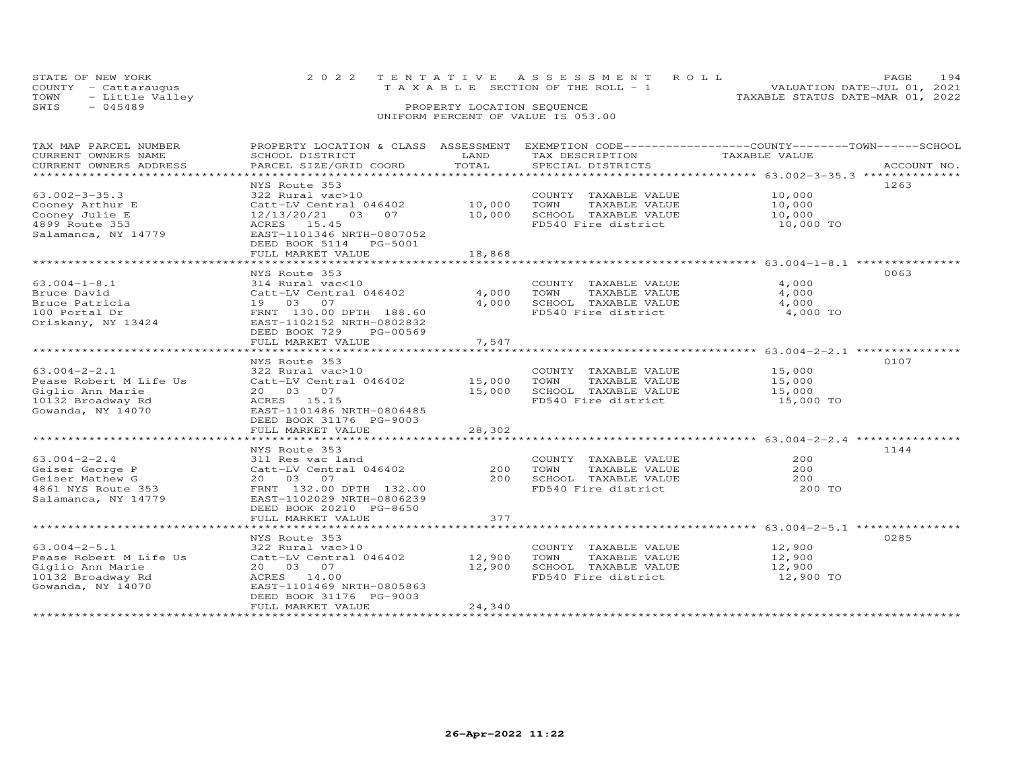| STATE OF NEW YORK       | 2022 TENTATIVE ASSESSMENT ROLL        | 194<br>PAGE.                     |
|-------------------------|---------------------------------------|----------------------------------|
| COUNTY - Cattarauqus    | T A X A B L E SECTION OF THE ROLL - 1 | VALUATION DATE-JUL 01, 2021      |
| TOWN<br>- Little Valley |                                       | TAXABLE STATUS DATE-MAR 01, 2022 |
| SWIS<br>- 045489        | PROPERTY LOCATION SEQUENCE            |                                  |
|                         | UNIFORM PERCENT OF VALUE IS 053.00    |                                  |

| TAX MAP PARCEL NUMBER  |                           |        |                       | PROPERTY LOCATION & CLASS ASSESSMENT EXEMPTION CODE-----------------COUNTY-------TOWN------SCHOOL |
|------------------------|---------------------------|--------|-----------------------|---------------------------------------------------------------------------------------------------|
| CURRENT OWNERS NAME    | SCHOOL DISTRICT           | LAND   | TAX DESCRIPTION       | TAXABLE VALUE                                                                                     |
| CURRENT OWNERS ADDRESS | PARCEL SIZE/GRID COORD    | TOTAL  | SPECIAL DISTRICTS     | ACCOUNT NO.                                                                                       |
| *********************  | ************************* |        |                       |                                                                                                   |
|                        | NYS Route 353             |        |                       | 1263                                                                                              |
| $63.002 - 3 - 35.3$    | 322 Rural vac>10          |        | COUNTY TAXABLE VALUE  | 10,000                                                                                            |
| Cooney Arthur E        | Catt-LV Central 046402    | 10,000 | TOWN<br>TAXABLE VALUE | 10,000                                                                                            |
| Cooney Julie E         | 12/13/20/21 03 07         | 10,000 | SCHOOL TAXABLE VALUE  | 10,000                                                                                            |
| 4899 Route 353         | ACRES 15.45               |        | FD540 Fire district   | 10,000 TO                                                                                         |
| Salamanca, NY 14779    | EAST-1101346 NRTH-0807052 |        |                       |                                                                                                   |
|                        | DEED BOOK 5114<br>PG-5001 |        |                       |                                                                                                   |
|                        | FULL MARKET VALUE         | 18,868 |                       |                                                                                                   |
|                        |                           |        |                       |                                                                                                   |
|                        | NYS Route 353             |        |                       | 0063                                                                                              |
| $63.004 - 1 - 8.1$     | 314 Rural vac<10          |        | COUNTY TAXABLE VALUE  | 4,000                                                                                             |
| Bruce David            | Catt-LV Central 046402    | 4,000  | TOWN<br>TAXABLE VALUE | 4,000                                                                                             |
| Bruce Patricia         | 19 03 07                  | 4,000  | SCHOOL TAXABLE VALUE  | 4,000                                                                                             |
| 100 Portal Dr          | FRNT 130.00 DPTH 188.60   |        | FD540 Fire district   | 4,000 TO                                                                                          |
| Oriskany, NY 13424     | EAST-1102152 NRTH-0802832 |        |                       |                                                                                                   |
|                        | DEED BOOK 729<br>PG-00569 |        |                       |                                                                                                   |
|                        | FULL MARKET VALUE         | 7,547  |                       |                                                                                                   |
|                        |                           |        |                       |                                                                                                   |
|                        | NYS Route 353             |        |                       | 0107                                                                                              |
| $63.004 - 2 - 2.1$     | 322 Rural vac>10          |        | COUNTY TAXABLE VALUE  | 15,000                                                                                            |
| Pease Robert M Life Us | Catt-LV Central 046402    | 15,000 | TOWN<br>TAXABLE VALUE | 15,000                                                                                            |
| Giglio Ann Marie       | 20  03  07                | 15,000 | SCHOOL TAXABLE VALUE  | 15,000                                                                                            |
| 10132 Broadway Rd      | ACRES 15.15               |        | FD540 Fire district   | 15,000 TO                                                                                         |
| Gowanda, NY 14070      | EAST-1101486 NRTH-0806485 |        |                       |                                                                                                   |
|                        | DEED BOOK 31176 PG-9003   |        |                       |                                                                                                   |
|                        |                           | 28,302 |                       |                                                                                                   |
|                        | FULL MARKET VALUE         |        |                       |                                                                                                   |
|                        |                           |        |                       | 1144                                                                                              |
|                        | NYS Route 353             |        |                       | 200                                                                                               |
| $63.004 - 2 - 2.4$     | 311 Res vac land          |        | COUNTY TAXABLE VALUE  |                                                                                                   |
| Geiser George P        | Catt-LV Central 046402    | 200    | TOWN<br>TAXABLE VALUE | 200                                                                                               |
| Geiser Mathew G        | 20  03  07                | 200    | SCHOOL TAXABLE VALUE  | 200                                                                                               |
| 4861 NYS Route 353     | FRNT 132.00 DPTH 132.00   |        | FD540 Fire district   | 200 TO                                                                                            |
| Salamanca, NY 14779    | EAST-1102029 NRTH-0806239 |        |                       |                                                                                                   |
|                        | DEED BOOK 20210 PG-8650   |        |                       |                                                                                                   |
|                        | FULL MARKET VALUE         | 377    |                       |                                                                                                   |
|                        |                           |        |                       |                                                                                                   |
|                        | NYS Route 353             |        |                       | 0285                                                                                              |
| $63.004 - 2 - 5.1$     | 322 Rural vac>10          |        | COUNTY TAXABLE VALUE  | 12,900                                                                                            |
| Pease Robert M Life Us | Catt-LV Central 046402    | 12,900 | TAXABLE VALUE<br>TOWN | 12,900                                                                                            |
| Giglio Ann Marie       | 20  03  07                | 12,900 | SCHOOL TAXABLE VALUE  | 12,900                                                                                            |
| 10132 Broadway Rd      | ACRES 14.00               |        | FD540 Fire district   | 12,900 TO                                                                                         |
| Gowanda, NY 14070      | EAST-1101469 NRTH-0805863 |        |                       |                                                                                                   |
|                        | DEED BOOK 31176 PG-9003   |        |                       |                                                                                                   |
|                        | FULL MARKET VALUE         | 24,340 |                       |                                                                                                   |
|                        |                           |        |                       |                                                                                                   |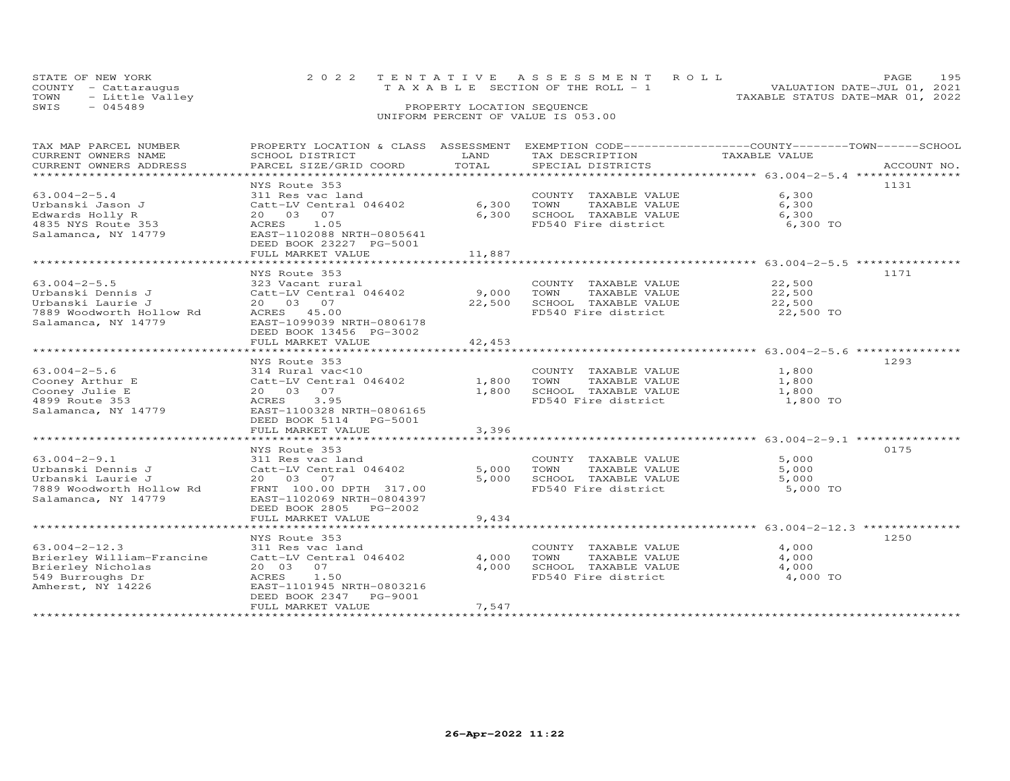| STATE OF NEW YORK       | 2022 TENTATIVE ASSESSMENT ROLL  | 195<br><b>PAGE</b>               |
|-------------------------|---------------------------------|----------------------------------|
| COUNTY - Cattaraugus    | TAXABLE SECTION OF THE ROLL - 1 | VALUATION DATE-JUL 01, 2021      |
| - Little Valley<br>TOWN |                                 | TAXABLE STATUS DATE-MAR 01, 2022 |
| SWIS<br>$-045489$       | PROPERTY LOCATION SEQUENCE      |                                  |

### UNIFORM PERCENT OF VALUE IS 053.00TAX MAP PARCEL NUMBER PROPERTY LOCATION & CLASS ASSESSMENT EXEMPTION CODE-----------------COUNTY-------TOWN------SCHOOL

| CURRENT OWNERS NAME                         | SCHOOL DISTRICT                                    | LAND   | TAX DESCRIPTION       | TAXABLE VALUE                                                                  |  |
|---------------------------------------------|----------------------------------------------------|--------|-----------------------|--------------------------------------------------------------------------------|--|
| CURRENT OWNERS ADDRESS<br>***************** | PARCEL SIZE/GRID COORD<br>************************ | TOTAL  | SPECIAL DISTRICTS     | ACCOUNT NO.<br>********************************** 63.004-2-5.4 *************** |  |
|                                             | NYS Route 353                                      |        |                       | 1131                                                                           |  |
| $63.004 - 2 - 5.4$                          | 311 Res vac land                                   |        | COUNTY TAXABLE VALUE  | 6,300                                                                          |  |
| Urbanski Jason J                            | Catt-LV Central 046402                             | 6,300  | TOWN<br>TAXABLE VALUE | 6,300                                                                          |  |
| Edwards Holly R                             | 20 03 07                                           | 6,300  | SCHOOL TAXABLE VALUE  | 6,300                                                                          |  |
| 4835 NYS Route 353                          | 1.05<br>ACRES                                      |        | FD540 Fire district   | 6,300 TO                                                                       |  |
| Salamanca, NY 14779                         | EAST-1102088 NRTH-0805641                          |        |                       |                                                                                |  |
|                                             | DEED BOOK 23227 PG-5001                            |        |                       |                                                                                |  |
|                                             | FULL MARKET VALUE                                  | 11,887 |                       |                                                                                |  |
|                                             | ***************************                        |        |                       |                                                                                |  |
|                                             | NYS Route 353                                      |        |                       | 1171                                                                           |  |
| $63.004 - 2 - 5.5$                          | 323 Vacant rural                                   |        | COUNTY TAXABLE VALUE  | 22,500                                                                         |  |
| Urbanski Dennis J                           | Catt-LV Central 046402                             | 9,000  | TOWN<br>TAXABLE VALUE | 22,500                                                                         |  |
| Urbanski Laurie J                           | 20 03 07                                           | 22,500 | SCHOOL TAXABLE VALUE  | 22,500                                                                         |  |
| 7889 Woodworth Hollow Rd                    | ACRES 45.00                                        |        | FD540 Fire district   | 22,500 TO                                                                      |  |
| Salamanca, NY 14779                         | EAST-1099039 NRTH-0806178                          |        |                       |                                                                                |  |
|                                             | DEED BOOK 13456 PG-3002                            |        |                       |                                                                                |  |
|                                             | FULL MARKET VALUE                                  | 42,453 |                       |                                                                                |  |
|                                             |                                                    |        |                       |                                                                                |  |
|                                             | NYS Route 353                                      |        |                       | 1293                                                                           |  |
| $63.004 - 2 - 5.6$                          | 314 Rural vac<10                                   |        | COUNTY TAXABLE VALUE  | 1,800                                                                          |  |
| Cooney Arthur E                             | Catt-LV Central 046402                             | 1,800  | TOWN<br>TAXABLE VALUE | 1,800                                                                          |  |
| Cooney Julie E                              | 20 03 07                                           | 1,800  | SCHOOL TAXABLE VALUE  | 1,800                                                                          |  |
| 4899 Route 353                              | 3.95<br>ACRES                                      |        | FD540 Fire district   | 1,800 TO                                                                       |  |
| Salamanca, NY 14779                         | EAST-1100328 NRTH-0806165                          |        |                       |                                                                                |  |
|                                             | DEED BOOK 5114<br>PG-5001                          |        |                       |                                                                                |  |
|                                             | FULL MARKET VALUE                                  | 3,396  |                       |                                                                                |  |
|                                             | ********************                               |        |                       | ************************* 63.004-2-9.1 ***************                         |  |
|                                             | NYS Route 353                                      |        |                       | 0175                                                                           |  |
| $63.004 - 2 - 9.1$                          | 311 Res vac land                                   |        | COUNTY TAXABLE VALUE  | 5,000                                                                          |  |
| Urbanski Dennis J                           | Catt-LV Central 046402                             | 5,000  | TOWN<br>TAXABLE VALUE | 5,000                                                                          |  |
| Urbanski Laurie J                           | 20 03 07                                           | 5,000  | SCHOOL TAXABLE VALUE  | 5,000                                                                          |  |
| 7889 Woodworth Hollow Rd                    | FRNT 100.00 DPTH 317.00                            |        | FD540 Fire district   | 5,000 TO                                                                       |  |
| Salamanca, NY 14779                         | EAST-1102069 NRTH-0804397                          |        |                       |                                                                                |  |
|                                             | DEED BOOK 2805<br>PG-2002                          |        |                       |                                                                                |  |
|                                             | FULL MARKET VALUE                                  | 9,434  |                       |                                                                                |  |
|                                             |                                                    |        |                       |                                                                                |  |
|                                             | NYS Route 353                                      |        |                       | 1250                                                                           |  |
| $63.004 - 2 - 12.3$                         | 311 Res vac land                                   |        | COUNTY TAXABLE VALUE  | 4,000                                                                          |  |
| Brierley William-Francine                   | Catt-LV Central 046402                             | 4,000  | TOWN<br>TAXABLE VALUE | 4,000                                                                          |  |
| Brierley Nicholas                           | 20 03<br>07                                        | 4,000  | SCHOOL TAXABLE VALUE  | 4,000                                                                          |  |
| 549 Burroughs Dr                            | 1.50<br>ACRES                                      |        | FD540 Fire district   | 4,000 TO                                                                       |  |
| Amherst, NY 14226                           | EAST-1101945 NRTH-0803216                          |        |                       |                                                                                |  |
|                                             | DEED BOOK 2347<br>PG-9001                          |        |                       |                                                                                |  |
|                                             | FULL MARKET VALUE                                  | 7,547  |                       |                                                                                |  |
|                                             |                                                    |        |                       |                                                                                |  |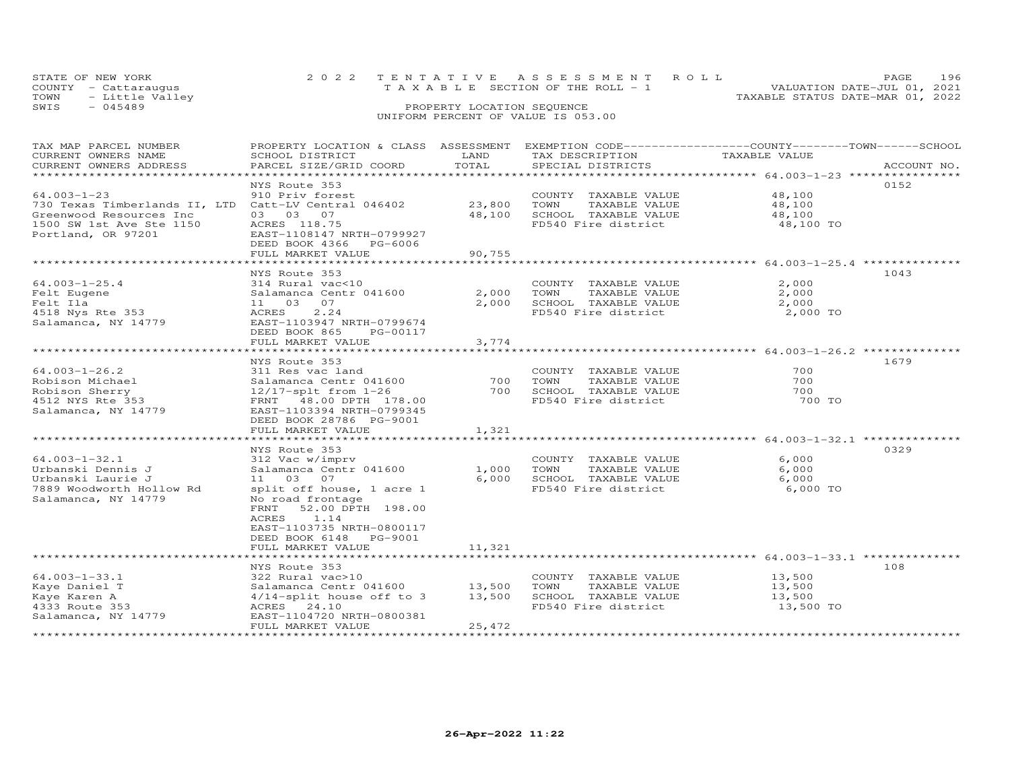|      | STATE OF NEW YORK    |  | 2022 TENTATIVE ASSESSMENT ROLL     |                                  | PAGE.                       | 196 |
|------|----------------------|--|------------------------------------|----------------------------------|-----------------------------|-----|
|      | COUNTY - Cattaraugus |  | TAXABLE SECTION OF THE ROLL - 1    |                                  | VALUATION DATE-JUL 01, 2021 |     |
|      | TOWN - Little Valley |  |                                    | TAXABLE STATUS DATE-MAR 01, 2022 |                             |     |
| SWIS | $-045489$            |  | PROPERTY LOCATION SEQUENCE         |                                  |                             |     |
|      |                      |  | UNIFORM PERCENT OF VALUE IS 053.00 |                                  |                             |     |

| TAX MAP PARCEL NUMBER<br>CURRENT OWNERS NAME<br>CURRENT OWNERS ADDRESS                                                                                 | PROPERTY LOCATION & CLASS ASSESSMENT<br>SCHOOL DISTRICT<br>PARCEL SIZE/GRID COORD                                                                                                                     | LAND<br>TOTAL           | EXEMPTION CODE------------------COUNTY-------TOWN------SCHOOL<br>TAX DESCRIPTION<br>SPECIAL DISTRICTS | TAXABLE VALUE                                                 | ACCOUNT NO. |
|--------------------------------------------------------------------------------------------------------------------------------------------------------|-------------------------------------------------------------------------------------------------------------------------------------------------------------------------------------------------------|-------------------------|-------------------------------------------------------------------------------------------------------|---------------------------------------------------------------|-------------|
| $64.003 - 1 - 23$<br>730 Texas Timberlands II, LTD Catt-LV Central 046402<br>Greenwood Resources Inc<br>1500 SW 1st Ave Ste 1150<br>Portland, OR 97201 | NYS Route 353<br>910 Priv forest<br>03 03 07<br>ACRES 118.75<br>EAST-1108147 NRTH-0799927                                                                                                             | 23,800<br>48,100        | COUNTY TAXABLE VALUE<br>TOWN<br>TAXABLE VALUE<br>SCHOOL TAXABLE VALUE<br>FD540 Fire district          | 48,100<br>48,100<br>48,100<br>48,100 TO                       | 0152        |
|                                                                                                                                                        | DEED BOOK 4366<br>PG-6006<br>FULL MARKET VALUE<br>**********************************                                                                                                                  | 90,755                  |                                                                                                       |                                                               |             |
| $64.003 - 1 - 25.4$<br>Felt Eugene<br>Felt Ila<br>4518 Nys Rte 353<br>Salamanca, NY 14779                                                              | NYS Route 353<br>314 Rural vac<10<br>Salamanca Centr 041600<br>11 03<br>07<br>2.24<br>ACRES<br>EAST-1103947 NRTH-0799674<br>DEED BOOK 865<br>PG-00117<br>FULL MARKET VALUE                            | 2,000<br>2,000<br>3,774 | COUNTY TAXABLE VALUE<br>TOWN<br>TAXABLE VALUE<br>SCHOOL TAXABLE VALUE<br>FD540 Fire district          | 2,000<br>2,000<br>2,000<br>2,000 TO                           | 1043        |
|                                                                                                                                                        | *******************                                                                                                                                                                                   |                         |                                                                                                       | ************************************64.003-1-26.2 *********** |             |
| $64.003 - 1 - 26.2$<br>Robison Michael<br>Robison Sherry<br>4512 NYS Rte 353<br>Salamanca, NY 14779                                                    | NYS Route 353<br>311 Res vac land<br>Salamanca Centr 041600<br>$12/17$ -splt from $1-26$<br>FRNT 48.00 DPTH 178.00<br>EAST-1103394 NRTH-0799345<br>DEED BOOK 28786 PG-9001<br>FULL MARKET VALUE       | 700<br>700<br>1,321     | COUNTY TAXABLE VALUE<br>TOWN<br>TAXABLE VALUE<br>SCHOOL TAXABLE VALUE<br>FD540 Fire district          | 700<br>700<br>700<br>700 TO                                   | 1679        |
|                                                                                                                                                        | *************************                                                                                                                                                                             |                         |                                                                                                       |                                                               |             |
| $64.003 - 1 - 32.1$<br>Urbanski Dennis J<br>Urbanski Laurie J<br>7889 Woodworth Hollow Rd<br>Salamanca, NY 14779                                       | NYS Route 353<br>312 Vac w/imprv<br>Salamanca Centr 041600<br>11 03<br>07<br>split off house, 1 acre 1<br>No road frontage<br>FRNT<br>52.00 DPTH 198.00<br>ACRES<br>1.14<br>EAST-1103735 NRTH-0800117 | 1,000<br>6,000          | COUNTY TAXABLE VALUE<br>TOWN<br>TAXABLE VALUE<br>SCHOOL TAXABLE VALUE<br>FD540 Fire district          | 6,000<br>6,000<br>6,000<br>6,000 TO                           | 0329        |
|                                                                                                                                                        | DEED BOOK 6148<br>PG-9001<br>FULL MARKET VALUE                                                                                                                                                        | 11,321                  |                                                                                                       |                                                               |             |
|                                                                                                                                                        |                                                                                                                                                                                                       |                         |                                                                                                       |                                                               |             |
| $64.003 - 1 - 33.1$<br>Kaye Daniel T<br>Kaye Karen A<br>4333 Route 353<br>Salamanca, NY 14779                                                          | NYS Route 353<br>322 Rural vac>10<br>Salamanca Centr 041600<br>$4/14$ -split house off to 3<br>ACRES 24.10<br>EAST-1104720 NRTH-0800381                                                               | 13,500<br>13,500        | COUNTY TAXABLE VALUE<br>TOWN<br>TAXABLE VALUE<br>SCHOOL TAXABLE VALUE<br>FD540 Fire district          | 13,500<br>13,500<br>13,500<br>13,500 TO                       | 108         |
|                                                                                                                                                        | FULL MARKET VALUE                                                                                                                                                                                     | 25,472                  |                                                                                                       |                                                               |             |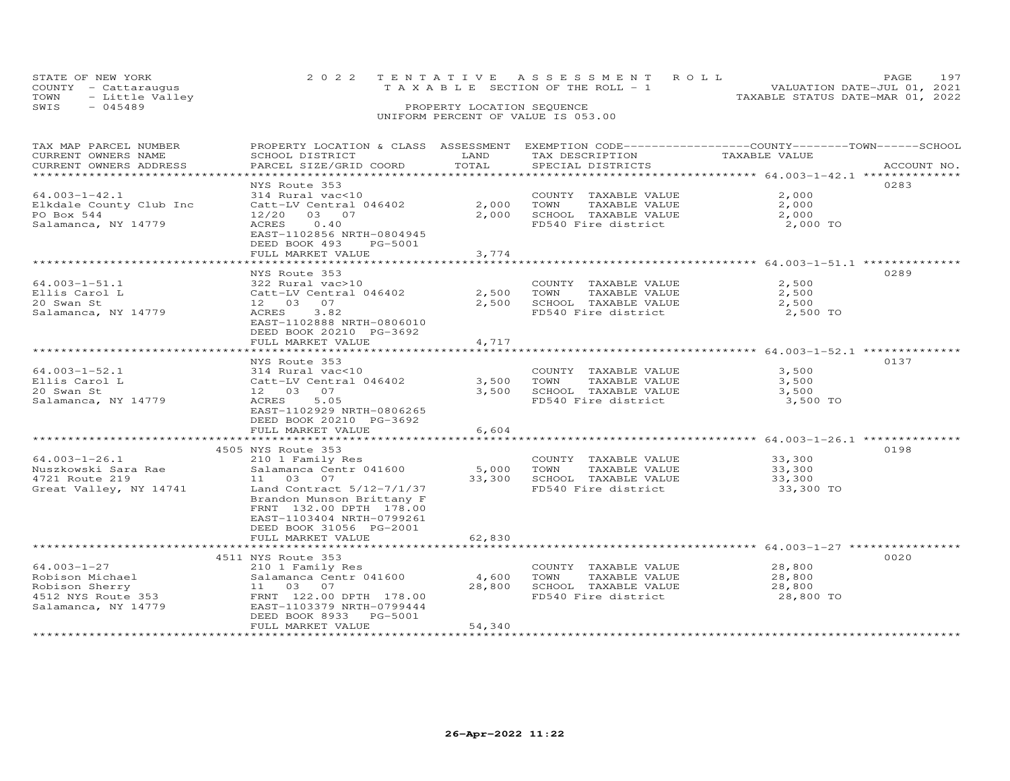| STATE OF NEW YORK       | 2022 TENTATIVE ASSESSMENT ROLL        | PAGE.                            |  |
|-------------------------|---------------------------------------|----------------------------------|--|
| COUNTY - Cattaraugus    | T A X A B L E SECTION OF THE ROLL - 1 | VALUATION DATE-JUL 01, 2021      |  |
| TOWN<br>- Little Valley |                                       | TAXABLE STATUS DATE-MAR 01, 2022 |  |
| SWIS<br>$-045489$       | PROPERTY LOCATION SEQUENCE            |                                  |  |

### UNIFORM PERCENT OF VALUE IS 053.00

| TAX MAP PARCEL NUMBER<br>CURRENT OWNERS NAME | PROPERTY LOCATION & CLASS ASSESSMENT EXEMPTION CODE----------------COUNTY-------TOWN-----SCHOOL<br>SCHOOL DISTRICT | LAND   | TAX DESCRIPTION       | TAXABLE VALUE                                  |             |
|----------------------------------------------|--------------------------------------------------------------------------------------------------------------------|--------|-----------------------|------------------------------------------------|-------------|
| CURRENT OWNERS ADDRESS                       | PARCEL SIZE/GRID COORD                                                                                             | TOTAL  | SPECIAL DISTRICTS     |                                                | ACCOUNT NO. |
|                                              |                                                                                                                    |        |                       |                                                |             |
|                                              | NYS Route 353                                                                                                      |        |                       |                                                | 0283        |
| $64.003 - 1 - 42.1$                          | 314 Rural vac<10                                                                                                   |        | COUNTY TAXABLE VALUE  | 2,000                                          |             |
| Elkdale County Club Inc                      | Catt-LV Central 046402                                                                                             | 2,000  | TOWN<br>TAXABLE VALUE | 2,000                                          |             |
| PO Box 544                                   | 12/20 03 07                                                                                                        | 2,000  | SCHOOL TAXABLE VALUE  | 2,000                                          |             |
|                                              |                                                                                                                    |        | FD540 Fire district   |                                                |             |
| Salamanca, NY 14779                          | 0.40<br>ACRES                                                                                                      |        |                       | 2,000 TO                                       |             |
|                                              | EAST-1102856 NRTH-0804945                                                                                          |        |                       |                                                |             |
|                                              | DEED BOOK 493<br>PG-5001                                                                                           |        |                       |                                                |             |
|                                              | FULL MARKET VALUE                                                                                                  | 3,774  |                       |                                                |             |
|                                              |                                                                                                                    |        |                       |                                                |             |
|                                              | NYS Route 353                                                                                                      |        |                       |                                                | 0289        |
| $64.003 - 1 - 51.1$                          | 322 Rural vac>10                                                                                                   |        | COUNTY TAXABLE VALUE  | 2,500                                          |             |
| Ellis Carol L                                | Catt-LV Central 046402                                                                                             | 2,500  | TAXABLE VALUE<br>TOWN | 2,500                                          |             |
| 20 Swan St                                   | 12 03 07                                                                                                           | 2,500  | SCHOOL TAXABLE VALUE  | 2,500                                          |             |
| Salamanca, NY 14779                          | ACRES<br>3.82                                                                                                      |        | FD540 Fire district   | 2,500 TO                                       |             |
|                                              | EAST-1102888 NRTH-0806010                                                                                          |        |                       |                                                |             |
|                                              | DEED BOOK 20210 PG-3692                                                                                            |        |                       |                                                |             |
|                                              | FULL MARKET VALUE                                                                                                  | 4,717  |                       |                                                |             |
|                                              |                                                                                                                    |        |                       | **************** 64.003-1-52.1 *************** |             |
|                                              | NYS Route 353                                                                                                      |        |                       |                                                | 0137        |
| $64.003 - 1 - 52.1$                          | 314 Rural vac<10                                                                                                   |        | COUNTY TAXABLE VALUE  | 3,500                                          |             |
| Ellis Carol L                                | Catt-LV Central 046402                                                                                             | 3,500  | TOWN<br>TAXABLE VALUE | 3,500                                          |             |
| 20 Swan St                                   | 12 03 07                                                                                                           | 3,500  | SCHOOL TAXABLE VALUE  | 3,500                                          |             |
| Salamanca, NY 14779                          | ACRES<br>5.05                                                                                                      |        | FD540 Fire district   | 3,500 TO                                       |             |
|                                              | EAST-1102929 NRTH-0806265                                                                                          |        |                       |                                                |             |
|                                              | DEED BOOK 20210 PG-3692                                                                                            |        |                       |                                                |             |
|                                              | FULL MARKET VALUE                                                                                                  | 6,604  |                       |                                                |             |
|                                              |                                                                                                                    |        |                       |                                                |             |
|                                              | 4505 NYS Route 353                                                                                                 |        |                       |                                                | 0198        |
| $64.003 - 1 - 26.1$                          | 210 1 Family Res                                                                                                   |        | COUNTY TAXABLE VALUE  | 33,300                                         |             |
| Nuszkowski Sara Rae                          | Salamanca Centr 041600                                                                                             | 5,000  | TOWN<br>TAXABLE VALUE | 33,300                                         |             |
| 4721 Route 219                               | 11 03 07                                                                                                           | 33,300 | SCHOOL TAXABLE VALUE  | 33,300                                         |             |
| Great Valley, NY 14741                       | Land Contract 5/12-7/1/37                                                                                          |        | FD540 Fire district   | 33,300 TO                                      |             |
|                                              | Brandon Munson Brittany F                                                                                          |        |                       |                                                |             |
|                                              | FRNT 132.00 DPTH 178.00                                                                                            |        |                       |                                                |             |
|                                              | EAST-1103404 NRTH-0799261                                                                                          |        |                       |                                                |             |
|                                              | DEED BOOK 31056 PG-2001                                                                                            |        |                       |                                                |             |
|                                              | FULL MARKET VALUE                                                                                                  | 62,830 |                       |                                                |             |
|                                              | *************************                                                                                          |        |                       |                                                |             |
|                                              | 4511 NYS Route 353                                                                                                 |        |                       |                                                | 0020        |
| 64.003-1-27                                  | 210 1 Family Res                                                                                                   |        | COUNTY TAXABLE VALUE  | 28,800                                         |             |
| Robison Michael                              | Salamanca Centr 041600                                                                                             | 4,600  | TOWN<br>TAXABLE VALUE | 28,800                                         |             |
| Robison Sherry                               | 11 03 07                                                                                                           | 28,800 | SCHOOL TAXABLE VALUE  | 28,800                                         |             |
| 4512 NYS Route 353                           | FRNT 122.00 DPTH 178.00                                                                                            |        | FD540 Fire district   | 28,800 TO                                      |             |
| Salamanca, NY 14779                          | EAST-1103379 NRTH-0799444                                                                                          |        |                       |                                                |             |
|                                              | DEED BOOK 8933 PG-5001                                                                                             |        |                       |                                                |             |
|                                              | FULL MARKET VALUE                                                                                                  | 54,340 |                       |                                                |             |
|                                              |                                                                                                                    |        |                       |                                                |             |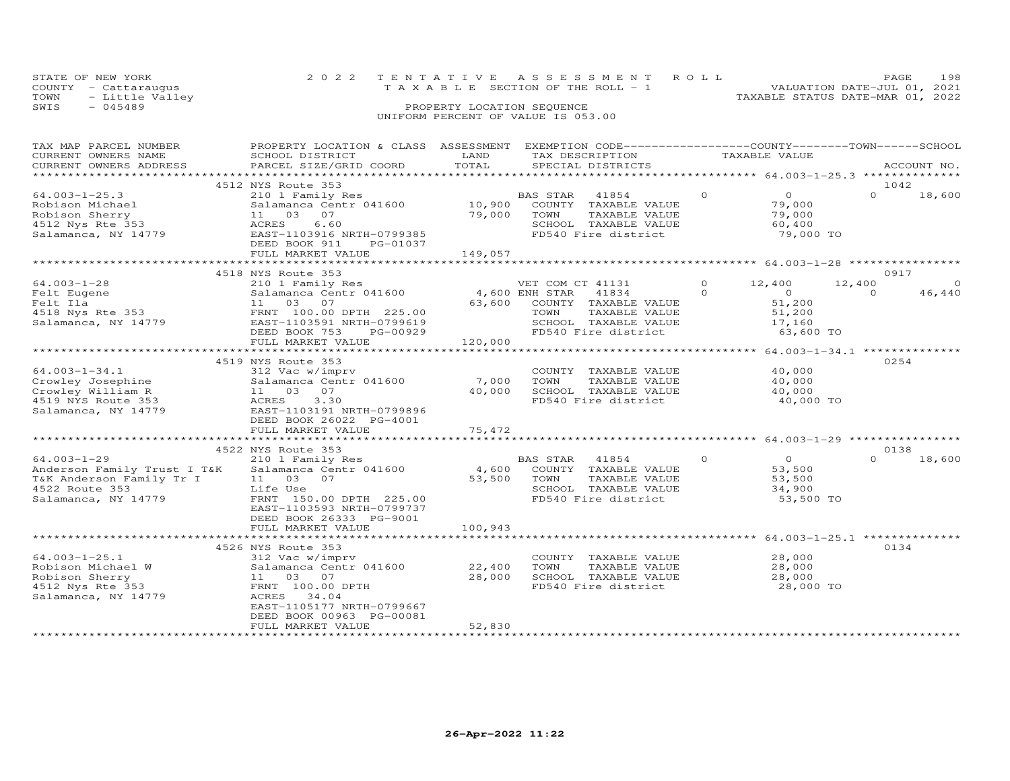| STATE OF NEW YORK       | 2022 TENTATIVE ASSESSMENT ROLL     |                                  | PAGE.                       | 198 |
|-------------------------|------------------------------------|----------------------------------|-----------------------------|-----|
| COUNTY - Cattarauqus    | TAXABLE SECTION OF THE ROLL - 1    |                                  | VALUATION DATE-JUL 01, 2021 |     |
| TOWN<br>- Little Valley |                                    | TAXABLE STATUS DATE-MAR 01, 2022 |                             |     |
| SWIS<br>$-045489$       | PROPERTY LOCATION SEQUENCE         |                                  |                             |     |
|                         | UNIFORM PERCENT OF VALUE IS 053.00 |                                  |                             |     |

| TAX MAP PARCEL NUMBER                  | PROPERTY LOCATION & CLASS ASSESSMENT          |                | EXEMPTION CODE------------------COUNTY-------TOWN-----SCHOOL |          |                  |          |             |
|----------------------------------------|-----------------------------------------------|----------------|--------------------------------------------------------------|----------|------------------|----------|-------------|
| CURRENT OWNERS NAME                    | SCHOOL DISTRICT                               | LAND           | TAX DESCRIPTION                                              |          | TAXABLE VALUE    |          |             |
| CURRENT OWNERS ADDRESS                 | PARCEL SIZE/GRID COORD                        | TOTAL          | SPECIAL DISTRICTS                                            |          |                  |          | ACCOUNT NO. |
| ****************                       |                                               |                |                                                              |          |                  |          |             |
|                                        | 4512 NYS Route 353                            |                |                                                              |          |                  | 1042     |             |
| $64.003 - 1 - 25.3$                    | 210 1 Family Res                              |                | BAS STAR<br>41854                                            | $\Omega$ | $\overline{O}$   | $\Omega$ | 18,600      |
| Robison Michael                        | Salamanca Centr 041600                        | 10,900         | COUNTY<br>TAXABLE VALUE                                      |          | 79,000           |          |             |
| Robison Sherry                         | 11 03<br>07                                   | 79,000         | TOWN<br>TAXABLE VALUE                                        |          | 79,000           |          |             |
| 4512 Nys Rte 353                       | ACRES<br>6.60                                 |                | SCHOOL TAXABLE VALUE                                         |          | 60,400           |          |             |
| Salamanca, NY 14779                    | EAST-1103916 NRTH-0799385                     |                | FD540 Fire district                                          |          | 79,000 TO        |          |             |
|                                        | DEED BOOK 911<br>PG-01037                     |                |                                                              |          |                  |          |             |
|                                        | FULL MARKET VALUE                             | 149,057        |                                                              |          |                  |          |             |
|                                        |                                               |                |                                                              |          |                  |          |             |
|                                        | 4518 NYS Route 353                            |                |                                                              |          |                  | 0917     |             |
| $64.003 - 1 - 28$                      | 210 1 Family Res                              |                | VET COM CT 41131                                             | $\circ$  | 12,400<br>12,400 |          | $\Omega$    |
| Felt Eugene                            | Salamanca Centr 041600                        | 4,600 ENH STAR | 41834                                                        | $\Omega$ | $\overline{0}$   | $\Omega$ | 46,440      |
| u iid<br>4518 Nys Rte 353<br>Salamance | 11 03<br>07                                   | 63,600         | COUNTY TAXABLE VALUE                                         |          | 51,200           |          |             |
|                                        | FRNT 100.00 DPTH 225.00                       |                | TOWN<br>TAXABLE VALUE                                        |          | 51,200           |          |             |
| Salamanca, NY 14779                    | EAST-1103591 NRTH-0799619                     |                | SCHOOL TAXABLE VALUE                                         |          | 17,160           |          |             |
|                                        | DEED BOOK 753<br>PG-00929                     |                | FD540 Fire district                                          |          | 63,600 TO        |          |             |
|                                        | FULL MARKET VALUE                             | 120,000        |                                                              |          |                  |          |             |
|                                        |                                               |                |                                                              |          |                  |          |             |
|                                        | 4519 NYS Route 353                            |                |                                                              |          |                  | 0254     |             |
| $64.003 - 1 - 34.1$                    | 312 Vac w/imprv                               |                | COUNTY TAXABLE VALUE                                         |          | 40,000           |          |             |
| Crowley Josephine                      | Salamanca Centr 041600                        | 7,000          | TOWN<br>TAXABLE VALUE                                        |          | 40,000           |          |             |
| Crowley William R                      | 07<br>11 03                                   | 40,000         | SCHOOL TAXABLE VALUE                                         |          | 40,000           |          |             |
| 4519 NYS Route 353                     | 3.30<br>ACRES                                 |                | FD540 Fire district                                          |          | 40,000 TO        |          |             |
| Salamanca, NY 14779                    | EAST-1103191 NRTH-0799896                     |                |                                                              |          |                  |          |             |
|                                        | DEED BOOK 26022 PG-4001                       |                |                                                              |          |                  |          |             |
|                                        | FULL MARKET VALUE                             | 75,472         |                                                              |          |                  |          |             |
|                                        | *************************                     |                |                                                              |          |                  |          |             |
|                                        | 4522 NYS Route 353                            |                |                                                              |          |                  | 0138     |             |
| $64.003 - 1 - 29$                      | 210 1 Family Res                              |                | BAS STAR<br>41854                                            | $\circ$  | $\circ$          | $\Omega$ | 18,600      |
| Anderson Family Trust I T&K            | Salamanca Centr 041600                        | 4,600          | COUNTY<br>TAXABLE VALUE                                      |          | 53,500           |          |             |
| T&K Anderson Family Tr I               | 11<br>03<br>07                                | 53,500         | TOWN<br>TAXABLE VALUE                                        |          | 53,500           |          |             |
| 4522 Route 353                         | Life Use                                      |                | SCHOOL TAXABLE VALUE                                         |          | 34,900           |          |             |
| Salamanca, NY 14779                    | FRNT 150.00 DPTH 225.00                       |                | FD540 Fire district                                          |          | 53,500 TO        |          |             |
|                                        | EAST-1103593 NRTH-0799737                     |                |                                                              |          |                  |          |             |
|                                        | DEED BOOK 26333 PG-9001                       |                |                                                              |          |                  |          |             |
|                                        | FULL MARKET VALUE                             | 100,943        |                                                              |          |                  |          |             |
|                                        |                                               |                |                                                              |          |                  |          |             |
|                                        | 4526 NYS Route 353                            |                |                                                              |          |                  | 0134     |             |
| $64.003 - 1 - 25.1$                    | 312 Vac w/imprv                               |                | COUNTY TAXABLE VALUE                                         |          | 28,000           |          |             |
| Robison Michael W                      | Salamanca Centr 041600                        | 22,400         | TOWN<br>TAXABLE VALUE                                        |          | 28,000           |          |             |
| Robison Sherry                         | 11 03 07                                      | 28,000         | SCHOOL TAXABLE VALUE                                         |          | 28,000           |          |             |
| 4512 Nys Rte 353                       | FRNT 100.00 DPTH                              |                | FD540 Fire district                                          |          | 28,000 TO        |          |             |
| Salamanca, NY 14779                    | ACRES<br>34.04                                |                |                                                              |          |                  |          |             |
|                                        | EAST-1105177 NRTH-0799667                     |                |                                                              |          |                  |          |             |
|                                        |                                               |                |                                                              |          |                  |          |             |
|                                        | DEED BOOK 00963 PG-00081<br>FULL MARKET VALUE | 52,830         |                                                              |          |                  |          |             |
|                                        |                                               |                |                                                              |          |                  |          |             |
|                                        |                                               |                |                                                              |          |                  |          |             |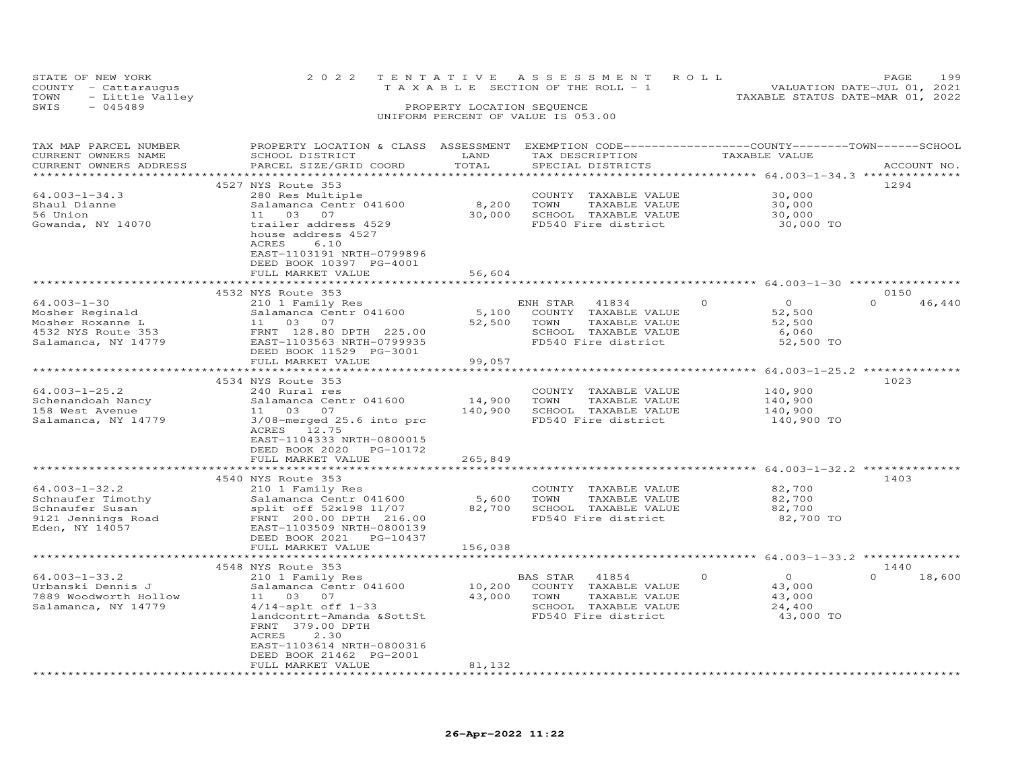| STATE OF NEW YORK       |  |  |                                    |  |  |  | 2022 TENTATIVE ASSESSMENT ROLL |                                  | PAGE.                       | 199 |
|-------------------------|--|--|------------------------------------|--|--|--|--------------------------------|----------------------------------|-----------------------------|-----|
| COUNTY - Cattaraugus    |  |  | TAXABLE SECTION OF THE ROLL - 1    |  |  |  |                                |                                  | VALUATION DATE-JUL 01, 2021 |     |
| TOWN<br>- Little Valley |  |  |                                    |  |  |  |                                | TAXABLE STATUS DATE-MAR 01, 2022 |                             |     |
| SWIS<br>$-045489$       |  |  | PROPERTY LOCATION SEQUENCE         |  |  |  |                                |                                  |                             |     |
|                         |  |  | UNIFORM PERCENT OF VALUE IS 053.00 |  |  |  |                                |                                  |                             |     |

| TAX MAP PARCEL NUMBER  | PROPERTY LOCATION & CLASS ASSESSMENT                  |                             | EXEMPTION CODE------------------COUNTY-------TOWN-----SCHOOL   |                                                 |                    |
|------------------------|-------------------------------------------------------|-----------------------------|----------------------------------------------------------------|-------------------------------------------------|--------------------|
| CURRENT OWNERS NAME    | SCHOOL DISTRICT                                       | LAND                        | TAX DESCRIPTION                                                | TAXABLE VALUE                                   |                    |
| CURRENT OWNERS ADDRESS | PARCEL SIZE/GRID COORD                                | TOTAL                       | SPECIAL DISTRICTS                                              |                                                 | ACCOUNT NO.        |
|                        |                                                       |                             |                                                                | ***************** 64.003-1-34.3 *************** |                    |
|                        | 4527 NYS Route 353                                    |                             |                                                                |                                                 | 1294               |
| $64.003 - 1 - 34.3$    | 280 Res Multiple                                      |                             | COUNTY TAXABLE VALUE                                           | 30,000                                          |                    |
| Shaul Dianne           | Salamanca Centr 041600                                | 8,200                       | TOWN<br>TAXABLE VALUE                                          | 30,000                                          |                    |
| 56 Union               | 11 03 07                                              | 30,000                      | SCHOOL TAXABLE VALUE                                           | 30,000                                          |                    |
| Gowanda, NY 14070      | trailer address 4529                                  |                             | FD540 Fire district                                            | 30,000 TO                                       |                    |
|                        | house address 4527                                    |                             |                                                                |                                                 |                    |
|                        | ACRES<br>6.10                                         |                             |                                                                |                                                 |                    |
|                        | EAST-1103191 NRTH-0799896                             |                             |                                                                |                                                 |                    |
|                        |                                                       |                             |                                                                |                                                 |                    |
|                        | DEED BOOK 10397 PG-4001                               |                             |                                                                |                                                 |                    |
|                        | FULL MARKET VALUE<br>******************************** | 56,604                      |                                                                |                                                 |                    |
|                        |                                                       |                             |                                                                |                                                 |                    |
|                        | 4532 NYS Route 353                                    |                             |                                                                |                                                 | 0150               |
| $64.003 - 1 - 30$      | 210 1 Family Res                                      |                             | ENH STAR<br>41834                                              | $\Omega$<br>$\Omega$                            | $\Omega$<br>46,440 |
| Mosher Reginald        | Salamanca Centr 041600                                | 5,100                       | COUNTY TAXABLE VALUE                                           | 52,500                                          |                    |
| Mosher Roxanne L       | 11 03 07                                              | 52,500                      | TOWN<br>TAXABLE VALUE                                          | 52,500                                          |                    |
| 4532 NYS Route 353     | FRNT 128.80 DPTH 225.00                               |                             | SCHOOL TAXABLE VALUE                                           | 6,060                                           |                    |
| Salamanca, NY 14779    | EAST-1103563 NRTH-0799935                             |                             | FD540 Fire district                                            | 52,500 TO                                       |                    |
|                        | DEED BOOK 11529 PG-3001                               |                             |                                                                |                                                 |                    |
|                        | FULL MARKET VALUE                                     | 99,057                      |                                                                |                                                 |                    |
|                        | **************************                            | *************               |                                                                |                                                 |                    |
|                        | 4534 NYS Route 353                                    |                             |                                                                |                                                 | 1023               |
| $64.003 - 1 - 25.2$    | 240 Rural res                                         |                             | COUNTY TAXABLE VALUE                                           | 140,900                                         |                    |
| Schenandoah Nancy      | Salamanca Centr 041600                                | 14,900                      | TOWN<br>TAXABLE VALUE                                          | 140,900                                         |                    |
| 158 West Avenue        | 11 03 07                                              | 140,900                     | SCHOOL TAXABLE VALUE                                           | 140,900                                         |                    |
| Salamanca, NY 14779    | 3/08-merged 25.6 into prc                             |                             | FD540 Fire district                                            | 140,900 TO                                      |                    |
|                        | ACRES 12.75                                           |                             |                                                                |                                                 |                    |
|                        | EAST-1104333 NRTH-0800015                             |                             |                                                                |                                                 |                    |
|                        | DEED BOOK 2020 PG-10172                               |                             |                                                                |                                                 |                    |
|                        | FULL MARKET VALUE                                     | 265,849                     |                                                                |                                                 |                    |
|                        |                                                       | * * * * * * * * * * * * * * | ********************************** 64.003–1–32.2 ************* |                                                 |                    |
|                        | 4540 NYS Route 353                                    |                             |                                                                |                                                 | 1403               |
| $64.003 - 1 - 32.2$    | 210 1 Family Res                                      |                             | COUNTY TAXABLE VALUE                                           | 82,700                                          |                    |
| Schnaufer Timothy      |                                                       | 5,600                       | TOWN<br>TAXABLE VALUE                                          | 82,700                                          |                    |
| Schnaufer Susan        | Salamanca Centr 041600                                | 82,700                      |                                                                | 82,700                                          |                    |
|                        | split off 52x198 11/07                                |                             | SCHOOL TAXABLE VALUE                                           |                                                 |                    |
| 9121 Jennings Road     | FRNT 200.00 DPTH 216.00                               |                             | FD540 Fire district                                            | 82,700 TO                                       |                    |
| Eden, NY 14057         | EAST-1103509 NRTH-0800139                             |                             |                                                                |                                                 |                    |
|                        | DEED BOOK 2021 PG-10437                               |                             |                                                                |                                                 |                    |
|                        | FULL MARKET VALUE                                     | 156,038                     |                                                                |                                                 |                    |
|                        |                                                       |                             |                                                                |                                                 |                    |
|                        | 4548 NYS Route 353                                    |                             |                                                                |                                                 | 1440               |
| $64.003 - 1 - 33.2$    | 210 1 Family Res                                      |                             | BAS STAR 41854                                                 | $\Omega$<br>$\overline{0}$                      | $\Omega$<br>18,600 |
| Urbanski Dennis J      | Salamanca Centr 041600                                | 10,200                      | COUNTY TAXABLE VALUE                                           | 43,000                                          |                    |
| 7889 Woodworth Hollow  | 11 03 07                                              | 43,000                      | TOWN<br>TAXABLE VALUE                                          | 43,000                                          |                    |
| Salamanca, NY 14779    | $4/14$ -splt off $1-33$                               |                             | SCHOOL TAXABLE VALUE                                           | 24,400                                          |                    |
|                        | landcontrt-Amanda &SottSt                             |                             | FD540 Fire district                                            | 43,000 TO                                       |                    |
|                        | FRNT 379.00 DPTH                                      |                             |                                                                |                                                 |                    |
|                        | ACRES<br>2.30                                         |                             |                                                                |                                                 |                    |
|                        | EAST-1103614 NRTH-0800316                             |                             |                                                                |                                                 |                    |
|                        | DEED BOOK 21462 PG-2001                               |                             |                                                                |                                                 |                    |
|                        | FULL MARKET VALUE                                     | 81,132                      |                                                                |                                                 |                    |
|                        |                                                       |                             |                                                                |                                                 |                    |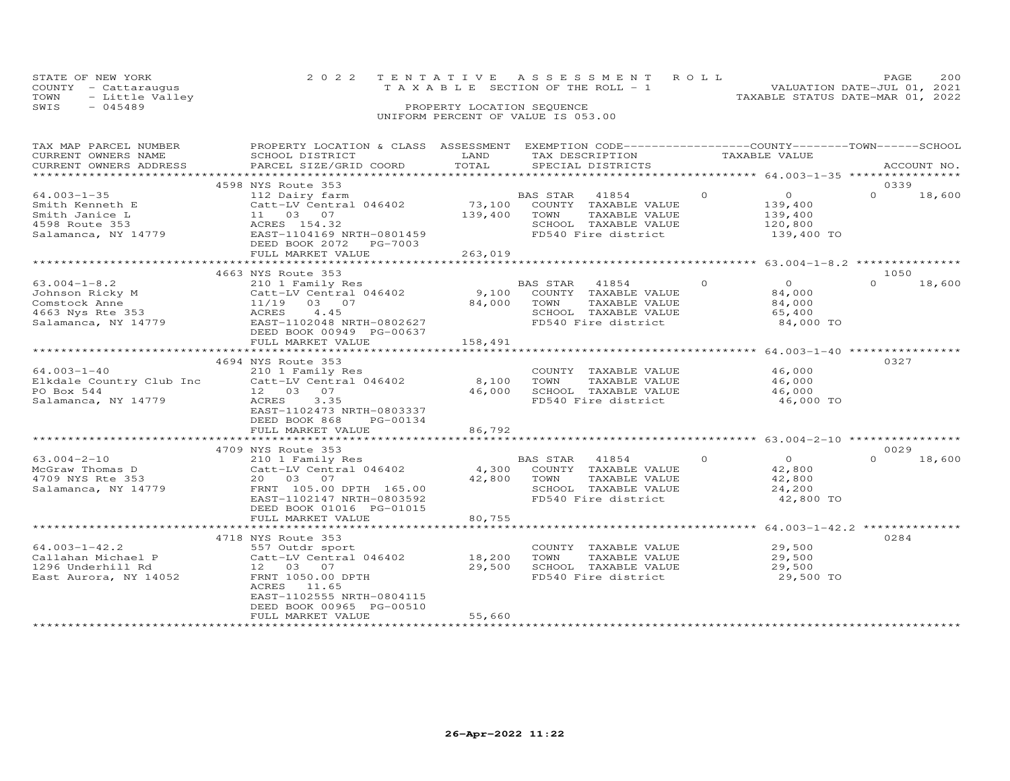| STATE OF NEW YORK       | 2022 TENTATIVE ASSESSMENT ROLL        | PAGE.                            | 200 |
|-------------------------|---------------------------------------|----------------------------------|-----|
| COUNTY - Cattarauqus    | T A X A B L E SECTION OF THE ROLL - 1 | VALUATION DATE-JUL 01, 2021      |     |
| TOWN<br>- Little Valley |                                       | TAXABLE STATUS DATE-MAR 01, 2022 |     |
| SWIS<br>- 045489        | PROPERTY LOCATION SEQUENCE            |                                  |     |
|                         | UNIFORM PERCENT OF VALUE IS 053.00    |                                  |     |

| TAX MAP PARCEL NUMBER<br>CURRENT OWNERS NAME | PROPERTY LOCATION & CLASS ASSESSMENT<br>SCHOOL DISTRICT | LAND                                 | EXEMPTION CODE-----------------COUNTY-------TOWN------SCHOOL<br>TAX DESCRIPTION |          | TAXABLE VALUE                                      |          |             |
|----------------------------------------------|---------------------------------------------------------|--------------------------------------|---------------------------------------------------------------------------------|----------|----------------------------------------------------|----------|-------------|
| CURRENT OWNERS ADDRESS                       | PARCEL SIZE/GRID COORD                                  | TOTAL                                | SPECIAL DISTRICTS                                                               |          |                                                    |          | ACCOUNT NO. |
| ******************                           |                                                         |                                      |                                                                                 |          |                                                    |          |             |
|                                              | 4598 NYS Route 353                                      |                                      |                                                                                 |          |                                                    | 0339     |             |
| $64.003 - 1 - 35$                            | 112 Dairy farm                                          |                                      | BAS STAR<br>41854                                                               | $\Omega$ | $\overline{0}$                                     | $\Omega$ | 18,600      |
| Smith Kenneth E                              | Catt-LV Central 046402                                  | 73,100                               | COUNTY TAXABLE VALUE                                                            |          | 139,400                                            |          |             |
| Smith Janice L                               | 11 03 07                                                | 139,400                              | TOWN<br>TAXABLE VALUE                                                           |          | 139,400                                            |          |             |
| 4598 Route 353                               | ACRES 154.32                                            |                                      | SCHOOL TAXABLE VALUE                                                            |          | 120,800                                            |          |             |
| Salamanca, NY 14779                          | EAST-1104169 NRTH-0801459                               |                                      | FD540 Fire district                                                             |          | 139,400 TO                                         |          |             |
|                                              | DEED BOOK 2072<br>PG-7003                               |                                      |                                                                                 |          |                                                    |          |             |
|                                              | FULL MARKET VALUE                                       | 263,019                              |                                                                                 |          |                                                    |          |             |
|                                              |                                                         |                                      |                                                                                 |          |                                                    |          |             |
|                                              | 4663 NYS Route 353                                      |                                      |                                                                                 |          |                                                    | 1050     |             |
| $63.004 - 1 - 8.2$                           | 210 1 Family Res                                        |                                      | BAS STAR<br>41854                                                               | $\Omega$ | $\Omega$                                           | $\Omega$ | 18,600      |
| Johnson Ricky M                              | Catt-LV Central 046402                                  | 9,100                                | COUNTY TAXABLE VALUE                                                            |          | 84,000                                             |          |             |
|                                              |                                                         | 84,000                               | TOWN<br>TAXABLE VALUE                                                           |          |                                                    |          |             |
| Comstock Anne                                | 11/19 03 07                                             |                                      |                                                                                 |          | 84,000                                             |          |             |
| 4663 Nys Rte 353                             | ACRES<br>4.45                                           |                                      | SCHOOL TAXABLE VALUE                                                            |          | 65,400                                             |          |             |
| Salamanca, NY 14779                          | EAST-1102048 NRTH-0802627                               |                                      | FD540 Fire district                                                             |          | 84,000 TO                                          |          |             |
|                                              | DEED BOOK 00949 PG-00637                                |                                      |                                                                                 |          |                                                    |          |             |
|                                              | FULL MARKET VALUE                                       | 158,491<br>************************* |                                                                                 |          |                                                    |          |             |
|                                              | *************************                               |                                      |                                                                                 |          | ******************** 64.003-1-40 *****             |          |             |
|                                              | 4694 NYS Route 353                                      |                                      |                                                                                 |          |                                                    | 0327     |             |
| $64.003 - 1 - 40$                            | 210 1 Family Res                                        |                                      | COUNTY TAXABLE VALUE                                                            |          | 46,000                                             |          |             |
| Elkdale Country Club Inc                     | Catt-LV Central 046402                                  | 8,100                                | TOWN<br>TAXABLE VALUE                                                           |          | 46,000                                             |          |             |
| PO Box 544                                   | 12 03 07                                                | 46,000                               | SCHOOL TAXABLE VALUE                                                            |          | 46,000                                             |          |             |
| Salamanca, NY 14779                          | ACRES<br>3.35                                           |                                      | FD540 Fire district                                                             |          | 46,000 TO                                          |          |             |
|                                              | EAST-1102473 NRTH-0803337                               |                                      |                                                                                 |          |                                                    |          |             |
|                                              | DEED BOOK 868<br>PG-00134                               |                                      |                                                                                 |          |                                                    |          |             |
|                                              | FULL MARKET VALUE                                       | 86,792                               |                                                                                 |          |                                                    |          |             |
|                                              |                                                         |                                      |                                                                                 |          |                                                    |          |             |
|                                              | 4709 NYS Route 353                                      |                                      |                                                                                 |          |                                                    | 0029     |             |
| $63.004 - 2 - 10$                            | 210 1 Family Res                                        |                                      | BAS STAR<br>41854                                                               | $\circ$  | $\overline{O}$                                     | $\Omega$ | 18,600      |
| McGraw Thomas D                              | Catt-LV Central 046402                                  | 4,300                                | COUNTY TAXABLE VALUE                                                            |          | 42,800                                             |          |             |
| 4709 NYS Rte 353                             | 20 03 07                                                | 42,800                               | TOWN<br>TAXABLE VALUE                                                           |          | 42,800                                             |          |             |
| Salamanca, NY 14779                          | FRNT 105.00 DPTH 165.00                                 |                                      | SCHOOL TAXABLE VALUE                                                            |          | 24,200                                             |          |             |
|                                              | EAST-1102147 NRTH-0803592                               |                                      | FD540 Fire district                                                             |          | 42,800 TO                                          |          |             |
|                                              | DEED BOOK 01016 PG-01015                                |                                      |                                                                                 |          |                                                    |          |             |
|                                              | FULL MARKET VALUE                                       | 80,755                               |                                                                                 |          |                                                    |          |             |
|                                              | ************************                                | ************                         |                                                                                 |          | ******************** 64.003-1-42.2 *************** |          |             |
|                                              | 4718 NYS Route 353                                      |                                      |                                                                                 |          |                                                    | 0284     |             |
| $64.003 - 1 - 42.2$                          | 557 Outdr sport                                         |                                      | COUNTY TAXABLE VALUE                                                            |          | 29,500                                             |          |             |
| Callahan Michael P                           | Catt-LV Central 046402                                  | 18,200                               | TOWN<br>TAXABLE VALUE                                                           |          | 29,500                                             |          |             |
| 1296 Underhill Rd                            | 12 03 07                                                | 29,500                               | SCHOOL TAXABLE VALUE                                                            |          | 29,500                                             |          |             |
| East Aurora, NY 14052                        | FRNT 1050.00 DPTH                                       |                                      | FD540 Fire district                                                             |          | 29,500 TO                                          |          |             |
|                                              | ACRES 11.65                                             |                                      |                                                                                 |          |                                                    |          |             |
|                                              | EAST-1102555 NRTH-0804115                               |                                      |                                                                                 |          |                                                    |          |             |
|                                              |                                                         |                                      |                                                                                 |          |                                                    |          |             |
|                                              | DEED BOOK 00965 PG-00510                                |                                      |                                                                                 |          |                                                    |          |             |
|                                              | FULL MARKET VALUE                                       | 55,660                               |                                                                                 |          |                                                    |          |             |
|                                              |                                                         |                                      |                                                                                 |          |                                                    |          |             |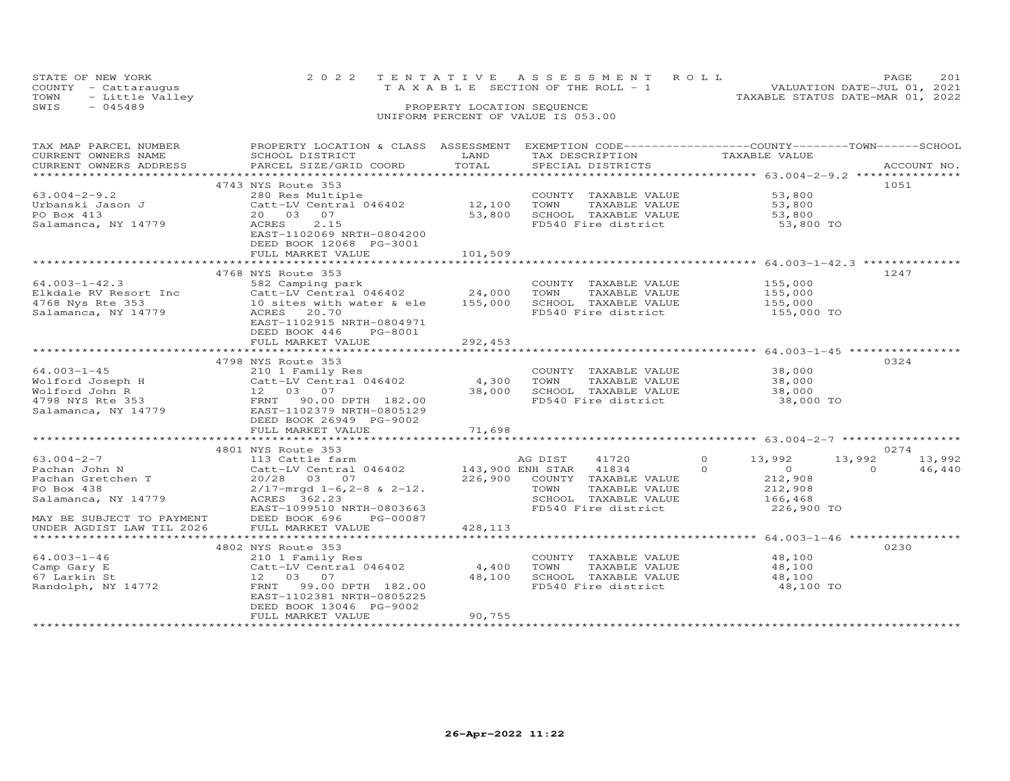| STATE OF NEW YORK    | 2022 TENTATIVE ASSESSMENT ROLL     | PAGE.                            | 2.01 |
|----------------------|------------------------------------|----------------------------------|------|
| COUNTY - Cattaraugus | TAXABLE SECTION OF THE ROLL - 1    | VALUATION DATE-JUL 01, 2021      |      |
| TOWN - Little Valley |                                    | TAXABLE STATUS DATE-MAR 01, 2022 |      |
| SWIS<br>- 045489     | PROPERTY LOCATION SEQUENCE         |                                  |      |
|                      | UNIFORM PERCENT OF VALUE IS 053.00 |                                  |      |

### TAX MAP PARCEL NUMBER PROPERTY LOCATION & CLASS ASSESSMENT EXEMPTION CODE------------------COUNTY--------TOWN------SCHOOL CURRENT OWNERS NAME SCHOOL DISTRICT LAND TAX DESCRIPTION TAXABLE VALUE CURRENT OWNERS ADDRESS PARCEL SIZE/GRID COORD TOTAL SPECIAL DISTRICTS ACCOUNT NO. \*\*\*\*\*\*\*\*\*\*\*\*\*\*\*\*\*\*\*\*\*\*\*\*\*\*\*\*\*\*\*\*\*\*\*\*\*\*\*\*\*\*\*\*\*\*\*\*\*\*\*\*\*\*\*\*\*\*\*\*\*\*\*\*\*\*\*\*\*\*\*\*\*\*\*\*\*\*\*\*\*\*\*\*\*\*\*\*\*\*\*\*\*\*\*\*\*\*\*\*\*\*\* 63.004-2-9.2 \*\*\*\*\*\*\*\*\*\*\*\*\*\*\* 4743 NYS Route 353 105163.004-2-9.2 280 Res Multiple COUNTY TAXABLE VALUE 53,800Urbanski Jason J Catt-LV Central 046402 12,100 TOWN TAXABLE VALUE 53,800PO Box 413 20 03 07 53,800 SCHOOL TAXABLE VALUE 53,800Salamanca, NY 14779 ACRES 2.15 FD540 Fire district 53,800 TO53,800 53,800 53,800 TO EAST-1102069 NRTH-0804200 DEED BOOK 12068 PG-3001FULL MARKET VALUE 101,509 \*\*\*\*\*\*\*\*\*\*\*\*\*\*\*\*\*\*\*\*\*\*\*\*\*\*\*\*\*\*\*\*\*\*\*\*\*\*\*\*\*\*\*\*\*\*\*\*\*\*\*\*\*\*\*\*\*\*\*\*\*\*\*\*\*\*\*\*\*\*\*\*\*\*\*\*\*\*\*\*\*\*\*\*\*\*\*\*\*\*\*\*\*\*\*\*\*\*\*\*\*\*\* 64.003-1-42.3 \*\*\*\*\*\*\*\*\*\*\*\*\*\* 4768 NYS Route 353 124764.003-1-42.3 582 Camping park COUNTY TAXABLE VALUE 155,000 Elkdale RV Resort Inc Catt-LV Central 046402 24,000 TOWN TAXABLE VALUE 155,000 4768 Nys Rte 353 10 sites with water & ele 155,000 SCHOOL TAXABLE VALUE 155,000155,000 TO Salamanca, NY 14779 ACRES 20.70 FD540 Fire district 155,000 TO EAST-1102915 NRTH-0804971 DEED BOOK 446 PG-8001 FULL MARKET VALUE 292,453 \*\*\*\*\*\*\*\*\*\*\*\*\*\*\*\*\*\*\*\*\*\*\*\*\*\*\*\*\*\*\*\*\*\*\*\*\*\*\*\*\*\*\*\*\*\*\*\*\*\*\*\*\*\*\*\*\*\*\*\*\*\*\*\*\*\*\*\*\*\*\*\*\*\*\*\*\*\*\*\*\*\*\*\*\*\*\*\*\*\*\*\*\*\*\*\*\*\*\*\*\*\*\* 64.003-1-45 \*\*\*\*\*\*\*\*\*\*\*\*\*\*\*\* 4798 NYS Route 353 032464.003-1-45 210 1 Family Res COUNTY TAXABLE VALUE 38,000Wolford Joseph H Catt-LV Central 046402 4,300 TOWN TAXABLE VALUE 38,000Wolford John R 12 03 07 38,000 SCHOOL TAXABLE VALUE 38,0004798 NYS Rte 353 FRNT 90.00 DPTH 182.00 FD540 Fire district 38,000 TOSalamanca, NY 14779 EAST-1102379 NRTH-0805129 DEED BOOK 26949 PG-9002 ֖֚֚֚֚֚֚֚֚֚֬ 38,000 TO FULL MARKET VALUE 71,698 \*\*\*\*\*\*\*\*\*\*\*\*\*\*\*\*\*\*\*\*\*\*\*\*\*\*\*\*\*\*\*\*\*\*\*\*\*\*\*\*\*\*\*\*\*\*\*\*\*\*\*\*\*\*\*\*\*\*\*\*\*\*\*\*\*\*\*\*\*\*\*\*\*\*\*\*\*\*\*\*\*\*\*\*\*\*\*\*\*\*\*\*\*\*\*\*\*\*\*\*\*\*\* 63.004-2-7 \*\*\*\*\*\*\*\*\*\*\*\*\*\*\*\*\* 4801 NYS Route 353 0274 63.004-2-7 113 Cattle farm AG DIST 41720 0 13,992 13,992 13,992 Pachan John N Catt-LV Central 046402 143,900 ENH STAR 41834 0 0 0 46,440 Pachan Gretchen T 20/28 03 07 226,900 COUNTY TAXABLE VALUE 212,908 PO Box 438 2/17-mrgd 1-6,2-8 & 2-12. TOWN TAXABLE VALUE 212,908 Salamanca, NY 14779 ACRES 362.23 SCHOOL TAXABLE VALUE 166,468 EAST-1099510 NRTH-0803663 FD540 Fire district 226,900 TOMAY BE SUBJECT TO PAYMENT DEED BOOK 696 PG-00087 UNDER AGDIST LAW TIL 2026 FULL MARKET VALUE 428,113 \*\*\*\*\*\*\*\*\*\*\*\*\*\*\*\*\*\*\*\*\*\*\*\*\*\*\*\*\*\*\*\*\*\*\*\*\*\*\*\*\*\*\*\*\*\*\*\*\*\*\*\*\*\*\*\*\*\*\*\*\*\*\*\*\*\*\*\*\*\*\*\*\*\*\*\*\*\*\*\*\*\*\*\*\*\*\*\*\*\*\*\*\*\*\*\*\*\*\*\*\*\*\* 64.003-1-46 \*\*\*\*\*\*\*\*\*\*\*\*\*\*\*\* 4802 NYS Route 353 023064.003-1-46 210 1 Family Res COUNTY TAXABLE VALUE 48,100<br>Camp Gary E Catt-LV Central 046402 4,400 TOWN TAXABLE VALUE 48,100<br>67 Larkin St 12 03 07 ֖֖֚֚֚֚֚֚֚֚֚֚֚֚֚֚֚֚֚֚֚֚֚֡֡֡֡֡֡֡֡֡֞֡֡֞֡֡֡֡֡֡ 48,100 TO EXAMBLE VALUE AND THE RAND CONSIDER A SUMMANY OF THE RAND ON THE RAND ON A SALUE OF A SALUE OF A SALUE OF A SA<br>TRANT 99.00 DPTH 182.00 FOS40 FIRE district 48,100 A SALUE RAND ROLL TRANGE VALUE EAST-1102381 NRTH-0805225 DEED BOOK 13046 PG-9002FULL MARKET VALUE 90,755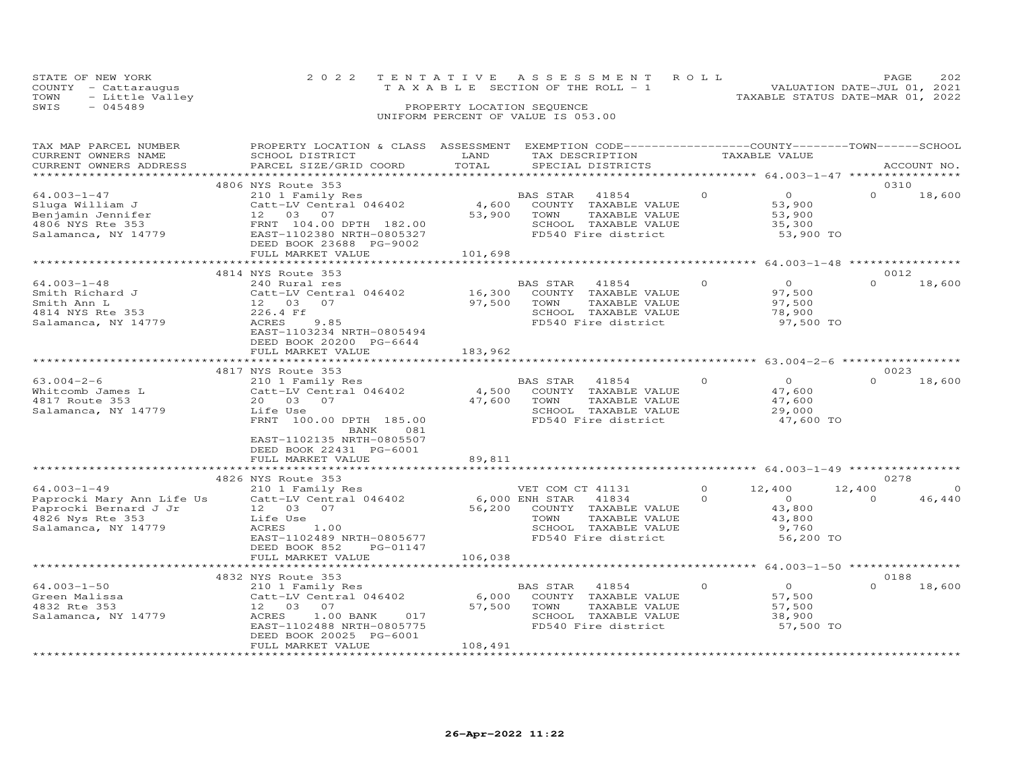|      | STATE OF NEW YORK    |  | 2022 TENTATIVE ASSESSMENT ROLL        |  |                                  | PAGE.                       | 2.02 |
|------|----------------------|--|---------------------------------------|--|----------------------------------|-----------------------------|------|
|      | COUNTY - Cattaraugus |  | T A X A B L E SECTION OF THE ROLL - 1 |  |                                  | VALUATION DATE-JUL 01, 2021 |      |
| TOWN | - Little Valley      |  |                                       |  | TAXABLE STATUS DATE-MAR 01, 2022 |                             |      |
| SWIS | - 045489             |  | PROPERTY LOCATION SEQUENCE            |  |                                  |                             |      |
|      |                      |  | UNIFORM PERCENT OF VALUE IS 053.00    |  |                                  |                             |      |

| TAX MAP PARCEL NUMBER     | PROPERTY LOCATION & CLASS ASSESSMENT |         | EXEMPTION CODE-----------------COUNTY-------TOWN------SCHOOL |          |                           |                  |             |
|---------------------------|--------------------------------------|---------|--------------------------------------------------------------|----------|---------------------------|------------------|-------------|
| CURRENT OWNERS NAME       | SCHOOL DISTRICT                      | LAND    | TAX DESCRIPTION                                              |          | TAXABLE VALUE             |                  |             |
| CURRENT OWNERS ADDRESS    | PARCEL SIZE/GRID COORD               | TOTAL   | SPECIAL DISTRICTS                                            |          |                           |                  | ACCOUNT NO. |
|                           |                                      |         |                                                              |          |                           |                  |             |
|                           | 4806 NYS Route 353                   |         |                                                              |          | $\Omega$                  | 0310<br>$\Omega$ |             |
| $64.003 - 1 - 47$         | 210 1 Family Res                     |         | BAS STAR<br>41854                                            | $\Omega$ |                           |                  | 18,600      |
| Sluga William J           | Catt-LV Central 046402               | 4,600   | COUNTY TAXABLE VALUE                                         |          | 53,900                    |                  |             |
| Benjamin Jennifer         | 12  03  07                           | 53,900  | TOWN<br>TAXABLE VALUE                                        |          | 53,900                    |                  |             |
| 4806 NYS Rte 353          | FRNT 104.00 DPTH 182.00              |         | SCHOOL TAXABLE VALUE                                         |          | 35,300                    |                  |             |
| Salamanca, NY 14779       | EAST-1102380 NRTH-0805327            |         | FD540 Fire district                                          |          | 53,900 TO                 |                  |             |
|                           | DEED BOOK 23688 PG-9002              |         |                                                              |          |                           |                  |             |
|                           | FULL MARKET VALUE                    | 101,698 |                                                              |          |                           |                  |             |
|                           | *********************************    |         |                                                              |          |                           |                  |             |
|                           | 4814 NYS Route 353                   |         |                                                              |          |                           | 0012             |             |
| $64.003 - 1 - 48$         | 240 Rural res                        |         | BAS STAR<br>41854                                            | $\circ$  | $\overline{O}$            | $\Omega$         | 18,600      |
| Smith Richard J           | Catt-LV Central 046402               | 16,300  | COUNTY TAXABLE VALUE                                         |          | 97,500                    |                  |             |
| Smith Ann L               | 12 03<br>07                          | 97,500  | TAXABLE VALUE<br>TOWN                                        |          | 97,500                    |                  |             |
| 4814 NYS Rte 353          | 226.4 Ff                             |         | SCHOOL TAXABLE VALUE                                         |          | 78,900                    |                  |             |
| Salamanca, NY 14779       | 9.85<br>ACRES                        |         | FD540 Fire district                                          |          | 97,500 TO                 |                  |             |
|                           | EAST-1103234 NRTH-0805494            |         |                                                              |          |                           |                  |             |
|                           | DEED BOOK 20200 PG-6644              |         |                                                              |          |                           |                  |             |
|                           | FULL MARKET VALUE                    | 183,962 |                                                              |          |                           |                  |             |
|                           |                                      |         |                                                              |          |                           |                  |             |
|                           | 4817 NYS Route 353                   |         |                                                              |          |                           | 0023             |             |
| $63.004 - 2 - 6$          | 210 1 Family Res                     |         | BAS STAR 41854                                               | $\circ$  | $\overline{O}$            | $\Omega$         | 18,600      |
| Whitcomb James L          | Catt-LV Central 046402               | 4,500   | COUNTY TAXABLE VALUE                                         |          | 47,600                    |                  |             |
| 4817 Route 353            | 20  03  07                           | 47,600  | TOWN<br>TAXABLE VALUE                                        |          | 47,600                    |                  |             |
| Salamanca, NY 14779       | Life Use                             |         | SCHOOL TAXABLE VALUE                                         |          | 29,000                    |                  |             |
|                           | FRNT 100.00 DPTH 185.00              |         | FD540 Fire district                                          |          | 47,600 TO                 |                  |             |
|                           | BANK<br>081                          |         |                                                              |          |                           |                  |             |
|                           | EAST-1102135 NRTH-0805507            |         |                                                              |          |                           |                  |             |
|                           | DEED BOOK 22431 PG-6001              |         |                                                              |          |                           |                  |             |
|                           | FULL MARKET VALUE                    | 89,811  |                                                              |          |                           |                  |             |
|                           |                                      |         |                                                              |          |                           |                  |             |
|                           | 4826 NYS Route 353                   |         |                                                              |          |                           | 0278             |             |
| $64.003 - 1 - 49$         | 210 1 Family Res                     |         | VET COM CT 41131                                             | $\Omega$ | 12,400                    | 12,400           | $\Omega$    |
| Paprocki Mary Ann Life Us | Catt-LV Central 046402               |         | 6,000 ENH STAR<br>41834                                      | $\Omega$ | $\overline{O}$            | $\Omega$         | 46,440      |
| Paprocki Bernard J Jr     | 12  03  07                           | 56,200  | COUNTY TAXABLE VALUE                                         |          | 43,800                    |                  |             |
| 4826 Nys Rte 353          | Life Use                             |         | TOWN<br>TAXABLE VALUE                                        |          | 43,800                    |                  |             |
| Salamanca, NY 14779       | ACRES<br>1.00                        |         | SCHOOL TAXABLE VALUE                                         |          | 9,760                     |                  |             |
|                           | EAST-1102489 NRTH-0805677            |         | FD540 Fire district                                          |          | 56,200 TO                 |                  |             |
|                           | DEED BOOK 852<br>PG-01147            |         |                                                              |          |                           |                  |             |
|                           | FULL MARKET VALUE                    | 106,038 |                                                              |          |                           |                  |             |
|                           |                                      |         |                                                              |          | ******** 64.003-1-50 **** |                  |             |
|                           | 4832 NYS Route 353                   |         |                                                              |          |                           | 0188             |             |
| $64.003 - 1 - 50$         | 210 1 Family Res                     |         | 41854<br>BAS STAR                                            | $\Omega$ | $\Omega$                  | $\Omega$         | 18,600      |
| Green Malissa             | Catt-LV Central 046402               | 6,000   | COUNTY TAXABLE VALUE                                         |          | 57,500                    |                  |             |
| 4832 Rte 353              | 07<br>12 03                          | 57,500  | TOWN<br>TAXABLE VALUE                                        |          | 57,500                    |                  |             |
| Salamanca, NY 14779       | ACRES<br>$1.00$ BANK<br>017          |         | SCHOOL TAXABLE VALUE                                         |          | 38,900                    |                  |             |
|                           | EAST-1102488 NRTH-0805775            |         | FD540 Fire district                                          |          | 57,500 TO                 |                  |             |
|                           | DEED BOOK 20025 PG-6001              |         |                                                              |          |                           |                  |             |
|                           | FULL MARKET VALUE                    | 108,491 |                                                              |          |                           |                  |             |
|                           |                                      |         |                                                              |          |                           |                  |             |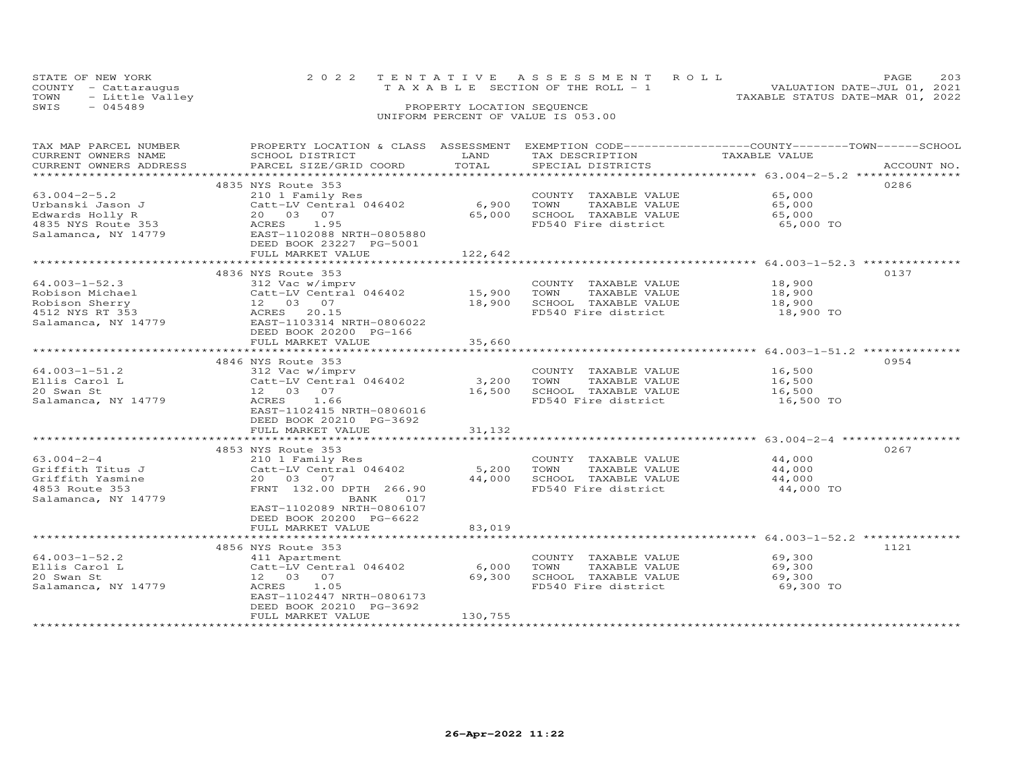|      | STATE OF NEW YORK    | 2022 TENTATIVE ASSESSMENT ROLL                                 | PAGE. | 203 |
|------|----------------------|----------------------------------------------------------------|-------|-----|
|      | COUNTY - Cattaraugus | VALUATION DATE-JUL 01, 2021<br>TAXABLE SECTION OF THE ROLL - 1 |       |     |
|      | TOWN - Little Valley | TAXABLE STATUS DATE-MAR 01, 2022                               |       |     |
| SWIS | $-045489$            | PROPERTY LOCATION SEQUENCE                                     |       |     |
|      |                      | UNIFORM PERCENT OF VALUE IS 053.00                             |       |     |

| TAX MAP PARCEL NUMBER  | PROPERTY LOCATION & CLASS ASSESSMENT EXEMPTION CODE-----------------COUNTY--------TOWN------SCHOOL |                 |                                                                 |                                                                |             |
|------------------------|----------------------------------------------------------------------------------------------------|-----------------|-----------------------------------------------------------------|----------------------------------------------------------------|-------------|
| CURRENT OWNERS NAME    | SCHOOL DISTRICT                                                                                    | LAND            | TAX DESCRIPTION                                                 | TAXABLE VALUE                                                  |             |
| CURRENT OWNERS ADDRESS | PARCEL SIZE/GRID COORD                                                                             | TOTAL           | SPECIAL DISTRICTS                                               |                                                                | ACCOUNT NO. |
| ********************** |                                                                                                    |                 |                                                                 |                                                                |             |
|                        | 4835 NYS Route 353                                                                                 |                 |                                                                 |                                                                | 0286        |
| $63.004 - 2 - 5.2$     | 210 1 Family Res                                                                                   |                 | COUNTY TAXABLE VALUE                                            | 65,000                                                         |             |
| Urbanski Jason J       | Catt-LV Central 046402                                                                             | 6,900 TOWN      | TAXABLE VALUE                                                   | 65,000                                                         |             |
| Edwards Holly R        | 20  03  07                                                                                         |                 | 65,000 SCHOOL TAXABLE VALUE                                     | 65,000                                                         |             |
| 4835 NYS Route 353     | ACRES<br>1.95                                                                                      |                 | FD540 Fire district                                             | 65,000 TO                                                      |             |
| Salamanca, NY 14779    | EAST-1102088 NRTH-0805880                                                                          |                 |                                                                 |                                                                |             |
|                        | DEED BOOK 23227 PG-5001                                                                            |                 |                                                                 |                                                                |             |
|                        | FULL MARKET VALUE                                                                                  | 122,642         |                                                                 |                                                                |             |
|                        |                                                                                                    |                 |                                                                 |                                                                |             |
|                        | 4836 NYS Route 353                                                                                 |                 |                                                                 |                                                                | 0137        |
| $64.003 - 1 - 52.3$    | 312 Vac w/imprv                                                                                    |                 | COUNTY TAXABLE VALUE                                            | 18,900                                                         |             |
| Robison Michael        | Catt-LV Central 046402 15,900                                                                      |                 | TOWN<br>TAXABLE VALUE                                           | $\frac{18,900}{10}$                                            |             |
| Robison Sherry         | 12  03  07                                                                                         |                 | 18,900 SCHOOL TAXABLE VALUE                                     | 18,900                                                         |             |
| 4512 NYS RT 353        | ACRES 20.15                                                                                        |                 | FD540 Fire district                                             | 18,900 TO                                                      |             |
| Salamanca, NY 14779    | EAST-1103314 NRTH-0806022                                                                          |                 |                                                                 |                                                                |             |
|                        | DEED BOOK 20200 PG-166                                                                             |                 |                                                                 |                                                                |             |
|                        | FULL MARKET VALUE                                                                                  | 35,660          |                                                                 |                                                                |             |
|                        | ***************************                                                                        | *************   |                                                                 | ******************************** 64.003-1-51.2 *************** |             |
|                        | 4846 NYS Route 353                                                                                 |                 |                                                                 |                                                                | 0954        |
| $64.003 - 1 - 51.2$    | 312 Vac w/imprv                                                                                    |                 | COUNTY TAXABLE VALUE                                            | 16,500                                                         |             |
| Ellis Carol L          | $Cat$ -LV Central 046402 3,200                                                                     |                 | TOWN<br>TAXABLE VALUE                                           | 16,500                                                         |             |
| 20 Swan St             | 12  03  07                                                                                         | 16,500          | SCHOOL TAXABLE VALUE                                            | 16,500                                                         |             |
| Salamanca, NY 14779    | ACRES 1.66                                                                                         |                 | FD540 Fire district                                             | 16,500 TO                                                      |             |
|                        | EAST-1102415 NRTH-0806016                                                                          |                 |                                                                 |                                                                |             |
|                        | DEED BOOK 20210 PG-3692                                                                            |                 |                                                                 |                                                                |             |
|                        | FULL MARKET VALUE                                                                                  | 31,132          |                                                                 |                                                                |             |
|                        | ****************************                                                                       |                 |                                                                 |                                                                |             |
|                        | 4853 NYS Route 353                                                                                 |                 |                                                                 |                                                                | 0267        |
| $63.004 - 2 - 4$       | 210 1 Family Res                                                                                   |                 | COUNTY TAXABLE VALUE                                            | 44,000                                                         |             |
| Griffith Titus J       | Catt-LV Central 046402                                                                             | 5,200           | TOWN<br>TAXABLE VALUE                                           | 44,000                                                         |             |
| Griffith Yasmine       | 20 03 07                                                                                           | 44,000          | SCHOOL TAXABLE VALUE                                            | 44,000                                                         |             |
| 4853 Route 353         | FRNT 132.00 DPTH 266.90                                                                            |                 | FD540 Fire district                                             | 44,000 TO                                                      |             |
| Salamanca, NY 14779    | <b>BANK</b><br>017                                                                                 |                 |                                                                 |                                                                |             |
|                        | EAST-1102089 NRTH-0806107                                                                          |                 |                                                                 |                                                                |             |
|                        | DEED BOOK 20200 PG-6622                                                                            |                 |                                                                 |                                                                |             |
|                        | FULL MARKET VALUE                                                                                  | 83,019          |                                                                 |                                                                |             |
|                        | *****************************                                                                      | *************** | ********************************* 64.003-1-52.2 *************** |                                                                |             |
|                        | 4856 NYS Route 353                                                                                 |                 |                                                                 |                                                                | 1121        |
| $64.003 - 1 - 52.2$    | 411 Apartment                                                                                      |                 | COUNTY TAXABLE VALUE                                            | 69,300                                                         |             |
| Ellis Carol L          | Catt-LV Central 046402                                                                             | 6,000           | TOWN<br>TAXABLE VALUE                                           | 69,300                                                         |             |
| 20 Swan St             | 12  03  07                                                                                         | 69,300          | SCHOOL TAXABLE VALUE                                            | 69,300                                                         |             |
| Salamanca, NY 14779    | ACRES<br>1.05                                                                                      |                 | FD540 Fire district                                             | 69,300 TO                                                      |             |
|                        | EAST-1102447 NRTH-0806173                                                                          |                 |                                                                 |                                                                |             |
|                        | DEED BOOK 20210 PG-3692                                                                            |                 |                                                                 |                                                                |             |
|                        | FULL MARKET VALUE                                                                                  |                 |                                                                 |                                                                |             |
|                        |                                                                                                    | 130,755         |                                                                 |                                                                |             |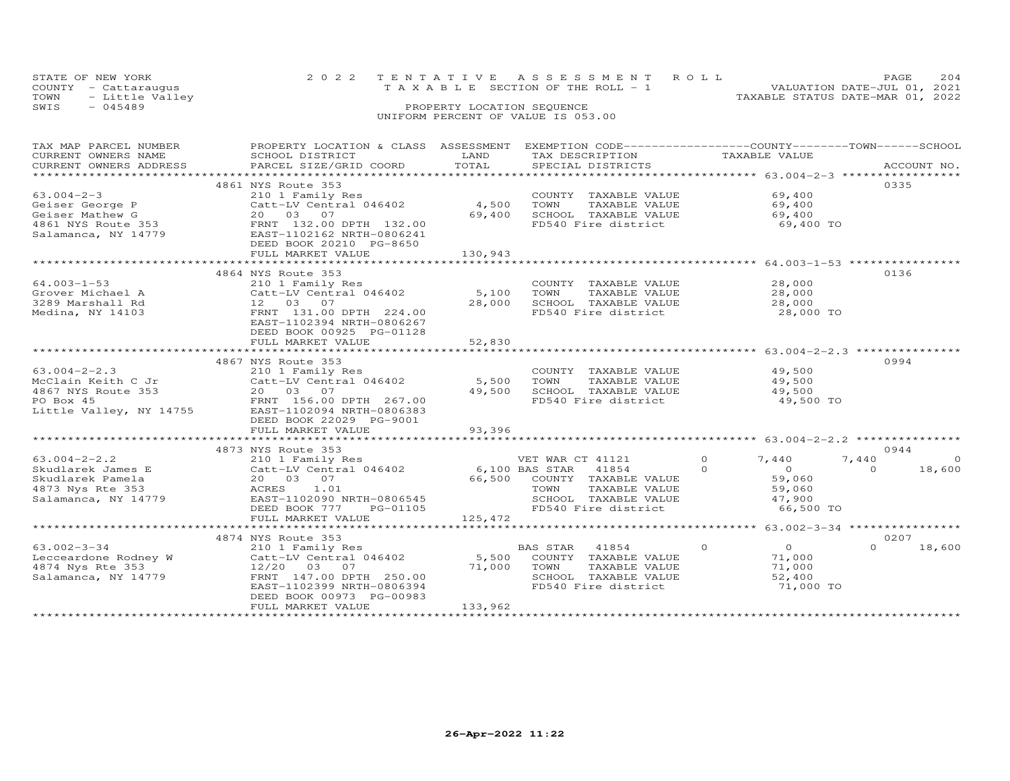| STATE OF NEW YORK    | 2022 TENTATIVE ASSESSMENT ROLL     | 204<br><b>PAGE</b>               |
|----------------------|------------------------------------|----------------------------------|
| COUNTY - Cattaraugus | TAXABLE SECTION OF THE ROLL - 1    | VALUATION DATE-JUL 01, 2021      |
| TOWN - Little Valley |                                    | TAXABLE STATUS DATE-MAR 01, 2022 |
| SWTS<br>- 045489     | PROPERTY LOCATION SEQUENCE         |                                  |
|                      | UNIFORM PERCENT OF VALUE IS 053.00 |                                  |

| TAX MAP PARCEL NUMBER     | PROPERTY LOCATION & CLASS ASSESSMENT EXEMPTION CODE----------------COUNTY-------TOWN-----SCHOOL |         |                             |                                   |                    |
|---------------------------|-------------------------------------------------------------------------------------------------|---------|-----------------------------|-----------------------------------|--------------------|
| CURRENT OWNERS NAME       | SCHOOL DISTRICT                                                                                 | LAND    | TAX DESCRIPTION             | TAXABLE VALUE                     |                    |
| CURRENT OWNERS ADDRESS    | PARCEL SIZE/GRID COORD                                                                          | TOTAL   | SPECIAL DISTRICTS           |                                   | ACCOUNT NO.        |
| ************************* |                                                                                                 |         |                             |                                   |                    |
|                           | 4861 NYS Route 353                                                                              |         |                             |                                   | 0335               |
| $63.004 - 2 - 3$          | 210 1 Family Res                                                                                |         | COUNTY TAXABLE VALUE        | 69,400                            |                    |
| Geiser George P           | Catt-LV Central 046402                                                                          | 4,500   | TOWN<br>TAXABLE VALUE       | 69,400                            |                    |
| Geiser Mathew G           | 20 03 07                                                                                        | 69,400  | SCHOOL TAXABLE VALUE        | 69,400                            |                    |
| 4861 NYS Route 353        | FRNT 132.00 DPTH 132.00                                                                         |         | FD540 Fire district         | 69,400 TO                         |                    |
| Salamanca, NY 14779       | EAST-1102162 NRTH-0806241                                                                       |         |                             |                                   |                    |
|                           | DEED BOOK 20210 PG-8650                                                                         |         |                             |                                   |                    |
|                           | FULL MARKET VALUE                                                                               | 130,943 |                             |                                   |                    |
|                           |                                                                                                 |         |                             |                                   |                    |
|                           | 4864 NYS Route 353                                                                              |         |                             |                                   | 0136               |
| $64.003 - 1 - 53$         | 210 1 Family Res                                                                                |         | COUNTY TAXABLE VALUE        | 28,000                            |                    |
| Grover Michael A          | Catt-LV Central 046402                                                                          | 5,100   | TOWN<br>TAXABLE VALUE       | 28,000                            |                    |
| 3289 Marshall Rd          | 12  03  07                                                                                      | 28,000  | SCHOOL TAXABLE VALUE        | 28,000                            |                    |
| Medina, NY 14103          | FRNT 131.00 DPTH 224.00                                                                         |         | FD540 Fire district         | 28,000 TO                         |                    |
|                           | EAST-1102394 NRTH-0806267                                                                       |         |                             |                                   |                    |
|                           | DEED BOOK 00925 PG-01128                                                                        |         |                             |                                   |                    |
|                           | FULL MARKET VALUE                                                                               | 52,830  |                             |                                   |                    |
|                           |                                                                                                 |         |                             | ***************** 63.004-2-2.3 ** |                    |
|                           | 4867 NYS Route 353                                                                              |         |                             |                                   | 0994               |
| $63.004 - 2 - 2.3$        | 210 1 Family Res                                                                                |         | COUNTY TAXABLE VALUE        | 49,500                            |                    |
| McClain Keith C Jr        | Catt-LV Central 046402                                                                          | 5,500   | TAXABLE VALUE<br>TOWN       | 49,500                            |                    |
| 4867 NYS Route 353        | 20  03  07                                                                                      | 49,500  | SCHOOL TAXABLE VALUE        | 49,500                            |                    |
| PO Box 45                 | FRNT 156.00 DPTH 267.00                                                                         |         | FD540 Fire district         | 49,500 TO                         |                    |
| Little Valley, NY 14755   | EAST-1102094 NRTH-0806383                                                                       |         |                             |                                   |                    |
|                           | DEED BOOK 22029 PG-9001                                                                         |         |                             |                                   |                    |
|                           | FULL MARKET VALUE                                                                               | 93,396  |                             |                                   |                    |
|                           |                                                                                                 |         |                             |                                   |                    |
|                           | 4873 NYS Route 353                                                                              |         |                             |                                   | 0944               |
| $63.004 - 2 - 2.2$        | 210 1 Family Res                                                                                |         | VET WAR CT 41121            | $\Omega$<br>7,440                 | 7,440<br>$\Omega$  |
| Skudlarek James E         | Catt-LV Central 046402                                                                          |         | 6,100 BAS STAR<br>41854     | $\Omega$<br>$\overline{0}$        | 18,600<br>$\Omega$ |
| Skudlarek Pamela          | 20 03<br>07                                                                                     |         | 66,500 COUNTY TAXABLE VALUE | 59,060                            |                    |
| 4873 Nys Rte 353          | ACRES<br>1.01                                                                                   |         | TAXABLE VALUE<br>TOWN       | 59,060                            |                    |
| Salamanca, NY 14779       | EAST-1102090 NRTH-0806545                                                                       |         | SCHOOL TAXABLE VALUE        | 47,900                            |                    |
|                           | DEED BOOK 777<br>PG-01105                                                                       |         | FD540 Fire district         | 66,500 TO                         |                    |
|                           | FULL MARKET VALUE                                                                               | 125,472 |                             |                                   |                    |
|                           |                                                                                                 |         |                             |                                   |                    |
|                           | 4874 NYS Route 353                                                                              |         |                             |                                   | 0207               |
| $63.002 - 3 - 34$         | 210 1 Family Res                                                                                |         | BAS STAR<br>41854           | $\circ$<br>$\overline{O}$         | 18,600<br>$\Omega$ |
| Lecceardone Rodney W      | Catt-LV Central 046402                                                                          | 5,500   | COUNTY TAXABLE VALUE        | 71,000                            |                    |
| 4874 Nys Rte 353          | 12/20<br>03<br>07                                                                               | 71,000  | TOWN<br>TAXABLE VALUE       | 71,000                            |                    |
| Salamanca, NY 14779       | FRNT 147.00 DPTH 250.00                                                                         |         | SCHOOL TAXABLE VALUE        | 52,400                            |                    |
|                           | EAST-1102399 NRTH-0806394                                                                       |         | FD540 Fire district         | 71,000 TO                         |                    |
|                           | DEED BOOK 00973 PG-00983                                                                        |         |                             |                                   |                    |
|                           | FULL MARKET VALUE                                                                               | 133,962 |                             |                                   |                    |
|                           |                                                                                                 |         |                             |                                   |                    |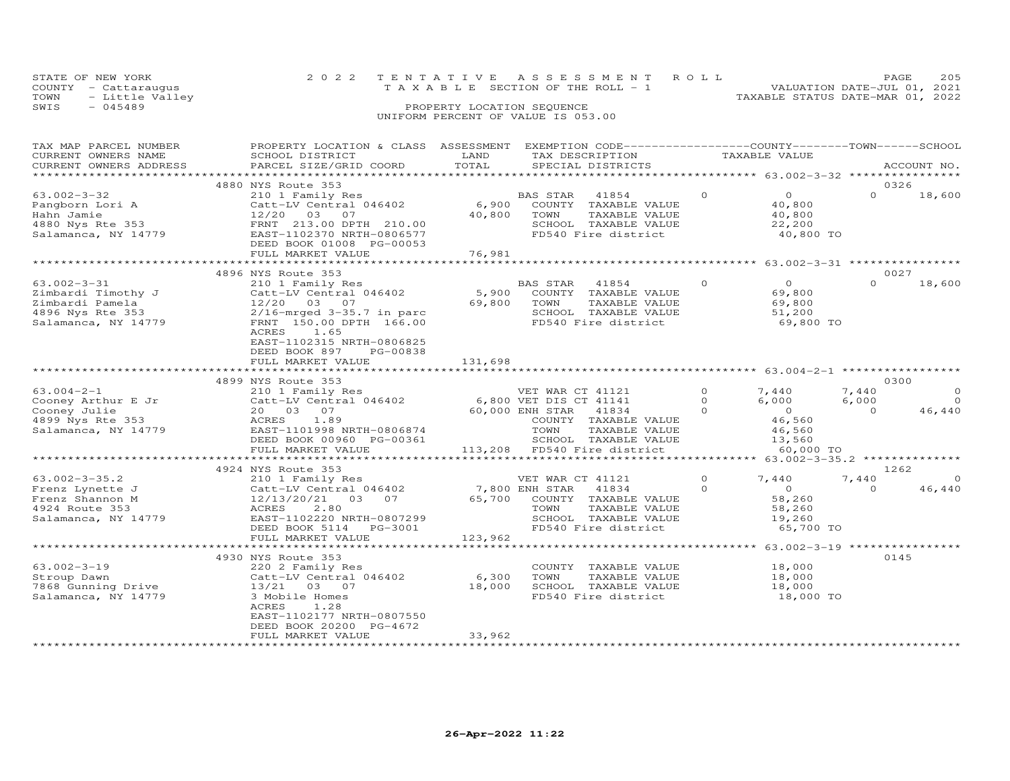| STATE OF NEW YORK    | 2022 TENTATIVE ASSESSMENT ROLL        | 205<br>PAGE.                     |
|----------------------|---------------------------------------|----------------------------------|
| COUNTY - Cattarauqus | T A X A B L E SECTION OF THE ROLL - 1 | VALUATION DATE-JUL 01, 2021      |
| TOWN - Little Valley |                                       | TAXABLE STATUS DATE-MAR 01, 2022 |
| SWIS<br>$-045489$    | PROPERTY LOCATION SEQUENCE            |                                  |
|                      | UNIFORM PERCENT OF VALUE IS 053.00    |                                  |

| CURRENT OWNERS NAME<br>LAND<br>TAX DESCRIPTION<br>TAXABLE VALUE<br>SCHOOL DISTRICT<br>TOTAL<br>CURRENT OWNERS ADDRESS<br>PARCEL SIZE/GRID COORD<br>SPECIAL DISTRICTS | ACCOUNT NO. |
|----------------------------------------------------------------------------------------------------------------------------------------------------------------------|-------------|
|                                                                                                                                                                      |             |
| 0326<br>4880 NYS Route 353                                                                                                                                           |             |
| $\Omega$<br>$\Omega$<br>$\Omega$<br>$63.002 - 3 - 32$<br>210 1 Family Res<br>BAS STAR<br>41854                                                                       | 18,600      |
| 6,900<br>Pangborn Lori A<br>Catt-LV Central 046402<br>COUNTY TAXABLE VALUE<br>40,800                                                                                 |             |
| 40,800<br>Hahn Jamie<br>12/20 03<br>07<br>TOWN<br>TAXABLE VALUE<br>40,800                                                                                            |             |
| 4880 Nys Rte 353<br>FRNT 213.00 DPTH 210.00<br>SCHOOL TAXABLE VALUE<br>22,200                                                                                        |             |
| FD540 Fire district<br>Salamanca, NY 14779<br>EAST-1102370 NRTH-0806577<br>40,800 TO                                                                                 |             |
| DEED BOOK 01008 PG-00053                                                                                                                                             |             |
| 76,981<br>FULL MARKET VALUE                                                                                                                                          |             |
|                                                                                                                                                                      |             |
| 0027<br>4896 NYS Route 353                                                                                                                                           |             |
| $\Omega$<br>$\Omega$<br>$\Omega$<br>$63.002 - 3 - 31$<br>210 1 Family Res<br>BAS STAR<br>41854                                                                       | 18,600      |
| Catt-LV Central 046402<br>5,900<br>COUNTY TAXABLE VALUE<br>69,800<br>Zimbardi Timothy J                                                                              |             |
| 69,800<br>Zimbardi Pamela<br>12/20 03 07<br>TOWN<br>TAXABLE VALUE<br>69,800                                                                                          |             |
| 4896 Nys Rte 353<br>SCHOOL TAXABLE VALUE<br>$2/16$ -mrged $3-35.7$ in parc<br>51,200                                                                                 |             |
| FD540 Fire district<br>Salamanca, NY 14779<br>FRNT 150.00 DPTH 166.00<br>69,800 TO                                                                                   |             |
| ACRES<br>1.65                                                                                                                                                        |             |
| EAST-1102315 NRTH-0806825                                                                                                                                            |             |
| DEED BOOK 897<br>PG-00838                                                                                                                                            |             |
| 131,698<br>FULL MARKET VALUE                                                                                                                                         |             |
|                                                                                                                                                                      |             |
| 0300<br>4899 NYS Route 353                                                                                                                                           |             |
| $\Omega$<br>$63.004 - 2 - 1$<br>210 1 Family Res<br>7,440<br>VET WAR CT 41121<br>7,440                                                                               | $\circ$     |
| Catt-LV Central 046402 6,800 VET DIS CT 41141<br>Cooney Arthur E Jr<br>$\Omega$<br>6,000<br>6,000                                                                    | $\Omega$    |
| $\Omega$<br>$\overline{0}$<br>Cooney Julie<br>20  03  07<br>60,000 ENH STAR 41834<br>$\Omega$                                                                        | 46,440      |
| 46,560<br>4899 Nys Rte 353<br>ACRES<br>1.89<br>COUNTY TAXABLE VALUE                                                                                                  |             |
| Salamanca, NY 14779<br>EAST-1101998 NRTH-0806874<br>TOWN<br>TAXABLE VALUE<br>46,560                                                                                  |             |
| SCHOOL TAXABLE VALUE<br>DEED BOOK 00960 PG-00361<br>13,560                                                                                                           |             |
| 113,208 FD540 Fire district<br>FULL MARKET VALUE<br>60,000 TO                                                                                                        |             |
| ************************                                                                                                                                             |             |
| 1262<br>4924 NYS Route 353                                                                                                                                           |             |
| $63.002 - 3 - 35.2$<br>$\Omega$<br>210 1 Family Res<br>VET WAR CT 41121<br>7,440<br>7,440                                                                            | $\circ$     |
| 7,800 ENH STAR<br>$\Omega$<br>$\overline{0}$<br>$\Omega$<br>Frenz Lynette J<br>Catt-LV Central 046402<br>41834                                                       | 46,440      |
| Frenz Shannon M<br>12/13/20/21 03 07<br>65,700<br>COUNTY TAXABLE VALUE<br>58,260                                                                                     |             |
| 4924 Route 353<br>2.80<br>TOWN<br>TAXABLE VALUE<br>ACRES<br>58,260                                                                                                   |             |
| Salamanca, NY 14779<br>EAST-1102220 NRTH-0807299<br>-<br>SCHOOL TAXABLE VALUE<br>FD540 Fire district<br>19,260                                                       |             |
| 65,700 TO<br>DEED BOOK 5114<br>PG-3001                                                                                                                               |             |
| 123,962<br>FULL MARKET VALUE                                                                                                                                         |             |
| *************************                                                                                                                                            |             |
| 4930 NYS Route 353<br>0145                                                                                                                                           |             |
| $63.002 - 3 - 19$<br>18,000<br>220 2 Family Res<br>COUNTY TAXABLE VALUE                                                                                              |             |
| Stroup Dawn<br>Catt-LV Central 046402<br>6,300<br>TOWN<br>TAXABLE VALUE<br>18,000                                                                                    |             |
| 18,000<br>SCHOOL TAXABLE VALUE<br>7868 Gunning Drive<br>13/21 03 07<br>18,000                                                                                        |             |
| FD540 Fire district<br>Salamanca, NY 14779<br>18,000 TO<br>3 Mobile Homes                                                                                            |             |
| ACRES<br>1.28                                                                                                                                                        |             |
| EAST-1102177 NRTH-0807550                                                                                                                                            |             |
| DEED BOOK 20200 PG-4672                                                                                                                                              |             |
| 33,962<br>FULL MARKET VALUE                                                                                                                                          |             |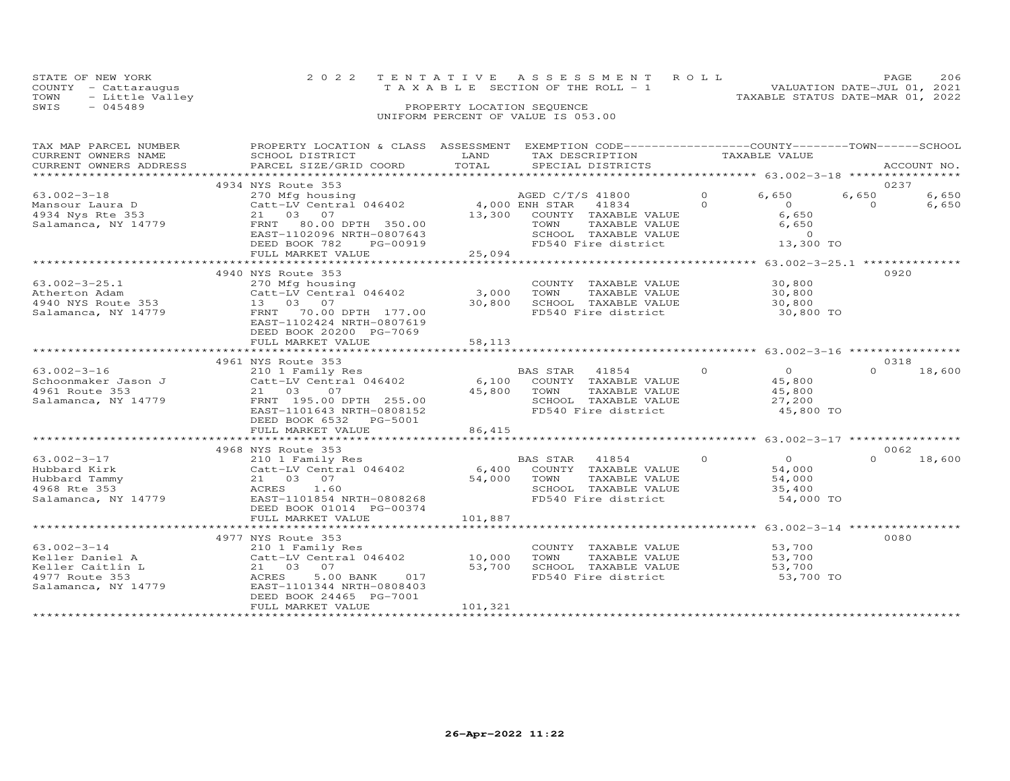|      | STATE OF NEW YORK    | 2022 TENTATIVE ASSESSMENT ROLL                                       | <b>PAGE</b> | 206 |
|------|----------------------|----------------------------------------------------------------------|-------------|-----|
|      | COUNTY - Cattaraugus | VALUATION DATE-JUL 01, 2021<br>T A X A B L E SECTION OF THE ROLL - 1 |             |     |
|      | TOWN - Little Valley | TAXABLE STATUS DATE-MAR 01, 2022                                     |             |     |
| SWIS | $-045489$            | PROPERTY LOCATION SEQUENCE                                           |             |     |
|      |                      | UNIFORM PERCENT OF VALUE IS 053.00                                   |             |     |

| TAXABLE VALUE<br>CURRENT OWNERS NAME<br>SCHOOL DISTRICT<br>LAND<br>TAX DESCRIPTION<br>TOTAL<br>CURRENT OWNERS ADDRESS<br>PARCEL SIZE/GRID COORD<br>SPECIAL DISTRICTS<br>ACCOUNT NO.<br>0237<br>4934 NYS Route 353<br>6,650<br>$63.002 - 3 - 18$<br>$\Omega$<br>6,650<br>270 Mfg housing $\overline{0}$ AGED C/T/S 41800<br>Catt-LV Central 046402 4,000 ENH STAR 41834<br>6,650<br>$\Omega$<br>$\overline{0}$<br>$\Omega$<br>6,650<br>Mansour Laura D<br>4934 Nys Rte 353<br>6,650<br>21 03 07<br>13,300 COUNTY TAXABLE VALUE<br>FRNT 80.00 DPTH 350.00<br>TAXABLE VALUE<br>6,650<br>Salamanca, NY 14779<br>TOWN<br>SCHOOL TAXABLE VALUE<br>EAST-1102096 NRTH-0807643<br>$\overline{0}$<br>13,300 TO<br>DEED BOOK 782<br>PG-00919<br>FD540 Fire district<br>919<br>25,094<br>FULL MARKET VALUE<br>0920<br>4940 NYS Route 353<br>30,800<br>$63.002 - 3 - 25.1$<br>COUNTY TAXABLE VALUE<br>270 Mfg housing<br>Catt-LV Central 046402<br>3,000 TOWN<br>Atherton Adam<br>TAXABLE VALUE<br>30,800<br>Athericul Adam<br>1940 NYS Route 353 13 03 07<br>1990 TRNT 70.00<br>30,800<br>SCHOOL TAXABLE VALUE<br>30,800<br>FRNT 70.00 DPTH 177.00<br>FD540 Fire district<br>30,800 TO<br>EAST-1102424 NRTH-0807619<br>DEED BOOK 20200 PG-7069<br>FULL MARKET VALUE<br>58,113<br>4961 NYS Route 353<br>0318<br>$\overline{0}$<br>$63.002 - 3 - 16$<br>$\Omega$<br>210 1 Family Res<br>BAS STAR 41854<br>$\Omega$<br>18,600<br>45,800<br>4961 Route 353<br>21 03<br>45,800 TOWN<br>SCHOO<br>TAXABLE VALUE<br>45,800<br>07<br>FRNT 195.00 DPTH 255.00<br>Salamanca, NY 14779<br>SCHOOL TAXABLE VALUE<br>27,200<br>FD540 Fire district<br>45,800 TO<br>EAST-1101643 NRTH-0808152<br>DEED BOOK 6532 PG-5001<br>FULL MARKET VALUE<br>86,415<br>0062<br>4968 NYS Route 353<br>$\overline{O}$<br>$\circ$<br>63.002-3-17<br>210 1 Family Res<br>BAS STAR 41854<br>$\cap$<br>18,600<br>210 1 Family Res<br>Catt-LV Central 046402 6,400 COUNTY TAXABLE VALUE<br>21 03 07 54,000 TOWN TAXABLE VALUE<br>ACRES<br>ACRES<br>ACRES<br>ACRES<br>54,000<br>Hubbard Kirk<br>TOWN      TAXABLE VALUE<br>SCHOOL   TAXABLE VALUE<br>54,000<br>Hubbard Tammy<br>4968 Rte 353<br>35,400<br>Salamanca, NY 14779<br>EAST-1101854 NRTH-0808268<br>FD540 Fire district<br>54,000 TO<br>DEED BOOK 01014 PG-00374<br>0080<br>4977 NYS Route 353<br>$63.002 - 3 - 14$<br>53,700<br>210 1 Family Res<br>COUNTY TAXABLE VALUE<br>Catt-LV Central 046402 10,000<br>Keller Daniel A<br>TOWN<br>TAXABLE VALUE<br>53,700<br>Keller Caitlin L<br>21 03 07<br>53,700<br>SCHOOL TAXABLE VALUE<br>FD540 Fire district<br>53,700<br>4977 Route 353<br>5.00 BANK<br>53,700 TO<br>ACRES<br>017<br>Salamanca, NY 14779<br>EAST-1101344 NRTH-0808403<br>DEED BOOK 24465 PG-7001<br>101,321<br>FULL MARKET VALUE | TAX MAP PARCEL NUMBER | PROPERTY LOCATION & CLASS ASSESSMENT EXEMPTION CODE----------------COUNTY-------TOWN-----SCHOOL |  |  |  |
|---------------------------------------------------------------------------------------------------------------------------------------------------------------------------------------------------------------------------------------------------------------------------------------------------------------------------------------------------------------------------------------------------------------------------------------------------------------------------------------------------------------------------------------------------------------------------------------------------------------------------------------------------------------------------------------------------------------------------------------------------------------------------------------------------------------------------------------------------------------------------------------------------------------------------------------------------------------------------------------------------------------------------------------------------------------------------------------------------------------------------------------------------------------------------------------------------------------------------------------------------------------------------------------------------------------------------------------------------------------------------------------------------------------------------------------------------------------------------------------------------------------------------------------------------------------------------------------------------------------------------------------------------------------------------------------------------------------------------------------------------------------------------------------------------------------------------------------------------------------------------------------------------------------------------------------------------------------------------------------------------------------------------------------------------------------------------------------------------------------------------------------------------------------------------------------------------------------------------------------------------------------------------------------------------------------------------------------------------------------------------------------------------------------------------------------------------------------------------------------------------------------------------------------------------------------------------------------------------------------------------------------------------------------------------------------------------------------------------------------------------------|-----------------------|-------------------------------------------------------------------------------------------------|--|--|--|
|                                                                                                                                                                                                                                                                                                                                                                                                                                                                                                                                                                                                                                                                                                                                                                                                                                                                                                                                                                                                                                                                                                                                                                                                                                                                                                                                                                                                                                                                                                                                                                                                                                                                                                                                                                                                                                                                                                                                                                                                                                                                                                                                                                                                                                                                                                                                                                                                                                                                                                                                                                                                                                                                                                                                                         |                       |                                                                                                 |  |  |  |
|                                                                                                                                                                                                                                                                                                                                                                                                                                                                                                                                                                                                                                                                                                                                                                                                                                                                                                                                                                                                                                                                                                                                                                                                                                                                                                                                                                                                                                                                                                                                                                                                                                                                                                                                                                                                                                                                                                                                                                                                                                                                                                                                                                                                                                                                                                                                                                                                                                                                                                                                                                                                                                                                                                                                                         |                       |                                                                                                 |  |  |  |
|                                                                                                                                                                                                                                                                                                                                                                                                                                                                                                                                                                                                                                                                                                                                                                                                                                                                                                                                                                                                                                                                                                                                                                                                                                                                                                                                                                                                                                                                                                                                                                                                                                                                                                                                                                                                                                                                                                                                                                                                                                                                                                                                                                                                                                                                                                                                                                                                                                                                                                                                                                                                                                                                                                                                                         |                       |                                                                                                 |  |  |  |
|                                                                                                                                                                                                                                                                                                                                                                                                                                                                                                                                                                                                                                                                                                                                                                                                                                                                                                                                                                                                                                                                                                                                                                                                                                                                                                                                                                                                                                                                                                                                                                                                                                                                                                                                                                                                                                                                                                                                                                                                                                                                                                                                                                                                                                                                                                                                                                                                                                                                                                                                                                                                                                                                                                                                                         |                       |                                                                                                 |  |  |  |
|                                                                                                                                                                                                                                                                                                                                                                                                                                                                                                                                                                                                                                                                                                                                                                                                                                                                                                                                                                                                                                                                                                                                                                                                                                                                                                                                                                                                                                                                                                                                                                                                                                                                                                                                                                                                                                                                                                                                                                                                                                                                                                                                                                                                                                                                                                                                                                                                                                                                                                                                                                                                                                                                                                                                                         |                       |                                                                                                 |  |  |  |
|                                                                                                                                                                                                                                                                                                                                                                                                                                                                                                                                                                                                                                                                                                                                                                                                                                                                                                                                                                                                                                                                                                                                                                                                                                                                                                                                                                                                                                                                                                                                                                                                                                                                                                                                                                                                                                                                                                                                                                                                                                                                                                                                                                                                                                                                                                                                                                                                                                                                                                                                                                                                                                                                                                                                                         |                       |                                                                                                 |  |  |  |
|                                                                                                                                                                                                                                                                                                                                                                                                                                                                                                                                                                                                                                                                                                                                                                                                                                                                                                                                                                                                                                                                                                                                                                                                                                                                                                                                                                                                                                                                                                                                                                                                                                                                                                                                                                                                                                                                                                                                                                                                                                                                                                                                                                                                                                                                                                                                                                                                                                                                                                                                                                                                                                                                                                                                                         |                       |                                                                                                 |  |  |  |
|                                                                                                                                                                                                                                                                                                                                                                                                                                                                                                                                                                                                                                                                                                                                                                                                                                                                                                                                                                                                                                                                                                                                                                                                                                                                                                                                                                                                                                                                                                                                                                                                                                                                                                                                                                                                                                                                                                                                                                                                                                                                                                                                                                                                                                                                                                                                                                                                                                                                                                                                                                                                                                                                                                                                                         |                       |                                                                                                 |  |  |  |
|                                                                                                                                                                                                                                                                                                                                                                                                                                                                                                                                                                                                                                                                                                                                                                                                                                                                                                                                                                                                                                                                                                                                                                                                                                                                                                                                                                                                                                                                                                                                                                                                                                                                                                                                                                                                                                                                                                                                                                                                                                                                                                                                                                                                                                                                                                                                                                                                                                                                                                                                                                                                                                                                                                                                                         |                       |                                                                                                 |  |  |  |
|                                                                                                                                                                                                                                                                                                                                                                                                                                                                                                                                                                                                                                                                                                                                                                                                                                                                                                                                                                                                                                                                                                                                                                                                                                                                                                                                                                                                                                                                                                                                                                                                                                                                                                                                                                                                                                                                                                                                                                                                                                                                                                                                                                                                                                                                                                                                                                                                                                                                                                                                                                                                                                                                                                                                                         |                       |                                                                                                 |  |  |  |
|                                                                                                                                                                                                                                                                                                                                                                                                                                                                                                                                                                                                                                                                                                                                                                                                                                                                                                                                                                                                                                                                                                                                                                                                                                                                                                                                                                                                                                                                                                                                                                                                                                                                                                                                                                                                                                                                                                                                                                                                                                                                                                                                                                                                                                                                                                                                                                                                                                                                                                                                                                                                                                                                                                                                                         |                       |                                                                                                 |  |  |  |
|                                                                                                                                                                                                                                                                                                                                                                                                                                                                                                                                                                                                                                                                                                                                                                                                                                                                                                                                                                                                                                                                                                                                                                                                                                                                                                                                                                                                                                                                                                                                                                                                                                                                                                                                                                                                                                                                                                                                                                                                                                                                                                                                                                                                                                                                                                                                                                                                                                                                                                                                                                                                                                                                                                                                                         |                       |                                                                                                 |  |  |  |
|                                                                                                                                                                                                                                                                                                                                                                                                                                                                                                                                                                                                                                                                                                                                                                                                                                                                                                                                                                                                                                                                                                                                                                                                                                                                                                                                                                                                                                                                                                                                                                                                                                                                                                                                                                                                                                                                                                                                                                                                                                                                                                                                                                                                                                                                                                                                                                                                                                                                                                                                                                                                                                                                                                                                                         |                       |                                                                                                 |  |  |  |
|                                                                                                                                                                                                                                                                                                                                                                                                                                                                                                                                                                                                                                                                                                                                                                                                                                                                                                                                                                                                                                                                                                                                                                                                                                                                                                                                                                                                                                                                                                                                                                                                                                                                                                                                                                                                                                                                                                                                                                                                                                                                                                                                                                                                                                                                                                                                                                                                                                                                                                                                                                                                                                                                                                                                                         |                       |                                                                                                 |  |  |  |
|                                                                                                                                                                                                                                                                                                                                                                                                                                                                                                                                                                                                                                                                                                                                                                                                                                                                                                                                                                                                                                                                                                                                                                                                                                                                                                                                                                                                                                                                                                                                                                                                                                                                                                                                                                                                                                                                                                                                                                                                                                                                                                                                                                                                                                                                                                                                                                                                                                                                                                                                                                                                                                                                                                                                                         |                       |                                                                                                 |  |  |  |
|                                                                                                                                                                                                                                                                                                                                                                                                                                                                                                                                                                                                                                                                                                                                                                                                                                                                                                                                                                                                                                                                                                                                                                                                                                                                                                                                                                                                                                                                                                                                                                                                                                                                                                                                                                                                                                                                                                                                                                                                                                                                                                                                                                                                                                                                                                                                                                                                                                                                                                                                                                                                                                                                                                                                                         |                       |                                                                                                 |  |  |  |
|                                                                                                                                                                                                                                                                                                                                                                                                                                                                                                                                                                                                                                                                                                                                                                                                                                                                                                                                                                                                                                                                                                                                                                                                                                                                                                                                                                                                                                                                                                                                                                                                                                                                                                                                                                                                                                                                                                                                                                                                                                                                                                                                                                                                                                                                                                                                                                                                                                                                                                                                                                                                                                                                                                                                                         |                       |                                                                                                 |  |  |  |
|                                                                                                                                                                                                                                                                                                                                                                                                                                                                                                                                                                                                                                                                                                                                                                                                                                                                                                                                                                                                                                                                                                                                                                                                                                                                                                                                                                                                                                                                                                                                                                                                                                                                                                                                                                                                                                                                                                                                                                                                                                                                                                                                                                                                                                                                                                                                                                                                                                                                                                                                                                                                                                                                                                                                                         |                       |                                                                                                 |  |  |  |
|                                                                                                                                                                                                                                                                                                                                                                                                                                                                                                                                                                                                                                                                                                                                                                                                                                                                                                                                                                                                                                                                                                                                                                                                                                                                                                                                                                                                                                                                                                                                                                                                                                                                                                                                                                                                                                                                                                                                                                                                                                                                                                                                                                                                                                                                                                                                                                                                                                                                                                                                                                                                                                                                                                                                                         |                       |                                                                                                 |  |  |  |
|                                                                                                                                                                                                                                                                                                                                                                                                                                                                                                                                                                                                                                                                                                                                                                                                                                                                                                                                                                                                                                                                                                                                                                                                                                                                                                                                                                                                                                                                                                                                                                                                                                                                                                                                                                                                                                                                                                                                                                                                                                                                                                                                                                                                                                                                                                                                                                                                                                                                                                                                                                                                                                                                                                                                                         |                       |                                                                                                 |  |  |  |
|                                                                                                                                                                                                                                                                                                                                                                                                                                                                                                                                                                                                                                                                                                                                                                                                                                                                                                                                                                                                                                                                                                                                                                                                                                                                                                                                                                                                                                                                                                                                                                                                                                                                                                                                                                                                                                                                                                                                                                                                                                                                                                                                                                                                                                                                                                                                                                                                                                                                                                                                                                                                                                                                                                                                                         |                       |                                                                                                 |  |  |  |
|                                                                                                                                                                                                                                                                                                                                                                                                                                                                                                                                                                                                                                                                                                                                                                                                                                                                                                                                                                                                                                                                                                                                                                                                                                                                                                                                                                                                                                                                                                                                                                                                                                                                                                                                                                                                                                                                                                                                                                                                                                                                                                                                                                                                                                                                                                                                                                                                                                                                                                                                                                                                                                                                                                                                                         |                       |                                                                                                 |  |  |  |
|                                                                                                                                                                                                                                                                                                                                                                                                                                                                                                                                                                                                                                                                                                                                                                                                                                                                                                                                                                                                                                                                                                                                                                                                                                                                                                                                                                                                                                                                                                                                                                                                                                                                                                                                                                                                                                                                                                                                                                                                                                                                                                                                                                                                                                                                                                                                                                                                                                                                                                                                                                                                                                                                                                                                                         |                       |                                                                                                 |  |  |  |
|                                                                                                                                                                                                                                                                                                                                                                                                                                                                                                                                                                                                                                                                                                                                                                                                                                                                                                                                                                                                                                                                                                                                                                                                                                                                                                                                                                                                                                                                                                                                                                                                                                                                                                                                                                                                                                                                                                                                                                                                                                                                                                                                                                                                                                                                                                                                                                                                                                                                                                                                                                                                                                                                                                                                                         |                       |                                                                                                 |  |  |  |
|                                                                                                                                                                                                                                                                                                                                                                                                                                                                                                                                                                                                                                                                                                                                                                                                                                                                                                                                                                                                                                                                                                                                                                                                                                                                                                                                                                                                                                                                                                                                                                                                                                                                                                                                                                                                                                                                                                                                                                                                                                                                                                                                                                                                                                                                                                                                                                                                                                                                                                                                                                                                                                                                                                                                                         |                       |                                                                                                 |  |  |  |
|                                                                                                                                                                                                                                                                                                                                                                                                                                                                                                                                                                                                                                                                                                                                                                                                                                                                                                                                                                                                                                                                                                                                                                                                                                                                                                                                                                                                                                                                                                                                                                                                                                                                                                                                                                                                                                                                                                                                                                                                                                                                                                                                                                                                                                                                                                                                                                                                                                                                                                                                                                                                                                                                                                                                                         |                       |                                                                                                 |  |  |  |
|                                                                                                                                                                                                                                                                                                                                                                                                                                                                                                                                                                                                                                                                                                                                                                                                                                                                                                                                                                                                                                                                                                                                                                                                                                                                                                                                                                                                                                                                                                                                                                                                                                                                                                                                                                                                                                                                                                                                                                                                                                                                                                                                                                                                                                                                                                                                                                                                                                                                                                                                                                                                                                                                                                                                                         |                       |                                                                                                 |  |  |  |
|                                                                                                                                                                                                                                                                                                                                                                                                                                                                                                                                                                                                                                                                                                                                                                                                                                                                                                                                                                                                                                                                                                                                                                                                                                                                                                                                                                                                                                                                                                                                                                                                                                                                                                                                                                                                                                                                                                                                                                                                                                                                                                                                                                                                                                                                                                                                                                                                                                                                                                                                                                                                                                                                                                                                                         |                       |                                                                                                 |  |  |  |
|                                                                                                                                                                                                                                                                                                                                                                                                                                                                                                                                                                                                                                                                                                                                                                                                                                                                                                                                                                                                                                                                                                                                                                                                                                                                                                                                                                                                                                                                                                                                                                                                                                                                                                                                                                                                                                                                                                                                                                                                                                                                                                                                                                                                                                                                                                                                                                                                                                                                                                                                                                                                                                                                                                                                                         |                       |                                                                                                 |  |  |  |
|                                                                                                                                                                                                                                                                                                                                                                                                                                                                                                                                                                                                                                                                                                                                                                                                                                                                                                                                                                                                                                                                                                                                                                                                                                                                                                                                                                                                                                                                                                                                                                                                                                                                                                                                                                                                                                                                                                                                                                                                                                                                                                                                                                                                                                                                                                                                                                                                                                                                                                                                                                                                                                                                                                                                                         |                       |                                                                                                 |  |  |  |
|                                                                                                                                                                                                                                                                                                                                                                                                                                                                                                                                                                                                                                                                                                                                                                                                                                                                                                                                                                                                                                                                                                                                                                                                                                                                                                                                                                                                                                                                                                                                                                                                                                                                                                                                                                                                                                                                                                                                                                                                                                                                                                                                                                                                                                                                                                                                                                                                                                                                                                                                                                                                                                                                                                                                                         |                       |                                                                                                 |  |  |  |
|                                                                                                                                                                                                                                                                                                                                                                                                                                                                                                                                                                                                                                                                                                                                                                                                                                                                                                                                                                                                                                                                                                                                                                                                                                                                                                                                                                                                                                                                                                                                                                                                                                                                                                                                                                                                                                                                                                                                                                                                                                                                                                                                                                                                                                                                                                                                                                                                                                                                                                                                                                                                                                                                                                                                                         |                       |                                                                                                 |  |  |  |
|                                                                                                                                                                                                                                                                                                                                                                                                                                                                                                                                                                                                                                                                                                                                                                                                                                                                                                                                                                                                                                                                                                                                                                                                                                                                                                                                                                                                                                                                                                                                                                                                                                                                                                                                                                                                                                                                                                                                                                                                                                                                                                                                                                                                                                                                                                                                                                                                                                                                                                                                                                                                                                                                                                                                                         |                       |                                                                                                 |  |  |  |
|                                                                                                                                                                                                                                                                                                                                                                                                                                                                                                                                                                                                                                                                                                                                                                                                                                                                                                                                                                                                                                                                                                                                                                                                                                                                                                                                                                                                                                                                                                                                                                                                                                                                                                                                                                                                                                                                                                                                                                                                                                                                                                                                                                                                                                                                                                                                                                                                                                                                                                                                                                                                                                                                                                                                                         |                       |                                                                                                 |  |  |  |
|                                                                                                                                                                                                                                                                                                                                                                                                                                                                                                                                                                                                                                                                                                                                                                                                                                                                                                                                                                                                                                                                                                                                                                                                                                                                                                                                                                                                                                                                                                                                                                                                                                                                                                                                                                                                                                                                                                                                                                                                                                                                                                                                                                                                                                                                                                                                                                                                                                                                                                                                                                                                                                                                                                                                                         |                       |                                                                                                 |  |  |  |
|                                                                                                                                                                                                                                                                                                                                                                                                                                                                                                                                                                                                                                                                                                                                                                                                                                                                                                                                                                                                                                                                                                                                                                                                                                                                                                                                                                                                                                                                                                                                                                                                                                                                                                                                                                                                                                                                                                                                                                                                                                                                                                                                                                                                                                                                                                                                                                                                                                                                                                                                                                                                                                                                                                                                                         |                       |                                                                                                 |  |  |  |
|                                                                                                                                                                                                                                                                                                                                                                                                                                                                                                                                                                                                                                                                                                                                                                                                                                                                                                                                                                                                                                                                                                                                                                                                                                                                                                                                                                                                                                                                                                                                                                                                                                                                                                                                                                                                                                                                                                                                                                                                                                                                                                                                                                                                                                                                                                                                                                                                                                                                                                                                                                                                                                                                                                                                                         |                       |                                                                                                 |  |  |  |
|                                                                                                                                                                                                                                                                                                                                                                                                                                                                                                                                                                                                                                                                                                                                                                                                                                                                                                                                                                                                                                                                                                                                                                                                                                                                                                                                                                                                                                                                                                                                                                                                                                                                                                                                                                                                                                                                                                                                                                                                                                                                                                                                                                                                                                                                                                                                                                                                                                                                                                                                                                                                                                                                                                                                                         |                       |                                                                                                 |  |  |  |
|                                                                                                                                                                                                                                                                                                                                                                                                                                                                                                                                                                                                                                                                                                                                                                                                                                                                                                                                                                                                                                                                                                                                                                                                                                                                                                                                                                                                                                                                                                                                                                                                                                                                                                                                                                                                                                                                                                                                                                                                                                                                                                                                                                                                                                                                                                                                                                                                                                                                                                                                                                                                                                                                                                                                                         |                       |                                                                                                 |  |  |  |
|                                                                                                                                                                                                                                                                                                                                                                                                                                                                                                                                                                                                                                                                                                                                                                                                                                                                                                                                                                                                                                                                                                                                                                                                                                                                                                                                                                                                                                                                                                                                                                                                                                                                                                                                                                                                                                                                                                                                                                                                                                                                                                                                                                                                                                                                                                                                                                                                                                                                                                                                                                                                                                                                                                                                                         |                       |                                                                                                 |  |  |  |
|                                                                                                                                                                                                                                                                                                                                                                                                                                                                                                                                                                                                                                                                                                                                                                                                                                                                                                                                                                                                                                                                                                                                                                                                                                                                                                                                                                                                                                                                                                                                                                                                                                                                                                                                                                                                                                                                                                                                                                                                                                                                                                                                                                                                                                                                                                                                                                                                                                                                                                                                                                                                                                                                                                                                                         |                       |                                                                                                 |  |  |  |
|                                                                                                                                                                                                                                                                                                                                                                                                                                                                                                                                                                                                                                                                                                                                                                                                                                                                                                                                                                                                                                                                                                                                                                                                                                                                                                                                                                                                                                                                                                                                                                                                                                                                                                                                                                                                                                                                                                                                                                                                                                                                                                                                                                                                                                                                                                                                                                                                                                                                                                                                                                                                                                                                                                                                                         |                       |                                                                                                 |  |  |  |
|                                                                                                                                                                                                                                                                                                                                                                                                                                                                                                                                                                                                                                                                                                                                                                                                                                                                                                                                                                                                                                                                                                                                                                                                                                                                                                                                                                                                                                                                                                                                                                                                                                                                                                                                                                                                                                                                                                                                                                                                                                                                                                                                                                                                                                                                                                                                                                                                                                                                                                                                                                                                                                                                                                                                                         |                       |                                                                                                 |  |  |  |
|                                                                                                                                                                                                                                                                                                                                                                                                                                                                                                                                                                                                                                                                                                                                                                                                                                                                                                                                                                                                                                                                                                                                                                                                                                                                                                                                                                                                                                                                                                                                                                                                                                                                                                                                                                                                                                                                                                                                                                                                                                                                                                                                                                                                                                                                                                                                                                                                                                                                                                                                                                                                                                                                                                                                                         |                       |                                                                                                 |  |  |  |
|                                                                                                                                                                                                                                                                                                                                                                                                                                                                                                                                                                                                                                                                                                                                                                                                                                                                                                                                                                                                                                                                                                                                                                                                                                                                                                                                                                                                                                                                                                                                                                                                                                                                                                                                                                                                                                                                                                                                                                                                                                                                                                                                                                                                                                                                                                                                                                                                                                                                                                                                                                                                                                                                                                                                                         |                       |                                                                                                 |  |  |  |
|                                                                                                                                                                                                                                                                                                                                                                                                                                                                                                                                                                                                                                                                                                                                                                                                                                                                                                                                                                                                                                                                                                                                                                                                                                                                                                                                                                                                                                                                                                                                                                                                                                                                                                                                                                                                                                                                                                                                                                                                                                                                                                                                                                                                                                                                                                                                                                                                                                                                                                                                                                                                                                                                                                                                                         |                       |                                                                                                 |  |  |  |
|                                                                                                                                                                                                                                                                                                                                                                                                                                                                                                                                                                                                                                                                                                                                                                                                                                                                                                                                                                                                                                                                                                                                                                                                                                                                                                                                                                                                                                                                                                                                                                                                                                                                                                                                                                                                                                                                                                                                                                                                                                                                                                                                                                                                                                                                                                                                                                                                                                                                                                                                                                                                                                                                                                                                                         |                       |                                                                                                 |  |  |  |
|                                                                                                                                                                                                                                                                                                                                                                                                                                                                                                                                                                                                                                                                                                                                                                                                                                                                                                                                                                                                                                                                                                                                                                                                                                                                                                                                                                                                                                                                                                                                                                                                                                                                                                                                                                                                                                                                                                                                                                                                                                                                                                                                                                                                                                                                                                                                                                                                                                                                                                                                                                                                                                                                                                                                                         |                       |                                                                                                 |  |  |  |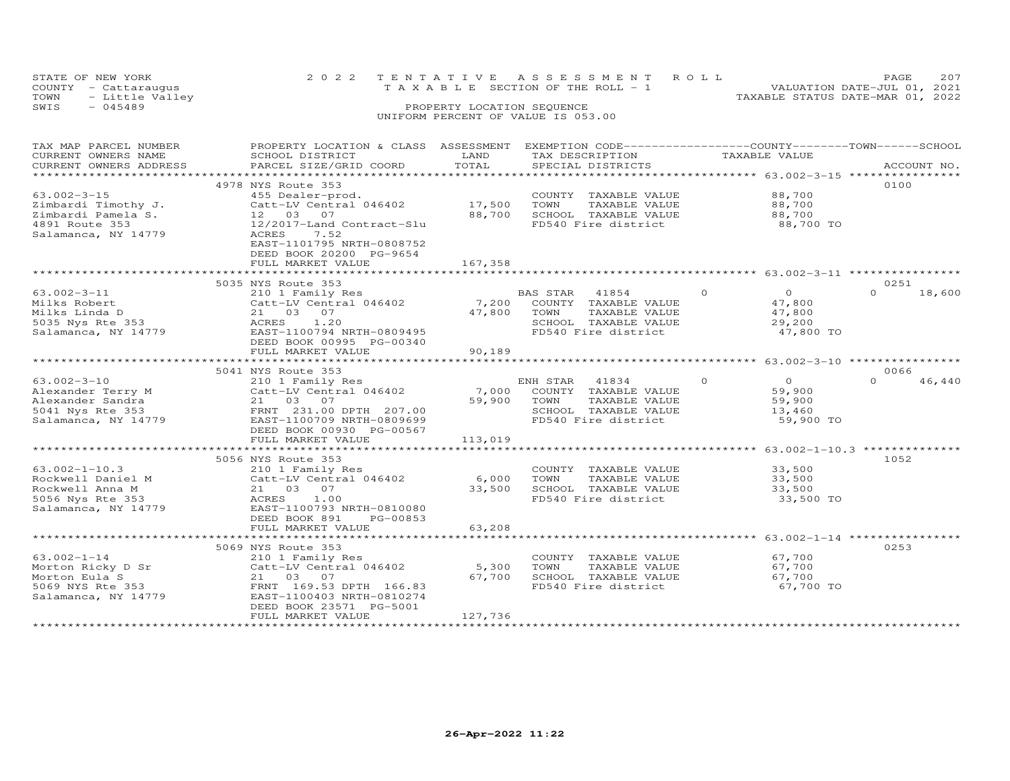| STATE OF NEW YORK    |                 | 2022 TENTATIVE ASSESSMENT ROLL     |  |  |                                  | PAGE.                       | 207 |
|----------------------|-----------------|------------------------------------|--|--|----------------------------------|-----------------------------|-----|
| COUNTY - Cattaraugus |                 | TAXABLE SECTION OF THE ROLL - 1    |  |  |                                  | VALUATION DATE-JUL 01, 2021 |     |
| TOWN                 | - Little Valley |                                    |  |  | TAXABLE STATUS DATE-MAR 01, 2022 |                             |     |
| SWIS<br>$-045489$    |                 | PROPERTY LOCATION SEQUENCE         |  |  |                                  |                             |     |
|                      |                 | UNIFORM PERCENT OF VALUE IS 053.00 |  |  |                                  |                             |     |

| TAX MAP PARCEL NUMBER<br>CURRENT OWNERS NAME<br>CURRENT OWNERS ADDRESS                                  | PROPERTY LOCATION & CLASS ASSESSMENT<br>SCHOOL DISTRICT<br>PARCEL SIZE/GRID COORD                                                                                                                                    | LAND<br>TOTAL               | EXEMPTION CODE-----------------COUNTY-------TOWN-----SCHOOL<br>TAX DESCRIPTION<br>SPECIAL DISTRICTS               | TAXABLE VALUE                                                        | ACCOUNT NO.                                                  |
|---------------------------------------------------------------------------------------------------------|----------------------------------------------------------------------------------------------------------------------------------------------------------------------------------------------------------------------|-----------------------------|-------------------------------------------------------------------------------------------------------------------|----------------------------------------------------------------------|--------------------------------------------------------------|
| ***********************                                                                                 |                                                                                                                                                                                                                      |                             |                                                                                                                   |                                                                      |                                                              |
| $63.002 - 3 - 15$<br>Zimbardi Timothy J.<br>Zimbardi Pamela S.<br>4891 Route 353<br>Salamanca, NY 14779 | 4978 NYS Route 353<br>455 Dealer-prod.<br>Catt-LV Central 046402<br>07<br>12 03<br>12/2017-Land Contract-Slu<br>7.52<br>ACRES<br>EAST-1101795 NRTH-0808752<br>DEED BOOK 20200 PG-9654<br>FULL MARKET VALUE           | 17,500<br>88,700<br>167,358 | COUNTY TAXABLE VALUE<br>TOWN<br>TAXABLE VALUE<br>SCHOOL TAXABLE VALUE<br>FD540 Fire district                      | 88,700<br>88,700<br>88,700<br>88,700 TO                              | 0100                                                         |
|                                                                                                         |                                                                                                                                                                                                                      |                             |                                                                                                                   |                                                                      |                                                              |
|                                                                                                         | 5035 NYS Route 353                                                                                                                                                                                                   |                             |                                                                                                                   |                                                                      | 0251                                                         |
| $63.002 - 3 - 11$<br>Milks Robert<br>Milks Linda D<br>5035 Nys Rte 353<br>Salamanca, NY 14779           | 210 1 Family Res<br>Catt-LV Central 046402<br>21 03<br>07<br>1,20<br>ACRES<br>EAST-1100794 NRTH-0809495<br>DEED BOOK 00995 PG-00340<br>FULL MARKET VALUE                                                             | 7,200<br>47,800<br>90,189   | 41854<br>BAS STAR<br>COUNTY TAXABLE VALUE<br>TOWN<br>TAXABLE VALUE<br>SCHOOL TAXABLE VALUE<br>FD540 Fire district | $\Omega$<br>$\circ$<br>47,800<br>47,800<br>29,200<br>47,800 TO       | $\Omega$<br>18,600                                           |
|                                                                                                         | *************************                                                                                                                                                                                            |                             |                                                                                                                   |                                                                      | ****************************** 63.002-3-10 ***************** |
| $63.002 - 3 - 10$<br>Alexander Terry M<br>Alexander Sandra<br>5041 Nys Rte 353<br>Salamanca, NY 14779   | 5041 NYS Route 353<br>210 1 Family Res<br>Catt-LV Central 046402<br>21 03 07<br>FRNT 231.00 DPTH 207.00<br>EAST-1100709 NRTH-0809699<br>DEED BOOK 00930 PG-00567<br>FULL MARKET VALUE<br>*************************** | 7,000<br>59,900<br>113,019  | ENH STAR<br>41834<br>COUNTY TAXABLE VALUE<br>TOWN<br>TAXABLE VALUE<br>SCHOOL TAXABLE VALUE<br>FD540 Fire district | $\circ$<br>$\overline{O}$<br>59,900<br>59,900<br>13,460<br>59,900 TO | 0066<br>$\Omega$<br>46,440                                   |
|                                                                                                         | 5056 NYS Route 353                                                                                                                                                                                                   |                             |                                                                                                                   |                                                                      | 1052                                                         |
| $63.002 - 1 - 10.3$<br>Rockwell Daniel M<br>Rockwell Anna M<br>5056 Nys Rte 353<br>Salamanca, NY 14779  | 210 1 Family Res<br>Catt-LV Central 046402<br>21 03<br>07<br>ACRES<br>1.00<br>EAST-1100793 NRTH-0810080<br>DEED BOOK 891<br>PG-00853                                                                                 | 6,000<br>33,500             | COUNTY TAXABLE VALUE<br>TOWN<br>TAXABLE VALUE<br>SCHOOL TAXABLE VALUE<br>FD540 Fire district                      | 33,500<br>33,500<br>33,500<br>33,500 TO                              |                                                              |
|                                                                                                         | FULL MARKET VALUE                                                                                                                                                                                                    | 63,208                      |                                                                                                                   |                                                                      |                                                              |
|                                                                                                         |                                                                                                                                                                                                                      |                             |                                                                                                                   |                                                                      |                                                              |
| $63.002 - 1 - 14$<br>Morton Ricky D Sr<br>Morton Eula S<br>5069 NYS Rte 353<br>Salamanca, NY 14779      | 5069 NYS Route 353<br>210 1 Family Res<br>Catt-LV Central 046402<br>21 03<br>07<br>FRNT 169.53 DPTH 166.83<br>EAST-1100403 NRTH-0810274<br>DEED BOOK 23571 PG-5001<br>FULL MARKET VALUE                              | 5,300<br>67,700<br>127,736  | COUNTY TAXABLE VALUE<br>TOWN<br>TAXABLE VALUE<br>SCHOOL TAXABLE VALUE<br>FD540 Fire district                      | 67,700<br>67,700<br>67,700<br>67,700 TO                              | 0253                                                         |
|                                                                                                         |                                                                                                                                                                                                                      |                             |                                                                                                                   |                                                                      |                                                              |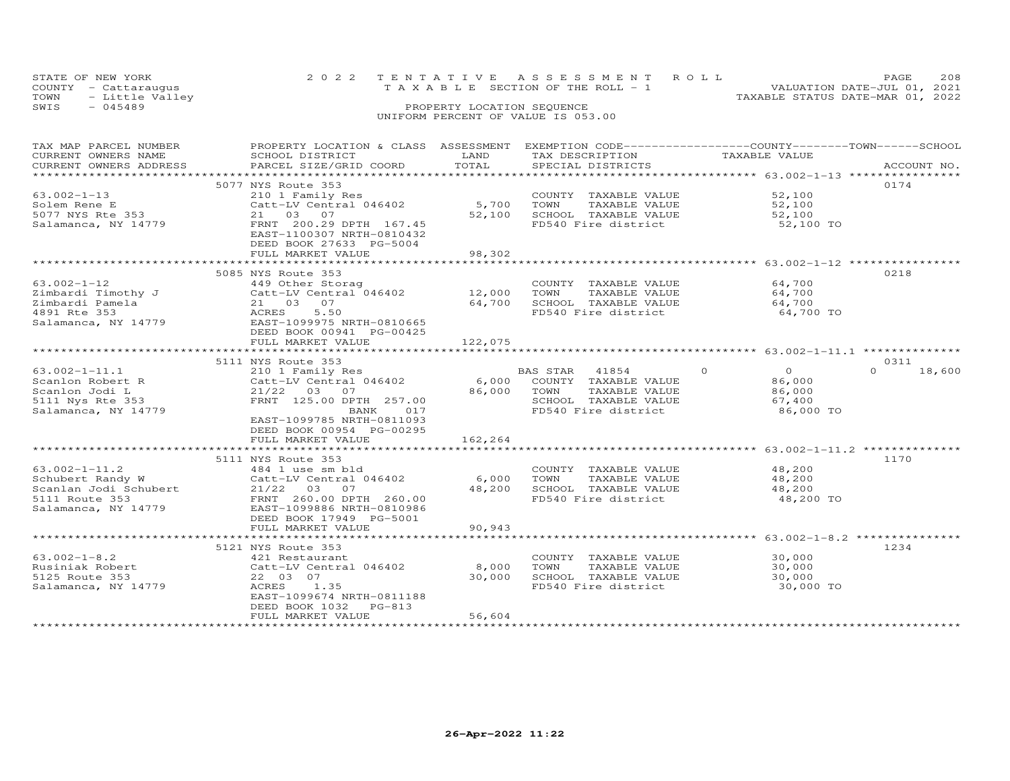|      | STATE OF NEW YORK    | 2022 TENTATIVE ASSESSMENT ROLL |                                       |  |                                  | PAGE                        | 208 |
|------|----------------------|--------------------------------|---------------------------------------|--|----------------------------------|-----------------------------|-----|
|      | COUNTY - Cattaraugus |                                | T A X A B L E SECTION OF THE ROLL - 1 |  |                                  | VALUATION DATE-JUL 01, 2021 |     |
| TOWN | - Little Valley      |                                |                                       |  | TAXABLE STATUS DATE-MAR 01, 2022 |                             |     |
| SWIS | $-045489$            |                                | PROPERTY LOCATION SEQUENCE            |  |                                  |                             |     |
|      |                      |                                | UNIFORM PERCENT OF VALUE IS 053.00    |  |                                  |                             |     |

| TAX MAP PARCEL NUMBER   | PROPERTY LOCATION & CLASS ASSESSMENT EXEMPTION CODE----------------COUNTY-------TOWN------SCHOOL |                  |                            |                                                      |                    |
|-------------------------|--------------------------------------------------------------------------------------------------|------------------|----------------------------|------------------------------------------------------|--------------------|
| CURRENT OWNERS NAME     | SCHOOL DISTRICT                                                                                  | LAND             | TAX DESCRIPTION            | TAXABLE VALUE                                        |                    |
| CURRENT OWNERS ADDRESS  | PARCEL SIZE/GRID COORD                                                                           | TOTAL            | SPECIAL DISTRICTS          |                                                      | ACCOUNT NO.        |
| *********************** |                                                                                                  |                  |                            |                                                      |                    |
|                         | 5077 NYS Route 353                                                                               |                  |                            |                                                      | 0174               |
| $63.002 - 1 - 13$       | 210 1 Family Res                                                                                 |                  | COUNTY TAXABLE VALUE       | 52,100                                               |                    |
| Solem Rene E            | Catt-LV Central 046402                                                                           | 5,700            | TOWN<br>TAXABLE VALUE      | 52,100                                               |                    |
| 5077 NYS Rte 353        | 21 03 07                                                                                         | 52,100           | SCHOOL TAXABLE VALUE       | 52,100                                               |                    |
| Salamanca, NY 14779     | FRNT 200.29 DPTH 167.45                                                                          |                  | FD540 Fire district        | 52,100 TO                                            |                    |
|                         | EAST-1100307 NRTH-0810432                                                                        |                  |                            |                                                      |                    |
|                         | DEED BOOK 27633 PG-5004                                                                          |                  |                            |                                                      |                    |
|                         | FULL MARKET VALUE                                                                                | 98,302           |                            |                                                      |                    |
|                         |                                                                                                  |                  |                            |                                                      |                    |
|                         | 5085 NYS Route 353                                                                               |                  |                            |                                                      | 0218               |
| $63.002 - 1 - 12$       | 449 Other Storag                                                                                 |                  | COUNTY TAXABLE VALUE       | 64,700                                               |                    |
|                         |                                                                                                  |                  | TOWN<br>TAXABLE VALUE      | 64,700                                               |                    |
| Zimbardi Timothy J      | Catt-LV Central 046402                                                                           | 12,000<br>64,700 |                            |                                                      |                    |
| Zimbardi Pamela         | 21 03 07                                                                                         |                  | SCHOOL TAXABLE VALUE       | 64,700                                               |                    |
| 4891 Rte 353            | ACRES<br>5.50                                                                                    |                  | FD540 Fire district        | 64,700 TO                                            |                    |
| Salamanca, NY 14779     | EAST-1099975 NRTH-0810665                                                                        |                  |                            |                                                      |                    |
|                         | DEED BOOK 00941 PG-00425                                                                         |                  |                            |                                                      |                    |
|                         | FULL MARKET VALUE                                                                                | 122,075          |                            |                                                      |                    |
|                         |                                                                                                  |                  |                            |                                                      |                    |
|                         | 5111 NYS Route 353                                                                               |                  |                            |                                                      | 0.311              |
| $63.002 - 1 - 11.1$     | 210 1 Family Res                                                                                 |                  | BAS STAR 41854             | $\circ$<br>$\overline{O}$                            | $\Omega$<br>18,600 |
| Scanlon Robert R        | Catt-LV Central 046402                                                                           |                  | 6,000 COUNTY TAXABLE VALUE | 86,000                                               |                    |
| Scanlon Jodi L          | 21/22 03 07                                                                                      | 86,000           | TOWN<br>TAXABLE VALUE      | 86,000                                               |                    |
| 5111 Nys Rte 353        | FRNT 125.00 DPTH 257.00                                                                          |                  | SCHOOL TAXABLE VALUE       | 67,400                                               |                    |
| Salamanca, NY 14779     | BANK<br>017                                                                                      |                  | FD540 Fire district        | 86,000 TO                                            |                    |
|                         | EAST-1099785 NRTH-0811093                                                                        |                  |                            |                                                      |                    |
|                         | DEED BOOK 00954 PG-00295                                                                         |                  |                            |                                                      |                    |
|                         | FULL MARKET VALUE                                                                                | 162,264          |                            |                                                      |                    |
|                         |                                                                                                  | ***********      |                            | ************************ 63.002-1-11.2 ************* |                    |
|                         | 5111 NYS Route 353                                                                               |                  |                            |                                                      | 1170               |
| $63.002 - 1 - 11.2$     | 484 1 use sm bld                                                                                 |                  | COUNTY TAXABLE VALUE       | 48,200                                               |                    |
| Schubert Randy W        | Catt-LV Central 046402                                                                           | 6,000            | TOWN<br>TAXABLE VALUE      | 48,200                                               |                    |
| Scanlan Jodi Schubert   | 21/22 03 07                                                                                      | 48,200           | SCHOOL TAXABLE VALUE       | 48,200                                               |                    |
| 5111 Route 353          | FRNT 260.00 DPTH 260.00                                                                          |                  | FD540 Fire district        | 48,200 TO                                            |                    |
| Salamanca, NY 14779     | EAST-1099886 NRTH-0810986                                                                        |                  |                            |                                                      |                    |
|                         | DEED BOOK 17949 PG-5001                                                                          |                  |                            |                                                      |                    |
|                         | FULL MARKET VALUE                                                                                | 90,943           |                            |                                                      |                    |
|                         |                                                                                                  |                  |                            |                                                      |                    |
|                         |                                                                                                  |                  |                            |                                                      |                    |
|                         | 5121 NYS Route 353                                                                               |                  |                            |                                                      | 1234               |
| $63.002 - 1 - 8.2$      | 421 Restaurant                                                                                   |                  | COUNTY TAXABLE VALUE       | 30,000                                               |                    |
| Rusiniak Robert         | Catt-LV Central 046402                                                                           | 8,000            | TOWN<br>TAXABLE VALUE      | 30,000                                               |                    |
| 5125 Route 353          | 22 03 07                                                                                         | 30,000           | SCHOOL TAXABLE VALUE       | 30,000                                               |                    |
| Salamanca, NY 14779     | ACRES<br>1.35                                                                                    |                  | FD540 Fire district        | 30,000 TO                                            |                    |
|                         | EAST-1099674 NRTH-0811188                                                                        |                  |                            |                                                      |                    |
|                         | DEED BOOK 1032<br>PG-813                                                                         |                  |                            |                                                      |                    |
|                         | FULL MARKET VALUE                                                                                | 56,604           |                            |                                                      |                    |
|                         |                                                                                                  |                  |                            |                                                      |                    |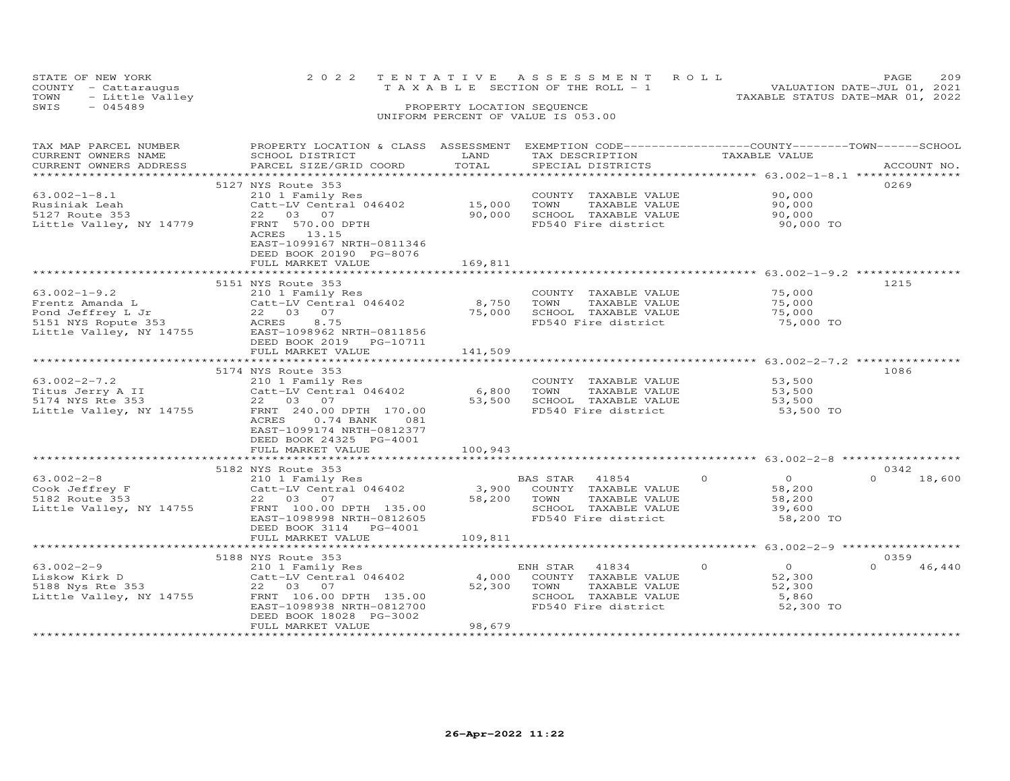|      | STATE OF NEW YORK    | 2022 TENTATIVE ASSESSMENT ROLL     | <b>PAGE</b>                 | 209 |
|------|----------------------|------------------------------------|-----------------------------|-----|
|      | COUNTY - Cattaraugus | TAXABLE SECTION OF THE ROLL - 1    | VALUATION DATE-JUL 01, 2021 |     |
| TOWN | - Little Valley      | TAXABLE STATUS DATE-MAR 01, 2022   |                             |     |
| SWIS | - 045489             | PROPERTY LOCATION SEQUENCE         |                             |     |
|      |                      | UNIFORM PERCENT OF VALUE IS 053.00 |                             |     |

| TAX MAP PARCEL NUMBER                                                                                                     | PROPERTY LOCATION & CLASS ASSESSMENT |                      | EXEMPTION CODE------------------COUNTY-------TOWN------SCHOOL |                            |                    |
|---------------------------------------------------------------------------------------------------------------------------|--------------------------------------|----------------------|---------------------------------------------------------------|----------------------------|--------------------|
| CURRENT OWNERS NAME                                                                                                       | SCHOOL DISTRICT                      | LAND                 | TAX DESCRIPTION                                               | TAXABLE VALUE              |                    |
| CURRENT OWNERS ADDRESS                                                                                                    | PARCEL SIZE/GRID COORD               | TOTAL                | SPECIAL DISTRICTS                                             |                            | ACCOUNT NO.        |
| ***********************                                                                                                   |                                      |                      |                                                               |                            |                    |
|                                                                                                                           | 5127 NYS Route 353                   |                      |                                                               |                            | 0269               |
| $63.002 - 1 - 8.1$                                                                                                        | 210 1 Family Res                     |                      | COUNTY TAXABLE VALUE                                          | 90,000                     |                    |
|                                                                                                                           |                                      |                      |                                                               |                            |                    |
| Rusiniak Leah                                                                                                             | Catt-LV Central 046402               | 15,000               | TAXABLE VALUE<br>TOWN                                         | 90,000                     |                    |
| 5127 Route 353                                                                                                            | 22 03 07                             | 90,000               | SCHOOL TAXABLE VALUE                                          | 90,000                     |                    |
| Little Valley, NY 14779                                                                                                   | FRNT 570.00 DPTH                     |                      | FD540 Fire district                                           | 90,000 TO                  |                    |
|                                                                                                                           | ACRES 13.15                          |                      |                                                               |                            |                    |
|                                                                                                                           | EAST-1099167 NRTH-0811346            |                      |                                                               |                            |                    |
|                                                                                                                           | DEED BOOK 20190 PG-8076              |                      |                                                               |                            |                    |
|                                                                                                                           | FULL MARKET VALUE                    | 169,811              |                                                               |                            |                    |
|                                                                                                                           | *************************            | ******************** |                                                               |                            |                    |
|                                                                                                                           | 5151 NYS Route 353                   |                      |                                                               |                            | 1215               |
| $63.002 - 1 - 9.2$                                                                                                        | 210 1 Family Res                     |                      | COUNTY TAXABLE VALUE                                          | 75,000                     |                    |
|                                                                                                                           | Catt-LV Central 046402               | 8,750                | TOWN<br>TAXABLE VALUE                                         | 75,000                     |                    |
|                                                                                                                           | 22 03 07                             | 75,000               | SCHOOL TAXABLE VALUE                                          | 75,000                     |                    |
| 63.002-1-9.2<br>Frentz Amanda L<br>Pond Jeffrey L Jr<br>5151 NYS Ropute 353<br>- All Constant NYS Not be 11.000 NYS 14755 | ACRES<br>8.75                        |                      | FD540 Fire district                                           | 75,000 TO                  |                    |
| Little Valley, NY 14755                                                                                                   | EAST-1098962 NRTH-0811856            |                      |                                                               |                            |                    |
|                                                                                                                           |                                      |                      |                                                               |                            |                    |
|                                                                                                                           | DEED BOOK 2019 PG-10711              |                      |                                                               |                            |                    |
|                                                                                                                           | FULL MARKET VALUE                    | 141,509              |                                                               |                            |                    |
|                                                                                                                           |                                      |                      |                                                               |                            |                    |
|                                                                                                                           | 5174 NYS Route 353                   |                      |                                                               |                            | 1086               |
| $63.002 - 2 - 7.2$                                                                                                        | 210 1 Family Res                     |                      | COUNTY TAXABLE VALUE                                          | 53,500                     |                    |
| Titus Jerry A II                                                                                                          | Catt-LV Central 046402               | 6,800                | TOWN<br>TAXABLE VALUE                                         | 53,500                     |                    |
| 5174 NYS Rte 353                                                                                                          | 22 03 07                             |                      | 53,500 SCHOOL TAXABLE VALUE                                   | 53,500                     |                    |
| Little Valley, NY 14755                                                                                                   | FRNT 240.00 DPTH 170.00              |                      | FD540 Fire district                                           | 53,500 TO                  |                    |
|                                                                                                                           | ACRES<br>$0.74$ BANK<br>081          |                      |                                                               |                            |                    |
|                                                                                                                           | EAST-1099174 NRTH-0812377            |                      |                                                               |                            |                    |
|                                                                                                                           | DEED BOOK 24325 PG-4001              |                      |                                                               |                            |                    |
|                                                                                                                           | FULL MARKET VALUE                    | 100,943              |                                                               |                            |                    |
|                                                                                                                           |                                      |                      |                                                               |                            |                    |
|                                                                                                                           |                                      |                      |                                                               |                            |                    |
|                                                                                                                           | 5182 NYS Route 353                   |                      |                                                               |                            | 0342<br>$\Omega$   |
| $63.002 - 2 - 8$                                                                                                          | 210 1 Family Res                     |                      | BAS STAR<br>41854                                             | $\Omega$<br>$\overline{0}$ | 18,600             |
| Cook Jeffrey F                                                                                                            | Catt-LV Central 046402               |                      | 3,900 COUNTY TAXABLE VALUE                                    | 58,200                     |                    |
| 5182 Route 353                                                                                                            | 22 03 07                             | 58,200 TOWN          | TAXABLE VALUE                                                 | 58,200                     |                    |
| Little Valley, NY 14755                                                                                                   | FRNT 100.00 DPTH 135.00              |                      | SCHOOL TAXABLE VALUE                                          | 39,600                     |                    |
|                                                                                                                           | EAST-1098998 NRTH-0812605            |                      | FD540 Fire district                                           | 58,200 TO                  |                    |
|                                                                                                                           | DEED BOOK 3114 PG-4001               |                      |                                                               |                            |                    |
|                                                                                                                           | FULL MARKET VALUE                    | 109,811              |                                                               |                            |                    |
|                                                                                                                           |                                      |                      |                                                               |                            |                    |
|                                                                                                                           | 5188 NYS Route 353                   |                      |                                                               |                            | 0359               |
| $63.002 - 2 - 9$                                                                                                          | 210 1 Family Res                     |                      | ENH STAR<br>41834                                             | $\circ$<br>$\overline{0}$  | $\Omega$<br>46,440 |
| Liskow Kirk D                                                                                                             | Catt-LV Central 046402               | 4,000                | COUNTY TAXABLE VALUE                                          | 52,300                     |                    |
| 5188 Nys Rte 353                                                                                                          | 22 03 07                             | 52,300               | TAXABLE VALUE<br>TOWN                                         | 52,300                     |                    |
| Little Valley, NY 14755                                                                                                   | FRNT 106.00 DPTH 135.00              |                      | SCHOOL TAXABLE VALUE                                          | 5,860                      |                    |
|                                                                                                                           | EAST-1098938 NRTH-0812700            |                      | FD540 Fire district                                           | 52,300 TO                  |                    |
|                                                                                                                           |                                      |                      |                                                               |                            |                    |
|                                                                                                                           | DEED BOOK 18028 PG-3002              |                      |                                                               |                            |                    |
|                                                                                                                           | FULL MARKET VALUE                    | 98,679               |                                                               |                            |                    |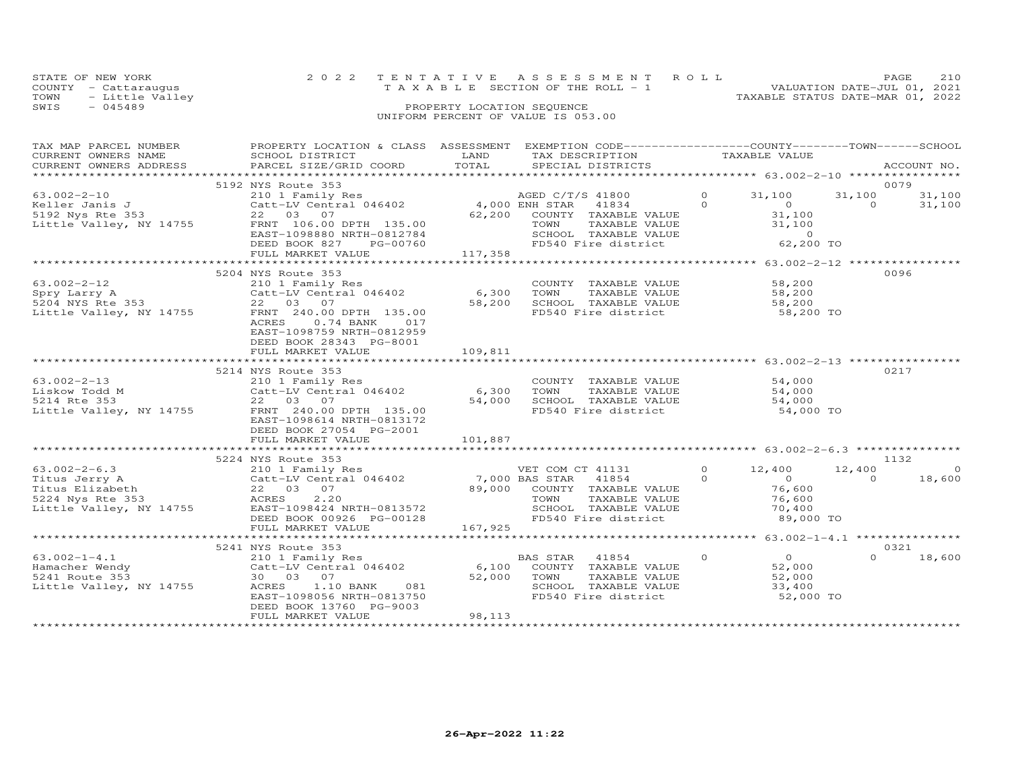|      | STATE OF NEW YORK    |  | 2022 TENTATIVE ASSESSMENT ROLL     |                                  | <b>PAGE</b> | 210 |
|------|----------------------|--|------------------------------------|----------------------------------|-------------|-----|
|      | COUNTY - Cattaraugus |  | TAXABLE SECTION OF THE ROLL - 1    | VALUATION DATE-JUL 01, 2021      |             |     |
|      | TOWN - Little Valley |  |                                    | TAXABLE STATUS DATE-MAR 01, 2022 |             |     |
| SWTS | - 045489             |  | PROPERTY LOCATION SEQUENCE         |                                  |             |     |
|      |                      |  | UNIFORM PERCENT OF VALUE IS 053.00 |                                  |             |     |

| TAX MAP PARCEL NUMBER<br>CURRENT OWNERS NAME                                      | PROPERTY LOCATION & CLASS ASSESSMENT EXEMPTION CODE----------------COUNTY-------TOWN------SCHOOL<br>SCHOOL DISTRICT                                                                                                                                                             | LAND                                        | TAX DESCRIPTION                                                                                                                                    |                            | TAXABLE VALUE                                             |                            |                    |
|-----------------------------------------------------------------------------------|---------------------------------------------------------------------------------------------------------------------------------------------------------------------------------------------------------------------------------------------------------------------------------|---------------------------------------------|----------------------------------------------------------------------------------------------------------------------------------------------------|----------------------------|-----------------------------------------------------------|----------------------------|--------------------|
| CURRENT OWNERS ADDRESS                                                            | PARCEL SIZE/GRID COORD                                                                                                                                                                                                                                                          | TOTAL                                       | SPECIAL DISTRICTS                                                                                                                                  |                            |                                                           |                            | ACCOUNT NO.        |
|                                                                                   |                                                                                                                                                                                                                                                                                 | ************************                    | ************************ 63.002-2-10 *****************                                                                                             |                            |                                                           |                            |                    |
| $63.002 - 2 - 10$<br>Keller Janis J<br>5192 Nys Rte 353                           | 5192 NYS Route 353<br>210 1 Family Res<br>Catt-LV Central 046402 (4,000 ENH STAR 41834<br>22 03 07 (62,200 COUNTY TAXABLE<br>5192 Nys Rte 353<br>Little Valley, NY 14755 FRNT 106.00 DPTH 135.00<br>EAST-1098880 NRTH-0812784<br>DEED BOOK 827<br>PG-00760<br>FULL MARKET VALUE | 2784<br>0760<br>117,358                     | 62,200 COUNTY TAXABLE VALUE<br>CONN TAXABLE VALUE 31,100<br>SCHOOL TAXABLE VALUE 31,100<br>FD540 Fire district 62,200 TO                           | $\overline{0}$<br>$\Omega$ | 31,100<br>$\overline{a}$<br>$31,100$<br>$31,100$          | 0079<br>31,100<br>$\Omega$ | 31,100<br>31,100   |
|                                                                                   |                                                                                                                                                                                                                                                                                 |                                             |                                                                                                                                                    |                            | ******************* 63.002-2-12 *****************         |                            |                    |
| 63.002-2-12<br>Little Valley, NY 14755                                            | 5204 NYS Route 353<br>210 1 Family Res<br>FRNT 240.00 DPTH 135.00<br>ACRES<br>$0.74$ BANK<br>017<br>EAST-1098759 NRTH-0812959<br>DEED BOOK 28343 PG-8001<br>FULL MARKET VALUE                                                                                                   | 6,300<br>58,200<br>109,811                  | COUNTY TAXABLE VALUE<br>TOWN<br>TAXABLE VALUE 58,200<br>SCHOOL TAXABLE VALUE<br>FD540 Fire district                                                |                            | 58,200<br>58,200<br>58,200 TO                             | 0096                       |                    |
|                                                                                   | *****************************                                                                                                                                                                                                                                                   |                                             | ***********************************63.002-2-13 ***********                                                                                         |                            |                                                           |                            |                    |
| 63.002-2-13<br>Liskow Todd M<br>5214 Rte 353                                      | 5214 NYS Route 353<br>210 1 Family Res<br>Catt-LV Central 046402<br>22 03 07<br>Little Valley, NY 14755 FRNT 240.00 DPTH 135.00<br>EAST-1098614 NRTH-0813172<br>DEED BOOK 27054 PG-2001<br>FULL MARKET VALUE<br>**************************                                      | 6,300<br>54,000<br>101,887<br>************* | COUNTY TAXABLE VALUE 54,000<br>TOWN<br>TAXABLE VALUE<br>SCHOOL TAXABLE VALUE<br>FD540 Fire district 54,000 TO                                      |                            | $54,000$<br>$54,000$                                      | 0217                       |                    |
|                                                                                   | 5224 NYS Route 353                                                                                                                                                                                                                                                              |                                             |                                                                                                                                                    |                            |                                                           | 1132                       |                    |
| $63.002 - 2 - 6.3$<br>Titus Jerry A<br>Titus Elizabeth                            | 210 1 Family Res<br>Catt-LV Central 046402 7,000 BAS STAR 41854<br>22 03 07 89,000 COUNTY TAXABLE<br>ACRES 2.20 7 89,000 COUNTY TAXABLE<br>ACRES 2.20<br>Little Valley, NY 14755 EAST-1098424 NRTH-0813572<br>DEED BOOK 00926 PG-00128<br>FULL MARKET VALUE                     |                                             | VET COM CT 41131 0 12,400<br>89,000 COUNTY TAXABLE VALUE 76,600<br>TOWN TAXABLE VALUE 76,600<br>SCHOOL TAXABLE VALUE 70,400<br>FD540 Fire district | $\circ$                    | $\overline{O}$<br>89,000 TO                               | 12,400<br>$\Omega$         | $\Omega$<br>18,600 |
|                                                                                   |                                                                                                                                                                                                                                                                                 | 167,925                                     |                                                                                                                                                    |                            |                                                           |                            |                    |
|                                                                                   | 5241 NYS Route 353                                                                                                                                                                                                                                                              |                                             |                                                                                                                                                    |                            |                                                           | 0321                       |                    |
| $63.002 - 1 - 4.1$<br>Hamacher Wendy<br>5241 Route 353<br>Little Valley, NY 14755 | 210 1 Family Res<br>210 1 Family Res<br>Catt-LV Central 046402<br>30 03 07<br>30  03  07<br>ACRES 1.10 BANK<br>081<br>EAST-1098056 NRTH-0813750<br>DEED BOOK 13760 PG-9003<br>FULL MARKET VALUE                                                                                 | 52,000<br>98,113                            | BAS STAR 41854<br>6,100 COUNTY TAXABLE VALUE<br>TOWN<br>TAXABLE VALUE<br>SCHOOL TAXABLE VALUE<br>FD540 Fire district                               | $\circ$                    | $\overline{0}$<br>52,000<br>52,000<br>33,400<br>52,000 TO | $\Omega$                   | 18,600             |
|                                                                                   |                                                                                                                                                                                                                                                                                 |                                             |                                                                                                                                                    |                            |                                                           |                            |                    |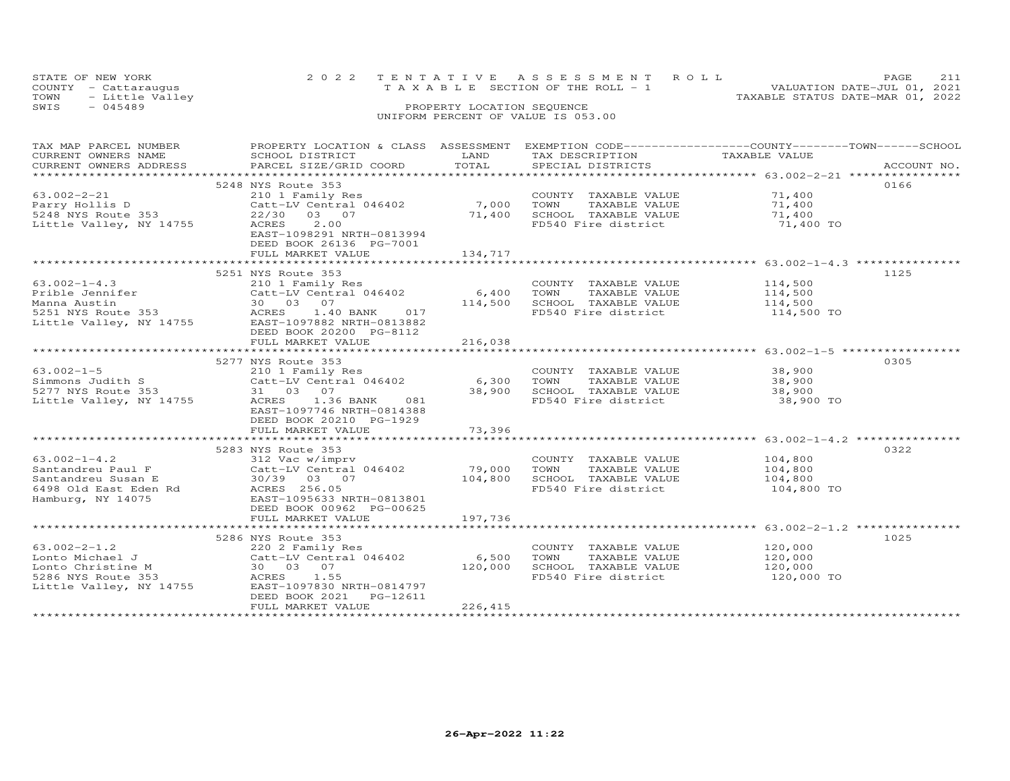|      | STATE OF NEW YORK    |  | 2022 TENTATIVE ASSESSMENT ROLL     | PAGE.                            | 211 |
|------|----------------------|--|------------------------------------|----------------------------------|-----|
|      | COUNTY - Cattaraugus |  | TAXABLE SECTION OF THE ROLL - 1    | VALUATION DATE-JUL 01, 2021      |     |
|      | TOWN - Little Valley |  |                                    | TAXABLE STATUS DATE-MAR 01, 2022 |     |
| SWIS | - 045489             |  | PROPERTY LOCATION SEQUENCE         |                                  |     |
|      |                      |  | UNIFORM PERCENT OF VALUE IS 053.00 |                                  |     |

| TAX MAP PARCEL NUMBER                                                                                                 | PROPERTY LOCATION & CLASS ASSESSMENT                                                                                                                                                                                                                                    |                           | EXEMPTION CODE-----------------COUNTY-------TOWN------SCHOOL                                                                                                 |                                              |      |
|-----------------------------------------------------------------------------------------------------------------------|-------------------------------------------------------------------------------------------------------------------------------------------------------------------------------------------------------------------------------------------------------------------------|---------------------------|--------------------------------------------------------------------------------------------------------------------------------------------------------------|----------------------------------------------|------|
| $63.002 - 2 - 21$<br>Parry Hollis D<br>Parry Hollis D<br>5248 NYS Route 353<br>11 NY 14755<br>Little Valley, NY 14755 | 5248 NYS Route 353<br>22/30 03 07<br>ACRES 2.00<br>EAST-1098291 NRTH-0813994<br>DEED BOOK 26136 PG-7001<br>FULL MARKET VALUE                                                                                                                                            | 134,717                   | COUNTY TAXABLE VALUE 71,400<br>7,000 TOWN TAXABLE VALUE 71,400<br>71,400 SCHOOL TAXABLE VALUE 71,400<br>FD540 Fire district 71,400 TO                        |                                              | 0166 |
|                                                                                                                       |                                                                                                                                                                                                                                                                         |                           |                                                                                                                                                              |                                              |      |
| $63.002 - 1 - 4.3$                                                                                                    | 5251 NYS Route 353<br>210 1 Family Res<br>03.002-1-4.3<br>Prible Jennifer<br>Manna Austin (1993)<br>Sacret-LV Central 046402 6,400<br>Manna Austin (1998)<br>Sacret ACRES 1.40 BANK 017<br>Little Valley, NY 14755 EAST-1097882 NRTH-0813882<br>DEED BOOK 20200 PG-8112 |                           | COUNTY TAXABLE VALUE<br>TOWN TAXABLE VALUE 114,500<br>SCHOOL TAXABLE VALUE 114,500<br>FD540 Fire district 114,500 TO<br>TOWN<br>114,500 SCHOOL TAXABLE VALUE | 114,500                                      | 1125 |
|                                                                                                                       | FULL MARKET VALUE                                                                                                                                                                                                                                                       | 216,038                   |                                                                                                                                                              |                                              |      |
| $63.002 - 1 - 5$<br>Little Valley, NY 14755                                                                           | 5277 NYS Route 353<br>210 1 Family Res<br>ACRES 1.36 BANK<br>081<br>EAST-1097746 NRTH-0814388<br>DEED BOOK 20210 PG-1929<br>FULL MARKET VALUE                                                                                                                           | 6,300<br>38,900<br>73,396 | COUNTY TAXABLE VALUE 38,900<br>TOWN                                                                                                                          | TAXABLE VALUE 38,900<br>TAXABLE VALUE 38,900 | 0305 |
|                                                                                                                       |                                                                                                                                                                                                                                                                         | ************              |                                                                                                                                                              |                                              |      |
|                                                                                                                       | 5283 NYS Route 353<br>DEED BOOK 00962 PG-00625                                                                                                                                                                                                                          | 79,000<br>104,800         | COUNTY TAXABLE VALUE 104,800<br>TOWN<br>TAXABLE VALUE<br>SCHOOL TAXABLE VALUE 104,800<br>FD540 Fire district                                                 | 104,800<br>104,800 TO                        | 0322 |
|                                                                                                                       | FULL MARKET VALUE                                                                                                                                                                                                                                                       | 197,736                   |                                                                                                                                                              |                                              |      |
|                                                                                                                       | 5286 NYS Route 353<br>63.002-2-1.2<br>Lonto Michael J<br>Lonto Christine M<br>220 2 Family Res<br>Catt-LV Central 046402 6,500<br>5286 NYS Route 353<br>Little Valley, NY 14755<br>EAST-1097830 NRTH-0814797<br>DEED BOOK 2021<br>PG-12611<br>FULL MARKET VALUE         | 226,415                   | COUNTY TAXABLE VALUE<br>TOWN<br>TAXABLE VALUE<br>SCHOOL TAXABLE VALUE 120,000<br>FD540 Fire district                                                         | 120,000<br>120,000<br>120,000 TO             | 1025 |
|                                                                                                                       |                                                                                                                                                                                                                                                                         |                           |                                                                                                                                                              |                                              |      |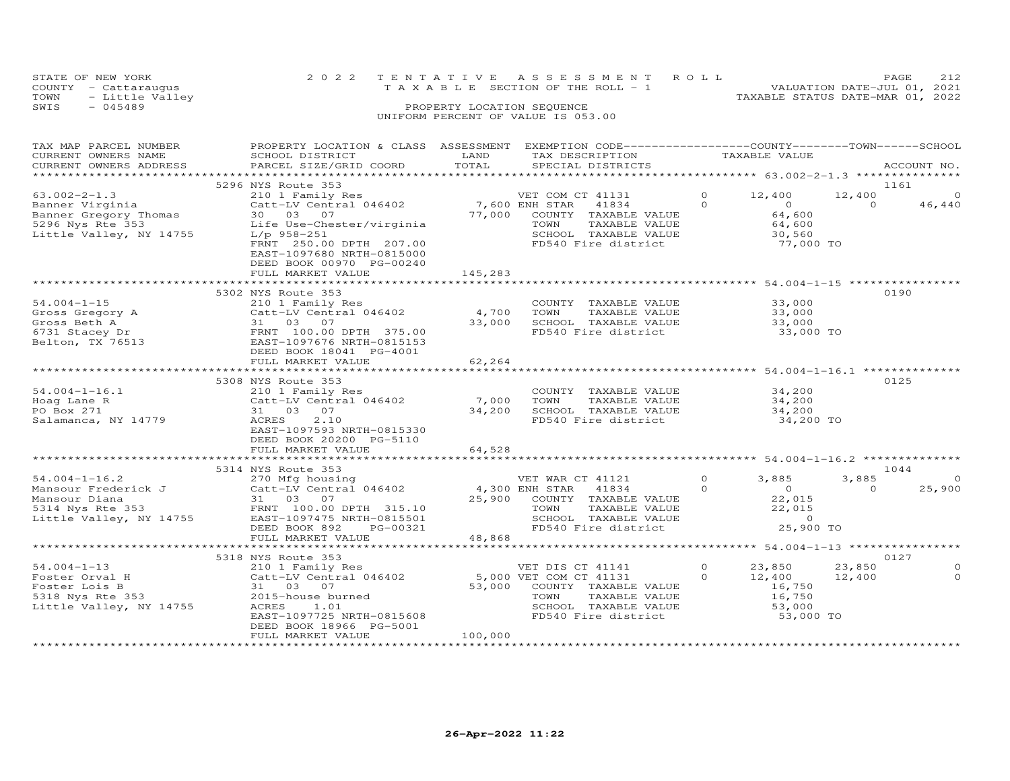|      | STATE OF NEW YORK    |  |  |  |  |                                    |  |  |  | 2022 TENTATIVE ASSESSMENT ROLL |                                  |  | <b>PAGE</b>                 | 2.12 |
|------|----------------------|--|--|--|--|------------------------------------|--|--|--|--------------------------------|----------------------------------|--|-----------------------------|------|
|      | COUNTY - Cattaraugus |  |  |  |  | TAXABLE SECTION OF THE ROLL - 1    |  |  |  |                                |                                  |  | VALUATION DATE-JUL 01, 2021 |      |
| TOWN | - Little Valley      |  |  |  |  |                                    |  |  |  |                                | TAXABLE STATUS DATE-MAR 01, 2022 |  |                             |      |
| SWIS | $-045489$            |  |  |  |  | PROPERTY LOCATION SEQUENCE         |  |  |  |                                |                                  |  |                             |      |
|      |                      |  |  |  |  | UNIFORM PERCENT OF VALUE IS 053.00 |  |  |  |                                |                                  |  |                             |      |

# TAX MAP PARCEL NUMBER PROPERTY LOCATION & CLASS ASSESSMENT EXEMPTION CODE------------------COUNTY--------TOWN------SCHOOL CURRENT OWNERS NAME SCHOOL DISTRICT LAND TAX DESCRIPTION TAXABLE VALUE CURRENT OWNERS ADDRESS PARCEL SIZE/GRID COORD TOTAL SPECIAL DISTRICTS ACCOUNT NO. \*\*\*\*\*\*\*\*\*\*\*\*\*\*\*\*\*\*\*\*\*\*\*\*\*\*\*\*\*\*\*\*\*\*\*\*\*\*\*\*\*\*\*\*\*\*\*\*\*\*\*\*\*\*\*\*\*\*\*\*\*\*\*\*\*\*\*\*\*\*\*\*\*\*\*\*\*\*\*\*\*\*\*\*\*\*\*\*\*\*\*\*\*\*\*\*\*\*\*\*\*\*\* 63.002-2-1.3 \*\*\*\*\*\*\*\*\*\*\*\*\*\*\*5296 NYS Route 353<br>
Banner Virginia 210 12,400<br>
Banner Virginia 211 21,400<br>
Banner Gregory Thomas 30 03 07 77,000 COUNTY TAXABLE VALUE<br>
5296 Nys Rte 353 Life Use-Chester/virginia 77,000 COUNTY TAXABLE VALUE 64,600<br>
5296 Ny DEED BOOK 00970 PG-00240FULL MARKET VALUE 145,283 \*\*\*\*\*\*\*\*\*\*\*\*\*\*\*\*\*\*\*\*\*\*\*\*\*\*\*\*\*\*\*\*\*\*\*\*\*\*\*\*\*\*\*\*\*\*\*\*\*\*\*\*\*\*\*\*\*\*\*\*\*\*\*\*\*\*\*\*\*\*\*\*\*\*\*\*\*\*\*\*\*\*\*\*\*\*\*\*\*\*\*\*\*\*\*\*\*\*\*\*\*\*\* 54.004-1-15 \*\*\*\*\*\*\*\*\*\*\*\*\*\*\*\* 5302 NYS Route 353 019054.004-1-15 210 1 Family Res COUNTY TAXABLE VALUE 33,000 Gross Gregory A Catt-LV Central 046402 4,700 TOWN TAXABLE VALUE 33,000 Gross Beth A 31 03 07 33,000 SCHOOL TAXABLE VALUE 33,000 6731 Stacey Dr FRNT 100.00 DPTH 375.00 FD540 Fire district 33,000 TOGross Gregory A<br>
Gross Beth A<br>
Similar Catt-LV Central 046402<br>
Gross Beth A<br>
31 03 07<br>
EAST-1097676 NRTH-0815153<br>
EAST-1097676 NRTH-0815153 DEED BOOK 18041 PG-4001 FULL MARKET VALUE 62,264 \*\*\*\*\*\*\*\*\*\*\*\*\*\*\*\*\*\*\*\*\*\*\*\*\*\*\*\*\*\*\*\*\*\*\*\*\*\*\*\*\*\*\*\*\*\*\*\*\*\*\*\*\*\*\*\*\*\*\*\*\*\*\*\*\*\*\*\*\*\*\*\*\*\*\*\*\*\*\*\*\*\*\*\*\*\*\*\*\*\*\*\*\*\*\*\*\*\*\*\*\*\*\* 54.004-1-16.1 \*\*\*\*\*\*\*\*\*\*\*\*\*\* 5308 NYS Route 353 012554.004-1-16.1 210 1 Family Res COUNTY TAXABLE VALUE 34,200Hoag Lane R Catt-LV Central 046402 7,000 TOWN TAXABLE VALUE 34,200PO Box 271 31 03 07 34,200 SCHOOL TAXABLE VALUE 34,200Salamanca, NY 14779 ACRES 2.10 FD540 Fire district 34,200 TO EAST-1097593 NRTH-0815330 DEED BOOK 20200 PG-5110FULL MARKET VALUE 64,528 \*\*\*\*\*\*\*\*\*\*\*\*\*\*\*\*\*\*\*\*\*\*\*\*\*\*\*\*\*\*\*\*\*\*\*\*\*\*\*\*\*\*\*\*\*\*\*\*\*\*\*\*\*\*\*\*\*\*\*\*\*\*\*\*\*\*\*\*\*\*\*\*\*\*\*\*\*\*\*\*\*\*\*\*\*\*\*\*\*\*\*\*\*\*\*\*\*\*\*\*\*\*\* 54.004-1-16.2 \*\*\*\*\*\*\*\*\*\*\*\*\*\*5314 NYS Route 353<br>
Mansour Frederick J and the Catt-LV Central 046402<br>
Mansour Diana 31 03 07<br>
Mansour Diana 31 03 07<br>
ERNT 100.00 DPTH 315.10 25,900 COUNTY TAXABLE VALUE<br>
5314 NYS Route 353<br>
STAN 22,015<br>
ERST-1097475 NRT 5318 NYS Route 353 0127 54.004-1-13 210 1 Family Res VET DIS CT 41141 0 23,850 23,850 0 Foster Orval H Catt-LV Central 046402 5,000 VET COM CT 41131 0 12,400 12,400 0 Foster Lois B 31 03 07 53,000 COUNTY TAXABLE VALUE 16,750 5318 Nys Rte 353 2015-house burned TOWN TAXABLE VALUE 16,750 Little Valley, NY 14755 ACRES 1.01 SCHOOL TAXABLE VALUE 53,000 EAST-1097725 NRTH-0815608 FD540 Fire district 53,000 TO DEED BOOK 18966 PG-5001

\*\*\*\*\*\*\*\*\*\*\*\*\*\*\*\*\*\*\*\*\*\*\*\*\*\*\*\*\*\*\*\*\*\*\*\*\*\*\*\*\*\*\*\*\*\*\*\*\*\*\*\*\*\*\*\*\*\*\*\*\*\*\*\*\*\*\*\*\*\*\*\*\*\*\*\*\*\*\*\*\*\*\*\*\*\*\*\*\*\*\*\*\*\*\*\*\*\*\*\*\*\*\*\*\*\*\*\*\*\*\*\*\*\*\*\*\*\*\*\*\*\*\*\*\*\*\*\*\*\*\*\*

FULL MARKET VALUE 100,000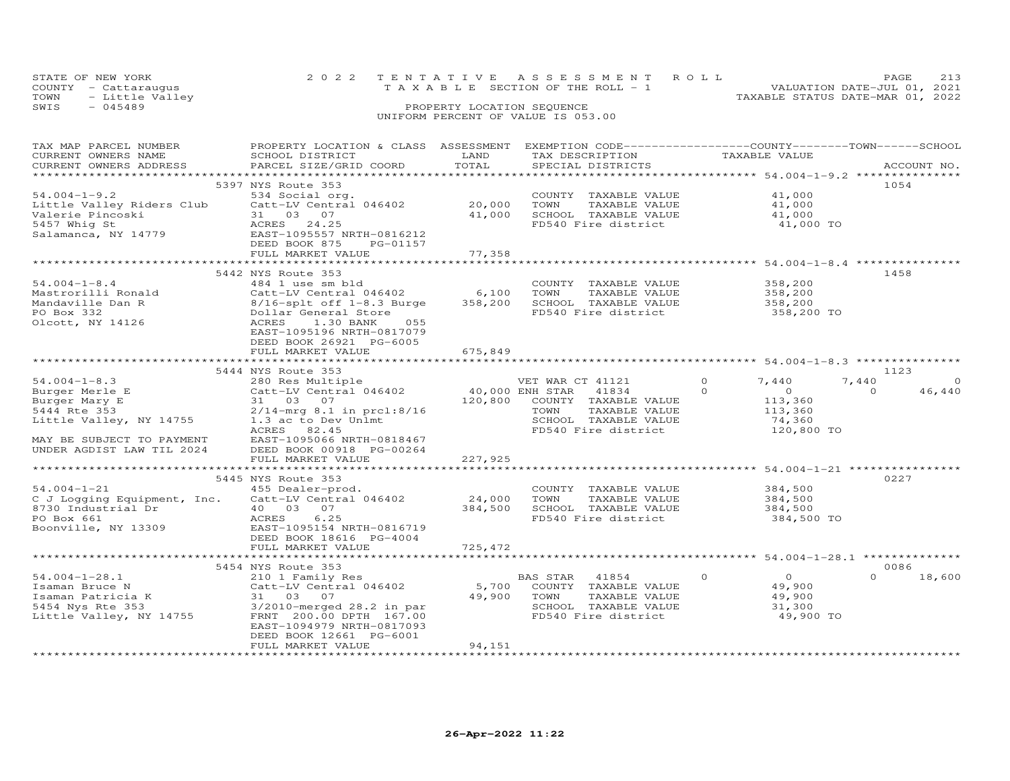|      | STATE OF NEW YORK    |  | 2022 TENTATIVE ASSESSMENT ROLL  |  |                                  | PAGE. |  |
|------|----------------------|--|---------------------------------|--|----------------------------------|-------|--|
|      | COUNTY - Cattaraugus |  | TAXABLE SECTION OF THE ROLL - 1 |  | VALUATION DATE-JUL 01, 2021      |       |  |
| TOWN | - Little Valley      |  |                                 |  | TAXABLE STATUS DATE-MAR 01, 2022 |       |  |
| SWIS | - 045489             |  | PROPERTY LOCATION SEQUENCE      |  |                                  |       |  |

UNIFORM PERCENT OF VALUE IS 053.00

DEED BOOK 12661 PG-6001

FULL MARKET VALUE 94,151

### TAX MAP PARCEL NUMBER PROPERTY LOCATION & CLASS ASSESSMENT EXEMPTION CODE------------------COUNTY--------TOWN------SCHOOL CURRENT OWNERS NAME SCHOOL DISTRICT LAND TAX DESCRIPTION TAXABLE VALUE CURRENT OWNERS ADDRESS PARCEL SIZE/GRID COORD TOTAL SPECIAL DISTRICTS ACCOUNT NO. \*\*\*\*\*\*\*\*\*\*\*\*\*\*\*\*\*\*\*\*\*\*\*\*\*\*\*\*\*\*\*\*\*\*\*\*\*\*\*\*\*\*\*\*\*\*\*\*\*\*\*\*\*\*\*\*\*\*\*\*\*\*\*\*\*\*\*\*\*\*\*\*\*\*\*\*\*\*\*\*\*\*\*\*\*\*\*\*\*\*\*\*\*\*\*\*\*\*\*\*\*\*\* 54.004-1-9.2 \*\*\*\*\*\*\*\*\*\*\*\*\*\*\*5397 NYS Route 353<br>534 Social org. 1999 COUNTY TAXABLE VALUE 41,000 41,000 54.004-1-9.2 534 Social org. COUNTY TAXABLE VALUE 41,000Little Valley Riders Club Catt-LV Central 046402 20,000 TOWN TAXABLE VALUE 41,000Valerie Pincoski 31 03 07 41,000 SCHOOL TAXABLE VALUE 41,0005457 Whig St ACRES 24.25 FD540 Fire district 41,000 TO41,000 41,000 41,000 TO Salamanca, NY 14779 EAST-1095557 NRTH-0816212 DEED BOOK 875 PG-01157FULL MARKET VALUE 77,358 \*\*\*\*\*\*\*\*\*\*\*\*\*\*\*\*\*\*\*\*\*\*\*\*\*\*\*\*\*\*\*\*\*\*\*\*\*\*\*\*\*\*\*\*\*\*\*\*\*\*\*\*\*\*\*\*\*\*\*\*\*\*\*\*\*\*\*\*\*\*\*\*\*\*\*\*\*\*\*\*\*\*\*\*\*\*\*\*\*\*\*\*\*\*\*\*\*\*\*\*\*\*\* 54.004-1-8.4 \*\*\*\*\*\*\*\*\*\*\*\*\*\*\* 5442 NYS Route 353 145854.004-1-8.4 484 1 use sm bld COUNTY TAXABLE VALUE 358,200 Mastrorilli Ronald Catt-LV Central 046402 6,100 TOWN TAXABLE VALUE 358,200 Mandaville Dan R 8/16-splt off 1-8.3 Burge 358,200 SCHOOL TAXABLE VALUE 358,200 PO Box 332 Dollar General Store FD540 Fire district 358,200 TOOlcott, NY 14126 ACRES 1.30 BANK 055 EAST-1095196 NRTH-0817079 DEED BOOK 26921 PG-6005 FULL MARKET VALUE 675,849 \*\*\*\*\*\*\*\*\*\*\*\*\*\*\*\*\*\*\*\*\*\*\*\*\*\*\*\*\*\*\*\*\*\*\*\*\*\*\*\*\*\*\*\*\*\*\*\*\*\*\*\*\*\*\*\*\*\*\*\*\*\*\*\*\*\*\*\*\*\*\*\*\*\*\*\*\*\*\*\*\*\*\*\*\*\*\*\*\*\*\*\*\*\*\*\*\*\*\*\*\*\*\* 54.004-1-8.3 \*\*\*\*\*\*\*\*\*\*\*\*\*\*\*54.004-1-8.3 5444 NYS Route 353 280 Res Multiple<br>
Burger Merle E Catt-LV Central 046402 40,000 ENH STAR 41834 0 0 0 0 46,440<br>
Burger Mary E 31 03 07 120,800 COUNTY TAXABLE VALUE 113,360<br>
5444 Rte 353 2/14-mrg 8.1 in prcl:8  $7,440$  0 46,440 MAY BE SUBJECT TO PAYMENT EAST-1095066 NRTH-0818467 UNDER AGDIST LAW TIL 2024 DEED BOOK 00918 PG-00264 FULL MARKET VALUE 227,925 \*\*\*\*\*\*\*\*\*\*\*\*\*\*\*\*\*\*\*\*\*\*\*\*\*\*\*\*\*\*\*\*\*\*\*\*\*\*\*\*\*\*\*\*\*\*\*\*\*\*\*\*\*\*\*\*\*\*\*\*\*\*\*\*\*\*\*\*\*\*\*\*\*\*\*\*\*\*\*\*\*\*\*\*\*\*\*\*\*\*\*\*\*\*\*\*\*\*\*\*\*\*\* 54.004-1-21 \*\*\*\*\*\*\*\*\*\*\*\*\*\*\*\*5445 NYS Route 353<br>227 - 15445 ASS 0227 - 1545 Dealer-prod 54.004-1-21 455 Dealer-prod. COUNTY TAXABLE VALUE 384,500 PO Box 661 ACRES 6.25 FD540 Fire district 384,500 TOC J Logging Equipment, Inc. Catt-LV Central 046402 24,000 TOWN TAXABLE VALUE 384,500<br>8730 Industrial Dr 40 03 07 384,500 SCHOOL TAXABLE VALUE Boonville, NY 13309 EAST-1095154 NRTH-0816719 DEED BOOK 18616 PG-4004 FULL MARKET VALUE 725,472 \*\*\*\*\*\*\*\*\*\*\*\*\*\*\*\*\*\*\*\*\*\*\*\*\*\*\*\*\*\*\*\*\*\*\*\*\*\*\*\*\*\*\*\*\*\*\*\*\*\*\*\*\*\*\*\*\*\*\*\*\*\*\*\*\*\*\*\*\*\*\*\*\*\*\*\*\*\*\*\*\*\*\*\*\*\*\*\*\*\*\*\*\*\*\*\*\*\*\*\*\*\*\* 54.004-1-28.1 \*\*\*\*\*\*\*\*\*\*\*\*\*\*5454 NYS Route 353 0086 54.004-1-28.1 210 1 Family Res BAS STAR 41854 0 0 0 18,600 Isaman Bruce N Catt-LV Central 046402 5,700 COUNTY TAXABLE VALUE 49,900 Isaman Patricia K 31 03 07 49,900 TOWN TAXABLE VALUE 49,900 5454 Nys Rte 353 3/2010-merged 28.2 in par SCHOOL TAXABLE VALUE 31,300 Little Valley, NY 14755 FRNT 200.00 DPTH 167.00 FD540 Fire district 49,900 TO EAST-1094979 NRTH-0817093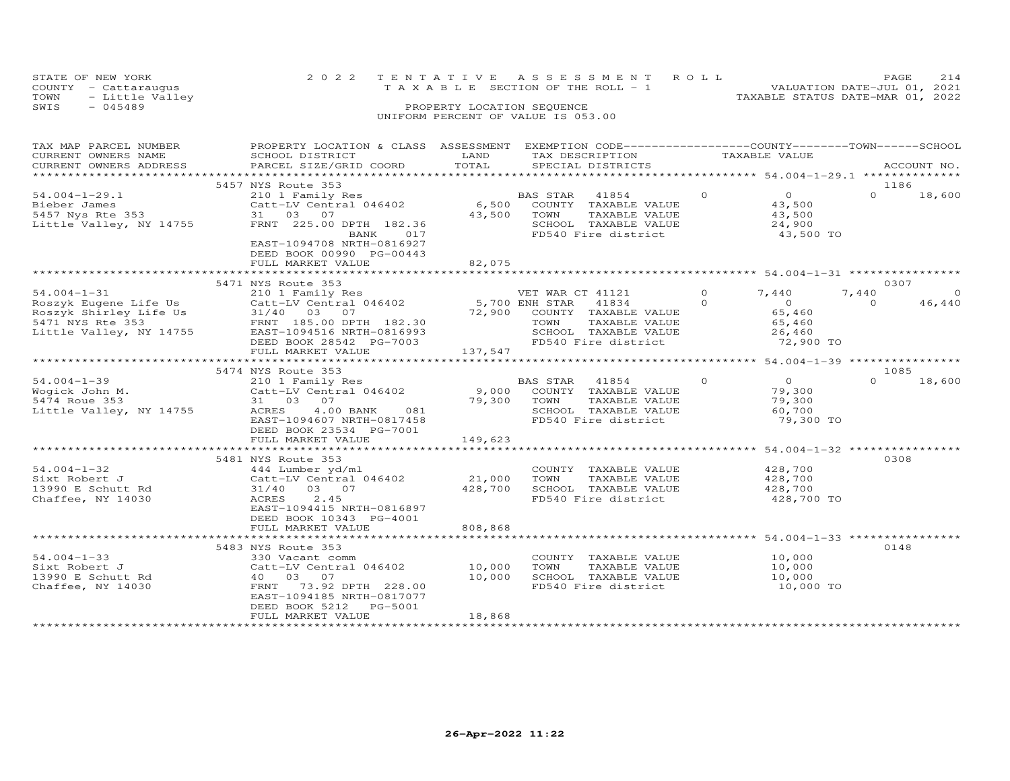|      | STATE OF NEW YORK    | 2022 TENTATIVE ASSESSMENT ROLL     | PAGE                             | 2.14 |
|------|----------------------|------------------------------------|----------------------------------|------|
|      | COUNTY - Cattaraugus | TAXABLE SECTION OF THE ROLL - 1    | VALUATION DATE-JUL 01, 2021      |      |
|      | TOWN - Little Valley |                                    | TAXABLE STATUS DATE-MAR 01, 2022 |      |
| SWIS | $-045489$            | PROPERTY LOCATION SEQUENCE         |                                  |      |
|      |                      | UNIFORM PERCENT OF VALUE IS 053.00 |                                  |      |

## TAX MAP PARCEL NUMBER PROPERTY LOCATION & CLASS ASSESSMENT EXEMPTION CODE------------------COUNTY--------TOWN------SCHOOL CURRENT OWNERS NAME SCHOOL DISTRICT LAND TAX DESCRIPTION TAXABLE VALUE CURRENT OWNERS ADDRESS PARCEL SIZE/GRID COORD TOTAL SPECIAL DISTRICTS ACCOUNT NO. \*\*\*\*\*\*\*\*\*\*\*\*\*\*\*\*\*\*\*\*\*\*\*\*\*\*\*\*\*\*\*\*\*\*\*\*\*\*\*\*\*\*\*\*\*\*\*\*\*\*\*\*\*\*\*\*\*\*\*\*\*\*\*\*\*\*\*\*\*\*\*\*\*\*\*\*\*\*\*\*\*\*\*\*\*\*\*\*\*\*\*\*\*\*\*\*\*\*\*\*\*\*\* 54.004-1-29.1 \*\*\*\*\*\*\*\*\*\*\*\*\*\*54.004-1-29.1 5457 NYS Route 353 210 1 Family Res BAS STAR 41854 0 0 0 18,600<br>
Bieber James 210 IFamily Res 6,500 COUNTY TAXABLE VALUE 43,500<br>
5457 Nys Rte 353 31 03 07 43,500 TOWN TAXABLE VALUE 43,500<br>
Little Valley, NY 1  $0 \t 18,600$  \*\*\*\*\*\*\*\*\*\*\*\*\*\*\*\*\*\*\*\*\*\*\*\*\*\*\*\*\*\*\*\*\*\*\*\*\*\*\*\*\*\*\*\*\*\*\*\*\*\*\*\*\*\*\*\*\*\*\*\*\*\*\*\*\*\*\*\*\*\*\*\*\*\*\*\*\*\*\*\*\*\*\*\*\*\*\*\*\*\*\*\*\*\*\*\*\*\*\*\*\*\*\* 54.004-1-31 \*\*\*\*\*\*\*\*\*\*\*\*\*\*\*\* 5471 NYS Route 353 0307 54.004-1-31 210 1 Family Res VET WAR CT 41121 0 7,440 7,440 0 Roszyk Eugene Life Us Catt-LV Central 046402 5,700 ENH STAR 41834 0 0 0 46,440 Roszyk Shirley Life Us 31/40 03 07 72,900 COUNTY TAXABLE VALUE 65,460 5471 NYS Rte 353 FRNT 185.00 DPTH 182.30 TOWN TAXABLE VALUE 65,460 Little Valley, NY 14755 EAST-1094516 NRTH-0816993 SCHOOL TAXABLE VALUE 26,460 DEED BOOK 28542 PG-7003 FD540 Fire district 72,900 TO FULL MARKET VALUE 137,547 \*\*\*\*\*\*\*\*\*\*\*\*\*\*\*\*\*\*\*\*\*\*\*\*\*\*\*\*\*\*\*\*\*\*\*\*\*\*\*\*\*\*\*\*\*\*\*\*\*\*\*\*\*\*\*\*\*\*\*\*\*\*\*\*\*\*\*\*\*\*\*\*\*\*\*\*\*\*\*\*\*\*\*\*\*\*\*\*\*\*\*\*\*\*\*\*\*\*\*\*\*\*\* 54.004-1-39 \*\*\*\*\*\*\*\*\*\*\*\*\*\*\*\* 5474 NYS Route 353 108554.004-1-39 210 1 Family Res BAS STAR 41854 0 0 0 18,600Wogick John M. Catt-LV Central 046402 9,000 COUNTY TAXABLE VALUE 79,300 5474 Roue 353 31 03 07 79,300 TOWN TAXABLE VALUE 79,300 Little Valley, NY 14755 ACRES 4.00 BANK 081 SCHOOL TAXABLE VALUE 60,700 EAST-1094607 NRTH-0817458 FD540 Fire district 79,300 TO DEED BOOK 23534 PG-7001 $\begin{array}{ccc}\n & 1085 \\
0 & 0\n\end{array}$  18,600 FULL MARKET VALUE 149,623 \*\*\*\*\*\*\*\*\*\*\*\*\*\*\*\*\*\*\*\*\*\*\*\*\*\*\*\*\*\*\*\*\*\*\*\*\*\*\*\*\*\*\*\*\*\*\*\*\*\*\*\*\*\*\*\*\*\*\*\*\*\*\*\*\*\*\*\*\*\*\*\*\*\*\*\*\*\*\*\*\*\*\*\*\*\*\*\*\*\*\*\*\*\*\*\*\*\*\*\*\*\*\* 54.004-1-32 \*\*\*\*\*\*\*\*\*\*\*\*\*\*\*\*5481 NYS Route 353<br>
444 Lumber yd/ml<br>
Catt-LV Central 046402<br>
31/40 03 07<br>
31/40 03 07<br>
31/40 03 07<br>
31/40 03 07<br>
428,700<br>
428,700<br>
ACRES<br>
2.45<br>
2.45<br>
2.9,000<br>
FD540 Fire district<br>
2.9,700<br>
2.428,700<br>
2.428,700 54.004-1-32 444 Lumber yd/ml COUNTY TAXABLE VALUE 428,700 Sixt Robert J Catt-LV Central 046402 21,000 TOWN TAXABLE VALUE 428,700 13990 E Schutt Rd 31/40 03 07 428,700 SCHOOL TAXABLE VALUE 428,700 Chaffee, NY 14030 ACRES 2.45 FD540 Fire district 428,700 TO EAST-1094415 NRTH-0816897 DEED BOOK 10343 PG-4001 FULL MARKET VALUE 808,868 \*\*\*\*\*\*\*\*\*\*\*\*\*\*\*\*\*\*\*\*\*\*\*\*\*\*\*\*\*\*\*\*\*\*\*\*\*\*\*\*\*\*\*\*\*\*\*\*\*\*\*\*\*\*\*\*\*\*\*\*\*\*\*\*\*\*\*\*\*\*\*\*\*\*\*\*\*\*\*\*\*\*\*\*\*\*\*\*\*\*\*\*\*\*\*\*\*\*\*\*\*\*\* 54.004-1-33 \*\*\*\*\*\*\*\*\*\*\*\*\*\*\*\* 5483 NYS Route 353 014854.004-1-33 330 Vacant comm COUNTY TAXABLE VALUE 10,000Sixt Robert J Catt-LV Central 046402 10,000 TOWN TAXABLE VALUE 10,00013990 E Schutt Rd 40 03 07 10,000 SCHOOL TAXABLE VALUE 10,000Chaffee, NY 14030 FRNT 73.92 DPTH 228.00 FD540 Fire district 10,000 TO EAST-1094185 NRTH-0817077 DEED BOOK 5212 PG-5001FULL MARKET VALUE 18,868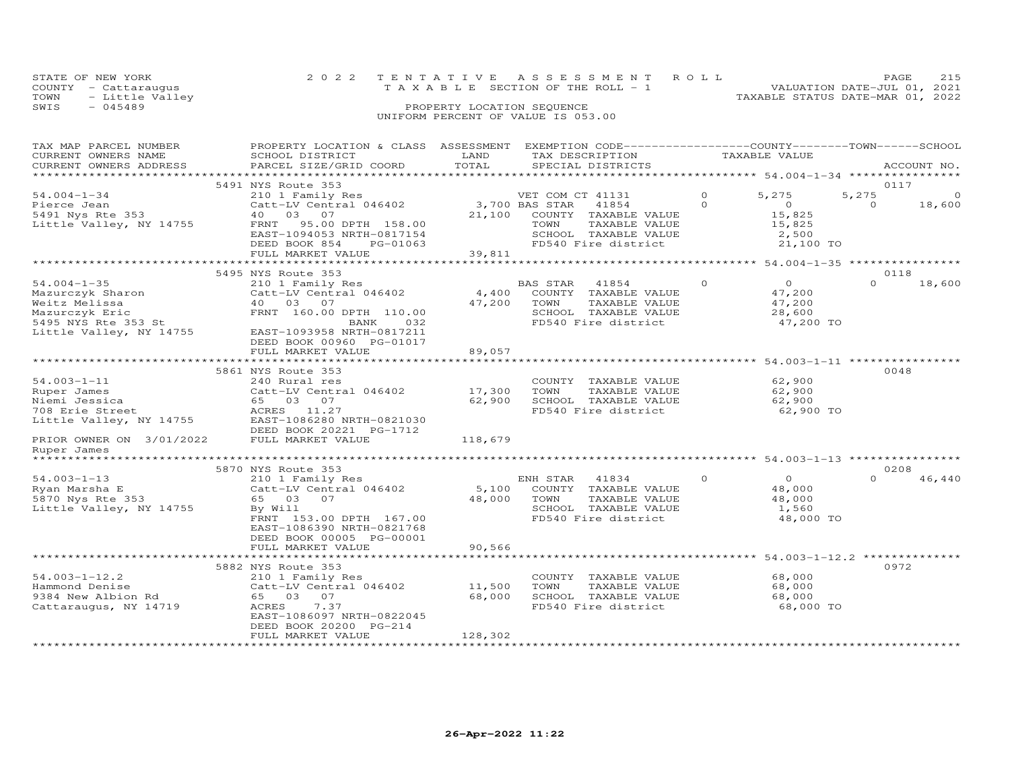|      | STATE OF NEW YORK    |  | 2022 TENTATIVE ASSESSMENT ROLL     |                                  | <b>PAGE</b>                 | 215 |
|------|----------------------|--|------------------------------------|----------------------------------|-----------------------------|-----|
|      | COUNTY - Cattaraugus |  | TAXABLE SECTION OF THE ROLL - 1    |                                  | VALUATION DATE-JUL 01, 2021 |     |
|      | TOWN - Little Valley |  |                                    | TAXABLE STATUS DATE-MAR 01, 2022 |                             |     |
| SWIS | - 045489             |  | PROPERTY LOCATION SEQUENCE         |                                  |                             |     |
|      |                      |  | UNIFORM PERCENT OF VALUE IS 053.00 |                                  |                             |     |

| TAX MAP PARCEL NUMBER<br>CURRENT OWNERS NAME | PROPERTY LOCATION & CLASS ASSESSMENT<br>SCHOOL DISTRICT | LAND            | EXEMPTION CODE-----------------COUNTY-------TOWN------SCHOOL<br>TAX DESCRIPTION |          | TAXABLE VALUE                           |                    |
|----------------------------------------------|---------------------------------------------------------|-----------------|---------------------------------------------------------------------------------|----------|-----------------------------------------|--------------------|
| CURRENT OWNERS ADDRESS                       | PARCEL SIZE/GRID COORD                                  | TOTAL           | SPECIAL DISTRICTS                                                               |          |                                         | ACCOUNT NO.        |
| **********************                       |                                                         |                 |                                                                                 |          |                                         |                    |
|                                              | 5491 NYS Route 353                                      |                 |                                                                                 |          |                                         | 0117               |
| $54.004 - 1 - 34$                            | 210 1 Family Res                                        |                 | VET COM CT 41131                                                                | $\Omega$ | 5,275<br>5,275                          | $\Omega$           |
| Pierce Jean                                  | Catt-LV Central 046402                                  |                 | 3,700 BAS STAR<br>41854                                                         | $\Omega$ | $\Omega$                                | $\Omega$<br>18,600 |
| 5491 Nys Rte 353                             | 03<br>07<br>40                                          | 21,100          | COUNTY TAXABLE VALUE                                                            |          | 15,825                                  |                    |
| Little Valley, NY 14755                      | 95.00 DPTH 158.00<br>FRNT                               |                 | TOWN<br>TAXABLE VALUE                                                           |          | 15,825                                  |                    |
|                                              | EAST-1094053 NRTH-0817154                               |                 | SCHOOL TAXABLE VALUE                                                            |          | 2,500                                   |                    |
|                                              | DEED BOOK 854<br>PG-01063                               |                 | FD540 Fire district                                                             |          | 21,100 TO                               |                    |
|                                              | FULL MARKET VALUE<br>**********************             | 39,811          |                                                                                 |          | ********** 54.004-1-35 **************** |                    |
|                                              | 5495 NYS Route 353                                      |                 |                                                                                 |          |                                         | 0118               |
| $54.004 - 1 - 35$                            | 210 1 Family Res                                        |                 | BAS STAR<br>41854                                                               | $\Omega$ | $\circ$                                 | $\Omega$<br>18,600 |
| Mazurczyk Sharon                             | Catt-LV Central 046402                                  | 4,400           | COUNTY<br>TAXABLE VALUE                                                         |          | 47,200                                  |                    |
| Weitz Melissa                                | 40 03 07                                                | 47,200          | TOWN<br>TAXABLE VALUE                                                           |          | 47,200                                  |                    |
| Mazurczyk Eric                               | FRNT 160.00 DPTH 110.00                                 |                 | SCHOOL TAXABLE VALUE                                                            |          | 28,600                                  |                    |
| 5495 NYS Rte 353 St                          | BANK<br>032                                             |                 | FD540 Fire district                                                             |          | 47,200 TO                               |                    |
| Little Valley, NY 14755                      | EAST-1093958 NRTH-0817211                               |                 |                                                                                 |          |                                         |                    |
|                                              | DEED BOOK 00960 PG-01017                                |                 |                                                                                 |          |                                         |                    |
|                                              | FULL MARKET VALUE                                       | 89,057          |                                                                                 |          |                                         |                    |
|                                              |                                                         |                 |                                                                                 |          | $54.003 - 1 - 11$ *********             |                    |
|                                              | 5861 NYS Route 353                                      |                 |                                                                                 |          |                                         | 0048               |
| $54.003 - 1 - 11$                            | 240 Rural res                                           |                 | COUNTY TAXABLE VALUE                                                            |          | 62,900                                  |                    |
| Ruper James                                  | Catt-LV Central 046402                                  | 17,300          | TOWN<br>TAXABLE VALUE                                                           |          | 62,900                                  |                    |
| Niemi Jessica                                | 65 03 07                                                | 62,900          | SCHOOL TAXABLE VALUE                                                            |          | 62,900                                  |                    |
| 708 Erie Street                              | ACRES 11.27                                             |                 | FD540 Fire district                                                             |          | 62,900 TO                               |                    |
| Little Valley, NY 14755                      | EAST-1086280 NRTH-0821030<br>DEED BOOK 20221 PG-1712    |                 |                                                                                 |          |                                         |                    |
| PRIOR OWNER ON 3/01/2022                     | FULL MARKET VALUE                                       | 118,679         |                                                                                 |          |                                         |                    |
| Ruper James                                  |                                                         |                 |                                                                                 |          |                                         |                    |
|                                              |                                                         |                 |                                                                                 |          |                                         |                    |
|                                              | 5870 NYS Route 353                                      |                 |                                                                                 |          |                                         | 0208               |
| $54.003 - 1 - 13$                            | 210 1 Family Res                                        |                 | 41834<br>ENH STAR                                                               | $\Omega$ | $\Omega$                                | $\Omega$<br>46,440 |
| Ryan Marsha E                                | Catt-LV Central 046402                                  | 5,100           | COUNTY TAXABLE VALUE                                                            |          | 48,000                                  |                    |
| 5870 Nys Rte 353                             | 65 03<br>07                                             | 48,000          | TOWN<br>TAXABLE VALUE                                                           |          | 48,000                                  |                    |
| Little Valley, NY 14755                      | By Will                                                 |                 | SCHOOL TAXABLE VALUE                                                            |          | 1,560                                   |                    |
|                                              | FRNT 153.00 DPTH 167.00                                 |                 | FD540 Fire district                                                             |          | 48,000 TO                               |                    |
|                                              | EAST-1086390 NRTH-0821768                               |                 |                                                                                 |          |                                         |                    |
|                                              | DEED BOOK 00005 PG-00001                                |                 |                                                                                 |          |                                         |                    |
|                                              | FULL MARKET VALUE<br>*******************                | 90,566          |                                                                                 |          |                                         |                    |
|                                              | 5882 NYS Route 353                                      |                 |                                                                                 |          | ********** 54.003-1-12.2 *              | 0972               |
| $54.003 - 1 - 12.2$                          | 210 1 Family Res                                        |                 | COUNTY TAXABLE VALUE                                                            |          | 68,000                                  |                    |
| Hammond Denise                               | Catt-LV Central 046402                                  | 11,500          | TAXABLE VALUE<br>TOWN                                                           |          | 68,000                                  |                    |
| 9384 New Albion Rd                           | 65 03<br>07                                             | 68,000          | SCHOOL TAXABLE VALUE                                                            |          | 68,000                                  |                    |
| Cattaraugus, NY 14719                        | 7.37<br>ACRES                                           |                 | FD540 Fire district                                                             |          | 68,000 TO                               |                    |
|                                              | EAST-1086097 NRTH-0822045                               |                 |                                                                                 |          |                                         |                    |
|                                              | DEED BOOK 20200 PG-214                                  |                 |                                                                                 |          |                                         |                    |
|                                              | FULL MARKET VALUE                                       | 128,302         |                                                                                 |          |                                         |                    |
| **********************                       | *******************                                     | *************** |                                                                                 |          |                                         |                    |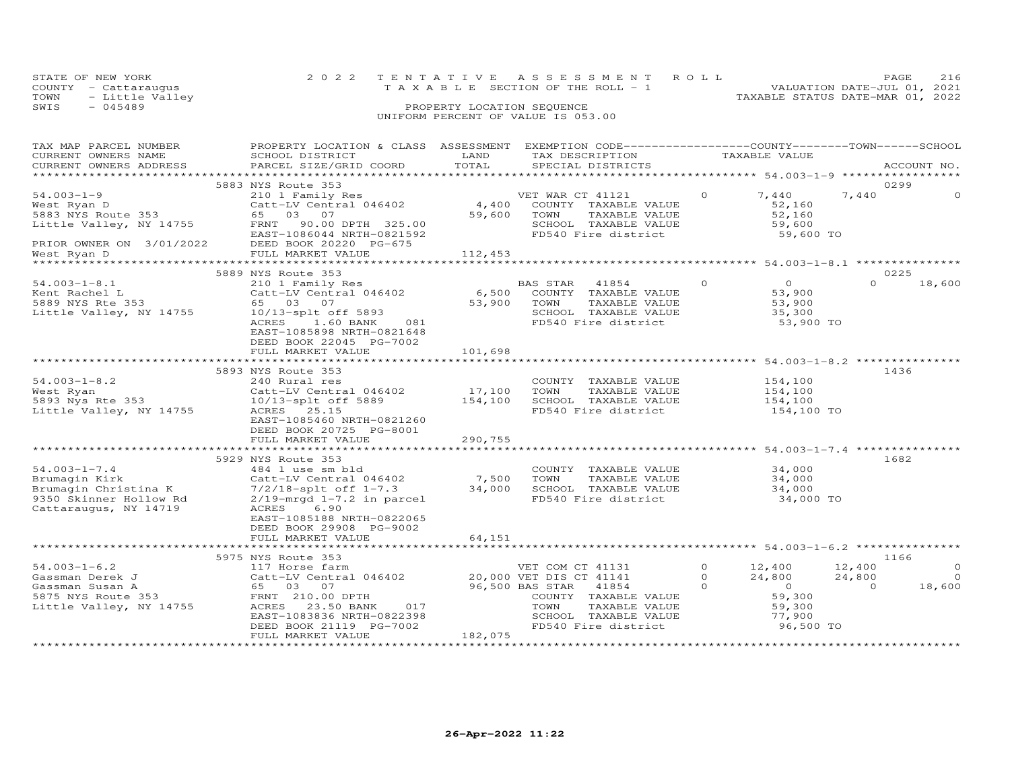| STATE OF NEW YORK         | 2022 TENTATIVE ASSESSMENT ROLL        | PAGE 216                         |  |
|---------------------------|---------------------------------------|----------------------------------|--|
| COUNTY - Cattarauqus      | T A X A B L E SECTION OF THE ROLL - 1 | VALUATION DATE-JUL 01, 2021      |  |
| TOWN      — Little Valley |                                       | TAXABLE STATUS DATE-MAR 01, 2022 |  |
| SWIS<br>- 045489          | PROPERTY LOCATION SEQUENCE            |                                  |  |

### SWIS - 045489 PROPERTY LOCATION SEQUENCE UNIFORM PERCENT OF VALUE IS 053.00

| TAX MAP PARCEL NUMBER                                                                                             | PROPERTY LOCATION & CLASS ASSESSMENT EXEMPTION CODE----------------COUNTY--------TOWN------SCHOOL                                                                                                                                                                                                                                                          |               |                                               |          |                                                      |                  |             |
|-------------------------------------------------------------------------------------------------------------------|------------------------------------------------------------------------------------------------------------------------------------------------------------------------------------------------------------------------------------------------------------------------------------------------------------------------------------------------------------|---------------|-----------------------------------------------|----------|------------------------------------------------------|------------------|-------------|
| CURRENT OWNERS NAME                                                                                               | SCHOOL DISTRICT                                                                                                                                                                                                                                                                                                                                            | LAND<br>TOTAL | TAX DESCRIPTION                               |          | TAXABLE VALUE                                        |                  |             |
| CURRENT OWNERS ADDRESS                                                                                            | PARCEL SIZE/GRID COORD                                                                                                                                                                                                                                                                                                                                     |               | SPECIAL DISTRICTS                             |          |                                                      |                  | ACCOUNT NO. |
|                                                                                                                   | 5883 NYS Route 353                                                                                                                                                                                                                                                                                                                                         |               |                                               |          |                                                      | 0299             |             |
| $54.003 - 1 - 9$                                                                                                  | 210 1 Family Res                                                                                                                                                                                                                                                                                                                                           |               | VET WAR CT 41121                              | $\circ$  | 7,440                                                | 7,440            | $\circ$     |
|                                                                                                                   |                                                                                                                                                                                                                                                                                                                                                            |               | COUNTY TAXABLE VALUE                          |          | 52,160                                               |                  |             |
|                                                                                                                   | vest Ryan D<br>Satt-LV Central 046402 4,400<br>5883 NYS Route 353 65 03 07 59,600                                                                                                                                                                                                                                                                          |               | TOWN<br>TAXABLE VALUE                         |          | 52,160                                               |                  |             |
|                                                                                                                   | Little Valley, NY 14755 FRNT 90.00 DPTH 325.00                                                                                                                                                                                                                                                                                                             |               | SCHOOL TAXABLE VALUE                          |          | 59,600                                               |                  |             |
|                                                                                                                   | EAST-1086044 NRTH-0821592                                                                                                                                                                                                                                                                                                                                  |               | FD540 Fire district                           |          | 59,600 TO                                            |                  |             |
|                                                                                                                   | DEED BOOK 20220 PG-675                                                                                                                                                                                                                                                                                                                                     |               |                                               |          |                                                      |                  |             |
| PRIOR OWNER ON 3/01/2022                                                                                          | FULL MARKET VALUE                                                                                                                                                                                                                                                                                                                                          | 112,453       |                                               |          |                                                      |                  |             |
|                                                                                                                   |                                                                                                                                                                                                                                                                                                                                                            |               |                                               |          |                                                      |                  |             |
|                                                                                                                   | 5889 NYS Route 353                                                                                                                                                                                                                                                                                                                                         |               |                                               |          |                                                      | 0225             |             |
| $54.003 - 1 - 8.1$                                                                                                | 210 1 Family Res                                                                                                                                                                                                                                                                                                                                           |               | BAS STAR 41854 0                              |          | $\overline{0}$                                       | $\Omega$         | 18,600      |
|                                                                                                                   | Catt-LV Central $046402$ 6,500                                                                                                                                                                                                                                                                                                                             |               | COUNTY TAXABLE VALUE                          |          | 53,900                                               |                  |             |
|                                                                                                                   | Example 1<br>Fent Rachel L<br>5889 NYS Rte 353<br>55 03 07<br>Little Valley, NY 14755<br>10/13-splt off 5893                                                                                                                                                                                                                                               | 53,900        | TOWN<br>TAXABLE VALUE                         |          | 53,900                                               |                  |             |
|                                                                                                                   |                                                                                                                                                                                                                                                                                                                                                            |               | SCHOOL TAXABLE VALUE                          |          | 35,300                                               |                  |             |
|                                                                                                                   | ACRES 1.60 BANK<br>081                                                                                                                                                                                                                                                                                                                                     |               | FD540 Fire district                           |          | 53,900 TO                                            |                  |             |
|                                                                                                                   | EAST-1085898 NRTH-0821648                                                                                                                                                                                                                                                                                                                                  |               |                                               |          |                                                      |                  |             |
|                                                                                                                   | DEED BOOK 22045 PG-7002                                                                                                                                                                                                                                                                                                                                    |               |                                               |          |                                                      |                  |             |
|                                                                                                                   | FULL MARKET VALUE                                                                                                                                                                                                                                                                                                                                          | 101,698       |                                               |          |                                                      |                  |             |
|                                                                                                                   |                                                                                                                                                                                                                                                                                                                                                            |               |                                               |          |                                                      |                  |             |
| $54.003 - 1 - 8.2$                                                                                                | 5893 NYS Route 353<br>240 Rural res                                                                                                                                                                                                                                                                                                                        |               |                                               |          | 154,100                                              | 1436             |             |
|                                                                                                                   |                                                                                                                                                                                                                                                                                                                                                            | 17,100        | COUNTY TAXABLE VALUE<br>TAXABLE VALUE<br>TOWN |          | 154,100                                              |                  |             |
|                                                                                                                   |                                                                                                                                                                                                                                                                                                                                                            |               | SCHOOL TAXABLE VALUE 154,100                  |          |                                                      |                  |             |
| Little Valley, NY 14755                                                                                           |                                                                                                                                                                                                                                                                                                                                                            |               | FD540 Fire district                           |          | 154,100 TO                                           |                  |             |
|                                                                                                                   | EAST-1085460 NRTH-0821260                                                                                                                                                                                                                                                                                                                                  |               |                                               |          |                                                      |                  |             |
|                                                                                                                   | DEED BOOK 20725 PG-8001                                                                                                                                                                                                                                                                                                                                    |               |                                               |          |                                                      |                  |             |
|                                                                                                                   | FULL MARKET VALUE                                                                                                                                                                                                                                                                                                                                          | 290,755       |                                               |          |                                                      |                  |             |
|                                                                                                                   |                                                                                                                                                                                                                                                                                                                                                            |               |                                               |          |                                                      |                  |             |
|                                                                                                                   | 5929 NYS Route 353                                                                                                                                                                                                                                                                                                                                         |               |                                               |          |                                                      | 1682             |             |
|                                                                                                                   |                                                                                                                                                                                                                                                                                                                                                            |               |                                               |          |                                                      |                  |             |
|                                                                                                                   |                                                                                                                                                                                                                                                                                                                                                            |               |                                               |          |                                                      |                  |             |
|                                                                                                                   |                                                                                                                                                                                                                                                                                                                                                            |               |                                               |          |                                                      |                  |             |
|                                                                                                                   | $\begin{array}{lllllllllllllllll} \text{54.003--1--7.4} & & & & & & & \text{24.003--1--7.4} & & & & & & & \text{24.000} & & & & \text{24.000} & & & \text{24.000} & & \text{24.000} & & \text{24.000} & & \text{24.000} & & \text{24.000} & & \text{24.000} & & \text{24.000} & & \text{24.000} & & \text{24.000} & & \text{24.000} & & \text{24.000} & &$ |               |                                               |          |                                                      |                  |             |
|                                                                                                                   |                                                                                                                                                                                                                                                                                                                                                            |               |                                               |          |                                                      |                  |             |
|                                                                                                                   | EAST-1085188 NRTH-0822065                                                                                                                                                                                                                                                                                                                                  |               |                                               |          |                                                      |                  |             |
|                                                                                                                   | DEED BOOK 29908 PG-9002                                                                                                                                                                                                                                                                                                                                    |               |                                               |          |                                                      |                  |             |
|                                                                                                                   | FULL MARKET VALUE                                                                                                                                                                                                                                                                                                                                          | 64,151        |                                               |          |                                                      |                  |             |
|                                                                                                                   |                                                                                                                                                                                                                                                                                                                                                            |               |                                               |          |                                                      |                  |             |
|                                                                                                                   | 5975 NYS Route 353                                                                                                                                                                                                                                                                                                                                         |               |                                               |          |                                                      | 1166             | $\Omega$    |
| $54.003 - 1 - 6.2$                                                                                                | 117 Horse farm<br>Catt-LV Central 046402 20,000 VET DIS CT 41141                                                                                                                                                                                                                                                                                           |               | VET COM CT 41131                              | $\Omega$ | 0 $12,400$<br>24,800                                 | 12,400<br>24,800 | $\Omega$    |
| 94.003-1-6.2<br>Gassman Derek J<br>Gassman Susan A<br>5875 NYS Route 353<br>Little Valley, NY 14755<br>23.50 BANK |                                                                                                                                                                                                                                                                                                                                                            |               | 96,500 BAS STAR 41854<br>$\overline{0}$       |          |                                                      | $\overline{0}$   | 18,600      |
|                                                                                                                   |                                                                                                                                                                                                                                                                                                                                                            |               | COUNTY TAXABLE VALUE                          |          | $\begin{array}{r} 0 \\ 59,300 \\ 59,300 \end{array}$ |                  |             |
|                                                                                                                   | ACRES 23.50 BANK<br>017                                                                                                                                                                                                                                                                                                                                    |               | TOWN<br>TAXABLE VALUE                         |          |                                                      |                  |             |
|                                                                                                                   | EAST-1083836 NRTH-0822398                                                                                                                                                                                                                                                                                                                                  |               | SCHOOL TAXABLE VALUE                          |          | 77,900                                               |                  |             |
|                                                                                                                   | DEED BOOK 21119 PG-7002                                                                                                                                                                                                                                                                                                                                    |               | FD540 Fire district                           |          | 96,500 TO                                            |                  |             |
|                                                                                                                   | FULL MARKET VALUE                                                                                                                                                                                                                                                                                                                                          | 182,075       |                                               |          |                                                      |                  |             |
|                                                                                                                   |                                                                                                                                                                                                                                                                                                                                                            |               |                                               |          |                                                      |                  |             |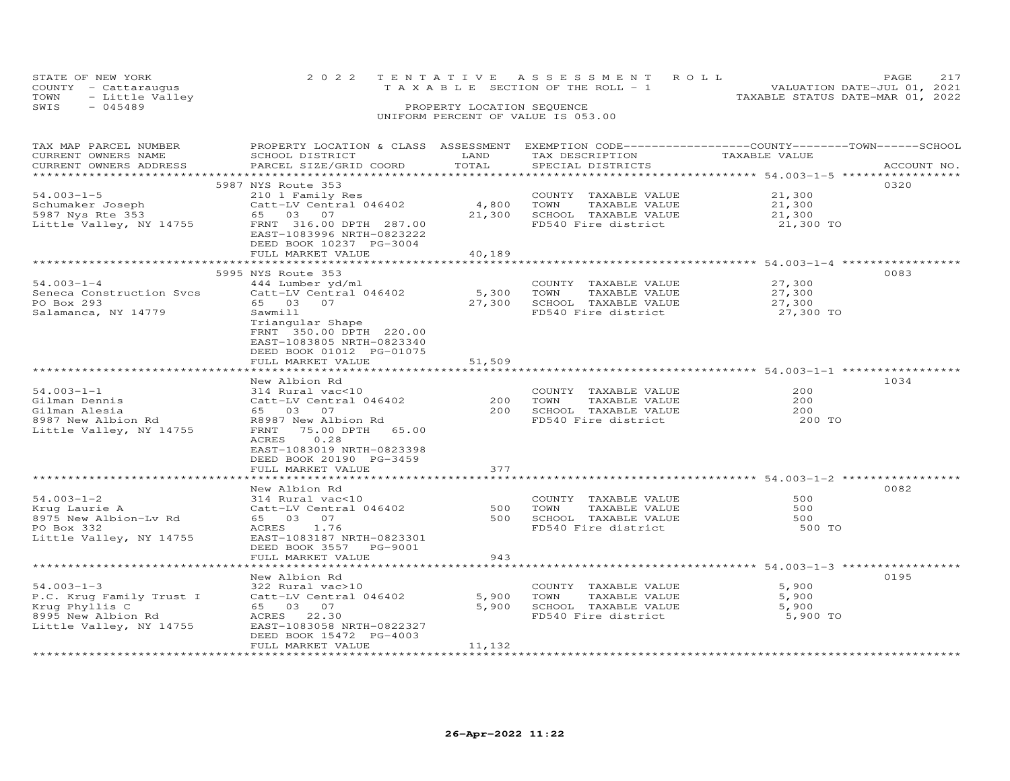| STATE OF NEW YORK       | 2022 TENTATIVE ASSESSMENT ROLL |                                       |  |                                  | <b>PAGE</b>                 | 2.17 |
|-------------------------|--------------------------------|---------------------------------------|--|----------------------------------|-----------------------------|------|
| COUNTY - Cattaraugus    |                                | T A X A B L E SECTION OF THE ROLL - 1 |  |                                  | VALUATION DATE-JUL 01, 2021 |      |
| TOWN<br>- Little Valley |                                |                                       |  | TAXABLE STATUS DATE-MAR 01, 2022 |                             |      |
| SWIS<br>$-045489$       |                                | PROPERTY LOCATION SEQUENCE            |  |                                  |                             |      |
|                         |                                | UNIFORM PERCENT OF VALUE IS 053.00    |  |                                  |                             |      |

| TAX MAP PARCEL NUMBER                                     | PROPERTY LOCATION & CLASS ASSESSMENT |            | EXEMPTION CODE-----------------COUNTY-------TOWN------SCHOOL |               |             |
|-----------------------------------------------------------|--------------------------------------|------------|--------------------------------------------------------------|---------------|-------------|
| CURRENT OWNERS NAME                                       | SCHOOL DISTRICT                      | LAND       | TAX DESCRIPTION                                              | TAXABLE VALUE |             |
| CURRENT OWNERS ADDRESS                                    | PARCEL SIZE/GRID COORD               | TOTAL      | SPECIAL DISTRICTS                                            |               | ACCOUNT NO. |
|                                                           |                                      |            |                                                              |               |             |
|                                                           | 5987 NYS Route 353                   |            |                                                              |               | 0320        |
| $54.003 - 1 - 5$                                          | 210 1 Family Res                     |            | COUNTY TAXABLE VALUE                                         | 21,300        |             |
|                                                           | Catt-LV Central 046402               | 4,800      | TOWN<br>TAXABLE VALUE                                        | 21,300        |             |
| scnumaker Joseph<br>5987 Nys Rte 353<br>Iith              | 65 03 07                             | 21,300     | SCHOOL TAXABLE VALUE                                         | 21,300        |             |
| Little Valley, NY 14755                                   | FRNT 316.00 DPTH 287.00              |            | FD540 Fire district                                          | 21,300 TO     |             |
|                                                           | EAST-1083996 NRTH-0823222            |            |                                                              |               |             |
|                                                           | DEED BOOK 10237 PG-3004              |            |                                                              |               |             |
|                                                           | FULL MARKET VALUE                    | 40,189     |                                                              |               |             |
|                                                           |                                      |            |                                                              |               |             |
|                                                           | 5995 NYS Route 353                   |            |                                                              |               | 0083        |
| $54.003 - 1 - 4$                                          | 444 Lumber yd/ml                     |            | COUNTY TAXABLE VALUE                                         | 27,300        |             |
| Seneca Construction Svcs                                  | Catt-LV Central 046402               | 5,300 TOWN | TAXABLE VALUE                                                | 27,300        |             |
| PO Box 293                                                | 65 03 07                             |            | 27,300 SCHOOL TAXABLE VALUE                                  | 27,300        |             |
| Salamanca, NY 14779                                       | Sawmill                              |            | FD540 Fire district                                          | 27,300 TO     |             |
|                                                           | Triangular Shape                     |            |                                                              |               |             |
|                                                           | FRNT 350.00 DPTH 220.00              |            |                                                              |               |             |
|                                                           | EAST-1083805 NRTH-0823340            |            |                                                              |               |             |
|                                                           | DEED BOOK 01012 PG-01075             |            |                                                              |               |             |
|                                                           | FULL MARKET VALUE                    | 51,509     |                                                              |               |             |
|                                                           |                                      |            |                                                              |               |             |
|                                                           | New Albion Rd                        |            |                                                              |               | 1034        |
| $54.003 - 1 - 1$                                          | 314 Rural vac<10                     |            | COUNTY TAXABLE VALUE                                         | 200           |             |
| Gilman Dennis                                             | Catt-LV Central 046402               | 200        | TOWN<br>TAXABLE VALUE                                        | 200           |             |
|                                                           |                                      |            |                                                              |               |             |
| Gilman Alesia<br>3987 New Albion Rd<br>8987 New Albion Rd | 65 03 07                             | 200        | SCHOOL TAXABLE VALUE                                         | 200           |             |
|                                                           | R8987 New Albion Rd                  |            | FD540 Fire district                                          | 200 TO        |             |
| Little Valley, NY 14755                                   | FRNT 75.00 DPTH 65.00                |            |                                                              |               |             |
|                                                           | ACRES<br>0.28                        |            |                                                              |               |             |
|                                                           | EAST-1083019 NRTH-0823398            |            |                                                              |               |             |
|                                                           | DEED BOOK 20190 PG-3459              |            |                                                              |               |             |
|                                                           | FULL MARKET VALUE                    | 377        |                                                              |               |             |
|                                                           |                                      |            |                                                              |               |             |
|                                                           | New Albion Rd                        |            |                                                              |               | 0082        |
| $54.003 - 1 - 2$                                          | 314 Rural vac<10                     |            | COUNTY TAXABLE VALUE                                         | 500           |             |
| Krug Laurie A                                             | Catt-LV Central 046402               | 500        | TAXABLE VALUE<br>TOWN                                        | 500           |             |
| 8975 New Albion-Lv Rd                                     | 65 03 07                             | 500        | SCHOOL TAXABLE VALUE                                         | 500           |             |
| PO Box 332                                                | ACRES 1.76                           |            | FD540 Fire district                                          | 500 TO        |             |
| Little Valley, NY 14755                                   | EAST-1083187 NRTH-0823301            |            |                                                              |               |             |
|                                                           | DEED BOOK 3557 PG-9001               |            |                                                              |               |             |
|                                                           | FULL MARKET VALUE                    | 943        |                                                              |               |             |
|                                                           |                                      |            |                                                              |               |             |
|                                                           | New Albion Rd                        |            |                                                              |               | 0195        |
| $54.003 - 1 - 3$                                          | 322 Rural vac>10                     |            | COUNTY TAXABLE VALUE                                         | 5,900         |             |
| P.C. Krug Family Trust I                                  | Catt-LV Central 046402               | 5,900      | TOWN<br>TAXABLE VALUE                                        | 5,900         |             |
| Krug Phyllis C                                            | 65 03 07                             | 5,900      | SCHOOL TAXABLE VALUE                                         | 5,900         |             |
| 8995 New Albion Rd                                        | ACRES 22.30                          |            | FD540 Fire district                                          | 5,900 TO      |             |
| Little Valley, NY 14755                                   | EAST-1083058 NRTH-0822327            |            |                                                              |               |             |
|                                                           | DEED BOOK 15472 PG-4003              |            |                                                              |               |             |
|                                                           | FULL MARKET VALUE                    | 11,132     |                                                              |               |             |
|                                                           |                                      |            |                                                              |               |             |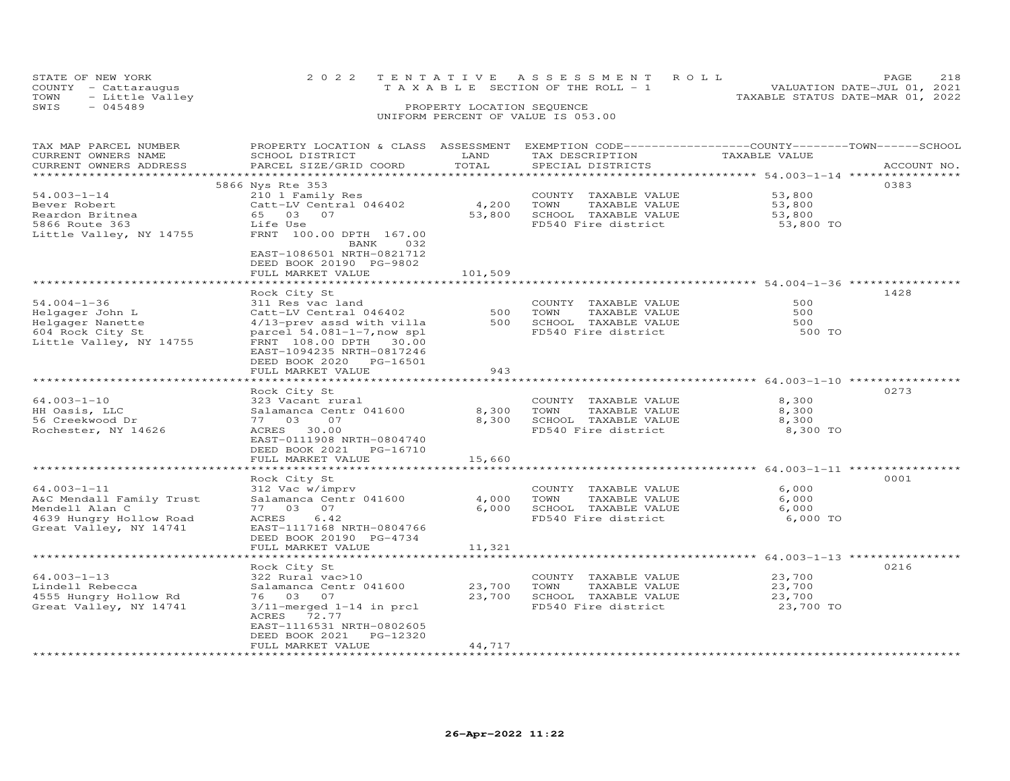| STATE OF NEW YORK    | 2022 TENTATIVE ASSESSMENT ROLL                                       | PAGE | 218 |
|----------------------|----------------------------------------------------------------------|------|-----|
| COUNTY - Cattaraugus | VALUATION DATE-JUL 01, 2021<br>T A X A B L E SECTION OF THE ROLL - 1 |      |     |
| TOWN - Little Valley | TAXABLE STATUS DATE-MAR 01, 2022                                     |      |     |
| SWIS<br>$-045489$    | PROPERTY LOCATION SEQUENCE                                           |      |     |
|                      | UNIFORM PERCENT OF VALUE IS 053.00                                   |      |     |

| TAX MAP PARCEL NUMBER<br>CURRENT OWNERS NAME<br>CURRENT OWNERS ADDRESS                                                       | PROPERTY LOCATION & CLASS ASSESSMENT<br>SCHOOL DISTRICT<br>PARCEL SIZE/GRID COORD                                                                                                                          | LAND<br>TOTAL              | EXEMPTION CODE-----------------COUNTY-------TOWN------SCHOOL<br>TAX DESCRIPTION<br>SPECIAL DISTRICTS | TAXABLE VALUE                           | ACCOUNT NO. |
|------------------------------------------------------------------------------------------------------------------------------|------------------------------------------------------------------------------------------------------------------------------------------------------------------------------------------------------------|----------------------------|------------------------------------------------------------------------------------------------------|-----------------------------------------|-------------|
| ***********************<br>$54.003 - 1 - 14$<br>Bever Robert<br>Reardon Britnea<br>5866 Route 363<br>Little Valley, NY 14755 | 5866 Nys Rte 353<br>210 1 Family Res<br>Catt-LV Central 046402<br>65 03 07<br>Life Use<br>FRNT 100.00 DPTH 167.00<br>BANK<br>032                                                                           | 4,200<br>53,800            | COUNTY TAXABLE VALUE<br>TOWN<br>TAXABLE VALUE<br>SCHOOL TAXABLE VALUE<br>FD540 Fire district         | 53,800<br>53,800<br>53,800<br>53,800 TO | 0383        |
|                                                                                                                              | EAST-1086501 NRTH-0821712<br>DEED BOOK 20190 PG-9802<br>FULL MARKET VALUE                                                                                                                                  | 101,509                    |                                                                                                      |                                         |             |
| $54.004 - 1 - 36$<br>Helgager John L<br>Helgager Nanette<br>604 Rock City St<br>Little Valley, NY 14755                      | Rock City St<br>311 Res vac land<br>Catt-LV Central 046402<br>4/13-prev assd with villa<br>parcel $54.081-1-7$ , now spl<br>FRNT 108.00 DPTH 30.00<br>EAST-1094235 NRTH-0817246<br>DEED BOOK 2020 PG-16501 | 500<br>500                 | COUNTY TAXABLE VALUE<br>TOWN<br>TAXABLE VALUE<br>SCHOOL TAXABLE VALUE<br>FD540 Fire district         | 500<br>500<br>500<br>500 TO             | 1428        |
|                                                                                                                              | FULL MARKET VALUE                                                                                                                                                                                          | 943                        |                                                                                                      |                                         |             |
| $64.003 - 1 - 10$<br>HH Oasis, LLC<br>56 Creekwood Dr<br>Rochester, NY 14626                                                 | Rock City St<br>323 Vacant rural<br>Salamanca Centr 041600<br>77 03<br>07<br>ACRES 30.00<br>EAST-0111908 NRTH-0804740<br>DEED BOOK 2021<br>PG-16710<br>FULL MARKET VALUE                                   | 8,300<br>8,300<br>15,660   | COUNTY TAXABLE VALUE<br>TOWN<br>TAXABLE VALUE<br>SCHOOL TAXABLE VALUE<br>FD540 Fire district         | 8,300<br>8,300<br>8,300<br>8,300 TO     | 0273        |
|                                                                                                                              |                                                                                                                                                                                                            |                            |                                                                                                      |                                         |             |
| $64.003 - 1 - 11$<br>A&C Mendall Family Trust<br>Mendell Alan C<br>4639 Hungry Hollow Road<br>Great Valley, NY 14741         | Rock City St<br>312 Vac w/imprv<br>Salamanca Centr 041600<br>77 03<br>07<br>6.42<br>ACRES<br>EAST-1117168 NRTH-0804766<br>DEED BOOK 20190 PG-4734                                                          | 4,000<br>6,000             | COUNTY TAXABLE VALUE<br>TOWN<br>TAXABLE VALUE<br>SCHOOL TAXABLE VALUE<br>FD540 Fire district         | 6,000<br>6,000<br>6,000<br>6,000 TO     | 0001        |
|                                                                                                                              | FULL MARKET VALUE                                                                                                                                                                                          | 11,321                     |                                                                                                      |                                         |             |
| $64.003 - 1 - 13$<br>Lindell Rebecca<br>4555 Hungry Hollow Rd<br>Great Valley, NY 14741                                      | Rock City St<br>322 Rural vac>10<br>Salamanca Centr 041600<br>76 03 07<br>$3/11$ -merged $1-14$ in prcl<br>ACRES 72.77<br>EAST-1116531 NRTH-0802605<br>DEED BOOK 2021<br>PG-12320<br>FULL MARKET VALUE     | 23,700<br>23,700<br>44,717 | COUNTY TAXABLE VALUE<br>TOWN<br>TAXABLE VALUE<br>SCHOOL TAXABLE VALUE<br>FD540 Fire district         | 23,700<br>23,700<br>23,700<br>23,700 TO | 0216        |
|                                                                                                                              |                                                                                                                                                                                                            |                            |                                                                                                      |                                         |             |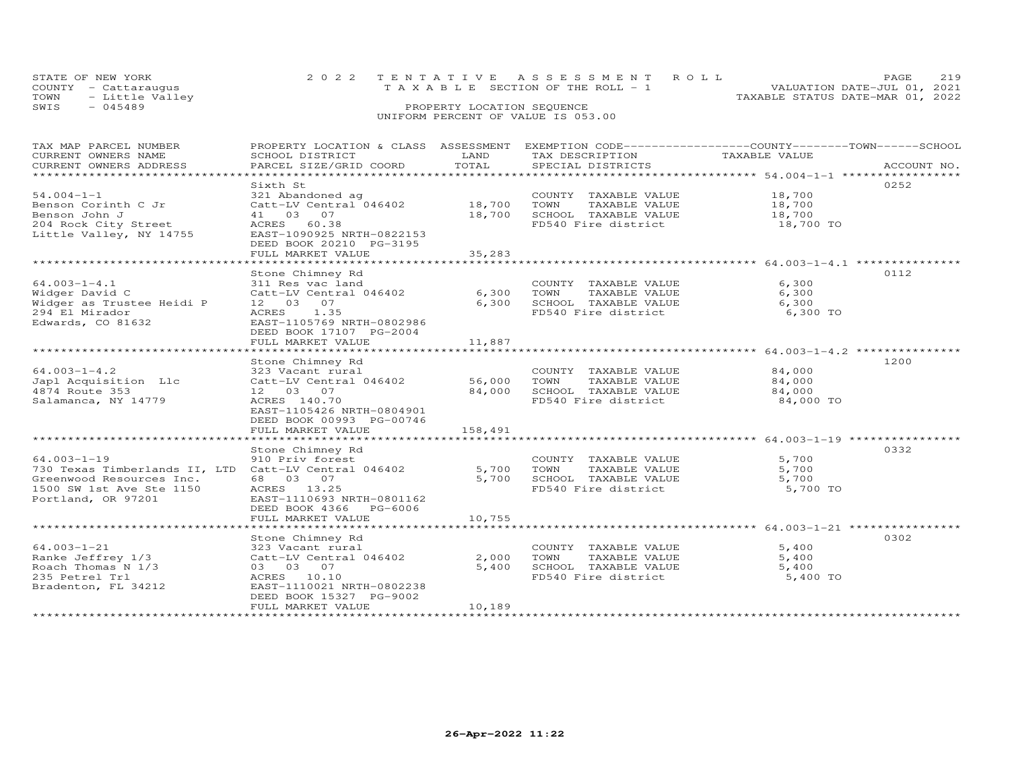| STATE OF NEW YORK    | 2022 TENTATIVE ASSESSMENT ROLL        | 2.19<br><b>PAGE</b>              |
|----------------------|---------------------------------------|----------------------------------|
| COUNTY - Cattarauqus | T A X A B L E SECTION OF THE ROLL - 1 | VALUATION DATE-JUL 01, 2021      |
| TOWN - Little Valley |                                       | TAXABLE STATUS DATE-MAR 01, 2022 |
| - 045489<br>SWTS     | PROPERTY LOCATION SEQUENCE            |                                  |
|                      |                                       |                                  |

| TAX MAP PARCEL NUMBER                                |                                                   |         |                       | PROPERTY LOCATION & CLASS ASSESSMENT EXEMPTION CODE----------------COUNTY-------TOWN-----SCHOOL |
|------------------------------------------------------|---------------------------------------------------|---------|-----------------------|-------------------------------------------------------------------------------------------------|
| CURRENT OWNERS NAME                                  | SCHOOL DISTRICT                                   | LAND    | TAX DESCRIPTION       | TAXABLE VALUE                                                                                   |
| CURRENT OWNERS ADDRESS                               | PARCEL SIZE/GRID COORD                            | TOTAL   | SPECIAL DISTRICTS     | ACCOUNT NO.                                                                                     |
|                                                      |                                                   |         |                       |                                                                                                 |
|                                                      | Sixth St                                          |         |                       | 0252                                                                                            |
| $54.004 - 1 - 1$                                     | 321 Abandoned ag                                  |         | COUNTY TAXABLE VALUE  | 18,700                                                                                          |
| Benson Corinth C Jr                                  | $Cat$ -LV Central $046402$ 18,700                 |         | TOWN<br>TAXABLE VALUE | 18,700                                                                                          |
| Benson John J                                        | 41 03 07                                          | 18,700  | SCHOOL TAXABLE VALUE  | 18,700                                                                                          |
| 204 Rock City Street                                 | ACRES 60.38                                       |         | FD540 Fire district   | 18,700 TO                                                                                       |
| Little Valley, NY 14755 EAST-1090925 NRTH-0822153    |                                                   |         |                       |                                                                                                 |
|                                                      | DEED BOOK 20210 PG-3195                           |         |                       |                                                                                                 |
|                                                      | FULL MARKET VALUE                                 | 35,283  |                       |                                                                                                 |
|                                                      |                                                   |         |                       |                                                                                                 |
|                                                      | Stone Chimney Rd                                  |         |                       | 0112                                                                                            |
| $64.003 - 1 - 4.1$                                   | 311 Res vac land                                  |         | COUNTY TAXABLE VALUE  | 6,300                                                                                           |
| Widger David C                                       | Catt-LV Central 046402                            | 6,300   | TOWN<br>TAXABLE VALUE | 6,300                                                                                           |
| Widger as Trustee Heidi P                            | 12 03 07                                          | 6,300   | SCHOOL TAXABLE VALUE  | 6,300                                                                                           |
| 294 El Mirador                                       | ACRES 1.35                                        |         | FD540 Fire district   | 6,300 TO                                                                                        |
| Edwards, CO 81632                                    | EAST-1105769 NRTH-0802986                         |         |                       |                                                                                                 |
|                                                      |                                                   |         |                       |                                                                                                 |
|                                                      | DEED BOOK 17107 PG-2004                           |         |                       |                                                                                                 |
|                                                      | FULL MARKET VALUE                                 | 11,887  |                       |                                                                                                 |
|                                                      |                                                   |         |                       |                                                                                                 |
|                                                      | Stone Chimney Rd                                  |         |                       | 1200                                                                                            |
| $64.003 - 1 - 4.2$                                   | 323 Vacant rural<br>Catt-LV Central 046402 56,000 |         | COUNTY TAXABLE VALUE  | 84,000                                                                                          |
| Japl Acquisition Llc                                 |                                                   |         | TOWN<br>TAXABLE VALUE | 84,000                                                                                          |
| 4874 Route 353                                       | 12 03 07                                          | 84,000  | SCHOOL TAXABLE VALUE  | 84,000                                                                                          |
| Salamanca, NY 14779                                  | ACRES 140.70                                      |         | FD540 Fire district   | 84,000 TO                                                                                       |
|                                                      | EAST-1105426 NRTH-0804901                         |         |                       |                                                                                                 |
|                                                      | DEED BOOK 00993 PG-00746                          |         |                       |                                                                                                 |
|                                                      | FULL MARKET VALUE                                 | 158,491 |                       |                                                                                                 |
|                                                      |                                                   |         |                       |                                                                                                 |
|                                                      | Stone Chimney Rd                                  |         |                       | 0332                                                                                            |
| $64.003 - 1 - 19$                                    | 910 Priv forest                                   |         | COUNTY TAXABLE VALUE  | 5,700                                                                                           |
| 730 Texas Timberlands II, LTD Catt-LV Central 046402 |                                                   | 5,700   | TOWN<br>TAXABLE VALUE | 5,700                                                                                           |
| Greenwood Resources Inc.                             | 68 03 07                                          | 5,700   | SCHOOL TAXABLE VALUE  | 5,700                                                                                           |
| 1500 SW 1st Ave Ste 1150                             | ACRES 13.25                                       |         | FD540 Fire district   | 5,700 TO                                                                                        |
| Portland, OR 97201                                   | EAST-1110693 NRTH-0801162                         |         |                       |                                                                                                 |
|                                                      | DEED BOOK 4366 PG-6006                            |         |                       |                                                                                                 |
|                                                      | FULL MARKET VALUE                                 | 10,755  |                       |                                                                                                 |
|                                                      |                                                   |         |                       |                                                                                                 |
|                                                      | Stone Chimney Rd                                  |         |                       | 0302                                                                                            |
| $64.003 - 1 - 21$                                    | 323 Vacant rural                                  |         | COUNTY TAXABLE VALUE  | 5,400                                                                                           |
| Ranke Jeffrey 1/3                                    | Catt-LV Central 046402                            | 2,000   | TOWN<br>TAXABLE VALUE | 5,400                                                                                           |
| Roach Thomas N 1/3                                   | 03 03 07                                          | 5,400   | SCHOOL TAXABLE VALUE  | 5,400                                                                                           |
| 235 Petrel Trl                                       | ACRES 10.10                                       |         | FD540 Fire district   | 5,400 TO                                                                                        |
| Bradenton, FL 34212                                  | EAST-1110021 NRTH-0802238                         |         |                       |                                                                                                 |
|                                                      | DEED BOOK 15327 PG-9002                           |         |                       |                                                                                                 |
|                                                      | FULL MARKET VALUE                                 | 10,189  |                       |                                                                                                 |
|                                                      |                                                   |         |                       |                                                                                                 |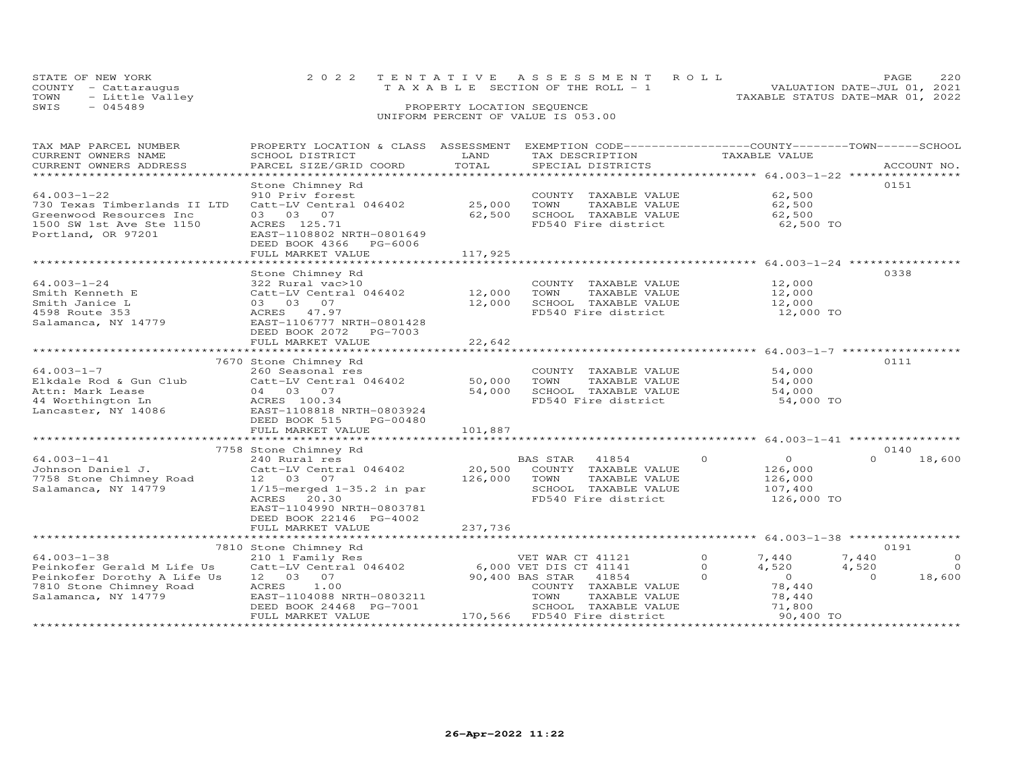| STATE OF NEW YORK       | 2022 TENTATIVE ASSESSMENT ROLL        | 220<br>PAGE.                     |
|-------------------------|---------------------------------------|----------------------------------|
| COUNTY - Cattaraugus    | T A X A B L E SECTION OF THE ROLL - 1 | VALUATION DATE-JUL 01, 2021      |
| - Little Valley<br>TOWN |                                       | TAXABLE STATUS DATE-MAR 01, 2022 |
| SWIS<br>$-045489$       | PROPERTY LOCATION SEQUENCE            |                                  |
|                         | UNIFORM PERCENT OF VALUE IS 053.00    |                                  |

| TAX MAP PARCEL NUMBER<br>CURRENT OWNERS NAME<br>CURRENT OWNERS ADDRESS                                                           | PROPERTY LOCATION & CLASS ASSESSMENT<br>SCHOOL DISTRICT<br>PARCEL SIZE/GRID COORD                                                                                                    | LAND<br>TOTAL                | EXEMPTION CODE-----------------COUNTY-------TOWN-----SCHOOL<br>TAX DESCRIPTION<br>SPECIAL DISTRICTS                                                                    | TAXABLE VALUE                                                                                            | ACCOUNT NO.                                                        |
|----------------------------------------------------------------------------------------------------------------------------------|--------------------------------------------------------------------------------------------------------------------------------------------------------------------------------------|------------------------------|------------------------------------------------------------------------------------------------------------------------------------------------------------------------|----------------------------------------------------------------------------------------------------------|--------------------------------------------------------------------|
| $64.003 - 1 - 22$<br>730 Texas Timberlands II LTD<br>Greenwood Resources Inc<br>1500 SW 1st Ave Ste 1150<br>Portland, OR 97201   | Stone Chimney Rd<br>910 Priv forest<br>Catt-LV Central 046402<br>03 03 07<br>ACRES 125.71<br>EAST-1108802 NRTH-0801649<br>DEED BOOK 4366<br>PG-6006<br>FULL MARKET VALUE             | 25,000<br>62,500<br>117,925  | COUNTY TAXABLE VALUE<br>TOWN<br>TAXABLE VALUE<br>SCHOOL TAXABLE VALUE<br>FD540 Fire district                                                                           | 62,500<br>62,500<br>62,500<br>62,500 TO                                                                  | 0151                                                               |
| $64.003 - 1 - 24$<br>Smith Kenneth E<br>Smith Janice L<br>4598 Route 353<br>Salamanca, NY 14779                                  | Stone Chimney Rd<br>322 Rural vac>10<br>Catt-LV Central 046402<br>03 03 07<br>ACRES 47.97<br>EAST-1106777 NRTH-0801428<br>DEED BOOK 2072<br>PG-7003<br>FULL MARKET VALUE             | 12,000<br>12,000<br>22,642   | COUNTY TAXABLE VALUE<br>TOWN<br>TAXABLE VALUE<br>SCHOOL TAXABLE VALUE<br>FD540 Fire district                                                                           | 12,000<br>12,000<br>12,000<br>12,000 TO                                                                  | 0338                                                               |
|                                                                                                                                  |                                                                                                                                                                                      |                              |                                                                                                                                                                        |                                                                                                          |                                                                    |
| $64.003 - 1 - 7$<br>Elkdale Rod & Gun Club<br>Attn: Mark Lease<br>44 Worthington Ln<br>Lancaster, NY 14086                       | 7670 Stone Chimney Rd<br>260 Seasonal res<br>Catt-LV Central 046402<br>04 03 07<br>ACRES 100.34<br>EAST-1108818 NRTH-0803924<br>DEED BOOK 515<br>PG-00480<br>FULL MARKET VALUE       | 50,000<br>54,000<br>101,887  | COUNTY TAXABLE VALUE<br>TOWN<br>TAXABLE VALUE<br>SCHOOL TAXABLE VALUE<br>FD540 Fire district                                                                           | 54,000<br>54,000<br>54,000<br>54,000 TO                                                                  | 0111                                                               |
|                                                                                                                                  | 7758 Stone Chimney Rd                                                                                                                                                                |                              |                                                                                                                                                                        |                                                                                                          | 0140                                                               |
| $64.003 - 1 - 41$<br>Johnson Daniel J.<br>7758 Stone Chimney Road<br>Salamanca, NY 14779                                         | 240 Rural res<br>Catt-LV Central 046402<br>12 03 07<br>$1/15$ -merged $1-35.2$ in par<br>ACRES<br>20.30<br>EAST-1104990 NRTH-0803781<br>DEED BOOK 22146 PG-4002<br>FULL MARKET VALUE | 20,500<br>126,000<br>237,736 | BAS STAR<br>41854<br>COUNTY<br>TAXABLE VALUE<br>TOWN<br>TAXABLE VALUE<br>SCHOOL TAXABLE VALUE<br>FD540 Fire district                                                   | $\Omega$<br>$\circ$<br>126,000<br>126,000<br>107,400<br>126,000 TO                                       | $\Omega$<br>18,600                                                 |
|                                                                                                                                  |                                                                                                                                                                                      | ***************              |                                                                                                                                                                        | ********************************* 64.003-1-38 *****************                                          |                                                                    |
| $64.003 - 1 - 38$<br>Peinkofer Gerald M Life Us<br>Peinkofer Dorothy A Life Us<br>7810 Stone Chimney Road<br>Salamanca, NY 14779 | 7810 Stone Chimney Rd<br>210 1 Family Res<br>Catt-LV Central 046402<br>12 03 07<br>ACRES<br>1.00<br>EAST-1104088 NRTH-0803211<br>DEED BOOK 24468 PG-7001<br>FULL MARKET VALUE        | 170,566                      | VET WAR CT 41121<br>6,000 VET DIS CT 41141<br>90,400 BAS STAR<br>41854<br>COUNTY TAXABLE VALUE<br>TOWN<br>TAXABLE VALUE<br>SCHOOL TAXABLE VALUE<br>FD540 Fire district | $\Omega$<br>7,440<br>0<br>4,520<br>$\Omega$<br>$\overline{O}$<br>78,440<br>78,440<br>71,800<br>90,400 TO | 0191<br>7,440<br>$\circ$<br>$\circ$<br>4,520<br>18,600<br>$\Omega$ |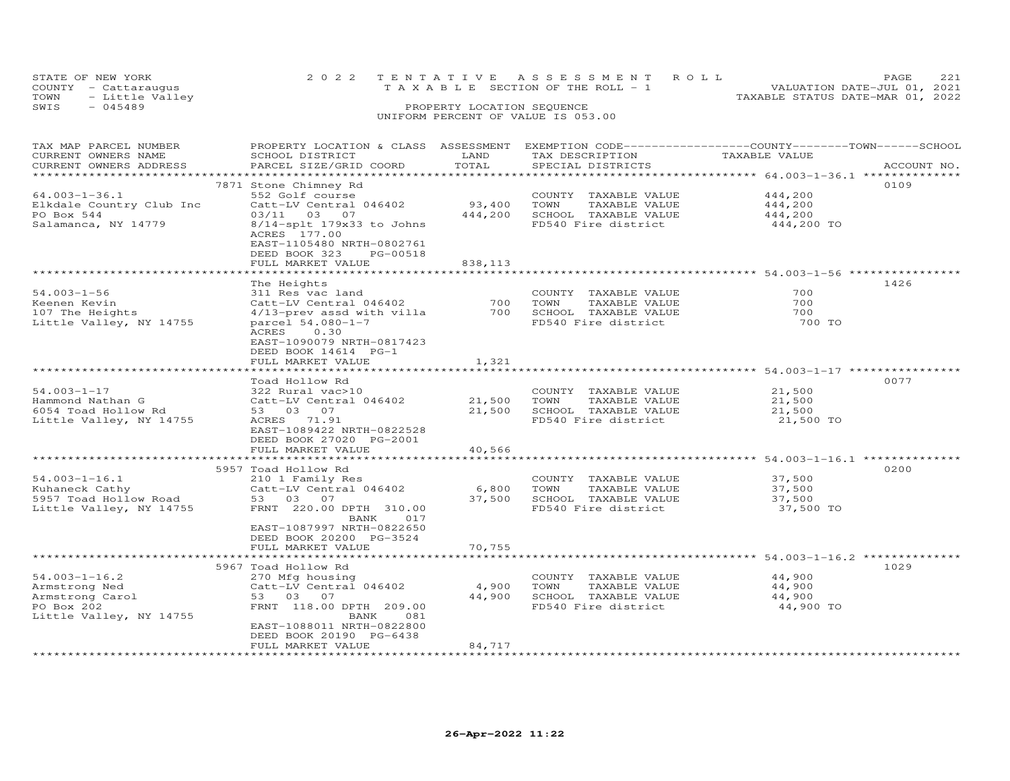| STATE OF NEW YORK       | 2022 TENTATIVE ASSESSMENT ROLL        | 221<br><b>PAGE</b>               |
|-------------------------|---------------------------------------|----------------------------------|
| COUNTY - Cattaraugus    | T A X A B L E SECTION OF THE ROLL - 1 | VALUATION DATE-JUL 01, 2021      |
| - Little Valley<br>TOWN |                                       | TAXABLE STATUS DATE-MAR 01, 2022 |
| $-045489$<br>SWIS       | PROPERTY LOCATION SEQUENCE            |                                  |
|                         |                                       |                                  |

| TAX MAP PARCEL NUMBER    | PROPERTY LOCATION & CLASS ASSESSMENT |         | EXEMPTION CODE-----------------COUNTY-------TOWN------SCHOOL |                                            |             |
|--------------------------|--------------------------------------|---------|--------------------------------------------------------------|--------------------------------------------|-------------|
| CURRENT OWNERS NAME      | SCHOOL DISTRICT                      | LAND    | TAX DESCRIPTION                                              | TAXABLE VALUE                              |             |
| CURRENT OWNERS ADDRESS   | PARCEL SIZE/GRID COORD               | TOTAL   | SPECIAL DISTRICTS                                            |                                            | ACCOUNT NO. |
|                          |                                      |         |                                                              |                                            |             |
|                          | 7871 Stone Chimney Rd                |         |                                                              |                                            | 0109        |
| $64.003 - 1 - 36.1$      | 552 Golf course                      |         | COUNTY TAXABLE VALUE                                         | 444,200                                    |             |
|                          |                                      | 93,400  | TOWN                                                         | 444,200                                    |             |
| Elkdale Country Club Inc | Catt-LV Central 046402               |         | TAXABLE VALUE                                                |                                            |             |
| PO Box 544               | 03/11 03 07                          | 444,200 | SCHOOL TAXABLE VALUE                                         | 444,200                                    |             |
| Salamanca, NY 14779      | 8/14-splt 179x33 to Johns            |         | FD540 Fire district                                          | 444,200 TO                                 |             |
|                          | ACRES 177.00                         |         |                                                              |                                            |             |
|                          | EAST-1105480 NRTH-0802761            |         |                                                              |                                            |             |
|                          | DEED BOOK 323<br>PG-00518            |         |                                                              |                                            |             |
|                          | FULL MARKET VALUE                    | 838,113 |                                                              |                                            |             |
|                          |                                      |         |                                                              |                                            |             |
|                          | The Heights                          |         |                                                              |                                            | 1426        |
| $54.003 - 1 - 56$        | 311 Res vac land                     |         | COUNTY TAXABLE VALUE                                         | 700                                        |             |
| Keenen Kevin             | Catt-LV Central 046402               | 700     | TAXABLE VALUE<br>TOWN                                        | 700                                        |             |
| 107 The Heights          | 4/13-prev assd with villa            | 700     | SCHOOL TAXABLE VALUE                                         | 700                                        |             |
|                          |                                      |         |                                                              |                                            |             |
| Little Valley, NY 14755  | parcel 54.080-1-7                    |         | FD540 Fire district                                          | 700 TO                                     |             |
|                          | ACRES<br>0.30                        |         |                                                              |                                            |             |
|                          | EAST-1090079 NRTH-0817423            |         |                                                              |                                            |             |
|                          | DEED BOOK 14614 PG-1                 |         |                                                              |                                            |             |
|                          | FULL MARKET VALUE                    | 1,321   |                                                              |                                            |             |
|                          |                                      |         |                                                              | ****************** 54.003-1-17 *********** |             |
|                          | Toad Hollow Rd                       |         |                                                              |                                            | 0077        |
| $54.003 - 1 - 17$        | 322 Rural vac>10                     |         | COUNTY TAXABLE VALUE                                         | 21,500                                     |             |
| Hammond Nathan G         | Catt-LV Central 046402               | 21,500  | TOWN<br>TAXABLE VALUE                                        | 21,500                                     |             |
| 6054 Toad Hollow Rd      | 53 03 07                             | 21,500  | SCHOOL TAXABLE VALUE                                         | 21,500                                     |             |
| Little Valley, NY 14755  | ACRES 71.91                          |         | FD540 Fire district                                          | 21,500 TO                                  |             |
|                          |                                      |         |                                                              |                                            |             |
|                          | EAST-1089422 NRTH-0822528            |         |                                                              |                                            |             |
|                          | DEED BOOK 27020 PG-2001              |         |                                                              |                                            |             |
|                          | FULL MARKET VALUE                    | 40,566  |                                                              |                                            |             |
|                          |                                      |         |                                                              |                                            |             |
|                          | 5957 Toad Hollow Rd                  |         |                                                              |                                            | 0200        |
| $54.003 - 1 - 16.1$      | 210 1 Family Res                     |         | COUNTY TAXABLE VALUE                                         | 37,500                                     |             |
| Kuhaneck Cathy           | Catt-LV Central 046402               | 6,800   | TOWN<br>TAXABLE VALUE                                        | 37,500                                     |             |
| 5957 Toad Hollow Road    | 53 03<br>07                          | 37,500  | SCHOOL TAXABLE VALUE                                         | 37,500                                     |             |
| Little Valley, NY 14755  | FRNT 220.00 DPTH 310.00              |         | FD540 Fire district                                          | 37,500 TO                                  |             |
|                          | 017<br>BANK                          |         |                                                              |                                            |             |
|                          | EAST-1087997 NRTH-0822650            |         |                                                              |                                            |             |
|                          | DEED BOOK 20200 PG-3524              |         |                                                              |                                            |             |
|                          | FULL MARKET VALUE                    | 70,755  |                                                              |                                            |             |
|                          |                                      |         |                                                              | *********** 54.003-1-16.2 ********         |             |
|                          | 5967 Toad Hollow Rd                  |         |                                                              |                                            | 1029        |
| $54.003 - 1 - 16.2$      |                                      |         |                                                              | 44,900                                     |             |
|                          | 270 Mfg housing                      |         | COUNTY TAXABLE VALUE                                         |                                            |             |
| Armstrong Ned            | Catt-LV Central 046402               | 4,900   | TOWN<br>TAXABLE VALUE                                        | 44,900                                     |             |
| Armstrong Carol          | 53 03 07                             | 44,900  | SCHOOL TAXABLE VALUE                                         | 44,900                                     |             |
| PO Box 202               | FRNT 118.00 DPTH 209.00              |         | FD540 Fire district                                          | 44,900 TO                                  |             |
| Little Valley, NY 14755  | 081<br>BANK                          |         |                                                              |                                            |             |
|                          | EAST-1088011 NRTH-0822800            |         |                                                              |                                            |             |
|                          | DEED BOOK 20190 PG-6438              |         |                                                              |                                            |             |
|                          | FULL MARKET VALUE                    | 84,717  |                                                              |                                            |             |
|                          |                                      |         |                                                              |                                            |             |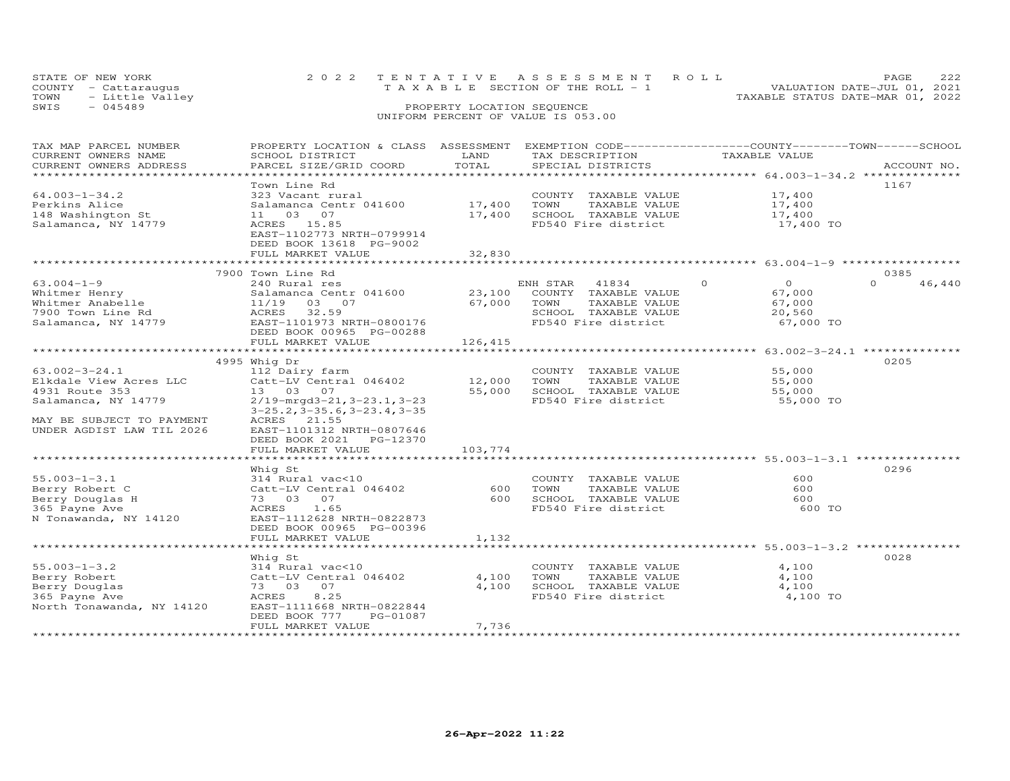| STATE OF NEW YORK    | 2022 TENTATIVE ASSESSMENT ROLL        | PAGE.                            |
|----------------------|---------------------------------------|----------------------------------|
| COUNTY - Cattaraugus | T A X A B L E SECTION OF THE ROLL - 1 | VALUATION DATE-JUL 01, 2021      |
| TOWN - Little Valley |                                       | TAXABLE STATUS DATE-MAR 01, 2022 |
| SWIS<br>- 045489     | PROPERTY LOCATION SEQUENCE            |                                  |
|                      | UNIFORM PERCENT OF VALUE IS 053.00    |                                  |

| TAX MAP PARCEL NUMBER<br>CURRENT OWNERS NAME | PROPERTY LOCATION & CLASS ASSESSMENT<br>SCHOOL DISTRICT             | LAND                  | TAX DESCRIPTION       | EXEMPTION CODE-----------------COUNTY-------TOWN-----SCHOOL<br>TAXABLE VALUE |                    |
|----------------------------------------------|---------------------------------------------------------------------|-----------------------|-----------------------|------------------------------------------------------------------------------|--------------------|
| CURRENT OWNERS ADDRESS                       | PARCEL SIZE/GRID COORD                                              | TOTAL<br>************ | SPECIAL DISTRICTS     | ********************************** 64.003-1-34.2 **************              | ACCOUNT NO.        |
|                                              | Town Line Rd                                                        |                       |                       |                                                                              | 1167               |
| $64.003 - 1 - 34.2$                          | 323 Vacant rural                                                    |                       | COUNTY TAXABLE VALUE  | 17,400                                                                       |                    |
| Perkins Alice                                | Salamanca Centr 041600                                              | 17,400                | TOWN<br>TAXABLE VALUE | 17,400                                                                       |                    |
| 148 Washington St                            | 03<br>07<br>11                                                      | 17,400                | SCHOOL TAXABLE VALUE  | 17,400                                                                       |                    |
| Salamanca, NY 14779                          | ACRES 15.85<br>EAST-1102773 NRTH-0799914<br>DEED BOOK 13618 PG-9002 |                       | FD540 Fire district   | 17,400 TO                                                                    |                    |
|                                              | FULL MARKET VALUE                                                   | 32,830                |                       |                                                                              |                    |
|                                              |                                                                     |                       |                       |                                                                              |                    |
|                                              | 7900 Town Line Rd                                                   |                       |                       |                                                                              | 0385               |
| $63.004 - 1 - 9$                             | 240 Rural res                                                       |                       | ENH STAR<br>41834     | $\Omega$<br>$\circ$                                                          | $\Omega$<br>46,440 |
| Whitmer Henry                                | Salamanca Centr 041600                                              | 23,100                | COUNTY TAXABLE VALUE  | 67,000                                                                       |                    |
| Whitmer Anabelle                             | 11/19<br>03 07                                                      | 67,000                | TOWN<br>TAXABLE VALUE | 67,000                                                                       |                    |
| 7900 Town Line Rd                            | 32.59<br>ACRES                                                      |                       | SCHOOL TAXABLE VALUE  | 20,560                                                                       |                    |
| Salamanca, NY 14779                          | EAST-1101973 NRTH-0800176                                           |                       | FD540 Fire district   | 67,000 TO                                                                    |                    |
|                                              | DEED BOOK 00965 PG-00288                                            |                       |                       |                                                                              |                    |
|                                              | FULL MARKET VALUE                                                   | 126,415               |                       |                                                                              |                    |
|                                              | ****************************                                        | *************         |                       | ******************* 63.002-3-24.1 ***************                            |                    |
|                                              | 4995 Whig Dr                                                        |                       |                       |                                                                              | 0205               |
| $63.002 - 3 - 24.1$                          | 112 Dairy farm                                                      |                       | COUNTY TAXABLE VALUE  | 55,000                                                                       |                    |
| Elkdale View Acres LLC                       | Catt-LV Central 046402                                              | 12,000                | TOWN<br>TAXABLE VALUE | 55,000                                                                       |                    |
| 4931 Route 353                               | 13 03 07                                                            | 55,000                | SCHOOL TAXABLE VALUE  | 55,000                                                                       |                    |
| Salamanca, NY 14779                          | $2/19$ -mrgd $3-21$ , $3-23.1$ , $3-23$                             |                       | FD540 Fire district   | 55,000 TO                                                                    |                    |
|                                              | $3-25.2$ , $3-35.6$ , $3-23.4$ , $3-35$                             |                       |                       |                                                                              |                    |
| MAY BE SUBJECT TO PAYMENT                    | ACRES 21.55                                                         |                       |                       |                                                                              |                    |
| UNDER AGDIST LAW TIL 2026                    | EAST-1101312 NRTH-0807646                                           |                       |                       |                                                                              |                    |
|                                              | DEED BOOK 2021<br>PG-12370<br>FULL MARKET VALUE                     | 103,774               |                       |                                                                              |                    |
|                                              |                                                                     |                       |                       |                                                                              |                    |
|                                              | Whig St                                                             |                       |                       |                                                                              | 0296               |
| $55.003 - 1 - 3.1$                           | 314 Rural vac<10                                                    |                       | COUNTY TAXABLE VALUE  | 600                                                                          |                    |
| Berry Robert C                               | Catt-LV Central 046402                                              | 600                   | TOWN<br>TAXABLE VALUE | 600                                                                          |                    |
| Berry Douglas H                              | 73 03<br>07                                                         | 600                   | SCHOOL TAXABLE VALUE  | 600                                                                          |                    |
| 365 Payne Ave                                | ACRES<br>1.65                                                       |                       | FD540 Fire district   | 600 TO                                                                       |                    |
| N Tonawanda, NY 14120                        | EAST-1112628 NRTH-0822873                                           |                       |                       |                                                                              |                    |
|                                              | DEED BOOK 00965 PG-00396                                            |                       |                       |                                                                              |                    |
|                                              | FULL MARKET VALUE                                                   | 1,132                 |                       |                                                                              |                    |
|                                              | *****************                                                   | ***********           |                       | ******************************** 55.003-1-3.2 ****************               |                    |
|                                              | Whig St                                                             |                       |                       |                                                                              | 0028               |
| $55.003 - 1 - 3.2$                           | 314 Rural vac<10                                                    |                       | COUNTY TAXABLE VALUE  | 4,100                                                                        |                    |
| Berry Robert                                 | Catt-LV Central 046402                                              | 4,100                 | TOWN<br>TAXABLE VALUE | 4,100                                                                        |                    |
| Berry Douglas                                | 73 03<br>07                                                         | 4,100                 | SCHOOL TAXABLE VALUE  | 4,100                                                                        |                    |
| 365 Payne Ave                                | 8.25<br><b>ACRES</b>                                                |                       | FD540 Fire district   | 4,100 TO                                                                     |                    |
| North Tonawanda, NY 14120                    | EAST-1111668 NRTH-0822844                                           |                       |                       |                                                                              |                    |
|                                              | DEED BOOK 777<br>PG-01087                                           |                       |                       |                                                                              |                    |
|                                              | FULL MARKET VALUE                                                   | 7,736                 |                       |                                                                              |                    |
|                                              |                                                                     |                       |                       |                                                                              |                    |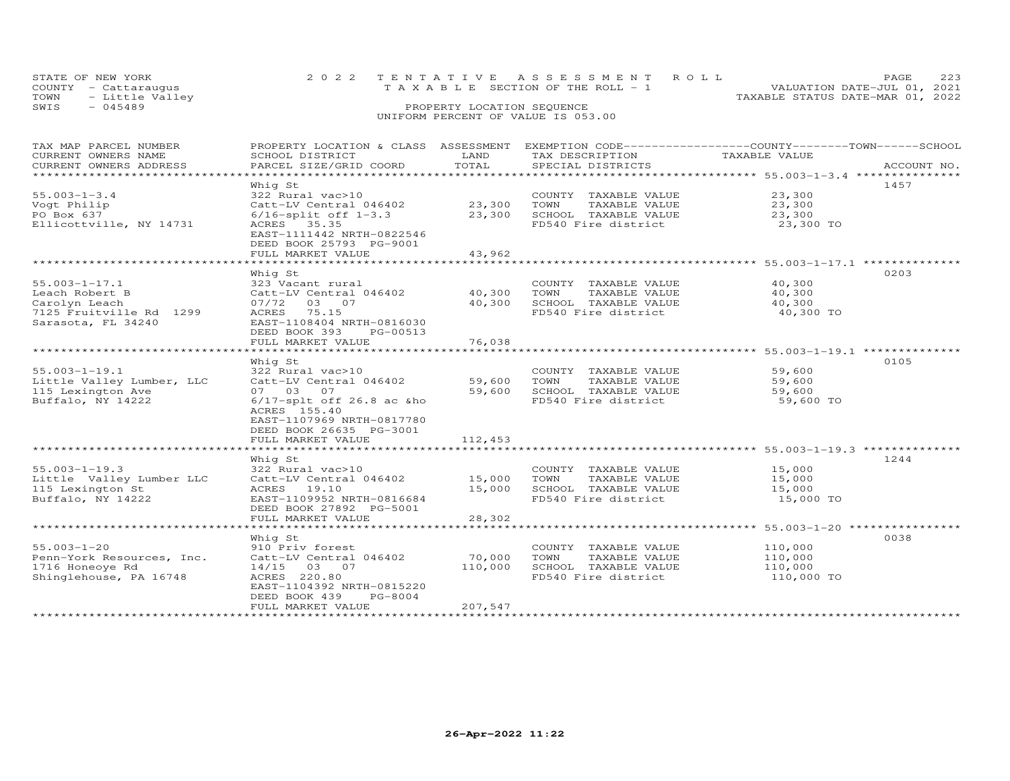| STATE OF NEW YORK       | 2022 TENTATIVE ASSESSMENT ROLL           | <b>PAGE</b>                      |
|-------------------------|------------------------------------------|----------------------------------|
| COUNTY - Cattarauqus    | $T A X A B I F$ SECTION OF THE ROLL $-1$ | VALUATION DATE-JUL 01, 2021      |
| TOWN<br>- Little Valley |                                          | TAXABLE STATUS DATE-MAR 01, 2022 |
| SWIS<br>$-045489$       | PROPERTY LOCATION SEQUENCE               |                                  |
|                         |                                          |                                  |

| TAX MAP PARCEL NUMBER                         | PROPERTY LOCATION & CLASS ASSESSMENT EXEMPTION CODE----------------COUNTY-------TOWN-----SCHOOL |                  |                                             |                     |             |
|-----------------------------------------------|-------------------------------------------------------------------------------------------------|------------------|---------------------------------------------|---------------------|-------------|
| CURRENT OWNERS NAME<br>CURRENT OWNERS ADDRESS | SCHOOL DISTRICT<br>PARCEL SIZE/GRID COORD                                                       | LAND<br>TOTAL    | TAX DESCRIPTION<br>SPECIAL DISTRICTS        | TAXABLE VALUE       | ACCOUNT NO. |
| *********************                         |                                                                                                 |                  |                                             |                     |             |
|                                               | Whig St                                                                                         |                  |                                             |                     | 1457        |
| $55.003 - 1 - 3.4$                            | 322 Rural vac>10                                                                                |                  | COUNTY TAXABLE VALUE                        | 23,300              |             |
| Vogt Philip                                   | Catt-LV Central 046402                                                                          | 23,300           | TOWN<br>TAXABLE VALUE                       | 23,300              |             |
| PO Box 637                                    | $6/16$ -split off $1-3.3$                                                                       | 23,300           | SCHOOL TAXABLE VALUE                        | 23,300              |             |
| Ellicottville, NY 14731                       | ACRES 35.35                                                                                     |                  | FD540 Fire district                         | 23,300 TO           |             |
|                                               | EAST-1111442 NRTH-0822546                                                                       |                  |                                             |                     |             |
|                                               | DEED BOOK 25793 PG-9001                                                                         |                  |                                             |                     |             |
|                                               | FULL MARKET VALUE                                                                               | 43,962           |                                             |                     |             |
|                                               |                                                                                                 |                  |                                             |                     |             |
|                                               | Whig St                                                                                         |                  |                                             |                     | 0203        |
| $55.003 - 1 - 17.1$                           | 323 Vacant rural                                                                                |                  | COUNTY TAXABLE VALUE                        | 40,300              |             |
| Leach Robert B                                | Catt-LV Central 046402                                                                          | 40,300           | TOWN<br>TAXABLE VALUE                       | 40,300              |             |
| Carolyn Leach                                 | 07/72 03 07<br>ACRES 75.15                                                                      | 40,300           | SCHOOL TAXABLE VALUE<br>FD540 Fire district | 40,300<br>40,300 TO |             |
| 7125 Fruitville Rd 1299<br>Sarasota, FL 34240 | EAST-1108404 NRTH-0816030                                                                       |                  |                                             |                     |             |
|                                               | DEED BOOK 393<br>PG-00513                                                                       |                  |                                             |                     |             |
|                                               | FULL MARKET VALUE                                                                               | 76,038           |                                             |                     |             |
|                                               | ******************************                                                                  |                  |                                             |                     |             |
|                                               | Whig St                                                                                         |                  |                                             |                     | 0105        |
| $55.003 - 1 - 19.1$                           | 322 Rural vac>10                                                                                |                  | COUNTY TAXABLE VALUE                        | 59,600              |             |
| Little Valley Lumber, LLC                     | Catt-LV Central 046402                                                                          | 59,600           | TOWN<br>TAXABLE VALUE                       | 59,600              |             |
| 115 Lexington Ave                             | 07 03 07                                                                                        | 59,600           | SCHOOL TAXABLE VALUE                        | 59,600              |             |
| Buffalo, NY 14222                             | $6/17$ -splt off 26.8 ac &ho                                                                    |                  | FD540 Fire district                         | 59,600 TO           |             |
|                                               | ACRES 155.40                                                                                    |                  |                                             |                     |             |
|                                               | EAST-1107969 NRTH-0817780                                                                       |                  |                                             |                     |             |
|                                               | DEED BOOK 26635 PG-3001                                                                         |                  |                                             |                     |             |
|                                               | FULL MARKET VALUE                                                                               | 112,453          |                                             |                     |             |
|                                               |                                                                                                 |                  |                                             |                     |             |
|                                               | Whig St                                                                                         |                  |                                             |                     | 1244        |
| $55.003 - 1 - 19.3$                           | 322 Rural vac>10                                                                                |                  | COUNTY TAXABLE VALUE<br>TOWN                | 15,000              |             |
| Little Valley Lumber LLC<br>115 Lexington St  | Catt-LV Central 046402<br>ACRES 19.10                                                           | 15,000<br>15,000 | TAXABLE VALUE<br>SCHOOL TAXABLE VALUE       | 15,000<br>15,000    |             |
| Buffalo, NY 14222                             | EAST-1109952 NRTH-0816684                                                                       |                  | FD540 Fire district                         | 15,000 TO           |             |
|                                               | DEED BOOK 27892 PG-5001                                                                         |                  |                                             |                     |             |
|                                               | FULL MARKET VALUE                                                                               | 28,302           |                                             |                     |             |
|                                               |                                                                                                 |                  |                                             |                     |             |
|                                               | Whig St                                                                                         |                  |                                             |                     | 0038        |
| $55.003 - 1 - 20$                             | 910 Priv forest                                                                                 |                  | COUNTY TAXABLE VALUE                        | 110,000             |             |
| Penn-York Resources, Inc.                     | Catt-LV Central 046402                                                                          | 70,000           | TOWN<br>TAXABLE VALUE                       | 110,000             |             |
| 1716 Honeoye Rd                               | 14/15 03 07                                                                                     | 110,000          | SCHOOL TAXABLE VALUE                        | 110,000             |             |
| Shinglehouse, PA 16748                        | ACRES 220.80                                                                                    |                  | FD540 Fire district                         | 110,000 TO          |             |
|                                               | EAST-1104392 NRTH-0815220                                                                       |                  |                                             |                     |             |
|                                               | PG-8004<br>DEED BOOK 439                                                                        |                  |                                             |                     |             |
|                                               | FULL MARKET VALUE                                                                               | 207,547          |                                             |                     |             |
|                                               |                                                                                                 |                  |                                             |                     |             |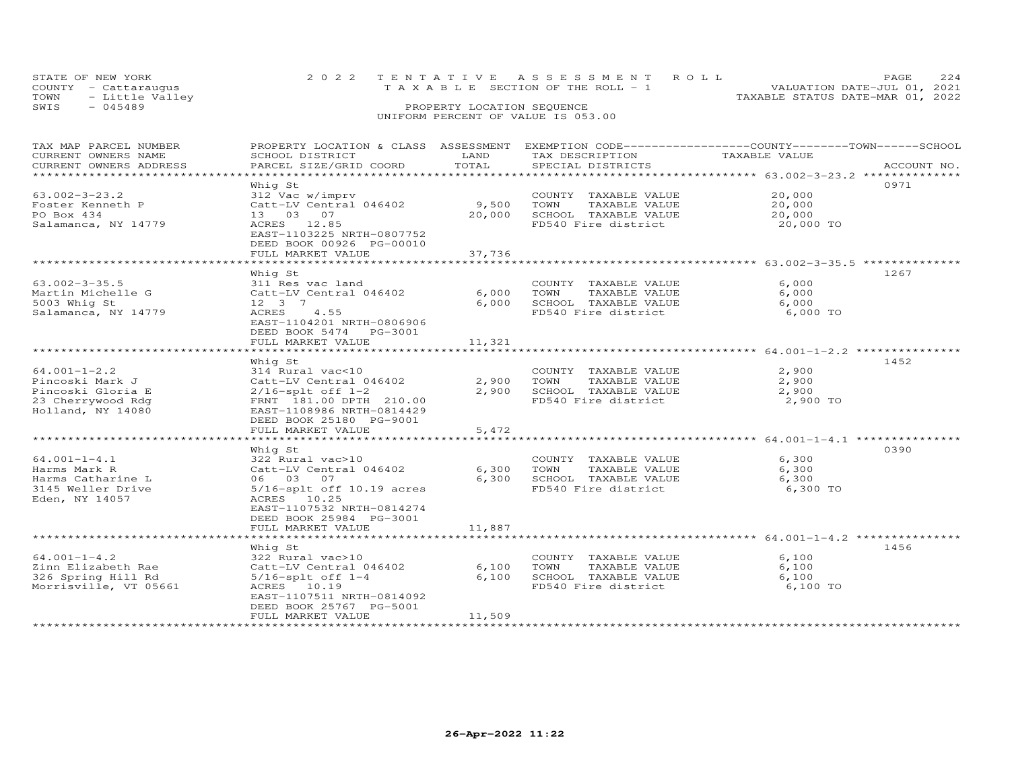| STATE OF NEW YORK |                      | 2022 TENTATIVE ASSESSMENT ROLL<br>PAGE.                              |  |
|-------------------|----------------------|----------------------------------------------------------------------|--|
|                   | COUNTY - Cattaraugus | VALUATION DATE-JUL 01, 2021<br>T A X A B L E SECTION OF THE ROLL - 1 |  |
| TOWN              | - Little Valley      | TAXABLE STATUS DATE-MAR 01, 2022                                     |  |
| SWIS              | - 045489             | PROPERTY LOCATION SEQUENCE                                           |  |
|                   |                      | UNIFORM PERCENT OF VALUE IS 053.00                                   |  |

| TAX MAP PARCEL NUMBER                         | PROPERTY LOCATION & CLASS ASSESSMENT EXEMPTION CODE-----------------COUNTY-------TOWN------SCHOOL | LAND   |                                      | TAXABLE VALUE                                              |             |
|-----------------------------------------------|---------------------------------------------------------------------------------------------------|--------|--------------------------------------|------------------------------------------------------------|-------------|
| CURRENT OWNERS NAME<br>CURRENT OWNERS ADDRESS | SCHOOL DISTRICT<br>PARCEL SIZE/GRID COORD                                                         | TOTAL  | TAX DESCRIPTION<br>SPECIAL DISTRICTS |                                                            | ACCOUNT NO. |
| **********************                        |                                                                                                   |        |                                      |                                                            |             |
|                                               |                                                                                                   |        |                                      |                                                            | 0971        |
|                                               | Whiq St                                                                                           |        |                                      |                                                            |             |
| $63.002 - 3 - 23.2$                           | 312 Vac w/imprv                                                                                   |        | COUNTY TAXABLE VALUE                 | 20,000                                                     |             |
| Foster Kenneth P                              | Catt-LV Central 046402                                                                            | 9,500  | TOWN<br>TAXABLE VALUE                | 20,000                                                     |             |
| PO Box 434                                    | 13 03 07                                                                                          | 20,000 | SCHOOL TAXABLE VALUE                 | 20,000                                                     |             |
| Salamanca, NY 14779                           | ACRES 12.85                                                                                       |        | FD540 Fire district                  | 20,000 TO                                                  |             |
|                                               | EAST-1103225 NRTH-0807752                                                                         |        |                                      |                                                            |             |
|                                               | DEED BOOK 00926 PG-00010                                                                          |        |                                      |                                                            |             |
|                                               | FULL MARKET VALUE                                                                                 | 37,736 |                                      |                                                            |             |
|                                               |                                                                                                   |        |                                      |                                                            |             |
|                                               | Whig St                                                                                           |        |                                      |                                                            | 1267        |
| $63.002 - 3 - 35.5$                           | 311 Res vac land                                                                                  |        | COUNTY TAXABLE VALUE                 | 6,000                                                      |             |
| Martin Michelle G                             | Catt-LV Central 046402                                                                            | 6,000  | TOWN<br>TAXABLE VALUE                | 6,000                                                      |             |
| 5003 Whig St                                  | 12 3 7                                                                                            | 6,000  | SCHOOL TAXABLE VALUE                 | 6,000                                                      |             |
| Salamanca, NY 14779                           | ACRES<br>4.55                                                                                     |        | FD540 Fire district                  | 6,000 TO                                                   |             |
|                                               | EAST-1104201 NRTH-0806906                                                                         |        |                                      |                                                            |             |
|                                               | DEED BOOK 5474 PG-3001                                                                            |        |                                      |                                                            |             |
|                                               | FULL MARKET VALUE                                                                                 | 11,321 |                                      |                                                            |             |
|                                               |                                                                                                   |        |                                      |                                                            |             |
|                                               | Whig St                                                                                           |        |                                      |                                                            | 1452        |
| $64.001 - 1 - 2.2$                            | 314 Rural vac<10                                                                                  |        | COUNTY TAXABLE VALUE                 | 2,900                                                      |             |
| Pincoski Mark J                               | Catt-LV Central 046402                                                                            | 2,900  | TOWN<br>TAXABLE VALUE                | 2,900                                                      |             |
| Pincoski Gloria E                             | $2/16$ -splt off $1-2$                                                                            | 2,900  | SCHOOL TAXABLE VALUE                 | 2,900                                                      |             |
| 23 Cherrywood Rdg                             | FRNT 181.00 DPTH 210.00                                                                           |        | FD540 Fire district                  | 2,900 TO                                                   |             |
|                                               |                                                                                                   |        |                                      |                                                            |             |
| Holland, NY 14080                             | EAST-1108986 NRTH-0814429                                                                         |        |                                      |                                                            |             |
|                                               | DEED BOOK 25180 PG-9001                                                                           |        |                                      |                                                            |             |
|                                               | FULL MARKET VALUE                                                                                 | 5,472  |                                      |                                                            |             |
|                                               |                                                                                                   |        |                                      | *************** 64.001-1-4.1 *********                     |             |
|                                               | Whig St                                                                                           |        |                                      |                                                            | 0390        |
| $64.001 - 1 - 4.1$                            | 322 Rural vac>10                                                                                  |        | COUNTY TAXABLE VALUE                 | 6,300                                                      |             |
| Harms Mark R                                  | Catt-LV Central 046402                                                                            | 6,300  | TOWN<br>TAXABLE VALUE                | 6,300                                                      |             |
| Harms Catharine L                             | 06 03 07                                                                                          | 6,300  | SCHOOL TAXABLE VALUE                 | 6,300                                                      |             |
| 3145 Weller Drive                             | $5/16$ -splt off 10.19 acres                                                                      |        | FD540 Fire district                  | 6,300 TO                                                   |             |
| Eden, NY 14057                                | ACRES 10.25                                                                                       |        |                                      |                                                            |             |
|                                               | EAST-1107532 NRTH-0814274                                                                         |        |                                      |                                                            |             |
|                                               | DEED BOOK 25984 PG-3001                                                                           |        |                                      |                                                            |             |
|                                               | FULL MARKET VALUE                                                                                 | 11,887 |                                      |                                                            |             |
|                                               | *********************                                                                             |        |                                      | ******************************** 64.001-1-4.2 ************ |             |
|                                               | Whiq St                                                                                           |        |                                      |                                                            | 1456        |
| $64.001 - 1 - 4.2$                            | 322 Rural vac>10                                                                                  |        | COUNTY TAXABLE VALUE                 | 6,100                                                      |             |
| Zinn Elizabeth Rae                            | Catt-LV Central 046402                                                                            | 6,100  | TOWN<br>TAXABLE VALUE                | 6,100                                                      |             |
| 326 Spring Hill Rd                            | $5/16$ -splt off $1-4$                                                                            | 6,100  | SCHOOL TAXABLE VALUE                 | 6,100                                                      |             |
| Morrisville, VT 05661                         | ACRES 10.19                                                                                       |        | FD540 Fire district                  | 6,100 TO                                                   |             |
|                                               | EAST-1107511 NRTH-0814092                                                                         |        |                                      |                                                            |             |
|                                               | DEED BOOK 25767 PG-5001                                                                           |        |                                      |                                                            |             |
|                                               | FULL MARKET VALUE                                                                                 | 11,509 |                                      |                                                            |             |
| ************************                      |                                                                                                   |        |                                      |                                                            |             |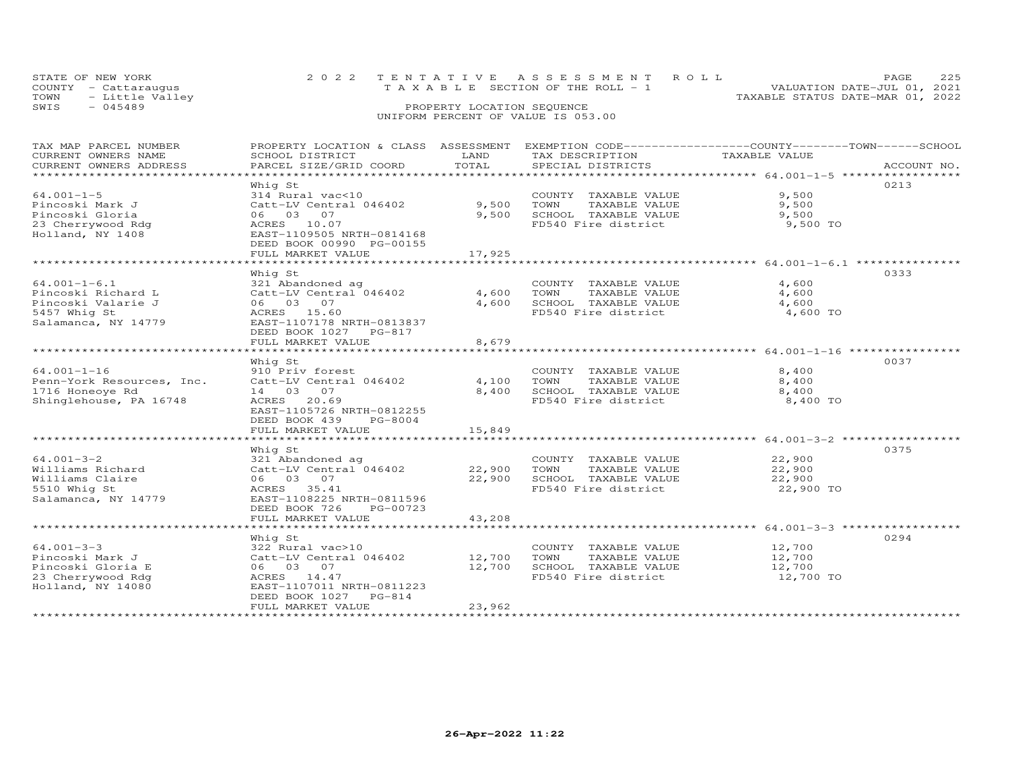|      | STATE OF NEW YORK    | 2022 TENTATIVE ASSESSMENT ROLL                                          | PAGE. |  |
|------|----------------------|-------------------------------------------------------------------------|-------|--|
|      | COUNTY - Cattaraugus | VALUATION DATE-JUL 01, 2021<br>$T A X A B L E$ SECTION OF THE ROLL $-1$ |       |  |
| TOWN | - Little Valley      | TAXABLE STATUS DATE-MAR 01, 2022                                        |       |  |
| SWIS | $-045489$            | PROPERTY LOCATION SEQUENCE                                              |       |  |
|      |                      | UNIFORM PERCENT OF VALUE IS 053.00                                      |       |  |

# TAX MAP PARCEL NUMBER PROPERTY LOCATION & CLASS ASSESSMENT EXEMPTION CODE------------------COUNTY--------TOWN------SCHOOL CURRENT OWNERS NAME SCHOOL DISTRICT LAND TAX DESCRIPTION TAXABLE VALUE CURRENT OWNERS ADDRESS PARCEL SIZE/GRID COORD TOTAL SPECIAL DISTRICTS ACCOUNT NO. \*\*\*\*\*\*\*\*\*\*\*\*\*\*\*\*\*\*\*\*\*\*\*\*\*\*\*\*\*\*\*\*\*\*\*\*\*\*\*\*\*\*\*\*\*\*\*\*\*\*\*\*\*\*\*\*\*\*\*\*\*\*\*\*\*\*\*\*\*\*\*\*\*\*\*\*\*\*\*\*\*\*\*\*\*\*\*\*\*\*\*\*\*\*\*\*\*\*\*\*\*\*\* 64.001-1-5 \*\*\*\*\*\*\*\*\*\*\*\*\*\*\*\*\* Whig St 021364.001-1-5 314 Rural vac<10 COUNTY TAXABLE VALUE 9,500Pincoski Mark J Catt-LV Central 046402 9,500 TOWN TAXABLE VALUE 9,500Pincoski Gloria 06 03 07 9,500 SCHOOL TAXABLE VALUE 9,50023 Cherrywood Rdg ACRES 10.07 FD540 Fire district 9,500 TOHolland, NY 1408 EAST-1109505 NRTH-0814168 DEED BOOK 00990 PG-00155 $9,500$  $9,500$ 9,500 TO FULL MARKET VALUE 17,925 \*\*\*\*\*\*\*\*\*\*\*\*\*\*\*\*\*\*\*\*\*\*\*\*\*\*\*\*\*\*\*\*\*\*\*\*\*\*\*\*\*\*\*\*\*\*\*\*\*\*\*\*\*\*\*\*\*\*\*\*\*\*\*\*\*\*\*\*\*\*\*\*\*\*\*\*\*\*\*\*\*\*\*\*\*\*\*\*\*\*\*\*\*\*\*\*\*\*\*\*\*\*\* 64.001-1-6.1 \*\*\*\*\*\*\*\*\*\*\*\*\*\*\* Whig St 033364.001-1-6.1 321 Abandoned ag COUNTY TAXABLE VALUE 4,600 Pincoski Richard L Catt-LV Central 046402 4,600 TOWN TAXABLE VALUE 4,600 Pincoski Valarie J 06 03 07 4,600 SCHOOL TAXABLE VALUE 4,600 5457 Whig St ACRES 15.60 FD540 Fire district 4,600 TOSalamanca, NY 14779 EAST-1107178 NRTH-0813837 DEED BOOK 1027 PG-817 FULL MARKET VALUE 8,679 \*\*\*\*\*\*\*\*\*\*\*\*\*\*\*\*\*\*\*\*\*\*\*\*\*\*\*\*\*\*\*\*\*\*\*\*\*\*\*\*\*\*\*\*\*\*\*\*\*\*\*\*\*\*\*\*\*\*\*\*\*\*\*\*\*\*\*\*\*\*\*\*\*\*\*\*\*\*\*\*\*\*\*\*\*\*\*\*\*\*\*\*\*\*\*\*\*\*\*\*\*\*\* 64.001-1-16 \*\*\*\*\*\*\*\*\*\*\*\*\*\*\*\*Whig St Mind St COUNTY TAXABLE VALUE 8,400<br>
Penn-York Resources, Inc. Catt-LV Contral 046402 4,100 TOWN TAXABLE VALUE 8,400<br>
1716 Honeoye Rd 14 03 07 8,400 8,400 SCHOOL TAXABLE VALUE 8,400<br>
Shinglehouse, PA 16748 ACRES 20. 8,400 l DEED BOOK 439 PG-8004FULL MARKET VALUE 15,849 \*\*\*\*\*\*\*\*\*\*\*\*\*\*\*\*\*\*\*\*\*\*\*\*\*\*\*\*\*\*\*\*\*\*\*\*\*\*\*\*\*\*\*\*\*\*\*\*\*\*\*\*\*\*\*\*\*\*\*\*\*\*\*\*\*\*\*\*\*\*\*\*\*\*\*\*\*\*\*\*\*\*\*\*\*\*\*\*\*\*\*\*\*\*\*\*\*\*\*\*\*\*\* 64.001-3-2 \*\*\*\*\*\*\*\*\*\*\*\*\*\*\*\*\* Whig St 037564.001-3-2 321 Abandoned ag COUNTY TAXABLE VALUE 22,900Williams Richard Catt-LV Central 046402 22,900 TOWN TAXABLE VALUE 22,900Williams Claire 06 03 07 22,900 SCHOOL TAXABLE VALUE 22,9005510 Whig St ACRES 35.41 FD540 Fire district 22,900 TOSalamanca, NY 14779 EAST-1108225 NRTH-0811596l 22,900 TO DEED BOOK 726 PG-00723FULL MARKET VALUE FULL MARKET VALUE 43,208 \*\*\*\*\*\*\*\*\*\*\*\*\*\*\*\*\*\*\*\*\*\*\*\*\*\*\*\*\*\*\*\*\*\*\*\*\*\*\*\*\*\*\*\*\*\*\*\*\*\*\*\*\*\*\*\*\*\*\*\*\*\*\*\*\*\*\*\*\*\*\*\*\*\*\*\*\*\*\*\*\*\*\*\*\*\*\*\*\*\*\*\*\*\*\*\*\*\*\*\*\*\*\* 64.001-3-3 \*\*\*\*\*\*\*\*\*\*\*\*\*\*\*\*\* Whig St 029464.001-3-3 322 Rural vac>10 COUNTY TAXABLE VALUE 12,700Pincoski Mark J Catt-LV Central 046402 12,700 TOWN TAXABLE VALUE 12,700Pincoski Gloria E 06 03 07 12,700 SCHOOL TAXABLE VALUE 12,70023 Cherrywood Rdg ACRES 14.47 FD540 Fire district 12,700 TO֖֖֖֚֚֚֚֚֚֚֚֚֚֚֚֚֚֚֚֚֚֚֚֬֡֡֡֡֡֡֡֡֬֝֞ 12,700 TO Holland, NY 14080 EAST-1107011 NRTH-0811223DEED BOOK 1027 PG-814 FULL MARKET VALUE 23,962

\*\*\*\*\*\*\*\*\*\*\*\*\*\*\*\*\*\*\*\*\*\*\*\*\*\*\*\*\*\*\*\*\*\*\*\*\*\*\*\*\*\*\*\*\*\*\*\*\*\*\*\*\*\*\*\*\*\*\*\*\*\*\*\*\*\*\*\*\*\*\*\*\*\*\*\*\*\*\*\*\*\*\*\*\*\*\*\*\*\*\*\*\*\*\*\*\*\*\*\*\*\*\*\*\*\*\*\*\*\*\*\*\*\*\*\*\*\*\*\*\*\*\*\*\*\*\*\*\*\*\*\*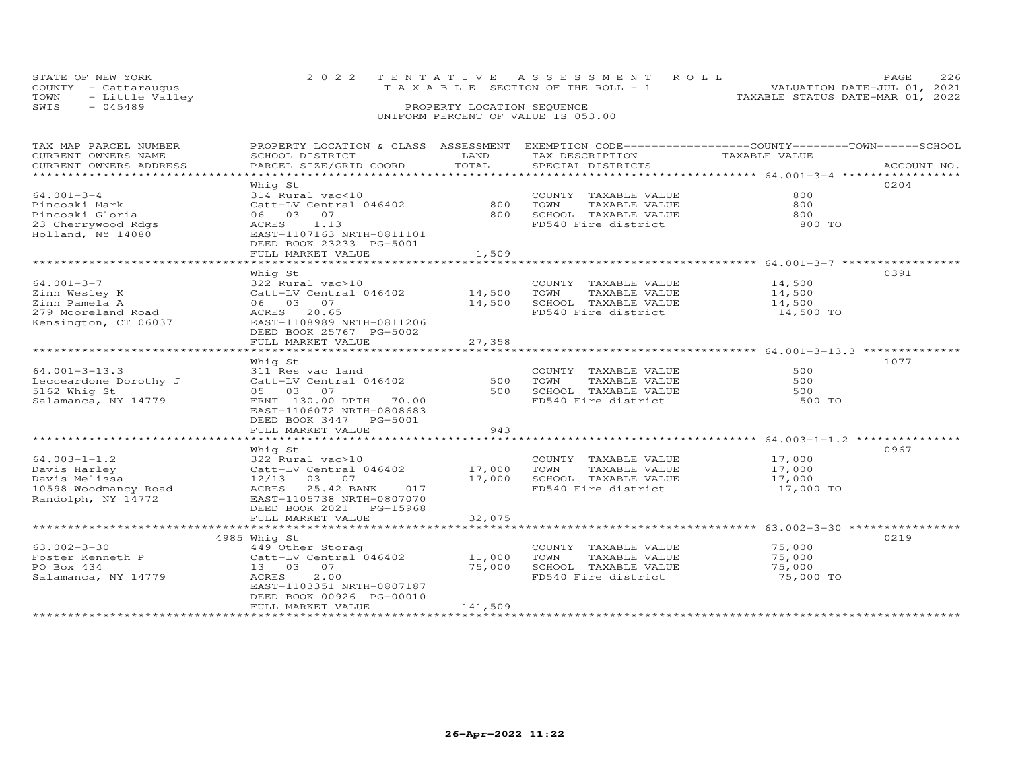|      | STATE OF NEW YORK    | 2022 TENTATIVE ASSESSMENT ROLL                                       | PAGE. | - 226 |
|------|----------------------|----------------------------------------------------------------------|-------|-------|
|      | COUNTY - Cattaraugus | VALUATION DATE-JUL 01, 2021<br>T A X A B L E SECTION OF THE ROLL - 1 |       |       |
| TOWN | - Little Valley      | TAXABLE STATUS DATE-MAR 01, 2022                                     |       |       |
| SWIS | $-045489$            | PROPERTY LOCATION SEQUENCE                                           |       |       |
|      |                      | UNIFORM PERCENT OF VALUE IS 053.00                                   |       |       |

| TAX MAP PARCEL NUMBER<br>CURRENT OWNERS NAME<br>CURRENT OWNERS ADDRESS | PROPERTY LOCATION & CLASS ASSESSMENT<br>SCHOOL DISTRICT<br>PARCEL SIZE/GRID COORD | LAND<br>TOTAL               | TAX DESCRIPTION<br>SPECIAL DISTRICTS          | EXEMPTION CODE-----------------COUNTY-------TOWN------SCHOOL<br>TAXABLE VALUE | ACCOUNT NO. |
|------------------------------------------------------------------------|-----------------------------------------------------------------------------------|-----------------------------|-----------------------------------------------|-------------------------------------------------------------------------------|-------------|
|                                                                        |                                                                                   |                             |                                               |                                                                               |             |
|                                                                        | Whig St                                                                           |                             |                                               |                                                                               | 0204        |
| $64.001 - 3 - 4$                                                       | 314 Rural vac<10                                                                  |                             | COUNTY TAXABLE VALUE                          | 800                                                                           |             |
| Pincoski Mark                                                          | Catt-LV Central 046402                                                            | 800                         | TOWN<br>TAXABLE VALUE                         | 800                                                                           |             |
| Pincoski Gloria                                                        | 06 03 07                                                                          | 800                         | DONOOD IAAABDE VALUE<br>FD540 Fire district   | 800                                                                           |             |
| 23 Cherrywood Rdgs                                                     | 1.13<br>ACRES                                                                     |                             |                                               | 800 TO                                                                        |             |
| Holland, NY 14080                                                      | EAST-1107163 NRTH-0811101                                                         |                             |                                               |                                                                               |             |
|                                                                        | DEED BOOK 23233 PG-5001                                                           |                             |                                               |                                                                               |             |
|                                                                        | FULL MARKET VALUE                                                                 | 1,509                       |                                               |                                                                               |             |
|                                                                        |                                                                                   |                             |                                               | .********************************* 64.001-3-7 ****************                |             |
|                                                                        | Whiq St                                                                           |                             |                                               |                                                                               | 0391        |
| $64.001 - 3 - 7$                                                       | 322 Rural vac>10                                                                  |                             | COUNTY TAXABLE VALUE                          | 14,500                                                                        |             |
| Zinn Wesley K                                                          | Catt-LV Central 046402                                                            | 14,500                      | TOWN<br>TAXABLE VALUE                         | 14,500                                                                        |             |
| Zinn Pamela A                                                          | 06 03 07                                                                          | 14,500                      | SCHOOL TAXABLE VALUE                          | 14,500                                                                        |             |
| 279 Mooreland Road                                                     | ACRES 20.65                                                                       |                             | FD540 Fire district                           | 14,500 TO                                                                     |             |
| Kensington, CT 06037                                                   | EAST-1108989 NRTH-0811206                                                         |                             |                                               |                                                                               |             |
|                                                                        | DEED BOOK 25767 PG-5002                                                           |                             |                                               |                                                                               |             |
|                                                                        | FULL MARKET VALUE<br>*******************                                          | 27,358<br>***********       |                                               |                                                                               |             |
|                                                                        |                                                                                   |                             |                                               |                                                                               | 1077        |
| $64.001 - 3 - 13.3$                                                    | Whig St                                                                           |                             |                                               | 500                                                                           |             |
| Lecceardone Dorothy J                                                  | 311 Res vac land<br>Catt-LV Central 046402                                        | 500                         | COUNTY TAXABLE VALUE<br>TOWN<br>TAXABLE VALUE | 500                                                                           |             |
| 5162 Whig St                                                           | 05 03 07                                                                          | 500                         | SCHOOL TAXABLE VALUE                          | 500                                                                           |             |
| Salamanca, NY 14779                                                    | FRNT 130.00 DPTH 70.00                                                            |                             | FD540 Fire district                           | 500 TO                                                                        |             |
|                                                                        | EAST-1106072 NRTH-0808683                                                         |                             |                                               |                                                                               |             |
|                                                                        | DEED BOOK 3447 PG-5001                                                            |                             |                                               |                                                                               |             |
|                                                                        | FULL MARKET VALUE                                                                 | 943                         |                                               |                                                                               |             |
|                                                                        | ************************                                                          |                             |                                               |                                                                               |             |
|                                                                        | Whiq St                                                                           |                             |                                               |                                                                               | 0967        |
| $64.003 - 1 - 1.2$                                                     | 322 Rural vac>10                                                                  |                             | COUNTY TAXABLE VALUE                          | 17,000                                                                        |             |
| Davis Harley                                                           | Catt-LV Central 046402                                                            | 17,000                      | TOWN<br>TAXABLE VALUE                         | 17,000                                                                        |             |
| Davis Melissa                                                          | 12/13<br>03 07                                                                    | 17,000                      | SCHOOL TAXABLE VALUE                          | 17,000                                                                        |             |
| 10598 Woodmancy Road                                                   | 25.42 BANK<br>ACRES<br>017                                                        |                             | FD540 Fire district                           | 17,000 TO                                                                     |             |
| Randolph, NY 14772                                                     | EAST-1105738 NRTH-0807070                                                         |                             |                                               |                                                                               |             |
|                                                                        | DEED BOOK 2021 PG-15968                                                           |                             |                                               |                                                                               |             |
|                                                                        | FULL MARKET VALUE                                                                 | 32,075                      |                                               |                                                                               |             |
|                                                                        |                                                                                   | * * * * * * * * * * * * * * |                                               |                                                                               |             |
|                                                                        | 4985 Whig St                                                                      |                             |                                               |                                                                               | 0219        |
| $63.002 - 3 - 30$                                                      | 449 Other Storag                                                                  |                             | COUNTY TAXABLE VALUE                          | 75,000                                                                        |             |
| Foster Kenneth P                                                       | Catt-LV Central 046402                                                            | 11,000                      | TOWN<br>TAXABLE VALUE                         | 75,000                                                                        |             |
| PO Box 434                                                             | 13 03 07                                                                          | 75,000                      | SCHOOL TAXABLE VALUE                          | 75,000                                                                        |             |
| Salamanca, NY 14779                                                    | ACRES<br>2.00                                                                     |                             | FD540 Fire district                           | 75,000 TO                                                                     |             |
|                                                                        | EAST-1103351 NRTH-0807187                                                         |                             |                                               |                                                                               |             |
|                                                                        | DEED BOOK 00926 PG-00010                                                          |                             |                                               |                                                                               |             |
|                                                                        | FULL MARKET VALUE                                                                 | 141,509                     |                                               |                                                                               |             |
|                                                                        |                                                                                   |                             |                                               |                                                                               |             |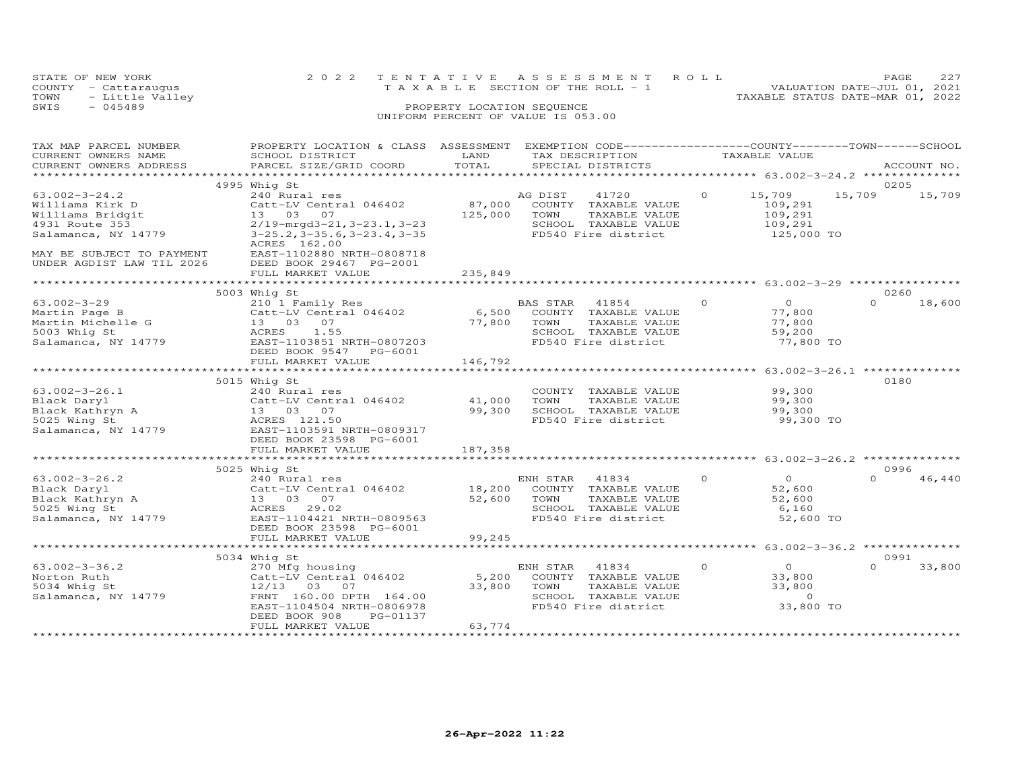| STATE OF NEW YORK       | 2022 TENTATIVE ASSESSMENT ROLL        | PAGE.                            |
|-------------------------|---------------------------------------|----------------------------------|
| COUNTY - Cattaraugus    | T A X A B L E SECTION OF THE ROLL - 1 | VALUATION DATE-JUL 01, 2021      |
| TOWN<br>- Little Valley |                                       | TAXABLE STATUS DATE-MAR 01, 2022 |
| SWIS<br>$-045489$       | PROPERTY LOCATION SEQUENCE            |                                  |

| TAX MAP PARCEL NUMBER     | PROPERTY LOCATION & CLASS                | ASSESSMENT   |          | EXEMPTION CODE------------------COUNTY-------TOWN------SCHOOL |          |                                          |          |             |
|---------------------------|------------------------------------------|--------------|----------|---------------------------------------------------------------|----------|------------------------------------------|----------|-------------|
| CURRENT OWNERS NAME       | SCHOOL DISTRICT                          | LAND         |          | TAX DESCRIPTION                                               |          | TAXABLE VALUE                            |          |             |
| CURRENT OWNERS ADDRESS    | PARCEL SIZE/GRID COORD                   | TOTAL        |          | SPECIAL DISTRICTS                                             |          |                                          |          | ACCOUNT NO. |
| ******************        |                                          |              |          |                                                               |          |                                          |          |             |
|                           | 4995 Whig St                             |              |          |                                                               |          |                                          | 0205     |             |
| $63.002 - 3 - 24.2$       | 240 Rural res                            |              | AG DIST  | 41720                                                         | $\Omega$ | 15,709                                   | 15,709   | 15,709      |
| Williams Kirk D           | Catt-LV Central 046402                   | 87,000       |          | COUNTY TAXABLE VALUE                                          |          | 109,291                                  |          |             |
| Williams Bridgit          | 13 03 07                                 | 125,000      | TOWN     | TAXABLE VALUE                                                 |          | 109,291                                  |          |             |
| 4931 Route 353            | $2/19$ -mrgd $3-21$ , $3-23$ . 1, $3-23$ |              |          | SCHOOL TAXABLE VALUE                                          |          | 109,291                                  |          |             |
| Salamanca, NY 14779       | $3-25.2$ , $3-35.6$ , $3-23.4$ , $3-35$  |              |          | FD540 Fire district                                           |          | 125,000 TO                               |          |             |
|                           | ACRES 162.00                             |              |          |                                                               |          |                                          |          |             |
| MAY BE SUBJECT TO PAYMENT | EAST-1102880 NRTH-0808718                |              |          |                                                               |          |                                          |          |             |
| UNDER AGDIST LAW TIL 2026 | DEED BOOK 29467 PG-2001                  |              |          |                                                               |          |                                          |          |             |
|                           | FULL MARKET VALUE                        | 235,849      |          |                                                               |          |                                          |          |             |
|                           | ********************                     | *********    |          | *********************** 63.002-3-29 ***********               |          |                                          |          |             |
|                           | 5003 Whig St                             |              |          |                                                               |          |                                          | 0260     |             |
| $63.002 - 3 - 29$         | 210 1 Family Res                         |              | BAS STAR | 41854                                                         | $\circ$  | $\overline{0}$                           | $\Omega$ | 18,600      |
| Martin Page B             | Catt-LV Central 046402                   | 6,500        |          | COUNTY TAXABLE VALUE                                          |          | 77,800                                   |          |             |
| Martin Michelle G         | 13 03 07                                 | 77,800       | TOWN     | TAXABLE VALUE                                                 |          | 77,800                                   |          |             |
| 5003 Whig St              | 1.55<br>ACRES                            |              |          | SCHOOL TAXABLE VALUE                                          |          | 59,200                                   |          |             |
| Salamanca, NY 14779       | EAST-1103851 NRTH-0807203                |              |          | FD540 Fire district                                           |          | 77,800 TO                                |          |             |
|                           | DEED BOOK 9547 PG-6001                   |              |          |                                                               |          |                                          |          |             |
|                           | FULL MARKET VALUE                        | 146,792      |          |                                                               |          |                                          |          |             |
|                           |                                          |              |          |                                                               |          |                                          |          |             |
|                           | 5015 Whig St                             |              |          |                                                               |          |                                          | 0180     |             |
| $63.002 - 3 - 26.1$       | 240 Rural res                            |              |          | COUNTY TAXABLE VALUE                                          |          | 99,300                                   |          |             |
| Black Daryl               | Catt-LV Central 046402                   | 41,000       | TOWN     | TAXABLE VALUE                                                 |          | 99,300                                   |          |             |
| Black Kathryn A           | 13 03 07                                 | 99,300       |          | SCHOOL TAXABLE VALUE                                          |          | 99,300                                   |          |             |
| 5025 Wing St              | ACRES 121.50                             |              |          | FD540 Fire district                                           |          | 99,300 TO                                |          |             |
| Salamanca, NY 14779       | EAST-1103591 NRTH-0809317                |              |          |                                                               |          |                                          |          |             |
|                           | DEED BOOK 23598 PG-6001                  |              |          |                                                               |          |                                          |          |             |
|                           | FULL MARKET VALUE                        | 187,358      |          |                                                               |          |                                          |          |             |
|                           |                                          |              |          |                                                               |          |                                          |          |             |
|                           | 5025 Whig St                             |              |          |                                                               |          |                                          | 0996     |             |
| $63.002 - 3 - 26.2$       | 240 Rural res                            |              | ENH STAR | 41834                                                         | $\Omega$ | $\Omega$                                 | $\Omega$ | 46,440      |
| Black Daryl               | Catt-LV Central 046402                   | 18,200       |          | COUNTY TAXABLE VALUE                                          |          | 52,600                                   |          |             |
| Black Kathryn A           | 13 03 07                                 | 52,600       | TOWN     | TAXABLE VALUE                                                 |          | 52,600                                   |          |             |
| 5025 Wing St              | ACRES<br>29.02                           |              |          | SCHOOL TAXABLE VALUE                                          |          | 6,160                                    |          |             |
| Salamanca, NY 14779       | EAST-1104421 NRTH-0809563                |              |          | FD540 Fire district                                           |          | 52,600 TO                                |          |             |
|                           | DEED BOOK 23598 PG-6001                  |              |          |                                                               |          |                                          |          |             |
|                           | FULL MARKET VALUE                        | 99,245       |          |                                                               |          |                                          |          |             |
|                           |                                          | ************ |          |                                                               |          | *********** 63.002-3-36.2 ************** |          |             |
|                           | 5034 Whig St                             |              |          |                                                               |          |                                          | 0991     |             |
| $63.002 - 3 - 36.2$       | 270 Mfg housing                          |              | ENH STAR | 41834                                                         | $\circ$  | $\overline{O}$                           | $\Omega$ | 33,800      |
| Norton Ruth               | Catt-LV Central 046402                   | 5,200        |          | COUNTY TAXABLE VALUE                                          |          | 33,800                                   |          |             |
| 5034 Whig St              | $12/13$ 03<br>07                         | 33,800       | TOWN     | TAXABLE VALUE                                                 |          | 33,800                                   |          |             |
| Salamanca, NY 14779       | FRNT 160.00 DPTH 164.00                  |              |          | SCHOOL TAXABLE VALUE                                          |          | $\Omega$                                 |          |             |
|                           | EAST-1104504 NRTH-0806978                |              |          | FD540 Fire district                                           |          | 33,800 TO                                |          |             |
|                           | DEED BOOK 908<br>PG-01137                |              |          |                                                               |          |                                          |          |             |
|                           | FULL MARKET VALUE                        | 63,774       |          |                                                               |          |                                          |          |             |
|                           |                                          |              |          |                                                               |          |                                          |          |             |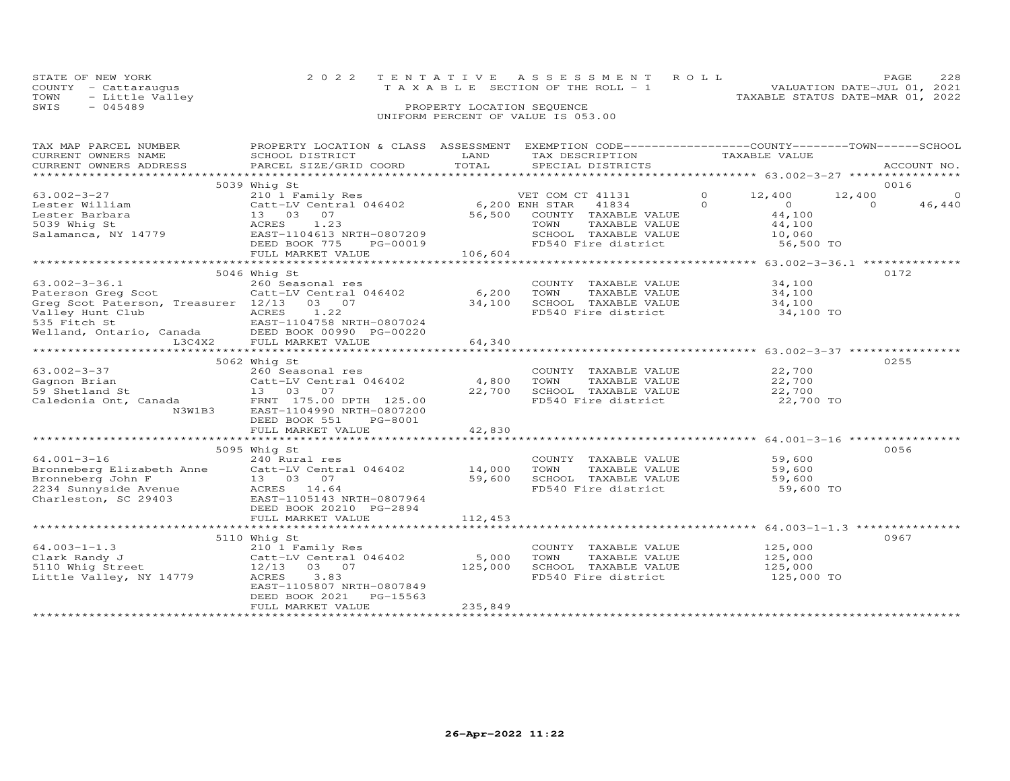| STATE OF NEW YORK    | 2022 TENTATIVE ASSESSMENT ROLL        | PAGE.                            |
|----------------------|---------------------------------------|----------------------------------|
| COUNTY - Cattarauqus | T A X A B L E SECTION OF THE ROLL - 1 | VALUATION DATE-JUL 01, 2021      |
| TOWN - Little Valley |                                       | TAXABLE STATUS DATE-MAR 01, 2022 |
| SWIS<br>$-045489$    | PROPERTY LOCATION SEQUENCE            |                                  |
|                      | UNIFORM PERCENT OF VALUE IS 053.00    |                                  |

| TAX MAP PARCEL NUMBER                                                                                             | PROPERTY LOCATION & CLASS ASSESSMENT EXEMPTION CODE----------------COUNTY-------TOWN-----SCHOOL |                |                       |                                                  |                    |
|-------------------------------------------------------------------------------------------------------------------|-------------------------------------------------------------------------------------------------|----------------|-----------------------|--------------------------------------------------|--------------------|
| CURRENT OWNERS NAME                                                                                               | SCHOOL DISTRICT                                                                                 | LAND           | TAX DESCRIPTION       | TAXABLE VALUE                                    |                    |
| CURRENT OWNERS ADDRESS                                                                                            | PARCEL SIZE/GRID COORD                                                                          | TOTAL          | SPECIAL DISTRICTS     |                                                  | ACCOUNT NO.        |
|                                                                                                                   |                                                                                                 |                |                       |                                                  |                    |
|                                                                                                                   | 5039 Whig St                                                                                    |                |                       |                                                  | 0016               |
| 63.002-3-27                                                                                                       | 210 1 Family Res                                                                                |                | VET COM CT 41131      | $\Omega$<br>12,400                               | 12,400<br>$\circ$  |
| Lester William                                                                                                    | Catt-LV Central 046402                                                                          | 6,200 ENH STAR | 41834                 | $\Omega$<br>$\overline{O}$                       | $\Omega$<br>46,440 |
| Lester Barbara                                                                                                    | 13 03 07                                                                                        | 56,500         | COUNTY TAXABLE VALUE  | 44,100                                           |                    |
| 5039 Whig St                                                                                                      | ACRES<br>1.23                                                                                   |                | TOWN<br>TAXABLE VALUE | 44,100                                           |                    |
| Salamanca, NY 14779                                                                                               | EAST-1104613 NRTH-0807209                                                                       |                | SCHOOL TAXABLE VALUE  | 10,060                                           |                    |
|                                                                                                                   | DEED BOOK 775<br>PG-00019                                                                       |                | FD540 Fire district   | 56,500 TO                                        |                    |
|                                                                                                                   | FULL MARKET VALUE                                                                               | 106,604        |                       |                                                  |                    |
|                                                                                                                   |                                                                                                 |                |                       | ****************** 63.002-3-36.1 *************** |                    |
|                                                                                                                   | 5046 Whig St                                                                                    |                |                       |                                                  | 0172               |
| $63.002 - 3 - 36.1$                                                                                               | 260 Seasonal res                                                                                |                | COUNTY TAXABLE VALUE  | 34,100                                           |                    |
| Paterson Greg Scot                                                                                                | Catt-LV Central 046402                                                                          | 6,200          | TOWN<br>TAXABLE VALUE | 34,100                                           |                    |
| Greg Scot Paterson, Treasurer 12/13 03 07                                                                         |                                                                                                 | 34,100         | SCHOOL TAXABLE VALUE  | 34,100                                           |                    |
| Valley Hunt Club                                                                                                  | 1.22<br>ACRES                                                                                   |                | FD540 Fire district   | 34,100 TO                                        |                    |
| valley mini club<br>535 Fitch St (EAST-1104758 NRTH-0807024<br>Welland, Ontario, Canada (DEED BOOK 00990 PG-00220 |                                                                                                 |                |                       |                                                  |                    |
|                                                                                                                   |                                                                                                 |                |                       |                                                  |                    |
|                                                                                                                   |                                                                                                 | 64,340         |                       |                                                  |                    |
|                                                                                                                   |                                                                                                 |                |                       |                                                  |                    |
|                                                                                                                   | 5062 Whig St                                                                                    |                |                       |                                                  | 0255               |
| 63.002-3-37                                                                                                       | 260 Seasonal res                                                                                |                | COUNTY TAXABLE VALUE  | 22,700                                           |                    |
| Gagnon Brian                                                                                                      | Catt-LV Central 046402                                                                          | 4,800          | TOWN<br>TAXABLE VALUE | 22,700                                           |                    |
|                                                                                                                   |                                                                                                 | 22,700         | SCHOOL TAXABLE VALUE  | 22,700                                           |                    |
|                                                                                                                   |                                                                                                 |                | FD540 Fire district   | 22,700 TO                                        |                    |
| N3W1B3                                                                                                            | EAST-1104990 NRTH-0807200                                                                       |                |                       |                                                  |                    |
|                                                                                                                   | DEED BOOK 551<br>PG-8001                                                                        |                |                       |                                                  |                    |
|                                                                                                                   | FULL MARKET VALUE                                                                               | 42,830         |                       |                                                  |                    |
|                                                                                                                   |                                                                                                 |                |                       |                                                  |                    |
|                                                                                                                   | 5095 Whig St                                                                                    |                |                       |                                                  | 0056               |
| $64.001 - 3 - 16$                                                                                                 | 240 Rural res                                                                                   |                | COUNTY TAXABLE VALUE  | 59,600                                           |                    |
|                                                                                                                   |                                                                                                 |                | TOWN<br>TAXABLE VALUE | 59,600                                           |                    |
|                                                                                                                   |                                                                                                 |                | SCHOOL TAXABLE VALUE  | 59,600                                           |                    |
|                                                                                                                   |                                                                                                 |                | FD540 Fire district   | 59,600 TO                                        |                    |
| Charleston, SC 29403 EAST-1105143 NRTH-0807964                                                                    |                                                                                                 |                |                       |                                                  |                    |
|                                                                                                                   | DEED BOOK 20210 PG-2894                                                                         |                |                       |                                                  |                    |
|                                                                                                                   | FULL MARKET VALUE                                                                               | 112,453        |                       |                                                  |                    |
|                                                                                                                   |                                                                                                 |                |                       |                                                  |                    |
|                                                                                                                   | 5110 Whig St                                                                                    |                |                       |                                                  | 0967               |
| $64.003 - 1 - 1.3$                                                                                                | 210 <sup>1</sup> Family Res<br>Catt-LV Central 046402                                           |                | COUNTY TAXABLE VALUE  | 125,000                                          |                    |
| Clark Randy J                                                                                                     |                                                                                                 | 5,000          | TOWN<br>TAXABLE VALUE | 125,000                                          |                    |
|                                                                                                                   | 12/13 03 07                                                                                     | 125,000        | SCHOOL TAXABLE VALUE  | 125,000                                          |                    |
| 5110 Whig Street<br>Little Valley, NY 14779                                                                       | 3.83<br>ACRES                                                                                   |                | FD540 Fire district   | 125,000 TO                                       |                    |
|                                                                                                                   | EAST-1105807 NRTH-0807849                                                                       |                |                       |                                                  |                    |
|                                                                                                                   | PG-15563<br>DEED BOOK 2021                                                                      |                |                       |                                                  |                    |
|                                                                                                                   | FULL MARKET VALUE                                                                               | 235,849        |                       |                                                  |                    |
|                                                                                                                   |                                                                                                 |                |                       |                                                  |                    |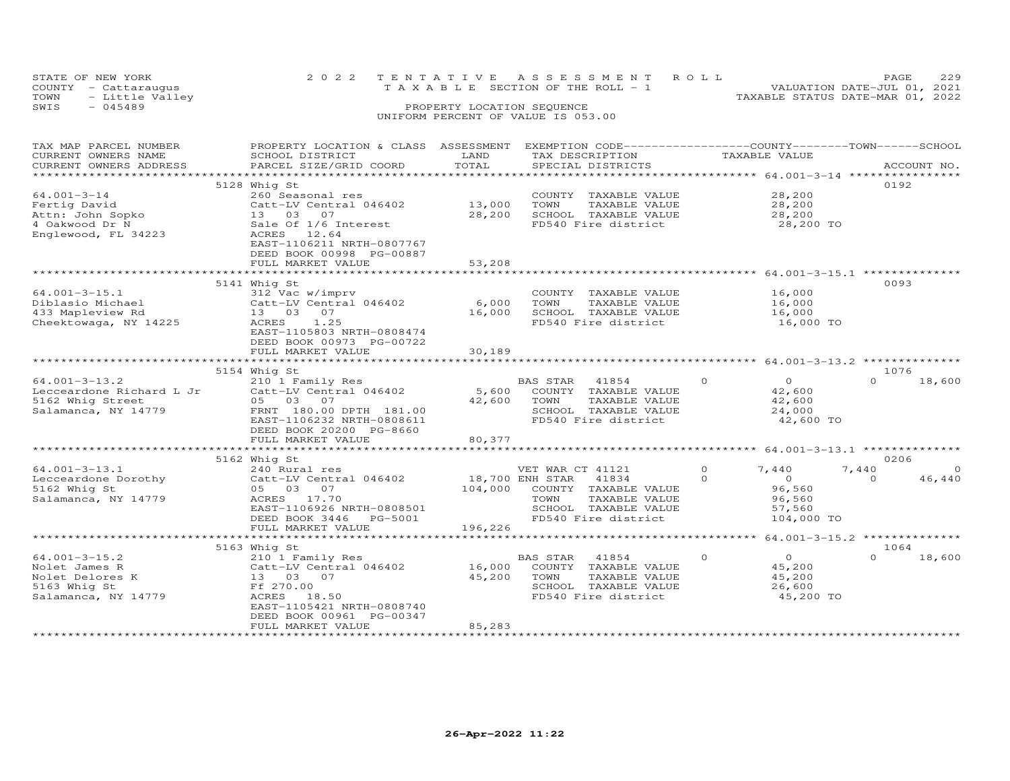|      | STATE OF NEW YORK    | 2022 TENTATIVE ASSESSMENT ROLL     | 229<br>PAGE.                |  |
|------|----------------------|------------------------------------|-----------------------------|--|
|      | COUNTY - Cattaraugus | TAXABLE SECTION OF THE ROLL - 1    | VALUATION DATE-JUL 01, 2021 |  |
| TOWN | - Little Valley      | TAXABLE STATUS DATE-MAR 01, 2022   |                             |  |
| SWIS | $-045489$            | PROPERTY LOCATION SEQUENCE         |                             |  |
|      |                      | UNIFORM PERCENT OF VALUE IS 053.00 |                             |  |

# TAX MAP PARCEL NUMBER PROPERTY LOCATION & CLASS ASSESSMENT EXEMPTION CODE------------------COUNTY--------TOWN------SCHOOL CURRENT OWNERS NAME SCHOOL DISTRICT LAND TAX DESCRIPTION TAXABLE VALUE CURRENT OWNERS ADDRESS PARCEL SIZE/GRID COORD TOTAL SPECIAL DISTRICTS ACCOUNT NO. \*\*\*\*\*\*\*\*\*\*\*\*\*\*\*\*\*\*\*\*\*\*\*\*\*\*\*\*\*\*\*\*\*\*\*\*\*\*\*\*\*\*\*\*\*\*\*\*\*\*\*\*\*\*\*\*\*\*\*\*\*\*\*\*\*\*\*\*\*\*\*\*\*\*\*\*\*\*\*\*\*\*\*\*\*\*\*\*\*\*\*\*\*\*\*\*\*\*\*\*\*\*\* 64.001-3-14 \*\*\*\*\*\*\*\*\*\*\*\*\*\*\*\* 5128 Whig St 019264.001-3-14 260 Seasonal res COUNTY TAXABLE VALUE 28,200Fertig David Catt-LV Central 046402 13,000 TOWN TAXABLE VALUE 28,200Attn: John Sopko 13 03 07 28,200 SCHOOL TAXABLE VALUE 28,2004 Oakwood Dr N Sale Of 1/6 Interest FD540 Fire district 28,200 TO28,200 28,200 28,200 TO Englewood, FL 34223 ACRES 12.64 EAST-1106211 NRTH-0807767 DEED BOOK 00998 PG-00887FULL MARKET VALUE 53,208 \*\*\*\*\*\*\*\*\*\*\*\*\*\*\*\*\*\*\*\*\*\*\*\*\*\*\*\*\*\*\*\*\*\*\*\*\*\*\*\*\*\*\*\*\*\*\*\*\*\*\*\*\*\*\*\*\*\*\*\*\*\*\*\*\*\*\*\*\*\*\*\*\*\*\*\*\*\*\*\*\*\*\*\*\*\*\*\*\*\*\*\*\*\*\*\*\*\*\*\*\*\*\* 64.001-3-15.1 \*\*\*\*\*\*\*\*\*\*\*\*\*\* 5141 Whig St 009364.001-3-15.1 312 Vac w/imprv COUNTY TAXABLE VALUE 16,000Diblasio Michael Catt-LV Central 046402 6,000 TOWN TAXABLE VALUE 16,000433 Mapleview Rd 13 03 07 16,000 SCHOOL TAXABLE VALUE 16,000Cheektowaga, NY 14225 ACRES 1.25 FD540 Fire district 16,000 TO16,000 16,000 16,000 TO EAST-1105803 NRTH-0808474 DEED BOOK 00973 PG-00722FULL MARKET VALUE 30,189 \*\*\*\*\*\*\*\*\*\*\*\*\*\*\*\*\*\*\*\*\*\*\*\*\*\*\*\*\*\*\*\*\*\*\*\*\*\*\*\*\*\*\*\*\*\*\*\*\*\*\*\*\*\*\*\*\*\*\*\*\*\*\*\*\*\*\*\*\*\*\*\*\*\*\*\*\*\*\*\*\*\*\*\*\*\*\*\*\*\*\*\*\*\*\*\*\*\*\*\*\*\*\* 64.001-3-13.2 \*\*\*\*\*\*\*\*\*\*\*\*\*\*5154 Whig St<br>
1076 101-3-13.2 210 1 Family Res BAS STAR 41854 0<br>
Lecceardone Richard L Jr 210 1 Family Res 5,600 COUNTY TAXABLE VALUE<br>
5162 Whig Street 05 03 07 42,600 TOWN TAXABLE VALUE 42,600<br>
Salamanca, NY 14779 FRNT 18 \*\*\*\*\*\*\*\*\*\*\*\*\*\*\*\*\*\*\*\*\*\*\*\*\*\*\*\*\*\*\*\*\*\*\*\*\*\*\*\*\*\*\*\*\*\*\*\*\*\*\*\*\*\*\*\*\*\*\*\*\*\*\*\*\*\*\*\*\*\*\*\*\*\*\*\*\*\*\*\*\*\*\*\*\*\*\*\*\*\*\*\*\*\*\*\*\*\*\*\*\*\*\* 64.001-3-13.1 \*\*\*\*\*\*\*\*\*\*\*\*\*\*5162 Whigh St and the Second of the Second of the Second of the Second of the Second of the Second of the Catt<br>
Second the Second of the Cattle Central 046402 (18,700 ENH STAR 41834 (1834 (1834 )<br>
Salamanca, NY 14779 (Sala ACRES 17.70<br>EAST-1106926 NRTH-0808501<br>DEED BOOK 3446 PG-5001 196,226<br>FULL MARKET VALUE 196,226 \*\*\*\*\*\*\*\*\*\*\*\*\*\*\*\*\*\*\*\*\*\*\*\*\*\*\*\*\*\*\*\*\*\*\*\*\*\*\*\*\*\*\*\*\*\*\*\*\*\*\*\*\*\*\*\*\*\*\*\*\*\*\*\*\*\*\*\*\*\*\*\*\*\*\*\*\*\*\*\*\*\*\*\*\*\*\*\*\*\*\*\*\*\*\*\*\*\*\*\*\*\*\* 64.001-3-15.2 \*\*\*\*\*\*\*\*\*\*\*\*\*\*5163 Whightary Responses to the Material of the Material of the Material of the Material of the Material of the Material of the Material of the Material of the Material of the Material of the Material of the Material of th  $0 \t 18,600$ DEED BOOK 00961 PG-00347

\*\*\*\*\*\*\*\*\*\*\*\*\*\*\*\*\*\*\*\*\*\*\*\*\*\*\*\*\*\*\*\*\*\*\*\*\*\*\*\*\*\*\*\*\*\*\*\*\*\*\*\*\*\*\*\*\*\*\*\*\*\*\*\*\*\*\*\*\*\*\*\*\*\*\*\*\*\*\*\*\*\*\*\*\*\*\*\*\*\*\*\*\*\*\*\*\*\*\*\*\*\*\*\*\*\*\*\*\*\*\*\*\*\*\*\*\*\*\*\*\*\*\*\*\*\*\*\*\*\*\*\*

FULL MARKET VALUE 85,283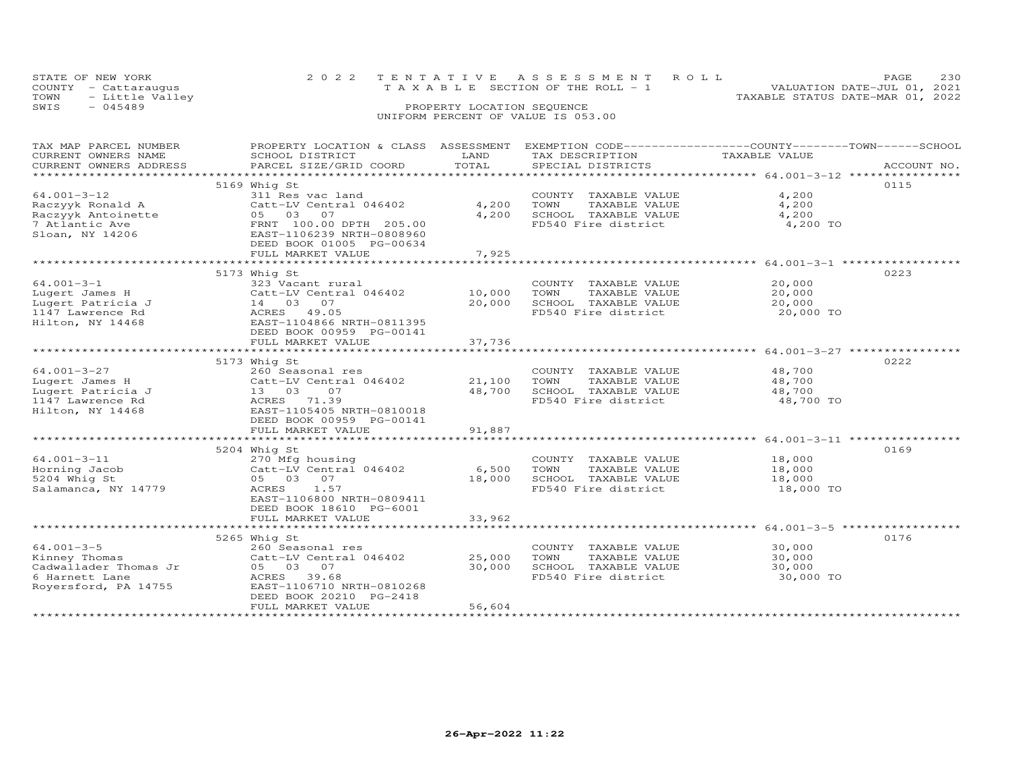| STATE OF NEW YORK       | 2022 TENTATIVE ASSESSMENT ROLL  |                            |  |                                  | PAGE. | 230 |
|-------------------------|---------------------------------|----------------------------|--|----------------------------------|-------|-----|
| COUNTY - Cattaraugus    | TAXABLE SECTION OF THE ROLL - 1 |                            |  | VALUATION DATE-JUL 01, 2021      |       |     |
| TOWN<br>- Little Valley |                                 |                            |  | TAXABLE STATUS DATE-MAR 01, 2022 |       |     |
| SWIS<br>- 045489        |                                 | PROPERTY LOCATION SEQUENCE |  |                                  |       |     |
|                         |                                 |                            |  |                                  |       |     |

| TAX MAP PARCEL NUMBER  |                           |        |                       | PROPERTY LOCATION & CLASS ASSESSMENT EXEMPTION CODE-----------------COUNTY-------TOWN------SCHOOL |
|------------------------|---------------------------|--------|-----------------------|---------------------------------------------------------------------------------------------------|
| CURRENT OWNERS NAME    | SCHOOL DISTRICT           | LAND   | TAX DESCRIPTION       | TAXABLE VALUE                                                                                     |
| CURRENT OWNERS ADDRESS | PARCEL SIZE/GRID COORD    | TOTAL  | SPECIAL DISTRICTS     | ACCOUNT NO.                                                                                       |
|                        |                           |        |                       |                                                                                                   |
|                        | 5169 Whig St              |        |                       | 0115                                                                                              |
| $64.001 - 3 - 12$      | 311 Res vac land          |        | COUNTY TAXABLE VALUE  | 4,200                                                                                             |
| Raczyyk Ronald A       | Catt-LV Central 046402    | 4,200  | TOWN<br>TAXABLE VALUE | 4,200                                                                                             |
| Raczyyk Antoinette     | 05 03 07                  | 4,200  | SCHOOL TAXABLE VALUE  | 4,200                                                                                             |
| 7 Atlantic Ave         | FRNT 100.00 DPTH 205.00   |        | FD540 Fire district   | 4,200 TO                                                                                          |
| Sloan, NY 14206        | EAST-1106239 NRTH-0808960 |        |                       |                                                                                                   |
|                        | DEED BOOK 01005 PG-00634  |        |                       |                                                                                                   |
|                        | FULL MARKET VALUE         | 7,925  |                       |                                                                                                   |
|                        |                           |        |                       |                                                                                                   |
|                        | 5173 Whig St              |        |                       | 0223                                                                                              |
| $64.001 - 3 - 1$       | 323 Vacant rural          |        | COUNTY TAXABLE VALUE  | 20,000                                                                                            |
| Lugert James H         | Catt-LV Central 046402    | 10,000 | TAXABLE VALUE<br>TOWN | 20,000                                                                                            |
| Lugert Patricia J      | 14 03 07                  | 20,000 | SCHOOL TAXABLE VALUE  | 20,000                                                                                            |
| 1147 Lawrence Rd       | ACRES 49.05               |        | FD540 Fire district   | 20,000 TO                                                                                         |
| Hilton, NY 14468       | EAST-1104866 NRTH-0811395 |        |                       |                                                                                                   |
|                        |                           |        |                       |                                                                                                   |
|                        | DEED BOOK 00959 PG-00141  |        |                       |                                                                                                   |
|                        | FULL MARKET VALUE         | 37,736 |                       |                                                                                                   |
|                        |                           |        |                       |                                                                                                   |
|                        | 5173 Whig St              |        |                       | 0222                                                                                              |
| $64.001 - 3 - 27$      | 260 Seasonal res          |        | COUNTY TAXABLE VALUE  | 48,700                                                                                            |
| Lugert James H         | Catt-LV Central 046402    | 21,100 | TOWN<br>TAXABLE VALUE | 48,700                                                                                            |
| Lugert Patricia J      | 13 03 07                  | 48,700 | SCHOOL TAXABLE VALUE  | 48,700                                                                                            |
| 1147 Lawrence Rd       | ACRES 71.39               |        | FD540 Fire district   | 48,700 TO                                                                                         |
| Hilton, NY 14468       | EAST-1105405 NRTH-0810018 |        |                       |                                                                                                   |
|                        | DEED BOOK 00959 PG-00141  |        |                       |                                                                                                   |
|                        | FULL MARKET VALUE         | 91,887 |                       |                                                                                                   |
|                        |                           |        |                       |                                                                                                   |
|                        | 5204 Whig St              |        |                       | 0169                                                                                              |
| $64.001 - 3 - 11$      | 270 Mfg housing           |        | COUNTY TAXABLE VALUE  | 18,000                                                                                            |
| Horning Jacob          | Catt-LV Central 046402    | 6,500  | TOWN<br>TAXABLE VALUE | 18,000                                                                                            |
| 5204 Whig St           | 05 03 07                  | 18,000 | SCHOOL TAXABLE VALUE  | 18,000                                                                                            |
| Salamanca, NY 14779    | ACRES<br>1.57             |        | FD540 Fire district   | 18,000 TO                                                                                         |
|                        | EAST-1106800 NRTH-0809411 |        |                       |                                                                                                   |
|                        | DEED BOOK 18610 PG-6001   |        |                       |                                                                                                   |
|                        | FULL MARKET VALUE         | 33,962 |                       |                                                                                                   |
|                        |                           |        |                       |                                                                                                   |
|                        | 5265 Whig St              |        |                       | 0176                                                                                              |
| $64.001 - 3 - 5$       | 260 Seasonal res          |        | COUNTY TAXABLE VALUE  | 30,000                                                                                            |
| Kinney Thomas          | Catt-LV Central 046402    | 25,000 | TAXABLE VALUE<br>TOWN | 30,000                                                                                            |
| Cadwallader Thomas Jr  | 05 03 07                  | 30,000 | SCHOOL TAXABLE VALUE  | 30,000                                                                                            |
| 6 Harnett Lane         | ACRES 39.68               |        | FD540 Fire district   | 30,000 TO                                                                                         |
| Royersford, PA 14755   | EAST-1106710 NRTH-0810268 |        |                       |                                                                                                   |
|                        | DEED BOOK 20210 PG-2418   |        |                       |                                                                                                   |
|                        | FULL MARKET VALUE         | 56,604 |                       |                                                                                                   |
|                        |                           |        |                       |                                                                                                   |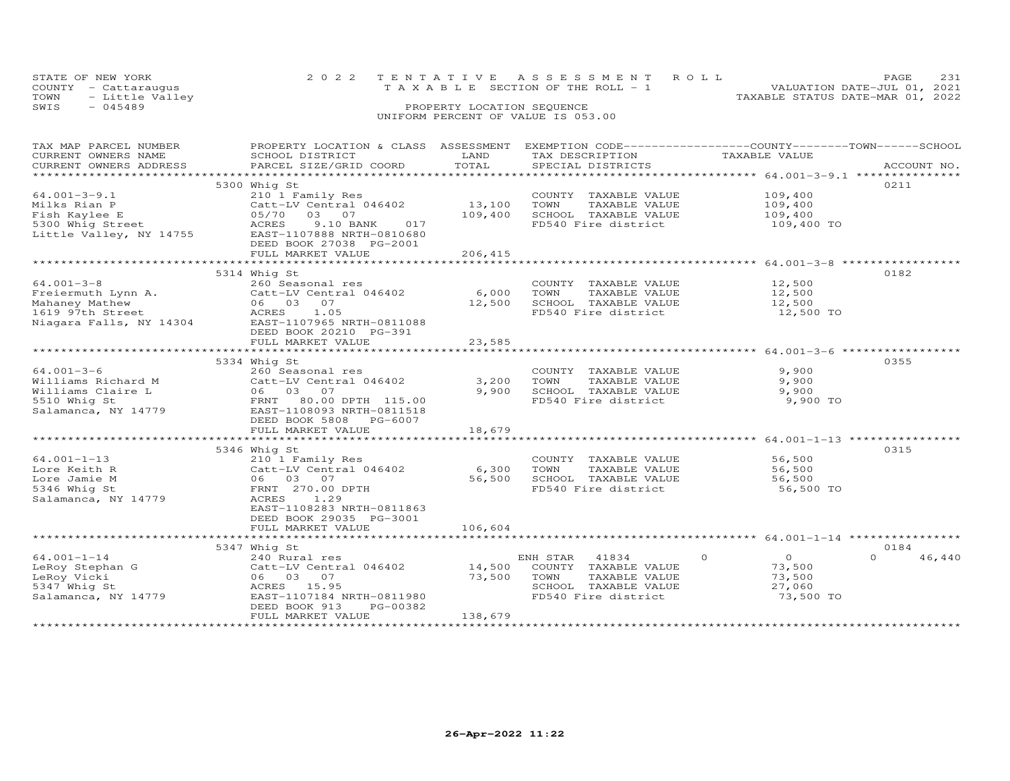| STATE OF NEW YORK       | 2022 TENTATIVE ASSESSMENT ROLL        | PAGE.                            |
|-------------------------|---------------------------------------|----------------------------------|
| COUNTY - Cattaraugus    | T A X A B L E SECTION OF THE ROLL - 1 | VALUATION DATE-JUL 01, 2021      |
| TOWN<br>- Little Valley |                                       | TAXABLE STATUS DATE-MAR 01, 2022 |
| SWIS<br>- 045489        | PROPERTY LOCATION SEQUENCE            |                                  |
|                         | UNIFORM PERCENT OF VALUE IS 053.00    |                                  |

| TAX MAP PARCEL NUMBER               | PROPERTY LOCATION & CLASS ASSESSMENT |         | EXEMPTION CODE-----------------COUNTY-------TOWN------SCHOOL |                           |                    |
|-------------------------------------|--------------------------------------|---------|--------------------------------------------------------------|---------------------------|--------------------|
| CURRENT OWNERS NAME                 | SCHOOL DISTRICT                      | LAND    | TAX DESCRIPTION                                              | TAXABLE VALUE             |                    |
| CURRENT OWNERS ADDRESS              | PARCEL SIZE/GRID COORD               | TOTAL   | SPECIAL DISTRICTS                                            |                           | ACCOUNT NO.        |
|                                     |                                      |         |                                                              |                           |                    |
|                                     | 5300 Whig St                         |         |                                                              |                           | 0211               |
| $64.001 - 3 - 9.1$                  | 210 1 Family Res                     |         | COUNTY TAXABLE VALUE                                         | 109,400                   |                    |
| Milks Rian P                        | Catt-LV Central 046402               | 13,100  | TOWN<br>TAXABLE VALUE                                        | 109,400                   |                    |
| Fish Kaylee E                       | 03 07<br>05/70                       | 109,400 | SCHOOL TAXABLE VALUE                                         | 109,400                   |                    |
| 5300 Whig Street                    | ACRES<br>9.10 BANK<br>017            |         | FD540 Fire district                                          | 109,400 TO                |                    |
| Little Valley, NY 14755             | EAST-1107888 NRTH-0810680            |         |                                                              |                           |                    |
|                                     | DEED BOOK 27038 PG-2001              |         |                                                              |                           |                    |
|                                     | FULL MARKET VALUE                    | 206,415 |                                                              |                           |                    |
|                                     |                                      |         |                                                              |                           |                    |
|                                     | 5314 Whig St                         |         |                                                              |                           | 0182               |
| $64.001 - 3 - 8$                    | 260 Seasonal res                     |         | COUNTY TAXABLE VALUE                                         | 12,500                    |                    |
| Freiermuth Lynn A.                  | Catt-LV Central 046402               | 6,000   | TOWN<br>TAXABLE VALUE                                        | 12,500                    |                    |
| Mahaney Mathew                      | 06 03 07                             | 12,500  | SCHOOL TAXABLE VALUE                                         | 12,500                    |                    |
| 1619 97th Street                    | ACRES<br>1.05                        |         | FD540 Fire district                                          | 12,500 TO                 |                    |
| Niagara Falls, NY 14304             | EAST-1107965 NRTH-0811088            |         |                                                              |                           |                    |
|                                     | DEED BOOK 20210 PG-391               |         |                                                              |                           |                    |
|                                     | FULL MARKET VALUE                    | 23,585  |                                                              |                           |                    |
|                                     |                                      |         |                                                              |                           |                    |
|                                     |                                      |         |                                                              |                           | 0355               |
|                                     | 5334 Whig St                         |         |                                                              |                           |                    |
| $64.001 - 3 - 6$                    | 260 Seasonal res                     |         | COUNTY TAXABLE VALUE                                         | 9,900                     |                    |
| Williams Richard M                  | Catt-LV Central 046402               | 3,200   | TOWN<br>TAXABLE VALUE                                        | 9,900                     |                    |
| Williams Claire L                   | 06 03 07                             | 9,900   | SCHOOL TAXABLE VALUE                                         | 9,900                     |                    |
| 5510 Whig St                        | FRNT 80.00 DPTH 115.00               |         | FD540 Fire district                                          | 9,900 TO                  |                    |
| Salamanca, NY 14779                 | EAST-1108093 NRTH-0811518            |         |                                                              |                           |                    |
|                                     | DEED BOOK 5808 PG-6007               |         |                                                              |                           |                    |
|                                     | FULL MARKET VALUE                    | 18,679  |                                                              |                           |                    |
| *********************************** |                                      |         |                                                              |                           |                    |
|                                     | 5346 Whig St                         |         |                                                              |                           | 0315               |
| $64.001 - 1 - 13$                   | 210 1 Family Res                     |         | COUNTY TAXABLE VALUE                                         | 56,500                    |                    |
| Lore Keith R                        | Catt-LV Central 046402               | 6,300   | TOWN<br>TAXABLE VALUE                                        | 56,500                    |                    |
| Lore Jamie M                        | 06 03 07                             | 56,500  | SCHOOL TAXABLE VALUE                                         | 56,500                    |                    |
| 5346 Whig St                        | FRNT 270.00 DPTH                     |         | FD540 Fire district                                          | 56,500 TO                 |                    |
| Salamanca, NY 14779                 | ACRES<br>1.29                        |         |                                                              |                           |                    |
|                                     | EAST-1108283 NRTH-0811863            |         |                                                              |                           |                    |
|                                     | DEED BOOK 29035 PG-3001              |         |                                                              |                           |                    |
|                                     | FULL MARKET VALUE                    | 106,604 |                                                              |                           |                    |
|                                     |                                      |         |                                                              |                           |                    |
|                                     | 5347 Whig St                         |         |                                                              |                           | 0184               |
| $64.001 - 1 - 14$                   |                                      |         | ENH STAR 41834                                               | $\overline{0}$<br>$\circ$ | $\Omega$<br>46,440 |
|                                     | 240 Rural res                        |         |                                                              |                           |                    |
| LeRoy Stephan G                     | Catt-LV Central 046402               | 14,500  | COUNTY TAXABLE VALUE                                         | 73,500                    |                    |
| LeRoy Vicki                         | 06 03 07                             | 73,500  | TOWN<br>TAXABLE VALUE                                        | 73,500                    |                    |
| 5347 Whig St                        | ACRES 15.95                          |         | SCHOOL TAXABLE VALUE                                         | 27,060                    |                    |
| Salamanca, NY 14779                 | EAST-1107184 NRTH-0811980            |         | FD540 Fire district                                          | 73,500 TO                 |                    |
|                                     | DEED BOOK 913<br>PG-00382            |         |                                                              |                           |                    |
|                                     | FULL MARKET VALUE                    | 138,679 |                                                              |                           |                    |
|                                     | ***********************              |         |                                                              |                           |                    |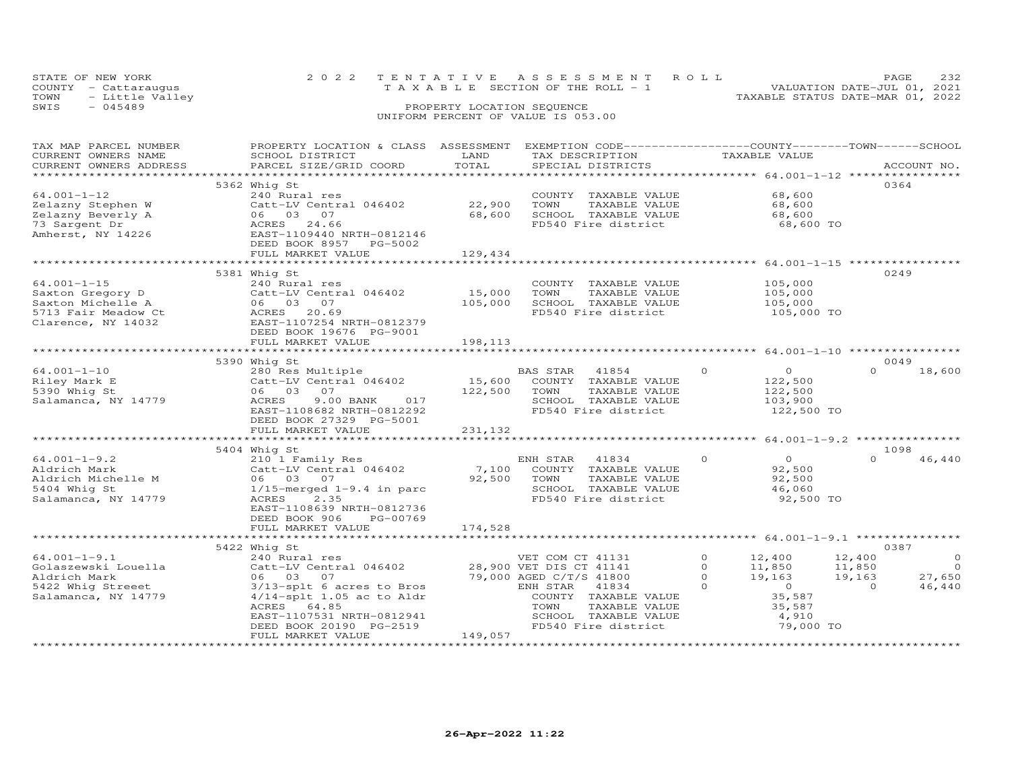| STATE OF NEW YORK       | 2022 TENTATIVE ASSESSMENT ROLL  | PAGE                             |
|-------------------------|---------------------------------|----------------------------------|
| COUNTY - Cattaraugus    | TAXABLE SECTION OF THE ROLL - 1 | VALUATION DATE-JUL 01, 2021      |
| - Little Valley<br>TOWN |                                 | TAXABLE STATUS DATE-MAR 01, 2022 |
| SWIS<br>$-045489$       | PROPERTY LOCATION SEQUENCE      |                                  |

| TAX MAP PARCEL NUMBER<br>CURRENT OWNERS NAME | PROPERTY LOCATION & CLASS ASSESSMENT EXEMPTION CODE-----------------COUNTY-------TOWN------SCHOOL<br>SCHOOL DISTRICT | LAND    | TAX DESCRIPTION         | TAXABLE VALUE             |                    |
|----------------------------------------------|----------------------------------------------------------------------------------------------------------------------|---------|-------------------------|---------------------------|--------------------|
| CURRENT OWNERS ADDRESS                       | PARCEL SIZE/GRID COORD                                                                                               | TOTAL   | SPECIAL DISTRICTS       |                           | ACCOUNT NO.        |
|                                              |                                                                                                                      |         |                         |                           |                    |
|                                              | 5362 Whig St                                                                                                         |         |                         |                           | 0364               |
| $64.001 - 1 - 12$                            | 240 Rural res                                                                                                        |         | COUNTY TAXABLE VALUE    | 68,600                    |                    |
| Zelazny Stephen W                            | Catt-LV Central 046402                                                                                               | 22,900  | TOWN<br>TAXABLE VALUE   | 68,600                    |                    |
| Zelazny Beverly A                            | 06 03 07                                                                                                             | 68,600  | SCHOOL TAXABLE VALUE    | 68,600                    |                    |
| 73 Sargent Dr                                | 24.66<br>ACRES                                                                                                       |         | FD540 Fire district     | 68,600 TO                 |                    |
| Amherst, NY 14226                            | EAST-1109440 NRTH-0812146                                                                                            |         |                         |                           |                    |
|                                              | DEED BOOK 8957 PG-5002                                                                                               |         |                         |                           |                    |
|                                              | FULL MARKET VALUE                                                                                                    | 129,434 |                         |                           |                    |
|                                              |                                                                                                                      |         |                         |                           |                    |
|                                              | 5381 Whig St                                                                                                         |         |                         |                           | 0249               |
| $64.001 - 1 - 15$                            | 240 Rural res                                                                                                        |         | COUNTY TAXABLE VALUE    | 105,000                   |                    |
| Saxton Gregory D                             | Catt-LV Central 046402                                                                                               | 15,000  | TOWN<br>TAXABLE VALUE   | 105,000                   |                    |
| Saxton Michelle A                            | 06 03 07                                                                                                             | 105,000 | SCHOOL TAXABLE VALUE    | 105,000                   |                    |
| 5713 Fair Meadow Ct                          | ACRES<br>20.69                                                                                                       |         | FD540 Fire district     | 105,000 TO                |                    |
| Clarence, NY 14032                           | EAST-1107254 NRTH-0812379                                                                                            |         |                         |                           |                    |
|                                              | DEED BOOK 19676 PG-9001                                                                                              |         |                         |                           |                    |
|                                              | FULL MARKET VALUE                                                                                                    | 198,113 |                         |                           |                    |
|                                              |                                                                                                                      |         |                         |                           |                    |
|                                              | 5390 Whig St                                                                                                         |         |                         |                           | 0049               |
| $64.001 - 1 - 10$                            | 280 Res Multiple                                                                                                     |         | BAS STAR<br>41854       | $\circ$<br>$\circ$        | $\Omega$<br>18,600 |
| Riley Mark E                                 | Catt-LV Central 046402                                                                                               | 15,600  | COUNTY TAXABLE VALUE    | 122,500                   |                    |
| 5390 Whig St                                 | 06 03 07                                                                                                             | 122,500 | TAXABLE VALUE<br>TOWN   | 122,500                   |                    |
| Salamanca, NY 14779                          | ACRES<br>9.00 BANK<br>017                                                                                            |         | SCHOOL TAXABLE VALUE    | 103,900                   |                    |
|                                              | EAST-1108682 NRTH-0812292                                                                                            |         | FD540 Fire district     | 122,500 TO                |                    |
|                                              | DEED BOOK 27329 PG-5001                                                                                              |         |                         |                           |                    |
|                                              | FULL MARKET VALUE                                                                                                    | 231,132 |                         |                           |                    |
|                                              |                                                                                                                      |         |                         |                           |                    |
|                                              | 5404 Whig St                                                                                                         |         |                         |                           | 1098               |
| $64.001 - 1 - 9.2$                           | 210 1 Family Res                                                                                                     |         | 41834<br>ENH STAR       | $\circ$<br>$\overline{0}$ | $\Omega$<br>46,440 |
| Aldrich Mark                                 | Catt-LV Central 046402                                                                                               | 7,100   | COUNTY TAXABLE VALUE    | 92,500                    |                    |
| Aldrich Michelle M                           | 06 03 07                                                                                                             | 92,500  | TAXABLE VALUE<br>TOWN   | 92,500                    |                    |
| 5404 Whig St                                 | $1/15$ -merged $1-9.4$ in parc                                                                                       |         | SCHOOL TAXABLE VALUE    | 46,060                    |                    |
| Salamanca, NY 14779                          | ACRES<br>2.35                                                                                                        |         | FD540 Fire district     | 92,500 TO                 |                    |
|                                              | EAST-1108639 NRTH-0812736                                                                                            |         |                         |                           |                    |
|                                              | DEED BOOK 906<br>PG-00769                                                                                            |         |                         |                           |                    |
|                                              | FULL MARKET VALUE                                                                                                    | 174,528 |                         |                           |                    |
|                                              |                                                                                                                      |         |                         |                           |                    |
|                                              | 5422 Whig St                                                                                                         |         |                         |                           | 0387               |
| $64.001 - 1 - 9.1$                           | 240 Rural res                                                                                                        |         | VET COM CT 41131        | $\circ$<br>12,400         | 12,400<br>$\circ$  |
| Golaszewski Louella                          | Catt-LV Central 046402                                                                                               |         | 28,900 VET DIS CT 41141 | $\Omega$<br>11,850        | $\Omega$<br>11,850 |
| Aldrich Mark                                 | 06 03 07                                                                                                             |         | 79,000 AGED C/T/S 41800 | $\Omega$<br>19,163        | 27,650<br>19,163   |
| 5422 Whig Streeet                            | 3/13-splt 6 acres to Bros                                                                                            |         | ENH STAR<br>41834       | $\Omega$<br>$\circ$       | 46,440<br>$\Omega$ |
| Salamanca, NY 14779                          | $4/14$ -splt 1.05 ac to Aldr                                                                                         |         | COUNTY TAXABLE VALUE    | 35,587                    |                    |
|                                              | ACRES 64.85                                                                                                          |         | TOWN<br>TAXABLE VALUE   | 35,587                    |                    |
|                                              | EAST-1107531 NRTH-0812941                                                                                            |         | SCHOOL TAXABLE VALUE    | 4,910                     |                    |
|                                              | DEED BOOK 20190 PG-2519                                                                                              |         | FD540 Fire district     | 79,000 TO                 |                    |
|                                              | FULL MARKET VALUE                                                                                                    | 149,057 |                         |                           |                    |
|                                              |                                                                                                                      |         |                         |                           |                    |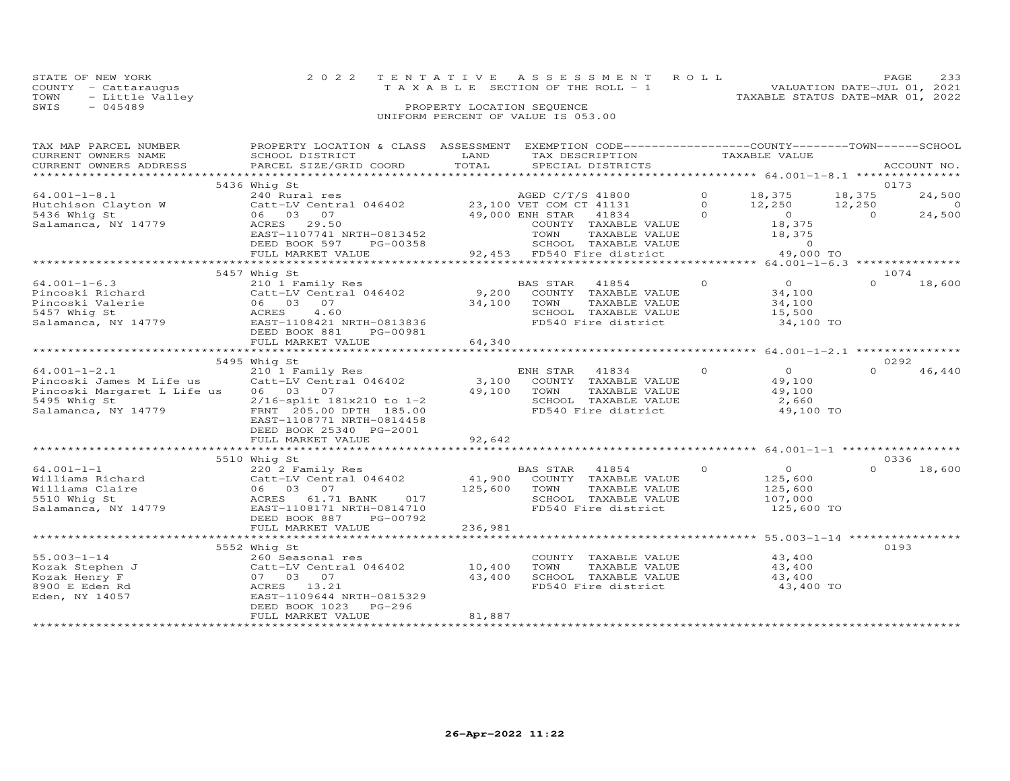|      | STATE OF NEW YORK    | 2022 TENTATIVE ASSESSMENT ROLL        | PAGE.                            |
|------|----------------------|---------------------------------------|----------------------------------|
|      | COUNTY - Cattarauqus | T A X A B L E SECTION OF THE ROLL - 1 | VALUATION DATE-JUL 01, 2021      |
|      | TOWN - Little Valley |                                       | TAXABLE STATUS DATE-MAR 01, 2022 |
| SWIS | - 045489             | PROPERTY LOCATION SEQUENCE            |                                  |
|      |                      | UNIFORM PERCENT OF VALUE IS 053.00    |                                  |

| TAX MAP PARCEL NUMBER<br>CURRENT OWNERS NAME | PROPERTY LOCATION & CLASS ASSESSMENT<br>SCHOOL DISTRICT         | LAND                  | EXEMPTION CODE-----------------COUNTY-------TOWN------SCHOOL<br>TAX DESCRIPTION |          | TAXABLE VALUE      |                |             |
|----------------------------------------------|-----------------------------------------------------------------|-----------------------|---------------------------------------------------------------------------------|----------|--------------------|----------------|-------------|
| CURRENT OWNERS ADDRESS                       | PARCEL SIZE/GRID COORD                                          | TOTAL                 | SPECIAL DISTRICTS                                                               |          |                    |                | ACCOUNT NO. |
|                                              |                                                                 |                       |                                                                                 |          |                    |                |             |
|                                              | 5436 Whig St                                                    |                       |                                                                                 |          |                    |                | 0173        |
| $64.001 - 1 - 8.1$                           | 240 Rural res<br>Catt-LV Central 046402 23,100 VET COM CT 41131 |                       |                                                                                 | $\circ$  | 18,375 18,375      |                | 24,500      |
| Hutchison Clayton W                          |                                                                 |                       |                                                                                 | $\Omega$ | 12,250 12,250      |                | $\sim$ 0    |
| 5436 Whig St                                 | 06 03 07                                                        |                       | 49,000 ENH STAR<br>41834                                                        | $\Omega$ | $\overline{O}$     | $\overline{O}$ | 24,500      |
| Salamanca, NY 14779                          | ACRES 29.50                                                     |                       | COUNTY TAXABLE VALUE                                                            |          | 18,375             |                |             |
|                                              | EAST-1107741 NRTH-0813452<br>DEED BOOK 597<br>PG-00358          |                       | TOWN<br>TAXABLE VALUE<br>SCHOOL TAXABLE VALUE                                   |          | 18,375<br>$\Omega$ |                |             |
|                                              | FULL MARKET VALUE                                               |                       | 92,453 FD540 Fire district                                                      |          | 49,000 TO          |                |             |
|                                              |                                                                 |                       |                                                                                 |          |                    |                |             |
|                                              | 5457 Whig St                                                    |                       |                                                                                 |          |                    |                | 1074        |
| $64.001 - 1 - 6.3$                           | 210 1 Family Res                                                |                       | BAS STAR 41854                                                                  | $\circ$  | $\overline{O}$     | $\Omega$       | 18,600      |
| Pincoski Richard                             | Catt-LV Central 046402                                          | 9,200                 | COUNTY TAXABLE VALUE                                                            |          | 34,100             |                |             |
| Pincoski Valerie                             | 06 03 07                                                        | 34,100                | TOWN<br>TAXABLE VALUE                                                           |          | 34,100             |                |             |
| 5457 Whig St                                 | ACRES<br>4.60                                                   |                       | SCHOOL TAXABLE VALUE                                                            |          | 15,500             |                |             |
| Salamanca, NY 14779                          | EAST-1108421 NRTH-0813836                                       |                       | FD540 Fire district                                                             |          | 34,100 TO          |                |             |
|                                              | DEED BOOK 881<br>PG-00981                                       |                       |                                                                                 |          |                    |                |             |
|                                              | FULL MARKET VALUE                                               | 64,340                |                                                                                 |          |                    |                |             |
|                                              | 5495 Whig St                                                    |                       |                                                                                 |          |                    |                | 0292        |
| $64.001 - 1 - 2.1$                           | 210 1 Family Res                                                |                       | ENH STAR<br>41834                                                               | $\circ$  | $\overline{O}$     | $\Omega$       | 46,440      |
| Pincoski James M Life us                     | Catt-LV Central 046402                                          |                       | 3,100 COUNTY TAXABLE VALUE                                                      |          | 49,100             |                |             |
| Pincoski Margaret L Life us 06 03 07         |                                                                 |                       | 49,100 TOWN<br>TAXABLE VALUE                                                    |          | 49,100             |                |             |
| 5495 Whig St                                 | 2/16-split 181x210 to 1-2                                       |                       | SCHOOL TAXABLE VALUE                                                            |          | 2,660              |                |             |
| Salamanca, NY 14779                          | FRNT 205.00 DPTH 185.00                                         |                       | FD540 Fire district                                                             |          | 49,100 TO          |                |             |
|                                              | EAST-1108771 NRTH-0814458                                       |                       |                                                                                 |          |                    |                |             |
|                                              | DEED BOOK 25340 PG-2001                                         |                       |                                                                                 |          |                    |                |             |
|                                              | FULL MARKET VALUE<br>****************************               | 92,642<br>*********** |                                                                                 |          |                    |                |             |
|                                              | 5510 Whig St                                                    |                       |                                                                                 |          |                    |                | 0336        |
| $64.001 - 1 - 1$                             | 220 2 Family Res                                                |                       |                                                                                 | $\circ$  | $\overline{0}$     | $\Omega$       | 18,600      |
| Williams Richard                             | Catt-LV Central 046402                                          |                       | BAS STAR 41854<br>41,900 COUNTY TAXABLE VALUE                                   |          | 125,600            |                |             |
| Williams Claire                              | 06 03 07                                                        | 125,600               | TOWN<br>TAXABLE VALUE                                                           |          | 125,600            |                |             |
| 5510 Whig St                                 | ACRES 61.71 BANK 017                                            |                       | SCHOOL TAXABLE VALUE                                                            |          | 107,000            |                |             |
| Salamanca, NY 14779                          | EAST-1108171 NRTH-0814710                                       |                       | FD540 Fire district                                                             |          | 125,600 TO         |                |             |
|                                              | DEED BOOK 887 PG-00792                                          |                       |                                                                                 |          |                    |                |             |
|                                              | FULL MARKET VALUE                                               | 236,981               |                                                                                 |          |                    |                |             |
|                                              |                                                                 |                       |                                                                                 |          |                    |                |             |
| $55.003 - 1 - 14$                            | 5552 Whig St                                                    |                       |                                                                                 |          | 43,400             |                | 0193        |
| Kozak Stephen J                              | 260 Seasonal res<br>Catt-LV Central 046402                      | 10,400                | COUNTY TAXABLE VALUE<br>TOWN<br>TAXABLE VALUE                                   |          | 43,400             |                |             |
| Kozak Henry F                                | 07 03 07                                                        | 43,400                | SCHOOL TAXABLE VALUE                                                            |          | 43,400             |                |             |
| 8900 E Eden Rd                               | ACRES 13.21                                                     |                       | FD540 Fire district                                                             |          | 43,400 TO          |                |             |
| Eden, NY 14057                               | EAST-1109644 NRTH-0815329                                       |                       |                                                                                 |          |                    |                |             |
|                                              | DEED BOOK 1023<br>PG-296                                        |                       |                                                                                 |          |                    |                |             |
|                                              | FULL MARKET VALUE                                               | 81,887                |                                                                                 |          |                    |                |             |
|                                              |                                                                 |                       |                                                                                 |          |                    |                |             |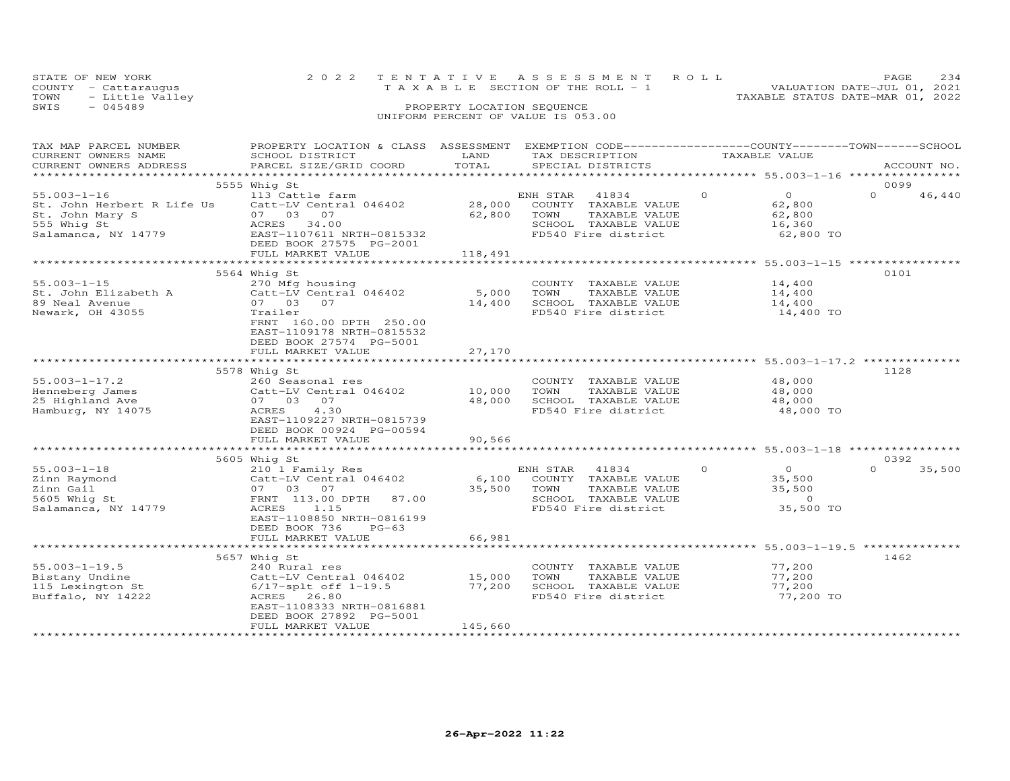| STATE OF NEW YORK       | 2022 TENTATIVE ASSESSMENT ROLL  | 234<br>PAGE.                     |
|-------------------------|---------------------------------|----------------------------------|
| COUNTY - Cattaraugus    | TAXABLE SECTION OF THE ROLL - 1 | VALUATION DATE-JUL 01, 2021      |
| TOWN<br>- Little Valley |                                 | TAXABLE STATUS DATE-MAR 01, 2022 |
| $-045489$<br>SWIS       | PROPERTY LOCATION SEQUENCE      |                                  |
|                         |                                 |                                  |

| TAX MAP PARCEL NUMBER      | PROPERTY LOCATION & CLASS ASSESSMENT EXEMPTION CODE----------------COUNTY-------TOWN------SCHOOL |         |                         |          |                |          |             |
|----------------------------|--------------------------------------------------------------------------------------------------|---------|-------------------------|----------|----------------|----------|-------------|
| CURRENT OWNERS NAME        | SCHOOL DISTRICT                                                                                  | LAND    | TAX DESCRIPTION         |          | TAXABLE VALUE  |          |             |
| CURRENT OWNERS ADDRESS     | PARCEL SIZE/GRID COORD                                                                           | TOTAL   | SPECIAL DISTRICTS       |          |                |          | ACCOUNT NO. |
|                            |                                                                                                  |         |                         |          |                |          |             |
|                            | 5555 Whig St                                                                                     |         |                         |          |                | 0099     |             |
| $55.003 - 1 - 16$          | 113 Cattle farm                                                                                  |         | ENH STAR<br>41834       | $\Omega$ | $\Omega$       | $\Omega$ | 46,440      |
| St. John Herbert R Life Us | Catt-LV Central 046402                                                                           | 28,000  | COUNTY<br>TAXABLE VALUE |          | 62,800         |          |             |
| St. John Mary S            | 07 03<br>07                                                                                      | 62,800  | TOWN<br>TAXABLE VALUE   |          | 62,800         |          |             |
| 555 Whig St                | ACRES<br>34.00                                                                                   |         | SCHOOL TAXABLE VALUE    |          | 16,360         |          |             |
| Salamanca, NY 14779        | EAST-1107611 NRTH-0815332                                                                        |         | FD540 Fire district     |          | 62,800 TO      |          |             |
|                            | DEED BOOK 27575 PG-2001                                                                          |         |                         |          |                |          |             |
|                            | FULL MARKET VALUE                                                                                | 118,491 |                         |          |                |          |             |
|                            |                                                                                                  |         |                         |          |                |          |             |
|                            | 5564 Whig St                                                                                     |         |                         |          |                | 0101     |             |
| $55.003 - 1 - 15$          | 270 Mfg housing                                                                                  |         | COUNTY TAXABLE VALUE    |          | 14,400         |          |             |
| St. John Elizabeth A       | Catt-LV Central 046402                                                                           | 5,000   | TOWN<br>TAXABLE VALUE   |          | 14,400         |          |             |
| 89 Neal Avenue             | 07 03 07                                                                                         | 14,400  | SCHOOL TAXABLE VALUE    |          | 14,400         |          |             |
| Newark, OH 43055           | Trailer                                                                                          |         | FD540 Fire district     |          | 14,400 TO      |          |             |
|                            | FRNT 160.00 DPTH 250.00                                                                          |         |                         |          |                |          |             |
|                            | EAST-1109178 NRTH-0815532                                                                        |         |                         |          |                |          |             |
|                            | DEED BOOK 27574 PG-5001                                                                          |         |                         |          |                |          |             |
|                            | FULL MARKET VALUE                                                                                | 27,170  |                         |          |                |          |             |
|                            |                                                                                                  |         |                         |          |                |          |             |
|                            |                                                                                                  |         |                         |          |                | 1128     |             |
|                            | 5578 Whig St                                                                                     |         |                         |          |                |          |             |
| $55.003 - 1 - 17.2$        | 260 Seasonal res                                                                                 |         | COUNTY TAXABLE VALUE    |          | 48,000         |          |             |
| Henneberg James            | Catt-LV Central 046402                                                                           | 10,000  | TOWN<br>TAXABLE VALUE   |          | 48,000         |          |             |
| 25 Highland Ave            | 07 03 07                                                                                         | 48,000  | SCHOOL TAXABLE VALUE    |          | 48,000         |          |             |
| Hamburg, NY 14075          | ACRES<br>4.30                                                                                    |         | FD540 Fire district     |          | 48,000 TO      |          |             |
|                            | EAST-1109227 NRTH-0815739                                                                        |         |                         |          |                |          |             |
|                            | DEED BOOK 00924 PG-00594                                                                         |         |                         |          |                |          |             |
|                            | FULL MARKET VALUE                                                                                | 90,566  |                         |          |                |          |             |
|                            |                                                                                                  |         |                         |          |                |          |             |
|                            | 5605 Whig St                                                                                     |         |                         |          |                | 0392     |             |
| $55.003 - 1 - 18$          | 210 1 Family Res                                                                                 |         | ENH STAR<br>41834       | $\Omega$ | $\overline{O}$ | $\Omega$ | 35,500      |
| Zinn Raymond               | Catt-LV Central 046402                                                                           | 6,100   | COUNTY TAXABLE VALUE    |          | 35,500         |          |             |
| Zinn Gail                  | 07 03 07                                                                                         | 35,500  | TOWN<br>TAXABLE VALUE   |          | 35,500         |          |             |
| 5605 Whig St               | FRNT 113.00 DPTH<br>87.00                                                                        |         | SCHOOL TAXABLE VALUE    |          | $\overline{0}$ |          |             |
| Salamanca, NY 14779        | ACRES<br>1.15                                                                                    |         | FD540 Fire district     |          | 35,500 TO      |          |             |
|                            | EAST-1108850 NRTH-0816199                                                                        |         |                         |          |                |          |             |
|                            | DEED BOOK 736<br>$PG-63$                                                                         |         |                         |          |                |          |             |
|                            | FULL MARKET VALUE                                                                                | 66,981  |                         |          |                |          |             |
|                            |                                                                                                  |         |                         |          |                |          |             |
|                            | 5657 Whig St                                                                                     |         |                         |          |                | 1462     |             |
| $55.003 - 1 - 19.5$        | 240 Rural res                                                                                    |         | COUNTY TAXABLE VALUE    |          | 77,200         |          |             |
| Bistany Undine             | Catt-LV Central 046402                                                                           | 15,000  | TOWN<br>TAXABLE VALUE   |          | 77,200         |          |             |
| 115 Lexington St           | $6/17$ -splt off $1-19.5$                                                                        | 77,200  | SCHOOL TAXABLE VALUE    |          | 77,200         |          |             |
| Buffalo, NY 14222          | ACRES<br>26.80                                                                                   |         | FD540 Fire district     |          | 77,200 TO      |          |             |
|                            | EAST-1108333 NRTH-0816881                                                                        |         |                         |          |                |          |             |
|                            | DEED BOOK 27892 PG-5001                                                                          |         |                         |          |                |          |             |
|                            | FULL MARKET VALUE                                                                                | 145,660 |                         |          |                |          |             |
|                            |                                                                                                  |         |                         |          |                |          |             |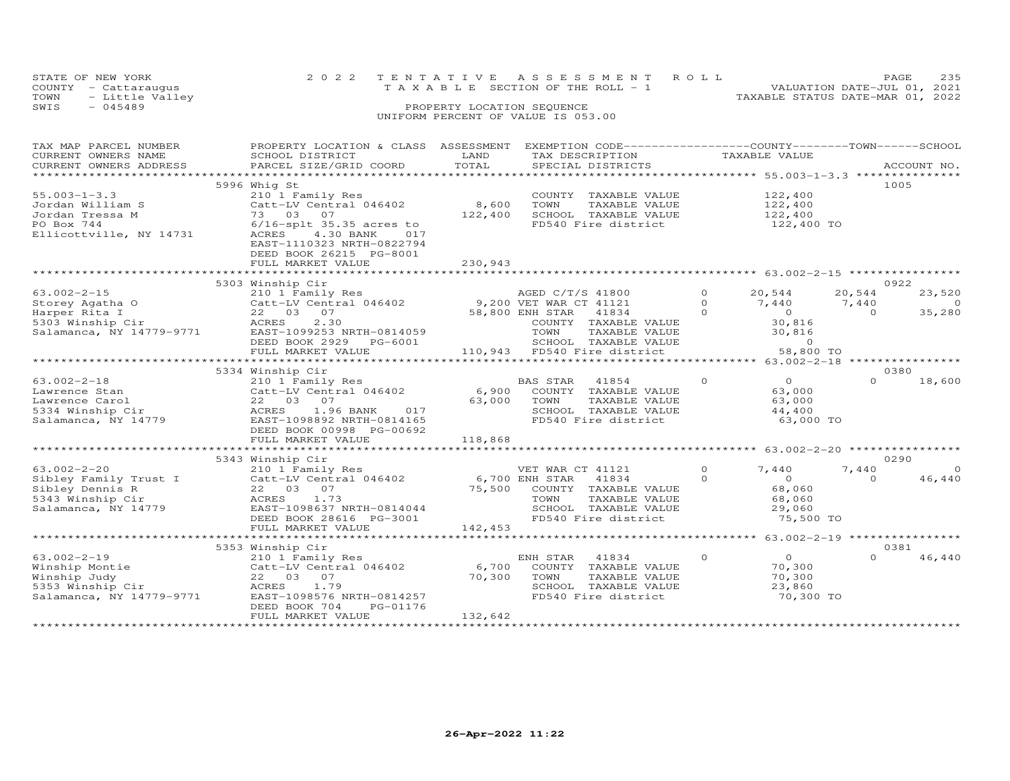|      | STATE OF NEW YORK    | 2022 TENTATIVE ASSESSMENT ROLL     | 235<br>PAGE.                     |
|------|----------------------|------------------------------------|----------------------------------|
|      | COUNTY - Cattaraugus | TAXABLE SECTION OF THE ROLL - 1    | VALUATION DATE-JUL 01, 2021      |
| TOWN | - Little Valley      |                                    | TAXABLE STATUS DATE-MAR 01, 2022 |
| SWIS | $-045489$            | PROPERTY LOCATION SEQUENCE         |                                  |
|      |                      | UNIFORM PERCENT OF VALUE IS 053.00 |                                  |

| TAX MAP PARCEL NUMBER<br>CURRENT OWNERS NAME<br>CURRENT OWNERS ADDRESS<br>***********************        | PROPERTY LOCATION & CLASS ASSESSMENT                                                                                                                                                                                                            |                             | EXEMPTION CODE-----------------COUNTY-------TOWN-----SCHOOL                                                        |                                 |                                                                    |                             |                               |
|----------------------------------------------------------------------------------------------------------|-------------------------------------------------------------------------------------------------------------------------------------------------------------------------------------------------------------------------------------------------|-----------------------------|--------------------------------------------------------------------------------------------------------------------|---------------------------------|--------------------------------------------------------------------|-----------------------------|-------------------------------|
| $55.003 - 1 - 3.3$<br>Jordan William S<br>Jordan Tressa M<br>PO Box 744<br>Ellicottville, NY 14731       | 5996 Whig St<br>210 1 Family Res<br>Catt-LV Central 046402<br>73 03 07<br>$6/16$ -splt 35.35 acres to<br>ACRES 4.30 BANK<br>017<br>EAST-1110323 NRTH-0822794<br>DEED BOOK 26215 PG-8001<br>FULL MARKET VALUE                                    | 8,600<br>122,400<br>230,943 | COUNTY TAXABLE VALUE<br>TOWN<br>TAXABLE VALUE<br>SCHOOL TAXABLE VALUE<br>FD540 Fire district                       |                                 | 122,400<br>122,400<br>122,400<br>122,400 TO                        |                             | 1005                          |
|                                                                                                          |                                                                                                                                                                                                                                                 |                             |                                                                                                                    |                                 |                                                                    |                             |                               |
| $63.002 - 2 - 15$<br>USLOUG Agatha O<br>Harper Rita I<br>5303 Winship Cir<br>Salamanca, NY 14779-9771    | 5303 Winship Cir<br>210 1 Family Res<br>Catt-LV Central 046402 9,200 VET WAR CT 41121<br>22 03 07<br>2.30<br>ACRES<br>EAST-1099253 NRTH-0814059<br>DEED BOOK 2929 PG-6001                                                                       |                             | AGED C/T/S 41800<br>58,800 ENH STAR 41834<br>COUNTY TAXABLE VALUE<br>TOWN<br>TAXABLE VALUE<br>SCHOOL TAXABLE VALUE | $\circ$<br>$\Omega$<br>$\Omega$ | 20,544<br>7,440<br>$\circ$<br>30,816<br>30,816<br>$\Omega$         | 20,544<br>7,440<br>$\Omega$ | 0922<br>23,520<br>റ<br>35,280 |
|                                                                                                          | FULL MARKET VALUE                                                                                                                                                                                                                               |                             | 110,943 FD540 Fire district                                                                                        |                                 | 58,800 TO                                                          |                             |                               |
|                                                                                                          |                                                                                                                                                                                                                                                 |                             |                                                                                                                    |                                 |                                                                    |                             |                               |
|                                                                                                          | 5334 Winship Cir                                                                                                                                                                                                                                |                             |                                                                                                                    |                                 |                                                                    |                             | 0380                          |
| $63.002 - 2 - 18$<br>Lawrence Stan<br>Lawrence Carol<br>5334 Winship Cir<br>Salamanca, NY 14779          | 210 1 Family Res<br>Catt-LV Central 046402<br>22 03 07<br>ACRES<br>1.96 BANK<br>017<br>EAST-1098892 NRTH-0814165<br>DEED BOOK 00998 PG-00692                                                                                                    | 6,900<br>63,000             | BAS STAR<br>41854<br>COUNTY TAXABLE VALUE<br>TOWN<br>TAXABLE VALUE<br>SCHOOL TAXABLE VALUE<br>FD540 Fire district  | $\Omega$                        | $\Omega$<br>63,000<br>63,000<br>44,400<br>63,000 TO                | $\Omega$                    | 18,600                        |
|                                                                                                          | FULL MARKET VALUE                                                                                                                                                                                                                               | 118,868                     |                                                                                                                    |                                 |                                                                    |                             |                               |
|                                                                                                          |                                                                                                                                                                                                                                                 |                             |                                                                                                                    |                                 |                                                                    |                             |                               |
|                                                                                                          | 5343 Winship Cir<br>210 1 Family Res                                                                                                                                                                                                            |                             |                                                                                                                    |                                 |                                                                    |                             | 0290                          |
| $63.002 - 2 - 20$<br>Sibley Family Trust I<br>Sibley Dennis R<br>5343 Winship Cir<br>Salamanca, NY 14779 | 210 1 Family New 3046402<br>Catt-LV Central 046402 6,700 ENH STAR 41834<br>22 03 07 75,500 COUNTY TAXABLE VALUE<br>22 03 07 73 TOWN TAXABLE VALUE<br>1.73<br>ACRES<br>EAST-1098637 NRTH-0814044<br>DEED BOOK 28616 PG-3001<br>FULL MARKET VALUE | 142,453                     | VET WAR CT 41121<br>TOWN<br>TAXABLE VALUE<br>SCHOOL TAXABLE VALUE<br>FD540 Fire district                           | $\Omega$<br>$\Omega$            | 7,440<br>$\overline{0}$<br>68,060<br>68,060<br>29,060<br>75,500 TO | 7,440<br>$\Omega$           | $\Omega$<br>46,440            |
|                                                                                                          |                                                                                                                                                                                                                                                 |                             |                                                                                                                    |                                 |                                                                    |                             |                               |
|                                                                                                          | 5353 Winship Cir                                                                                                                                                                                                                                |                             |                                                                                                                    |                                 |                                                                    |                             | 0381                          |
| $63.002 - 2 - 19$<br>Winship Montie<br>Winship Judy<br>5353 Winship Cir<br>Salamanca, NY 14779-9771      | 210 1 Family Res<br>Catt-LV Central 046402<br>22 03 07<br>ACRES<br>1.79<br>EAST-1098576 NRTH-0814257<br>DEED BOOK 704<br>PG-01176                                                                                                               | 6,700<br>70,300             | ENH STAR<br>41834<br>COUNTY TAXABLE VALUE<br>TOWN<br>TAXABLE VALUE<br>SCHOOL TAXABLE VALUE<br>FD540 Fire district  | $\Omega$                        | $\Omega$<br>70,300<br>70,300<br>23,860<br>70,300 TO                | $\Omega$                    | 46,440                        |
| **********************                                                                                   | FULL MARKET VALUE                                                                                                                                                                                                                               | 132,642                     |                                                                                                                    |                                 |                                                                    |                             |                               |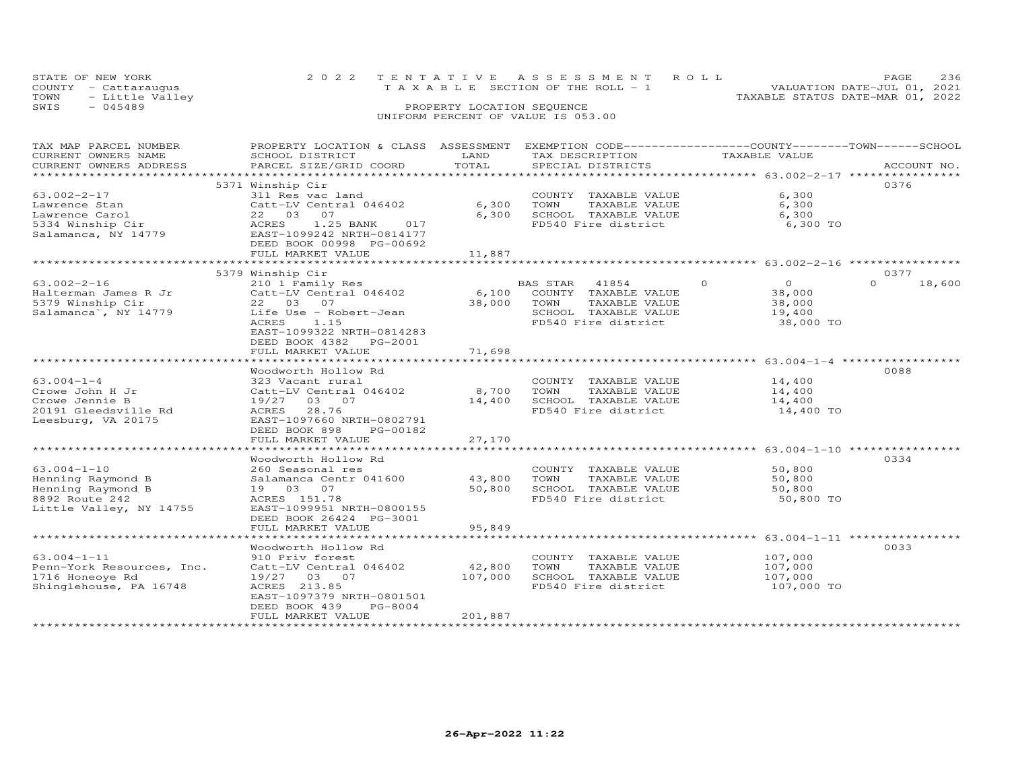| STATE OF NEW YORK       | 2022 TENTATIVE ASSESSMENT ROLL     | PAGE                             | 236 |
|-------------------------|------------------------------------|----------------------------------|-----|
| COUNTY - Cattaraugus    | TAXABLE SECTION OF THE ROLL - 1    | VALUATION DATE-JUL 01, 2021      |     |
| TOWN<br>- Little Valley |                                    | TAXABLE STATUS DATE-MAR 01, 2022 |     |
| SWIS<br>- 045489        | PROPERTY LOCATION SEQUENCE         |                                  |     |
|                         | UNIFORM PERCENT OF VALUE IS 053.00 |                                  |     |

| TAX MAP PARCEL NUMBER<br>CURRENT OWNERS NAME | PROPERTY LOCATION & CLASS ASSESSMENT<br>SCHOOL DISTRICT | LAND          |                | EXEMPTION CODE-----------------COUNTY-------TOWN-----SCHOOL<br>TAX DESCRIPTION |          | TAXABLE VALUE                      |          |             |
|----------------------------------------------|---------------------------------------------------------|---------------|----------------|--------------------------------------------------------------------------------|----------|------------------------------------|----------|-------------|
| CURRENT OWNERS ADDRESS                       | PARCEL SIZE/GRID COORD                                  | TOTAL         |                | SPECIAL DISTRICTS                                                              |          |                                    |          | ACCOUNT NO. |
|                                              |                                                         | ************* |                |                                                                                |          | *********** 63.002-2-17 ********** |          |             |
|                                              | 5371 Winship Cir                                        |               |                |                                                                                |          |                                    | 0376     |             |
| $63.002 - 2 - 17$                            | 311 Res vac land                                        |               |                | COUNTY TAXABLE VALUE                                                           |          | 6,300                              |          |             |
|                                              | Catt-LV Central 046402                                  | 6,300         | TOWN           | TAXABLE VALUE                                                                  |          | 6,300                              |          |             |
| Lawrence Stan                                |                                                         |               |                |                                                                                |          |                                    |          |             |
| Lawrence Carol                               | 22 03 07                                                | 6,300         |                | SCHOOL TAXABLE VALUE                                                           |          | 6,300                              |          |             |
| 5334 Winship Cir                             | 1.25 BANK<br>ACRES<br>017                               |               |                | FD540 Fire district                                                            |          | 6,300 TO                           |          |             |
| Salamanca, NY 14779                          | EAST-1099242 NRTH-0814177                               |               |                |                                                                                |          |                                    |          |             |
|                                              | DEED BOOK 00998 PG-00692                                |               |                |                                                                                |          |                                    |          |             |
|                                              | FULL MARKET VALUE<br>************************           | 11,887        |                |                                                                                |          |                                    |          |             |
|                                              |                                                         |               |                |                                                                                |          |                                    |          |             |
|                                              | 5379 Winship Cir                                        |               |                |                                                                                |          |                                    | 0377     |             |
| $63.002 - 2 - 16$                            | 210 1 Family Res                                        |               | BAS STAR 41854 |                                                                                | $\Omega$ | $\overline{0}$                     | $\Omega$ | 18,600      |
| Halterman James R Jr                         | Catt-LV Central 046402                                  | 6,100         |                | COUNTY TAXABLE VALUE                                                           |          | 38,000                             |          |             |
| 5379 Winship Cir                             | 22 03 07                                                | 38,000        | TOWN           | TAXABLE VALUE                                                                  |          | 38,000                             |          |             |
| Salamanca', NY 14779                         | Life Use - Robert-Jean                                  |               |                | SCHOOL TAXABLE VALUE                                                           |          | 19,400                             |          |             |
|                                              | ACRES<br>1.15                                           |               |                | FD540 Fire district                                                            |          | 38,000 TO                          |          |             |
|                                              | EAST-1099322 NRTH-0814283                               |               |                |                                                                                |          |                                    |          |             |
|                                              | DEED BOOK 4382<br>PG-2001                               |               |                |                                                                                |          |                                    |          |             |
|                                              | FULL MARKET VALUE                                       | 71,698        |                |                                                                                |          |                                    |          |             |
|                                              |                                                         |               |                |                                                                                |          |                                    |          |             |
|                                              | Woodworth Hollow Rd                                     |               |                |                                                                                |          |                                    | 0088     |             |
| $63.004 - 1 - 4$                             | 323 Vacant rural                                        |               |                | COUNTY TAXABLE VALUE                                                           |          | 14,400                             |          |             |
| Crowe John H Jr                              | Catt-LV Central 046402                                  | 8,700         | TOWN           | TAXABLE VALUE                                                                  |          | 14,400                             |          |             |
| Crowe Jennie B                               | 19/27 03 07                                             | 14,400        |                | SCHOOL TAXABLE VALUE                                                           |          | 14,400                             |          |             |
| 20191 Gleedsville Rd                         | 28.76<br>ACRES                                          |               |                | FD540 Fire district                                                            |          | 14,400 TO                          |          |             |
| Leesburg, VA 20175                           | EAST-1097660 NRTH-0802791                               |               |                |                                                                                |          |                                    |          |             |
|                                              | DEED BOOK 898<br>PG-00182                               |               |                |                                                                                |          |                                    |          |             |
|                                              | FULL MARKET VALUE                                       | 27,170        |                |                                                                                |          |                                    |          |             |
|                                              | *******************                                     | ***********   |                |                                                                                |          |                                    |          |             |
|                                              | Woodworth Hollow Rd                                     |               |                |                                                                                |          |                                    | 0334     |             |
| $63.004 - 1 - 10$                            | 260 Seasonal res                                        |               |                | COUNTY TAXABLE VALUE                                                           |          | 50,800                             |          |             |
| Henning Raymond B                            | Salamanca Centr 041600                                  | 43,800        | TOWN           | TAXABLE VALUE                                                                  |          | 50,800                             |          |             |
| Henning Raymond B                            | 19 03 07                                                | 50,800        |                | SCHOOL TAXABLE VALUE                                                           |          | 50,800                             |          |             |
| 8892 Route 242                               | ACRES 151.78                                            |               |                | FD540 Fire district                                                            |          | 50,800 TO                          |          |             |
| Little Valley, NY 14755                      | EAST-1099951 NRTH-0800155                               |               |                |                                                                                |          |                                    |          |             |
|                                              |                                                         |               |                |                                                                                |          |                                    |          |             |
|                                              | DEED BOOK 26424 PG-3001                                 |               |                |                                                                                |          |                                    |          |             |
|                                              | FULL MARKET VALUE                                       | 95,849        |                |                                                                                |          |                                    |          |             |
|                                              |                                                         |               |                |                                                                                |          |                                    | 0033     |             |
|                                              | Woodworth Hollow Rd                                     |               |                |                                                                                |          |                                    |          |             |
| $63.004 - 1 - 11$                            | 910 Priv forest                                         |               |                | COUNTY TAXABLE VALUE                                                           |          | 107,000                            |          |             |
| Penn-York Resources, Inc.                    | Catt-LV Central 046402                                  | 42,800        | TOWN           | TAXABLE VALUE                                                                  |          | 107,000                            |          |             |
| 1716 Honeove Rd                              | 19/27 03 07                                             | 107,000       |                | SCHOOL TAXABLE VALUE                                                           |          | 107,000                            |          |             |
| Shinglehouse, PA 16748                       | ACRES 213.85                                            |               |                | FD540 Fire district                                                            |          | 107,000 TO                         |          |             |
|                                              | EAST-1097379 NRTH-0801501                               |               |                |                                                                                |          |                                    |          |             |
|                                              | DEED BOOK 439<br>PG-8004                                |               |                |                                                                                |          |                                    |          |             |
|                                              | FULL MARKET VALUE                                       | 201,887       |                |                                                                                |          |                                    |          |             |
|                                              |                                                         |               |                |                                                                                |          |                                    |          |             |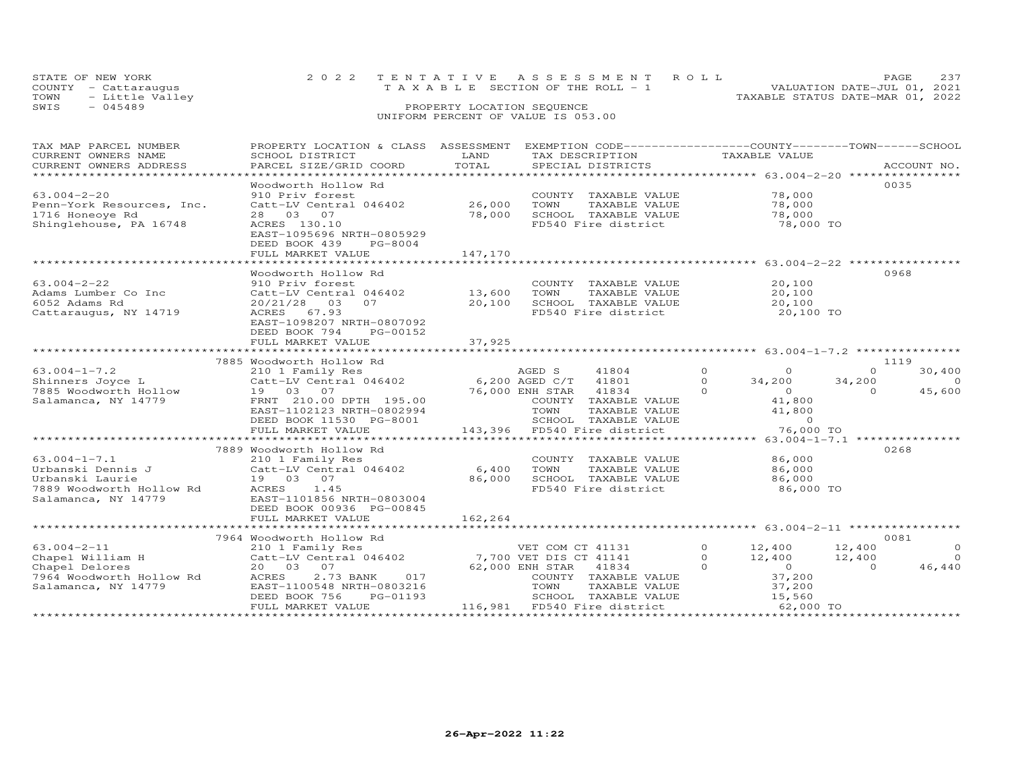| STATE OF NEW YORK       | 2022 TENTATIVE ASSESSMENT ROLL        | <b>PAGE</b>                      |
|-------------------------|---------------------------------------|----------------------------------|
| COUNTY - Cattaraugus    | T A X A B L E SECTION OF THE ROLL - 1 | VALUATION DATE-JUL 01, 2021      |
| - Little Valley<br>TOWN |                                       | TAXABLE STATUS DATE-MAR 01, 2022 |
| $-045489$<br>SWIS       | PROPERTY LOCATION SEQUENCE            |                                  |
|                         |                                       |                                  |

| TAX MAP PARCEL NUMBER          | PROPERTY LOCATION & CLASS ASSESSMENT EXEMPTION CODE----------------COUNTY-------TOWN------SCHOOL                                                                                                                               |         |                                                                                         |                                            |                          |
|--------------------------------|--------------------------------------------------------------------------------------------------------------------------------------------------------------------------------------------------------------------------------|---------|-----------------------------------------------------------------------------------------|--------------------------------------------|--------------------------|
| CURRENT OWNERS NAME            | SCHOOL DISTRICT                                                                                                                                                                                                                | LAND    | TAX DESCRIPTION                                                                         | TAXABLE VALUE                              |                          |
| CURRENT OWNERS ADDRESS         |                                                                                                                                                                                                                                |         |                                                                                         |                                            | ACCOUNT NO.              |
| ****************************** | . PARCEL SIZE/GRID COORD TOTAL SPECIAL DISTRICTS 4CCOUNT NO ACCOUNT NO ARE ARRY AND MOLE TO A ARRY AND A LOCOUNT NO A A LOCOUNT NO A LATA A LATA AND HER A LATA AND A LATA AND HER A LATA AND HER A LATA AND HAND A LATA AND H |         |                                                                                         |                                            |                          |
|                                | Woodworth Hollow Rd                                                                                                                                                                                                            |         |                                                                                         |                                            | 0035                     |
| $63.004 - 2 - 20$              | 910 Priv forest                                                                                                                                                                                                                |         | COUNTY TAXABLE VALUE                                                                    | 78,000                                     |                          |
| Penn-York Resources, Inc.      | 910 PIIV IOIESC<br>Catt-LV Central 046402 26,000                                                                                                                                                                               |         | TOWN<br>TAXABLE VALUE                                                                   | 78,000                                     |                          |
| 1716 Honeoye Rd                | 28 03 07                                                                                                                                                                                                                       | 78,000  | SCHOOL TAXABLE VALUE                                                                    | 78,000                                     |                          |
| Shinglehouse, PA 16748         | ACRES 130.10                                                                                                                                                                                                                   |         | FD540 Fire district                                                                     | 78,000 TO                                  |                          |
|                                | EAST-1095696 NRTH-0805929                                                                                                                                                                                                      |         |                                                                                         |                                            |                          |
|                                | DEED BOOK 439<br>PG-8004                                                                                                                                                                                                       |         |                                                                                         |                                            |                          |
|                                | FULL MARKET VALUE                                                                                                                                                                                                              | 147,170 |                                                                                         |                                            |                          |
|                                |                                                                                                                                                                                                                                |         |                                                                                         |                                            |                          |
|                                | Woodworth Hollow Rd                                                                                                                                                                                                            |         |                                                                                         |                                            | 0968                     |
| $63.004 - 2 - 22$              | 910 Priv forest COUNTY<br>Catt-LV Central 046402 13,600 TOWN                                                                                                                                                                   |         | COUNTY TAXABLE VALUE                                                                    | 20,100                                     |                          |
| Adams Lumber Co Inc            |                                                                                                                                                                                                                                |         | TAXABLE VALUE                                                                           | 20,100                                     |                          |
| 6052 Adams Rd                  | 20/21/28<br>03<br>07 20,100                                                                                                                                                                                                    |         |                                                                                         |                                            |                          |
| Cattaraugus, NY 14719          | ACRES 67.93                                                                                                                                                                                                                    |         | SCHOOL TAXABLE VALUE $20,100$<br>FD540 Fire district $20,100$ TO<br>FD540 Fire district |                                            |                          |
|                                | EAST-1098207 NRTH-0807092                                                                                                                                                                                                      |         |                                                                                         |                                            |                          |
|                                | DEED BOOK 794<br>PG-00152                                                                                                                                                                                                      |         |                                                                                         |                                            |                          |
|                                | FULL MARKET VALUE                                                                                                                                                                                                              | 37,925  |                                                                                         |                                            |                          |
|                                |                                                                                                                                                                                                                                |         |                                                                                         |                                            |                          |
|                                | 7885 Woodworth Hollow Rd                                                                                                                                                                                                       |         |                                                                                         |                                            | 1119                     |
| $63.004 - 1 - 7.2$             | 210 1 Family Res                                                                                                                                                                                                               |         | 41804                                                                                   | $\overline{O}$<br>$\Omega$                 | 30,400<br>$\Omega$       |
|                                |                                                                                                                                                                                                                                |         | 41801                                                                                   | $\Omega$<br>34,200                         | 34,200<br>$\overline{0}$ |
|                                | 63.004-1-7.2<br>Shinners Joyce L 210 1 Family Res AGED S<br>Catt-LV Central 046402 6,200 AGED C/T<br>7885 Woodworth Hollow 19 03 07 76,000 ENH STAR<br>Salamanca, NY 14779 FRNT 210.00 DPTH 195.00 COUNTY T                    |         |                                                                                         | $\Omega$<br>$\overline{0}$                 | 45,600<br>$\Omega$       |
|                                |                                                                                                                                                                                                                                |         | 76,000 ENH STAR 41834<br>COUNTY TAXABLE<br>COUNTY TAXABLE VALUE                         | 41,800                                     |                          |
|                                | EAST-1102123 NRTH-0802994                                                                                                                                                                                                      |         | TOWN<br>TAXABLE VALUE                                                                   | 41,800                                     |                          |
|                                | DEED BOOK 11530 PG-8001                                                                                                                                                                                                        |         | SCHOOL TAXABLE VALUE                                                                    | $\sim$ 0                                   |                          |
|                                | FULL MARKET VALUE                                                                                                                                                                                                              |         | 143,396 FD540 Fire district                                                             | 76,000 TO                                  |                          |
|                                |                                                                                                                                                                                                                                |         |                                                                                         |                                            |                          |
|                                | 7889 Woodworth Hollow Rd                                                                                                                                                                                                       |         |                                                                                         |                                            | 0268                     |
|                                |                                                                                                                                                                                                                                |         | COUNTY TAXABLE VALUE                                                                    | 86,000                                     |                          |
|                                |                                                                                                                                                                                                                                |         | TOWN<br>TAXABLE VALUE                                                                   | 86,000                                     |                          |
|                                |                                                                                                                                                                                                                                |         | SCHOOL TAXABLE VALUE                                                                    | 86,000                                     |                          |
|                                |                                                                                                                                                                                                                                |         | FD540 Fire district                                                                     | 86,000 TO                                  |                          |
| Salamanca, NY 14779            | EAST-1101856 NRTH-0803004                                                                                                                                                                                                      |         |                                                                                         |                                            |                          |
|                                | DEED BOOK 00936 PG-00845                                                                                                                                                                                                       |         |                                                                                         |                                            |                          |
|                                | FULL MARKET VALUE                                                                                                                                                                                                              | 162,264 |                                                                                         |                                            |                          |
|                                |                                                                                                                                                                                                                                |         |                                                                                         |                                            |                          |
|                                | 7964 Woodworth Hollow Rd                                                                                                                                                                                                       |         |                                                                                         |                                            | 0081                     |
|                                | 03.004-2-11 210 1 Family Res WET COM CT 41131<br>Chapel William H Catt-LV Central 046402 7,700 VET DIS CT 41141<br>Chapel Delores 20 03 07                                                                                     |         |                                                                                         | $0 \t 12,400$                              | $\overline{O}$<br>12,400 |
|                                |                                                                                                                                                                                                                                |         |                                                                                         | $\Omega$<br>12,400                         | $\overline{0}$<br>12,400 |
|                                |                                                                                                                                                                                                                                |         |                                                                                         | $\Omega$                                   | 46,440<br>$\Omega$       |
| 7964 Woodworth Hollow Rd ACRES | 2.73 BANK<br>017                                                                                                                                                                                                               |         | COUNTY TAXABLE VALUE                                                                    | $\begin{array}{c} 0 \\ 37,200 \end{array}$ |                          |
| Salamanca, NY 14779            | EAST-1100548 NRTH-0803216                                                                                                                                                                                                      |         | TOWN<br>TAXABLE VALUE                                                                   |                                            |                          |
|                                | PG-01193<br>DEED BOOK 756                                                                                                                                                                                                      |         | SCHOOL TAXABLE VALUE                                                                    | 37,200<br>15,560                           |                          |
|                                | FULL MARKET VALUE                                                                                                                                                                                                              |         | 116,981 FD540 Fire district                                                             | $62,000$ TO                                |                          |
|                                |                                                                                                                                                                                                                                |         |                                                                                         |                                            |                          |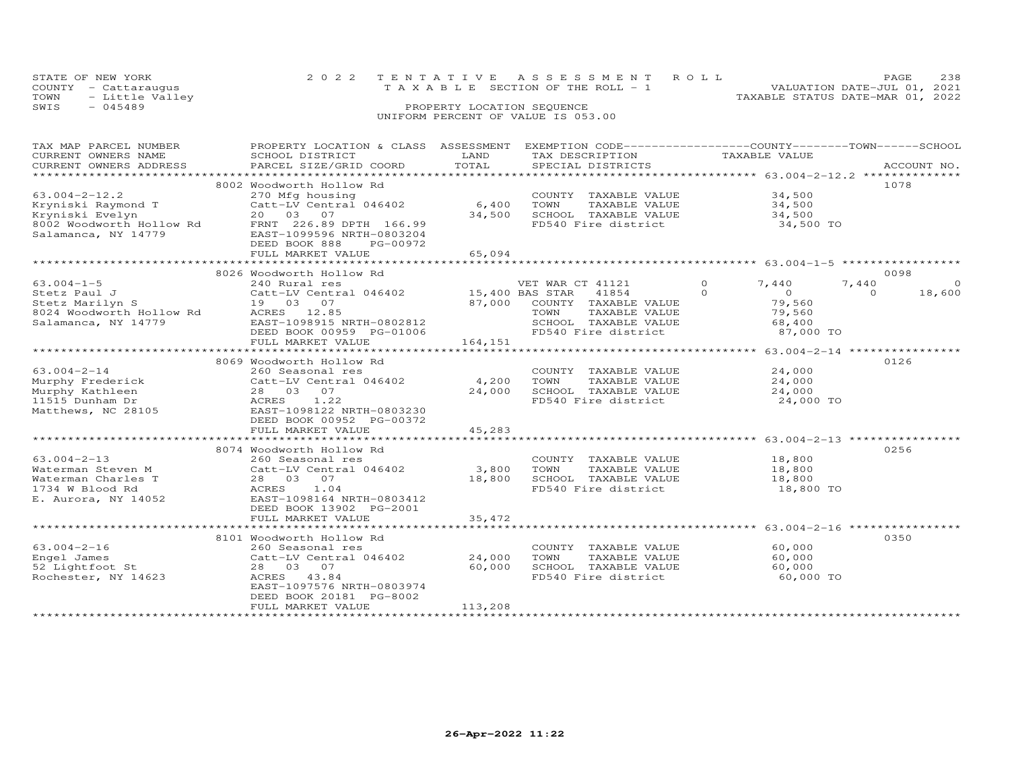| STATE OF NEW YORK       | 2022 TENTATIVE ASSESSMENT ROLL     |  |                                  | PAGE.                       | 238 |
|-------------------------|------------------------------------|--|----------------------------------|-----------------------------|-----|
| COUNTY - Cattaraugus    | TAXABLE SECTION OF THE ROLL - 1    |  |                                  | VALUATION DATE-JUL 01, 2021 |     |
| TOWN<br>- Little Valley |                                    |  | TAXABLE STATUS DATE-MAR 01, 2022 |                             |     |
| SWIS<br>$-045489$       | PROPERTY LOCATION SEQUENCE         |  |                                  |                             |     |
|                         | UNIFORM PERCENT OF VALUE IS 053.00 |  |                                  |                             |     |

| TAX MAP PARCEL NUMBER                                             | PROPERTY LOCATION & CLASS ASSESSMENT EXEMPTION CODE----------------COUNTY-------TOWN-----SCHOOL                                                                                                                                                        |         |                                                                  |                            |                    |
|-------------------------------------------------------------------|--------------------------------------------------------------------------------------------------------------------------------------------------------------------------------------------------------------------------------------------------------|---------|------------------------------------------------------------------|----------------------------|--------------------|
| CURRENT OWNERS NAME                                               | SCHOOL DISTRICT                                                                                                                                                                                                                                        | LAND    | TAX DESCRIPTION                                                  | TAXABLE VALUE              |                    |
|                                                                   |                                                                                                                                                                                                                                                        |         |                                                                  |                            |                    |
|                                                                   | .CURRENT OWNERS ADDRESS PARCEL SIZE/GRID COORD TOTAL SPECIAL DISTRICTS ACCOUNT NO ACCOUNT NO ACCOUNT NO ACCOUNT                                                                                                                                        |         |                                                                  |                            |                    |
|                                                                   | 8002 Woodworth Hollow Rd                                                                                                                                                                                                                               |         |                                                                  |                            | 1078               |
| $63.004 - 2 - 12.2$                                               | 270 Mfg housing                                                                                                                                                                                                                                        |         | COUNTY TAXABLE VALUE 34,500                                      |                            |                    |
|                                                                   | Catt-LV Central 046402                                                                                                                                                                                                                                 | 6,400   |                                                                  |                            |                    |
|                                                                   |                                                                                                                                                                                                                                                        | 34,500  |                                                                  |                            |                    |
|                                                                   |                                                                                                                                                                                                                                                        |         | FD540 Fire district                                              | 34,500 TO                  |                    |
|                                                                   |                                                                                                                                                                                                                                                        |         |                                                                  |                            |                    |
|                                                                   | DEED BOOK 888<br>PG-00972                                                                                                                                                                                                                              |         |                                                                  |                            |                    |
|                                                                   | FULL MARKET VALUE                                                                                                                                                                                                                                      | 65,094  |                                                                  |                            |                    |
|                                                                   |                                                                                                                                                                                                                                                        |         |                                                                  |                            |                    |
|                                                                   | 8026 Woodworth Hollow Rd                                                                                                                                                                                                                               |         |                                                                  |                            | 0098               |
| $63.004 - 1 - 5$                                                  | 240 Rural res                                                                                                                                                                                                                                          |         | VET WAR CT 41121                                                 | 0 $7,440$                  | 7,440<br>$\circ$   |
|                                                                   | CALC Paul J<br>Stetz Paul J<br>Stetz Marilyn S<br>Stetz Marilyn S<br>Salamanca, NY 14779<br>Salamanca, NY 14779<br>CALC EAS 12.85<br>Salamanca, NY 14779<br>CALC EAS 12.85<br>CALC EAS 12.85<br>CALC PART-10989212<br>CALC PARTH-0802812<br>CALC SCHOO |         |                                                                  | $\Omega$<br>$\overline{0}$ | 18,600<br>$\Omega$ |
|                                                                   |                                                                                                                                                                                                                                                        |         | 87,000 COUNTY TAXABLE VALUE                                      | 79,560                     |                    |
|                                                                   |                                                                                                                                                                                                                                                        |         | TAXABLE VALUE                                                    | 79,560                     |                    |
|                                                                   |                                                                                                                                                                                                                                                        |         | SCHOOL TAXABLE VALUE 68,400                                      |                            |                    |
|                                                                   | DEED BOOK 00959 PG-01006                                                                                                                                                                                                                               |         | FD540 Fire district                                              | 87,000 TO                  |                    |
|                                                                   | FULL MARKET VALUE                                                                                                                                                                                                                                      | 164,151 |                                                                  |                            |                    |
|                                                                   |                                                                                                                                                                                                                                                        |         |                                                                  |                            |                    |
|                                                                   | 8069 Woodworth Hollow Rd                                                                                                                                                                                                                               |         |                                                                  |                            | 0126               |
| $63.004 - 2 - 14$                                                 | 260 Seasonal res                                                                                                                                                                                                                                       |         |                                                                  |                            |                    |
|                                                                   |                                                                                                                                                                                                                                                        |         | COUNTY TAXABLE VALUE<br>TOWN      TAXABLE VALUE                  | 24,000<br>24,000           |                    |
|                                                                   |                                                                                                                                                                                                                                                        |         |                                                                  |                            |                    |
|                                                                   | 63.004-2-14 260 Seasonal res COUNT<br>Murphy Frederick Catt-LV Central 046402 4,200 TOWN<br>Murphy Kathleen 28 03 07 24,000 SCHOO<br>11515 Dunham Dr ACRES 1.22 Natthews, NC 28105 EAST-1098122 NRTH-0803230<br>Matthews, NC 28105 EAS                 |         | SCHOOL TAXABLE VALUE $24,000$<br>FD540 Fire district $24,000$ TO |                            |                    |
|                                                                   |                                                                                                                                                                                                                                                        |         |                                                                  |                            |                    |
|                                                                   | DEED BOOK 00952 PG-00372                                                                                                                                                                                                                               |         |                                                                  |                            |                    |
|                                                                   | FULL MARKET VALUE                                                                                                                                                                                                                                      | 45,283  |                                                                  |                            |                    |
|                                                                   |                                                                                                                                                                                                                                                        |         |                                                                  |                            |                    |
|                                                                   | 8074 Woodworth Hollow Rd                                                                                                                                                                                                                               |         |                                                                  |                            | 0256               |
| $63.004 - 2 - 13$                                                 | 260 Seasonal res                                                                                                                                                                                                                                       |         |                                                                  | 18,800                     |                    |
| Waterman Steven M                                                 | 260 Seasonal Les<br>Catt-LV Central 046402 $\begin{array}{ccc} 3,800 & 3,800 \\ -1000 & 2.500 \\ \end{array}$                                                                                                                                          |         | COUNTY TAXABLE VALUE<br>TOWN      TAXABLE VALUE<br>TOWN          | 18,800                     |                    |
|                                                                   |                                                                                                                                                                                                                                                        | 18,800  |                                                                  |                            |                    |
| Waterman Charles T and 28 03 07<br>1734 W Blood Rd and ACRES 1.04 |                                                                                                                                                                                                                                                        |         | SCHOOL TAXABLE VALUE<br>FD540 Fire district                      | 18,800<br>18,800 TO        |                    |
|                                                                   | E. Aurora, NY 14052 EAST-1098164 NRTH-0803412                                                                                                                                                                                                          |         |                                                                  |                            |                    |
|                                                                   | DEED BOOK 13902 PG-2001                                                                                                                                                                                                                                |         |                                                                  |                            |                    |
|                                                                   | FULL MARKET VALUE                                                                                                                                                                                                                                      | 35,472  |                                                                  |                            |                    |
|                                                                   |                                                                                                                                                                                                                                                        |         |                                                                  |                            |                    |
|                                                                   | 8101 Woodworth Hollow Rd                                                                                                                                                                                                                               |         |                                                                  |                            | 0350               |
| $63.004 - 2 - 16$                                                 | 260 Seasonal res                                                                                                                                                                                                                                       |         | COUNTY TAXABLE VALUE                                             | 60,000                     |                    |
| Engel James                                                       | Catt-LV Central 046402 24,000                                                                                                                                                                                                                          |         | TOWN                                                             | TAXABLE VALUE 60,000       |                    |
| 52 Lightfoot St                                                   | 28 03 07                                                                                                                                                                                                                                               | 60,000  |                                                                  |                            |                    |
| Rochester, NY 14623                                               | ACRES 43.84                                                                                                                                                                                                                                            |         | SCHOOL TAXABLE VALUE<br>FD540 Fire district                      | 60,000<br>60,000 TO        |                    |
|                                                                   | EAST-1097576 NRTH-0803974                                                                                                                                                                                                                              |         |                                                                  |                            |                    |
|                                                                   | DEED BOOK 20181 PG-8002                                                                                                                                                                                                                                |         |                                                                  |                            |                    |
|                                                                   | FULL MARKET VALUE                                                                                                                                                                                                                                      | 113,208 |                                                                  |                            |                    |
|                                                                   |                                                                                                                                                                                                                                                        |         |                                                                  |                            |                    |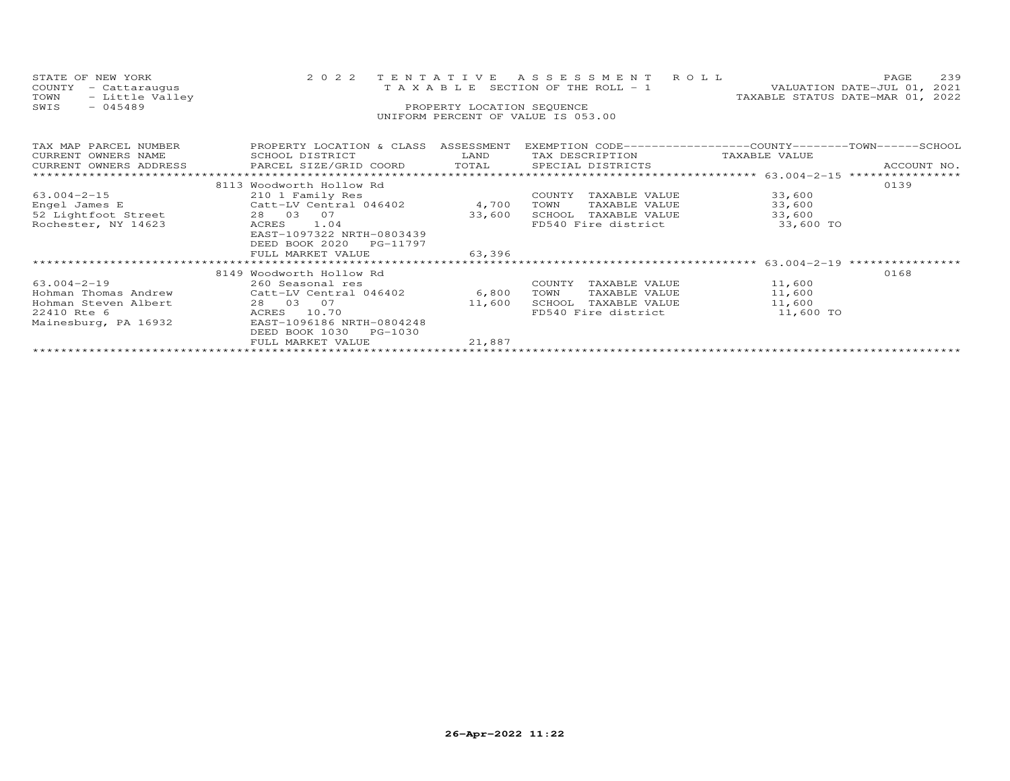| STATE OF NEW YORK<br>COUNTY<br>- Cattaraugus<br>- Little Valley<br>TOWN<br>$-045489$<br>SWIS | 2 0 2 2                                                                           | TENTATIVE<br>PROPERTY LOCATION SEQUENCE | ASSESSMENT ROLL<br>T A X A B L E SECTION OF THE ROLL - 1<br>UNIFORM PERCENT OF VALUE IS 053.00      |               | 239<br>PAGE<br>VALUATION DATE-JUL 01,<br>2021<br>TAXABLE STATUS DATE-MAR 01, 2022 |
|----------------------------------------------------------------------------------------------|-----------------------------------------------------------------------------------|-----------------------------------------|-----------------------------------------------------------------------------------------------------|---------------|-----------------------------------------------------------------------------------|
| TAX MAP PARCEL NUMBER<br>CURRENT OWNERS NAME<br>CURRENT OWNERS ADDRESS                       | PROPERTY LOCATION & CLASS ASSESSMENT<br>SCHOOL DISTRICT<br>PARCEL SIZE/GRID COORD | LAND<br>TOTAL                           | EXEMPTION CODE-----------------COUNTY-------TOWN-----SCHOOL<br>TAX DESCRIPTION<br>SPECIAL DISTRICTS | TAXABLE VALUE | ACCOUNT NO.                                                                       |
|                                                                                              | 8113 Woodworth Hollow Rd                                                          |                                         |                                                                                                     |               | 0139                                                                              |
| $63.004 - 2 - 15$                                                                            | 210 1 Family Res                                                                  |                                         | COUNTY<br>TAXABLE VALUE                                                                             | 33,600        |                                                                                   |
| Engel James E                                                                                | Catt-LV Central 046402                                                            | 4,700                                   | TAXABLE VALUE<br>TOWN                                                                               | 33,600        |                                                                                   |
| 52 Lightfoot Street                                                                          | 28 03 07                                                                          | 33,600                                  | SCHOOL TAXABLE VALUE                                                                                | 33,600        |                                                                                   |
| Rochester, NY 14623                                                                          | ACRES<br>1.04<br>EAST-1097322 NRTH-0803439<br>DEED BOOK 2020 PG-11797             |                                         | FD540 Fire district                                                                                 | 33,600 TO     |                                                                                   |
|                                                                                              | FULL MARKET VALUE                                                                 | 63,396                                  |                                                                                                     |               |                                                                                   |
|                                                                                              |                                                                                   |                                         |                                                                                                     |               |                                                                                   |
|                                                                                              | 8149 Woodworth Hollow Rd                                                          |                                         |                                                                                                     |               | 0168                                                                              |
| $63.004 - 2 - 19$                                                                            | 260 Seasonal res                                                                  |                                         | COUNTY<br>TAXABLE VALUE                                                                             | 11,600        |                                                                                   |
| Hohman Thomas Andrew                                                                         | Catt-LV Central 046402                                                            | 6,800                                   | TOWN<br>TAXABLE VALUE                                                                               | 11,600        |                                                                                   |
| Hohman Steven Albert                                                                         | 28 03 07                                                                          | 11,600                                  | SCHOOL TAXABLE VALUE                                                                                | 11,600        |                                                                                   |
| 22410 Rte 6                                                                                  | ACRES 10.70                                                                       |                                         | FD540 Fire district                                                                                 | 11,600 TO     |                                                                                   |
| Mainesburg, PA 16932                                                                         | EAST-1096186 NRTH-0804248                                                         |                                         |                                                                                                     |               |                                                                                   |
|                                                                                              | DEED BOOK 1030 PG-1030                                                            |                                         |                                                                                                     |               |                                                                                   |
|                                                                                              | FULL MARKET VALUE                                                                 | 21,887                                  |                                                                                                     |               |                                                                                   |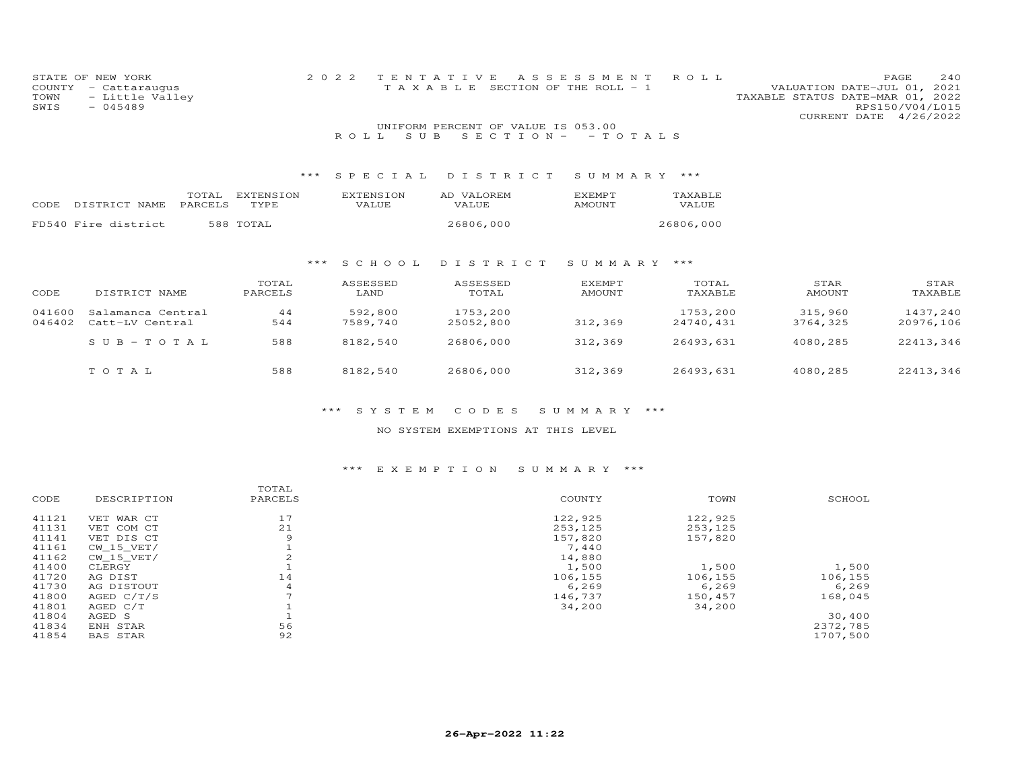| COUNTY<br>TOWN<br>SWIS | STATE OF NEW YORK<br>- Cattaraugus<br>- Little Valley<br>$-045489$ |                          | 2 0 2 2             | TENTATIVE<br>TAXABLE                                               | ASSESSMENT<br>SECTION OF THE ROLL - 1 | ROLL                  | TAXABLE STATUS DATE-MAR 01, 2022 | 240<br>PAGE<br>VALUATION DATE-JUL 01, 2021<br>RPS150/V04/L015 |
|------------------------|--------------------------------------------------------------------|--------------------------|---------------------|--------------------------------------------------------------------|---------------------------------------|-----------------------|----------------------------------|---------------------------------------------------------------|
|                        |                                                                    |                          | S U B<br>ROLL       | UNIFORM PERCENT OF VALUE IS 053.00<br>$S E C T I ON - - TO T AL S$ |                                       |                       |                                  | CURRENT DATE 4/26/2022                                        |
|                        |                                                                    | $***$                    | SPECIAL             | DISTRICT                                                           | SUMMARY ***                           |                       |                                  |                                                               |
| CODE                   | TOTAL<br>PARCELS<br>DISTRICT NAME                                  | <b>EXTENSION</b><br>TYPE | EXTENSION<br>VALUE  | AD VALOREM<br>VALUE                                                | EXEMPT<br>AMOUNT                      | TAXABLE<br>VALUE      |                                  |                                                               |
|                        | FD540 Fire district                                                | 588 TOTAL                |                     | 26806,000                                                          |                                       | 26806,000             |                                  |                                                               |
|                        |                                                                    | $***$                    | S C H O O L         | DISTRICT                                                           | SUMMARY ***                           |                       |                                  |                                                               |
| CODE                   | DISTRICT NAME                                                      | TOTAL<br>PARCELS         | ASSESSED<br>LAND    | ASSESSED<br>TOTAL                                                  | <b>EXEMPT</b><br><b>AMOUNT</b>        | TOTAL<br>TAXABLE      | STAR<br><b>AMOUNT</b>            | STAR<br>TAXABLE                                               |
| 041600<br>046402       | Salamanca Central<br>Catt-LV Central                               | 44<br>544                | 592,800<br>7589,740 | 1753,200<br>25052,800                                              | 312,369                               | 1753,200<br>24740,431 | 315,960<br>3764,325              | 1437,240<br>20976,106                                         |
|                        | $SUB - TO TAL$                                                     | 588                      | 8182,540            | 26806,000                                                          | 312,369                               | 26493,631             | 4080,285                         | 22413,346                                                     |
|                        | TOTAL                                                              | 588                      | 8182,540            | 26806,000                                                          | 312,369                               | 26493,631             | 4080,285                         | 22413,346                                                     |

#### \*\*\* S Y S T E M C O D E S S U M M A R Y \*\*\*

#### NO SYSTEM EXEMPTIONS AT THIS LEVEL

#### \*\*\* E X E M P T I O N S U M M A R Y \*\*\*

|       |              | TOTAL                    |         |         |          |
|-------|--------------|--------------------------|---------|---------|----------|
| CODE  | DESCRIPTION  | PARCELS                  | COUNTY  | TOWN    | SCHOOL   |
| 41121 | VET WAR CT   | 17                       | 122,925 | 122,925 |          |
| 41131 | VET COM CT   | 21                       | 253,125 | 253,125 |          |
| 41141 | VET DIS CT   | 9                        | 157,820 | 157,820 |          |
| 41161 | CW 15 VET/   |                          | 7,440   |         |          |
| 41162 | CW 15 VET/   | 2                        | 14,880  |         |          |
| 41400 | CLERGY       |                          | 1,500   | 1,500   | 1,500    |
| 41720 | AG DIST      | 14                       | 106,155 | 106,155 | 106,155  |
| 41730 | AG DISTOUT   | 4                        | 6,269   | 6, 269  | 6, 269   |
| 41800 | AGED $C/T/S$ | $\overline{\phantom{0}}$ | 146,737 | 150,457 | 168,045  |
| 41801 | AGED C/T     |                          | 34,200  | 34,200  |          |
| 41804 | AGED S       |                          |         |         | 30,400   |
| 41834 | ENH STAR     | 56                       |         |         | 2372,785 |
| 41854 | BAS STAR     | 92                       |         |         | 1707,500 |
|       |              |                          |         |         |          |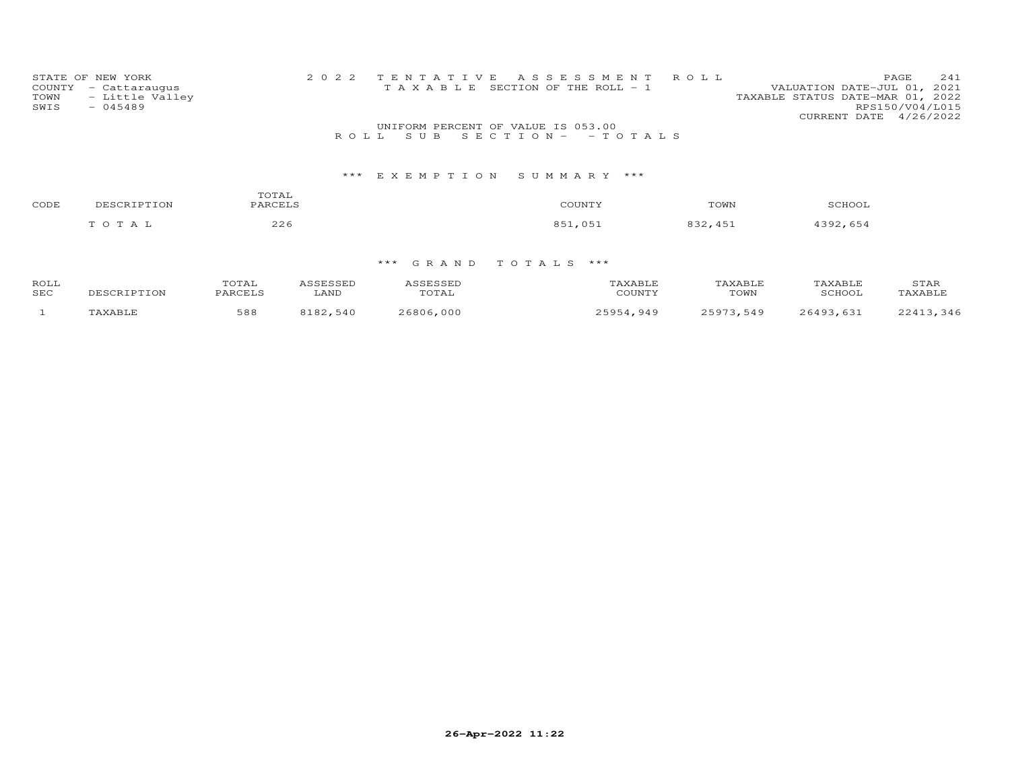| STATE OF NEW YORK       | 2022 TENTATIVE ASSESSMENT ROLL        | 241<br>PAGE                      |
|-------------------------|---------------------------------------|----------------------------------|
| COUNTY - Cattaraugus    | T A X A B L E SECTION OF THE ROLL - 1 | VALUATION DATE-JUL 01, 2021      |
| - Little Valley<br>TOWN |                                       | TAXABLE STATUS DATE-MAR 01, 2022 |
| $-045489$<br>SWIS       |                                       | RPS150/V04/L015                  |
|                         |                                       | CURRENT DATE 4/26/2022           |
|                         | UNIFORM PERCENT OF VALUE IS 053.00    |                                  |
|                         | ROLL SUB SECTION- - TOTALS            |                                  |
|                         |                                       |                                  |
|                         |                                       |                                  |

### \*\*\* E X E M P T I O N S U M M A R Y \*\*\*

| CODE | DESCRIPTION | TOTAL<br>PARCELS | COUNTY                   | TOWN    | SCHOOL   |
|------|-------------|------------------|--------------------------|---------|----------|
|      | TOTAL       | 226              | 851,051<br>$\sim$ $\sim$ | 832,451 | 4392,654 |

| ROLL | $\sim$ m $\sim$ $\tau$<br>OTAL: | <b>ACCECCEP</b> | $\alpha$ $\alpha$ $\beta$ |        | A YART.E |               | STAR |
|------|---------------------------------|-----------------|---------------------------|--------|----------|---------------|------|
| SEC  | $\sqrt{2}$                      | LAND            | TOTAL                     | COUNTY | TOWN     | <b>SCHOOL</b> |      |
|      | 588                             | 100             | ,000<br>6806              | 949    | 549      | C A O 2       | 346  |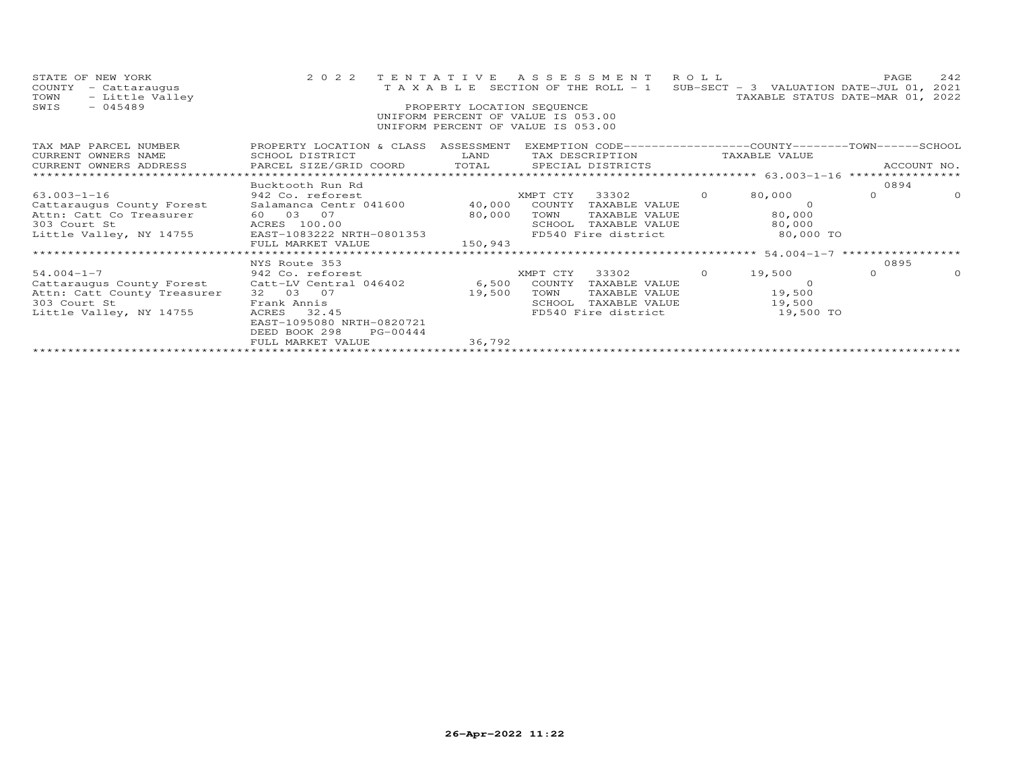| STATE OF NEW YORK<br>COUNTY<br>- Cattaraugus<br>- Little Valley<br>TOWN<br>$-045489$<br>SWIS                                                                                                                            |                                                                                                                                                                                                                                              | PROPERTY LOCATION SEQUENCE | 2022 TENTATIVE ASSESSMENT ROLL<br>T A X A B L E SECTION OF THE ROLL - 1 SUB-SECT - 3 VALUATION DATE-JUL 01, 2021<br>UNIFORM PERCENT OF VALUE IS 053.00<br>UNIFORM PERCENT OF VALUE IS 053.00 | TAXABLE STATUS DATE-MAR 01, 2022 | PAGE           | 242      |
|-------------------------------------------------------------------------------------------------------------------------------------------------------------------------------------------------------------------------|----------------------------------------------------------------------------------------------------------------------------------------------------------------------------------------------------------------------------------------------|----------------------------|----------------------------------------------------------------------------------------------------------------------------------------------------------------------------------------------|----------------------------------|----------------|----------|
| TAX MAP PARCEL NUMBER<br>CURRENT OWNERS NAME                                                                                                                                                                            | PROPERTY LOCATION & CLASS ASSESSMENT EXEMPTION CODE----------------COUNTY-------TOWN-----SCHOOL<br>SCHOOL DISTRICT<br><b>EXAMPLE SERVICE SERVICE SERVICE SERVICE SERVICE SERVICE SERVICE SERVICE SERVICE SERVICE SERVICE SERVICE SERVICE</b> |                            | TAX DESCRIPTION TAXABLE VALUE                                                                                                                                                                |                                  |                |          |
|                                                                                                                                                                                                                         | Bucktooth Run Rd                                                                                                                                                                                                                             |                            |                                                                                                                                                                                              |                                  | 0894           |          |
| 63.003-1-16                                                                                                                                                                                                             | 942 Co. reforest                                                                                                                                                                                                                             |                            | XMPT CTY 33302 0                                                                                                                                                                             | 80,000                           | $\overline{0}$ | $\Omega$ |
| Cattaraugus County Forest<br>Attn: Catt Co Treasurer 60 03 07 80,000 TOWN TAXABLE VALUE<br>303 Court St ACRES 100.00 80,000 TOWN TAXABLE VALUE<br>Little Valley, NY 14755 EAST-1083222 NRTH-0801353 FD540 Fire district |                                                                                                                                                                                                                                              |                            |                                                                                                                                                                                              |                                  |                |          |
|                                                                                                                                                                                                                         |                                                                                                                                                                                                                                              |                            |                                                                                                                                                                                              |                                  |                |          |
|                                                                                                                                                                                                                         |                                                                                                                                                                                                                                              |                            | SCHOOL TAXABLE VALUE 80,000                                                                                                                                                                  |                                  |                |          |
|                                                                                                                                                                                                                         |                                                                                                                                                                                                                                              |                            | FD540 Fire district 60,000 TO                                                                                                                                                                |                                  |                |          |
|                                                                                                                                                                                                                         | FULL MARKET VALUE                                                                                                                                                                                                                            | 150,943                    |                                                                                                                                                                                              |                                  |                |          |
|                                                                                                                                                                                                                         |                                                                                                                                                                                                                                              |                            |                                                                                                                                                                                              |                                  | 0895           |          |
| $54.004 - 1 - 7$                                                                                                                                                                                                        | NYS Route 353                                                                                                                                                                                                                                |                            | XMPT CTY 33302 0 19,500                                                                                                                                                                      |                                  | $\circ$        | $\Omega$ |
| 942 Co. reforest<br>Cattaraugus County Forest Catt-LV Central 046402 6,500 COUNTY TAXABLE VALUE                                                                                                                         |                                                                                                                                                                                                                                              |                            |                                                                                                                                                                                              | - 0                              |                |          |
| Attn: Catt County Treasurer                                                                                                                                                                                             | 32 03 07                                                                                                                                                                                                                                     | 19,500                     | TOWN                                                                                                                                                                                         | TAXABLE VALUE 19,500             |                |          |
| 303 Court St                                                                                                                                                                                                            | Frank Annis                                                                                                                                                                                                                                  |                            | SCHOOL                                                                                                                                                                                       | TAXABLE VALUE 19,500             |                |          |
| Little Valley, NY 14755                                                                                                                                                                                                 | ACRES 32.45                                                                                                                                                                                                                                  |                            | FD540 Fire district                                                                                                                                                                          | 19,500 TO                        |                |          |
|                                                                                                                                                                                                                         | EAST-1095080 NRTH-0820721                                                                                                                                                                                                                    |                            |                                                                                                                                                                                              |                                  |                |          |
|                                                                                                                                                                                                                         | DEED BOOK 298<br>PG-00444                                                                                                                                                                                                                    |                            |                                                                                                                                                                                              |                                  |                |          |
|                                                                                                                                                                                                                         | FULL MARKET VALUE                                                                                                                                                                                                                            | 36,792                     |                                                                                                                                                                                              |                                  |                |          |
|                                                                                                                                                                                                                         |                                                                                                                                                                                                                                              |                            |                                                                                                                                                                                              |                                  |                |          |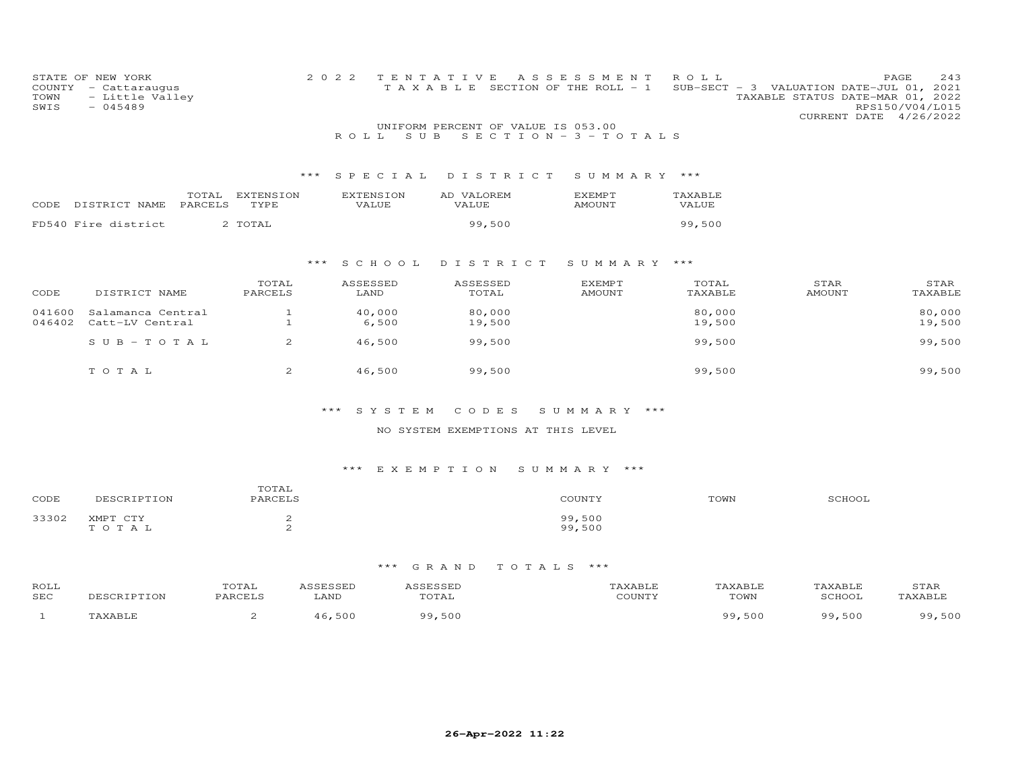| COUNTY<br>TOWN<br>SWIS | STATE OF NEW YORK<br>- Cattaraugus<br>- Little Valley<br>$-045489$ |                       | 2 0 2 2                   | TENTATIVE<br>T A X A B L E                                              | A S S E S S M E N T<br>SECTION OF THE ROLL - 1 | ROLL<br>$SUB-SECT - 3$ | 243<br>PAGE<br>2021<br>VALUATION DATE-JUL 01,<br>TAXABLE STATUS DATE-MAR 01, 2022<br>RPS150/V04/L015<br>4/26/2022<br>CURRENT DATE |
|------------------------|--------------------------------------------------------------------|-----------------------|---------------------------|-------------------------------------------------------------------------|------------------------------------------------|------------------------|-----------------------------------------------------------------------------------------------------------------------------------|
|                        |                                                                    |                       | S U B<br>ROLL             | UNIFORM PERCENT OF VALUE IS 053.00<br>$S E C T I O N - 3 - T O T A L S$ |                                                |                        |                                                                                                                                   |
|                        |                                                                    |                       |                           |                                                                         |                                                |                        |                                                                                                                                   |
|                        |                                                                    | ***                   | SPECIAL                   | DISTRICT                                                                | SUMMARY                                        | $***$                  |                                                                                                                                   |
| CODE                   | TOTAL<br>PARCELS<br>DISTRICT NAME                                  | EXTENSION<br>TYPE     | <b>EXTENSION</b><br>VALUE | AD VALOREM<br>VALUE                                                     | <b>EXEMPT</b><br><b>AMOUNT</b>                 | TAXABLE<br>VALUE       |                                                                                                                                   |
|                        | FD540 Fire district                                                | 2 TOTAL               |                           | 99,500                                                                  |                                                | 99,500                 |                                                                                                                                   |
|                        |                                                                    |                       |                           |                                                                         |                                                |                        |                                                                                                                                   |
|                        |                                                                    | ***                   | S C H O O L               | DISTRICT                                                                | SUMMARY ***                                    |                        |                                                                                                                                   |
|                        |                                                                    | TOTAL                 | ASSESSED                  | ASSESSED                                                                | EXEMPT                                         | TOTAL                  | STAR<br>STAR                                                                                                                      |
| CODE                   | DISTRICT NAME                                                      | PARCELS               | LAND                      | TOTAL                                                                   | <b>AMOUNT</b>                                  | TAXABLE                | <b>AMOUNT</b><br>TAXABLE                                                                                                          |
| 041600                 | Salamanca Central                                                  | 1                     | 40,000                    | 80,000                                                                  |                                                | 80,000                 | 80,000                                                                                                                            |
| 046402                 | Catt-LV Central                                                    |                       | 6,500                     | 19,500                                                                  |                                                | 19,500                 | 19,500                                                                                                                            |
|                        | $S \cup B - T \cup T A$                                            | $\overline{2}$        | 46,500                    | 99,500                                                                  |                                                | 99,500                 | 99,500                                                                                                                            |
|                        |                                                                    |                       |                           |                                                                         |                                                |                        |                                                                                                                                   |
|                        | TO TAL                                                             | $\mathbf{2}^{\prime}$ | 46,500                    | 99,500                                                                  |                                                | 99,500                 | 99,500                                                                                                                            |
|                        |                                                                    |                       |                           |                                                                         |                                                |                        |                                                                                                                                   |
|                        |                                                                    |                       |                           |                                                                         |                                                |                        |                                                                                                                                   |

### \*\*\* S Y S T E M C O D E S S U M M A R Y \*\*\*

#### NO SYSTEM EXEMPTIONS AT THIS LEVEL

### \*\*\* E X E M P T I O N S U M M A R Y \*\*\*

| CODE  | DESCRIPTION       | TOTAL<br>PARCELS | COUNTY           | TOWN | SCHOOL |
|-------|-------------------|------------------|------------------|------|--------|
| 33302 | XMPT CTY<br>TOTAL | ≏<br>⌒<br>≏      | 99,500<br>99,500 |      |        |

| ROLL<br><b>SEC</b> | <b>TON</b> | TOTAL<br><b>DARCETS</b> | LAND | uial | 'AXABLF<br>COUNTY | TAXABLE<br>TOWN | TAXABLE<br>SCHOOT | STAR<br><b>TAXABLT</b> |
|--------------------|------------|-------------------------|------|------|-------------------|-----------------|-------------------|------------------------|
|                    | ז דם גיש   |                         | 500  | 500  |                   | 99,500          | 500<br>ΩΩ         | 500<br>ΩQ              |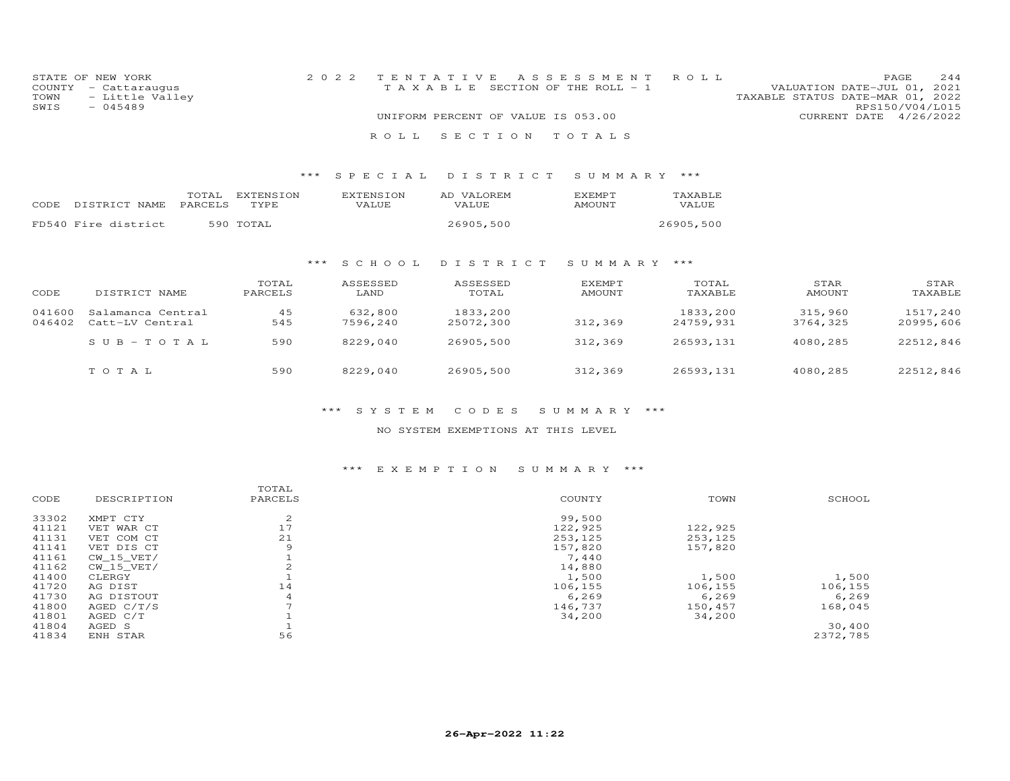| STATE OF NEW YORK    | 2022 TENTATIVE ASSESSMENT ROLL     | 244<br>PAGE.                     |
|----------------------|------------------------------------|----------------------------------|
| COUNTY - Cattaraugus | TAXABLE SECTION OF THE ROLL - 1    | VALUATION DATE-JUL 01, 2021      |
| TOWN - Little Valley |                                    | TAXABLE STATUS DATE-MAR 01, 2022 |
| SWIS<br>$-045489$    |                                    | RPS150/V04/L015                  |
|                      | UNIFORM PERCENT OF VALUE IS 053.00 | CURRENT DATE 4/26/2022           |
|                      | ROLL SECTION TOTALS                |                                  |

#### \*\*\* S P E C I A L D I S T R I C T S U M M A R Y \*\*\*

| CODE | DISTRICT NAME       | TOTAL<br><b>PARCELS</b> | EXTENSION<br>TYPE. | <b>EXTENSION</b><br>VALUE | AD VALOREM<br>VALUE | <b>F.XFMPT</b><br><b>AMOUNT</b> | <b>TAXABLE</b><br><b>VALUE</b> |
|------|---------------------|-------------------------|--------------------|---------------------------|---------------------|---------------------------------|--------------------------------|
|      | FD540 Fire district |                         | 590 TOTAL          |                           | 26905,500           |                                 | 26905,500                      |

#### \*\*\* S C H O O L D I S T R I C T S U M M A R Y \*\*\*

| CODE             | DISTRICT NAME                        | TOTAL<br>PARCELS | ASSESSED<br>LAND    | ASSESSED<br>TOTAL     | <b>EXEMPT</b><br>AMOUNT | TOTAL<br>TAXABLE      | STAR<br>AMOUNT      | STAR<br>TAXABLE       |
|------------------|--------------------------------------|------------------|---------------------|-----------------------|-------------------------|-----------------------|---------------------|-----------------------|
| 041600<br>046402 | Salamanca Central<br>Catt-LV Central | 45<br>545        | 632,800<br>7596,240 | 1833,200<br>25072,300 | 312,369                 | 1833,200<br>24759,931 | 315,960<br>3764,325 | 1517,240<br>20995,606 |
|                  | $SUB - TO TAL$                       | 590              | 8229,040            | 26905,500             | 312,369                 | 26593,131             | 4080,285            | 22512,846             |
|                  | TOTAL                                | 590              | 8229,040            | 26905,500             | 312,369                 | 26593,131             | 4080,285            | 22512,846             |

#### \*\*\* S Y S T E M C O D E S S U M M A R Y \*\*\*

#### NO SYSTEM EXEMPTIONS AT THIS LEVEL

#### \*\*\* E X E M P T I O N S U M M A R Y \*\*\*

|       |              | TOTAL          |         |         |          |
|-------|--------------|----------------|---------|---------|----------|
| CODE  | DESCRIPTION  | PARCELS        | COUNTY  | TOWN    | SCHOOL   |
| 33302 | XMPT CTY     | 2              | 99,500  |         |          |
| 41121 | VET WAR CT   | 17             | 122,925 | 122,925 |          |
| 41131 | VET COM CT   | 21             | 253,125 | 253,125 |          |
| 41141 | VET DIS CT   | 9              | 157,820 | 157,820 |          |
| 41161 | CW 15 VET/   |                | 7,440   |         |          |
| 41162 | CW 15 VET/   | 2              | 14,880  |         |          |
| 41400 | CLERGY       |                | 1,500   | 1,500   | 1,500    |
| 41720 | AG DIST      | 14             | 106,155 | 106,155 | 106,155  |
| 41730 | AG DISTOUT   | $\overline{4}$ | 6,269   | 6,269   | 6,269    |
| 41800 | AGED $C/T/S$ |                | 146,737 | 150,457 | 168,045  |
| 41801 | AGED C/T     |                | 34,200  | 34,200  |          |
| 41804 | AGED S       |                |         |         | 30,400   |
| 41834 | ENH STAR     | 56             |         |         | 2372,785 |
|       |              |                |         |         |          |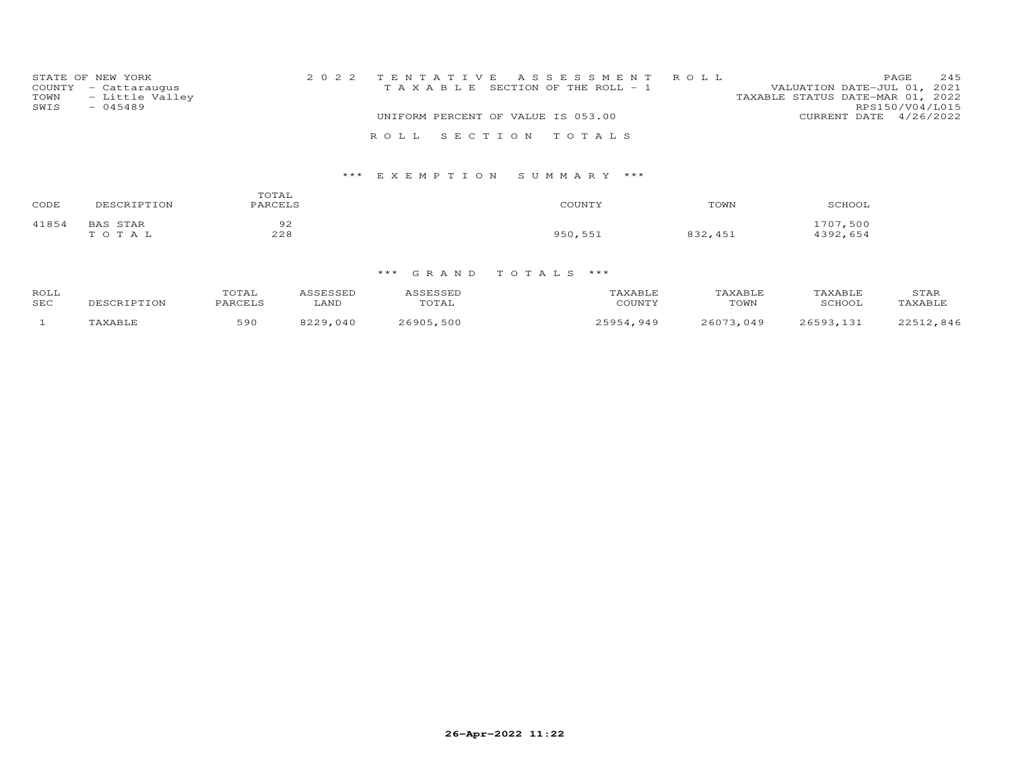| TOWN<br>SWIS | STATE OF NEW YORK<br>COUNTY - Cattaraugus<br>- Little Valley<br>$-045489$ |  |                                    | 2022 TENTATIVE ASSESSMENT ROLL<br>T A X A B L E SECTION OF THE ROLL - 1 | VALUATION DATE-JUL 01, 2021<br>TAXABLE STATUS DATE-MAR 01, 2022 | PAGE<br>RPS150/V04/L015 | 245 |
|--------------|---------------------------------------------------------------------------|--|------------------------------------|-------------------------------------------------------------------------|-----------------------------------------------------------------|-------------------------|-----|
|              |                                                                           |  | UNIFORM PERCENT OF VALUE IS 053.00 |                                                                         | CURRENT DATE $4/26/2022$                                        |                         |     |
|              |                                                                           |  |                                    |                                                                         |                                                                 |                         |     |
|              |                                                                           |  |                                    | ROLL SECTION TOTALS                                                     |                                                                 |                         |     |
|              |                                                                           |  |                                    |                                                                         |                                                                 |                         |     |

### \*\*\* E X E M P T I O N S U M M A R Y \*\*\*

| CODE  | DESCRIPTION              | TOTAL<br>PARCELS | COUNTY  | TOWN    | SCHOOL               |
|-------|--------------------------|------------------|---------|---------|----------------------|
| 41854 | <b>BAS STAR</b><br>TOTAL | 92<br>228        | 950,551 | 832,451 | 1707,500<br>4392,654 |

| ROLL<br><b>SEC</b> |                | m $\cap$ m $\pi$ T<br><b>OTAT</b><br>PARCELS | <b>SCRCCED</b><br>.<br>LAND | ASSESSED<br>TOTAL | <b>TAXABLE</b><br>COUNTY | TAXABLE<br>TOWN | <b>TAXABLE</b><br>SCHOOL | STAR<br>TAXABLE |
|--------------------|----------------|----------------------------------------------|-----------------------------|-------------------|--------------------------|-----------------|--------------------------|-----------------|
|                    |                |                                              | っっっぃ                        |                   | 25954                    | 26073           | つよちロマ                    | L2,846          |
|                    | <b>TAXABLE</b> | 590                                          | 040                         | 26905,500         | .949                     | .049            | 121                      | つつに1            |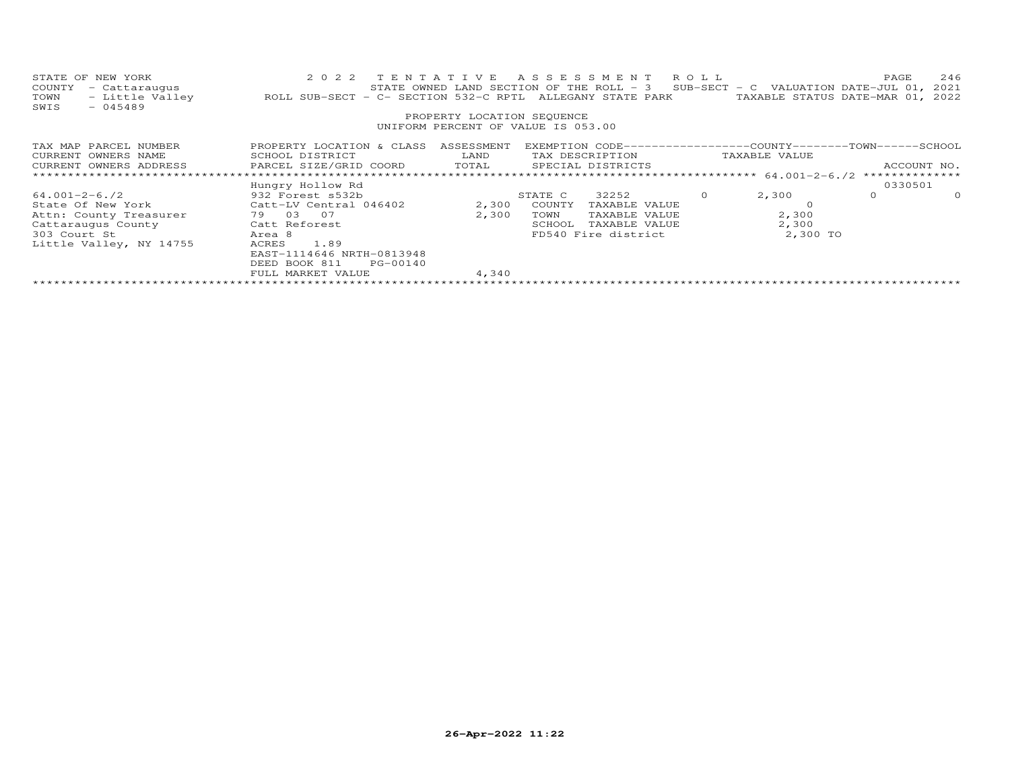| PROPERTY LOCATION SEQUENCE<br>UNIFORM PERCENT OF VALUE IS 053.00                                                                                                                                                    |
|---------------------------------------------------------------------------------------------------------------------------------------------------------------------------------------------------------------------|
|                                                                                                                                                                                                                     |
|                                                                                                                                                                                                                     |
| PROPERTY LOCATION & CLASS ASSESSMENT<br>EXEMPTION CODE-----------------COUNTY-------TOWN------SCHOOL<br>TAX MAP PARCEL NUMBER<br>CURRENT OWNERS NAME<br>SCHOOL DISTRICT<br>LAND<br>TAX DESCRIPTION<br>TAXABLE VALUE |
| PARCEL SIZE/GRID COORD TOTAL SPECIAL DISTRICTS<br>CURRENT OWNERS ADDRESS<br>ACCOUNT NO.                                                                                                                             |
| 0330501<br>Hungry Hollow Rd                                                                                                                                                                                         |
| 32252<br>2,300<br>$\circ$<br>$64.001 - 2 - 6.72$<br>932 Forest s532b<br>STATE C<br>$\circ$<br>$\circ$                                                                                                               |
| State Of New York Catt-LV Central 046402<br>2,300<br>COUNTY<br>TAXABLE VALUE                                                                                                                                        |
| 79 03 07<br>2,300<br>2,300<br>Attn: County Treasurer<br>TOWN<br>TAXABLE VALUE                                                                                                                                       |
| 2,300<br>Catt Reforest<br>Cattaraugus County<br>SCHOOL<br>TAXABLE VALUE                                                                                                                                             |
| 2,300 TO<br>303 Court St<br>FD540 Fire district<br>Area 8                                                                                                                                                           |
| 1.89<br>Little Valley, NY 14755<br>ACRES                                                                                                                                                                            |
| EAST-1114646 NRTH-0813948                                                                                                                                                                                           |
| DEED BOOK 811<br>PG-00140                                                                                                                                                                                           |
| FULL MARKET VALUE<br>4,340                                                                                                                                                                                          |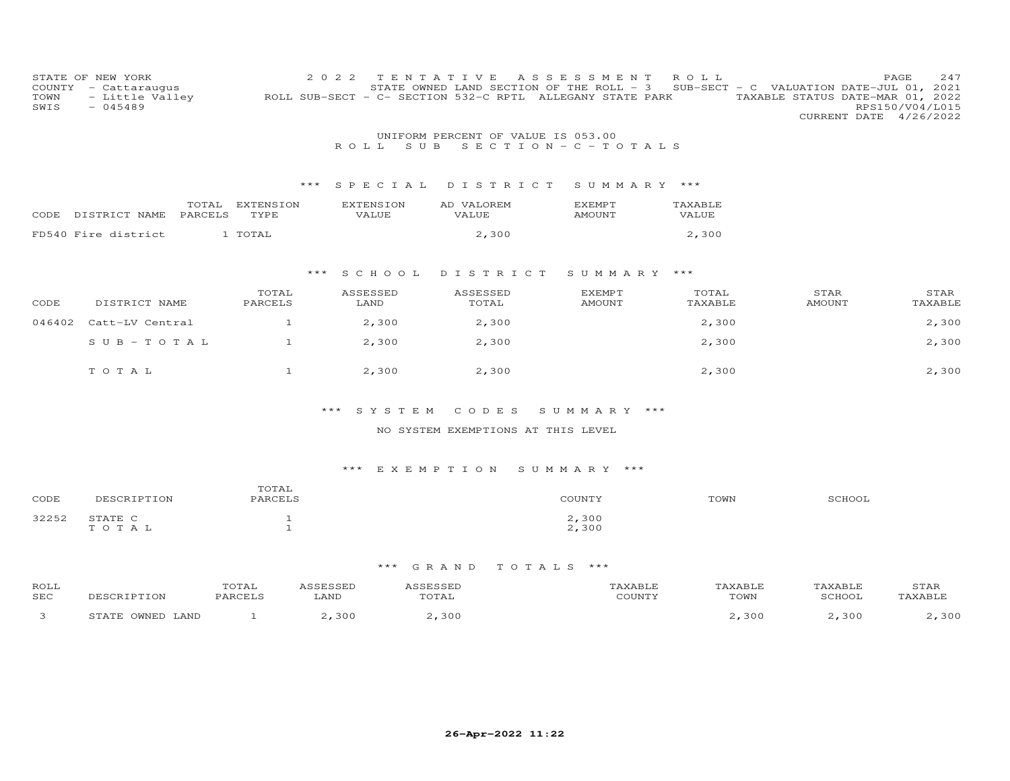| COUNTY<br>TOWN<br>SWIS | STATE OF NEW YORK<br>- Cattaraugus<br>- Little Valley<br>$-045489$ |                  | 2 0 2 2          | TENTATIVE<br>STATE OWNED LAND SECTION OF THE ROLL - 3<br>ROLL SUB-SECT - C- SECTION 532-C RPTL ALLEGANY STATE PARK | ASSESSMENT                        | R O L L          |                       | 247<br>PAGE<br>SUB-SECT - C VALUATION DATE-JUL 01, 2021<br>TAXABLE STATUS DATE-MAR 01, 2022<br>RPS150/V04/L015<br>CURRENT DATE 4/26/2022 |
|------------------------|--------------------------------------------------------------------|------------------|------------------|--------------------------------------------------------------------------------------------------------------------|-----------------------------------|------------------|-----------------------|------------------------------------------------------------------------------------------------------------------------------------------|
|                        |                                                                    |                  |                  | UNIFORM PERCENT OF VALUE IS 053.00                                                                                 |                                   |                  |                       |                                                                                                                                          |
|                        |                                                                    |                  | S U B<br>R O L L |                                                                                                                    | $S E C T I O N - C - T O T A L S$ |                  |                       |                                                                                                                                          |
|                        |                                                                    |                  |                  |                                                                                                                    |                                   |                  |                       |                                                                                                                                          |
|                        |                                                                    | ***              | SPECIAL          | DISTRICT                                                                                                           | SUMMARY ***                       |                  |                       |                                                                                                                                          |
|                        | TOTAL                                                              | <b>EXTENSION</b> | <b>EXTENSION</b> | AD VALOREM                                                                                                         | EXEMPT                            | TAXABLE          |                       |                                                                                                                                          |
| CODE                   | PARCELS<br>DISTRICT NAME                                           | TYPE             | VALUE            | VALUE                                                                                                              | AMOUNT                            | VALUE            |                       |                                                                                                                                          |
|                        | FD540 Fire district                                                | 1 TOTAL          |                  | 2,300                                                                                                              |                                   | 2,300            |                       |                                                                                                                                          |
|                        |                                                                    |                  |                  |                                                                                                                    |                                   |                  |                       |                                                                                                                                          |
|                        |                                                                    | ***              | S C H O O L      | DISTRICT                                                                                                           | SUMMARY ***                       |                  |                       |                                                                                                                                          |
|                        |                                                                    |                  |                  |                                                                                                                    |                                   |                  |                       |                                                                                                                                          |
| CODE                   | DISTRICT NAME                                                      | TOTAL<br>PARCELS | ASSESSED<br>LAND | ASSESSED<br>TOTAL                                                                                                  | EXEMPT<br><b>AMOUNT</b>           | TOTAL<br>TAXABLE | STAR<br><b>AMOUNT</b> | STAR<br>TAXABLE                                                                                                                          |
| 046402                 |                                                                    |                  |                  |                                                                                                                    |                                   |                  |                       |                                                                                                                                          |
|                        | Catt-LV Central                                                    | $\mathbf{1}$     | 2,300            | 2,300                                                                                                              |                                   | 2,300            |                       | 2,300                                                                                                                                    |
|                        | $SUB - TO TAL$                                                     | $\mathbf{1}$     | 2,300            | 2,300                                                                                                              |                                   | 2,300            |                       | 2,300                                                                                                                                    |
|                        |                                                                    |                  |                  |                                                                                                                    |                                   |                  |                       |                                                                                                                                          |
|                        | TOTAL                                                              | $\mathbf{1}$     | 2,300            | 2,300                                                                                                              |                                   | 2,300            |                       | 2,300                                                                                                                                    |
|                        |                                                                    |                  |                  |                                                                                                                    |                                   |                  |                       |                                                                                                                                          |
|                        |                                                                    |                  |                  |                                                                                                                    |                                   |                  |                       |                                                                                                                                          |

### \*\*\* S Y S T E M C O D E S S U M M A R Y \*\*\*

#### NO SYSTEM EXEMPTIONS AT THIS LEVEL

### \*\*\* E X E M P T I O N S U M M A R Y \*\*\*

| CODE  | DESCRIPTION          | TOTAL<br>PARCELS | COUNTY         | TOWN | SCHOOL |
|-------|----------------------|------------------|----------------|------|--------|
| 32252 | STATE C<br>T O T A T |                  | 2,300<br>2,300 |      |        |

| ROLL<br>SEC | DESCRIPTION         | TOTAL<br>PARCELS | \SSESSED<br>LAND | SSESSED<br>TOTAL | 'AXABLE<br>COUNTY | TAXABLE<br>TOWN | TAXABLE<br>SCHOOL | STAR<br>TAXABLE |
|-------------|---------------------|------------------|------------------|------------------|-------------------|-----------------|-------------------|-----------------|
|             | OWNED LAND<br>STATE |                  | $-1,300$         | 2.300            |                   | 2,300           | 2,300             | 300             |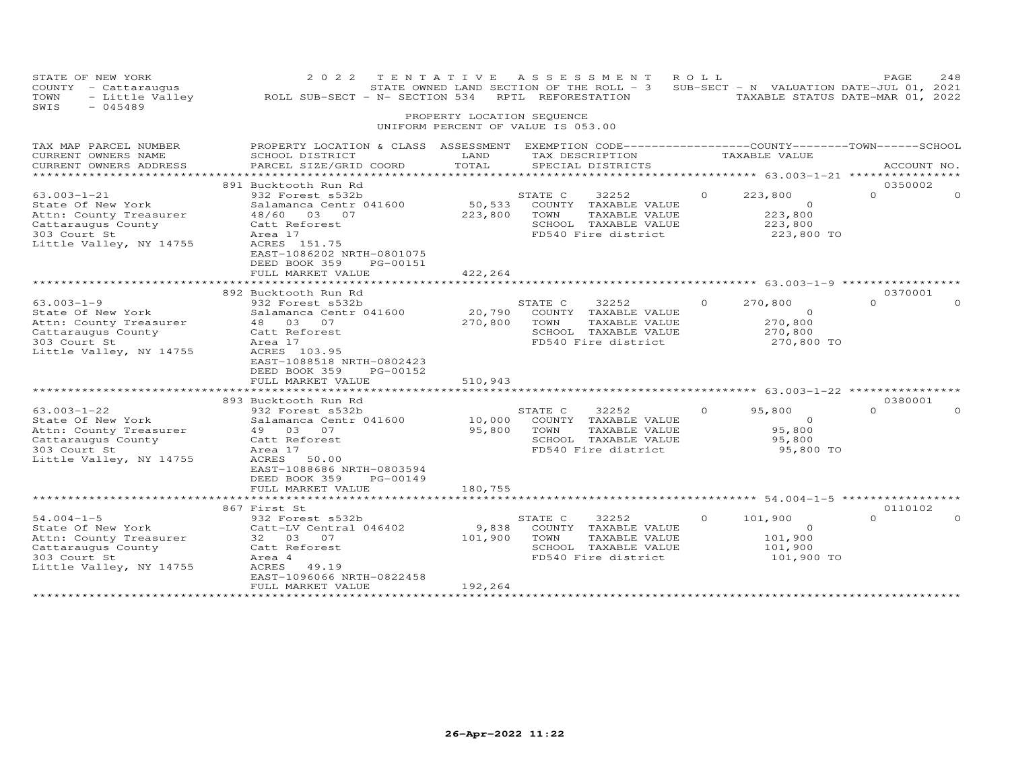| STATE OF NEW YORK<br>COUNTY - Cattaraugus<br>- Little Valley<br>TOWN<br>SWIS<br>$-045489$                                         | 2022 TENTATIVE ASSESSMENT<br>ROLL SUB-SECT - N- SECTION 534                                                                                                                             | PROPERTY LOCATION SEQUENCE         | RPTL REFORESTATION | STATE OWNED LAND SECTION OF THE ROLL - 3                                                      | ROLL     | SUB-SECT - N VALUATION DATE-JUL 01, 2021<br>TAXABLE STATUS DATE-MAR 01, 2022 | PAGE                | 248         |
|-----------------------------------------------------------------------------------------------------------------------------------|-----------------------------------------------------------------------------------------------------------------------------------------------------------------------------------------|------------------------------------|--------------------|-----------------------------------------------------------------------------------------------|----------|------------------------------------------------------------------------------|---------------------|-------------|
|                                                                                                                                   |                                                                                                                                                                                         | UNIFORM PERCENT OF VALUE IS 053.00 |                    |                                                                                               |          |                                                                              |                     |             |
| TAX MAP PARCEL NUMBER<br>CURRENT OWNERS NAME<br>CURRENT OWNERS ADDRESS<br>************************                                | PROPERTY LOCATION & CLASS ASSESSMENT EXEMPTION CODE---------------COUNTY-------TOWN------SCHOOL<br>SCHOOL DISTRICT<br>PARCEL SIZE/GRID COORD                                            | LAND<br>TOTAL                      |                    | TAX DESCRIPTION<br>SPECIAL DISTRICTS                                                          |          | TAXABLE VALUE                                                                |                     | ACCOUNT NO. |
| $63.003 - 1 - 21$<br>State Of New York<br>Attn: County Treasurer<br>Cattaraugus County<br>303 Court St<br>Little Valley, NY 14755 | 891 Bucktooth Run Rd<br>932 Forest s532b<br>Salamanca Centr 041600<br>48/60 03 07<br>Catt Reforest<br>Area 17<br>ACRES 151.75<br>EAST-1086202 NRTH-0801075<br>DEED BOOK 359<br>PG-00151 | 50,533<br>223,800                  | STATE C<br>TOWN    | 32252<br>COUNTY TAXABLE VALUE<br>TAXABLE VALUE<br>SCHOOL TAXABLE VALUE<br>FD540 Fire district |          | 223,800<br>$\circ$<br>223,800<br>223,800<br>223,800 TO                       | 0350002<br>$\Omega$ |             |
|                                                                                                                                   | FULL MARKET VALUE                                                                                                                                                                       | 422,264                            |                    |                                                                                               |          |                                                                              |                     |             |
|                                                                                                                                   | 892 Bucktooth Run Rd                                                                                                                                                                    |                                    |                    |                                                                                               |          |                                                                              | 0370001             |             |
| $63.003 - 1 - 9$<br>State Of New York<br>Attn: County Treasurer<br>Cattaraugus County<br>303 Court St<br>Little Valley, NY 14755  | 932 Forest s532b<br>Salamanca Centr 041600<br>48  03  07<br>Catt Reforest<br>Area 17<br>ACRES 103.95<br>EAST-1088518 NRTH-0802423                                                       | 20,790<br>270,800                  | STATE C<br>TOWN    | 32252<br>COUNTY TAXABLE VALUE<br>TAXABLE VALUE<br>SCHOOL TAXABLE VALUE<br>FD540 Fire district | $\Omega$ | 270,800<br>$\circ$<br>270,800<br>270,800<br>270,800 TO                       | $\Omega$            |             |
|                                                                                                                                   | DEED BOOK 359<br>PG-00152<br>FULL MARKET VALUE                                                                                                                                          | 510,943                            |                    |                                                                                               |          |                                                                              |                     |             |
|                                                                                                                                   | ***********************                                                                                                                                                                 |                                    |                    |                                                                                               |          |                                                                              |                     |             |
| $63.003 - 1 - 22$<br>State Of New York<br>Attn: County Treasurer<br>Cattaraugus County<br>303 Court St                            | 893 Bucktooth Run Rd<br>932 Forest s532b<br>Salamanca Centr 041600<br>49 03<br>07<br>Catt Reforest<br>Area 17                                                                           | 10,000<br>95,800                   | STATE C<br>TOWN    | 32252<br>COUNTY TAXABLE VALUE<br>TAXABLE VALUE<br>SCHOOL TAXABLE VALUE<br>FD540 Fire district | $\Omega$ | 95,800<br>$\Omega$<br>95,800<br>95,800<br>95,800 TO                          | 0380001<br>$\Omega$ |             |
| Little Valley, NY 14755                                                                                                           | ACRES<br>50.00<br>EAST-1088686 NRTH-0803594<br>DEED BOOK 359<br>PG-00149<br>FULL MARKET VALUE                                                                                           | 180,755                            |                    |                                                                                               |          |                                                                              |                     |             |
|                                                                                                                                   | **************************                                                                                                                                                              |                                    |                    |                                                                                               |          |                                                                              |                     |             |
|                                                                                                                                   | 867 First St                                                                                                                                                                            |                                    |                    |                                                                                               |          |                                                                              | 0110102             |             |
| $54.004 - 1 - 5$<br>State Of New York<br>Attn: County Treasurer<br>Cattaraugus County<br>303 Court St<br>Little Valley, NY 14755  | 932 Forest s532b<br>Catt-LV Central 046402<br>32 03 07<br>Catt Reforest<br>Area 4<br>ACRES<br>49.19<br>EAST-1096066 NRTH-0822458                                                        | 9,838<br>101,900                   | STATE C<br>TOWN    | 32252<br>COUNTY TAXABLE VALUE<br>TAXABLE VALUE<br>SCHOOL TAXABLE VALUE<br>FD540 Fire district | $\Omega$ | 101,900<br>$\Omega$<br>101,900<br>101,900<br>101,900 TO                      | $\Omega$            |             |
| *********************                                                                                                             | FULL MARKET VALUE<br>**********************                                                                                                                                             | 192,264<br>***************         |                    |                                                                                               |          |                                                                              |                     |             |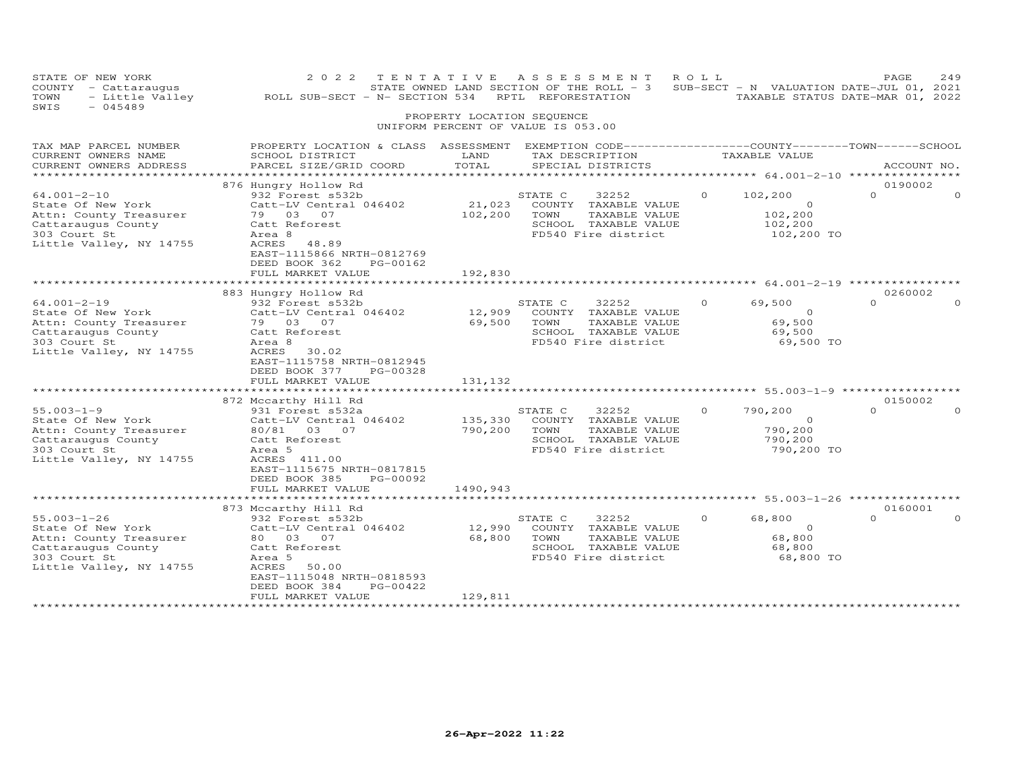| STATE OF NEW YORK<br>COUNTY - Cattaraugus<br>- Little Valley<br>TOWN<br>SWIS<br>$-045489$                                         | 2 0 2 2<br>ROLL SUB-SECT - N- SECTION 534 RPTL REFORESTATION                                                                                                                                                | PROPERTY LOCATION SEQUENCE     | TENTATIVE ASSESSMENT<br>STATE OWNED LAND SECTION OF THE ROLL - 3 SUB-SECT - N VALUATION DATE-JUL 01, 2021<br>UNIFORM PERCENT OF VALUE IS 053.00 | ROLL     | TAXABLE STATUS DATE-MAR 01, 2022                        | PAGE                | 249      |
|-----------------------------------------------------------------------------------------------------------------------------------|-------------------------------------------------------------------------------------------------------------------------------------------------------------------------------------------------------------|--------------------------------|-------------------------------------------------------------------------------------------------------------------------------------------------|----------|---------------------------------------------------------|---------------------|----------|
|                                                                                                                                   |                                                                                                                                                                                                             |                                |                                                                                                                                                 |          |                                                         |                     |          |
| TAX MAP PARCEL NUMBER<br>CURRENT OWNERS NAME<br>CURRENT OWNERS ADDRESS                                                            | PROPERTY LOCATION & CLASS ASSESSMENT EXEMPTION CODE----------------COUNTY-------TOWN-----SCHOOL<br>SCHOOL DISTRICT<br>PARCEL SIZE/GRID COORD                                                                | LAND<br>TOTAL                  | TAX DESCRIPTION<br>SPECIAL DISTRICTS                                                                                                            |          | TAXABLE VALUE                                           | ACCOUNT NO.         |          |
| ***********************                                                                                                           |                                                                                                                                                                                                             |                                |                                                                                                                                                 |          |                                                         |                     |          |
| $64.001 - 2 - 10$<br>State Of New York<br>Attn: County Treasurer<br>Cattaraugus County<br>303 Court St<br>Little Valley, NY 14755 | 876 Hungry Hollow Rd<br>932 Forest s532b<br>Catt-LV Central 046402<br>79 03 07<br>Catt Reforest<br>Area 8<br>ACRES<br>48.89<br>EAST-1115866 NRTH-0812769                                                    | 21,023<br>102,200              | STATE C<br>32252<br>COUNTY TAXABLE VALUE<br>TOWN<br>TAXABLE VALUE<br>SCHOOL TAXABLE VALUE<br>FD540 Fire district                                | $\Omega$ | 102,200<br>$\circ$<br>102,200<br>102,200<br>102,200 TO  | 0190002<br>$\Omega$ | $\Omega$ |
|                                                                                                                                   | DEED BOOK 362<br>PG-00162<br>FULL MARKET VALUE                                                                                                                                                              | 192,830                        |                                                                                                                                                 |          |                                                         |                     |          |
|                                                                                                                                   | 883 Hungry Hollow Rd                                                                                                                                                                                        |                                |                                                                                                                                                 |          |                                                         | 0260002             |          |
| $64.001 - 2 - 19$<br>State Of New York<br>Attn: County Treasurer<br>Cattaraugus County<br>303 Court St<br>Little Valley, NY 14755 | 932 Forest s532b<br>Catt-LV Central 046402<br>79 03 07<br>Catt Reforest<br>Area 8<br><b>ACRES</b><br>30.02<br>EAST-1115758 NRTH-0812945<br>DEED BOOK 377<br>PG-00328<br>FULL MARKET VALUE                   | 12,909<br>69,500<br>131,132    | STATE C<br>32252<br>COUNTY TAXABLE VALUE<br>TAXABLE VALUE<br>TOWN<br>SCHOOL TAXABLE VALUE<br>FD540 Fire district                                | $\Omega$ | 69,500<br>$\circ$<br>69,500<br>69,500<br>69,500 TO      | $\cap$              | $\Omega$ |
| $55.003 - 1 - 9$<br>State Of New York<br>Attn: County Treasurer<br>Cattaraugus County<br>303 Court St<br>Little Valley, NY 14755  | 872 Mccarthy Hill Rd<br>931 Forest s532a<br>Catt-LV Central 046402<br>80/81 03 07<br>Catt Reforest<br>Area 5<br>ACRES 411.00<br>EAST-1115675 NRTH-0817815<br>PG-00092<br>DEED BOOK 385<br>FULL MARKET VALUE | 135,330<br>790,200<br>1490,943 | STATE C<br>32252<br>COUNTY TAXABLE VALUE<br>TOWN<br>TAXABLE VALUE<br>SCHOOL TAXABLE VALUE<br>FD540 Fire district                                | $\Omega$ | 790,200<br>$\Omega$<br>790,200<br>790,200<br>790,200 TO | 0150002<br>$\Omega$ | $\Omega$ |
|                                                                                                                                   |                                                                                                                                                                                                             |                                |                                                                                                                                                 |          |                                                         |                     |          |
| $55.003 - 1 - 26$<br>State Of New York<br>Attn: County Treasurer<br>Cattaraugus County<br>303 Court St<br>Little Valley, NY 14755 | 873 Mccarthy Hill Rd<br>932 Forest s532b<br>Catt-LV Central 046402<br>80  03  07<br>Catt Reforest<br>Area 5<br>ACRES<br>50.00<br>EAST-1115048 NRTH-0818593<br>DEED BOOK 384<br>PG-00422                     | 12,990<br>68,800               | STATE C<br>32252<br>COUNTY TAXABLE VALUE<br>TOWN<br>TAXABLE VALUE<br>SCHOOL TAXABLE VALUE<br>FD540 Fire district                                | $\Omega$ | 68,800<br>$\circ$<br>68,800<br>68,800<br>68,800 TO      | 0160001<br>$\Omega$ | $\Omega$ |
| ************************                                                                                                          | FULL MARKET VALUE                                                                                                                                                                                           | 129,811<br>*****************   |                                                                                                                                                 |          |                                                         |                     |          |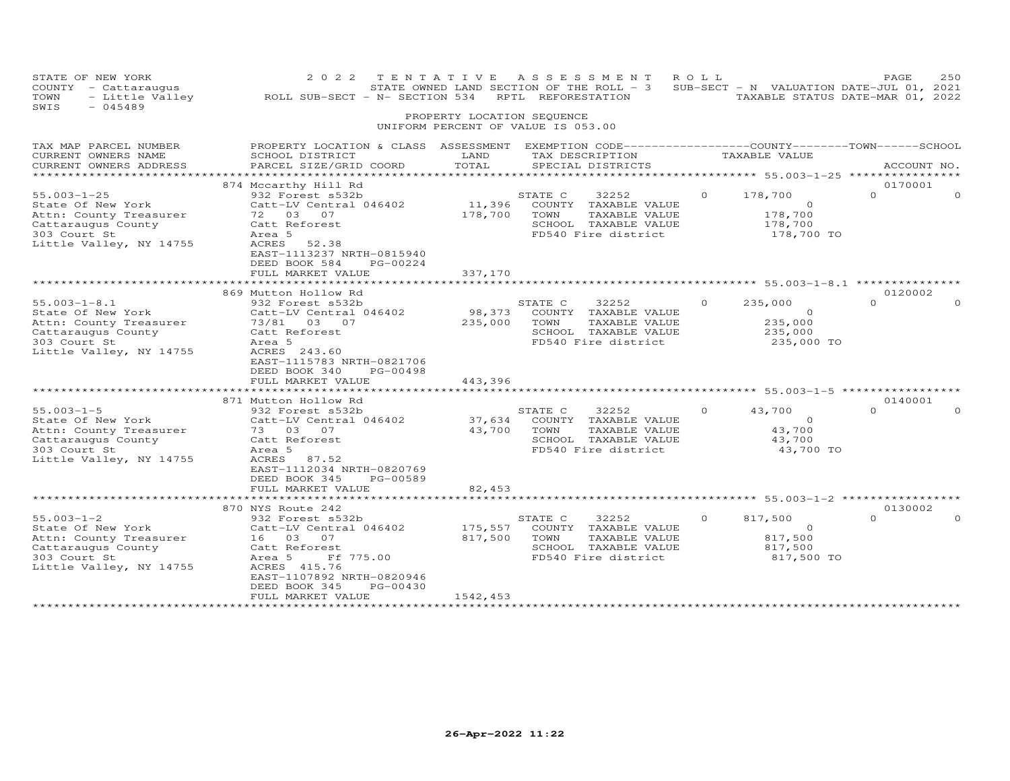| STATE OF NEW YORK<br>COUNTY - Cattaraugus<br>- Little Valley<br>TOWN<br>SWIS<br>$-045489$                                                                                                             | 2 0 2 2<br>ROLL SUB-SECT - N- SECTION 534 RPTL REFORESTATION                                                                                                                                                                                                          | PROPERTY LOCATION SEQUENCE                       | TENTATIVE ASSESSMENT<br>STATE OWNED LAND SECTION OF THE ROLL - 3 SUB-SECT - N VALUATION DATE-JUL 01, 2021<br>UNIFORM PERCENT OF VALUE IS 053.00                                       | R O L L             | TAXABLE STATUS DATE-MAR 01, 2022                                                       | PAGE                            | 250                  |
|-------------------------------------------------------------------------------------------------------------------------------------------------------------------------------------------------------|-----------------------------------------------------------------------------------------------------------------------------------------------------------------------------------------------------------------------------------------------------------------------|--------------------------------------------------|---------------------------------------------------------------------------------------------------------------------------------------------------------------------------------------|---------------------|----------------------------------------------------------------------------------------|---------------------------------|----------------------|
| TAX MAP PARCEL NUMBER<br>CURRENT OWNERS NAME<br>CURRENT OWNERS ADDRESS                                                                                                                                | PROPERTY LOCATION & CLASS ASSESSMENT EXEMPTION CODE----------------COUNTY-------TOWN-----SCHOOL<br>SCHOOL DISTRICT<br>PARCEL SIZE/GRID COORD                                                                                                                          | LAND<br>TOTAL                                    | TAX DESCRIPTION<br>SPECIAL DISTRICTS                                                                                                                                                  |                     | TAXABLE VALUE                                                                          | ACCOUNT NO.                     |                      |
| ***********************                                                                                                                                                                               |                                                                                                                                                                                                                                                                       |                                                  |                                                                                                                                                                                       |                     |                                                                                        |                                 |                      |
| $55.003 - 1 - 25$<br>State Of New York<br>Attn: County Treasurer<br>Cattaraugus County<br>303 Court St<br>Little Valley, NY 14755                                                                     | 874 Mccarthy Hill Rd<br>932 Forest s532b<br>Catt-LV Central 046402<br>72 03 07<br>Catt Reforest<br>Area 5<br>ACRES<br>52.38<br>EAST-1113237 NRTH-0815940                                                                                                              | 11,396<br>178,700                                | STATE C<br>32252<br>COUNTY TAXABLE VALUE<br>TOWN<br>TAXABLE VALUE<br>SCHOOL TAXABLE VALUE<br>FD540 Fire district                                                                      | $\Omega$            | 178,700<br>$\circ$<br>178,700<br>178,700<br>178,700 TO                                 | 0170001<br>$\Omega$             | $\Omega$             |
|                                                                                                                                                                                                       | DEED BOOK 584<br>PG-00224<br>FULL MARKET VALUE                                                                                                                                                                                                                        | 337,170                                          |                                                                                                                                                                                       |                     |                                                                                        |                                 |                      |
|                                                                                                                                                                                                       | 869 Mutton Hollow Rd                                                                                                                                                                                                                                                  |                                                  |                                                                                                                                                                                       |                     |                                                                                        | 0120002                         |                      |
| $55.003 - 1 - 8.1$<br>State Of New York<br>Attn: County Treasurer<br>Cattaraugus County<br>303 Court St<br>Little Valley, NY 14755<br>$55.003 - 1 - 5$<br>State Of New York<br>Attn: County Treasurer | 932 Forest s532b<br>Catt-LV Central 046402<br>73/81 03 07<br>Catt Reforest<br>Area 5<br>ACRES 243.60<br>EAST-1115783 NRTH-0821706<br>PG-00498<br>DEED BOOK 340<br>FULL MARKET VALUE<br>871 Mutton Hollow Rd<br>932 Forest s532b<br>Catt-LV Central 046402<br>73 03 07 | 98,373<br>235,000<br>443,396<br>37,634<br>43,700 | 32252<br>STATE C<br>COUNTY TAXABLE VALUE<br>TAXABLE VALUE<br>TOWN<br>SCHOOL TAXABLE VALUE<br>FD540 Fire district<br>STATE C<br>32252<br>COUNTY TAXABLE VALUE<br>TOWN<br>TAXABLE VALUE | $\Omega$<br>$\circ$ | 235,000<br>$\circ$<br>235,000<br>235,000<br>235,000 TO<br>43,700<br>$\Omega$<br>43,700 | $\Omega$<br>0140001<br>$\Omega$ | $\Omega$<br>$\Omega$ |
| Cattaraugus County<br>303 Court St<br>Little Valley, NY 14755                                                                                                                                         | Catt Reforest<br>Area 5<br>ACRES 87.52<br>EAST-1112034 NRTH-0820769<br>DEED BOOK 345<br>PG-00589<br>FULL MARKET VALUE                                                                                                                                                 | 82,453                                           | SCHOOL TAXABLE VALUE<br>FD540 Fire district                                                                                                                                           |                     | 43,700<br>43,700 TO                                                                    |                                 |                      |
|                                                                                                                                                                                                       |                                                                                                                                                                                                                                                                       |                                                  |                                                                                                                                                                                       |                     |                                                                                        | 0130002                         |                      |
| $55.003 - 1 - 2$<br>State Of New York<br>Attn: County Treasurer<br>Cattaraugus County<br>303 Court St<br>Little Valley, NY 14755                                                                      | 870 NYS Route 242<br>932 Forest s532b<br>Catt-LV Central 046402<br>16 03 07<br>Catt Reforest<br>Area 5<br>Ff 775.00<br>ACRES 415.76<br>EAST-1107892 NRTH-0820946<br>DEED BOOK 345<br>PG-00430                                                                         | 175,557<br>817,500                               | STATE C<br>32252<br>COUNTY TAXABLE VALUE<br>TAXABLE VALUE<br>TOWN<br>SCHOOL TAXABLE VALUE<br>FD540 Fire district                                                                      | $\Omega$            | 817,500<br>$\circ$<br>817,500<br>817,500<br>817,500 TO                                 | $\Omega$                        | $\Omega$             |
| ************************                                                                                                                                                                              | FULL MARKET VALUE<br>************************                                                                                                                                                                                                                         | 1542,453<br>*****************                    |                                                                                                                                                                                       |                     |                                                                                        |                                 |                      |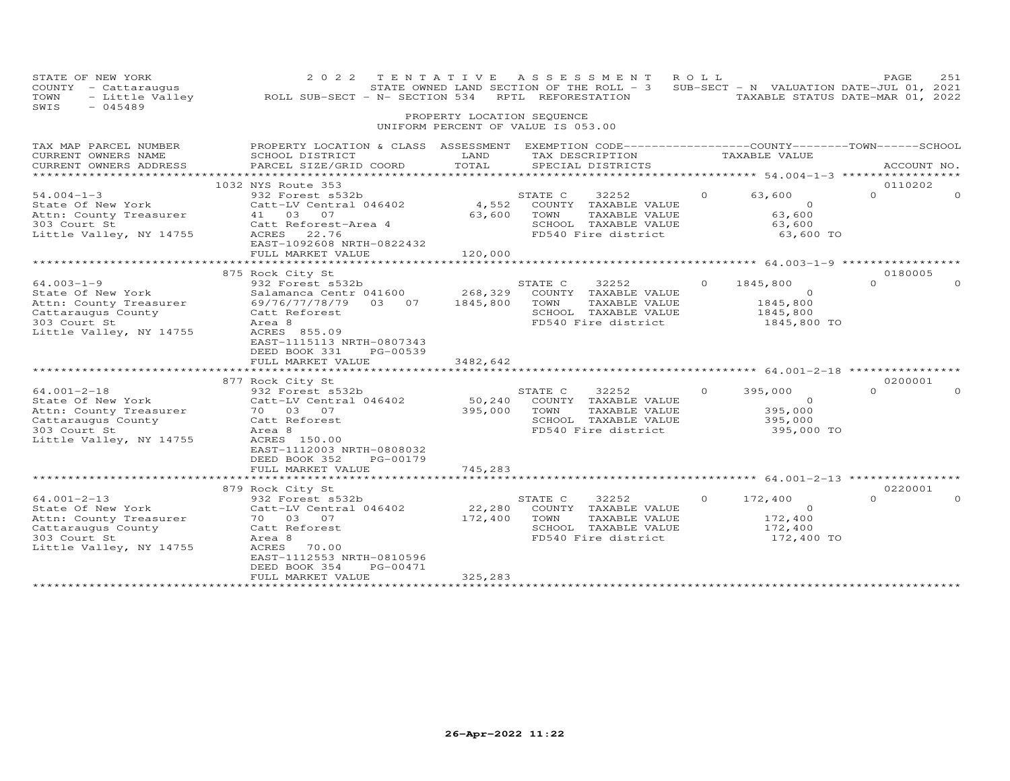| STATE OF NEW YORK<br>COUNTY - Cattaraugus<br>- Little Valley<br>TOWN<br>SWIS<br>$-045489$                                                                                                                                                                             | 2 0 2 2<br>ROLL SUB-SECT - N- SECTION 534                                                                                                                                                                                                                                                                                                                                                           | TENTATIVE ASSESSMENT                                             |                                    | RPTL REFORESTATION                                                                                                                                                                             | ROLL     | STATE OWNED LAND SECTION OF THE ROLL - 3 SUB-SECT - N VALUATION DATE-JUL 01, 2021<br>TAXABLE STATUS DATE-MAR 01, 2022 | PAGE                                       | 251         |
|-----------------------------------------------------------------------------------------------------------------------------------------------------------------------------------------------------------------------------------------------------------------------|-----------------------------------------------------------------------------------------------------------------------------------------------------------------------------------------------------------------------------------------------------------------------------------------------------------------------------------------------------------------------------------------------------|------------------------------------------------------------------|------------------------------------|------------------------------------------------------------------------------------------------------------------------------------------------------------------------------------------------|----------|-----------------------------------------------------------------------------------------------------------------------|--------------------------------------------|-------------|
|                                                                                                                                                                                                                                                                       |                                                                                                                                                                                                                                                                                                                                                                                                     | PROPERTY LOCATION SEQUENCE<br>UNIFORM PERCENT OF VALUE IS 053.00 |                                    |                                                                                                                                                                                                |          |                                                                                                                       |                                            |             |
| TAX MAP PARCEL NUMBER<br>CURRENT OWNERS NAME<br>CURRENT OWNERS ADDRESS                                                                                                                                                                                                | PROPERTY LOCATION & CLASS ASSESSMENT EXEMPTION CODE---------------COUNTY-------TOWN------SCHOOL<br>SCHOOL DISTRICT<br>PARCEL SIZE/GRID COORD                                                                                                                                                                                                                                                        | LAND<br>TOTAL                                                    |                                    | TAX DESCRIPTION<br>SPECIAL DISTRICTS                                                                                                                                                           |          | TAXABLE VALUE                                                                                                         |                                            | ACCOUNT NO. |
| $54.004 - 1 - 3$<br>State Of New York<br>Attn: County Treasurer<br>303 Court St<br>Little Valley, NY 14755                                                                                                                                                            | 1032 NYS Route 353<br>932 Forest s532b<br>Catt-LV Central 046402<br>41 03 07<br>Catt Reforest-Area 4<br>ACRES 22.76<br>EAST-1092608 NRTH-0822432<br>FULL MARKET VALUE                                                                                                                                                                                                                               | 4,552<br>63,600<br>120,000                                       | STATE C<br>TOWN                    | 32252<br>COUNTY TAXABLE VALUE<br>TAXABLE VALUE<br>SCHOOL TAXABLE VALUE<br>FD540 Fire district                                                                                                  | $\Omega$ | 63,600<br>$\circ$<br>63,600<br>63,600<br>63,600 TO                                                                    | 0110202<br>$\Omega$                        | $\Omega$    |
|                                                                                                                                                                                                                                                                       |                                                                                                                                                                                                                                                                                                                                                                                                     |                                                                  |                                    |                                                                                                                                                                                                |          |                                                                                                                       |                                            |             |
| $64.003 - 1 - 9$<br>State Of New York<br>Attn: County Treasurer<br>Cattaraugus County<br>303 Court St<br>Little Valley, NY 14755<br>$64.001 - 2 - 18$<br>State Of New York<br>Attn: County Treasurer<br>Cattaraugus County<br>303 Court St<br>Little Valley, NY 14755 | 875 Rock City St<br>932 Forest s532b<br>Salamanca Centr 041600<br>69/76/77/78/79 03 07<br>Catt Reforest<br>Area 8<br>ACRES 855.09<br>EAST-1115113 NRTH-0807343<br>DEED BOOK 331<br>PG-00539<br>FULL MARKET VALUE<br>877 Rock City St<br>932 Forest s532b<br>Catt-LV Central 046402<br>70 03 07<br>Catt Reforest<br>Area 8<br>ACRES 150.00<br>EAST-1112003 NRTH-0808032<br>DEED BOOK 352<br>PG-00179 | 268,329<br>1845,800<br>3482,642<br>50,240<br>395,000             | STATE C<br>TOWN<br>STATE C<br>TOWN | 32252<br>COUNTY TAXABLE VALUE<br>TAXABLE VALUE<br>SCHOOL TAXABLE VALUE<br>FD540 Fire district<br>32252<br>COUNTY TAXABLE VALUE<br>TAXABLE VALUE<br>SCHOOL TAXABLE VALUE<br>FD540 Fire district | $\Omega$ | 1845,800<br>$\Omega$<br>1845,800<br>1845,800<br>1845,800 TO<br>395,000<br>$\circ$<br>395,000<br>395,000<br>395,000 TO | 0180005<br>$\Omega$<br>0200001<br>$\Omega$ | $\Omega$    |
|                                                                                                                                                                                                                                                                       | FULL MARKET VALUE<br>************************                                                                                                                                                                                                                                                                                                                                                       | 745,283<br>*************                                         |                                    |                                                                                                                                                                                                |          |                                                                                                                       |                                            |             |
|                                                                                                                                                                                                                                                                       | 879 Rock City St                                                                                                                                                                                                                                                                                                                                                                                    |                                                                  |                                    |                                                                                                                                                                                                |          |                                                                                                                       | 0220001                                    |             |
| $64.001 - 2 - 13$<br>State Of New York<br>Attn: County Treasurer<br>Cattaraugus County<br>303 Court St<br>Little Valley, NY 14755                                                                                                                                     | 932 Forest s532b<br>Catt-LV Central 046402<br>70  03  07<br>Catt Reforest<br>Area 8<br>ACRES<br>70.00<br>EAST-1112553 NRTH-0810596<br>DEED BOOK 354<br>PG-00471<br>FULL MARKET VALUE                                                                                                                                                                                                                | 22,280<br>172,400<br>325,283                                     | STATE C<br>TOWN                    | 32252<br>COUNTY TAXABLE VALUE<br>TAXABLE VALUE<br>SCHOOL TAXABLE VALUE<br>FD540 Fire district                                                                                                  | $\Omega$ | 172,400<br>$\Omega$<br>172,400<br>172,400<br>172,400 TO                                                               | $\cap$                                     |             |
|                                                                                                                                                                                                                                                                       |                                                                                                                                                                                                                                                                                                                                                                                                     |                                                                  |                                    |                                                                                                                                                                                                |          |                                                                                                                       |                                            |             |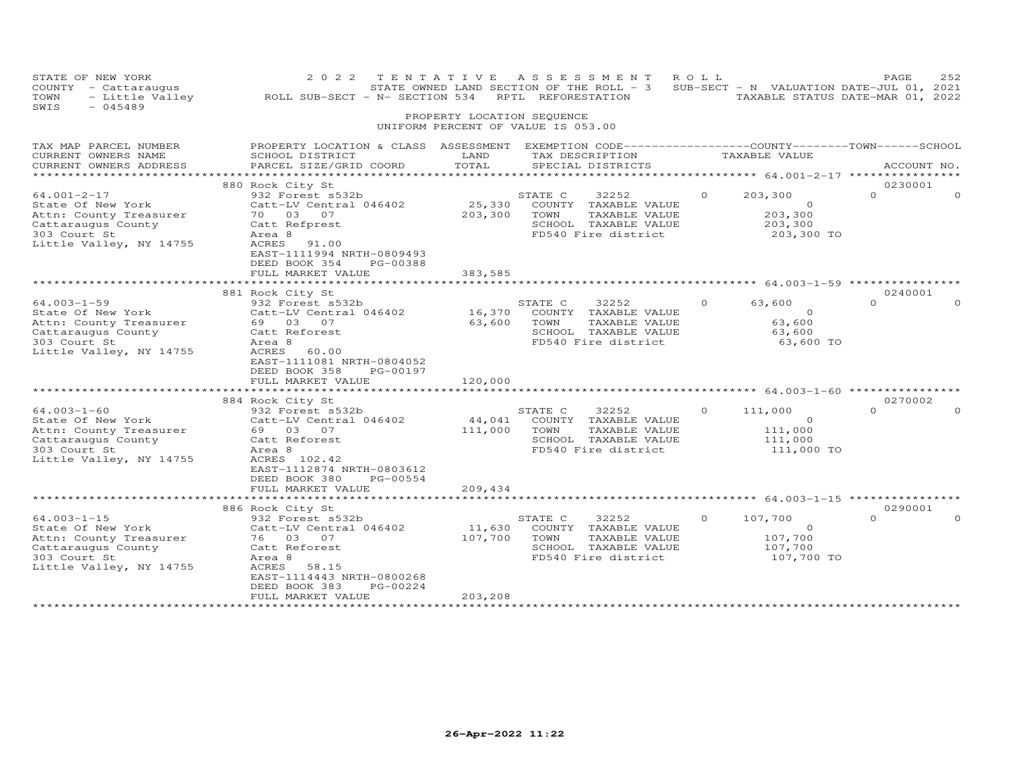| STATE OF NEW YORK<br>COUNTY - Cattaraugus<br>TOWN<br>- Little Valley<br>SWIS<br>$-045489$                                         | ROLL SUB-SECT - N- SECTION 534 RPTL REFORESTATION                                                                                                                                  | PROPERTY LOCATION SEQUENCE    | 2022 TENTATIVE ASSESSMENT<br>STATE OWNED LAND SECTION OF THE ROLL - 3 SUB-SECT - N VALUATION DATE-JUL 01, 2021<br>UNIFORM PERCENT OF VALUE IS 053.00 | R O L L  | TAXABLE STATUS DATE-MAR 01, 2022                        | PAGE                | 252      |
|-----------------------------------------------------------------------------------------------------------------------------------|------------------------------------------------------------------------------------------------------------------------------------------------------------------------------------|-------------------------------|------------------------------------------------------------------------------------------------------------------------------------------------------|----------|---------------------------------------------------------|---------------------|----------|
|                                                                                                                                   |                                                                                                                                                                                    |                               |                                                                                                                                                      |          |                                                         |                     |          |
| TAX MAP PARCEL NUMBER<br>CURRENT OWNERS NAME<br>CURRENT OWNERS ADDRESS<br>***********************                                 | PROPERTY LOCATION & CLASS ASSESSMENT EXEMPTION CODE----------------COUNTY-------TOWN-----SCHOOL<br>SCHOOL DISTRICT<br>PARCEL SIZE/GRID COORD                                       | LAND<br>TOTAL                 | TAX DESCRIPTION<br>SPECIAL DISTRICTS                                                                                                                 |          | TAXABLE VALUE                                           | ACCOUNT NO.         |          |
|                                                                                                                                   | 880 Rock City St                                                                                                                                                                   |                               |                                                                                                                                                      |          |                                                         | 0230001             |          |
| $64.001 - 2 - 17$<br>State Of New York<br>Attn: County Treasurer<br>Cattaraugus County<br>303 Court St<br>Little Valley, NY 14755 | 932 Forest s532b<br>Catt-LV Central 046402<br>70 03 07<br>Catt Refprest<br>Area 8<br>ACRES<br>91.00<br>EAST-1111994 NRTH-0809493<br>DEED BOOK 354<br>PG-00388                      | 25,330<br>203,300             | STATE C<br>32252<br>COUNTY TAXABLE VALUE<br>TOWN<br>TAXABLE VALUE<br>SCHOOL TAXABLE VALUE<br>FD540 Fire district                                     | $\Omega$ | 203,300<br>$\circ$<br>203,300<br>203,300<br>203,300 TO  | $\Omega$            | $\Omega$ |
|                                                                                                                                   | FULL MARKET VALUE                                                                                                                                                                  | 383,585                       |                                                                                                                                                      |          |                                                         |                     |          |
|                                                                                                                                   | 881 Rock City St                                                                                                                                                                   |                               |                                                                                                                                                      |          |                                                         | 0240001             |          |
| $64.003 - 1 - 59$<br>State Of New York<br>Attn: County Treasurer<br>Cattaraugus County<br>303 Court St<br>Little Valley, NY 14755 | 932 Forest s532b<br>Catt-LV Central 046402<br>69 03 07<br>Catt Reforest<br>Area 8<br>ACRES<br>60.00<br>EAST-1111081 NRTH-0804052<br>DEED BOOK 358<br>PG-00197<br>FULL MARKET VALUE | 63,600<br>120,000             | STATE C<br>32252<br>16,370 COUNTY TAXABLE VALUE<br>TOWN<br>TAXABLE VALUE<br>SCHOOL TAXABLE VALUE<br>FD540 Fire district                              | $\Omega$ | 63,600<br>$\circ$<br>63,600<br>63,600<br>63,600 TO      | $\Omega$            | $\Omega$ |
|                                                                                                                                   |                                                                                                                                                                                    |                               |                                                                                                                                                      |          |                                                         |                     |          |
| $64.003 - 1 - 60$<br>State Of New York<br>Attn: County Treasurer<br>Cattaraugus County<br>303 Court St<br>Little Valley, NY 14755 | 884 Rock City St<br>932 Forest s532b<br>Catt-LV Central 046402<br>69 03 07<br>Catt Reforest<br>Area 8<br>ACRES 102.42<br>EAST-1112874 NRTH-0803612<br>DEED BOOK 380<br>PG-00554    | 44,041<br>111,000             | 32252<br>STATE C<br>COUNTY TAXABLE VALUE<br>TOWN<br>TAXABLE VALUE<br>SCHOOL TAXABLE VALUE<br>FD540 Fire district                                     | $\Omega$ | 111,000<br>$\Omega$<br>111,000<br>111,000<br>111,000 TO | 0270002<br>$\Omega$ | $\Omega$ |
|                                                                                                                                   | FULL MARKET VALUE                                                                                                                                                                  | 209,434                       |                                                                                                                                                      |          |                                                         |                     |          |
|                                                                                                                                   |                                                                                                                                                                                    |                               |                                                                                                                                                      |          |                                                         |                     |          |
| $64.003 - 1 - 15$                                                                                                                 | 886 Rock City St<br>932 Forest s532b                                                                                                                                               |                               | STATE C<br>32252                                                                                                                                     | $\circ$  | 107,700                                                 | 0290001<br>$\Omega$ | $\Omega$ |
| State Of New York<br>Attn: County Treasurer<br>Cattaraugus County<br>303 Court St<br>Little Valley, NY 14755                      | Catt-LV Central 046402<br>76 03 07<br>Catt Reforest<br>Area 8<br>ACRES<br>58.15<br>EAST-1114443 NRTH-0800268<br>DEED BOOK 383<br>PG-00224                                          | 11,630<br>107,700             | COUNTY TAXABLE VALUE<br>TOWN<br>TAXABLE VALUE<br>SCHOOL TAXABLE VALUE<br>FD540 Fire district                                                         |          | $\circ$<br>107,700<br>107,700<br>107,700 TO             |                     |          |
| *************************                                                                                                         | FULL MARKET VALUE<br>************************                                                                                                                                      | 203,208<br>****************** |                                                                                                                                                      |          |                                                         |                     |          |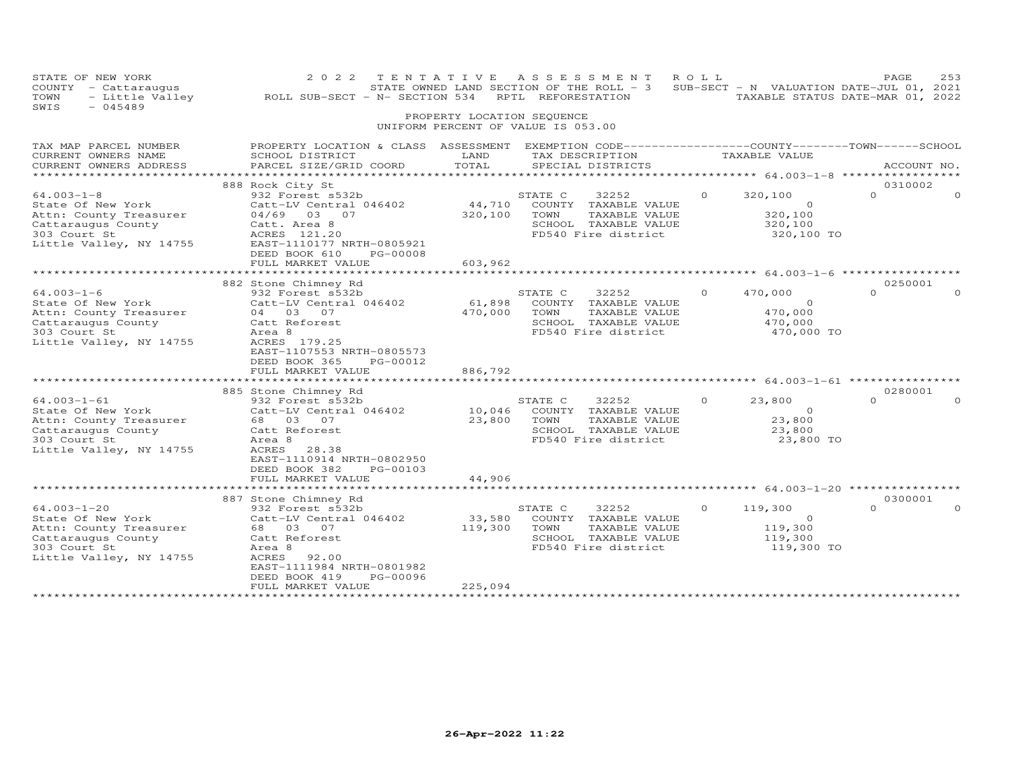| STATE OF NEW YORK<br>COUNTY - Cattaraugus<br>TOWN<br>- Little Valley<br>SWIS<br>$-045489$                                                                                                                                  | 2 0 2 2<br>ROLL SUB-SECT - N- SECTION 534                                                                                                                                                                                                                                           | PROPERTY LOCATION SEQUENCE                       | TENTATIVE ASSESSMENT<br>STATE OWNED LAND SECTION OF THE ROLL $-$ 3 SUB-SECT - N VALUATION DATE-JUL 01, 2021<br>RPTL REFORESTATION<br>UNIFORM PERCENT OF VALUE IS 053.00                                       | ROLL     | TAXABLE STATUS DATE-MAR 01, 2022                                                                                                   | PAGE                            | 253 |
|----------------------------------------------------------------------------------------------------------------------------------------------------------------------------------------------------------------------------|-------------------------------------------------------------------------------------------------------------------------------------------------------------------------------------------------------------------------------------------------------------------------------------|--------------------------------------------------|---------------------------------------------------------------------------------------------------------------------------------------------------------------------------------------------------------------|----------|------------------------------------------------------------------------------------------------------------------------------------|---------------------------------|-----|
| TAX MAP PARCEL NUMBER<br>CURRENT OWNERS NAME<br>CURRENT OWNERS ADDRESS<br>**********************                                                                                                                           | PROPERTY LOCATION & CLASS ASSESSMENT EXEMPTION CODE----------------COUNTY-------TOWN------SCHOOL<br>SCHOOL DISTRICT<br>PARCEL SIZE/GRID COORD                                                                                                                                       | LAND<br>TOTAL                                    | TAX DESCRIPTION<br>SPECIAL DISTRICTS                                                                                                                                                                          |          | TAXABLE VALUE                                                                                                                      | ACCOUNT NO.                     |     |
| $64.003 - 1 - 8$<br>State Of New York<br>Attn: County Treasurer<br>Cattaraugus County<br>303 Court St<br>Little Valley, NY 14755                                                                                           | 888 Rock City St<br>932 Forest s532b<br>Catt-LV Central 046402<br>04/69 03 07<br>Catt. Area 8<br>ACRES 121.20<br>EAST-1110177 NRTH-0805921<br>DEED BOOK 610<br>PG-00008<br>FULL MARKET VALUE                                                                                        | 44,710<br>320,100<br>603,962                     | STATE C<br>32252<br>COUNTY TAXABLE VALUE<br>TOWN<br>TAXABLE VALUE<br>SCHOOL TAXABLE VALUE<br>FD540 Fire district                                                                                              |          | 320,100<br>$\Omega$<br>320,100<br>320,100<br>320,100 TO                                                                            | 0310002<br>$\Omega$             |     |
|                                                                                                                                                                                                                            | ***********************<br>882 Stone Chimney Rd                                                                                                                                                                                                                                     | *************                                    | ******************************* 64.003-1-6 ******************                                                                                                                                                 |          |                                                                                                                                    | 0250001                         |     |
| $64.003 - 1 - 6$<br>State Of New York<br>Attn: County Treasurer<br>Cattaraugus County<br>303 Court St<br>Little Valley, NY 14755<br>$64.003 - 1 - 61$<br>State Of New York<br>Attn: County Treasurer<br>Cattaraugus County | 932 Forest s532b<br>Catt-LV Central 046402<br>04 03 07<br>Catt Reforest<br>Area 8<br>ACRES 179.25<br>EAST-1107553 NRTH-0805573<br>DEED BOOK 365<br>PG-00012<br>FULL MARKET VALUE<br>885 Stone Chimney Rd<br>932 Forest s532b<br>Catt-LV Central 046402<br>68 03 07<br>Catt Reforest | 61,898<br>470,000<br>886,792<br>10,046<br>23,800 | STATE C<br>32252<br>COUNTY TAXABLE VALUE<br>TOWN<br>TAXABLE VALUE<br>SCHOOL TAXABLE VALUE<br>FD540 Fire district<br>STATE C<br>32252<br>COUNTY TAXABLE VALUE<br>TAXABLE VALUE<br>TOWN<br>SCHOOL TAXABLE VALUE |          | 470,000<br>$\circ$<br>470,000<br>470,000<br>470,000 TO<br>************** 64.003-1-61 ***<br>23,800<br>$\Omega$<br>23,800<br>23,800 | $\Omega$<br>0280001<br>$\Omega$ |     |
| 303 Court St<br>Little Valley, NY 14755                                                                                                                                                                                    | Area 8<br>ACRES<br>28.38<br>EAST-1110914 NRTH-0802950<br>DEED BOOK 382<br>PG-00103<br>FULL MARKET VALUE                                                                                                                                                                             | 44,906                                           | FD540 Fire district                                                                                                                                                                                           |          | 23,800 TO                                                                                                                          |                                 |     |
|                                                                                                                                                                                                                            |                                                                                                                                                                                                                                                                                     |                                                  |                                                                                                                                                                                                               |          | ************** 64.003-1-20 ***************                                                                                         |                                 |     |
| $64.003 - 1 - 20$<br>State Of New York<br>Attn: County Treasurer<br>Cattaraugus County<br>303 Court St<br>Little Valley, NY 14755                                                                                          | 887 Stone Chimney Rd<br>932 Forest s532b<br>Catt-LV Central 046402<br>68  03  07<br>Catt Reforest<br>Area 8<br>ACRES<br>92.00<br>EAST-1111984 NRTH-0801982<br>DEED BOOK 419<br>PG-00096<br>FULL MARKET VALUE                                                                        | 33,580<br>119,300<br>225,094                     | STATE C<br>32252<br>COUNTY TAXABLE VALUE<br>TOWN<br>TAXABLE VALUE<br>SCHOOL TAXABLE VALUE<br>FD540 Fire district                                                                                              | $\Omega$ | 119,300<br>$\circ$<br>119,300<br>119,300<br>119,300 TO                                                                             | 0300001                         |     |
| ************************                                                                                                                                                                                                   |                                                                                                                                                                                                                                                                                     |                                                  |                                                                                                                                                                                                               |          |                                                                                                                                    |                                 |     |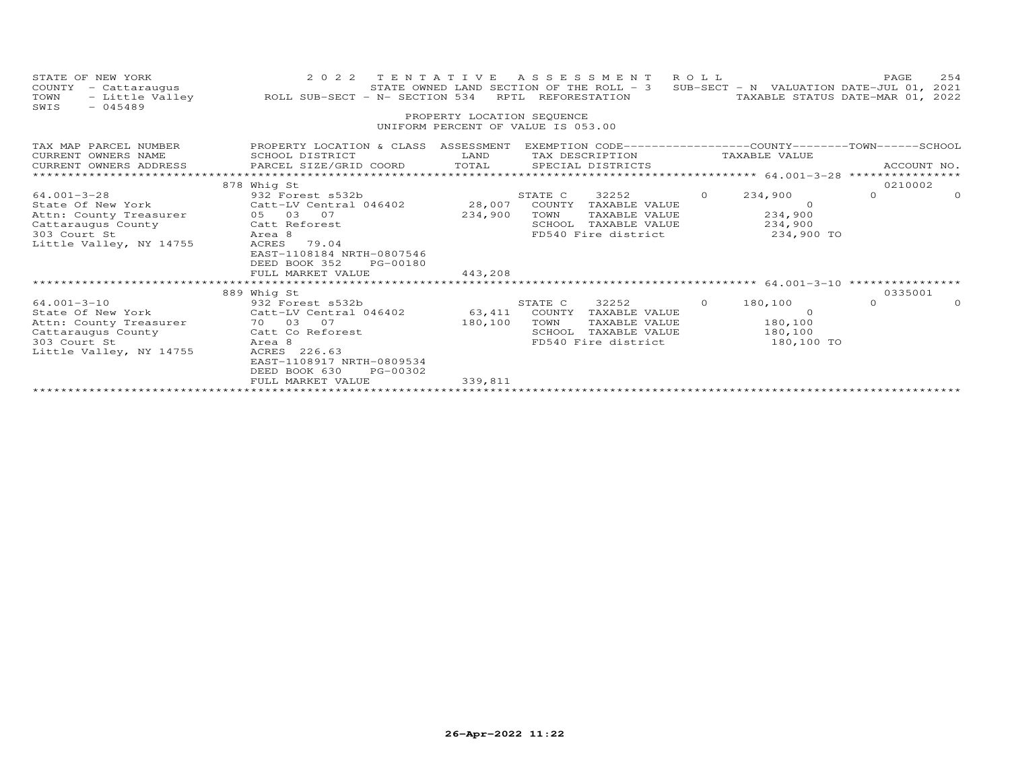| STATE OF NEW YORK<br>COUNTY<br>- Cattaraugus<br>TOWN<br>SWIS<br>$-045489$                                                         | 2 0 2 2<br>TENTATIVE<br>- Little Valley MOLL SUB-SECT - N- SECTION 534                                                                                                                        |                            | ASSESSMENT ROLL<br>STATE OWNED LAND SECTION OF THE ROLL - 3<br>RPTL REFORESTATION                                      |          | SUB-SECT - N VALUATION DATE-JUL 01, 2021<br>TAXABLE STATUS DATE-MAR 01, 2022     | PAGE        | 254      |
|-----------------------------------------------------------------------------------------------------------------------------------|-----------------------------------------------------------------------------------------------------------------------------------------------------------------------------------------------|----------------------------|------------------------------------------------------------------------------------------------------------------------|----------|----------------------------------------------------------------------------------|-------------|----------|
|                                                                                                                                   |                                                                                                                                                                                               | PROPERTY LOCATION SEQUENCE | UNIFORM PERCENT OF VALUE IS 053.00                                                                                     |          |                                                                                  |             |          |
| TAX MAP PARCEL NUMBER<br>CURRENT OWNERS NAME                                                                                      | PROPERTY LOCATION & CLASS ASSESSMENT EXEMPTION CODE----------------COUNTY-------TOWN------SCHOOL<br>SCHOOL DISTRICT                                                                           | LAND                       | TAX DESCRIPTION                                                                                                        |          | TAXABLE VALUE                                                                    |             |          |
| CURRENT OWNERS ADDRESS                                                                                                            | PARCEL SIZE/GRID COORD TOTAL SPECIAL DISTRICTS                                                                                                                                                |                            |                                                                                                                        |          |                                                                                  | ACCOUNT NO. |          |
|                                                                                                                                   | 878 Whig St                                                                                                                                                                                   |                            |                                                                                                                        |          |                                                                                  | 0210002     |          |
| 64.001-3-28<br>Attn: County Treasurer 05 03 07<br>Cattaraugus County<br>303 Court St<br>Little Valley, NY 14755                   | 932 Forest s532b<br>State Of New York Catt-LV Central 046402 28,007<br>Catt Reforest<br>Area 8<br>ACRES 79.04<br>EAST-1108184 NRTH-0807546<br>DEED BOOK 352<br>PG-00180<br>FULL MARKET VALUE  | 234,900<br>443,208         | STATE C<br>32252<br>COUNTY TAXABLE VALUE<br>TOWN<br>TAXABLE VALUE<br>SCHOOL<br>FD540 Fire district 234,900 TO          | $\circ$  | 234,900<br>- 0<br>TAXABLE VALUE 234,900<br>234,900                               | $\Omega$    | $\Omega$ |
|                                                                                                                                   | 889 Whig St                                                                                                                                                                                   |                            |                                                                                                                        |          |                                                                                  | 0335001     |          |
| $64.001 - 3 - 10$<br>State Of New York<br>Attn: County Treasurer<br>Cattaraugus County<br>303 Court St<br>Little Valley, NY 14755 | 932 Forest s532b<br>$Cat$ t-LV Central 046402 63,411<br>70 03 07<br>Catt Co Reforest<br>Area 8<br>ACRES 226.63<br>EAST-1108917 NRTH-0809534<br>DEED BOOK 630<br>PG-00302<br>FULL MARKET VALUE | 180,100<br>339,811         | 32252<br>STATE C<br>COUNTY<br>TAXABLE VALUE<br>TOWN<br>TAXABLE VALUE<br>SCHOOL<br>TAXABLE VALUE<br>FD540 Fire district | $\Omega$ | 180,100<br>$\overline{a}$ and $\overline{a}$<br>180,100<br>180,100<br>180,100 TO | $\Omega$    | $\Omega$ |
|                                                                                                                                   |                                                                                                                                                                                               |                            |                                                                                                                        |          |                                                                                  |             |          |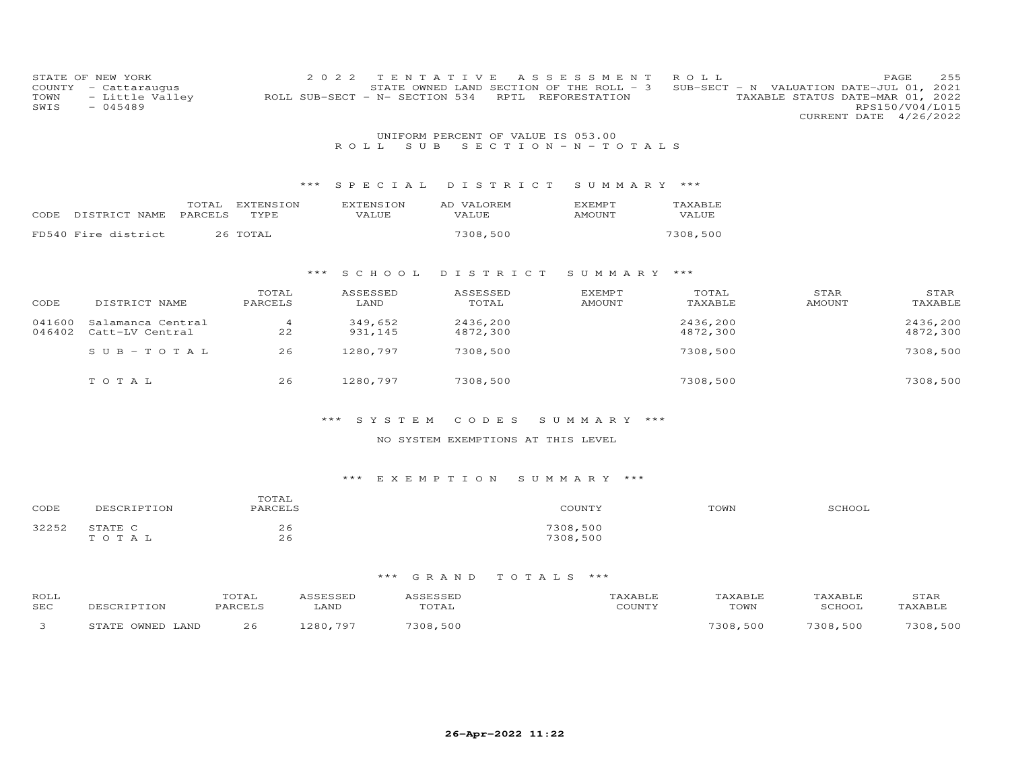| COUNTY<br>TOWN<br>SWIS | STATE OF NEW YORK<br>- Cattaraugus<br>- Little Valley<br>$-045489$ |                         | 2 0 2 2<br>ROLL SUB-SECT - N- SECTION 534 | TENTATIVE<br>RPTL                  | A S S E S S M E N T<br>STATE OWNED LAND SECTION OF THE ROLL - 3<br>REFORESTATION | ROLL             | SUB-SECT - N VALUATION DATE-JUL 01, 2021<br>TAXABLE STATUS DATE-MAR 01, 2022 | 255<br>PAGE<br>RPS150/V04/L015<br>CURRENT DATE 4/26/2022 |
|------------------------|--------------------------------------------------------------------|-------------------------|-------------------------------------------|------------------------------------|----------------------------------------------------------------------------------|------------------|------------------------------------------------------------------------------|----------------------------------------------------------|
|                        |                                                                    |                         |                                           | UNIFORM PERCENT OF VALUE IS 053.00 |                                                                                  |                  |                                                                              |                                                          |
|                        |                                                                    |                         | ROLL<br>S U B                             |                                    | $S E C T I O N - N - T O T A L S$                                                |                  |                                                                              |                                                          |
|                        |                                                                    |                         |                                           |                                    |                                                                                  |                  |                                                                              |                                                          |
|                        |                                                                    | ***                     | SPECIAL                                   | DISTRICT                           | SUMMARY ***                                                                      |                  |                                                                              |                                                          |
|                        | PARCELS<br>CODE DISTRICT NAME                                      | TOTAL EXTENSION<br>TYPE | <b>EXTENSION</b><br>VALUE                 | AD VALOREM<br>VALUE                | <b>EXEMPT</b><br>AMOUNT                                                          | TAXABLE<br>VALUE |                                                                              |                                                          |
|                        | FD540 Fire district                                                | 26 TOTAL                |                                           | 7308,500                           |                                                                                  | 7308,500         |                                                                              |                                                          |
|                        |                                                                    |                         |                                           |                                    |                                                                                  |                  |                                                                              |                                                          |
|                        |                                                                    | ***                     | S C H O O L                               | DISTRICT                           | SUMMARY ***                                                                      |                  |                                                                              |                                                          |
|                        |                                                                    | TOTAL                   | ASSESSED                                  | ASSESSED                           | <b>EXEMPT</b>                                                                    | TOTAL            | STAR                                                                         | STAR                                                     |
| CODE                   | DISTRICT NAME                                                      | PARCELS                 | LAND                                      | TOTAL                              | AMOUNT                                                                           | TAXABLE          | <b>AMOUNT</b>                                                                | TAXABLE                                                  |
| 041600                 | Salamanca Central                                                  | $\overline{4}$          | 349,652                                   | 2436,200                           |                                                                                  | 2436,200         |                                                                              | 2436,200                                                 |
| 046402                 | Catt-LV Central                                                    | 22                      | 931,145                                   | 4872,300                           |                                                                                  | 4872,300         |                                                                              | 4872,300                                                 |
|                        | SUB-TOTAL                                                          | 26                      | 1280,797                                  | 7308,500                           |                                                                                  | 7308,500         |                                                                              | 7308,500                                                 |
|                        |                                                                    |                         |                                           |                                    |                                                                                  |                  |                                                                              |                                                          |
|                        | TOTAL                                                              | 26                      | 1280,797                                  | 7308,500                           |                                                                                  | 7308,500         |                                                                              | 7308,500                                                 |
|                        |                                                                    |                         |                                           |                                    |                                                                                  |                  |                                                                              |                                                          |
|                        |                                                                    |                         | ***<br>SYSTEM                             | CODES                              | SUMMARY ***                                                                      |                  |                                                                              |                                                          |
|                        |                                                                    |                         |                                           | NO SYSTEM EXEMPTIONS AT THIS LEVEL |                                                                                  |                  |                                                                              |                                                          |
|                        |                                                                    |                         |                                           |                                    |                                                                                  |                  |                                                                              |                                                          |

| CODE  | DESCRIPTION      | TOTAL<br>PARCELS | COUNTY               | TOWN | SCHOOL |
|-------|------------------|------------------|----------------------|------|--------|
| 32252 | STATE C<br>TOTAL | 26<br>26         | 7308,500<br>7308,500 |      |        |

| ROLL<br>SEC |                  | <b>TOTAL</b><br><b>PARCELS</b> | LAND                 | $T$ $\cap$ $T$ $\land$ $T$ | <b>AXABLF</b><br>COUNTY | <b>TAXABLE</b><br>TOWN | TAXABI.F<br>SCHOOI | STAR<br><b>LAVARTF</b> |
|-------------|------------------|--------------------------------|----------------------|----------------------------|-------------------------|------------------------|--------------------|------------------------|
|             | STATE OWNED LAND | 26                             | .280<br>$70^{\circ}$ | 7308.500                   |                         | 7308,500               | 500<br>$7309$ .    | 7308.500               |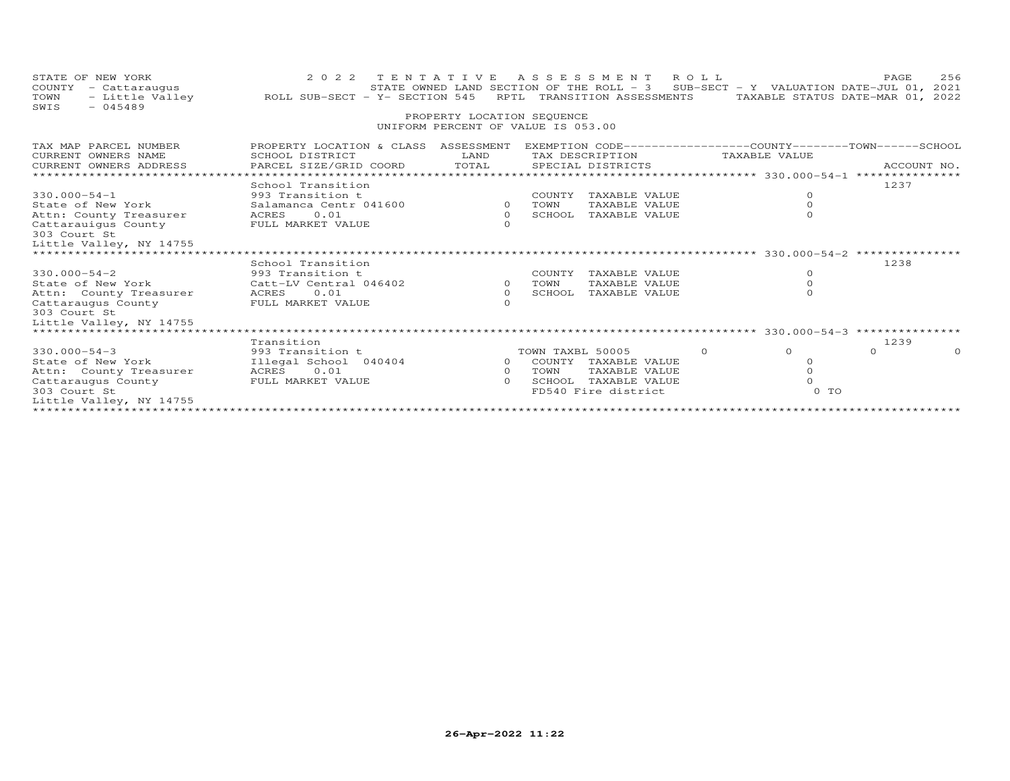| STATE OF NEW YORK<br>COUNTY - Cattaraugus<br>TOWN<br>$-045489$<br>SWIS                                                              | 2022 TENTATIVE<br>- Little Valley ROLL SUB-SECT - Y- SECTION 545                                          | PROPERTY LOCATION SEQUENCE                   | ASSESSMENT ROLL<br>STATE OWNED LAND SECTION OF THE ROLL - 3 SUB-SECT - Y VALUATION DATE-JUL 01, 2021<br>RPTL TRANSITION ASSESSMENTS<br>UNIFORM PERCENT OF VALUE IS 053.00 |                                                                   | PAGE<br>256<br>TAXABLE STATUS DATE-MAR 01, 2022 |
|-------------------------------------------------------------------------------------------------------------------------------------|-----------------------------------------------------------------------------------------------------------|----------------------------------------------|---------------------------------------------------------------------------------------------------------------------------------------------------------------------------|-------------------------------------------------------------------|-------------------------------------------------|
| TAX MAP PARCEL NUMBER<br>CURRENT OWNERS NAME<br>CURRENT OWNERS ADDRESS                                                              | PROPERTY LOCATION & CLASS ASSESSMENT<br>SCHOOL DISTRICT<br>PARCEL SIZE/GRID COORD TOTAL                   | LAND                                         | EXEMPTION CODE-----------------COUNTY-------TOWN------SCHOOL<br>TAX DESCRIPTION<br>SPECIAL DISTRICTS                                                                      | TAXABLE VALUE                                                     | ACCOUNT NO.                                     |
| $330.000 - 54 - 1$<br>State of New York<br>Attn: County Treasurer<br>Cattarauiqus County<br>303 Court St<br>Little Valley, NY 14755 | School Transition<br>993 Transition t<br>Salamanca Centr 041600 0 TOWN<br>ACRES 0.01<br>FULL MARKET VALUE | $\overline{O}$<br>$\Omega$                   | COUNTY TAXABLE VALUE<br>TAXABLE VALUE<br>SCHOOL TAXABLE VALUE                                                                                                             | $\Omega$<br>$\circ$<br>$\Omega$                                   | 1237                                            |
| $330.000 - 54 - 2$<br>State of New York<br>Attn: County Treasurer<br>Cattaraugus County<br>303 Court St                             | School Transition<br>993 Transition t<br>Catt-LV Central 046402<br>ACRES 0.01<br>FULL MARKET VALUE        | $\overline{0}$<br>$\overline{O}$<br>$\Omega$ | COUNTY TAXABLE VALUE<br>TAXABLE VALUE<br>TOWN<br>SCHOOL TAXABLE VALUE                                                                                                     | $\Omega$<br>$\circ$<br>$\Omega$                                   | 1238                                            |
| Little Valley, NY 14755                                                                                                             | Transition                                                                                                |                                              |                                                                                                                                                                           |                                                                   | 1239                                            |
| $330.000 - 54 - 3$<br>State of New York<br>Attn: County Treasurer<br>Cattaraugus County<br>303 Court St<br>Little Valley, NY 14755  | 993 Transition t<br>Illegal School 040404<br>ACRES<br>0.01<br>FULL MARKET VALUE                           | $\Omega$<br>$\Omega$                         | TOWN TAXBL 50005<br>0 COUNTY TAXABLE VALUE<br>TOWN<br>TAXABLE VALUE<br>SCHOOL TAXABLE VALUE<br>FD540 Fire district                                                        | $\Omega$<br>$\circ$<br>$\Omega$<br>$\Omega$<br>$\Omega$<br>$0$ TO | $\Omega$                                        |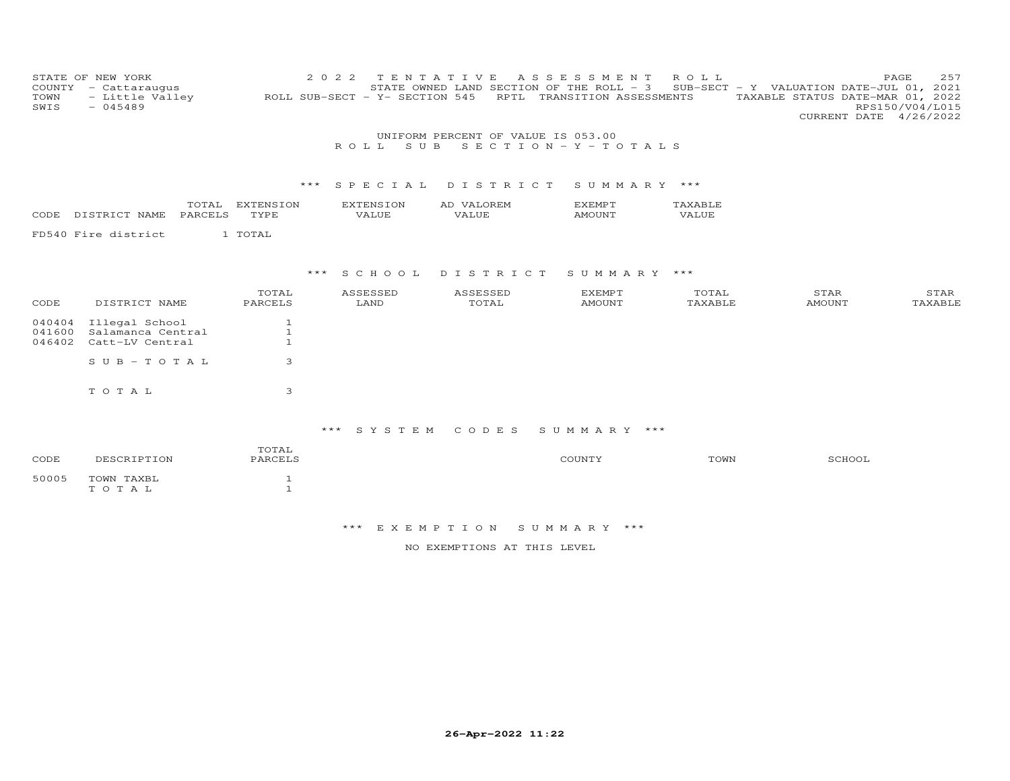| COUNTY<br>TOWN<br>SWIS     | STATE OF NEW YORK<br>- Cattaraugus<br>- Little Valley<br>$-045489$ |                                                | 2 0 2 2<br>ROLL SUB-SECT - Y- SECTION 545 | TENTATIVE<br>STATE OWNED LAND SECTION OF THE ROLL - 3 | ASSESSMENT<br>RPTL TRANSITION ASSESSMENTS | ROLL             | PAGE<br>SUB-SECT - Y VALUATION DATE-JUL 01, 2021<br>TAXABLE STATUS DATE-MAR 01, 2022<br>CURRENT DATE 4/26/2022 | 257<br>RPS150/V04/L015 |
|----------------------------|--------------------------------------------------------------------|------------------------------------------------|-------------------------------------------|-------------------------------------------------------|-------------------------------------------|------------------|----------------------------------------------------------------------------------------------------------------|------------------------|
|                            |                                                                    |                                                | S U B<br>ROLL.                            | UNIFORM PERCENT OF VALUE IS 053.00                    | $S E C T I O N - Y - T O T A L S$         |                  |                                                                                                                |                        |
|                            |                                                                    |                                                |                                           |                                                       |                                           |                  |                                                                                                                |                        |
|                            |                                                                    |                                                | $***$<br>SPECIAL                          | DISTRICT                                              | SUMMARY ***                               |                  |                                                                                                                |                        |
| CODE                       | DISTRICT NAME<br>PARCELS                                           | TOTAL EXTENSION<br>TYPE                        | <b>EXTENSION</b><br>VALUE                 | AD VALOREM<br>VALUE                                   | <b>EXEMPT</b><br><b>AMOUNT</b>            | TAXABLE<br>VALUE |                                                                                                                |                        |
|                            | FD540 Fire district                                                | 1 TOTAL                                        |                                           |                                                       |                                           |                  |                                                                                                                |                        |
|                            |                                                                    |                                                |                                           |                                                       |                                           |                  |                                                                                                                |                        |
|                            |                                                                    |                                                | S C H O O L<br>***                        | DISTRICT                                              | SUMMARY ***                               |                  |                                                                                                                |                        |
| CODE                       | DISTRICT NAME                                                      | TOTAL<br>PARCELS                               | ASSESSED<br>LAND                          | ASSESSED<br>TOTAL                                     | <b>EXEMPT</b><br><b>AMOUNT</b>            | TOTAL<br>TAXABLE | STAR<br><b>AMOUNT</b>                                                                                          | STAR<br>TAXABLE        |
| 040404<br>041600<br>046402 | Illegal School<br>Salamanca Central<br>Catt-LV Central             | $\mathbf{1}$<br>$\mathbf{1}$<br>$\overline{1}$ |                                           |                                                       |                                           |                  |                                                                                                                |                        |
|                            | $S \cup B - T \cup T A$                                            | 3                                              |                                           |                                                       |                                           |                  |                                                                                                                |                        |
|                            | TOTAL                                                              | 3                                              |                                           |                                                       |                                           |                  |                                                                                                                |                        |
|                            |                                                                    |                                                | *** SYSTEM                                | CODES                                                 | SUMMARY ***                               |                  |                                                                                                                |                        |
| CODE                       | DESCRIPTION                                                        | TOTAL<br>PARCELS                               |                                           |                                                       | COUNTY                                    | TOWN             | SCHOOL                                                                                                         |                        |
| 50005                      | TOWN TAXBL<br>TOTAL                                                | $\mathbf{1}$<br>$\mathbf{1}$                   |                                           |                                                       |                                           |                  |                                                                                                                |                        |
|                            |                                                                    |                                                |                                           |                                                       |                                           |                  |                                                                                                                |                        |

NO EXEMPTIONS AT THIS LEVEL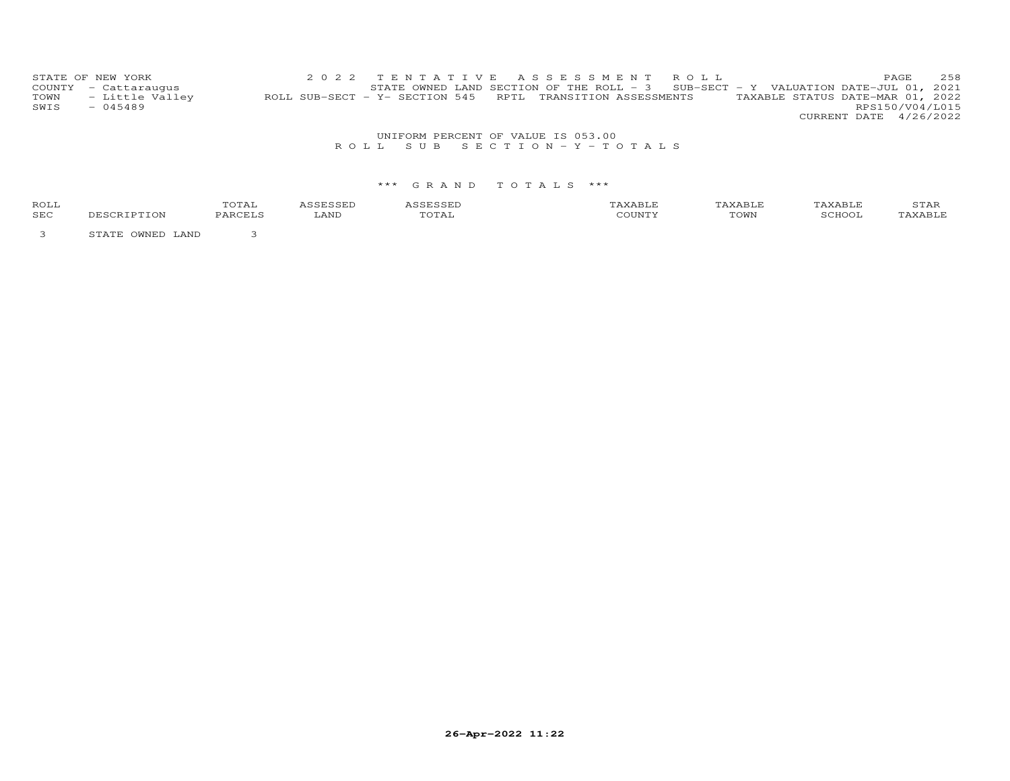| STATE OF NEW YORK    |                 | 2022 TENTATIVE ASSESSMENT ROLL                                                    |  |  |  |                                  | PAGE. | 2.58 |
|----------------------|-----------------|-----------------------------------------------------------------------------------|--|--|--|----------------------------------|-------|------|
| COUNTY - Cattaraugus |                 | STATE OWNED LAND SECTION OF THE ROLL - 3 SUB-SECT - Y VALUATION DATE-JUL 01, 2021 |  |  |  |                                  |       |      |
| TOWN                 | - Little Valley | ROLL SUB-SECT - Y- SECTION 545 RPTL TRANSITION ASSESSMENTS                        |  |  |  | TAXABLE STATUS DATE-MAR 01, 2022 |       |      |
| SWIS<br>$-045489$    |                 |                                                                                   |  |  |  | RPS150/V04/L015                  |       |      |
|                      |                 |                                                                                   |  |  |  | CURRENT DATE 4/26/2022           |       |      |

# UNIFORM PERCENT OF VALUE IS 053.00<br>R O L L S U B S E C T I O N – Y – T O T A L S

# \*\*\* G R A N D T O T A L S \*\*\*

| ROLL       |            | י הי<br>TATAT |      |       | AXABLE                     | . AABLF            | 5 T.HR |
|------------|------------|---------------|------|-------|----------------------------|--------------------|--------|
| <b>SEC</b> | ℩ͱ<br>- 71 | ' ′∆ ⊢        | ∟AND | .utal | $m \wedge r$ . $n$<br>LOWN | <sup>-</sup> CHOOL | $\sim$ |
|            |            |               |      |       |                            |                    |        |

3 STATE OWNED LAND 3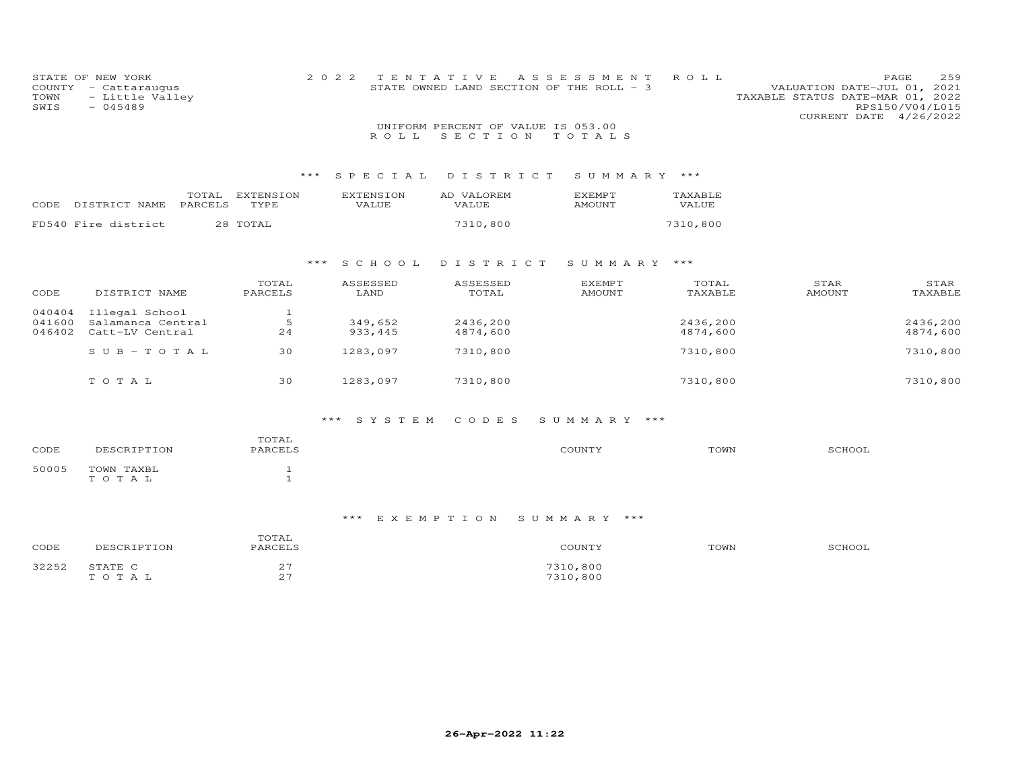| COUNTY<br>TOWN<br>SWIS     | STATE OF NEW YORK<br>- Cattaraugus<br>- Little Valley<br>$-045489$ |                              | 2 0 2 2<br>ROLL           | TENTATIVE<br>STATE OWNED LAND SECTION OF THE ROLL - 3<br>UNIFORM PERCENT OF VALUE IS 053.00<br>SECTION | A S S E S S M E N T<br>TOTALS  | ROLL                 | VALUATION DATE-JUL 01, 2021<br>TAXABLE STATUS DATE-MAR 01, 2022<br>CURRENT DATE 4/26/2022 | PAGE<br>259<br>RPS150/V04/L015 |
|----------------------------|--------------------------------------------------------------------|------------------------------|---------------------------|--------------------------------------------------------------------------------------------------------|--------------------------------|----------------------|-------------------------------------------------------------------------------------------|--------------------------------|
|                            |                                                                    |                              | SPECIAL<br>***            | DISTRICT                                                                                               | SUMMARY ***                    |                      |                                                                                           |                                |
| <b>CODE</b>                | TOTAL<br>DISTRICT NAME<br>PARCELS                                  | EXTENSION<br>TYPE            | <b>EXTENSION</b><br>VALUE | AD VALOREM<br>VALUE                                                                                    | <b>EXEMPT</b><br><b>AMOUNT</b> | TAXABLE<br>VALUE     |                                                                                           |                                |
|                            | FD540 Fire district                                                | 28 TOTAL                     |                           | 7310,800                                                                                               |                                | 7310,800             |                                                                                           |                                |
|                            |                                                                    |                              | S C H O O L<br>$***$      | DISTRICT                                                                                               | SUMMARY ***                    |                      |                                                                                           |                                |
| CODE                       | DISTRICT NAME                                                      | TOTAL<br>PARCELS             | ASSESSED<br>LAND          | ASSESSED<br>TOTAL                                                                                      | <b>EXEMPT</b><br><b>AMOUNT</b> | TOTAL<br>TAXABLE     | STAR<br><b>AMOUNT</b>                                                                     | STAR<br>TAXABLE                |
| 040404<br>041600<br>046402 | Illegal School<br>Salamanca Central<br>Catt-LV Central             | $\mathbf{1}$<br>5<br>24      | 349,652<br>933, 445       | 2436,200<br>4874,600                                                                                   |                                | 2436,200<br>4874,600 |                                                                                           | 2436,200<br>4874,600           |
|                            | $S$ U B - T O T A L                                                | 30                           | 1283,097                  | 7310,800                                                                                               |                                | 7310,800             |                                                                                           | 7310,800                       |
|                            | TOTAL                                                              | 30                           | 1283,097                  | 7310,800                                                                                               |                                | 7310,800             |                                                                                           | 7310,800                       |
|                            |                                                                    |                              | *** SYSTEM                | CODES                                                                                                  | SUMMARY ***                    |                      |                                                                                           |                                |
| CODE                       | DESCRIPTION                                                        | TOTAL<br>PARCELS             |                           |                                                                                                        | COUNTY                         | TOWN                 | SCHOOL                                                                                    |                                |
| 50005                      | TOWN TAXBL<br>TOTAL                                                | $\mathbf{1}$<br>$\mathbf{1}$ |                           |                                                                                                        |                                |                      |                                                                                           |                                |

| CODE              | DESCRIPTION     | $- - - -$<br>$\cup$<br>PARCELS<br>---                   | CUNTY:               | TOWN | SCHOOL |
|-------------------|-----------------|---------------------------------------------------------|----------------------|------|--------|
| マククちつ<br>ے دے ے ت | STATE C<br>OTAL | $\sim$ $-$<br>∠<br>$\cap$ $\overline{\phantom{0}}$<br>~ | 7310,800<br>7310,800 |      |        |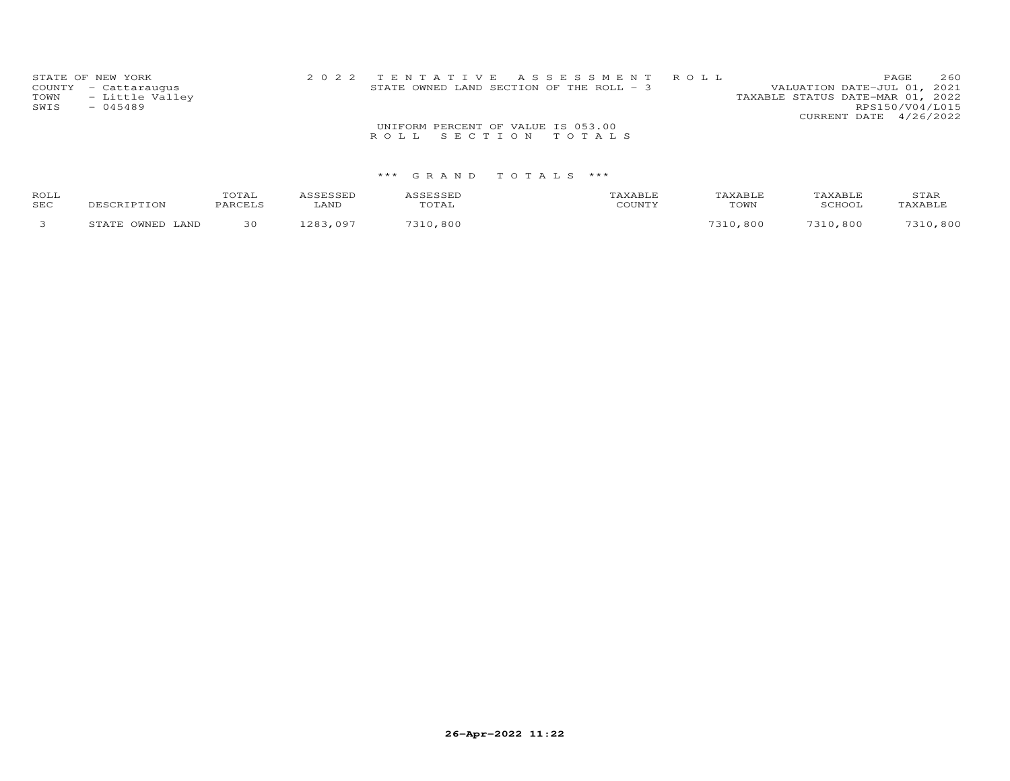| STATE OF NEW YORK       |                                    | 2022 TENTATIVE ASSESSMENT ROLL           |                                  | PAGE                   | 260 |
|-------------------------|------------------------------------|------------------------------------------|----------------------------------|------------------------|-----|
| COUNTY - Cattaraugus    |                                    | STATE OWNED LAND SECTION OF THE ROLL - 3 | VALUATION DATE-JUL 01, 2021      |                        |     |
| - Little Valley<br>TOWN |                                    |                                          | TAXABLE STATUS DATE-MAR 01, 2022 |                        |     |
| SWIS<br>$-045489$       |                                    |                                          |                                  | RPS150/V04/L015        |     |
|                         |                                    |                                          |                                  | CURRENT DATE 4/26/2022 |     |
|                         | UNIFORM PERCENT OF VALUE IS 053.00 |                                          |                                  |                        |     |
|                         | ROLL SECTION TOTALS                |                                          |                                  |                        |     |
|                         |                                    |                                          |                                  |                        |     |

| ROLL<br>SEC | DESCRIPTION              | TOTAL<br>יתר∩ קומי | LAND       | TOTAL | AXABLI<br>COUNTY | AN YABLE<br>TOWN | TAXABLE<br>SCHOOL | STAR<br>TAXABL. |
|-------------|--------------------------|--------------------|------------|-------|------------------|------------------|-------------------|-----------------|
|             | OWNED<br>LAND<br>ת מיד C | 30                 | 202<br>റ റ | ,800  |                  | ,800             | .800<br>7210.     | ,800            |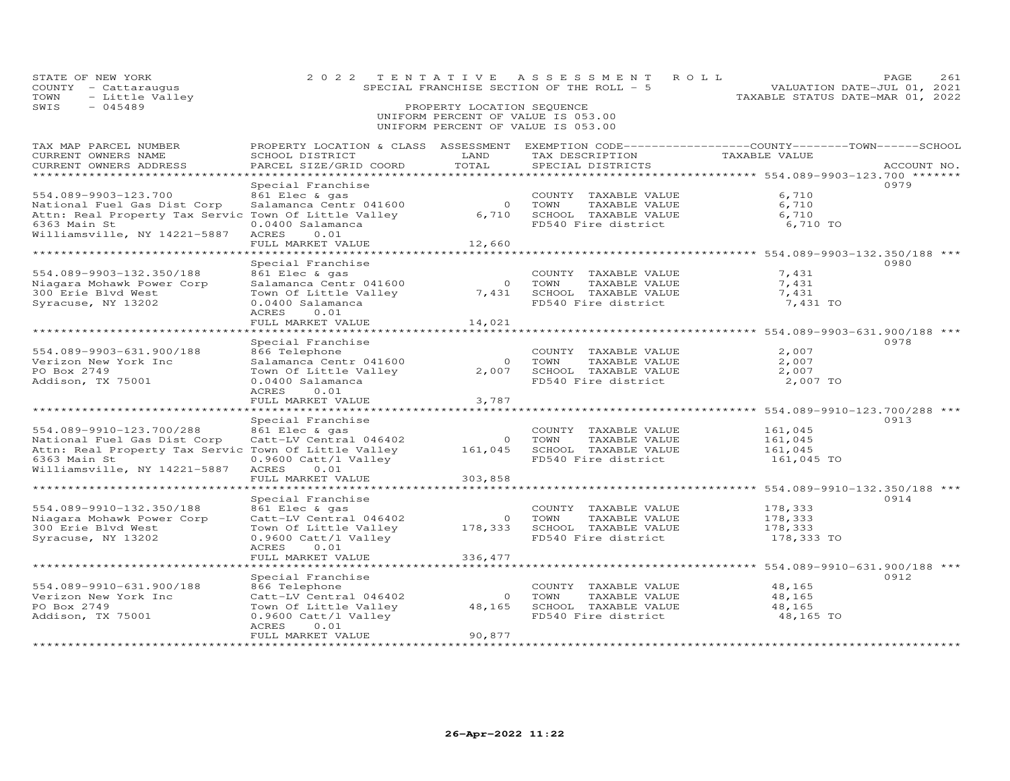| STATE OF NEW YORK<br>COUNTY - Cattaraugus<br>TOWN<br>- Little Valley<br>SWIS<br>$-045489$                                                                       | 2 0 2 2<br>TENTATIVE                                                                                                                                                    | PROPERTY LOCATION SEQUENCE        | ASSESSMENT<br>ROLL<br>SPECIAL FRANCHISE SECTION OF THE ROLL - 5<br>UNIFORM PERCENT OF VALUE IS 053.00<br>UNIFORM PERCENT OF VALUE IS 053.00 | VALUATION DATE-JUL 01, 2021<br>TAXABLE STATUS DATE-MAR 01, 2022                                                                          | PAGE<br>261 |
|-----------------------------------------------------------------------------------------------------------------------------------------------------------------|-------------------------------------------------------------------------------------------------------------------------------------------------------------------------|-----------------------------------|---------------------------------------------------------------------------------------------------------------------------------------------|------------------------------------------------------------------------------------------------------------------------------------------|-------------|
| TAX MAP PARCEL NUMBER<br>CURRENT OWNERS NAME<br>CURRENT OWNERS ADDRESS<br>************************                                                              | SCHOOL DISTRICT<br>PARCEL SIZE/GRID COORD                                                                                                                               | LAND<br>TOTAL                     | PROPERTY LOCATION & CLASS ASSESSMENT EXEMPTION CODE----------------COUNTY-------TOWN------SCHOOL<br>TAX DESCRIPTION<br>SPECIAL DISTRICTS    | TAXABLE VALUE                                                                                                                            | ACCOUNT NO. |
| 554.089-9903-123.700<br>National Fuel Gas Dist Corp<br>Attn: Real Property Tax Servic Town Of Little Valley<br>6363 Main St<br>Williamsville, NY 14221-5887     | Special Franchise<br>861 Elec & gas<br>Salamanca Centr 041600<br>0.0400 Salamanca<br>ACRES<br>0.01<br>FULL MARKET VALUE<br>*******************                          | $\overline{0}$<br>6,710<br>12,660 | COUNTY TAXABLE VALUE<br>TAXABLE VALUE<br>TOWN<br>SCHOOL TAXABLE VALUE<br>FD540 Fire district                                                | 6,710<br>6,710<br>6,710<br>6,710 TO<br>********************* 554.089-9903-132.350/188 ***                                                | 0979        |
| 554.089-9903-132.350/188<br>Niagara Mohawk Power Corp<br>300 Erie Blvd West<br>Syracuse, NY 13202                                                               | Special Franchise<br>861 Elec & gas<br>Salamanca Centr 041600<br>Town Of Little Valley<br>0.0400 Salamanca<br>ACRES<br>0.01<br>FULL MARKET VALUE<br>******************* | $\overline{O}$<br>7,431<br>14,021 | COUNTY TAXABLE VALUE<br>TOWN<br>TAXABLE VALUE<br>SCHOOL TAXABLE VALUE<br>FD540 Fire district                                                | 7,431<br>7,431<br>7,431<br>7,431 TO                                                                                                      | 0980        |
| 554.089-9903-631.900/188<br>Verizon New York Inc<br>PO Box 2749<br>Addison, TX 75001                                                                            | Special Franchise<br>866 Telephone<br>Salamanca Centr 041600<br>Town Of Little Valley<br>0.0400 Salamanca<br>0.01<br>ACRES<br>FULL MARKET VALUE                         | $\overline{0}$<br>2,007<br>3,787  | COUNTY TAXABLE VALUE<br>TAXABLE VALUE<br>TOWN<br>SCHOOL TAXABLE VALUE<br>FD540 Fire district                                                | ********************************    554.089-9903-631.900/188                   ***<br>2,007<br>2,007<br>2,007<br>2,007 TO                | 0978        |
| 554.089-9910-123.700/288<br>National Fuel Gas Dist Corp<br>Attn: Real Property Tax Servic Town Of Little Valley<br>6363 Main St<br>Williamsville, NY 14221-5887 | Special Franchise<br>861 Elec & gas<br>Catt-LV Central 046402<br>0.9600 Catt/l Valley<br>ACRES<br>0.01<br>FULL MARKET VALUE<br>******************                       | $\circ$<br>161,045<br>303,858     | COUNTY TAXABLE VALUE<br>TOWN<br>TAXABLE VALUE<br>SCHOOL TAXABLE VALUE<br>FD540 Fire district                                                | ***************** 554.089-9910-123.700/288 **<br>161,045<br>161,045<br>161,045<br>161,045 TO<br>*********** 554.089-9910-132.350/188 *** | 0913        |
| 554.089-9910-132.350/188<br>Niagara Mohawk Power Corp<br>300 Erie Blvd West<br>Syracuse, NY 13202                                                               | Special Franchise<br>861 Elec & gas<br>Catt-LV Central 046402<br>Town Of Little Valley<br>0.9600 Catt/l Valley<br>ACRES<br>0.01<br>FULL MARKET VALUE                    | $\circ$<br>178,333<br>336, 477    | COUNTY TAXABLE VALUE<br>TOWN<br>TAXABLE VALUE<br>SCHOOL TAXABLE VALUE<br>FD540 Fire district                                                | 178,333<br>178,333<br>178,333<br>178,333 TO                                                                                              | 0914        |
| 554.089-9910-631.900/188<br>Verizon New York Inc<br>PO Box 2749<br>Addison, TX 75001                                                                            | Special Franchise<br>866 Telephone<br>Catt-LV Central 046402<br>Town Of Little Valley<br>$0.9600$ Catt/l Valley<br>0.01<br><b>ACRES</b><br>FULL MARKET VALUE            | $\Omega$<br>90,877<br>.           | COUNTY TAXABLE VALUE<br>TOWN<br>TAXABLE VALUE<br>48,165 SCHOOL TAXABLE VALUE<br>FD540 Fire district                                         | 48,165<br>48,165<br>48,165<br>48,165 TO                                                                                                  | 0912        |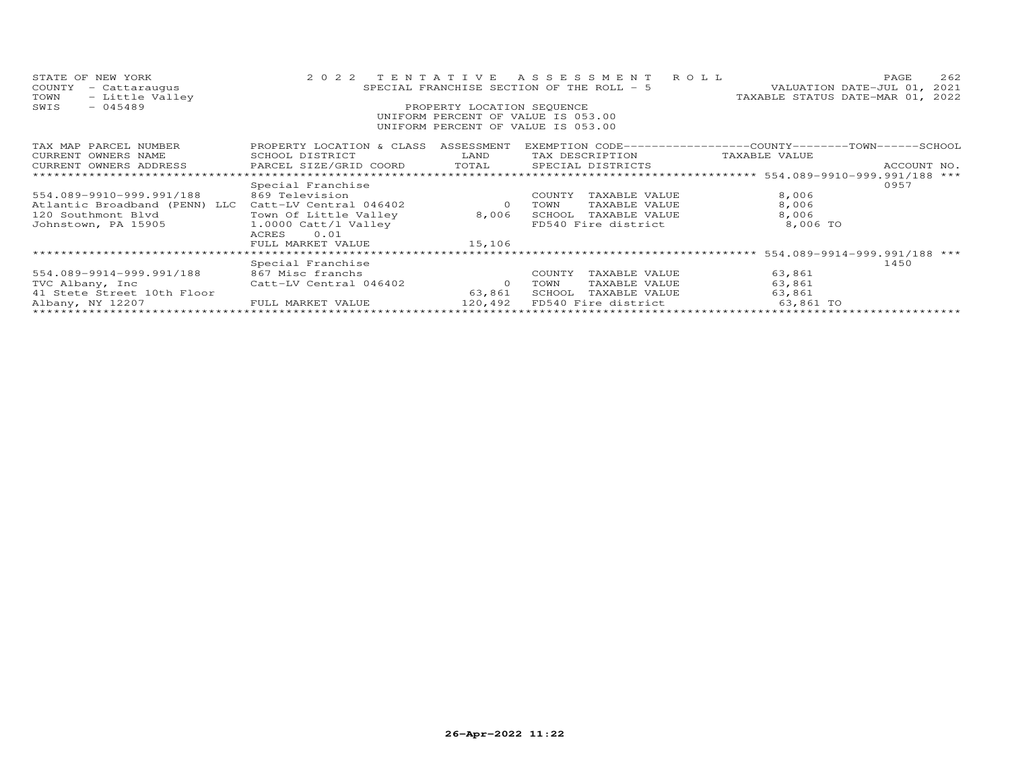| STATE OF NEW YORK<br>COUNTY<br>- Cattaraugus<br>- Little Valley<br>TOWN | 2 0 2 2                                                                           | TENTATIVE                  | A S S E S S M E N T<br>SPECIAL FRANCHISE SECTION OF THE ROLL - 5         | 262<br>ROLL.<br>PAGE<br>VALUATION DATE-JUL 01,<br>2021<br>TAXABLE STATUS DATE-MAR 01,<br>2022 |
|-------------------------------------------------------------------------|-----------------------------------------------------------------------------------|----------------------------|--------------------------------------------------------------------------|-----------------------------------------------------------------------------------------------|
| SWIS<br>$-045489$                                                       |                                                                                   | PROPERTY LOCATION SEQUENCE | UNIFORM PERCENT OF VALUE IS 053.00<br>UNIFORM PERCENT OF VALUE IS 053.00 |                                                                                               |
| TAX MAP PARCEL NUMBER<br>CURRENT OWNERS NAME<br>CURRENT OWNERS ADDRESS  | PROPERTY LOCATION & CLASS ASSESSMENT<br>SCHOOL DISTRICT<br>PARCEL SIZE/GRID COORD | LAND<br>TOTAL              | TAX DESCRIPTION<br>SPECIAL DISTRICTS                                     | EXEMPTION CODE-----------------COUNTY-------TOWN------SCHOOL<br>TAXABLE VALUE<br>ACCOUNT NO.  |
|                                                                         |                                                                                   |                            |                                                                          |                                                                                               |
| 554.089-9910-999.991/188                                                | Special Franchise<br>869 Television                                               |                            | COUNTY<br>TAXABLE VALUE                                                  | 0957<br>8,006                                                                                 |
| Atlantic Broadband (PENN) LLC<br>120 Southmont Blvd                     | Catt-LV Central 046402<br>Town Of Little Valley                                   | $\circ$<br>8,006           | TOWN<br>TAXABLE VALUE<br>SCHOOL<br>TAXABLE VALUE                         | 8,006<br>8,006                                                                                |
| Johnstown, PA 15905                                                     | 1.0000 Catt/l Valley<br>0.01<br>ACRES                                             |                            | FD540 Fire district                                                      | 8,006 TO                                                                                      |
|                                                                         | FULL MARKET VALUE<br>************************                                     | 15,106                     |                                                                          |                                                                                               |
|                                                                         | Special Franchise                                                                 |                            |                                                                          | **** 554.089-9914-999.991/188 ***<br>1450                                                     |
| 554.089-9914-999.991/188                                                | 867 Misc franchs                                                                  |                            | COUNTY<br>TAXABLE VALUE                                                  | 63,861                                                                                        |
| TVC Albany, Inc<br>41 Stete Street 10th Floor                           | Catt-LV Central 046402                                                            | $\circ$<br>63,861          | TOWN<br>TAXABLE VALUE<br>SCHOOL<br>TAXABLE VALUE                         | 63,861<br>63,861                                                                              |
| Albany, NY 12207                                                        | FULL MARKET VALUE                                                                 | 120,492                    | FD540 Fire district                                                      | 63,861 TO                                                                                     |
|                                                                         |                                                                                   | *************************  |                                                                          |                                                                                               |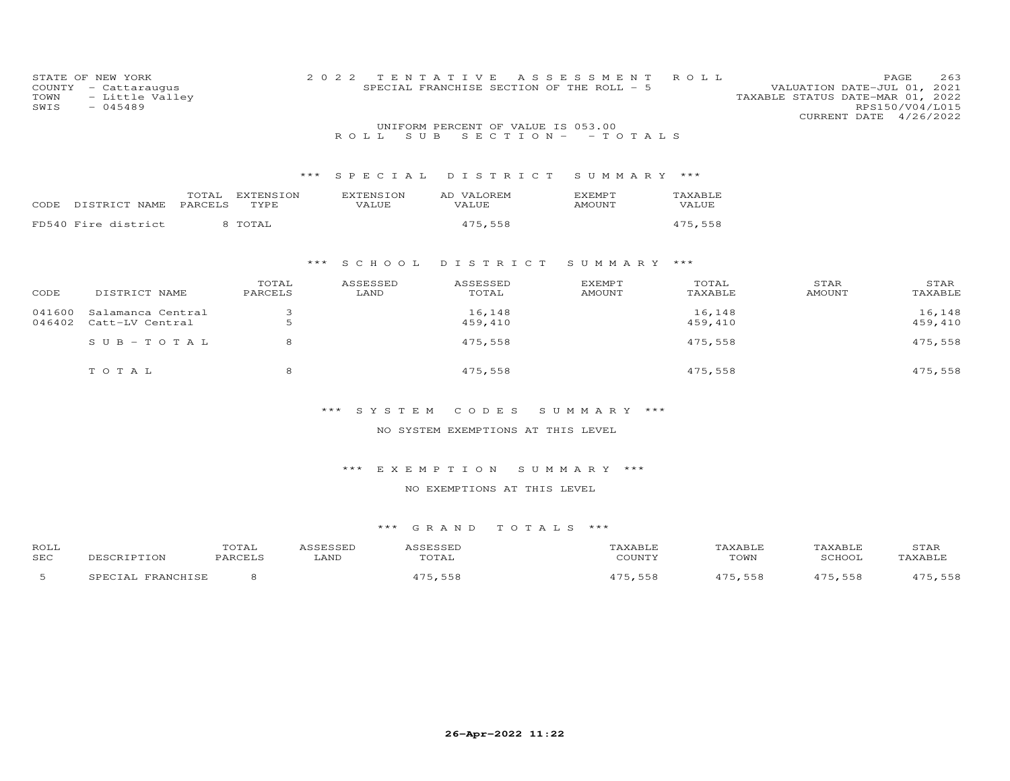| COUNTY<br>TOWN<br>SWIS | STATE OF NEW YORK<br>- Cattaraugus<br>- Little Valley<br>$-045489$ |           | 2 0 2 2<br>TENTATIVE | SPECIAL FRANCHISE SECTION OF THE ROLL - 5 | A S S E S S M E N T | ROLL    | VALUATION DATE-JUL 01, 2021<br>TAXABLE STATUS DATE-MAR 01, 2022<br>CURRENT DATE 4/26/2022 | 263<br>PAGE<br>RPS150/V04/L015 |
|------------------------|--------------------------------------------------------------------|-----------|----------------------|-------------------------------------------|---------------------|---------|-------------------------------------------------------------------------------------------|--------------------------------|
|                        |                                                                    |           |                      | UNIFORM PERCENT OF VALUE IS 053.00        |                     |         |                                                                                           |                                |
|                        |                                                                    |           | S U B<br>ROLL        | $S$ E C T I O N $-$                       | - TOTALS            |         |                                                                                           |                                |
|                        |                                                                    |           |                      |                                           |                     |         |                                                                                           |                                |
|                        |                                                                    |           |                      |                                           |                     |         |                                                                                           |                                |
|                        |                                                                    | * * *     | SPECIAL              | DISTRICT                                  | SUMMARY ***         |         |                                                                                           |                                |
|                        | TOTAL                                                              | EXTENSION | EXTENSION            | AD VALOREM                                | <b>EXEMPT</b>       | TAXABLE |                                                                                           |                                |
| CODE                   | PARCELS<br>DISTRICT NAME                                           | TYPE      | <b>VALUE</b>         | VALUE                                     | <b>AMOUNT</b>       | VALUE   |                                                                                           |                                |
|                        | FD540 Fire district                                                | 8 TOTAL   |                      | 475,558                                   |                     | 475,558 |                                                                                           |                                |
|                        |                                                                    |           |                      |                                           |                     |         |                                                                                           |                                |
|                        |                                                                    |           |                      |                                           |                     |         |                                                                                           |                                |
|                        |                                                                    | ***       | S C H O O L          | DISTRICT                                  | SUMMARY             | ***     |                                                                                           |                                |
|                        |                                                                    |           |                      |                                           |                     |         |                                                                                           |                                |
|                        |                                                                    | TOTAL     | ASSESSED             | ASSESSED                                  | EXEMPT              | TOTAL   | STAR                                                                                      | STAR                           |
| CODE                   | DISTRICT NAME                                                      | PARCELS   | LAND                 | TOTAL                                     | <b>AMOUNT</b>       | TAXABLE | <b>AMOUNT</b>                                                                             | TAXABLE                        |
| 041600                 | Salamanca Central                                                  | 3         |                      | 16,148                                    |                     | 16,148  |                                                                                           | 16,148                         |
| 046402                 | Catt-LV Central                                                    | 5         |                      | 459,410                                   |                     | 459,410 |                                                                                           | 459,410                        |
|                        |                                                                    | 8         |                      | 475,558                                   |                     | 475,558 |                                                                                           | 475,558                        |
|                        | $S \cup B - TO T A L$                                              |           |                      |                                           |                     |         |                                                                                           |                                |
|                        |                                                                    |           |                      |                                           |                     |         |                                                                                           |                                |
|                        | TOTAL                                                              | 8         |                      | 475,558                                   |                     | 475,558 |                                                                                           | 475,558                        |
|                        |                                                                    |           |                      |                                           |                     |         |                                                                                           |                                |
|                        |                                                                    |           |                      |                                           |                     |         |                                                                                           |                                |

NO SYSTEM EXEMPTIONS AT THIS LEVEL

\*\*\* E X E M P T I O N S U M M A R Y \*\*\*

NO EXEMPTIONS AT THIS LEVEL

| ROLL       | UIAI |      |                             |      | JIAK |
|------------|------|------|-----------------------------|------|------|
| <b>SEC</b> |      | .ANF | $C$ $C$ $T$ $T$ $T$ $T$ $T$ | TOWN |      |
|            |      |      | - -                         |      |      |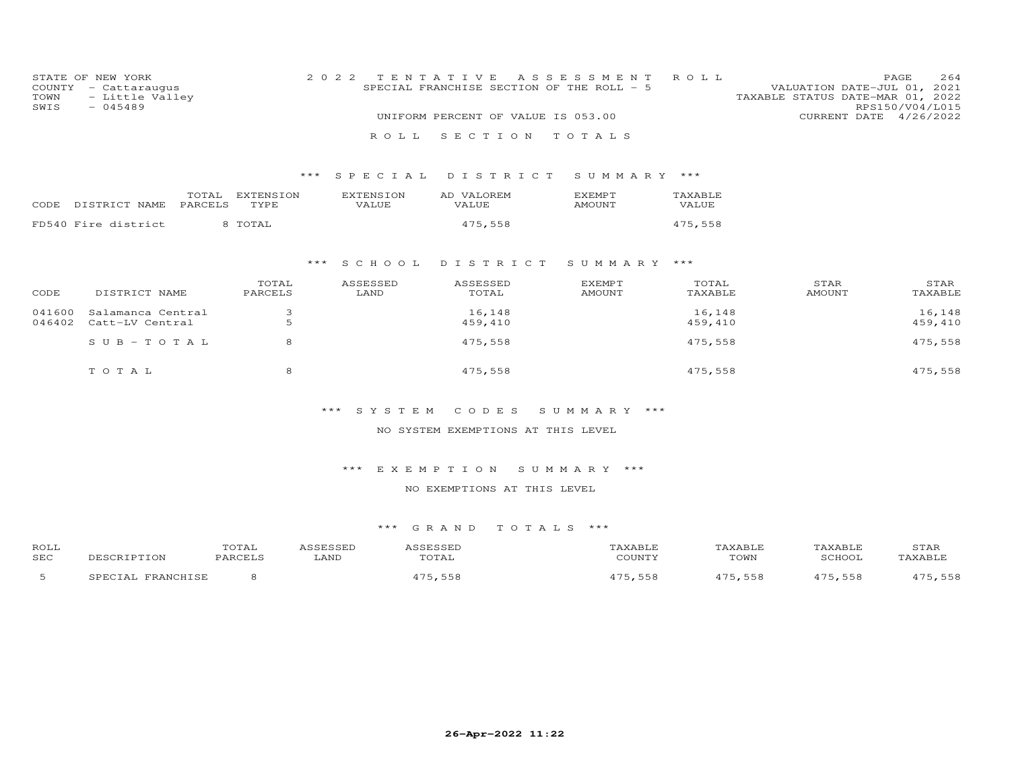| STATE OF NEW YORK<br>COUNTY<br>- Cattaraugus<br>- Little Valley<br>TOWN<br>$-045489$<br>SWIS |                                      |                          | 2 0 2 2                   | TENTATIVE<br>SPECIAL FRANCHISE SECTION OF THE ROLL - 5 | A S S E S S M E N T            | ROLL              | VALUATION DATE-JUL 01,<br>TAXABLE STATUS DATE-MAR 01, 2022 | 264<br>PAGE<br>2021<br>RPS150/V04/L015 |
|----------------------------------------------------------------------------------------------|--------------------------------------|--------------------------|---------------------------|--------------------------------------------------------|--------------------------------|-------------------|------------------------------------------------------------|----------------------------------------|
|                                                                                              |                                      |                          |                           | UNIFORM PERCENT OF VALUE IS 053.00                     |                                |                   | CURRENT DATE 4/26/2022                                     |                                        |
|                                                                                              |                                      |                          | ROLL                      | SECTION                                                | TOTALS                         |                   |                                                            |                                        |
|                                                                                              |                                      | ***                      | SPECIAL                   | DISTRICT                                               | SUMMARY                        | ***               |                                                            |                                        |
| CODE                                                                                         | TOTAL<br>DISTRICT NAME<br>PARCELS    | <b>EXTENSION</b><br>TYPE | <b>EXTENSION</b><br>VALUE | AD VALOREM<br>VALUE                                    | <b>EXEMPT</b><br><b>AMOUNT</b> | TAXABLE<br>VALUE  |                                                            |                                        |
|                                                                                              | FD540 Fire district                  | 8 TOTAL                  |                           | 475,558                                                |                                | 475,558           |                                                            |                                        |
|                                                                                              |                                      | ***                      | S C H O O L               | DISTRICT                                               | SUMMARY ***                    |                   |                                                            |                                        |
| CODE                                                                                         | DISTRICT NAME                        | TOTAL<br>PARCELS         | ASSESSED<br>LAND          | ASSESSED<br>TOTAL                                      | <b>EXEMPT</b><br><b>AMOUNT</b> | TOTAL<br>TAXABLE  | STAR<br><b>AMOUNT</b>                                      | STAR<br>TAXABLE                        |
| 041600<br>046402                                                                             | Salamanca Central<br>Catt-LV Central | 3<br>5                   |                           | 16,148<br>459,410                                      |                                | 16,148<br>459,410 |                                                            | 16,148<br>459,410                      |
|                                                                                              | $S \cup B - TO T A L$                | 8                        |                           | 475,558                                                |                                | 475,558           |                                                            | 475,558                                |
|                                                                                              | TOTAL                                | 8                        |                           | 475,558                                                |                                | 475,558           |                                                            | 475,558                                |

# NO SYSTEM EXEMPTIONS AT THIS LEVEL

# \*\*\* E X E M P T I O N S U M M A R Y \*\*\*

# NO EXEMPTIONS AT THIS LEVEL

| ROLL       |                       | TOTAL         |      |      | AXABLE  | TAXABLF |         | STAR       |
|------------|-----------------------|---------------|------|------|---------|---------|---------|------------|
| <b>SEC</b> |                       | <b>DADCET</b> | LAND | UTAL | CCTNTT1 | TOWN    | SCHOOT  | TAXABLF    |
| .          | <b>TDANCUTCL</b><br>△ |               |      |      | - - - - | 475,558 | 175,558 | 558<br>17E |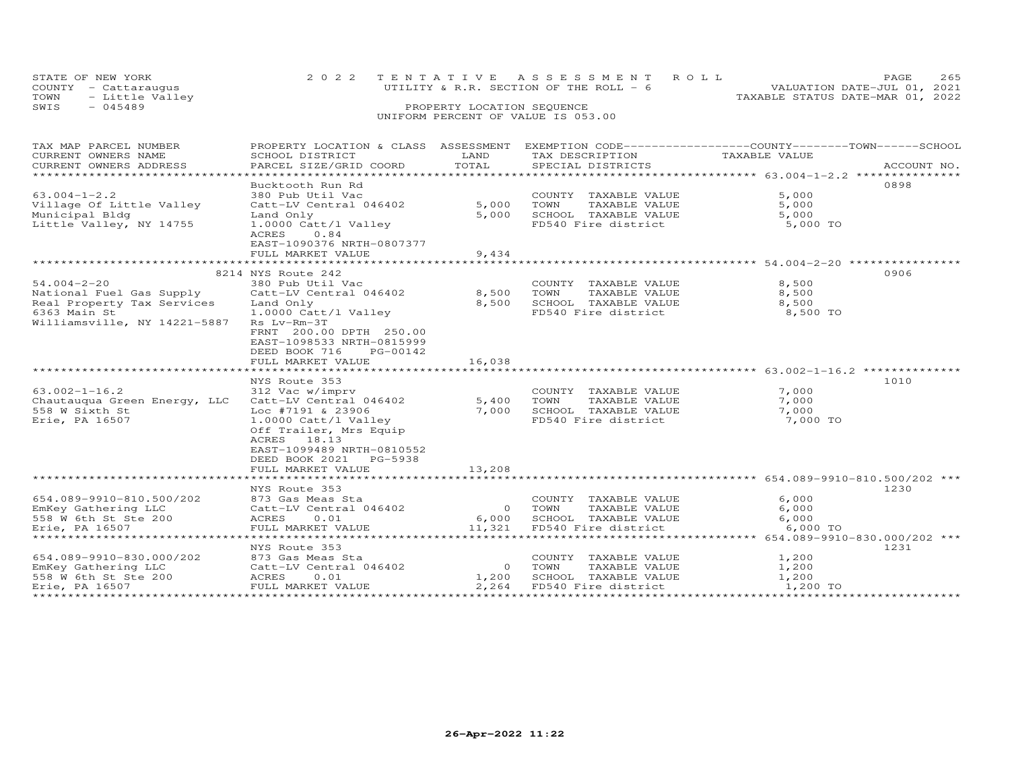| STATE OF NEW YORK       | 2022 TENTATIVE ASSESSMENT ROLL          | PAGE.                            | 265 |
|-------------------------|-----------------------------------------|----------------------------------|-----|
| COUNTY - Cattaraugus    | UTILITY & R.R. SECTION OF THE ROLL $-6$ | VALUATION DATE-JUL 01, 2021      |     |
| - Little Valley<br>TOWN |                                         | TAXABLE STATUS DATE-MAR 01, 2022 |     |
| SWIS<br>$-045489$       | PROPERTY LOCATION SEQUENCE              |                                  |     |
|                         |                                         |                                  |     |

# UNIFORM PERCENT OF VALUE IS 053.00

| TAX MAP PARCEL NUMBER                                                                                            | PROPERTY LOCATION & CLASS ASSESSMENT EXEMPTION CODE----------------COUNTY-------TOWN-----SCHOOL |        |                            |               |             |
|------------------------------------------------------------------------------------------------------------------|-------------------------------------------------------------------------------------------------|--------|----------------------------|---------------|-------------|
| CURRENT OWNERS NAME                                                                                              | SCHOOL DISTRICT                                                                                 | LAND   | TAX DESCRIPTION            | TAXABLE VALUE |             |
| CURRENT OWNERS ADDRESS                                                                                           | PARCEL SIZE/GRID COORD                                                                          | TOTAL  | SPECIAL DISTRICTS          |               | ACCOUNT NO. |
|                                                                                                                  |                                                                                                 |        |                            |               |             |
|                                                                                                                  | Bucktooth Run Rd                                                                                |        |                            |               | 0898        |
| $63.004 - 1 - 2.2$                                                                                               | 380 Pub Util Vac                                                                                |        | COUNTY TAXABLE VALUE       | 5,000         |             |
| Village Of Little Valley                                                                                         | Catt-LV Central 046402                                                                          | 5,000  | TOWN<br>TAXABLE VALUE      | 5,000         |             |
| Municipal Bldg                                                                                                   | Land Only                                                                                       | 5,000  | SCHOOL TAXABLE VALUE       | 5,000         |             |
| Little Valley, NY 14755                                                                                          | 1.0000 Catt/l Valley                                                                            |        | FD540 Fire district        | 5,000 TO      |             |
|                                                                                                                  | 0.84<br>ACRES                                                                                   |        |                            |               |             |
|                                                                                                                  | EAST-1090376 NRTH-0807377                                                                       |        |                            |               |             |
|                                                                                                                  | FULL MARKET VALUE                                                                               | 9,434  |                            |               |             |
|                                                                                                                  |                                                                                                 |        |                            |               |             |
|                                                                                                                  | 8214 NYS Route 242                                                                              |        |                            |               | 0906        |
| $54.004 - 2 - 20$                                                                                                | 380 Pub Util Vac                                                                                |        | COUNTY TAXABLE VALUE       | 8,500         |             |
| National Fuel Gas Supply                                                                                         | Catt-LV Central 046402                                                                          | 8,500  | TOWN<br>TAXABLE VALUE      | 8,500         |             |
| Real Property Tax Services                                                                                       | Land Only                                                                                       | 8,500  | SCHOOL TAXABLE VALUE       | 8,500         |             |
| 6363 Main St                                                                                                     | 1.0000 Catt/l Valley                                                                            |        | FD540 Fire district        | 8,500 TO      |             |
| Williamsville, NY 14221-5887                                                                                     | Rs Lv-Rm-3T                                                                                     |        |                            |               |             |
|                                                                                                                  | FRNT 200.00 DPTH 250.00                                                                         |        |                            |               |             |
|                                                                                                                  | EAST-1098533 NRTH-0815999                                                                       |        |                            |               |             |
|                                                                                                                  | DEED BOOK 716<br>PG-00142                                                                       |        |                            |               |             |
|                                                                                                                  | FULL MARKET VALUE                                                                               | 16,038 |                            |               |             |
|                                                                                                                  |                                                                                                 |        |                            |               |             |
|                                                                                                                  | NYS Route 353                                                                                   |        |                            |               | 1010        |
| $63.002 - 1 - 16.2$                                                                                              | 312 Vac w/imprv                                                                                 |        | COUNTY TAXABLE VALUE       | 7,000         |             |
| Chautauqua Green Energy, LLC                                                                                     | Catt-LV Central 046402                                                                          | 5,400  | TOWN<br>TAXABLE VALUE      | 7,000         |             |
| 558 W Sixth St                                                                                                   | Loc #7191 & 23906                                                                               | 7,000  | SCHOOL TAXABLE VALUE       | 7,000         |             |
| Erie, PA 16507                                                                                                   | 1.0000 Catt/l Valley                                                                            |        | FD540 Fire district        | 7,000 TO      |             |
|                                                                                                                  | Off Trailer, Mrs Equip                                                                          |        |                            |               |             |
|                                                                                                                  | ACRES 18.13                                                                                     |        |                            |               |             |
|                                                                                                                  | EAST-1099489 NRTH-0810552                                                                       |        |                            |               |             |
|                                                                                                                  | DEED BOOK 2021 PG-5938                                                                          |        |                            |               |             |
|                                                                                                                  | FULL MARKET VALUE                                                                               | 13,208 |                            |               |             |
|                                                                                                                  |                                                                                                 |        |                            |               |             |
|                                                                                                                  | NYS Route 353                                                                                   |        |                            |               | 1230        |
| 654.089-9910-810.500/202                                                                                         | 873 Gas Meas Sta                                                                                |        | COUNTY TAXABLE VALUE       | 6,000         |             |
| EmKey Gathering LLC                                                                                              | Catt-LV Central 046402                                                                          | 0 TOWN | TAXABLE VALUE              | 6,000         |             |
| 558 W 6th St Ste 200                                                                                             | ACRES 0.01                                                                                      |        | 6,000 SCHOOL TAXABLE VALUE | 6,000         |             |
| Erie, PA 16507                                                                                                   | FULL MARKET VALUE                                                                               | 11,321 | FD540 Fire district        | 6,000 TO      |             |
|                                                                                                                  |                                                                                                 |        |                            |               |             |
|                                                                                                                  | NYS Route 353                                                                                   |        |                            |               | 1231        |
|                                                                                                                  | 873 Gas Meas Sta                                                                                |        | COUNTY TAXABLE VALUE       | 1,200         |             |
|                                                                                                                  | o73 Gas Meas Sta<br>Catt-LV Central 046402                                                      |        | 0 TOWN<br>TAXABLE VALUE    | 1,200         |             |
|                                                                                                                  | 0.01                                                                                            | 1,200  | SCHOOL TAXABLE VALUE       | 1,200         |             |
| 654.089-9910-830.000/202 873 Gas<br>EmKey Gathering LLC Catt-L <sup>V</sup><br>558 W 6th St Ste 200 ACRES FULL M | FULL MARKET VALUE                                                                               | 2,264  | FD540 Fire district        | 1,200 TO      |             |
|                                                                                                                  |                                                                                                 |        |                            |               |             |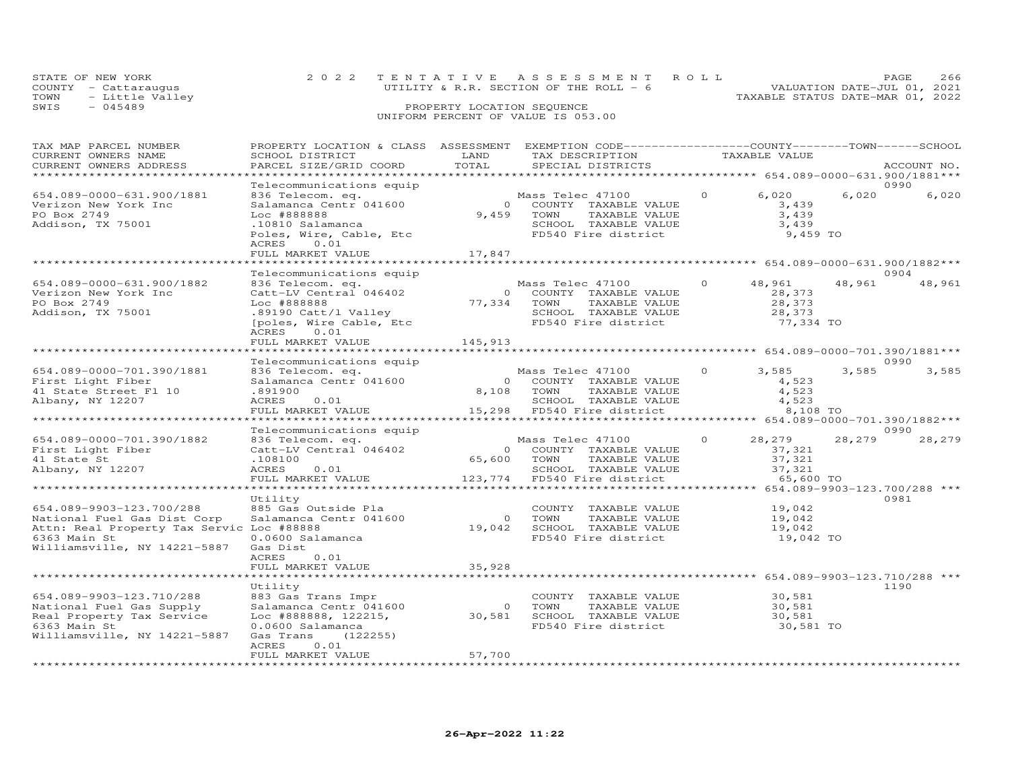| STATE OF NEW YORK |                      | 2022 TENTATIVE ASSESSMENT ROLL           | PAGE.                            | - 2.66 |  |
|-------------------|----------------------|------------------------------------------|----------------------------------|--------|--|
|                   | COUNTY - Cattarauqus | UTILITY & R.R. SECTION OF THE ROLL $-$ 6 | VALUATION DATE-JUL 01, 2021      |        |  |
|                   | TOWN - Little Valley |                                          | TAXABLE STATUS DATE-MAR 01, 2022 |        |  |
| SWIS              | - 045489             | PROPERTY LOCATION SEQUENCE               |                                  |        |  |
|                   |                      | UNIFORM PERCENT OF VALUE IS 053.00       |                                  |        |  |

| TAX MAP PARCEL NUMBER                     | PROPERTY LOCATION & CLASS ASSESSMENT EXEMPTION CODE----------------COUNTY-------TOWN-----SCHOOL |             |                                             |          |                                         |        |             |
|-------------------------------------------|-------------------------------------------------------------------------------------------------|-------------|---------------------------------------------|----------|-----------------------------------------|--------|-------------|
| CURRENT OWNERS NAME                       | SCHOOL DISTRICT                                                                                 | LAND        | TAX DESCRIPTION                             |          | TAXABLE VALUE                           |        |             |
| CURRENT OWNERS ADDRESS                    | PARCEL SIZE/GRID COORD                                                                          | TOTAL       | SPECIAL DISTRICTS                           |          |                                         |        | ACCOUNT NO. |
|                                           |                                                                                                 |             |                                             |          |                                         |        |             |
|                                           | Telecommunications equip                                                                        |             |                                             |          |                                         |        | 0990        |
| 654.089-0000-631.900/1881                 | 836 Telecom. eq.                                                                                |             | Mass Telec 47100                            | $\Omega$ | 6,020                                   | 6,020  | 6,020       |
| Verizon New York Inc                      | Salamanca Centr 041600                                                                          |             | 0 COUNTY TAXABLE VALUE                      |          | 3,439                                   |        |             |
| PO Box 2749                               | Loc #888888                                                                                     |             | 9,459 TOWN<br>TAXABLE VALUE                 |          | 3,439                                   |        |             |
|                                           |                                                                                                 |             |                                             |          | 3,439                                   |        |             |
| Addison, TX 75001                         | .10810 Salamanca                                                                                |             | SCHOOL TAXABLE VALUE                        |          |                                         |        |             |
|                                           | Poles, Wire, Cable, Etc                                                                         |             | FD540 Fire district                         |          | 9,459 TO                                |        |             |
|                                           | 0.01<br>ACRES                                                                                   |             |                                             |          |                                         |        |             |
|                                           | FULL MARKET VALUE                                                                               | 17,847      |                                             |          |                                         |        |             |
|                                           | ******************                                                                              |             |                                             |          |                                         |        |             |
|                                           | Telecommunications equip                                                                        |             |                                             |          |                                         |        | 0904        |
| 654.089-0000-631.900/1882                 | 836 Telecom. eq.                                                                                |             | Mass Telec 47100                            | $\Omega$ | 48,961                                  | 48,961 | 48,961      |
| Verizon New York Inc                      | Catt-LV Central 046402                                                                          |             | 0 COUNTY TAXABLE VALUE                      |          | 28,373                                  |        |             |
| PO Box 2749                               | Loc #888888                                                                                     |             | 77,334 TOWN<br>TAXABLE VALUE                |          | 28,373                                  |        |             |
| Addison, TX 75001                         | .89190 Catt/l Valley                                                                            |             |                                             |          |                                         |        |             |
|                                           | [poles, Wire Cable, Etc                                                                         |             | SCHOOL TAXABLE VALUE<br>FD540 Fire district |          | 28,373<br>77,334 TO                     |        |             |
|                                           | ACRES 0.01                                                                                      |             |                                             |          |                                         |        |             |
|                                           | FULL MARKET VALUE                                                                               | 145,913     |                                             |          |                                         |        |             |
|                                           |                                                                                                 |             |                                             |          |                                         |        |             |
|                                           | Telecommunications equip                                                                        |             |                                             |          |                                         |        | 0990        |
| 654.089-0000-701.390/1881                 | 836 Telecom. eq.                                                                                |             | Mass Telec 47100 0                          |          | 3,585                                   | 3,585  | 3,585       |
|                                           | Salamanca Centr 041600                                                                          |             |                                             |          |                                         |        |             |
| First Light Fiber                         |                                                                                                 |             | 0 COUNTY TAXABLE VALUE                      |          | 4,523                                   |        |             |
| 41 State Street Fl 10                     | .891900                                                                                         | 8,108 TOWN  | TAXABLE VALUE                               |          | 4,523                                   |        |             |
| Albany, NY 12207                          | ACRES 0.01                                                                                      |             | SCHOOL TAXABLE VALUE                        |          | 4,523                                   |        |             |
|                                           | FULL MARKET VALUE                                                                               |             | 15,298 FD540 Fire district                  |          | 8,108 TO                                |        |             |
|                                           | ***********************                                                                         |             |                                             |          |                                         |        |             |
|                                           | Telecommunications equip                                                                        |             |                                             |          |                                         |        | 0990        |
| 654.089-0000-701.390/1882                 | 836 Telecom. eq.                                                                                |             | Mass Telec 47100 0                          |          | 28,279                                  | 28,279 | 28,279      |
| First Light Fiber                         | Catt-LV Central 046402                                                                          |             | 0 COUNTY TAXABLE VALUE                      |          | 37,321                                  |        |             |
| 41 State St                               | .108100                                                                                         | 65,600 TOWN | TAXABLE VALUE                               |          | 37,321                                  |        |             |
| Albany, NY 12207                          | ACRES<br>0.01                                                                                   |             | SCHOOL TAXABLE VALUE                        |          | 37,321                                  |        |             |
|                                           | FULL MARKET VALUE                                                                               |             | 123,774 FD540 Fire district                 |          | 65,600 TO                               |        |             |
|                                           |                                                                                                 |             |                                             |          | ********** 654.089-9903-123.700/288 *** |        |             |
|                                           | Utility                                                                                         |             |                                             |          |                                         |        | 0981        |
| 654.089-9903-123.700/288                  | 885 Gas Outside Pla                                                                             |             | COUNTY TAXABLE VALUE                        |          | 19,042                                  |        |             |
| National Fuel Gas Dist Corp               | Salamanca Centr 041600                                                                          |             | 0 TOWN<br>TAXABLE VALUE                     |          | 19,042                                  |        |             |
| Attn: Real Property Tax Servic Loc #88888 |                                                                                                 |             | 19,042 SCHOOL TAXABLE VALUE                 |          | 19,042                                  |        |             |
| 6363 Main St                              | 0.0600 Salamanca                                                                                |             | FD540 Fire district                         |          | 19,042 TO                               |        |             |
| Williamsville, NY 14221-5887              | Gas Dist                                                                                        |             |                                             |          |                                         |        |             |
|                                           | ACRES<br>0.01                                                                                   |             |                                             |          |                                         |        |             |
|                                           | FULL MARKET VALUE                                                                               | 35,928      |                                             |          |                                         |        |             |
|                                           |                                                                                                 |             |                                             |          |                                         |        |             |
|                                           |                                                                                                 |             |                                             |          |                                         |        |             |
|                                           | Utility                                                                                         |             |                                             |          |                                         |        | 1190        |
| 654.089-9903-123.710/288                  | 883 Gas Trans Impr                                                                              |             | COUNTY TAXABLE VALUE                        |          | 30,581                                  |        |             |
| National Fuel Gas Supply                  | Salamanca Centr 041600                                                                          |             | 0 TOWN<br>TAXABLE VALUE                     |          | 30,581                                  |        |             |
| Real Property Tax Service                 |                                                                                                 |             |                                             |          | 30,581                                  |        |             |
| 6363 Main St                              | 0.0600 Salamanca                                                                                |             | FD540 Fire district                         |          | 30,581 TO                               |        |             |
| Williamsville, NY 14221-5887              | (122255)<br>Gas Trans                                                                           |             |                                             |          |                                         |        |             |
|                                           | 0.01<br>ACRES                                                                                   |             |                                             |          |                                         |        |             |
|                                           | FULL MARKET VALUE                                                                               | 57,700      |                                             |          |                                         |        |             |
|                                           |                                                                                                 |             |                                             |          |                                         |        |             |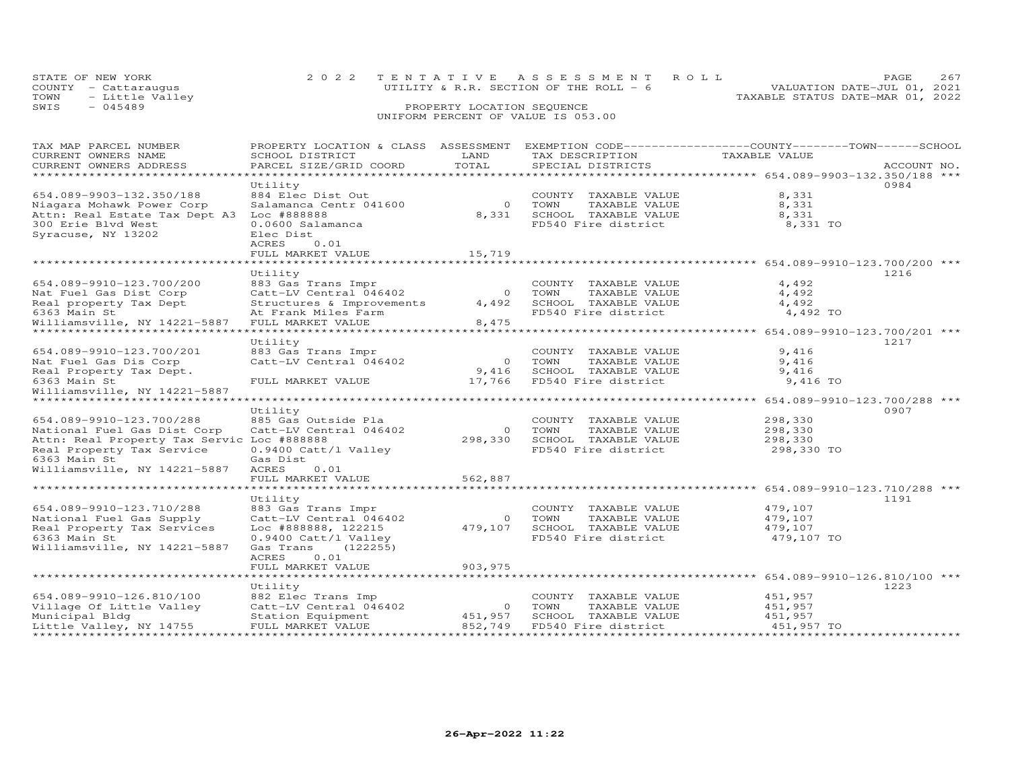| STATE OF NEW YORK       | 2022 TENTATIVE ASSESSMENT ROLL          | 2.67<br>PAGE                     |  |
|-------------------------|-----------------------------------------|----------------------------------|--|
| COUNTY - Cattaraugus    | UTILITY & R.R. SECTION OF THE ROLL $-6$ | VALUATION DATE-JUL 01, 2021      |  |
| - Little Valley<br>TOWN |                                         | TAXABLE STATUS DATE-MAR 01, 2022 |  |
| SWIS<br>$-045489$       | PROPERTY LOCATION SEQUENCE              |                                  |  |
|                         |                                         |                                  |  |

# UNIFORM PERCENT OF VALUE IS 053.00

| TAX MAP PARCEL NUMBER<br>CURRENT OWNERS NAME<br>CURRENT OWNERS ADDRESS<br>***********************                                                  | PROPERTY LOCATION & CLASS ASSESSMENT<br>SCHOOL DISTRICT<br>PARCEL SIZE/GRID COORD                                                     | LAND<br>TOTAL      | TAX DESCRIPTION<br>SPECIAL DISTRICTS                                                            | EXEMPTION CODE-----------------COUNTY-------TOWN------SCHOOL<br>TAXABLE VALUE | ACCOUNT NO. |
|----------------------------------------------------------------------------------------------------------------------------------------------------|---------------------------------------------------------------------------------------------------------------------------------------|--------------------|-------------------------------------------------------------------------------------------------|-------------------------------------------------------------------------------|-------------|
| 654.089-9903-132.350/188<br>Niagara Mohawk Power Corp                                                                                              | Utility<br>884 Elec Dist Out<br>Salamanca Centr 041600                                                                                | $\Omega$           | COUNTY TAXABLE VALUE<br>TOWN<br>TAXABLE VALUE                                                   | 8,331<br>8,331                                                                | 0984        |
| Attn: Real Estate Tax Dept A3<br>300 Erie Blvd West<br>Syracuse, NY 13202                                                                          | Loc #888888<br>0.0600 Salamanca<br>Elec Dist<br>ACRES<br>0.01                                                                         | 8,331              | SCHOOL TAXABLE VALUE<br>FD540 Fire district                                                     | 8,331<br>8,331 TO                                                             |             |
|                                                                                                                                                    | FULL MARKET VALUE<br>****************                                                                                                 | 15,719             |                                                                                                 | ******************* 654.089-9910-123.700/200 ***                              |             |
| 654.089-9910-123.700/200                                                                                                                           | Utility<br>883 Gas Trans Impr                                                                                                         |                    | COUNTY TAXABLE VALUE                                                                            | 4,492                                                                         | 1216        |
| Nat Fuel Gas Dist Corp<br>Real property Tax Dept<br>6363 Main St                                                                                   | Catt-LV Central 046402<br>Structures & Improvements                                                                                   | $\circ$<br>4,492   | TAXABLE VALUE<br>TOWN<br>SCHOOL TAXABLE VALUE<br>FD540 Fire district                            | 4,492<br>4,492<br>4,492 TO                                                    |             |
| Williamsville, NY 14221-5887                                                                                                                       | At Frank Miles Farm<br>FULL MARKET VALUE                                                                                              | 8,475              |                                                                                                 |                                                                               |             |
|                                                                                                                                                    | Utility                                                                                                                               |                    |                                                                                                 | ******** 654.089-9910-123.700/201 ***                                         | 1217        |
| 654.089-9910-123.700/201<br>Nat Fuel Gas Dis Corp<br>Real Property Tax Dept.                                                                       | 883 Gas Trans Impr<br>Catt-LV Central 046402                                                                                          | $\circ$<br>9,416   | COUNTY TAXABLE VALUE<br>TOWN<br>TAXABLE VALUE<br>SCHOOL TAXABLE VALUE                           | 9,416<br>9,416<br>9,416                                                       |             |
| 6363 Main St<br>Williamsville, NY 14221-5887                                                                                                       | FULL MARKET VALUE                                                                                                                     | 17,766             | FD540 Fire district                                                                             | 9,416 TO                                                                      |             |
| ************************                                                                                                                           | Utility                                                                                                                               |                    |                                                                                                 |                                                                               | 0907        |
| 654.089-9910-123.700/288<br>National Fuel Gas Dist Corp<br>Attn: Real Property Tax Servic Loc #888888<br>Real Property Tax Service<br>6363 Main St | 885 Gas Outside Pla<br>Catt-LV Central 046402<br>0.9400 Catt/l Valley<br>Gas Dist                                                     | $\circ$<br>298,330 | COUNTY<br>TAXABLE VALUE<br>TOWN<br>TAXABLE VALUE<br>SCHOOL TAXABLE VALUE<br>FD540 Fire district | 298,330<br>298,330<br>298,330<br>298,330 TO                                   |             |
| Williamsville, NY 14221-5887                                                                                                                       | ACRES<br>0.01<br>FULL MARKET VALUE                                                                                                    | 562,887            |                                                                                                 |                                                                               |             |
|                                                                                                                                                    | Utility                                                                                                                               |                    |                                                                                                 | ******************* 654.089-9910-123.710/288 ***                              | 1191        |
| 654.089-9910-123.710/288<br>National Fuel Gas Supply<br>Real Property Tax Services<br>6363 Main St<br>Williamsville, NY 14221-5887                 | 883 Gas Trans Impr<br>Catt-LV Central 046402<br>Loc #888888, 122215<br>0.9400 Catt/l Valley<br>(122255)<br>Gas Trans<br>ACRES<br>0.01 | $\circ$<br>479,107 | COUNTY TAXABLE VALUE<br>TOWN<br>TAXABLE VALUE<br>SCHOOL TAXABLE VALUE<br>FD540 Fire district    | 479,107<br>479,107<br>479,107<br>479,107 TO                                   |             |
|                                                                                                                                                    | FULL MARKET VALUE                                                                                                                     | 903, 975           |                                                                                                 | *********** 654.089-9910-126.810/100 ***                                      |             |
| 654.089-9910-126.810/100<br>Village Of Little Valley<br>Municipal Bldg                                                                             | Utility<br>882 Elec Trans Imp<br>Catt-LV Central 046402<br>Station Equipment                                                          | $\circ$<br>451,957 | COUNTY TAXABLE VALUE<br>TOWN<br>TAXABLE VALUE<br>SCHOOL TAXABLE VALUE                           | 451,957<br>451,957<br>451,957                                                 | 1223        |
| Little Valley, NY 14755<br>*******************                                                                                                     | FULL MARKET VALUE<br>***********************                                                                                          | 852,749            | FD540 Fire district                                                                             | 451,957 TO<br>* * * * * * * * * * * * *                                       |             |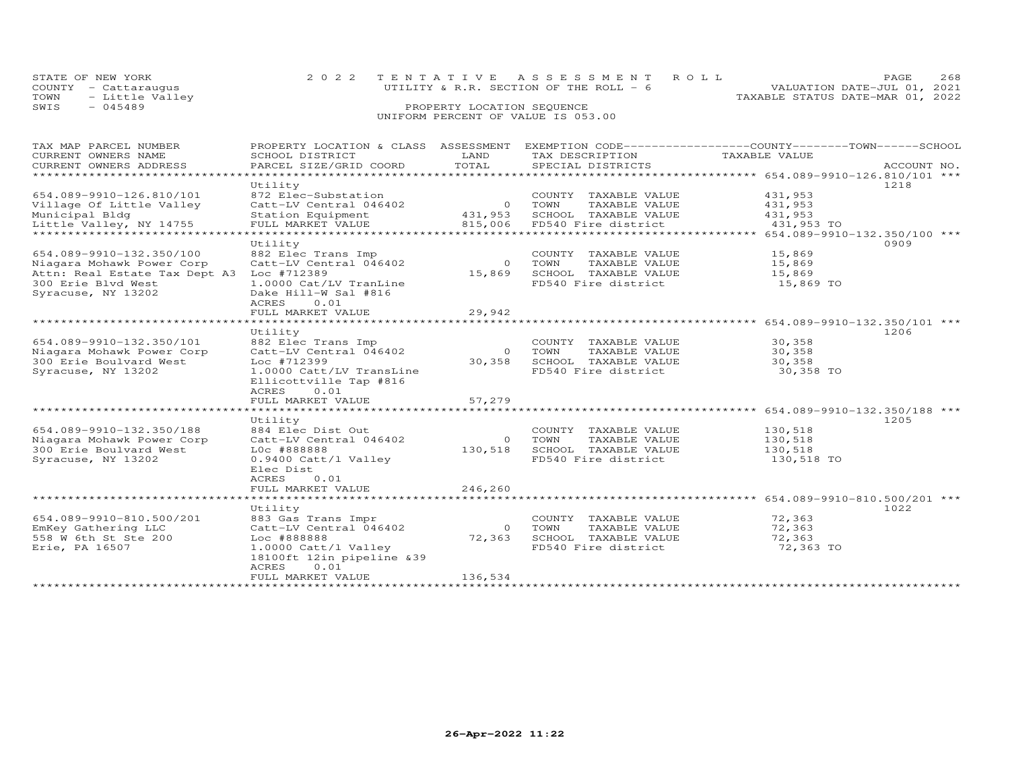|      | STATE OF NEW YORK    | 2022 TENTATIVE ASSESSMENT ROLL          | 268<br>PAGE                      |
|------|----------------------|-----------------------------------------|----------------------------------|
|      | COUNTY - Cattaraugus | UTILITY & R.R. SECTION OF THE ROLL $-6$ | VALUATION DATE-JUL 01, 2021      |
| TOWN | - Little Valley      |                                         | TAXABLE STATUS DATE-MAR 01, 2022 |
| SWIS | $-045489$            | PROPERTY LOCATION SEQUENCE              |                                  |
|      |                      | UNIFORM PERCENT OF VALUE IS 053.00      |                                  |

| TAX MAP PARCEL NUMBER<br>CURRENT OWNERS NAME        | PROPERTY LOCATION & CLASS ASSESSMENT<br>SCHOOL DISTRICT | LAND       | TAX DESCRIPTION                       | EXEMPTION CODE-----------------COUNTY-------TOWN------SCHOOL<br>TAXABLE VALUE |             |  |
|-----------------------------------------------------|---------------------------------------------------------|------------|---------------------------------------|-------------------------------------------------------------------------------|-------------|--|
| CURRENT OWNERS ADDRESS                              | PARCEL SIZE/GRID COORD                                  | TOTAL      | SPECIAL DISTRICTS                     |                                                                               | ACCOUNT NO. |  |
| *************************                           | Utility                                                 |            |                                       |                                                                               | 1218        |  |
| 654.089-9910-126.810/101                            | 872 Elec-Substation                                     |            | COUNTY TAXABLE VALUE                  | 431,953                                                                       |             |  |
| Village Of Little Valley                            | Catt-LV Central 046402                                  | $\bigcirc$ | TOWN<br>TAXABLE VALUE                 | 431,953                                                                       |             |  |
| Municipal Bldg                                      | Station Equipment                                       | 431,953    | SCHOOL TAXABLE VALUE                  | 431,953                                                                       |             |  |
| Little Valley, NY 14755                             | FULL MARKET VALUE                                       | 815,006    | FD540 Fire district                   | 431,953 TO                                                                    |             |  |
| ****************************                        | ***********************                                 |            |                                       | **** 654.089-9910-132.350/100 ***                                             |             |  |
|                                                     | Utility                                                 |            |                                       |                                                                               | 0909        |  |
| 654.089-9910-132.350/100                            | 882 Elec Trans Imp                                      |            | COUNTY TAXABLE VALUE                  | 15,869                                                                        |             |  |
| Niagara Mohawk Power Corp                           | Catt-LV Central 046402                                  | $\Omega$   | TOWN<br>TAXABLE VALUE                 | 15,869                                                                        |             |  |
| Attn: Real Estate Tax Dept A3                       | Loc #712389                                             | 15,869     | SCHOOL TAXABLE VALUE                  | 15,869                                                                        |             |  |
| 300 Erie Blvd West                                  | 1.0000 Cat/LV TranLine                                  |            | FD540 Fire district                   | 15,869 TO                                                                     |             |  |
| Syracuse, NY 13202                                  | Dake Hill-W Sal #816                                    |            |                                       |                                                                               |             |  |
|                                                     | ACRES<br>0.01                                           |            |                                       |                                                                               |             |  |
|                                                     | FULL MARKET VALUE                                       | 29,942     |                                       |                                                                               |             |  |
|                                                     | *******************                                     |            |                                       | ******************** 654.089-9910-132.350/101 ***                             |             |  |
|                                                     | Utility                                                 |            |                                       |                                                                               | 1206        |  |
| 654.089-9910-132.350/101                            | 882 Elec Trans Imp                                      |            | COUNTY TAXABLE VALUE                  | 30,358                                                                        |             |  |
| Niagara Mohawk Power Corp                           | Catt-LV Central 046402                                  | $\Omega$   | TOWN<br>TAXABLE VALUE                 | 30,358                                                                        |             |  |
| 300 Erie Boulvard West                              | Loc #712399                                             | 30,358     | SCHOOL TAXABLE VALUE                  | 30,358                                                                        |             |  |
| Syracuse, NY 13202                                  | 1.0000 Catt/LV TransLine                                |            | FD540 Fire district                   | 30,358 TO                                                                     |             |  |
|                                                     | Ellicottville Tap #816                                  |            |                                       |                                                                               |             |  |
|                                                     | ACRES<br>0.01                                           |            |                                       |                                                                               |             |  |
|                                                     | FULL MARKET VALUE                                       | 57,279     |                                       |                                                                               |             |  |
|                                                     |                                                         |            |                                       | ******************* 654.089-9910-132.350/188 ***                              |             |  |
|                                                     | Utility                                                 |            |                                       |                                                                               | 1205        |  |
| 654.089-9910-132.350/188                            | 884 Elec Dist Out                                       | $\Omega$   | COUNTY TAXABLE VALUE<br>TOWN          | 130,518                                                                       |             |  |
| Niagara Mohawk Power Corp<br>300 Erie Boulvard West | Catt-LV Central 046402<br>LOC #888888                   | 130,518    | TAXABLE VALUE<br>SCHOOL TAXABLE VALUE | 130,518<br>130,518                                                            |             |  |
| Syracuse, NY 13202                                  | 0.9400 Catt/l Valley                                    |            | FD540 Fire district                   | 130,518 TO                                                                    |             |  |
|                                                     | Elec Dist                                               |            |                                       |                                                                               |             |  |
|                                                     | ACRES<br>0.01                                           |            |                                       |                                                                               |             |  |
|                                                     | FULL MARKET VALUE                                       | 246,260    |                                       |                                                                               |             |  |
|                                                     | ********************                                    |            |                                       | *********** 654.089-9910-810.500/201 ***                                      |             |  |
|                                                     | Utility                                                 |            |                                       |                                                                               | 1022        |  |
| 654.089-9910-810.500/201                            | 883 Gas Trans Impr                                      |            | COUNTY TAXABLE VALUE                  | 72,363                                                                        |             |  |
| EmKey Gathering LLC                                 | Catt-LV Central 046402                                  | $\Omega$   | TOWN<br>TAXABLE VALUE                 | 72,363                                                                        |             |  |
| 558 W 6th St Ste 200                                | Loc #888888                                             | 72,363     | SCHOOL TAXABLE VALUE                  | 72,363                                                                        |             |  |
| Erie, PA 16507                                      | 1.0000 Catt/l Valley                                    |            | FD540 Fire district                   | 72,363 TO                                                                     |             |  |
|                                                     | 18100ft 12in pipeline &39                               |            |                                       |                                                                               |             |  |
|                                                     | ACRES<br>0.01                                           |            |                                       |                                                                               |             |  |
|                                                     | FULL MARKET VALUE                                       | 136,534    |                                       |                                                                               |             |  |
|                                                     |                                                         |            |                                       |                                                                               |             |  |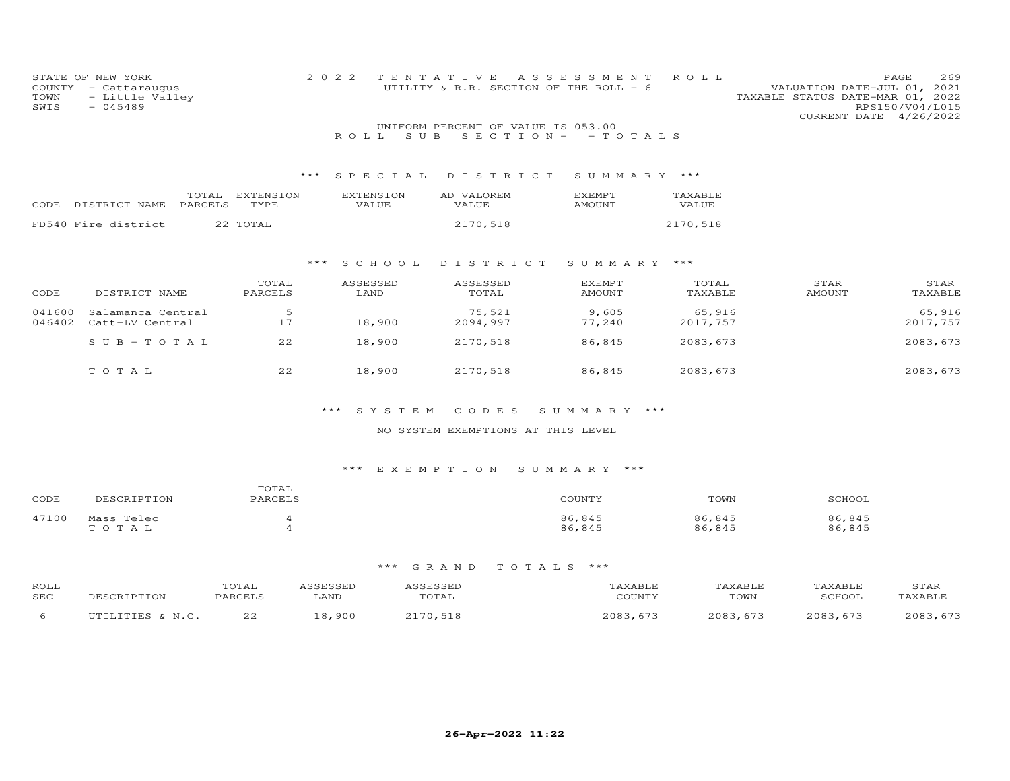| COUNTY<br>TOWN<br>SWIS | STATE OF NEW YORK<br>- Cattaraugus<br>- Little Valley<br>$-045489$ |           |       | 2 0 2 2          | TENTATIVE<br>UTILITY & R.R. SECTION OF THE ROLL - 6 | A S S E S S M E N T | ROLL     | PAGE<br>VALUATION DATE-JUL 01, 2021<br>TAXABLE STATUS DATE-MAR 01, 2022<br>RPS150/V04/L015<br>CURRENT DATE | 269<br>4/26/2022 |
|------------------------|--------------------------------------------------------------------|-----------|-------|------------------|-----------------------------------------------------|---------------------|----------|------------------------------------------------------------------------------------------------------------|------------------|
|                        |                                                                    |           |       |                  | UNIFORM PERCENT OF VALUE IS 053.00                  |                     |          |                                                                                                            |                  |
|                        |                                                                    |           |       | S U B<br>ROLL.   | SECTION-                                            | - TOTALS            |          |                                                                                                            |                  |
|                        |                                                                    |           |       |                  |                                                     |                     |          |                                                                                                            |                  |
|                        |                                                                    |           | ***   | SPECIAL          | DISTRICT                                            | SUMMARY             | ***      |                                                                                                            |                  |
|                        | TOTAL                                                              | EXTENSION |       | <b>EXTENSION</b> | AD VALOREM                                          | <b>EXEMPT</b>       | TAXABLE  |                                                                                                            |                  |
| CODE                   | PARCELS<br>DISTRICT NAME                                           | TYPE      |       | VALUE            | <b>VALUE</b>                                        | <b>AMOUNT</b>       | VALUE    |                                                                                                            |                  |
|                        | FD540 Fire district                                                | 22 TOTAL  |       |                  | 2170,518                                            |                     | 2170,518 |                                                                                                            |                  |
|                        |                                                                    |           |       |                  |                                                     |                     |          |                                                                                                            |                  |
|                        |                                                                    |           |       |                  |                                                     |                     |          |                                                                                                            |                  |
|                        |                                                                    |           | $***$ | SCHOOL           | DISTRICT                                            | SUMMARY ***         |          |                                                                                                            |                  |
|                        |                                                                    | TOTAL     |       | ASSESSED         | ASSESSED                                            | EXEMPT              | TOTAL    | STAR                                                                                                       | STAR             |
| CODE                   | DISTRICT NAME                                                      | PARCELS   |       | LAND             | TOTAL                                               | <b>AMOUNT</b>       | TAXABLE  | <b>AMOUNT</b>                                                                                              | TAXABLE          |
| 041600                 | Salamanca Central                                                  | 5         |       |                  | 75,521                                              | 9,605               | 65,916   |                                                                                                            | 65,916           |
| 046402                 | Catt-LV Central                                                    | 17        |       | 18,900           | 2094,997                                            | 77,240              | 2017,757 |                                                                                                            | 2017,757         |
|                        | $SUB - TO TAL$                                                     | 22        |       | 18,900           | 2170,518                                            | 86,845              | 2083,673 |                                                                                                            | 2083, 673        |
|                        |                                                                    |           |       |                  |                                                     |                     |          |                                                                                                            |                  |
|                        | TOTAL                                                              | 22        |       | 18,900           | 2170,518                                            | 86,845              | 2083,673 |                                                                                                            | 2083, 673        |
|                        |                                                                    |           |       |                  |                                                     |                     |          |                                                                                                            |                  |
|                        |                                                                    |           |       |                  |                                                     |                     |          |                                                                                                            |                  |

# NO SYSTEM EXEMPTIONS AT THIS LEVEL

# \*\*\* E X E M P T I O N S U M M A R Y \*\*\*

| CODE  | DESCRIPTION         | TOTAL<br>PARCELS | COUNTY           | TOWN             | SCHOOL           |
|-------|---------------------|------------------|------------------|------------------|------------------|
| 47100 | Mass Telec<br>TOTAL |                  | 86,845<br>86,845 | 86,845<br>86,845 | 86,845<br>86,845 |

| ROLL<br>SEC | DESCRIPTION       | 'OTAI<br>PARCELS | LAND  | <i><b>SSESSED</b></i><br>TOTAL | 'AXABLE<br>COUNTY | TAXABLE<br>TOWN | TAXABLE<br>SCHOOL | STAR<br><b>TAXABLE</b> |
|-------------|-------------------|------------------|-------|--------------------------------|-------------------|-----------------|-------------------|------------------------|
|             | ית הידידו היותר ל | っっ<br>ے ے        | 8,900 | 2170,518                       | 2083,<br>67.3     | 2083.673        | 2083,673          | 2083                   |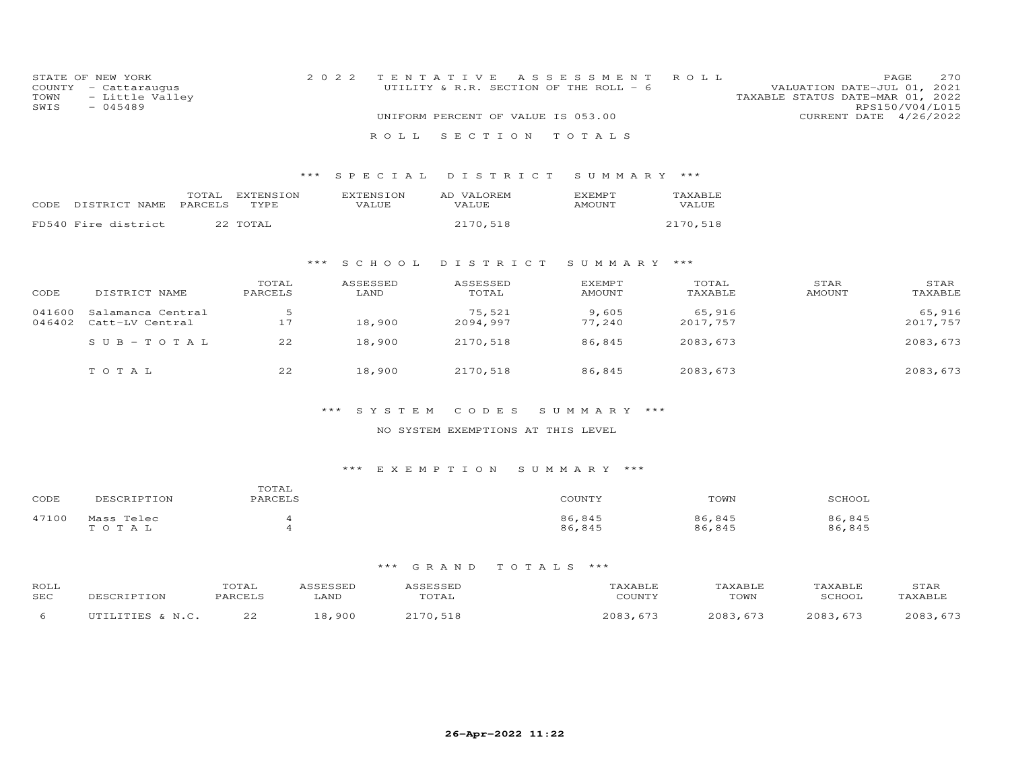| COUNTY<br>TOWN<br>SWIS | STATE OF NEW YORK<br>- Cattaraugus<br>- Little Valley<br>$-045489$ |                          | 2 0 2 2<br>ROLL.          | TENTATIVE<br>UTILITY & R.R. SECTION OF THE ROLL - 6<br>UNIFORM PERCENT OF VALUE IS 053.00<br>SECTION | A S S E S S M E N T<br>TOTALS  | ROLL               | VALUATION DATE-JUL 01, 2021<br>TAXABLE STATUS DATE-MAR 01, 2022<br>CURRENT DATE | 270<br>PAGE<br>RPS150/V04/L015<br>4/26/2022 |
|------------------------|--------------------------------------------------------------------|--------------------------|---------------------------|------------------------------------------------------------------------------------------------------|--------------------------------|--------------------|---------------------------------------------------------------------------------|---------------------------------------------|
|                        |                                                                    | $***$                    | SPECIAL                   | DISTRICT                                                                                             | SUMMARY                        | ***                |                                                                                 |                                             |
| CODE                   | TOTAL<br>DISTRICT NAME<br>PARCELS                                  | <b>EXTENSION</b><br>TYPE | <b>EXTENSION</b><br>VALUE | AD VALOREM<br>VALUE                                                                                  | <b>EXEMPT</b><br><b>AMOUNT</b> | TAXABLE<br>VALUE   |                                                                                 |                                             |
|                        | FD540 Fire district                                                | 22 TOTAL                 |                           | 2170,518                                                                                             |                                | 2170,518           |                                                                                 |                                             |
|                        |                                                                    | * * *                    | S C H O O L               | DISTRICT                                                                                             | SUMMARY ***                    |                    |                                                                                 |                                             |
| CODE                   | DISTRICT NAME                                                      | TOTAL<br>PARCELS         | ASSESSED<br>LAND          | ASSESSED<br>TOTAL                                                                                    | <b>EXEMPT</b><br>AMOUNT        | TOTAL<br>TAXABLE   | STAR<br><b>AMOUNT</b>                                                           | STAR<br>TAXABLE                             |
| 041600<br>046402       | Salamanca Central<br>Catt-LV Central                               | -5<br>17                 | 18,900                    | 75,521<br>2094,997                                                                                   | 9,605<br>77,240                | 65,916<br>2017,757 |                                                                                 | 65,916<br>2017,757                          |
|                        | $S \cup B - T \cup T A$ L                                          | 22                       | 18,900                    | 2170,518                                                                                             | 86,845                         | 2083,673           |                                                                                 | 2083, 673                                   |
|                        | TOTAL                                                              | 22                       | 18,900                    | 2170,518                                                                                             | 86,845                         | 2083,673           |                                                                                 | 2083, 673                                   |

### NO SYSTEM EXEMPTIONS AT THIS LEVEL

# \*\*\* E X E M P T I O N S U M M A R Y \*\*\*

| CODE  | DESCRIPTION         | エヘエスエ<br>TOTAT<br>PARCELS | COUNTY           | TOWN             | SCHOOL           |
|-------|---------------------|---------------------------|------------------|------------------|------------------|
| 47100 | Mass Telec<br>TOTAL |                           | 86,845<br>86,845 | 86,845<br>86,845 | 86,845<br>86,845 |

| ROLL<br>SEC | OESCRIPTION | TOTAL<br><b>PARCEL</b> | <i><b>SSESSED</b></i><br>LAND | 1 S S F S S F L<br>TOTAL      | TAXABLE<br>COUNTY | TAXABLE<br>TOWN | TAXABLE<br>SCHOOL | STAR<br><b>TAXABLE</b> |
|-------------|-------------|------------------------|-------------------------------|-------------------------------|-------------------|-----------------|-------------------|------------------------|
|             | UTILITIES & | つつ                     | ,900<br>ົດ.                   | $\bigcap$ $\bigcap$<br>70,518 | 2083.<br>$.67-$   | 2083.673        | 2083.673          | 2083                   |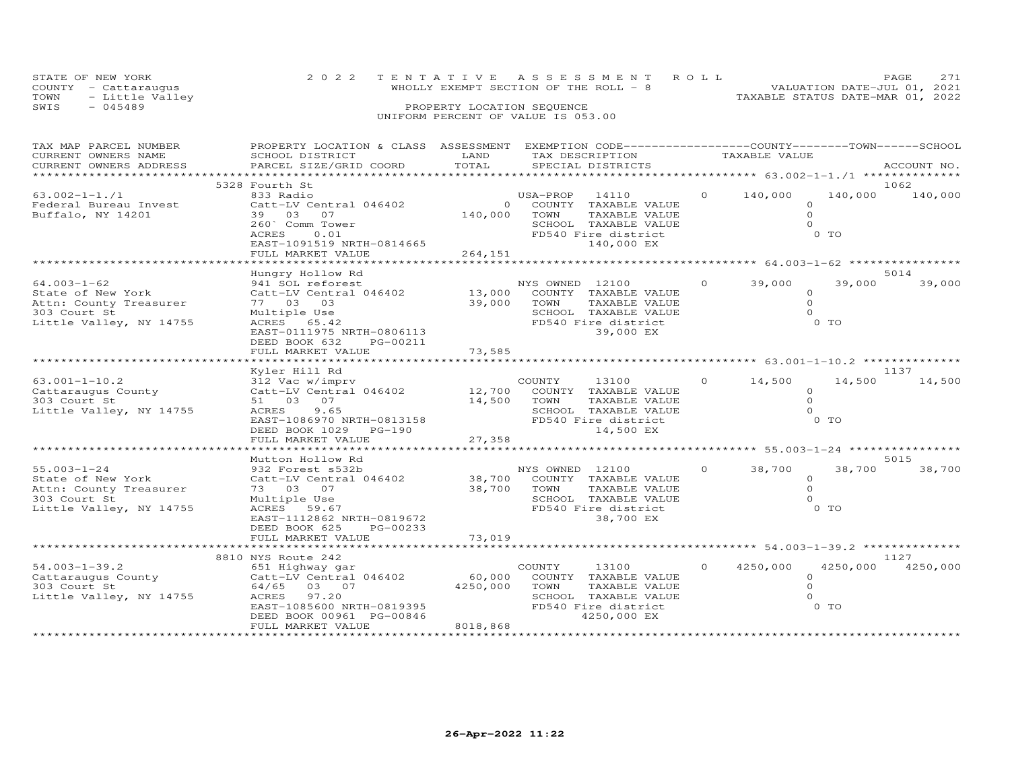| STATE OF NEW YORK |                      |                                    | 2022 TENTATIVE ASSESSMENT ROLL         |                                  | PAGE.                       |  |
|-------------------|----------------------|------------------------------------|----------------------------------------|----------------------------------|-----------------------------|--|
|                   | COUNTY - Cattaraugus |                                    | WHOLLY EXEMPT SECTION OF THE ROLL $-8$ |                                  | VALUATION DATE-JUL 01, 2021 |  |
| TOWN              | - Little Valley      |                                    |                                        | TAXABLE STATUS DATE-MAR 01, 2022 |                             |  |
| SWIS              | $-045489$            | PROPERTY LOCATION SEQUENCE         |                                        |                                  |                             |  |
|                   |                      | UNIFORM PERCENT OF VALUE IS 053.00 |                                        |                                  |                             |  |

| TAX MAP PARCEL NUMBER<br>CURRENT OWNERS NAME                                                                | PROPERTY LOCATION & CLASS ASSESSMENT<br>SCHOOL DISTRICT                                                                                                                                  | LAND                           | EXEMPTION CODE-----------------COUNTY-------TOWN------SCHOOL<br>TAX DESCRIPTION                                                | TAXABLE VALUE        |                                                        |                 |
|-------------------------------------------------------------------------------------------------------------|------------------------------------------------------------------------------------------------------------------------------------------------------------------------------------------|--------------------------------|--------------------------------------------------------------------------------------------------------------------------------|----------------------|--------------------------------------------------------|-----------------|
| CURRENT OWNERS ADDRESS                                                                                      | PARCEL SIZE/GRID COORD                                                                                                                                                                   | TOTAL                          | SPECIAL DISTRICTS                                                                                                              |                      |                                                        | ACCOUNT NO.     |
|                                                                                                             | *********************************                                                                                                                                                        |                                |                                                                                                                                |                      |                                                        |                 |
|                                                                                                             | 5328 Fourth St                                                                                                                                                                           |                                |                                                                                                                                |                      |                                                        | 1062            |
| $63.002 - 1 - 1.71$<br>Federal Bureau Invest<br>Buffalo, NY 14201                                           | 833 Radio<br>Catt-LV Central 046402<br>39 03<br>07<br>260` Comm Tower<br>ACRES<br>0.01<br>EAST-1091519 NRTH-0814665<br>FULL MARKET VALUE                                                 | $\Omega$<br>140,000<br>264,151 | USA-PROP 14110<br>COUNTY TAXABLE VALUE<br>TOWN<br>TAXABLE VALUE<br>SCHOOL TAXABLE VALUE<br>FD540 Fire district<br>140,000 EX   | 140,000<br>$\Omega$  | $\Omega$<br>$\Omega$<br>$\Omega$<br>0 TO               | 140,000 140,000 |
|                                                                                                             |                                                                                                                                                                                          |                                |                                                                                                                                |                      |                                                        |                 |
|                                                                                                             | Hungry Hollow Rd                                                                                                                                                                         |                                |                                                                                                                                |                      |                                                        | 5014            |
| $64.003 - 1 - 62$<br>State of New York<br>Attn: County Treasurer<br>303 Court St<br>Little Valley, NY 14755 | 941 SOL reforest<br>Catt-LV Central 046402<br>77 03 03<br>Multiple Use<br>ACRES 65.42<br>EAST-0111975 NRTH-0806113<br>DEED BOOK 632<br>PG-00211<br>FULL MARKET VALUE                     | 13,000<br>39,000<br>73,585     | NYS OWNED 12100<br>COUNTY TAXABLE VALUE<br>TOWN<br>TAXABLE VALUE<br>SCHOOL TAXABLE VALUE<br>FD540 Fire district<br>39,000 EX   | $\circ$<br>39,000    | 39,000<br>$\Omega$<br>$\Omega$<br>$\Omega$<br>O TO     | 39,000          |
|                                                                                                             |                                                                                                                                                                                          |                                |                                                                                                                                |                      |                                                        |                 |
|                                                                                                             | Kyler Hill Rd                                                                                                                                                                            |                                |                                                                                                                                |                      |                                                        | 1137            |
| $63.001 - 1 - 10.2$<br>Cattaraugus County<br>303 Court St<br>Little Valley, NY 14755                        | 312 Vac w/imprv<br>Catt-LV Central 046402<br>51 03 07<br>ACRES<br>9.65<br>EAST-1086970 NRTH-0813158<br>DEED BOOK 1029    PG-190<br>FULL MARKET VALUE                                     | 12,700<br>14,500<br>27,358     | COUNTY<br>13100<br>COUNTY TAXABLE VALUE<br>TAXABLE VALUE<br>TOWN<br>SCHOOL TAXABLE VALUE<br>FD540 Fire district<br>14,500 EX   | $\circ$<br>14,500    | 14,500<br>$\circ$<br>$\circ$<br>$\Omega$<br>$0$ TO     | 14,500          |
|                                                                                                             |                                                                                                                                                                                          |                                |                                                                                                                                |                      |                                                        |                 |
| $55.003 - 1 - 24$<br>State of New York<br>Attn: County Treasurer<br>303 Court St<br>Little Valley, NY 14755 | Mutton Hollow Rd<br>932 Forest s532b<br>Catt-LV Central 046402<br>73 03 07<br>Multiple Use<br>ACRES 59.67<br>EAST-1112862 NRTH-0819672<br>DEED BOOK 625<br>PG-00233<br>FULL MARKET VALUE | 38,700<br>38,700<br>73,019     | NYS OWNED 12100<br>COUNTY TAXABLE VALUE<br>TOWN<br>TAXABLE VALUE<br>SCHOOL TAXABLE VALUE<br>FD540 Fire district<br>38,700 EX   | $\circ$<br>38,700    | 38,700<br>$\Omega$<br>$\Omega$<br>$\Omega$<br>0 TO     | 5015<br>38,700  |
|                                                                                                             |                                                                                                                                                                                          |                                |                                                                                                                                |                      |                                                        |                 |
|                                                                                                             | 8810 NYS Route 242                                                                                                                                                                       |                                |                                                                                                                                |                      |                                                        | 1127            |
| $54.003 - 1 - 39.2$<br>Cattaraugus County<br>303 Court St<br>Little Valley, NY 14755                        | 651 Highway gar<br>Catt-LV Central 046402<br>64/65 03 07<br>ACRES 97.20<br>EAST-1085600 NRTH-0819395<br>DEED BOOK 00961 PG-00846<br>FULL MARKET VALUE                                    | 60,000<br>4250,000<br>8018,868 | COUNTY<br>13100<br>COUNTY TAXABLE VALUE<br>TOWN<br>TAXABLE VALUE<br>SCHOOL TAXABLE VALUE<br>FD540 Fire district<br>4250,000 EX | $\Omega$<br>4250,000 | 4250,000<br>$\Omega$<br>$\Omega$<br>$\Omega$<br>$0$ TO | 4250,000        |
|                                                                                                             |                                                                                                                                                                                          |                                |                                                                                                                                |                      |                                                        |                 |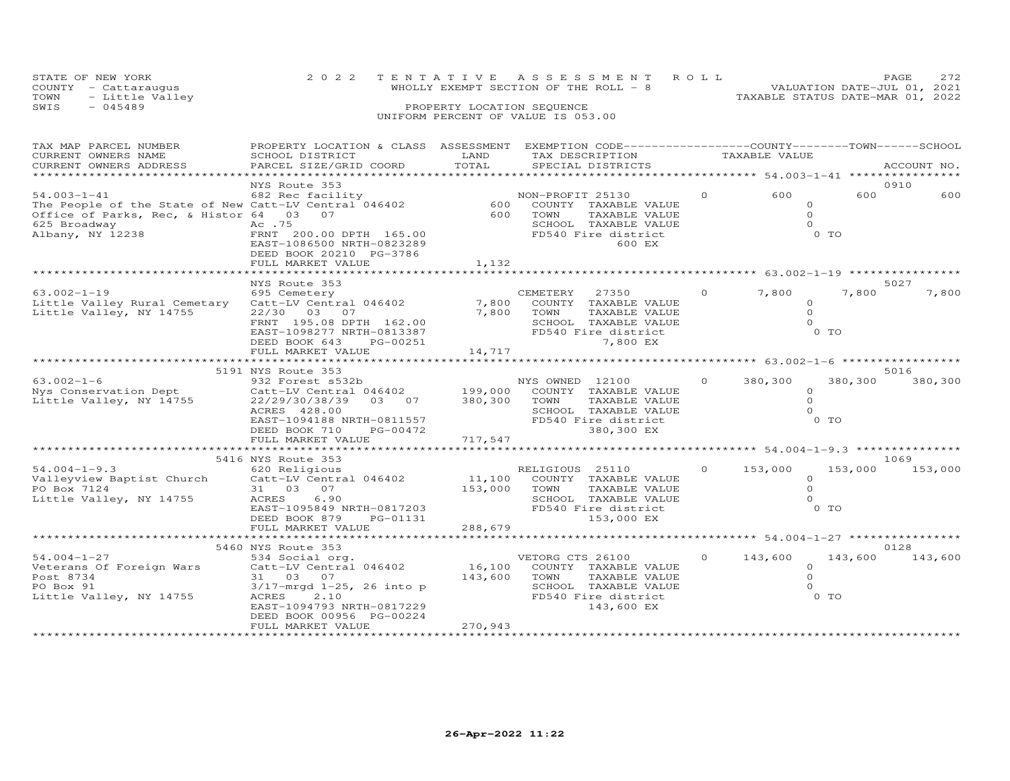|      | STATE OF NEW YORK    | 2022 TENTATIVE ASSESSMENT ROLL        | <b>PAGE</b>                 | 2.72 |
|------|----------------------|---------------------------------------|-----------------------------|------|
|      | COUNTY - Cattaraugus | WHOLLY EXEMPT SECTION OF THE ROLL - 8 | VALUATION DATE-JUL 01, 2021 |      |
| TOWN | - Little Valley      | TAXABLE STATUS DATE-MAR 01, 2022      |                             |      |
| SWIS | $-045489$            | PROPERTY LOCATION SEQUENCE            |                             |      |
|      |                      | UNIFORM PERCENT OF VALUE IS 053.00    |                             |      |

| TAX MAP PARCEL NUMBER<br>CURRENT OWNERS NAME<br>CURRENT OWNERS ADDRESS                                                                                               | PROPERTY LOCATION & CLASS ASSESSMENT EXEMPTION CODE----------------COUNTY-------TOWN-----SCHOOL<br>SCHOOL DISTRICT<br>PARCEL SIZE/GRID COORD                                                                                                    | LAND<br>TOTAL            | TAX DESCRIPTION TAXABLE VALUE<br>SPECIAL DISTRICTS                                                                                    |          |                                             |                              | ACCOUNT NO.             |
|----------------------------------------------------------------------------------------------------------------------------------------------------------------------|-------------------------------------------------------------------------------------------------------------------------------------------------------------------------------------------------------------------------------------------------|--------------------------|---------------------------------------------------------------------------------------------------------------------------------------|----------|---------------------------------------------|------------------------------|-------------------------|
| 54.003-1-41 682 Rec facility<br>The People of the State of New Catt-LV Central 046402<br>Office of Parks, Rec, & Histor 64 03 07<br>625 Broadway<br>Albany, NY 12238 | NYS Route 353<br>Ac .75<br>FRNT 200.00 DPTH 165.00<br>EAST-1086500 NRTH-0823289<br>DEED BOOK 20210 PG-3786<br>FULL MARKET VALUE                                                                                                                 | 600<br>600<br>1,132      | NON-PROFIT 25130<br>COUNTY TAXABLE VALUE<br>TOWN<br>TAXABLE VALUE<br>SCHOOL TAXABLE VALUE<br>FD540 Fire district<br>600 EX            | $\circ$  | 600<br>$\Omega$<br>$\Omega$                 | 600<br>$\circ$<br>0 TO       | 0910<br>600             |
|                                                                                                                                                                      | NYS Route 353                                                                                                                                                                                                                                   |                          |                                                                                                                                       |          |                                             |                              | 5027                    |
| $63.002 - 1 - 19$<br>Little Valley Rural Cemetary<br>Little Valley, NY 14755                                                                                         | 695 Cemetery<br>Catt-LV Central 046402<br>22/30 03 07<br>FRNT 195.08 DPTH 162.00<br>EAST-1098277 NRTH-0813387<br>DEED BOOK 643<br>PG-00251<br>FULL MARKET VALUE                                                                                 | 7,800<br>7,800<br>14,717 | CEMETERY<br>27350<br>COUNTY TAXABLE VALUE<br>TOWN<br>TAXABLE VALUE<br>SCHOOL TAXABLE VALUE<br>FD540 Fire district<br>7,800 EX         | $\Omega$ | 7,800<br>$\Omega$<br>$\Omega$               | 7,800<br>$\circ$<br>$0$ TO   | 7,800                   |
|                                                                                                                                                                      |                                                                                                                                                                                                                                                 |                          |                                                                                                                                       |          |                                             |                              |                         |
| $63.002 - 1 - 6$<br>Nys Conservation Dept<br>Little Valley, NY 14755                                                                                                 | 5191 NYS Route 353<br>932 Forest s532b<br>Catt-LV Central 046402 199,000 COUNTY TAXABLE VALUE<br>22/29/30/38/39 03 07 380,300 TOWN TAXABLE VALUE<br>ACRES 428.00<br>EAST-1094188 NRTH-0811557<br>PG-00472<br>DEED BOOK 710<br>FULL MARKET VALUE | 717,547                  | NYS OWNED 12100<br>SCHOOL TAXABLE VALUE<br>FD540 Fire district<br>380,300 EX                                                          | $\circ$  | 380,300<br>$\Omega$<br>$\Omega$             | 380,300<br>$\circ$<br>$0$ TO | 5016<br>380,300         |
|                                                                                                                                                                      |                                                                                                                                                                                                                                                 |                          |                                                                                                                                       |          |                                             |                              |                         |
| $54.004 - 1 - 9.3$<br>Valleyview Baptist Church<br>PO Box 7124<br>Little Valley, NY 14755                                                                            | 5416 NYS Route 353<br>620 Religious<br>Catt-LV Central 046402<br>31 03 07<br>ACRES<br>6.90<br>EAST-1095849 NRTH-0817203<br>PG-01131<br>DEED BOOK 879                                                                                            | 11,100<br>153,000        | RELIGIOUS 25110<br>COUNTY TAXABLE VALUE<br>TOWN<br>TAXABLE VALUE<br>SCHOOL TAXABLE VALUE<br>FD540 Fire district<br>153,000 EX         | $\circ$  | 153,000<br>$\circ$<br>$\Omega$              | $\circ$<br>0 TO              | 1069<br>153,000 153,000 |
|                                                                                                                                                                      | FULL MARKET VALUE                                                                                                                                                                                                                               | 288,679                  |                                                                                                                                       |          |                                             |                              |                         |
| $54.004 - 1 - 27$<br>Veterans Of Foreign Wars<br>Post 8734<br>PO Box 91<br>Little Valley, NY 14755                                                                   | 5460 NYS Route 353<br>534 Social org.<br>Catt-LV Central 046402<br>31 03 07<br>3/17-mrgd 1-25, 26 into p<br>2.10<br>ACRES<br>EAST-1094793 NRTH-0817229<br>DEED BOOK 00956 PG-00224<br>FULL MARKET VALUE                                         | 143,600<br>270,943       | VETORG CTS 26100<br>16,100 COUNTY TAXABLE VALUE<br>TOWN<br>TAXABLE VALUE<br>SCHOOL TAXABLE VALUE<br>FD540 Fire district<br>143,600 EX | $\circ$  | 143,600<br>$\Omega$<br>$\Omega$<br>$\Omega$ | 143,600<br>$0$ TO            | 0128<br>143,600         |
|                                                                                                                                                                      |                                                                                                                                                                                                                                                 |                          |                                                                                                                                       |          |                                             |                              |                         |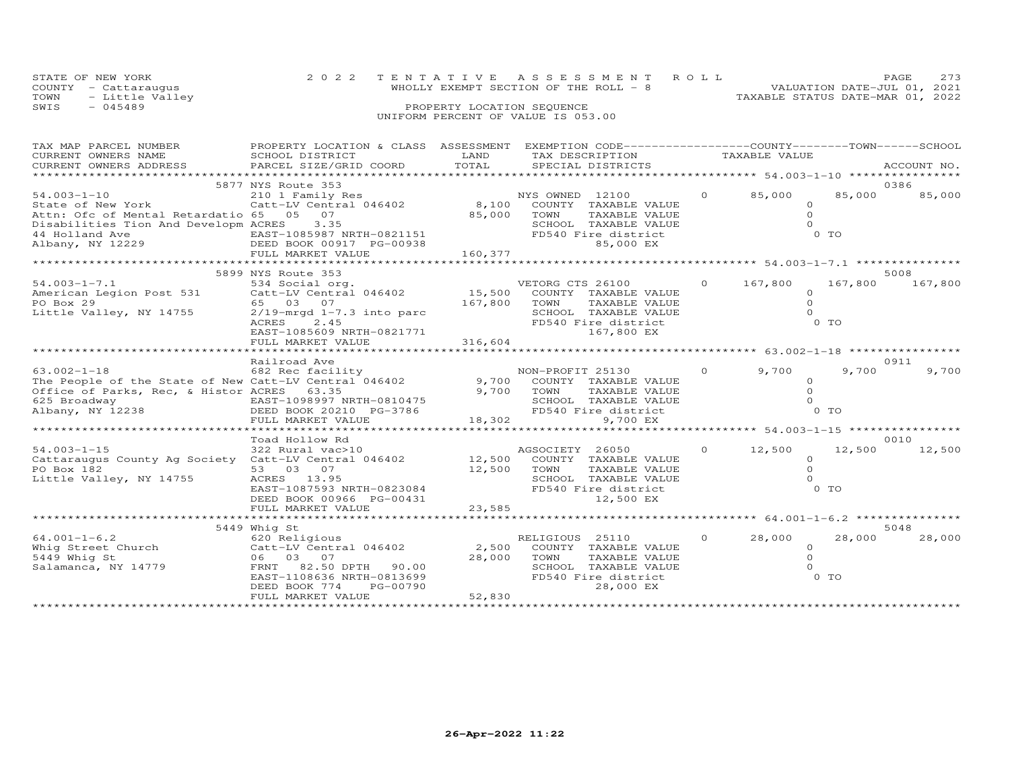| STATE OF NEW YORK       | 2022 TENTATIVE ASSESSMENT ROLL        | <b>PAGE</b>                      | 2.73 |
|-------------------------|---------------------------------------|----------------------------------|------|
| COUNTY - Cattaraugus    | WHOLLY EXEMPT SECTION OF THE ROLL - 8 | VALUATION DATE-JUL 01, 2021      |      |
| - Little Valley<br>TOWN |                                       | TAXABLE STATUS DATE-MAR 01, 2022 |      |
| SWIS<br>$-045489$       | PROPERTY LOCATION SEQUENCE            |                                  |      |
|                         | UNIFORM PERCENT OF VALUE IS 053.00    |                                  |      |

| TAX MAP PARCEL NUMBER<br>CURRENT OWNERS NAME                                                                                                                 | PROPERTY LOCATION & CLASS ASSESSMENT EXEMPTION CODE----------------COUNTY-------TOWN------SCHOOL<br>SCHOOL DISTRICT                                                              | LAND                         | TAX DESCRIPTION                                                                                                                          |                | TAXABLE VALUE                                        |                          |                 |
|--------------------------------------------------------------------------------------------------------------------------------------------------------------|----------------------------------------------------------------------------------------------------------------------------------------------------------------------------------|------------------------------|------------------------------------------------------------------------------------------------------------------------------------------|----------------|------------------------------------------------------|--------------------------|-----------------|
| CURRENT OWNERS ADDRESS                                                                                                                                       | PARCEL SIZE/GRID COORD                                                                                                                                                           | TOTAL                        | SPECIAL DISTRICTS                                                                                                                        |                |                                                      |                          | ACCOUNT NO.     |
| **********************************                                                                                                                           |                                                                                                                                                                                  |                              |                                                                                                                                          |                |                                                      |                          |                 |
|                                                                                                                                                              | 5877 NYS Route 353                                                                                                                                                               |                              |                                                                                                                                          |                |                                                      |                          | 0386            |
| $54.003 - 1 - 10$<br>State of New York<br>Attn: Ofc of Mental Retardatio 65 05 07<br>Disabilities Tion And Developm ACRES                                    | 210 1 Family Res<br>Catt-LV Central 046402<br>3.35<br>FULL MARKET VALUE                                                                                                          | 85,000<br>160,377            | NYS OWNED 12100<br>8,100 COUNTY TAXABLE VALUE<br>TOWN<br>TAXABLE VALUE<br>SCHOOL TAXABLE VALUE<br>FD540 Fire district<br>85,000 EX       | $\overline{0}$ | 85,000<br>$\circ$<br>$\Omega$                        | 85,000<br>$0$ TO         | 85,000          |
|                                                                                                                                                              |                                                                                                                                                                                  |                              |                                                                                                                                          |                |                                                      |                          |                 |
| $54.003 - 1 - 7.1$<br>American Legion Post 531<br>PO Box 29<br>Little Valley, NY 14755                                                                       | 5899 NYS Route 353<br>534 Social org.<br>Catt-LV Central 046402<br>65 03 07<br>$2/19$ -mrgd $1-7.3$ into parc<br>ACRES<br>2.45<br>EAST-1085609 NRTH-0821771<br>FULL MARKET VALUE | 15,500<br>167,800<br>316,604 | VETORG CTS 26100 0 167,800<br>COUNTY TAXABLE VALUE<br>TOWN<br>TAXABLE VALUE<br>SCHOOL TAXABLE VALUE<br>FD540 Fire district<br>167,800 EX |                | $\Omega$<br>$\Omega$<br>$\Omega$                     | 167,800<br>O TO          | 5008<br>167,800 |
|                                                                                                                                                              |                                                                                                                                                                                  |                              |                                                                                                                                          |                |                                                      |                          |                 |
| $63.002 - 1 - 18$<br>The People of the State of New Catt-LV Central 046402<br>Office of Parks, Rec, & Histor ACRES 63.35<br>625 Broadway<br>Albany, NY 12238 | Railroad Ave<br>682 Rec facility<br>EAST-1098997 NRTH-0810475<br>DEED BOOK 20210 PG-3786<br>FULL MARKET VALUE                                                                    | $-3786$<br>$-3786$<br>18,302 | NON-PROFIT 25130<br>9,700 COUNTY TAXABLE VALUE<br>9,700 TOWN<br>TAXABLE VALUE<br>SCHOOL TAXABLE VALUE<br>FD540 Fire district<br>9,700 EX | $\Omega$       | 9,700<br>$\Omega$<br>$\circ$                         | 9,700<br>0 <sub>0</sub>  | 0911<br>9,700   |
|                                                                                                                                                              |                                                                                                                                                                                  |                              |                                                                                                                                          |                | ********************** 54.003-1-15 ***************** |                          |                 |
| $54.003 - 1 - 15$<br>Cattaraugus County Ag Society Catt-LV Central 046402<br>PO Box 182<br>Little Valley, NY 14755                                           | Toad Hollow Rd<br>322 Rural vac>10<br>53 03 07<br>ACRES 13.95<br>EAST-1087593 NRTH-0823084<br>DEED BOOK 00966 PG-00431                                                           | 12,500<br>12,500             | AGSOCIETY 26050<br>COUNTY TAXABLE VALUE<br>TOWN<br>TAXABLE VALUE<br>SCHOOL TAXABLE VALUE<br>FD540 Fire district<br>12,500 EX             | $\circ$        | 12,500<br>$\circ$<br>$\circ$<br>$\Omega$             | 12,500<br>0 <sub>T</sub> | 0010<br>12,500  |
|                                                                                                                                                              | FULL MARKET VALUE                                                                                                                                                                | 23,585                       |                                                                                                                                          |                |                                                      |                          |                 |
|                                                                                                                                                              |                                                                                                                                                                                  |                              |                                                                                                                                          |                |                                                      |                          |                 |
| $64.001 - 1 - 6.2$<br>Whig Street Church Catt-LV Central 046402<br>5449 Whig St<br>Salamanca, NY 14779                                                       | 5449 Whig St<br>620 Religious<br>06 03 07<br>FRNT<br>82.50 DPTH 90.00<br>EAST-1108636 NRTH-0813699<br>PG-00790<br>DEED BOOK 774<br>FULL MARKET VALUE                             | 2,500<br>28,000<br>52,830    | RELIGIOUS 25110<br>COUNTY TAXABLE VALUE<br>TOWN<br>TAXABLE VALUE<br>SCHOOL TAXABLE VALUE<br>FD540 Fire district<br>28,000 EX             | $\circ$        | 28,000<br>$\circ$<br>$\circ$<br>$\Omega$             | 28,000<br>O TO           | 5048<br>28,000  |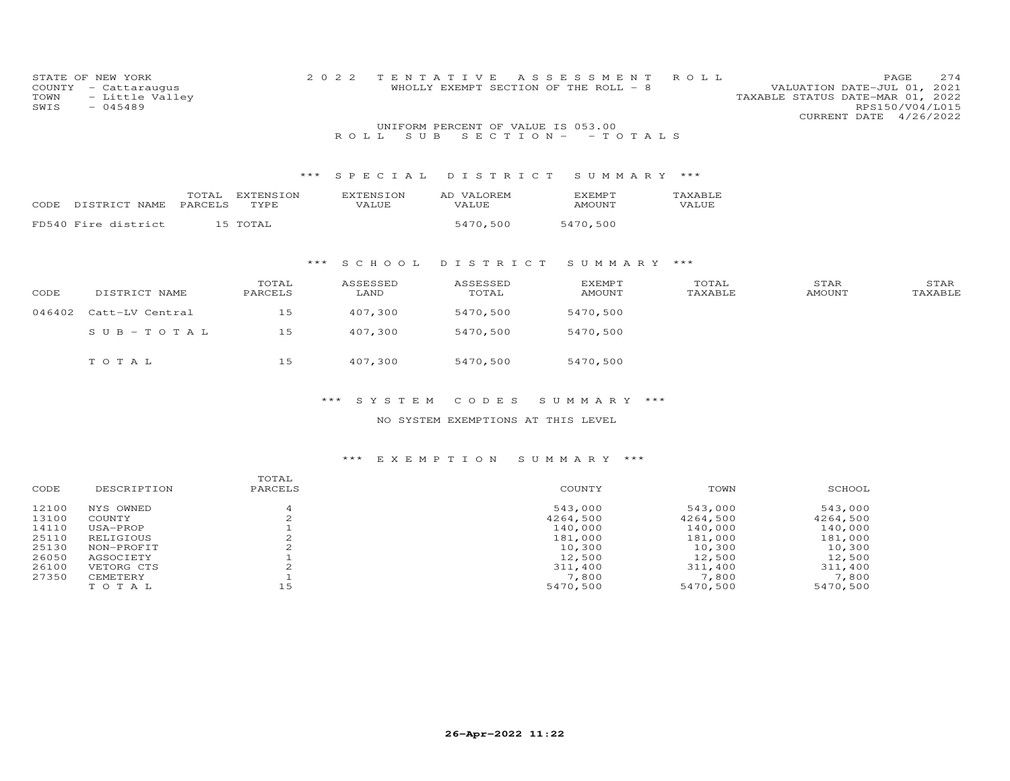| COUNTY<br>TOWN<br>SWIS | STATE OF NEW YORK<br>- Cattaraugus<br>- Little Valley<br>$-045489$ |                          | 2 0 2 2                   | TENTATIVE<br>WHOLLY EXEMPT SECTION OF THE ROLL - 8      | A S S E S S M E N T | ROLL             | VALUATION DATE-JUL 01, 2021<br>TAXABLE STATUS DATE-MAR 01, 2022<br>CURRENT DATE 4/26/2022 | 274<br>PAGE<br>RPS150/V04/L015 |
|------------------------|--------------------------------------------------------------------|--------------------------|---------------------------|---------------------------------------------------------|---------------------|------------------|-------------------------------------------------------------------------------------------|--------------------------------|
|                        |                                                                    |                          | S U B<br>ROLL.            | UNIFORM PERCENT OF VALUE IS 053.00<br>$S E C T I O N -$ | - TOTALS            |                  |                                                                                           |                                |
|                        |                                                                    | $***$                    | SPECIAL                   | DISTRICT                                                | SUMMARY ***         |                  |                                                                                           |                                |
| CODE                   | TOTAL<br>PARCELS<br>DISTRICT NAME                                  | <b>EXTENSION</b><br>TYPE | <b>EXTENSION</b><br>VALUE | AD VALOREM<br>VALUE                                     | EXEMPT<br>AMOUNT    | TAXABLE<br>VALUE |                                                                                           |                                |
|                        | FD540 Fire district                                                | 15 TOTAL                 |                           | 5470,500                                                | 5470,500            |                  |                                                                                           |                                |
|                        |                                                                    |                          |                           |                                                         |                     |                  |                                                                                           |                                |
|                        |                                                                    | ***                      | S C H O O L               | DISTRICT                                                | SUMMARY ***         |                  |                                                                                           |                                |
| CODE                   | DISTRICT NAME                                                      | TOTAL<br>PARCELS         | ASSESSED<br>LAND          | ASSESSED<br>TOTAL                                       | EXEMPT<br>AMOUNT    | TOTAL<br>TAXABLE | STAR<br>AMOUNT                                                                            | STAR<br>TAXABLE                |
| 046402                 | Catt-LV Central                                                    | 15                       | 407,300                   | 5470,500                                                | 5470,500            |                  |                                                                                           |                                |
|                        | $SUB - TO T AL$                                                    | 15                       | 407,300                   | 5470,500                                                | 5470,500            |                  |                                                                                           |                                |
|                        | TOTAL                                                              | 15                       | 407,300                   | 5470,500                                                | 5470,500            |                  |                                                                                           |                                |

NO SYSTEM EXEMPTIONS AT THIS LEVEL

| CODE  | DESCRIPTION | TOTAL<br>PARCELS | COUNTY   | TOWN     | SCHOOL   |
|-------|-------------|------------------|----------|----------|----------|
| 12100 | NYS OWNED   |                  | 543,000  | 543,000  | 543,000  |
| 13100 | COUNTY      |                  | 4264,500 | 4264,500 | 4264,500 |
| 14110 | USA-PROP    |                  | 140,000  | 140,000  | 140,000  |
| 25110 | RELIGIOUS   |                  | 181,000  | 181,000  | 181,000  |
| 25130 | NON-PROFIT  |                  | 10,300   | 10,300   | 10,300   |
| 26050 | AGSOCIETY   |                  | 12,500   | 12,500   | 12,500   |
| 26100 | VETORG CTS  |                  | 311,400  | 311,400  | 311,400  |
| 27350 | CEMETERY    |                  | 7,800    | 7,800    | 7,800    |
|       | TOTAL       | 15               | 5470,500 | 5470,500 | 5470,500 |
|       |             |                  |          |          |          |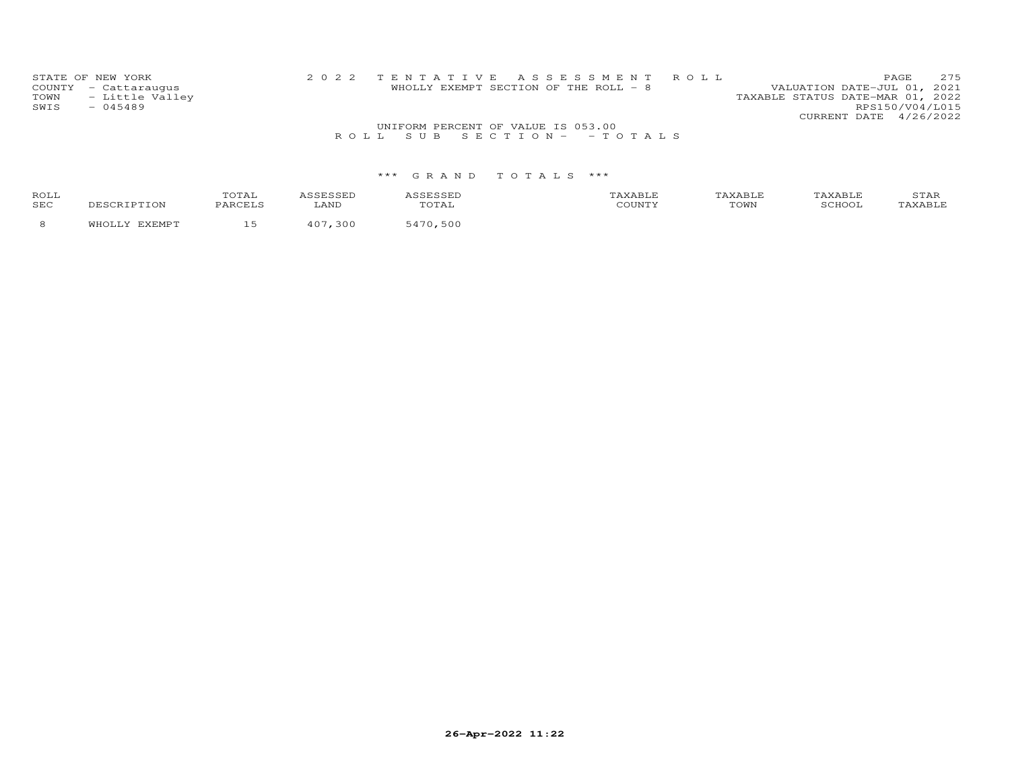| TOWN | STATE OF NEW YORK<br>COUNTY - Cattaraugus<br>- Little Valley | 2022 TENTATIVE ASSESSMENT ROLL     | WHOLLY EXEMPT SECTION OF THE ROLL - 8 | VALUATION DATE-JUL 01, 2021<br>TAXABLE STATUS DATE-MAR 01, 2022 | PAGE.           | 275 |
|------|--------------------------------------------------------------|------------------------------------|---------------------------------------|-----------------------------------------------------------------|-----------------|-----|
| SWIS | $-045489$                                                    |                                    |                                       |                                                                 | RPS150/V04/L015 |     |
|      |                                                              |                                    |                                       | CURRENT DATE 4/26/2022                                          |                 |     |
|      |                                                              | UNIFORM PERCENT OF VALUE IS 053.00 |                                       |                                                                 |                 |     |
|      |                                                              | ROLL SUB SECTION- - TOTALS         |                                       |                                                                 |                 |     |

| ROL:<br><b>SEC</b> |  |  | °OWN |  |
|--------------------|--|--|------|--|
|                    |  |  |      |  |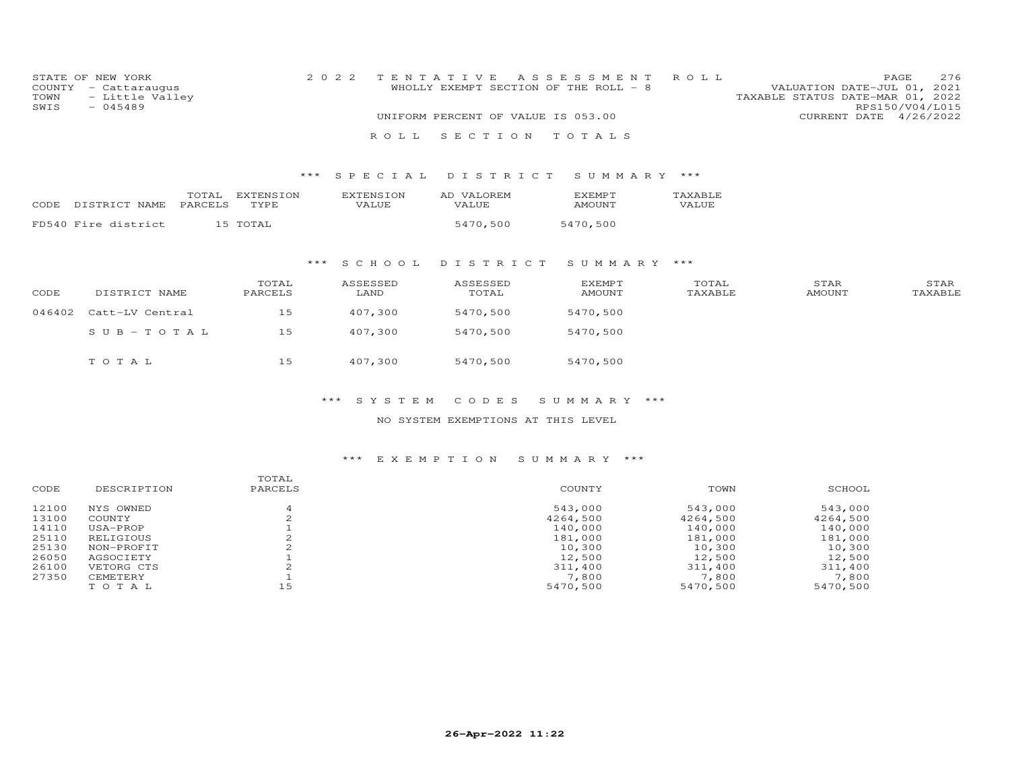| STATE OF NEW YORK    | 2022 TENTATIVE ASSESSMENT ROLL        | 276<br>PAGE.                     |
|----------------------|---------------------------------------|----------------------------------|
| COUNTY - Cattaraugus | WHOLLY EXEMPT SECTION OF THE ROLL - 8 | VALUATION DATE-JUL 01, 2021      |
| TOWN - Little Valley |                                       | TAXABLE STATUS DATE-MAR 01, 2022 |
| SWIS<br>- 045489     |                                       | RPS150/V04/L015                  |
|                      | UNIFORM PERCENT OF VALUE IS 053.00    | CURRENT DATE 4/26/2022           |
|                      | ROLL SECTION TOTALS                   |                                  |

# \*\*\* S P E C I A L D I S T R I C T S U M M A R Y \*\*\*

|      |                     | TOTAL   |       | 'TON<br>AD | OREM.<br><b>TZAT</b> | $\cdot$ XEMP $\overline{ }$ | AXABLE |
|------|---------------------|---------|-------|------------|----------------------|-----------------------------|--------|
| CODE | DISTRICT NAME       | PARCELS | TVDF  | VALUE      | VALUE                | <b>AMOUNT</b><br>$   -$     | VALUE  |
|      | FD540 Fire district | 15      | TOTAT |            | 5470 500             | 5470.500                    |        |

# \*\*\* S C H O O L D I S T R I C T S U M M A R Y \*\*\*

| CODE   | DISTRICT NAME   | TOTAL<br>PARCELS | ASSESSED<br>LAND | ASSESSED<br>TOTAL | <b>EXEMPT</b><br>AMOUNT | TOTAL<br>TAXABLE | STAR<br>AMOUNT | STAR<br>TAXABLE |
|--------|-----------------|------------------|------------------|-------------------|-------------------------|------------------|----------------|-----------------|
| 046402 | Catt-LV Central | 15               | 407,300          | 5470,500          | 5470,500                |                  |                |                 |
|        | SUB-TOTAL       | 15               | 407,300          | 5470,500          | 5470,500                |                  |                |                 |
|        | TOTAL           | 15               | 407,300          | 5470,500          | 5470,500                |                  |                |                 |

# \*\*\* S Y S T E M C O D E S S U M M A R Y \*\*\*

# NO SYSTEM EXEMPTIONS AT THIS LEVEL

| CODE  | DESCRIPTION | TOTAL<br>PARCELS | COUNTY   | TOWN     | SCHOOL   |
|-------|-------------|------------------|----------|----------|----------|
| 12100 | NYS OWNED   |                  | 543,000  | 543,000  | 543,000  |
| 13100 | COUNTY      |                  | 4264,500 | 4264,500 | 4264,500 |
| 14110 | USA-PROP    |                  | 140,000  | 140,000  | 140,000  |
| 25110 | RELIGIOUS   |                  | 181,000  | 181,000  | 181,000  |
| 25130 | NON-PROFIT  |                  | 10,300   | 10,300   | 10,300   |
| 26050 | AGSOCIETY   |                  | 12,500   | 12,500   | 12,500   |
| 26100 | VETORG CTS  |                  | 311,400  | 311,400  | 311,400  |
| 27350 | CEMETERY    |                  | 7,800    | 7,800    | 7,800    |
|       | TOTAL       | 15               | 5470,500 | 5470,500 | 5470,500 |
|       |             |                  |          |          |          |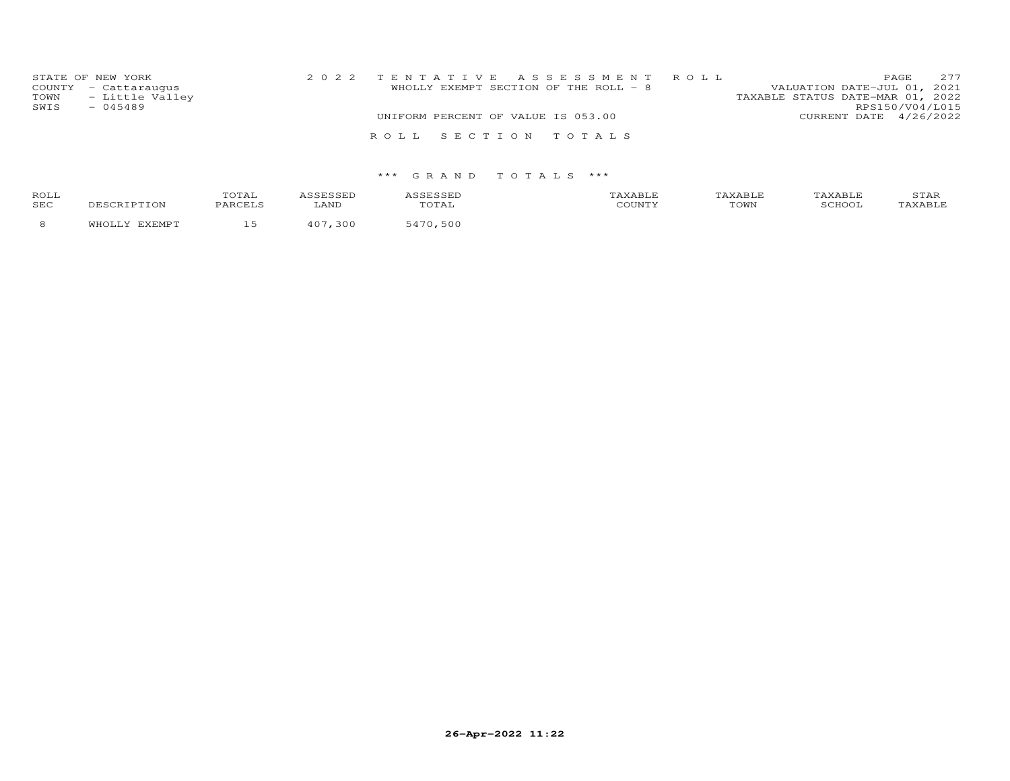| STATE OF NEW YORK<br>COUNTY - Cattaraugus<br>- Little Valley<br>TOWN<br>SWIS<br>$-045489$ | WHOLLY EXEMPT SECTION OF THE ROLL - 8 | 2022 TENTATIVE ASSESSMENT ROLL | VALUATION DATE-JUL 01, 2021<br>TAXABLE STATUS DATE-MAR 01, 2022 | PAGE<br>RPS150/V04/L015 | 277 |
|-------------------------------------------------------------------------------------------|---------------------------------------|--------------------------------|-----------------------------------------------------------------|-------------------------|-----|
|                                                                                           | UNIFORM PERCENT OF VALUE IS 053.00    |                                | CURRENT DATE 4/26/2022                                          |                         |     |
|                                                                                           |                                       |                                |                                                                 |                         |     |
|                                                                                           | ROLL SECTION TOTALS                   |                                |                                                                 |                         |     |
|                                                                                           |                                       |                                |                                                                 |                         |     |

| ROLL<br><b>SEC</b> | <b>TOTAL</b><br>$\sim$ $\sim$ $\sim$ $\sim$ $\sim$ | .<br>AND | TOTAL | YART<br>TOWN | YART<br>ىدىدى ئىدىمە ب<br>$\sim$ $\sim$ $\sim$ | 3m 3 P<br>5 I A.R<br>1 D L L P |
|--------------------|----------------------------------------------------|----------|-------|--------------|------------------------------------------------|--------------------------------|
|                    |                                                    | -4 O.F   |       |              |                                                |                                |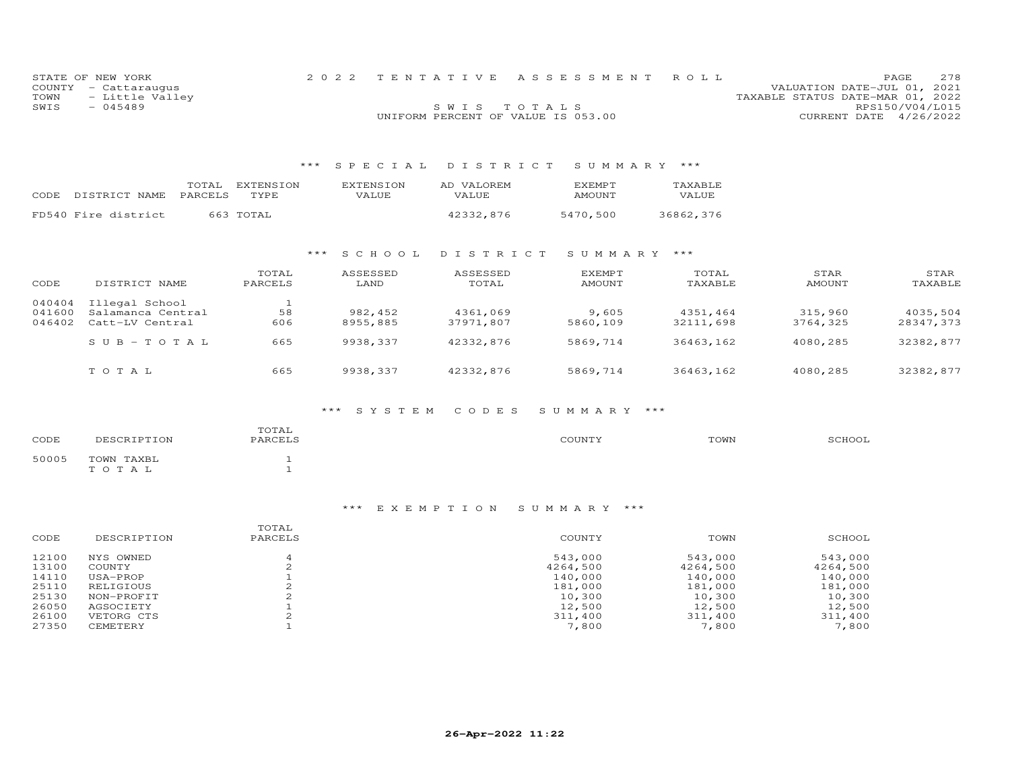|      | STATE OF NEW YORK    |                                    | 2022 TENTATIVE ASSESSMENT ROLL |                                  | <b>PAGE</b>            | 278 |
|------|----------------------|------------------------------------|--------------------------------|----------------------------------|------------------------|-----|
|      | COUNTY - Cattaraugus |                                    |                                | VALUATION DATE-JUL 01, 2021      |                        |     |
| TOWN | - Little Valley      |                                    |                                | TAXABLE STATUS DATE-MAR 01, 2022 |                        |     |
| SWIS | $-045489$            | SWIS TOTALS                        |                                |                                  | RPS150/V04/L015        |     |
|      |                      | UNIFORM PERCENT OF VALUE IS 053.00 |                                |                                  | CURRENT DATE 4/26/2022 |     |

# \*\*\* S P E C I A L D I S T R I C T S U M M A R Y \*\*\*

| CODE. | DISTRICT NAME       | TOTAL<br>PARCELS | EXTENSION<br>TYPE. | EXTENSION<br>VALUE | AD VALOREM<br>VALUE | <b>EXEMPT</b><br><b>AMOUNT</b> | TAXABLE<br><b>VALUE</b> |
|-------|---------------------|------------------|--------------------|--------------------|---------------------|--------------------------------|-------------------------|
|       | FD540 Fire district |                  | 663 TOTAL          |                    | 42332,876           | 5470,500                       | 36862,376               |

### \*\*\* S C H O O L D I S T R I C T S U M M A R Y \*\*\*

| CODE                       | DISTRICT NAME                                          | TOTAL<br>PARCELS | ASSESSED<br>LAND    | ASSESSED<br>TOTAL     | <b>EXEMPT</b><br>AMOUNT | TOTAL<br>TAXABLE      | STAR<br>AMOUNT      | STAR<br>TAXABLE       |
|----------------------------|--------------------------------------------------------|------------------|---------------------|-----------------------|-------------------------|-----------------------|---------------------|-----------------------|
| 040404<br>041600<br>046402 | Illegal School<br>Salamanca Central<br>Catt-LV Central | 58<br>606        | 982,452<br>8955,885 | 4361,069<br>37971,807 | 9,605<br>5860,109       | 4351,464<br>32111,698 | 315,960<br>3764,325 | 4035,504<br>28347,373 |
|                            | $SUB-TOTAL$                                            | 665              | 9938,337            | 42332.876             | 5869,714                | 36463,162             | 4080,285            | 32382,877             |
|                            | TOTAL                                                  | 665              | 9938,337            | 42332,876             | 5869,714                | 36463,162             | 4080,285            | 32382,877             |

# \*\*\* S Y S T E M C O D E S S U M M A R Y \*\*\*

| CODE  | DESCRIPTION         | TOTAL<br>PARCELS | COUNTY | TOWN | SCHOOL |
|-------|---------------------|------------------|--------|------|--------|
| 50005 | TOWN TAXBL<br>TOTAL |                  |        |      |        |

| CODE  | DESCRIPTION | TOTAL<br>PARCELS | COUNTY   | TOWN     | SCHOOL   |
|-------|-------------|------------------|----------|----------|----------|
| 12100 | NYS OWNED   |                  | 543,000  | 543,000  | 543,000  |
| 13100 | COUNTY      |                  | 4264,500 | 4264,500 | 4264,500 |
| 14110 | USA-PROP    |                  | 140,000  | 140,000  | 140,000  |
| 25110 | RELIGIOUS   |                  | 181,000  | 181,000  | 181,000  |
| 25130 | NON-PROFIT  |                  | 10,300   | 10,300   | 10,300   |
| 26050 | AGSOCIETY   |                  | 12,500   | 12,500   | 12,500   |
| 26100 | VETORG CTS  |                  | 311,400  | 311,400  | 311,400  |
| 27350 | CEMETERY    |                  | 7,800    | 7,800    | 7,800    |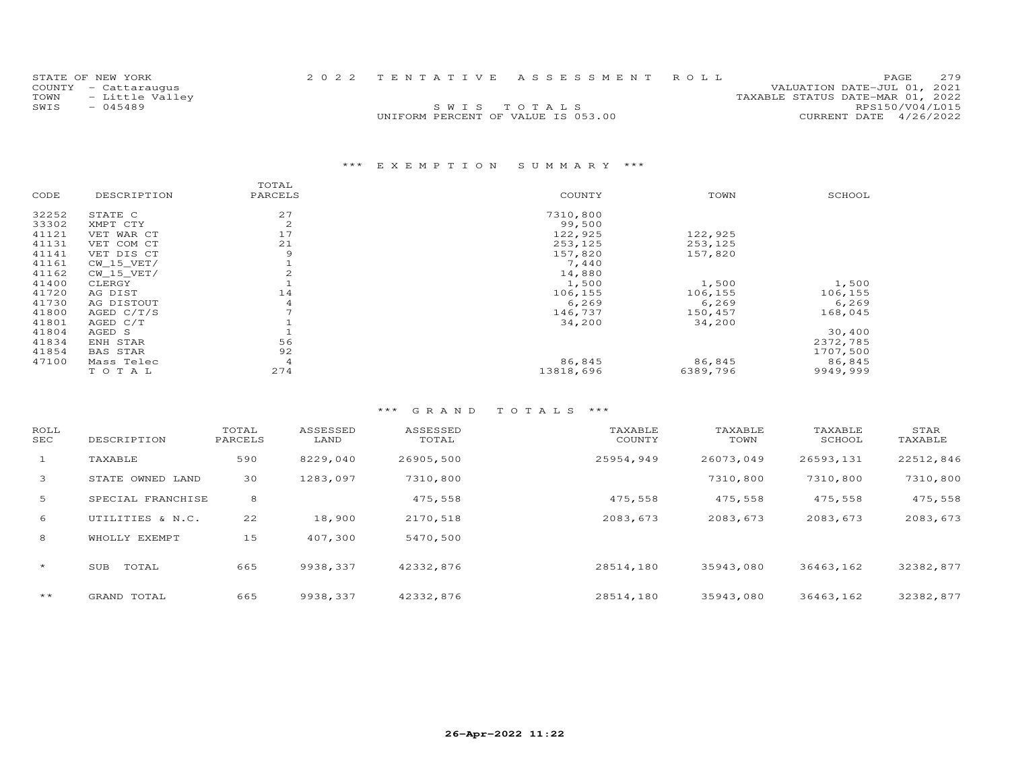| STATE OF NEW YORK    |                                    | 2022 TENTATIVE ASSESSMENT ROLL | <b>PAGE</b>                      | 2.79 |
|----------------------|------------------------------------|--------------------------------|----------------------------------|------|
| COUNTY - Cattaraugus |                                    |                                | VALUATION DATE-JUL 01, 2021      |      |
| TOWN - Little Valley |                                    |                                | TAXABLE STATUS DATE-MAR 01, 2022 |      |
| SWTS<br>$-045489$    |                                    | SWIS TOTALS                    | RPS150/V04/L015                  |      |
|                      | UNIFORM PERCENT OF VALUE IS 053.00 |                                | CURRENT DATE 4/26/2022           |      |
|                      |                                    |                                |                                  |      |

|       |                 | TOTAL   |           |          |          |
|-------|-----------------|---------|-----------|----------|----------|
| CODE  | DESCRIPTION     | PARCELS | COUNTY    | TOWN     | SCHOOL   |
| 32252 | STATE C         | 27      | 7310,800  |          |          |
| 33302 | XMPT CTY        | 2       | 99,500    |          |          |
| 41121 | VET WAR CT      | 17      | 122,925   | 122,925  |          |
| 41131 | VET COM CT      | 21      | 253,125   | 253,125  |          |
| 41141 | VET DIS CT      | 9       | 157,820   | 157,820  |          |
| 41161 | $CW_15_VET/$    |         | 7,440     |          |          |
| 41162 | CW 15 VET/      |         | 14,880    |          |          |
| 41400 | CLERGY          |         | 1,500     | 1,500    | 1,500    |
| 41720 | AG DIST         | 14      | 106,155   | 106,155  | 106,155  |
| 41730 | AG DISTOUT      | 4       | 6,269     | 6,269    | 6,269    |
| 41800 | AGED $C/T/S$    |         | 146,737   | 150,457  | 168,045  |
| 41801 | AGED C/T        |         | 34,200    | 34,200   |          |
| 41804 | AGED S          |         |           |          | 30,400   |
| 41834 | ENH STAR        | 56      |           |          | 2372,785 |
| 41854 | <b>BAS STAR</b> | 92      |           |          | 1707,500 |
| 47100 | Mass Telec      | 4       | 86,845    | 86,845   | 86,845   |
|       | TOTAL           | 274     | 13818,696 | 6389,796 | 9949,999 |
|       |                 |         |           |          |          |

| ROLL<br>SEC  | DESCRIPTION       | TOTAL<br>PARCELS | ASSESSED<br>LAND | ASSESSED<br>TOTAL | TAXABLE<br>COUNTY | TAXABLE<br>TOWN | TAXABLE<br>SCHOOL | STAR<br>TAXABLE |
|--------------|-------------------|------------------|------------------|-------------------|-------------------|-----------------|-------------------|-----------------|
| $\mathbf{1}$ | TAXABLE           | 590              | 8229,040         | 26905,500         | 25954,949         | 26073,049       | 26593,131         | 22512,846       |
| 3            | STATE OWNED LAND  | 30               | 1283,097         | 7310,800          |                   | 7310,800        | 7310,800          | 7310,800        |
| 5            | SPECIAL FRANCHISE | 8                |                  | 475,558           | 475,558           | 475,558         | 475,558           | 475,558         |
| 6            | UTILITIES & N.C.  | 22               | 18,900           | 2170,518          | 2083,673          | 2083,673        | 2083,673          | 2083,673        |
| 8            | WHOLLY EXEMPT     | 15               | 407,300          | 5470,500          |                   |                 |                   |                 |
| $\star$      | TOTAL<br>SUB      | 665              | 9938,337         | 42332,876         | 28514,180         | 35943,080       | 36463,162         | 32382,877       |
| $***$        | GRAND TOTAL       | 665              | 9938,337         | 42332,876         | 28514,180         | 35943,080       | 36463,162         | 32382,877       |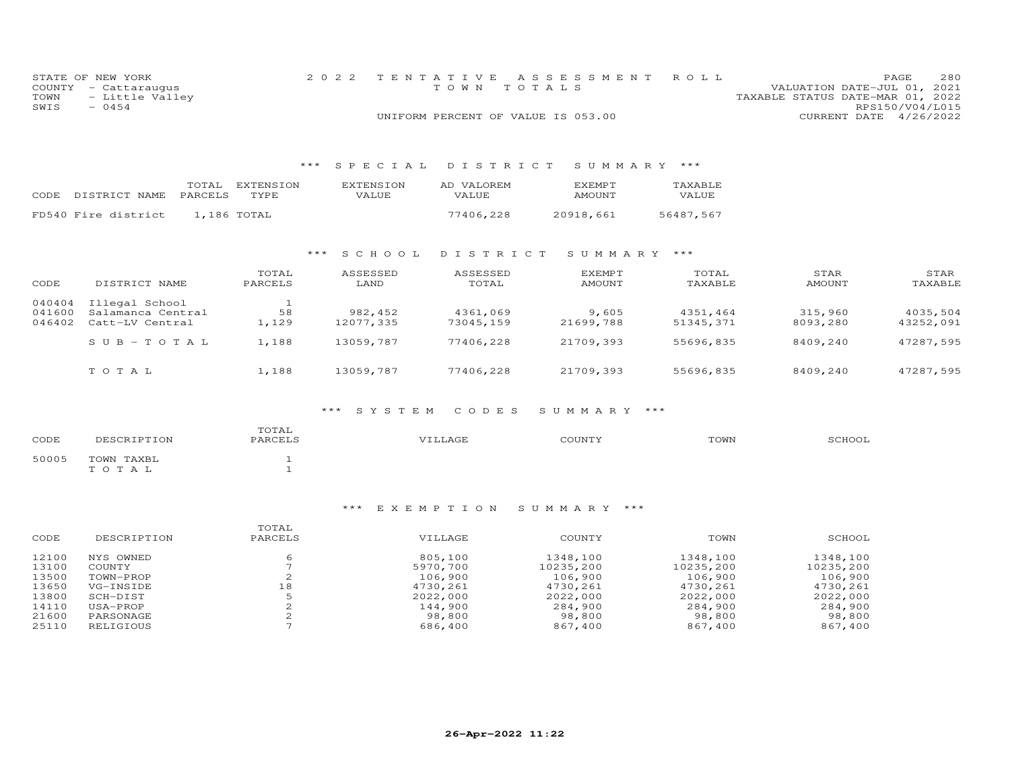|      | STATE OF NEW YORK    | 2022 TENTATIVE ASSESSMENT ROLL     |  |                                  |                        | PAGE. | 280 |
|------|----------------------|------------------------------------|--|----------------------------------|------------------------|-------|-----|
|      | COUNTY - Cattaraugus | TOWN TOTALS                        |  | VALUATION DATE-JUL 01, 2021      |                        |       |     |
| TOWN | - Little Valley      |                                    |  | TAXABLE STATUS DATE-MAR 01, 2022 |                        |       |     |
| SWIS | $-0454$              |                                    |  |                                  | RPS150/V04/L015        |       |     |
|      |                      | UNIFORM PERCENT OF VALUE IS 053.00 |  |                                  | CURRENT DATE 4/26/2022 |       |     |

# \*\*\* S P E C I A L D I S T R I C T S U M M A R Y \*\*\*

| CODE | DISTRICT NAME       | TOTAL<br>PARCELS | EXTENSION<br><b>TYPE</b> | <b>EXTENSION</b><br>VALUE. | AD VALOREM<br>VALUE. | <b>FXEMPT</b><br>AMOUNT | TAXABLE<br><b>VALUE</b> |
|------|---------------------|------------------|--------------------------|----------------------------|----------------------|-------------------------|-------------------------|
|      | FD540 Fire district |                  | 1,186 TOTAL              |                            | 77406,228            | 20918,661               | 56487.567               |

### \*\*\* S C H O O L D I S T R I C T S U M M A R Y \*\*\*

| CODE                       | DISTRICT NAME                                          | TOTAL<br>PARCELS | ASSESSED<br>LAND     | ASSESSED<br>TOTAL     | <b>EXEMPT</b><br>AMOUNT | TOTAL<br>TAXABLE      | STAR<br>AMOUNT      | STAR<br>TAXABLE       |
|----------------------------|--------------------------------------------------------|------------------|----------------------|-----------------------|-------------------------|-----------------------|---------------------|-----------------------|
| 040404<br>041600<br>046402 | Illegal School<br>Salamanca Central<br>Catt-LV Central | 58<br>1,129      | 982,452<br>12077,335 | 4361,069<br>73045,159 | 9,605<br>21699,788      | 4351,464<br>51345,371 | 315,960<br>8093,280 | 4035,504<br>43252,091 |
|                            | $SUB - TO TAL$                                         | 1,188            | 13059,787            | 77406,228             | 21709,393               | 55696,835             | 8409,240            | 47287,595             |
|                            | TOTAL                                                  | 1,188            | 13059,787            | 77406,228             | 21709,393               | 55696,835             | 8409,240            | 47287,595             |

# \*\*\* S Y S T E M C O D E S S U M M A R Y \*\*\*

| DESCRIPTION | TOTAL<br>PARCELS | VILLAGE | COUNTY | TOWN | SCHOOL |
|-------------|------------------|---------|--------|------|--------|
| TOWN TAXBL  |                  |         |        |      |        |
| TOTAL       |                  |         |        |      |        |
|             |                  |         |        |      |        |

|       |             | TOTAL   |          |           |           |           |
|-------|-------------|---------|----------|-----------|-----------|-----------|
| CODE  | DESCRIPTION | PARCELS | VILLAGE  | COUNTY    | TOWN      | SCHOOL    |
| 12100 | NYS OWNED   |         | 805,100  | 1348,100  | 1348,100  | 1348,100  |
| 13100 | COUNTY      |         | 5970,700 | 10235,200 | 10235,200 | 10235,200 |
| 13500 | TOWN-PROP   |         | 106,900  | 106,900   | 106,900   | 106,900   |
| 13650 | VG-INSIDE   | 18      | 4730,261 | 4730,261  | 4730.261  | 4730,261  |
| 13800 | SCH-DIST    |         | 2022,000 | 2022,000  | 2022,000  | 2022,000  |
| 14110 | USA-PROP    |         | 144,900  | 284,900   | 284,900   | 284,900   |
| 21600 | PARSONAGE   |         | 98,800   | 98,800    | 98,800    | 98,800    |
| 25110 | RELIGIOUS   |         | 686,400  | 867,400   | 867,400   | 867,400   |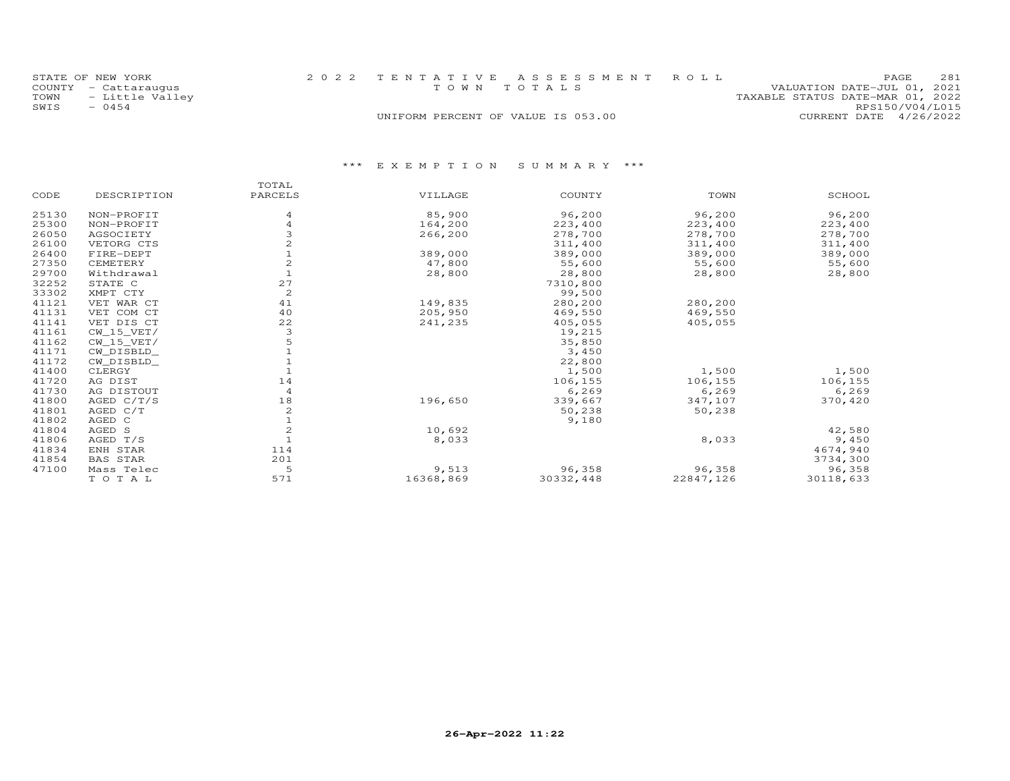|      | STATE OF NEW YORK    | 2022 TENTATIVE ASSESSMENT ROLL     |  |                                  | <b>PAGE</b>                 | 281 |
|------|----------------------|------------------------------------|--|----------------------------------|-----------------------------|-----|
|      | COUNTY - Cattaraugus | TOWN TOTALS                        |  |                                  | VALUATION DATE-JUL 01, 2021 |     |
| TOWN | - Little Valley      |                                    |  | TAXABLE STATUS DATE-MAR 01, 2022 |                             |     |
| SWIS | $-0454$              |                                    |  |                                  | RPS150/V04/L015             |     |
|      |                      | UNIFORM PERCENT OF VALUE IS 053.00 |  |                                  | CURRENT DATE 4/26/2022      |     |

|       |                 | TOTAL          |           |           |           |           |
|-------|-----------------|----------------|-----------|-----------|-----------|-----------|
| CODE  | DESCRIPTION     | PARCELS        | VILLAGE   | COUNTY    | TOWN      | SCHOOL    |
| 25130 | NON-PROFIT      | 4              | 85,900    | 96,200    | 96,200    | 96,200    |
| 25300 | NON-PROFIT      | 4              | 164,200   | 223,400   | 223,400   | 223,400   |
| 26050 | AGSOCIETY       |                | 266,200   | 278,700   | 278,700   | 278,700   |
| 26100 | VETORG CTS      |                |           | 311,400   | 311,400   | 311,400   |
| 26400 | FIRE-DEPT       |                | 389,000   | 389,000   | 389,000   | 389,000   |
| 27350 | CEMETERY        | 2              | 47,800    | 55,600    | 55,600    | 55,600    |
| 29700 | Withdrawal      |                | 28,800    | 28,800    | 28,800    | 28,800    |
| 32252 | STATE C         | 27             |           | 7310,800  |           |           |
| 33302 | XMPT CTY        | $\mathbf{Z}$   |           | 99,500    |           |           |
| 41121 | VET WAR CT      | 41             | 149,835   | 280,200   | 280,200   |           |
| 41131 | VET COM CT      | 40             | 205,950   | 469,550   | 469,550   |           |
| 41141 | VET DIS CT      | 22             | 241,235   | 405,055   | 405,055   |           |
| 41161 | CW 15 VET/      | 3              |           | 19,215    |           |           |
| 41162 | $CW_15_VET/$    |                |           | 35,850    |           |           |
| 41171 | CW DISBLD       |                |           | 3,450     |           |           |
| 41172 | CW_DISBLD_      |                |           | 22,800    |           |           |
| 41400 | CLERGY          |                |           | 1,500     | 1,500     | 1,500     |
| 41720 | AG DIST         | 14             |           | 106,155   | 106,155   | 106,155   |
| 41730 | AG DISTOUT      | $\overline{4}$ |           | 6,269     | 6,269     | 6,269     |
| 41800 | AGED $C/T/S$    | 18             | 196,650   | 339,667   | 347,107   | 370,420   |
| 41801 | AGED C/T        | $\mathbf{2}$   |           | 50,238    | 50,238    |           |
| 41802 | AGED C          |                |           | 9,180     |           |           |
| 41804 | AGED S          | $\overline{c}$ | 10,692    |           |           | 42,580    |
| 41806 | AGED T/S        |                | 8,033     |           | 8,033     | 9,450     |
| 41834 | ENH STAR        | 114            |           |           |           | 4674,940  |
| 41854 | <b>BAS STAR</b> | 201            |           |           |           | 3734,300  |
| 47100 | Mass Telec      | 5              | 9,513     | 96,358    | 96,358    | 96,358    |
|       | TOTAL           | 571            | 16368,869 | 30332,448 | 22847,126 | 30118,633 |